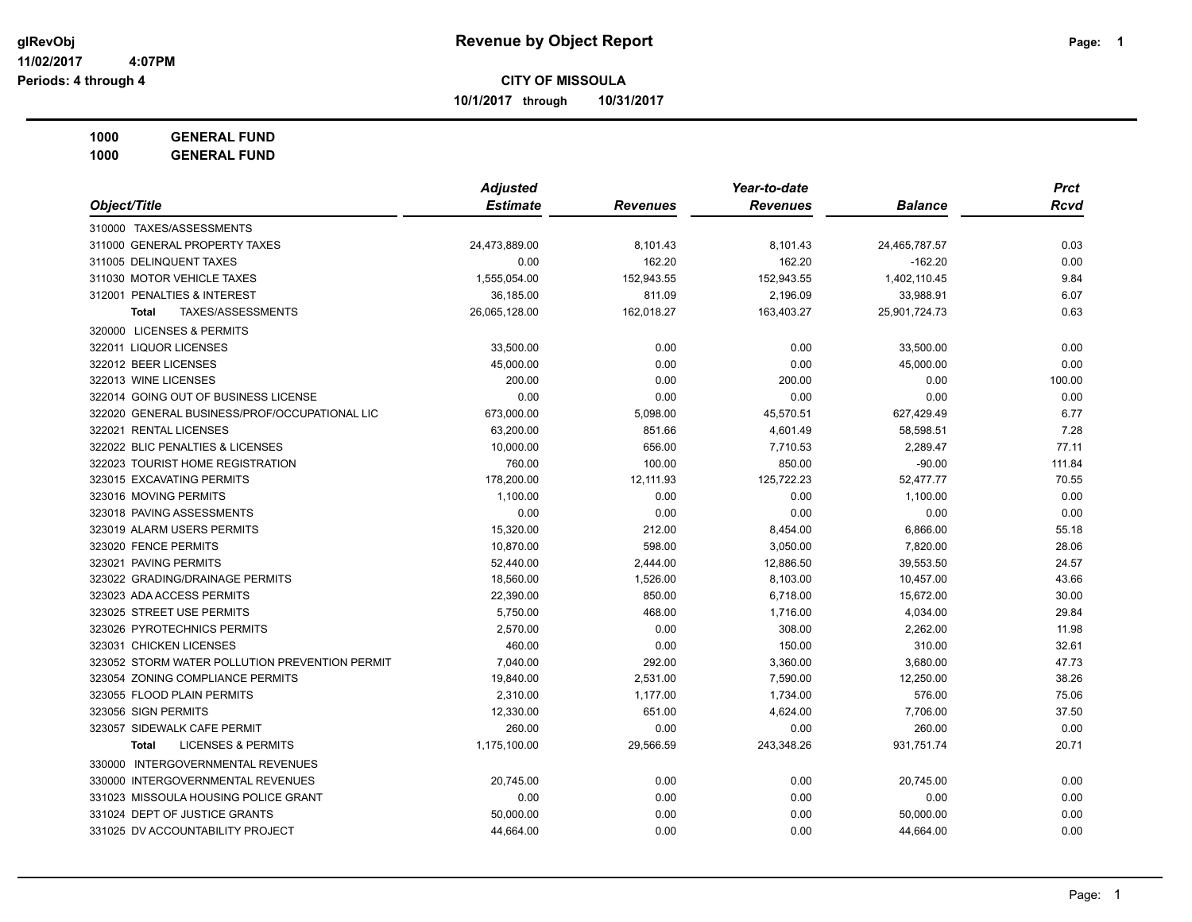**10/1/2017 through 10/31/2017**

**1000 GENERAL FUND**

|                                                | <b>Adjusted</b> |                 | Year-to-date    |                | <b>Prct</b> |
|------------------------------------------------|-----------------|-----------------|-----------------|----------------|-------------|
| Object/Title                                   | <b>Estimate</b> | <b>Revenues</b> | <b>Revenues</b> | <b>Balance</b> | <b>Rcvd</b> |
| 310000 TAXES/ASSESSMENTS                       |                 |                 |                 |                |             |
| 311000 GENERAL PROPERTY TAXES                  | 24,473,889.00   | 8,101.43        | 8,101.43        | 24,465,787.57  | 0.03        |
| 311005 DELINQUENT TAXES                        | 0.00            | 162.20          | 162.20          | $-162.20$      | 0.00        |
| 311030 MOTOR VEHICLE TAXES                     | 1,555,054.00    | 152,943.55      | 152,943.55      | 1,402,110.45   | 9.84        |
| 312001 PENALTIES & INTEREST                    | 36,185.00       | 811.09          | 2,196.09        | 33,988.91      | 6.07        |
| TAXES/ASSESSMENTS<br><b>Total</b>              | 26,065,128.00   | 162,018.27      | 163,403.27      | 25,901,724.73  | 0.63        |
| 320000 LICENSES & PERMITS                      |                 |                 |                 |                |             |
| 322011 LIQUOR LICENSES                         | 33,500.00       | 0.00            | 0.00            | 33,500.00      | 0.00        |
| 322012 BEER LICENSES                           | 45,000.00       | 0.00            | 0.00            | 45,000.00      | 0.00        |
| 322013 WINE LICENSES                           | 200.00          | 0.00            | 200.00          | 0.00           | 100.00      |
| 322014 GOING OUT OF BUSINESS LICENSE           | 0.00            | 0.00            | 0.00            | 0.00           | 0.00        |
| 322020 GENERAL BUSINESS/PROF/OCCUPATIONAL LIC  | 673,000.00      | 5,098.00        | 45,570.51       | 627,429.49     | 6.77        |
| 322021 RENTAL LICENSES                         | 63,200.00       | 851.66          | 4,601.49        | 58,598.51      | 7.28        |
| 322022 BLIC PENALTIES & LICENSES               | 10,000.00       | 656.00          | 7,710.53        | 2,289.47       | 77.11       |
| 322023 TOURIST HOME REGISTRATION               | 760.00          | 100.00          | 850.00          | $-90.00$       | 111.84      |
| 323015 EXCAVATING PERMITS                      | 178,200.00      | 12,111.93       | 125,722.23      | 52,477.77      | 70.55       |
| 323016 MOVING PERMITS                          | 1,100.00        | 0.00            | 0.00            | 1,100.00       | 0.00        |
| 323018 PAVING ASSESSMENTS                      | 0.00            | 0.00            | 0.00            | 0.00           | 0.00        |
| 323019 ALARM USERS PERMITS                     | 15,320.00       | 212.00          | 8,454.00        | 6,866.00       | 55.18       |
| 323020 FENCE PERMITS                           | 10,870.00       | 598.00          | 3,050.00        | 7,820.00       | 28.06       |
| 323021 PAVING PERMITS                          | 52,440.00       | 2,444.00        | 12,886.50       | 39,553.50      | 24.57       |
| 323022 GRADING/DRAINAGE PERMITS                | 18,560.00       | 1,526.00        | 8,103.00        | 10,457.00      | 43.66       |
| 323023 ADA ACCESS PERMITS                      | 22,390.00       | 850.00          | 6,718.00        | 15,672.00      | 30.00       |
| 323025 STREET USE PERMITS                      | 5,750.00        | 468.00          | 1,716.00        | 4,034.00       | 29.84       |
| 323026 PYROTECHNICS PERMITS                    | 2,570.00        | 0.00            | 308.00          | 2,262.00       | 11.98       |
| 323031 CHICKEN LICENSES                        | 460.00          | 0.00            | 150.00          | 310.00         | 32.61       |
| 323052 STORM WATER POLLUTION PREVENTION PERMIT | 7,040.00        | 292.00          | 3,360.00        | 3,680.00       | 47.73       |
| 323054 ZONING COMPLIANCE PERMITS               | 19,840.00       | 2,531.00        | 7,590.00        | 12,250.00      | 38.26       |
| 323055 FLOOD PLAIN PERMITS                     | 2,310.00        | 1,177.00        | 1,734.00        | 576.00         | 75.06       |
| 323056 SIGN PERMITS                            | 12,330.00       | 651.00          | 4,624.00        | 7,706.00       | 37.50       |
| 323057 SIDEWALK CAFE PERMIT                    | 260.00          | 0.00            | 0.00            | 260.00         | 0.00        |
| <b>LICENSES &amp; PERMITS</b><br><b>Total</b>  | 1,175,100.00    | 29,566.59       | 243,348.26      | 931,751.74     | 20.71       |
| 330000 INTERGOVERNMENTAL REVENUES              |                 |                 |                 |                |             |
| 330000 INTERGOVERNMENTAL REVENUES              | 20,745.00       | 0.00            | 0.00            | 20,745.00      | 0.00        |
| 331023 MISSOULA HOUSING POLICE GRANT           | 0.00            | 0.00            | 0.00            | 0.00           | 0.00        |
| 331024 DEPT OF JUSTICE GRANTS                  | 50,000.00       | 0.00            | 0.00            | 50,000.00      | 0.00        |
| 331025 DV ACCOUNTABILITY PROJECT               | 44,664.00       | 0.00            | 0.00            | 44,664.00      | 0.00        |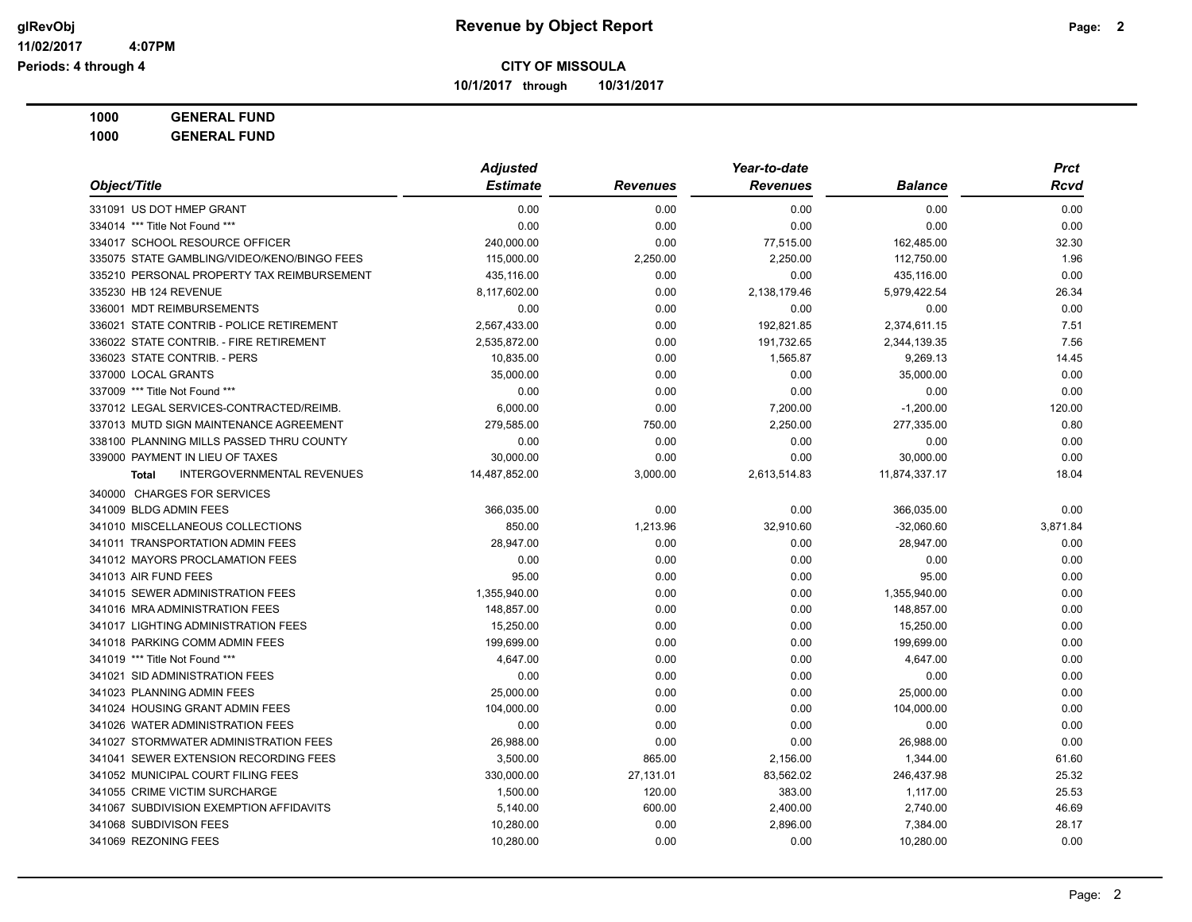**10/1/2017 through 10/31/2017**

# **1000 GENERAL FUND**

|                                                   | <b>Adjusted</b> |                 | Year-to-date    |                | <b>Prct</b> |
|---------------------------------------------------|-----------------|-----------------|-----------------|----------------|-------------|
| Object/Title                                      | <b>Estimate</b> | <b>Revenues</b> | <b>Revenues</b> | <b>Balance</b> | <b>Rcvd</b> |
| 331091 US DOT HMEP GRANT                          | 0.00            | 0.00            | 0.00            | 0.00           | 0.00        |
| 334014 *** Title Not Found ***                    | 0.00            | 0.00            | 0.00            | 0.00           | 0.00        |
| 334017 SCHOOL RESOURCE OFFICER                    | 240,000.00      | 0.00            | 77,515.00       | 162,485.00     | 32.30       |
| 335075 STATE GAMBLING/VIDEO/KENO/BINGO FEES       | 115,000.00      | 2,250.00        | 2,250.00        | 112,750.00     | 1.96        |
| 335210 PERSONAL PROPERTY TAX REIMBURSEMENT        | 435.116.00      | 0.00            | 0.00            | 435,116.00     | 0.00        |
| 335230 HB 124 REVENUE                             | 8,117,602.00    | 0.00            | 2,138,179.46    | 5,979,422.54   | 26.34       |
| 336001 MDT REIMBURSEMENTS                         | 0.00            | 0.00            | 0.00            | 0.00           | 0.00        |
| 336021 STATE CONTRIB - POLICE RETIREMENT          | 2,567,433.00    | 0.00            | 192,821.85      | 2,374,611.15   | 7.51        |
| 336022 STATE CONTRIB. - FIRE RETIREMENT           | 2,535,872.00    | 0.00            | 191,732.65      | 2,344,139.35   | 7.56        |
| 336023 STATE CONTRIB. - PERS                      | 10,835.00       | 0.00            | 1,565.87        | 9,269.13       | 14.45       |
| 337000 LOCAL GRANTS                               | 35,000.00       | 0.00            | 0.00            | 35,000.00      | 0.00        |
| 337009 *** Title Not Found ***                    | 0.00            | 0.00            | 0.00            | 0.00           | 0.00        |
| 337012 LEGAL SERVICES-CONTRACTED/REIMB.           | 6,000.00        | 0.00            | 7,200.00        | $-1,200.00$    | 120.00      |
| 337013 MUTD SIGN MAINTENANCE AGREEMENT            | 279,585.00      | 750.00          | 2,250.00        | 277,335.00     | 0.80        |
| 338100 PLANNING MILLS PASSED THRU COUNTY          | 0.00            | 0.00            | 0.00            | 0.00           | 0.00        |
| 339000 PAYMENT IN LIEU OF TAXES                   | 30,000.00       | 0.00            | 0.00            | 30,000.00      | 0.00        |
| <b>INTERGOVERNMENTAL REVENUES</b><br><b>Total</b> | 14,487,852.00   | 3,000.00        | 2,613,514.83    | 11,874,337.17  | 18.04       |
| 340000 CHARGES FOR SERVICES                       |                 |                 |                 |                |             |
| 341009 BLDG ADMIN FEES                            | 366,035.00      | 0.00            | 0.00            | 366,035.00     | 0.00        |
| 341010 MISCELLANEOUS COLLECTIONS                  | 850.00          | 1,213.96        | 32,910.60       | $-32,060.60$   | 3,871.84    |
| 341011 TRANSPORTATION ADMIN FEES                  | 28,947.00       | 0.00            | 0.00            | 28,947.00      | 0.00        |
| 341012 MAYORS PROCLAMATION FEES                   | 0.00            | 0.00            | 0.00            | 0.00           | 0.00        |
| 341013 AIR FUND FEES                              | 95.00           | 0.00            | 0.00            | 95.00          | 0.00        |
| 341015 SEWER ADMINISTRATION FEES                  | 1,355,940.00    | 0.00            | 0.00            | 1,355,940.00   | 0.00        |
| 341016 MRA ADMINISTRATION FEES                    | 148,857.00      | 0.00            | 0.00            | 148,857.00     | 0.00        |
| 341017 LIGHTING ADMINISTRATION FEES               | 15,250.00       | 0.00            | 0.00            | 15,250.00      | 0.00        |
| 341018 PARKING COMM ADMIN FEES                    | 199,699.00      | 0.00            | 0.00            | 199,699.00     | 0.00        |
| 341019 *** Title Not Found ***                    | 4,647.00        | 0.00            | 0.00            | 4,647.00       | 0.00        |
| 341021 SID ADMINISTRATION FEES                    | 0.00            | 0.00            | 0.00            | 0.00           | 0.00        |
| 341023 PLANNING ADMIN FEES                        | 25,000.00       | 0.00            | 0.00            | 25,000.00      | 0.00        |
| 341024 HOUSING GRANT ADMIN FEES                   | 104,000.00      | 0.00            | 0.00            | 104,000.00     | 0.00        |
| 341026 WATER ADMINISTRATION FEES                  | 0.00            | 0.00            | 0.00            | 0.00           | 0.00        |
| 341027 STORMWATER ADMINISTRATION FEES             | 26,988.00       | 0.00            | 0.00            | 26,988.00      | 0.00        |
| 341041 SEWER EXTENSION RECORDING FEES             | 3,500.00        | 865.00          | 2,156.00        | 1,344.00       | 61.60       |
| 341052 MUNICIPAL COURT FILING FEES                | 330,000.00      | 27,131.01       | 83,562.02       | 246,437.98     | 25.32       |
| 341055 CRIME VICTIM SURCHARGE                     | 1,500.00        | 120.00          | 383.00          | 1,117.00       | 25.53       |
| 341067 SUBDIVISION EXEMPTION AFFIDAVITS           | 5,140.00        | 600.00          | 2,400.00        | 2,740.00       | 46.69       |
| 341068 SUBDIVISON FEES                            | 10,280.00       | 0.00            | 2,896.00        | 7,384.00       | 28.17       |
| 341069 REZONING FEES                              | 10,280.00       | 0.00            | 0.00            | 10,280.00      | 0.00        |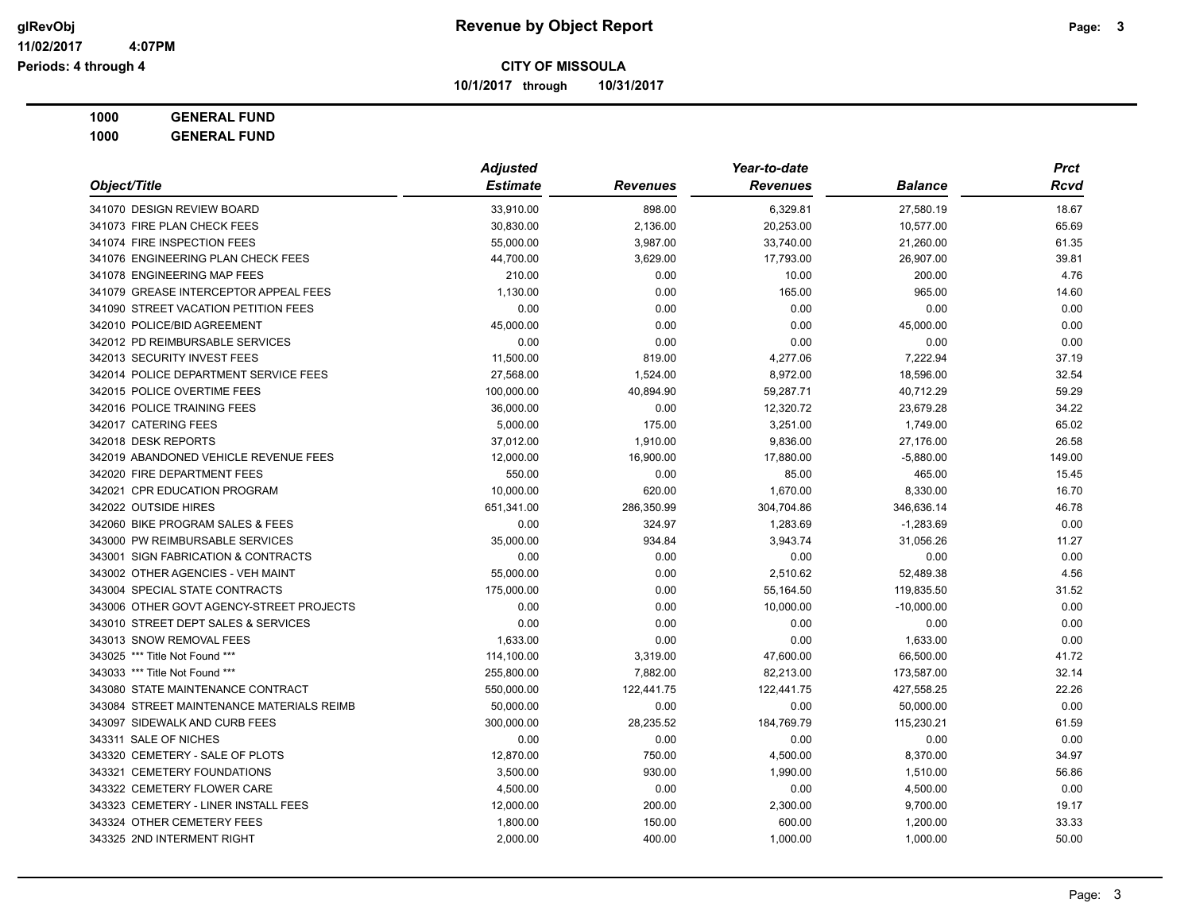**10/1/2017 through 10/31/2017**

# **1000 GENERAL FUND**

|                                           | <b>Adjusted</b> |                 | Year-to-date    |                |             |
|-------------------------------------------|-----------------|-----------------|-----------------|----------------|-------------|
| Object/Title                              | <b>Estimate</b> | <b>Revenues</b> | <b>Revenues</b> | <b>Balance</b> | <b>Rcvd</b> |
| 341070 DESIGN REVIEW BOARD                | 33,910.00       | 898.00          | 6,329.81        | 27,580.19      | 18.67       |
| 341073 FIRE PLAN CHECK FEES               | 30,830.00       | 2,136.00        | 20,253.00       | 10,577.00      | 65.69       |
| 341074 FIRE INSPECTION FEES               | 55,000.00       | 3,987.00        | 33,740.00       | 21,260.00      | 61.35       |
| 341076 ENGINEERING PLAN CHECK FEES        | 44,700.00       | 3,629.00        | 17,793.00       | 26,907.00      | 39.81       |
| 341078 ENGINEERING MAP FEES               | 210.00          | 0.00            | 10.00           | 200.00         | 4.76        |
| 341079 GREASE INTERCEPTOR APPEAL FEES     | 1,130.00        | 0.00            | 165.00          | 965.00         | 14.60       |
| 341090 STREET VACATION PETITION FEES      | 0.00            | 0.00            | 0.00            | 0.00           | 0.00        |
| 342010 POLICE/BID AGREEMENT               | 45,000.00       | 0.00            | 0.00            | 45,000.00      | 0.00        |
| 342012 PD REIMBURSABLE SERVICES           | 0.00            | 0.00            | 0.00            | 0.00           | 0.00        |
| 342013 SECURITY INVEST FEES               | 11,500.00       | 819.00          | 4,277.06        | 7,222.94       | 37.19       |
| 342014 POLICE DEPARTMENT SERVICE FEES     | 27,568.00       | 1,524.00        | 8,972.00        | 18,596.00      | 32.54       |
| 342015 POLICE OVERTIME FEES               | 100,000.00      | 40,894.90       | 59,287.71       | 40,712.29      | 59.29       |
| 342016 POLICE TRAINING FEES               | 36,000.00       | 0.00            | 12,320.72       | 23,679.28      | 34.22       |
| 342017 CATERING FEES                      | 5,000.00        | 175.00          | 3,251.00        | 1,749.00       | 65.02       |
| 342018 DESK REPORTS                       | 37,012.00       | 1,910.00        | 9,836.00        | 27,176.00      | 26.58       |
| 342019 ABANDONED VEHICLE REVENUE FEES     | 12,000.00       | 16,900.00       | 17,880.00       | $-5,880.00$    | 149.00      |
| 342020 FIRE DEPARTMENT FEES               | 550.00          | 0.00            | 85.00           | 465.00         | 15.45       |
| 342021 CPR EDUCATION PROGRAM              | 10,000.00       | 620.00          | 1,670.00        | 8,330.00       | 16.70       |
| 342022 OUTSIDE HIRES                      | 651,341.00      | 286,350.99      | 304,704.86      | 346,636.14     | 46.78       |
| 342060 BIKE PROGRAM SALES & FEES          | 0.00            | 324.97          | 1,283.69        | $-1,283.69$    | 0.00        |
| 343000 PW REIMBURSABLE SERVICES           | 35,000.00       | 934.84          | 3,943.74        | 31,056.26      | 11.27       |
| 343001 SIGN FABRICATION & CONTRACTS       | 0.00            | 0.00            | 0.00            | 0.00           | 0.00        |
| 343002 OTHER AGENCIES - VEH MAINT         | 55,000.00       | 0.00            | 2,510.62        | 52,489.38      | 4.56        |
| 343004 SPECIAL STATE CONTRACTS            | 175,000.00      | 0.00            | 55,164.50       | 119,835.50     | 31.52       |
| 343006 OTHER GOVT AGENCY-STREET PROJECTS  | 0.00            | 0.00            | 10,000.00       | $-10,000.00$   | 0.00        |
| 343010 STREET DEPT SALES & SERVICES       | 0.00            | 0.00            | 0.00            | 0.00           | 0.00        |
| 343013 SNOW REMOVAL FEES                  | 1,633.00        | 0.00            | 0.00            | 1,633.00       | 0.00        |
| 343025 *** Title Not Found ***            | 114,100.00      | 3,319.00        | 47,600.00       | 66,500.00      | 41.72       |
| 343033 *** Title Not Found ***            | 255,800.00      | 7,882.00        | 82,213.00       | 173,587.00     | 32.14       |
| 343080 STATE MAINTENANCE CONTRACT         | 550,000.00      | 122,441.75      | 122,441.75      | 427,558.25     | 22.26       |
| 343084 STREET MAINTENANCE MATERIALS REIMB | 50,000.00       | 0.00            | 0.00            | 50,000.00      | 0.00        |
| 343097 SIDEWALK AND CURB FEES             | 300,000.00      | 28,235.52       | 184,769.79      | 115,230.21     | 61.59       |
| 343311 SALE OF NICHES                     | 0.00            | 0.00            | 0.00            | 0.00           | 0.00        |
| 343320 CEMETERY - SALE OF PLOTS           | 12,870.00       | 750.00          | 4,500.00        | 8,370.00       | 34.97       |
| 343321 CEMETERY FOUNDATIONS               | 3,500.00        | 930.00          | 1,990.00        | 1,510.00       | 56.86       |
| 343322 CEMETERY FLOWER CARE               | 4,500.00        | 0.00            | 0.00            | 4,500.00       | 0.00        |
| 343323 CEMETERY - LINER INSTALL FEES      | 12,000.00       | 200.00          | 2,300.00        | 9,700.00       | 19.17       |
| 343324 OTHER CEMETERY FEES                | 1,800.00        | 150.00          | 600.00          | 1,200.00       | 33.33       |
| 343325 2ND INTERMENT RIGHT                | 2,000.00        | 400.00          | 1,000.00        | 1,000.00       | 50.00       |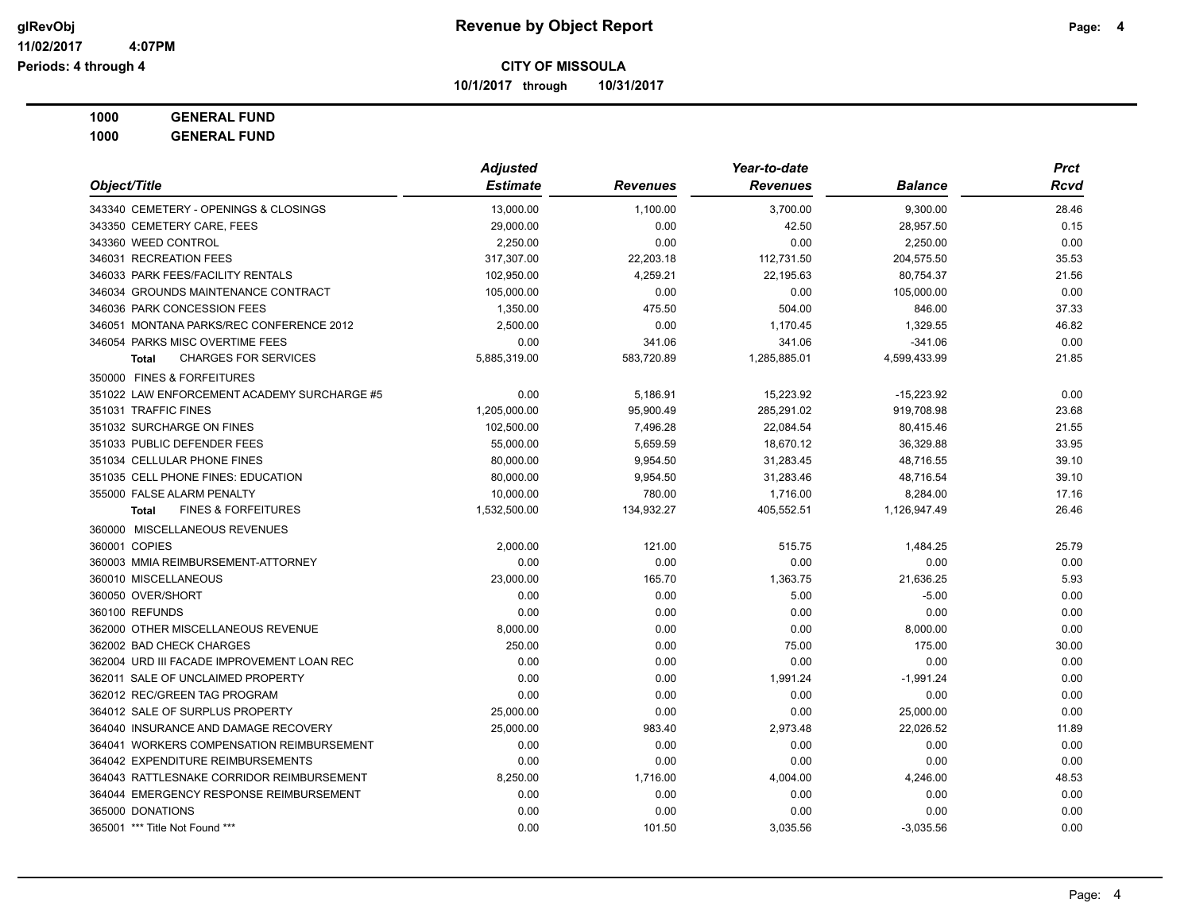**10/1/2017 through 10/31/2017**

#### **1000 GENERAL FUND**

|                                                | <b>Adjusted</b> |                 | Year-to-date    |                | <b>Prct</b> |
|------------------------------------------------|-----------------|-----------------|-----------------|----------------|-------------|
| Object/Title                                   | <b>Estimate</b> | <b>Revenues</b> | <b>Revenues</b> | <b>Balance</b> | <b>Rcvd</b> |
| 343340 CEMETERY - OPENINGS & CLOSINGS          | 13,000.00       | 1,100.00        | 3,700.00        | 9,300.00       | 28.46       |
| 343350 CEMETERY CARE, FEES                     | 29,000.00       | 0.00            | 42.50           | 28,957.50      | 0.15        |
| 343360 WEED CONTROL                            | 2,250.00        | 0.00            | 0.00            | 2,250.00       | 0.00        |
| 346031 RECREATION FEES                         | 317,307.00      | 22,203.18       | 112,731.50      | 204,575.50     | 35.53       |
| 346033 PARK FEES/FACILITY RENTALS              | 102,950.00      | 4,259.21        | 22,195.63       | 80,754.37      | 21.56       |
| 346034 GROUNDS MAINTENANCE CONTRACT            | 105,000.00      | 0.00            | 0.00            | 105,000.00     | 0.00        |
| 346036 PARK CONCESSION FEES                    | 1,350.00        | 475.50          | 504.00          | 846.00         | 37.33       |
| 346051 MONTANA PARKS/REC CONFERENCE 2012       | 2,500.00        | 0.00            | 1,170.45        | 1,329.55       | 46.82       |
| 346054 PARKS MISC OVERTIME FEES                | 0.00            | 341.06          | 341.06          | $-341.06$      | 0.00        |
| <b>CHARGES FOR SERVICES</b><br>Total           | 5,885,319.00    | 583,720.89      | 1,285,885.01    | 4,599,433.99   | 21.85       |
| 350000 FINES & FORFEITURES                     |                 |                 |                 |                |             |
| 351022 LAW ENFORCEMENT ACADEMY SURCHARGE #5    | 0.00            | 5,186.91        | 15,223.92       | $-15,223.92$   | 0.00        |
| 351031 TRAFFIC FINES                           | 1,205,000.00    | 95,900.49       | 285,291.02      | 919,708.98     | 23.68       |
| 351032 SURCHARGE ON FINES                      | 102,500.00      | 7,496.28        | 22,084.54       | 80,415.46      | 21.55       |
| 351033 PUBLIC DEFENDER FEES                    | 55,000.00       | 5,659.59        | 18,670.12       | 36,329.88      | 33.95       |
| 351034 CELLULAR PHONE FINES                    | 80,000.00       | 9,954.50        | 31,283.45       | 48,716.55      | 39.10       |
| 351035 CELL PHONE FINES: EDUCATION             | 80,000.00       | 9,954.50        | 31,283.46       | 48,716.54      | 39.10       |
| 355000 FALSE ALARM PENALTY                     | 10,000.00       | 780.00          | 1,716.00        | 8,284.00       | 17.16       |
| <b>FINES &amp; FORFEITURES</b><br><b>Total</b> | 1,532,500.00    | 134,932.27      | 405,552.51      | 1,126,947.49   | 26.46       |
| 360000 MISCELLANEOUS REVENUES                  |                 |                 |                 |                |             |
| 360001 COPIES                                  | 2,000.00        | 121.00          | 515.75          | 1,484.25       | 25.79       |
| 360003 MMIA REIMBURSEMENT-ATTORNEY             | 0.00            | 0.00            | 0.00            | 0.00           | 0.00        |
| 360010 MISCELLANEOUS                           | 23,000.00       | 165.70          | 1,363.75        | 21,636.25      | 5.93        |
| 360050 OVER/SHORT                              | 0.00            | 0.00            | 5.00            | $-5.00$        | 0.00        |
| 360100 REFUNDS                                 | 0.00            | 0.00            | 0.00            | 0.00           | 0.00        |
| 362000 OTHER MISCELLANEOUS REVENUE             | 8,000.00        | 0.00            | 0.00            | 8,000.00       | 0.00        |
| 362002 BAD CHECK CHARGES                       | 250.00          | 0.00            | 75.00           | 175.00         | 30.00       |
| 362004 URD III FACADE IMPROVEMENT LOAN REC     | 0.00            | 0.00            | 0.00            | 0.00           | 0.00        |
| 362011 SALE OF UNCLAIMED PROPERTY              | 0.00            | 0.00            | 1,991.24        | $-1,991.24$    | 0.00        |
| 362012 REC/GREEN TAG PROGRAM                   | 0.00            | 0.00            | 0.00            | 0.00           | 0.00        |
| 364012 SALE OF SURPLUS PROPERTY                | 25,000.00       | 0.00            | 0.00            | 25,000.00      | 0.00        |
| 364040 INSURANCE AND DAMAGE RECOVERY           | 25,000.00       | 983.40          | 2,973.48        | 22,026.52      | 11.89       |
| 364041 WORKERS COMPENSATION REIMBURSEMENT      | 0.00            | 0.00            | 0.00            | 0.00           | 0.00        |
| 364042 EXPENDITURE REIMBURSEMENTS              | 0.00            | 0.00            | 0.00            | 0.00           | 0.00        |
| 364043 RATTLESNAKE CORRIDOR REIMBURSEMENT      | 8,250.00        | 1,716.00        | 4,004.00        | 4,246.00       | 48.53       |
| 364044 EMERGENCY RESPONSE REIMBURSEMENT        | 0.00            | 0.00            | 0.00            | 0.00           | 0.00        |
| 365000 DONATIONS                               | 0.00            | 0.00            | 0.00            | 0.00           | 0.00        |
| 365001 *** Title Not Found ***                 | 0.00            | 101.50          | 3,035.56        | $-3,035.56$    | 0.00        |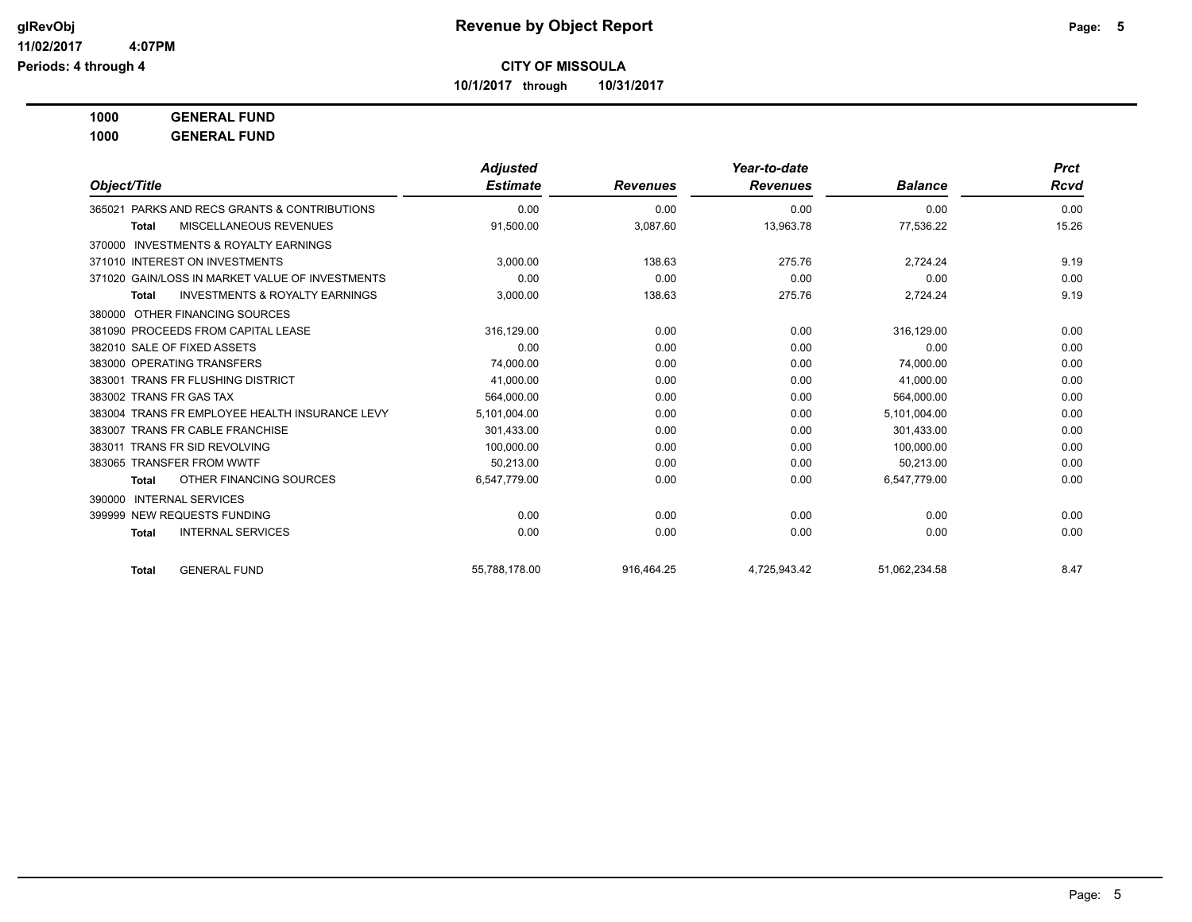**10/1/2017 through 10/31/2017**

# **1000 GENERAL FUND**

|                                                           | <b>Adjusted</b> |                 | Year-to-date    |                | <b>Prct</b> |
|-----------------------------------------------------------|-----------------|-----------------|-----------------|----------------|-------------|
| Object/Title                                              | <b>Estimate</b> | <b>Revenues</b> | <b>Revenues</b> | <b>Balance</b> | <b>Rcvd</b> |
| PARKS AND RECS GRANTS & CONTRIBUTIONS<br>365021           | 0.00            | 0.00            | 0.00            | 0.00           | 0.00        |
| MISCELLANEOUS REVENUES<br><b>Total</b>                    | 91,500.00       | 3,087.60        | 13,963.78       | 77,536.22      | 15.26       |
| <b>INVESTMENTS &amp; ROYALTY EARNINGS</b><br>370000       |                 |                 |                 |                |             |
| 371010 INTEREST ON INVESTMENTS                            | 3.000.00        | 138.63          | 275.76          | 2.724.24       | 9.19        |
| 371020 GAIN/LOSS IN MARKET VALUE OF INVESTMENTS           | 0.00            | 0.00            | 0.00            | 0.00           | 0.00        |
| <b>INVESTMENTS &amp; ROYALTY EARNINGS</b><br><b>Total</b> | 3,000.00        | 138.63          | 275.76          | 2,724.24       | 9.19        |
| OTHER FINANCING SOURCES<br>380000                         |                 |                 |                 |                |             |
| 381090 PROCEEDS FROM CAPITAL LEASE                        | 316.129.00      | 0.00            | 0.00            | 316.129.00     | 0.00        |
| 382010 SALE OF FIXED ASSETS                               | 0.00            | 0.00            | 0.00            | 0.00           | 0.00        |
| 383000 OPERATING TRANSFERS                                | 74.000.00       | 0.00            | 0.00            | 74.000.00      | 0.00        |
| <b>TRANS FR FLUSHING DISTRICT</b><br>383001               | 41.000.00       | 0.00            | 0.00            | 41.000.00      | 0.00        |
| 383002 TRANS FR GAS TAX                                   | 564,000.00      | 0.00            | 0.00            | 564,000.00     | 0.00        |
| 383004 TRANS FR EMPLOYEE HEALTH INSURANCE LEVY            | 5,101,004.00    | 0.00            | 0.00            | 5,101,004.00   | 0.00        |
| 383007 TRANS FR CABLE FRANCHISE                           | 301,433.00      | 0.00            | 0.00            | 301,433.00     | 0.00        |
| 383011 TRANS FR SID REVOLVING                             | 100,000.00      | 0.00            | 0.00            | 100,000.00     | 0.00        |
| 383065 TRANSFER FROM WWTF                                 | 50,213.00       | 0.00            | 0.00            | 50,213.00      | 0.00        |
| OTHER FINANCING SOURCES<br><b>Total</b>                   | 6,547,779.00    | 0.00            | 0.00            | 6,547,779.00   | 0.00        |
| <b>INTERNAL SERVICES</b><br>390000                        |                 |                 |                 |                |             |
| 399999 NEW REQUESTS FUNDING                               | 0.00            | 0.00            | 0.00            | 0.00           | 0.00        |
| <b>INTERNAL SERVICES</b><br><b>Total</b>                  | 0.00            | 0.00            | 0.00            | 0.00           | 0.00        |
| <b>GENERAL FUND</b><br>Total                              | 55,788,178.00   | 916.464.25      | 4,725,943.42    | 51,062,234.58  | 8.47        |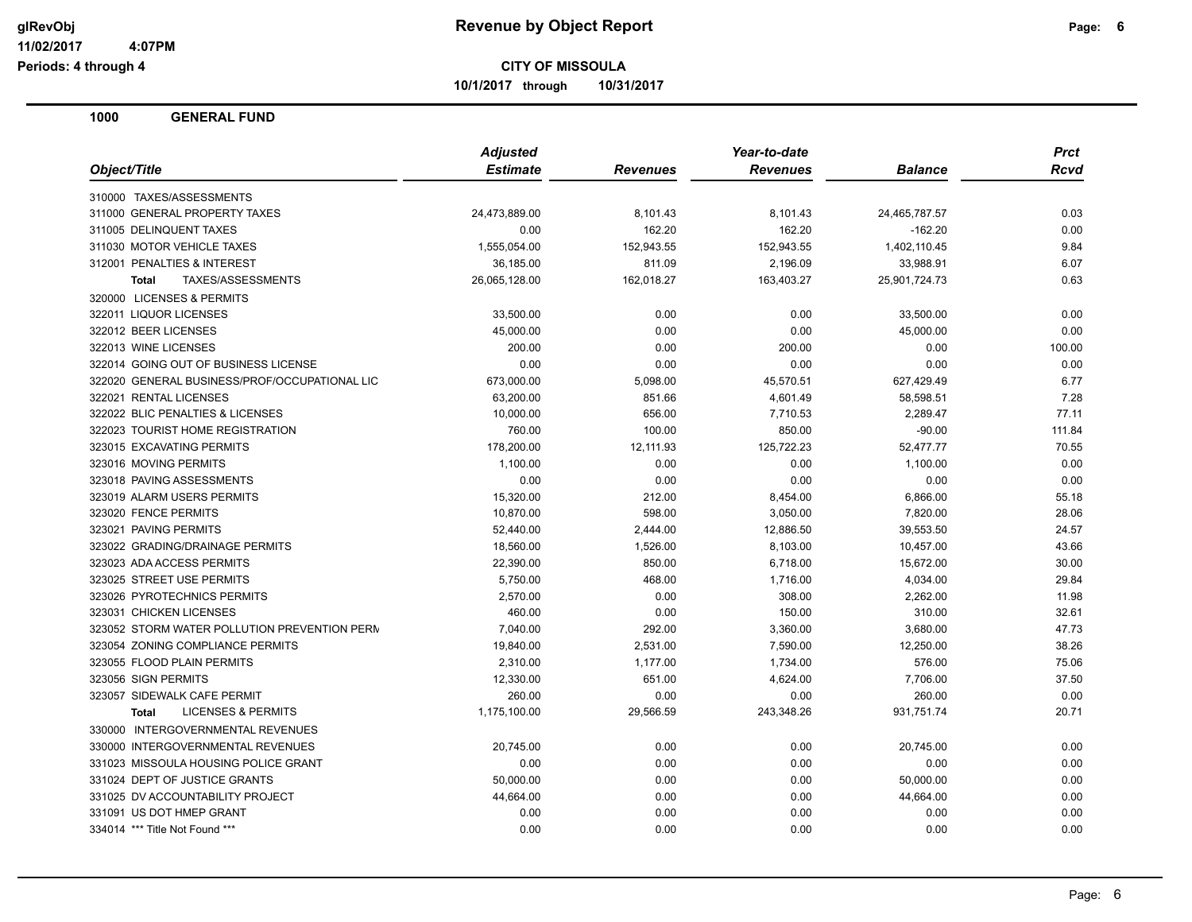**11/02/2017**

 **4:07PM Periods: 4 through 4**

**CITY OF MISSOULA**

**10/1/2017 through 10/31/2017**

|                                               | <b>Adjusted</b> |                 | Year-to-date    |                | <b>Prct</b> |
|-----------------------------------------------|-----------------|-----------------|-----------------|----------------|-------------|
| Object/Title                                  | <b>Estimate</b> | <b>Revenues</b> | <b>Revenues</b> | <b>Balance</b> | Rcvd        |
| 310000 TAXES/ASSESSMENTS                      |                 |                 |                 |                |             |
| 311000 GENERAL PROPERTY TAXES                 | 24,473,889.00   | 8,101.43        | 8,101.43        | 24,465,787.57  | 0.03        |
| 311005 DELINQUENT TAXES                       | 0.00            | 162.20          | 162.20          | $-162.20$      | 0.00        |
| 311030 MOTOR VEHICLE TAXES                    | 1,555,054.00    | 152,943.55      | 152,943.55      | 1,402,110.45   | 9.84        |
| 312001 PENALTIES & INTEREST                   | 36,185.00       | 811.09          | 2,196.09        | 33,988.91      | 6.07        |
| TAXES/ASSESSMENTS<br><b>Total</b>             | 26,065,128.00   | 162,018.27      | 163,403.27      | 25,901,724.73  | 0.63        |
| 320000 LICENSES & PERMITS                     |                 |                 |                 |                |             |
| 322011 LIQUOR LICENSES                        | 33,500.00       | 0.00            | 0.00            | 33,500.00      | 0.00        |
| 322012 BEER LICENSES                          | 45,000.00       | 0.00            | 0.00            | 45,000.00      | 0.00        |
| 322013 WINE LICENSES                          | 200.00          | 0.00            | 200.00          | 0.00           | 100.00      |
| 322014 GOING OUT OF BUSINESS LICENSE          | 0.00            | 0.00            | 0.00            | 0.00           | 0.00        |
| 322020 GENERAL BUSINESS/PROF/OCCUPATIONAL LIC | 673,000.00      | 5,098.00        | 45,570.51       | 627,429.49     | 6.77        |
| 322021 RENTAL LICENSES                        | 63,200.00       | 851.66          | 4,601.49        | 58,598.51      | 7.28        |
| 322022 BLIC PENALTIES & LICENSES              | 10,000.00       | 656.00          | 7,710.53        | 2,289.47       | 77.11       |
| 322023 TOURIST HOME REGISTRATION              | 760.00          | 100.00          | 850.00          | $-90.00$       | 111.84      |
| 323015 EXCAVATING PERMITS                     | 178,200.00      | 12,111.93       | 125,722.23      | 52,477.77      | 70.55       |
| 323016 MOVING PERMITS                         | 1,100.00        | 0.00            | 0.00            | 1,100.00       | 0.00        |
| 323018 PAVING ASSESSMENTS                     | 0.00            | 0.00            | 0.00            | 0.00           | 0.00        |
| 323019 ALARM USERS PERMITS                    | 15,320.00       | 212.00          | 8,454.00        | 6,866.00       | 55.18       |
| 323020 FENCE PERMITS                          | 10,870.00       | 598.00          | 3,050.00        | 7,820.00       | 28.06       |
| 323021 PAVING PERMITS                         | 52,440.00       | 2,444.00        | 12,886.50       | 39,553.50      | 24.57       |
| 323022 GRADING/DRAINAGE PERMITS               | 18,560.00       | 1,526.00        | 8,103.00        | 10,457.00      | 43.66       |
| 323023 ADA ACCESS PERMITS                     | 22,390.00       | 850.00          | 6,718.00        | 15,672.00      | 30.00       |
| 323025 STREET USE PERMITS                     | 5,750.00        | 468.00          | 1,716.00        | 4,034.00       | 29.84       |
| 323026 PYROTECHNICS PERMITS                   | 2,570.00        | 0.00            | 308.00          | 2,262.00       | 11.98       |
| 323031 CHICKEN LICENSES                       | 460.00          | 0.00            | 150.00          | 310.00         | 32.61       |
| 323052 STORM WATER POLLUTION PREVENTION PERM  | 7,040.00        | 292.00          | 3,360.00        | 3,680.00       | 47.73       |
| 323054 ZONING COMPLIANCE PERMITS              | 19,840.00       | 2,531.00        | 7,590.00        | 12,250.00      | 38.26       |
| 323055 FLOOD PLAIN PERMITS                    | 2,310.00        | 1,177.00        | 1,734.00        | 576.00         | 75.06       |
| 323056 SIGN PERMITS                           | 12,330.00       | 651.00          | 4,624.00        | 7,706.00       | 37.50       |
| 323057 SIDEWALK CAFE PERMIT                   | 260.00          | 0.00            | 0.00            | 260.00         | 0.00        |
| <b>LICENSES &amp; PERMITS</b><br>Total        | 1,175,100.00    | 29,566.59       | 243,348.26      | 931,751.74     | 20.71       |
| 330000 INTERGOVERNMENTAL REVENUES             |                 |                 |                 |                |             |
| 330000 INTERGOVERNMENTAL REVENUES             | 20,745.00       | 0.00            | 0.00            | 20,745.00      | 0.00        |
| 331023 MISSOULA HOUSING POLICE GRANT          | 0.00            | 0.00            | 0.00            | 0.00           | 0.00        |
| 331024 DEPT OF JUSTICE GRANTS                 | 50,000.00       | 0.00            | 0.00            | 50,000.00      | 0.00        |
| 331025 DV ACCOUNTABILITY PROJECT              | 44,664.00       | 0.00            | 0.00            | 44,664.00      | 0.00        |
| 331091 US DOT HMEP GRANT                      | 0.00            | 0.00            | 0.00            | 0.00           | 0.00        |
| 334014 *** Title Not Found ***                | 0.00            | 0.00            | 0.00            | 0.00           | 0.00        |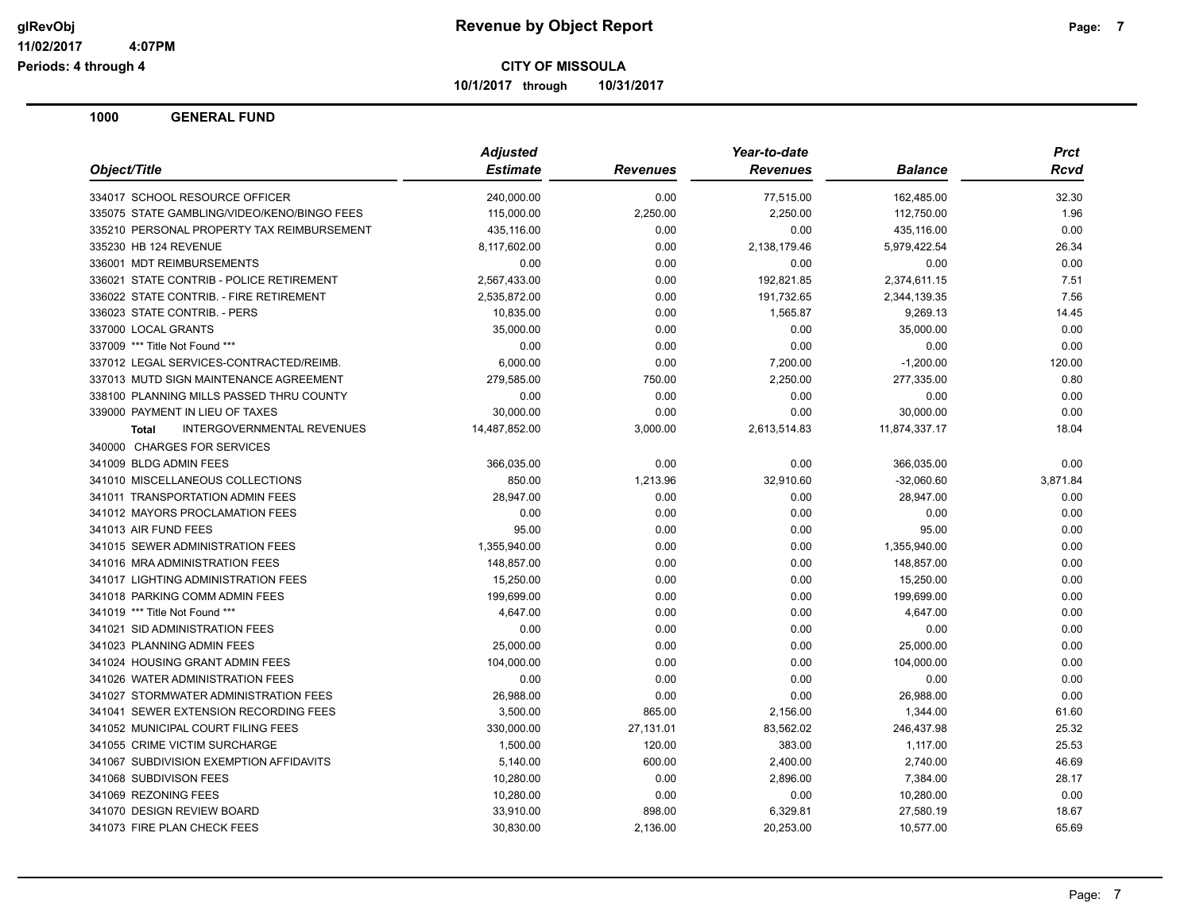**Periods: 4 through 4**

**CITY OF MISSOULA**

**10/1/2017 through 10/31/2017**

 **4:07PM**

|                                                   | <b>Adjusted</b><br><b>Estimate</b> |                 | Year-to-date    |                | <b>Prct</b> |
|---------------------------------------------------|------------------------------------|-----------------|-----------------|----------------|-------------|
| Object/Title                                      |                                    | <b>Revenues</b> | <b>Revenues</b> | <b>Balance</b> | Rcvd        |
| 334017 SCHOOL RESOURCE OFFICER                    | 240,000.00                         | 0.00            | 77,515.00       | 162,485.00     | 32.30       |
| 335075 STATE GAMBLING/VIDEO/KENO/BINGO FEES       | 115,000.00                         | 2,250.00        | 2,250.00        | 112,750.00     | 1.96        |
| 335210 PERSONAL PROPERTY TAX REIMBURSEMENT        | 435,116.00                         | 0.00            | 0.00            | 435,116.00     | 0.00        |
| 335230 HB 124 REVENUE                             | 8,117,602.00                       | 0.00            | 2,138,179.46    | 5,979,422.54   | 26.34       |
| 336001 MDT REIMBURSEMENTS                         | 0.00                               | 0.00            | 0.00            | 0.00           | 0.00        |
| 336021 STATE CONTRIB - POLICE RETIREMENT          | 2,567,433.00                       | 0.00            | 192,821.85      | 2,374,611.15   | 7.51        |
| 336022 STATE CONTRIB. - FIRE RETIREMENT           | 2,535,872.00                       | 0.00            | 191,732.65      | 2,344,139.35   | 7.56        |
| 336023 STATE CONTRIB. - PERS                      | 10,835.00                          | 0.00            | 1,565.87        | 9,269.13       | 14.45       |
| 337000 LOCAL GRANTS                               | 35,000.00                          | 0.00            | 0.00            | 35,000.00      | 0.00        |
| 337009 *** Title Not Found ***                    | 0.00                               | 0.00            | 0.00            | 0.00           | 0.00        |
| 337012 LEGAL SERVICES-CONTRACTED/REIMB.           | 6,000.00                           | 0.00            | 7,200.00        | $-1,200.00$    | 120.00      |
| 337013 MUTD SIGN MAINTENANCE AGREEMENT            | 279,585.00                         | 750.00          | 2,250.00        | 277,335.00     | 0.80        |
| 338100 PLANNING MILLS PASSED THRU COUNTY          | 0.00                               | 0.00            | 0.00            | 0.00           | 0.00        |
| 339000 PAYMENT IN LIEU OF TAXES                   | 30,000.00                          | 0.00            | 0.00            | 30,000.00      | 0.00        |
| <b>INTERGOVERNMENTAL REVENUES</b><br><b>Total</b> | 14,487,852.00                      | 3,000.00        | 2,613,514.83    | 11,874,337.17  | 18.04       |
| 340000 CHARGES FOR SERVICES                       |                                    |                 |                 |                |             |
| 341009 BLDG ADMIN FEES                            | 366,035.00                         | 0.00            | 0.00            | 366,035.00     | 0.00        |
| 341010 MISCELLANEOUS COLLECTIONS                  | 850.00                             | 1,213.96        | 32,910.60       | $-32,060.60$   | 3,871.84    |
| 341011 TRANSPORTATION ADMIN FEES                  | 28,947.00                          | 0.00            | 0.00            | 28,947.00      | 0.00        |
| 341012 MAYORS PROCLAMATION FEES                   | 0.00                               | 0.00            | 0.00            | 0.00           | 0.00        |
| 341013 AIR FUND FEES                              | 95.00                              | 0.00            | 0.00            | 95.00          | 0.00        |
| 341015 SEWER ADMINISTRATION FEES                  | 1,355,940.00                       | 0.00            | 0.00            | 1,355,940.00   | 0.00        |
| 341016 MRA ADMINISTRATION FEES                    | 148,857.00                         | 0.00            | 0.00            | 148,857.00     | 0.00        |
| 341017 LIGHTING ADMINISTRATION FEES               | 15,250.00                          | 0.00            | 0.00            | 15,250.00      | 0.00        |
| 341018 PARKING COMM ADMIN FEES                    | 199,699.00                         | 0.00            | 0.00            | 199,699.00     | 0.00        |
| 341019 *** Title Not Found ***                    | 4,647.00                           | 0.00            | 0.00            | 4,647.00       | 0.00        |
| 341021 SID ADMINISTRATION FEES                    | 0.00                               | 0.00            | 0.00            | 0.00           | 0.00        |
| 341023 PLANNING ADMIN FEES                        | 25,000.00                          | 0.00            | 0.00            | 25,000.00      | 0.00        |
| 341024 HOUSING GRANT ADMIN FEES                   | 104,000.00                         | 0.00            | 0.00            | 104,000.00     | 0.00        |
| 341026 WATER ADMINISTRATION FEES                  | 0.00                               | 0.00            | 0.00            | 0.00           | 0.00        |
| 341027 STORMWATER ADMINISTRATION FEES             | 26,988.00                          | 0.00            | 0.00            | 26,988.00      | 0.00        |
| 341041 SEWER EXTENSION RECORDING FEES             | 3,500.00                           | 865.00          | 2,156.00        | 1,344.00       | 61.60       |
| 341052 MUNICIPAL COURT FILING FEES                | 330,000.00                         | 27,131.01       | 83,562.02       | 246,437.98     | 25.32       |
| 341055 CRIME VICTIM SURCHARGE                     | 1,500.00                           | 120.00          | 383.00          | 1,117.00       | 25.53       |
| 341067 SUBDIVISION EXEMPTION AFFIDAVITS           | 5,140.00                           | 600.00          | 2,400.00        | 2,740.00       | 46.69       |
| 341068 SUBDIVISON FEES                            | 10,280.00                          | 0.00            | 2,896.00        | 7,384.00       | 28.17       |
| 341069 REZONING FEES                              | 10,280.00                          | 0.00            | 0.00            | 10,280.00      | 0.00        |
| 341070 DESIGN REVIEW BOARD                        | 33,910.00                          | 898.00          | 6,329.81        | 27,580.19      | 18.67       |
| 341073 FIRE PLAN CHECK FEES                       | 30,830.00                          | 2,136.00        | 20,253.00       | 10,577.00      | 65.69       |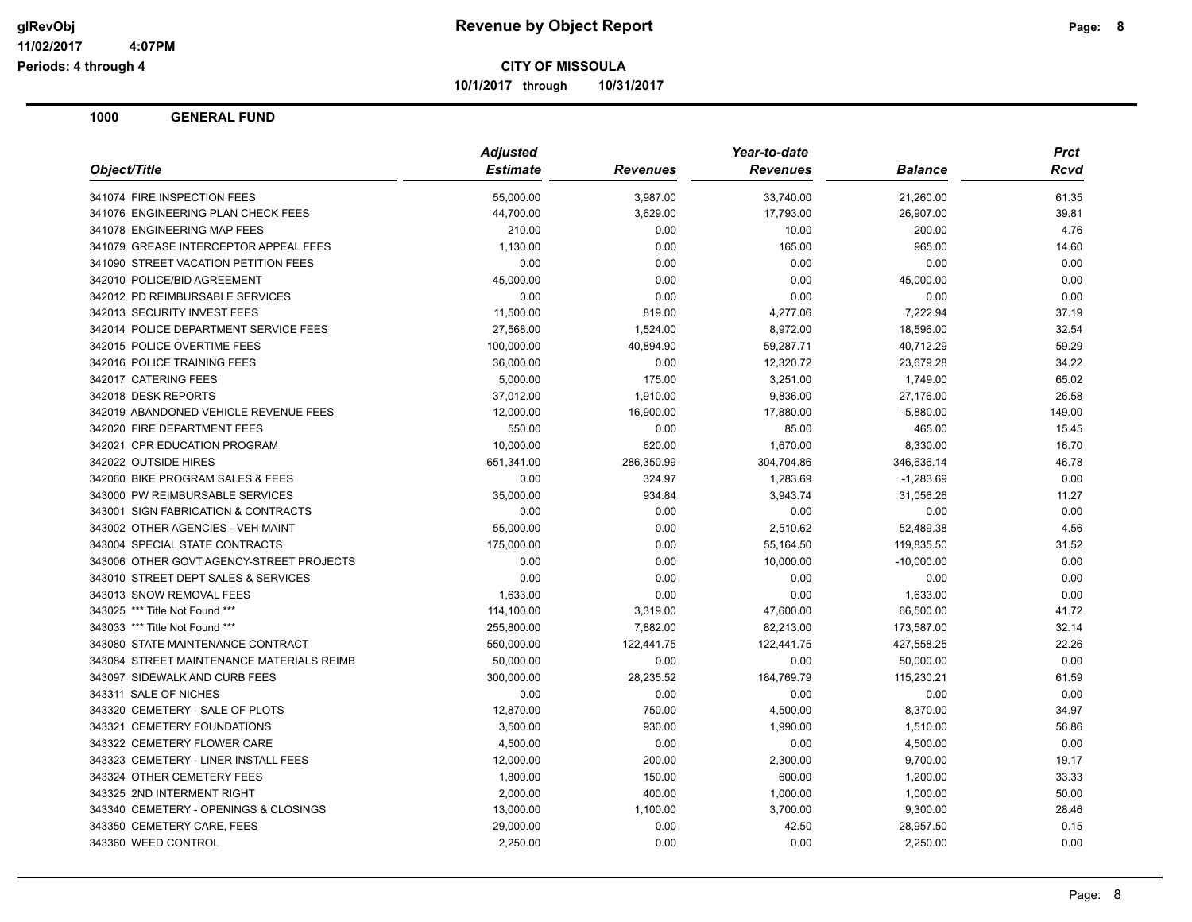**11/02/2017 4:07PM Periods: 4 through 4**

**CITY OF MISSOULA**

**10/1/2017 through 10/31/2017**

| Object/Title                              | <b>Adjusted</b><br><b>Estimate</b> | <b>Revenues</b> | Year-to-date<br><b>Revenues</b> | <b>Balance</b> | <b>Prct</b><br>Rcvd |
|-------------------------------------------|------------------------------------|-----------------|---------------------------------|----------------|---------------------|
|                                           |                                    |                 |                                 |                |                     |
| 341074 FIRE INSPECTION FEES               | 55,000.00                          | 3,987.00        | 33,740.00                       | 21,260.00      | 61.35               |
| 341076 ENGINEERING PLAN CHECK FEES        | 44,700.00                          | 3,629.00        | 17,793.00                       | 26,907.00      | 39.81               |
| 341078 ENGINEERING MAP FEES               | 210.00                             | 0.00            | 10.00                           | 200.00         | 4.76                |
| 341079 GREASE INTERCEPTOR APPEAL FEES     | 1,130.00                           | 0.00            | 165.00                          | 965.00         | 14.60               |
| 341090 STREET VACATION PETITION FEES      | 0.00                               | 0.00            | 0.00                            | 0.00           | 0.00                |
| 342010 POLICE/BID AGREEMENT               | 45,000.00                          | 0.00            | 0.00                            | 45,000.00      | 0.00                |
| 342012 PD REIMBURSABLE SERVICES           | 0.00                               | 0.00            | 0.00                            | 0.00           | 0.00                |
| 342013 SECURITY INVEST FEES               | 11,500.00                          | 819.00          | 4,277.06                        | 7,222.94       | 37.19               |
| 342014 POLICE DEPARTMENT SERVICE FEES     | 27,568.00                          | 1,524.00        | 8,972.00                        | 18,596.00      | 32.54               |
| 342015 POLICE OVERTIME FEES               | 100,000.00                         | 40,894.90       | 59,287.71                       | 40,712.29      | 59.29               |
| 342016 POLICE TRAINING FEES               | 36,000.00                          | 0.00            | 12,320.72                       | 23,679.28      | 34.22               |
| 342017 CATERING FEES                      | 5,000.00                           | 175.00          | 3,251.00                        | 1,749.00       | 65.02               |
| 342018 DESK REPORTS                       | 37,012.00                          | 1,910.00        | 9,836.00                        | 27,176.00      | 26.58               |
| 342019 ABANDONED VEHICLE REVENUE FEES     | 12,000.00                          | 16,900.00       | 17,880.00                       | $-5,880.00$    | 149.00              |
| 342020 FIRE DEPARTMENT FEES               | 550.00                             | 0.00            | 85.00                           | 465.00         | 15.45               |
| 342021 CPR EDUCATION PROGRAM              | 10,000.00                          | 620.00          | 1,670.00                        | 8,330.00       | 16.70               |
| 342022 OUTSIDE HIRES                      | 651,341.00                         | 286,350.99      | 304,704.86                      | 346,636.14     | 46.78               |
| 342060 BIKE PROGRAM SALES & FEES          | 0.00                               | 324.97          | 1,283.69                        | $-1,283.69$    | 0.00                |
| 343000 PW REIMBURSABLE SERVICES           | 35,000.00                          | 934.84          | 3,943.74                        | 31,056.26      | 11.27               |
| 343001 SIGN FABRICATION & CONTRACTS       | 0.00                               | 0.00            | 0.00                            | 0.00           | 0.00                |
| 343002 OTHER AGENCIES - VEH MAINT         | 55,000.00                          | 0.00            | 2,510.62                        | 52,489.38      | 4.56                |
| 343004 SPECIAL STATE CONTRACTS            | 175,000.00                         | 0.00            | 55,164.50                       | 119,835.50     | 31.52               |
| 343006 OTHER GOVT AGENCY-STREET PROJECTS  | 0.00                               | 0.00            | 10,000.00                       | $-10,000.00$   | 0.00                |
| 343010 STREET DEPT SALES & SERVICES       | 0.00                               | 0.00            | 0.00                            | 0.00           | 0.00                |
| 343013 SNOW REMOVAL FEES                  | 1,633.00                           | 0.00            | 0.00                            | 1,633.00       | 0.00                |
| 343025 *** Title Not Found ***            | 114,100.00                         | 3,319.00        | 47,600.00                       | 66,500.00      | 41.72               |
| 343033 *** Title Not Found ***            | 255,800.00                         | 7,882.00        | 82,213.00                       | 173,587.00     | 32.14               |
| 343080 STATE MAINTENANCE CONTRACT         | 550,000.00                         | 122,441.75      | 122,441.75                      | 427,558.25     | 22.26               |
| 343084 STREET MAINTENANCE MATERIALS REIMB | 50,000.00                          | 0.00            | 0.00                            | 50,000.00      | 0.00                |
| 343097 SIDEWALK AND CURB FEES             | 300,000.00                         | 28,235.52       | 184,769.79                      | 115,230.21     | 61.59               |
| 343311 SALE OF NICHES                     | 0.00                               | 0.00            | 0.00                            | 0.00           | 0.00                |
| 343320 CEMETERY - SALE OF PLOTS           | 12,870.00                          | 750.00          | 4,500.00                        | 8,370.00       | 34.97               |
| 343321 CEMETERY FOUNDATIONS               | 3,500.00                           | 930.00          | 1,990.00                        | 1,510.00       | 56.86               |
| 343322 CEMETERY FLOWER CARE               | 4,500.00                           | 0.00            | 0.00                            | 4,500.00       | 0.00                |
| 343323 CEMETERY - LINER INSTALL FEES      | 12,000.00                          | 200.00          | 2,300.00                        | 9,700.00       | 19.17               |
| 343324 OTHER CEMETERY FEES                | 1,800.00                           | 150.00          | 600.00                          | 1,200.00       | 33.33               |
| 343325 2ND INTERMENT RIGHT                | 2,000.00                           | 400.00          | 1,000.00                        | 1,000.00       | 50.00               |
| 343340 CEMETERY - OPENINGS & CLOSINGS     | 13,000.00                          | 1,100.00        | 3,700.00                        | 9,300.00       | 28.46               |
| 343350 CEMETERY CARE, FEES                | 29,000.00                          | 0.00            | 42.50                           | 28,957.50      | 0.15                |
| 343360 WEED CONTROL                       | 2,250.00                           | 0.00            | 0.00                            | 2,250.00       | 0.00                |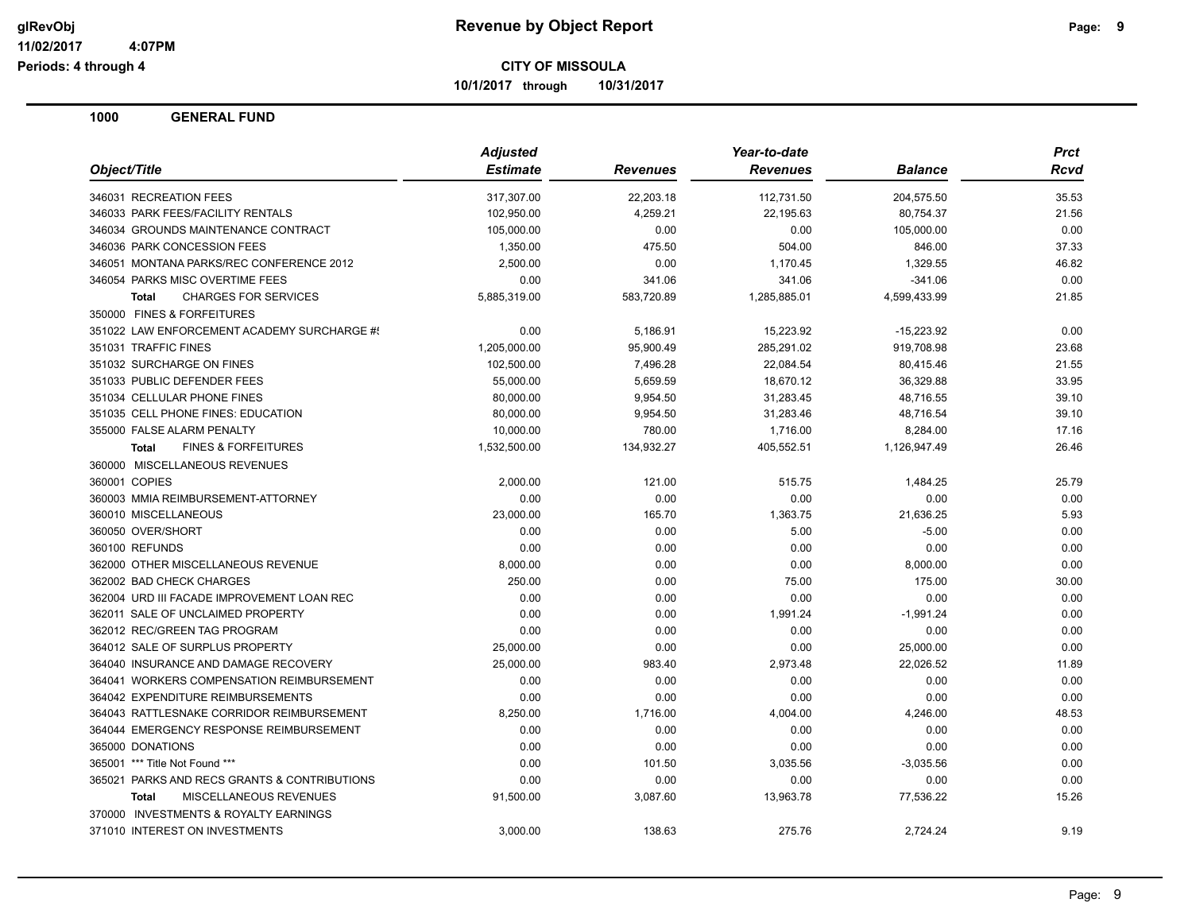**10/1/2017 through 10/31/2017**

| Object/Title                                   | <b>Adjusted</b><br><b>Estimate</b> | Revenues   | Year-to-date<br><b>Revenues</b> | <b>Balance</b> | <b>Prct</b><br>Rcvd |
|------------------------------------------------|------------------------------------|------------|---------------------------------|----------------|---------------------|
| 346031 RECREATION FEES                         | 317,307.00                         | 22,203.18  | 112,731.50                      | 204,575.50     | 35.53               |
| 346033 PARK FEES/FACILITY RENTALS              | 102,950.00                         | 4,259.21   | 22,195.63                       | 80,754.37      | 21.56               |
| 346034 GROUNDS MAINTENANCE CONTRACT            | 105,000.00                         | 0.00       | 0.00                            | 105,000.00     | 0.00                |
| 346036 PARK CONCESSION FEES                    | 1,350.00                           | 475.50     | 504.00                          | 846.00         | 37.33               |
| 346051 MONTANA PARKS/REC CONFERENCE 2012       | 2,500.00                           | 0.00       | 1,170.45                        | 1,329.55       | 46.82               |
| 346054 PARKS MISC OVERTIME FEES                | 0.00                               | 341.06     | 341.06                          | $-341.06$      | 0.00                |
| <b>CHARGES FOR SERVICES</b><br><b>Total</b>    | 5,885,319.00                       | 583,720.89 | 1,285,885.01                    | 4,599,433.99   | 21.85               |
| 350000 FINES & FORFEITURES                     |                                    |            |                                 |                |                     |
| 351022 LAW ENFORCEMENT ACADEMY SURCHARGE #!    | 0.00                               | 5,186.91   | 15,223.92                       | $-15,223.92$   | 0.00                |
| 351031 TRAFFIC FINES                           | 1,205,000.00                       | 95,900.49  | 285,291.02                      | 919,708.98     | 23.68               |
| 351032 SURCHARGE ON FINES                      | 102,500.00                         | 7,496.28   | 22,084.54                       | 80,415.46      | 21.55               |
| 351033 PUBLIC DEFENDER FEES                    | 55,000.00                          | 5,659.59   | 18,670.12                       | 36,329.88      | 33.95               |
| 351034 CELLULAR PHONE FINES                    | 80,000.00                          | 9,954.50   | 31,283.45                       | 48,716.55      | 39.10               |
| 351035 CELL PHONE FINES: EDUCATION             | 80,000.00                          | 9,954.50   | 31,283.46                       | 48,716.54      | 39.10               |
| 355000 FALSE ALARM PENALTY                     | 10,000.00                          | 780.00     | 1,716.00                        | 8,284.00       | 17.16               |
| <b>FINES &amp; FORFEITURES</b><br><b>Total</b> | 1,532,500.00                       | 134,932.27 | 405,552.51                      | 1,126,947.49   | 26.46               |
| 360000 MISCELLANEOUS REVENUES                  |                                    |            |                                 |                |                     |
| 360001 COPIES                                  | 2,000.00                           | 121.00     | 515.75                          | 1,484.25       | 25.79               |
| 360003 MMIA REIMBURSEMENT-ATTORNEY             | 0.00                               | 0.00       | 0.00                            | 0.00           | 0.00                |
| 360010 MISCELLANEOUS                           | 23,000.00                          | 165.70     | 1,363.75                        | 21,636.25      | 5.93                |
| 360050 OVER/SHORT                              | 0.00                               | 0.00       | 5.00                            | $-5.00$        | 0.00                |
| 360100 REFUNDS                                 | 0.00                               | 0.00       | 0.00                            | 0.00           | 0.00                |
| 362000 OTHER MISCELLANEOUS REVENUE             | 8,000.00                           | 0.00       | 0.00                            | 8,000.00       | 0.00                |
| 362002 BAD CHECK CHARGES                       | 250.00                             | 0.00       | 75.00                           | 175.00         | 30.00               |
| 362004 URD III FACADE IMPROVEMENT LOAN REC     | 0.00                               | 0.00       | 0.00                            | 0.00           | 0.00                |
| 362011 SALE OF UNCLAIMED PROPERTY              | 0.00                               | 0.00       | 1,991.24                        | $-1,991.24$    | 0.00                |
| 362012 REC/GREEN TAG PROGRAM                   | 0.00                               | 0.00       | 0.00                            | 0.00           | 0.00                |
| 364012 SALE OF SURPLUS PROPERTY                | 25,000.00                          | 0.00       | 0.00                            | 25,000.00      | 0.00                |
| 364040 INSURANCE AND DAMAGE RECOVERY           | 25,000.00                          | 983.40     | 2,973.48                        | 22,026.52      | 11.89               |
| 364041 WORKERS COMPENSATION REIMBURSEMENT      | 0.00                               | 0.00       | 0.00                            | 0.00           | 0.00                |
| 364042 EXPENDITURE REIMBURSEMENTS              | 0.00                               | 0.00       | 0.00                            | 0.00           | 0.00                |
| 364043 RATTLESNAKE CORRIDOR REIMBURSEMENT      | 8,250.00                           | 1,716.00   | 4,004.00                        | 4,246.00       | 48.53               |
| 364044 EMERGENCY RESPONSE REIMBURSEMENT        | 0.00                               | 0.00       | 0.00                            | 0.00           | 0.00                |
| 365000 DONATIONS                               | 0.00                               | 0.00       | 0.00                            | 0.00           | 0.00                |
| 365001 *** Title Not Found ***                 | 0.00                               | 101.50     | 3,035.56                        | $-3,035.56$    | 0.00                |
| 365021 PARKS AND RECS GRANTS & CONTRIBUTIONS   | 0.00                               | 0.00       | 0.00                            | 0.00           | 0.00                |
| MISCELLANEOUS REVENUES<br>Total                | 91,500.00                          | 3,087.60   | 13,963.78                       | 77,536.22      | 15.26               |
| 370000 INVESTMENTS & ROYALTY EARNINGS          |                                    |            |                                 |                |                     |
| 371010 INTEREST ON INVESTMENTS                 | 3,000.00                           | 138.63     | 275.76                          | 2,724.24       | 9.19                |
|                                                |                                    |            |                                 |                |                     |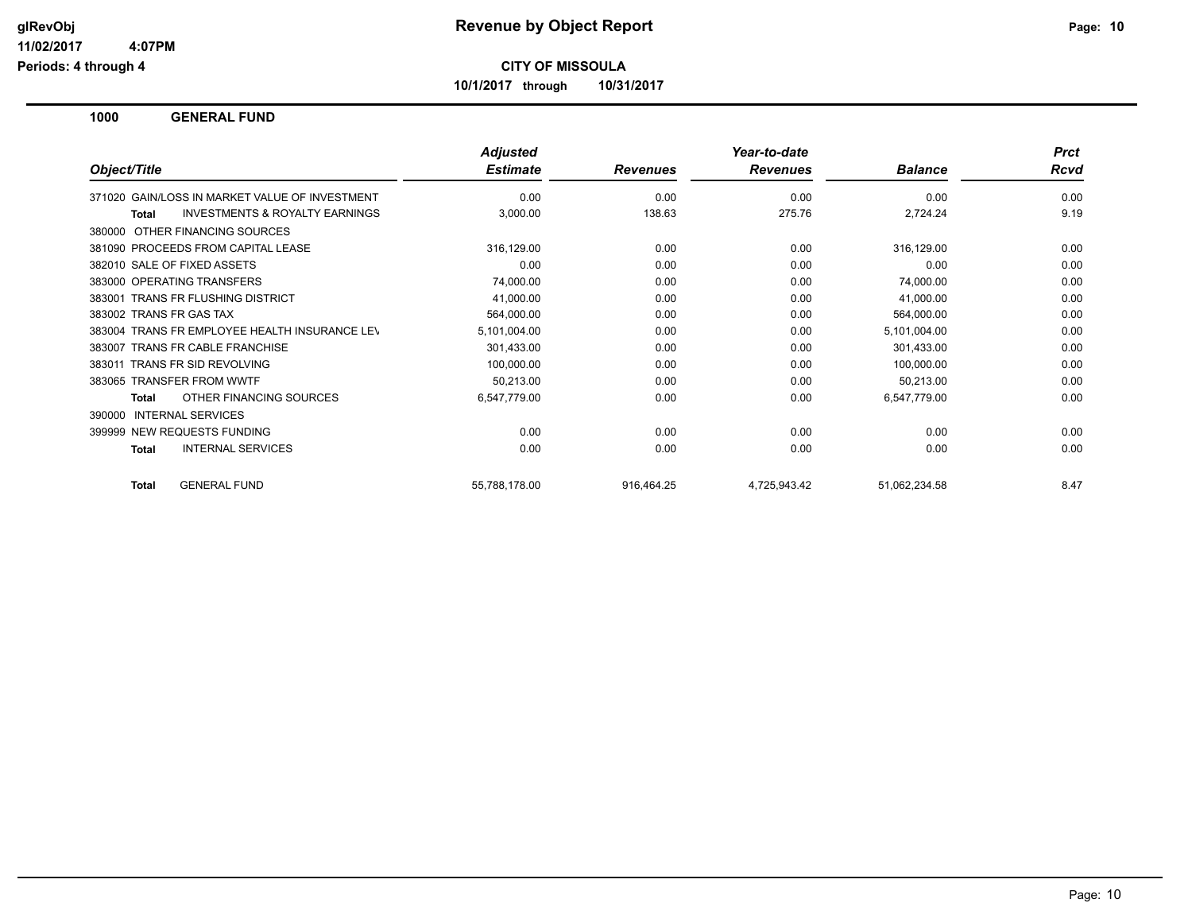**10/1/2017 through 10/31/2017**

|                                                           | <b>Adjusted</b> |                 | Year-to-date    |                | <b>Prct</b> |
|-----------------------------------------------------------|-----------------|-----------------|-----------------|----------------|-------------|
| Object/Title                                              | <b>Estimate</b> | <b>Revenues</b> | <b>Revenues</b> | <b>Balance</b> | Rcvd        |
| 371020 GAIN/LOSS IN MARKET VALUE OF INVESTMENT            | 0.00            | 0.00            | 0.00            | 0.00           | 0.00        |
| <b>INVESTMENTS &amp; ROYALTY EARNINGS</b><br><b>Total</b> | 3,000.00        | 138.63          | 275.76          | 2,724.24       | 9.19        |
| 380000 OTHER FINANCING SOURCES                            |                 |                 |                 |                |             |
| 381090 PROCEEDS FROM CAPITAL LEASE                        | 316,129.00      | 0.00            | 0.00            | 316,129.00     | 0.00        |
| 382010 SALE OF FIXED ASSETS                               | 0.00            | 0.00            | 0.00            | 0.00           | 0.00        |
| 383000 OPERATING TRANSFERS                                | 74,000.00       | 0.00            | 0.00            | 74,000.00      | 0.00        |
| 383001 TRANS FR FLUSHING DISTRICT                         | 41,000.00       | 0.00            | 0.00            | 41,000.00      | 0.00        |
| 383002 TRANS FR GAS TAX                                   | 564,000.00      | 0.00            | 0.00            | 564,000.00     | 0.00        |
| 383004 TRANS FR EMPLOYEE HEALTH INSURANCE LEV             | 5,101,004.00    | 0.00            | 0.00            | 5,101,004.00   | 0.00        |
| 383007 TRANS FR CABLE FRANCHISE                           | 301,433.00      | 0.00            | 0.00            | 301,433.00     | 0.00        |
| 383011 TRANS FR SID REVOLVING                             | 100,000.00      | 0.00            | 0.00            | 100,000.00     | 0.00        |
| 383065 TRANSFER FROM WWTF                                 | 50,213.00       | 0.00            | 0.00            | 50,213.00      | 0.00        |
| OTHER FINANCING SOURCES<br><b>Total</b>                   | 6,547,779.00    | 0.00            | 0.00            | 6,547,779.00   | 0.00        |
| 390000 INTERNAL SERVICES                                  |                 |                 |                 |                |             |
| 399999 NEW REQUESTS FUNDING                               | 0.00            | 0.00            | 0.00            | 0.00           | 0.00        |
| <b>INTERNAL SERVICES</b><br><b>Total</b>                  | 0.00            | 0.00            | 0.00            | 0.00           | 0.00        |
| <b>GENERAL FUND</b><br><b>Total</b>                       | 55,788,178.00   | 916,464.25      | 4,725,943.42    | 51,062,234.58  | 8.47        |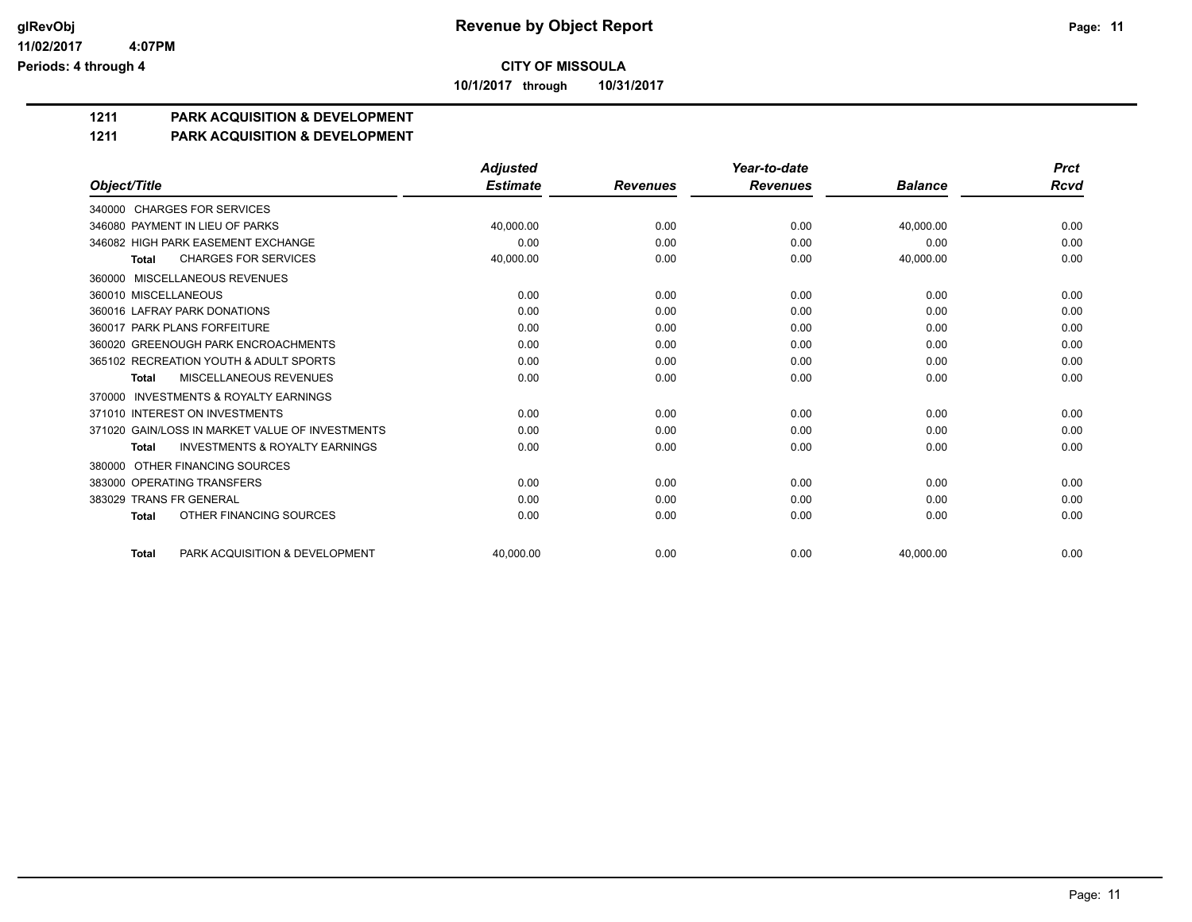**10/1/2017 through 10/31/2017**

# **1211 PARK ACQUISITION & DEVELOPMENT**

#### **1211 PARK ACQUISITION & DEVELOPMENT**

|                                                           | <b>Adjusted</b> |                 | Year-to-date    |                | <b>Prct</b> |
|-----------------------------------------------------------|-----------------|-----------------|-----------------|----------------|-------------|
| Object/Title                                              | <b>Estimate</b> | <b>Revenues</b> | <b>Revenues</b> | <b>Balance</b> | Rcvd        |
| 340000 CHARGES FOR SERVICES                               |                 |                 |                 |                |             |
| 346080 PAYMENT IN LIEU OF PARKS                           | 40,000.00       | 0.00            | 0.00            | 40,000.00      | 0.00        |
| 346082 HIGH PARK EASEMENT EXCHANGE                        | 0.00            | 0.00            | 0.00            | 0.00           | 0.00        |
| <b>CHARGES FOR SERVICES</b><br><b>Total</b>               | 40,000.00       | 0.00            | 0.00            | 40,000.00      | 0.00        |
| 360000 MISCELLANEOUS REVENUES                             |                 |                 |                 |                |             |
| 360010 MISCELLANEOUS                                      | 0.00            | 0.00            | 0.00            | 0.00           | 0.00        |
| 360016 LAFRAY PARK DONATIONS                              | 0.00            | 0.00            | 0.00            | 0.00           | 0.00        |
| 360017 PARK PLANS FORFEITURE                              | 0.00            | 0.00            | 0.00            | 0.00           | 0.00        |
| 360020 GREENOUGH PARK ENCROACHMENTS                       | 0.00            | 0.00            | 0.00            | 0.00           | 0.00        |
| 365102 RECREATION YOUTH & ADULT SPORTS                    | 0.00            | 0.00            | 0.00            | 0.00           | 0.00        |
| <b>MISCELLANEOUS REVENUES</b><br><b>Total</b>             | 0.00            | 0.00            | 0.00            | 0.00           | 0.00        |
| <b>INVESTMENTS &amp; ROYALTY EARNINGS</b><br>370000       |                 |                 |                 |                |             |
| 371010 INTEREST ON INVESTMENTS                            | 0.00            | 0.00            | 0.00            | 0.00           | 0.00        |
| 371020 GAIN/LOSS IN MARKET VALUE OF INVESTMENTS           | 0.00            | 0.00            | 0.00            | 0.00           | 0.00        |
| <b>INVESTMENTS &amp; ROYALTY EARNINGS</b><br><b>Total</b> | 0.00            | 0.00            | 0.00            | 0.00           | 0.00        |
| OTHER FINANCING SOURCES<br>380000                         |                 |                 |                 |                |             |
| 383000 OPERATING TRANSFERS                                | 0.00            | 0.00            | 0.00            | 0.00           | 0.00        |
| 383029 TRANS FR GENERAL                                   | 0.00            | 0.00            | 0.00            | 0.00           | 0.00        |
| OTHER FINANCING SOURCES<br><b>Total</b>                   | 0.00            | 0.00            | 0.00            | 0.00           | 0.00        |
| PARK ACQUISITION & DEVELOPMENT<br>Total                   | 40,000.00       | 0.00            | 0.00            | 40,000.00      | 0.00        |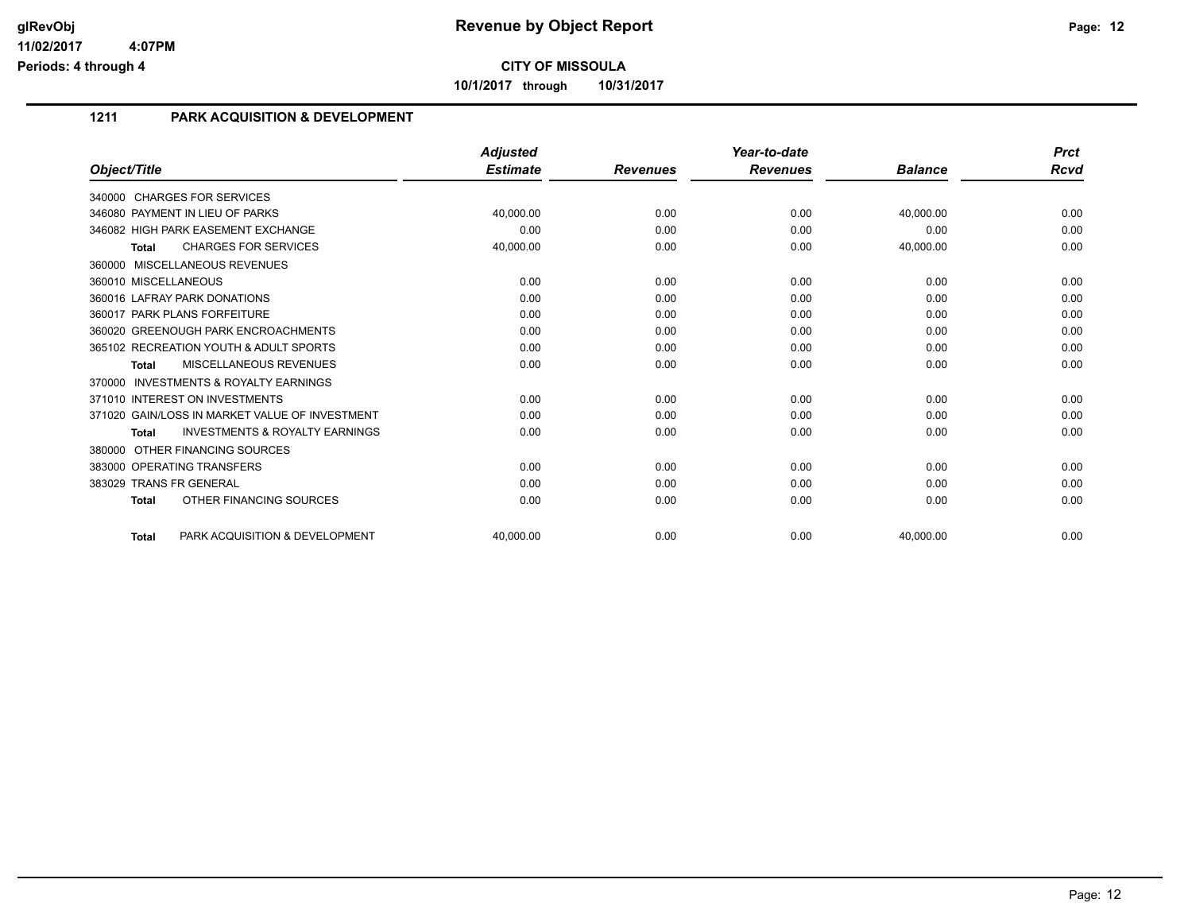**10/1/2017 through 10/31/2017**

# **1211 PARK ACQUISITION & DEVELOPMENT**

|                                                           | <b>Adjusted</b> |                 | Year-to-date    |                | <b>Prct</b> |
|-----------------------------------------------------------|-----------------|-----------------|-----------------|----------------|-------------|
| Object/Title                                              | <b>Estimate</b> | <b>Revenues</b> | <b>Revenues</b> | <b>Balance</b> | Rcvd        |
| 340000 CHARGES FOR SERVICES                               |                 |                 |                 |                |             |
| 346080 PAYMENT IN LIEU OF PARKS                           | 40,000.00       | 0.00            | 0.00            | 40,000.00      | 0.00        |
| 346082 HIGH PARK EASEMENT EXCHANGE                        | 0.00            | 0.00            | 0.00            | 0.00           | 0.00        |
| <b>CHARGES FOR SERVICES</b><br><b>Total</b>               | 40,000.00       | 0.00            | 0.00            | 40,000.00      | 0.00        |
| 360000 MISCELLANEOUS REVENUES                             |                 |                 |                 |                |             |
| 360010 MISCELLANEOUS                                      | 0.00            | 0.00            | 0.00            | 0.00           | 0.00        |
| 360016 LAFRAY PARK DONATIONS                              | 0.00            | 0.00            | 0.00            | 0.00           | 0.00        |
| 360017 PARK PLANS FORFEITURE                              | 0.00            | 0.00            | 0.00            | 0.00           | 0.00        |
| 360020 GREENOUGH PARK ENCROACHMENTS                       | 0.00            | 0.00            | 0.00            | 0.00           | 0.00        |
| 365102 RECREATION YOUTH & ADULT SPORTS                    | 0.00            | 0.00            | 0.00            | 0.00           | 0.00        |
| MISCELLANEOUS REVENUES<br><b>Total</b>                    | 0.00            | 0.00            | 0.00            | 0.00           | 0.00        |
| <b>INVESTMENTS &amp; ROYALTY EARNINGS</b><br>370000       |                 |                 |                 |                |             |
| 371010 INTEREST ON INVESTMENTS                            | 0.00            | 0.00            | 0.00            | 0.00           | 0.00        |
| 371020 GAIN/LOSS IN MARKET VALUE OF INVESTMENT            | 0.00            | 0.00            | 0.00            | 0.00           | 0.00        |
| <b>INVESTMENTS &amp; ROYALTY EARNINGS</b><br><b>Total</b> | 0.00            | 0.00            | 0.00            | 0.00           | 0.00        |
| OTHER FINANCING SOURCES<br>380000                         |                 |                 |                 |                |             |
| 383000 OPERATING TRANSFERS                                | 0.00            | 0.00            | 0.00            | 0.00           | 0.00        |
| 383029 TRANS FR GENERAL                                   | 0.00            | 0.00            | 0.00            | 0.00           | 0.00        |
| OTHER FINANCING SOURCES<br><b>Total</b>                   | 0.00            | 0.00            | 0.00            | 0.00           | 0.00        |
| PARK ACQUISITION & DEVELOPMENT<br><b>Total</b>            | 40,000.00       | 0.00            | 0.00            | 40,000.00      | 0.00        |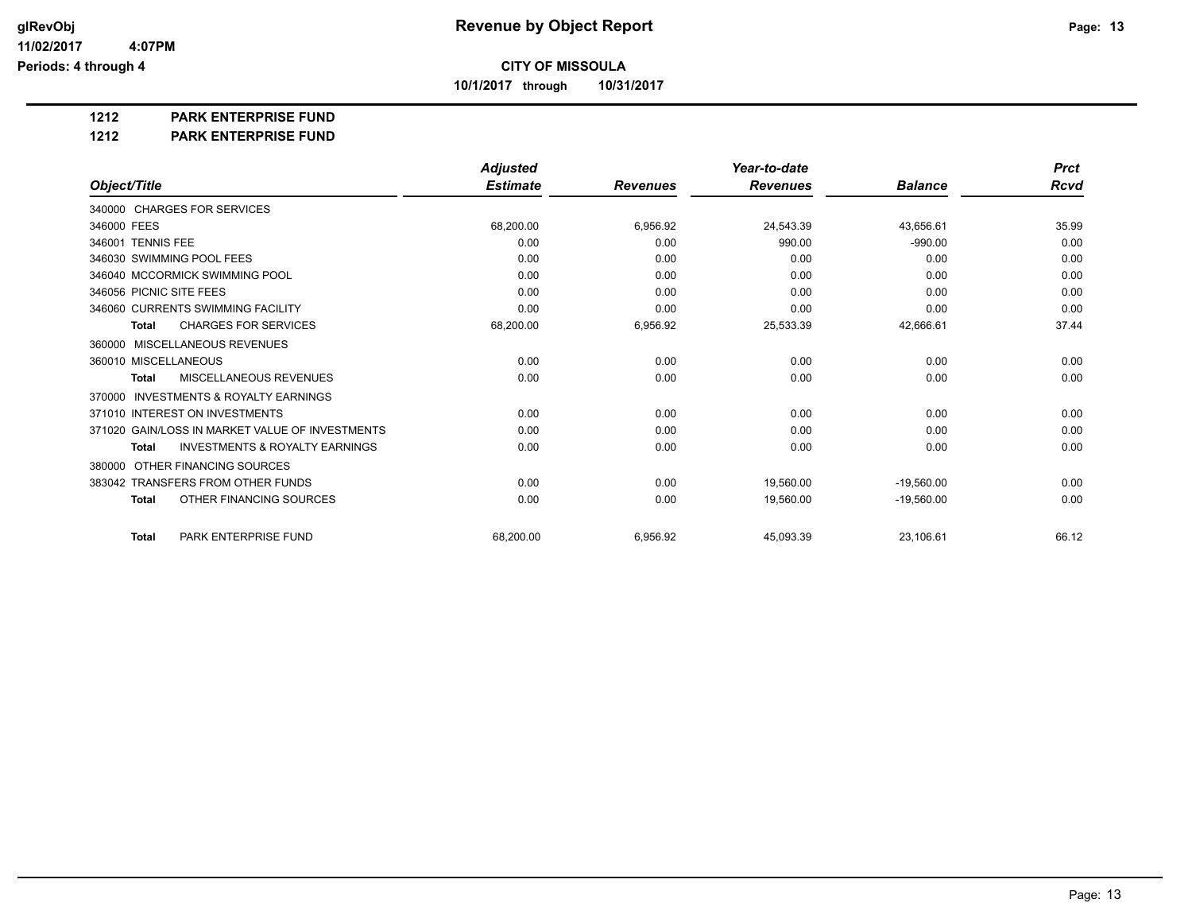**10/1/2017 through 10/31/2017**

**1212 PARK ENTERPRISE FUND**

**1212 PARK ENTERPRISE FUND**

|                                                           | <b>Adjusted</b> |                 | Year-to-date    |                | <b>Prct</b> |
|-----------------------------------------------------------|-----------------|-----------------|-----------------|----------------|-------------|
| Object/Title                                              | <b>Estimate</b> | <b>Revenues</b> | <b>Revenues</b> | <b>Balance</b> | Rcvd        |
| 340000 CHARGES FOR SERVICES                               |                 |                 |                 |                |             |
| 346000 FEES                                               | 68,200.00       | 6,956.92        | 24,543.39       | 43,656.61      | 35.99       |
| 346001 TENNIS FEE                                         | 0.00            | 0.00            | 990.00          | $-990.00$      | 0.00        |
| 346030 SWIMMING POOL FEES                                 | 0.00            | 0.00            | 0.00            | 0.00           | 0.00        |
| 346040 MCCORMICK SWIMMING POOL                            | 0.00            | 0.00            | 0.00            | 0.00           | 0.00        |
| 346056 PICNIC SITE FEES                                   | 0.00            | 0.00            | 0.00            | 0.00           | 0.00        |
| 346060 CURRENTS SWIMMING FACILITY                         | 0.00            | 0.00            | 0.00            | 0.00           | 0.00        |
| <b>CHARGES FOR SERVICES</b><br><b>Total</b>               | 68,200.00       | 6,956.92        | 25,533.39       | 42,666.61      | 37.44       |
| 360000 MISCELLANEOUS REVENUES                             |                 |                 |                 |                |             |
| 360010 MISCELLANEOUS                                      | 0.00            | 0.00            | 0.00            | 0.00           | 0.00        |
| MISCELLANEOUS REVENUES<br><b>Total</b>                    | 0.00            | 0.00            | 0.00            | 0.00           | 0.00        |
| <b>INVESTMENTS &amp; ROYALTY EARNINGS</b><br>370000       |                 |                 |                 |                |             |
| 371010 INTEREST ON INVESTMENTS                            | 0.00            | 0.00            | 0.00            | 0.00           | 0.00        |
| 371020 GAIN/LOSS IN MARKET VALUE OF INVESTMENTS           | 0.00            | 0.00            | 0.00            | 0.00           | 0.00        |
| <b>INVESTMENTS &amp; ROYALTY EARNINGS</b><br><b>Total</b> | 0.00            | 0.00            | 0.00            | 0.00           | 0.00        |
| OTHER FINANCING SOURCES<br>380000                         |                 |                 |                 |                |             |
| 383042 TRANSFERS FROM OTHER FUNDS                         | 0.00            | 0.00            | 19,560.00       | $-19,560.00$   | 0.00        |
| OTHER FINANCING SOURCES<br><b>Total</b>                   | 0.00            | 0.00            | 19,560.00       | $-19,560.00$   | 0.00        |
| PARK ENTERPRISE FUND<br><b>Total</b>                      | 68,200.00       | 6,956.92        | 45,093.39       | 23,106.61      | 66.12       |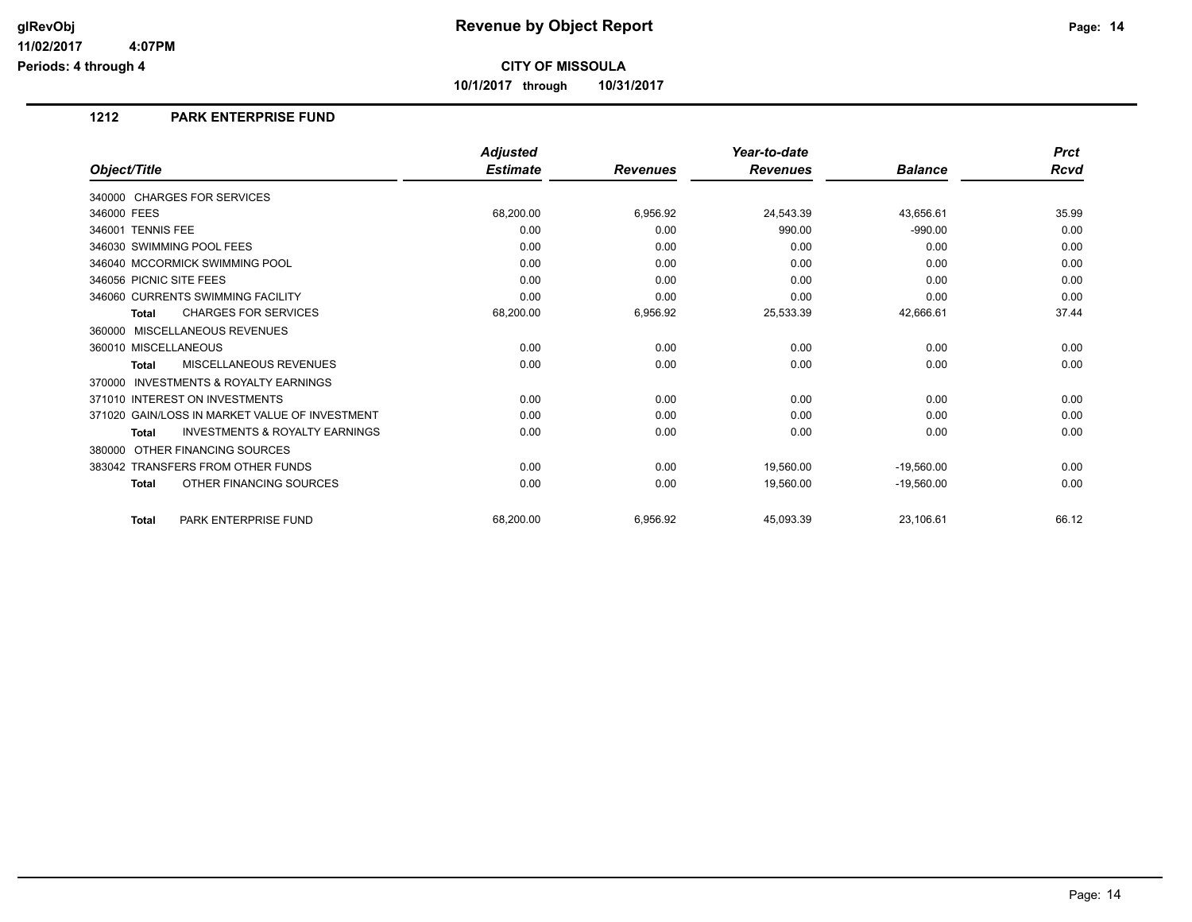**10/1/2017 through 10/31/2017**

#### **1212 PARK ENTERPRISE FUND**

|                                                           | <b>Adjusted</b> |                 | Year-to-date    |                | <b>Prct</b> |
|-----------------------------------------------------------|-----------------|-----------------|-----------------|----------------|-------------|
| Object/Title                                              | <b>Estimate</b> | <b>Revenues</b> | <b>Revenues</b> | <b>Balance</b> | Rcvd        |
| 340000 CHARGES FOR SERVICES                               |                 |                 |                 |                |             |
| 346000 FEES                                               | 68,200.00       | 6,956.92        | 24,543.39       | 43,656.61      | 35.99       |
| 346001 TENNIS FEE                                         | 0.00            | 0.00            | 990.00          | $-990.00$      | 0.00        |
| 346030 SWIMMING POOL FEES                                 | 0.00            | 0.00            | 0.00            | 0.00           | 0.00        |
| 346040 MCCORMICK SWIMMING POOL                            | 0.00            | 0.00            | 0.00            | 0.00           | 0.00        |
| 346056 PICNIC SITE FEES                                   | 0.00            | 0.00            | 0.00            | 0.00           | 0.00        |
| 346060 CURRENTS SWIMMING FACILITY                         | 0.00            | 0.00            | 0.00            | 0.00           | 0.00        |
| <b>CHARGES FOR SERVICES</b><br><b>Total</b>               | 68,200.00       | 6,956.92        | 25,533.39       | 42,666.61      | 37.44       |
| 360000 MISCELLANEOUS REVENUES                             |                 |                 |                 |                |             |
| 360010 MISCELLANEOUS                                      | 0.00            | 0.00            | 0.00            | 0.00           | 0.00        |
| <b>MISCELLANEOUS REVENUES</b><br><b>Total</b>             | 0.00            | 0.00            | 0.00            | 0.00           | 0.00        |
| INVESTMENTS & ROYALTY EARNINGS<br>370000                  |                 |                 |                 |                |             |
| 371010 INTEREST ON INVESTMENTS                            | 0.00            | 0.00            | 0.00            | 0.00           | 0.00        |
| 371020 GAIN/LOSS IN MARKET VALUE OF INVESTMENT            | 0.00            | 0.00            | 0.00            | 0.00           | 0.00        |
| <b>INVESTMENTS &amp; ROYALTY EARNINGS</b><br><b>Total</b> | 0.00            | 0.00            | 0.00            | 0.00           | 0.00        |
| OTHER FINANCING SOURCES<br>380000                         |                 |                 |                 |                |             |
| 383042 TRANSFERS FROM OTHER FUNDS                         | 0.00            | 0.00            | 19,560.00       | $-19,560.00$   | 0.00        |
| OTHER FINANCING SOURCES<br><b>Total</b>                   | 0.00            | 0.00            | 19,560.00       | $-19,560.00$   | 0.00        |
| PARK ENTERPRISE FUND<br><b>Total</b>                      | 68,200.00       | 6.956.92        | 45.093.39       | 23,106.61      | 66.12       |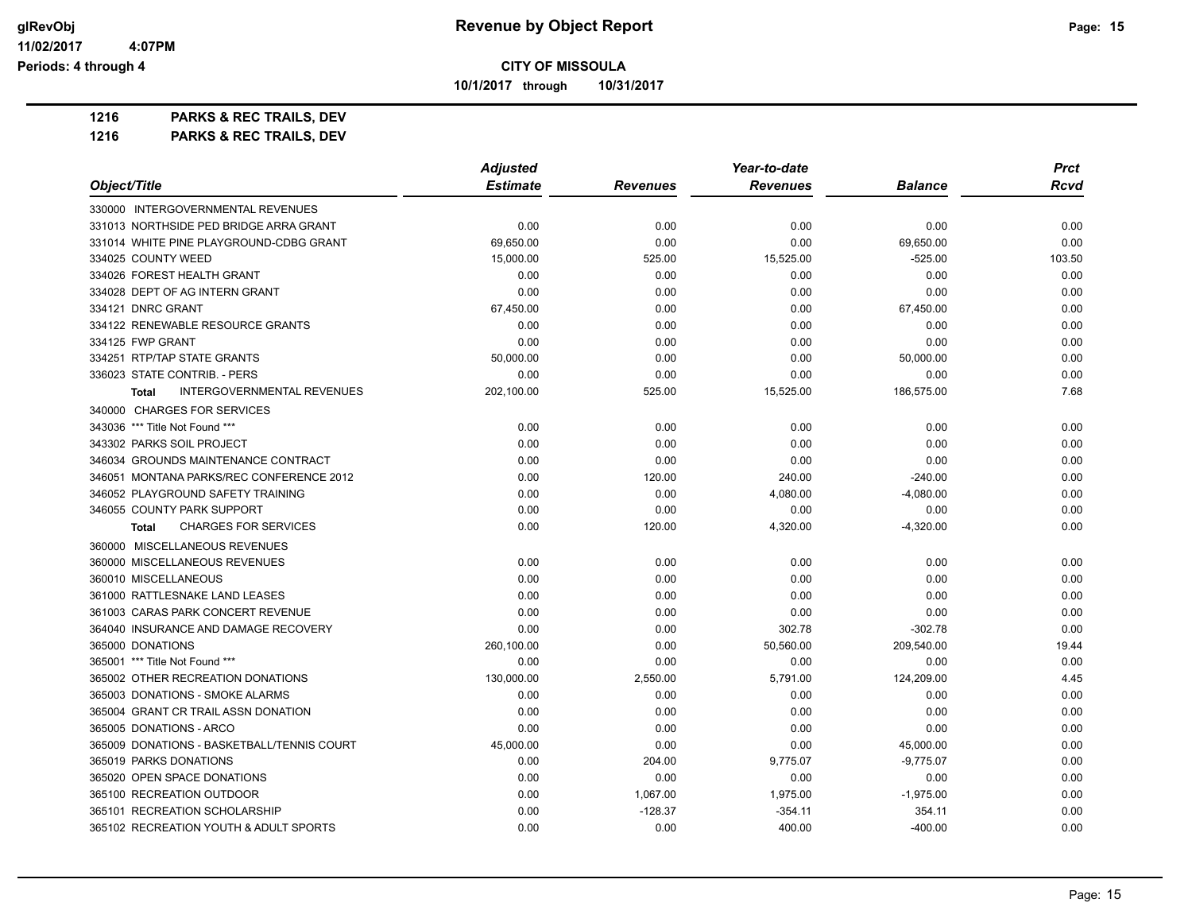**10/1/2017 through 10/31/2017**

**1216 PARKS & REC TRAILS, DEV**

|                                                   | <b>Adjusted</b> |                 | Year-to-date    |                | <b>Prct</b> |
|---------------------------------------------------|-----------------|-----------------|-----------------|----------------|-------------|
| Object/Title                                      | <b>Estimate</b> | <b>Revenues</b> | <b>Revenues</b> | <b>Balance</b> | <b>Rcvd</b> |
| 330000 INTERGOVERNMENTAL REVENUES                 |                 |                 |                 |                |             |
| 331013 NORTHSIDE PED BRIDGE ARRA GRANT            | 0.00            | 0.00            | 0.00            | 0.00           | 0.00        |
| 331014 WHITE PINE PLAYGROUND-CDBG GRANT           | 69,650.00       | 0.00            | 0.00            | 69,650.00      | 0.00        |
| 334025 COUNTY WEED                                | 15,000.00       | 525.00          | 15,525.00       | $-525.00$      | 103.50      |
| 334026 FOREST HEALTH GRANT                        | 0.00            | 0.00            | 0.00            | 0.00           | 0.00        |
| 334028 DEPT OF AG INTERN GRANT                    | 0.00            | 0.00            | 0.00            | 0.00           | 0.00        |
| 334121 DNRC GRANT                                 | 67,450.00       | 0.00            | 0.00            | 67,450.00      | 0.00        |
| 334122 RENEWABLE RESOURCE GRANTS                  | 0.00            | 0.00            | 0.00            | 0.00           | 0.00        |
| 334125 FWP GRANT                                  | 0.00            | 0.00            | 0.00            | 0.00           | 0.00        |
| 334251 RTP/TAP STATE GRANTS                       | 50,000.00       | 0.00            | 0.00            | 50,000.00      | 0.00        |
| 336023 STATE CONTRIB. - PERS                      | 0.00            | 0.00            | 0.00            | 0.00           | 0.00        |
| <b>INTERGOVERNMENTAL REVENUES</b><br><b>Total</b> | 202,100.00      | 525.00          | 15,525.00       | 186,575.00     | 7.68        |
| 340000 CHARGES FOR SERVICES                       |                 |                 |                 |                |             |
| 343036 *** Title Not Found ***                    | 0.00            | 0.00            | 0.00            | 0.00           | 0.00        |
| 343302 PARKS SOIL PROJECT                         | 0.00            | 0.00            | 0.00            | 0.00           | 0.00        |
| 346034 GROUNDS MAINTENANCE CONTRACT               | 0.00            | 0.00            | 0.00            | 0.00           | 0.00        |
| 346051 MONTANA PARKS/REC CONFERENCE 2012          | 0.00            | 120.00          | 240.00          | $-240.00$      | 0.00        |
| 346052 PLAYGROUND SAFETY TRAINING                 | 0.00            | 0.00            | 4,080.00        | $-4,080.00$    | 0.00        |
| 346055 COUNTY PARK SUPPORT                        | 0.00            | 0.00            | 0.00            | 0.00           | 0.00        |
| <b>CHARGES FOR SERVICES</b><br><b>Total</b>       | 0.00            | 120.00          | 4,320.00        | $-4,320.00$    | 0.00        |
| 360000 MISCELLANEOUS REVENUES                     |                 |                 |                 |                |             |
| 360000 MISCELLANEOUS REVENUES                     | 0.00            | 0.00            | 0.00            | 0.00           | 0.00        |
| 360010 MISCELLANEOUS                              | 0.00            | 0.00            | 0.00            | 0.00           | 0.00        |
| 361000 RATTLESNAKE LAND LEASES                    | 0.00            | 0.00            | 0.00            | 0.00           | 0.00        |
| 361003 CARAS PARK CONCERT REVENUE                 | 0.00            | 0.00            | 0.00            | 0.00           | 0.00        |
| 364040 INSURANCE AND DAMAGE RECOVERY              | 0.00            | 0.00            | 302.78          | $-302.78$      | 0.00        |
| 365000 DONATIONS                                  | 260,100.00      | 0.00            | 50,560.00       | 209,540.00     | 19.44       |
| 365001 *** Title Not Found ***                    | 0.00            | 0.00            | 0.00            | 0.00           | 0.00        |
| 365002 OTHER RECREATION DONATIONS                 | 130,000.00      | 2,550.00        | 5,791.00        | 124,209.00     | 4.45        |
| 365003 DONATIONS - SMOKE ALARMS                   | 0.00            | 0.00            | 0.00            | 0.00           | 0.00        |
| 365004 GRANT CR TRAIL ASSN DONATION               | 0.00            | 0.00            | 0.00            | 0.00           | 0.00        |
| 365005 DONATIONS - ARCO                           | 0.00            | 0.00            | 0.00            | 0.00           | 0.00        |
| 365009 DONATIONS - BASKETBALL/TENNIS COURT        | 45,000.00       | 0.00            | 0.00            | 45,000.00      | 0.00        |
| 365019 PARKS DONATIONS                            | 0.00            | 204.00          | 9,775.07        | $-9,775.07$    | 0.00        |
| 365020 OPEN SPACE DONATIONS                       | 0.00            | 0.00            | 0.00            | 0.00           | 0.00        |
| 365100 RECREATION OUTDOOR                         | 0.00            | 1,067.00        | 1,975.00        | $-1,975.00$    | 0.00        |
| 365101 RECREATION SCHOLARSHIP                     | 0.00            | $-128.37$       | $-354.11$       | 354.11         | 0.00        |
| 365102 RECREATION YOUTH & ADULT SPORTS            | 0.00            | 0.00            | 400.00          | $-400.00$      | 0.00        |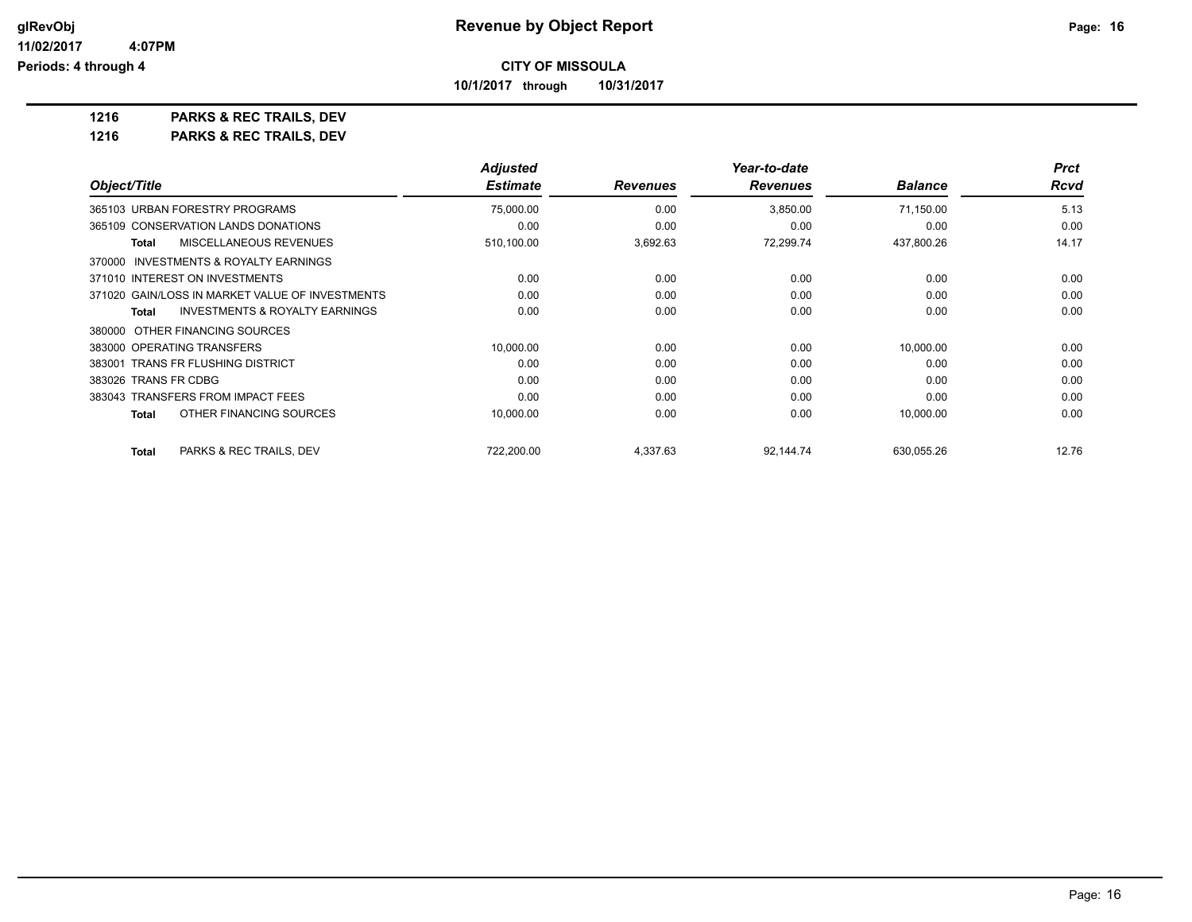**10/1/2017 through 10/31/2017**

**1216 PARKS & REC TRAILS, DEV**

|                                                     | <b>Adjusted</b> |                 | Year-to-date    |                | <b>Prct</b> |
|-----------------------------------------------------|-----------------|-----------------|-----------------|----------------|-------------|
| Object/Title                                        | <b>Estimate</b> | <b>Revenues</b> | <b>Revenues</b> | <b>Balance</b> | <b>Rcvd</b> |
| 365103 URBAN FORESTRY PROGRAMS                      | 75,000.00       | 0.00            | 3,850.00        | 71,150.00      | 5.13        |
| 365109 CONSERVATION LANDS DONATIONS                 | 0.00            | 0.00            | 0.00            | 0.00           | 0.00        |
| MISCELLANEOUS REVENUES<br>Total                     | 510,100.00      | 3,692.63        | 72,299.74       | 437,800.26     | 14.17       |
| <b>INVESTMENTS &amp; ROYALTY EARNINGS</b><br>370000 |                 |                 |                 |                |             |
| 371010 INTEREST ON INVESTMENTS                      | 0.00            | 0.00            | 0.00            | 0.00           | 0.00        |
| 371020 GAIN/LOSS IN MARKET VALUE OF INVESTMENTS     | 0.00            | 0.00            | 0.00            | 0.00           | 0.00        |
| <b>INVESTMENTS &amp; ROYALTY EARNINGS</b><br>Total  | 0.00            | 0.00            | 0.00            | 0.00           | 0.00        |
| OTHER FINANCING SOURCES<br>380000                   |                 |                 |                 |                |             |
| 383000 OPERATING TRANSFERS                          | 10.000.00       | 0.00            | 0.00            | 10,000.00      | 0.00        |
| 383001 TRANS FR FLUSHING DISTRICT                   | 0.00            | 0.00            | 0.00            | 0.00           | 0.00        |
| 383026 TRANS FR CDBG                                | 0.00            | 0.00            | 0.00            | 0.00           | 0.00        |
| 383043 TRANSFERS FROM IMPACT FEES                   | 0.00            | 0.00            | 0.00            | 0.00           | 0.00        |
| OTHER FINANCING SOURCES<br>Total                    | 10,000.00       | 0.00            | 0.00            | 10,000.00      | 0.00        |
| PARKS & REC TRAILS, DEV<br>Total                    | 722,200.00      | 4,337.63        | 92,144.74       | 630.055.26     | 12.76       |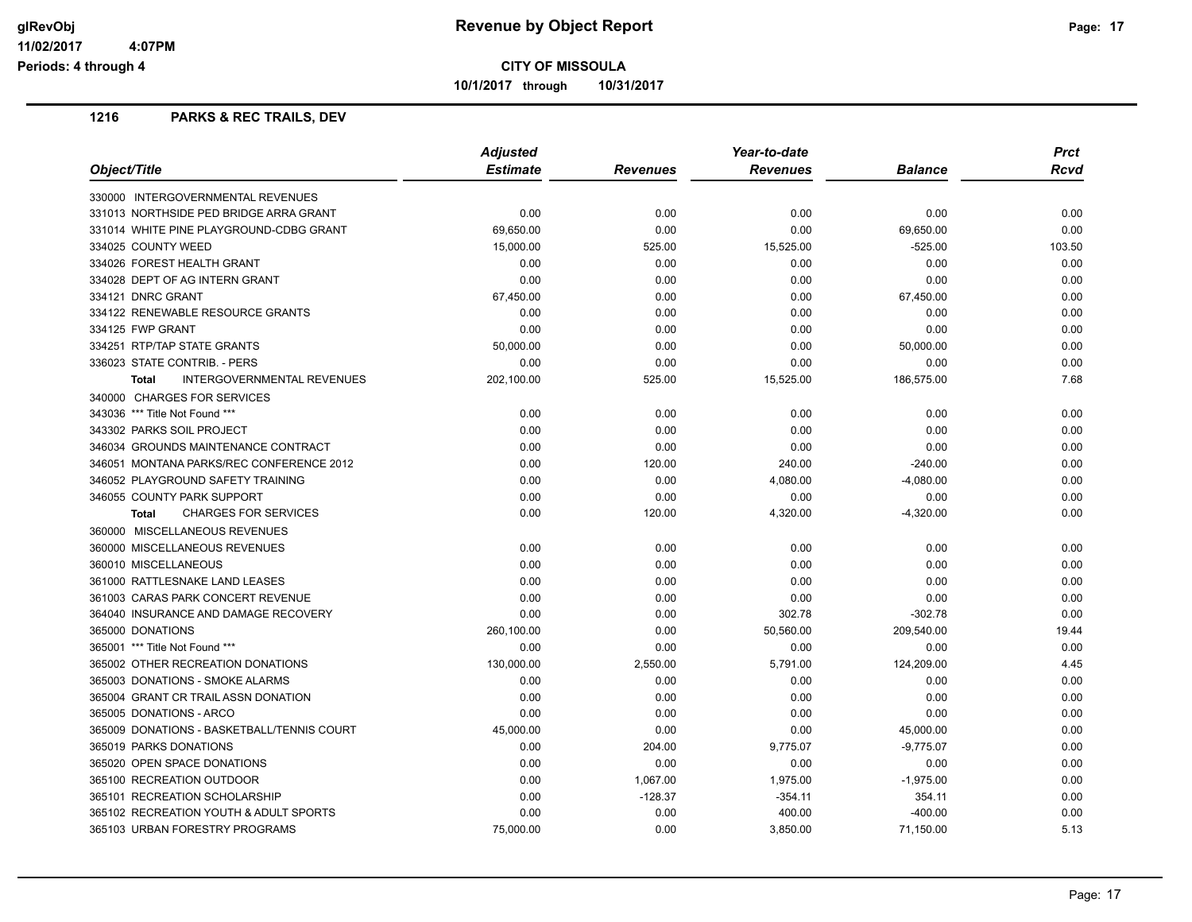**10/1/2017 through 10/31/2017**

|                                                   | <b>Adjusted</b> |           | Year-to-date    |                | <b>Prct</b> |
|---------------------------------------------------|-----------------|-----------|-----------------|----------------|-------------|
| Object/Title                                      | <b>Estimate</b> | Revenues  | <b>Revenues</b> | <b>Balance</b> | <b>Rcvd</b> |
| 330000 INTERGOVERNMENTAL REVENUES                 |                 |           |                 |                |             |
| 331013 NORTHSIDE PED BRIDGE ARRA GRANT            | 0.00            | 0.00      | 0.00            | 0.00           | 0.00        |
| 331014 WHITE PINE PLAYGROUND-CDBG GRANT           | 69,650.00       | 0.00      | 0.00            | 69,650.00      | 0.00        |
| 334025 COUNTY WEED                                | 15,000.00       | 525.00    | 15,525.00       | $-525.00$      | 103.50      |
| 334026 FOREST HEALTH GRANT                        | 0.00            | 0.00      | 0.00            | 0.00           | 0.00        |
| 334028 DEPT OF AG INTERN GRANT                    | 0.00            | 0.00      | 0.00            | 0.00           | 0.00        |
| 334121 DNRC GRANT                                 | 67,450.00       | 0.00      | 0.00            | 67,450.00      | 0.00        |
| 334122 RENEWABLE RESOURCE GRANTS                  | 0.00            | 0.00      | 0.00            | 0.00           | 0.00        |
| 334125 FWP GRANT                                  | 0.00            | 0.00      | 0.00            | 0.00           | 0.00        |
| 334251 RTP/TAP STATE GRANTS                       | 50,000.00       | 0.00      | 0.00            | 50,000.00      | 0.00        |
| 336023 STATE CONTRIB. - PERS                      | 0.00            | 0.00      | 0.00            | 0.00           | 0.00        |
| <b>INTERGOVERNMENTAL REVENUES</b><br><b>Total</b> | 202,100.00      | 525.00    | 15,525.00       | 186,575.00     | 7.68        |
| 340000 CHARGES FOR SERVICES                       |                 |           |                 |                |             |
| 343036 *** Title Not Found ***                    | 0.00            | 0.00      | 0.00            | 0.00           | 0.00        |
| 343302 PARKS SOIL PROJECT                         | 0.00            | 0.00      | 0.00            | 0.00           | 0.00        |
| 346034 GROUNDS MAINTENANCE CONTRACT               | 0.00            | 0.00      | 0.00            | 0.00           | 0.00        |
| 346051 MONTANA PARKS/REC CONFERENCE 2012          | 0.00            | 120.00    | 240.00          | $-240.00$      | 0.00        |
| 346052 PLAYGROUND SAFETY TRAINING                 | 0.00            | 0.00      | 4,080.00        | $-4,080.00$    | 0.00        |
| 346055 COUNTY PARK SUPPORT                        | 0.00            | 0.00      | 0.00            | 0.00           | 0.00        |
| <b>CHARGES FOR SERVICES</b><br><b>Total</b>       | 0.00            | 120.00    | 4,320.00        | $-4,320.00$    | 0.00        |
| 360000 MISCELLANEOUS REVENUES                     |                 |           |                 |                |             |
| 360000 MISCELLANEOUS REVENUES                     | 0.00            | 0.00      | 0.00            | 0.00           | 0.00        |
| 360010 MISCELLANEOUS                              | 0.00            | 0.00      | 0.00            | 0.00           | 0.00        |
| 361000 RATTLESNAKE LAND LEASES                    | 0.00            | 0.00      | 0.00            | 0.00           | 0.00        |
| 361003 CARAS PARK CONCERT REVENUE                 | 0.00            | 0.00      | 0.00            | 0.00           | 0.00        |
| 364040 INSURANCE AND DAMAGE RECOVERY              | 0.00            | 0.00      | 302.78          | $-302.78$      | 0.00        |
| 365000 DONATIONS                                  | 260,100.00      | 0.00      | 50,560.00       | 209,540.00     | 19.44       |
| 365001 *** Title Not Found ***                    | 0.00            | 0.00      | 0.00            | 0.00           | 0.00        |
| 365002 OTHER RECREATION DONATIONS                 | 130,000.00      | 2,550.00  | 5,791.00        | 124,209.00     | 4.45        |
| 365003 DONATIONS - SMOKE ALARMS                   | 0.00            | 0.00      | 0.00            | 0.00           | 0.00        |
| 365004 GRANT CR TRAIL ASSN DONATION               | 0.00            | 0.00      | 0.00            | 0.00           | 0.00        |
| 365005 DONATIONS - ARCO                           | 0.00            | 0.00      | 0.00            | 0.00           | 0.00        |
| 365009 DONATIONS - BASKETBALL/TENNIS COURT        | 45,000.00       | 0.00      | 0.00            | 45,000.00      | 0.00        |
| 365019 PARKS DONATIONS                            | 0.00            | 204.00    | 9,775.07        | $-9,775.07$    | 0.00        |
| 365020 OPEN SPACE DONATIONS                       | 0.00            | 0.00      | 0.00            | 0.00           | 0.00        |
| 365100 RECREATION OUTDOOR                         | 0.00            | 1,067.00  | 1,975.00        | $-1,975.00$    | 0.00        |
| 365101 RECREATION SCHOLARSHIP                     | 0.00            | $-128.37$ | $-354.11$       | 354.11         | 0.00        |
| 365102 RECREATION YOUTH & ADULT SPORTS            | 0.00            | 0.00      | 400.00          | $-400.00$      | 0.00        |
| 365103 URBAN FORESTRY PROGRAMS                    | 75.000.00       | 0.00      | 3.850.00        | 71,150.00      | 5.13        |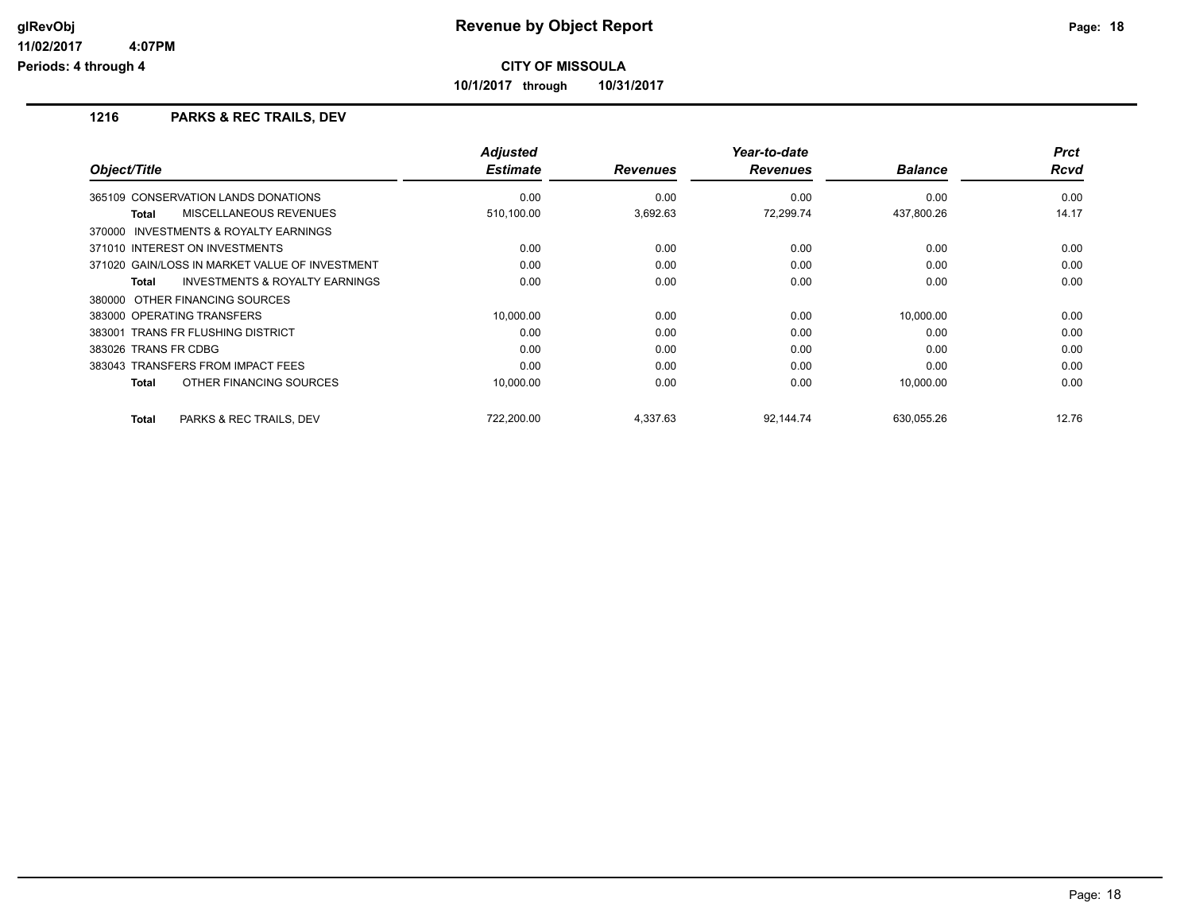**10/1/2017 through 10/31/2017**

| Object/Title                                              | <b>Adjusted</b><br><b>Estimate</b> | <b>Revenues</b> | Year-to-date<br><b>Revenues</b> | <b>Balance</b> | <b>Prct</b><br>Rcvd |
|-----------------------------------------------------------|------------------------------------|-----------------|---------------------------------|----------------|---------------------|
| 365109 CONSERVATION LANDS DONATIONS                       | 0.00                               | 0.00            | 0.00                            | 0.00           | 0.00                |
| <b>MISCELLANEOUS REVENUES</b><br><b>Total</b>             | 510,100.00                         | 3,692.63        | 72,299.74                       | 437,800.26     | 14.17               |
| INVESTMENTS & ROYALTY EARNINGS<br>370000                  |                                    |                 |                                 |                |                     |
| 371010 INTEREST ON INVESTMENTS                            | 0.00                               | 0.00            | 0.00                            | 0.00           | 0.00                |
| 371020 GAIN/LOSS IN MARKET VALUE OF INVESTMENT            | 0.00                               | 0.00            | 0.00                            | 0.00           | 0.00                |
| <b>INVESTMENTS &amp; ROYALTY EARNINGS</b><br><b>Total</b> | 0.00                               | 0.00            | 0.00                            | 0.00           | 0.00                |
| 380000 OTHER FINANCING SOURCES                            |                                    |                 |                                 |                |                     |
| 383000 OPERATING TRANSFERS                                | 10,000.00                          | 0.00            | 0.00                            | 10,000.00      | 0.00                |
| 383001 TRANS FR FLUSHING DISTRICT                         | 0.00                               | 0.00            | 0.00                            | 0.00           | 0.00                |
| 383026 TRANS FR CDBG                                      | 0.00                               | 0.00            | 0.00                            | 0.00           | 0.00                |
| 383043 TRANSFERS FROM IMPACT FEES                         | 0.00                               | 0.00            | 0.00                            | 0.00           | 0.00                |
| OTHER FINANCING SOURCES<br><b>Total</b>                   | 10,000.00                          | 0.00            | 0.00                            | 10,000.00      | 0.00                |
| PARKS & REC TRAILS, DEV<br><b>Total</b>                   | 722,200.00                         | 4,337.63        | 92,144.74                       | 630,055.26     | 12.76               |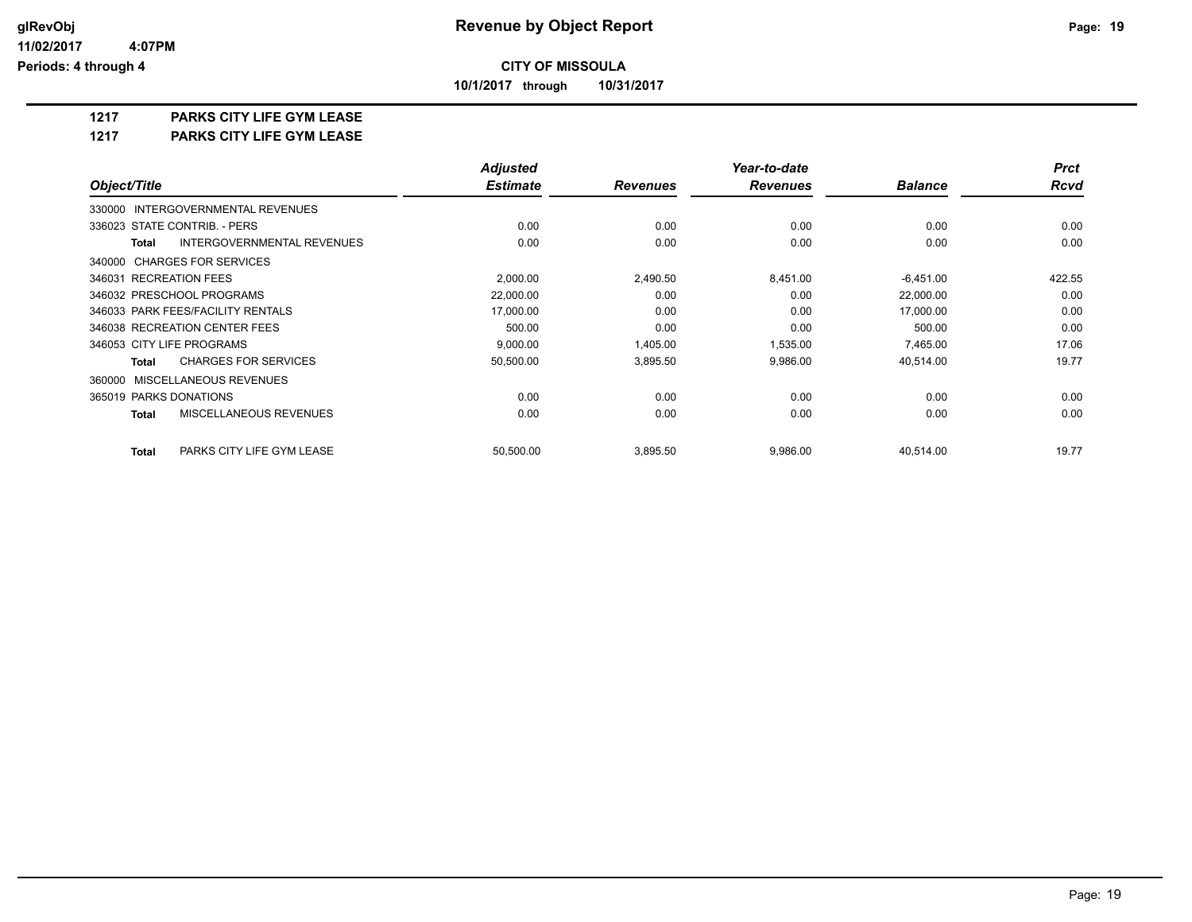**10/1/2017 through 10/31/2017**

#### **1217 PARKS CITY LIFE GYM LEASE**

**1217 PARKS CITY LIFE GYM LEASE**

|                                             | <b>Adjusted</b> |                 | Year-to-date    |                | <b>Prct</b> |
|---------------------------------------------|-----------------|-----------------|-----------------|----------------|-------------|
| Object/Title                                | <b>Estimate</b> | <b>Revenues</b> | <b>Revenues</b> | <b>Balance</b> | <b>Rcvd</b> |
| <b>INTERGOVERNMENTAL REVENUES</b><br>330000 |                 |                 |                 |                |             |
| 336023 STATE CONTRIB. - PERS                | 0.00            | 0.00            | 0.00            | 0.00           | 0.00        |
| <b>INTERGOVERNMENTAL REVENUES</b><br>Total  | 0.00            | 0.00            | 0.00            | 0.00           | 0.00        |
| 340000 CHARGES FOR SERVICES                 |                 |                 |                 |                |             |
| 346031 RECREATION FEES                      | 2,000.00        | 2,490.50        | 8,451.00        | $-6,451.00$    | 422.55      |
| 346032 PRESCHOOL PROGRAMS                   | 22,000.00       | 0.00            | 0.00            | 22,000.00      | 0.00        |
| 346033 PARK FEES/FACILITY RENTALS           | 17.000.00       | 0.00            | 0.00            | 17,000.00      | 0.00        |
| 346038 RECREATION CENTER FEES               | 500.00          | 0.00            | 0.00            | 500.00         | 0.00        |
| 346053 CITY LIFE PROGRAMS                   | 9,000.00        | 1,405.00        | 1,535.00        | 7,465.00       | 17.06       |
| <b>CHARGES FOR SERVICES</b><br>Total        | 50,500.00       | 3,895.50        | 9,986.00        | 40,514.00      | 19.77       |
| 360000 MISCELLANEOUS REVENUES               |                 |                 |                 |                |             |
| 365019 PARKS DONATIONS                      | 0.00            | 0.00            | 0.00            | 0.00           | 0.00        |
| MISCELLANEOUS REVENUES<br>Total             | 0.00            | 0.00            | 0.00            | 0.00           | 0.00        |
| PARKS CITY LIFE GYM LEASE<br>Total          | 50,500.00       | 3,895.50        | 9,986.00        | 40,514.00      | 19.77       |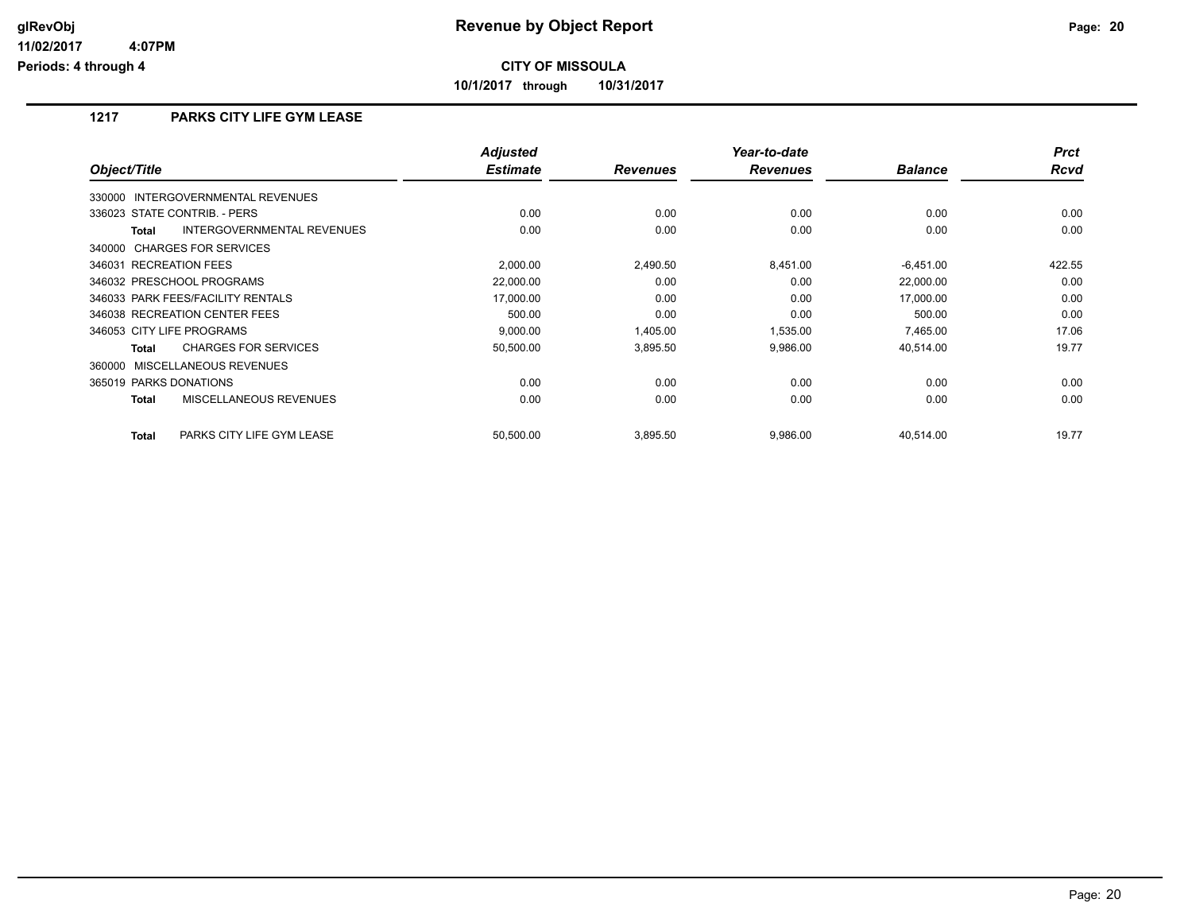**10/1/2017 through 10/31/2017**

# **1217 PARKS CITY LIFE GYM LEASE**

|                                             | <b>Adjusted</b> |                 | Year-to-date    |                | <b>Prct</b> |
|---------------------------------------------|-----------------|-----------------|-----------------|----------------|-------------|
| Object/Title                                | <b>Estimate</b> | <b>Revenues</b> | <b>Revenues</b> | <b>Balance</b> | <b>Rcvd</b> |
| 330000 INTERGOVERNMENTAL REVENUES           |                 |                 |                 |                |             |
| 336023 STATE CONTRIB. - PERS                | 0.00            | 0.00            | 0.00            | 0.00           | 0.00        |
| INTERGOVERNMENTAL REVENUES<br><b>Total</b>  | 0.00            | 0.00            | 0.00            | 0.00           | 0.00        |
| 340000 CHARGES FOR SERVICES                 |                 |                 |                 |                |             |
| 346031 RECREATION FEES                      | 2,000.00        | 2,490.50        | 8,451.00        | $-6,451.00$    | 422.55      |
| 346032 PRESCHOOL PROGRAMS                   | 22,000.00       | 0.00            | 0.00            | 22,000.00      | 0.00        |
| 346033 PARK FEES/FACILITY RENTALS           | 17,000.00       | 0.00            | 0.00            | 17,000.00      | 0.00        |
| 346038 RECREATION CENTER FEES               | 500.00          | 0.00            | 0.00            | 500.00         | 0.00        |
| 346053 CITY LIFE PROGRAMS                   | 9,000.00        | 1,405.00        | 1,535.00        | 7,465.00       | 17.06       |
| <b>CHARGES FOR SERVICES</b><br><b>Total</b> | 50,500.00       | 3,895.50        | 9,986.00        | 40,514.00      | 19.77       |
| 360000 MISCELLANEOUS REVENUES               |                 |                 |                 |                |             |
| 365019 PARKS DONATIONS                      | 0.00            | 0.00            | 0.00            | 0.00           | 0.00        |
| MISCELLANEOUS REVENUES<br><b>Total</b>      | 0.00            | 0.00            | 0.00            | 0.00           | 0.00        |
| PARKS CITY LIFE GYM LEASE<br><b>Total</b>   | 50,500.00       | 3,895.50        | 9,986.00        | 40,514.00      | 19.77       |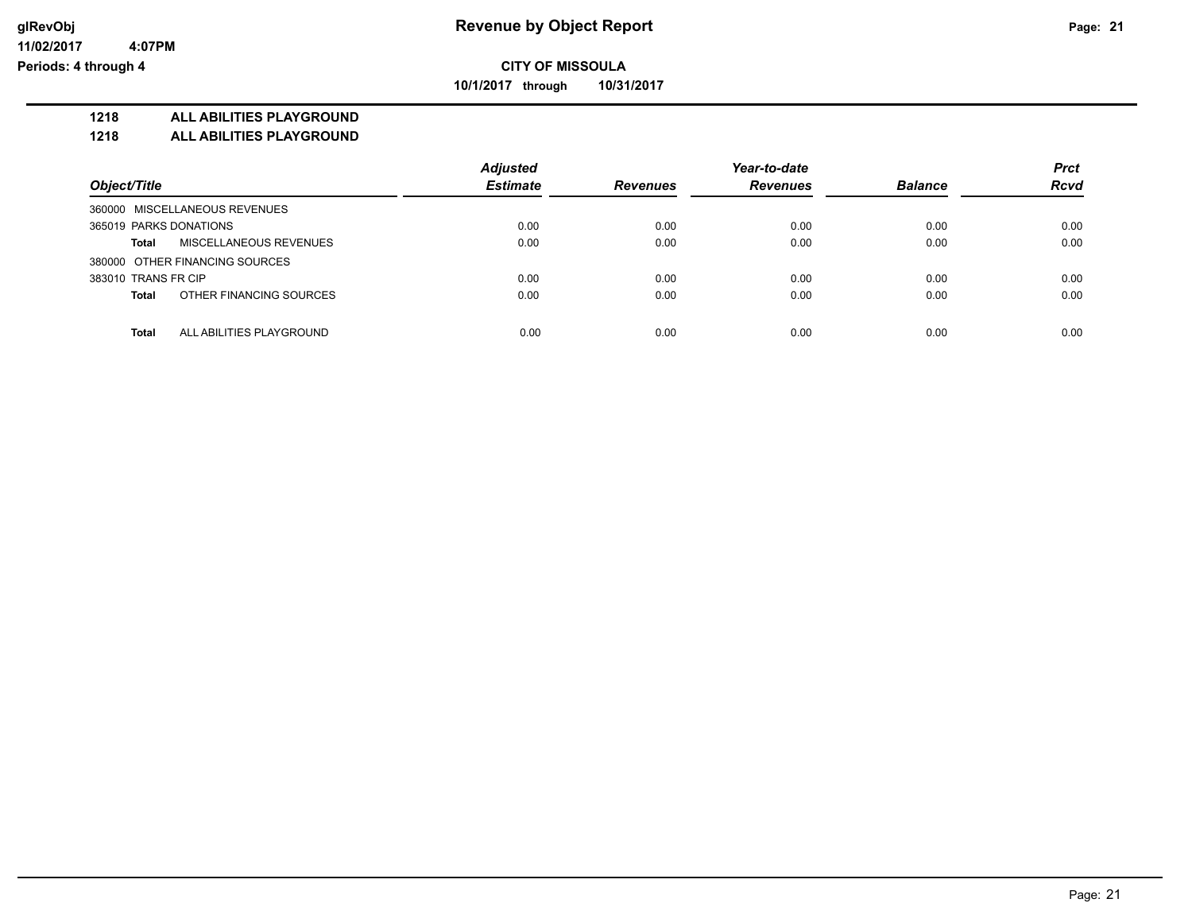**10/1/2017 through 10/31/2017**

#### **1218 ALL ABILITIES PLAYGROUND**

#### **1218 ALL ABILITIES PLAYGROUND**

|                                          | <b>Adjusted</b> |                 | Year-to-date    |                | <b>Prct</b> |
|------------------------------------------|-----------------|-----------------|-----------------|----------------|-------------|
| Object/Title                             | <b>Estimate</b> | <b>Revenues</b> | <b>Revenues</b> | <b>Balance</b> | <b>Rcvd</b> |
| 360000 MISCELLANEOUS REVENUES            |                 |                 |                 |                |             |
| 365019 PARKS DONATIONS                   | 0.00            | 0.00            | 0.00            | 0.00           | 0.00        |
| MISCELLANEOUS REVENUES<br>Total          | 0.00            | 0.00            | 0.00            | 0.00           | 0.00        |
| 380000 OTHER FINANCING SOURCES           |                 |                 |                 |                |             |
| 383010 TRANS FR CIP                      | 0.00            | 0.00            | 0.00            | 0.00           | 0.00        |
| OTHER FINANCING SOURCES<br><b>Total</b>  | 0.00            | 0.00            | 0.00            | 0.00           | 0.00        |
|                                          |                 |                 |                 |                |             |
| ALL ABILITIES PLAYGROUND<br><b>Total</b> | 0.00            | 0.00            | 0.00            | 0.00           | 0.00        |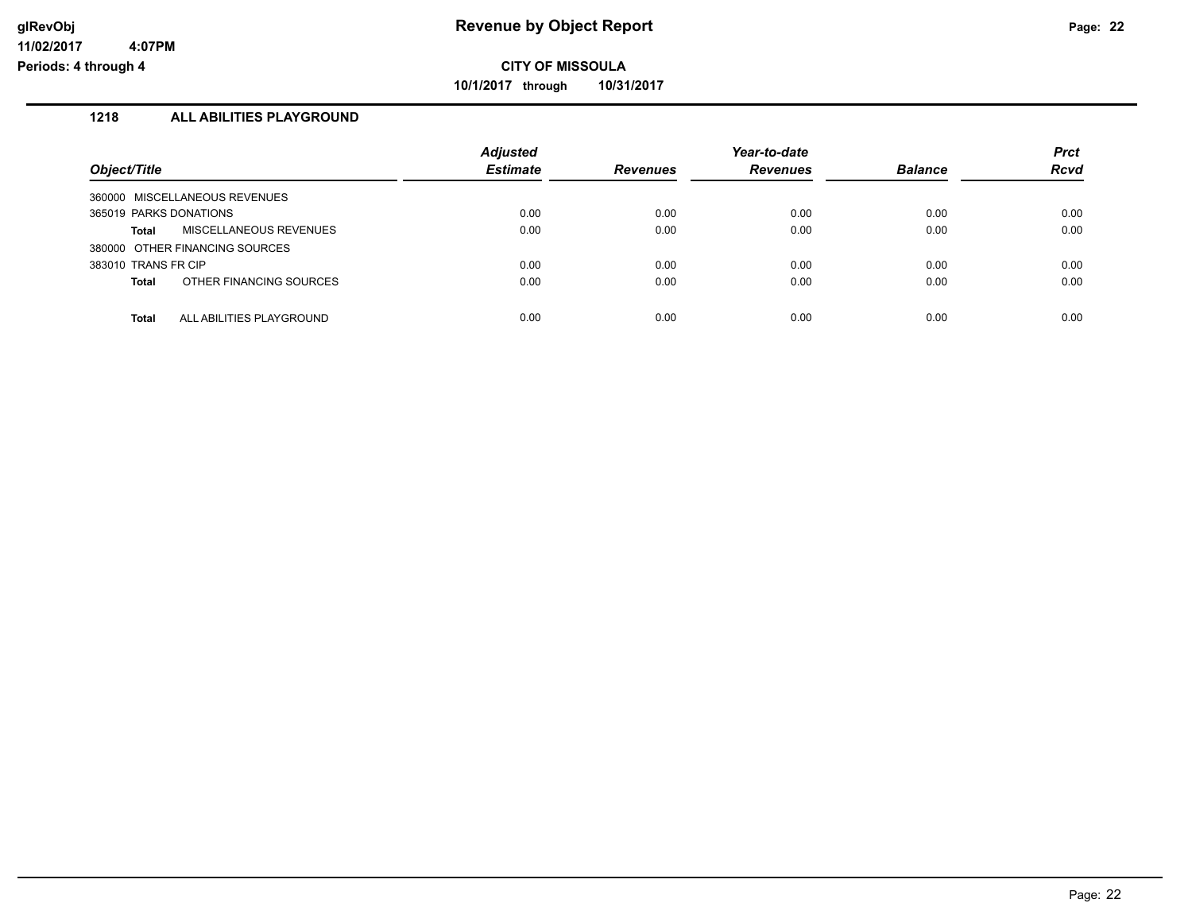**Periods: 4 through 4**

**CITY OF MISSOULA**

**10/1/2017 through 10/31/2017**

# **1218 ALL ABILITIES PLAYGROUND**

| Object/Title                                  | <b>Adjusted</b><br><b>Estimate</b> | <b>Revenues</b> | Year-to-date<br><b>Revenues</b> | <b>Balance</b> | <b>Prct</b><br><b>Rcvd</b> |
|-----------------------------------------------|------------------------------------|-----------------|---------------------------------|----------------|----------------------------|
| 360000 MISCELLANEOUS REVENUES                 |                                    |                 |                                 |                |                            |
| 365019 PARKS DONATIONS                        | 0.00                               | 0.00            | 0.00                            | 0.00           | 0.00                       |
| <b>MISCELLANEOUS REVENUES</b><br><b>Total</b> | 0.00                               | 0.00            | 0.00                            | 0.00           | 0.00                       |
| 380000 OTHER FINANCING SOURCES                |                                    |                 |                                 |                |                            |
| 383010 TRANS FR CIP                           | 0.00                               | 0.00            | 0.00                            | 0.00           | 0.00                       |
| OTHER FINANCING SOURCES<br><b>Total</b>       | 0.00                               | 0.00            | 0.00                            | 0.00           | 0.00                       |
|                                               |                                    |                 |                                 |                |                            |
| ALL ABILITIES PLAYGROUND<br>Total             | 0.00                               | 0.00            | 0.00                            | 0.00           | 0.00                       |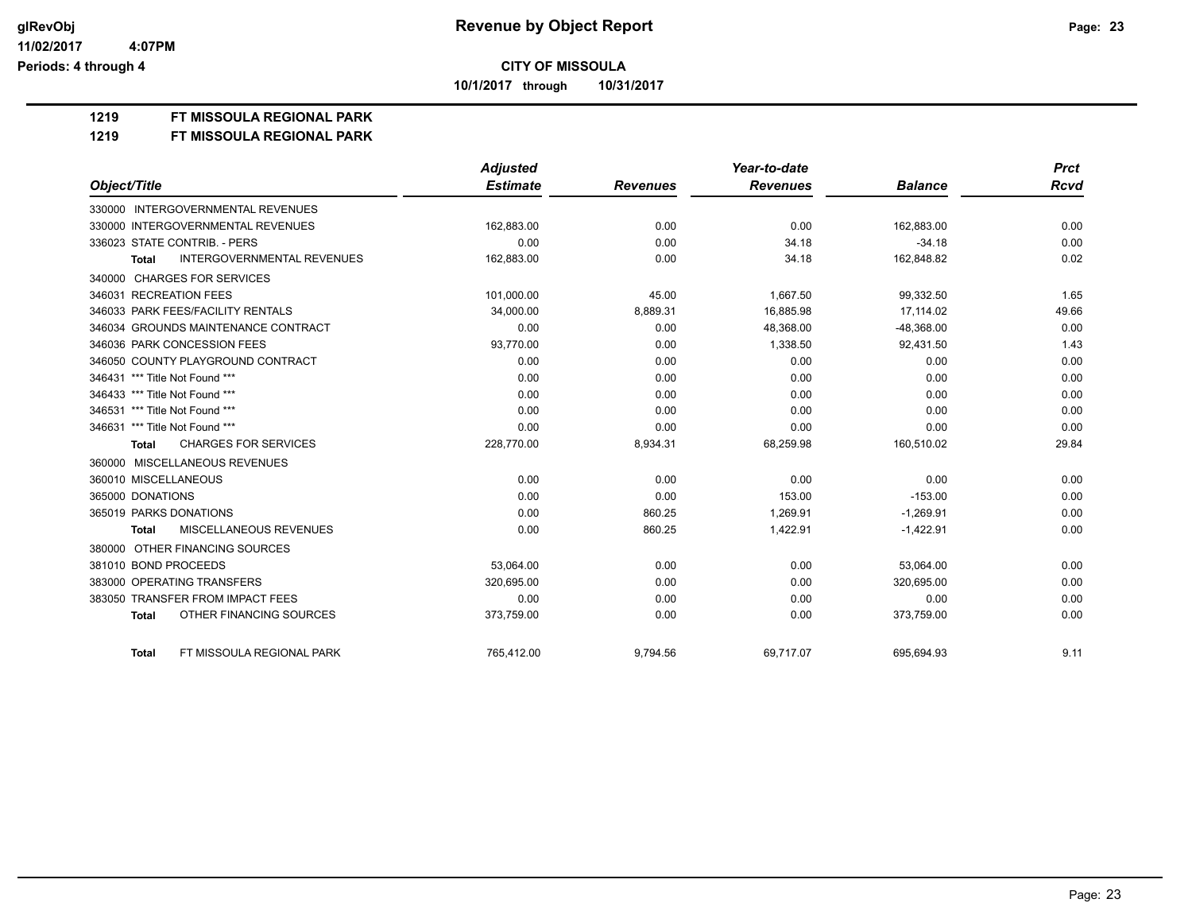**10/1/2017 through 10/31/2017**

#### **1219 FT MISSOULA REGIONAL PARK**

#### **1219 FT MISSOULA REGIONAL PARK**

|                                                   | <b>Adjusted</b> |                 | Year-to-date    |                | <b>Prct</b> |
|---------------------------------------------------|-----------------|-----------------|-----------------|----------------|-------------|
| Object/Title                                      | <b>Estimate</b> | <b>Revenues</b> | <b>Revenues</b> | <b>Balance</b> | <b>Rcvd</b> |
| 330000 INTERGOVERNMENTAL REVENUES                 |                 |                 |                 |                |             |
| 330000 INTERGOVERNMENTAL REVENUES                 | 162,883.00      | 0.00            | 0.00            | 162,883.00     | 0.00        |
| 336023 STATE CONTRIB. - PERS                      | 0.00            | 0.00            | 34.18           | $-34.18$       | 0.00        |
| <b>INTERGOVERNMENTAL REVENUES</b><br><b>Total</b> | 162,883.00      | 0.00            | 34.18           | 162,848.82     | 0.02        |
| 340000 CHARGES FOR SERVICES                       |                 |                 |                 |                |             |
| 346031 RECREATION FEES                            | 101,000.00      | 45.00           | 1,667.50        | 99,332.50      | 1.65        |
| 346033 PARK FEES/FACILITY RENTALS                 | 34,000.00       | 8,889.31        | 16.885.98       | 17.114.02      | 49.66       |
| 346034 GROUNDS MAINTENANCE CONTRACT               | 0.00            | 0.00            | 48,368.00       | $-48,368.00$   | 0.00        |
| 346036 PARK CONCESSION FEES                       | 93,770.00       | 0.00            | 1,338.50        | 92,431.50      | 1.43        |
| 346050 COUNTY PLAYGROUND CONTRACT                 | 0.00            | 0.00            | 0.00            | 0.00           | 0.00        |
| 346431 *** Title Not Found ***                    | 0.00            | 0.00            | 0.00            | 0.00           | 0.00        |
| 346433 *** Title Not Found ***                    | 0.00            | 0.00            | 0.00            | 0.00           | 0.00        |
| 346531 *** Title Not Found ***                    | 0.00            | 0.00            | 0.00            | 0.00           | 0.00        |
| 346631 *** Title Not Found ***                    | 0.00            | 0.00            | 0.00            | 0.00           | 0.00        |
| <b>CHARGES FOR SERVICES</b><br><b>Total</b>       | 228,770.00      | 8,934.31        | 68,259.98       | 160,510.02     | 29.84       |
| 360000 MISCELLANEOUS REVENUES                     |                 |                 |                 |                |             |
| 360010 MISCELLANEOUS                              | 0.00            | 0.00            | 0.00            | 0.00           | 0.00        |
| 365000 DONATIONS                                  | 0.00            | 0.00            | 153.00          | $-153.00$      | 0.00        |
| 365019 PARKS DONATIONS                            | 0.00            | 860.25          | 1,269.91        | $-1,269.91$    | 0.00        |
| MISCELLANEOUS REVENUES<br><b>Total</b>            | 0.00            | 860.25          | 1,422.91        | $-1,422.91$    | 0.00        |
| OTHER FINANCING SOURCES<br>380000                 |                 |                 |                 |                |             |
| 381010 BOND PROCEEDS                              | 53,064.00       | 0.00            | 0.00            | 53,064.00      | 0.00        |
| 383000 OPERATING TRANSFERS                        | 320,695.00      | 0.00            | 0.00            | 320,695.00     | 0.00        |
| 383050 TRANSFER FROM IMPACT FEES                  | 0.00            | 0.00            | 0.00            | 0.00           | 0.00        |
| OTHER FINANCING SOURCES<br><b>Total</b>           | 373,759.00      | 0.00            | 0.00            | 373,759.00     | 0.00        |
| FT MISSOULA REGIONAL PARK<br><b>Total</b>         | 765,412.00      | 9,794.56        | 69,717.07       | 695,694.93     | 9.11        |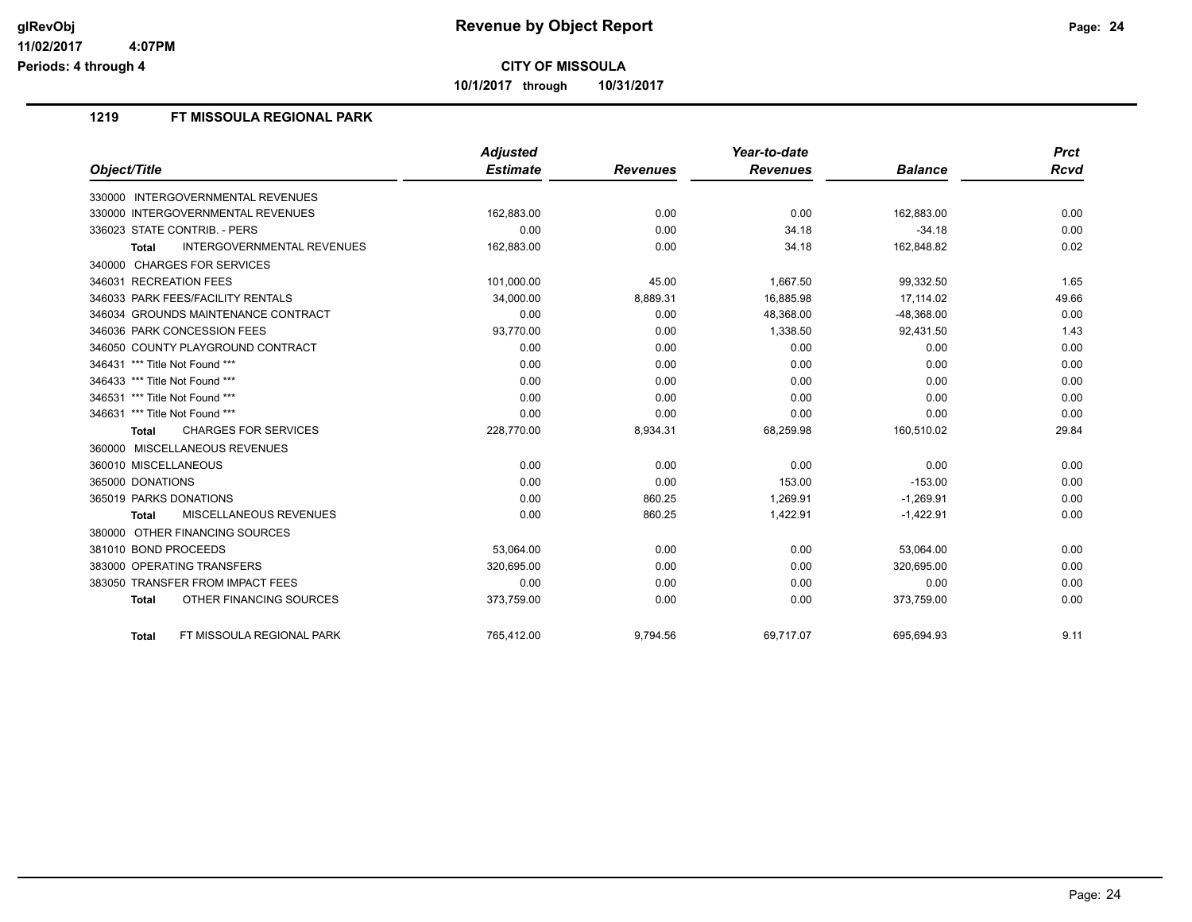**10/1/2017 through 10/31/2017**

# **1219 FT MISSOULA REGIONAL PARK**

|                                                   | <b>Adjusted</b> |                 | Year-to-date    |                | <b>Prct</b> |
|---------------------------------------------------|-----------------|-----------------|-----------------|----------------|-------------|
| Object/Title                                      | <b>Estimate</b> | <b>Revenues</b> | <b>Revenues</b> | <b>Balance</b> | <b>Rcvd</b> |
| 330000 INTERGOVERNMENTAL REVENUES                 |                 |                 |                 |                |             |
| 330000 INTERGOVERNMENTAL REVENUES                 | 162,883.00      | 0.00            | 0.00            | 162,883.00     | 0.00        |
| 336023 STATE CONTRIB. - PERS                      | 0.00            | 0.00            | 34.18           | $-34.18$       | 0.00        |
| <b>INTERGOVERNMENTAL REVENUES</b><br><b>Total</b> | 162,883.00      | 0.00            | 34.18           | 162,848.82     | 0.02        |
| 340000 CHARGES FOR SERVICES                       |                 |                 |                 |                |             |
| 346031 RECREATION FEES                            | 101,000.00      | 45.00           | 1,667.50        | 99,332.50      | 1.65        |
| 346033 PARK FEES/FACILITY RENTALS                 | 34,000.00       | 8,889.31        | 16,885.98       | 17,114.02      | 49.66       |
| 346034 GROUNDS MAINTENANCE CONTRACT               | 0.00            | 0.00            | 48,368.00       | $-48,368.00$   | 0.00        |
| 346036 PARK CONCESSION FEES                       | 93,770.00       | 0.00            | 1,338.50        | 92,431.50      | 1.43        |
| 346050 COUNTY PLAYGROUND CONTRACT                 | 0.00            | 0.00            | 0.00            | 0.00           | 0.00        |
| 346431 *** Title Not Found ***                    | 0.00            | 0.00            | 0.00            | 0.00           | 0.00        |
| 346433 *** Title Not Found ***                    | 0.00            | 0.00            | 0.00            | 0.00           | 0.00        |
| 346531 *** Title Not Found ***                    | 0.00            | 0.00            | 0.00            | 0.00           | 0.00        |
| 346631 *** Title Not Found ***                    | 0.00            | 0.00            | 0.00            | 0.00           | 0.00        |
| <b>CHARGES FOR SERVICES</b><br><b>Total</b>       | 228,770.00      | 8,934.31        | 68,259.98       | 160,510.02     | 29.84       |
| 360000 MISCELLANEOUS REVENUES                     |                 |                 |                 |                |             |
| 360010 MISCELLANEOUS                              | 0.00            | 0.00            | 0.00            | 0.00           | 0.00        |
| 365000 DONATIONS                                  | 0.00            | 0.00            | 153.00          | $-153.00$      | 0.00        |
| 365019 PARKS DONATIONS                            | 0.00            | 860.25          | 1,269.91        | $-1,269.91$    | 0.00        |
| MISCELLANEOUS REVENUES<br><b>Total</b>            | 0.00            | 860.25          | 1,422.91        | $-1,422.91$    | 0.00        |
| 380000 OTHER FINANCING SOURCES                    |                 |                 |                 |                |             |
| 381010 BOND PROCEEDS                              | 53.064.00       | 0.00            | 0.00            | 53,064.00      | 0.00        |
| 383000 OPERATING TRANSFERS                        | 320,695.00      | 0.00            | 0.00            | 320,695.00     | 0.00        |
| 383050 TRANSFER FROM IMPACT FEES                  | 0.00            | 0.00            | 0.00            | 0.00           | 0.00        |
| OTHER FINANCING SOURCES<br><b>Total</b>           | 373,759.00      | 0.00            | 0.00            | 373,759.00     | 0.00        |
| FT MISSOULA REGIONAL PARK<br><b>Total</b>         | 765,412.00      | 9,794.56        | 69,717.07       | 695,694.93     | 9.11        |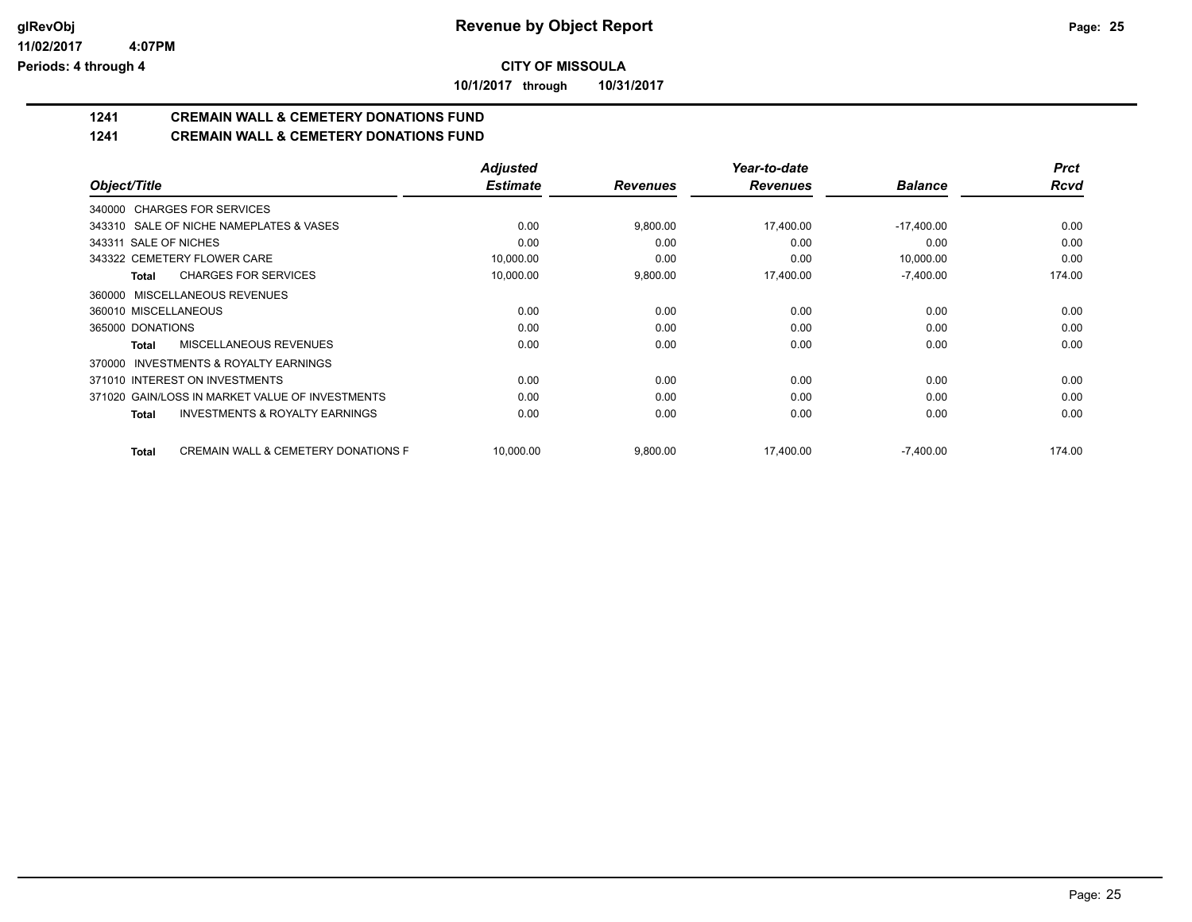#### **11/02/2017 4:07PM Periods: 4 through 4**

**CITY OF MISSOULA**

**10/1/2017 through 10/31/2017**

# **1241 CREMAIN WALL & CEMETERY DONATIONS FUND**

# **1241 CREMAIN WALL & CEMETERY DONATIONS FUND**

|                                                                | <b>Adjusted</b> |                 | Year-to-date    |                | <b>Prct</b> |
|----------------------------------------------------------------|-----------------|-----------------|-----------------|----------------|-------------|
| Object/Title                                                   | <b>Estimate</b> | <b>Revenues</b> | <b>Revenues</b> | <b>Balance</b> | <b>Rcvd</b> |
| 340000 CHARGES FOR SERVICES                                    |                 |                 |                 |                |             |
| 343310 SALE OF NICHE NAMEPLATES & VASES                        | 0.00            | 9,800.00        | 17,400.00       | $-17,400.00$   | 0.00        |
| 343311 SALE OF NICHES                                          | 0.00            | 0.00            | 0.00            | 0.00           | 0.00        |
| 343322 CEMETERY FLOWER CARE                                    | 10,000.00       | 0.00            | 0.00            | 10,000.00      | 0.00        |
| <b>CHARGES FOR SERVICES</b><br>Total                           | 10,000.00       | 9,800.00        | 17,400.00       | $-7,400.00$    | 174.00      |
| MISCELLANEOUS REVENUES<br>360000                               |                 |                 |                 |                |             |
| 360010 MISCELLANEOUS                                           | 0.00            | 0.00            | 0.00            | 0.00           | 0.00        |
| 365000 DONATIONS                                               | 0.00            | 0.00            | 0.00            | 0.00           | 0.00        |
| MISCELLANEOUS REVENUES<br>Total                                | 0.00            | 0.00            | 0.00            | 0.00           | 0.00        |
| <b>INVESTMENTS &amp; ROYALTY EARNINGS</b><br>370000            |                 |                 |                 |                |             |
| 371010 INTEREST ON INVESTMENTS                                 | 0.00            | 0.00            | 0.00            | 0.00           | 0.00        |
| 371020 GAIN/LOSS IN MARKET VALUE OF INVESTMENTS                | 0.00            | 0.00            | 0.00            | 0.00           | 0.00        |
| <b>INVESTMENTS &amp; ROYALTY EARNINGS</b><br>Total             | 0.00            | 0.00            | 0.00            | 0.00           | 0.00        |
| <b>CREMAIN WALL &amp; CEMETERY DONATIONS F</b><br><b>Total</b> | 10,000.00       | 9,800.00        | 17,400.00       | $-7,400.00$    | 174.00      |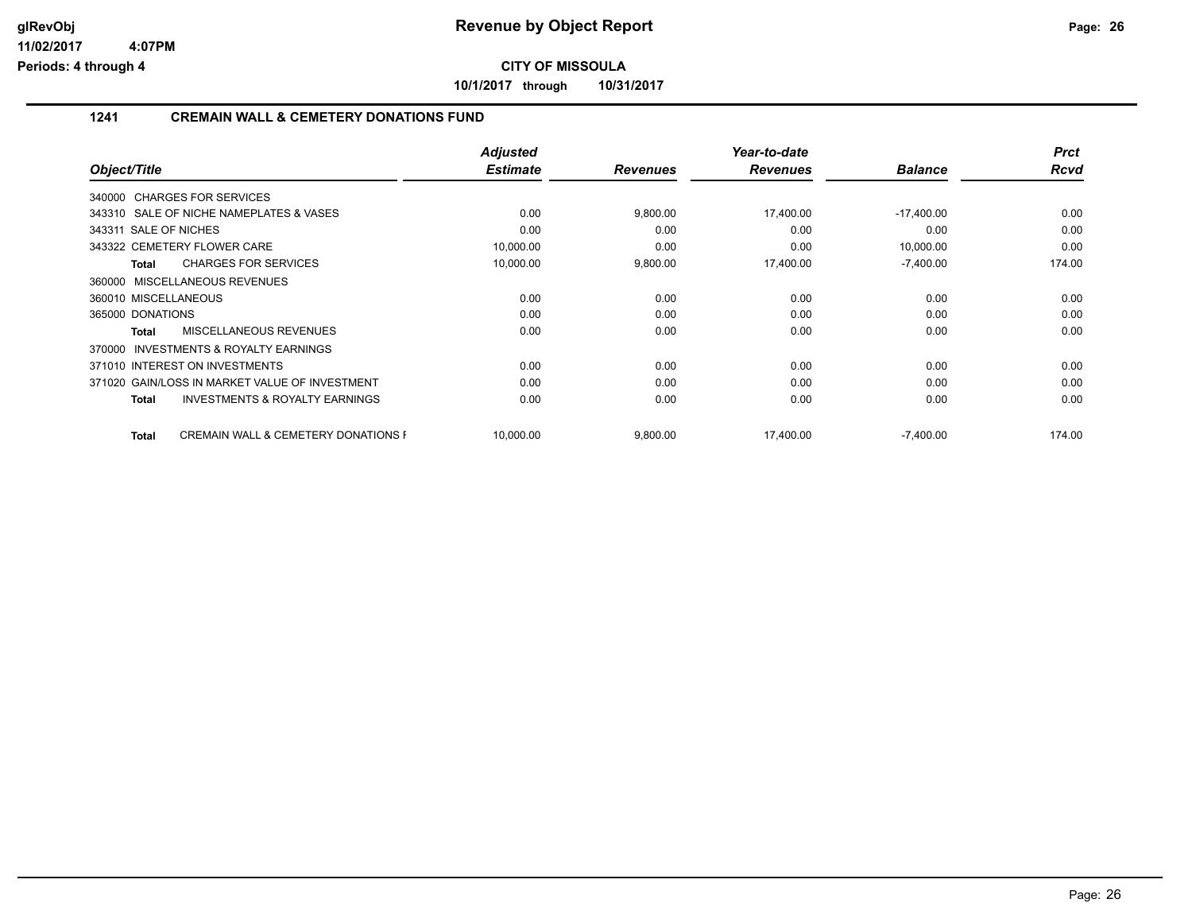**10/1/2017 through 10/31/2017**

#### **1241 CREMAIN WALL & CEMETERY DONATIONS FUND**

| Object/Title                                                   | <b>Adjusted</b><br><b>Estimate</b> | <b>Revenues</b> | Year-to-date<br><b>Revenues</b> | <b>Balance</b> | <b>Prct</b><br><b>Rcvd</b> |
|----------------------------------------------------------------|------------------------------------|-----------------|---------------------------------|----------------|----------------------------|
|                                                                |                                    |                 |                                 |                |                            |
| 340000 CHARGES FOR SERVICES                                    |                                    |                 |                                 |                |                            |
| 343310 SALE OF NICHE NAMEPLATES & VASES                        | 0.00                               | 9,800.00        | 17,400.00                       | $-17,400.00$   | 0.00                       |
| 343311 SALE OF NICHES                                          | 0.00                               | 0.00            | 0.00                            | 0.00           | 0.00                       |
| 343322 CEMETERY FLOWER CARE                                    | 10,000.00                          | 0.00            | 0.00                            | 10,000.00      | 0.00                       |
| <b>CHARGES FOR SERVICES</b><br>Total                           | 10,000.00                          | 9,800.00        | 17,400.00                       | $-7,400.00$    | 174.00                     |
| 360000 MISCELLANEOUS REVENUES                                  |                                    |                 |                                 |                |                            |
| 360010 MISCELLANEOUS                                           | 0.00                               | 0.00            | 0.00                            | 0.00           | 0.00                       |
| 365000 DONATIONS                                               | 0.00                               | 0.00            | 0.00                            | 0.00           | 0.00                       |
| MISCELLANEOUS REVENUES<br><b>Total</b>                         | 0.00                               | 0.00            | 0.00                            | 0.00           | 0.00                       |
| 370000 INVESTMENTS & ROYALTY EARNINGS                          |                                    |                 |                                 |                |                            |
| 371010 INTEREST ON INVESTMENTS                                 | 0.00                               | 0.00            | 0.00                            | 0.00           | 0.00                       |
| 371020 GAIN/LOSS IN MARKET VALUE OF INVESTMENT                 | 0.00                               | 0.00            | 0.00                            | 0.00           | 0.00                       |
| <b>INVESTMENTS &amp; ROYALTY EARNINGS</b><br>Total             | 0.00                               | 0.00            | 0.00                            | 0.00           | 0.00                       |
| <b>CREMAIN WALL &amp; CEMETERY DONATIONS F</b><br><b>Total</b> | 10.000.00                          | 9,800.00        | 17.400.00                       | $-7,400.00$    | 174.00                     |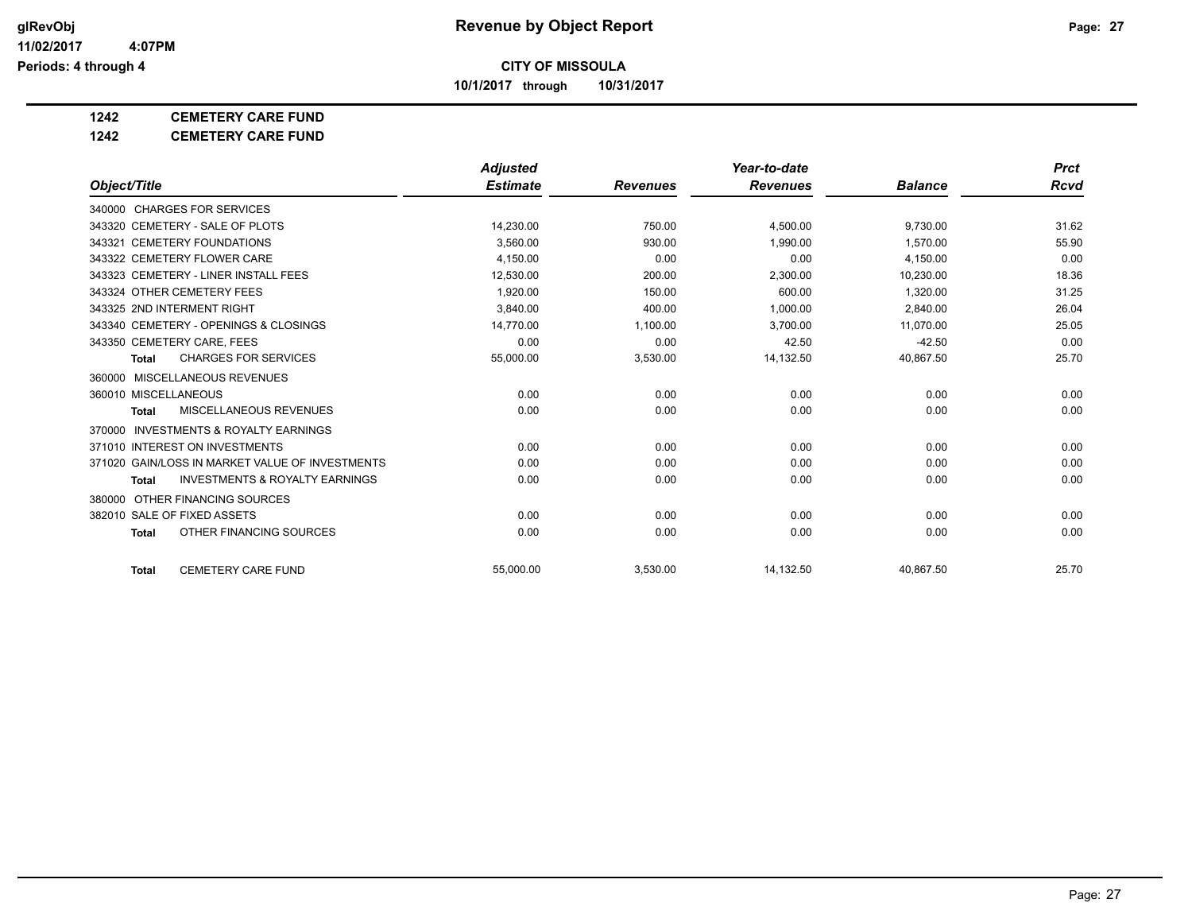**10/1/2017 through 10/31/2017**

#### **1242 CEMETERY CARE FUND**

**1242 CEMETERY CARE FUND**

|                                                           | <b>Adjusted</b> |                 | Year-to-date    |                | <b>Prct</b> |
|-----------------------------------------------------------|-----------------|-----------------|-----------------|----------------|-------------|
| Object/Title                                              | <b>Estimate</b> | <b>Revenues</b> | <b>Revenues</b> | <b>Balance</b> | Rcvd        |
| 340000 CHARGES FOR SERVICES                               |                 |                 |                 |                |             |
| 343320 CEMETERY - SALE OF PLOTS                           | 14,230.00       | 750.00          | 4,500.00        | 9,730.00       | 31.62       |
| 343321 CEMETERY FOUNDATIONS                               | 3.560.00        | 930.00          | 1.990.00        | 1.570.00       | 55.90       |
| 343322 CEMETERY FLOWER CARE                               | 4.150.00        | 0.00            | 0.00            | 4,150.00       | 0.00        |
| 343323 CEMETERY - LINER INSTALL FEES                      | 12,530.00       | 200.00          | 2,300.00        | 10,230.00      | 18.36       |
| 343324 OTHER CEMETERY FEES                                | 1.920.00        | 150.00          | 600.00          | 1.320.00       | 31.25       |
| 343325 2ND INTERMENT RIGHT                                | 3.840.00        | 400.00          | 1.000.00        | 2.840.00       | 26.04       |
| 343340 CEMETERY - OPENINGS & CLOSINGS                     | 14,770.00       | 1,100.00        | 3,700.00        | 11,070.00      | 25.05       |
| 343350 CEMETERY CARE, FEES                                | 0.00            | 0.00            | 42.50           | $-42.50$       | 0.00        |
| <b>CHARGES FOR SERVICES</b><br><b>Total</b>               | 55,000.00       | 3,530.00        | 14,132.50       | 40,867.50      | 25.70       |
| 360000 MISCELLANEOUS REVENUES                             |                 |                 |                 |                |             |
| 360010 MISCELLANEOUS                                      | 0.00            | 0.00            | 0.00            | 0.00           | 0.00        |
| MISCELLANEOUS REVENUES<br><b>Total</b>                    | 0.00            | 0.00            | 0.00            | 0.00           | 0.00        |
| INVESTMENTS & ROYALTY EARNINGS<br>370000                  |                 |                 |                 |                |             |
| 371010 INTEREST ON INVESTMENTS                            | 0.00            | 0.00            | 0.00            | 0.00           | 0.00        |
| 371020 GAIN/LOSS IN MARKET VALUE OF INVESTMENTS           | 0.00            | 0.00            | 0.00            | 0.00           | 0.00        |
| <b>INVESTMENTS &amp; ROYALTY EARNINGS</b><br><b>Total</b> | 0.00            | 0.00            | 0.00            | 0.00           | 0.00        |
| 380000 OTHER FINANCING SOURCES                            |                 |                 |                 |                |             |
| 382010 SALE OF FIXED ASSETS                               | 0.00            | 0.00            | 0.00            | 0.00           | 0.00        |
| OTHER FINANCING SOURCES<br><b>Total</b>                   | 0.00            | 0.00            | 0.00            | 0.00           | 0.00        |
| <b>CEMETERY CARE FUND</b><br><b>Total</b>                 | 55.000.00       | 3.530.00        | 14.132.50       | 40.867.50      | 25.70       |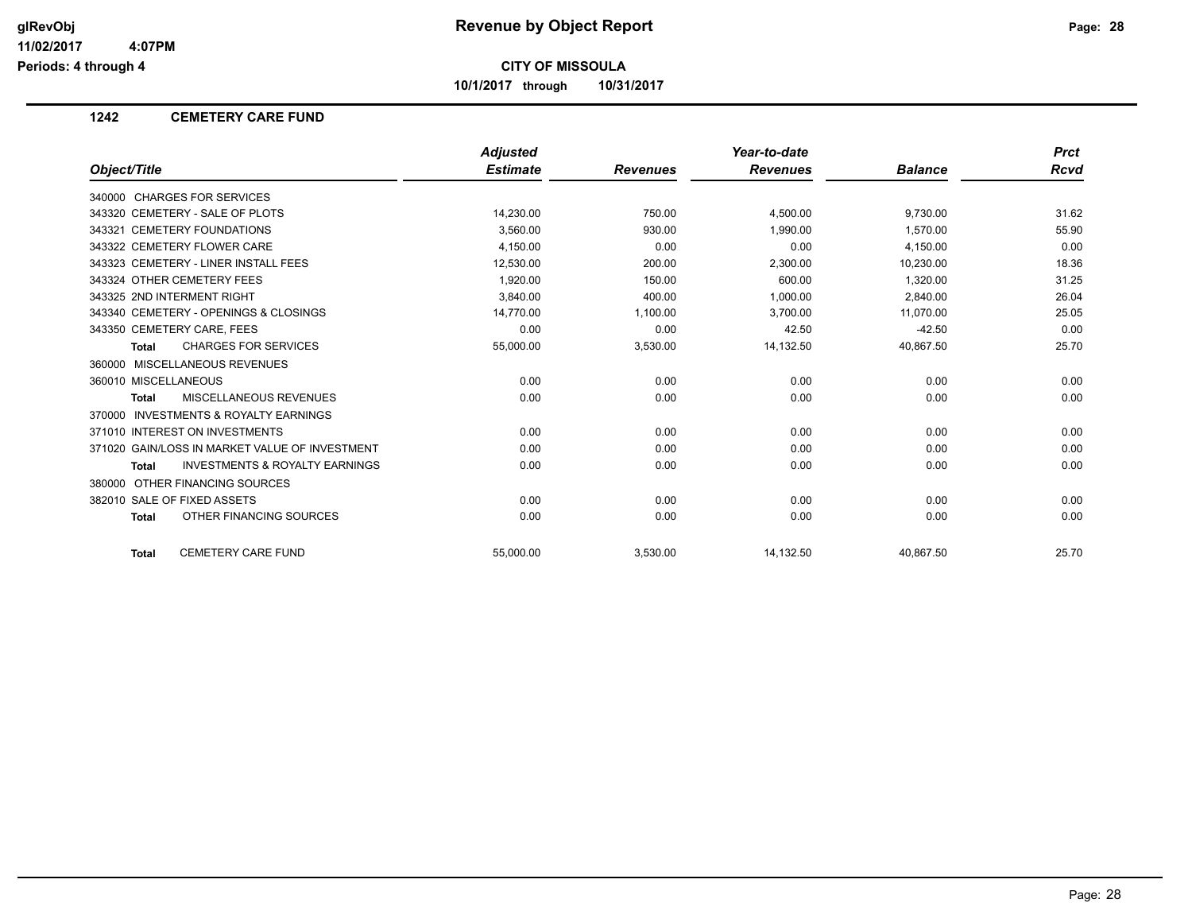**10/1/2017 through 10/31/2017**

#### **1242 CEMETERY CARE FUND**

|                                                           | <b>Adjusted</b> |                 | Year-to-date    |                | <b>Prct</b> |
|-----------------------------------------------------------|-----------------|-----------------|-----------------|----------------|-------------|
| Object/Title                                              | <b>Estimate</b> | <b>Revenues</b> | <b>Revenues</b> | <b>Balance</b> | Rcvd        |
| 340000 CHARGES FOR SERVICES                               |                 |                 |                 |                |             |
| 343320 CEMETERY - SALE OF PLOTS                           | 14,230.00       | 750.00          | 4,500.00        | 9,730.00       | 31.62       |
| 343321 CEMETERY FOUNDATIONS                               | 3,560.00        | 930.00          | 1,990.00        | 1,570.00       | 55.90       |
| 343322 CEMETERY FLOWER CARE                               | 4,150.00        | 0.00            | 0.00            | 4,150.00       | 0.00        |
| 343323 CEMETERY - LINER INSTALL FEES                      | 12.530.00       | 200.00          | 2.300.00        | 10,230.00      | 18.36       |
| 343324 OTHER CEMETERY FEES                                | 1.920.00        | 150.00          | 600.00          | 1,320.00       | 31.25       |
| 343325 2ND INTERMENT RIGHT                                | 3,840.00        | 400.00          | 1,000.00        | 2,840.00       | 26.04       |
| 343340 CEMETERY - OPENINGS & CLOSINGS                     | 14.770.00       | 1.100.00        | 3.700.00        | 11.070.00      | 25.05       |
| 343350 CEMETERY CARE, FEES                                | 0.00            | 0.00            | 42.50           | $-42.50$       | 0.00        |
| <b>CHARGES FOR SERVICES</b><br><b>Total</b>               | 55,000.00       | 3,530.00        | 14,132.50       | 40,867.50      | 25.70       |
| 360000 MISCELLANEOUS REVENUES                             |                 |                 |                 |                |             |
| 360010 MISCELLANEOUS                                      | 0.00            | 0.00            | 0.00            | 0.00           | 0.00        |
| <b>MISCELLANEOUS REVENUES</b><br><b>Total</b>             | 0.00            | 0.00            | 0.00            | 0.00           | 0.00        |
| 370000 INVESTMENTS & ROYALTY EARNINGS                     |                 |                 |                 |                |             |
| 371010 INTEREST ON INVESTMENTS                            | 0.00            | 0.00            | 0.00            | 0.00           | 0.00        |
| 371020 GAIN/LOSS IN MARKET VALUE OF INVESTMENT            | 0.00            | 0.00            | 0.00            | 0.00           | 0.00        |
| <b>INVESTMENTS &amp; ROYALTY EARNINGS</b><br><b>Total</b> | 0.00            | 0.00            | 0.00            | 0.00           | 0.00        |
| 380000 OTHER FINANCING SOURCES                            |                 |                 |                 |                |             |
| 382010 SALE OF FIXED ASSETS                               | 0.00            | 0.00            | 0.00            | 0.00           | 0.00        |
| OTHER FINANCING SOURCES<br><b>Total</b>                   | 0.00            | 0.00            | 0.00            | 0.00           | 0.00        |
| <b>CEMETERY CARE FUND</b><br><b>Total</b>                 | 55.000.00       | 3,530.00        | 14,132.50       | 40.867.50      | 25.70       |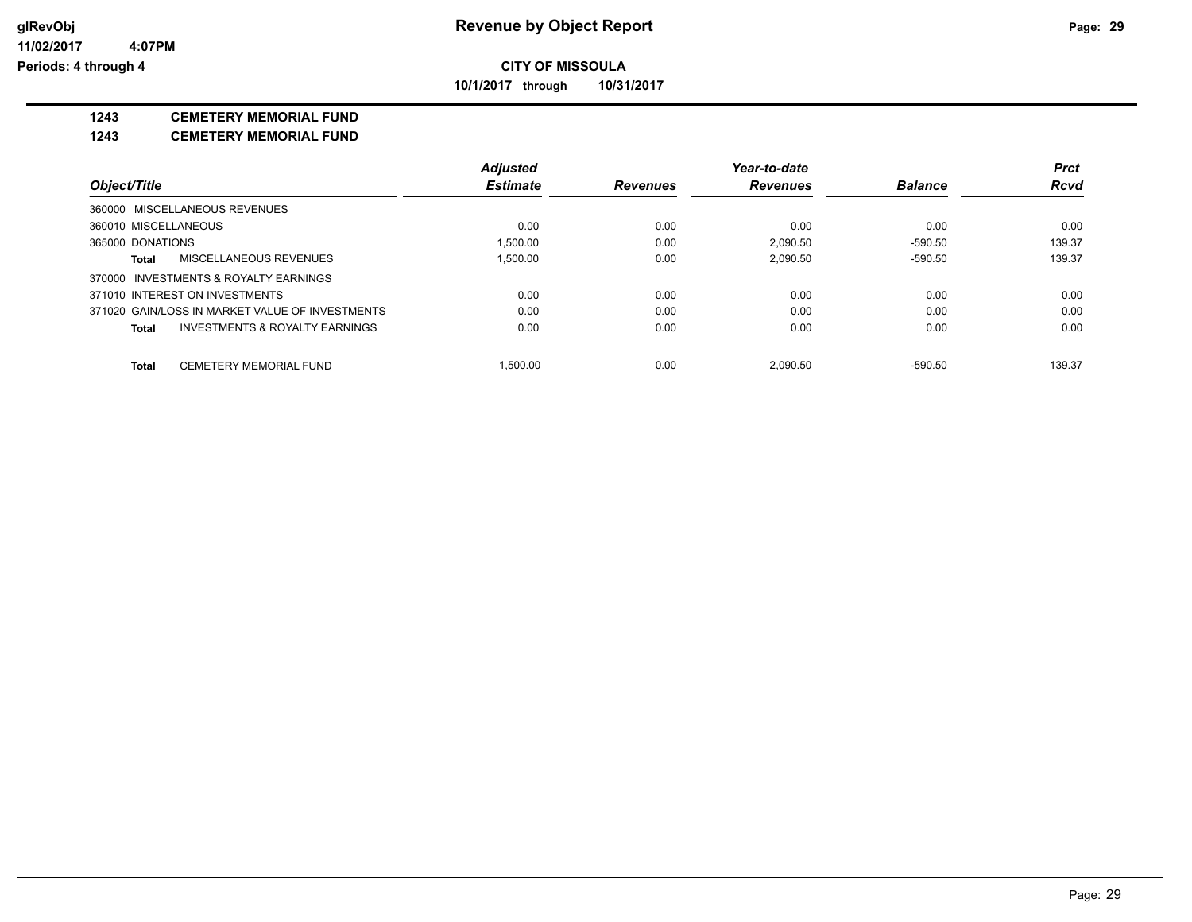**10/1/2017 through 10/31/2017**

# **1243 CEMETERY MEMORIAL FUND**

**1243 CEMETERY MEMORIAL FUND**

|                                                    | <b>Adjusted</b> |                 | Year-to-date    |                | <b>Prct</b> |
|----------------------------------------------------|-----------------|-----------------|-----------------|----------------|-------------|
| Object/Title                                       | <b>Estimate</b> | <b>Revenues</b> | <b>Revenues</b> | <b>Balance</b> | Rcvd        |
| 360000 MISCELLANEOUS REVENUES                      |                 |                 |                 |                |             |
| 360010 MISCELLANEOUS                               | 0.00            | 0.00            | 0.00            | 0.00           | 0.00        |
| 365000 DONATIONS                                   | 1.500.00        | 0.00            | 2.090.50        | $-590.50$      | 139.37      |
| MISCELLANEOUS REVENUES<br>Total                    | 1.500.00        | 0.00            | 2.090.50        | $-590.50$      | 139.37      |
| 370000 INVESTMENTS & ROYALTY EARNINGS              |                 |                 |                 |                |             |
| 371010 INTEREST ON INVESTMENTS                     | 0.00            | 0.00            | 0.00            | 0.00           | 0.00        |
| 371020 GAIN/LOSS IN MARKET VALUE OF INVESTMENTS    | 0.00            | 0.00            | 0.00            | 0.00           | 0.00        |
| <b>INVESTMENTS &amp; ROYALTY EARNINGS</b><br>Total | 0.00            | 0.00            | 0.00            | 0.00           | 0.00        |
| <b>CEMETERY MEMORIAL FUND</b><br>Total             | 1.500.00        | 0.00            | 2.090.50        | $-590.50$      | 139.37      |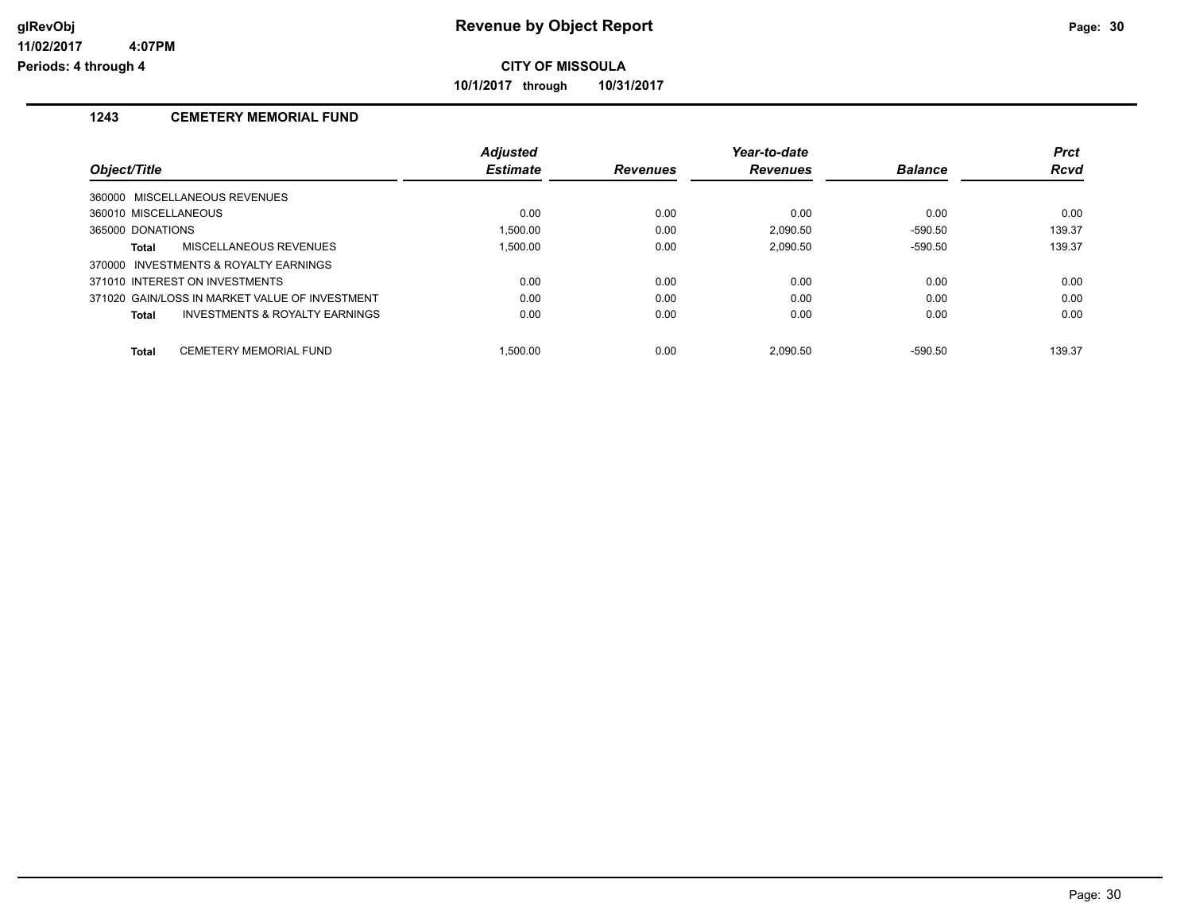**10/1/2017 through 10/31/2017**

# **1243 CEMETERY MEMORIAL FUND**

|                                                | <b>Adjusted</b> |                 | Year-to-date    |                | <b>Prct</b> |
|------------------------------------------------|-----------------|-----------------|-----------------|----------------|-------------|
| Object/Title                                   | <b>Estimate</b> | <b>Revenues</b> | <b>Revenues</b> | <b>Balance</b> | <b>Rcvd</b> |
| 360000 MISCELLANEOUS REVENUES                  |                 |                 |                 |                |             |
| 360010 MISCELLANEOUS                           | 0.00            | 0.00            | 0.00            | 0.00           | 0.00        |
| 365000 DONATIONS                               | 1.500.00        | 0.00            | 2.090.50        | $-590.50$      | 139.37      |
| MISCELLANEOUS REVENUES<br><b>Total</b>         | 1.500.00        | 0.00            | 2.090.50        | $-590.50$      | 139.37      |
| 370000 INVESTMENTS & ROYALTY EARNINGS          |                 |                 |                 |                |             |
| 371010 INTEREST ON INVESTMENTS                 | 0.00            | 0.00            | 0.00            | 0.00           | 0.00        |
| 371020 GAIN/LOSS IN MARKET VALUE OF INVESTMENT | 0.00            | 0.00            | 0.00            | 0.00           | 0.00        |
| INVESTMENTS & ROYALTY EARNINGS<br><b>Total</b> | 0.00            | 0.00            | 0.00            | 0.00           | 0.00        |
| <b>CEMETERY MEMORIAL FUND</b><br><b>Total</b>  | 1.500.00        | 0.00            | 2.090.50        | $-590.50$      | 139.37      |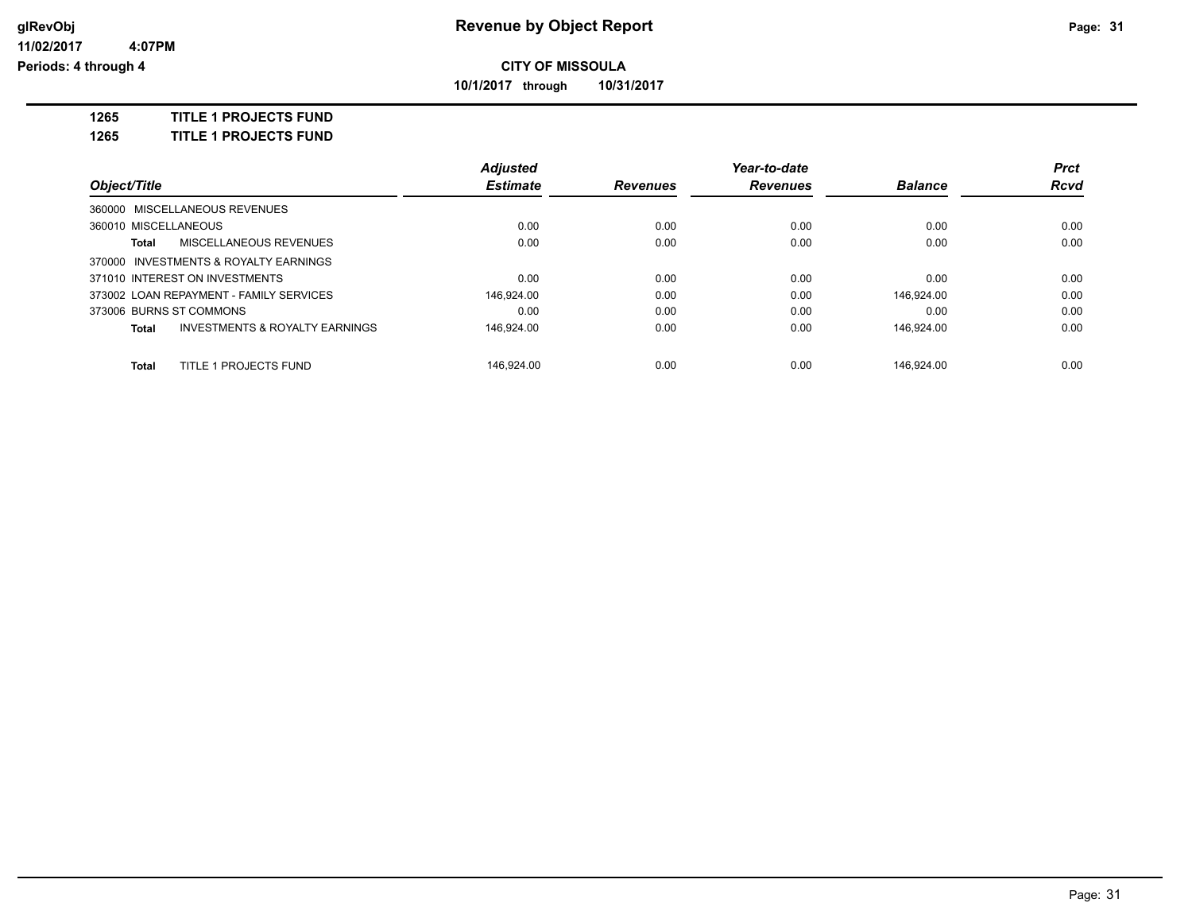**10/1/2017 through 10/31/2017**

**1265 TITLE 1 PROJECTS FUND**

**1265 TITLE 1 PROJECTS FUND**

|                                                | <b>Adjusted</b> |                 | Year-to-date    |                | <b>Prct</b> |
|------------------------------------------------|-----------------|-----------------|-----------------|----------------|-------------|
| Object/Title                                   | <b>Estimate</b> | <b>Revenues</b> | <b>Revenues</b> | <b>Balance</b> | Rcvd        |
| 360000 MISCELLANEOUS REVENUES                  |                 |                 |                 |                |             |
| 360010 MISCELLANEOUS                           | 0.00            | 0.00            | 0.00            | 0.00           | 0.00        |
| MISCELLANEOUS REVENUES<br>Total                | 0.00            | 0.00            | 0.00            | 0.00           | 0.00        |
| 370000 INVESTMENTS & ROYALTY EARNINGS          |                 |                 |                 |                |             |
| 371010 INTEREST ON INVESTMENTS                 | 0.00            | 0.00            | 0.00            | 0.00           | 0.00        |
| 373002 LOAN REPAYMENT - FAMILY SERVICES        | 146,924.00      | 0.00            | 0.00            | 146.924.00     | 0.00        |
| 373006 BURNS ST COMMONS                        | 0.00            | 0.00            | 0.00            | 0.00           | 0.00        |
| INVESTMENTS & ROYALTY EARNINGS<br><b>Total</b> | 146.924.00      | 0.00            | 0.00            | 146.924.00     | 0.00        |
|                                                |                 |                 |                 |                |             |
| TITLE 1 PROJECTS FUND<br><b>Total</b>          | 146.924.00      | 0.00            | 0.00            | 146.924.00     | 0.00        |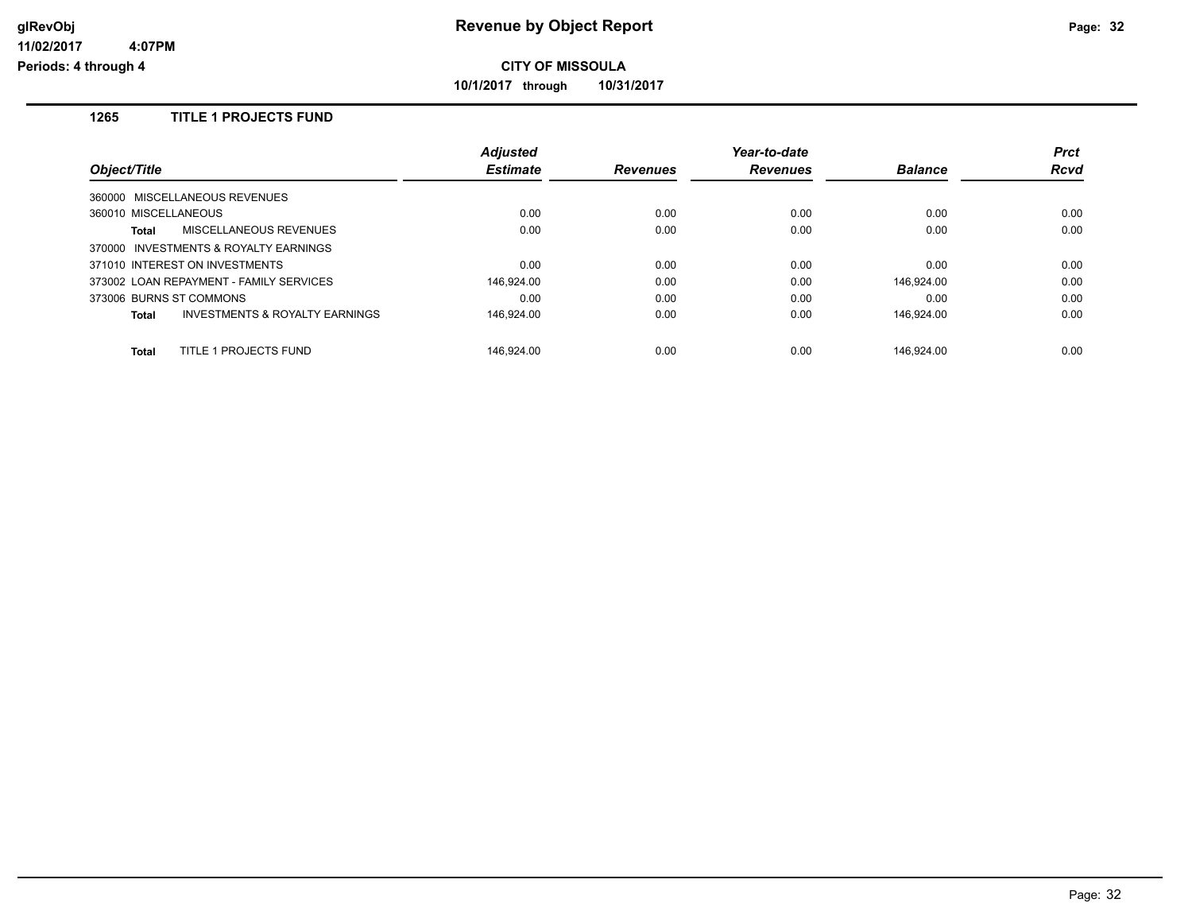**10/1/2017 through 10/31/2017**

# **1265 TITLE 1 PROJECTS FUND**

|                                         |                                | <b>Adjusted</b> |                 | Year-to-date    |                | <b>Prct</b> |
|-----------------------------------------|--------------------------------|-----------------|-----------------|-----------------|----------------|-------------|
| Object/Title                            |                                | <b>Estimate</b> | <b>Revenues</b> | <b>Revenues</b> | <b>Balance</b> | <b>Rcvd</b> |
| 360000 MISCELLANEOUS REVENUES           |                                |                 |                 |                 |                |             |
| 360010 MISCELLANEOUS                    |                                | 0.00            | 0.00            | 0.00            | 0.00           | 0.00        |
| <b>Total</b>                            | MISCELLANEOUS REVENUES         | 0.00            | 0.00            | 0.00            | 0.00           | 0.00        |
| 370000 INVESTMENTS & ROYALTY EARNINGS   |                                |                 |                 |                 |                |             |
| 371010 INTEREST ON INVESTMENTS          |                                | 0.00            | 0.00            | 0.00            | 0.00           | 0.00        |
| 373002 LOAN REPAYMENT - FAMILY SERVICES |                                | 146.924.00      | 0.00            | 0.00            | 146.924.00     | 0.00        |
| 373006 BURNS ST COMMONS                 |                                | 0.00            | 0.00            | 0.00            | 0.00           | 0.00        |
| <b>Total</b>                            | INVESTMENTS & ROYALTY EARNINGS | 146.924.00      | 0.00            | 0.00            | 146.924.00     | 0.00        |
| TITLE 1 PROJECTS FUND<br><b>Total</b>   |                                | 146.924.00      | 0.00            | 0.00            | 146.924.00     | 0.00        |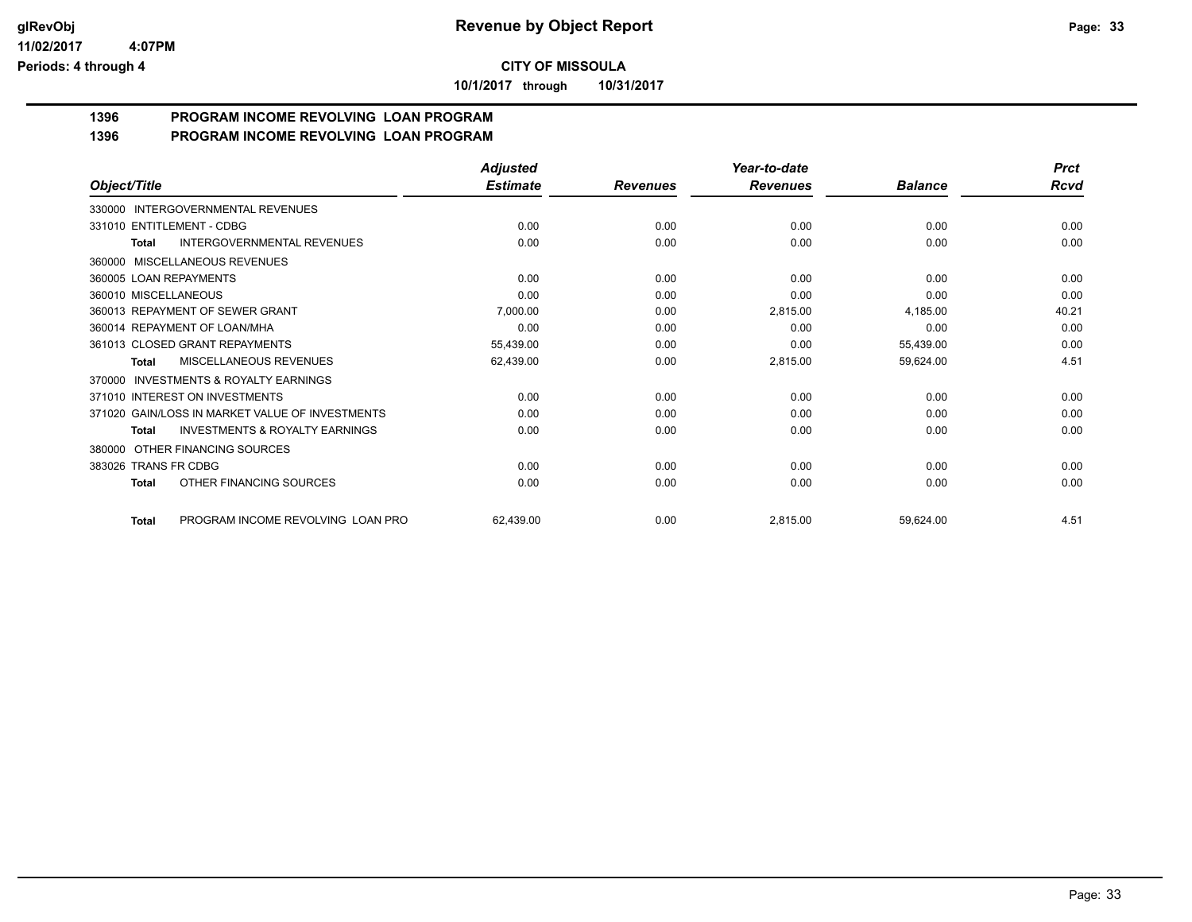**10/1/2017 through 10/31/2017**

#### **1396 PROGRAM INCOME REVOLVING LOAN PROGRAM 1396 PROGRAM INCOME REVOLVING LOAN PROGRAM**

|                                                           | <b>Adjusted</b> |                 | Year-to-date    |                | <b>Prct</b> |
|-----------------------------------------------------------|-----------------|-----------------|-----------------|----------------|-------------|
| Object/Title                                              | <b>Estimate</b> | <b>Revenues</b> | <b>Revenues</b> | <b>Balance</b> | Rcvd        |
| INTERGOVERNMENTAL REVENUES<br>330000                      |                 |                 |                 |                |             |
| 331010 ENTITLEMENT - CDBG                                 | 0.00            | 0.00            | 0.00            | 0.00           | 0.00        |
| INTERGOVERNMENTAL REVENUES<br><b>Total</b>                | 0.00            | 0.00            | 0.00            | 0.00           | 0.00        |
| MISCELLANEOUS REVENUES<br>360000                          |                 |                 |                 |                |             |
| 360005 LOAN REPAYMENTS                                    | 0.00            | 0.00            | 0.00            | 0.00           | 0.00        |
| 360010 MISCELLANEOUS                                      | 0.00            | 0.00            | 0.00            | 0.00           | 0.00        |
| 360013 REPAYMENT OF SEWER GRANT                           | 7,000.00        | 0.00            | 2,815.00        | 4,185.00       | 40.21       |
| 360014 REPAYMENT OF LOAN/MHA                              | 0.00            | 0.00            | 0.00            | 0.00           | 0.00        |
| 361013 CLOSED GRANT REPAYMENTS                            | 55,439.00       | 0.00            | 0.00            | 55,439.00      | 0.00        |
| MISCELLANEOUS REVENUES<br><b>Total</b>                    | 62,439.00       | 0.00            | 2,815.00        | 59,624.00      | 4.51        |
| <b>INVESTMENTS &amp; ROYALTY EARNINGS</b><br>370000       |                 |                 |                 |                |             |
| 371010 INTEREST ON INVESTMENTS                            | 0.00            | 0.00            | 0.00            | 0.00           | 0.00        |
| 371020 GAIN/LOSS IN MARKET VALUE OF INVESTMENTS           | 0.00            | 0.00            | 0.00            | 0.00           | 0.00        |
| <b>INVESTMENTS &amp; ROYALTY EARNINGS</b><br><b>Total</b> | 0.00            | 0.00            | 0.00            | 0.00           | 0.00        |
| OTHER FINANCING SOURCES<br>380000                         |                 |                 |                 |                |             |
| <b>TRANS FR CDBG</b><br>383026                            | 0.00            | 0.00            | 0.00            | 0.00           | 0.00        |
| OTHER FINANCING SOURCES<br><b>Total</b>                   | 0.00            | 0.00            | 0.00            | 0.00           | 0.00        |
| PROGRAM INCOME REVOLVING LOAN PRO<br><b>Total</b>         | 62,439.00       | 0.00            | 2,815.00        | 59,624.00      | 4.51        |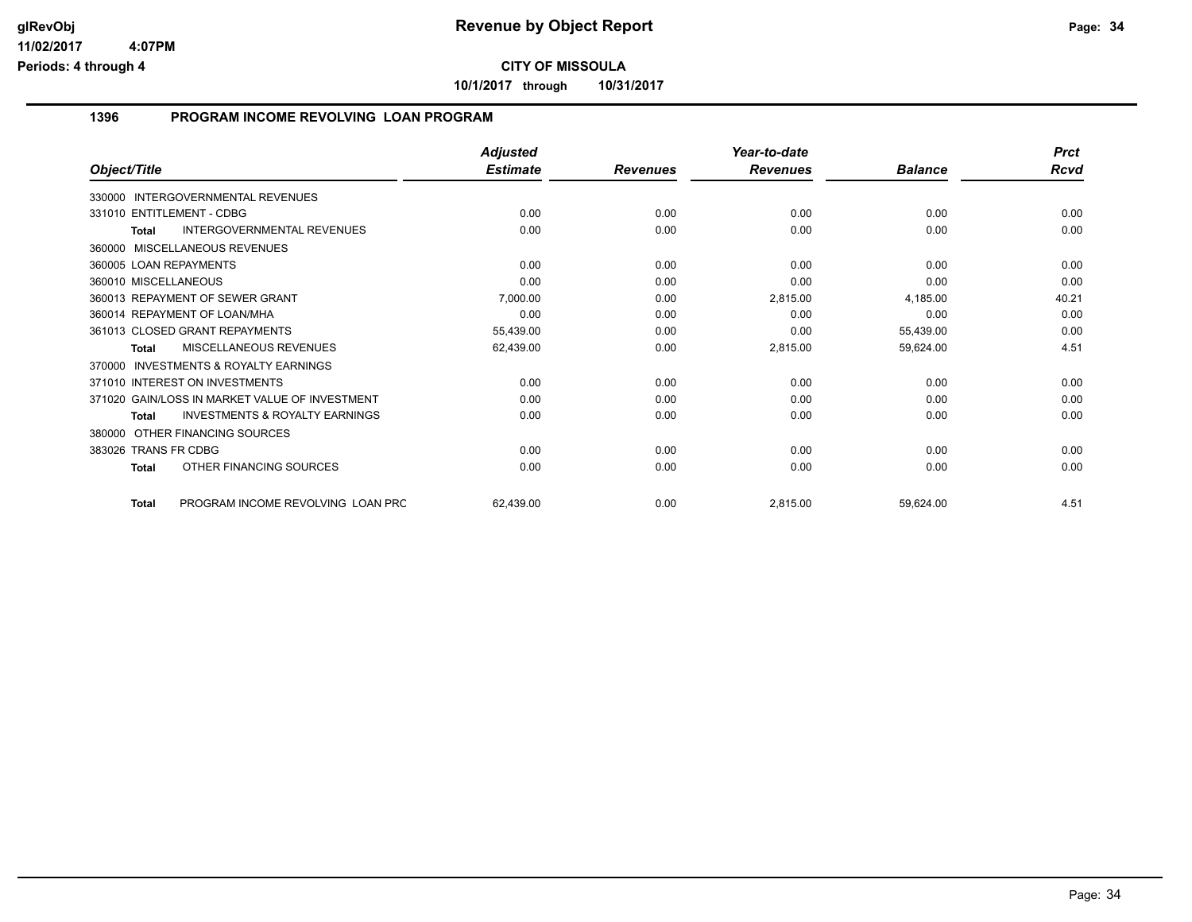**10/1/2017 through 10/31/2017**

#### **1396 PROGRAM INCOME REVOLVING LOAN PROGRAM**

|                                                           | <b>Adjusted</b> |                 | Year-to-date    |                | <b>Prct</b> |
|-----------------------------------------------------------|-----------------|-----------------|-----------------|----------------|-------------|
| Object/Title                                              | <b>Estimate</b> | <b>Revenues</b> | <b>Revenues</b> | <b>Balance</b> | <b>Rcvd</b> |
| 330000 INTERGOVERNMENTAL REVENUES                         |                 |                 |                 |                |             |
| 331010 ENTITLEMENT - CDBG                                 | 0.00            | 0.00            | 0.00            | 0.00           | 0.00        |
| <b>INTERGOVERNMENTAL REVENUES</b><br><b>Total</b>         | 0.00            | 0.00            | 0.00            | 0.00           | 0.00        |
| 360000 MISCELLANEOUS REVENUES                             |                 |                 |                 |                |             |
| 360005 LOAN REPAYMENTS                                    | 0.00            | 0.00            | 0.00            | 0.00           | 0.00        |
| 360010 MISCELLANEOUS                                      | 0.00            | 0.00            | 0.00            | 0.00           | 0.00        |
| 360013 REPAYMENT OF SEWER GRANT                           | 7,000.00        | 0.00            | 2,815.00        | 4,185.00       | 40.21       |
| 360014 REPAYMENT OF LOAN/MHA                              | 0.00            | 0.00            | 0.00            | 0.00           | 0.00        |
| 361013 CLOSED GRANT REPAYMENTS                            | 55,439.00       | 0.00            | 0.00            | 55,439.00      | 0.00        |
| MISCELLANEOUS REVENUES<br><b>Total</b>                    | 62,439.00       | 0.00            | 2,815.00        | 59,624.00      | 4.51        |
| 370000 INVESTMENTS & ROYALTY EARNINGS                     |                 |                 |                 |                |             |
| 371010 INTEREST ON INVESTMENTS                            | 0.00            | 0.00            | 0.00            | 0.00           | 0.00        |
| 371020 GAIN/LOSS IN MARKET VALUE OF INVESTMENT            | 0.00            | 0.00            | 0.00            | 0.00           | 0.00        |
| <b>INVESTMENTS &amp; ROYALTY EARNINGS</b><br><b>Total</b> | 0.00            | 0.00            | 0.00            | 0.00           | 0.00        |
| 380000 OTHER FINANCING SOURCES                            |                 |                 |                 |                |             |
| 383026 TRANS FR CDBG                                      | 0.00            | 0.00            | 0.00            | 0.00           | 0.00        |
| OTHER FINANCING SOURCES<br><b>Total</b>                   | 0.00            | 0.00            | 0.00            | 0.00           | 0.00        |
| PROGRAM INCOME REVOLVING LOAN PRC<br><b>Total</b>         | 62,439.00       | 0.00            | 2,815.00        | 59,624.00      | 4.51        |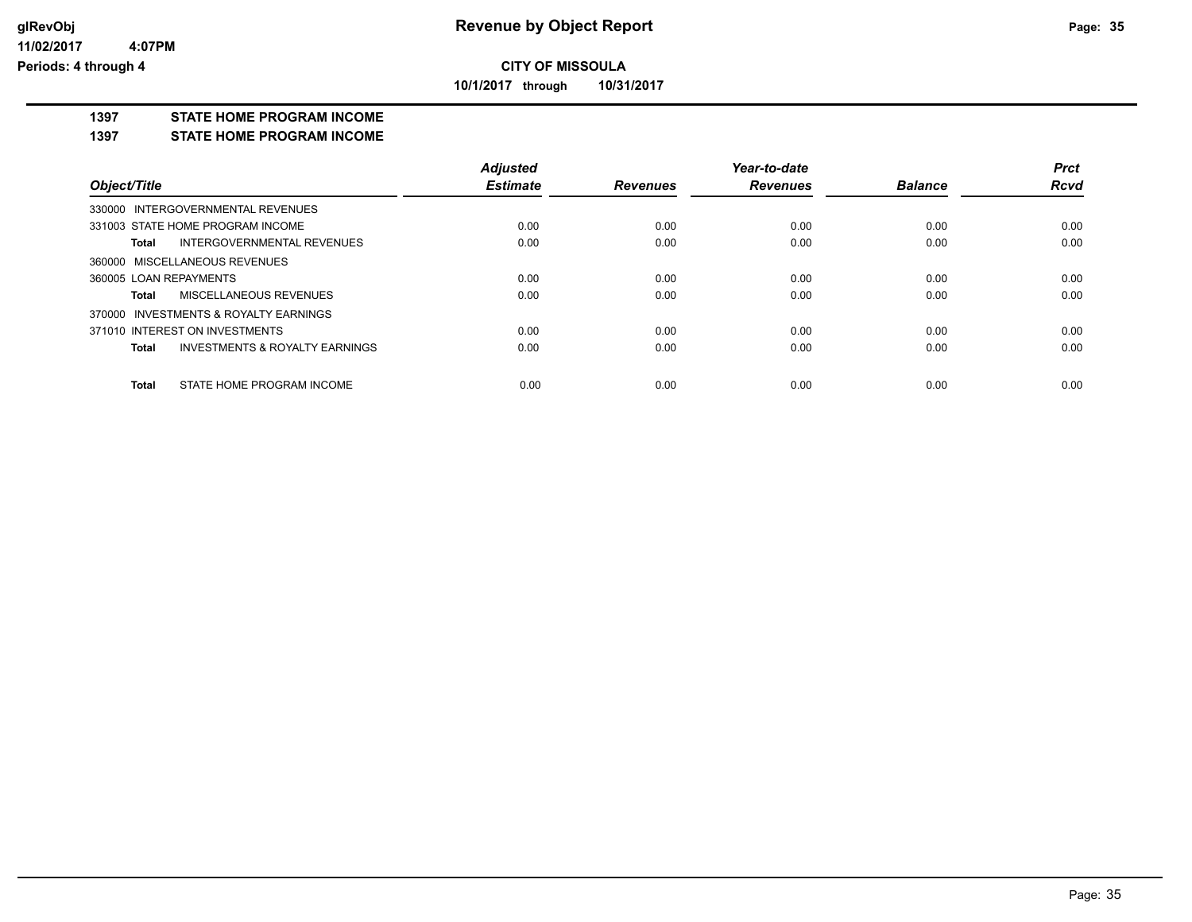**10/1/2017 through 10/31/2017**

# **1397 STATE HOME PROGRAM INCOME**

#### **1397 STATE HOME PROGRAM INCOME**

|                                         | <b>Adjusted</b> |                 | Year-to-date    |                | <b>Prct</b> |
|-----------------------------------------|-----------------|-----------------|-----------------|----------------|-------------|
| Object/Title                            | <b>Estimate</b> | <b>Revenues</b> | <b>Revenues</b> | <b>Balance</b> | <b>Rcvd</b> |
| 330000 INTERGOVERNMENTAL REVENUES       |                 |                 |                 |                |             |
| 331003 STATE HOME PROGRAM INCOME        | 0.00            | 0.00            | 0.00            | 0.00           | 0.00        |
| INTERGOVERNMENTAL REVENUES<br>Total     | 0.00            | 0.00            | 0.00            | 0.00           | 0.00        |
| 360000 MISCELLANEOUS REVENUES           |                 |                 |                 |                |             |
| 360005 LOAN REPAYMENTS                  | 0.00            | 0.00            | 0.00            | 0.00           | 0.00        |
| <b>MISCELLANEOUS REVENUES</b><br>Total  | 0.00            | 0.00            | 0.00            | 0.00           | 0.00        |
| 370000 INVESTMENTS & ROYALTY EARNINGS   |                 |                 |                 |                |             |
| 371010 INTEREST ON INVESTMENTS          | 0.00            | 0.00            | 0.00            | 0.00           | 0.00        |
| INVESTMENTS & ROYALTY EARNINGS<br>Total | 0.00            | 0.00            | 0.00            | 0.00           | 0.00        |
| STATE HOME PROGRAM INCOME<br>Total      | 0.00            | 0.00            | 0.00            | 0.00           | 0.00        |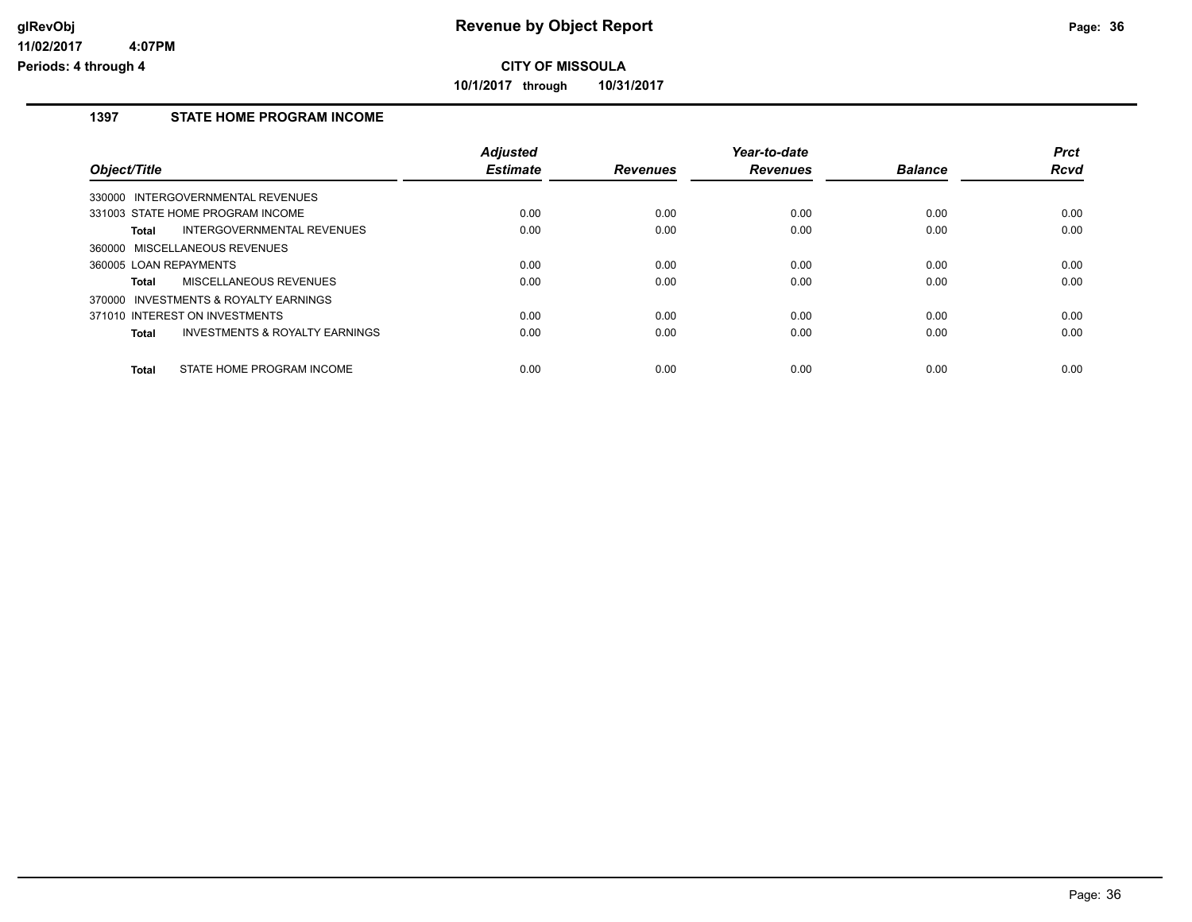**10/1/2017 through 10/31/2017**

#### **1397 STATE HOME PROGRAM INCOME**

| Object/Title           |                                           | <b>Adjusted</b><br><b>Estimate</b> | <b>Revenues</b> | Year-to-date<br><b>Revenues</b> | <b>Balance</b> | <b>Prct</b><br>Rcvd |
|------------------------|-------------------------------------------|------------------------------------|-----------------|---------------------------------|----------------|---------------------|
|                        | 330000 INTERGOVERNMENTAL REVENUES         |                                    |                 |                                 |                |                     |
|                        | 331003 STATE HOME PROGRAM INCOME          | 0.00                               | 0.00            | 0.00                            | 0.00           | 0.00                |
| Total                  | INTERGOVERNMENTAL REVENUES                | 0.00                               | 0.00            | 0.00                            | 0.00           | 0.00                |
|                        | 360000 MISCELLANEOUS REVENUES             |                                    |                 |                                 |                |                     |
| 360005 LOAN REPAYMENTS |                                           | 0.00                               | 0.00            | 0.00                            | 0.00           | 0.00                |
| Total                  | <b>MISCELLANEOUS REVENUES</b>             | 0.00                               | 0.00            | 0.00                            | 0.00           | 0.00                |
|                        | 370000 INVESTMENTS & ROYALTY EARNINGS     |                                    |                 |                                 |                |                     |
|                        | 371010 INTEREST ON INVESTMENTS            | 0.00                               | 0.00            | 0.00                            | 0.00           | 0.00                |
| <b>Total</b>           | <b>INVESTMENTS &amp; ROYALTY EARNINGS</b> | 0.00                               | 0.00            | 0.00                            | 0.00           | 0.00                |
| <b>Total</b>           | STATE HOME PROGRAM INCOME                 | 0.00                               | 0.00            | 0.00                            | 0.00           | 0.00                |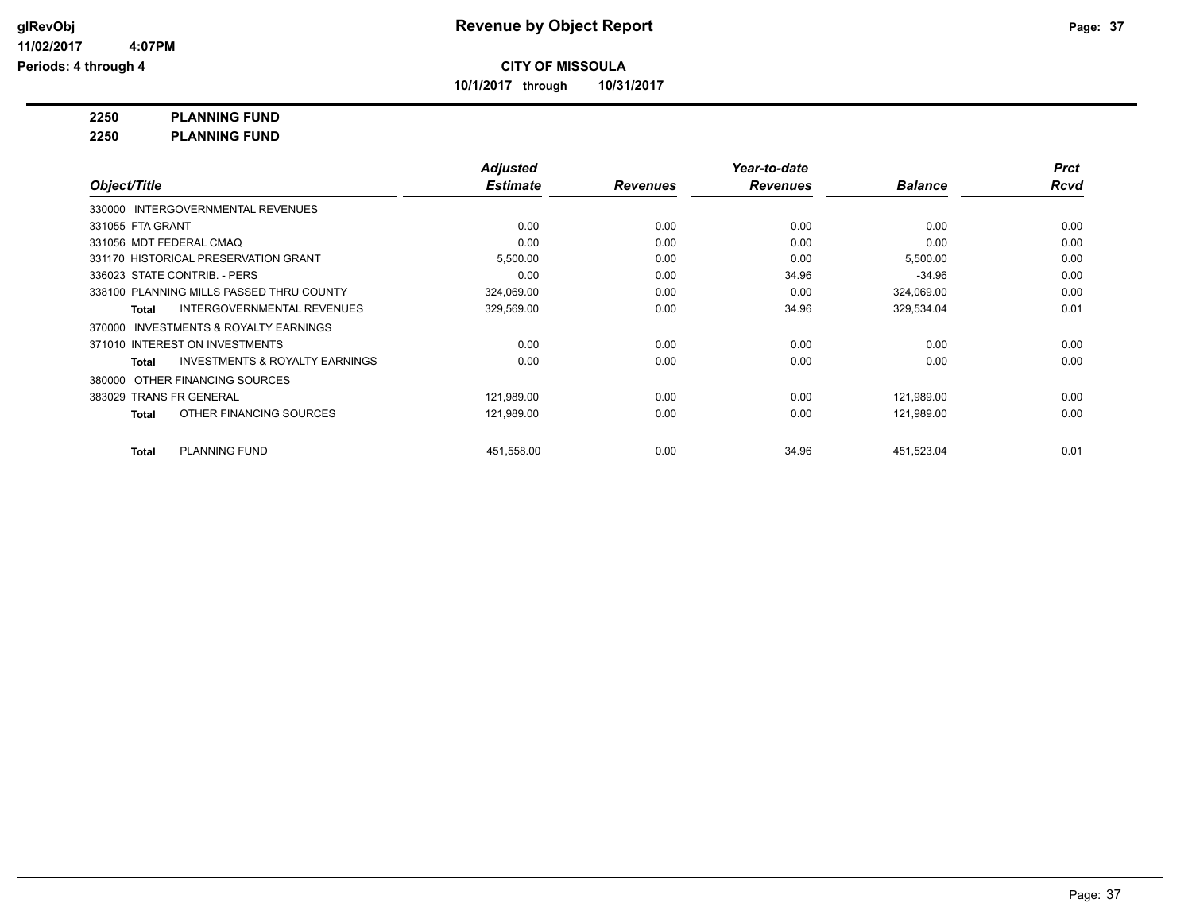**10/1/2017 through 10/31/2017**

## **2250 PLANNING FUND**

**2250 PLANNING FUND**

|                                                           | <b>Adjusted</b> |                 | Year-to-date    |                | <b>Prct</b> |
|-----------------------------------------------------------|-----------------|-----------------|-----------------|----------------|-------------|
| Object/Title                                              | <b>Estimate</b> | <b>Revenues</b> | <b>Revenues</b> | <b>Balance</b> | <b>Rcvd</b> |
| 330000 INTERGOVERNMENTAL REVENUES                         |                 |                 |                 |                |             |
| 331055 FTA GRANT                                          | 0.00            | 0.00            | 0.00            | 0.00           | 0.00        |
| 331056 MDT FEDERAL CMAQ                                   | 0.00            | 0.00            | 0.00            | 0.00           | 0.00        |
| 331170 HISTORICAL PRESERVATION GRANT                      | 5,500.00        | 0.00            | 0.00            | 5,500.00       | 0.00        |
| 336023 STATE CONTRIB. - PERS                              | 0.00            | 0.00            | 34.96           | $-34.96$       | 0.00        |
| 338100 PLANNING MILLS PASSED THRU COUNTY                  | 324,069.00      | 0.00            | 0.00            | 324,069.00     | 0.00        |
| <b>INTERGOVERNMENTAL REVENUES</b><br><b>Total</b>         | 329,569.00      | 0.00            | 34.96           | 329,534.04     | 0.01        |
| 370000 INVESTMENTS & ROYALTY EARNINGS                     |                 |                 |                 |                |             |
| 371010 INTEREST ON INVESTMENTS                            | 0.00            | 0.00            | 0.00            | 0.00           | 0.00        |
| <b>INVESTMENTS &amp; ROYALTY EARNINGS</b><br><b>Total</b> | 0.00            | 0.00            | 0.00            | 0.00           | 0.00        |
| OTHER FINANCING SOURCES<br>380000                         |                 |                 |                 |                |             |
| 383029 TRANS FR GENERAL                                   | 121,989.00      | 0.00            | 0.00            | 121,989.00     | 0.00        |
| OTHER FINANCING SOURCES<br><b>Total</b>                   | 121,989.00      | 0.00            | 0.00            | 121,989.00     | 0.00        |
|                                                           |                 |                 |                 |                |             |
| <b>PLANNING FUND</b><br><b>Total</b>                      | 451,558.00      | 0.00            | 34.96           | 451,523.04     | 0.01        |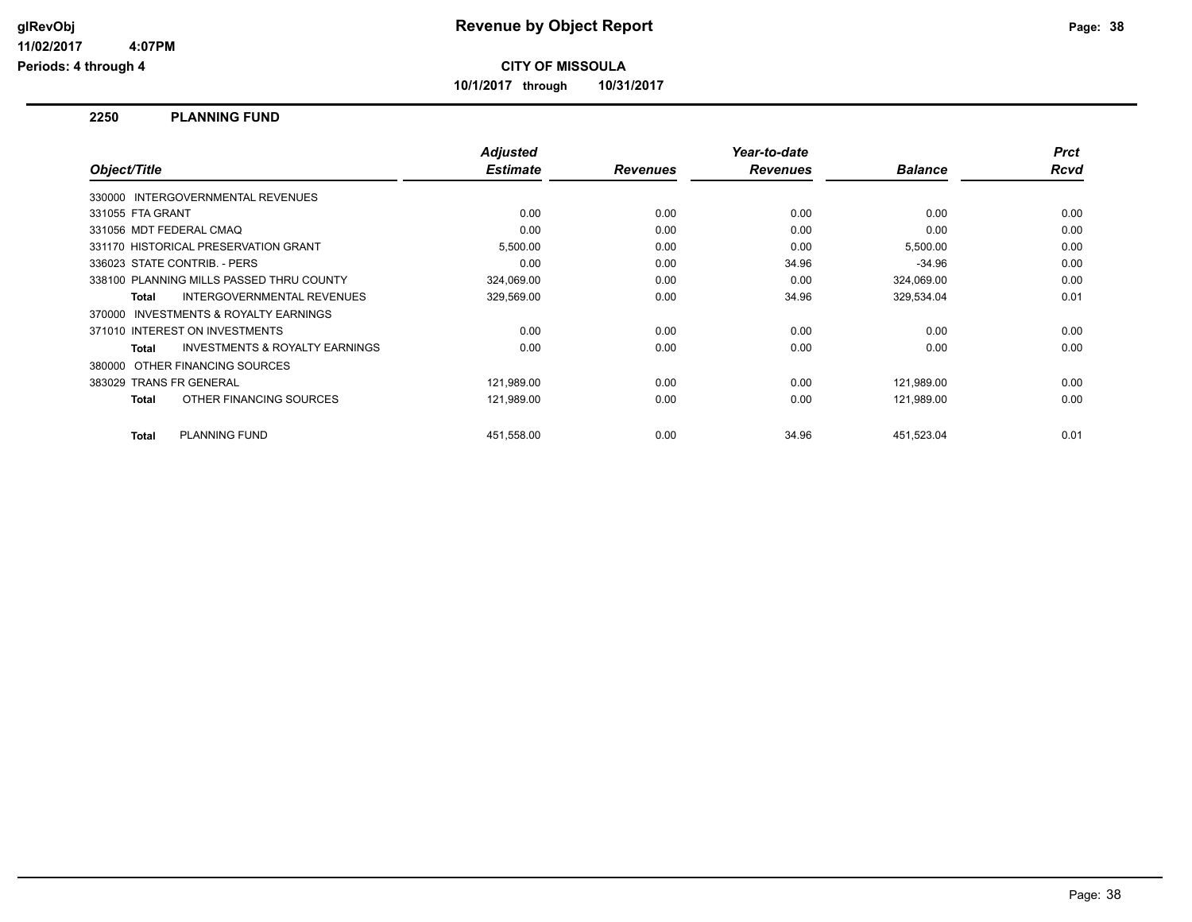**10/1/2017 through 10/31/2017**

#### **2250 PLANNING FUND**

| Object/Title                                        | <b>Adjusted</b><br><b>Estimate</b> | <b>Revenues</b> | Year-to-date<br><b>Revenues</b> | <b>Balance</b> | <b>Prct</b><br>Rcvd |
|-----------------------------------------------------|------------------------------------|-----------------|---------------------------------|----------------|---------------------|
| 330000 INTERGOVERNMENTAL REVENUES                   |                                    |                 |                                 |                |                     |
| 331055 FTA GRANT                                    | 0.00                               | 0.00            | 0.00                            | 0.00           | 0.00                |
| 331056 MDT FEDERAL CMAQ                             | 0.00                               | 0.00            | 0.00                            | 0.00           | 0.00                |
| 331170 HISTORICAL PRESERVATION GRANT                | 5,500.00                           | 0.00            | 0.00                            | 5,500.00       | 0.00                |
| 336023 STATE CONTRIB. - PERS                        | 0.00                               | 0.00            | 34.96                           | $-34.96$       | 0.00                |
| 338100 PLANNING MILLS PASSED THRU COUNTY            | 324,069.00                         | 0.00            | 0.00                            | 324,069.00     | 0.00                |
| <b>INTERGOVERNMENTAL REVENUES</b><br>Total          | 329,569.00                         | 0.00            | 34.96                           | 329,534.04     | 0.01                |
| <b>INVESTMENTS &amp; ROYALTY EARNINGS</b><br>370000 |                                    |                 |                                 |                |                     |
| 371010 INTEREST ON INVESTMENTS                      | 0.00                               | 0.00            | 0.00                            | 0.00           | 0.00                |
| <b>INVESTMENTS &amp; ROYALTY EARNINGS</b><br>Total  | 0.00                               | 0.00            | 0.00                            | 0.00           | 0.00                |
| 380000 OTHER FINANCING SOURCES                      |                                    |                 |                                 |                |                     |
| 383029 TRANS FR GENERAL                             | 121,989.00                         | 0.00            | 0.00                            | 121,989.00     | 0.00                |
| OTHER FINANCING SOURCES<br>Total                    | 121,989.00                         | 0.00            | 0.00                            | 121,989.00     | 0.00                |
|                                                     |                                    |                 |                                 |                |                     |
| <b>PLANNING FUND</b><br>Total                       | 451,558.00                         | 0.00            | 34.96                           | 451,523.04     | 0.01                |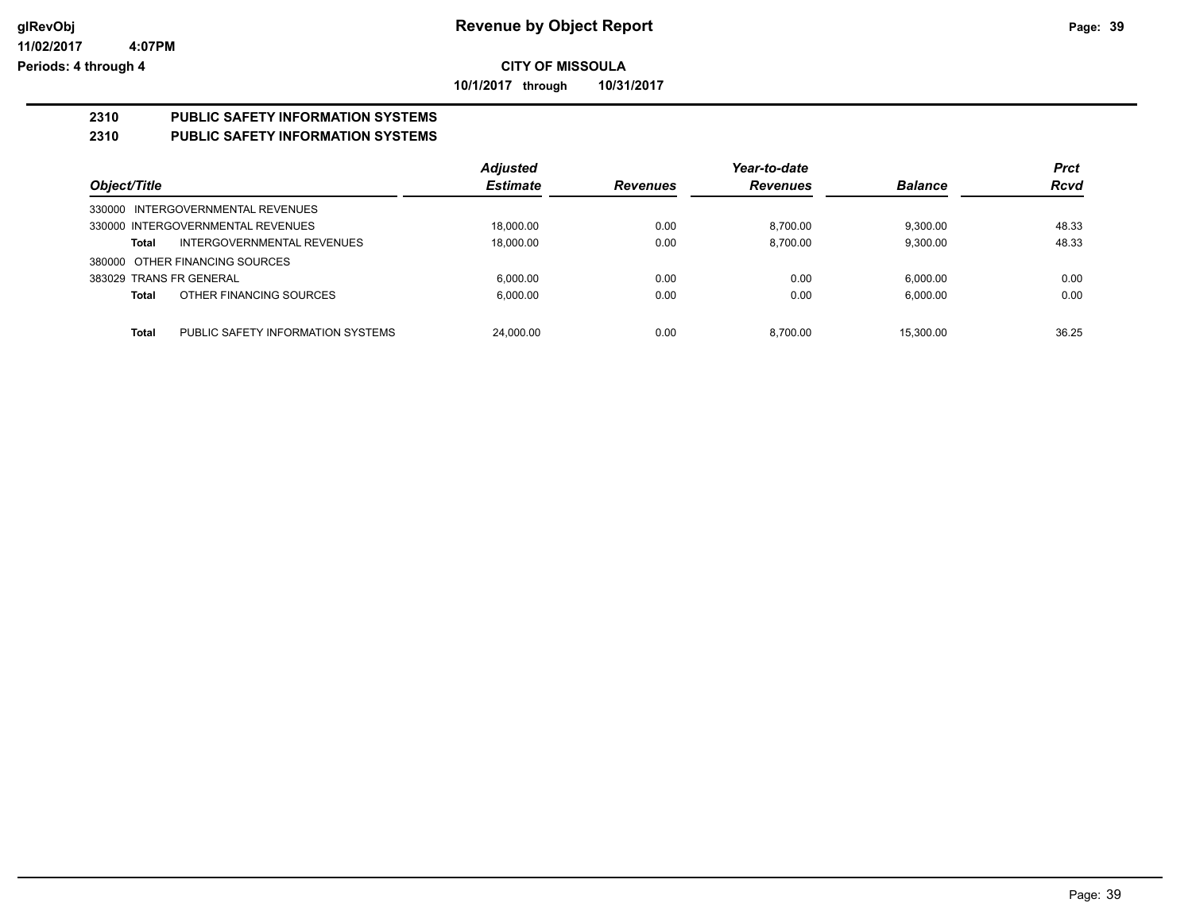**10/1/2017 through 10/31/2017**

## **2310 PUBLIC SAFETY INFORMATION SYSTEMS 2310 PUBLIC SAFETY INFORMATION SYSTEMS**

|                                            | <b>Adjusted</b> |                 | Year-to-date    |                | <b>Prct</b> |
|--------------------------------------------|-----------------|-----------------|-----------------|----------------|-------------|
| Object/Title                               | <b>Estimate</b> | <b>Revenues</b> | <b>Revenues</b> | <b>Balance</b> | Rcvd        |
| 330000 INTERGOVERNMENTAL REVENUES          |                 |                 |                 |                |             |
| 330000 INTERGOVERNMENTAL REVENUES          | 18,000.00       | 0.00            | 8.700.00        | 9.300.00       | 48.33       |
| INTERGOVERNMENTAL REVENUES<br>Total        | 18.000.00       | 0.00            | 8,700.00        | 9.300.00       | 48.33       |
| 380000 OTHER FINANCING SOURCES             |                 |                 |                 |                |             |
| 383029 TRANS FR GENERAL                    | 6.000.00        | 0.00            | 0.00            | 6.000.00       | 0.00        |
| OTHER FINANCING SOURCES<br>Total           | 6.000.00        | 0.00            | 0.00            | 6.000.00       | 0.00        |
|                                            |                 |                 |                 |                |             |
| PUBLIC SAFETY INFORMATION SYSTEMS<br>Total | 24.000.00       | 0.00            | 8.700.00        | 15.300.00      | 36.25       |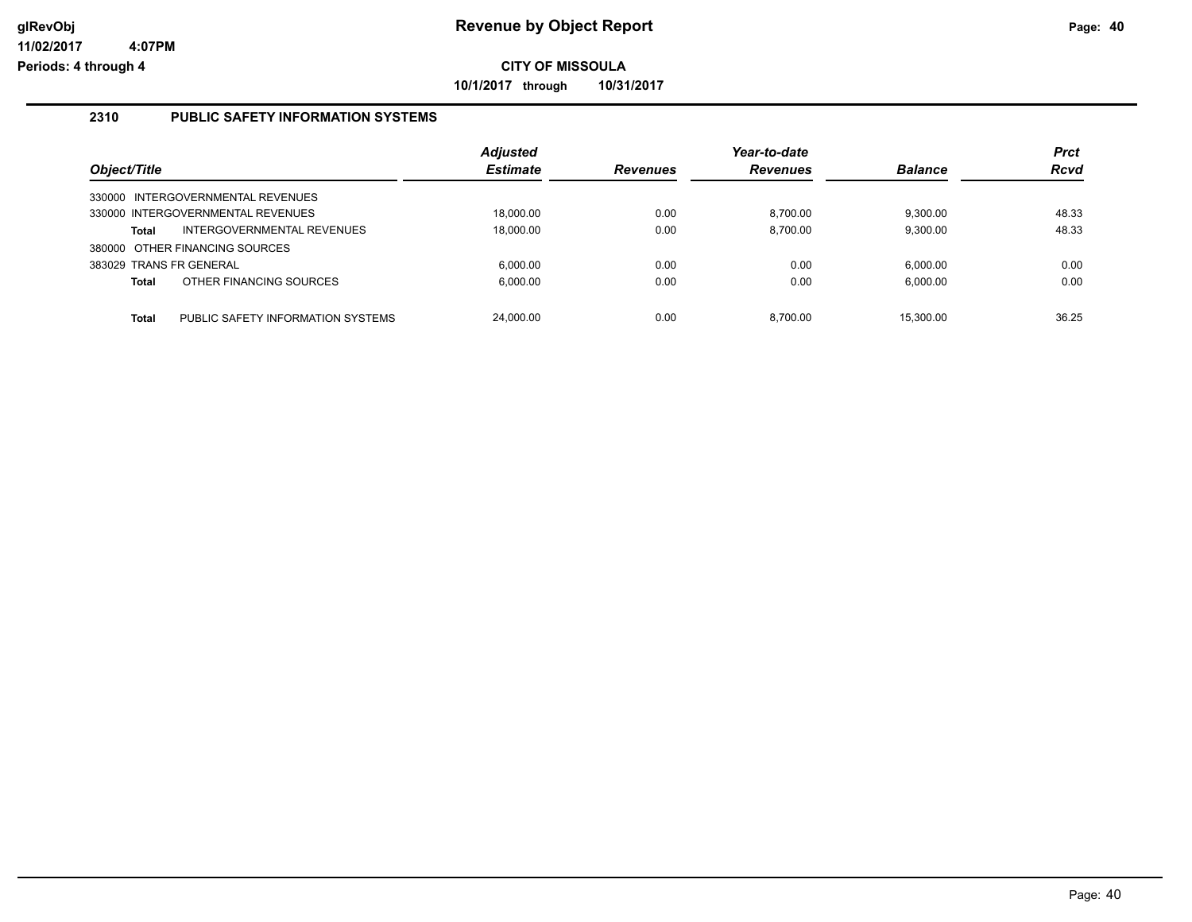**10/1/2017 through 10/31/2017**

## **2310 PUBLIC SAFETY INFORMATION SYSTEMS**

|                                                   | <b>Adjusted</b> |                 | Year-to-date    |                | <b>Prct</b> |
|---------------------------------------------------|-----------------|-----------------|-----------------|----------------|-------------|
| Object/Title                                      | <b>Estimate</b> | <b>Revenues</b> | <b>Revenues</b> | <b>Balance</b> | <b>Rcvd</b> |
| 330000 INTERGOVERNMENTAL REVENUES                 |                 |                 |                 |                |             |
| 330000 INTERGOVERNMENTAL REVENUES                 | 18.000.00       | 0.00            | 8.700.00        | 9.300.00       | 48.33       |
| INTERGOVERNMENTAL REVENUES<br><b>Total</b>        | 18,000.00       | 0.00            | 8,700.00        | 9,300.00       | 48.33       |
| 380000 OTHER FINANCING SOURCES                    |                 |                 |                 |                |             |
| 383029 TRANS FR GENERAL                           | 6.000.00        | 0.00            | 0.00            | 6.000.00       | 0.00        |
| OTHER FINANCING SOURCES<br><b>Total</b>           | 6,000.00        | 0.00            | 0.00            | 6,000.00       | 0.00        |
|                                                   |                 |                 |                 |                |             |
| PUBLIC SAFETY INFORMATION SYSTEMS<br><b>Total</b> | 24.000.00       | 0.00            | 8.700.00        | 15.300.00      | 36.25       |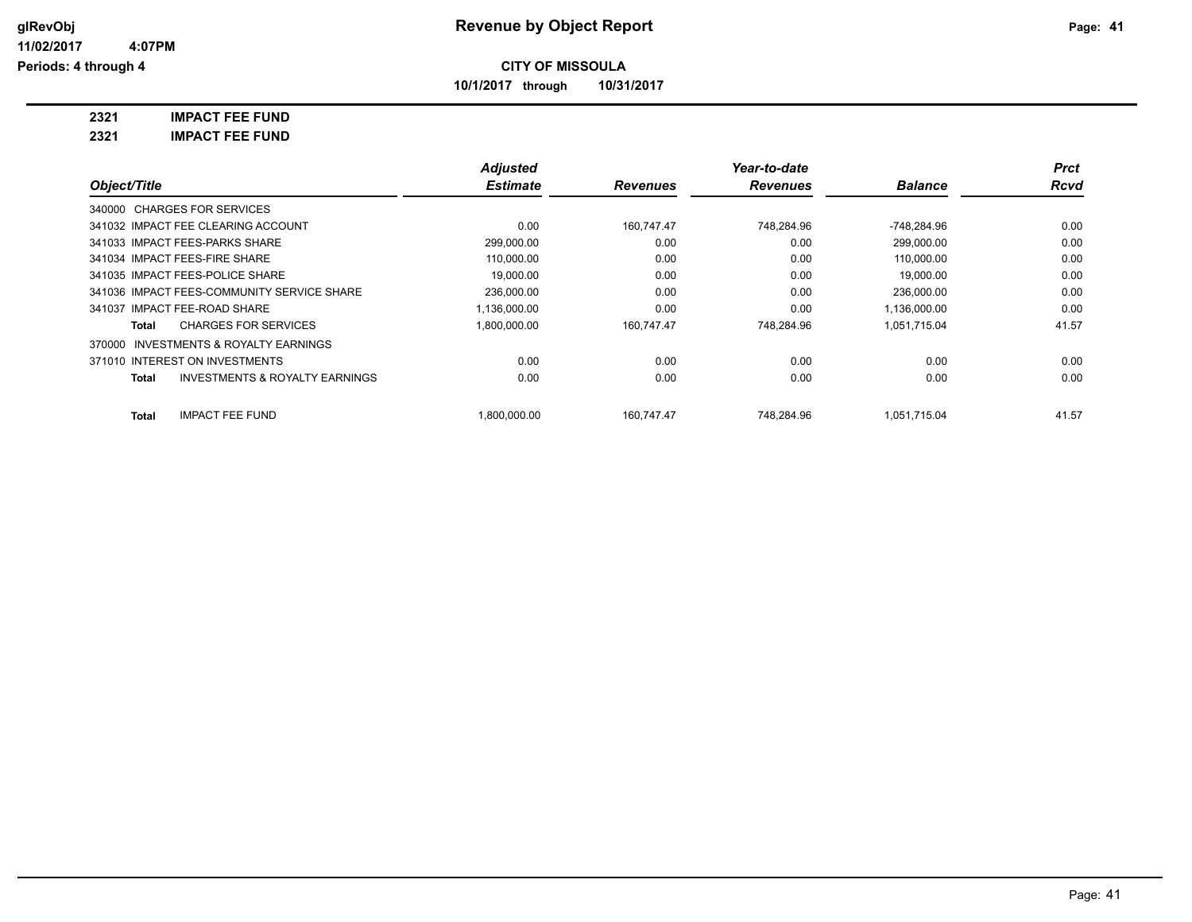**10/1/2017 through 10/31/2017**

**2321 IMPACT FEE FUND**

**2321 IMPACT FEE FUND**

|                                                    | <b>Adjusted</b> |                 | Year-to-date    |                | <b>Prct</b> |
|----------------------------------------------------|-----------------|-----------------|-----------------|----------------|-------------|
| Object/Title                                       | <b>Estimate</b> | <b>Revenues</b> | <b>Revenues</b> | <b>Balance</b> | Rcvd        |
| 340000 CHARGES FOR SERVICES                        |                 |                 |                 |                |             |
| 341032 IMPACT FEE CLEARING ACCOUNT                 | 0.00            | 160,747.47      | 748.284.96      | -748,284.96    | 0.00        |
| 341033 IMPACT FEES-PARKS SHARE                     | 299,000.00      | 0.00            | 0.00            | 299.000.00     | 0.00        |
| 341034 IMPACT FEES-FIRE SHARE                      | 110,000.00      | 0.00            | 0.00            | 110,000.00     | 0.00        |
| 341035 IMPACT FEES-POLICE SHARE                    | 19,000.00       | 0.00            | 0.00            | 19,000.00      | 0.00        |
| 341036 IMPACT FEES-COMMUNITY SERVICE SHARE         | 236,000.00      | 0.00            | 0.00            | 236,000.00     | 0.00        |
| 341037 IMPACT FEE-ROAD SHARE                       | 1,136,000.00    | 0.00            | 0.00            | 1,136,000.00   | 0.00        |
| <b>CHARGES FOR SERVICES</b><br>Total               | 1,800,000.00    | 160,747.47      | 748,284.96      | 1,051,715.04   | 41.57       |
| INVESTMENTS & ROYALTY EARNINGS<br>370000           |                 |                 |                 |                |             |
| 371010 INTEREST ON INVESTMENTS                     | 0.00            | 0.00            | 0.00            | 0.00           | 0.00        |
| <b>INVESTMENTS &amp; ROYALTY EARNINGS</b><br>Total | 0.00            | 0.00            | 0.00            | 0.00           | 0.00        |
| <b>IMPACT FEE FUND</b><br>Total                    | .800.000.00     | 160.747.47      | 748.284.96      | 1.051.715.04   | 41.57       |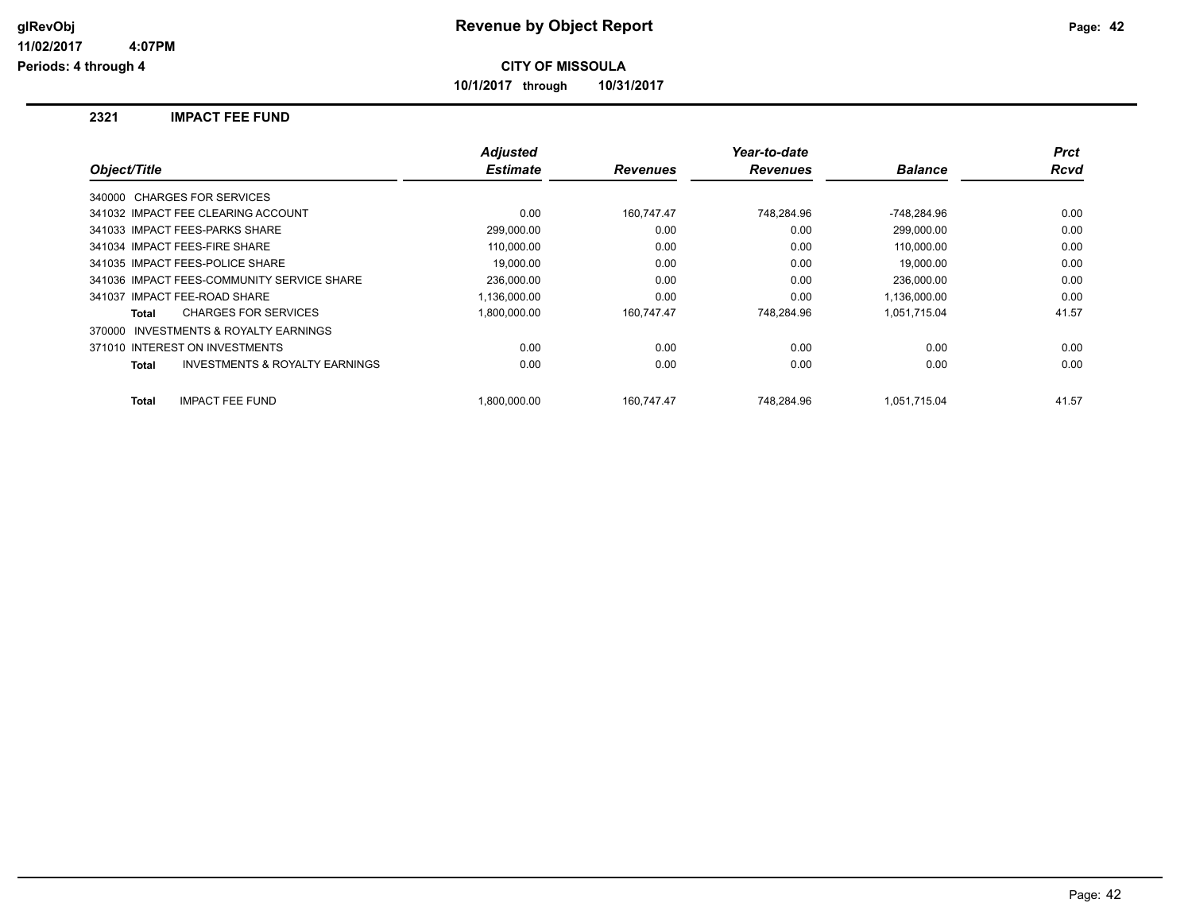**10/1/2017 through 10/31/2017**

## **2321 IMPACT FEE FUND**

|                                                     | <b>Adjusted</b> |                 | Year-to-date    |                | <b>Prct</b> |
|-----------------------------------------------------|-----------------|-----------------|-----------------|----------------|-------------|
| Object/Title                                        | <b>Estimate</b> | <b>Revenues</b> | <b>Revenues</b> | <b>Balance</b> | <b>Rcvd</b> |
| 340000 CHARGES FOR SERVICES                         |                 |                 |                 |                |             |
| 341032 IMPACT FEE CLEARING ACCOUNT                  | 0.00            | 160.747.47      | 748,284.96      | -748,284.96    | 0.00        |
| 341033 IMPACT FEES-PARKS SHARE                      | 299,000.00      | 0.00            | 0.00            | 299,000.00     | 0.00        |
| 341034 IMPACT FEES-FIRE SHARE                       | 110.000.00      | 0.00            | 0.00            | 110,000.00     | 0.00        |
| 341035 IMPACT FEES-POLICE SHARE                     | 19,000.00       | 0.00            | 0.00            | 19,000.00      | 0.00        |
| 341036 IMPACT FEES-COMMUNITY SERVICE SHARE          | 236,000.00      | 0.00            | 0.00            | 236.000.00     | 0.00        |
| 341037 IMPACT FEE-ROAD SHARE                        | 1,136,000.00    | 0.00            | 0.00            | 1,136,000.00   | 0.00        |
| <b>CHARGES FOR SERVICES</b><br>Total                | 1.800.000.00    | 160.747.47      | 748.284.96      | 1.051.715.04   | 41.57       |
| <b>INVESTMENTS &amp; ROYALTY EARNINGS</b><br>370000 |                 |                 |                 |                |             |
| 371010 INTEREST ON INVESTMENTS                      | 0.00            | 0.00            | 0.00            | 0.00           | 0.00        |
| <b>INVESTMENTS &amp; ROYALTY EARNINGS</b><br>Total  | 0.00            | 0.00            | 0.00            | 0.00           | 0.00        |
| <b>IMPACT FEE FUND</b><br>Total                     | 1,800,000.00    | 160.747.47      | 748,284.96      | 1,051,715.04   | 41.57       |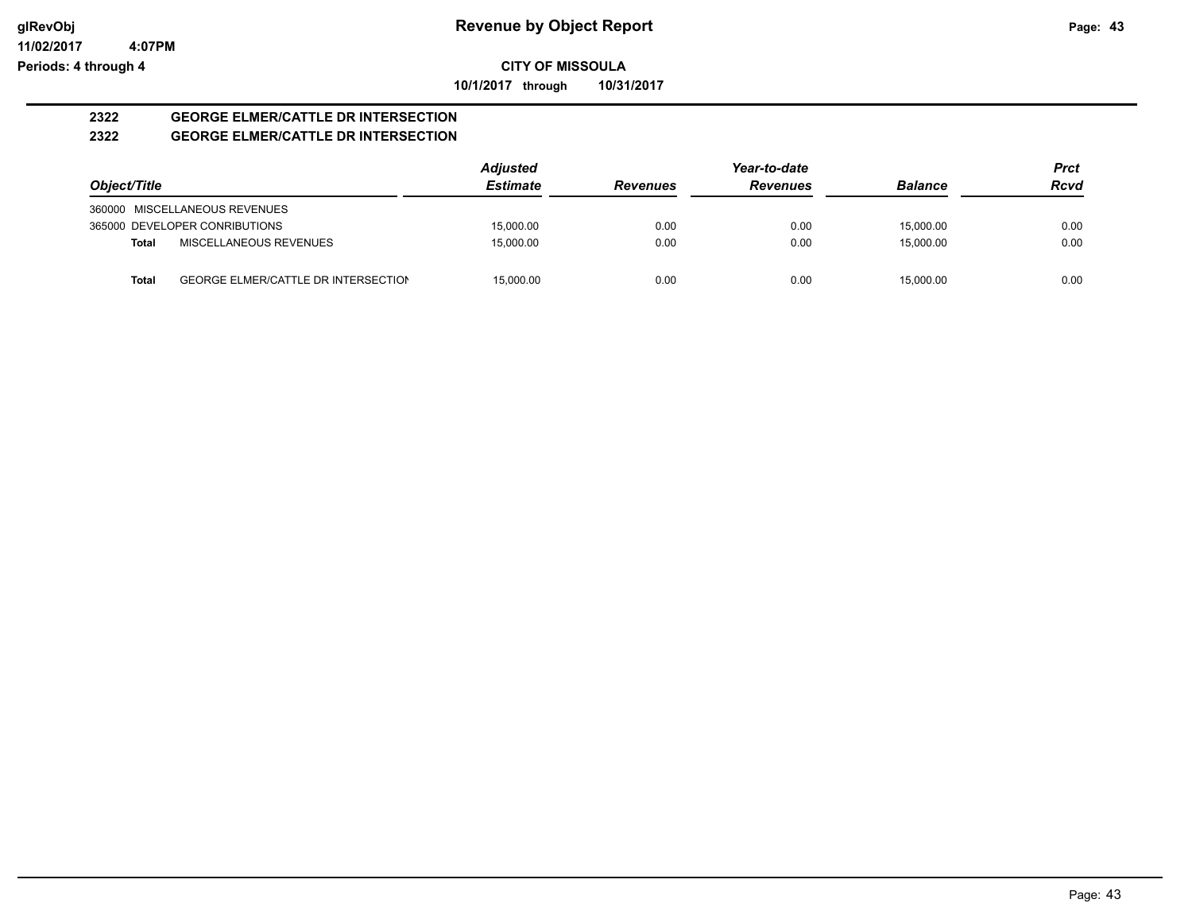#### **11/02/2017 4:07PM Periods: 4 through 4**

**CITY OF MISSOULA**

**10/1/2017 through 10/31/2017**

## **2322 GEORGE ELMER/CATTLE DR INTERSECTION 2322 GEORGE ELMER/CATTLE DR INTERSECTION**

|              |                                            | <b>Adjusted</b> |                 | Year-to-date    |                | Prct |
|--------------|--------------------------------------------|-----------------|-----------------|-----------------|----------------|------|
| Object/Title |                                            | <b>Estimate</b> | <b>Revenues</b> | <b>Revenues</b> | <b>Balance</b> | Rcvd |
|              | 360000 MISCELLANEOUS REVENUES              |                 |                 |                 |                |      |
|              | 365000 DEVELOPER CONRIBUTIONS              | 15.000.00       | 0.00            | 0.00            | 15.000.00      | 0.00 |
| Total        | MISCELLANEOUS REVENUES                     | 15.000.00       | 0.00            | 0.00            | 15.000.00      | 0.00 |
| <b>Total</b> | <b>GEORGE ELMER/CATTLE DR INTERSECTION</b> | 15.000.00       | 0.00            | 0.00            | 15.000.00      | 0.00 |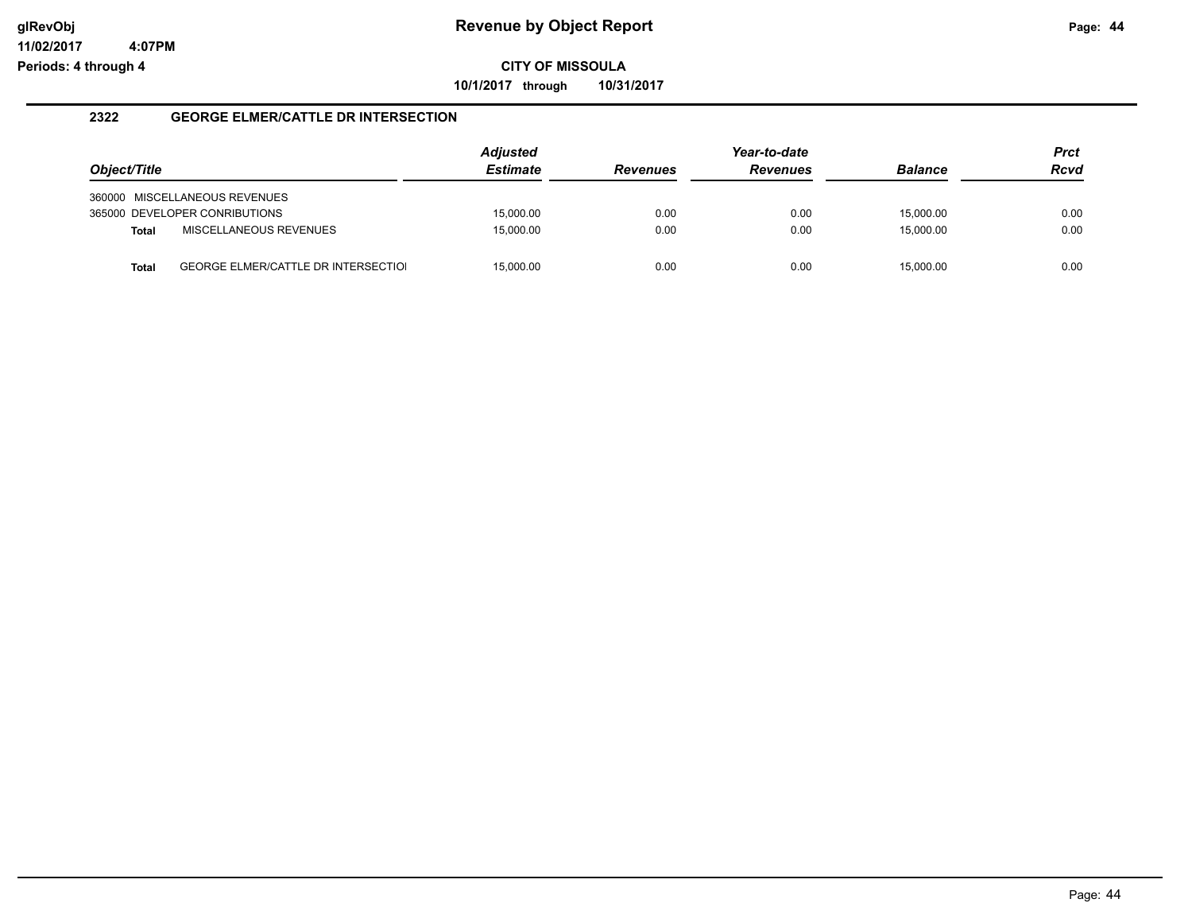**10/1/2017 through 10/31/2017**

## **2322 GEORGE ELMER/CATTLE DR INTERSECTION**

| Object/Title |                                            | Adjusted<br><b>Estimate</b> | <b>Revenues</b> | Year-to-date<br><b>Revenues</b> | <b>Balance</b> | <b>Prct</b><br><b>Rcvd</b> |
|--------------|--------------------------------------------|-----------------------------|-----------------|---------------------------------|----------------|----------------------------|
|              | 360000 MISCELLANEOUS REVENUES              |                             |                 |                                 |                |                            |
|              | 365000 DEVELOPER CONRIBUTIONS              | 15.000.00                   | 0.00            | 0.00                            | 15.000.00      | 0.00                       |
| <b>Total</b> | MISCELLANEOUS REVENUES                     | 15.000.00                   | 0.00            | 0.00                            | 15.000.00      | 0.00                       |
| <b>Total</b> | <b>GEORGE ELMER/CATTLE DR INTERSECTIOL</b> | 15,000.00                   | 0.00            | 0.00                            | 15.000.00      | 0.00                       |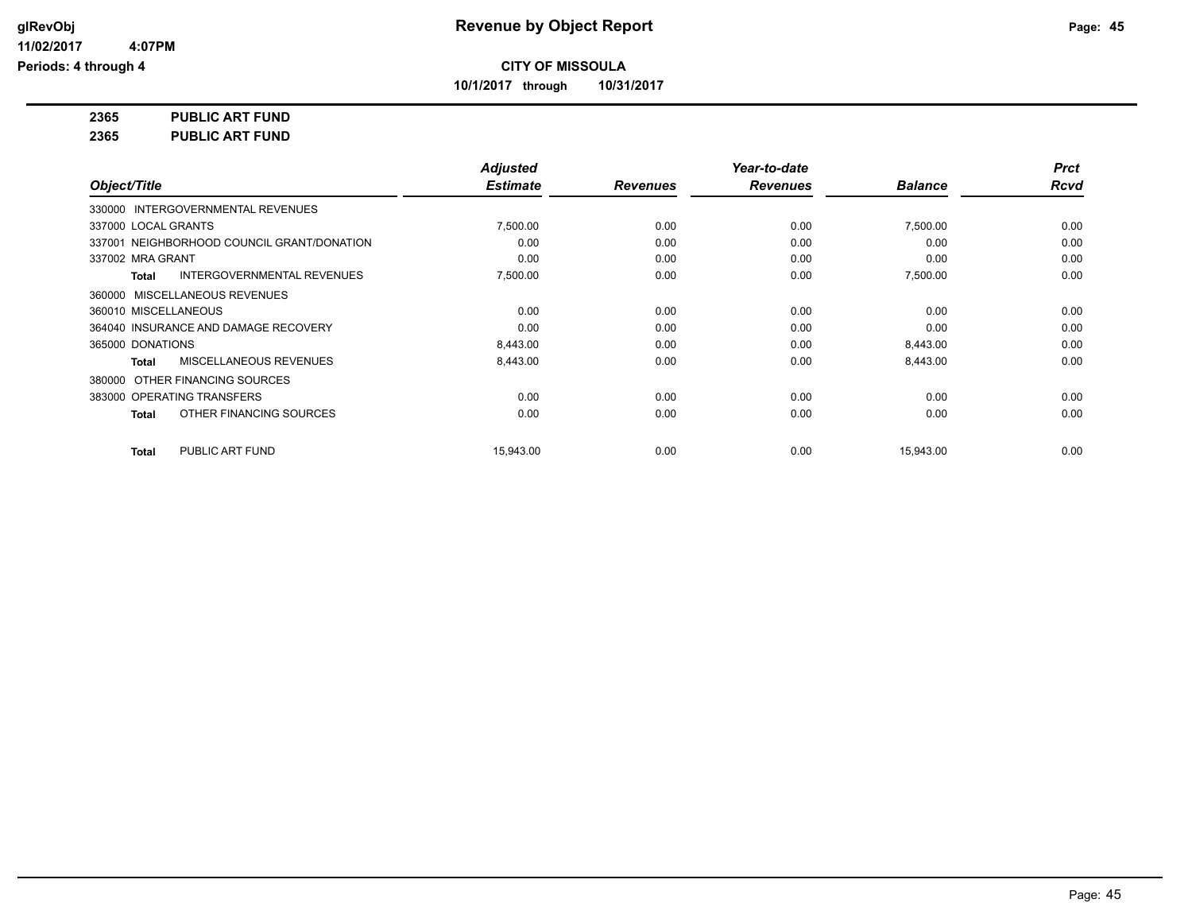**10/1/2017 through 10/31/2017**

**2365 PUBLIC ART FUND**

**2365 PUBLIC ART FUND**

|                                                   | <b>Adjusted</b> |                 | Year-to-date    |                | <b>Prct</b> |
|---------------------------------------------------|-----------------|-----------------|-----------------|----------------|-------------|
| Object/Title                                      | <b>Estimate</b> | <b>Revenues</b> | <b>Revenues</b> | <b>Balance</b> | <b>Rcvd</b> |
| 330000 INTERGOVERNMENTAL REVENUES                 |                 |                 |                 |                |             |
| 337000 LOCAL GRANTS                               | 7,500.00        | 0.00            | 0.00            | 7,500.00       | 0.00        |
| 337001 NEIGHBORHOOD COUNCIL GRANT/DONATION        | 0.00            | 0.00            | 0.00            | 0.00           | 0.00        |
| 337002 MRA GRANT                                  | 0.00            | 0.00            | 0.00            | 0.00           | 0.00        |
| <b>INTERGOVERNMENTAL REVENUES</b><br><b>Total</b> | 7,500.00        | 0.00            | 0.00            | 7,500.00       | 0.00        |
| 360000 MISCELLANEOUS REVENUES                     |                 |                 |                 |                |             |
| 360010 MISCELLANEOUS                              | 0.00            | 0.00            | 0.00            | 0.00           | 0.00        |
| 364040 INSURANCE AND DAMAGE RECOVERY              | 0.00            | 0.00            | 0.00            | 0.00           | 0.00        |
| 365000 DONATIONS                                  | 8,443.00        | 0.00            | 0.00            | 8,443.00       | 0.00        |
| <b>MISCELLANEOUS REVENUES</b><br><b>Total</b>     | 8,443.00        | 0.00            | 0.00            | 8,443.00       | 0.00        |
| OTHER FINANCING SOURCES<br>380000                 |                 |                 |                 |                |             |
| 383000 OPERATING TRANSFERS                        | 0.00            | 0.00            | 0.00            | 0.00           | 0.00        |
| OTHER FINANCING SOURCES<br><b>Total</b>           | 0.00            | 0.00            | 0.00            | 0.00           | 0.00        |
| PUBLIC ART FUND<br><b>Total</b>                   | 15,943.00       | 0.00            | 0.00            | 15,943.00      | 0.00        |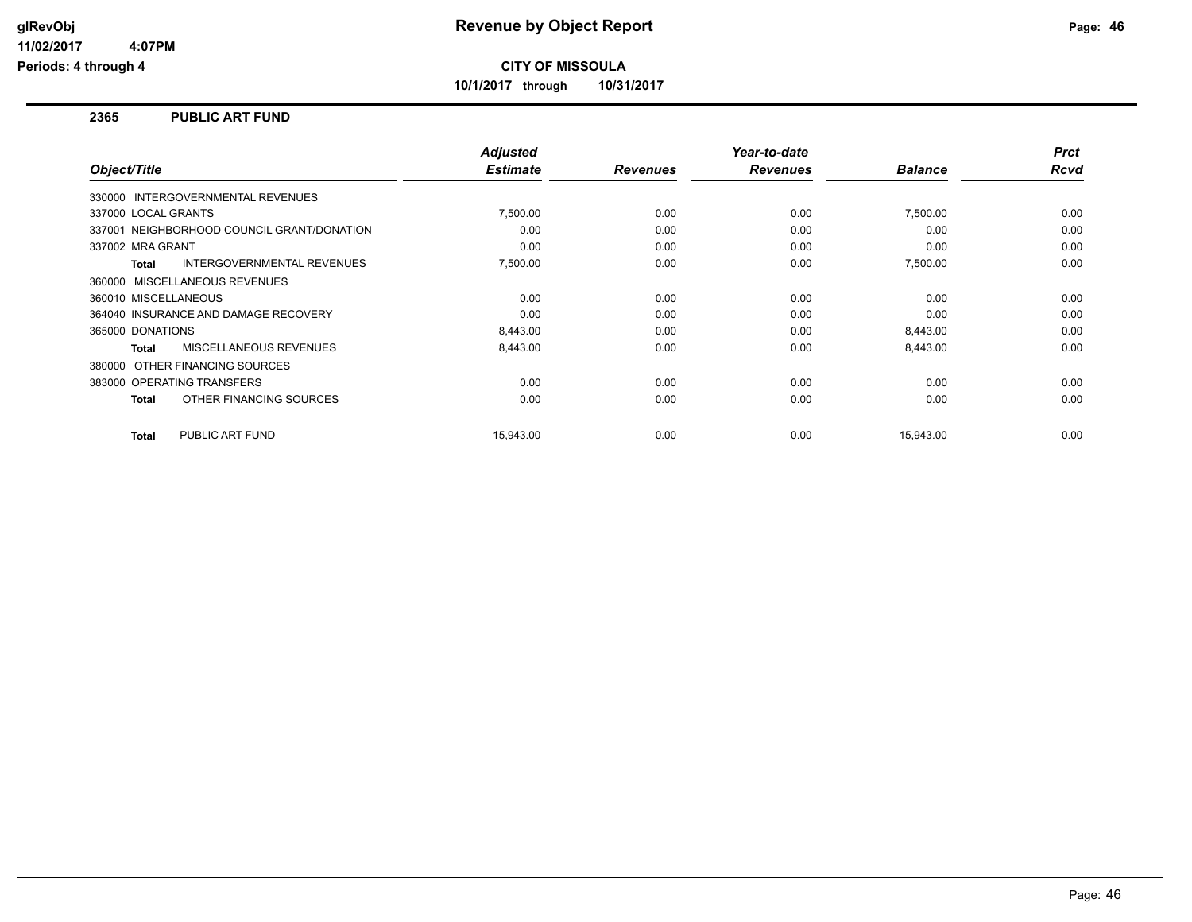**10/1/2017 through 10/31/2017**

#### **2365 PUBLIC ART FUND**

| Object/Title                                      | <b>Adjusted</b><br><b>Estimate</b> | <b>Revenues</b> | Year-to-date<br><b>Revenues</b> | <b>Balance</b> | <b>Prct</b><br><b>Rcvd</b> |
|---------------------------------------------------|------------------------------------|-----------------|---------------------------------|----------------|----------------------------|
| 330000 INTERGOVERNMENTAL REVENUES                 |                                    |                 |                                 |                |                            |
| 337000 LOCAL GRANTS                               | 7,500.00                           | 0.00            | 0.00                            | 7,500.00       | 0.00                       |
| 337001 NEIGHBORHOOD COUNCIL GRANT/DONATION        | 0.00                               | 0.00            | 0.00                            | 0.00           | 0.00                       |
| 337002 MRA GRANT                                  | 0.00                               | 0.00            | 0.00                            | 0.00           | 0.00                       |
| <b>INTERGOVERNMENTAL REVENUES</b><br><b>Total</b> | 7,500.00                           | 0.00            | 0.00                            | 7,500.00       | 0.00                       |
| 360000 MISCELLANEOUS REVENUES                     |                                    |                 |                                 |                |                            |
| 360010 MISCELLANEOUS                              | 0.00                               | 0.00            | 0.00                            | 0.00           | 0.00                       |
| 364040 INSURANCE AND DAMAGE RECOVERY              | 0.00                               | 0.00            | 0.00                            | 0.00           | 0.00                       |
| 365000 DONATIONS                                  | 8,443.00                           | 0.00            | 0.00                            | 8,443.00       | 0.00                       |
| MISCELLANEOUS REVENUES<br><b>Total</b>            | 8,443.00                           | 0.00            | 0.00                            | 8,443.00       | 0.00                       |
| 380000 OTHER FINANCING SOURCES                    |                                    |                 |                                 |                |                            |
| 383000 OPERATING TRANSFERS                        | 0.00                               | 0.00            | 0.00                            | 0.00           | 0.00                       |
| OTHER FINANCING SOURCES<br><b>Total</b>           | 0.00                               | 0.00            | 0.00                            | 0.00           | 0.00                       |
| PUBLIC ART FUND<br><b>Total</b>                   | 15,943.00                          | 0.00            | 0.00                            | 15,943.00      | 0.00                       |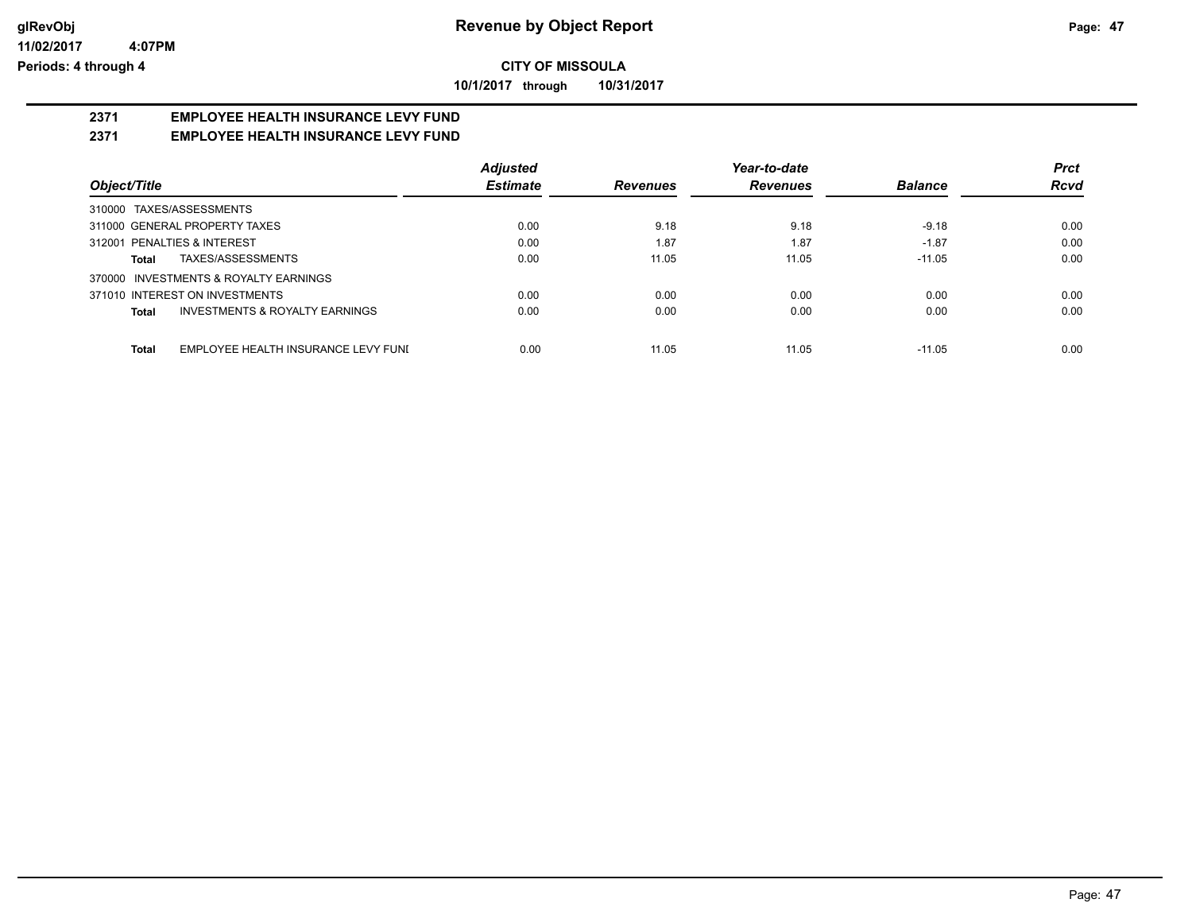#### **11/02/2017 4:07PM Periods: 4 through 4**

**CITY OF MISSOULA**

**10/1/2017 through 10/31/2017**

# **2371 EMPLOYEE HEALTH INSURANCE LEVY FUND**

## **2371 EMPLOYEE HEALTH INSURANCE LEVY FUND**

|                                                     | <b>Adjusted</b> |                 | Year-to-date    |                | <b>Prct</b> |
|-----------------------------------------------------|-----------------|-----------------|-----------------|----------------|-------------|
| Object/Title                                        | <b>Estimate</b> | <b>Revenues</b> | <b>Revenues</b> | <b>Balance</b> | <b>Rcvd</b> |
| 310000 TAXES/ASSESSMENTS                            |                 |                 |                 |                |             |
| 311000 GENERAL PROPERTY TAXES                       | 0.00            | 9.18            | 9.18            | $-9.18$        | 0.00        |
| 312001 PENALTIES & INTEREST                         | 0.00            | 1.87            | 1.87            | $-1.87$        | 0.00        |
| TAXES/ASSESSMENTS<br>Total                          | 0.00            | 11.05           | 11.05           | $-11.05$       | 0.00        |
| 370000 INVESTMENTS & ROYALTY EARNINGS               |                 |                 |                 |                |             |
| 371010 INTEREST ON INVESTMENTS                      | 0.00            | 0.00            | 0.00            | 0.00           | 0.00        |
| INVESTMENTS & ROYALTY EARNINGS<br>Total             | 0.00            | 0.00            | 0.00            | 0.00           | 0.00        |
|                                                     |                 |                 |                 |                |             |
| EMPLOYEE HEALTH INSURANCE LEVY FUNI<br><b>Total</b> | 0.00            | 11.05           | 11.05           | $-11.05$       | 0.00        |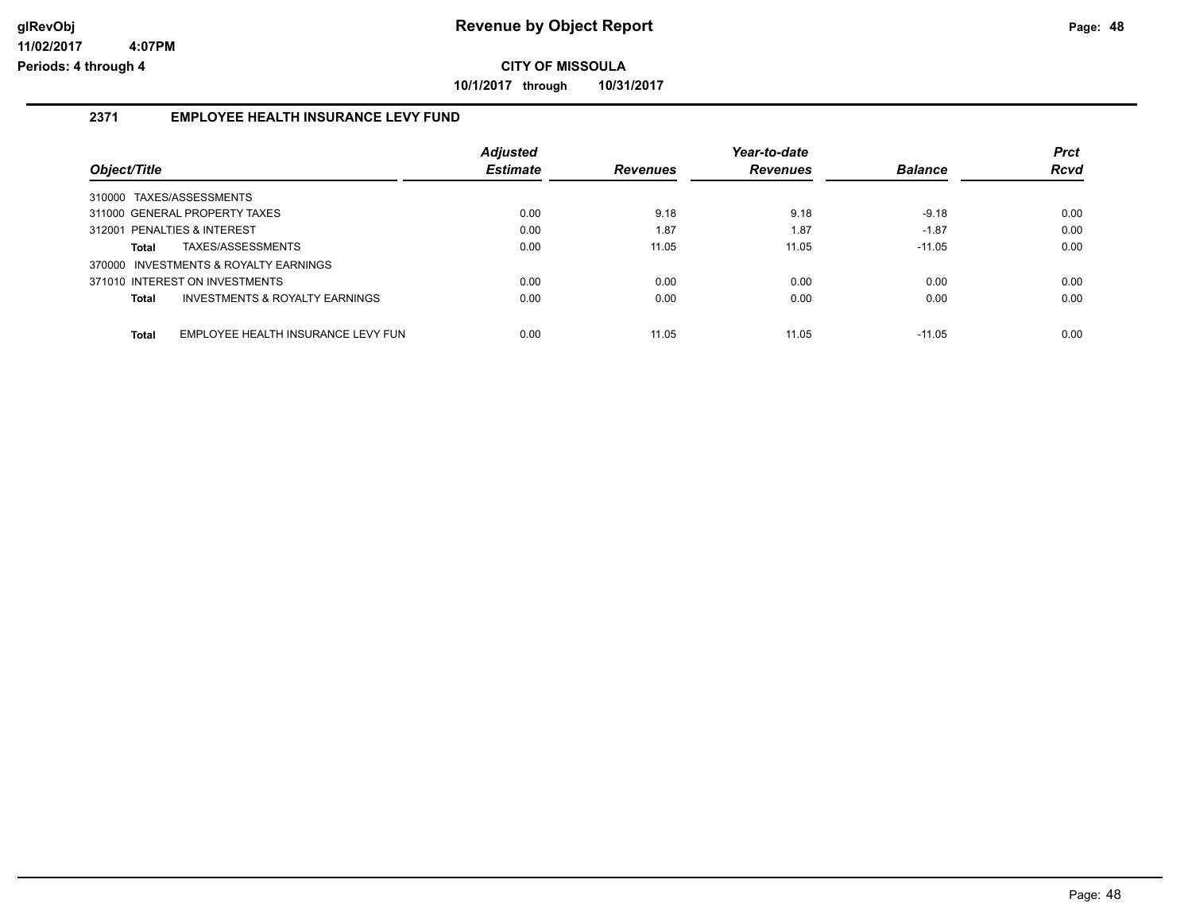**10/1/2017 through 10/31/2017**

## **2371 EMPLOYEE HEALTH INSURANCE LEVY FUND**

|                                                    | <b>Adjusted</b> |                 | Year-to-date    |                | <b>Prct</b> |
|----------------------------------------------------|-----------------|-----------------|-----------------|----------------|-------------|
| Object/Title                                       | <b>Estimate</b> | <b>Revenues</b> | <b>Revenues</b> | <b>Balance</b> | <b>Rcvd</b> |
| 310000 TAXES/ASSESSMENTS                           |                 |                 |                 |                |             |
| 311000 GENERAL PROPERTY TAXES                      | 0.00            | 9.18            | 9.18            | $-9.18$        | 0.00        |
| 312001 PENALTIES & INTEREST                        | 0.00            | 1.87            | 1.87            | $-1.87$        | 0.00        |
| TAXES/ASSESSMENTS<br>Total                         | 0.00            | 11.05           | 11.05           | $-11.05$       | 0.00        |
| 370000 INVESTMENTS & ROYALTY EARNINGS              |                 |                 |                 |                |             |
| 371010 INTEREST ON INVESTMENTS                     | 0.00            | 0.00            | 0.00            | 0.00           | 0.00        |
| <b>INVESTMENTS &amp; ROYALTY EARNINGS</b><br>Total | 0.00            | 0.00            | 0.00            | 0.00           | 0.00        |
|                                                    |                 |                 |                 |                |             |
| Total<br>EMPLOYEE HEALTH INSURANCE LEVY FUN        | 0.00            | 11.05           | 11.05           | $-11.05$       | 0.00        |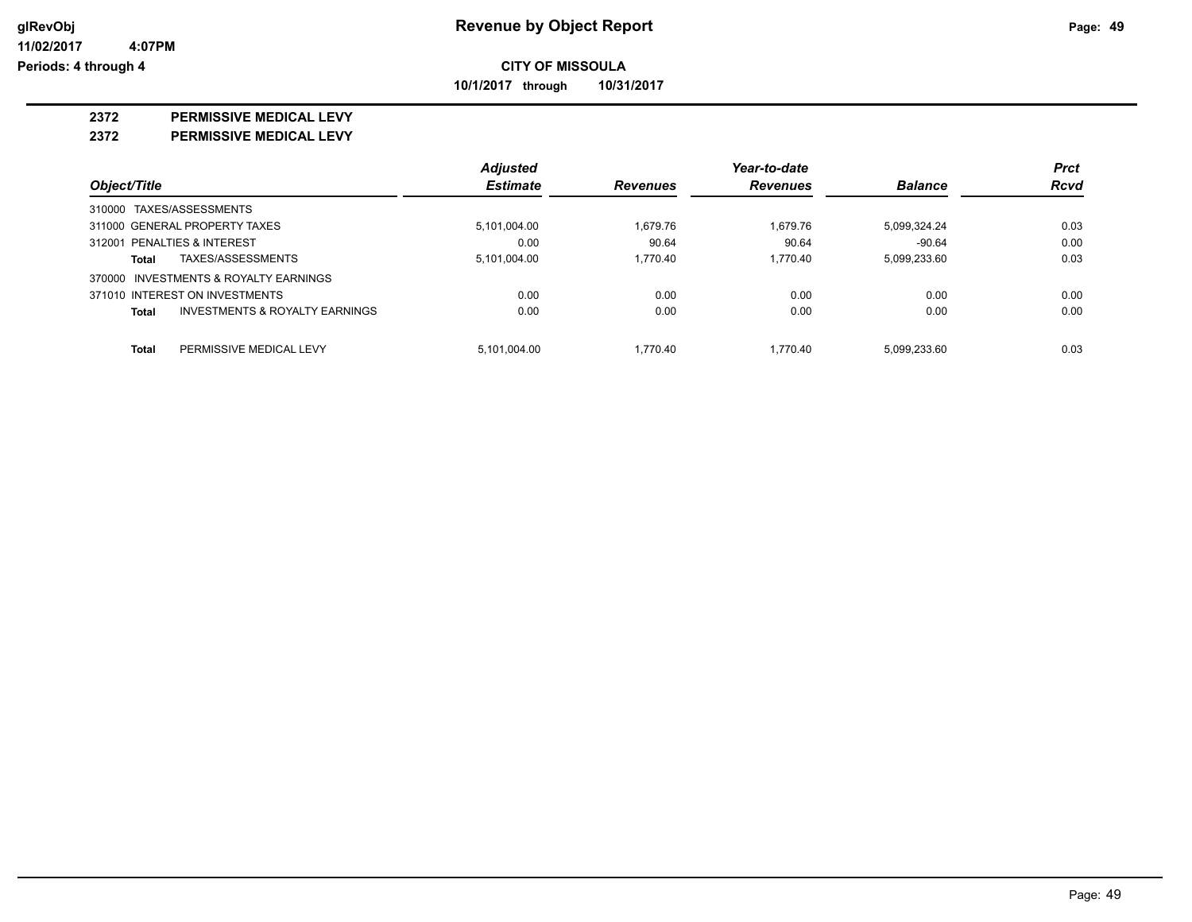**10/1/2017 through 10/31/2017**

## **2372 PERMISSIVE MEDICAL LEVY**

**2372 PERMISSIVE MEDICAL LEVY**

|              |                                       | <b>Adjusted</b> |                 | Year-to-date    |                | <b>Prct</b> |
|--------------|---------------------------------------|-----------------|-----------------|-----------------|----------------|-------------|
| Object/Title |                                       | <b>Estimate</b> | <b>Revenues</b> | <b>Revenues</b> | <b>Balance</b> | <b>Rcvd</b> |
|              | 310000 TAXES/ASSESSMENTS              |                 |                 |                 |                |             |
|              | 311000 GENERAL PROPERTY TAXES         | 5,101,004.00    | 1.679.76        | 1.679.76        | 5.099.324.24   | 0.03        |
|              | 312001 PENALTIES & INTEREST           | 0.00            | 90.64           | 90.64           | $-90.64$       | 0.00        |
| Total        | TAXES/ASSESSMENTS                     | 5,101,004.00    | 1.770.40        | 1.770.40        | 5,099,233.60   | 0.03        |
|              | 370000 INVESTMENTS & ROYALTY EARNINGS |                 |                 |                 |                |             |
|              | 371010 INTEREST ON INVESTMENTS        | 0.00            | 0.00            | 0.00            | 0.00           | 0.00        |
| Total        | INVESTMENTS & ROYALTY EARNINGS        | 0.00            | 0.00            | 0.00            | 0.00           | 0.00        |
| Total        | PERMISSIVE MEDICAL LEVY               | 5.101.004.00    | 1.770.40        | 1.770.40        | 5.099.233.60   | 0.03        |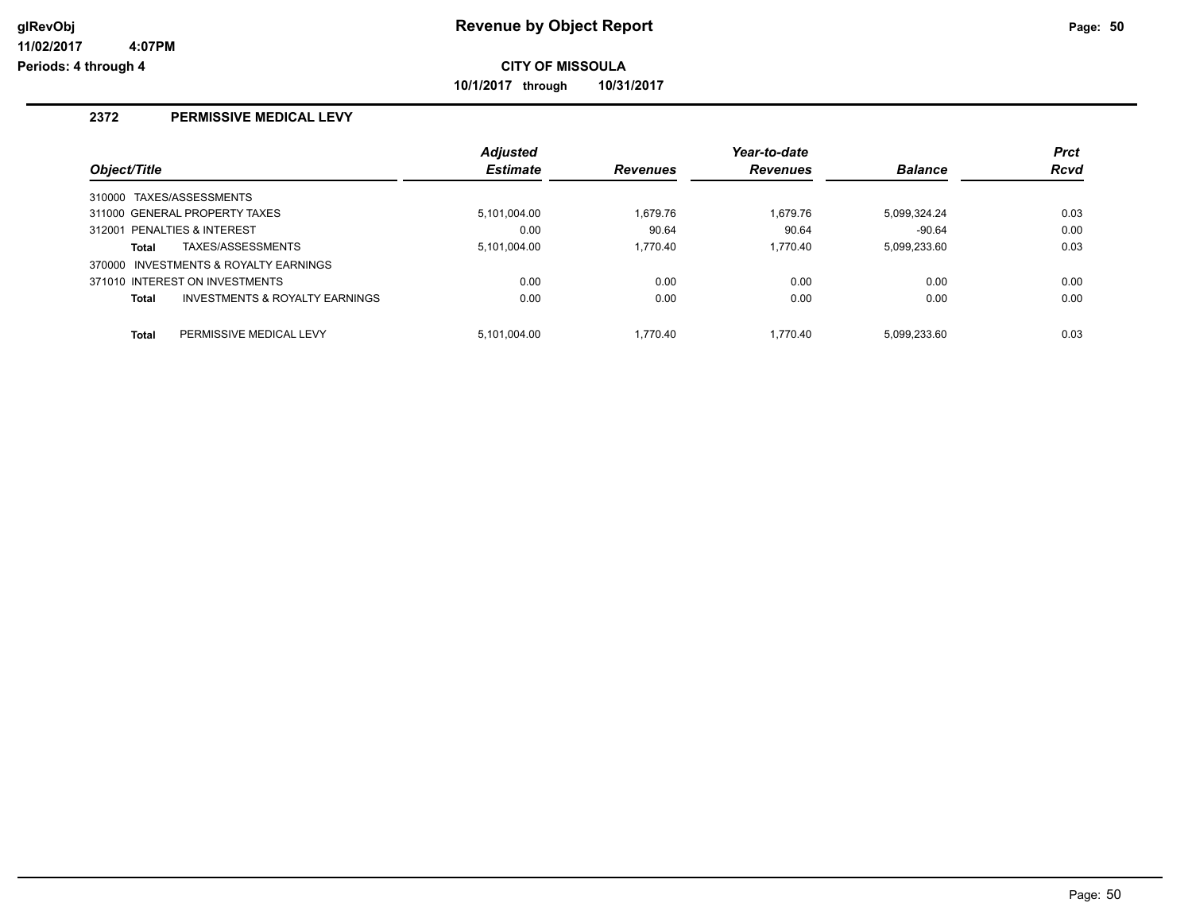**10/1/2017 through 10/31/2017**

## **2372 PERMISSIVE MEDICAL LEVY**

|              |                                       | <b>Adjusted</b> |                 | Year-to-date    |                | <b>Prct</b> |
|--------------|---------------------------------------|-----------------|-----------------|-----------------|----------------|-------------|
| Object/Title |                                       | <b>Estimate</b> | <b>Revenues</b> | <b>Revenues</b> | <b>Balance</b> | <b>Rcvd</b> |
|              | 310000 TAXES/ASSESSMENTS              |                 |                 |                 |                |             |
|              | 311000 GENERAL PROPERTY TAXES         | 5,101,004.00    | 1.679.76        | 1.679.76        | 5,099,324.24   | 0.03        |
|              | 312001 PENALTIES & INTEREST           | 0.00            | 90.64           | 90.64           | $-90.64$       | 0.00        |
| <b>Total</b> | TAXES/ASSESSMENTS                     | 5,101,004.00    | 1.770.40        | 1.770.40        | 5,099,233.60   | 0.03        |
|              | 370000 INVESTMENTS & ROYALTY EARNINGS |                 |                 |                 |                |             |
|              | 371010 INTEREST ON INVESTMENTS        | 0.00            | 0.00            | 0.00            | 0.00           | 0.00        |
| <b>Total</b> | INVESTMENTS & ROYALTY EARNINGS        | 0.00            | 0.00            | 0.00            | 0.00           | 0.00        |
| <b>Total</b> | PERMISSIVE MEDICAL LEVY               | 5.101.004.00    | 1.770.40        | 1.770.40        | 5,099,233.60   | 0.03        |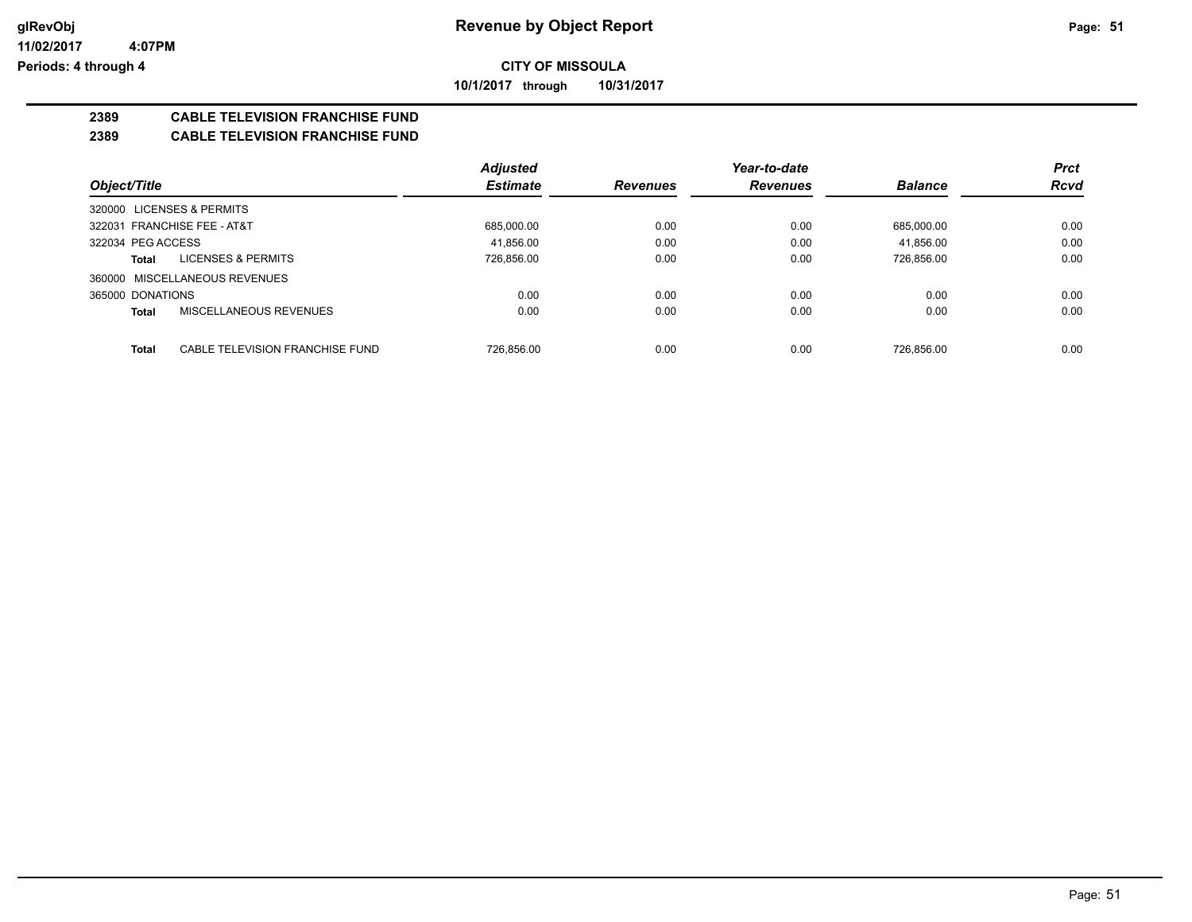**10/1/2017 through 10/31/2017**

# **2389 CABLE TELEVISION FRANCHISE FUND**

## **2389 CABLE TELEVISION FRANCHISE FUND**

|                                                 | <b>Adjusted</b> |                 | Year-to-date    |                | <b>Prct</b> |
|-------------------------------------------------|-----------------|-----------------|-----------------|----------------|-------------|
| Object/Title                                    | <b>Estimate</b> | <b>Revenues</b> | <b>Revenues</b> | <b>Balance</b> | <b>Rcvd</b> |
| 320000 LICENSES & PERMITS                       |                 |                 |                 |                |             |
| 322031 FRANCHISE FEE - AT&T                     | 685.000.00      | 0.00            | 0.00            | 685,000.00     | 0.00        |
| 322034 PEG ACCESS                               | 41.856.00       | 0.00            | 0.00            | 41.856.00      | 0.00        |
| LICENSES & PERMITS<br>Total                     | 726.856.00      | 0.00            | 0.00            | 726,856.00     | 0.00        |
| 360000 MISCELLANEOUS REVENUES                   |                 |                 |                 |                |             |
| 365000 DONATIONS                                | 0.00            | 0.00            | 0.00            | 0.00           | 0.00        |
| MISCELLANEOUS REVENUES<br>Total                 | 0.00            | 0.00            | 0.00            | 0.00           | 0.00        |
|                                                 |                 |                 |                 |                |             |
| CABLE TELEVISION FRANCHISE FUND<br><b>Total</b> | 726.856.00      | 0.00            | 0.00            | 726.856.00     | 0.00        |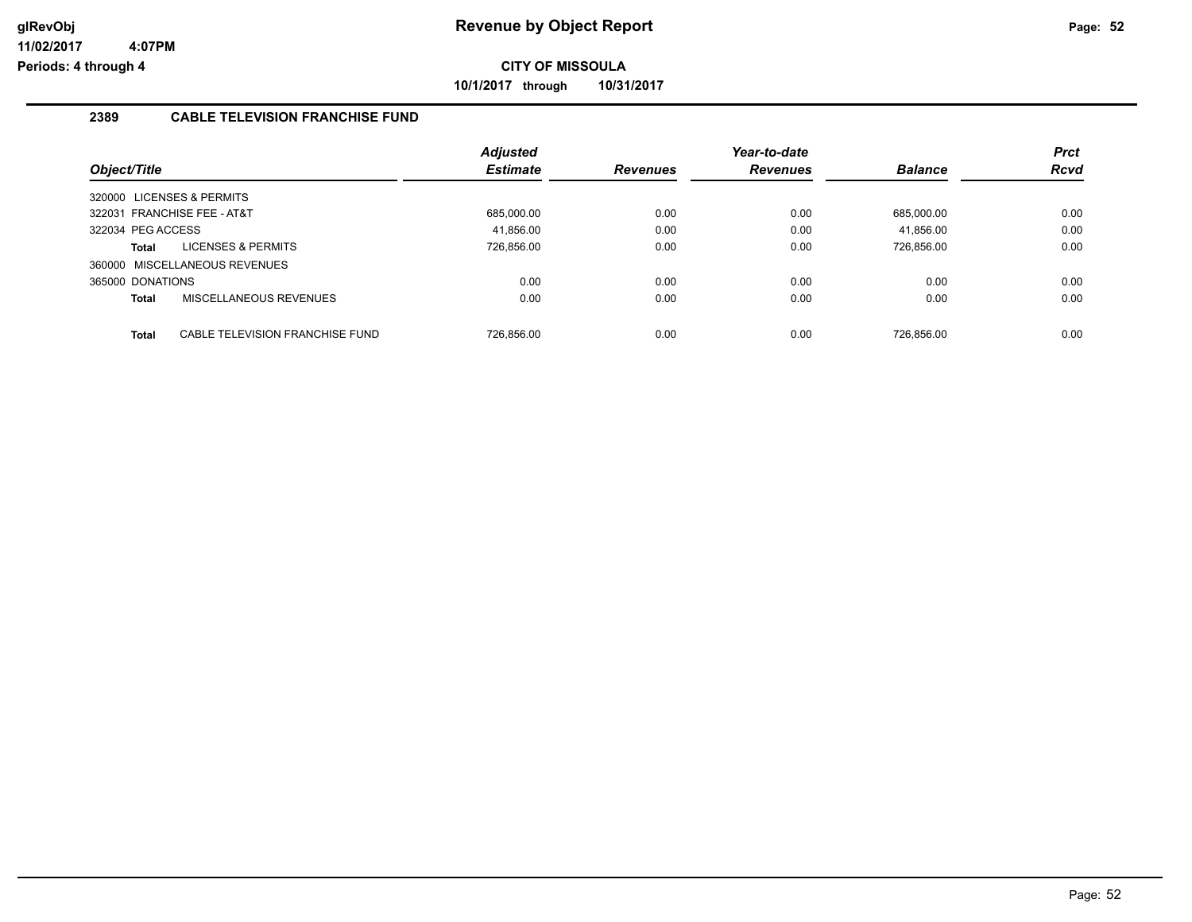**10/1/2017 through 10/31/2017**

## **2389 CABLE TELEVISION FRANCHISE FUND**

|                           |                                 | <b>Adjusted</b> |                 | Year-to-date    |                | <b>Prct</b> |
|---------------------------|---------------------------------|-----------------|-----------------|-----------------|----------------|-------------|
| Object/Title              |                                 | <b>Estimate</b> | <b>Revenues</b> | <b>Revenues</b> | <b>Balance</b> | <b>Rcvd</b> |
| 320000 LICENSES & PERMITS |                                 |                 |                 |                 |                |             |
|                           | 322031 FRANCHISE FEE - AT&T     | 685.000.00      | 0.00            | 0.00            | 685.000.00     | 0.00        |
| 322034 PEG ACCESS         |                                 | 41.856.00       | 0.00            | 0.00            | 41.856.00      | 0.00        |
| Total                     | LICENSES & PERMITS              | 726.856.00      | 0.00            | 0.00            | 726.856.00     | 0.00        |
|                           | 360000 MISCELLANEOUS REVENUES   |                 |                 |                 |                |             |
| 365000 DONATIONS          |                                 | 0.00            | 0.00            | 0.00            | 0.00           | 0.00        |
| Total                     | MISCELLANEOUS REVENUES          | 0.00            | 0.00            | 0.00            | 0.00           | 0.00        |
|                           |                                 |                 |                 |                 |                |             |
| Total                     | CABLE TELEVISION FRANCHISE FUND | 726.856.00      | 0.00            | 0.00            | 726.856.00     | 0.00        |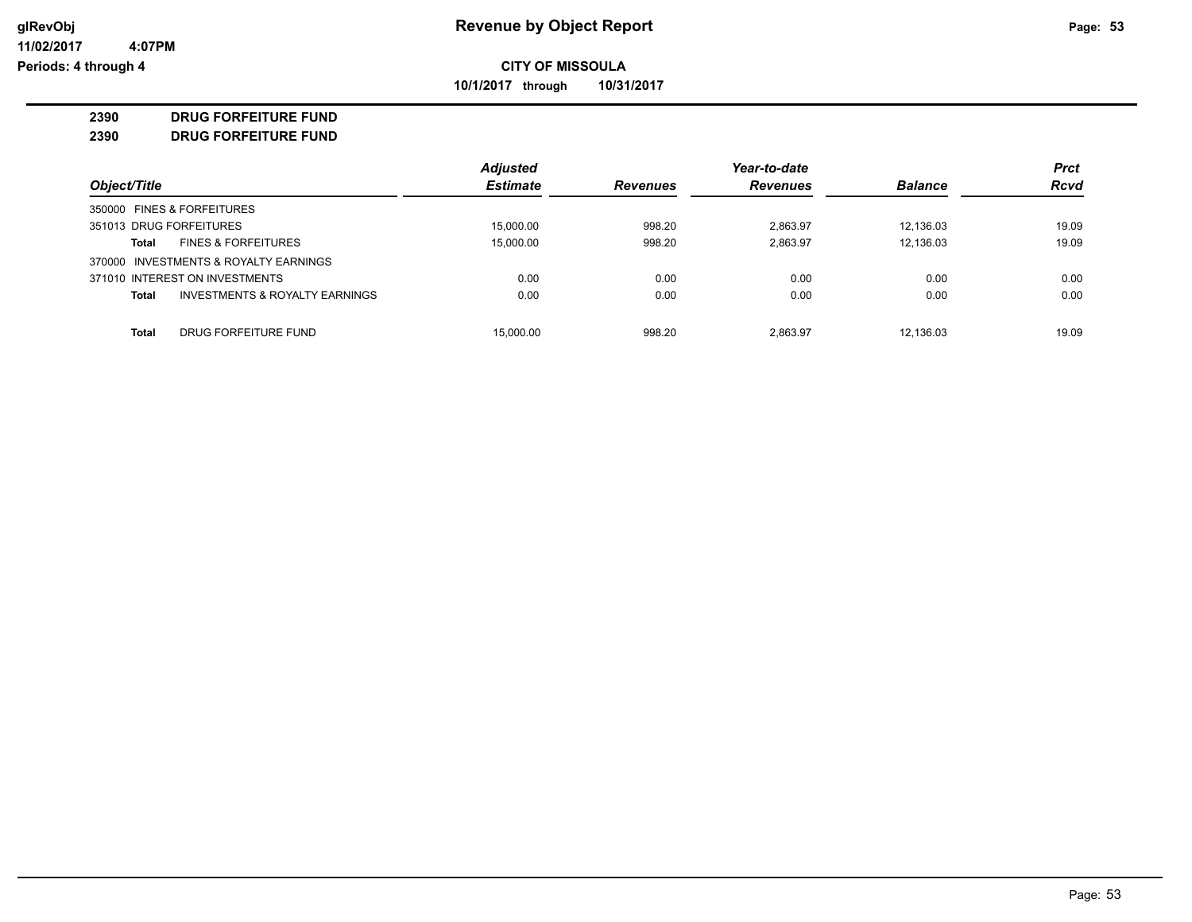**10/1/2017 through 10/31/2017**

#### **2390 DRUG FORFEITURE FUND**

**2390 DRUG FORFEITURE FUND**

|                                                           | <b>Adjusted</b> |                 | Year-to-date    |                | <b>Prct</b> |
|-----------------------------------------------------------|-----------------|-----------------|-----------------|----------------|-------------|
| Object/Title                                              | <b>Estimate</b> | <b>Revenues</b> | <b>Revenues</b> | <b>Balance</b> | <b>Rcvd</b> |
| 350000 FINES & FORFEITURES                                |                 |                 |                 |                |             |
| 351013 DRUG FORFEITURES                                   | 15.000.00       | 998.20          | 2.863.97        | 12.136.03      | 19.09       |
| <b>FINES &amp; FORFEITURES</b><br><b>Total</b>            | 15,000.00       | 998.20          | 2,863.97        | 12,136.03      | 19.09       |
| 370000 INVESTMENTS & ROYALTY EARNINGS                     |                 |                 |                 |                |             |
| 371010 INTEREST ON INVESTMENTS                            | 0.00            | 0.00            | 0.00            | 0.00           | 0.00        |
| <b>INVESTMENTS &amp; ROYALTY EARNINGS</b><br><b>Total</b> | 0.00            | 0.00            | 0.00            | 0.00           | 0.00        |
| DRUG FORFEITURE FUND<br><b>Total</b>                      | 15.000.00       | 998.20          | 2.863.97        | 12.136.03      | 19.09       |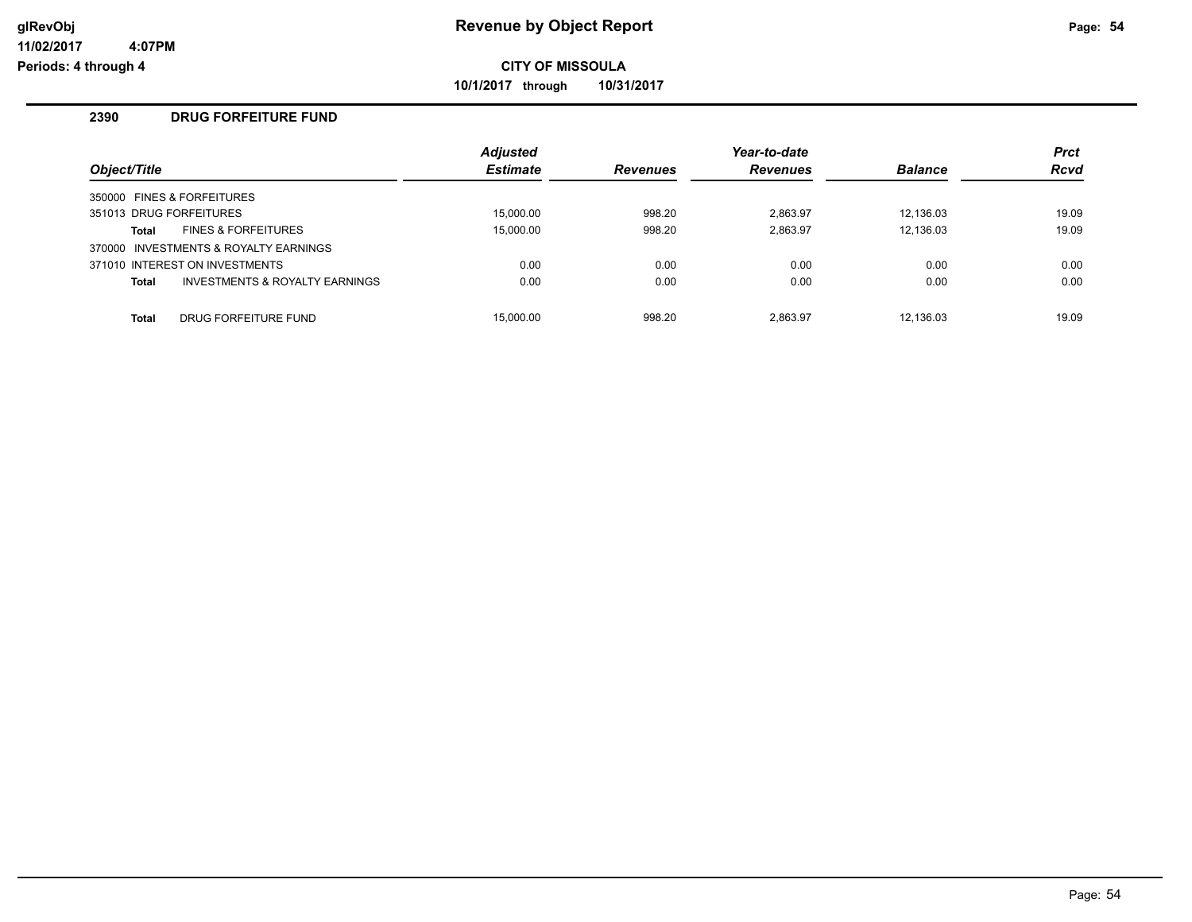**11/02/2017 4:07PM Periods: 4 through 4**

**CITY OF MISSOULA**

**10/1/2017 through 10/31/2017**

## **2390 DRUG FORFEITURE FUND**

|                         |                                           | <b>Adjusted</b> |                 | Year-to-date    |                | <b>Prct</b> |
|-------------------------|-------------------------------------------|-----------------|-----------------|-----------------|----------------|-------------|
| Object/Title            |                                           | <b>Estimate</b> | <b>Revenues</b> | <b>Revenues</b> | <b>Balance</b> | <b>Rcvd</b> |
|                         | 350000 FINES & FORFEITURES                |                 |                 |                 |                |             |
| 351013 DRUG FORFEITURES |                                           | 15.000.00       | 998.20          | 2.863.97        | 12.136.03      | 19.09       |
| Total                   | <b>FINES &amp; FORFEITURES</b>            | 15,000.00       | 998.20          | 2,863.97        | 12.136.03      | 19.09       |
|                         | 370000 INVESTMENTS & ROYALTY EARNINGS     |                 |                 |                 |                |             |
|                         | 371010 INTEREST ON INVESTMENTS            | 0.00            | 0.00            | 0.00            | 0.00           | 0.00        |
| <b>Total</b>            | <b>INVESTMENTS &amp; ROYALTY EARNINGS</b> | 0.00            | 0.00            | 0.00            | 0.00           | 0.00        |
| <b>Total</b>            | DRUG FORFEITURE FUND                      | 15.000.00       | 998.20          | 2.863.97        | 12.136.03      | 19.09       |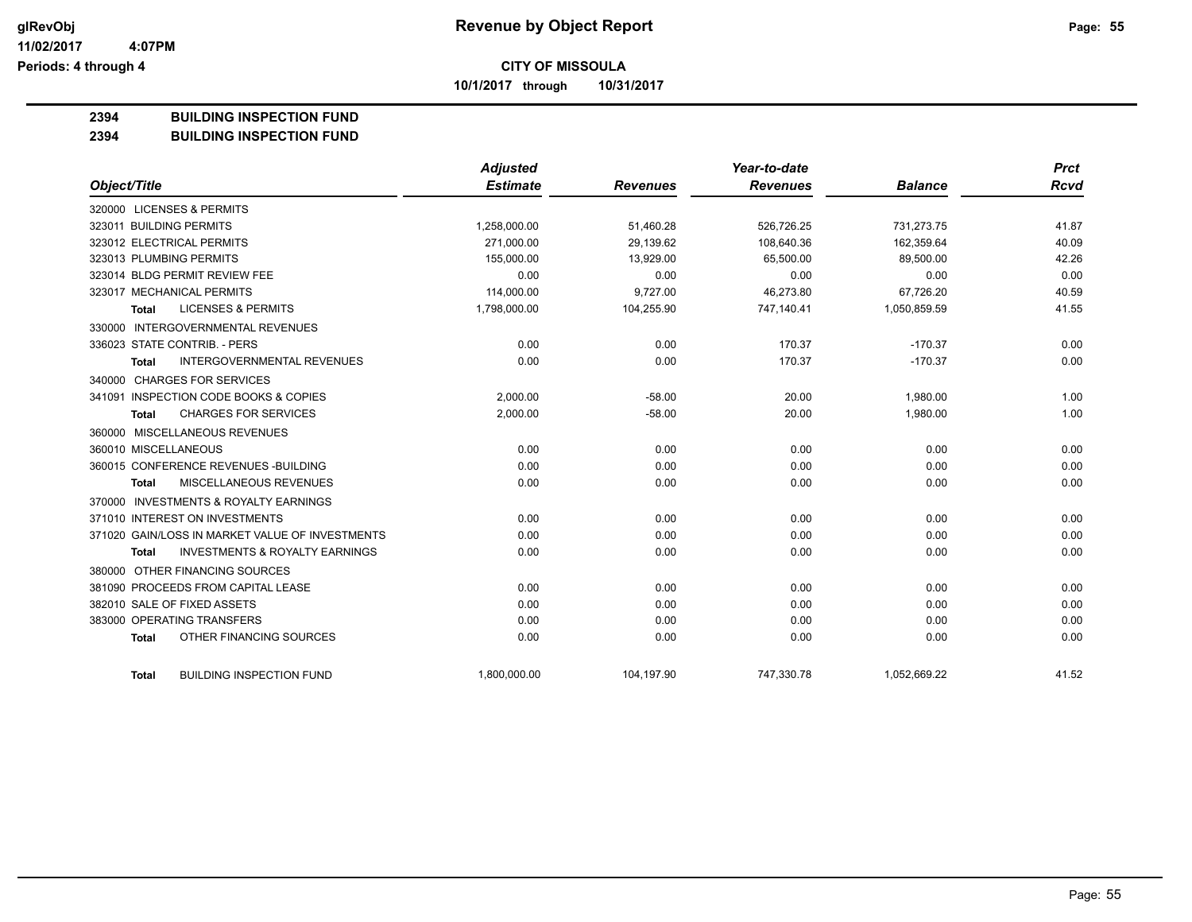**10/1/2017 through 10/31/2017**

## **2394 BUILDING INSPECTION FUND**

#### **2394 BUILDING INSPECTION FUND**

|                                                           | Adjusted        |                 | Year-to-date    |                | <b>Prct</b> |
|-----------------------------------------------------------|-----------------|-----------------|-----------------|----------------|-------------|
| Object/Title                                              | <b>Estimate</b> | <b>Revenues</b> | <b>Revenues</b> | <b>Balance</b> | Rcvd        |
| 320000 LICENSES & PERMITS                                 |                 |                 |                 |                |             |
| 323011 BUILDING PERMITS                                   | 1,258,000.00    | 51,460.28       | 526,726.25      | 731.273.75     | 41.87       |
| 323012 ELECTRICAL PERMITS                                 | 271,000.00      | 29,139.62       | 108,640.36      | 162,359.64     | 40.09       |
| 323013 PLUMBING PERMITS                                   | 155,000.00      | 13,929.00       | 65,500.00       | 89,500.00      | 42.26       |
| 323014 BLDG PERMIT REVIEW FEE                             | 0.00            | 0.00            | 0.00            | 0.00           | 0.00        |
| 323017 MECHANICAL PERMITS                                 | 114,000.00      | 9,727.00        | 46,273.80       | 67,726.20      | 40.59       |
| <b>LICENSES &amp; PERMITS</b><br><b>Total</b>             | 1,798,000.00    | 104,255.90      | 747,140.41      | 1,050,859.59   | 41.55       |
| 330000 INTERGOVERNMENTAL REVENUES                         |                 |                 |                 |                |             |
| 336023 STATE CONTRIB. - PERS                              | 0.00            | 0.00            | 170.37          | $-170.37$      | 0.00        |
| <b>INTERGOVERNMENTAL REVENUES</b><br><b>Total</b>         | 0.00            | 0.00            | 170.37          | $-170.37$      | 0.00        |
| 340000 CHARGES FOR SERVICES                               |                 |                 |                 |                |             |
| 341091 INSPECTION CODE BOOKS & COPIES                     | 2,000.00        | $-58.00$        | 20.00           | 1,980.00       | 1.00        |
| <b>CHARGES FOR SERVICES</b><br>Total                      | 2,000.00        | $-58.00$        | 20.00           | 1,980.00       | 1.00        |
| 360000 MISCELLANEOUS REVENUES                             |                 |                 |                 |                |             |
| 360010 MISCELLANEOUS                                      | 0.00            | 0.00            | 0.00            | 0.00           | 0.00        |
| 360015 CONFERENCE REVENUES - BUILDING                     | 0.00            | 0.00            | 0.00            | 0.00           | 0.00        |
| MISCELLANEOUS REVENUES<br><b>Total</b>                    | 0.00            | 0.00            | 0.00            | 0.00           | 0.00        |
| 370000 INVESTMENTS & ROYALTY EARNINGS                     |                 |                 |                 |                |             |
| 371010 INTEREST ON INVESTMENTS                            | 0.00            | 0.00            | 0.00            | 0.00           | 0.00        |
| 371020 GAIN/LOSS IN MARKET VALUE OF INVESTMENTS           | 0.00            | 0.00            | 0.00            | 0.00           | 0.00        |
| <b>INVESTMENTS &amp; ROYALTY EARNINGS</b><br><b>Total</b> | 0.00            | 0.00            | 0.00            | 0.00           | 0.00        |
| 380000 OTHER FINANCING SOURCES                            |                 |                 |                 |                |             |
| 381090 PROCEEDS FROM CAPITAL LEASE                        | 0.00            | 0.00            | 0.00            | 0.00           | 0.00        |
| 382010 SALE OF FIXED ASSETS                               | 0.00            | 0.00            | 0.00            | 0.00           | 0.00        |
| 383000 OPERATING TRANSFERS                                | 0.00            | 0.00            | 0.00            | 0.00           | 0.00        |
| OTHER FINANCING SOURCES<br><b>Total</b>                   | 0.00            | 0.00            | 0.00            | 0.00           | 0.00        |
| <b>BUILDING INSPECTION FUND</b><br><b>Total</b>           | 1,800,000.00    | 104,197.90      | 747,330.78      | 1,052,669.22   | 41.52       |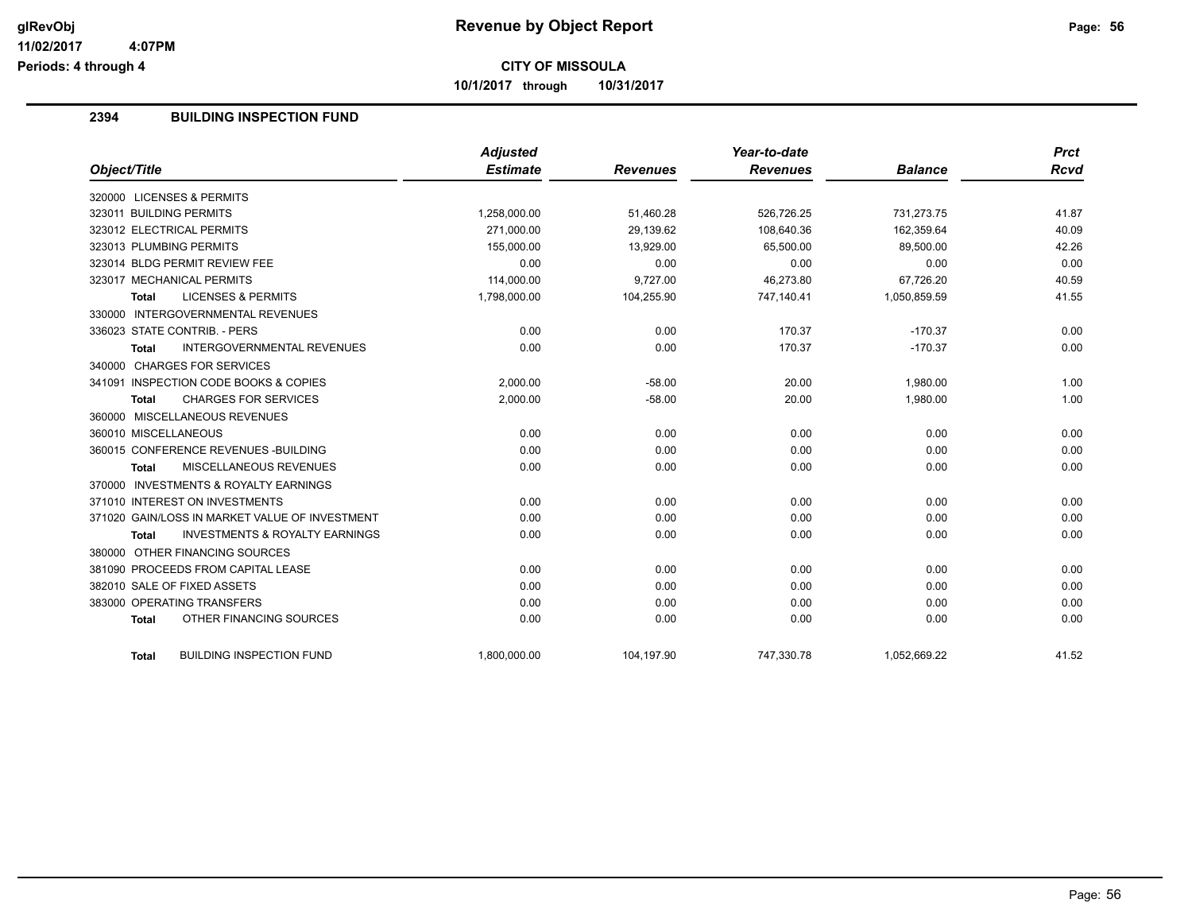**10/1/2017 through 10/31/2017**

## **2394 BUILDING INSPECTION FUND**

|                                                           | <b>Adjusted</b> |                 | Year-to-date    |                | <b>Prct</b> |
|-----------------------------------------------------------|-----------------|-----------------|-----------------|----------------|-------------|
| Object/Title                                              | <b>Estimate</b> | <b>Revenues</b> | <b>Revenues</b> | <b>Balance</b> | Rcvd        |
| 320000 LICENSES & PERMITS                                 |                 |                 |                 |                |             |
| 323011 BUILDING PERMITS                                   | 1,258,000.00    | 51,460.28       | 526,726.25      | 731,273.75     | 41.87       |
| 323012 ELECTRICAL PERMITS                                 | 271.000.00      | 29.139.62       | 108.640.36      | 162.359.64     | 40.09       |
| 323013 PLUMBING PERMITS                                   | 155,000.00      | 13,929.00       | 65,500.00       | 89,500.00      | 42.26       |
| 323014 BLDG PERMIT REVIEW FEE                             | 0.00            | 0.00            | 0.00            | 0.00           | 0.00        |
| 323017 MECHANICAL PERMITS                                 | 114,000.00      | 9,727.00        | 46,273.80       | 67,726.20      | 40.59       |
| <b>LICENSES &amp; PERMITS</b><br>Total                    | 1,798,000.00    | 104,255.90      | 747,140.41      | 1,050,859.59   | 41.55       |
| 330000 INTERGOVERNMENTAL REVENUES                         |                 |                 |                 |                |             |
| 336023 STATE CONTRIB. - PERS                              | 0.00            | 0.00            | 170.37          | $-170.37$      | 0.00        |
| INTERGOVERNMENTAL REVENUES<br><b>Total</b>                | 0.00            | 0.00            | 170.37          | $-170.37$      | 0.00        |
| 340000 CHARGES FOR SERVICES                               |                 |                 |                 |                |             |
| 341091 INSPECTION CODE BOOKS & COPIES                     | 2,000.00        | $-58.00$        | 20.00           | 1,980.00       | 1.00        |
| <b>CHARGES FOR SERVICES</b><br><b>Total</b>               | 2,000.00        | $-58.00$        | 20.00           | 1,980.00       | 1.00        |
| 360000 MISCELLANEOUS REVENUES                             |                 |                 |                 |                |             |
| 360010 MISCELLANEOUS                                      | 0.00            | 0.00            | 0.00            | 0.00           | 0.00        |
| 360015 CONFERENCE REVENUES - BUILDING                     | 0.00            | 0.00            | 0.00            | 0.00           | 0.00        |
| <b>MISCELLANEOUS REVENUES</b><br><b>Total</b>             | 0.00            | 0.00            | 0.00            | 0.00           | 0.00        |
| 370000 INVESTMENTS & ROYALTY EARNINGS                     |                 |                 |                 |                |             |
| 371010 INTEREST ON INVESTMENTS                            | 0.00            | 0.00            | 0.00            | 0.00           | 0.00        |
| 371020 GAIN/LOSS IN MARKET VALUE OF INVESTMENT            | 0.00            | 0.00            | 0.00            | 0.00           | 0.00        |
| <b>INVESTMENTS &amp; ROYALTY EARNINGS</b><br><b>Total</b> | 0.00            | 0.00            | 0.00            | 0.00           | 0.00        |
| 380000 OTHER FINANCING SOURCES                            |                 |                 |                 |                |             |
| 381090 PROCEEDS FROM CAPITAL LEASE                        | 0.00            | 0.00            | 0.00            | 0.00           | 0.00        |
| 382010 SALE OF FIXED ASSETS                               | 0.00            | 0.00            | 0.00            | 0.00           | 0.00        |
| 383000 OPERATING TRANSFERS                                | 0.00            | 0.00            | 0.00            | 0.00           | 0.00        |
| OTHER FINANCING SOURCES<br><b>Total</b>                   | 0.00            | 0.00            | 0.00            | 0.00           | 0.00        |
| <b>BUILDING INSPECTION FUND</b><br><b>Total</b>           | 1,800,000.00    | 104,197.90      | 747,330.78      | 1,052,669.22   | 41.52       |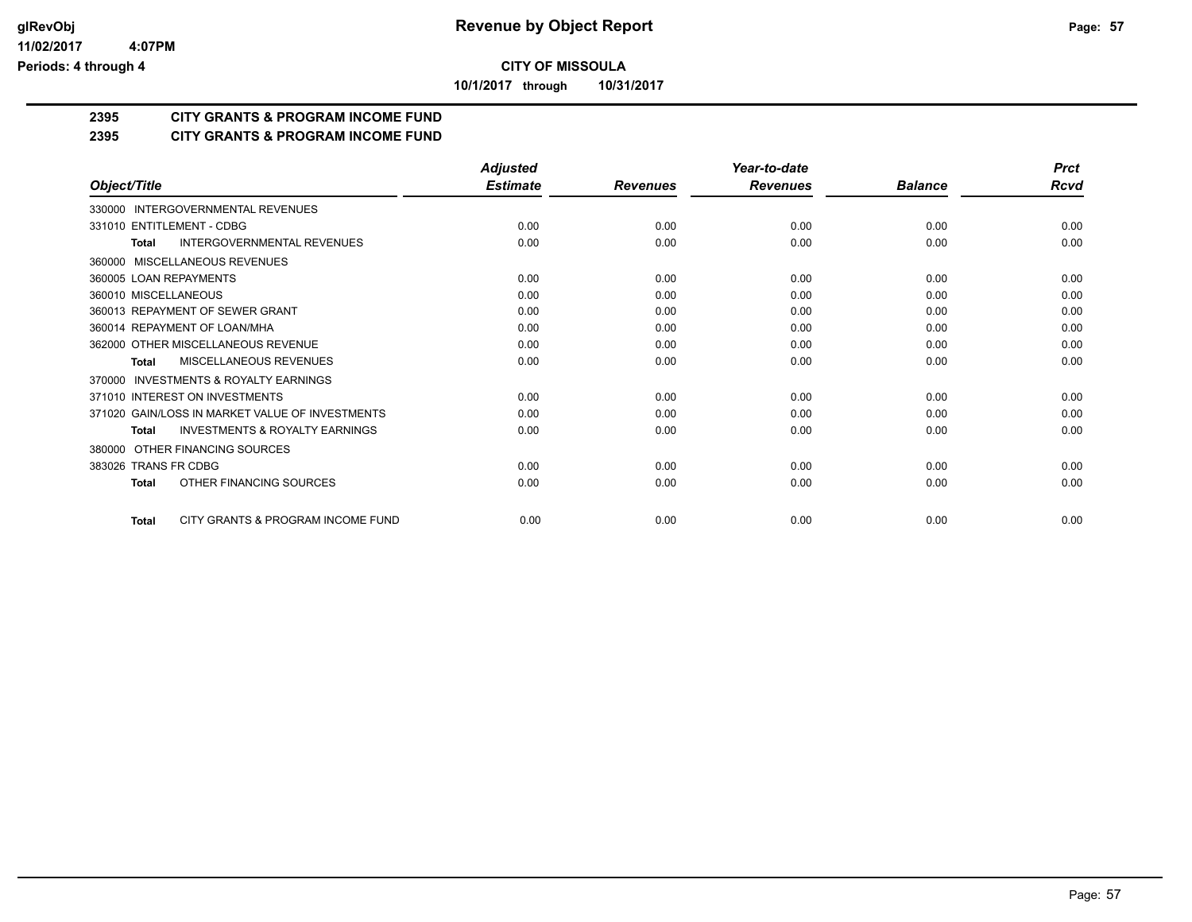**10/1/2017 through 10/31/2017**

# **2395 CITY GRANTS & PROGRAM INCOME FUND**

## **2395 CITY GRANTS & PROGRAM INCOME FUND**

|                                                           | <b>Adjusted</b> |                 | Year-to-date    |                | <b>Prct</b> |
|-----------------------------------------------------------|-----------------|-----------------|-----------------|----------------|-------------|
| Object/Title                                              | <b>Estimate</b> | <b>Revenues</b> | <b>Revenues</b> | <b>Balance</b> | Rcvd        |
| 330000 INTERGOVERNMENTAL REVENUES                         |                 |                 |                 |                |             |
| 331010 ENTITLEMENT - CDBG                                 | 0.00            | 0.00            | 0.00            | 0.00           | 0.00        |
| <b>INTERGOVERNMENTAL REVENUES</b><br><b>Total</b>         | 0.00            | 0.00            | 0.00            | 0.00           | 0.00        |
| 360000 MISCELLANEOUS REVENUES                             |                 |                 |                 |                |             |
| 360005 LOAN REPAYMENTS                                    | 0.00            | 0.00            | 0.00            | 0.00           | 0.00        |
| 360010 MISCELLANEOUS                                      | 0.00            | 0.00            | 0.00            | 0.00           | 0.00        |
| 360013 REPAYMENT OF SEWER GRANT                           | 0.00            | 0.00            | 0.00            | 0.00           | 0.00        |
| 360014 REPAYMENT OF LOAN/MHA                              | 0.00            | 0.00            | 0.00            | 0.00           | 0.00        |
| 362000 OTHER MISCELLANEOUS REVENUE                        | 0.00            | 0.00            | 0.00            | 0.00           | 0.00        |
| <b>MISCELLANEOUS REVENUES</b><br><b>Total</b>             | 0.00            | 0.00            | 0.00            | 0.00           | 0.00        |
| INVESTMENTS & ROYALTY EARNINGS<br>370000                  |                 |                 |                 |                |             |
| 371010 INTEREST ON INVESTMENTS                            | 0.00            | 0.00            | 0.00            | 0.00           | 0.00        |
| 371020 GAIN/LOSS IN MARKET VALUE OF INVESTMENTS           | 0.00            | 0.00            | 0.00            | 0.00           | 0.00        |
| <b>INVESTMENTS &amp; ROYALTY EARNINGS</b><br><b>Total</b> | 0.00            | 0.00            | 0.00            | 0.00           | 0.00        |
| OTHER FINANCING SOURCES<br>380000                         |                 |                 |                 |                |             |
| 383026 TRANS FR CDBG                                      | 0.00            | 0.00            | 0.00            | 0.00           | 0.00        |
| OTHER FINANCING SOURCES<br><b>Total</b>                   | 0.00            | 0.00            | 0.00            | 0.00           | 0.00        |
| CITY GRANTS & PROGRAM INCOME FUND<br><b>Total</b>         | 0.00            | 0.00            | 0.00            | 0.00           | 0.00        |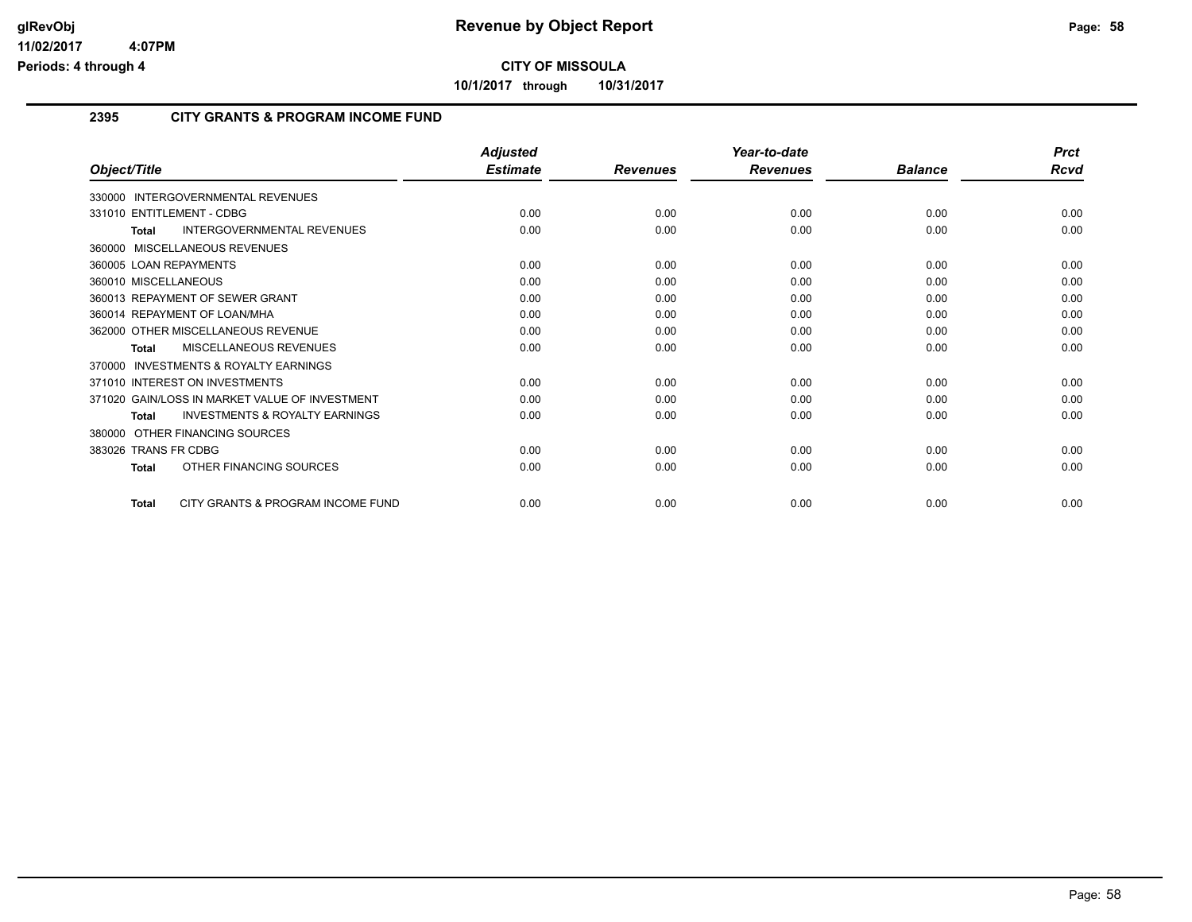**10/1/2017 through 10/31/2017**

## **2395 CITY GRANTS & PROGRAM INCOME FUND**

|                                                           | <b>Adjusted</b> |                 | Year-to-date    |                | <b>Prct</b> |
|-----------------------------------------------------------|-----------------|-----------------|-----------------|----------------|-------------|
| Object/Title                                              | <b>Estimate</b> | <b>Revenues</b> | <b>Revenues</b> | <b>Balance</b> | <b>Rcvd</b> |
| INTERGOVERNMENTAL REVENUES<br>330000                      |                 |                 |                 |                |             |
| 331010 ENTITLEMENT - CDBG                                 | 0.00            | 0.00            | 0.00            | 0.00           | 0.00        |
| <b>INTERGOVERNMENTAL REVENUES</b><br><b>Total</b>         | 0.00            | 0.00            | 0.00            | 0.00           | 0.00        |
| 360000 MISCELLANEOUS REVENUES                             |                 |                 |                 |                |             |
| 360005 LOAN REPAYMENTS                                    | 0.00            | 0.00            | 0.00            | 0.00           | 0.00        |
| 360010 MISCELLANEOUS                                      | 0.00            | 0.00            | 0.00            | 0.00           | 0.00        |
| 360013 REPAYMENT OF SEWER GRANT                           | 0.00            | 0.00            | 0.00            | 0.00           | 0.00        |
| 360014 REPAYMENT OF LOAN/MHA                              | 0.00            | 0.00            | 0.00            | 0.00           | 0.00        |
| 362000 OTHER MISCELLANEOUS REVENUE                        | 0.00            | 0.00            | 0.00            | 0.00           | 0.00        |
| <b>MISCELLANEOUS REVENUES</b><br><b>Total</b>             | 0.00            | 0.00            | 0.00            | 0.00           | 0.00        |
| <b>INVESTMENTS &amp; ROYALTY EARNINGS</b><br>370000       |                 |                 |                 |                |             |
| 371010 INTEREST ON INVESTMENTS                            | 0.00            | 0.00            | 0.00            | 0.00           | 0.00        |
| 371020 GAIN/LOSS IN MARKET VALUE OF INVESTMENT            | 0.00            | 0.00            | 0.00            | 0.00           | 0.00        |
| <b>INVESTMENTS &amp; ROYALTY EARNINGS</b><br><b>Total</b> | 0.00            | 0.00            | 0.00            | 0.00           | 0.00        |
| OTHER FINANCING SOURCES<br>380000                         |                 |                 |                 |                |             |
| 383026 TRANS FR CDBG                                      | 0.00            | 0.00            | 0.00            | 0.00           | 0.00        |
| OTHER FINANCING SOURCES<br><b>Total</b>                   | 0.00            | 0.00            | 0.00            | 0.00           | 0.00        |
|                                                           |                 |                 |                 |                |             |
| CITY GRANTS & PROGRAM INCOME FUND<br><b>Total</b>         | 0.00            | 0.00            | 0.00            | 0.00           | 0.00        |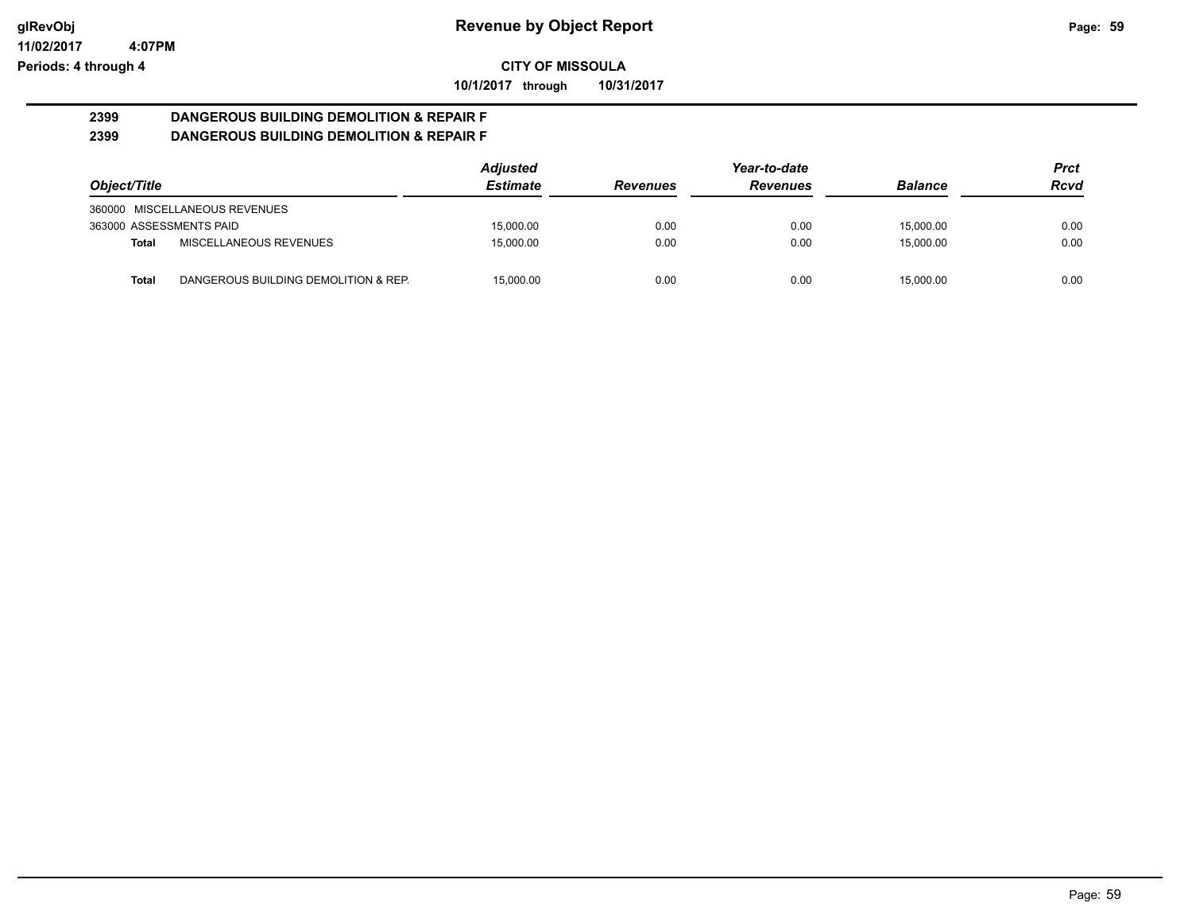**10/1/2017 through 10/31/2017**

## **2399 DANGEROUS BUILDING DEMOLITION & REPAIR F 2399 DANGEROUS BUILDING DEMOLITION & REPAIR F**

|                         |                                      | <b>Adjusted</b> |                 | Year-to-date    |                | Prct        |
|-------------------------|--------------------------------------|-----------------|-----------------|-----------------|----------------|-------------|
| Object/Title            |                                      | <b>Estimate</b> | <b>Revenues</b> | <b>Revenues</b> | <b>Balance</b> | <b>Rcvd</b> |
|                         | 360000 MISCELLANEOUS REVENUES        |                 |                 |                 |                |             |
| 363000 ASSESSMENTS PAID |                                      | 15,000.00       | 0.00            | 0.00            | 15.000.00      | 0.00        |
| Total                   | MISCELLANEOUS REVENUES               | 15,000.00       | 0.00            | 0.00            | 15.000.00      | 0.00        |
| <b>Total</b>            | DANGEROUS BUILDING DEMOLITION & REP. | 15.000.00       | 0.00            | 0.00            | 15.000.00      | 0.00        |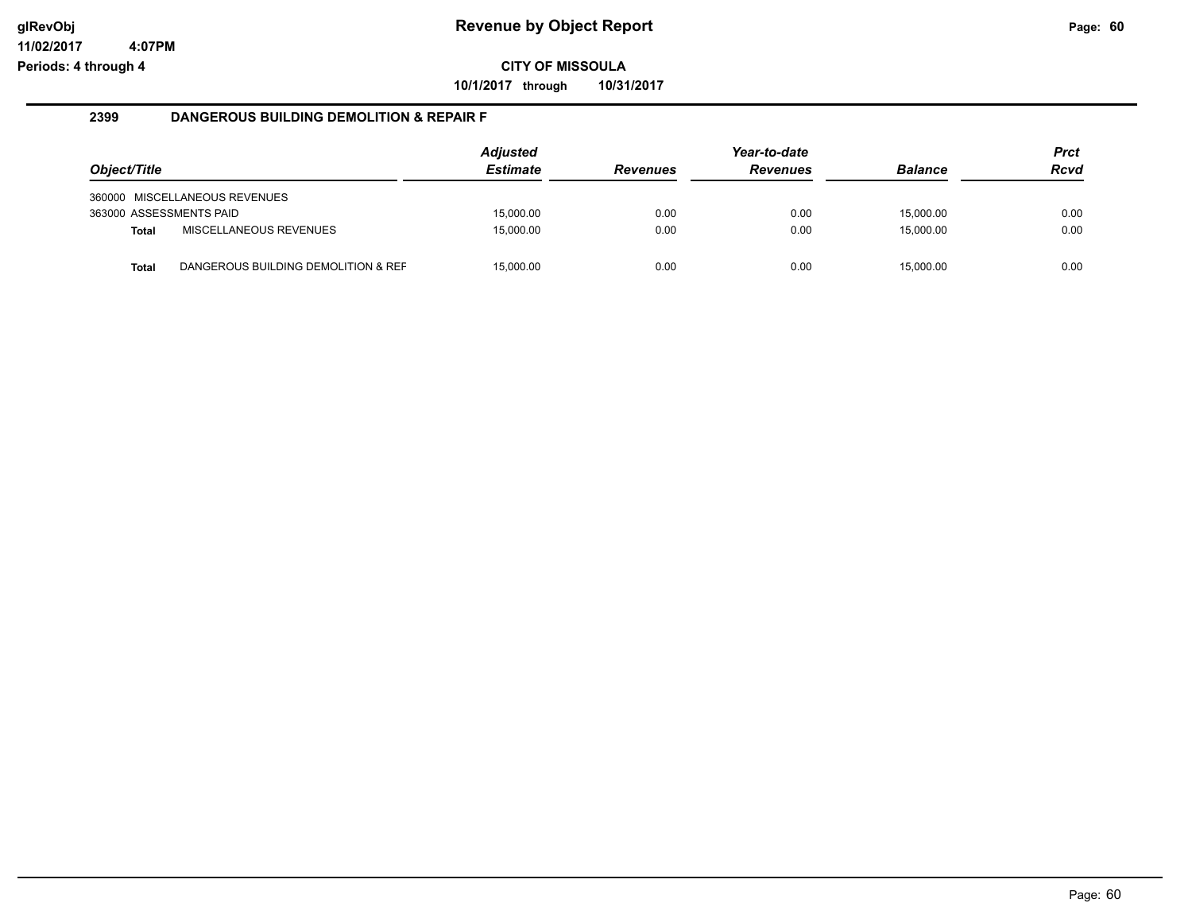**10/1/2017 through 10/31/2017**

#### **2399 DANGEROUS BUILDING DEMOLITION & REPAIR F**

| Object/Title            |                                     | <b>Adjusted</b><br><b>Estimate</b> | <b>Revenues</b> | Year-to-date<br><b>Revenues</b> | <b>Balance</b> | <b>Prct</b><br><b>Rcvd</b> |
|-------------------------|-------------------------------------|------------------------------------|-----------------|---------------------------------|----------------|----------------------------|
|                         |                                     |                                    |                 |                                 |                |                            |
|                         | 360000 MISCELLANEOUS REVENUES       |                                    |                 |                                 |                |                            |
| 363000 ASSESSMENTS PAID |                                     | 15.000.00                          | 0.00            | 0.00                            | 15.000.00      | 0.00                       |
| <b>Total</b>            | MISCELLANEOUS REVENUES              | 15.000.00                          | 0.00            | 0.00                            | 15.000.00      | 0.00                       |
|                         |                                     |                                    |                 |                                 |                |                            |
| <b>Total</b>            | DANGEROUS BUILDING DEMOLITION & REF | 15.000.00                          | 0.00            | 0.00                            | 15,000.00      | 0.00                       |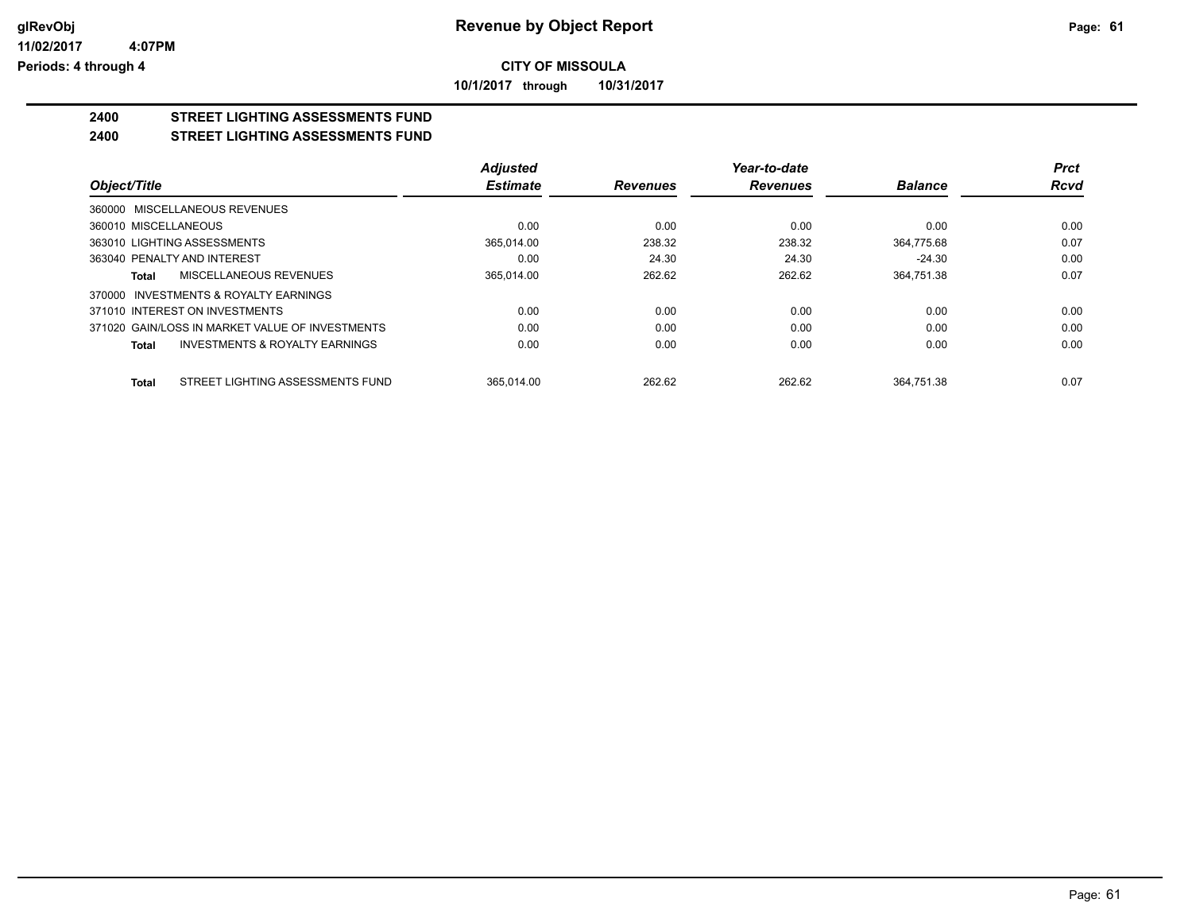**10/1/2017 through 10/31/2017**

## **2400 STREET LIGHTING ASSESSMENTS FUND 2400 STREET LIGHTING ASSESSMENTS FUND**

|                                       |                                                 | <b>Adjusted</b> |                 | Year-to-date    |                | <b>Prct</b> |
|---------------------------------------|-------------------------------------------------|-----------------|-----------------|-----------------|----------------|-------------|
| Object/Title                          |                                                 | <b>Estimate</b> | <b>Revenues</b> | <b>Revenues</b> | <b>Balance</b> | <b>Rcvd</b> |
| 360000 MISCELLANEOUS REVENUES         |                                                 |                 |                 |                 |                |             |
| 360010 MISCELLANEOUS                  |                                                 | 0.00            | 0.00            | 0.00            | 0.00           | 0.00        |
| 363010 LIGHTING ASSESSMENTS           |                                                 | 365.014.00      | 238.32          | 238.32          | 364.775.68     | 0.07        |
| 363040 PENALTY AND INTEREST           |                                                 | 0.00            | 24.30           | 24.30           | $-24.30$       | 0.00        |
| Total                                 | MISCELLANEOUS REVENUES                          | 365.014.00      | 262.62          | 262.62          | 364.751.38     | 0.07        |
| 370000 INVESTMENTS & ROYALTY EARNINGS |                                                 |                 |                 |                 |                |             |
| 371010 INTEREST ON INVESTMENTS        |                                                 | 0.00            | 0.00            | 0.00            | 0.00           | 0.00        |
|                                       | 371020 GAIN/LOSS IN MARKET VALUE OF INVESTMENTS | 0.00            | 0.00            | 0.00            | 0.00           | 0.00        |
| Total                                 | <b>INVESTMENTS &amp; ROYALTY EARNINGS</b>       | 0.00            | 0.00            | 0.00            | 0.00           | 0.00        |
| <b>Total</b>                          | STREET LIGHTING ASSESSMENTS FUND                | 365.014.00      | 262.62          | 262.62          | 364.751.38     | 0.07        |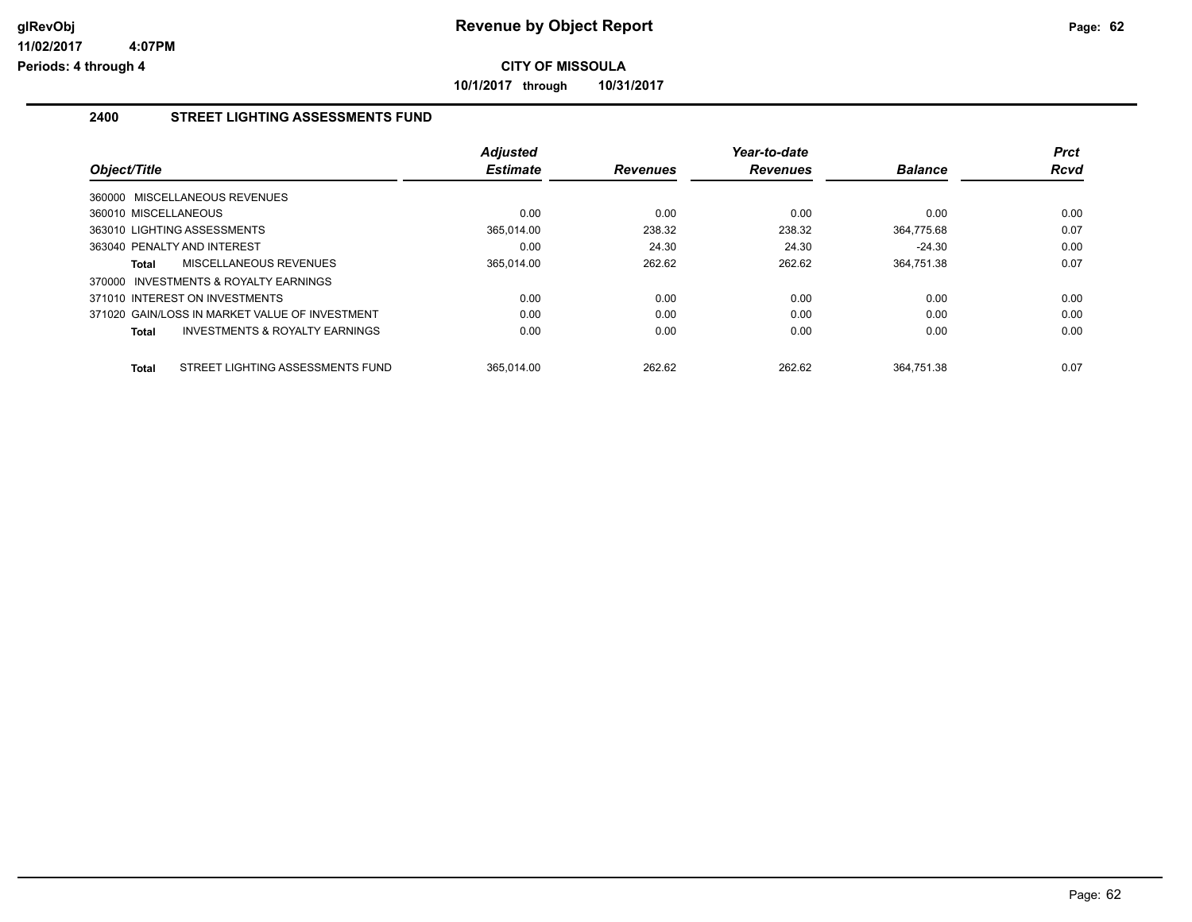**10/1/2017 through 10/31/2017**

## **2400 STREET LIGHTING ASSESSMENTS FUND**

| Object/Title                                       | <b>Adjusted</b><br><b>Estimate</b> | <b>Revenues</b> | Year-to-date<br><b>Revenues</b> | <b>Balance</b> | <b>Prct</b><br><b>Rcvd</b> |
|----------------------------------------------------|------------------------------------|-----------------|---------------------------------|----------------|----------------------------|
| 360000 MISCELLANEOUS REVENUES                      |                                    |                 |                                 |                |                            |
| 360010 MISCELLANEOUS                               | 0.00                               | 0.00            | 0.00                            | 0.00           | 0.00                       |
| 363010 LIGHTING ASSESSMENTS                        | 365.014.00                         | 238.32          | 238.32                          | 364.775.68     | 0.07                       |
| 363040 PENALTY AND INTEREST                        | 0.00                               | 24.30           | 24.30                           | $-24.30$       | 0.00                       |
| MISCELLANEOUS REVENUES<br>Total                    | 365,014.00                         | 262.62          | 262.62                          | 364,751.38     | 0.07                       |
| 370000 INVESTMENTS & ROYALTY EARNINGS              |                                    |                 |                                 |                |                            |
| 371010 INTEREST ON INVESTMENTS                     | 0.00                               | 0.00            | 0.00                            | 0.00           | 0.00                       |
| 371020 GAIN/LOSS IN MARKET VALUE OF INVESTMENT     | 0.00                               | 0.00            | 0.00                            | 0.00           | 0.00                       |
| <b>INVESTMENTS &amp; ROYALTY EARNINGS</b><br>Total | 0.00                               | 0.00            | 0.00                            | 0.00           | 0.00                       |
| STREET LIGHTING ASSESSMENTS FUND<br>Total          | 365.014.00                         | 262.62          | 262.62                          | 364.751.38     | 0.07                       |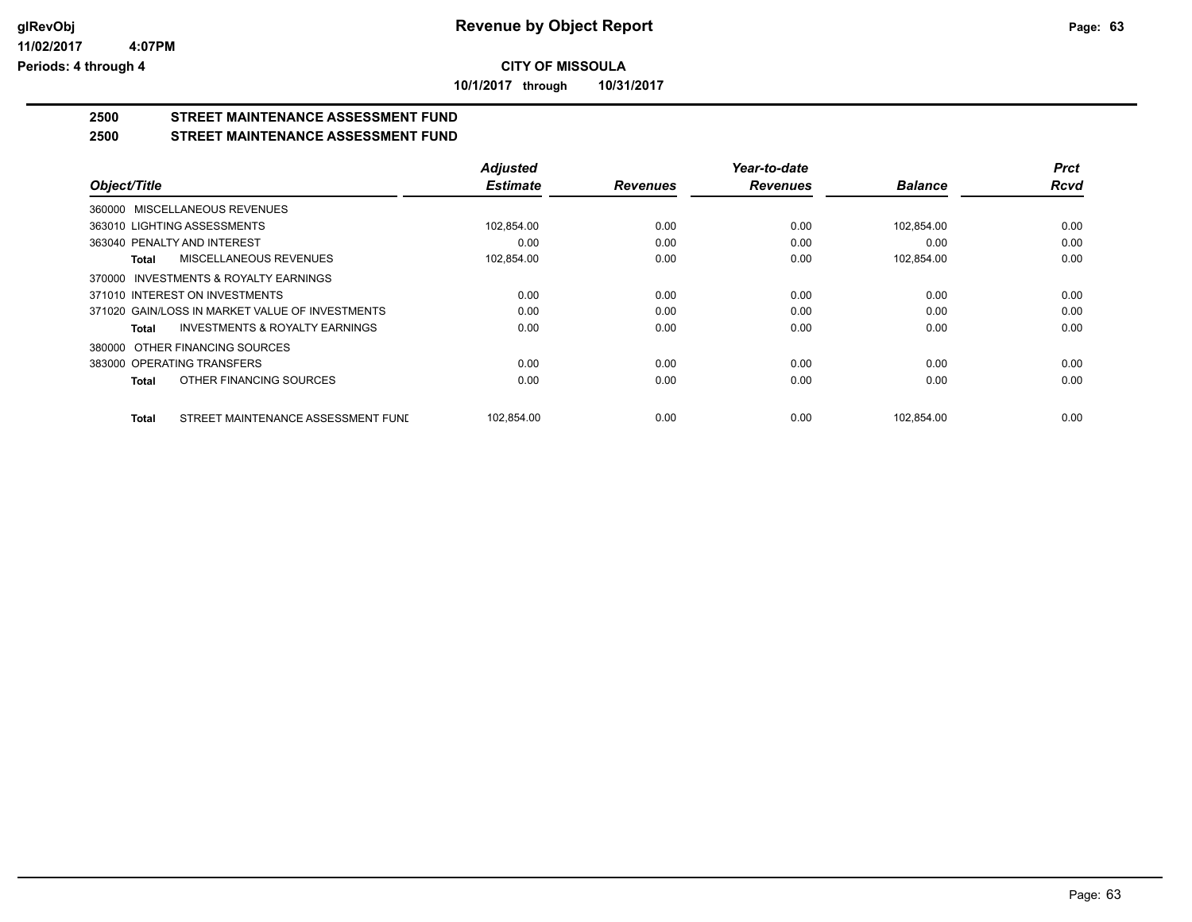**10/1/2017 through 10/31/2017**

# **2500 STREET MAINTENANCE ASSESSMENT FUND**

## **2500 STREET MAINTENANCE ASSESSMENT FUND**

|                                                    | <b>Adjusted</b> |                 | Year-to-date    |                | <b>Prct</b> |
|----------------------------------------------------|-----------------|-----------------|-----------------|----------------|-------------|
| Object/Title                                       | <b>Estimate</b> | <b>Revenues</b> | <b>Revenues</b> | <b>Balance</b> | <b>Rcvd</b> |
| 360000 MISCELLANEOUS REVENUES                      |                 |                 |                 |                |             |
| 363010 LIGHTING ASSESSMENTS                        | 102,854.00      | 0.00            | 0.00            | 102,854.00     | 0.00        |
| 363040 PENALTY AND INTEREST                        | 0.00            | 0.00            | 0.00            | 0.00           | 0.00        |
| <b>MISCELLANEOUS REVENUES</b><br>Total             | 102,854.00      | 0.00            | 0.00            | 102,854.00     | 0.00        |
| 370000 INVESTMENTS & ROYALTY EARNINGS              |                 |                 |                 |                |             |
| 371010 INTEREST ON INVESTMENTS                     | 0.00            | 0.00            | 0.00            | 0.00           | 0.00        |
| 371020 GAIN/LOSS IN MARKET VALUE OF INVESTMENTS    | 0.00            | 0.00            | 0.00            | 0.00           | 0.00        |
| <b>INVESTMENTS &amp; ROYALTY EARNINGS</b><br>Total | 0.00            | 0.00            | 0.00            | 0.00           | 0.00        |
| OTHER FINANCING SOURCES<br>380000                  |                 |                 |                 |                |             |
| 383000 OPERATING TRANSFERS                         | 0.00            | 0.00            | 0.00            | 0.00           | 0.00        |
| OTHER FINANCING SOURCES<br>Total                   | 0.00            | 0.00            | 0.00            | 0.00           | 0.00        |
| STREET MAINTENANCE ASSESSMENT FUND<br>Total        | 102.854.00      | 0.00            | 0.00            | 102.854.00     | 0.00        |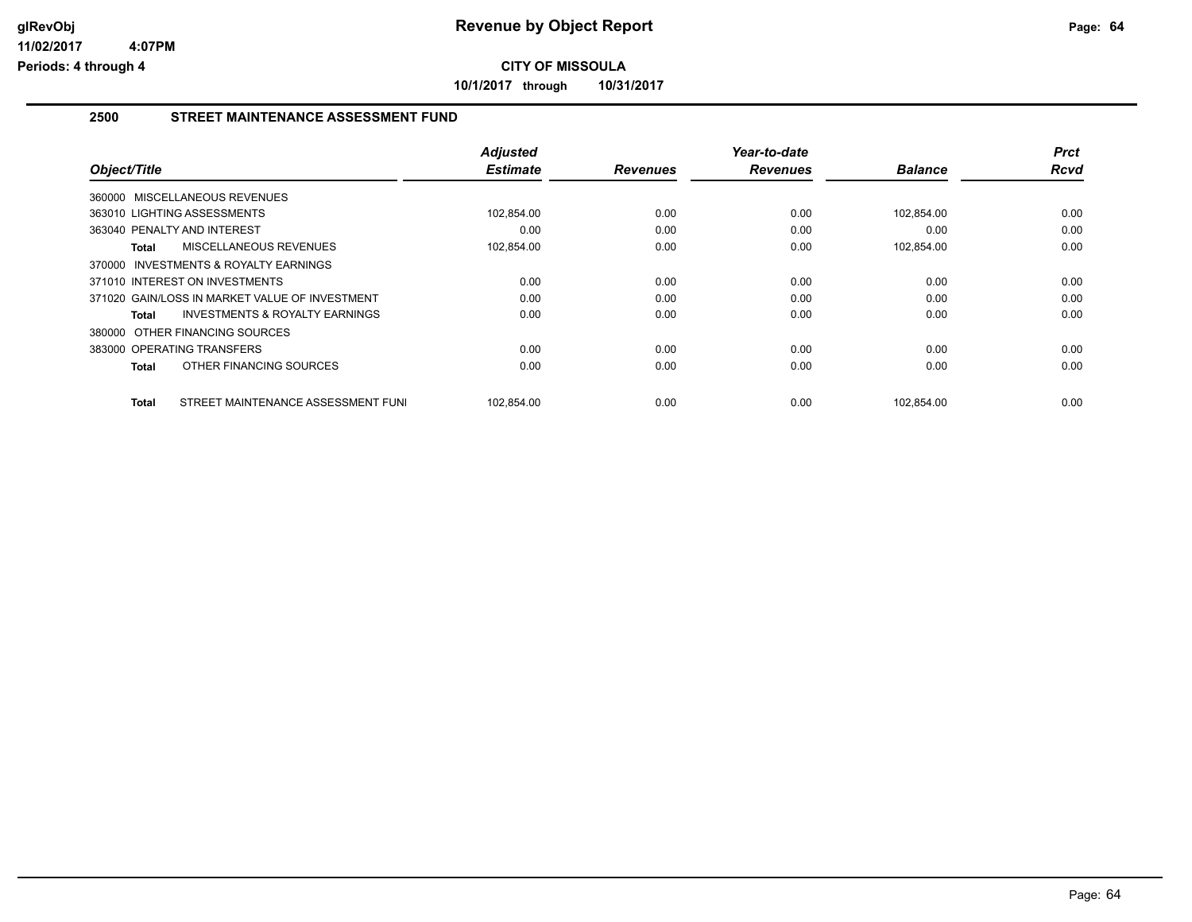**10/1/2017 through 10/31/2017**

## **2500 STREET MAINTENANCE ASSESSMENT FUND**

| Object/Title                                       | <b>Adjusted</b><br><b>Estimate</b> | <b>Revenues</b> | Year-to-date<br><b>Revenues</b> | <b>Balance</b> | <b>Prct</b><br><b>Rcvd</b> |
|----------------------------------------------------|------------------------------------|-----------------|---------------------------------|----------------|----------------------------|
| 360000 MISCELLANEOUS REVENUES                      |                                    |                 |                                 |                |                            |
| 363010 LIGHTING ASSESSMENTS                        | 102,854.00                         | 0.00            | 0.00                            | 102,854.00     | 0.00                       |
| 363040 PENALTY AND INTEREST                        | 0.00                               | 0.00            | 0.00                            | 0.00           | 0.00                       |
| MISCELLANEOUS REVENUES<br>Total                    | 102,854.00                         | 0.00            | 0.00                            | 102,854.00     | 0.00                       |
| 370000 INVESTMENTS & ROYALTY EARNINGS              |                                    |                 |                                 |                |                            |
| 371010 INTEREST ON INVESTMENTS                     | 0.00                               | 0.00            | 0.00                            | 0.00           | 0.00                       |
| 371020 GAIN/LOSS IN MARKET VALUE OF INVESTMENT     | 0.00                               | 0.00            | 0.00                            | 0.00           | 0.00                       |
| <b>INVESTMENTS &amp; ROYALTY EARNINGS</b><br>Total | 0.00                               | 0.00            | 0.00                            | 0.00           | 0.00                       |
| 380000 OTHER FINANCING SOURCES                     |                                    |                 |                                 |                |                            |
| 383000 OPERATING TRANSFERS                         | 0.00                               | 0.00            | 0.00                            | 0.00           | 0.00                       |
| OTHER FINANCING SOURCES<br>Total                   | 0.00                               | 0.00            | 0.00                            | 0.00           | 0.00                       |
| STREET MAINTENANCE ASSESSMENT FUNI<br><b>Total</b> | 102.854.00                         | 0.00            | 0.00                            | 102.854.00     | 0.00                       |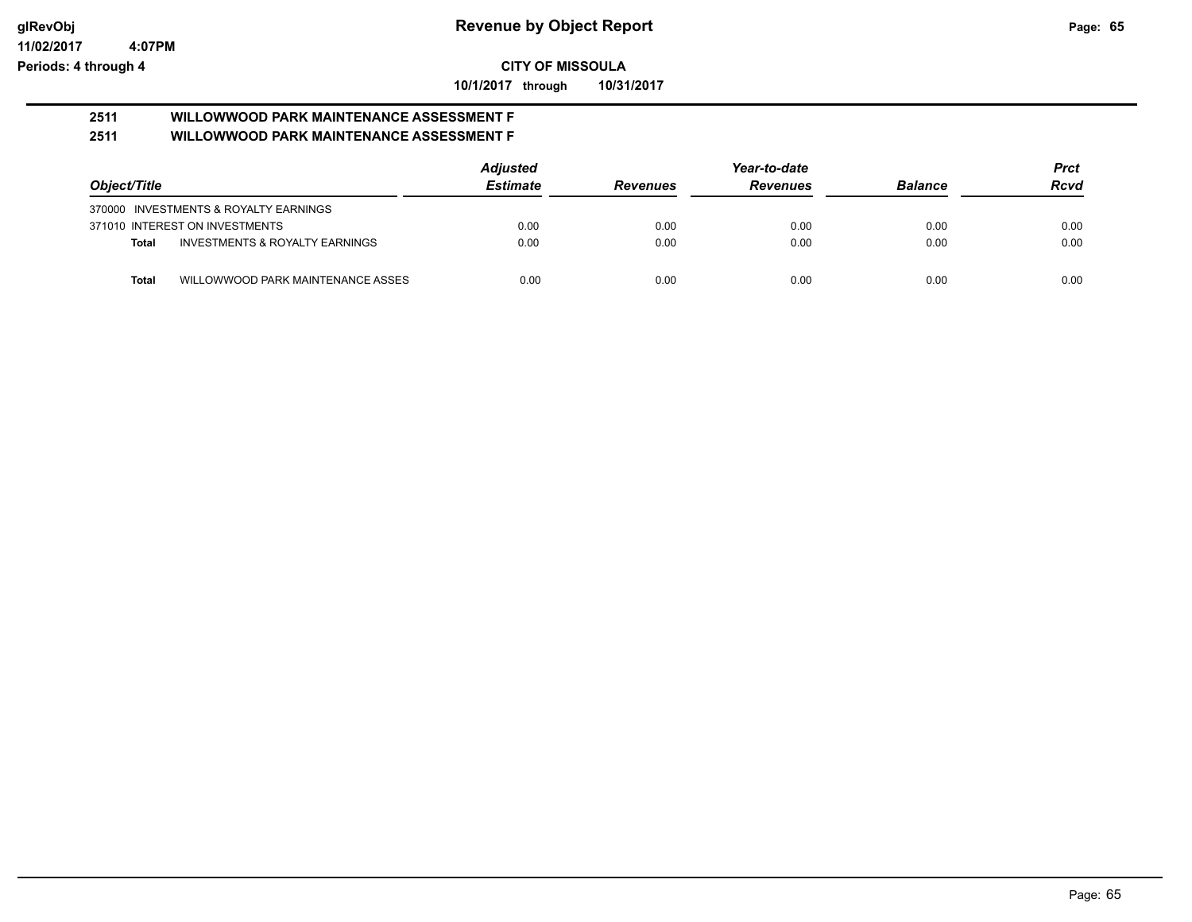## **11/02/2017 4:07PM Periods: 4 through 4**

**CITY OF MISSOULA**

**10/1/2017 through 10/31/2017**

## **2511 WILLOWWOOD PARK MAINTENANCE ASSESSMENT F 2511 WILLOWWOOD PARK MAINTENANCE ASSESSMENT F**

|              |                                           | <b>Adjusted</b> |                 | Year-to-date    |                | Prct        |
|--------------|-------------------------------------------|-----------------|-----------------|-----------------|----------------|-------------|
| Object/Title |                                           | <b>Estimate</b> | <b>Revenues</b> | <b>Revenues</b> | <b>Balance</b> | <b>Rcvd</b> |
|              | 370000 INVESTMENTS & ROYALTY EARNINGS     |                 |                 |                 |                |             |
|              | 371010 INTEREST ON INVESTMENTS            | 0.00            | 0.00            | 0.00            | 0.00           | 0.00        |
| Total        | <b>INVESTMENTS &amp; ROYALTY EARNINGS</b> | 0.00            | 0.00            | 0.00            | 0.00           | 0.00        |
| <b>Total</b> | WILLOWWOOD PARK MAINTENANCE ASSES         | 0.00            | 0.00            | 0.00            | 0.00           | 0.00        |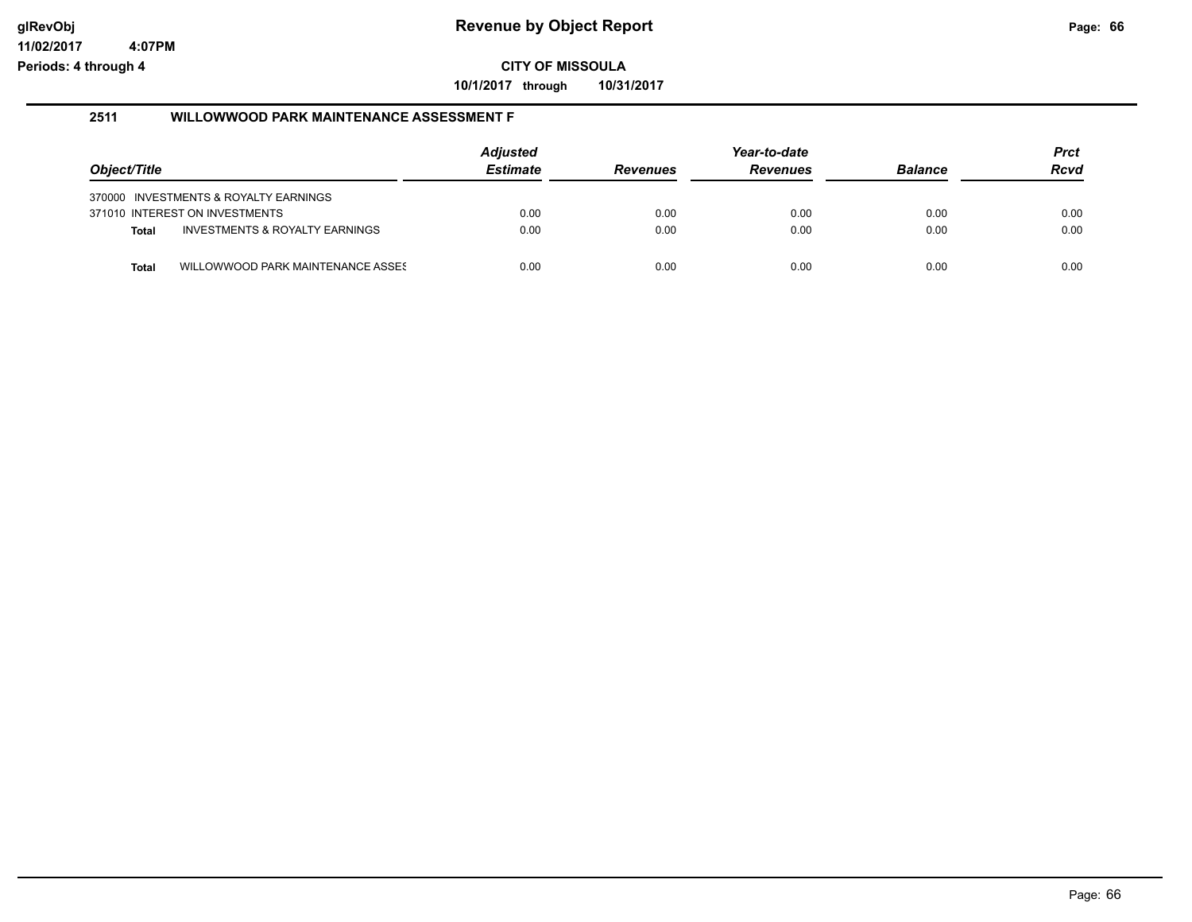**10/1/2017 through 10/31/2017**

## **2511 WILLOWWOOD PARK MAINTENANCE ASSESSMENT F**

| Object/Title |                                       | Adjusted<br><b>Estimate</b> | <b>Revenues</b> | Year-to-date<br><b>Revenues</b> | <b>Balance</b> | <b>Prct</b><br><b>Rcvd</b> |
|--------------|---------------------------------------|-----------------------------|-----------------|---------------------------------|----------------|----------------------------|
|              | 370000 INVESTMENTS & ROYALTY EARNINGS |                             |                 |                                 |                |                            |
|              | 371010 INTEREST ON INVESTMENTS        | 0.00                        | 0.00            | 0.00                            | 0.00           | 0.00                       |
| <b>Total</b> | INVESTMENTS & ROYALTY EARNINGS        | 0.00                        | 0.00            | 0.00                            | 0.00           | 0.00                       |
| <b>Total</b> | WILLOWWOOD PARK MAINTENANCE ASSES     | 0.00                        | 0.00            | 0.00                            | 0.00           | 0.00                       |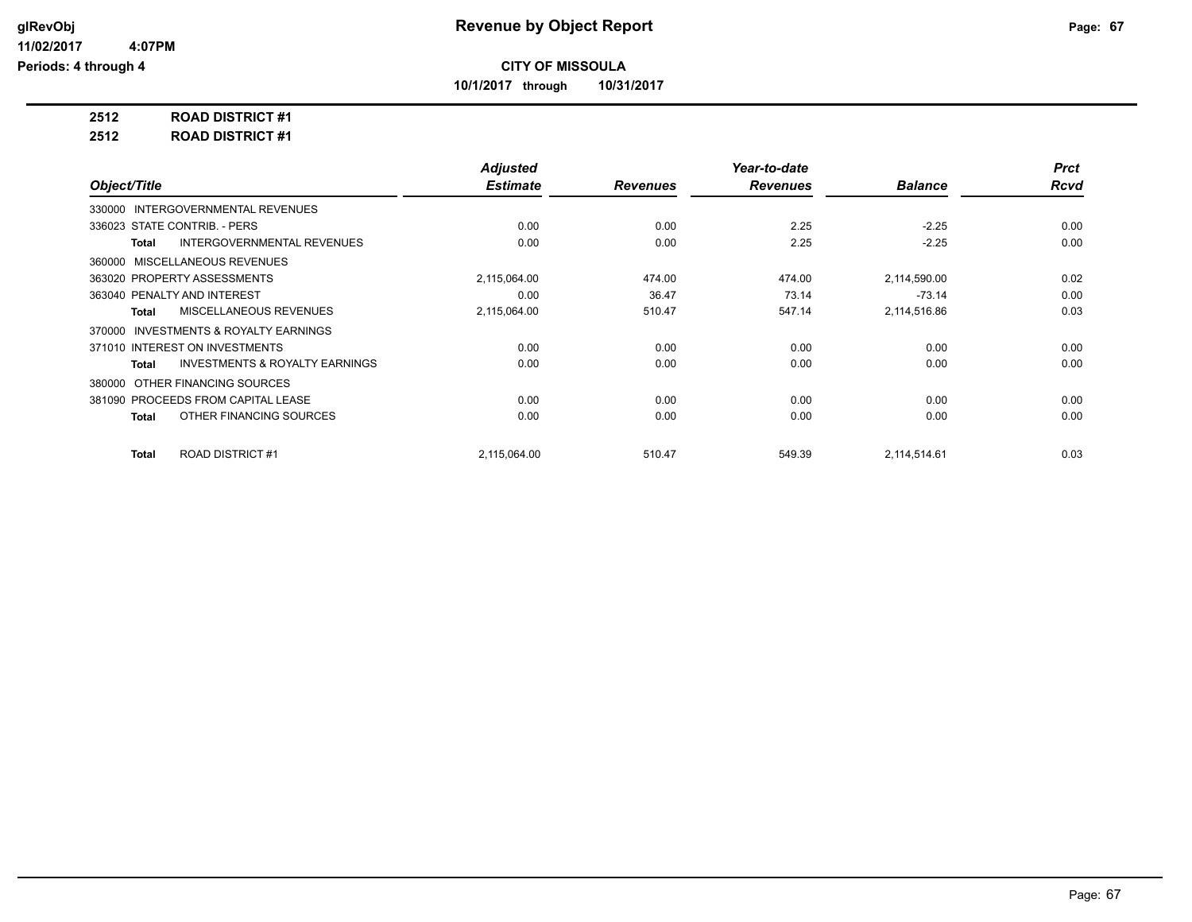**10/1/2017 through 10/31/2017**

**2512 ROAD DISTRICT #1**

**2512 ROAD DISTRICT #1**

|                                                     | <b>Adjusted</b> |                 | Year-to-date    |                | <b>Prct</b> |
|-----------------------------------------------------|-----------------|-----------------|-----------------|----------------|-------------|
| Object/Title                                        | <b>Estimate</b> | <b>Revenues</b> | <b>Revenues</b> | <b>Balance</b> | <b>Rcvd</b> |
| 330000 INTERGOVERNMENTAL REVENUES                   |                 |                 |                 |                |             |
| 336023 STATE CONTRIB. - PERS                        | 0.00            | 0.00            | 2.25            | $-2.25$        | 0.00        |
| <b>INTERGOVERNMENTAL REVENUES</b><br>Total          | 0.00            | 0.00            | 2.25            | $-2.25$        | 0.00        |
| 360000 MISCELLANEOUS REVENUES                       |                 |                 |                 |                |             |
| 363020 PROPERTY ASSESSMENTS                         | 2,115,064.00    | 474.00          | 474.00          | 2,114,590.00   | 0.02        |
| 363040 PENALTY AND INTEREST                         | 0.00            | 36.47           | 73.14           | $-73.14$       | 0.00        |
| MISCELLANEOUS REVENUES<br>Total                     | 2,115,064.00    | 510.47          | 547.14          | 2,114,516.86   | 0.03        |
| <b>INVESTMENTS &amp; ROYALTY EARNINGS</b><br>370000 |                 |                 |                 |                |             |
| 371010 INTEREST ON INVESTMENTS                      | 0.00            | 0.00            | 0.00            | 0.00           | 0.00        |
| <b>INVESTMENTS &amp; ROYALTY EARNINGS</b><br>Total  | 0.00            | 0.00            | 0.00            | 0.00           | 0.00        |
| 380000 OTHER FINANCING SOURCES                      |                 |                 |                 |                |             |
| 381090 PROCEEDS FROM CAPITAL LEASE                  | 0.00            | 0.00            | 0.00            | 0.00           | 0.00        |
| OTHER FINANCING SOURCES<br>Total                    | 0.00            | 0.00            | 0.00            | 0.00           | 0.00        |
|                                                     |                 |                 |                 |                |             |
| <b>ROAD DISTRICT #1</b><br><b>Total</b>             | 2,115,064.00    | 510.47          | 549.39          | 2,114,514.61   | 0.03        |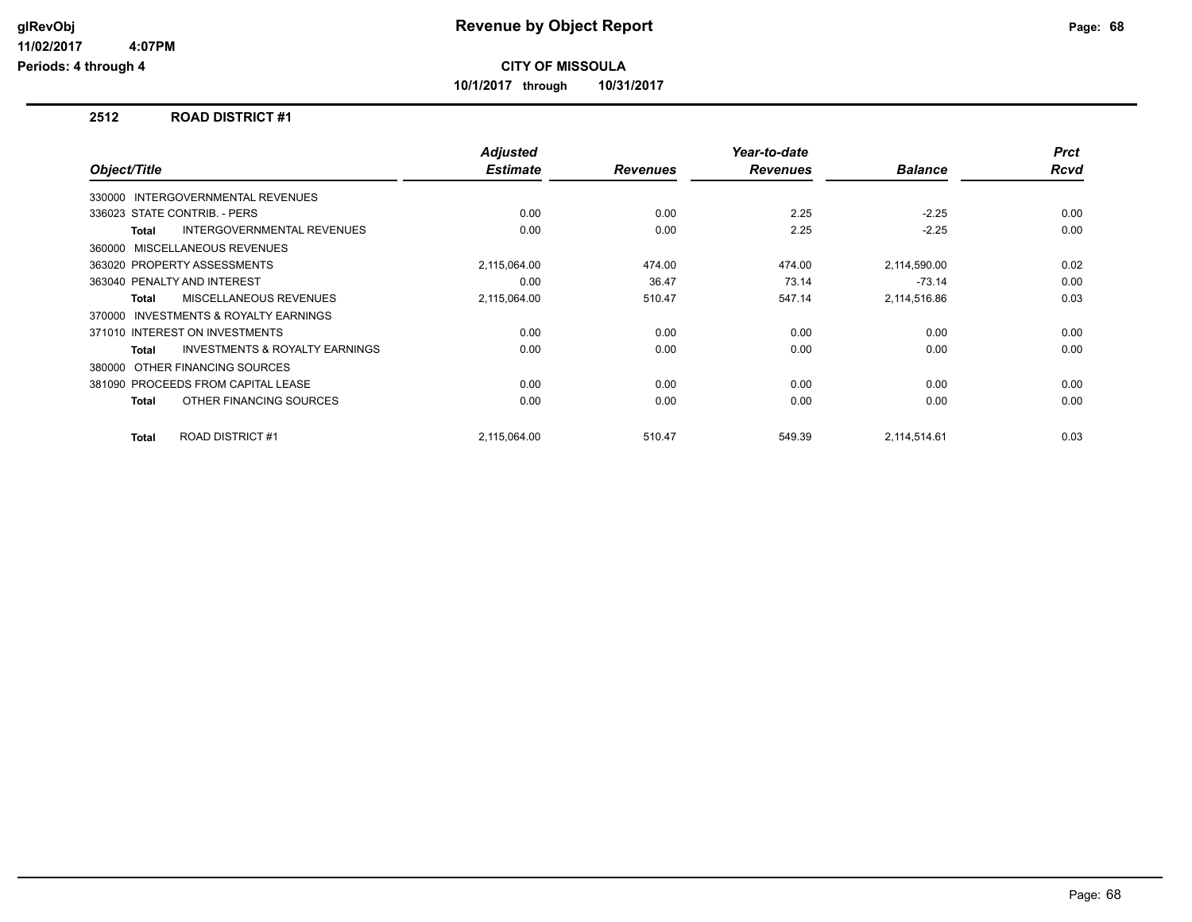**10/1/2017 through 10/31/2017**

#### **2512 ROAD DISTRICT #1**

| Object/Title |                                           | <b>Adjusted</b><br><b>Estimate</b> | <b>Revenues</b> | Year-to-date<br><b>Revenues</b> | <b>Balance</b> | <b>Prct</b><br>Rcvd |
|--------------|-------------------------------------------|------------------------------------|-----------------|---------------------------------|----------------|---------------------|
|              |                                           |                                    |                 |                                 |                |                     |
|              | 330000 INTERGOVERNMENTAL REVENUES         |                                    |                 |                                 |                |                     |
|              | 336023 STATE CONTRIB. - PERS              | 0.00                               | 0.00            | 2.25                            | $-2.25$        | 0.00                |
| Total        | INTERGOVERNMENTAL REVENUES                | 0.00                               | 0.00            | 2.25                            | $-2.25$        | 0.00                |
|              | 360000 MISCELLANEOUS REVENUES             |                                    |                 |                                 |                |                     |
|              | 363020 PROPERTY ASSESSMENTS               | 2,115,064.00                       | 474.00          | 474.00                          | 2,114,590.00   | 0.02                |
|              | 363040 PENALTY AND INTEREST               | 0.00                               | 36.47           | 73.14                           | $-73.14$       | 0.00                |
| <b>Total</b> | MISCELLANEOUS REVENUES                    | 2,115,064.00                       | 510.47          | 547.14                          | 2,114,516.86   | 0.03                |
| 370000       | <b>INVESTMENTS &amp; ROYALTY EARNINGS</b> |                                    |                 |                                 |                |                     |
|              | 371010 INTEREST ON INVESTMENTS            | 0.00                               | 0.00            | 0.00                            | 0.00           | 0.00                |
| <b>Total</b> | <b>INVESTMENTS &amp; ROYALTY EARNINGS</b> | 0.00                               | 0.00            | 0.00                            | 0.00           | 0.00                |
|              | 380000 OTHER FINANCING SOURCES            |                                    |                 |                                 |                |                     |
|              | 381090 PROCEEDS FROM CAPITAL LEASE        | 0.00                               | 0.00            | 0.00                            | 0.00           | 0.00                |
| <b>Total</b> | OTHER FINANCING SOURCES                   | 0.00                               | 0.00            | 0.00                            | 0.00           | 0.00                |
| <b>Total</b> | ROAD DISTRICT #1                          | 2,115,064.00                       | 510.47          | 549.39                          | 2,114,514.61   | 0.03                |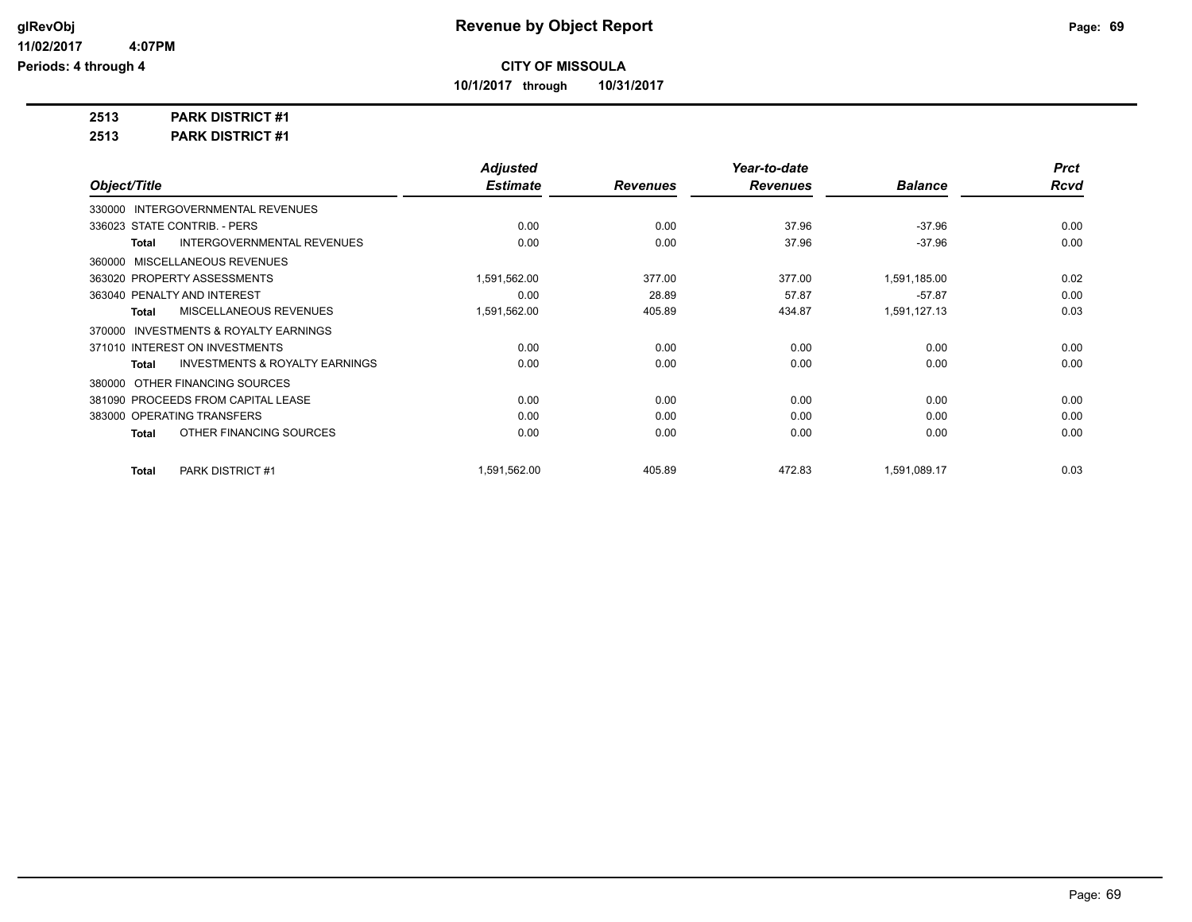**10/1/2017 through 10/31/2017**

**2513 PARK DISTRICT #1**

**2513 PARK DISTRICT #1**

|                                                           | <b>Adjusted</b> |                 | Year-to-date    |                | <b>Prct</b> |
|-----------------------------------------------------------|-----------------|-----------------|-----------------|----------------|-------------|
| Object/Title                                              | <b>Estimate</b> | <b>Revenues</b> | <b>Revenues</b> | <b>Balance</b> | Rcvd        |
| 330000 INTERGOVERNMENTAL REVENUES                         |                 |                 |                 |                |             |
| 336023 STATE CONTRIB. - PERS                              | 0.00            | 0.00            | 37.96           | $-37.96$       | 0.00        |
| <b>INTERGOVERNMENTAL REVENUES</b><br><b>Total</b>         | 0.00            | 0.00            | 37.96           | $-37.96$       | 0.00        |
| MISCELLANEOUS REVENUES<br>360000                          |                 |                 |                 |                |             |
| 363020 PROPERTY ASSESSMENTS                               | 1,591,562.00    | 377.00          | 377.00          | 1,591,185.00   | 0.02        |
| 363040 PENALTY AND INTEREST                               | 0.00            | 28.89           | 57.87           | $-57.87$       | 0.00        |
| <b>MISCELLANEOUS REVENUES</b><br><b>Total</b>             | 1,591,562.00    | 405.89          | 434.87          | 1,591,127.13   | 0.03        |
| <b>INVESTMENTS &amp; ROYALTY EARNINGS</b><br>370000       |                 |                 |                 |                |             |
| 371010 INTEREST ON INVESTMENTS                            | 0.00            | 0.00            | 0.00            | 0.00           | 0.00        |
| <b>INVESTMENTS &amp; ROYALTY EARNINGS</b><br><b>Total</b> | 0.00            | 0.00            | 0.00            | 0.00           | 0.00        |
| OTHER FINANCING SOURCES<br>380000                         |                 |                 |                 |                |             |
| 381090 PROCEEDS FROM CAPITAL LEASE                        | 0.00            | 0.00            | 0.00            | 0.00           | 0.00        |
| 383000 OPERATING TRANSFERS                                | 0.00            | 0.00            | 0.00            | 0.00           | 0.00        |
| OTHER FINANCING SOURCES<br><b>Total</b>                   | 0.00            | 0.00            | 0.00            | 0.00           | 0.00        |
| <b>PARK DISTRICT #1</b><br><b>Total</b>                   | 1,591,562.00    | 405.89          | 472.83          | 1,591,089.17   | 0.03        |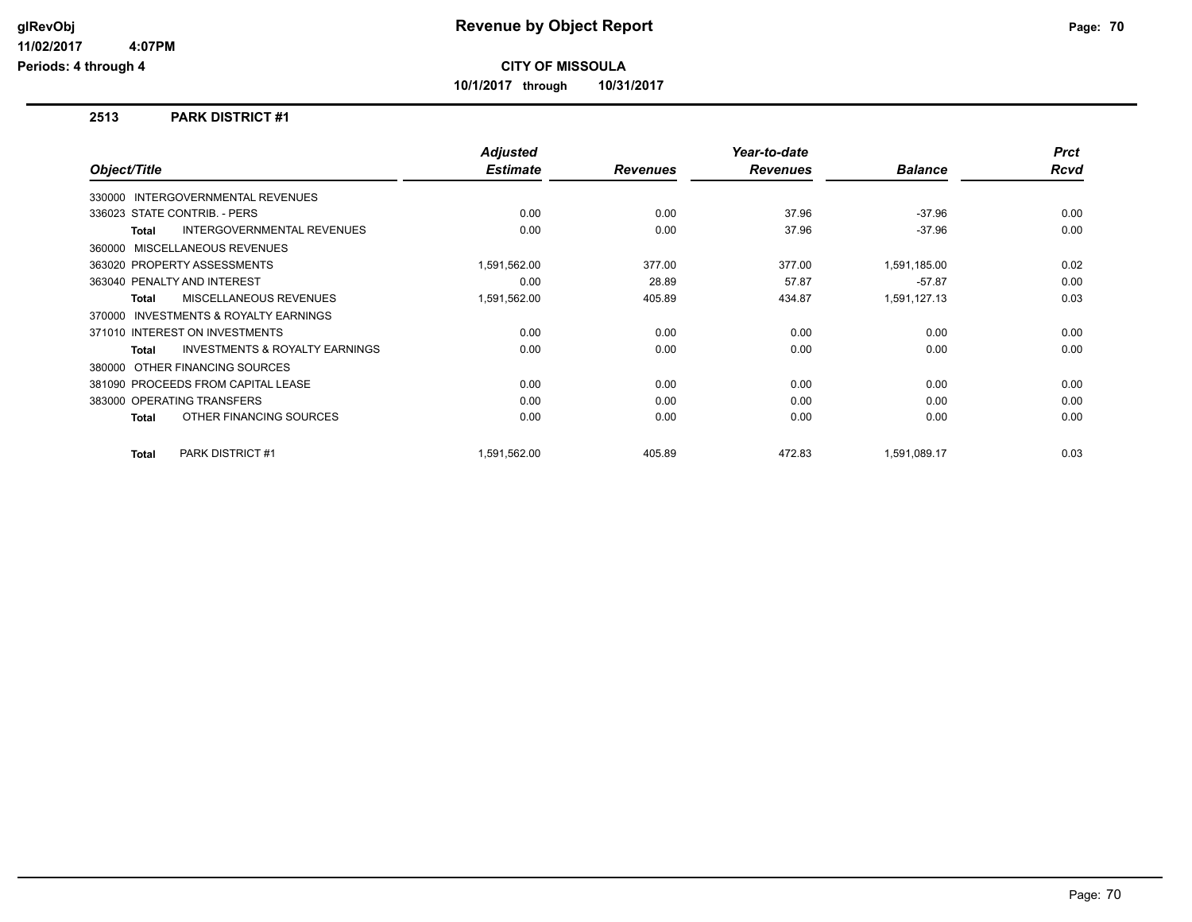**10/1/2017 through 10/31/2017**

## **2513 PARK DISTRICT #1**

|                                                     | <b>Adjusted</b> |                 | Year-to-date    |                | <b>Prct</b> |
|-----------------------------------------------------|-----------------|-----------------|-----------------|----------------|-------------|
| Object/Title                                        | <b>Estimate</b> | <b>Revenues</b> | <b>Revenues</b> | <b>Balance</b> | Rcvd        |
| 330000 INTERGOVERNMENTAL REVENUES                   |                 |                 |                 |                |             |
| 336023 STATE CONTRIB. - PERS                        | 0.00            | 0.00            | 37.96           | $-37.96$       | 0.00        |
| <b>INTERGOVERNMENTAL REVENUES</b><br>Total          | 0.00            | 0.00            | 37.96           | $-37.96$       | 0.00        |
| 360000 MISCELLANEOUS REVENUES                       |                 |                 |                 |                |             |
| 363020 PROPERTY ASSESSMENTS                         | 1,591,562.00    | 377.00          | 377.00          | 1,591,185.00   | 0.02        |
| 363040 PENALTY AND INTEREST                         | 0.00            | 28.89           | 57.87           | $-57.87$       | 0.00        |
| MISCELLANEOUS REVENUES<br>Total                     | 1,591,562.00    | 405.89          | 434.87          | 1,591,127.13   | 0.03        |
| <b>INVESTMENTS &amp; ROYALTY EARNINGS</b><br>370000 |                 |                 |                 |                |             |
| 371010 INTEREST ON INVESTMENTS                      | 0.00            | 0.00            | 0.00            | 0.00           | 0.00        |
| <b>INVESTMENTS &amp; ROYALTY EARNINGS</b><br>Total  | 0.00            | 0.00            | 0.00            | 0.00           | 0.00        |
| 380000 OTHER FINANCING SOURCES                      |                 |                 |                 |                |             |
| 381090 PROCEEDS FROM CAPITAL LEASE                  | 0.00            | 0.00            | 0.00            | 0.00           | 0.00        |
| 383000 OPERATING TRANSFERS                          | 0.00            | 0.00            | 0.00            | 0.00           | 0.00        |
| OTHER FINANCING SOURCES<br>Total                    | 0.00            | 0.00            | 0.00            | 0.00           | 0.00        |
| <b>PARK DISTRICT #1</b><br>Total                    | 1,591,562.00    | 405.89          | 472.83          | 1,591,089.17   | 0.03        |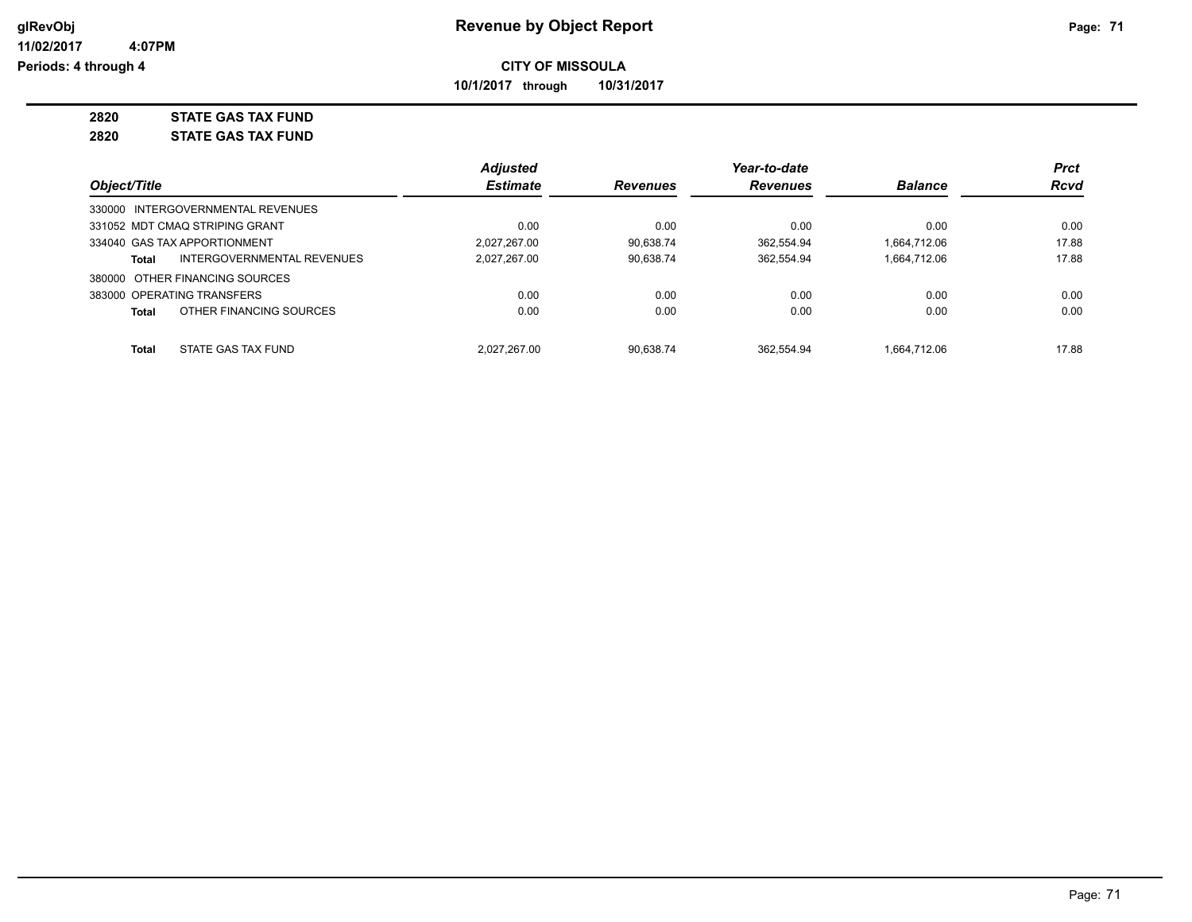**10/1/2017 through 10/31/2017**

## **2820 STATE GAS TAX FUND**

**2820 STATE GAS TAX FUND**

|                                         | <b>Adjusted</b> |                 | Year-to-date    |                | <b>Prct</b> |
|-----------------------------------------|-----------------|-----------------|-----------------|----------------|-------------|
| Object/Title                            | <b>Estimate</b> | <b>Revenues</b> | <b>Revenues</b> | <b>Balance</b> | <b>Rcvd</b> |
| 330000 INTERGOVERNMENTAL REVENUES       |                 |                 |                 |                |             |
| 331052 MDT CMAQ STRIPING GRANT          | 0.00            | 0.00            | 0.00            | 0.00           | 0.00        |
| 334040 GAS TAX APPORTIONMENT            | 2.027.267.00    | 90.638.74       | 362.554.94      | 1.664.712.06   | 17.88       |
| INTERGOVERNMENTAL REVENUES<br>Total     | 2,027,267.00    | 90,638.74       | 362,554.94      | 1,664,712.06   | 17.88       |
| 380000 OTHER FINANCING SOURCES          |                 |                 |                 |                |             |
| 383000 OPERATING TRANSFERS              | 0.00            | 0.00            | 0.00            | 0.00           | 0.00        |
| OTHER FINANCING SOURCES<br><b>Total</b> | 0.00            | 0.00            | 0.00            | 0.00           | 0.00        |
| STATE GAS TAX FUND<br><b>Total</b>      | 2.027.267.00    | 90.638.74       | 362.554.94      | 1.664.712.06   | 17.88       |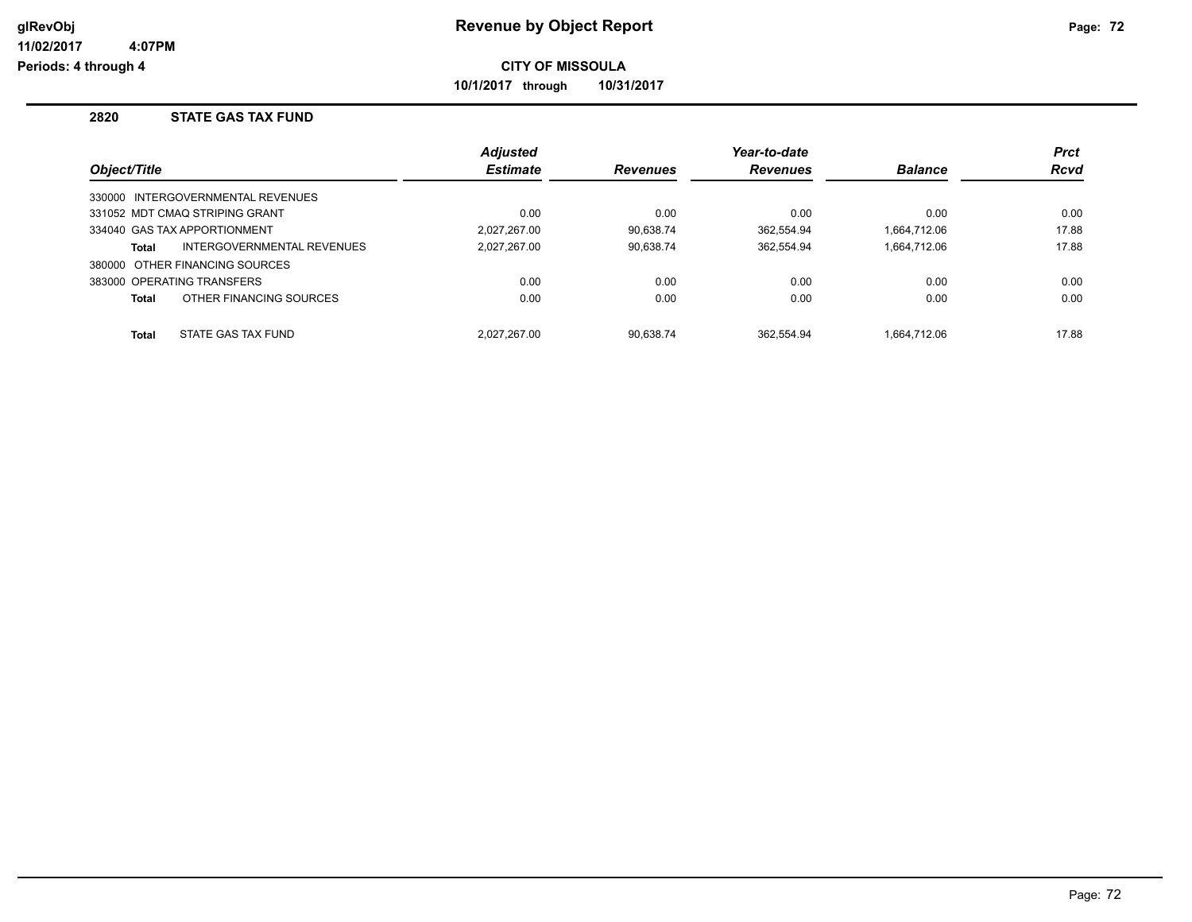**10/1/2017 through 10/31/2017**

#### **2820 STATE GAS TAX FUND**

|              |                                   | <b>Adjusted</b> |                 | Year-to-date    |                | <b>Prct</b> |
|--------------|-----------------------------------|-----------------|-----------------|-----------------|----------------|-------------|
| Object/Title |                                   | <b>Estimate</b> | <b>Revenues</b> | <b>Revenues</b> | <b>Balance</b> | <b>Rcvd</b> |
|              | 330000 INTERGOVERNMENTAL REVENUES |                 |                 |                 |                |             |
|              | 331052 MDT CMAQ STRIPING GRANT    | 0.00            | 0.00            | 0.00            | 0.00           | 0.00        |
|              | 334040 GAS TAX APPORTIONMENT      | 2.027.267.00    | 90.638.74       | 362.554.94      | 1.664.712.06   | 17.88       |
| <b>Total</b> | INTERGOVERNMENTAL REVENUES        | 2.027.267.00    | 90.638.74       | 362.554.94      | 1.664.712.06   | 17.88       |
|              | 380000 OTHER FINANCING SOURCES    |                 |                 |                 |                |             |
|              | 383000 OPERATING TRANSFERS        | 0.00            | 0.00            | 0.00            | 0.00           | 0.00        |
| <b>Total</b> | OTHER FINANCING SOURCES           | 0.00            | 0.00            | 0.00            | 0.00           | 0.00        |
| <b>Total</b> | STATE GAS TAX FUND                | 2.027.267.00    | 90.638.74       | 362.554.94      | 1.664.712.06   | 17.88       |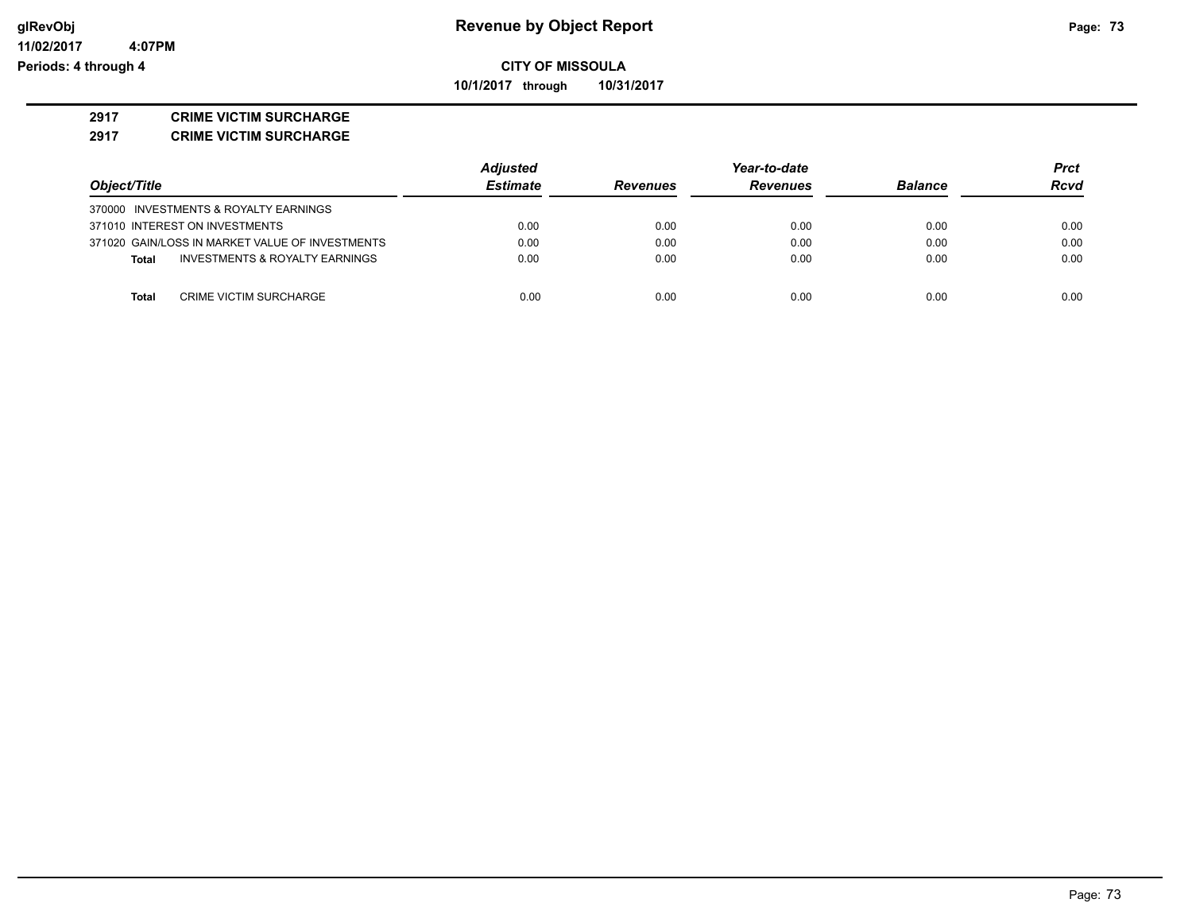**10/1/2017 through 10/31/2017**

# **2917 CRIME VICTIM SURCHARGE**

**2917 CRIME VICTIM SURCHARGE**

|                                                           | <b>Adjusted</b> |                 | Year-to-date    |                | Prct |
|-----------------------------------------------------------|-----------------|-----------------|-----------------|----------------|------|
| Object/Title                                              | <b>Estimate</b> | <b>Revenues</b> | <b>Revenues</b> | <b>Balance</b> | Rcvd |
| 370000 INVESTMENTS & ROYALTY EARNINGS                     |                 |                 |                 |                |      |
| 371010 INTEREST ON INVESTMENTS                            | 0.00            | 0.00            | 0.00            | 0.00           | 0.00 |
| 371020 GAIN/LOSS IN MARKET VALUE OF INVESTMENTS           | 0.00            | 0.00            | 0.00            | 0.00           | 0.00 |
| <b>INVESTMENTS &amp; ROYALTY EARNINGS</b><br><b>Total</b> | 0.00            | 0.00            | 0.00            | 0.00           | 0.00 |
|                                                           |                 |                 |                 |                |      |
| <b>Total</b><br>CRIME VICTIM SURCHARGE                    | 0.00            | 0.00            | 0.00            | 0.00           | 0.00 |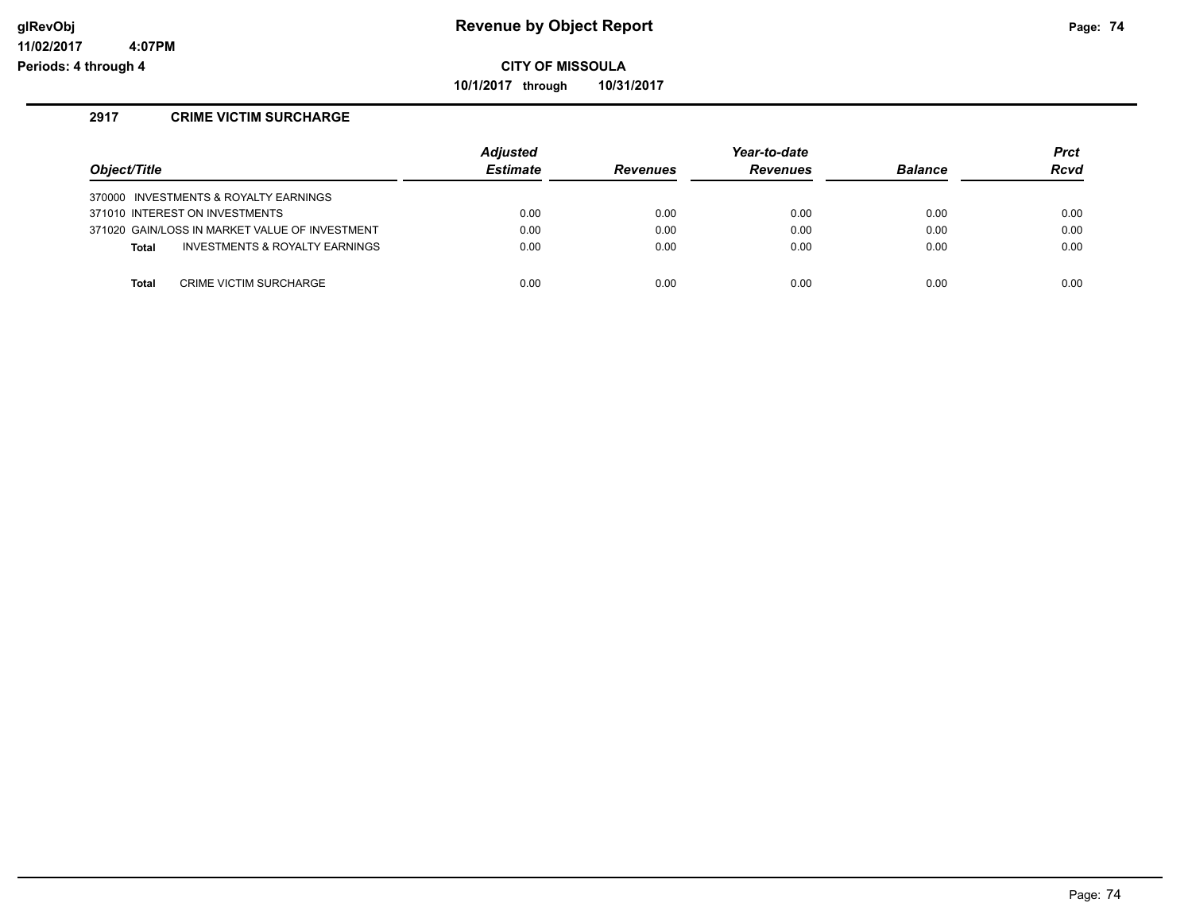**Periods: 4 through 4**

**CITY OF MISSOULA**

**10/1/2017 through 10/31/2017**

### **2917 CRIME VICTIM SURCHARGE**

 **4:07PM**

| Object/Title                          |                                                | <b>Adjusted</b><br><b>Estimate</b> | <b>Revenues</b> | Year-to-date<br><b>Revenues</b> | <b>Balance</b> | <b>Prct</b><br><b>Rcvd</b> |
|---------------------------------------|------------------------------------------------|------------------------------------|-----------------|---------------------------------|----------------|----------------------------|
| 370000 INVESTMENTS & ROYALTY EARNINGS |                                                |                                    |                 |                                 |                |                            |
| 371010 INTEREST ON INVESTMENTS        |                                                | 0.00                               | 0.00            | 0.00                            | 0.00           | 0.00                       |
|                                       | 371020 GAIN/LOSS IN MARKET VALUE OF INVESTMENT | 0.00                               | 0.00            | 0.00                            | 0.00           | 0.00                       |
| <b>Total</b>                          | INVESTMENTS & ROYALTY EARNINGS                 | 0.00                               | 0.00            | 0.00                            | 0.00           | 0.00                       |
|                                       |                                                |                                    |                 |                                 |                |                            |
| Total                                 | CRIME VICTIM SURCHARGE                         | 0.00                               | 0.00            | 0.00                            | 0.00           | 0.00                       |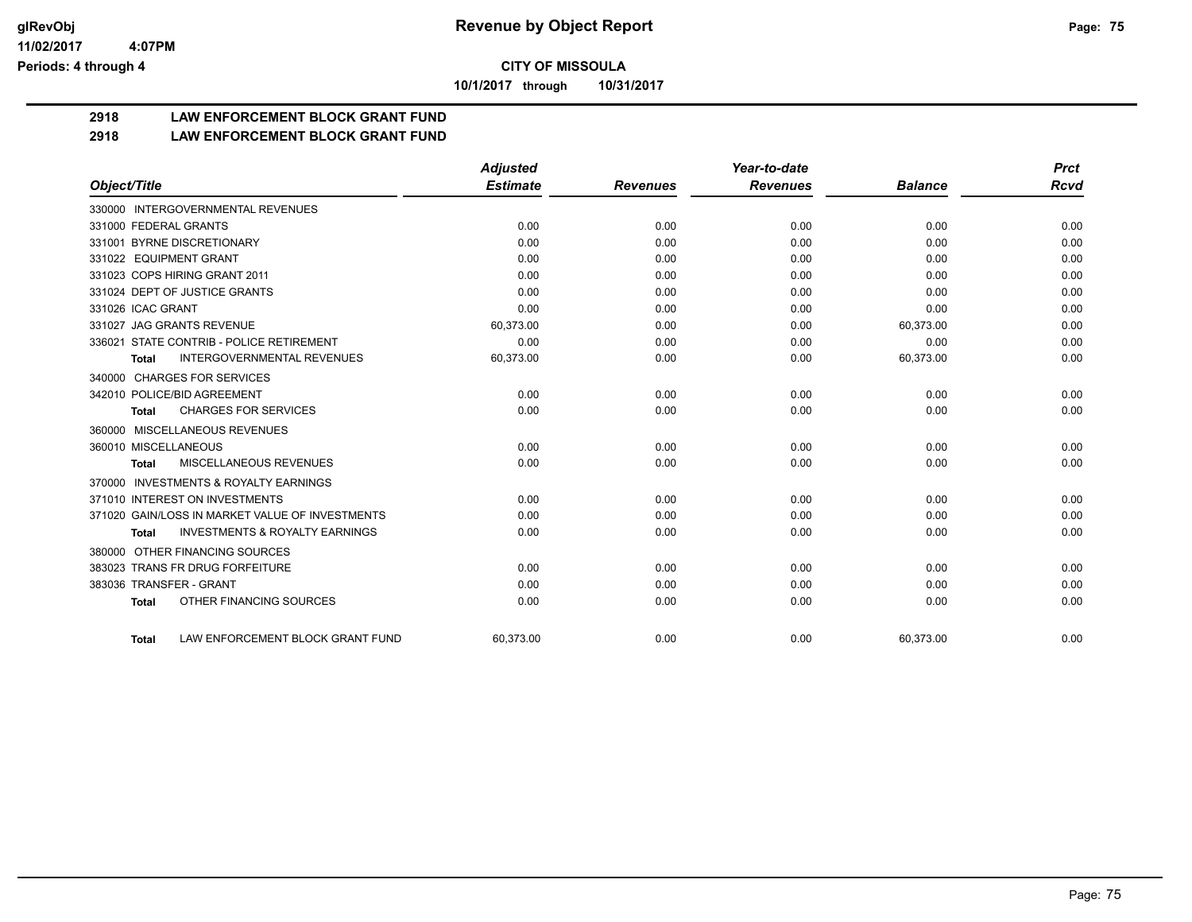**10/1/2017 through 10/31/2017**

# **2918 LAW ENFORCEMENT BLOCK GRANT FUND**

# **2918 LAW ENFORCEMENT BLOCK GRANT FUND**

|                                                           | <b>Adjusted</b> |                 | Year-to-date    |                | <b>Prct</b> |
|-----------------------------------------------------------|-----------------|-----------------|-----------------|----------------|-------------|
| Object/Title                                              | <b>Estimate</b> | <b>Revenues</b> | <b>Revenues</b> | <b>Balance</b> | <b>Rcvd</b> |
| 330000 INTERGOVERNMENTAL REVENUES                         |                 |                 |                 |                |             |
| 331000 FEDERAL GRANTS                                     | 0.00            | 0.00            | 0.00            | 0.00           | 0.00        |
| 331001 BYRNE DISCRETIONARY                                | 0.00            | 0.00            | 0.00            | 0.00           | 0.00        |
| 331022 EQUIPMENT GRANT                                    | 0.00            | 0.00            | 0.00            | 0.00           | 0.00        |
| 331023 COPS HIRING GRANT 2011                             | 0.00            | 0.00            | 0.00            | 0.00           | 0.00        |
| 331024 DEPT OF JUSTICE GRANTS                             | 0.00            | 0.00            | 0.00            | 0.00           | 0.00        |
| 331026 ICAC GRANT                                         | 0.00            | 0.00            | 0.00            | 0.00           | 0.00        |
| 331027 JAG GRANTS REVENUE                                 | 60,373.00       | 0.00            | 0.00            | 60,373.00      | 0.00        |
| 336021 STATE CONTRIB - POLICE RETIREMENT                  | 0.00            | 0.00            | 0.00            | 0.00           | 0.00        |
| <b>INTERGOVERNMENTAL REVENUES</b><br><b>Total</b>         | 60,373.00       | 0.00            | 0.00            | 60,373.00      | 0.00        |
| 340000 CHARGES FOR SERVICES                               |                 |                 |                 |                |             |
| 342010 POLICE/BID AGREEMENT                               | 0.00            | 0.00            | 0.00            | 0.00           | 0.00        |
| <b>CHARGES FOR SERVICES</b><br><b>Total</b>               | 0.00            | 0.00            | 0.00            | 0.00           | 0.00        |
| 360000 MISCELLANEOUS REVENUES                             |                 |                 |                 |                |             |
| 360010 MISCELLANEOUS                                      | 0.00            | 0.00            | 0.00            | 0.00           | 0.00        |
| <b>MISCELLANEOUS REVENUES</b><br>Total                    | 0.00            | 0.00            | 0.00            | 0.00           | 0.00        |
| <b>INVESTMENTS &amp; ROYALTY EARNINGS</b><br>370000       |                 |                 |                 |                |             |
| 371010 INTEREST ON INVESTMENTS                            | 0.00            | 0.00            | 0.00            | 0.00           | 0.00        |
| 371020 GAIN/LOSS IN MARKET VALUE OF INVESTMENTS           | 0.00            | 0.00            | 0.00            | 0.00           | 0.00        |
| <b>INVESTMENTS &amp; ROYALTY EARNINGS</b><br><b>Total</b> | 0.00            | 0.00            | 0.00            | 0.00           | 0.00        |
| OTHER FINANCING SOURCES<br>380000                         |                 |                 |                 |                |             |
| 383023 TRANS FR DRUG FORFEITURE                           | 0.00            | 0.00            | 0.00            | 0.00           | 0.00        |
| 383036 TRANSFER - GRANT                                   | 0.00            | 0.00            | 0.00            | 0.00           | 0.00        |
| OTHER FINANCING SOURCES<br><b>Total</b>                   | 0.00            | 0.00            | 0.00            | 0.00           | 0.00        |
|                                                           |                 |                 |                 |                |             |
| LAW ENFORCEMENT BLOCK GRANT FUND<br><b>Total</b>          | 60,373.00       | 0.00            | 0.00            | 60,373.00      | 0.00        |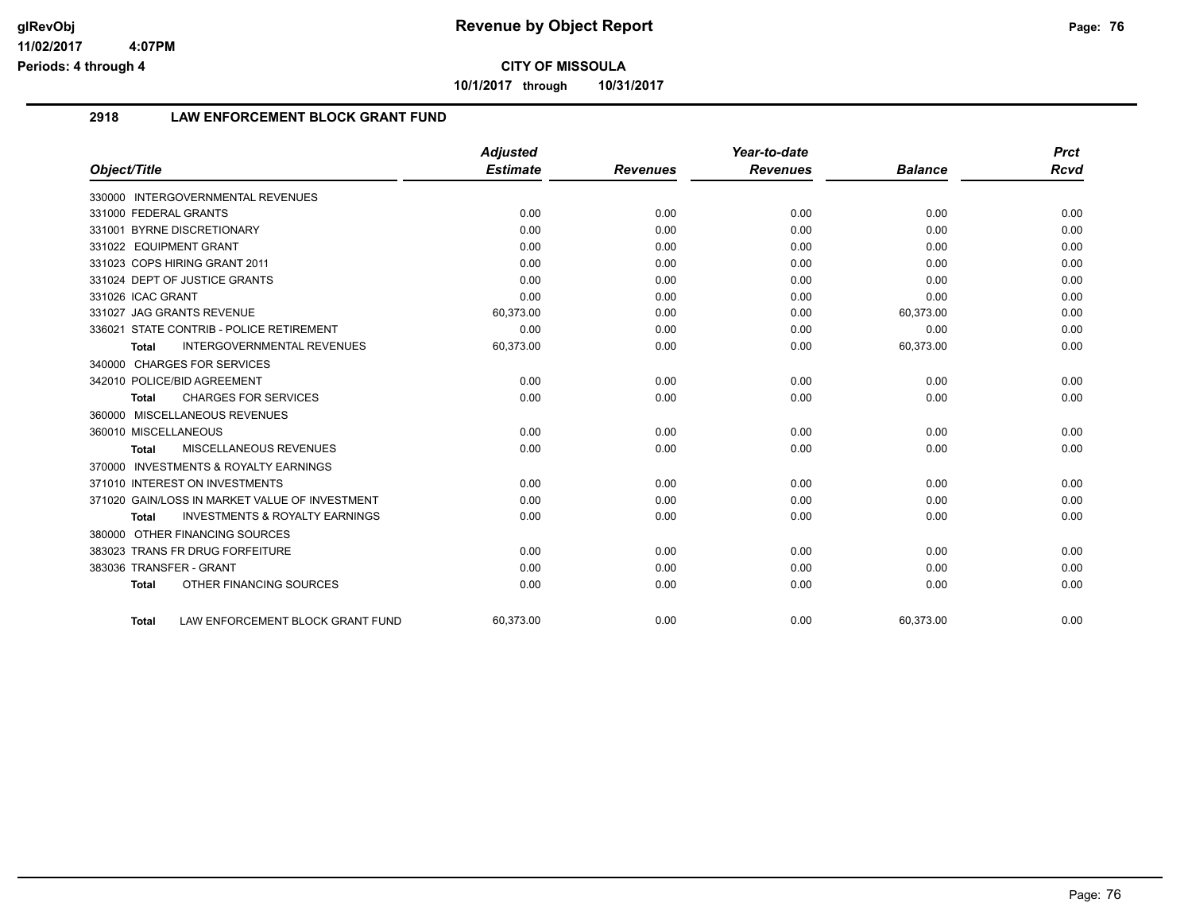**10/1/2017 through 10/31/2017**

# **2918 LAW ENFORCEMENT BLOCK GRANT FUND**

|                                                           | <b>Adjusted</b> |                 | Year-to-date    |                | <b>Prct</b> |
|-----------------------------------------------------------|-----------------|-----------------|-----------------|----------------|-------------|
| Object/Title                                              | <b>Estimate</b> | <b>Revenues</b> | <b>Revenues</b> | <b>Balance</b> | <b>Rcvd</b> |
| 330000 INTERGOVERNMENTAL REVENUES                         |                 |                 |                 |                |             |
| 331000 FEDERAL GRANTS                                     | 0.00            | 0.00            | 0.00            | 0.00           | 0.00        |
| 331001 BYRNE DISCRETIONARY                                | 0.00            | 0.00            | 0.00            | 0.00           | 0.00        |
| 331022 EQUIPMENT GRANT                                    | 0.00            | 0.00            | 0.00            | 0.00           | 0.00        |
| 331023 COPS HIRING GRANT 2011                             | 0.00            | 0.00            | 0.00            | 0.00           | 0.00        |
| 331024 DEPT OF JUSTICE GRANTS                             | 0.00            | 0.00            | 0.00            | 0.00           | 0.00        |
| 331026 ICAC GRANT                                         | 0.00            | 0.00            | 0.00            | 0.00           | 0.00        |
| 331027 JAG GRANTS REVENUE                                 | 60,373.00       | 0.00            | 0.00            | 60,373.00      | 0.00        |
| 336021 STATE CONTRIB - POLICE RETIREMENT                  | 0.00            | 0.00            | 0.00            | 0.00           | 0.00        |
| <b>INTERGOVERNMENTAL REVENUES</b><br><b>Total</b>         | 60,373.00       | 0.00            | 0.00            | 60,373.00      | 0.00        |
| 340000 CHARGES FOR SERVICES                               |                 |                 |                 |                |             |
| 342010 POLICE/BID AGREEMENT                               | 0.00            | 0.00            | 0.00            | 0.00           | 0.00        |
| <b>CHARGES FOR SERVICES</b><br>Total                      | 0.00            | 0.00            | 0.00            | 0.00           | 0.00        |
| 360000 MISCELLANEOUS REVENUES                             |                 |                 |                 |                |             |
| 360010 MISCELLANEOUS                                      | 0.00            | 0.00            | 0.00            | 0.00           | 0.00        |
| MISCELLANEOUS REVENUES<br><b>Total</b>                    | 0.00            | 0.00            | 0.00            | 0.00           | 0.00        |
| 370000 INVESTMENTS & ROYALTY EARNINGS                     |                 |                 |                 |                |             |
| 371010 INTEREST ON INVESTMENTS                            | 0.00            | 0.00            | 0.00            | 0.00           | 0.00        |
| 371020 GAIN/LOSS IN MARKET VALUE OF INVESTMENT            | 0.00            | 0.00            | 0.00            | 0.00           | 0.00        |
| <b>INVESTMENTS &amp; ROYALTY EARNINGS</b><br><b>Total</b> | 0.00            | 0.00            | 0.00            | 0.00           | 0.00        |
| 380000 OTHER FINANCING SOURCES                            |                 |                 |                 |                |             |
| 383023 TRANS FR DRUG FORFEITURE                           | 0.00            | 0.00            | 0.00            | 0.00           | 0.00        |
| 383036 TRANSFER - GRANT                                   | 0.00            | 0.00            | 0.00            | 0.00           | 0.00        |
| OTHER FINANCING SOURCES<br><b>Total</b>                   | 0.00            | 0.00            | 0.00            | 0.00           | 0.00        |
| LAW ENFORCEMENT BLOCK GRANT FUND<br><b>Total</b>          | 60,373.00       | 0.00            | 0.00            | 60,373.00      | 0.00        |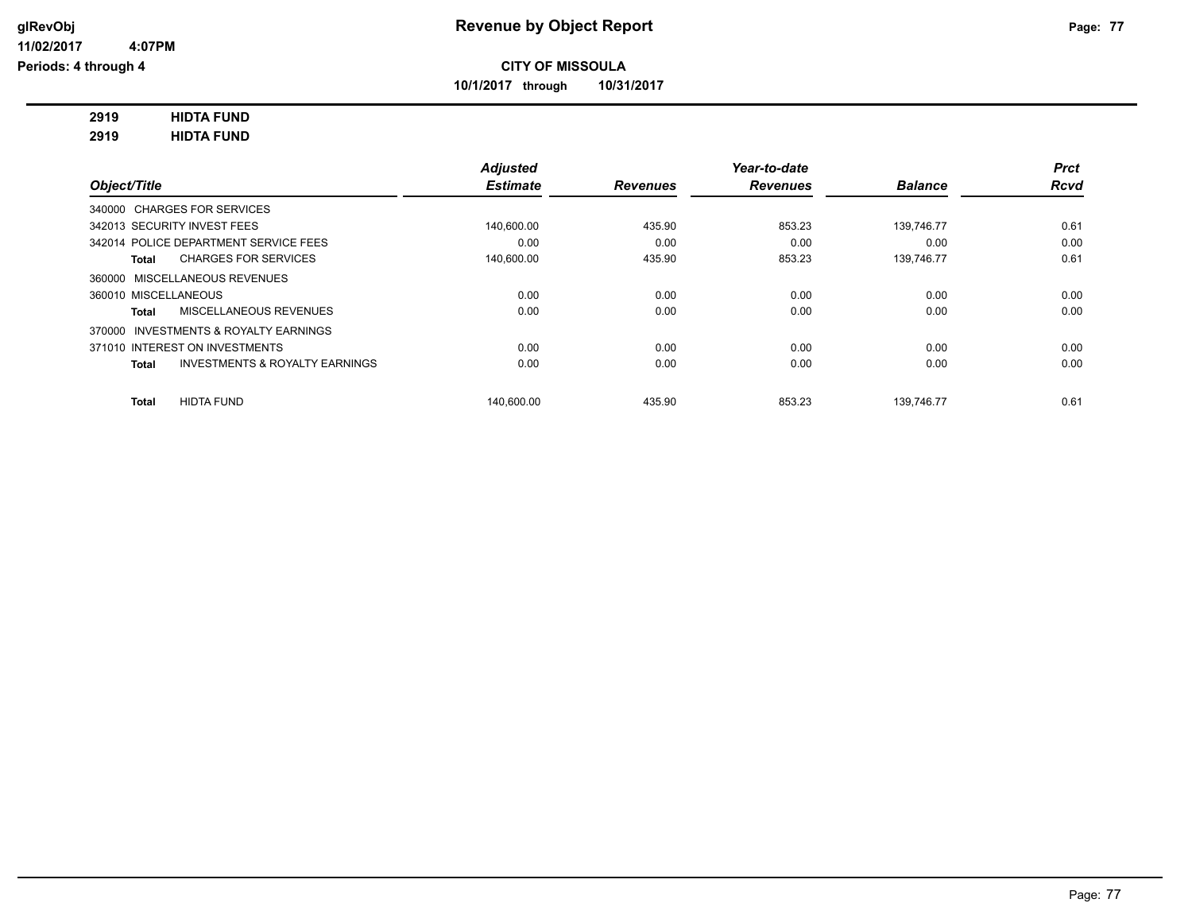**10/1/2017 through 10/31/2017**

# **2919 HIDTA FUND**

**2919 HIDTA FUND**

|                                                    | <b>Adjusted</b> |                 | Year-to-date    |                | <b>Prct</b> |
|----------------------------------------------------|-----------------|-----------------|-----------------|----------------|-------------|
| Object/Title                                       | <b>Estimate</b> | <b>Revenues</b> | <b>Revenues</b> | <b>Balance</b> | <b>Rcvd</b> |
| 340000 CHARGES FOR SERVICES                        |                 |                 |                 |                |             |
| 342013 SECURITY INVEST FEES                        | 140,600.00      | 435.90          | 853.23          | 139,746.77     | 0.61        |
| 342014 POLICE DEPARTMENT SERVICE FEES              | 0.00            | 0.00            | 0.00            | 0.00           | 0.00        |
| <b>CHARGES FOR SERVICES</b><br>Total               | 140,600.00      | 435.90          | 853.23          | 139,746.77     | 0.61        |
| 360000 MISCELLANEOUS REVENUES                      |                 |                 |                 |                |             |
| 360010 MISCELLANEOUS                               | 0.00            | 0.00            | 0.00            | 0.00           | 0.00        |
| MISCELLANEOUS REVENUES<br>Total                    | 0.00            | 0.00            | 0.00            | 0.00           | 0.00        |
| INVESTMENTS & ROYALTY EARNINGS<br>370000           |                 |                 |                 |                |             |
| 371010 INTEREST ON INVESTMENTS                     | 0.00            | 0.00            | 0.00            | 0.00           | 0.00        |
| <b>INVESTMENTS &amp; ROYALTY EARNINGS</b><br>Total | 0.00            | 0.00            | 0.00            | 0.00           | 0.00        |
| <b>HIDTA FUND</b><br>Total                         | 140.600.00      | 435.90          | 853.23          | 139.746.77     | 0.61        |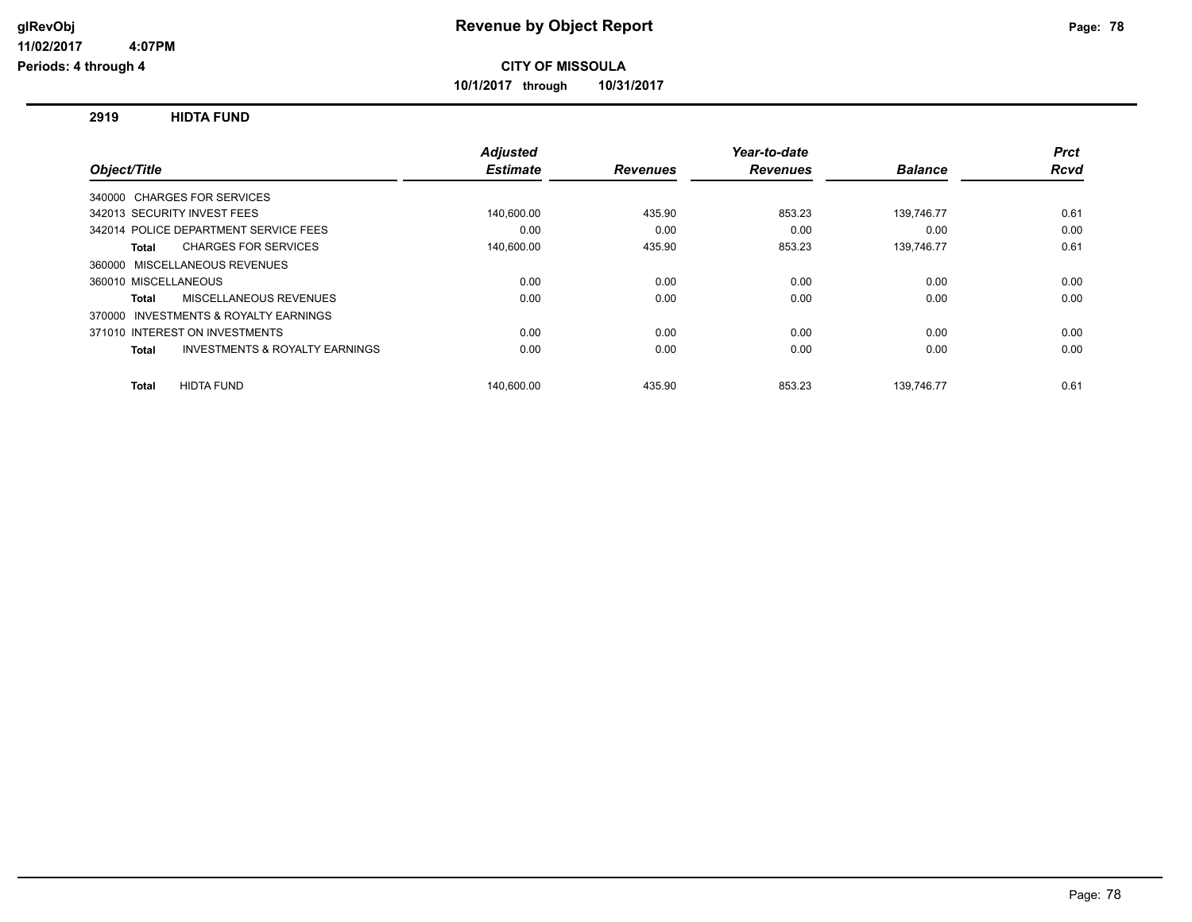**Periods: 4 through 4**

**CITY OF MISSOULA**

**10/1/2017 through 10/31/2017**

**2919 HIDTA FUND**

|                                                           | <b>Adjusted</b> |                 | Year-to-date    |                | <b>Prct</b> |
|-----------------------------------------------------------|-----------------|-----------------|-----------------|----------------|-------------|
| Object/Title                                              | <b>Estimate</b> | <b>Revenues</b> | <b>Revenues</b> | <b>Balance</b> | Rcvd        |
| 340000 CHARGES FOR SERVICES                               |                 |                 |                 |                |             |
| 342013 SECURITY INVEST FEES                               | 140,600.00      | 435.90          | 853.23          | 139.746.77     | 0.61        |
| 342014 POLICE DEPARTMENT SERVICE FEES                     | 0.00            | 0.00            | 0.00            | 0.00           | 0.00        |
| <b>CHARGES FOR SERVICES</b><br>Total                      | 140,600.00      | 435.90          | 853.23          | 139,746.77     | 0.61        |
| 360000 MISCELLANEOUS REVENUES                             |                 |                 |                 |                |             |
| 360010 MISCELLANEOUS                                      | 0.00            | 0.00            | 0.00            | 0.00           | 0.00        |
| MISCELLANEOUS REVENUES<br>Total                           | 0.00            | 0.00            | 0.00            | 0.00           | 0.00        |
| INVESTMENTS & ROYALTY EARNINGS<br>370000                  |                 |                 |                 |                |             |
| 371010 INTEREST ON INVESTMENTS                            | 0.00            | 0.00            | 0.00            | 0.00           | 0.00        |
| <b>INVESTMENTS &amp; ROYALTY EARNINGS</b><br><b>Total</b> | 0.00            | 0.00            | 0.00            | 0.00           | 0.00        |
| <b>HIDTA FUND</b><br>Total                                | 140.600.00      | 435.90          | 853.23          | 139.746.77     | 0.61        |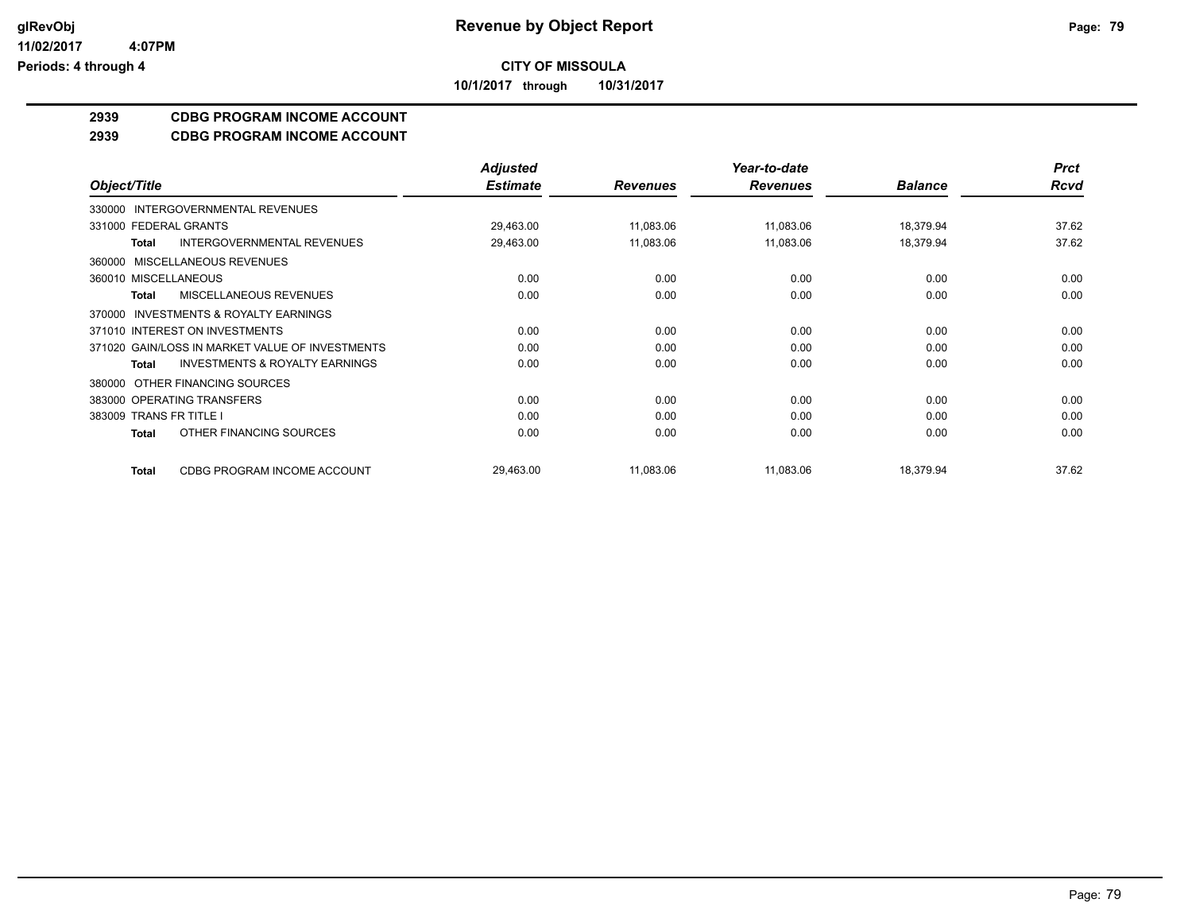**10/1/2017 through 10/31/2017**

# **2939 CDBG PROGRAM INCOME ACCOUNT**

# **2939 CDBG PROGRAM INCOME ACCOUNT**

|                                                    | <b>Adjusted</b> |                 | Year-to-date    |                | <b>Prct</b> |
|----------------------------------------------------|-----------------|-----------------|-----------------|----------------|-------------|
| Object/Title                                       | <b>Estimate</b> | <b>Revenues</b> | <b>Revenues</b> | <b>Balance</b> | <b>Rcvd</b> |
| 330000 INTERGOVERNMENTAL REVENUES                  |                 |                 |                 |                |             |
| 331000 FEDERAL GRANTS                              | 29,463.00       | 11,083.06       | 11,083.06       | 18,379.94      | 37.62       |
| <b>INTERGOVERNMENTAL REVENUES</b><br>Total         | 29,463.00       | 11,083.06       | 11,083.06       | 18,379.94      | 37.62       |
| 360000 MISCELLANEOUS REVENUES                      |                 |                 |                 |                |             |
| 360010 MISCELLANEOUS                               | 0.00            | 0.00            | 0.00            | 0.00           | 0.00        |
| MISCELLANEOUS REVENUES<br>Total                    | 0.00            | 0.00            | 0.00            | 0.00           | 0.00        |
| 370000 INVESTMENTS & ROYALTY EARNINGS              |                 |                 |                 |                |             |
| 371010 INTEREST ON INVESTMENTS                     | 0.00            | 0.00            | 0.00            | 0.00           | 0.00        |
| 371020 GAIN/LOSS IN MARKET VALUE OF INVESTMENTS    | 0.00            | 0.00            | 0.00            | 0.00           | 0.00        |
| <b>INVESTMENTS &amp; ROYALTY EARNINGS</b><br>Total | 0.00            | 0.00            | 0.00            | 0.00           | 0.00        |
| 380000 OTHER FINANCING SOURCES                     |                 |                 |                 |                |             |
| 383000 OPERATING TRANSFERS                         | 0.00            | 0.00            | 0.00            | 0.00           | 0.00        |
| 383009 TRANS FR TITLE I                            | 0.00            | 0.00            | 0.00            | 0.00           | 0.00        |
| OTHER FINANCING SOURCES<br><b>Total</b>            | 0.00            | 0.00            | 0.00            | 0.00           | 0.00        |
| CDBG PROGRAM INCOME ACCOUNT<br><b>Total</b>        | 29,463.00       | 11,083.06       | 11,083.06       | 18,379.94      | 37.62       |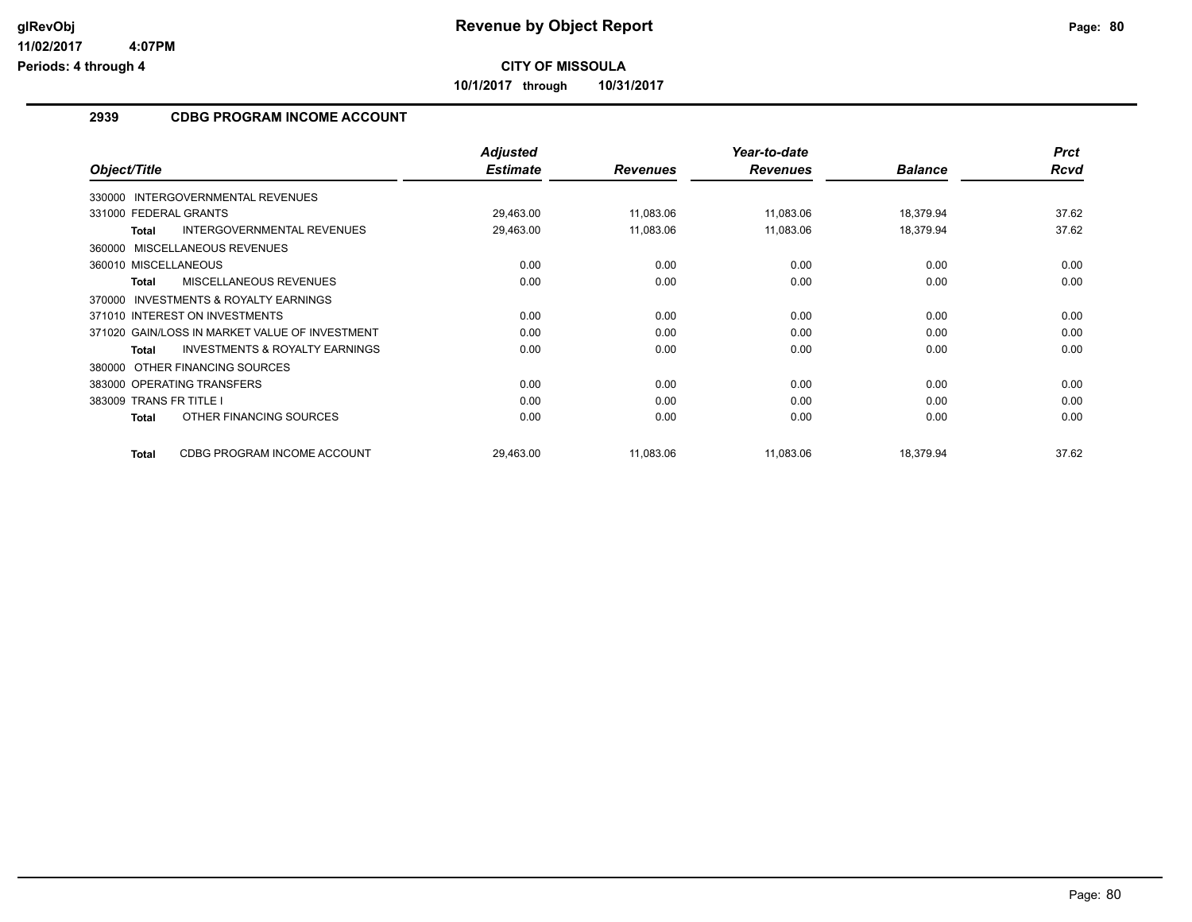**10/1/2017 through 10/31/2017**

# **2939 CDBG PROGRAM INCOME ACCOUNT**

|                                                           | <b>Adjusted</b> |                 | Year-to-date    |                | <b>Prct</b> |
|-----------------------------------------------------------|-----------------|-----------------|-----------------|----------------|-------------|
| Object/Title                                              | <b>Estimate</b> | <b>Revenues</b> | <b>Revenues</b> | <b>Balance</b> | <b>Rcvd</b> |
| 330000 INTERGOVERNMENTAL REVENUES                         |                 |                 |                 |                |             |
| 331000 FEDERAL GRANTS                                     | 29,463.00       | 11,083.06       | 11,083.06       | 18,379.94      | 37.62       |
| INTERGOVERNMENTAL REVENUES<br><b>Total</b>                | 29,463.00       | 11,083.06       | 11,083.06       | 18,379.94      | 37.62       |
| MISCELLANEOUS REVENUES<br>360000                          |                 |                 |                 |                |             |
| 360010 MISCELLANEOUS                                      | 0.00            | 0.00            | 0.00            | 0.00           | 0.00        |
| MISCELLANEOUS REVENUES<br><b>Total</b>                    | 0.00            | 0.00            | 0.00            | 0.00           | 0.00        |
| <b>INVESTMENTS &amp; ROYALTY EARNINGS</b><br>370000       |                 |                 |                 |                |             |
| 371010 INTEREST ON INVESTMENTS                            | 0.00            | 0.00            | 0.00            | 0.00           | 0.00        |
| 371020 GAIN/LOSS IN MARKET VALUE OF INVESTMENT            | 0.00            | 0.00            | 0.00            | 0.00           | 0.00        |
| <b>INVESTMENTS &amp; ROYALTY EARNINGS</b><br><b>Total</b> | 0.00            | 0.00            | 0.00            | 0.00           | 0.00        |
| OTHER FINANCING SOURCES<br>380000                         |                 |                 |                 |                |             |
| 383000 OPERATING TRANSFERS                                | 0.00            | 0.00            | 0.00            | 0.00           | 0.00        |
| 383009 TRANS FR TITLE I                                   | 0.00            | 0.00            | 0.00            | 0.00           | 0.00        |
| OTHER FINANCING SOURCES<br><b>Total</b>                   | 0.00            | 0.00            | 0.00            | 0.00           | 0.00        |
| CDBG PROGRAM INCOME ACCOUNT<br><b>Total</b>               | 29.463.00       | 11,083.06       | 11,083.06       | 18,379.94      | 37.62       |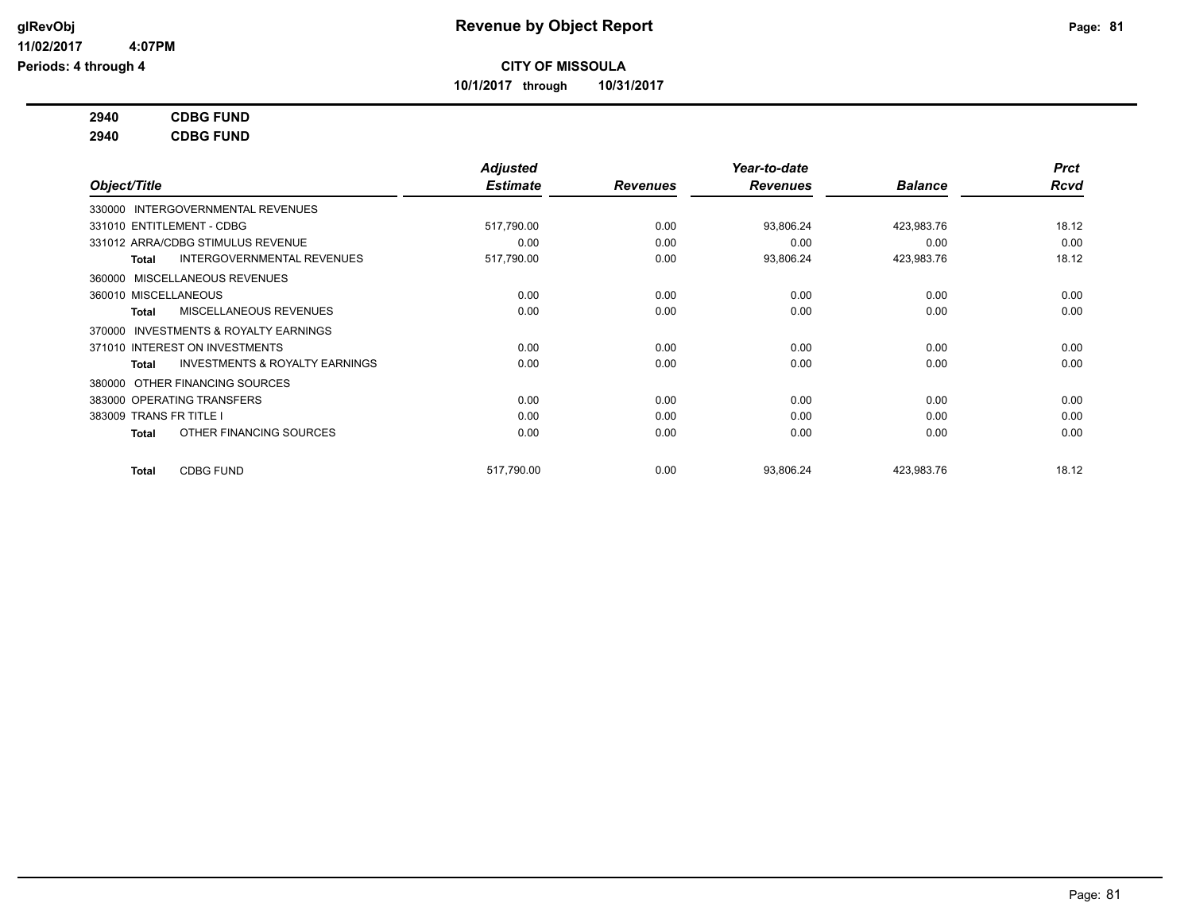**10/1/2017 through 10/31/2017**

# **2940 CDBG FUND**

**2940 CDBG FUND**

|                           |                                           | <b>Adjusted</b> |                 | Year-to-date    |                | <b>Prct</b> |
|---------------------------|-------------------------------------------|-----------------|-----------------|-----------------|----------------|-------------|
| Object/Title              |                                           | <b>Estimate</b> | <b>Revenues</b> | <b>Revenues</b> | <b>Balance</b> | <b>Rcvd</b> |
|                           | 330000 INTERGOVERNMENTAL REVENUES         |                 |                 |                 |                |             |
| 331010 ENTITLEMENT - CDBG |                                           | 517,790.00      | 0.00            | 93,806.24       | 423,983.76     | 18.12       |
|                           | 331012 ARRA/CDBG STIMULUS REVENUE         | 0.00            | 0.00            | 0.00            | 0.00           | 0.00        |
| Total                     | <b>INTERGOVERNMENTAL REVENUES</b>         | 517,790.00      | 0.00            | 93,806.24       | 423,983.76     | 18.12       |
|                           | 360000 MISCELLANEOUS REVENUES             |                 |                 |                 |                |             |
| 360010 MISCELLANEOUS      |                                           | 0.00            | 0.00            | 0.00            | 0.00           | 0.00        |
| Total                     | <b>MISCELLANEOUS REVENUES</b>             | 0.00            | 0.00            | 0.00            | 0.00           | 0.00        |
| 370000                    | <b>INVESTMENTS &amp; ROYALTY EARNINGS</b> |                 |                 |                 |                |             |
|                           | 371010 INTEREST ON INVESTMENTS            | 0.00            | 0.00            | 0.00            | 0.00           | 0.00        |
| Total                     | <b>INVESTMENTS &amp; ROYALTY EARNINGS</b> | 0.00            | 0.00            | 0.00            | 0.00           | 0.00        |
| 380000                    | OTHER FINANCING SOURCES                   |                 |                 |                 |                |             |
|                           | 383000 OPERATING TRANSFERS                | 0.00            | 0.00            | 0.00            | 0.00           | 0.00        |
| 383009 TRANS FR TITLE I   |                                           | 0.00            | 0.00            | 0.00            | 0.00           | 0.00        |
| Total                     | OTHER FINANCING SOURCES                   | 0.00            | 0.00            | 0.00            | 0.00           | 0.00        |
| <b>Total</b>              | <b>CDBG FUND</b>                          | 517,790.00      | 0.00            | 93,806.24       | 423,983.76     | 18.12       |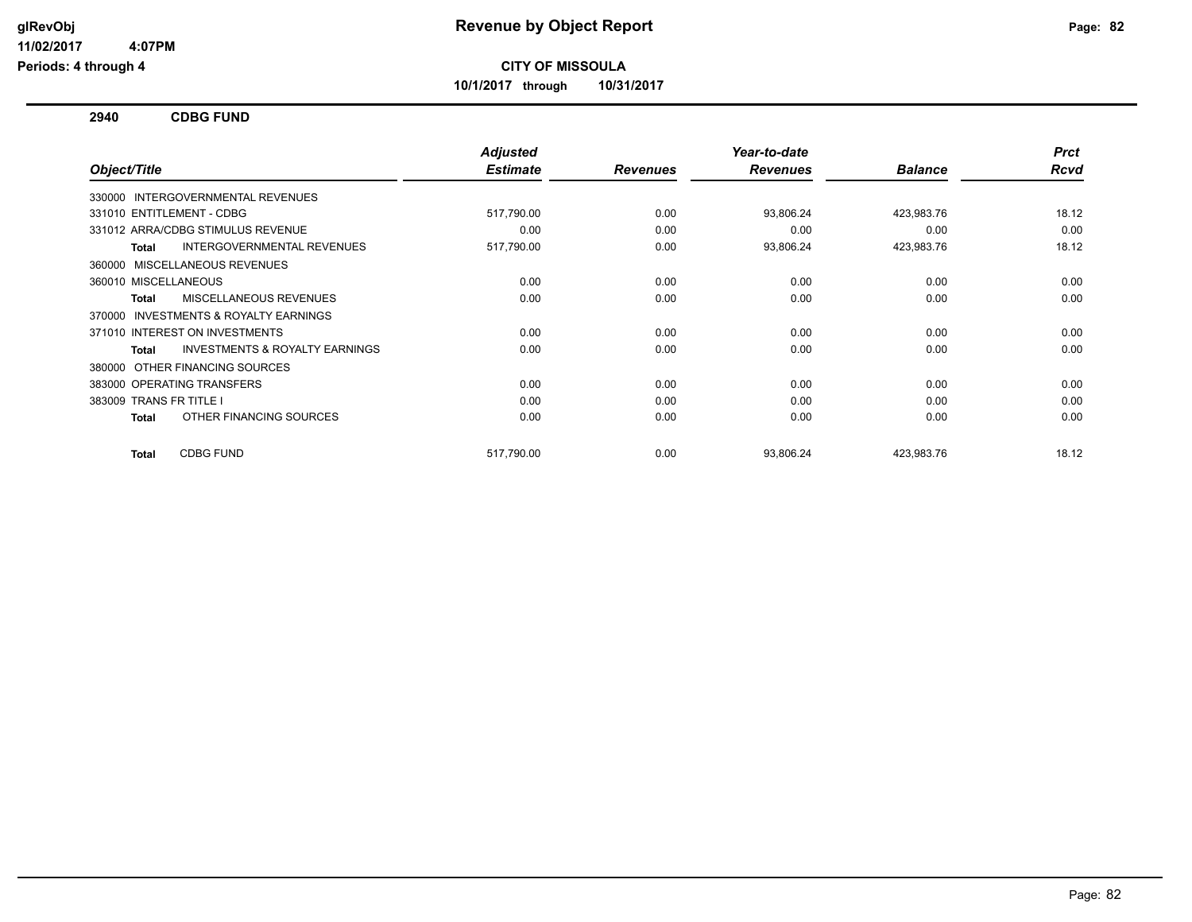**11/02/2017 4:07PM Periods: 4 through 4**

**CITY OF MISSOULA**

**10/1/2017 through 10/31/2017**

**2940 CDBG FUND**

|                                                           | <b>Adjusted</b> |                 | Year-to-date    |                | <b>Prct</b> |
|-----------------------------------------------------------|-----------------|-----------------|-----------------|----------------|-------------|
| Object/Title                                              | <b>Estimate</b> | <b>Revenues</b> | <b>Revenues</b> | <b>Balance</b> | <b>Rcvd</b> |
| 330000 INTERGOVERNMENTAL REVENUES                         |                 |                 |                 |                |             |
| 331010 ENTITLEMENT - CDBG                                 | 517,790.00      | 0.00            | 93,806.24       | 423,983.76     | 18.12       |
| 331012 ARRA/CDBG STIMULUS REVENUE                         | 0.00            | 0.00            | 0.00            | 0.00           | 0.00        |
| <b>INTERGOVERNMENTAL REVENUES</b><br>Total                | 517,790.00      | 0.00            | 93,806.24       | 423,983.76     | 18.12       |
| 360000 MISCELLANEOUS REVENUES                             |                 |                 |                 |                |             |
| 360010 MISCELLANEOUS                                      | 0.00            | 0.00            | 0.00            | 0.00           | 0.00        |
| <b>MISCELLANEOUS REVENUES</b><br><b>Total</b>             | 0.00            | 0.00            | 0.00            | 0.00           | 0.00        |
| <b>INVESTMENTS &amp; ROYALTY EARNINGS</b><br>370000       |                 |                 |                 |                |             |
| 371010 INTEREST ON INVESTMENTS                            | 0.00            | 0.00            | 0.00            | 0.00           | 0.00        |
| <b>INVESTMENTS &amp; ROYALTY EARNINGS</b><br><b>Total</b> | 0.00            | 0.00            | 0.00            | 0.00           | 0.00        |
| 380000 OTHER FINANCING SOURCES                            |                 |                 |                 |                |             |
| 383000 OPERATING TRANSFERS                                | 0.00            | 0.00            | 0.00            | 0.00           | 0.00        |
| 383009 TRANS FR TITLE I                                   | 0.00            | 0.00            | 0.00            | 0.00           | 0.00        |
| OTHER FINANCING SOURCES<br><b>Total</b>                   | 0.00            | 0.00            | 0.00            | 0.00           | 0.00        |
| <b>CDBG FUND</b><br>Total                                 | 517,790.00      | 0.00            | 93,806.24       | 423,983.76     | 18.12       |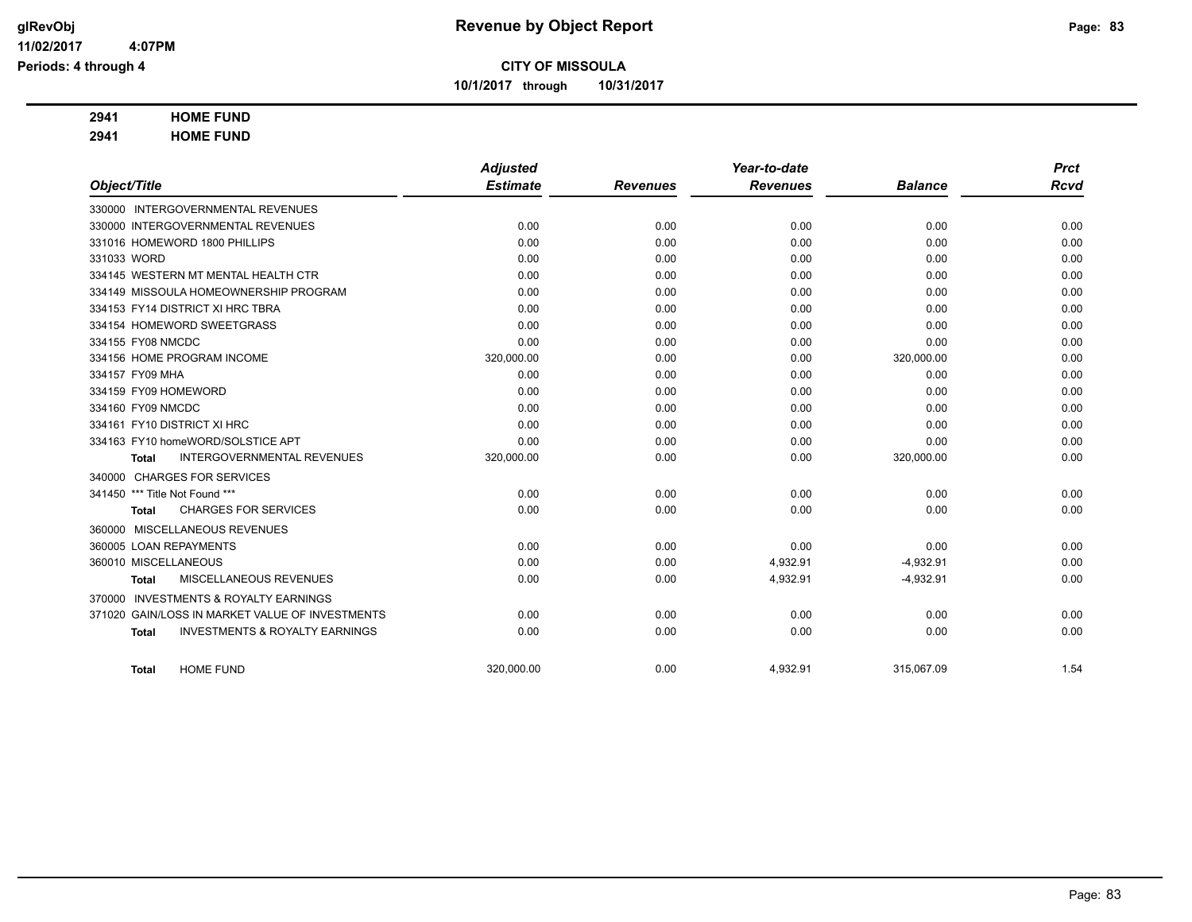**10/1/2017 through 10/31/2017**

# **2941 HOME FUND**

**2941 HOME FUND**

|                                                           | <b>Adjusted</b> |                 | Year-to-date    |                | <b>Prct</b> |
|-----------------------------------------------------------|-----------------|-----------------|-----------------|----------------|-------------|
| Object/Title                                              | <b>Estimate</b> | <b>Revenues</b> | <b>Revenues</b> | <b>Balance</b> | <b>Rcvd</b> |
| 330000 INTERGOVERNMENTAL REVENUES                         |                 |                 |                 |                |             |
| 330000 INTERGOVERNMENTAL REVENUES                         | 0.00            | 0.00            | 0.00            | 0.00           | 0.00        |
| 331016 HOMEWORD 1800 PHILLIPS                             | 0.00            | 0.00            | 0.00            | 0.00           | 0.00        |
| 331033 WORD                                               | 0.00            | 0.00            | 0.00            | 0.00           | 0.00        |
| 334145 WESTERN MT MENTAL HEALTH CTR                       | 0.00            | 0.00            | 0.00            | 0.00           | 0.00        |
| 334149 MISSOULA HOMEOWNERSHIP PROGRAM                     | 0.00            | 0.00            | 0.00            | 0.00           | 0.00        |
| 334153 FY14 DISTRICT XI HRC TBRA                          | 0.00            | 0.00            | 0.00            | 0.00           | 0.00        |
| 334154 HOMEWORD SWEETGRASS                                | 0.00            | 0.00            | 0.00            | 0.00           | 0.00        |
| 334155 FY08 NMCDC                                         | 0.00            | 0.00            | 0.00            | 0.00           | 0.00        |
| 334156 HOME PROGRAM INCOME                                | 320,000.00      | 0.00            | 0.00            | 320,000.00     | 0.00        |
| 334157 FY09 MHA                                           | 0.00            | 0.00            | 0.00            | 0.00           | 0.00        |
| 334159 FY09 HOMEWORD                                      | 0.00            | 0.00            | 0.00            | 0.00           | 0.00        |
| 334160 FY09 NMCDC                                         | 0.00            | 0.00            | 0.00            | 0.00           | 0.00        |
| 334161 FY10 DISTRICT XI HRC                               | 0.00            | 0.00            | 0.00            | 0.00           | 0.00        |
| 334163 FY10 homeWORD/SOLSTICE APT                         | 0.00            | 0.00            | 0.00            | 0.00           | 0.00        |
| <b>INTERGOVERNMENTAL REVENUES</b><br><b>Total</b>         | 320,000.00      | 0.00            | 0.00            | 320,000.00     | 0.00        |
| 340000 CHARGES FOR SERVICES                               |                 |                 |                 |                |             |
| 341450 *** Title Not Found ***                            | 0.00            | 0.00            | 0.00            | 0.00           | 0.00        |
| <b>CHARGES FOR SERVICES</b><br>Total                      | 0.00            | 0.00            | 0.00            | 0.00           | 0.00        |
| 360000 MISCELLANEOUS REVENUES                             |                 |                 |                 |                |             |
| 360005 LOAN REPAYMENTS                                    | 0.00            | 0.00            | 0.00            | 0.00           | 0.00        |
| 360010 MISCELLANEOUS                                      | 0.00            | 0.00            | 4,932.91        | $-4,932.91$    | 0.00        |
| MISCELLANEOUS REVENUES<br><b>Total</b>                    | 0.00            | 0.00            | 4,932.91        | $-4,932.91$    | 0.00        |
| 370000 INVESTMENTS & ROYALTY EARNINGS                     |                 |                 |                 |                |             |
| 371020 GAIN/LOSS IN MARKET VALUE OF INVESTMENTS           | 0.00            | 0.00            | 0.00            | 0.00           | 0.00        |
| <b>INVESTMENTS &amp; ROYALTY EARNINGS</b><br><b>Total</b> | 0.00            | 0.00            | 0.00            | 0.00           | 0.00        |
| <b>HOME FUND</b><br><b>Total</b>                          | 320,000.00      | 0.00            | 4,932.91        | 315,067.09     | 1.54        |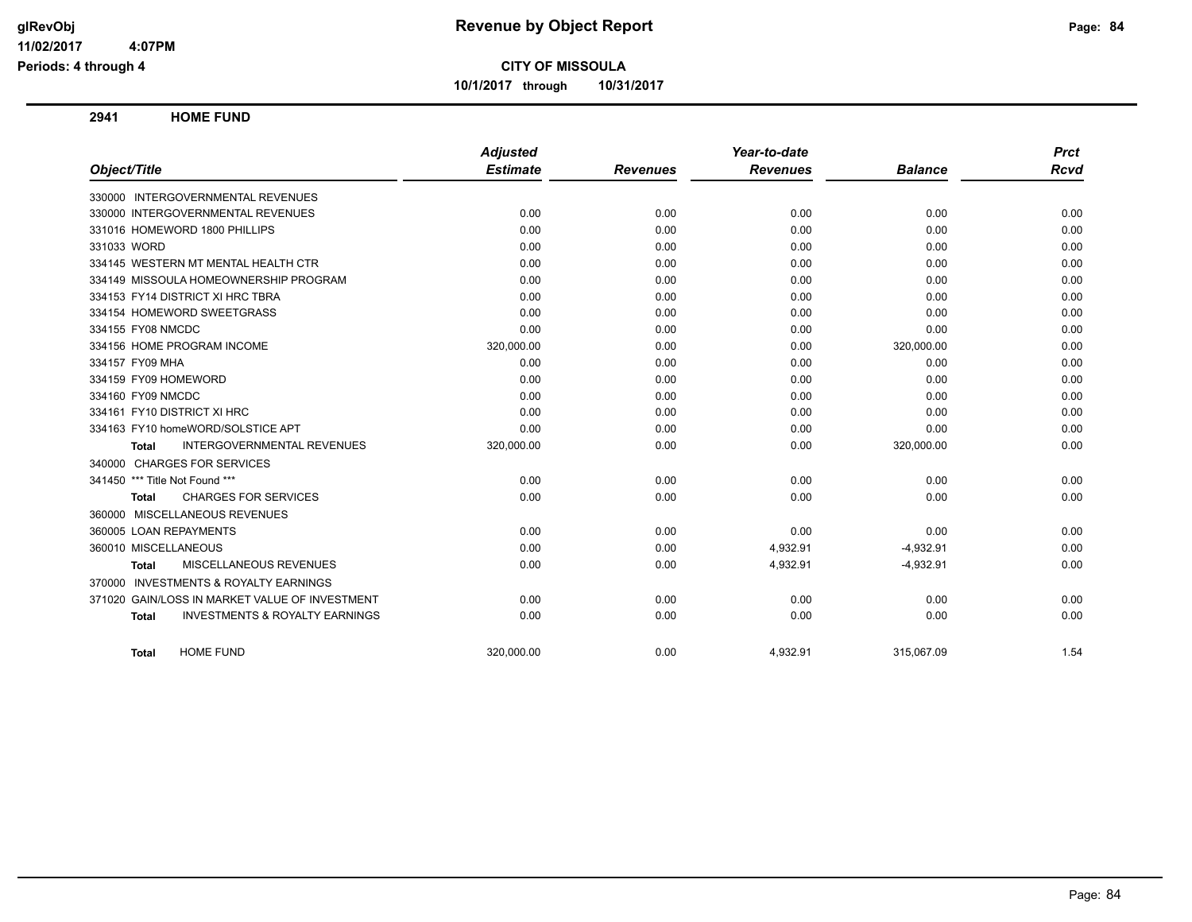**10/1/2017 through 10/31/2017**

**2941 HOME FUND**

|                                                           | <b>Adjusted</b> |                 | Year-to-date    |                | <b>Prct</b> |
|-----------------------------------------------------------|-----------------|-----------------|-----------------|----------------|-------------|
| Object/Title                                              | <b>Estimate</b> | <b>Revenues</b> | <b>Revenues</b> | <b>Balance</b> | <b>Rcvd</b> |
| 330000 INTERGOVERNMENTAL REVENUES                         |                 |                 |                 |                |             |
| 330000 INTERGOVERNMENTAL REVENUES                         | 0.00            | 0.00            | 0.00            | 0.00           | 0.00        |
| 331016 HOMEWORD 1800 PHILLIPS                             | 0.00            | 0.00            | 0.00            | 0.00           | 0.00        |
| 331033 WORD                                               | 0.00            | 0.00            | 0.00            | 0.00           | 0.00        |
| 334145 WESTERN MT MENTAL HEALTH CTR                       | 0.00            | 0.00            | 0.00            | 0.00           | 0.00        |
| 334149 MISSOULA HOMEOWNERSHIP PROGRAM                     | 0.00            | 0.00            | 0.00            | 0.00           | 0.00        |
| 334153 FY14 DISTRICT XI HRC TBRA                          | 0.00            | 0.00            | 0.00            | 0.00           | 0.00        |
| 334154 HOMEWORD SWEETGRASS                                | 0.00            | 0.00            | 0.00            | 0.00           | 0.00        |
| 334155 FY08 NMCDC                                         | 0.00            | 0.00            | 0.00            | 0.00           | 0.00        |
| 334156 HOME PROGRAM INCOME                                | 320,000.00      | 0.00            | 0.00            | 320,000.00     | 0.00        |
| 334157 FY09 MHA                                           | 0.00            | 0.00            | 0.00            | 0.00           | 0.00        |
| 334159 FY09 HOMEWORD                                      | 0.00            | 0.00            | 0.00            | 0.00           | 0.00        |
| 334160 FY09 NMCDC                                         | 0.00            | 0.00            | 0.00            | 0.00           | 0.00        |
| 334161 FY10 DISTRICT XI HRC                               | 0.00            | 0.00            | 0.00            | 0.00           | 0.00        |
| 334163 FY10 homeWORD/SOLSTICE APT                         | 0.00            | 0.00            | 0.00            | 0.00           | 0.00        |
| <b>INTERGOVERNMENTAL REVENUES</b><br><b>Total</b>         | 320,000.00      | 0.00            | 0.00            | 320,000.00     | 0.00        |
| 340000 CHARGES FOR SERVICES                               |                 |                 |                 |                |             |
| 341450 *** Title Not Found ***                            | 0.00            | 0.00            | 0.00            | 0.00           | 0.00        |
| <b>CHARGES FOR SERVICES</b><br>Total                      | 0.00            | 0.00            | 0.00            | 0.00           | 0.00        |
| 360000 MISCELLANEOUS REVENUES                             |                 |                 |                 |                |             |
| 360005 LOAN REPAYMENTS                                    | 0.00            | 0.00            | 0.00            | 0.00           | 0.00        |
| 360010 MISCELLANEOUS                                      | 0.00            | 0.00            | 4,932.91        | $-4,932.91$    | 0.00        |
| MISCELLANEOUS REVENUES<br>Total                           | 0.00            | 0.00            | 4,932.91        | $-4,932.91$    | 0.00        |
| 370000 INVESTMENTS & ROYALTY EARNINGS                     |                 |                 |                 |                |             |
| 371020 GAIN/LOSS IN MARKET VALUE OF INVESTMENT            | 0.00            | 0.00            | 0.00            | 0.00           | 0.00        |
| <b>INVESTMENTS &amp; ROYALTY EARNINGS</b><br><b>Total</b> | 0.00            | 0.00            | 0.00            | 0.00           | 0.00        |
| <b>HOME FUND</b><br><b>Total</b>                          | 320.000.00      | 0.00            | 4,932.91        | 315.067.09     | 1.54        |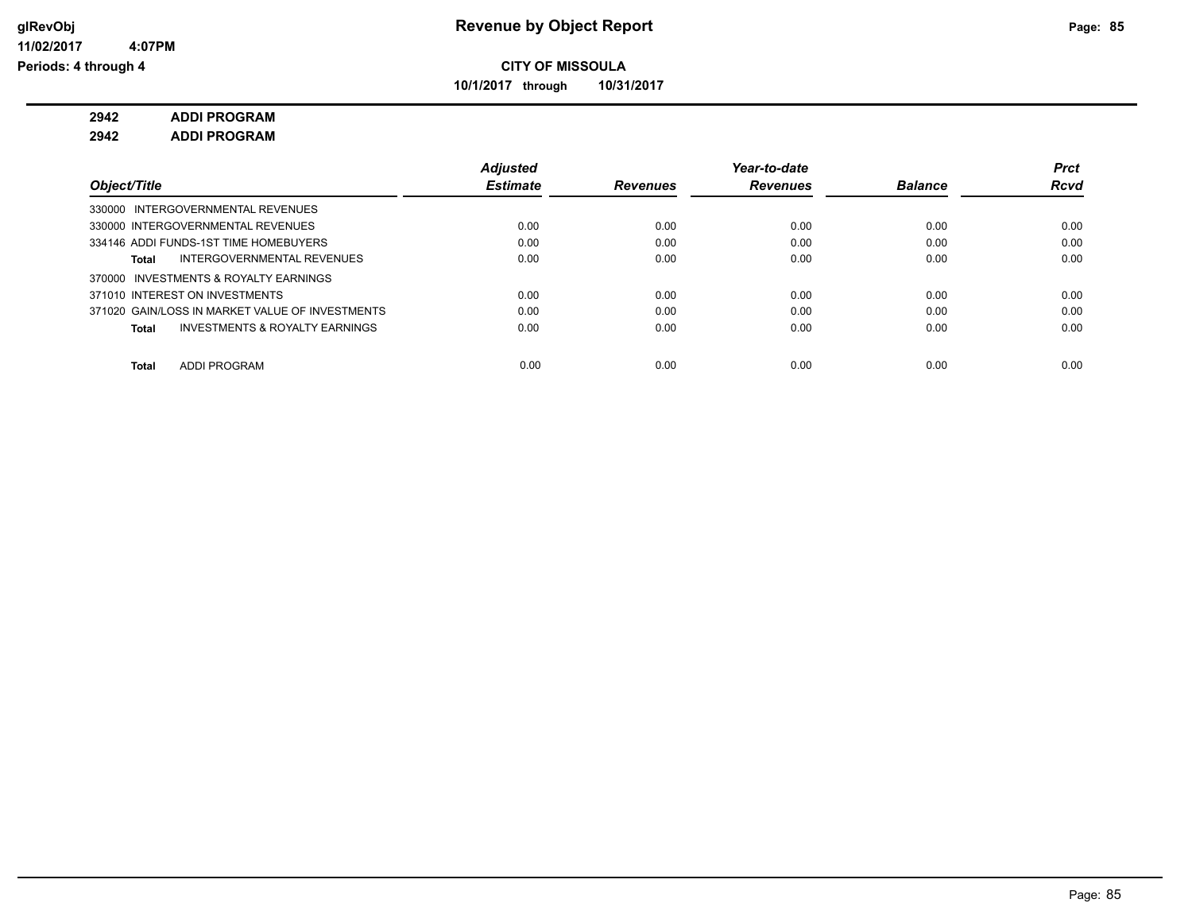**10/1/2017 through 10/31/2017**

# **2942 ADDI PROGRAM**

**2942 ADDI PROGRAM**

|                                                    | <b>Adjusted</b> |                 | Year-to-date    |                | <b>Prct</b> |
|----------------------------------------------------|-----------------|-----------------|-----------------|----------------|-------------|
| Object/Title                                       | <b>Estimate</b> | <b>Revenues</b> | <b>Revenues</b> | <b>Balance</b> | <b>Rcvd</b> |
| 330000 INTERGOVERNMENTAL REVENUES                  |                 |                 |                 |                |             |
| 330000 INTERGOVERNMENTAL REVENUES                  | 0.00            | 0.00            | 0.00            | 0.00           | 0.00        |
| 334146 ADDI FUNDS-1ST TIME HOMEBUYERS              | 0.00            | 0.00            | 0.00            | 0.00           | 0.00        |
| INTERGOVERNMENTAL REVENUES<br>Total                | 0.00            | 0.00            | 0.00            | 0.00           | 0.00        |
| 370000 INVESTMENTS & ROYALTY EARNINGS              |                 |                 |                 |                |             |
| 371010 INTEREST ON INVESTMENTS                     | 0.00            | 0.00            | 0.00            | 0.00           | 0.00        |
| 371020 GAIN/LOSS IN MARKET VALUE OF INVESTMENTS    | 0.00            | 0.00            | 0.00            | 0.00           | 0.00        |
| <b>INVESTMENTS &amp; ROYALTY EARNINGS</b><br>Total | 0.00            | 0.00            | 0.00            | 0.00           | 0.00        |
|                                                    |                 |                 |                 |                |             |
| ADDI PROGRAM<br><b>Total</b>                       | 0.00            | 0.00            | 0.00            | 0.00           | 0.00        |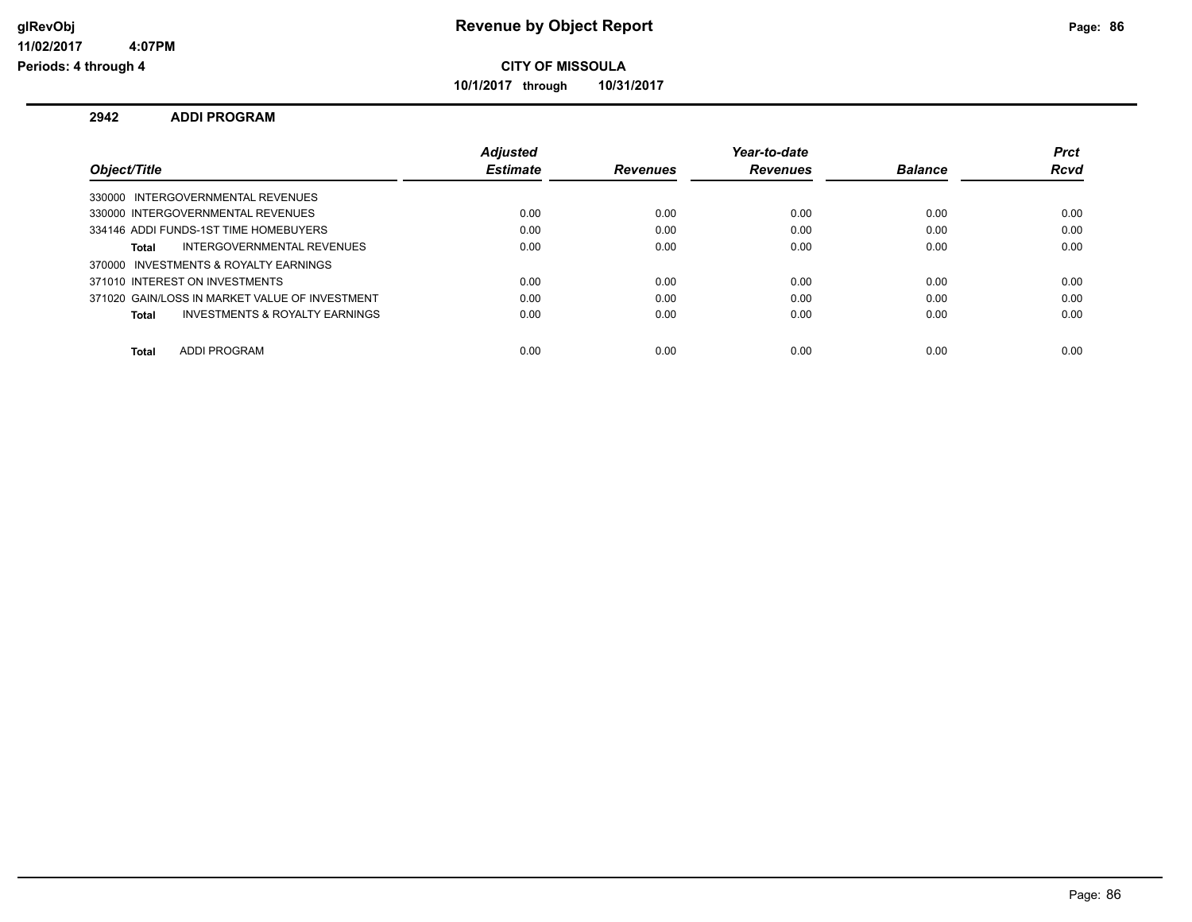**10/1/2017 through 10/31/2017**

#### **2942 ADDI PROGRAM**

|                                                | <b>Adiusted</b> |                 | Year-to-date    |                | <b>Prct</b> |
|------------------------------------------------|-----------------|-----------------|-----------------|----------------|-------------|
| Object/Title                                   | <b>Estimate</b> | <b>Revenues</b> | <b>Revenues</b> | <b>Balance</b> | <b>Rcvd</b> |
| 330000 INTERGOVERNMENTAL REVENUES              |                 |                 |                 |                |             |
| 330000 INTERGOVERNMENTAL REVENUES              | 0.00            | 0.00            | 0.00            | 0.00           | 0.00        |
| 334146 ADDI FUNDS-1ST TIME HOMEBUYERS          | 0.00            | 0.00            | 0.00            | 0.00           | 0.00        |
| INTERGOVERNMENTAL REVENUES<br><b>Total</b>     | 0.00            | 0.00            | 0.00            | 0.00           | 0.00        |
| 370000 INVESTMENTS & ROYALTY EARNINGS          |                 |                 |                 |                |             |
| 371010 INTEREST ON INVESTMENTS                 | 0.00            | 0.00            | 0.00            | 0.00           | 0.00        |
| 371020 GAIN/LOSS IN MARKET VALUE OF INVESTMENT | 0.00            | 0.00            | 0.00            | 0.00           | 0.00        |
| <b>Total</b><br>INVESTMENTS & ROYALTY EARNINGS | 0.00            | 0.00            | 0.00            | 0.00           | 0.00        |
|                                                |                 |                 |                 |                |             |
| <b>ADDI PROGRAM</b><br><b>Total</b>            | 0.00            | 0.00            | 0.00            | 0.00           | 0.00        |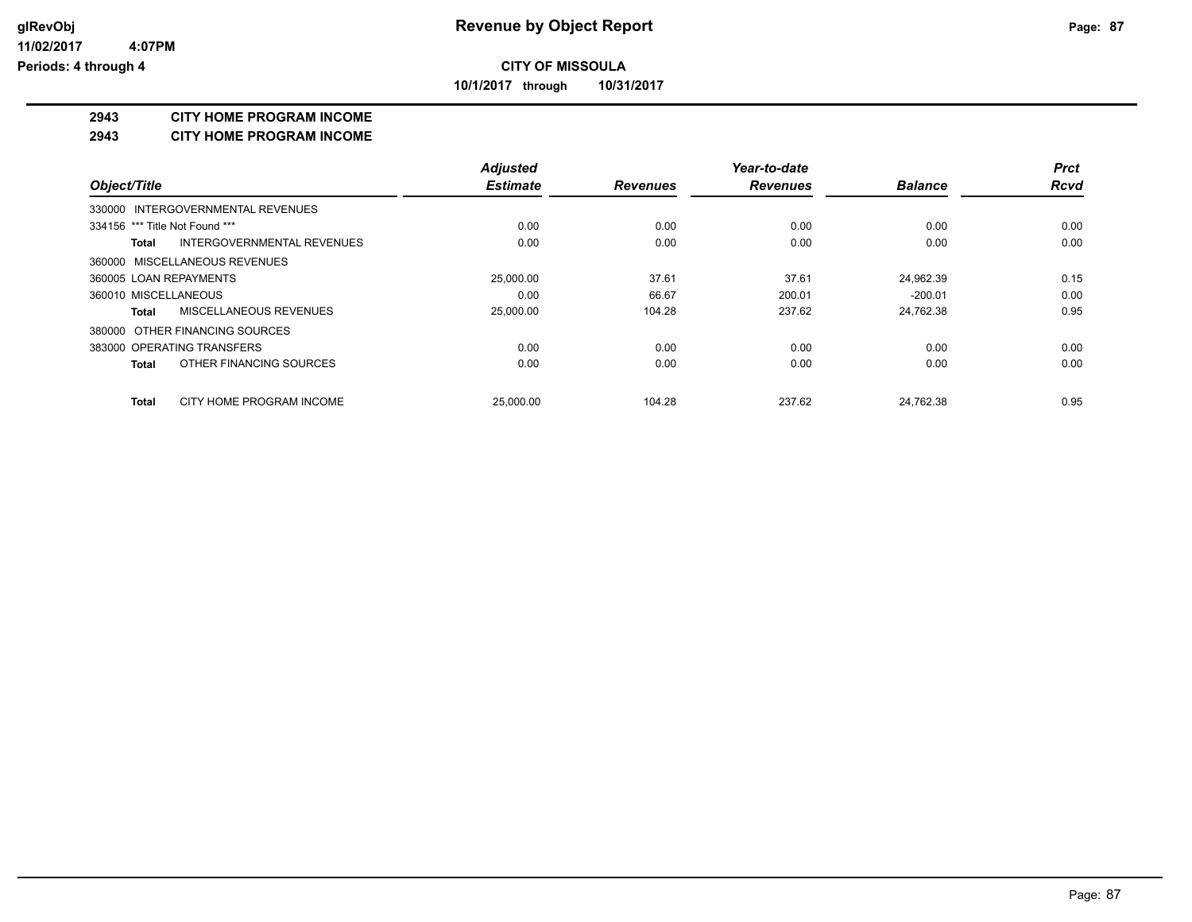**10/1/2017 through 10/31/2017**

## **2943 CITY HOME PROGRAM INCOME**

#### **2943 CITY HOME PROGRAM INCOME**

|                                     | <b>Adjusted</b> |                 | Year-to-date    |                | <b>Prct</b> |
|-------------------------------------|-----------------|-----------------|-----------------|----------------|-------------|
| Object/Title                        | <b>Estimate</b> | <b>Revenues</b> | <b>Revenues</b> | <b>Balance</b> | <b>Rcvd</b> |
| 330000 INTERGOVERNMENTAL REVENUES   |                 |                 |                 |                |             |
| 334156 *** Title Not Found ***      | 0.00            | 0.00            | 0.00            | 0.00           | 0.00        |
| INTERGOVERNMENTAL REVENUES<br>Total | 0.00            | 0.00            | 0.00            | 0.00           | 0.00        |
| 360000 MISCELLANEOUS REVENUES       |                 |                 |                 |                |             |
| 360005 LOAN REPAYMENTS              | 25,000.00       | 37.61           | 37.61           | 24.962.39      | 0.15        |
| 360010 MISCELLANEOUS                | 0.00            | 66.67           | 200.01          | $-200.01$      | 0.00        |
| MISCELLANEOUS REVENUES<br>Total     | 25,000.00       | 104.28          | 237.62          | 24.762.38      | 0.95        |
| 380000 OTHER FINANCING SOURCES      |                 |                 |                 |                |             |
| 383000 OPERATING TRANSFERS          | 0.00            | 0.00            | 0.00            | 0.00           | 0.00        |
| OTHER FINANCING SOURCES<br>Total    | 0.00            | 0.00            | 0.00            | 0.00           | 0.00        |
| CITY HOME PROGRAM INCOME<br>Total   | 25,000.00       | 104.28          | 237.62          | 24.762.38      | 0.95        |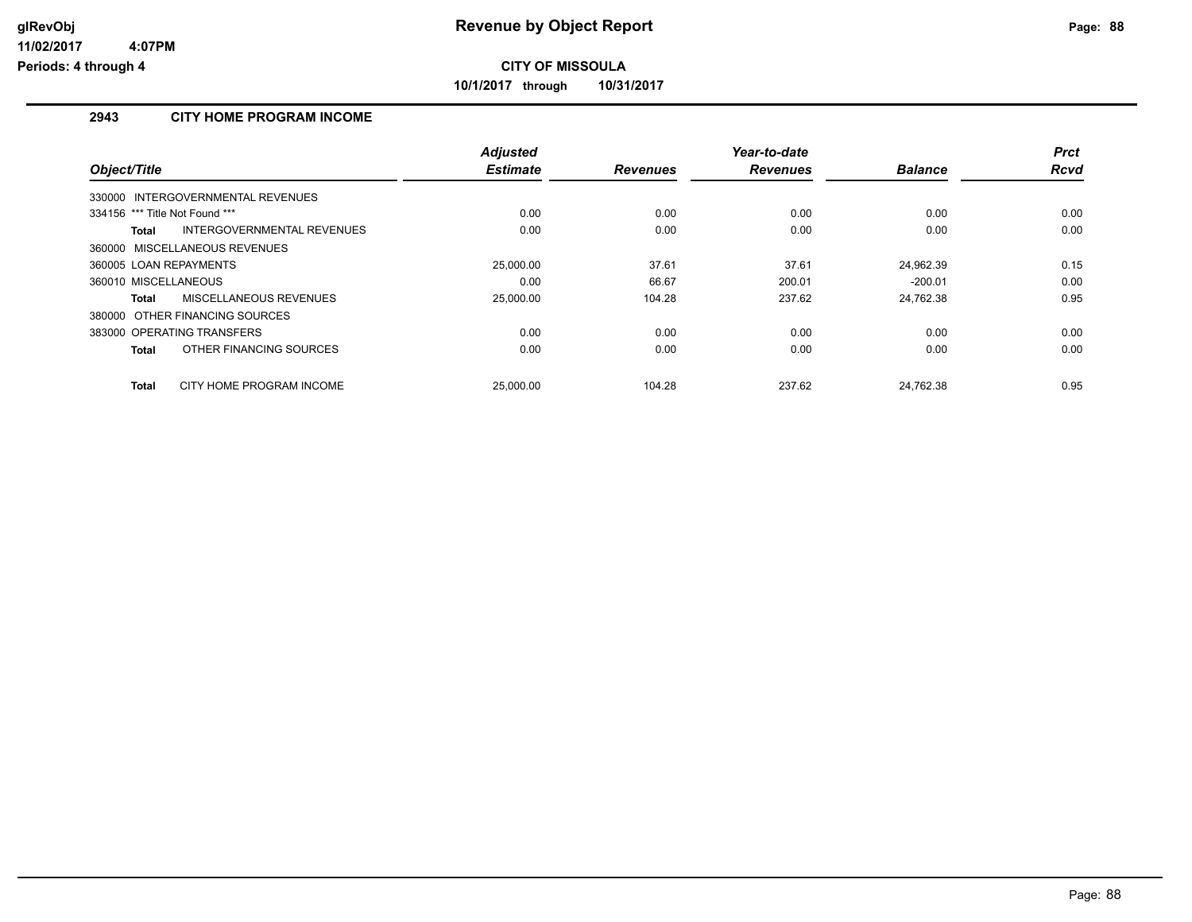**10/1/2017 through 10/31/2017**

# **2943 CITY HOME PROGRAM INCOME**

|                                            | <b>Adjusted</b> |                 | Year-to-date    |                | <b>Prct</b> |
|--------------------------------------------|-----------------|-----------------|-----------------|----------------|-------------|
| Object/Title                               | <b>Estimate</b> | <b>Revenues</b> | <b>Revenues</b> | <b>Balance</b> | <b>Rcvd</b> |
| 330000 INTERGOVERNMENTAL REVENUES          |                 |                 |                 |                |             |
| 334156 *** Title Not Found ***             | 0.00            | 0.00            | 0.00            | 0.00           | 0.00        |
| INTERGOVERNMENTAL REVENUES<br><b>Total</b> | 0.00            | 0.00            | 0.00            | 0.00           | 0.00        |
| 360000 MISCELLANEOUS REVENUES              |                 |                 |                 |                |             |
| 360005 LOAN REPAYMENTS                     | 25,000.00       | 37.61           | 37.61           | 24,962.39      | 0.15        |
| 360010 MISCELLANEOUS                       | 0.00            | 66.67           | 200.01          | $-200.01$      | 0.00        |
| MISCELLANEOUS REVENUES<br><b>Total</b>     | 25,000.00       | 104.28          | 237.62          | 24,762.38      | 0.95        |
| 380000 OTHER FINANCING SOURCES             |                 |                 |                 |                |             |
| 383000 OPERATING TRANSFERS                 | 0.00            | 0.00            | 0.00            | 0.00           | 0.00        |
| OTHER FINANCING SOURCES<br><b>Total</b>    | 0.00            | 0.00            | 0.00            | 0.00           | 0.00        |
| CITY HOME PROGRAM INCOME<br><b>Total</b>   | 25.000.00       | 104.28          | 237.62          | 24.762.38      | 0.95        |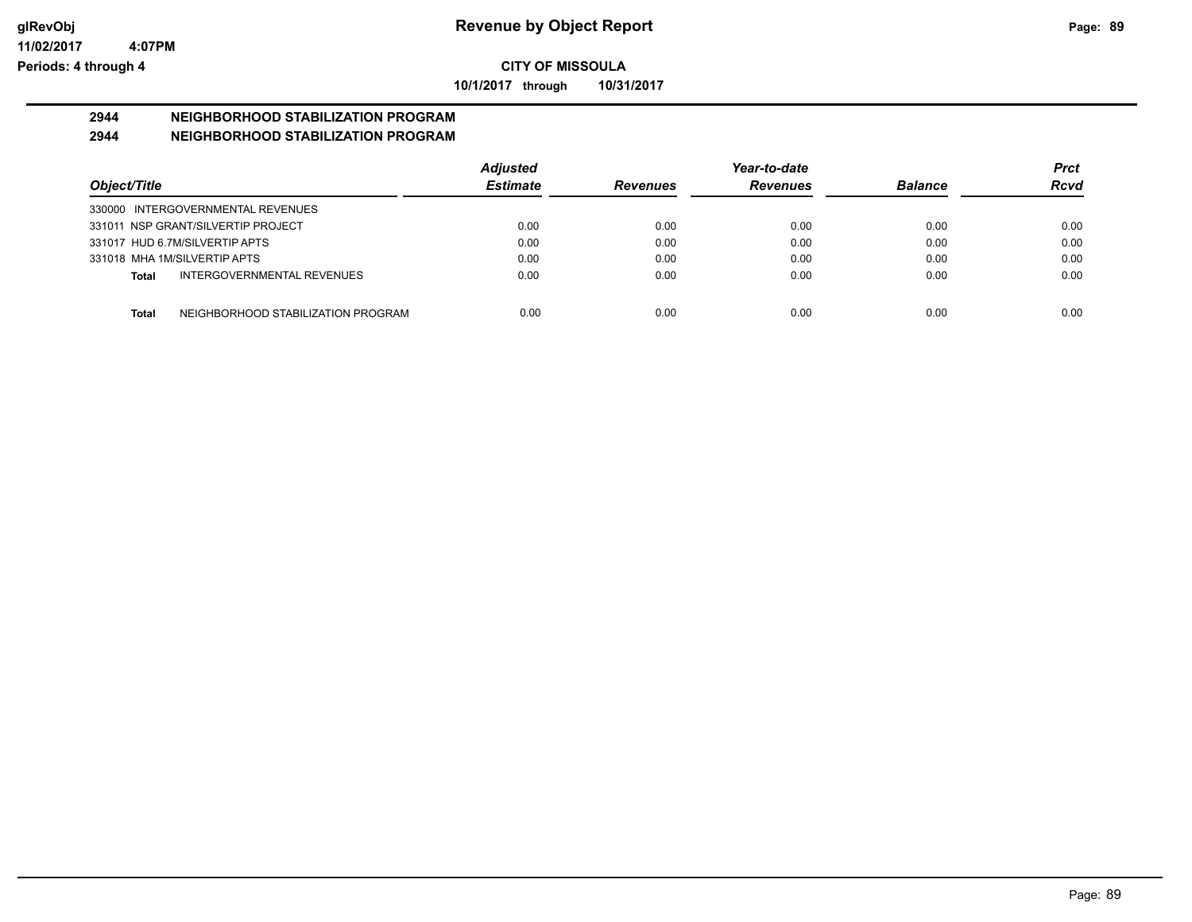**10/1/2017 through 10/31/2017**

## **2944 NEIGHBORHOOD STABILIZATION PROGRAM 2944 NEIGHBORHOOD STABILIZATION PROGRAM**

|                                                    | <b>Adjusted</b> |                 | Year-to-date    |                | <b>Prct</b> |
|----------------------------------------------------|-----------------|-----------------|-----------------|----------------|-------------|
| Object/Title                                       | <b>Estimate</b> | <b>Revenues</b> | <b>Revenues</b> | <b>Balance</b> | Rcvd        |
| 330000 INTERGOVERNMENTAL REVENUES                  |                 |                 |                 |                |             |
| 331011 NSP GRANT/SILVERTIP PROJECT                 | 0.00            | 0.00            | 0.00            | 0.00           | 0.00        |
| 331017 HUD 6.7M/SILVERTIP APTS                     | 0.00            | 0.00            | 0.00            | 0.00           | 0.00        |
| 331018 MHA 1M/SILVERTIP APTS                       | 0.00            | 0.00            | 0.00            | 0.00           | 0.00        |
| INTERGOVERNMENTAL REVENUES<br><b>Total</b>         | 0.00            | 0.00            | 0.00            | 0.00           | 0.00        |
| NEIGHBORHOOD STABILIZATION PROGRAM<br><b>Total</b> | 0.00            | 0.00            | 0.00            | 0.00           | 0.00        |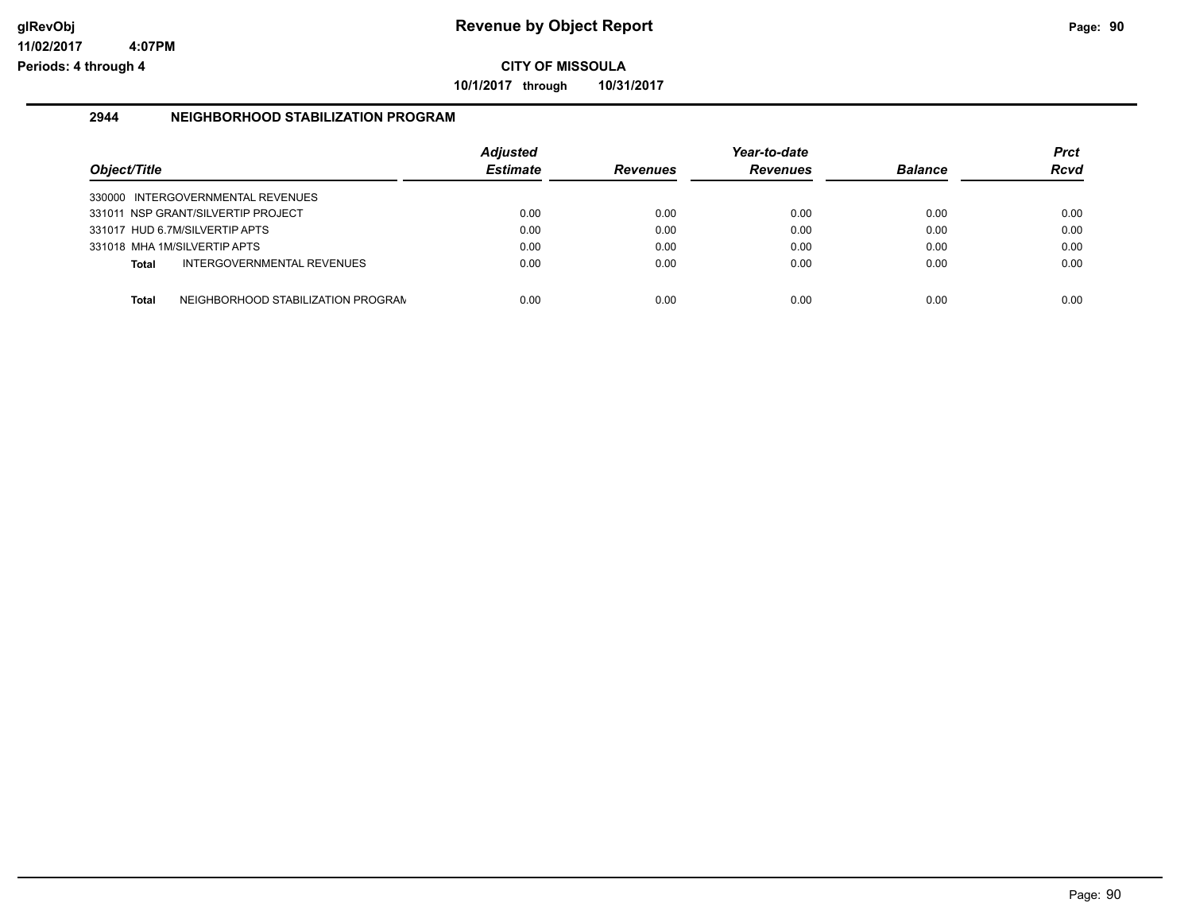**10/1/2017 through 10/31/2017**

#### **2944 NEIGHBORHOOD STABILIZATION PROGRAM**

| Obiect/Title |                                    | <b>Adjusted</b><br><b>Estimate</b> | <b>Revenues</b> | Year-to-date<br><b>Revenues</b> | <b>Balance</b> | <b>Prct</b><br><b>Rcvd</b> |
|--------------|------------------------------------|------------------------------------|-----------------|---------------------------------|----------------|----------------------------|
|              | 330000 INTERGOVERNMENTAL REVENUES  |                                    |                 |                                 |                |                            |
|              | 331011 NSP GRANT/SILVERTIP PROJECT | 0.00                               | 0.00            | 0.00                            | 0.00           | 0.00                       |
|              | 331017 HUD 6.7M/SILVERTIP APTS     | 0.00                               | 0.00            | 0.00                            | 0.00           | 0.00                       |
|              | 331018 MHA 1M/SILVERTIP APTS       | 0.00                               | 0.00            | 0.00                            | 0.00           | 0.00                       |
| Total        | INTERGOVERNMENTAL REVENUES         | 0.00                               | 0.00            | 0.00                            | 0.00           | 0.00                       |
| <b>Total</b> | NEIGHBORHOOD STABILIZATION PROGRAM | 0.00                               | 0.00            | 0.00                            | 0.00           | 0.00                       |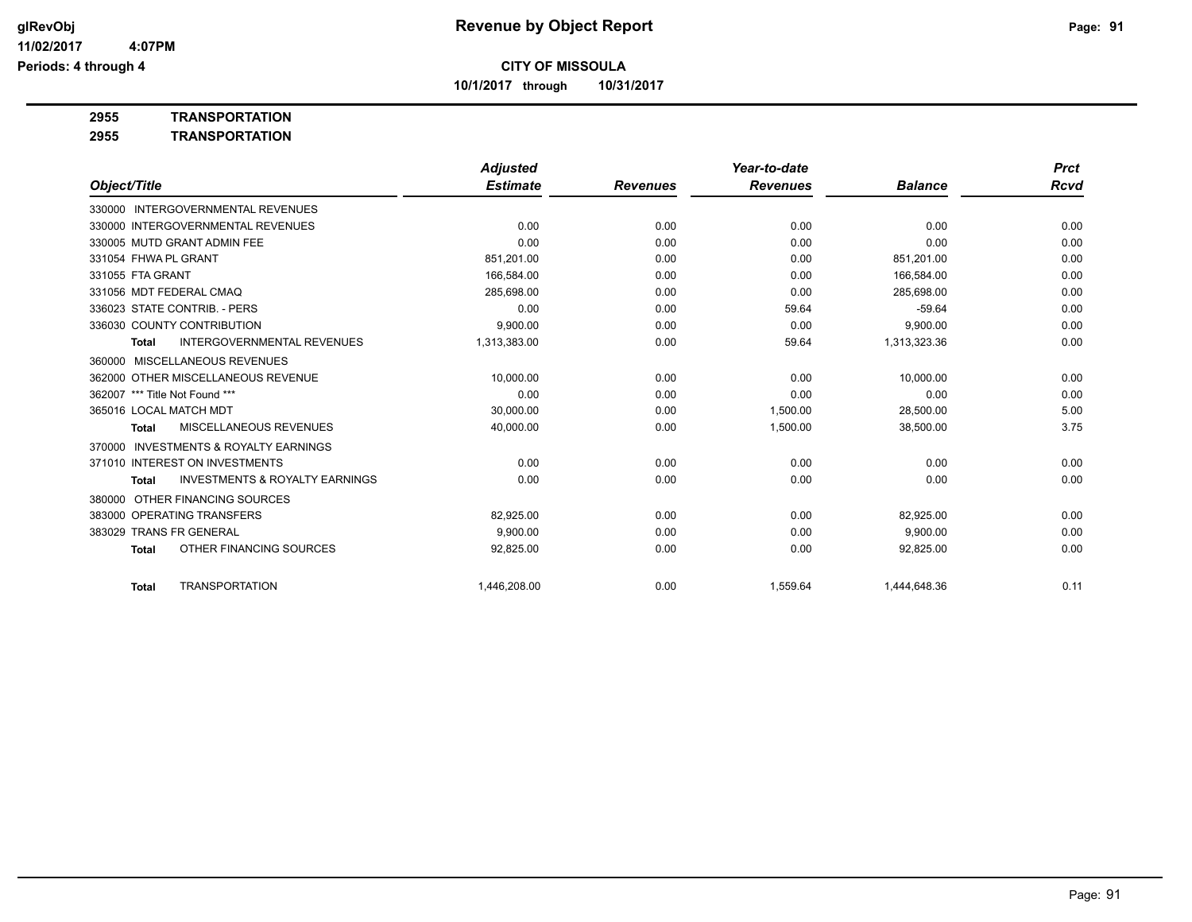**10/1/2017 through 10/31/2017**

**2955 TRANSPORTATION**

**2955 TRANSPORTATION**

|                                                           | <b>Adjusted</b> |                 | Year-to-date    |                | <b>Prct</b> |
|-----------------------------------------------------------|-----------------|-----------------|-----------------|----------------|-------------|
| Object/Title                                              | <b>Estimate</b> | <b>Revenues</b> | <b>Revenues</b> | <b>Balance</b> | Rcvd        |
| INTERGOVERNMENTAL REVENUES<br>330000                      |                 |                 |                 |                |             |
| 330000 INTERGOVERNMENTAL REVENUES                         | 0.00            | 0.00            | 0.00            | 0.00           | 0.00        |
| 330005 MUTD GRANT ADMIN FEE                               | 0.00            | 0.00            | 0.00            | 0.00           | 0.00        |
| 331054 FHWA PL GRANT                                      | 851,201.00      | 0.00            | 0.00            | 851,201.00     | 0.00        |
| 331055 FTA GRANT                                          | 166.584.00      | 0.00            | 0.00            | 166.584.00     | 0.00        |
| 331056 MDT FEDERAL CMAO                                   | 285,698.00      | 0.00            | 0.00            | 285,698.00     | 0.00        |
| 336023 STATE CONTRIB. - PERS                              | 0.00            | 0.00            | 59.64           | $-59.64$       | 0.00        |
| 336030 COUNTY CONTRIBUTION                                | 9.900.00        | 0.00            | 0.00            | 9,900.00       | 0.00        |
| <b>INTERGOVERNMENTAL REVENUES</b><br><b>Total</b>         | 1,313,383.00    | 0.00            | 59.64           | 1,313,323.36   | 0.00        |
| MISCELLANEOUS REVENUES<br>360000                          |                 |                 |                 |                |             |
| 362000 OTHER MISCELLANEOUS REVENUE                        | 10,000.00       | 0.00            | 0.00            | 10,000.00      | 0.00        |
| 362007 *** Title Not Found ***                            | 0.00            | 0.00            | 0.00            | 0.00           | 0.00        |
| 365016 LOCAL MATCH MDT                                    | 30,000.00       | 0.00            | 1,500.00        | 28,500.00      | 5.00        |
| MISCELLANEOUS REVENUES<br><b>Total</b>                    | 40,000.00       | 0.00            | 1,500.00        | 38,500.00      | 3.75        |
| <b>INVESTMENTS &amp; ROYALTY EARNINGS</b><br>370000       |                 |                 |                 |                |             |
| 371010 INTEREST ON INVESTMENTS                            | 0.00            | 0.00            | 0.00            | 0.00           | 0.00        |
| <b>INVESTMENTS &amp; ROYALTY EARNINGS</b><br><b>Total</b> | 0.00            | 0.00            | 0.00            | 0.00           | 0.00        |
| OTHER FINANCING SOURCES<br>380000                         |                 |                 |                 |                |             |
| 383000 OPERATING TRANSFERS                                | 82.925.00       | 0.00            | 0.00            | 82.925.00      | 0.00        |
| 383029 TRANS FR GENERAL                                   | 9.900.00        | 0.00            | 0.00            | 9,900.00       | 0.00        |
| OTHER FINANCING SOURCES<br><b>Total</b>                   | 92,825.00       | 0.00            | 0.00            | 92,825.00      | 0.00        |
| <b>TRANSPORTATION</b><br><b>Total</b>                     | 1,446,208.00    | 0.00            | 1,559.64        | 1,444,648.36   | 0.11        |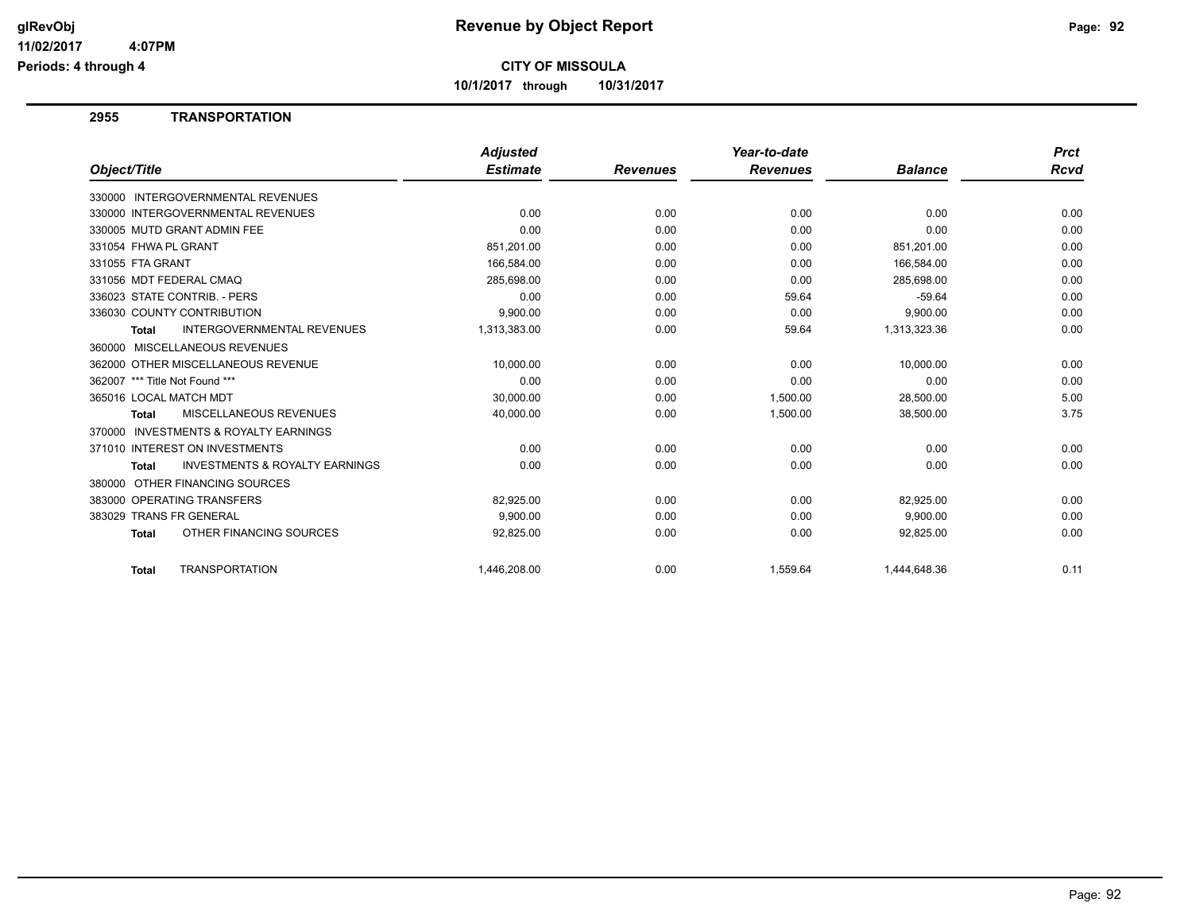**10/1/2017 through 10/31/2017**

#### **2955 TRANSPORTATION**

|                                                           | <b>Adjusted</b> |                 | Year-to-date    |                | <b>Prct</b> |
|-----------------------------------------------------------|-----------------|-----------------|-----------------|----------------|-------------|
| Object/Title                                              | <b>Estimate</b> | <b>Revenues</b> | <b>Revenues</b> | <b>Balance</b> | Rcvd        |
| 330000 INTERGOVERNMENTAL REVENUES                         |                 |                 |                 |                |             |
| 330000 INTERGOVERNMENTAL REVENUES                         | 0.00            | 0.00            | 0.00            | 0.00           | 0.00        |
| 330005 MUTD GRANT ADMIN FEE                               | 0.00            | 0.00            | 0.00            | 0.00           | 0.00        |
| 331054 FHWA PL GRANT                                      | 851,201.00      | 0.00            | 0.00            | 851,201.00     | 0.00        |
| 331055 FTA GRANT                                          | 166,584.00      | 0.00            | 0.00            | 166,584.00     | 0.00        |
| 331056 MDT FEDERAL CMAQ                                   | 285,698.00      | 0.00            | 0.00            | 285,698.00     | 0.00        |
| 336023 STATE CONTRIB. - PERS                              | 0.00            | 0.00            | 59.64           | $-59.64$       | 0.00        |
| 336030 COUNTY CONTRIBUTION                                | 9,900.00        | 0.00            | 0.00            | 9,900.00       | 0.00        |
| <b>INTERGOVERNMENTAL REVENUES</b><br><b>Total</b>         | 1,313,383.00    | 0.00            | 59.64           | 1,313,323.36   | 0.00        |
| 360000 MISCELLANEOUS REVENUES                             |                 |                 |                 |                |             |
| 362000 OTHER MISCELLANEOUS REVENUE                        | 10,000.00       | 0.00            | 0.00            | 10,000.00      | 0.00        |
| 362007 *** Title Not Found ***                            | 0.00            | 0.00            | 0.00            | 0.00           | 0.00        |
| 365016 LOCAL MATCH MDT                                    | 30,000.00       | 0.00            | 1,500.00        | 28,500.00      | 5.00        |
| <b>MISCELLANEOUS REVENUES</b><br><b>Total</b>             | 40,000.00       | 0.00            | 1,500.00        | 38,500.00      | 3.75        |
| 370000 INVESTMENTS & ROYALTY EARNINGS                     |                 |                 |                 |                |             |
| 371010 INTEREST ON INVESTMENTS                            | 0.00            | 0.00            | 0.00            | 0.00           | 0.00        |
| <b>INVESTMENTS &amp; ROYALTY EARNINGS</b><br><b>Total</b> | 0.00            | 0.00            | 0.00            | 0.00           | 0.00        |
| 380000 OTHER FINANCING SOURCES                            |                 |                 |                 |                |             |
| 383000 OPERATING TRANSFERS                                | 82,925.00       | 0.00            | 0.00            | 82,925.00      | 0.00        |
| 383029 TRANS FR GENERAL                                   | 9,900.00        | 0.00            | 0.00            | 9,900.00       | 0.00        |
| OTHER FINANCING SOURCES<br><b>Total</b>                   | 92,825.00       | 0.00            | 0.00            | 92,825.00      | 0.00        |
| <b>TRANSPORTATION</b><br><b>Total</b>                     | 1.446.208.00    | 0.00            | 1,559.64        | 1.444.648.36   | 0.11        |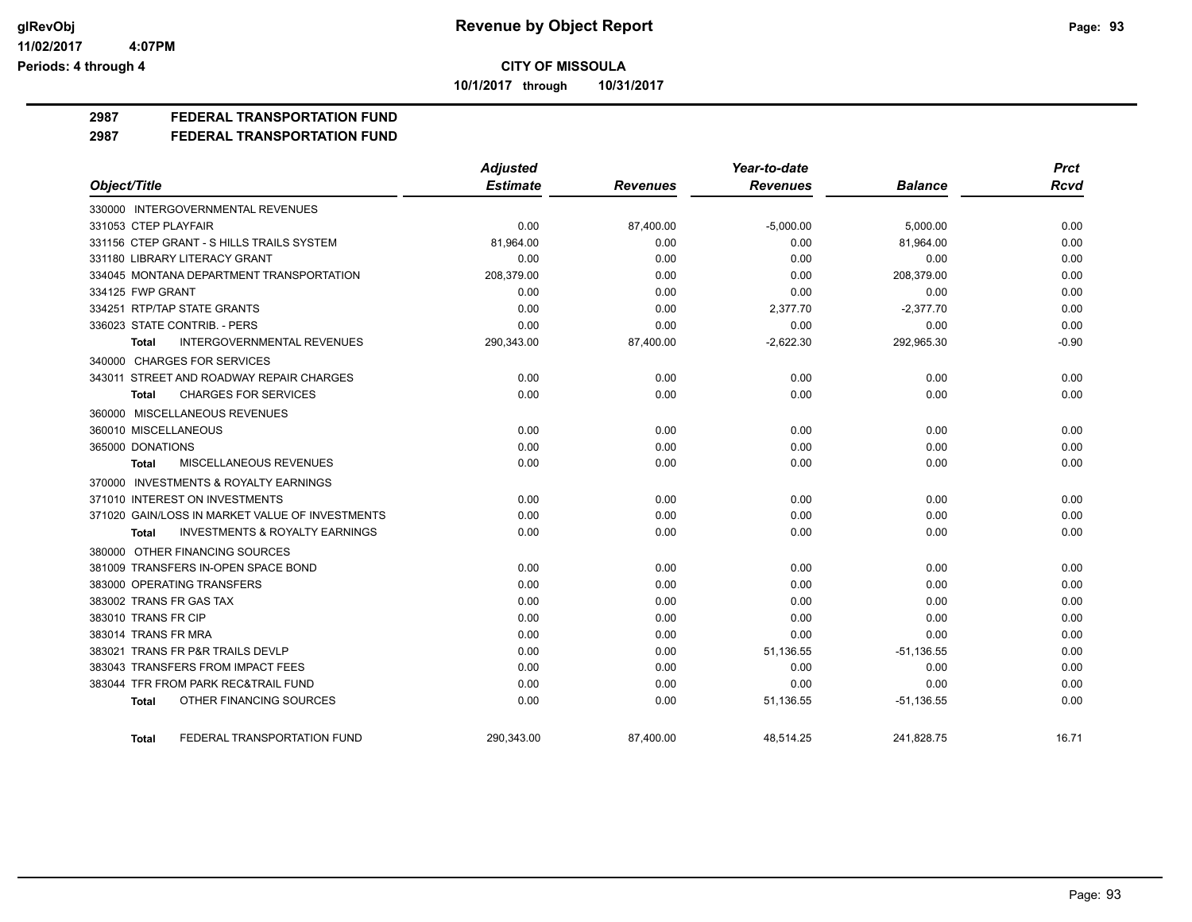**10/1/2017 through 10/31/2017**

# **2987 FEDERAL TRANSPORTATION FUND**

### **2987 FEDERAL TRANSPORTATION FUND**

|                                                    | <b>Adjusted</b> |                 | Year-to-date    |                | <b>Prct</b> |
|----------------------------------------------------|-----------------|-----------------|-----------------|----------------|-------------|
| Object/Title                                       | <b>Estimate</b> | <b>Revenues</b> | <b>Revenues</b> | <b>Balance</b> | <b>Rcvd</b> |
| 330000 INTERGOVERNMENTAL REVENUES                  |                 |                 |                 |                |             |
| 331053 CTEP PLAYFAIR                               | 0.00            | 87,400.00       | $-5,000.00$     | 5,000.00       | 0.00        |
| 331156 CTEP GRANT - S HILLS TRAILS SYSTEM          | 81,964.00       | 0.00            | 0.00            | 81,964.00      | 0.00        |
| 331180 LIBRARY LITERACY GRANT                      | 0.00            | 0.00            | 0.00            | 0.00           | 0.00        |
| 334045 MONTANA DEPARTMENT TRANSPORTATION           | 208,379.00      | 0.00            | 0.00            | 208,379.00     | 0.00        |
| 334125 FWP GRANT                                   | 0.00            | 0.00            | 0.00            | 0.00           | 0.00        |
| 334251 RTP/TAP STATE GRANTS                        | 0.00            | 0.00            | 2,377.70        | $-2,377.70$    | 0.00        |
| 336023 STATE CONTRIB. - PERS                       | 0.00            | 0.00            | 0.00            | 0.00           | 0.00        |
| <b>INTERGOVERNMENTAL REVENUES</b><br><b>Total</b>  | 290,343.00      | 87,400.00       | $-2,622.30$     | 292,965.30     | $-0.90$     |
| 340000 CHARGES FOR SERVICES                        |                 |                 |                 |                |             |
| 343011 STREET AND ROADWAY REPAIR CHARGES           | 0.00            | 0.00            | 0.00            | 0.00           | 0.00        |
| <b>CHARGES FOR SERVICES</b><br>Total               | 0.00            | 0.00            | 0.00            | 0.00           | 0.00        |
| 360000 MISCELLANEOUS REVENUES                      |                 |                 |                 |                |             |
| 360010 MISCELLANEOUS                               | 0.00            | 0.00            | 0.00            | 0.00           | 0.00        |
| 365000 DONATIONS                                   | 0.00            | 0.00            | 0.00            | 0.00           | 0.00        |
| MISCELLANEOUS REVENUES<br>Total                    | 0.00            | 0.00            | 0.00            | 0.00           | 0.00        |
| 370000 INVESTMENTS & ROYALTY EARNINGS              |                 |                 |                 |                |             |
| 371010 INTEREST ON INVESTMENTS                     | 0.00            | 0.00            | 0.00            | 0.00           | 0.00        |
| 371020 GAIN/LOSS IN MARKET VALUE OF INVESTMENTS    | 0.00            | 0.00            | 0.00            | 0.00           | 0.00        |
| <b>INVESTMENTS &amp; ROYALTY EARNINGS</b><br>Total | 0.00            | 0.00            | 0.00            | 0.00           | 0.00        |
| 380000 OTHER FINANCING SOURCES                     |                 |                 |                 |                |             |
| 381009 TRANSFERS IN-OPEN SPACE BOND                | 0.00            | 0.00            | 0.00            | 0.00           | 0.00        |
| 383000 OPERATING TRANSFERS                         | 0.00            | 0.00            | 0.00            | 0.00           | 0.00        |
| 383002 TRANS FR GAS TAX                            | 0.00            | 0.00            | 0.00            | 0.00           | 0.00        |
| 383010 TRANS FR CIP                                | 0.00            | 0.00            | 0.00            | 0.00           | 0.00        |
| 383014 TRANS FR MRA                                | 0.00            | 0.00            | 0.00            | 0.00           | 0.00        |
| 383021 TRANS FR P&R TRAILS DEVLP                   | 0.00            | 0.00            | 51,136.55       | $-51,136.55$   | 0.00        |
| 383043 TRANSFERS FROM IMPACT FEES                  | 0.00            | 0.00            | 0.00            | 0.00           | 0.00        |
| 383044 TFR FROM PARK REC&TRAIL FUND                | 0.00            | 0.00            | 0.00            | 0.00           | 0.00        |
| OTHER FINANCING SOURCES<br><b>Total</b>            | 0.00            | 0.00            | 51,136.55       | $-51,136.55$   | 0.00        |
| FEDERAL TRANSPORTATION FUND<br><b>Total</b>        | 290.343.00      | 87.400.00       | 48.514.25       | 241.828.75     | 16.71       |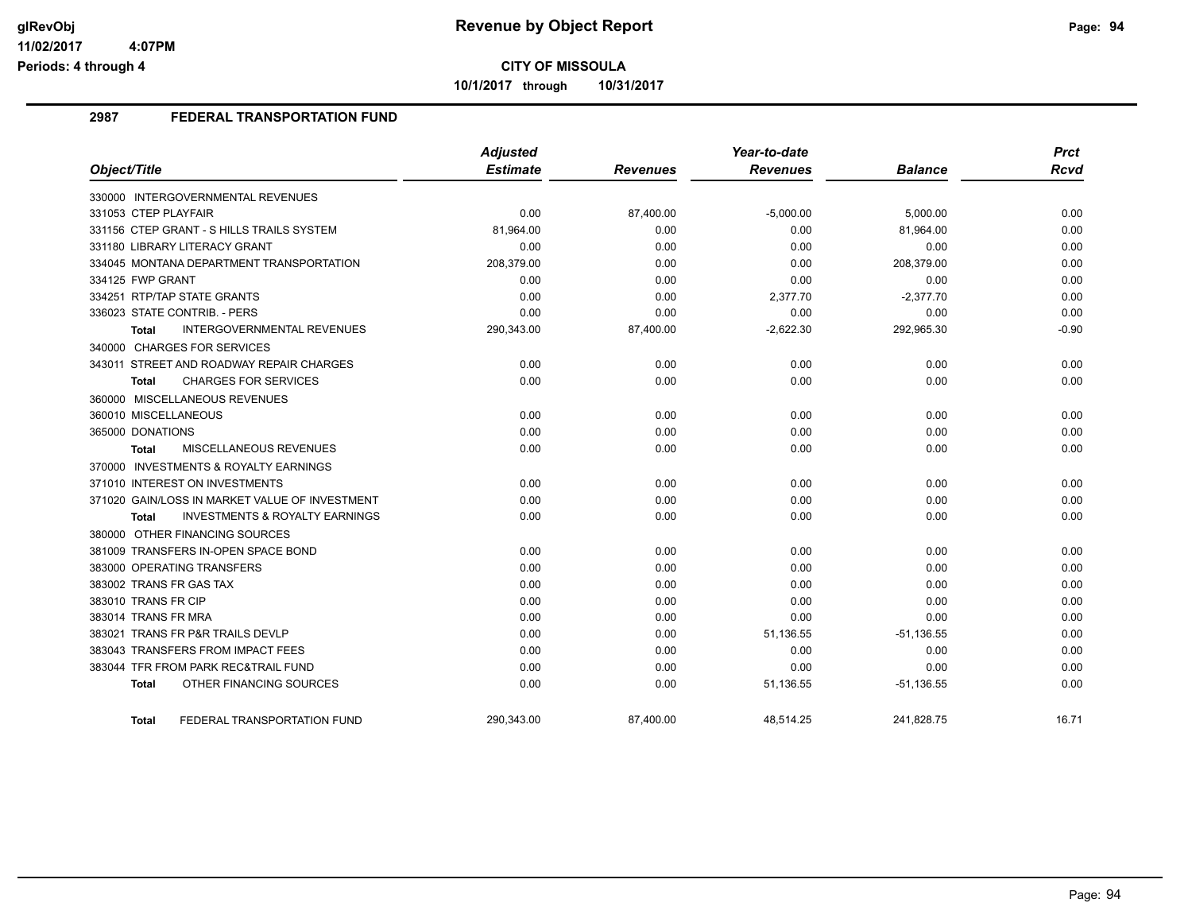**10/1/2017 through 10/31/2017**

# **2987 FEDERAL TRANSPORTATION FUND**

|                                                           | <b>Adjusted</b> |                 | Year-to-date    |                | <b>Prct</b> |
|-----------------------------------------------------------|-----------------|-----------------|-----------------|----------------|-------------|
| Object/Title                                              | <b>Estimate</b> | <b>Revenues</b> | <b>Revenues</b> | <b>Balance</b> | <b>Rcvd</b> |
| 330000 INTERGOVERNMENTAL REVENUES                         |                 |                 |                 |                |             |
| 331053 CTEP PLAYFAIR                                      | 0.00            | 87,400.00       | $-5,000.00$     | 5,000.00       | 0.00        |
| 331156 CTEP GRANT - S HILLS TRAILS SYSTEM                 | 81,964.00       | 0.00            | 0.00            | 81,964.00      | 0.00        |
| 331180 LIBRARY LITERACY GRANT                             | 0.00            | 0.00            | 0.00            | 0.00           | 0.00        |
| 334045 MONTANA DEPARTMENT TRANSPORTATION                  | 208,379.00      | 0.00            | 0.00            | 208,379.00     | 0.00        |
| 334125 FWP GRANT                                          | 0.00            | 0.00            | 0.00            | 0.00           | 0.00        |
| 334251 RTP/TAP STATE GRANTS                               | 0.00            | 0.00            | 2,377.70        | $-2,377.70$    | 0.00        |
| 336023 STATE CONTRIB. - PERS                              | 0.00            | 0.00            | 0.00            | 0.00           | 0.00        |
| <b>INTERGOVERNMENTAL REVENUES</b><br><b>Total</b>         | 290,343.00      | 87,400.00       | $-2,622.30$     | 292,965.30     | $-0.90$     |
| 340000 CHARGES FOR SERVICES                               |                 |                 |                 |                |             |
| 343011 STREET AND ROADWAY REPAIR CHARGES                  | 0.00            | 0.00            | 0.00            | 0.00           | 0.00        |
| <b>CHARGES FOR SERVICES</b><br><b>Total</b>               | 0.00            | 0.00            | 0.00            | 0.00           | 0.00        |
| 360000 MISCELLANEOUS REVENUES                             |                 |                 |                 |                |             |
| 360010 MISCELLANEOUS                                      | 0.00            | 0.00            | 0.00            | 0.00           | 0.00        |
| 365000 DONATIONS                                          | 0.00            | 0.00            | 0.00            | 0.00           | 0.00        |
| MISCELLANEOUS REVENUES<br><b>Total</b>                    | 0.00            | 0.00            | 0.00            | 0.00           | 0.00        |
| 370000 INVESTMENTS & ROYALTY EARNINGS                     |                 |                 |                 |                |             |
| 371010 INTEREST ON INVESTMENTS                            | 0.00            | 0.00            | 0.00            | 0.00           | 0.00        |
| 371020 GAIN/LOSS IN MARKET VALUE OF INVESTMENT            | 0.00            | 0.00            | 0.00            | 0.00           | 0.00        |
| <b>INVESTMENTS &amp; ROYALTY EARNINGS</b><br><b>Total</b> | 0.00            | 0.00            | 0.00            | 0.00           | 0.00        |
| 380000 OTHER FINANCING SOURCES                            |                 |                 |                 |                |             |
| 381009 TRANSFERS IN-OPEN SPACE BOND                       | 0.00            | 0.00            | 0.00            | 0.00           | 0.00        |
| 383000 OPERATING TRANSFERS                                | 0.00            | 0.00            | 0.00            | 0.00           | 0.00        |
| 383002 TRANS FR GAS TAX                                   | 0.00            | 0.00            | 0.00            | 0.00           | 0.00        |
| 383010 TRANS FR CIP                                       | 0.00            | 0.00            | 0.00            | 0.00           | 0.00        |
| 383014 TRANS FR MRA                                       | 0.00            | 0.00            | 0.00            | 0.00           | 0.00        |
| 383021 TRANS FR P&R TRAILS DEVLP                          | 0.00            | 0.00            | 51,136.55       | $-51,136.55$   | 0.00        |
| 383043 TRANSFERS FROM IMPACT FEES                         | 0.00            | 0.00            | 0.00            | 0.00           | 0.00        |
| 383044 TFR FROM PARK REC&TRAIL FUND                       | 0.00            | 0.00            | 0.00            | 0.00           | 0.00        |
| OTHER FINANCING SOURCES<br><b>Total</b>                   | 0.00            | 0.00            | 51,136.55       | $-51,136.55$   | 0.00        |
| FEDERAL TRANSPORTATION FUND<br><b>Total</b>               | 290.343.00      | 87.400.00       | 48.514.25       | 241.828.75     | 16.71       |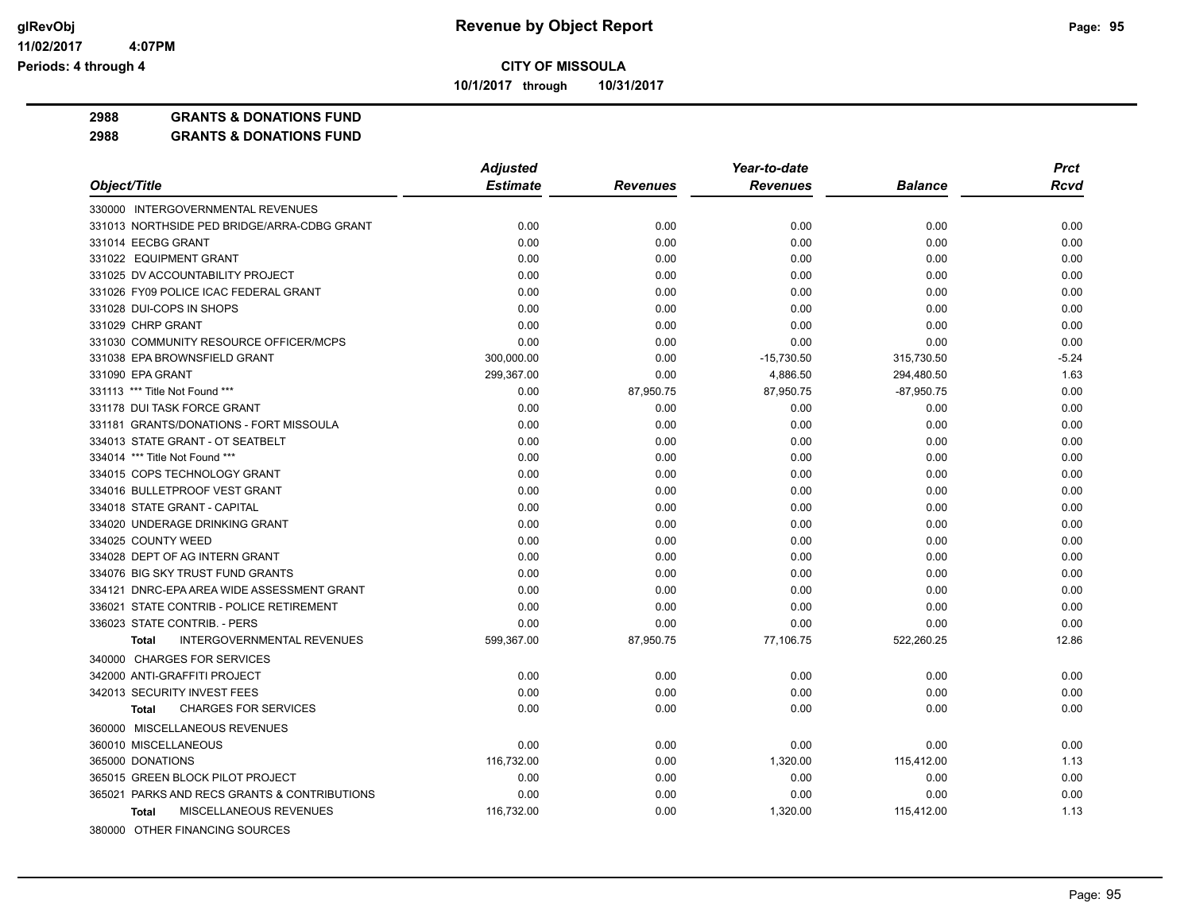**10/1/2017 through 10/31/2017**

**2988 GRANTS & DONATIONS FUND**

|                                              | <b>Adjusted</b> |                 | Year-to-date    |                | <b>Prct</b> |
|----------------------------------------------|-----------------|-----------------|-----------------|----------------|-------------|
| Object/Title                                 | <b>Estimate</b> | <b>Revenues</b> | <b>Revenues</b> | <b>Balance</b> | Rcvd        |
| 330000 INTERGOVERNMENTAL REVENUES            |                 |                 |                 |                |             |
| 331013 NORTHSIDE PED BRIDGE/ARRA-CDBG GRANT  | 0.00            | 0.00            | 0.00            | 0.00           | 0.00        |
| 331014 EECBG GRANT                           | 0.00            | 0.00            | 0.00            | 0.00           | 0.00        |
| 331022 EQUIPMENT GRANT                       | 0.00            | 0.00            | 0.00            | 0.00           | 0.00        |
| 331025 DV ACCOUNTABILITY PROJECT             | 0.00            | 0.00            | 0.00            | 0.00           | 0.00        |
| 331026 FY09 POLICE ICAC FEDERAL GRANT        | 0.00            | 0.00            | 0.00            | 0.00           | 0.00        |
| 331028 DUI-COPS IN SHOPS                     | 0.00            | 0.00            | 0.00            | 0.00           | 0.00        |
| 331029 CHRP GRANT                            | 0.00            | 0.00            | 0.00            | 0.00           | 0.00        |
| 331030 COMMUNITY RESOURCE OFFICER/MCPS       | 0.00            | 0.00            | 0.00            | 0.00           | 0.00        |
| 331038 EPA BROWNSFIELD GRANT                 | 300,000.00      | 0.00            | $-15,730.50$    | 315,730.50     | $-5.24$     |
| 331090 EPA GRANT                             | 299,367.00      | 0.00            | 4,886.50        | 294,480.50     | 1.63        |
| 331113 *** Title Not Found ***               | 0.00            | 87,950.75       | 87,950.75       | $-87,950.75$   | 0.00        |
| 331178 DUI TASK FORCE GRANT                  | 0.00            | 0.00            | 0.00            | 0.00           | 0.00        |
| 331181 GRANTS/DONATIONS - FORT MISSOULA      | 0.00            | 0.00            | 0.00            | 0.00           | 0.00        |
| 334013 STATE GRANT - OT SEATBELT             | 0.00            | 0.00            | 0.00            | 0.00           | 0.00        |
| 334014 *** Title Not Found ***               | 0.00            | 0.00            | 0.00            | 0.00           | 0.00        |
| 334015 COPS TECHNOLOGY GRANT                 | 0.00            | 0.00            | 0.00            | 0.00           | 0.00        |
| 334016 BULLETPROOF VEST GRANT                | 0.00            | 0.00            | 0.00            | 0.00           | 0.00        |
| 334018 STATE GRANT - CAPITAL                 | 0.00            | 0.00            | 0.00            | 0.00           | 0.00        |
| 334020 UNDERAGE DRINKING GRANT               | 0.00            | 0.00            | 0.00            | 0.00           | 0.00        |
| 334025 COUNTY WEED                           | 0.00            | 0.00            | 0.00            | 0.00           | 0.00        |
| 334028 DEPT OF AG INTERN GRANT               | 0.00            | 0.00            | 0.00            | 0.00           | 0.00        |
| 334076 BIG SKY TRUST FUND GRANTS             | 0.00            | 0.00            | 0.00            | 0.00           | 0.00        |
| 334121 DNRC-EPA AREA WIDE ASSESSMENT GRANT   | 0.00            | 0.00            | 0.00            | 0.00           | 0.00        |
| 336021 STATE CONTRIB - POLICE RETIREMENT     | 0.00            | 0.00            | 0.00            | 0.00           | 0.00        |
| 336023 STATE CONTRIB. - PERS                 | 0.00            | 0.00            | 0.00            | 0.00           | 0.00        |
| INTERGOVERNMENTAL REVENUES<br><b>Total</b>   | 599,367.00      | 87,950.75       | 77,106.75       | 522,260.25     | 12.86       |
| 340000 CHARGES FOR SERVICES                  |                 |                 |                 |                |             |
| 342000 ANTI-GRAFFITI PROJECT                 | 0.00            | 0.00            | 0.00            | 0.00           | 0.00        |
| 342013 SECURITY INVEST FEES                  | 0.00            | 0.00            | 0.00            | 0.00           | 0.00        |
| <b>CHARGES FOR SERVICES</b><br><b>Total</b>  | 0.00            | 0.00            | 0.00            | 0.00           | 0.00        |
| 360000 MISCELLANEOUS REVENUES                |                 |                 |                 |                |             |
| 360010 MISCELLANEOUS                         | 0.00            | 0.00            | 0.00            | 0.00           | 0.00        |
| 365000 DONATIONS                             | 116,732.00      | 0.00            | 1,320.00        | 115,412.00     | 1.13        |
| 365015 GREEN BLOCK PILOT PROJECT             | 0.00            | 0.00            | 0.00            | 0.00           | 0.00        |
| 365021 PARKS AND RECS GRANTS & CONTRIBUTIONS | 0.00            | 0.00            | 0.00            | 0.00           | 0.00        |
| MISCELLANEOUS REVENUES<br><b>Total</b>       | 116,732.00      | 0.00            | 1,320.00        | 115,412.00     | 1.13        |
| 380000 OTHER FINANCING SOURCES               |                 |                 |                 |                |             |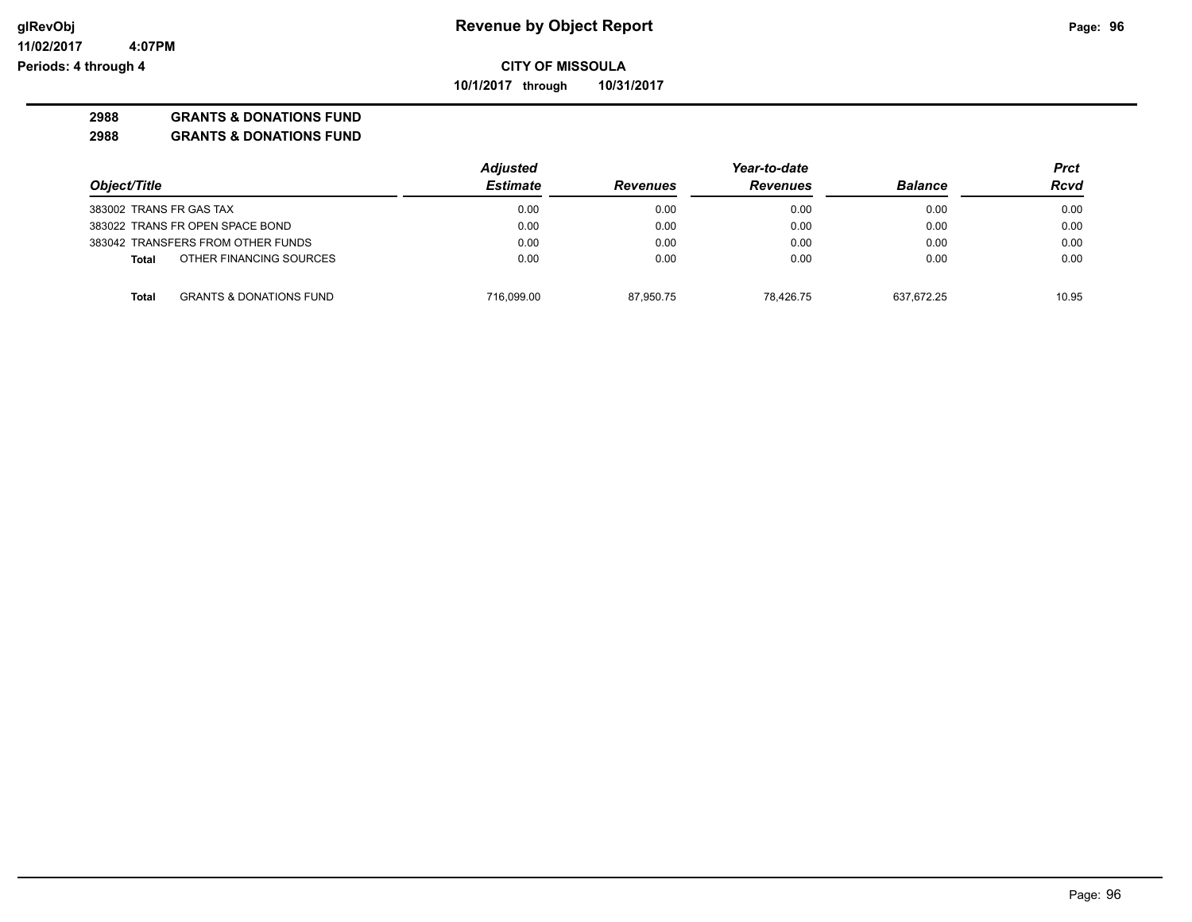**11/02/2017 4:07PM Periods: 4 through 4**

# **CITY OF MISSOULA**

**10/1/2017 through 10/31/2017**

# **2988 GRANTS & DONATIONS FUND**

|                                             | <b>Adjusted</b> |                 | Year-to-date    |                |       |  |
|---------------------------------------------|-----------------|-----------------|-----------------|----------------|-------|--|
| Object/Title                                | <b>Estimate</b> | <b>Revenues</b> | <b>Revenues</b> | <b>Balance</b> | Rcvd  |  |
| 383002 TRANS FR GAS TAX                     | 0.00            | 0.00            | 0.00            | 0.00           | 0.00  |  |
| 383022 TRANS FR OPEN SPACE BOND             | 0.00            | 0.00            | 0.00            | 0.00           | 0.00  |  |
| 383042 TRANSFERS FROM OTHER FUNDS           | 0.00            | 0.00            | 0.00            | 0.00           | 0.00  |  |
| OTHER FINANCING SOURCES<br>Total            | 0.00            | 0.00            | 0.00            | 0.00           | 0.00  |  |
| Total<br><b>GRANTS &amp; DONATIONS FUND</b> | 716.099.00      | 87.950.75       | 78.426.75       | 637.672.25     | 10.95 |  |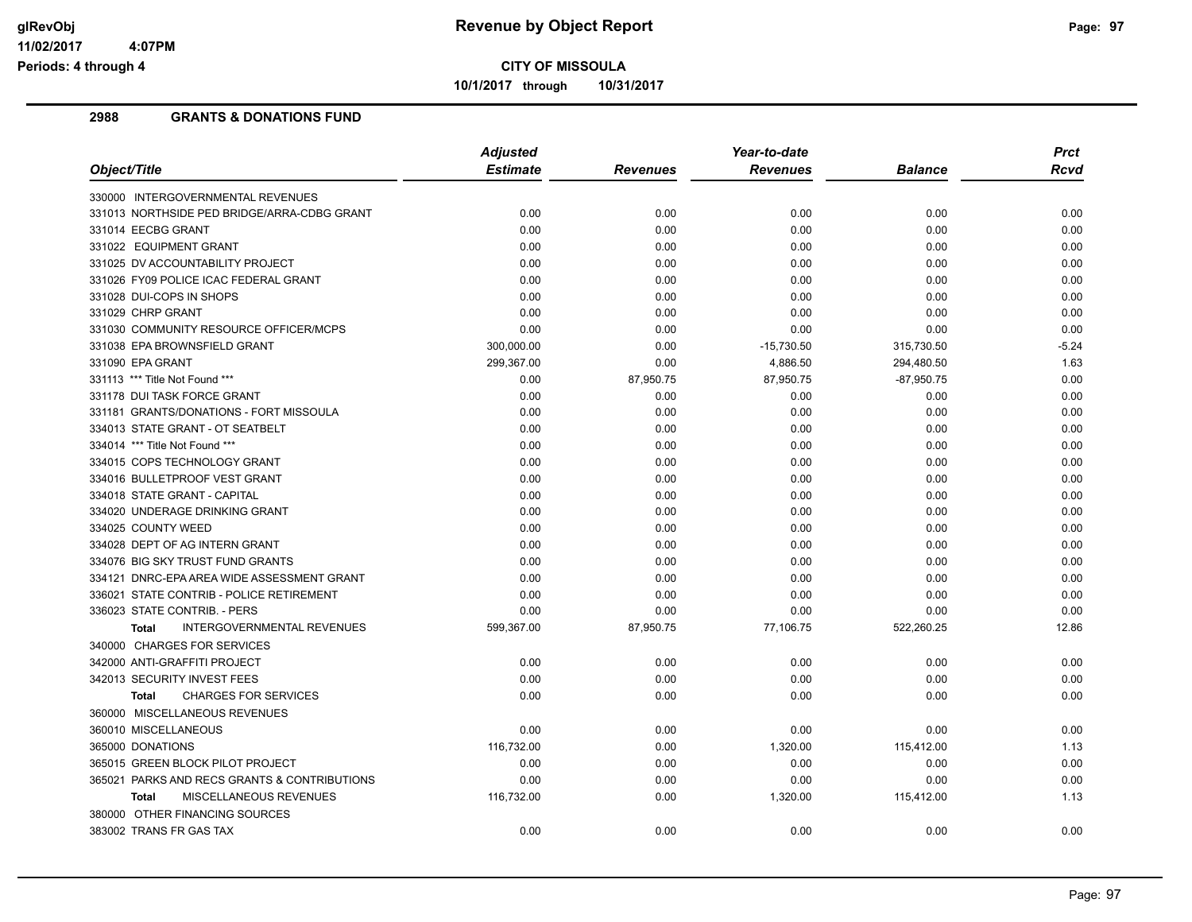**10/1/2017 through 10/31/2017**

| Object/Title                                 | <b>Adjusted</b> | Year-to-date    |                 |                | <b>Prct</b> |
|----------------------------------------------|-----------------|-----------------|-----------------|----------------|-------------|
|                                              | <b>Estimate</b> | <b>Revenues</b> | <b>Revenues</b> | <b>Balance</b> | Rcvd        |
| 330000 INTERGOVERNMENTAL REVENUES            |                 |                 |                 |                |             |
| 331013 NORTHSIDE PED BRIDGE/ARRA-CDBG GRANT  | 0.00            | 0.00            | 0.00            | 0.00           | 0.00        |
| 331014 EECBG GRANT                           | 0.00            | 0.00            | 0.00            | 0.00           | 0.00        |
| 331022 EQUIPMENT GRANT                       | 0.00            | 0.00            | 0.00            | 0.00           | 0.00        |
| 331025 DV ACCOUNTABILITY PROJECT             | 0.00            | 0.00            | 0.00            | 0.00           | 0.00        |
| 331026 FY09 POLICE ICAC FEDERAL GRANT        | 0.00            | 0.00            | 0.00            | 0.00           | 0.00        |
| 331028 DUI-COPS IN SHOPS                     | 0.00            | 0.00            | 0.00            | 0.00           | 0.00        |
| 331029 CHRP GRANT                            | 0.00            | 0.00            | 0.00            | 0.00           | 0.00        |
| 331030 COMMUNITY RESOURCE OFFICER/MCPS       | 0.00            | 0.00            | 0.00            | 0.00           | 0.00        |
| 331038 EPA BROWNSFIELD GRANT                 | 300,000.00      | 0.00            | $-15,730.50$    | 315,730.50     | $-5.24$     |
| 331090 EPA GRANT                             | 299,367.00      | 0.00            | 4,886.50        | 294,480.50     | 1.63        |
| 331113 *** Title Not Found ***               | 0.00            | 87,950.75       | 87,950.75       | $-87,950.75$   | 0.00        |
| 331178 DUI TASK FORCE GRANT                  | 0.00            | 0.00            | 0.00            | 0.00           | 0.00        |
| 331181 GRANTS/DONATIONS - FORT MISSOULA      | 0.00            | 0.00            | 0.00            | 0.00           | 0.00        |
| 334013 STATE GRANT - OT SEATBELT             | 0.00            | 0.00            | 0.00            | 0.00           | 0.00        |
| 334014 *** Title Not Found ***               | 0.00            | 0.00            | 0.00            | 0.00           | 0.00        |
| 334015 COPS TECHNOLOGY GRANT                 | 0.00            | 0.00            | 0.00            | 0.00           | 0.00        |
| 334016 BULLETPROOF VEST GRANT                | 0.00            | 0.00            | 0.00            | 0.00           | 0.00        |
| 334018 STATE GRANT - CAPITAL                 | 0.00            | 0.00            | 0.00            | 0.00           | 0.00        |
| 334020 UNDERAGE DRINKING GRANT               | 0.00            | 0.00            | 0.00            | 0.00           | 0.00        |
| 334025 COUNTY WEED                           | 0.00            | 0.00            | 0.00            | 0.00           | 0.00        |
| 334028 DEPT OF AG INTERN GRANT               | 0.00            | 0.00            | 0.00            | 0.00           | 0.00        |
| 334076 BIG SKY TRUST FUND GRANTS             | 0.00            | 0.00            | 0.00            | 0.00           | 0.00        |
| 334121 DNRC-EPA AREA WIDE ASSESSMENT GRANT   | 0.00            | 0.00            | 0.00            | 0.00           | 0.00        |
| 336021 STATE CONTRIB - POLICE RETIREMENT     | 0.00            | 0.00            | 0.00            | 0.00           | 0.00        |
| 336023 STATE CONTRIB. - PERS                 | 0.00            | 0.00            | 0.00            | 0.00           | 0.00        |
| INTERGOVERNMENTAL REVENUES<br>Total          | 599,367.00      | 87,950.75       | 77,106.75       | 522,260.25     | 12.86       |
| 340000 CHARGES FOR SERVICES                  |                 |                 |                 |                |             |
| 342000 ANTI-GRAFFITI PROJECT                 | 0.00            | 0.00            | 0.00            | 0.00           | 0.00        |
| 342013 SECURITY INVEST FEES                  | 0.00            | 0.00            | 0.00            | 0.00           | 0.00        |
| <b>CHARGES FOR SERVICES</b><br><b>Total</b>  | 0.00            | 0.00            | 0.00            | 0.00           | 0.00        |
| 360000 MISCELLANEOUS REVENUES                |                 |                 |                 |                |             |
| 360010 MISCELLANEOUS                         | 0.00            | 0.00            | 0.00            | 0.00           | 0.00        |
| 365000 DONATIONS                             | 116,732.00      | 0.00            | 1,320.00        | 115,412.00     | 1.13        |
| 365015 GREEN BLOCK PILOT PROJECT             | 0.00            | 0.00            | 0.00            | 0.00           | 0.00        |
| 365021 PARKS AND RECS GRANTS & CONTRIBUTIONS | 0.00            | 0.00            | 0.00            | 0.00           | 0.00        |
| MISCELLANEOUS REVENUES<br>Total              | 116,732.00      | 0.00            | 1,320.00        | 115,412.00     | 1.13        |
| 380000 OTHER FINANCING SOURCES               |                 |                 |                 |                |             |
| 383002 TRANS FR GAS TAX                      | 0.00            | 0.00            | 0.00            | 0.00           | 0.00        |
|                                              |                 |                 |                 |                |             |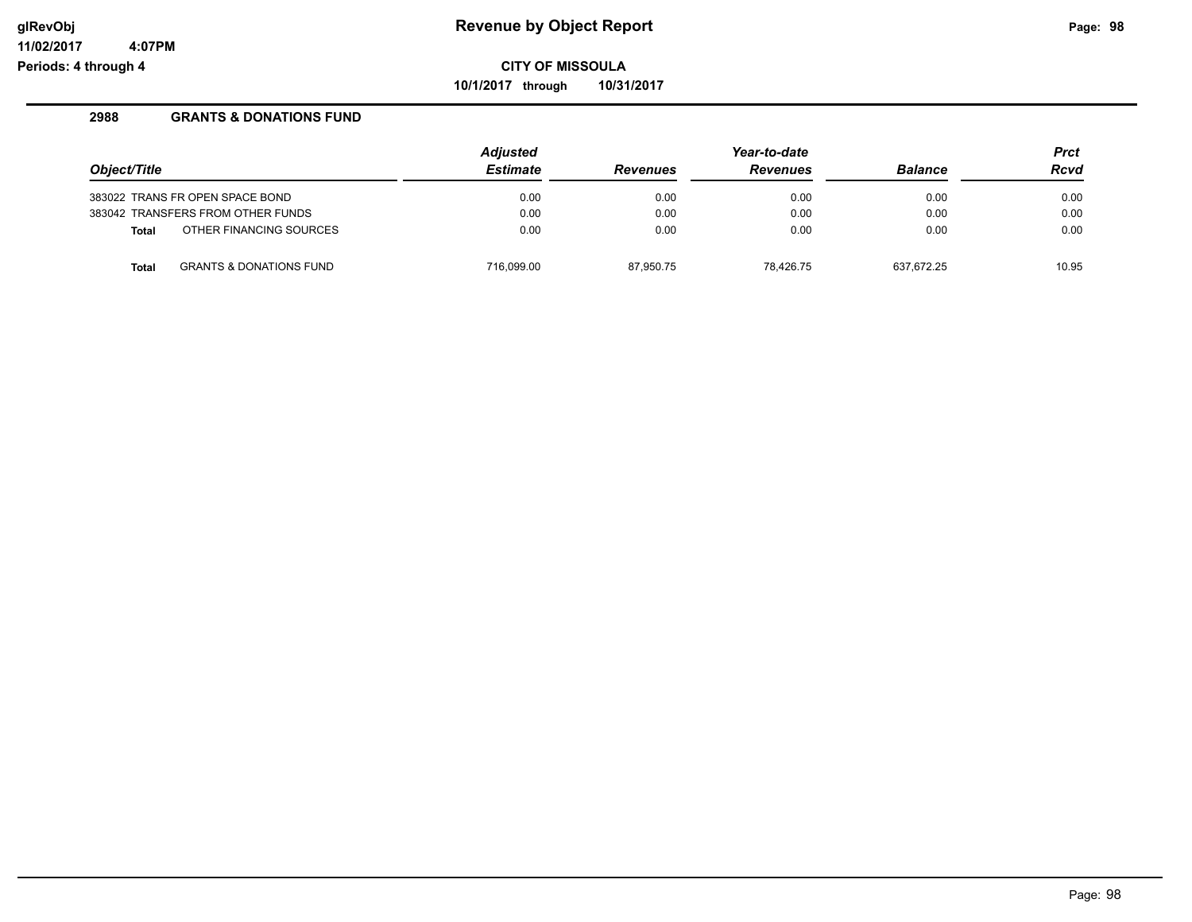**10/1/2017 through 10/31/2017**

|              |                                    | <b>Adjusted</b> |                 | Year-to-date   |             | Prct  |
|--------------|------------------------------------|-----------------|-----------------|----------------|-------------|-------|
| Object/Title | <b>Estimate</b>                    | <b>Revenues</b> | <b>Revenues</b> | <b>Balance</b> | <b>Rcvd</b> |       |
|              | 383022 TRANS FR OPEN SPACE BOND    | 0.00            | 0.00            | 0.00           | 0.00        | 0.00  |
|              | 383042 TRANSFERS FROM OTHER FUNDS  | 0.00            | 0.00            | 0.00           | 0.00        | 0.00  |
| <b>Total</b> | OTHER FINANCING SOURCES            | 0.00            | 0.00            | 0.00           | 0.00        | 0.00  |
| Total        | <b>GRANTS &amp; DONATIONS FUND</b> | 716,099.00      | 87.950.75       | 78.426.75      | 637.672.25  | 10.95 |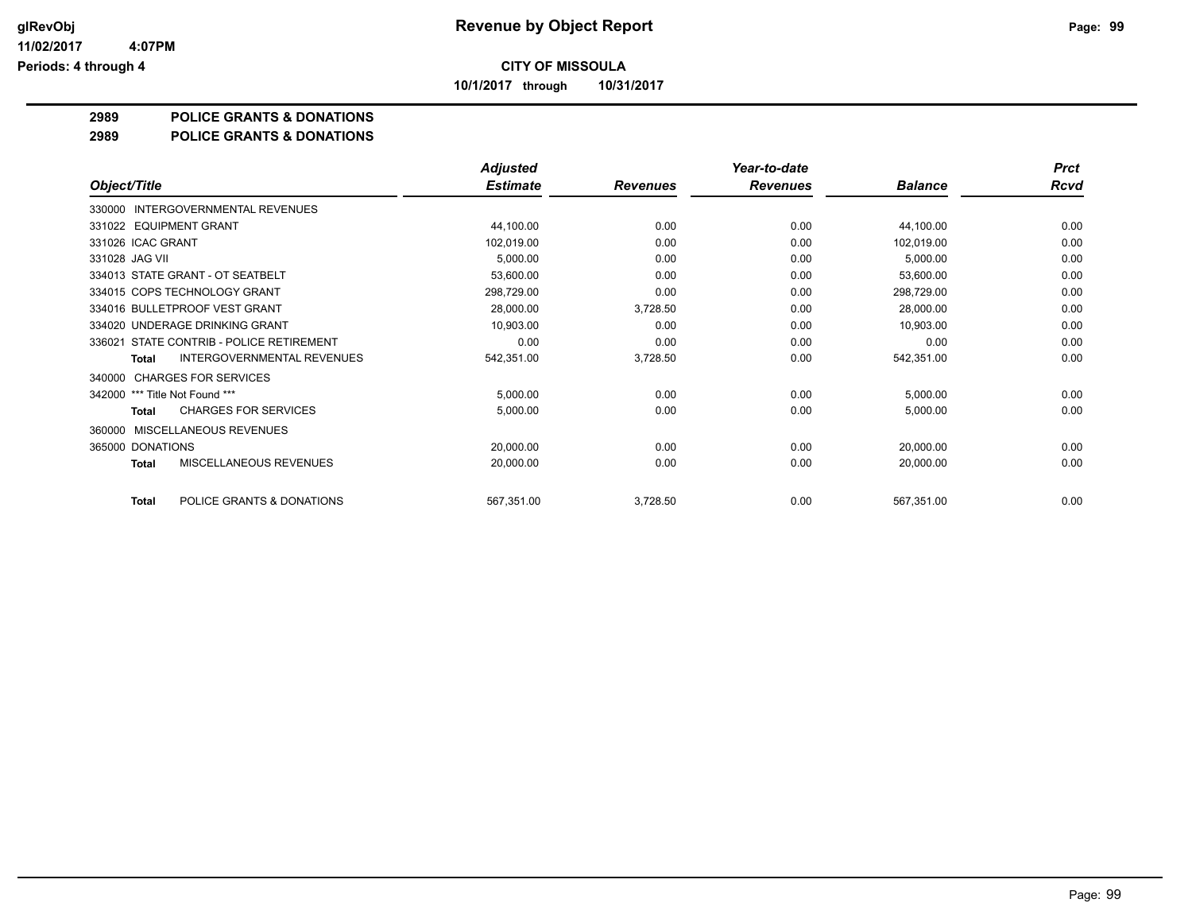**10/1/2017 through 10/31/2017**

# **2989 POLICE GRANTS & DONATIONS**

#### **2989 POLICE GRANTS & DONATIONS**

|                                                   | <b>Adjusted</b> |                 | Year-to-date    |                | <b>Prct</b> |
|---------------------------------------------------|-----------------|-----------------|-----------------|----------------|-------------|
| Object/Title                                      | <b>Estimate</b> | <b>Revenues</b> | <b>Revenues</b> | <b>Balance</b> | Rcvd        |
| 330000 INTERGOVERNMENTAL REVENUES                 |                 |                 |                 |                |             |
| 331022 EQUIPMENT GRANT                            | 44,100.00       | 0.00            | 0.00            | 44,100.00      | 0.00        |
| 331026 ICAC GRANT                                 | 102,019.00      | 0.00            | 0.00            | 102,019.00     | 0.00        |
| 331028 JAG VII                                    | 5,000.00        | 0.00            | 0.00            | 5,000.00       | 0.00        |
| 334013 STATE GRANT - OT SEATBELT                  | 53,600.00       | 0.00            | 0.00            | 53,600.00      | 0.00        |
| 334015 COPS TECHNOLOGY GRANT                      | 298,729.00      | 0.00            | 0.00            | 298,729.00     | 0.00        |
| 334016 BULLETPROOF VEST GRANT                     | 28,000.00       | 3,728.50        | 0.00            | 28,000.00      | 0.00        |
| 334020 UNDERAGE DRINKING GRANT                    | 10,903.00       | 0.00            | 0.00            | 10,903.00      | 0.00        |
| STATE CONTRIB - POLICE RETIREMENT<br>336021       | 0.00            | 0.00            | 0.00            | 0.00           | 0.00        |
| <b>INTERGOVERNMENTAL REVENUES</b><br><b>Total</b> | 542,351.00      | 3,728.50        | 0.00            | 542,351.00     | 0.00        |
| 340000 CHARGES FOR SERVICES                       |                 |                 |                 |                |             |
| 342000 *** Title Not Found ***                    | 5,000.00        | 0.00            | 0.00            | 5,000.00       | 0.00        |
| <b>CHARGES FOR SERVICES</b><br><b>Total</b>       | 5,000.00        | 0.00            | 0.00            | 5,000.00       | 0.00        |
| 360000 MISCELLANEOUS REVENUES                     |                 |                 |                 |                |             |
| 365000 DONATIONS                                  | 20,000.00       | 0.00            | 0.00            | 20,000.00      | 0.00        |
| <b>MISCELLANEOUS REVENUES</b><br><b>Total</b>     | 20,000.00       | 0.00            | 0.00            | 20,000.00      | 0.00        |
| POLICE GRANTS & DONATIONS<br><b>Total</b>         | 567,351.00      | 3,728.50        | 0.00            | 567,351.00     | 0.00        |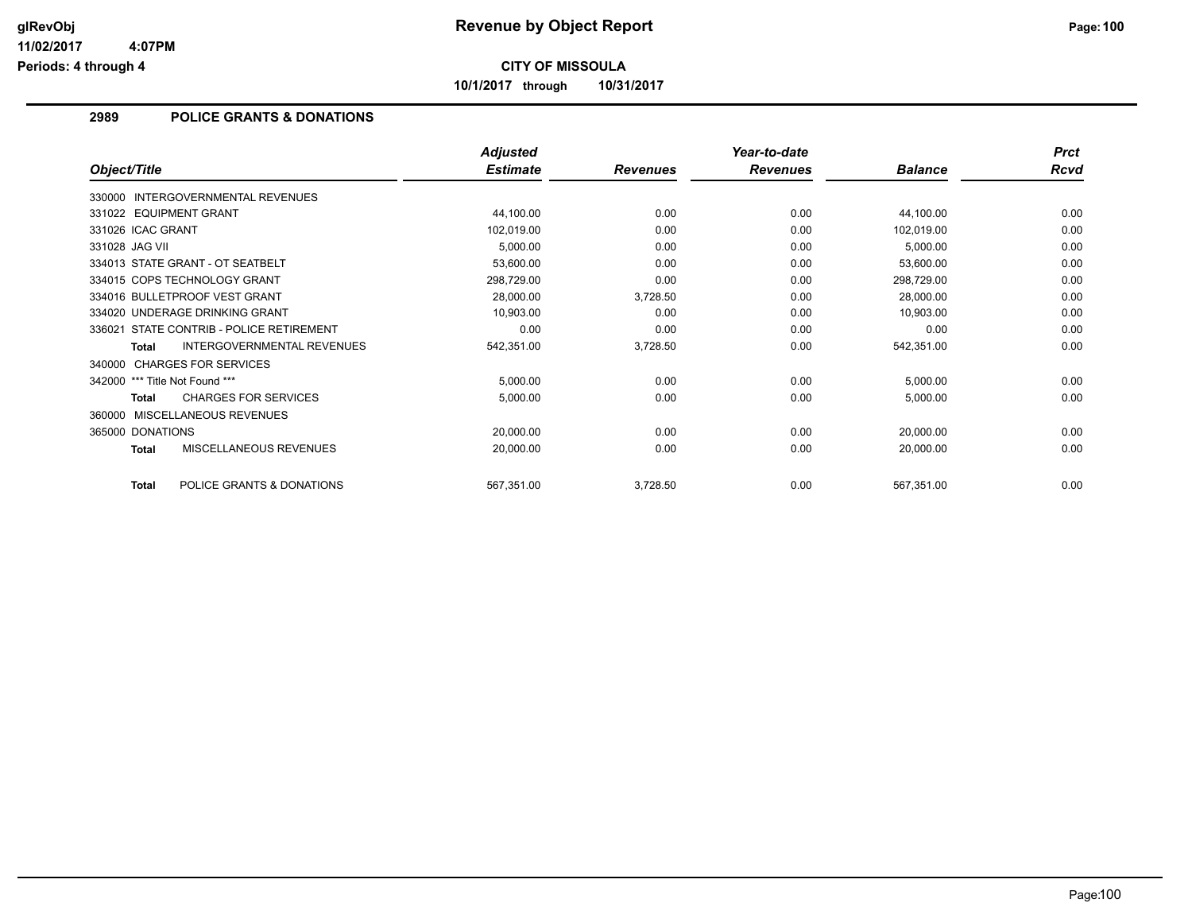**10/1/2017 through 10/31/2017**

# **2989 POLICE GRANTS & DONATIONS**

|                                                   | <b>Adjusted</b> |                 | Year-to-date    |                | <b>Prct</b> |
|---------------------------------------------------|-----------------|-----------------|-----------------|----------------|-------------|
| Object/Title                                      | <b>Estimate</b> | <b>Revenues</b> | <b>Revenues</b> | <b>Balance</b> | <b>Rcvd</b> |
| <b>INTERGOVERNMENTAL REVENUES</b><br>330000       |                 |                 |                 |                |             |
| 331022 EQUIPMENT GRANT                            | 44,100.00       | 0.00            | 0.00            | 44,100.00      | 0.00        |
| 331026 ICAC GRANT                                 | 102,019.00      | 0.00            | 0.00            | 102,019.00     | 0.00        |
| 331028 JAG VII                                    | 5,000.00        | 0.00            | 0.00            | 5,000.00       | 0.00        |
| 334013 STATE GRANT - OT SEATBELT                  | 53,600.00       | 0.00            | 0.00            | 53,600.00      | 0.00        |
| 334015 COPS TECHNOLOGY GRANT                      | 298,729.00      | 0.00            | 0.00            | 298,729.00     | 0.00        |
| 334016 BULLETPROOF VEST GRANT                     | 28,000.00       | 3,728.50        | 0.00            | 28,000.00      | 0.00        |
| 334020 UNDERAGE DRINKING GRANT                    | 10,903.00       | 0.00            | 0.00            | 10,903.00      | 0.00        |
| 336021 STATE CONTRIB - POLICE RETIREMENT          | 0.00            | 0.00            | 0.00            | 0.00           | 0.00        |
| <b>INTERGOVERNMENTAL REVENUES</b><br><b>Total</b> | 542,351.00      | 3,728.50        | 0.00            | 542,351.00     | 0.00        |
| 340000 CHARGES FOR SERVICES                       |                 |                 |                 |                |             |
| 342000 *** Title Not Found ***                    | 5,000.00        | 0.00            | 0.00            | 5,000.00       | 0.00        |
| <b>CHARGES FOR SERVICES</b><br><b>Total</b>       | 5,000.00        | 0.00            | 0.00            | 5,000.00       | 0.00        |
| MISCELLANEOUS REVENUES<br>360000                  |                 |                 |                 |                |             |
| 365000 DONATIONS                                  | 20,000.00       | 0.00            | 0.00            | 20,000.00      | 0.00        |
| <b>MISCELLANEOUS REVENUES</b><br><b>Total</b>     | 20,000.00       | 0.00            | 0.00            | 20,000.00      | 0.00        |
| POLICE GRANTS & DONATIONS<br>Total                | 567,351.00      | 3,728.50        | 0.00            | 567,351.00     | 0.00        |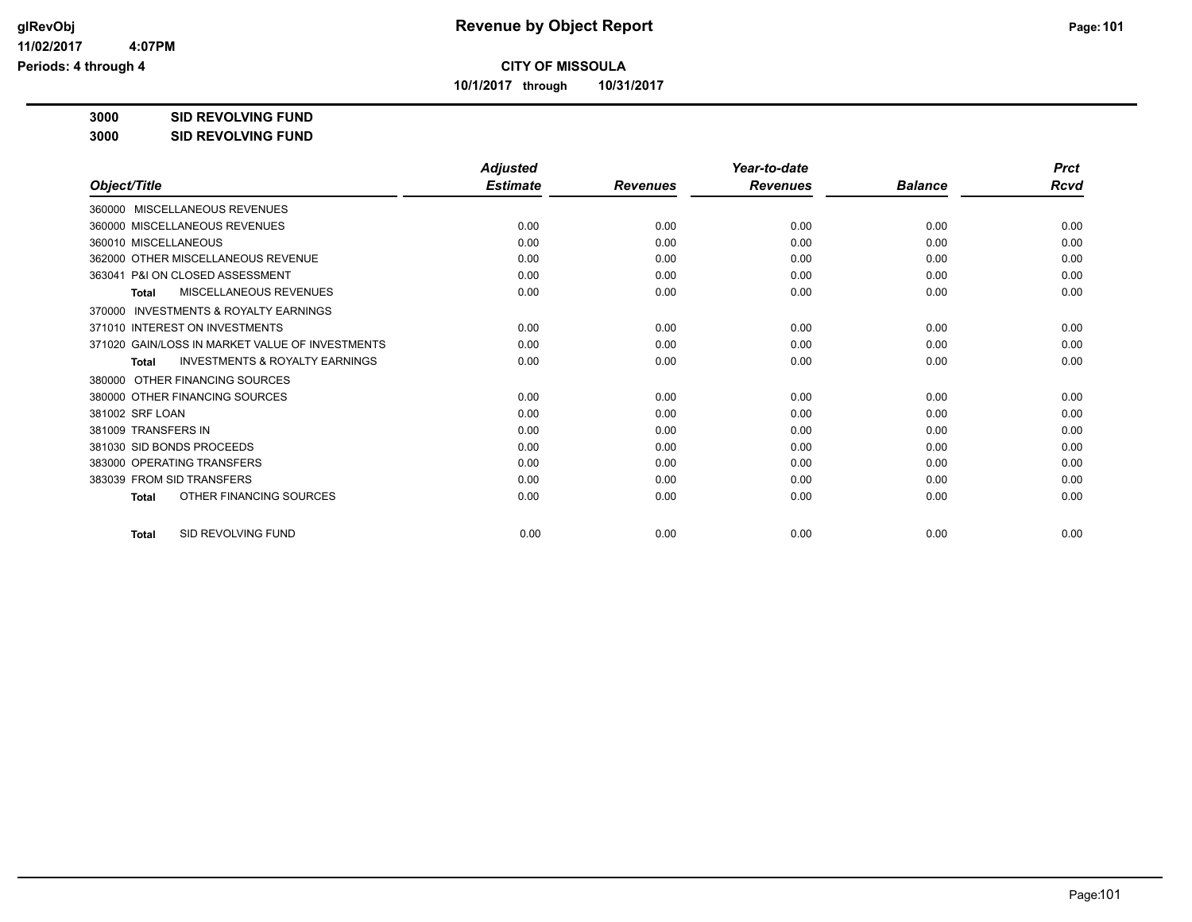**10/1/2017 through 10/31/2017**

**3000 SID REVOLVING FUND**

**3000 SID REVOLVING FUND**

|                                                           | <b>Adjusted</b> |                 | Year-to-date    |                | <b>Prct</b> |
|-----------------------------------------------------------|-----------------|-----------------|-----------------|----------------|-------------|
| Object/Title                                              | <b>Estimate</b> | <b>Revenues</b> | <b>Revenues</b> | <b>Balance</b> | Rcvd        |
| 360000 MISCELLANEOUS REVENUES                             |                 |                 |                 |                |             |
| 360000 MISCELLANEOUS REVENUES                             | 0.00            | 0.00            | 0.00            | 0.00           | 0.00        |
| 360010 MISCELLANEOUS                                      | 0.00            | 0.00            | 0.00            | 0.00           | 0.00        |
| 362000 OTHER MISCELLANEOUS REVENUE                        | 0.00            | 0.00            | 0.00            | 0.00           | 0.00        |
| 363041 P&I ON CLOSED ASSESSMENT                           | 0.00            | 0.00            | 0.00            | 0.00           | 0.00        |
| MISCELLANEOUS REVENUES<br><b>Total</b>                    | 0.00            | 0.00            | 0.00            | 0.00           | 0.00        |
| <b>INVESTMENTS &amp; ROYALTY EARNINGS</b><br>370000       |                 |                 |                 |                |             |
| 371010 INTEREST ON INVESTMENTS                            | 0.00            | 0.00            | 0.00            | 0.00           | 0.00        |
| 371020 GAIN/LOSS IN MARKET VALUE OF INVESTMENTS           | 0.00            | 0.00            | 0.00            | 0.00           | 0.00        |
| <b>INVESTMENTS &amp; ROYALTY EARNINGS</b><br><b>Total</b> | 0.00            | 0.00            | 0.00            | 0.00           | 0.00        |
| OTHER FINANCING SOURCES<br>380000                         |                 |                 |                 |                |             |
| 380000 OTHER FINANCING SOURCES                            | 0.00            | 0.00            | 0.00            | 0.00           | 0.00        |
| 381002 SRF LOAN                                           | 0.00            | 0.00            | 0.00            | 0.00           | 0.00        |
| 381009 TRANSFERS IN                                       | 0.00            | 0.00            | 0.00            | 0.00           | 0.00        |
| 381030 SID BONDS PROCEEDS                                 | 0.00            | 0.00            | 0.00            | 0.00           | 0.00        |
| 383000 OPERATING TRANSFERS                                | 0.00            | 0.00            | 0.00            | 0.00           | 0.00        |
| 383039 FROM SID TRANSFERS                                 | 0.00            | 0.00            | 0.00            | 0.00           | 0.00        |
| OTHER FINANCING SOURCES<br><b>Total</b>                   | 0.00            | 0.00            | 0.00            | 0.00           | 0.00        |
| <b>SID REVOLVING FUND</b><br><b>Total</b>                 | 0.00            | 0.00            | 0.00            | 0.00           | 0.00        |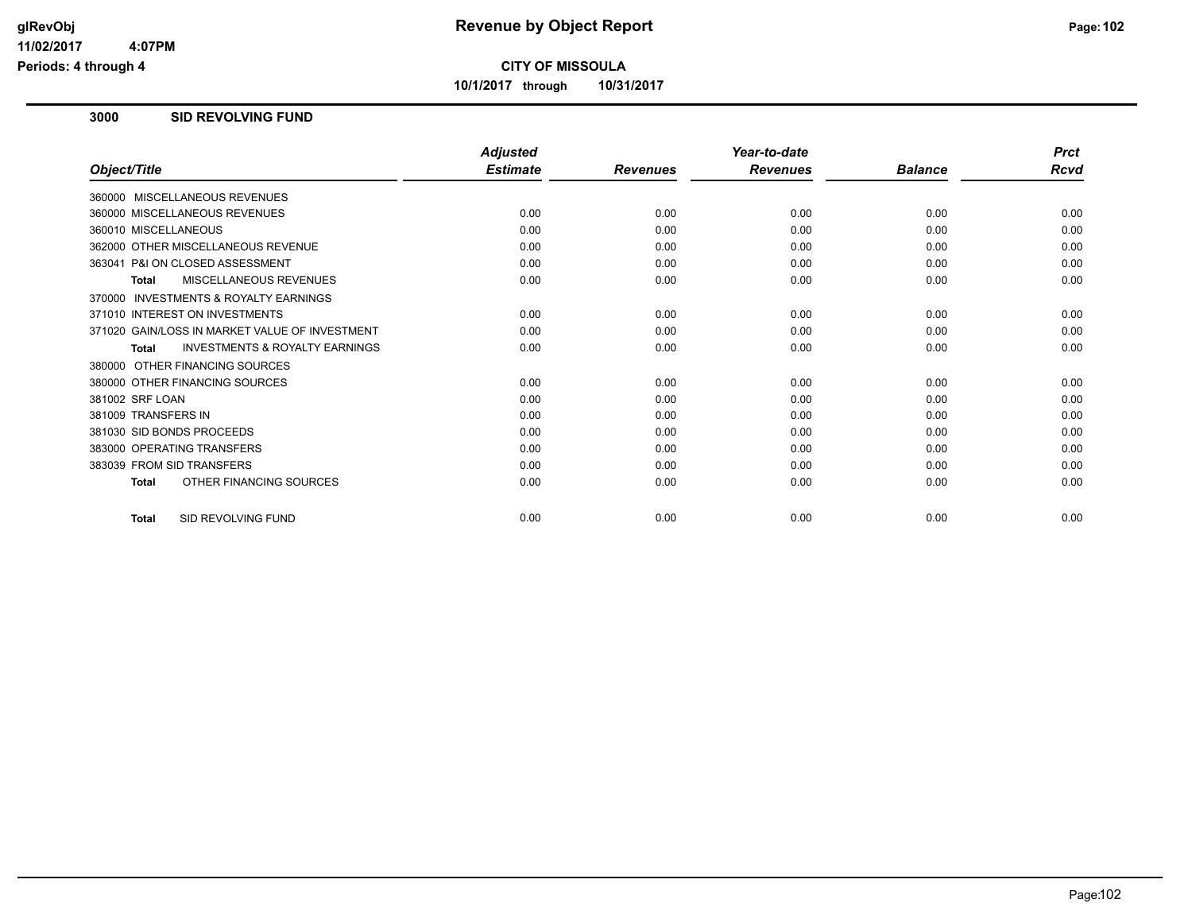**10/1/2017 through 10/31/2017**

### **3000 SID REVOLVING FUND**

|                                                           | <b>Adjusted</b> |                 | Year-to-date    |                | <b>Prct</b> |
|-----------------------------------------------------------|-----------------|-----------------|-----------------|----------------|-------------|
| Object/Title                                              | <b>Estimate</b> | <b>Revenues</b> | <b>Revenues</b> | <b>Balance</b> | Rcvd        |
| 360000 MISCELLANEOUS REVENUES                             |                 |                 |                 |                |             |
| 360000 MISCELLANEOUS REVENUES                             | 0.00            | 0.00            | 0.00            | 0.00           | 0.00        |
| 360010 MISCELLANEOUS                                      | 0.00            | 0.00            | 0.00            | 0.00           | 0.00        |
| 362000 OTHER MISCELLANEOUS REVENUE                        | 0.00            | 0.00            | 0.00            | 0.00           | 0.00        |
| 363041 P&I ON CLOSED ASSESSMENT                           | 0.00            | 0.00            | 0.00            | 0.00           | 0.00        |
| <b>MISCELLANEOUS REVENUES</b><br><b>Total</b>             | 0.00            | 0.00            | 0.00            | 0.00           | 0.00        |
| <b>INVESTMENTS &amp; ROYALTY EARNINGS</b><br>370000       |                 |                 |                 |                |             |
| 371010 INTEREST ON INVESTMENTS                            | 0.00            | 0.00            | 0.00            | 0.00           | 0.00        |
| 371020 GAIN/LOSS IN MARKET VALUE OF INVESTMENT            | 0.00            | 0.00            | 0.00            | 0.00           | 0.00        |
| <b>INVESTMENTS &amp; ROYALTY EARNINGS</b><br><b>Total</b> | 0.00            | 0.00            | 0.00            | 0.00           | 0.00        |
| 380000 OTHER FINANCING SOURCES                            |                 |                 |                 |                |             |
| 380000 OTHER FINANCING SOURCES                            | 0.00            | 0.00            | 0.00            | 0.00           | 0.00        |
| 381002 SRF LOAN                                           | 0.00            | 0.00            | 0.00            | 0.00           | 0.00        |
| 381009 TRANSFERS IN                                       | 0.00            | 0.00            | 0.00            | 0.00           | 0.00        |
| 381030 SID BONDS PROCEEDS                                 | 0.00            | 0.00            | 0.00            | 0.00           | 0.00        |
| 383000 OPERATING TRANSFERS                                | 0.00            | 0.00            | 0.00            | 0.00           | 0.00        |
| 383039 FROM SID TRANSFERS                                 | 0.00            | 0.00            | 0.00            | 0.00           | 0.00        |
| OTHER FINANCING SOURCES<br><b>Total</b>                   | 0.00            | 0.00            | 0.00            | 0.00           | 0.00        |
| <b>SID REVOLVING FUND</b><br><b>Total</b>                 | 0.00            | 0.00            | 0.00            | 0.00           | 0.00        |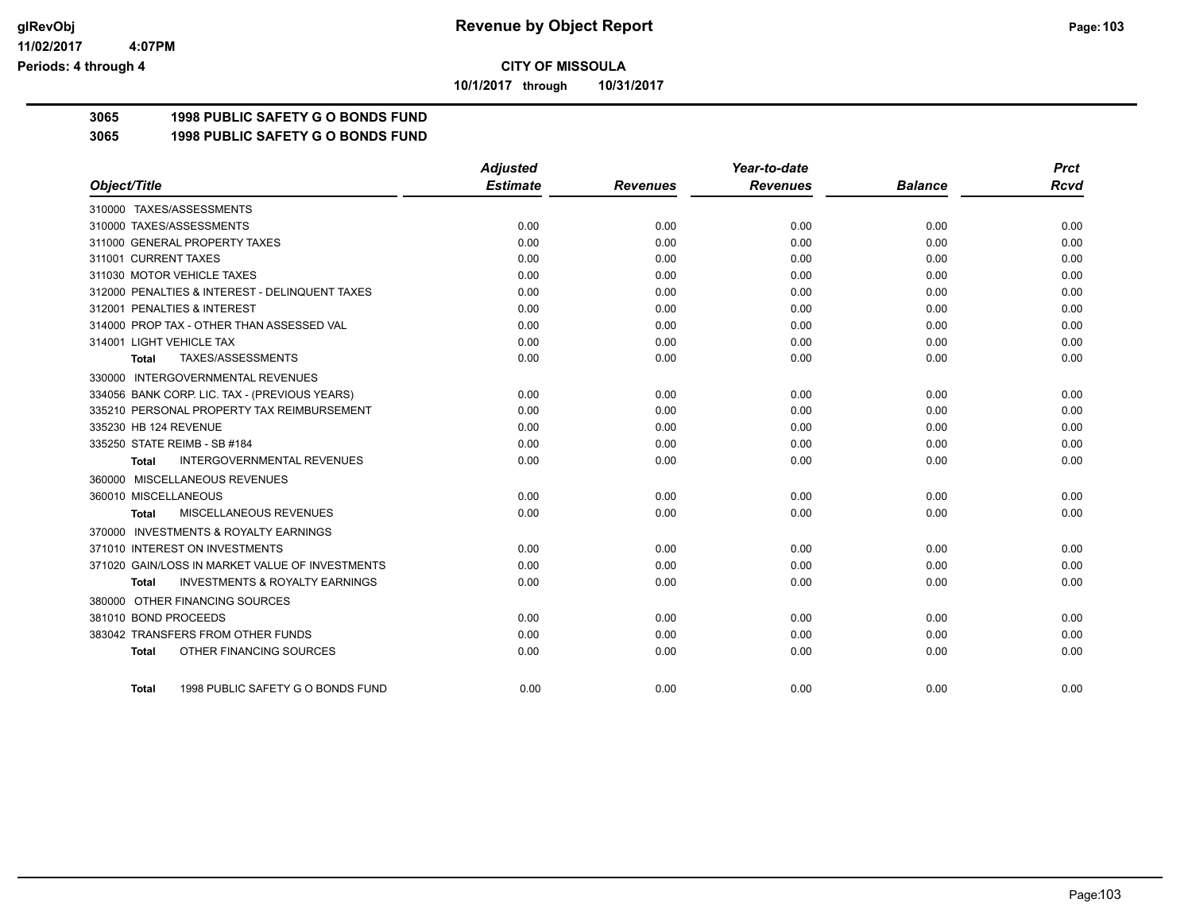**10/1/2017 through 10/31/2017**

# **3065 1998 PUBLIC SAFETY G O BONDS FUND**

**3065 1998 PUBLIC SAFETY G O BONDS FUND**

|                                                     | <b>Adjusted</b> |                 | Year-to-date    |                | <b>Prct</b> |
|-----------------------------------------------------|-----------------|-----------------|-----------------|----------------|-------------|
| Object/Title                                        | <b>Estimate</b> | <b>Revenues</b> | <b>Revenues</b> | <b>Balance</b> | Rcvd        |
| 310000 TAXES/ASSESSMENTS                            |                 |                 |                 |                |             |
| 310000 TAXES/ASSESSMENTS                            | 0.00            | 0.00            | 0.00            | 0.00           | 0.00        |
| 311000 GENERAL PROPERTY TAXES                       | 0.00            | 0.00            | 0.00            | 0.00           | 0.00        |
| 311001 CURRENT TAXES                                | 0.00            | 0.00            | 0.00            | 0.00           | 0.00        |
| 311030 MOTOR VEHICLE TAXES                          | 0.00            | 0.00            | 0.00            | 0.00           | 0.00        |
| 312000 PENALTIES & INTEREST - DELINQUENT TAXES      | 0.00            | 0.00            | 0.00            | 0.00           | 0.00        |
| 312001 PENALTIES & INTEREST                         | 0.00            | 0.00            | 0.00            | 0.00           | 0.00        |
| 314000 PROP TAX - OTHER THAN ASSESSED VAL           | 0.00            | 0.00            | 0.00            | 0.00           | 0.00        |
| 314001 LIGHT VEHICLE TAX                            | 0.00            | 0.00            | 0.00            | 0.00           | 0.00        |
| TAXES/ASSESSMENTS<br>Total                          | 0.00            | 0.00            | 0.00            | 0.00           | 0.00        |
| 330000 INTERGOVERNMENTAL REVENUES                   |                 |                 |                 |                |             |
| 334056 BANK CORP. LIC. TAX - (PREVIOUS YEARS)       | 0.00            | 0.00            | 0.00            | 0.00           | 0.00        |
| 335210 PERSONAL PROPERTY TAX REIMBURSEMENT          | 0.00            | 0.00            | 0.00            | 0.00           | 0.00        |
| 335230 HB 124 REVENUE                               | 0.00            | 0.00            | 0.00            | 0.00           | 0.00        |
| 335250 STATE REIMB - SB #184                        | 0.00            | 0.00            | 0.00            | 0.00           | 0.00        |
| <b>INTERGOVERNMENTAL REVENUES</b><br><b>Total</b>   | 0.00            | 0.00            | 0.00            | 0.00           | 0.00        |
| 360000 MISCELLANEOUS REVENUES                       |                 |                 |                 |                |             |
| 360010 MISCELLANEOUS                                | 0.00            | 0.00            | 0.00            | 0.00           | 0.00        |
| <b>MISCELLANEOUS REVENUES</b><br>Total              | 0.00            | 0.00            | 0.00            | 0.00           | 0.00        |
| <b>INVESTMENTS &amp; ROYALTY EARNINGS</b><br>370000 |                 |                 |                 |                |             |
| 371010 INTEREST ON INVESTMENTS                      | 0.00            | 0.00            | 0.00            | 0.00           | 0.00        |
| 371020 GAIN/LOSS IN MARKET VALUE OF INVESTMENTS     | 0.00            | 0.00            | 0.00            | 0.00           | 0.00        |
| <b>INVESTMENTS &amp; ROYALTY EARNINGS</b><br>Total  | 0.00            | 0.00            | 0.00            | 0.00           | 0.00        |
| 380000 OTHER FINANCING SOURCES                      |                 |                 |                 |                |             |
| 381010 BOND PROCEEDS                                | 0.00            | 0.00            | 0.00            | 0.00           | 0.00        |
| 383042 TRANSFERS FROM OTHER FUNDS                   | 0.00            | 0.00            | 0.00            | 0.00           | 0.00        |
| OTHER FINANCING SOURCES<br><b>Total</b>             | 0.00            | 0.00            | 0.00            | 0.00           | 0.00        |
| 1998 PUBLIC SAFETY G O BONDS FUND<br>Total          | 0.00            | 0.00            | 0.00            | 0.00           | 0.00        |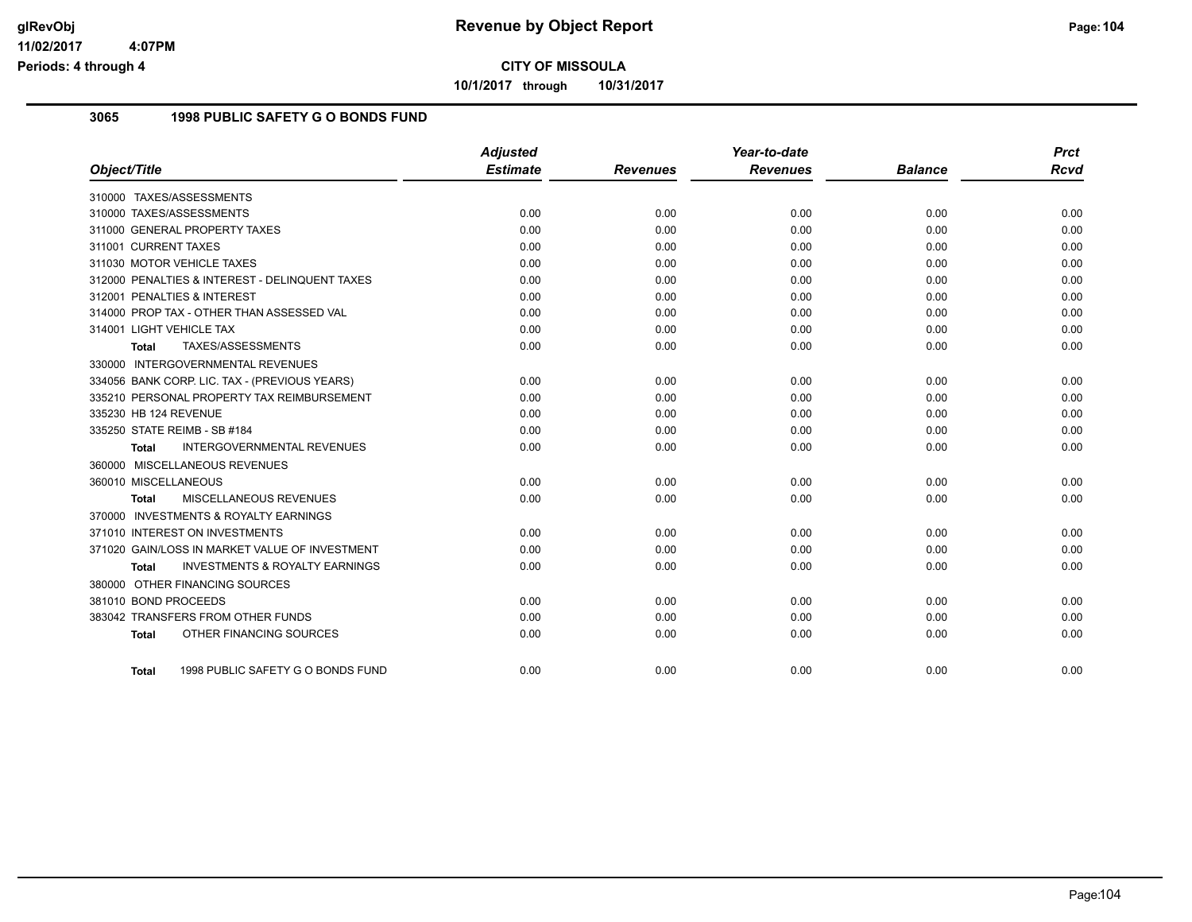**10/1/2017 through 10/31/2017**

# **3065 1998 PUBLIC SAFETY G O BONDS FUND**

|                                                    | <b>Adjusted</b> |                 | Year-to-date    |                | <b>Prct</b> |
|----------------------------------------------------|-----------------|-----------------|-----------------|----------------|-------------|
| Object/Title                                       | <b>Estimate</b> | <b>Revenues</b> | <b>Revenues</b> | <b>Balance</b> | <b>Rcvd</b> |
| 310000 TAXES/ASSESSMENTS                           |                 |                 |                 |                |             |
| 310000 TAXES/ASSESSMENTS                           | 0.00            | 0.00            | 0.00            | 0.00           | 0.00        |
| 311000 GENERAL PROPERTY TAXES                      | 0.00            | 0.00            | 0.00            | 0.00           | 0.00        |
| 311001 CURRENT TAXES                               | 0.00            | 0.00            | 0.00            | 0.00           | 0.00        |
| 311030 MOTOR VEHICLE TAXES                         | 0.00            | 0.00            | 0.00            | 0.00           | 0.00        |
| 312000 PENALTIES & INTEREST - DELINQUENT TAXES     | 0.00            | 0.00            | 0.00            | 0.00           | 0.00        |
| 312001 PENALTIES & INTEREST                        | 0.00            | 0.00            | 0.00            | 0.00           | 0.00        |
| 314000 PROP TAX - OTHER THAN ASSESSED VAL          | 0.00            | 0.00            | 0.00            | 0.00           | 0.00        |
| 314001 LIGHT VEHICLE TAX                           | 0.00            | 0.00            | 0.00            | 0.00           | 0.00        |
| TAXES/ASSESSMENTS<br><b>Total</b>                  | 0.00            | 0.00            | 0.00            | 0.00           | 0.00        |
| 330000 INTERGOVERNMENTAL REVENUES                  |                 |                 |                 |                |             |
| 334056 BANK CORP. LIC. TAX - (PREVIOUS YEARS)      | 0.00            | 0.00            | 0.00            | 0.00           | 0.00        |
| 335210 PERSONAL PROPERTY TAX REIMBURSEMENT         | 0.00            | 0.00            | 0.00            | 0.00           | 0.00        |
| 335230 HB 124 REVENUE                              | 0.00            | 0.00            | 0.00            | 0.00           | 0.00        |
| 335250 STATE REIMB - SB #184                       | 0.00            | 0.00            | 0.00            | 0.00           | 0.00        |
| <b>INTERGOVERNMENTAL REVENUES</b><br>Total         | 0.00            | 0.00            | 0.00            | 0.00           | 0.00        |
| 360000 MISCELLANEOUS REVENUES                      |                 |                 |                 |                |             |
| 360010 MISCELLANEOUS                               | 0.00            | 0.00            | 0.00            | 0.00           | 0.00        |
| MISCELLANEOUS REVENUES<br><b>Total</b>             | 0.00            | 0.00            | 0.00            | 0.00           | 0.00        |
| 370000 INVESTMENTS & ROYALTY EARNINGS              |                 |                 |                 |                |             |
| 371010 INTEREST ON INVESTMENTS                     | 0.00            | 0.00            | 0.00            | 0.00           | 0.00        |
| 371020 GAIN/LOSS IN MARKET VALUE OF INVESTMENT     | 0.00            | 0.00            | 0.00            | 0.00           | 0.00        |
| <b>INVESTMENTS &amp; ROYALTY EARNINGS</b><br>Total | 0.00            | 0.00            | 0.00            | 0.00           | 0.00        |
| 380000 OTHER FINANCING SOURCES                     |                 |                 |                 |                |             |
| 381010 BOND PROCEEDS                               | 0.00            | 0.00            | 0.00            | 0.00           | 0.00        |
| 383042 TRANSFERS FROM OTHER FUNDS                  | 0.00            | 0.00            | 0.00            | 0.00           | 0.00        |
| OTHER FINANCING SOURCES<br><b>Total</b>            | 0.00            | 0.00            | 0.00            | 0.00           | 0.00        |
| 1998 PUBLIC SAFETY G O BONDS FUND<br>Total         | 0.00            | 0.00            | 0.00            | 0.00           | 0.00        |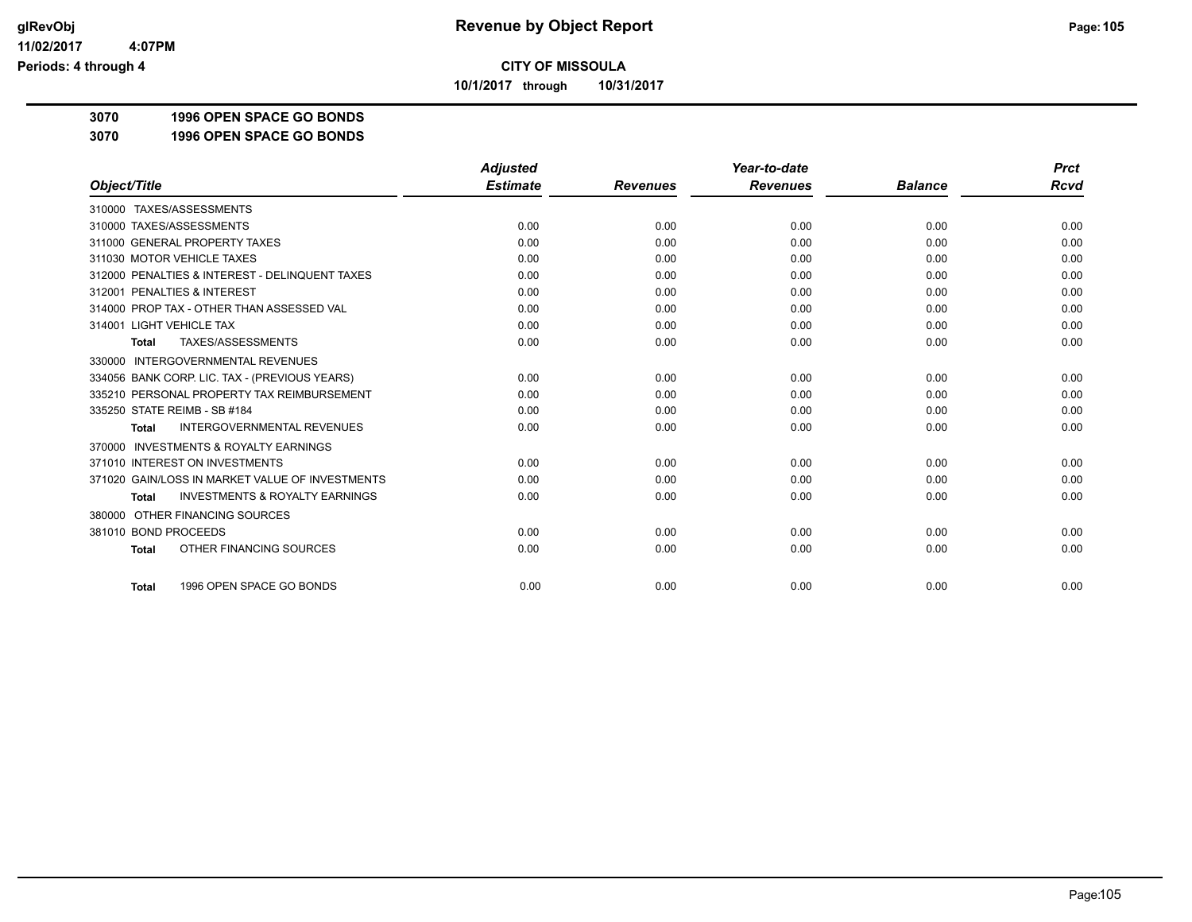**10/1/2017 through 10/31/2017**

**3070 1996 OPEN SPACE GO BONDS**

**3070 1996 OPEN SPACE GO BONDS**

|                                                     | Adjusted        |                 | Year-to-date    |                | <b>Prct</b> |
|-----------------------------------------------------|-----------------|-----------------|-----------------|----------------|-------------|
| Object/Title                                        | <b>Estimate</b> | <b>Revenues</b> | <b>Revenues</b> | <b>Balance</b> | <b>Rcvd</b> |
| 310000 TAXES/ASSESSMENTS                            |                 |                 |                 |                |             |
| 310000 TAXES/ASSESSMENTS                            | 0.00            | 0.00            | 0.00            | 0.00           | 0.00        |
| 311000 GENERAL PROPERTY TAXES                       | 0.00            | 0.00            | 0.00            | 0.00           | 0.00        |
| 311030 MOTOR VEHICLE TAXES                          | 0.00            | 0.00            | 0.00            | 0.00           | 0.00        |
| 312000 PENALTIES & INTEREST - DELINQUENT TAXES      | 0.00            | 0.00            | 0.00            | 0.00           | 0.00        |
| 312001 PENALTIES & INTEREST                         | 0.00            | 0.00            | 0.00            | 0.00           | 0.00        |
| 314000 PROP TAX - OTHER THAN ASSESSED VAL           | 0.00            | 0.00            | 0.00            | 0.00           | 0.00        |
| 314001 LIGHT VEHICLE TAX                            | 0.00            | 0.00            | 0.00            | 0.00           | 0.00        |
| TAXES/ASSESSMENTS<br><b>Total</b>                   | 0.00            | 0.00            | 0.00            | 0.00           | 0.00        |
| <b>INTERGOVERNMENTAL REVENUES</b><br>330000         |                 |                 |                 |                |             |
| 334056 BANK CORP. LIC. TAX - (PREVIOUS YEARS)       | 0.00            | 0.00            | 0.00            | 0.00           | 0.00        |
| 335210 PERSONAL PROPERTY TAX REIMBURSEMENT          | 0.00            | 0.00            | 0.00            | 0.00           | 0.00        |
| 335250 STATE REIMB - SB #184                        | 0.00            | 0.00            | 0.00            | 0.00           | 0.00        |
| <b>INTERGOVERNMENTAL REVENUES</b><br><b>Total</b>   | 0.00            | 0.00            | 0.00            | 0.00           | 0.00        |
| <b>INVESTMENTS &amp; ROYALTY EARNINGS</b><br>370000 |                 |                 |                 |                |             |
| 371010 INTEREST ON INVESTMENTS                      | 0.00            | 0.00            | 0.00            | 0.00           | 0.00        |
| 371020 GAIN/LOSS IN MARKET VALUE OF INVESTMENTS     | 0.00            | 0.00            | 0.00            | 0.00           | 0.00        |
| <b>INVESTMENTS &amp; ROYALTY EARNINGS</b><br>Total  | 0.00            | 0.00            | 0.00            | 0.00           | 0.00        |
| 380000 OTHER FINANCING SOURCES                      |                 |                 |                 |                |             |
| 381010 BOND PROCEEDS                                | 0.00            | 0.00            | 0.00            | 0.00           | 0.00        |
| OTHER FINANCING SOURCES<br><b>Total</b>             | 0.00            | 0.00            | 0.00            | 0.00           | 0.00        |
|                                                     |                 |                 |                 |                |             |
| 1996 OPEN SPACE GO BONDS<br>Total                   | 0.00            | 0.00            | 0.00            | 0.00           | 0.00        |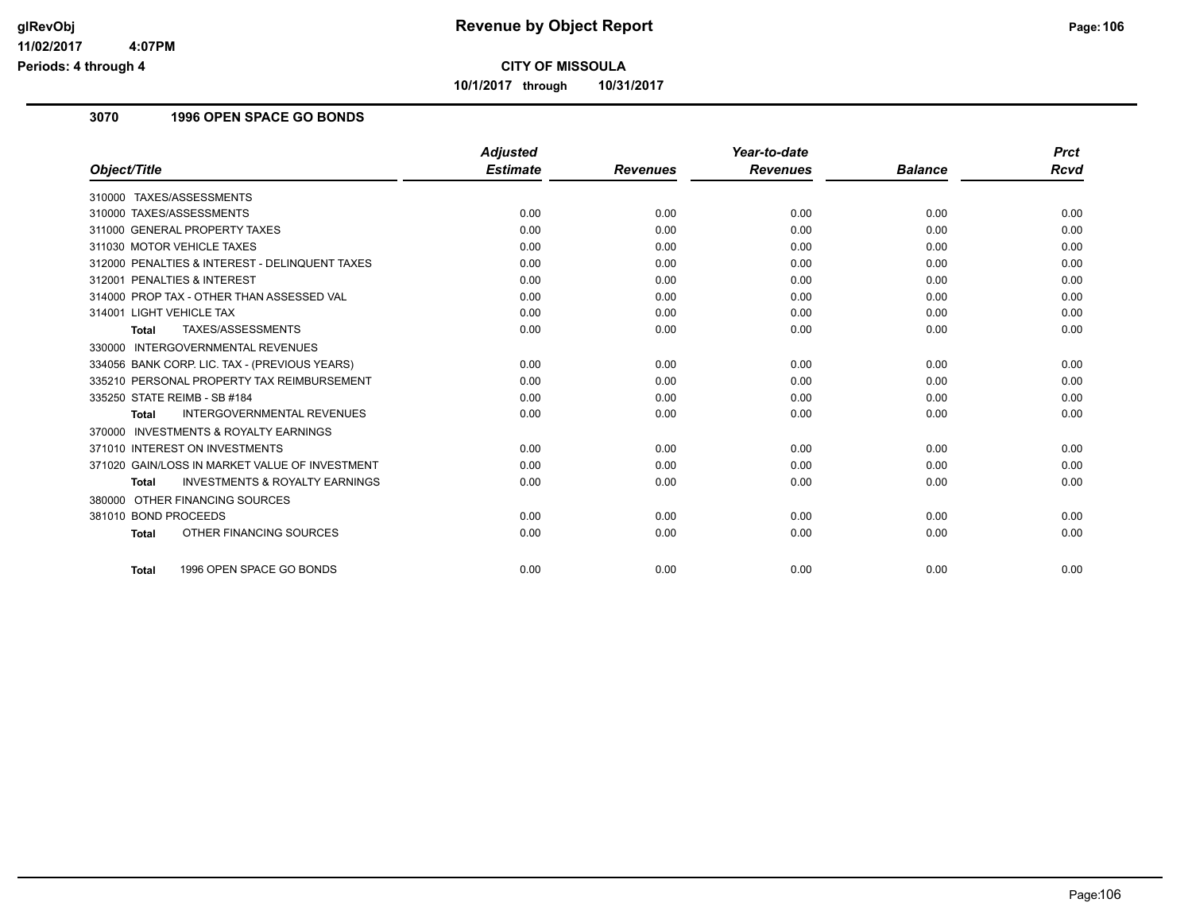**10/1/2017 through 10/31/2017**

# **3070 1996 OPEN SPACE GO BONDS**

|                                                           | <b>Adjusted</b> |                 | Year-to-date    |                | <b>Prct</b> |
|-----------------------------------------------------------|-----------------|-----------------|-----------------|----------------|-------------|
| Object/Title                                              | <b>Estimate</b> | <b>Revenues</b> | <b>Revenues</b> | <b>Balance</b> | Rcvd        |
| 310000 TAXES/ASSESSMENTS                                  |                 |                 |                 |                |             |
| 310000 TAXES/ASSESSMENTS                                  | 0.00            | 0.00            | 0.00            | 0.00           | 0.00        |
| 311000 GENERAL PROPERTY TAXES                             | 0.00            | 0.00            | 0.00            | 0.00           | 0.00        |
| 311030 MOTOR VEHICLE TAXES                                | 0.00            | 0.00            | 0.00            | 0.00           | 0.00        |
| 312000 PENALTIES & INTEREST - DELINQUENT TAXES            | 0.00            | 0.00            | 0.00            | 0.00           | 0.00        |
| 312001 PENALTIES & INTEREST                               | 0.00            | 0.00            | 0.00            | 0.00           | 0.00        |
| 314000 PROP TAX - OTHER THAN ASSESSED VAL                 | 0.00            | 0.00            | 0.00            | 0.00           | 0.00        |
| 314001 LIGHT VEHICLE TAX                                  | 0.00            | 0.00            | 0.00            | 0.00           | 0.00        |
| TAXES/ASSESSMENTS<br><b>Total</b>                         | 0.00            | 0.00            | 0.00            | 0.00           | 0.00        |
| 330000 INTERGOVERNMENTAL REVENUES                         |                 |                 |                 |                |             |
| 334056 BANK CORP. LIC. TAX - (PREVIOUS YEARS)             | 0.00            | 0.00            | 0.00            | 0.00           | 0.00        |
| 335210 PERSONAL PROPERTY TAX REIMBURSEMENT                | 0.00            | 0.00            | 0.00            | 0.00           | 0.00        |
| 335250 STATE REIMB - SB #184                              | 0.00            | 0.00            | 0.00            | 0.00           | 0.00        |
| <b>INTERGOVERNMENTAL REVENUES</b><br><b>Total</b>         | 0.00            | 0.00            | 0.00            | 0.00           | 0.00        |
| 370000 INVESTMENTS & ROYALTY EARNINGS                     |                 |                 |                 |                |             |
| 371010 INTEREST ON INVESTMENTS                            | 0.00            | 0.00            | 0.00            | 0.00           | 0.00        |
| 371020 GAIN/LOSS IN MARKET VALUE OF INVESTMENT            | 0.00            | 0.00            | 0.00            | 0.00           | 0.00        |
| <b>INVESTMENTS &amp; ROYALTY EARNINGS</b><br><b>Total</b> | 0.00            | 0.00            | 0.00            | 0.00           | 0.00        |
| 380000 OTHER FINANCING SOURCES                            |                 |                 |                 |                |             |
| 381010 BOND PROCEEDS                                      | 0.00            | 0.00            | 0.00            | 0.00           | 0.00        |
| OTHER FINANCING SOURCES<br><b>Total</b>                   | 0.00            | 0.00            | 0.00            | 0.00           | 0.00        |
| 1996 OPEN SPACE GO BONDS<br><b>Total</b>                  | 0.00            | 0.00            | 0.00            | 0.00           | 0.00        |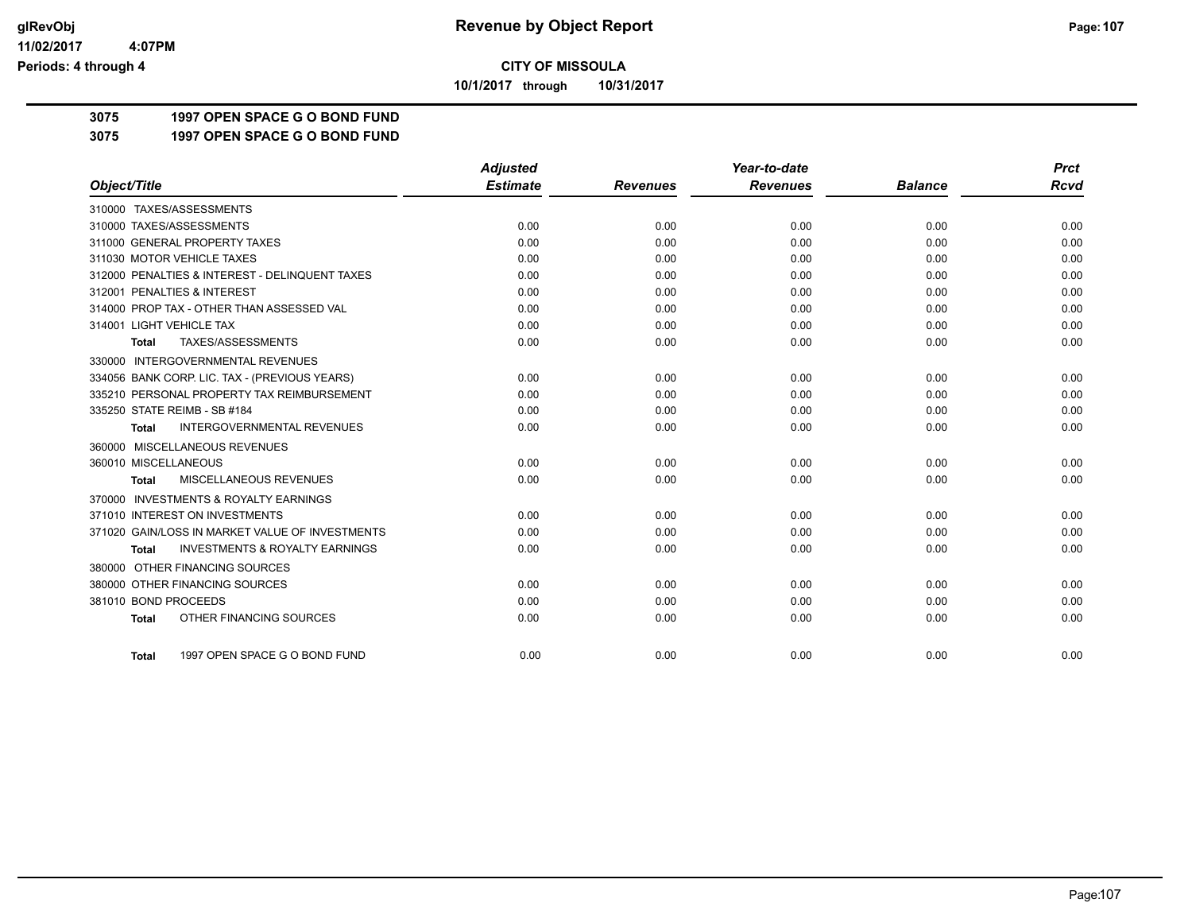**10/1/2017 through 10/31/2017**

# **3075 1997 OPEN SPACE G O BOND FUND**

### **3075 1997 OPEN SPACE G O BOND FUND**

|                                                           | <b>Adjusted</b> |                 | Year-to-date    |                | <b>Prct</b> |
|-----------------------------------------------------------|-----------------|-----------------|-----------------|----------------|-------------|
| Object/Title                                              | <b>Estimate</b> | <b>Revenues</b> | <b>Revenues</b> | <b>Balance</b> | Rcvd        |
| 310000 TAXES/ASSESSMENTS                                  |                 |                 |                 |                |             |
| 310000 TAXES/ASSESSMENTS                                  | 0.00            | 0.00            | 0.00            | 0.00           | 0.00        |
| 311000 GENERAL PROPERTY TAXES                             | 0.00            | 0.00            | 0.00            | 0.00           | 0.00        |
| 311030 MOTOR VEHICLE TAXES                                | 0.00            | 0.00            | 0.00            | 0.00           | 0.00        |
| 312000 PENALTIES & INTEREST - DELINQUENT TAXES            | 0.00            | 0.00            | 0.00            | 0.00           | 0.00        |
| 312001 PENALTIES & INTEREST                               | 0.00            | 0.00            | 0.00            | 0.00           | 0.00        |
| 314000 PROP TAX - OTHER THAN ASSESSED VAL                 | 0.00            | 0.00            | 0.00            | 0.00           | 0.00        |
| 314001 LIGHT VEHICLE TAX                                  | 0.00            | 0.00            | 0.00            | 0.00           | 0.00        |
| TAXES/ASSESSMENTS<br>Total                                | 0.00            | 0.00            | 0.00            | 0.00           | 0.00        |
| 330000 INTERGOVERNMENTAL REVENUES                         |                 |                 |                 |                |             |
| 334056 BANK CORP. LIC. TAX - (PREVIOUS YEARS)             | 0.00            | 0.00            | 0.00            | 0.00           | 0.00        |
| 335210 PERSONAL PROPERTY TAX REIMBURSEMENT                | 0.00            | 0.00            | 0.00            | 0.00           | 0.00        |
| 335250 STATE REIMB - SB #184                              | 0.00            | 0.00            | 0.00            | 0.00           | 0.00        |
| INTERGOVERNMENTAL REVENUES<br><b>Total</b>                | 0.00            | 0.00            | 0.00            | 0.00           | 0.00        |
| 360000 MISCELLANEOUS REVENUES                             |                 |                 |                 |                |             |
| 360010 MISCELLANEOUS                                      | 0.00            | 0.00            | 0.00            | 0.00           | 0.00        |
| <b>MISCELLANEOUS REVENUES</b><br><b>Total</b>             | 0.00            | 0.00            | 0.00            | 0.00           | 0.00        |
| <b>INVESTMENTS &amp; ROYALTY EARNINGS</b><br>370000       |                 |                 |                 |                |             |
| 371010 INTEREST ON INVESTMENTS                            | 0.00            | 0.00            | 0.00            | 0.00           | 0.00        |
| 371020 GAIN/LOSS IN MARKET VALUE OF INVESTMENTS           | 0.00            | 0.00            | 0.00            | 0.00           | 0.00        |
| <b>INVESTMENTS &amp; ROYALTY EARNINGS</b><br><b>Total</b> | 0.00            | 0.00            | 0.00            | 0.00           | 0.00        |
| 380000 OTHER FINANCING SOURCES                            |                 |                 |                 |                |             |
| 380000 OTHER FINANCING SOURCES                            | 0.00            | 0.00            | 0.00            | 0.00           | 0.00        |
| 381010 BOND PROCEEDS                                      | 0.00            | 0.00            | 0.00            | 0.00           | 0.00        |
| OTHER FINANCING SOURCES<br><b>Total</b>                   | 0.00            | 0.00            | 0.00            | 0.00           | 0.00        |
|                                                           |                 |                 |                 |                |             |
| 1997 OPEN SPACE G O BOND FUND<br><b>Total</b>             | 0.00            | 0.00            | 0.00            | 0.00           | 0.00        |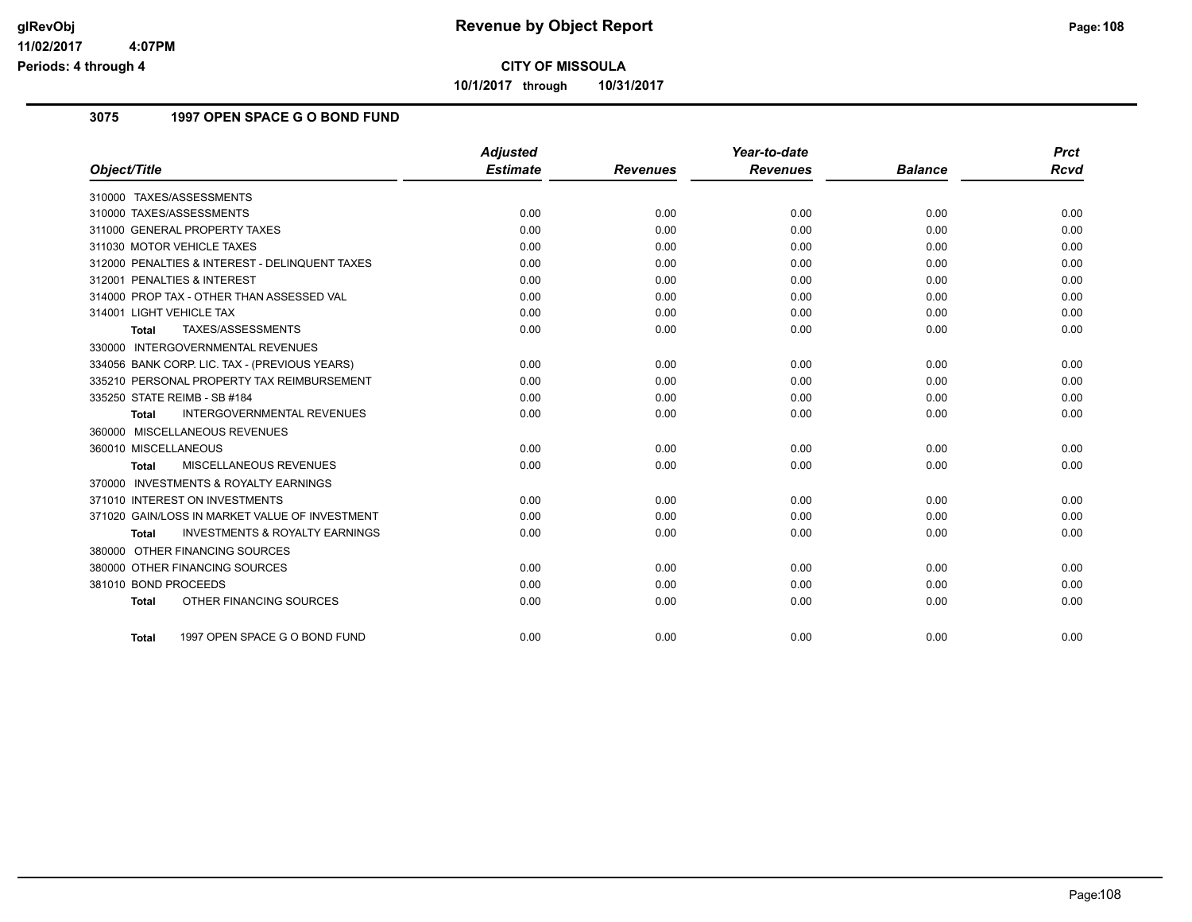**10/1/2017 through 10/31/2017**

# **3075 1997 OPEN SPACE G O BOND FUND**

|                                                           | <b>Adjusted</b> |                 | Year-to-date    |                | <b>Prct</b> |
|-----------------------------------------------------------|-----------------|-----------------|-----------------|----------------|-------------|
| Object/Title                                              | <b>Estimate</b> | <b>Revenues</b> | <b>Revenues</b> | <b>Balance</b> | <b>Rcvd</b> |
| 310000 TAXES/ASSESSMENTS                                  |                 |                 |                 |                |             |
| 310000 TAXES/ASSESSMENTS                                  | 0.00            | 0.00            | 0.00            | 0.00           | 0.00        |
| 311000 GENERAL PROPERTY TAXES                             | 0.00            | 0.00            | 0.00            | 0.00           | 0.00        |
| 311030 MOTOR VEHICLE TAXES                                | 0.00            | 0.00            | 0.00            | 0.00           | 0.00        |
| 312000 PENALTIES & INTEREST - DELINQUENT TAXES            | 0.00            | 0.00            | 0.00            | 0.00           | 0.00        |
| 312001 PENALTIES & INTEREST                               | 0.00            | 0.00            | 0.00            | 0.00           | 0.00        |
| 314000 PROP TAX - OTHER THAN ASSESSED VAL                 | 0.00            | 0.00            | 0.00            | 0.00           | 0.00        |
| 314001 LIGHT VEHICLE TAX                                  | 0.00            | 0.00            | 0.00            | 0.00           | 0.00        |
| TAXES/ASSESSMENTS<br><b>Total</b>                         | 0.00            | 0.00            | 0.00            | 0.00           | 0.00        |
| 330000 INTERGOVERNMENTAL REVENUES                         |                 |                 |                 |                |             |
| 334056 BANK CORP. LIC. TAX - (PREVIOUS YEARS)             | 0.00            | 0.00            | 0.00            | 0.00           | 0.00        |
| 335210 PERSONAL PROPERTY TAX REIMBURSEMENT                | 0.00            | 0.00            | 0.00            | 0.00           | 0.00        |
| 335250 STATE REIMB - SB #184                              | 0.00            | 0.00            | 0.00            | 0.00           | 0.00        |
| <b>INTERGOVERNMENTAL REVENUES</b><br><b>Total</b>         | 0.00            | 0.00            | 0.00            | 0.00           | 0.00        |
| 360000 MISCELLANEOUS REVENUES                             |                 |                 |                 |                |             |
| 360010 MISCELLANEOUS                                      | 0.00            | 0.00            | 0.00            | 0.00           | 0.00        |
| MISCELLANEOUS REVENUES<br><b>Total</b>                    | 0.00            | 0.00            | 0.00            | 0.00           | 0.00        |
| 370000 INVESTMENTS & ROYALTY EARNINGS                     |                 |                 |                 |                |             |
| 371010 INTEREST ON INVESTMENTS                            | 0.00            | 0.00            | 0.00            | 0.00           | 0.00        |
| 371020 GAIN/LOSS IN MARKET VALUE OF INVESTMENT            | 0.00            | 0.00            | 0.00            | 0.00           | 0.00        |
| <b>INVESTMENTS &amp; ROYALTY EARNINGS</b><br><b>Total</b> | 0.00            | 0.00            | 0.00            | 0.00           | 0.00        |
| 380000 OTHER FINANCING SOURCES                            |                 |                 |                 |                |             |
| 380000 OTHER FINANCING SOURCES                            | 0.00            | 0.00            | 0.00            | 0.00           | 0.00        |
| 381010 BOND PROCEEDS                                      | 0.00            | 0.00            | 0.00            | 0.00           | 0.00        |
| OTHER FINANCING SOURCES<br><b>Total</b>                   | 0.00            | 0.00            | 0.00            | 0.00           | 0.00        |
| 1997 OPEN SPACE G O BOND FUND<br><b>Total</b>             | 0.00            | 0.00            | 0.00            | 0.00           | 0.00        |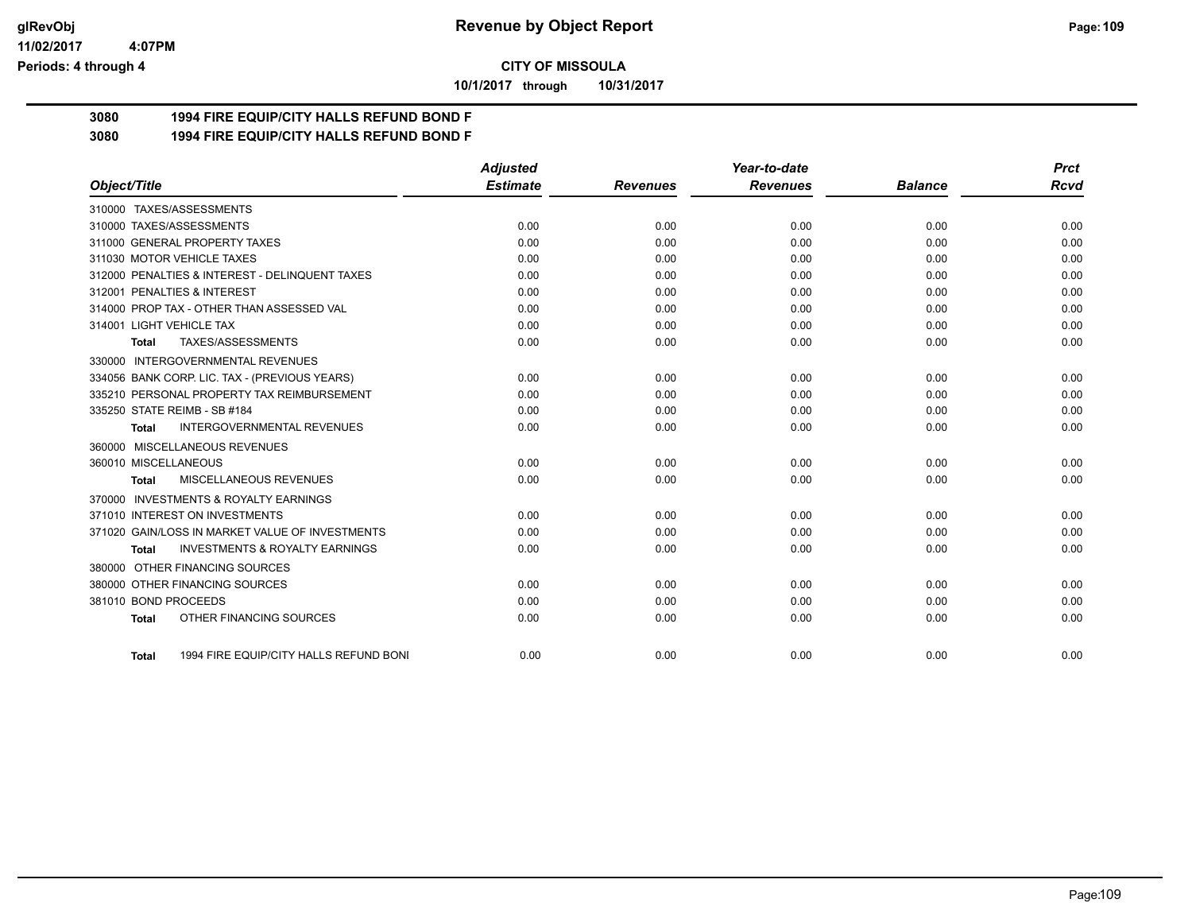# **11/02/2017**

**Periods: 4 through 4**

 **4:07PM**

**CITY OF MISSOULA**

**10/1/2017 through 10/31/2017**

#### **3080 1994 FIRE EQUIP/CITY HALLS REFUND BOND F**

**3080 1994 FIRE EQUIP/CITY HALLS REFUND BOND F**

|                                                     |                                                 | <b>Adjusted</b> |                 | Year-to-date    |                | <b>Prct</b> |
|-----------------------------------------------------|-------------------------------------------------|-----------------|-----------------|-----------------|----------------|-------------|
| Object/Title                                        |                                                 | <b>Estimate</b> | <b>Revenues</b> | <b>Revenues</b> | <b>Balance</b> | <b>Rcvd</b> |
| 310000 TAXES/ASSESSMENTS                            |                                                 |                 |                 |                 |                |             |
| 310000 TAXES/ASSESSMENTS                            |                                                 | 0.00            | 0.00            | 0.00            | 0.00           | 0.00        |
| 311000 GENERAL PROPERTY TAXES                       |                                                 | 0.00            | 0.00            | 0.00            | 0.00           | 0.00        |
| 311030 MOTOR VEHICLE TAXES                          |                                                 | 0.00            | 0.00            | 0.00            | 0.00           | 0.00        |
| 312000 PENALTIES & INTEREST - DELINQUENT TAXES      |                                                 | 0.00            | 0.00            | 0.00            | 0.00           | 0.00        |
| 312001 PENALTIES & INTEREST                         |                                                 | 0.00            | 0.00            | 0.00            | 0.00           | 0.00        |
| 314000 PROP TAX - OTHER THAN ASSESSED VAL           |                                                 | 0.00            | 0.00            | 0.00            | 0.00           | 0.00        |
| 314001 LIGHT VEHICLE TAX                            |                                                 | 0.00            | 0.00            | 0.00            | 0.00           | 0.00        |
| Total                                               | TAXES/ASSESSMENTS                               | 0.00            | 0.00            | 0.00            | 0.00           | 0.00        |
| 330000 INTERGOVERNMENTAL REVENUES                   |                                                 |                 |                 |                 |                |             |
| 334056 BANK CORP. LIC. TAX - (PREVIOUS YEARS)       |                                                 | 0.00            | 0.00            | 0.00            | 0.00           | 0.00        |
| 335210 PERSONAL PROPERTY TAX REIMBURSEMENT          |                                                 | 0.00            | 0.00            | 0.00            | 0.00           | 0.00        |
| 335250 STATE REIMB - SB #184                        |                                                 | 0.00            | 0.00            | 0.00            | 0.00           | 0.00        |
| <b>Total</b>                                        | <b>INTERGOVERNMENTAL REVENUES</b>               | 0.00            | 0.00            | 0.00            | 0.00           | 0.00        |
| 360000 MISCELLANEOUS REVENUES                       |                                                 |                 |                 |                 |                |             |
| 360010 MISCELLANEOUS                                |                                                 | 0.00            | 0.00            | 0.00            | 0.00           | 0.00        |
| <b>Total</b>                                        | MISCELLANEOUS REVENUES                          | 0.00            | 0.00            | 0.00            | 0.00           | 0.00        |
| <b>INVESTMENTS &amp; ROYALTY EARNINGS</b><br>370000 |                                                 |                 |                 |                 |                |             |
| 371010 INTEREST ON INVESTMENTS                      |                                                 | 0.00            | 0.00            | 0.00            | 0.00           | 0.00        |
|                                                     | 371020 GAIN/LOSS IN MARKET VALUE OF INVESTMENTS | 0.00            | 0.00            | 0.00            | 0.00           | 0.00        |
| <b>Total</b>                                        | <b>INVESTMENTS &amp; ROYALTY EARNINGS</b>       | 0.00            | 0.00            | 0.00            | 0.00           | 0.00        |
| 380000 OTHER FINANCING SOURCES                      |                                                 |                 |                 |                 |                |             |
| 380000 OTHER FINANCING SOURCES                      |                                                 | 0.00            | 0.00            | 0.00            | 0.00           | 0.00        |
| 381010 BOND PROCEEDS                                |                                                 | 0.00            | 0.00            | 0.00            | 0.00           | 0.00        |
| <b>Total</b>                                        | OTHER FINANCING SOURCES                         | 0.00            | 0.00            | 0.00            | 0.00           | 0.00        |
|                                                     |                                                 |                 |                 |                 |                |             |
| <b>Total</b>                                        | 1994 FIRE EQUIP/CITY HALLS REFUND BONI          | 0.00            | 0.00            | 0.00            | 0.00           | 0.00        |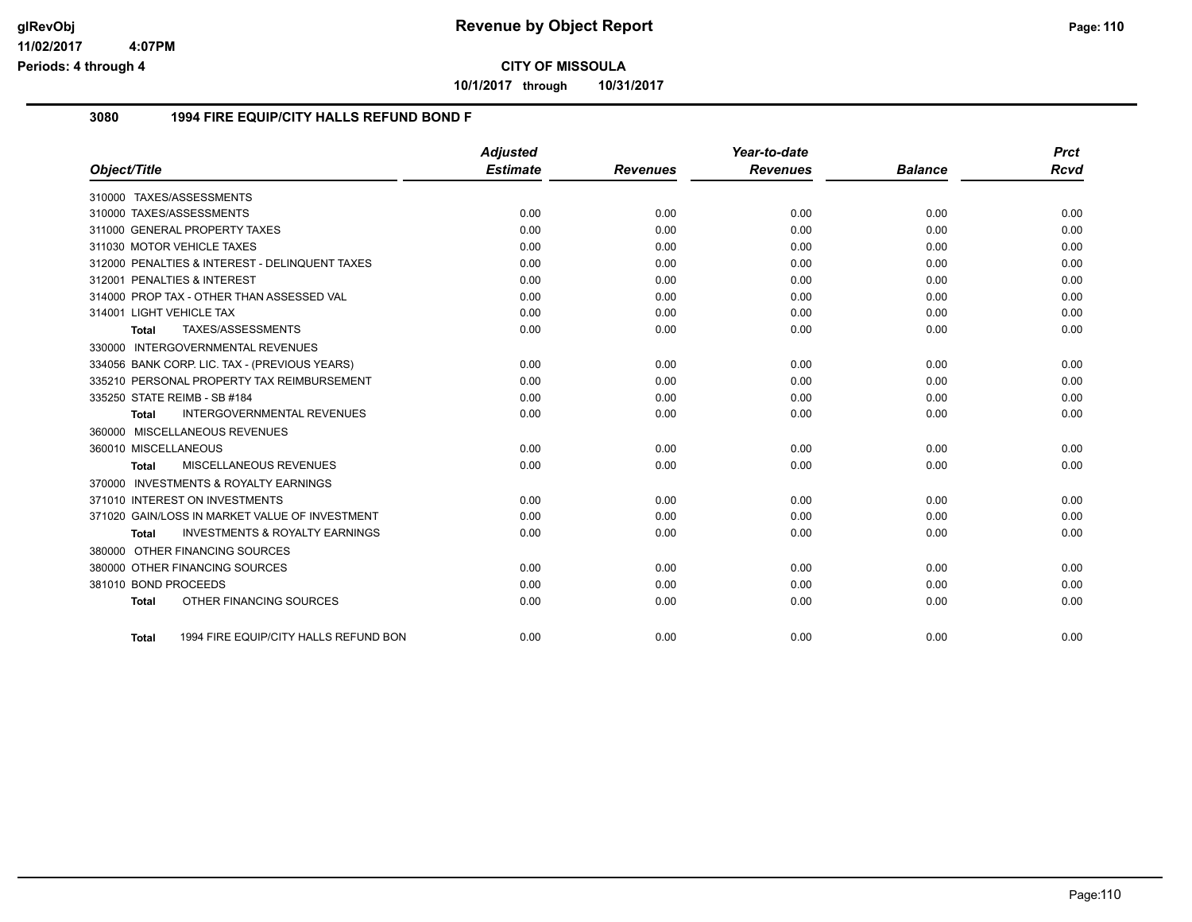**10/1/2017 through 10/31/2017**

#### **3080 1994 FIRE EQUIP/CITY HALLS REFUND BOND F**

|                                                           | <b>Adjusted</b> |                 | Year-to-date    |                | <b>Prct</b> |
|-----------------------------------------------------------|-----------------|-----------------|-----------------|----------------|-------------|
| Object/Title                                              | <b>Estimate</b> | <b>Revenues</b> | <b>Revenues</b> | <b>Balance</b> | <b>Rcvd</b> |
| 310000 TAXES/ASSESSMENTS                                  |                 |                 |                 |                |             |
| 310000 TAXES/ASSESSMENTS                                  | 0.00            | 0.00            | 0.00            | 0.00           | 0.00        |
| 311000 GENERAL PROPERTY TAXES                             | 0.00            | 0.00            | 0.00            | 0.00           | 0.00        |
| 311030 MOTOR VEHICLE TAXES                                | 0.00            | 0.00            | 0.00            | 0.00           | 0.00        |
| 312000 PENALTIES & INTEREST - DELINQUENT TAXES            | 0.00            | 0.00            | 0.00            | 0.00           | 0.00        |
| 312001 PENALTIES & INTEREST                               | 0.00            | 0.00            | 0.00            | 0.00           | 0.00        |
| 314000 PROP TAX - OTHER THAN ASSESSED VAL                 | 0.00            | 0.00            | 0.00            | 0.00           | 0.00        |
| 314001 LIGHT VEHICLE TAX                                  | 0.00            | 0.00            | 0.00            | 0.00           | 0.00        |
| TAXES/ASSESSMENTS<br><b>Total</b>                         | 0.00            | 0.00            | 0.00            | 0.00           | 0.00        |
| 330000 INTERGOVERNMENTAL REVENUES                         |                 |                 |                 |                |             |
| 334056 BANK CORP. LIC. TAX - (PREVIOUS YEARS)             | 0.00            | 0.00            | 0.00            | 0.00           | 0.00        |
| 335210 PERSONAL PROPERTY TAX REIMBURSEMENT                | 0.00            | 0.00            | 0.00            | 0.00           | 0.00        |
| 335250 STATE REIMB - SB #184                              | 0.00            | 0.00            | 0.00            | 0.00           | 0.00        |
| INTERGOVERNMENTAL REVENUES<br><b>Total</b>                | 0.00            | 0.00            | 0.00            | 0.00           | 0.00        |
| 360000 MISCELLANEOUS REVENUES                             |                 |                 |                 |                |             |
| 360010 MISCELLANEOUS                                      | 0.00            | 0.00            | 0.00            | 0.00           | 0.00        |
| <b>MISCELLANEOUS REVENUES</b><br><b>Total</b>             | 0.00            | 0.00            | 0.00            | 0.00           | 0.00        |
| 370000 INVESTMENTS & ROYALTY EARNINGS                     |                 |                 |                 |                |             |
| 371010 INTEREST ON INVESTMENTS                            | 0.00            | 0.00            | 0.00            | 0.00           | 0.00        |
| 371020 GAIN/LOSS IN MARKET VALUE OF INVESTMENT            | 0.00            | 0.00            | 0.00            | 0.00           | 0.00        |
| <b>INVESTMENTS &amp; ROYALTY EARNINGS</b><br><b>Total</b> | 0.00            | 0.00            | 0.00            | 0.00           | 0.00        |
| 380000 OTHER FINANCING SOURCES                            |                 |                 |                 |                |             |
| 380000 OTHER FINANCING SOURCES                            | 0.00            | 0.00            | 0.00            | 0.00           | 0.00        |
| 381010 BOND PROCEEDS                                      | 0.00            | 0.00            | 0.00            | 0.00           | 0.00        |
| OTHER FINANCING SOURCES<br><b>Total</b>                   | 0.00            | 0.00            | 0.00            | 0.00           | 0.00        |
| 1994 FIRE EQUIP/CITY HALLS REFUND BON<br>Total            | 0.00            | 0.00            | 0.00            | 0.00           | 0.00        |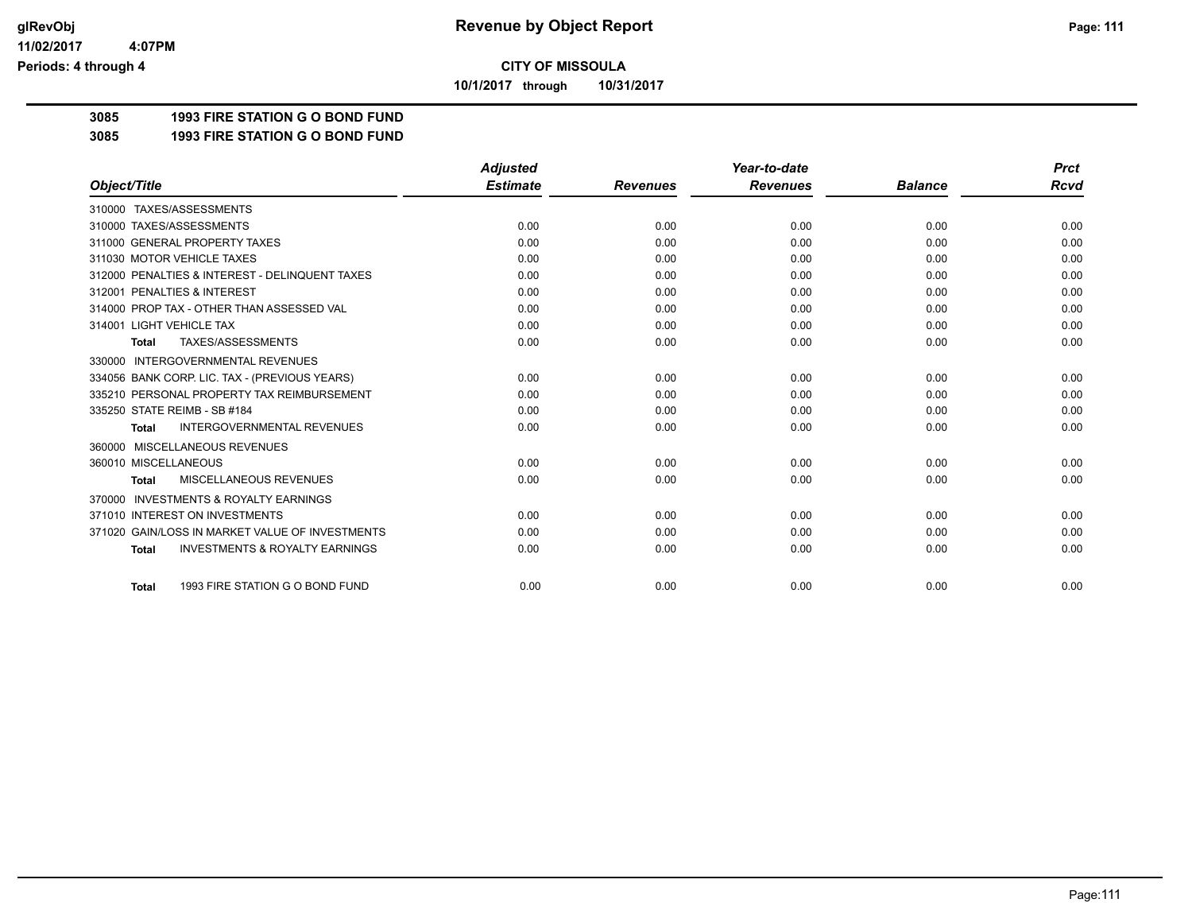**10/1/2017 through 10/31/2017**

#### **3085 1993 FIRE STATION G O BOND FUND**

**3085 1993 FIRE STATION G O BOND FUND**

|                                                           | <b>Adjusted</b> |                 | Year-to-date    |                | <b>Prct</b> |
|-----------------------------------------------------------|-----------------|-----------------|-----------------|----------------|-------------|
| Object/Title                                              | <b>Estimate</b> | <b>Revenues</b> | <b>Revenues</b> | <b>Balance</b> | <b>Rcvd</b> |
| 310000 TAXES/ASSESSMENTS                                  |                 |                 |                 |                |             |
| 310000 TAXES/ASSESSMENTS                                  | 0.00            | 0.00            | 0.00            | 0.00           | 0.00        |
| 311000 GENERAL PROPERTY TAXES                             | 0.00            | 0.00            | 0.00            | 0.00           | 0.00        |
| 311030 MOTOR VEHICLE TAXES                                | 0.00            | 0.00            | 0.00            | 0.00           | 0.00        |
| 312000 PENALTIES & INTEREST - DELINQUENT TAXES            | 0.00            | 0.00            | 0.00            | 0.00           | 0.00        |
| 312001 PENALTIES & INTEREST                               | 0.00            | 0.00            | 0.00            | 0.00           | 0.00        |
| 314000 PROP TAX - OTHER THAN ASSESSED VAL                 | 0.00            | 0.00            | 0.00            | 0.00           | 0.00        |
| 314001 LIGHT VEHICLE TAX                                  | 0.00            | 0.00            | 0.00            | 0.00           | 0.00        |
| TAXES/ASSESSMENTS<br><b>Total</b>                         | 0.00            | 0.00            | 0.00            | 0.00           | 0.00        |
| <b>INTERGOVERNMENTAL REVENUES</b><br>330000               |                 |                 |                 |                |             |
| 334056 BANK CORP. LIC. TAX - (PREVIOUS YEARS)             | 0.00            | 0.00            | 0.00            | 0.00           | 0.00        |
| 335210 PERSONAL PROPERTY TAX REIMBURSEMENT                | 0.00            | 0.00            | 0.00            | 0.00           | 0.00        |
| 335250 STATE REIMB - SB #184                              | 0.00            | 0.00            | 0.00            | 0.00           | 0.00        |
| <b>INTERGOVERNMENTAL REVENUES</b><br><b>Total</b>         | 0.00            | 0.00            | 0.00            | 0.00           | 0.00        |
| MISCELLANEOUS REVENUES<br>360000                          |                 |                 |                 |                |             |
| 360010 MISCELLANEOUS                                      | 0.00            | 0.00            | 0.00            | 0.00           | 0.00        |
| MISCELLANEOUS REVENUES<br>Total                           | 0.00            | 0.00            | 0.00            | 0.00           | 0.00        |
| <b>INVESTMENTS &amp; ROYALTY EARNINGS</b><br>370000       |                 |                 |                 |                |             |
| 371010 INTEREST ON INVESTMENTS                            | 0.00            | 0.00            | 0.00            | 0.00           | 0.00        |
| 371020 GAIN/LOSS IN MARKET VALUE OF INVESTMENTS           | 0.00            | 0.00            | 0.00            | 0.00           | 0.00        |
| <b>INVESTMENTS &amp; ROYALTY EARNINGS</b><br><b>Total</b> | 0.00            | 0.00            | 0.00            | 0.00           | 0.00        |
| 1993 FIRE STATION G O BOND FUND<br><b>Total</b>           | 0.00            | 0.00            | 0.00            | 0.00           | 0.00        |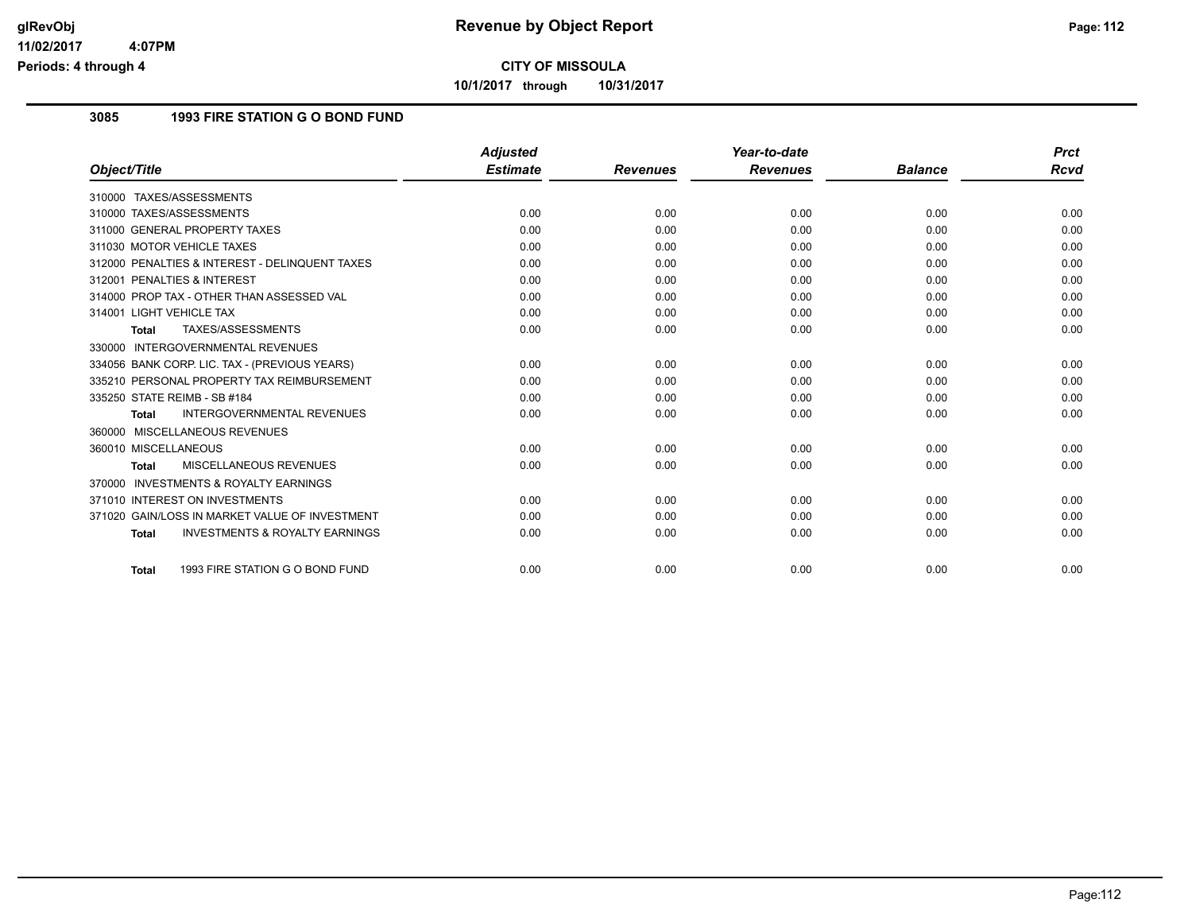**10/1/2017 through 10/31/2017**

#### **3085 1993 FIRE STATION G O BOND FUND**

|                                                           | <b>Adjusted</b> |                 | Year-to-date    |                | <b>Prct</b> |
|-----------------------------------------------------------|-----------------|-----------------|-----------------|----------------|-------------|
| Object/Title                                              | <b>Estimate</b> | <b>Revenues</b> | <b>Revenues</b> | <b>Balance</b> | Rcvd        |
| 310000 TAXES/ASSESSMENTS                                  |                 |                 |                 |                |             |
| 310000 TAXES/ASSESSMENTS                                  | 0.00            | 0.00            | 0.00            | 0.00           | 0.00        |
| 311000 GENERAL PROPERTY TAXES                             | 0.00            | 0.00            | 0.00            | 0.00           | 0.00        |
| 311030 MOTOR VEHICLE TAXES                                | 0.00            | 0.00            | 0.00            | 0.00           | 0.00        |
| 312000 PENALTIES & INTEREST - DELINQUENT TAXES            | 0.00            | 0.00            | 0.00            | 0.00           | 0.00        |
| 312001 PENALTIES & INTEREST                               | 0.00            | 0.00            | 0.00            | 0.00           | 0.00        |
| 314000 PROP TAX - OTHER THAN ASSESSED VAL                 | 0.00            | 0.00            | 0.00            | 0.00           | 0.00        |
| 314001 LIGHT VEHICLE TAX                                  | 0.00            | 0.00            | 0.00            | 0.00           | 0.00        |
| TAXES/ASSESSMENTS<br><b>Total</b>                         | 0.00            | 0.00            | 0.00            | 0.00           | 0.00        |
| 330000 INTERGOVERNMENTAL REVENUES                         |                 |                 |                 |                |             |
| 334056 BANK CORP. LIC. TAX - (PREVIOUS YEARS)             | 0.00            | 0.00            | 0.00            | 0.00           | 0.00        |
| 335210 PERSONAL PROPERTY TAX REIMBURSEMENT                | 0.00            | 0.00            | 0.00            | 0.00           | 0.00        |
| 335250 STATE REIMB - SB #184                              | 0.00            | 0.00            | 0.00            | 0.00           | 0.00        |
| INTERGOVERNMENTAL REVENUES<br><b>Total</b>                | 0.00            | 0.00            | 0.00            | 0.00           | 0.00        |
| 360000 MISCELLANEOUS REVENUES                             |                 |                 |                 |                |             |
| 360010 MISCELLANEOUS                                      | 0.00            | 0.00            | 0.00            | 0.00           | 0.00        |
| MISCELLANEOUS REVENUES<br><b>Total</b>                    | 0.00            | 0.00            | 0.00            | 0.00           | 0.00        |
| 370000 INVESTMENTS & ROYALTY EARNINGS                     |                 |                 |                 |                |             |
| 371010 INTEREST ON INVESTMENTS                            | 0.00            | 0.00            | 0.00            | 0.00           | 0.00        |
| 371020 GAIN/LOSS IN MARKET VALUE OF INVESTMENT            | 0.00            | 0.00            | 0.00            | 0.00           | 0.00        |
| <b>INVESTMENTS &amp; ROYALTY EARNINGS</b><br><b>Total</b> | 0.00            | 0.00            | 0.00            | 0.00           | 0.00        |
| 1993 FIRE STATION G O BOND FUND<br><b>Total</b>           | 0.00            | 0.00            | 0.00            | 0.00           | 0.00        |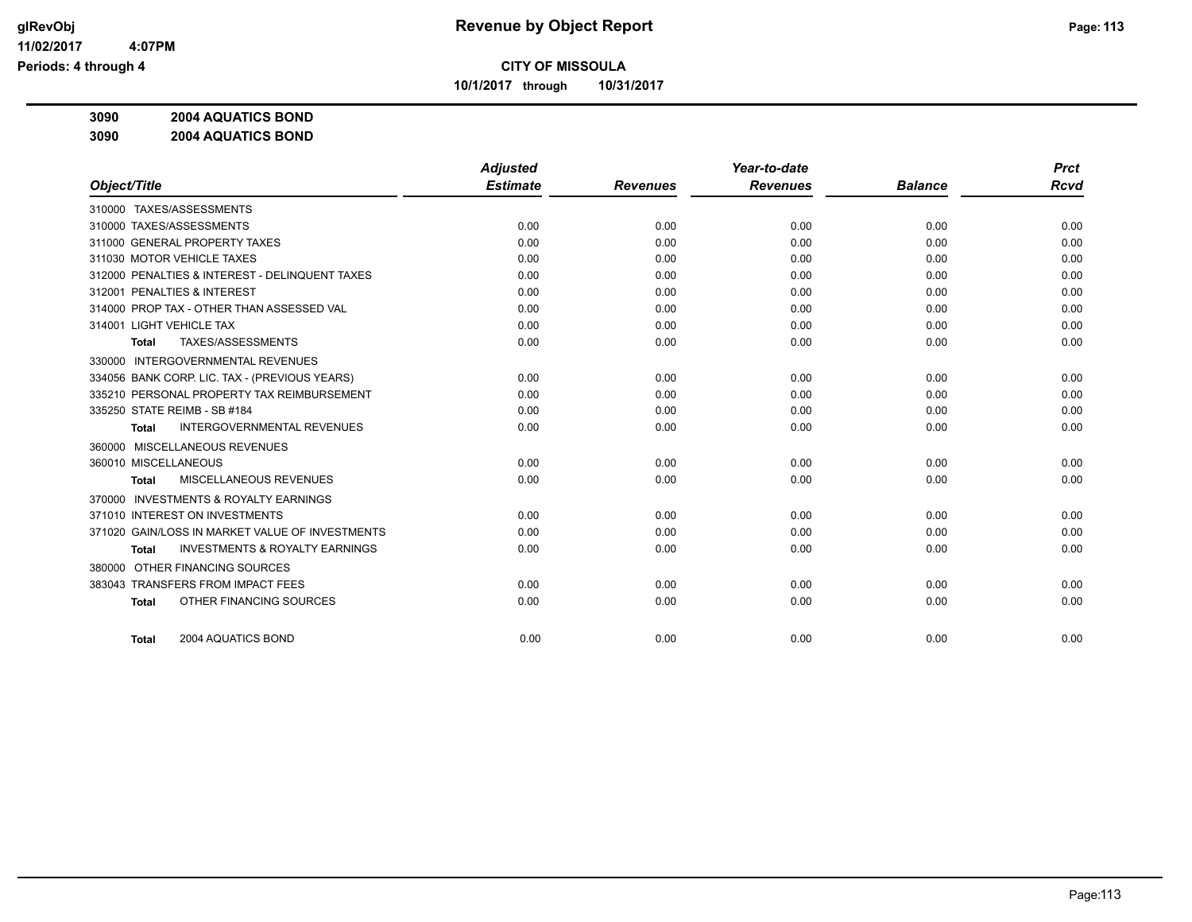**10/1/2017 through 10/31/2017**

**3090 2004 AQUATICS BOND**

**3090 2004 AQUATICS BOND**

|                                                           | <b>Adjusted</b> |                 | Year-to-date    |                | <b>Prct</b> |
|-----------------------------------------------------------|-----------------|-----------------|-----------------|----------------|-------------|
| Object/Title                                              | <b>Estimate</b> | <b>Revenues</b> | <b>Revenues</b> | <b>Balance</b> | <b>Rcvd</b> |
| 310000 TAXES/ASSESSMENTS                                  |                 |                 |                 |                |             |
| 310000 TAXES/ASSESSMENTS                                  | 0.00            | 0.00            | 0.00            | 0.00           | 0.00        |
| 311000 GENERAL PROPERTY TAXES                             | 0.00            | 0.00            | 0.00            | 0.00           | 0.00        |
| 311030 MOTOR VEHICLE TAXES                                | 0.00            | 0.00            | 0.00            | 0.00           | 0.00        |
| 312000 PENALTIES & INTEREST - DELINQUENT TAXES            | 0.00            | 0.00            | 0.00            | 0.00           | 0.00        |
| 312001 PENALTIES & INTEREST                               | 0.00            | 0.00            | 0.00            | 0.00           | 0.00        |
| 314000 PROP TAX - OTHER THAN ASSESSED VAL                 | 0.00            | 0.00            | 0.00            | 0.00           | 0.00        |
| 314001 LIGHT VEHICLE TAX                                  | 0.00            | 0.00            | 0.00            | 0.00           | 0.00        |
| TAXES/ASSESSMENTS<br><b>Total</b>                         | 0.00            | 0.00            | 0.00            | 0.00           | 0.00        |
| 330000 INTERGOVERNMENTAL REVENUES                         |                 |                 |                 |                |             |
| 334056 BANK CORP. LIC. TAX - (PREVIOUS YEARS)             | 0.00            | 0.00            | 0.00            | 0.00           | 0.00        |
| 335210 PERSONAL PROPERTY TAX REIMBURSEMENT                | 0.00            | 0.00            | 0.00            | 0.00           | 0.00        |
| 335250 STATE REIMB - SB #184                              | 0.00            | 0.00            | 0.00            | 0.00           | 0.00        |
| <b>INTERGOVERNMENTAL REVENUES</b><br><b>Total</b>         | 0.00            | 0.00            | 0.00            | 0.00           | 0.00        |
| MISCELLANEOUS REVENUES<br>360000                          |                 |                 |                 |                |             |
| 360010 MISCELLANEOUS                                      | 0.00            | 0.00            | 0.00            | 0.00           | 0.00        |
| MISCELLANEOUS REVENUES<br><b>Total</b>                    | 0.00            | 0.00            | 0.00            | 0.00           | 0.00        |
| <b>INVESTMENTS &amp; ROYALTY EARNINGS</b><br>370000       |                 |                 |                 |                |             |
| 371010 INTEREST ON INVESTMENTS                            | 0.00            | 0.00            | 0.00            | 0.00           | 0.00        |
| 371020 GAIN/LOSS IN MARKET VALUE OF INVESTMENTS           | 0.00            | 0.00            | 0.00            | 0.00           | 0.00        |
| <b>INVESTMENTS &amp; ROYALTY EARNINGS</b><br><b>Total</b> | 0.00            | 0.00            | 0.00            | 0.00           | 0.00        |
| 380000 OTHER FINANCING SOURCES                            |                 |                 |                 |                |             |
| 383043 TRANSFERS FROM IMPACT FEES                         | 0.00            | 0.00            | 0.00            | 0.00           | 0.00        |
| OTHER FINANCING SOURCES<br><b>Total</b>                   | 0.00            | 0.00            | 0.00            | 0.00           | 0.00        |
| 2004 AQUATICS BOND                                        | 0.00            | 0.00            | 0.00            | 0.00           | 0.00        |
| <b>Total</b>                                              |                 |                 |                 |                |             |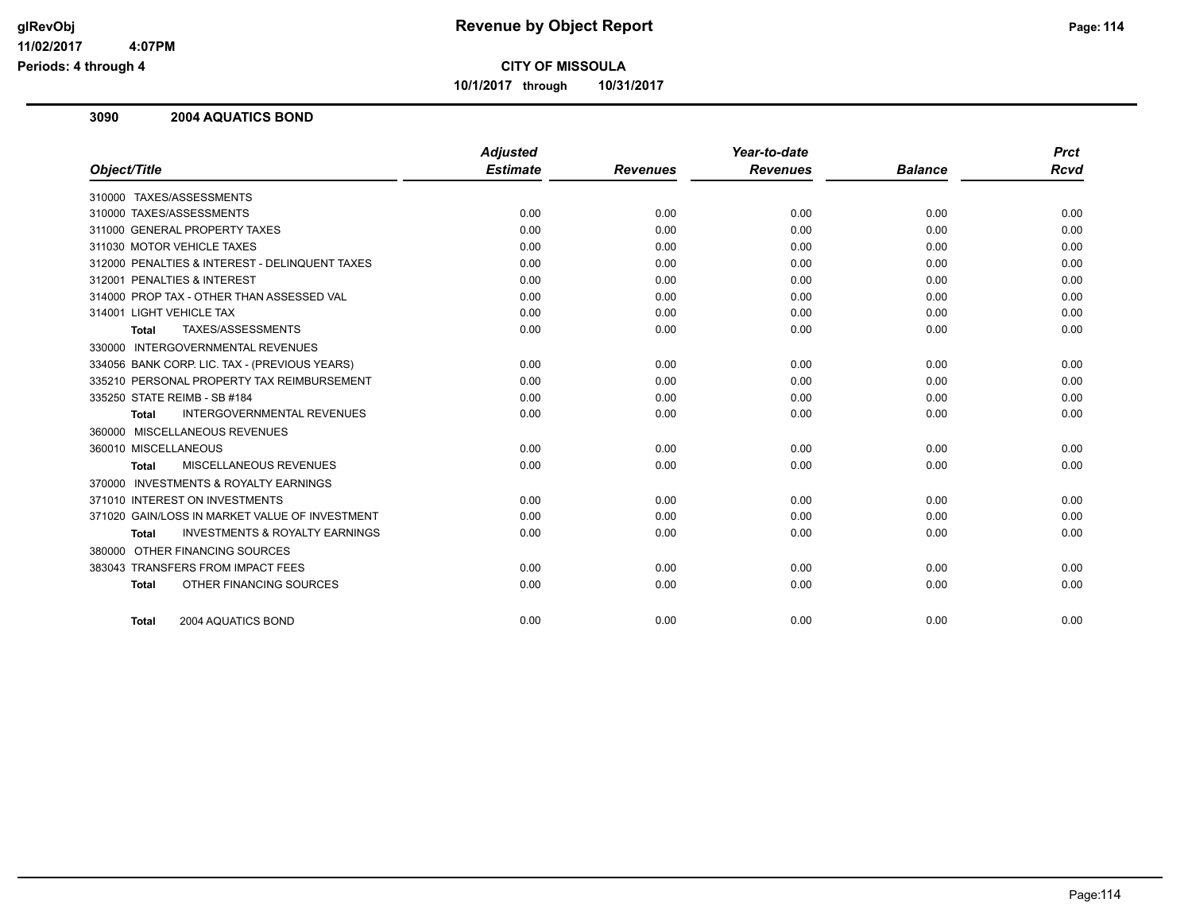**10/1/2017 through 10/31/2017**

#### **3090 2004 AQUATICS BOND**

|                                                           | <b>Adjusted</b> |                 | Year-to-date    |                | <b>Prct</b> |
|-----------------------------------------------------------|-----------------|-----------------|-----------------|----------------|-------------|
| Object/Title                                              | <b>Estimate</b> | <b>Revenues</b> | <b>Revenues</b> | <b>Balance</b> | <b>Rcvd</b> |
| 310000 TAXES/ASSESSMENTS                                  |                 |                 |                 |                |             |
| 310000 TAXES/ASSESSMENTS                                  | 0.00            | 0.00            | 0.00            | 0.00           | 0.00        |
| 311000 GENERAL PROPERTY TAXES                             | 0.00            | 0.00            | 0.00            | 0.00           | 0.00        |
| 311030 MOTOR VEHICLE TAXES                                | 0.00            | 0.00            | 0.00            | 0.00           | 0.00        |
| 312000 PENALTIES & INTEREST - DELINQUENT TAXES            | 0.00            | 0.00            | 0.00            | 0.00           | 0.00        |
| 312001 PENALTIES & INTEREST                               | 0.00            | 0.00            | 0.00            | 0.00           | 0.00        |
| 314000 PROP TAX - OTHER THAN ASSESSED VAL                 | 0.00            | 0.00            | 0.00            | 0.00           | 0.00        |
| 314001 LIGHT VEHICLE TAX                                  | 0.00            | 0.00            | 0.00            | 0.00           | 0.00        |
| TAXES/ASSESSMENTS<br><b>Total</b>                         | 0.00            | 0.00            | 0.00            | 0.00           | 0.00        |
| 330000 INTERGOVERNMENTAL REVENUES                         |                 |                 |                 |                |             |
| 334056 BANK CORP. LIC. TAX - (PREVIOUS YEARS)             | 0.00            | 0.00            | 0.00            | 0.00           | 0.00        |
| 335210 PERSONAL PROPERTY TAX REIMBURSEMENT                | 0.00            | 0.00            | 0.00            | 0.00           | 0.00        |
| 335250 STATE REIMB - SB #184                              | 0.00            | 0.00            | 0.00            | 0.00           | 0.00        |
| <b>INTERGOVERNMENTAL REVENUES</b><br><b>Total</b>         | 0.00            | 0.00            | 0.00            | 0.00           | 0.00        |
| 360000 MISCELLANEOUS REVENUES                             |                 |                 |                 |                |             |
| 360010 MISCELLANEOUS                                      | 0.00            | 0.00            | 0.00            | 0.00           | 0.00        |
| MISCELLANEOUS REVENUES<br>Total                           | 0.00            | 0.00            | 0.00            | 0.00           | 0.00        |
| 370000 INVESTMENTS & ROYALTY EARNINGS                     |                 |                 |                 |                |             |
| 371010 INTEREST ON INVESTMENTS                            | 0.00            | 0.00            | 0.00            | 0.00           | 0.00        |
| 371020 GAIN/LOSS IN MARKET VALUE OF INVESTMENT            | 0.00            | 0.00            | 0.00            | 0.00           | 0.00        |
| <b>INVESTMENTS &amp; ROYALTY EARNINGS</b><br><b>Total</b> | 0.00            | 0.00            | 0.00            | 0.00           | 0.00        |
| 380000 OTHER FINANCING SOURCES                            |                 |                 |                 |                |             |
| 383043 TRANSFERS FROM IMPACT FEES                         | 0.00            | 0.00            | 0.00            | 0.00           | 0.00        |
| OTHER FINANCING SOURCES<br><b>Total</b>                   | 0.00            | 0.00            | 0.00            | 0.00           | 0.00        |
| 2004 AQUATICS BOND<br><b>Total</b>                        | 0.00            | 0.00            | 0.00            | 0.00           | 0.00        |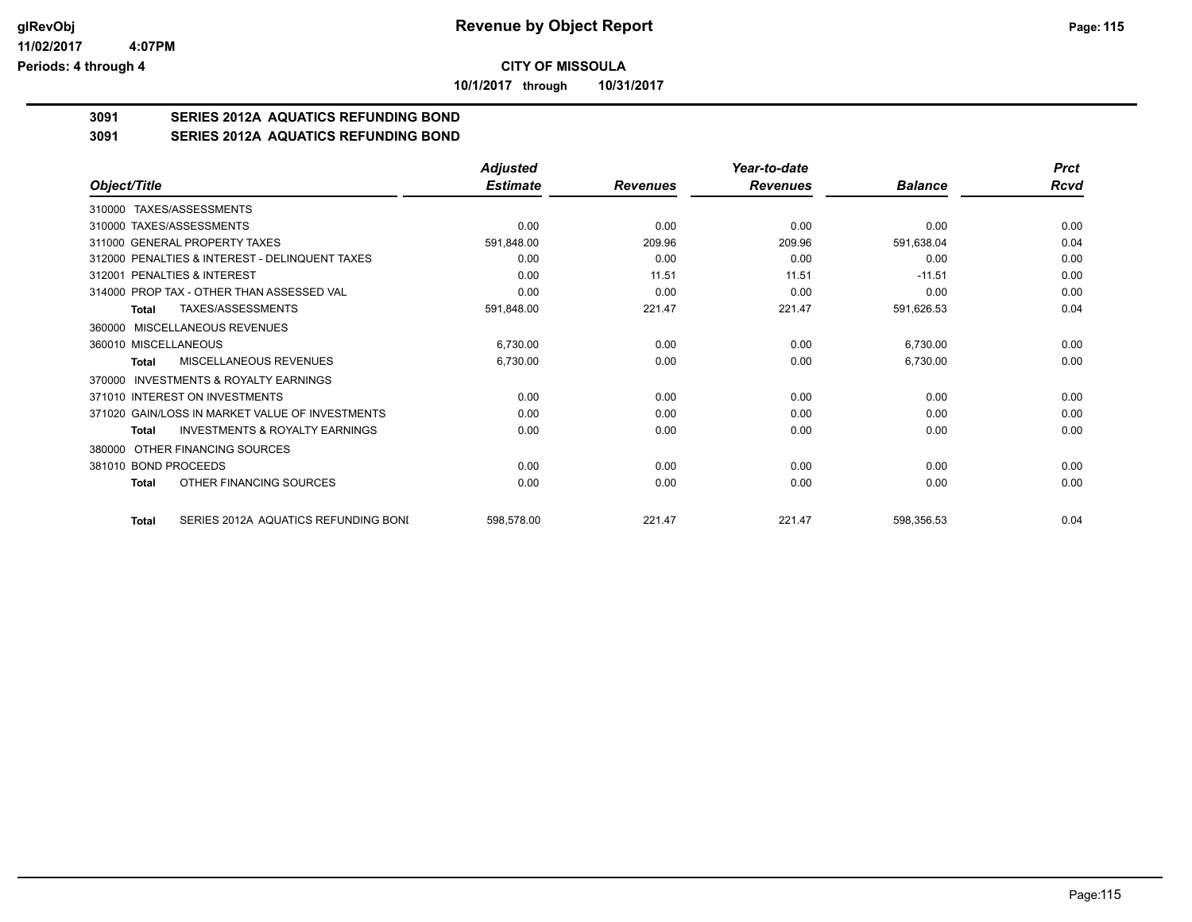**10/1/2017 through 10/31/2017**

# **3091 SERIES 2012A AQUATICS REFUNDING BOND**

**3091 SERIES 2012A AQUATICS REFUNDING BOND**

|                                                           | <b>Adjusted</b> |                 | Year-to-date    |                | <b>Prct</b> |
|-----------------------------------------------------------|-----------------|-----------------|-----------------|----------------|-------------|
| Object/Title                                              | <b>Estimate</b> | <b>Revenues</b> | <b>Revenues</b> | <b>Balance</b> | Rcvd        |
| TAXES/ASSESSMENTS<br>310000                               |                 |                 |                 |                |             |
| 310000 TAXES/ASSESSMENTS                                  | 0.00            | 0.00            | 0.00            | 0.00           | 0.00        |
| 311000 GENERAL PROPERTY TAXES                             | 591,848.00      | 209.96          | 209.96          | 591,638.04     | 0.04        |
| 312000 PENALTIES & INTEREST - DELINQUENT TAXES            | 0.00            | 0.00            | 0.00            | 0.00           | 0.00        |
| 312001 PENALTIES & INTEREST                               | 0.00            | 11.51           | 11.51           | $-11.51$       | 0.00        |
| 314000 PROP TAX - OTHER THAN ASSESSED VAL                 | 0.00            | 0.00            | 0.00            | 0.00           | 0.00        |
| TAXES/ASSESSMENTS<br><b>Total</b>                         | 591,848.00      | 221.47          | 221.47          | 591,626.53     | 0.04        |
| MISCELLANEOUS REVENUES<br>360000                          |                 |                 |                 |                |             |
| 360010 MISCELLANEOUS                                      | 6,730.00        | 0.00            | 0.00            | 6,730.00       | 0.00        |
| MISCELLANEOUS REVENUES<br><b>Total</b>                    | 6,730.00        | 0.00            | 0.00            | 6,730.00       | 0.00        |
| <b>INVESTMENTS &amp; ROYALTY EARNINGS</b><br>370000       |                 |                 |                 |                |             |
| 371010 INTEREST ON INVESTMENTS                            | 0.00            | 0.00            | 0.00            | 0.00           | 0.00        |
| 371020 GAIN/LOSS IN MARKET VALUE OF INVESTMENTS           | 0.00            | 0.00            | 0.00            | 0.00           | 0.00        |
| <b>INVESTMENTS &amp; ROYALTY EARNINGS</b><br><b>Total</b> | 0.00            | 0.00            | 0.00            | 0.00           | 0.00        |
| OTHER FINANCING SOURCES<br>380000                         |                 |                 |                 |                |             |
| 381010 BOND PROCEEDS                                      | 0.00            | 0.00            | 0.00            | 0.00           | 0.00        |
| OTHER FINANCING SOURCES<br><b>Total</b>                   | 0.00            | 0.00            | 0.00            | 0.00           | 0.00        |
| SERIES 2012A AQUATICS REFUNDING BONI<br><b>Total</b>      | 598,578.00      | 221.47          | 221.47          | 598,356.53     | 0.04        |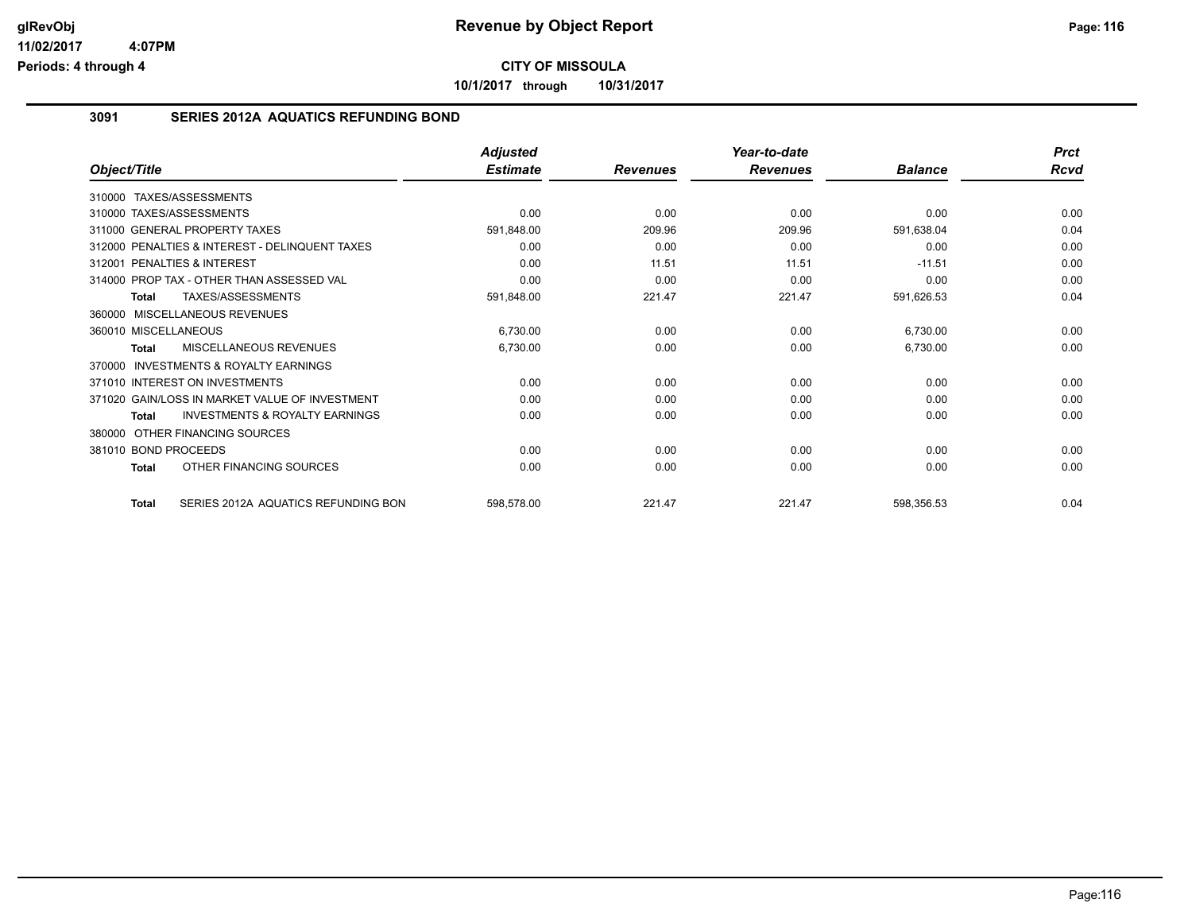**10/1/2017 through 10/31/2017**

#### **3091 SERIES 2012A AQUATICS REFUNDING BOND**

|                                                           | <b>Adjusted</b> |                 | Year-to-date    |                | <b>Prct</b> |
|-----------------------------------------------------------|-----------------|-----------------|-----------------|----------------|-------------|
| Object/Title                                              | <b>Estimate</b> | <b>Revenues</b> | <b>Revenues</b> | <b>Balance</b> | Rcvd        |
| 310000 TAXES/ASSESSMENTS                                  |                 |                 |                 |                |             |
| 310000 TAXES/ASSESSMENTS                                  | 0.00            | 0.00            | 0.00            | 0.00           | 0.00        |
| 311000 GENERAL PROPERTY TAXES                             | 591,848.00      | 209.96          | 209.96          | 591,638.04     | 0.04        |
| 312000 PENALTIES & INTEREST - DELINQUENT TAXES            | 0.00            | 0.00            | 0.00            | 0.00           | 0.00        |
| 312001 PENALTIES & INTEREST                               | 0.00            | 11.51           | 11.51           | $-11.51$       | 0.00        |
| 314000 PROP TAX - OTHER THAN ASSESSED VAL                 | 0.00            | 0.00            | 0.00            | 0.00           | 0.00        |
| TAXES/ASSESSMENTS<br><b>Total</b>                         | 591,848.00      | 221.47          | 221.47          | 591,626.53     | 0.04        |
| 360000 MISCELLANEOUS REVENUES                             |                 |                 |                 |                |             |
| 360010 MISCELLANEOUS                                      | 6,730.00        | 0.00            | 0.00            | 6,730.00       | 0.00        |
| MISCELLANEOUS REVENUES<br><b>Total</b>                    | 6,730.00        | 0.00            | 0.00            | 6,730.00       | 0.00        |
| <b>INVESTMENTS &amp; ROYALTY EARNINGS</b><br>370000       |                 |                 |                 |                |             |
| 371010 INTEREST ON INVESTMENTS                            | 0.00            | 0.00            | 0.00            | 0.00           | 0.00        |
| 371020 GAIN/LOSS IN MARKET VALUE OF INVESTMENT            | 0.00            | 0.00            | 0.00            | 0.00           | 0.00        |
| <b>INVESTMENTS &amp; ROYALTY EARNINGS</b><br><b>Total</b> | 0.00            | 0.00            | 0.00            | 0.00           | 0.00        |
| 380000 OTHER FINANCING SOURCES                            |                 |                 |                 |                |             |
| 381010 BOND PROCEEDS                                      | 0.00            | 0.00            | 0.00            | 0.00           | 0.00        |
| OTHER FINANCING SOURCES<br><b>Total</b>                   | 0.00            | 0.00            | 0.00            | 0.00           | 0.00        |
| SERIES 2012A AQUATICS REFUNDING BON<br><b>Total</b>       | 598,578.00      | 221.47          | 221.47          | 598,356.53     | 0.04        |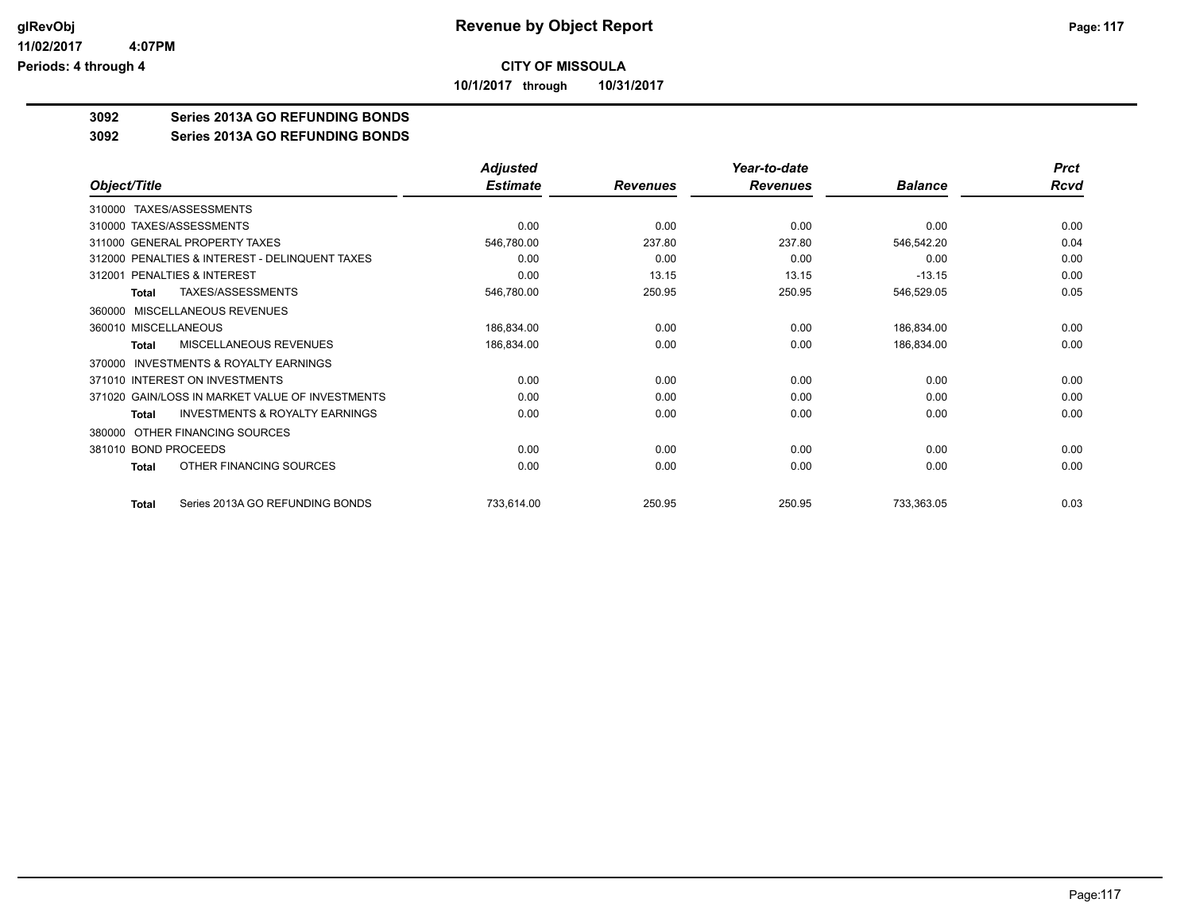**10/1/2017 through 10/31/2017**

#### **3092 Series 2013A GO REFUNDING BONDS**

#### **3092 Series 2013A GO REFUNDING BONDS**

|                                                           | <b>Adjusted</b> |                 | Year-to-date    |                | <b>Prct</b> |
|-----------------------------------------------------------|-----------------|-----------------|-----------------|----------------|-------------|
| Object/Title                                              | <b>Estimate</b> | <b>Revenues</b> | <b>Revenues</b> | <b>Balance</b> | Rcvd        |
| TAXES/ASSESSMENTS<br>310000                               |                 |                 |                 |                |             |
| 310000 TAXES/ASSESSMENTS                                  | 0.00            | 0.00            | 0.00            | 0.00           | 0.00        |
| 311000 GENERAL PROPERTY TAXES                             | 546,780.00      | 237.80          | 237.80          | 546,542.20     | 0.04        |
| 312000 PENALTIES & INTEREST - DELINQUENT TAXES            | 0.00            | 0.00            | 0.00            | 0.00           | 0.00        |
| 312001 PENALTIES & INTEREST                               | 0.00            | 13.15           | 13.15           | $-13.15$       | 0.00        |
| <b>TAXES/ASSESSMENTS</b><br><b>Total</b>                  | 546,780.00      | 250.95          | 250.95          | 546,529.05     | 0.05        |
| MISCELLANEOUS REVENUES<br>360000                          |                 |                 |                 |                |             |
| 360010 MISCELLANEOUS                                      | 186,834.00      | 0.00            | 0.00            | 186,834.00     | 0.00        |
| MISCELLANEOUS REVENUES<br><b>Total</b>                    | 186,834.00      | 0.00            | 0.00            | 186,834.00     | 0.00        |
| <b>INVESTMENTS &amp; ROYALTY EARNINGS</b><br>370000       |                 |                 |                 |                |             |
| 371010 INTEREST ON INVESTMENTS                            | 0.00            | 0.00            | 0.00            | 0.00           | 0.00        |
| 371020 GAIN/LOSS IN MARKET VALUE OF INVESTMENTS           | 0.00            | 0.00            | 0.00            | 0.00           | 0.00        |
| <b>INVESTMENTS &amp; ROYALTY EARNINGS</b><br><b>Total</b> | 0.00            | 0.00            | 0.00            | 0.00           | 0.00        |
| OTHER FINANCING SOURCES<br>380000                         |                 |                 |                 |                |             |
| 381010 BOND PROCEEDS                                      | 0.00            | 0.00            | 0.00            | 0.00           | 0.00        |
| OTHER FINANCING SOURCES<br><b>Total</b>                   | 0.00            | 0.00            | 0.00            | 0.00           | 0.00        |
| Series 2013A GO REFUNDING BONDS<br><b>Total</b>           | 733,614.00      | 250.95          | 250.95          | 733,363.05     | 0.03        |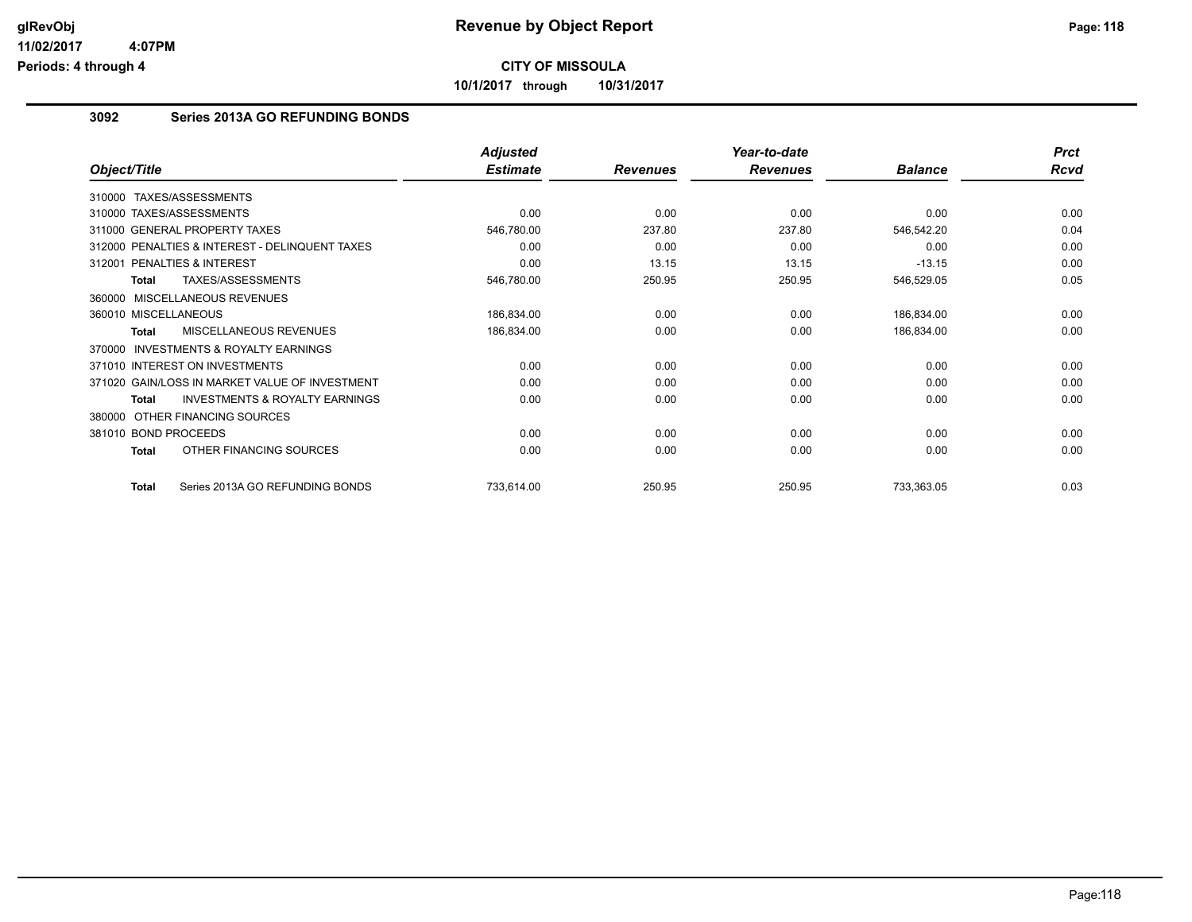**10/1/2017 through 10/31/2017**

#### **3092 Series 2013A GO REFUNDING BONDS**

|                                                     | <b>Adjusted</b> |                 | Year-to-date    |                | <b>Prct</b> |
|-----------------------------------------------------|-----------------|-----------------|-----------------|----------------|-------------|
| Object/Title                                        | <b>Estimate</b> | <b>Revenues</b> | <b>Revenues</b> | <b>Balance</b> | <b>Rcvd</b> |
| TAXES/ASSESSMENTS<br>310000                         |                 |                 |                 |                |             |
| 310000 TAXES/ASSESSMENTS                            | 0.00            | 0.00            | 0.00            | 0.00           | 0.00        |
| 311000 GENERAL PROPERTY TAXES                       | 546,780.00      | 237.80          | 237.80          | 546,542.20     | 0.04        |
| 312000 PENALTIES & INTEREST - DELINQUENT TAXES      | 0.00            | 0.00            | 0.00            | 0.00           | 0.00        |
| 312001 PENALTIES & INTEREST                         | 0.00            | 13.15           | 13.15           | $-13.15$       | 0.00        |
| TAXES/ASSESSMENTS<br>Total                          | 546,780.00      | 250.95          | 250.95          | 546,529.05     | 0.05        |
| 360000 MISCELLANEOUS REVENUES                       |                 |                 |                 |                |             |
| 360010 MISCELLANEOUS                                | 186,834.00      | 0.00            | 0.00            | 186,834.00     | 0.00        |
| MISCELLANEOUS REVENUES<br>Total                     | 186,834.00      | 0.00            | 0.00            | 186,834.00     | 0.00        |
| <b>INVESTMENTS &amp; ROYALTY EARNINGS</b><br>370000 |                 |                 |                 |                |             |
| 371010 INTEREST ON INVESTMENTS                      | 0.00            | 0.00            | 0.00            | 0.00           | 0.00        |
| 371020 GAIN/LOSS IN MARKET VALUE OF INVESTMENT      | 0.00            | 0.00            | 0.00            | 0.00           | 0.00        |
| <b>INVESTMENTS &amp; ROYALTY EARNINGS</b><br>Total  | 0.00            | 0.00            | 0.00            | 0.00           | 0.00        |
| 380000 OTHER FINANCING SOURCES                      |                 |                 |                 |                |             |
| 381010 BOND PROCEEDS                                | 0.00            | 0.00            | 0.00            | 0.00           | 0.00        |
| OTHER FINANCING SOURCES<br>Total                    | 0.00            | 0.00            | 0.00            | 0.00           | 0.00        |
| Series 2013A GO REFUNDING BONDS<br><b>Total</b>     | 733,614.00      | 250.95          | 250.95          | 733,363.05     | 0.03        |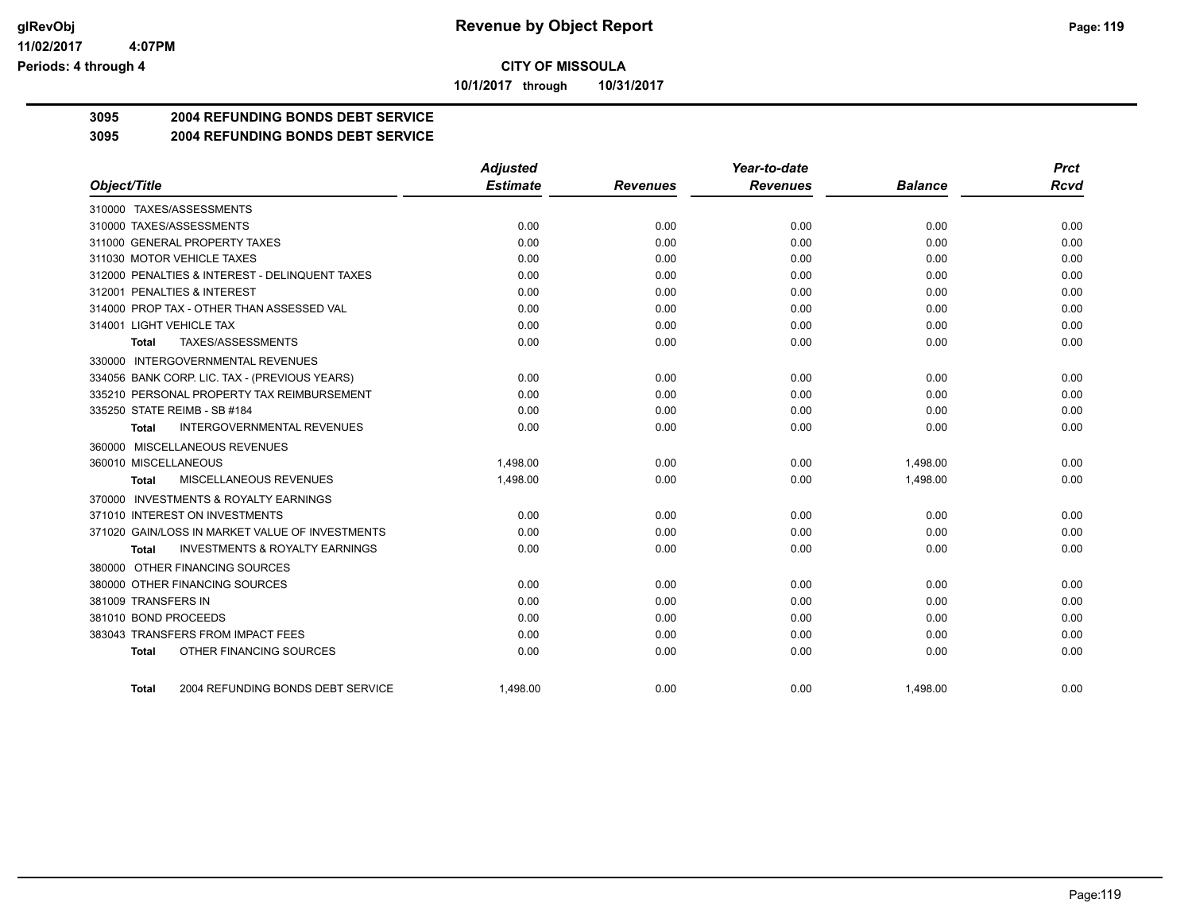**10/1/2017 through 10/31/2017**

# **3095 2004 REFUNDING BONDS DEBT SERVICE**

#### **3095 2004 REFUNDING BONDS DEBT SERVICE**

|                                                    | <b>Adjusted</b> |                 | Year-to-date    |                | <b>Prct</b> |
|----------------------------------------------------|-----------------|-----------------|-----------------|----------------|-------------|
| Object/Title                                       | <b>Estimate</b> | <b>Revenues</b> | <b>Revenues</b> | <b>Balance</b> | <b>Rcvd</b> |
| 310000 TAXES/ASSESSMENTS                           |                 |                 |                 |                |             |
| 310000 TAXES/ASSESSMENTS                           | 0.00            | 0.00            | 0.00            | 0.00           | 0.00        |
| 311000 GENERAL PROPERTY TAXES                      | 0.00            | 0.00            | 0.00            | 0.00           | 0.00        |
| 311030 MOTOR VEHICLE TAXES                         | 0.00            | 0.00            | 0.00            | 0.00           | 0.00        |
| 312000 PENALTIES & INTEREST - DELINQUENT TAXES     | 0.00            | 0.00            | 0.00            | 0.00           | 0.00        |
| 312001 PENALTIES & INTEREST                        | 0.00            | 0.00            | 0.00            | 0.00           | 0.00        |
| 314000 PROP TAX - OTHER THAN ASSESSED VAL          | 0.00            | 0.00            | 0.00            | 0.00           | 0.00        |
| 314001 LIGHT VEHICLE TAX                           | 0.00            | 0.00            | 0.00            | 0.00           | 0.00        |
| TAXES/ASSESSMENTS<br>Total                         | 0.00            | 0.00            | 0.00            | 0.00           | 0.00        |
| 330000 INTERGOVERNMENTAL REVENUES                  |                 |                 |                 |                |             |
| 334056 BANK CORP. LIC. TAX - (PREVIOUS YEARS)      | 0.00            | 0.00            | 0.00            | 0.00           | 0.00        |
| 335210 PERSONAL PROPERTY TAX REIMBURSEMENT         | 0.00            | 0.00            | 0.00            | 0.00           | 0.00        |
| 335250 STATE REIMB - SB #184                       | 0.00            | 0.00            | 0.00            | 0.00           | 0.00        |
| <b>INTERGOVERNMENTAL REVENUES</b><br>Total         | 0.00            | 0.00            | 0.00            | 0.00           | 0.00        |
| 360000 MISCELLANEOUS REVENUES                      |                 |                 |                 |                |             |
| 360010 MISCELLANEOUS                               | 1,498.00        | 0.00            | 0.00            | 1,498.00       | 0.00        |
| <b>MISCELLANEOUS REVENUES</b><br>Total             | 1,498.00        | 0.00            | 0.00            | 1,498.00       | 0.00        |
| 370000 INVESTMENTS & ROYALTY EARNINGS              |                 |                 |                 |                |             |
| 371010 INTEREST ON INVESTMENTS                     | 0.00            | 0.00            | 0.00            | 0.00           | 0.00        |
| 371020 GAIN/LOSS IN MARKET VALUE OF INVESTMENTS    | 0.00            | 0.00            | 0.00            | 0.00           | 0.00        |
| <b>INVESTMENTS &amp; ROYALTY EARNINGS</b><br>Total | 0.00            | 0.00            | 0.00            | 0.00           | 0.00        |
| 380000 OTHER FINANCING SOURCES                     |                 |                 |                 |                |             |
| 380000 OTHER FINANCING SOURCES                     | 0.00            | 0.00            | 0.00            | 0.00           | 0.00        |
| 381009 TRANSFERS IN                                | 0.00            | 0.00            | 0.00            | 0.00           | 0.00        |
| 381010 BOND PROCEEDS                               | 0.00            | 0.00            | 0.00            | 0.00           | 0.00        |
| 383043 TRANSFERS FROM IMPACT FEES                  | 0.00            | 0.00            | 0.00            | 0.00           | 0.00        |
| OTHER FINANCING SOURCES<br><b>Total</b>            | 0.00            | 0.00            | 0.00            | 0.00           | 0.00        |
| 2004 REFUNDING BONDS DEBT SERVICE<br>Total         | 1.498.00        | 0.00            | 0.00            | 1.498.00       | 0.00        |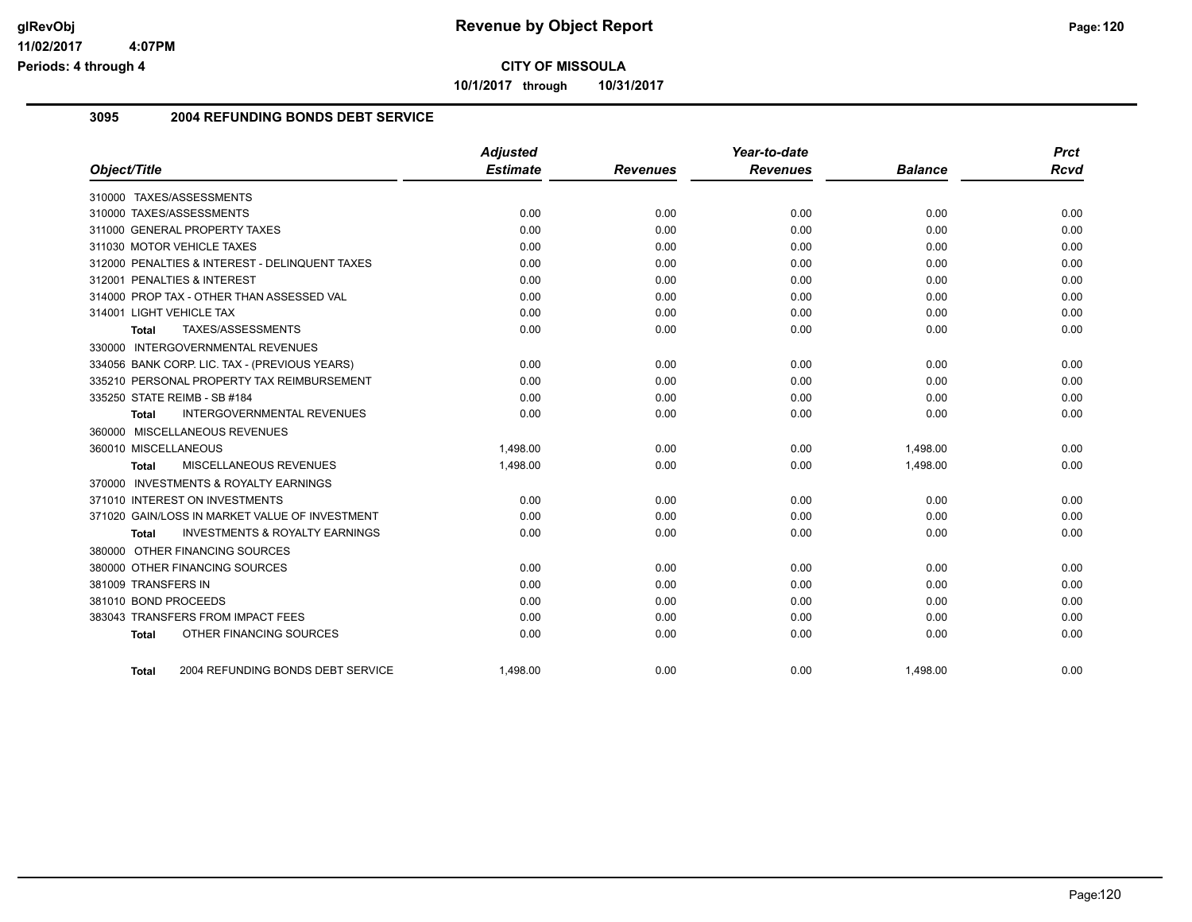**10/1/2017 through 10/31/2017**

#### **3095 2004 REFUNDING BONDS DEBT SERVICE**

|                                                    | <b>Adjusted</b> |                 | Year-to-date    |                | <b>Prct</b> |
|----------------------------------------------------|-----------------|-----------------|-----------------|----------------|-------------|
| Object/Title                                       | <b>Estimate</b> | <b>Revenues</b> | <b>Revenues</b> | <b>Balance</b> | <b>Rcvd</b> |
| 310000 TAXES/ASSESSMENTS                           |                 |                 |                 |                |             |
| 310000 TAXES/ASSESSMENTS                           | 0.00            | 0.00            | 0.00            | 0.00           | 0.00        |
| 311000 GENERAL PROPERTY TAXES                      | 0.00            | 0.00            | 0.00            | 0.00           | 0.00        |
| 311030 MOTOR VEHICLE TAXES                         | 0.00            | 0.00            | 0.00            | 0.00           | 0.00        |
| 312000 PENALTIES & INTEREST - DELINQUENT TAXES     | 0.00            | 0.00            | 0.00            | 0.00           | 0.00        |
| 312001 PENALTIES & INTEREST                        | 0.00            | 0.00            | 0.00            | 0.00           | 0.00        |
| 314000 PROP TAX - OTHER THAN ASSESSED VAL          | 0.00            | 0.00            | 0.00            | 0.00           | 0.00        |
| 314001 LIGHT VEHICLE TAX                           | 0.00            | 0.00            | 0.00            | 0.00           | 0.00        |
| TAXES/ASSESSMENTS<br><b>Total</b>                  | 0.00            | 0.00            | 0.00            | 0.00           | 0.00        |
| 330000 INTERGOVERNMENTAL REVENUES                  |                 |                 |                 |                |             |
| 334056 BANK CORP. LIC. TAX - (PREVIOUS YEARS)      | 0.00            | 0.00            | 0.00            | 0.00           | 0.00        |
| 335210 PERSONAL PROPERTY TAX REIMBURSEMENT         | 0.00            | 0.00            | 0.00            | 0.00           | 0.00        |
| 335250 STATE REIMB - SB #184                       | 0.00            | 0.00            | 0.00            | 0.00           | 0.00        |
| <b>INTERGOVERNMENTAL REVENUES</b><br><b>Total</b>  | 0.00            | 0.00            | 0.00            | 0.00           | 0.00        |
| 360000 MISCELLANEOUS REVENUES                      |                 |                 |                 |                |             |
| 360010 MISCELLANEOUS                               | 1,498.00        | 0.00            | 0.00            | 1,498.00       | 0.00        |
| MISCELLANEOUS REVENUES<br><b>Total</b>             | 1,498.00        | 0.00            | 0.00            | 1,498.00       | 0.00        |
| 370000 INVESTMENTS & ROYALTY EARNINGS              |                 |                 |                 |                |             |
| 371010 INTEREST ON INVESTMENTS                     | 0.00            | 0.00            | 0.00            | 0.00           | 0.00        |
| 371020 GAIN/LOSS IN MARKET VALUE OF INVESTMENT     | 0.00            | 0.00            | 0.00            | 0.00           | 0.00        |
| <b>INVESTMENTS &amp; ROYALTY EARNINGS</b><br>Total | 0.00            | 0.00            | 0.00            | 0.00           | 0.00        |
| 380000 OTHER FINANCING SOURCES                     |                 |                 |                 |                |             |
| 380000 OTHER FINANCING SOURCES                     | 0.00            | 0.00            | 0.00            | 0.00           | 0.00        |
| 381009 TRANSFERS IN                                | 0.00            | 0.00            | 0.00            | 0.00           | 0.00        |
| 381010 BOND PROCEEDS                               | 0.00            | 0.00            | 0.00            | 0.00           | 0.00        |
| 383043 TRANSFERS FROM IMPACT FEES                  | 0.00            | 0.00            | 0.00            | 0.00           | 0.00        |
| OTHER FINANCING SOURCES<br><b>Total</b>            | 0.00            | 0.00            | 0.00            | 0.00           | 0.00        |
|                                                    |                 |                 |                 |                |             |
| 2004 REFUNDING BONDS DEBT SERVICE<br>Total         | 1,498.00        | 0.00            | 0.00            | 1,498.00       | 0.00        |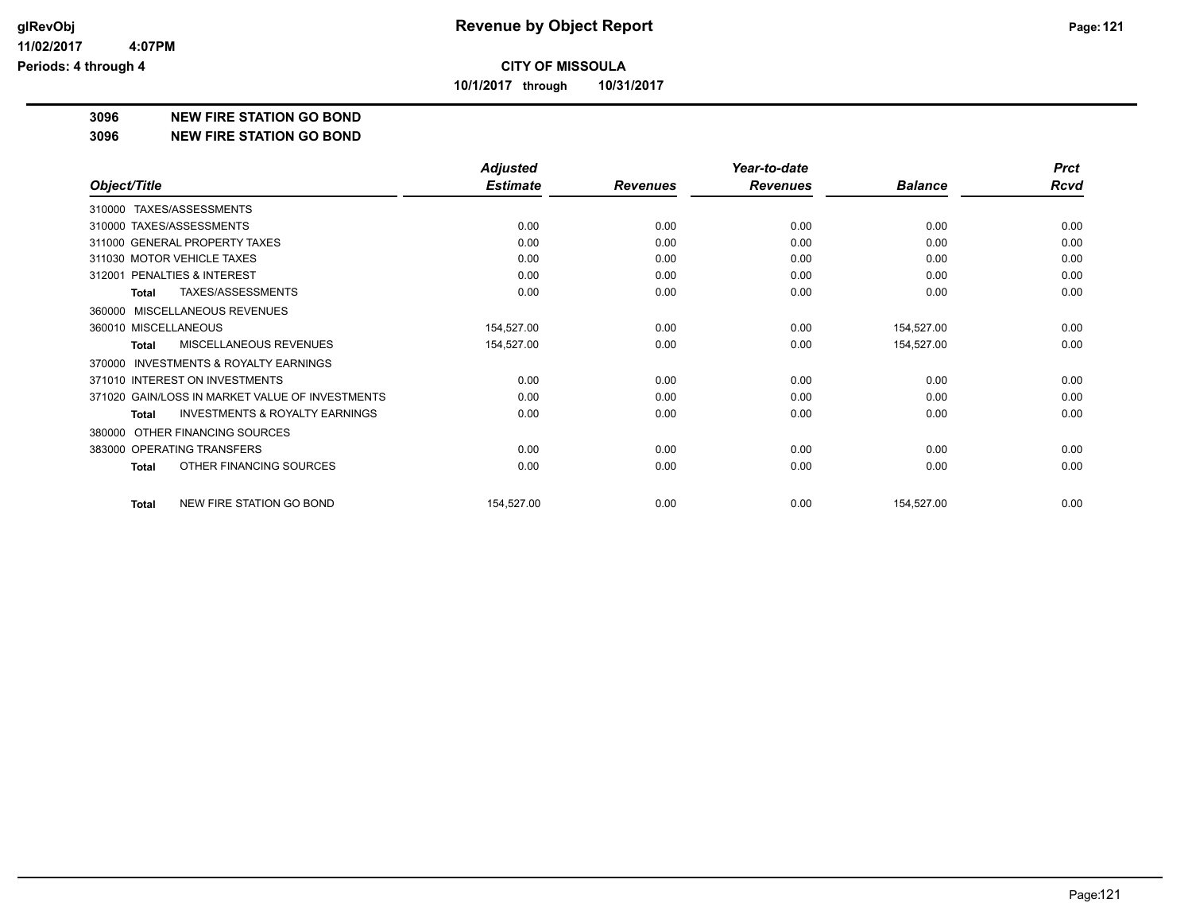**10/1/2017 through 10/31/2017**

#### **3096 NEW FIRE STATION GO BOND**

#### **3096 NEW FIRE STATION GO BOND**

|                                                 | <b>Adjusted</b> |                 | Year-to-date    |                | <b>Prct</b> |
|-------------------------------------------------|-----------------|-----------------|-----------------|----------------|-------------|
|                                                 | <b>Estimate</b> | <b>Revenues</b> | <b>Revenues</b> | <b>Balance</b> | Rcvd        |
| TAXES/ASSESSMENTS                               |                 |                 |                 |                |             |
| 310000 TAXES/ASSESSMENTS                        | 0.00            | 0.00            | 0.00            | 0.00           | 0.00        |
| 311000 GENERAL PROPERTY TAXES                   | 0.00            | 0.00            | 0.00            | 0.00           | 0.00        |
| 311030 MOTOR VEHICLE TAXES                      | 0.00            | 0.00            | 0.00            | 0.00           | 0.00        |
| 312001 PENALTIES & INTEREST                     | 0.00            | 0.00            | 0.00            | 0.00           | 0.00        |
| TAXES/ASSESSMENTS                               | 0.00            | 0.00            | 0.00            | 0.00           | 0.00        |
| MISCELLANEOUS REVENUES                          |                 |                 |                 |                |             |
| 360010 MISCELLANEOUS                            | 154,527.00      | 0.00            | 0.00            | 154,527.00     | 0.00        |
| <b>MISCELLANEOUS REVENUES</b>                   | 154,527.00      | 0.00            | 0.00            | 154,527.00     | 0.00        |
| <b>INVESTMENTS &amp; ROYALTY EARNINGS</b>       |                 |                 |                 |                |             |
| 371010 INTEREST ON INVESTMENTS                  | 0.00            | 0.00            | 0.00            | 0.00           | 0.00        |
| 371020 GAIN/LOSS IN MARKET VALUE OF INVESTMENTS | 0.00            | 0.00            | 0.00            | 0.00           | 0.00        |
| <b>INVESTMENTS &amp; ROYALTY EARNINGS</b>       | 0.00            | 0.00            | 0.00            | 0.00           | 0.00        |
| OTHER FINANCING SOURCES                         |                 |                 |                 |                |             |
| 383000 OPERATING TRANSFERS                      | 0.00            | 0.00            | 0.00            | 0.00           | 0.00        |
| OTHER FINANCING SOURCES                         | 0.00            | 0.00            | 0.00            | 0.00           | 0.00        |
| NEW FIRE STATION GO BOND                        | 154,527.00      | 0.00            | 0.00            | 154,527.00     | 0.00        |
|                                                 |                 |                 |                 |                |             |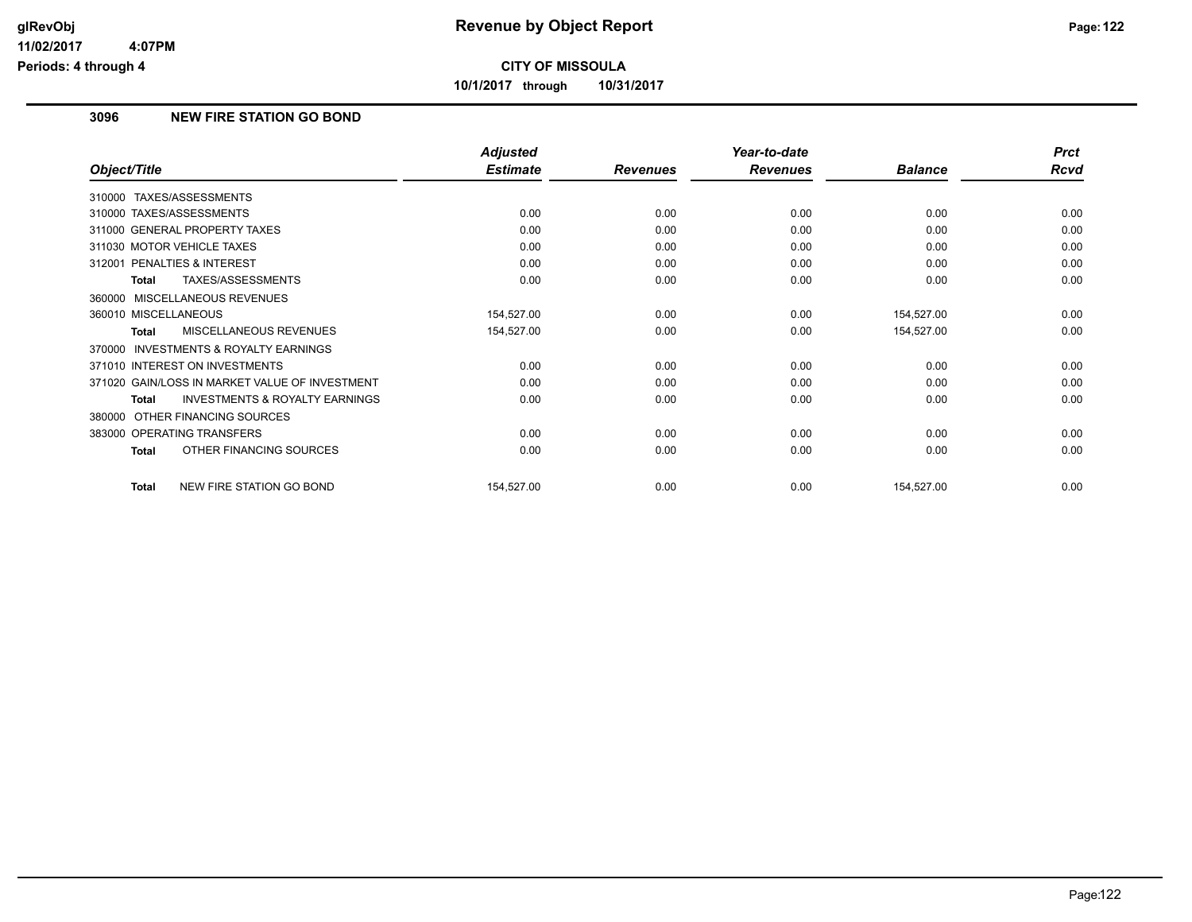**10/1/2017 through 10/31/2017**

#### **3096 NEW FIRE STATION GO BOND**

|                                                           | <b>Adjusted</b> |                 | Year-to-date    |                | <b>Prct</b> |
|-----------------------------------------------------------|-----------------|-----------------|-----------------|----------------|-------------|
| Object/Title                                              | <b>Estimate</b> | <b>Revenues</b> | <b>Revenues</b> | <b>Balance</b> | Rcvd        |
| TAXES/ASSESSMENTS<br>310000                               |                 |                 |                 |                |             |
| 310000 TAXES/ASSESSMENTS                                  | 0.00            | 0.00            | 0.00            | 0.00           | 0.00        |
| 311000 GENERAL PROPERTY TAXES                             | 0.00            | 0.00            | 0.00            | 0.00           | 0.00        |
| 311030 MOTOR VEHICLE TAXES                                | 0.00            | 0.00            | 0.00            | 0.00           | 0.00        |
| 312001 PENALTIES & INTEREST                               | 0.00            | 0.00            | 0.00            | 0.00           | 0.00        |
| TAXES/ASSESSMENTS<br><b>Total</b>                         | 0.00            | 0.00            | 0.00            | 0.00           | 0.00        |
| 360000 MISCELLANEOUS REVENUES                             |                 |                 |                 |                |             |
| 360010 MISCELLANEOUS                                      | 154,527.00      | 0.00            | 0.00            | 154,527.00     | 0.00        |
| <b>MISCELLANEOUS REVENUES</b><br><b>Total</b>             | 154,527.00      | 0.00            | 0.00            | 154,527.00     | 0.00        |
| <b>INVESTMENTS &amp; ROYALTY EARNINGS</b><br>370000       |                 |                 |                 |                |             |
| 371010 INTEREST ON INVESTMENTS                            | 0.00            | 0.00            | 0.00            | 0.00           | 0.00        |
| 371020 GAIN/LOSS IN MARKET VALUE OF INVESTMENT            | 0.00            | 0.00            | 0.00            | 0.00           | 0.00        |
| <b>INVESTMENTS &amp; ROYALTY EARNINGS</b><br><b>Total</b> | 0.00            | 0.00            | 0.00            | 0.00           | 0.00        |
| OTHER FINANCING SOURCES<br>380000                         |                 |                 |                 |                |             |
| 383000 OPERATING TRANSFERS                                | 0.00            | 0.00            | 0.00            | 0.00           | 0.00        |
| OTHER FINANCING SOURCES<br><b>Total</b>                   | 0.00            | 0.00            | 0.00            | 0.00           | 0.00        |
| <b>NEW FIRE STATION GO BOND</b><br><b>Total</b>           | 154,527.00      | 0.00            | 0.00            | 154,527.00     | 0.00        |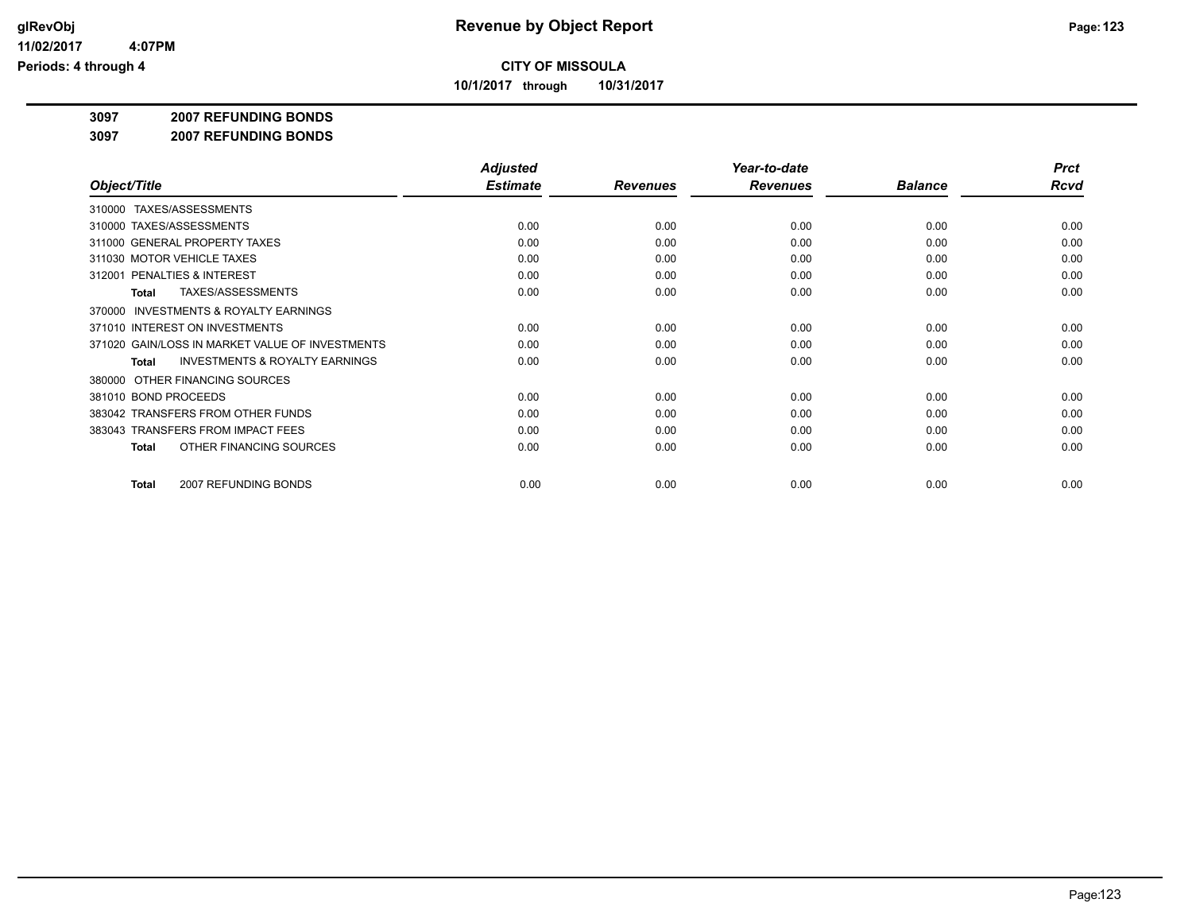**10/1/2017 through 10/31/2017**

#### **3097 2007 REFUNDING BONDS**

**3097 2007 REFUNDING BONDS**

|                                                     | <b>Adjusted</b> |                 | Year-to-date    |                | <b>Prct</b> |
|-----------------------------------------------------|-----------------|-----------------|-----------------|----------------|-------------|
| Object/Title                                        | <b>Estimate</b> | <b>Revenues</b> | <b>Revenues</b> | <b>Balance</b> | <b>Rcvd</b> |
| 310000 TAXES/ASSESSMENTS                            |                 |                 |                 |                |             |
| 310000 TAXES/ASSESSMENTS                            | 0.00            | 0.00            | 0.00            | 0.00           | 0.00        |
| 311000 GENERAL PROPERTY TAXES                       | 0.00            | 0.00            | 0.00            | 0.00           | 0.00        |
| 311030 MOTOR VEHICLE TAXES                          | 0.00            | 0.00            | 0.00            | 0.00           | 0.00        |
| 312001 PENALTIES & INTEREST                         | 0.00            | 0.00            | 0.00            | 0.00           | 0.00        |
| TAXES/ASSESSMENTS<br><b>Total</b>                   | 0.00            | 0.00            | 0.00            | 0.00           | 0.00        |
| <b>INVESTMENTS &amp; ROYALTY EARNINGS</b><br>370000 |                 |                 |                 |                |             |
| 371010 INTEREST ON INVESTMENTS                      | 0.00            | 0.00            | 0.00            | 0.00           | 0.00        |
| 371020 GAIN/LOSS IN MARKET VALUE OF INVESTMENTS     | 0.00            | 0.00            | 0.00            | 0.00           | 0.00        |
| <b>INVESTMENTS &amp; ROYALTY EARNINGS</b><br>Total  | 0.00            | 0.00            | 0.00            | 0.00           | 0.00        |
| OTHER FINANCING SOURCES<br>380000                   |                 |                 |                 |                |             |
| 381010 BOND PROCEEDS                                | 0.00            | 0.00            | 0.00            | 0.00           | 0.00        |
| 383042 TRANSFERS FROM OTHER FUNDS                   | 0.00            | 0.00            | 0.00            | 0.00           | 0.00        |
| 383043 TRANSFERS FROM IMPACT FEES                   | 0.00            | 0.00            | 0.00            | 0.00           | 0.00        |
| OTHER FINANCING SOURCES<br><b>Total</b>             | 0.00            | 0.00            | 0.00            | 0.00           | 0.00        |
| 2007 REFUNDING BONDS<br><b>Total</b>                | 0.00            | 0.00            | 0.00            | 0.00           | 0.00        |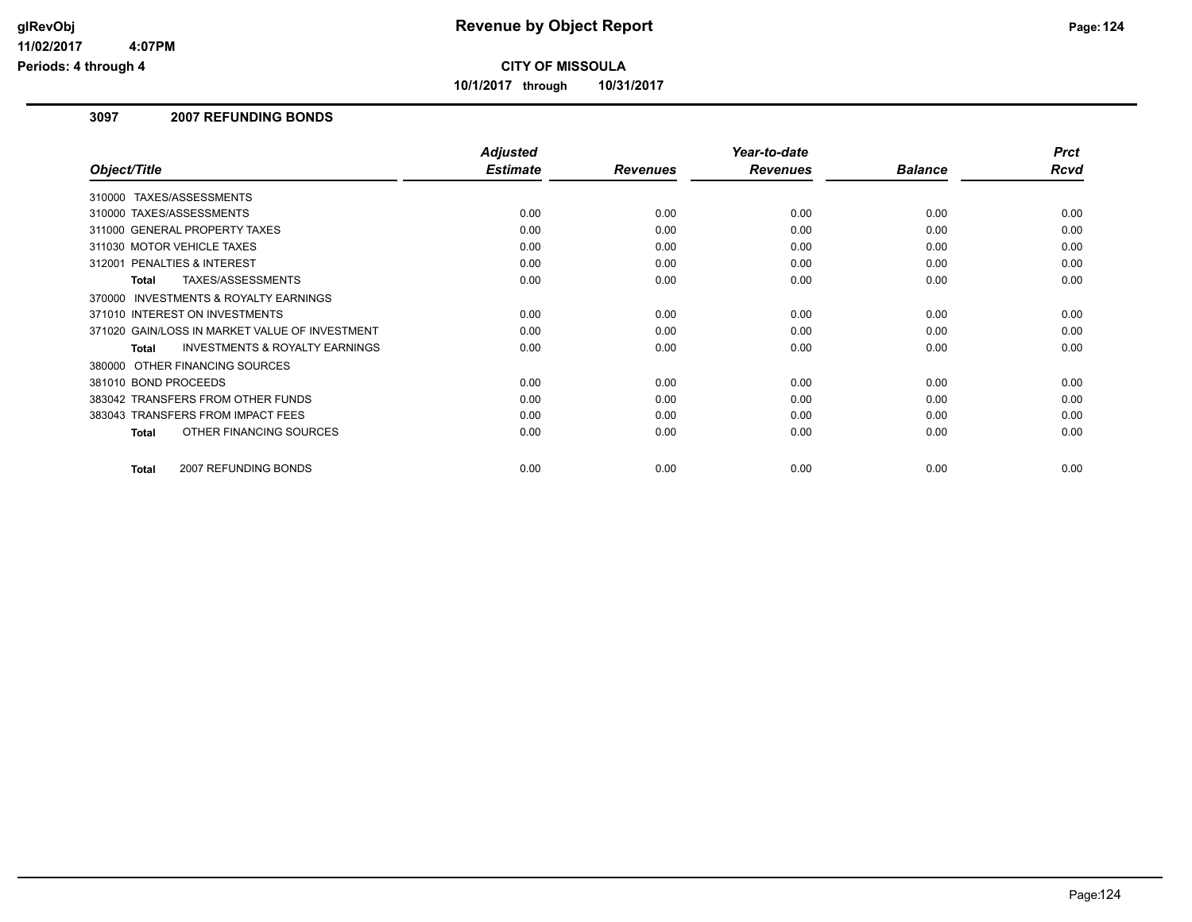**10/1/2017 through 10/31/2017**

#### **3097 2007 REFUNDING BONDS**

|                                                     | <b>Adjusted</b> |                 | Year-to-date    |                | <b>Prct</b> |
|-----------------------------------------------------|-----------------|-----------------|-----------------|----------------|-------------|
| Object/Title                                        | <b>Estimate</b> | <b>Revenues</b> | <b>Revenues</b> | <b>Balance</b> | <b>Rcvd</b> |
| 310000 TAXES/ASSESSMENTS                            |                 |                 |                 |                |             |
| 310000 TAXES/ASSESSMENTS                            | 0.00            | 0.00            | 0.00            | 0.00           | 0.00        |
| 311000 GENERAL PROPERTY TAXES                       | 0.00            | 0.00            | 0.00            | 0.00           | 0.00        |
| 311030 MOTOR VEHICLE TAXES                          | 0.00            | 0.00            | 0.00            | 0.00           | 0.00        |
| 312001 PENALTIES & INTEREST                         | 0.00            | 0.00            | 0.00            | 0.00           | 0.00        |
| TAXES/ASSESSMENTS<br><b>Total</b>                   | 0.00            | 0.00            | 0.00            | 0.00           | 0.00        |
| <b>INVESTMENTS &amp; ROYALTY EARNINGS</b><br>370000 |                 |                 |                 |                |             |
| 371010 INTEREST ON INVESTMENTS                      | 0.00            | 0.00            | 0.00            | 0.00           | 0.00        |
| 371020 GAIN/LOSS IN MARKET VALUE OF INVESTMENT      | 0.00            | 0.00            | 0.00            | 0.00           | 0.00        |
| <b>INVESTMENTS &amp; ROYALTY EARNINGS</b><br>Total  | 0.00            | 0.00            | 0.00            | 0.00           | 0.00        |
| 380000 OTHER FINANCING SOURCES                      |                 |                 |                 |                |             |
| 381010 BOND PROCEEDS                                | 0.00            | 0.00            | 0.00            | 0.00           | 0.00        |
| 383042 TRANSFERS FROM OTHER FUNDS                   | 0.00            | 0.00            | 0.00            | 0.00           | 0.00        |
| 383043 TRANSFERS FROM IMPACT FEES                   | 0.00            | 0.00            | 0.00            | 0.00           | 0.00        |
| OTHER FINANCING SOURCES<br><b>Total</b>             | 0.00            | 0.00            | 0.00            | 0.00           | 0.00        |
| 2007 REFUNDING BONDS<br><b>Total</b>                | 0.00            | 0.00            | 0.00            | 0.00           | 0.00        |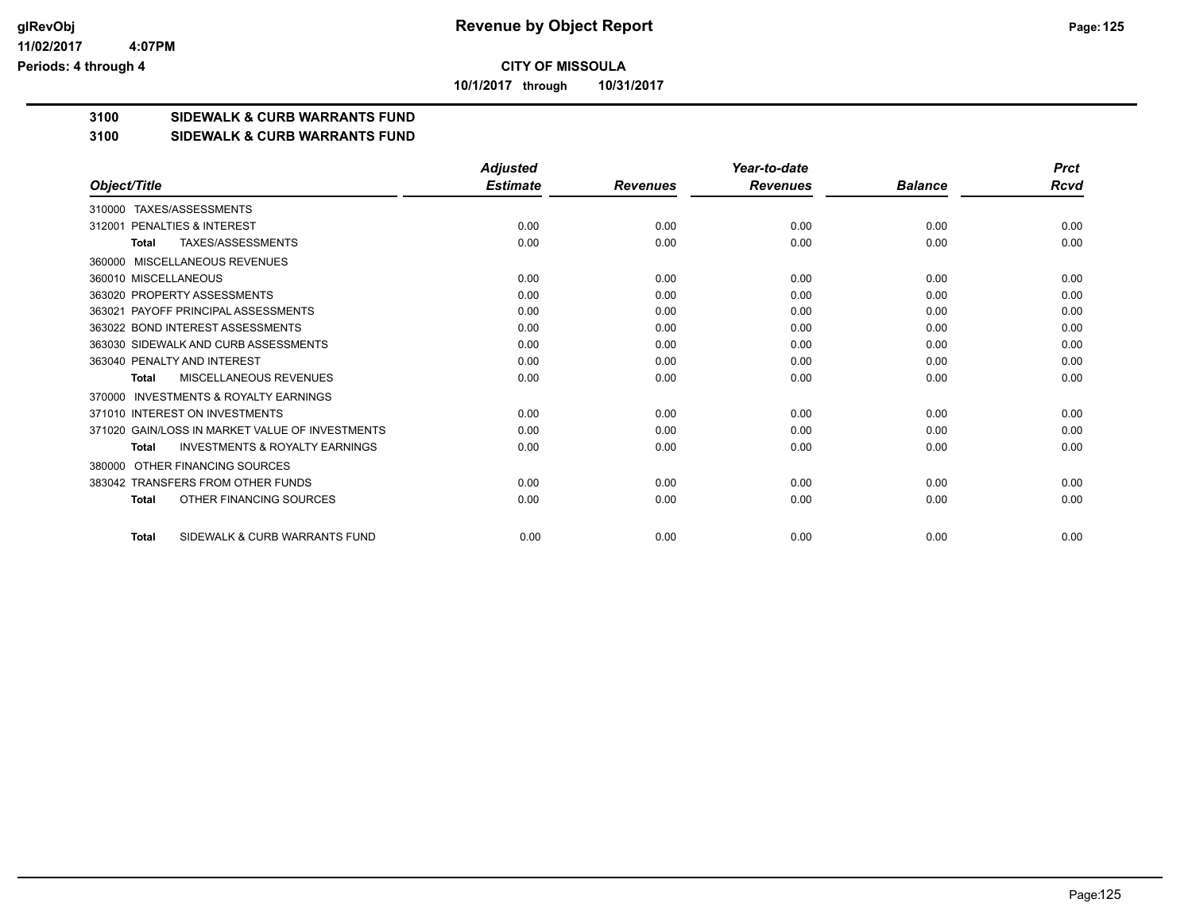**10/1/2017 through 10/31/2017**

#### **3100 SIDEWALK & CURB WARRANTS FUND**

#### **3100 SIDEWALK & CURB WARRANTS FUND**

|                                                           | <b>Adjusted</b> |                 | Year-to-date    |                | <b>Prct</b> |
|-----------------------------------------------------------|-----------------|-----------------|-----------------|----------------|-------------|
| Object/Title                                              | <b>Estimate</b> | <b>Revenues</b> | <b>Revenues</b> | <b>Balance</b> | <b>Rcvd</b> |
| TAXES/ASSESSMENTS<br>310000                               |                 |                 |                 |                |             |
| PENALTIES & INTEREST<br>312001                            | 0.00            | 0.00            | 0.00            | 0.00           | 0.00        |
| <b>TAXES/ASSESSMENTS</b><br>Total                         | 0.00            | 0.00            | 0.00            | 0.00           | 0.00        |
| MISCELLANEOUS REVENUES<br>360000                          |                 |                 |                 |                |             |
| 360010 MISCELLANEOUS                                      | 0.00            | 0.00            | 0.00            | 0.00           | 0.00        |
| 363020 PROPERTY ASSESSMENTS                               | 0.00            | 0.00            | 0.00            | 0.00           | 0.00        |
| 363021 PAYOFF PRINCIPAL ASSESSMENTS                       | 0.00            | 0.00            | 0.00            | 0.00           | 0.00        |
| 363022 BOND INTEREST ASSESSMENTS                          | 0.00            | 0.00            | 0.00            | 0.00           | 0.00        |
| 363030 SIDEWALK AND CURB ASSESSMENTS                      | 0.00            | 0.00            | 0.00            | 0.00           | 0.00        |
| 363040 PENALTY AND INTEREST                               | 0.00            | 0.00            | 0.00            | 0.00           | 0.00        |
| MISCELLANEOUS REVENUES<br><b>Total</b>                    | 0.00            | 0.00            | 0.00            | 0.00           | 0.00        |
| <b>INVESTMENTS &amp; ROYALTY EARNINGS</b><br>370000       |                 |                 |                 |                |             |
| 371010 INTEREST ON INVESTMENTS                            | 0.00            | 0.00            | 0.00            | 0.00           | 0.00        |
| 371020 GAIN/LOSS IN MARKET VALUE OF INVESTMENTS           | 0.00            | 0.00            | 0.00            | 0.00           | 0.00        |
| <b>INVESTMENTS &amp; ROYALTY EARNINGS</b><br><b>Total</b> | 0.00            | 0.00            | 0.00            | 0.00           | 0.00        |
| OTHER FINANCING SOURCES<br>380000                         |                 |                 |                 |                |             |
| 383042 TRANSFERS FROM OTHER FUNDS                         | 0.00            | 0.00            | 0.00            | 0.00           | 0.00        |
| OTHER FINANCING SOURCES<br>Total                          | 0.00            | 0.00            | 0.00            | 0.00           | 0.00        |
|                                                           |                 |                 |                 |                |             |
| SIDEWALK & CURB WARRANTS FUND<br><b>Total</b>             | 0.00            | 0.00            | 0.00            | 0.00           | 0.00        |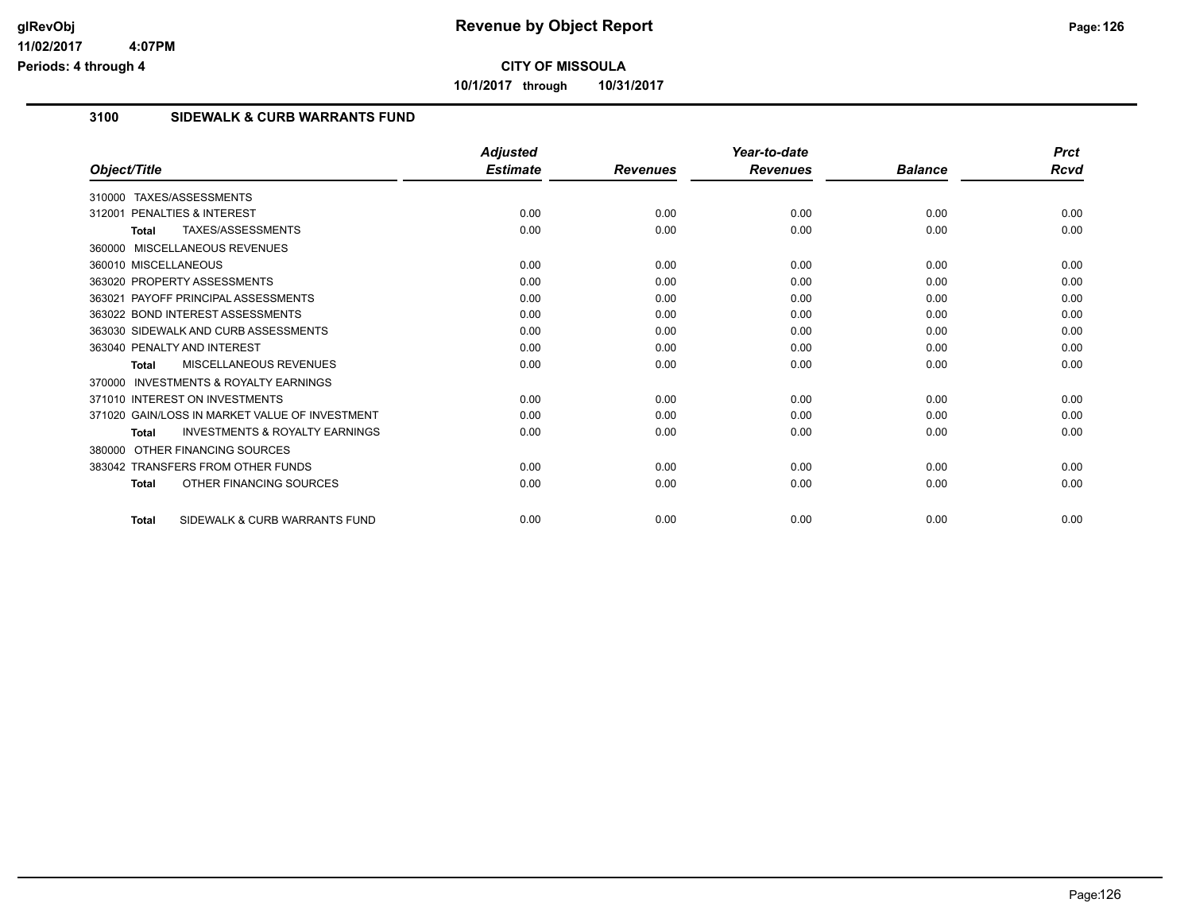**10/1/2017 through 10/31/2017**

#### **3100 SIDEWALK & CURB WARRANTS FUND**

|                                                     | <b>Adjusted</b> |                 | Year-to-date    |                | <b>Prct</b> |
|-----------------------------------------------------|-----------------|-----------------|-----------------|----------------|-------------|
| Object/Title                                        | <b>Estimate</b> | <b>Revenues</b> | <b>Revenues</b> | <b>Balance</b> | Rcvd        |
| TAXES/ASSESSMENTS<br>310000                         |                 |                 |                 |                |             |
| PENALTIES & INTEREST<br>312001                      | 0.00            | 0.00            | 0.00            | 0.00           | 0.00        |
| TAXES/ASSESSMENTS<br><b>Total</b>                   | 0.00            | 0.00            | 0.00            | 0.00           | 0.00        |
| MISCELLANEOUS REVENUES<br>360000                    |                 |                 |                 |                |             |
| 360010 MISCELLANEOUS                                | 0.00            | 0.00            | 0.00            | 0.00           | 0.00        |
| 363020 PROPERTY ASSESSMENTS                         | 0.00            | 0.00            | 0.00            | 0.00           | 0.00        |
| PAYOFF PRINCIPAL ASSESSMENTS<br>363021              | 0.00            | 0.00            | 0.00            | 0.00           | 0.00        |
| 363022 BOND INTEREST ASSESSMENTS                    | 0.00            | 0.00            | 0.00            | 0.00           | 0.00        |
| 363030 SIDEWALK AND CURB ASSESSMENTS                | 0.00            | 0.00            | 0.00            | 0.00           | 0.00        |
| 363040 PENALTY AND INTEREST                         | 0.00            | 0.00            | 0.00            | 0.00           | 0.00        |
| <b>MISCELLANEOUS REVENUES</b><br><b>Total</b>       | 0.00            | 0.00            | 0.00            | 0.00           | 0.00        |
| <b>INVESTMENTS &amp; ROYALTY EARNINGS</b><br>370000 |                 |                 |                 |                |             |
| 371010 INTEREST ON INVESTMENTS                      | 0.00            | 0.00            | 0.00            | 0.00           | 0.00        |
| 371020 GAIN/LOSS IN MARKET VALUE OF INVESTMENT      | 0.00            | 0.00            | 0.00            | 0.00           | 0.00        |
| <b>INVESTMENTS &amp; ROYALTY EARNINGS</b><br>Total  | 0.00            | 0.00            | 0.00            | 0.00           | 0.00        |
| OTHER FINANCING SOURCES<br>380000                   |                 |                 |                 |                |             |
| 383042 TRANSFERS FROM OTHER FUNDS                   | 0.00            | 0.00            | 0.00            | 0.00           | 0.00        |
| OTHER FINANCING SOURCES<br><b>Total</b>             | 0.00            | 0.00            | 0.00            | 0.00           | 0.00        |
| SIDEWALK & CURB WARRANTS FUND<br><b>Total</b>       | 0.00            | 0.00            | 0.00            | 0.00           | 0.00        |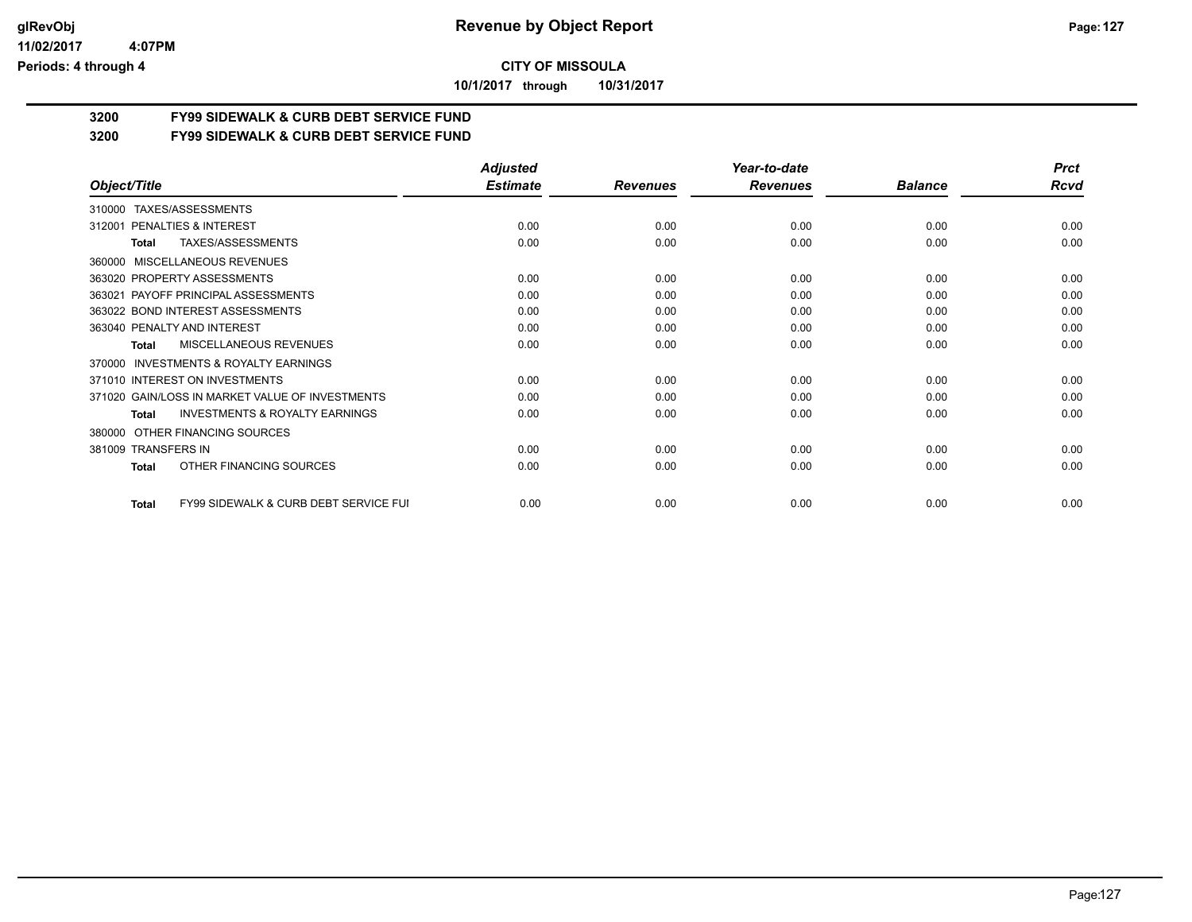# **11/02/2017**

**Periods: 4 through 4**

 **4:07PM**

**CITY OF MISSOULA**

**10/1/2017 through 10/31/2017**

# **3200 FY99 SIDEWALK & CURB DEBT SERVICE FUND**

**3200 FY99 SIDEWALK & CURB DEBT SERVICE FUND**

|                                                           | <b>Adjusted</b> |                 | Year-to-date    |                | <b>Prct</b> |
|-----------------------------------------------------------|-----------------|-----------------|-----------------|----------------|-------------|
| Object/Title                                              | <b>Estimate</b> | <b>Revenues</b> | <b>Revenues</b> | <b>Balance</b> | Rcvd        |
| TAXES/ASSESSMENTS<br>310000                               |                 |                 |                 |                |             |
| <b>PENALTIES &amp; INTEREST</b><br>312001                 | 0.00            | 0.00            | 0.00            | 0.00           | 0.00        |
| TAXES/ASSESSMENTS<br>Total                                | 0.00            | 0.00            | 0.00            | 0.00           | 0.00        |
| MISCELLANEOUS REVENUES<br>360000                          |                 |                 |                 |                |             |
| 363020 PROPERTY ASSESSMENTS                               | 0.00            | 0.00            | 0.00            | 0.00           | 0.00        |
| PAYOFF PRINCIPAL ASSESSMENTS<br>363021                    | 0.00            | 0.00            | 0.00            | 0.00           | 0.00        |
| 363022 BOND INTEREST ASSESSMENTS                          | 0.00            | 0.00            | 0.00            | 0.00           | 0.00        |
| 363040 PENALTY AND INTEREST                               | 0.00            | 0.00            | 0.00            | 0.00           | 0.00        |
| MISCELLANEOUS REVENUES<br>Total                           | 0.00            | 0.00            | 0.00            | 0.00           | 0.00        |
| <b>INVESTMENTS &amp; ROYALTY EARNINGS</b><br>370000       |                 |                 |                 |                |             |
| 371010 INTEREST ON INVESTMENTS                            | 0.00            | 0.00            | 0.00            | 0.00           | 0.00        |
| 371020 GAIN/LOSS IN MARKET VALUE OF INVESTMENTS           | 0.00            | 0.00            | 0.00            | 0.00           | 0.00        |
| <b>INVESTMENTS &amp; ROYALTY EARNINGS</b><br><b>Total</b> | 0.00            | 0.00            | 0.00            | 0.00           | 0.00        |
| OTHER FINANCING SOURCES<br>380000                         |                 |                 |                 |                |             |
| 381009 TRANSFERS IN                                       | 0.00            | 0.00            | 0.00            | 0.00           | 0.00        |
| OTHER FINANCING SOURCES<br>Total                          | 0.00            | 0.00            | 0.00            | 0.00           | 0.00        |
|                                                           |                 |                 |                 |                |             |
| FY99 SIDEWALK & CURB DEBT SERVICE FUI<br><b>Total</b>     | 0.00            | 0.00            | 0.00            | 0.00           | 0.00        |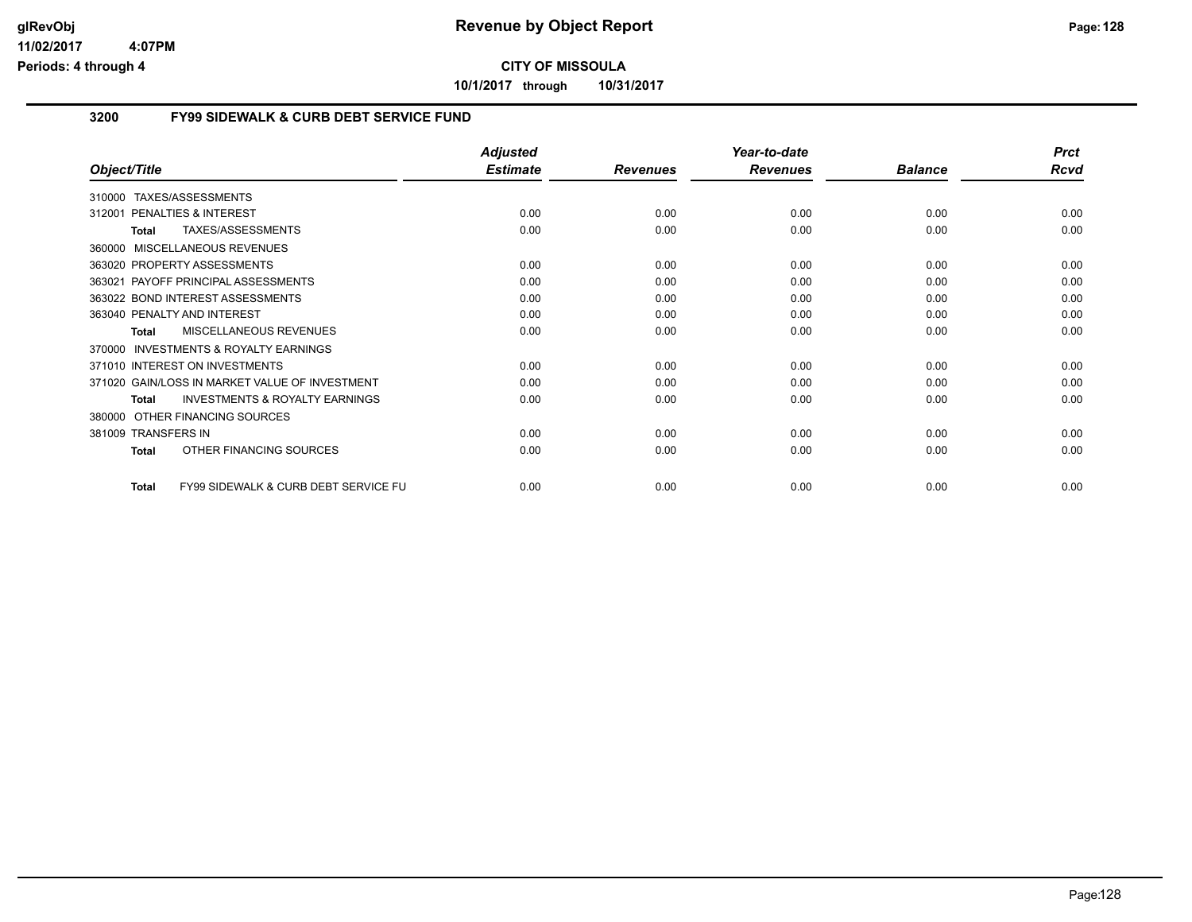**10/1/2017 through 10/31/2017**

#### **3200 FY99 SIDEWALK & CURB DEBT SERVICE FUND**

|                                                           | <b>Adjusted</b> |                 | Year-to-date    |                | <b>Prct</b> |
|-----------------------------------------------------------|-----------------|-----------------|-----------------|----------------|-------------|
| Object/Title                                              | <b>Estimate</b> | <b>Revenues</b> | <b>Revenues</b> | <b>Balance</b> | <b>Rcvd</b> |
| TAXES/ASSESSMENTS<br>310000                               |                 |                 |                 |                |             |
| <b>PENALTIES &amp; INTEREST</b><br>312001                 | 0.00            | 0.00            | 0.00            | 0.00           | 0.00        |
| TAXES/ASSESSMENTS<br><b>Total</b>                         | 0.00            | 0.00            | 0.00            | 0.00           | 0.00        |
| MISCELLANEOUS REVENUES<br>360000                          |                 |                 |                 |                |             |
| 363020 PROPERTY ASSESSMENTS                               | 0.00            | 0.00            | 0.00            | 0.00           | 0.00        |
| 363021 PAYOFF PRINCIPAL ASSESSMENTS                       | 0.00            | 0.00            | 0.00            | 0.00           | 0.00        |
| 363022 BOND INTEREST ASSESSMENTS                          | 0.00            | 0.00            | 0.00            | 0.00           | 0.00        |
| 363040 PENALTY AND INTEREST                               | 0.00            | 0.00            | 0.00            | 0.00           | 0.00        |
| MISCELLANEOUS REVENUES<br><b>Total</b>                    | 0.00            | 0.00            | 0.00            | 0.00           | 0.00        |
| <b>INVESTMENTS &amp; ROYALTY EARNINGS</b><br>370000       |                 |                 |                 |                |             |
| 371010 INTEREST ON INVESTMENTS                            | 0.00            | 0.00            | 0.00            | 0.00           | 0.00        |
| 371020 GAIN/LOSS IN MARKET VALUE OF INVESTMENT            | 0.00            | 0.00            | 0.00            | 0.00           | 0.00        |
| <b>INVESTMENTS &amp; ROYALTY EARNINGS</b><br><b>Total</b> | 0.00            | 0.00            | 0.00            | 0.00           | 0.00        |
| OTHER FINANCING SOURCES<br>380000                         |                 |                 |                 |                |             |
| 381009 TRANSFERS IN                                       | 0.00            | 0.00            | 0.00            | 0.00           | 0.00        |
| OTHER FINANCING SOURCES<br><b>Total</b>                   | 0.00            | 0.00            | 0.00            | 0.00           | 0.00        |
| FY99 SIDEWALK & CURB DEBT SERVICE FU<br><b>Total</b>      | 0.00            | 0.00            | 0.00            | 0.00           | 0.00        |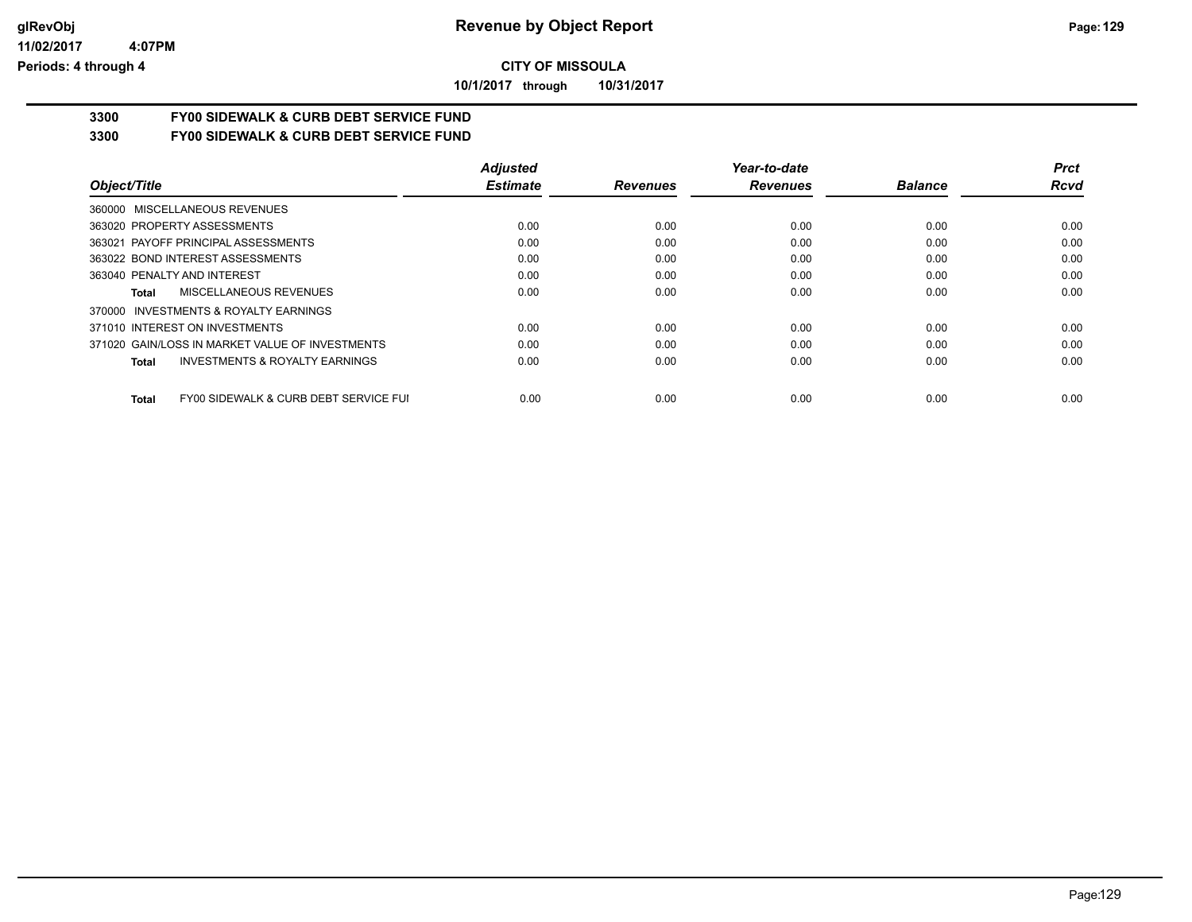#### **11/02/2017 4:07PM Periods: 4 through 4**

#### **CITY OF MISSOULA**

**10/1/2017 through 10/31/2017**

# **3300 FY00 SIDEWALK & CURB DEBT SERVICE FUND**

### **3300 FY00 SIDEWALK & CURB DEBT SERVICE FUND**

|                                                           | <b>Adjusted</b> |                 | Year-to-date    |                | <b>Prct</b> |
|-----------------------------------------------------------|-----------------|-----------------|-----------------|----------------|-------------|
| Object/Title                                              | <b>Estimate</b> | <b>Revenues</b> | <b>Revenues</b> | <b>Balance</b> | <b>Rcvd</b> |
| 360000 MISCELLANEOUS REVENUES                             |                 |                 |                 |                |             |
| 363020 PROPERTY ASSESSMENTS                               | 0.00            | 0.00            | 0.00            | 0.00           | 0.00        |
| 363021 PAYOFF PRINCIPAL ASSESSMENTS                       | 0.00            | 0.00            | 0.00            | 0.00           | 0.00        |
| 363022 BOND INTEREST ASSESSMENTS                          | 0.00            | 0.00            | 0.00            | 0.00           | 0.00        |
| 363040 PENALTY AND INTEREST                               | 0.00            | 0.00            | 0.00            | 0.00           | 0.00        |
| MISCELLANEOUS REVENUES<br>Total                           | 0.00            | 0.00            | 0.00            | 0.00           | 0.00        |
| 370000 INVESTMENTS & ROYALTY EARNINGS                     |                 |                 |                 |                |             |
| 371010 INTEREST ON INVESTMENTS                            | 0.00            | 0.00            | 0.00            | 0.00           | 0.00        |
| 371020 GAIN/LOSS IN MARKET VALUE OF INVESTMENTS           | 0.00            | 0.00            | 0.00            | 0.00           | 0.00        |
| <b>INVESTMENTS &amp; ROYALTY EARNINGS</b><br>Total        | 0.00            | 0.00            | 0.00            | 0.00           | 0.00        |
| <b>FY00 SIDEWALK &amp; CURB DEBT SERVICE FUI</b><br>Total | 0.00            | 0.00            | 0.00            | 0.00           | 0.00        |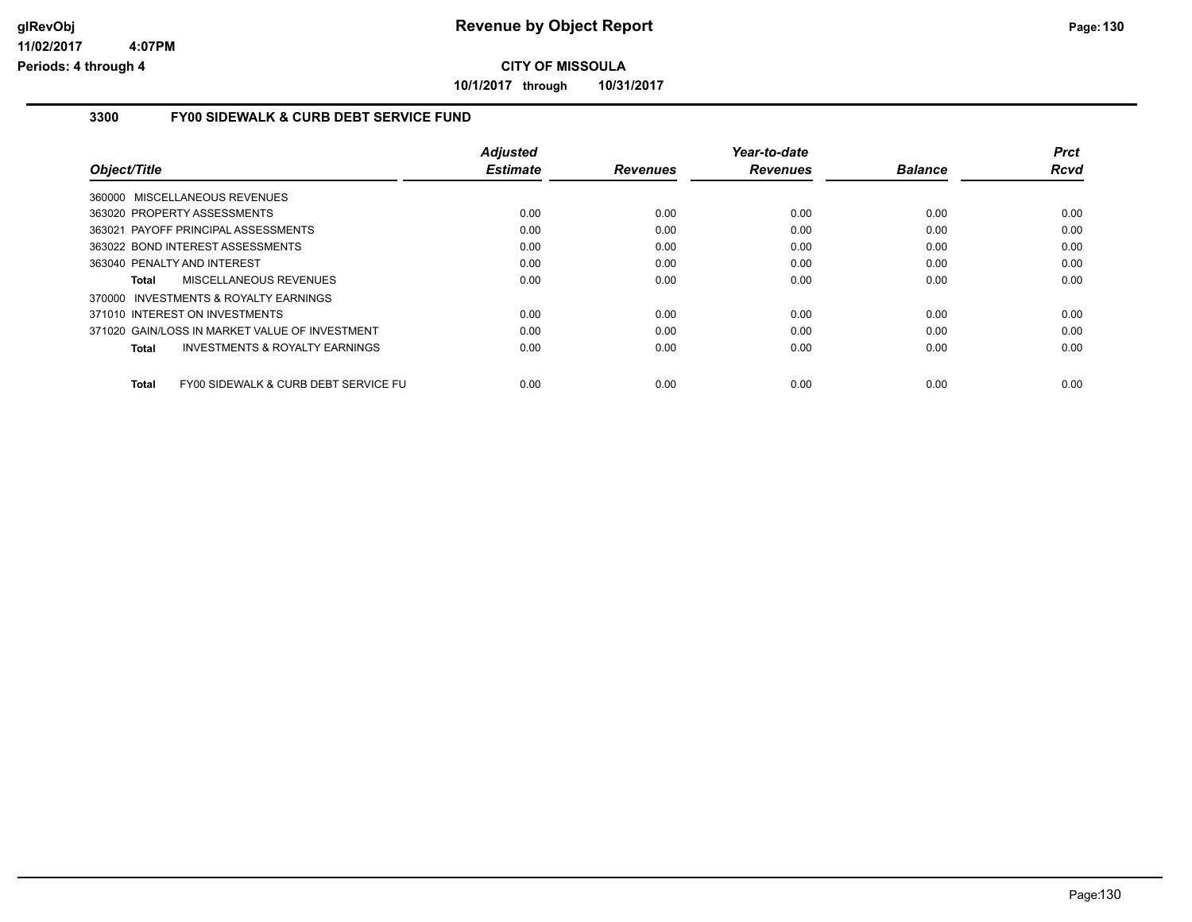**10/1/2017 through 10/31/2017**

#### **3300 FY00 SIDEWALK & CURB DEBT SERVICE FUND**

|                                                      | <b>Adjusted</b> |                 | Year-to-date    |                | <b>Prct</b> |
|------------------------------------------------------|-----------------|-----------------|-----------------|----------------|-------------|
| Object/Title                                         | <b>Estimate</b> | <b>Revenues</b> | <b>Revenues</b> | <b>Balance</b> | <b>Rcvd</b> |
| 360000 MISCELLANEOUS REVENUES                        |                 |                 |                 |                |             |
| 363020 PROPERTY ASSESSMENTS                          | 0.00            | 0.00            | 0.00            | 0.00           | 0.00        |
| 363021 PAYOFF PRINCIPAL ASSESSMENTS                  | 0.00            | 0.00            | 0.00            | 0.00           | 0.00        |
| 363022 BOND INTEREST ASSESSMENTS                     | 0.00            | 0.00            | 0.00            | 0.00           | 0.00        |
| 363040 PENALTY AND INTEREST                          | 0.00            | 0.00            | 0.00            | 0.00           | 0.00        |
| <b>MISCELLANEOUS REVENUES</b><br>Total               | 0.00            | 0.00            | 0.00            | 0.00           | 0.00        |
| 370000 INVESTMENTS & ROYALTY EARNINGS                |                 |                 |                 |                |             |
| 371010 INTEREST ON INVESTMENTS                       | 0.00            | 0.00            | 0.00            | 0.00           | 0.00        |
| 371020 GAIN/LOSS IN MARKET VALUE OF INVESTMENT       | 0.00            | 0.00            | 0.00            | 0.00           | 0.00        |
| <b>INVESTMENTS &amp; ROYALTY EARNINGS</b><br>Total   | 0.00            | 0.00            | 0.00            | 0.00           | 0.00        |
| FY00 SIDEWALK & CURB DEBT SERVICE FU<br><b>Total</b> | 0.00            | 0.00            | 0.00            | 0.00           | 0.00        |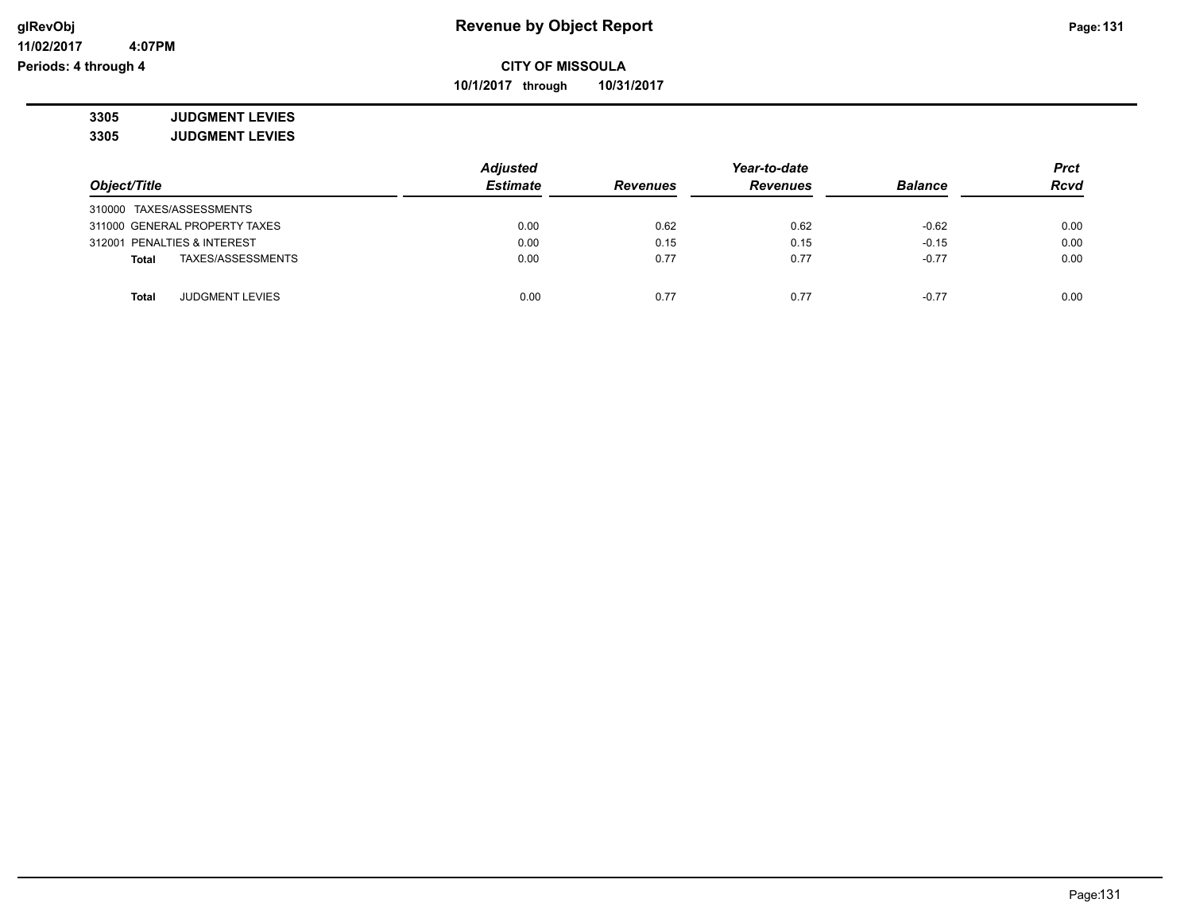**10/1/2017 through 10/31/2017**

**3305 JUDGMENT LEVIES**

| 3305 | <b>JUDGMENT LEVIES</b> |
|------|------------------------|
|      |                        |

|                                        | <b>Adjusted</b> |                 | Year-to-date    |                | <b>Prct</b> |
|----------------------------------------|-----------------|-----------------|-----------------|----------------|-------------|
| Object/Title                           | <b>Estimate</b> | <b>Revenues</b> | <b>Revenues</b> | <b>Balance</b> | <b>Rcvd</b> |
| 310000 TAXES/ASSESSMENTS               |                 |                 |                 |                |             |
| 311000 GENERAL PROPERTY TAXES          | 0.00            | 0.62            | 0.62            | $-0.62$        | 0.00        |
| 312001 PENALTIES & INTEREST            | 0.00            | 0.15            | 0.15            | $-0.15$        | 0.00        |
| TAXES/ASSESSMENTS<br><b>Total</b>      | 0.00            | 0.77            | 0.77            | $-0.77$        | 0.00        |
| <b>JUDGMENT LEVIES</b><br><b>Total</b> | 0.00            | 0.77            | 0.77            | $-0.77$        | 0.00        |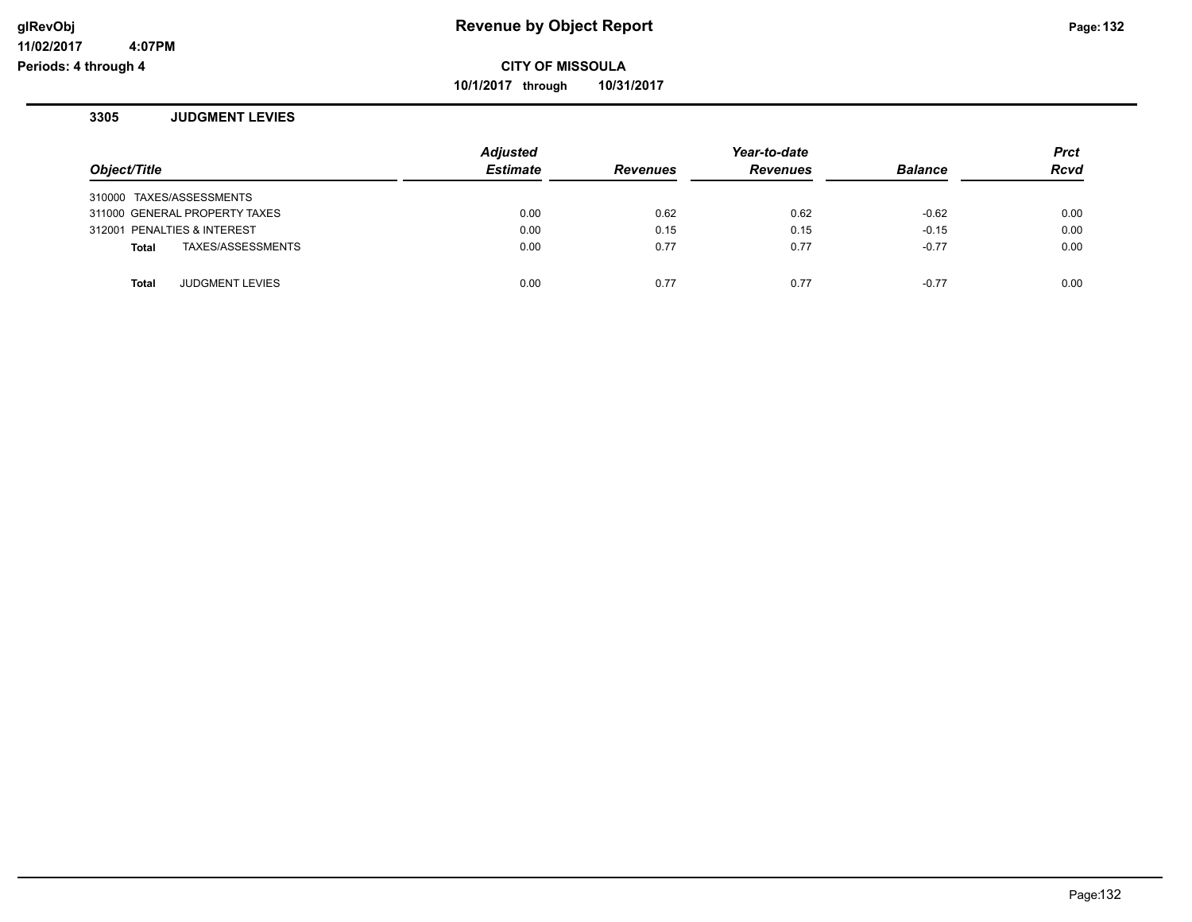**Periods: 4 through 4**

**CITY OF MISSOULA**

**10/1/2017 through 10/31/2017**

#### **3305 JUDGMENT LEVIES**

 **4:07PM**

| Object/Title                           | <b>Adjusted</b><br><b>Estimate</b> | <b>Revenues</b> | Year-to-date<br><b>Revenues</b> | <b>Balance</b> | <b>Prct</b><br><b>Rcvd</b> |
|----------------------------------------|------------------------------------|-----------------|---------------------------------|----------------|----------------------------|
| 310000 TAXES/ASSESSMENTS               |                                    |                 |                                 |                |                            |
| 311000 GENERAL PROPERTY TAXES          | 0.00                               | 0.62            | 0.62                            | $-0.62$        | 0.00                       |
| 312001 PENALTIES & INTEREST            | 0.00                               | 0.15            | 0.15                            | $-0.15$        | 0.00                       |
| TAXES/ASSESSMENTS<br>Total             | 0.00                               | 0.77            | 0.77                            | $-0.77$        | 0.00                       |
|                                        |                                    |                 |                                 |                |                            |
| <b>JUDGMENT LEVIES</b><br><b>Total</b> | 0.00                               | 0.77            | 0.77                            | $-0.77$        | 0.00                       |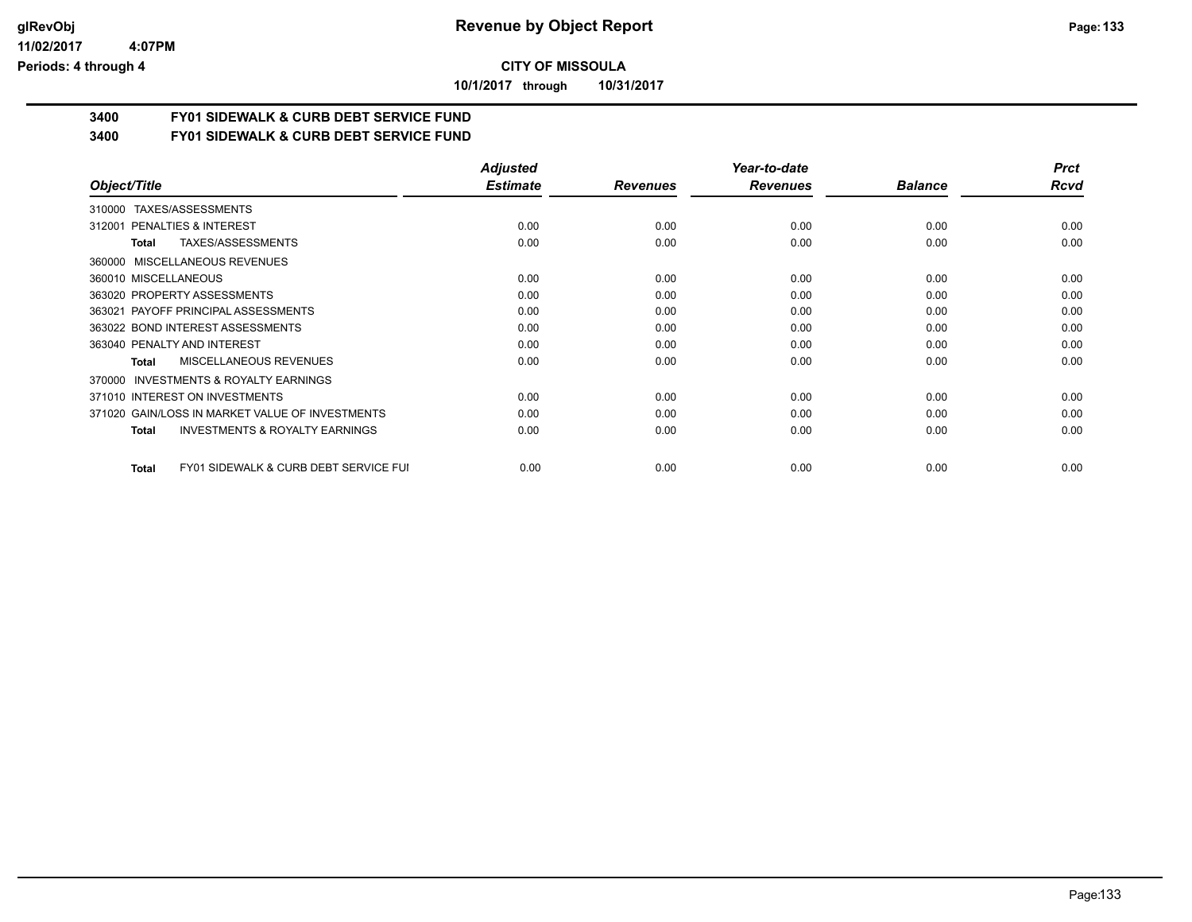**11/02/2017 4:07PM Periods: 4 through 4**

**CITY OF MISSOULA**

**10/1/2017 through 10/31/2017**

# **3400 FY01 SIDEWALK & CURB DEBT SERVICE FUND**

## **3400 FY01 SIDEWALK & CURB DEBT SERVICE FUND**

|                                                           | <b>Adjusted</b> |                 | Year-to-date    |                | <b>Prct</b> |
|-----------------------------------------------------------|-----------------|-----------------|-----------------|----------------|-------------|
| Object/Title                                              | <b>Estimate</b> | <b>Revenues</b> | <b>Revenues</b> | <b>Balance</b> | Rcvd        |
| TAXES/ASSESSMENTS<br>310000                               |                 |                 |                 |                |             |
| 312001 PENALTIES & INTEREST                               | 0.00            | 0.00            | 0.00            | 0.00           | 0.00        |
| <b>TAXES/ASSESSMENTS</b><br><b>Total</b>                  | 0.00            | 0.00            | 0.00            | 0.00           | 0.00        |
| MISCELLANEOUS REVENUES<br>360000                          |                 |                 |                 |                |             |
| 360010 MISCELLANEOUS                                      | 0.00            | 0.00            | 0.00            | 0.00           | 0.00        |
| 363020 PROPERTY ASSESSMENTS                               | 0.00            | 0.00            | 0.00            | 0.00           | 0.00        |
| 363021 PAYOFF PRINCIPAL ASSESSMENTS                       | 0.00            | 0.00            | 0.00            | 0.00           | 0.00        |
| 363022 BOND INTEREST ASSESSMENTS                          | 0.00            | 0.00            | 0.00            | 0.00           | 0.00        |
| 363040 PENALTY AND INTEREST                               | 0.00            | 0.00            | 0.00            | 0.00           | 0.00        |
| MISCELLANEOUS REVENUES<br>Total                           | 0.00            | 0.00            | 0.00            | 0.00           | 0.00        |
| <b>INVESTMENTS &amp; ROYALTY EARNINGS</b><br>370000       |                 |                 |                 |                |             |
| 371010 INTEREST ON INVESTMENTS                            | 0.00            | 0.00            | 0.00            | 0.00           | 0.00        |
| 371020 GAIN/LOSS IN MARKET VALUE OF INVESTMENTS           | 0.00            | 0.00            | 0.00            | 0.00           | 0.00        |
| <b>INVESTMENTS &amp; ROYALTY EARNINGS</b><br><b>Total</b> | 0.00            | 0.00            | 0.00            | 0.00           | 0.00        |
| FY01 SIDEWALK & CURB DEBT SERVICE FUI<br><b>Total</b>     | 0.00            | 0.00            | 0.00            | 0.00           | 0.00        |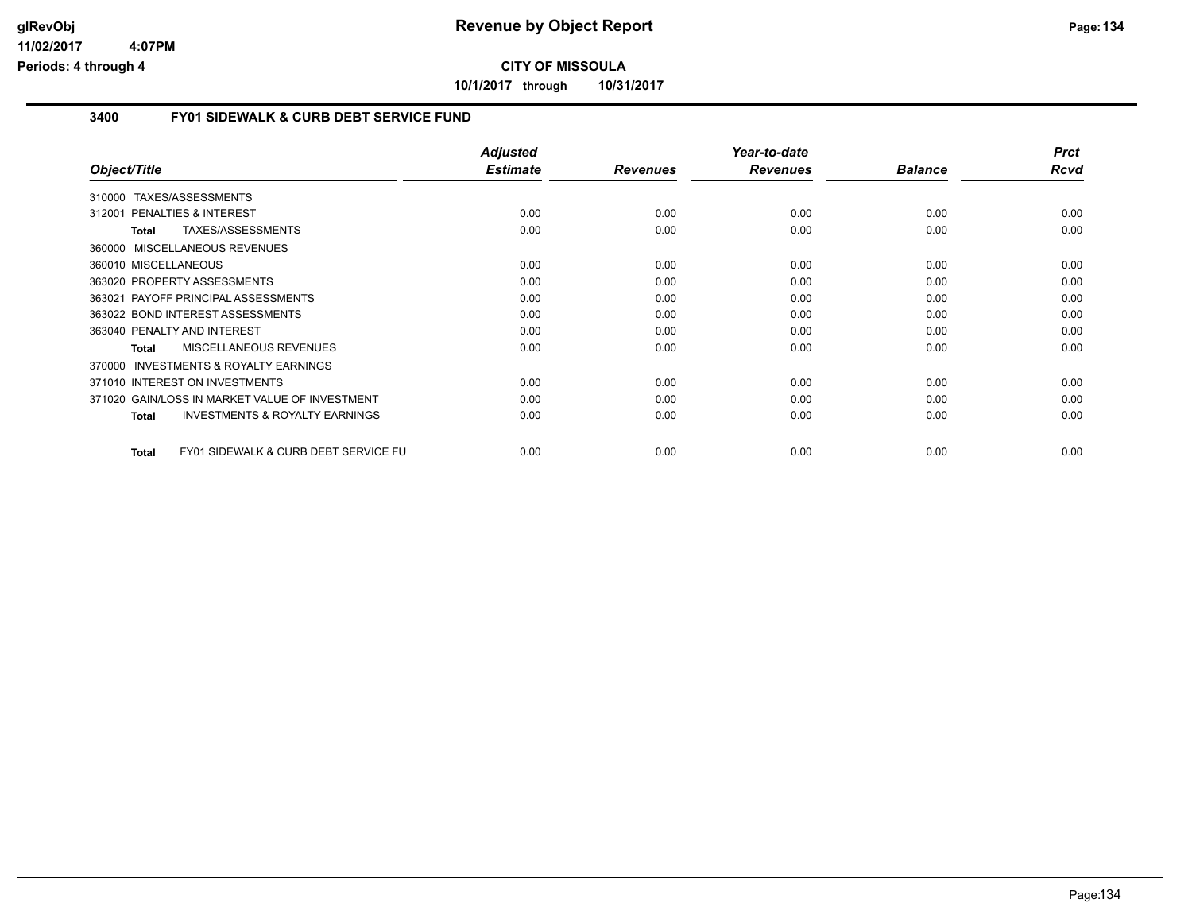**10/1/2017 through 10/31/2017**

#### **3400 FY01 SIDEWALK & CURB DEBT SERVICE FUND**

|                                                           | <b>Adjusted</b> |                 | Year-to-date    |                | <b>Prct</b> |
|-----------------------------------------------------------|-----------------|-----------------|-----------------|----------------|-------------|
| Object/Title                                              | <b>Estimate</b> | <b>Revenues</b> | <b>Revenues</b> | <b>Balance</b> | <b>Rcvd</b> |
| 310000 TAXES/ASSESSMENTS                                  |                 |                 |                 |                |             |
| PENALTIES & INTEREST<br>312001                            | 0.00            | 0.00            | 0.00            | 0.00           | 0.00        |
| TAXES/ASSESSMENTS<br><b>Total</b>                         | 0.00            | 0.00            | 0.00            | 0.00           | 0.00        |
| 360000 MISCELLANEOUS REVENUES                             |                 |                 |                 |                |             |
| 360010 MISCELLANEOUS                                      | 0.00            | 0.00            | 0.00            | 0.00           | 0.00        |
| 363020 PROPERTY ASSESSMENTS                               | 0.00            | 0.00            | 0.00            | 0.00           | 0.00        |
| PAYOFF PRINCIPAL ASSESSMENTS<br>363021                    | 0.00            | 0.00            | 0.00            | 0.00           | 0.00        |
| 363022 BOND INTEREST ASSESSMENTS                          | 0.00            | 0.00            | 0.00            | 0.00           | 0.00        |
| 363040 PENALTY AND INTEREST                               | 0.00            | 0.00            | 0.00            | 0.00           | 0.00        |
| <b>MISCELLANEOUS REVENUES</b><br>Total                    | 0.00            | 0.00            | 0.00            | 0.00           | 0.00        |
| INVESTMENTS & ROYALTY EARNINGS<br>370000                  |                 |                 |                 |                |             |
| 371010 INTEREST ON INVESTMENTS                            | 0.00            | 0.00            | 0.00            | 0.00           | 0.00        |
| 371020 GAIN/LOSS IN MARKET VALUE OF INVESTMENT            | 0.00            | 0.00            | 0.00            | 0.00           | 0.00        |
| <b>INVESTMENTS &amp; ROYALTY EARNINGS</b><br><b>Total</b> | 0.00            | 0.00            | 0.00            | 0.00           | 0.00        |
| FY01 SIDEWALK & CURB DEBT SERVICE FU<br><b>Total</b>      | 0.00            | 0.00            | 0.00            | 0.00           | 0.00        |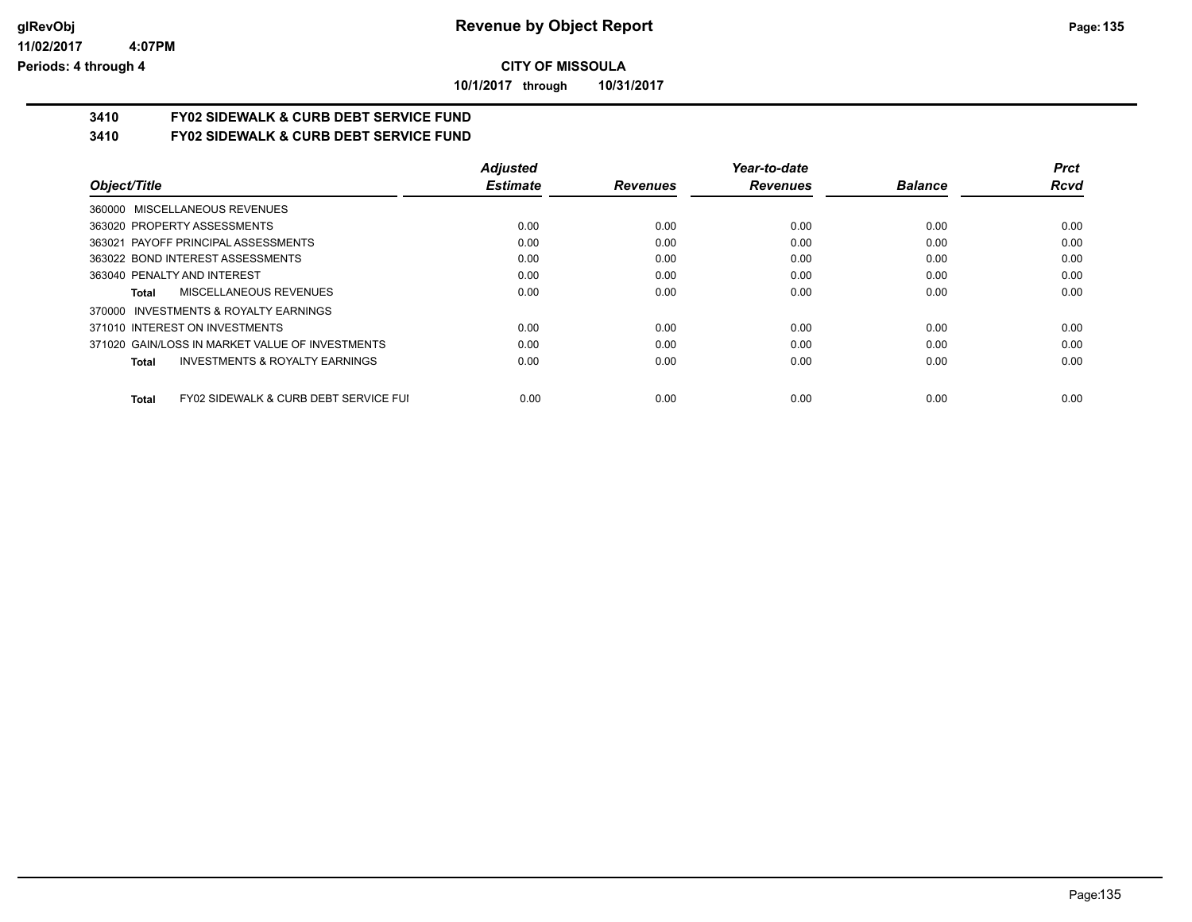#### **11/02/2017 4:07PM Periods: 4 through 4**

**CITY OF MISSOULA**

**10/1/2017 through 10/31/2017**

# **3410 FY02 SIDEWALK & CURB DEBT SERVICE FUND**

#### **3410 FY02 SIDEWALK & CURB DEBT SERVICE FUND**

|                                                                  | <b>Adjusted</b> |                 | Year-to-date    |                | <b>Prct</b> |
|------------------------------------------------------------------|-----------------|-----------------|-----------------|----------------|-------------|
| Object/Title                                                     | <b>Estimate</b> | <b>Revenues</b> | <b>Revenues</b> | <b>Balance</b> | <b>Rcvd</b> |
| 360000 MISCELLANEOUS REVENUES                                    |                 |                 |                 |                |             |
| 363020 PROPERTY ASSESSMENTS                                      | 0.00            | 0.00            | 0.00            | 0.00           | 0.00        |
| 363021 PAYOFF PRINCIPAL ASSESSMENTS                              | 0.00            | 0.00            | 0.00            | 0.00           | 0.00        |
| 363022 BOND INTEREST ASSESSMENTS                                 | 0.00            | 0.00            | 0.00            | 0.00           | 0.00        |
| 363040 PENALTY AND INTEREST                                      | 0.00            | 0.00            | 0.00            | 0.00           | 0.00        |
| MISCELLANEOUS REVENUES<br>Total                                  | 0.00            | 0.00            | 0.00            | 0.00           | 0.00        |
| INVESTMENTS & ROYALTY EARNINGS<br>370000                         |                 |                 |                 |                |             |
| 371010 INTEREST ON INVESTMENTS                                   | 0.00            | 0.00            | 0.00            | 0.00           | 0.00        |
| 371020 GAIN/LOSS IN MARKET VALUE OF INVESTMENTS                  | 0.00            | 0.00            | 0.00            | 0.00           | 0.00        |
| <b>INVESTMENTS &amp; ROYALTY EARNINGS</b><br>Total               | 0.00            | 0.00            | 0.00            | 0.00           | 0.00        |
| <b>FY02 SIDEWALK &amp; CURB DEBT SERVICE FUI</b><br><b>Total</b> | 0.00            | 0.00            | 0.00            | 0.00           | 0.00        |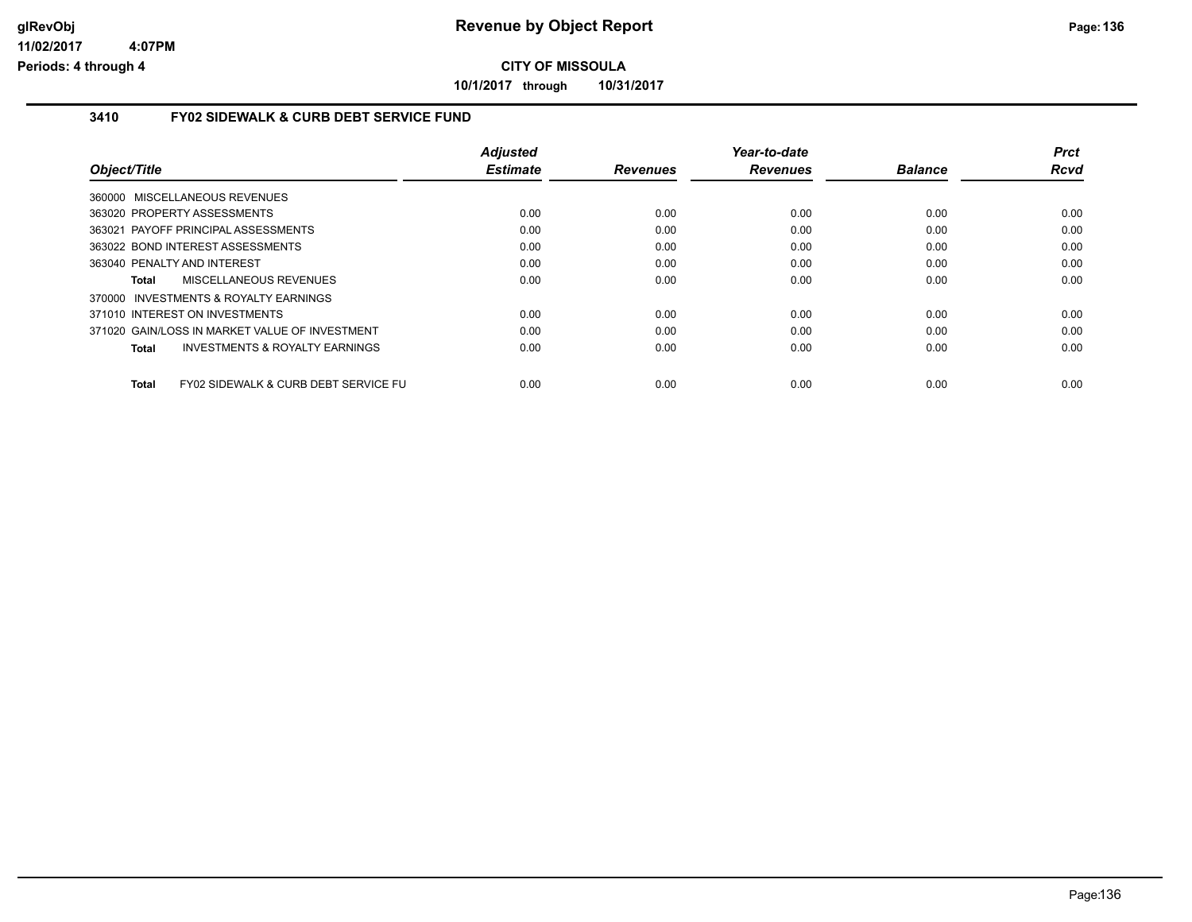**10/1/2017 through 10/31/2017**

#### **3410 FY02 SIDEWALK & CURB DEBT SERVICE FUND**

|                                                      | <b>Adjusted</b> |                 | Year-to-date    |                | <b>Prct</b> |
|------------------------------------------------------|-----------------|-----------------|-----------------|----------------|-------------|
| Object/Title                                         | <b>Estimate</b> | <b>Revenues</b> | <b>Revenues</b> | <b>Balance</b> | <b>Rcvd</b> |
| 360000 MISCELLANEOUS REVENUES                        |                 |                 |                 |                |             |
| 363020 PROPERTY ASSESSMENTS                          | 0.00            | 0.00            | 0.00            | 0.00           | 0.00        |
| 363021 PAYOFF PRINCIPAL ASSESSMENTS                  | 0.00            | 0.00            | 0.00            | 0.00           | 0.00        |
| 363022 BOND INTEREST ASSESSMENTS                     | 0.00            | 0.00            | 0.00            | 0.00           | 0.00        |
| 363040 PENALTY AND INTEREST                          | 0.00            | 0.00            | 0.00            | 0.00           | 0.00        |
| MISCELLANEOUS REVENUES<br>Total                      | 0.00            | 0.00            | 0.00            | 0.00           | 0.00        |
| 370000 INVESTMENTS & ROYALTY EARNINGS                |                 |                 |                 |                |             |
| 371010 INTEREST ON INVESTMENTS                       | 0.00            | 0.00            | 0.00            | 0.00           | 0.00        |
| 371020 GAIN/LOSS IN MARKET VALUE OF INVESTMENT       | 0.00            | 0.00            | 0.00            | 0.00           | 0.00        |
| <b>INVESTMENTS &amp; ROYALTY EARNINGS</b><br>Total   | 0.00            | 0.00            | 0.00            | 0.00           | 0.00        |
| FY02 SIDEWALK & CURB DEBT SERVICE FU<br><b>Total</b> | 0.00            | 0.00            | 0.00            | 0.00           | 0.00        |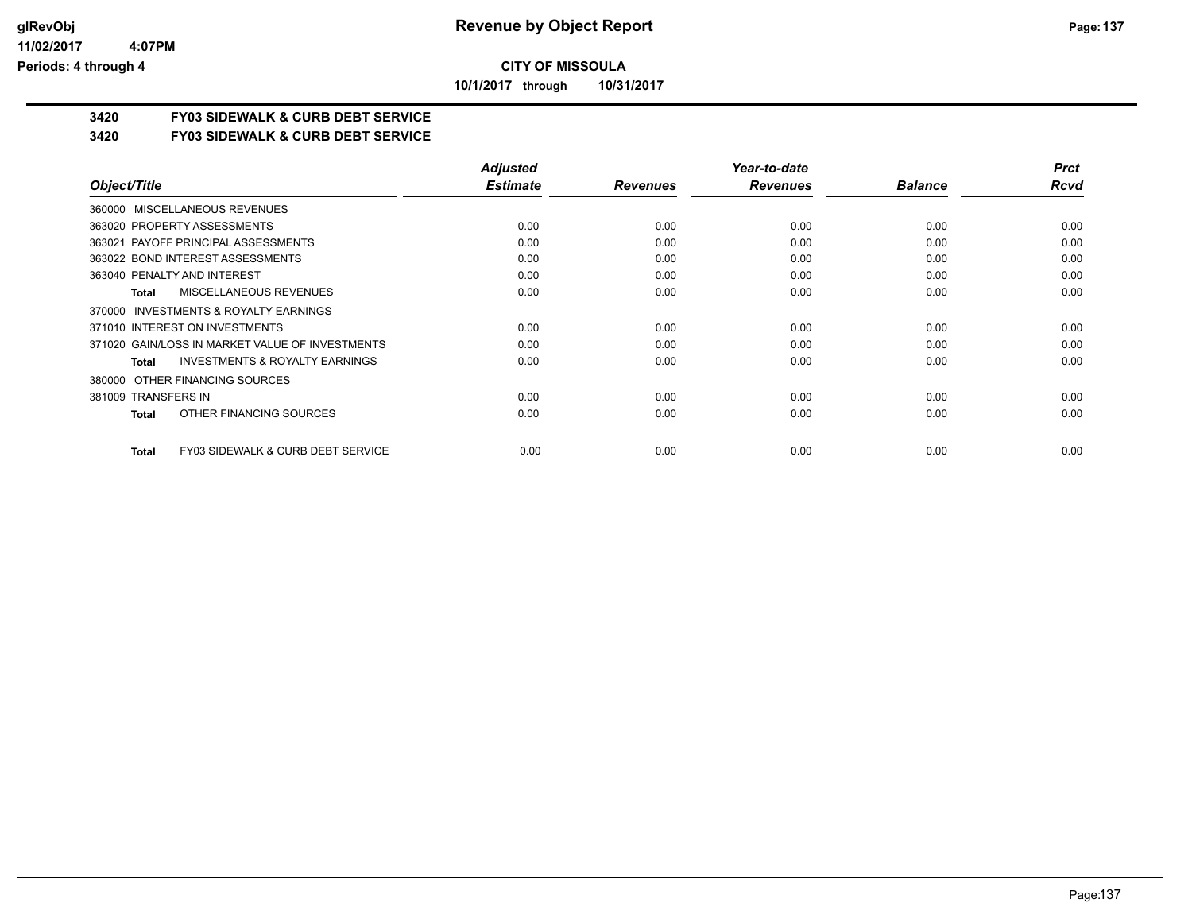#### **11/02/2017 4:07PM Periods: 4 through 4**

#### **CITY OF MISSOULA**

**10/1/2017 through 10/31/2017**

## **3420 FY03 SIDEWALK & CURB DEBT SERVICE**

#### **3420 FY03 SIDEWALK & CURB DEBT SERVICE**

|                                                     | <b>Adjusted</b> |                 | Year-to-date    |                | <b>Prct</b> |
|-----------------------------------------------------|-----------------|-----------------|-----------------|----------------|-------------|
| Object/Title                                        | <b>Estimate</b> | <b>Revenues</b> | <b>Revenues</b> | <b>Balance</b> | <b>Rcvd</b> |
| MISCELLANEOUS REVENUES<br>360000                    |                 |                 |                 |                |             |
| 363020 PROPERTY ASSESSMENTS                         | 0.00            | 0.00            | 0.00            | 0.00           | 0.00        |
| 363021 PAYOFF PRINCIPAL ASSESSMENTS                 | 0.00            | 0.00            | 0.00            | 0.00           | 0.00        |
| 363022 BOND INTEREST ASSESSMENTS                    | 0.00            | 0.00            | 0.00            | 0.00           | 0.00        |
| 363040 PENALTY AND INTEREST                         | 0.00            | 0.00            | 0.00            | 0.00           | 0.00        |
| <b>MISCELLANEOUS REVENUES</b><br>Total              | 0.00            | 0.00            | 0.00            | 0.00           | 0.00        |
| <b>INVESTMENTS &amp; ROYALTY EARNINGS</b><br>370000 |                 |                 |                 |                |             |
| 371010 INTEREST ON INVESTMENTS                      | 0.00            | 0.00            | 0.00            | 0.00           | 0.00        |
| 371020 GAIN/LOSS IN MARKET VALUE OF INVESTMENTS     | 0.00            | 0.00            | 0.00            | 0.00           | 0.00        |
| <b>INVESTMENTS &amp; ROYALTY EARNINGS</b><br>Total  | 0.00            | 0.00            | 0.00            | 0.00           | 0.00        |
| OTHER FINANCING SOURCES<br>380000                   |                 |                 |                 |                |             |
| 381009 TRANSFERS IN                                 | 0.00            | 0.00            | 0.00            | 0.00           | 0.00        |
| OTHER FINANCING SOURCES<br>Total                    | 0.00            | 0.00            | 0.00            | 0.00           | 0.00        |
|                                                     |                 |                 |                 |                |             |
| FY03 SIDEWALK & CURB DEBT SERVICE<br>Total          | 0.00            | 0.00            | 0.00            | 0.00           | 0.00        |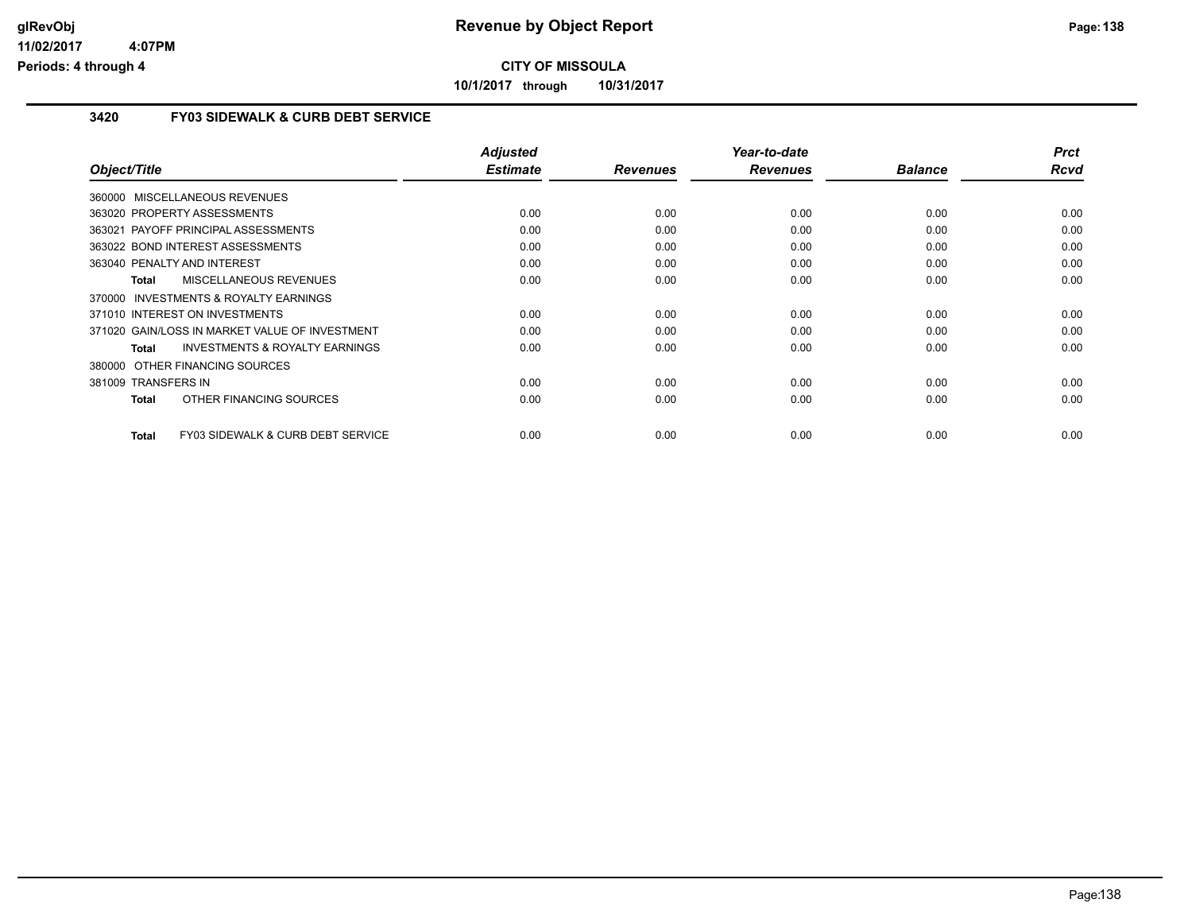**10/1/2017 through 10/31/2017**

#### **3420 FY03 SIDEWALK & CURB DEBT SERVICE**

| Object/Title                                              | <b>Adjusted</b><br><b>Estimate</b> | <b>Revenues</b> | Year-to-date<br><b>Revenues</b> | <b>Balance</b> | <b>Prct</b><br>Rcvd |
|-----------------------------------------------------------|------------------------------------|-----------------|---------------------------------|----------------|---------------------|
| 360000 MISCELLANEOUS REVENUES                             |                                    |                 |                                 |                |                     |
| 363020 PROPERTY ASSESSMENTS                               | 0.00                               | 0.00            | 0.00                            | 0.00           | 0.00                |
| 363021 PAYOFF PRINCIPAL ASSESSMENTS                       | 0.00                               | 0.00            | 0.00                            | 0.00           | 0.00                |
| 363022 BOND INTEREST ASSESSMENTS                          | 0.00                               | 0.00            | 0.00                            | 0.00           | 0.00                |
| 363040 PENALTY AND INTEREST                               | 0.00                               | 0.00            | 0.00                            | 0.00           | 0.00                |
| <b>MISCELLANEOUS REVENUES</b><br><b>Total</b>             | 0.00                               | 0.00            | 0.00                            | 0.00           | 0.00                |
| 370000 INVESTMENTS & ROYALTY EARNINGS                     |                                    |                 |                                 |                |                     |
| 371010 INTEREST ON INVESTMENTS                            | 0.00                               | 0.00            | 0.00                            | 0.00           | 0.00                |
| 371020 GAIN/LOSS IN MARKET VALUE OF INVESTMENT            | 0.00                               | 0.00            | 0.00                            | 0.00           | 0.00                |
| <b>INVESTMENTS &amp; ROYALTY EARNINGS</b><br><b>Total</b> | 0.00                               | 0.00            | 0.00                            | 0.00           | 0.00                |
| 380000 OTHER FINANCING SOURCES                            |                                    |                 |                                 |                |                     |
| 381009 TRANSFERS IN                                       | 0.00                               | 0.00            | 0.00                            | 0.00           | 0.00                |
| OTHER FINANCING SOURCES<br><b>Total</b>                   | 0.00                               | 0.00            | 0.00                            | 0.00           | 0.00                |
|                                                           |                                    |                 |                                 |                |                     |
| FY03 SIDEWALK & CURB DEBT SERVICE<br><b>Total</b>         | 0.00                               | 0.00            | 0.00                            | 0.00           | 0.00                |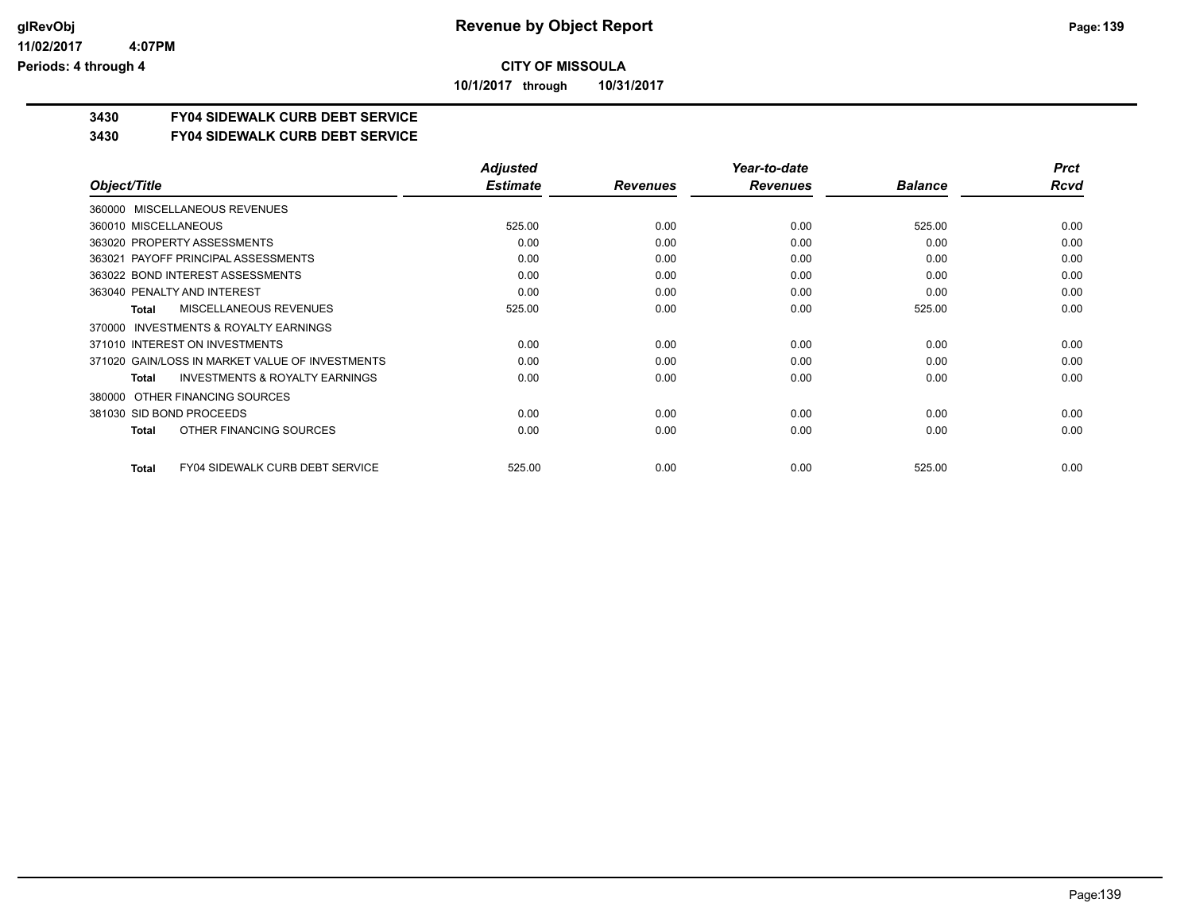**10/1/2017 through 10/31/2017**

#### **3430 FY04 SIDEWALK CURB DEBT SERVICE**

#### **3430 FY04 SIDEWALK CURB DEBT SERVICE**

|                                                        | <b>Adjusted</b> |                 | Year-to-date    |                | <b>Prct</b> |
|--------------------------------------------------------|-----------------|-----------------|-----------------|----------------|-------------|
| Object/Title                                           | <b>Estimate</b> | <b>Revenues</b> | <b>Revenues</b> | <b>Balance</b> | Rcvd        |
| MISCELLANEOUS REVENUES<br>360000                       |                 |                 |                 |                |             |
| 360010 MISCELLANEOUS                                   | 525.00          | 0.00            | 0.00            | 525.00         | 0.00        |
| 363020 PROPERTY ASSESSMENTS                            | 0.00            | 0.00            | 0.00            | 0.00           | 0.00        |
| 363021 PAYOFF PRINCIPAL ASSESSMENTS                    | 0.00            | 0.00            | 0.00            | 0.00           | 0.00        |
| 363022 BOND INTEREST ASSESSMENTS                       | 0.00            | 0.00            | 0.00            | 0.00           | 0.00        |
| 363040 PENALTY AND INTEREST                            | 0.00            | 0.00            | 0.00            | 0.00           | 0.00        |
| MISCELLANEOUS REVENUES<br><b>Total</b>                 | 525.00          | 0.00            | 0.00            | 525.00         | 0.00        |
| <b>INVESTMENTS &amp; ROYALTY EARNINGS</b><br>370000    |                 |                 |                 |                |             |
| 371010 INTEREST ON INVESTMENTS                         | 0.00            | 0.00            | 0.00            | 0.00           | 0.00        |
| 371020 GAIN/LOSS IN MARKET VALUE OF INVESTMENTS        | 0.00            | 0.00            | 0.00            | 0.00           | 0.00        |
| <b>INVESTMENTS &amp; ROYALTY EARNINGS</b><br>Total     | 0.00            | 0.00            | 0.00            | 0.00           | 0.00        |
| OTHER FINANCING SOURCES<br>380000                      |                 |                 |                 |                |             |
| 381030 SID BOND PROCEEDS                               | 0.00            | 0.00            | 0.00            | 0.00           | 0.00        |
| OTHER FINANCING SOURCES<br><b>Total</b>                | 0.00            | 0.00            | 0.00            | 0.00           | 0.00        |
| <b>FY04 SIDEWALK CURB DEBT SERVICE</b><br><b>Total</b> | 525.00          | 0.00            | 0.00            | 525.00         | 0.00        |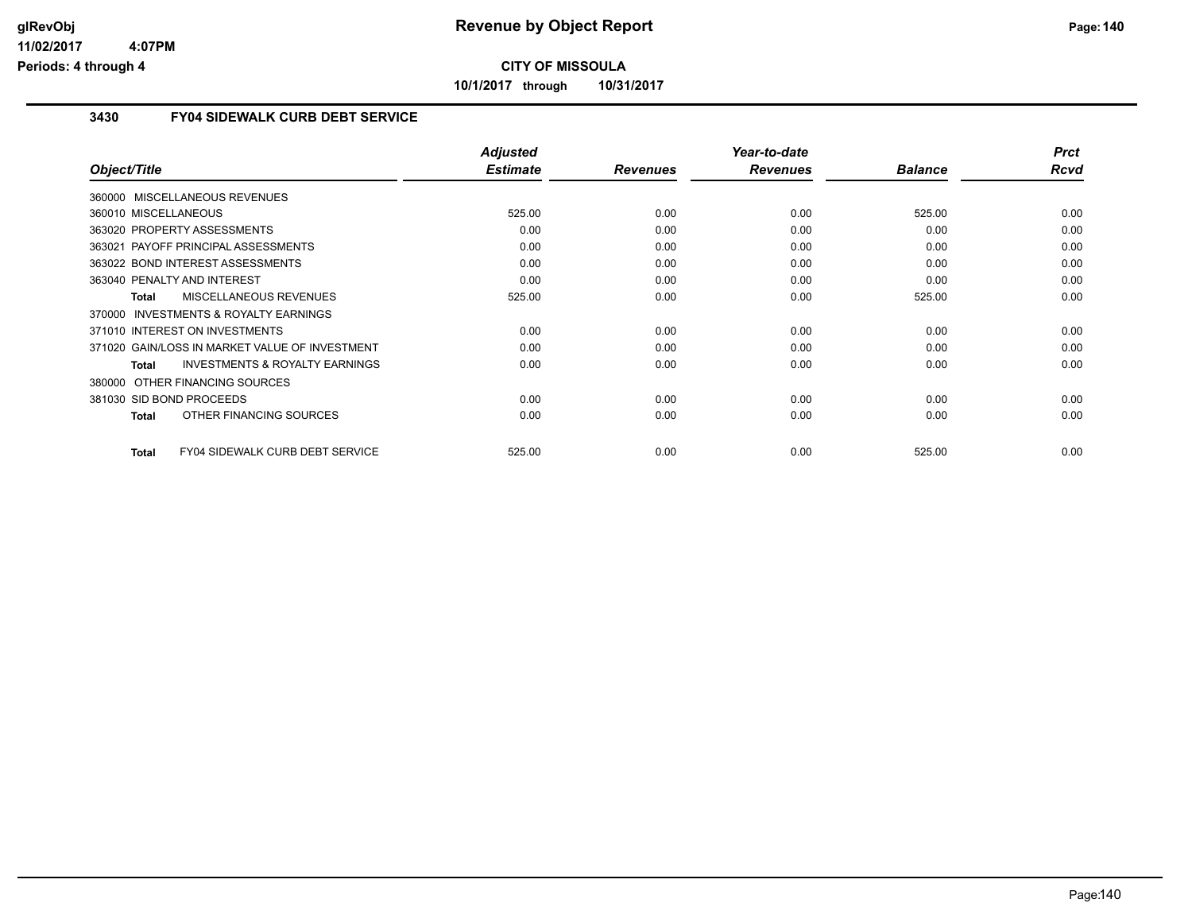**10/1/2017 through 10/31/2017**

#### **3430 FY04 SIDEWALK CURB DEBT SERVICE**

|                                                     | <b>Adjusted</b> |                 | Year-to-date    |                | <b>Prct</b> |
|-----------------------------------------------------|-----------------|-----------------|-----------------|----------------|-------------|
| Object/Title                                        | <b>Estimate</b> | <b>Revenues</b> | <b>Revenues</b> | <b>Balance</b> | Rcvd        |
| 360000 MISCELLANEOUS REVENUES                       |                 |                 |                 |                |             |
| 360010 MISCELLANEOUS                                | 525.00          | 0.00            | 0.00            | 525.00         | 0.00        |
| 363020 PROPERTY ASSESSMENTS                         | 0.00            | 0.00            | 0.00            | 0.00           | 0.00        |
| 363021 PAYOFF PRINCIPAL ASSESSMENTS                 | 0.00            | 0.00            | 0.00            | 0.00           | 0.00        |
| 363022 BOND INTEREST ASSESSMENTS                    | 0.00            | 0.00            | 0.00            | 0.00           | 0.00        |
| 363040 PENALTY AND INTEREST                         | 0.00            | 0.00            | 0.00            | 0.00           | 0.00        |
| <b>MISCELLANEOUS REVENUES</b><br><b>Total</b>       | 525.00          | 0.00            | 0.00            | 525.00         | 0.00        |
| <b>INVESTMENTS &amp; ROYALTY EARNINGS</b><br>370000 |                 |                 |                 |                |             |
| 371010 INTEREST ON INVESTMENTS                      | 0.00            | 0.00            | 0.00            | 0.00           | 0.00        |
| 371020 GAIN/LOSS IN MARKET VALUE OF INVESTMENT      | 0.00            | 0.00            | 0.00            | 0.00           | 0.00        |
| <b>INVESTMENTS &amp; ROYALTY EARNINGS</b><br>Total  | 0.00            | 0.00            | 0.00            | 0.00           | 0.00        |
| 380000 OTHER FINANCING SOURCES                      |                 |                 |                 |                |             |
| 381030 SID BOND PROCEEDS                            | 0.00            | 0.00            | 0.00            | 0.00           | 0.00        |
| OTHER FINANCING SOURCES<br><b>Total</b>             | 0.00            | 0.00            | 0.00            | 0.00           | 0.00        |
|                                                     |                 |                 |                 |                |             |
| FY04 SIDEWALK CURB DEBT SERVICE<br><b>Total</b>     | 525.00          | 0.00            | 0.00            | 525.00         | 0.00        |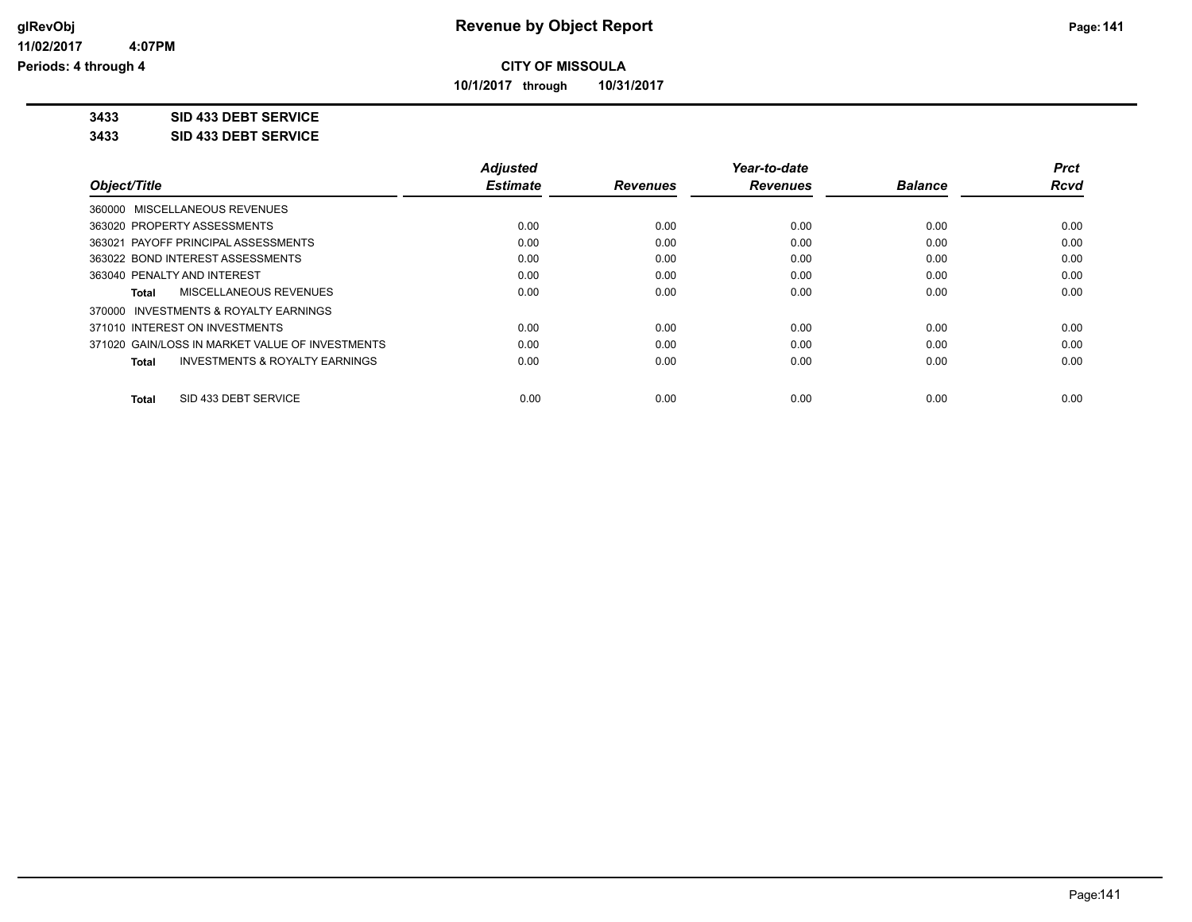**10/1/2017 through 10/31/2017**

**3433 SID 433 DEBT SERVICE**

**3433 SID 433 DEBT SERVICE**

|                                                           | <b>Adjusted</b> |                 | Year-to-date    |                | <b>Prct</b> |
|-----------------------------------------------------------|-----------------|-----------------|-----------------|----------------|-------------|
| Object/Title                                              | <b>Estimate</b> | <b>Revenues</b> | <b>Revenues</b> | <b>Balance</b> | Rcvd        |
| 360000 MISCELLANEOUS REVENUES                             |                 |                 |                 |                |             |
| 363020 PROPERTY ASSESSMENTS                               | 0.00            | 0.00            | 0.00            | 0.00           | 0.00        |
| 363021 PAYOFF PRINCIPAL ASSESSMENTS                       | 0.00            | 0.00            | 0.00            | 0.00           | 0.00        |
| 363022 BOND INTEREST ASSESSMENTS                          | 0.00            | 0.00            | 0.00            | 0.00           | 0.00        |
| 363040 PENALTY AND INTEREST                               | 0.00            | 0.00            | 0.00            | 0.00           | 0.00        |
| MISCELLANEOUS REVENUES<br>Total                           | 0.00            | 0.00            | 0.00            | 0.00           | 0.00        |
| 370000 INVESTMENTS & ROYALTY EARNINGS                     |                 |                 |                 |                |             |
| 371010 INTEREST ON INVESTMENTS                            | 0.00            | 0.00            | 0.00            | 0.00           | 0.00        |
| 371020 GAIN/LOSS IN MARKET VALUE OF INVESTMENTS           | 0.00            | 0.00            | 0.00            | 0.00           | 0.00        |
| <b>INVESTMENTS &amp; ROYALTY EARNINGS</b><br><b>Total</b> | 0.00            | 0.00            | 0.00            | 0.00           | 0.00        |
| SID 433 DEBT SERVICE<br><b>Total</b>                      | 0.00            | 0.00            | 0.00            | 0.00           | 0.00        |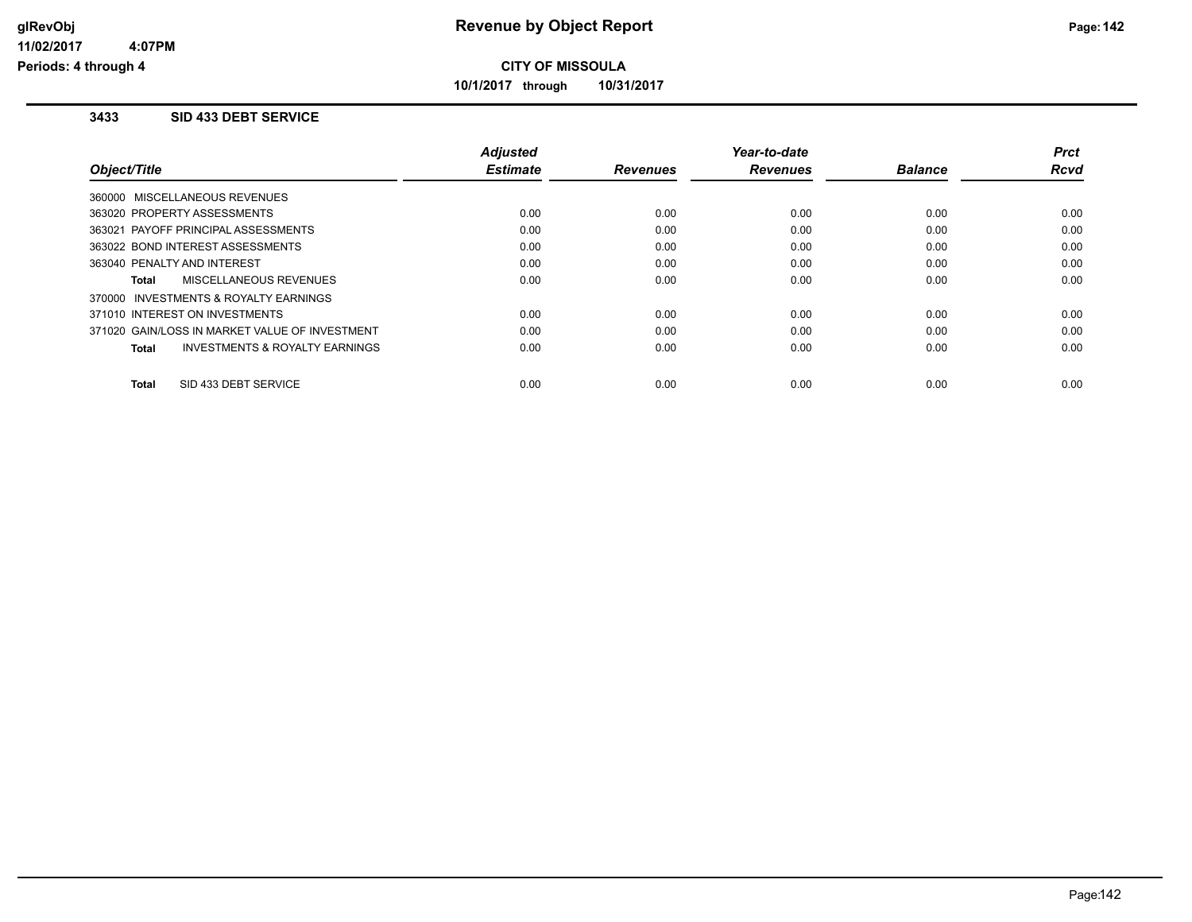**10/1/2017 through 10/31/2017**

#### **3433 SID 433 DEBT SERVICE**

|                                                    | <b>Adjusted</b> |                 | Year-to-date    |                | <b>Prct</b> |
|----------------------------------------------------|-----------------|-----------------|-----------------|----------------|-------------|
| Object/Title                                       | <b>Estimate</b> | <b>Revenues</b> | <b>Revenues</b> | <b>Balance</b> | <b>Rcvd</b> |
| 360000 MISCELLANEOUS REVENUES                      |                 |                 |                 |                |             |
| 363020 PROPERTY ASSESSMENTS                        | 0.00            | 0.00            | 0.00            | 0.00           | 0.00        |
| 363021 PAYOFF PRINCIPAL ASSESSMENTS                | 0.00            | 0.00            | 0.00            | 0.00           | 0.00        |
| 363022 BOND INTEREST ASSESSMENTS                   | 0.00            | 0.00            | 0.00            | 0.00           | 0.00        |
| 363040 PENALTY AND INTEREST                        | 0.00            | 0.00            | 0.00            | 0.00           | 0.00        |
| <b>MISCELLANEOUS REVENUES</b><br>Total             | 0.00            | 0.00            | 0.00            | 0.00           | 0.00        |
| INVESTMENTS & ROYALTY EARNINGS<br>370000           |                 |                 |                 |                |             |
| 371010 INTEREST ON INVESTMENTS                     | 0.00            | 0.00            | 0.00            | 0.00           | 0.00        |
| 371020 GAIN/LOSS IN MARKET VALUE OF INVESTMENT     | 0.00            | 0.00            | 0.00            | 0.00           | 0.00        |
| <b>INVESTMENTS &amp; ROYALTY EARNINGS</b><br>Total | 0.00            | 0.00            | 0.00            | 0.00           | 0.00        |
|                                                    |                 |                 |                 |                |             |
| SID 433 DEBT SERVICE<br>Total                      | 0.00            | 0.00            | 0.00            | 0.00           | 0.00        |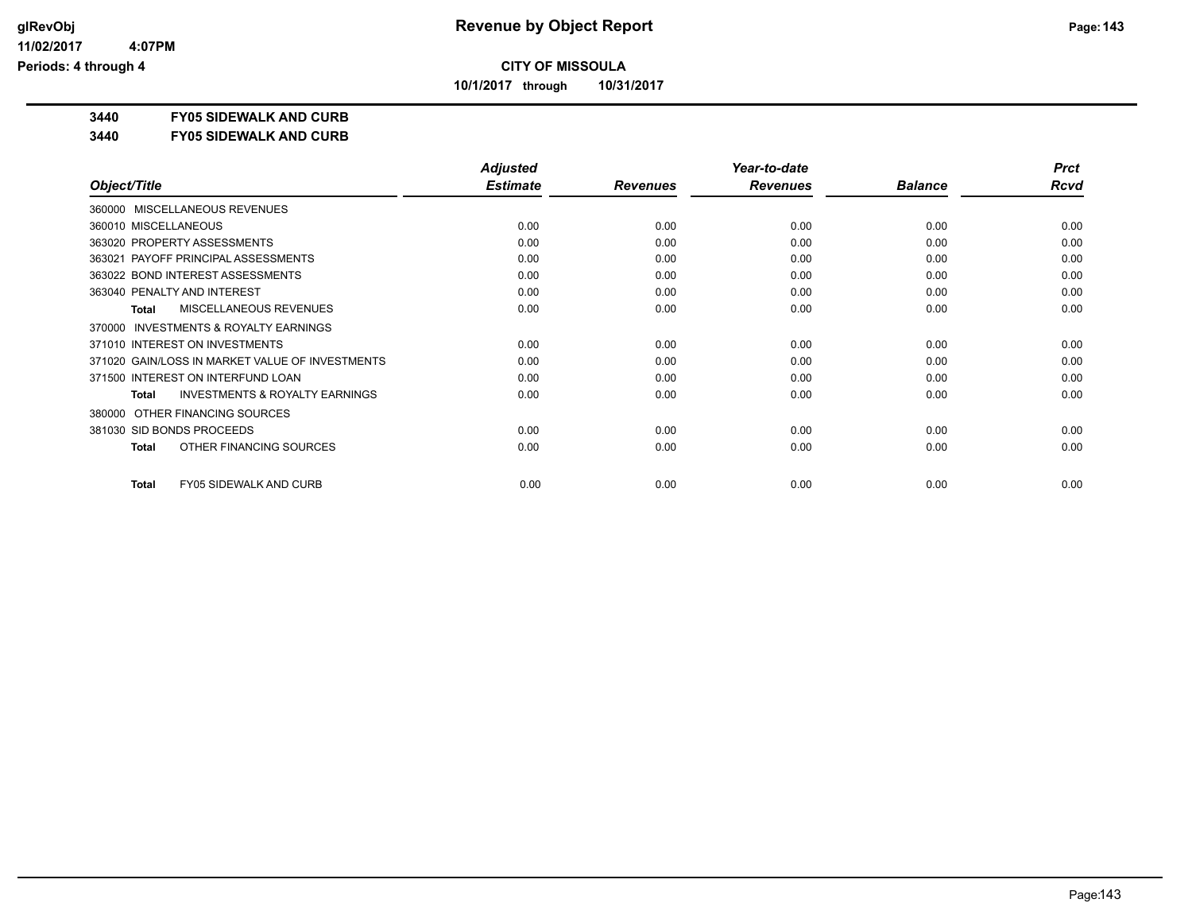**10/1/2017 through 10/31/2017**

**3440 FY05 SIDEWALK AND CURB**

**3440 FY05 SIDEWALK AND CURB**

|                                                           | <b>Adjusted</b> |                 | Year-to-date    |                | <b>Prct</b> |
|-----------------------------------------------------------|-----------------|-----------------|-----------------|----------------|-------------|
| Object/Title                                              | <b>Estimate</b> | <b>Revenues</b> | <b>Revenues</b> | <b>Balance</b> | <b>Rcvd</b> |
| 360000 MISCELLANEOUS REVENUES                             |                 |                 |                 |                |             |
| 360010 MISCELLANEOUS                                      | 0.00            | 0.00            | 0.00            | 0.00           | 0.00        |
| 363020 PROPERTY ASSESSMENTS                               | 0.00            | 0.00            | 0.00            | 0.00           | 0.00        |
| 363021 PAYOFF PRINCIPAL ASSESSMENTS                       | 0.00            | 0.00            | 0.00            | 0.00           | 0.00        |
| 363022 BOND INTEREST ASSESSMENTS                          | 0.00            | 0.00            | 0.00            | 0.00           | 0.00        |
| 363040 PENALTY AND INTEREST                               | 0.00            | 0.00            | 0.00            | 0.00           | 0.00        |
| <b>MISCELLANEOUS REVENUES</b><br>Total                    | 0.00            | 0.00            | 0.00            | 0.00           | 0.00        |
| <b>INVESTMENTS &amp; ROYALTY EARNINGS</b><br>370000       |                 |                 |                 |                |             |
| 371010 INTEREST ON INVESTMENTS                            | 0.00            | 0.00            | 0.00            | 0.00           | 0.00        |
| 371020 GAIN/LOSS IN MARKET VALUE OF INVESTMENTS           | 0.00            | 0.00            | 0.00            | 0.00           | 0.00        |
| 371500 INTEREST ON INTERFUND LOAN                         | 0.00            | 0.00            | 0.00            | 0.00           | 0.00        |
| <b>INVESTMENTS &amp; ROYALTY EARNINGS</b><br><b>Total</b> | 0.00            | 0.00            | 0.00            | 0.00           | 0.00        |
| OTHER FINANCING SOURCES<br>380000                         |                 |                 |                 |                |             |
| 381030 SID BONDS PROCEEDS                                 | 0.00            | 0.00            | 0.00            | 0.00           | 0.00        |
| OTHER FINANCING SOURCES<br>Total                          | 0.00            | 0.00            | 0.00            | 0.00           | 0.00        |
| <b>FY05 SIDEWALK AND CURB</b><br><b>Total</b>             | 0.00            | 0.00            | 0.00            | 0.00           | 0.00        |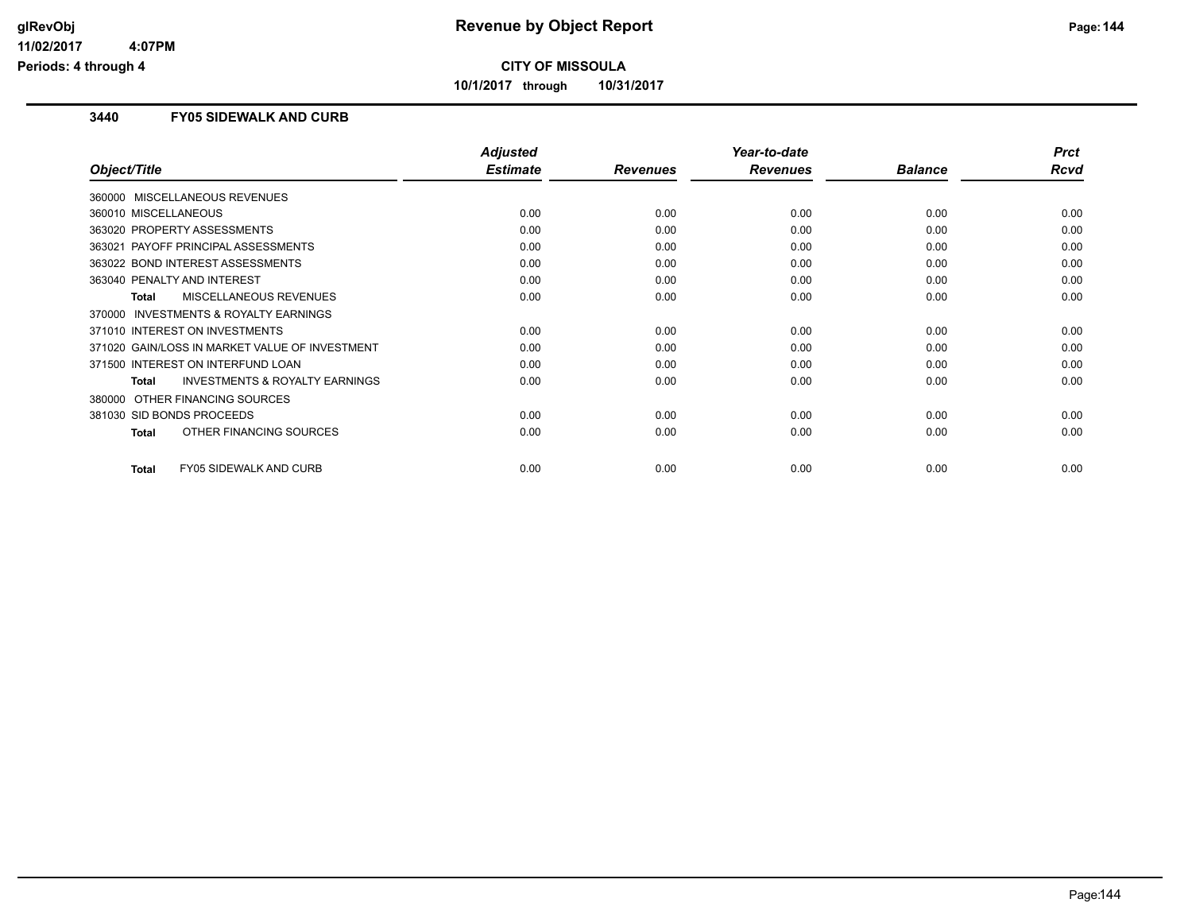**10/1/2017 through 10/31/2017**

#### **3440 FY05 SIDEWALK AND CURB**

| Object/Title                                              | <b>Adjusted</b> |                 | Year-to-date    |                | <b>Prct</b> |
|-----------------------------------------------------------|-----------------|-----------------|-----------------|----------------|-------------|
|                                                           | <b>Estimate</b> | <b>Revenues</b> | <b>Revenues</b> | <b>Balance</b> | <b>Rcvd</b> |
| 360000 MISCELLANEOUS REVENUES                             |                 |                 |                 |                |             |
| 360010 MISCELLANEOUS                                      | 0.00            | 0.00            | 0.00            | 0.00           | 0.00        |
| 363020 PROPERTY ASSESSMENTS                               | 0.00            | 0.00            | 0.00            | 0.00           | 0.00        |
| 363021 PAYOFF PRINCIPAL ASSESSMENTS                       | 0.00            | 0.00            | 0.00            | 0.00           | 0.00        |
| 363022 BOND INTEREST ASSESSMENTS                          | 0.00            | 0.00            | 0.00            | 0.00           | 0.00        |
| 363040 PENALTY AND INTEREST                               | 0.00            | 0.00            | 0.00            | 0.00           | 0.00        |
| <b>MISCELLANEOUS REVENUES</b><br><b>Total</b>             | 0.00            | 0.00            | 0.00            | 0.00           | 0.00        |
| <b>INVESTMENTS &amp; ROYALTY EARNINGS</b><br>370000       |                 |                 |                 |                |             |
| 371010 INTEREST ON INVESTMENTS                            | 0.00            | 0.00            | 0.00            | 0.00           | 0.00        |
| 371020 GAIN/LOSS IN MARKET VALUE OF INVESTMENT            | 0.00            | 0.00            | 0.00            | 0.00           | 0.00        |
| 371500 INTEREST ON INTERFUND LOAN                         | 0.00            | 0.00            | 0.00            | 0.00           | 0.00        |
| <b>INVESTMENTS &amp; ROYALTY EARNINGS</b><br><b>Total</b> | 0.00            | 0.00            | 0.00            | 0.00           | 0.00        |
| 380000 OTHER FINANCING SOURCES                            |                 |                 |                 |                |             |
| 381030 SID BONDS PROCEEDS                                 | 0.00            | 0.00            | 0.00            | 0.00           | 0.00        |
| OTHER FINANCING SOURCES<br><b>Total</b>                   | 0.00            | 0.00            | 0.00            | 0.00           | 0.00        |
| <b>FY05 SIDEWALK AND CURB</b><br><b>Total</b>             | 0.00            | 0.00            | 0.00            | 0.00           | 0.00        |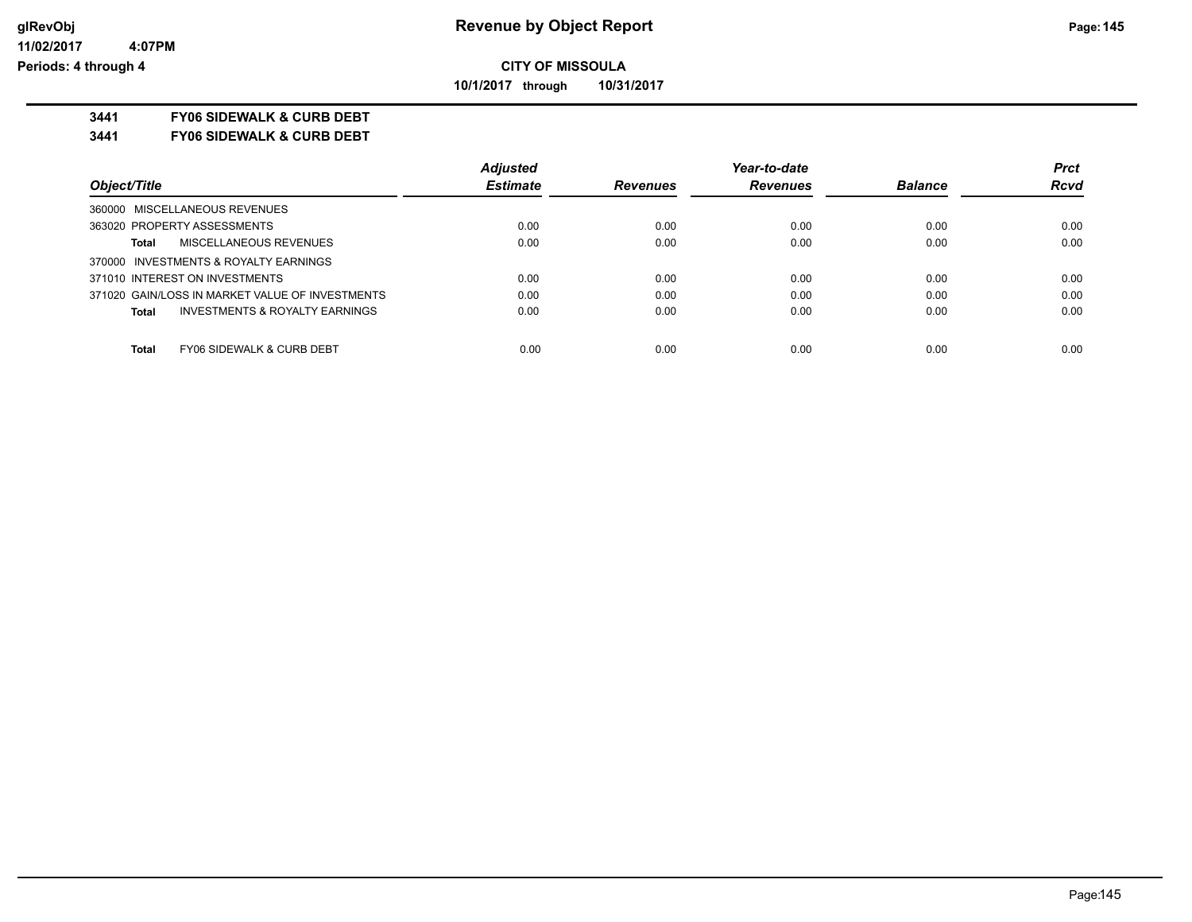**10/1/2017 through 10/31/2017**

**3441 FY06 SIDEWALK & CURB DEBT**

**3441 FY06 SIDEWALK & CURB DEBT**

|                                                      | <b>Adjusted</b> |                 | Year-to-date    |                | <b>Prct</b> |
|------------------------------------------------------|-----------------|-----------------|-----------------|----------------|-------------|
| Object/Title                                         | <b>Estimate</b> | <b>Revenues</b> | <b>Revenues</b> | <b>Balance</b> | <b>Rcvd</b> |
| 360000 MISCELLANEOUS REVENUES                        |                 |                 |                 |                |             |
| 363020 PROPERTY ASSESSMENTS                          | 0.00            | 0.00            | 0.00            | 0.00           | 0.00        |
| MISCELLANEOUS REVENUES<br>Total                      | 0.00            | 0.00            | 0.00            | 0.00           | 0.00        |
| 370000 INVESTMENTS & ROYALTY EARNINGS                |                 |                 |                 |                |             |
| 371010 INTEREST ON INVESTMENTS                       | 0.00            | 0.00            | 0.00            | 0.00           | 0.00        |
| 371020 GAIN/LOSS IN MARKET VALUE OF INVESTMENTS      | 0.00            | 0.00            | 0.00            | 0.00           | 0.00        |
| <b>INVESTMENTS &amp; ROYALTY EARNINGS</b><br>Total   | 0.00            | 0.00            | 0.00            | 0.00           | 0.00        |
|                                                      |                 |                 |                 |                |             |
| <b>Total</b><br><b>FY06 SIDEWALK &amp; CURB DEBT</b> | 0.00            | 0.00            | 0.00            | 0.00           | 0.00        |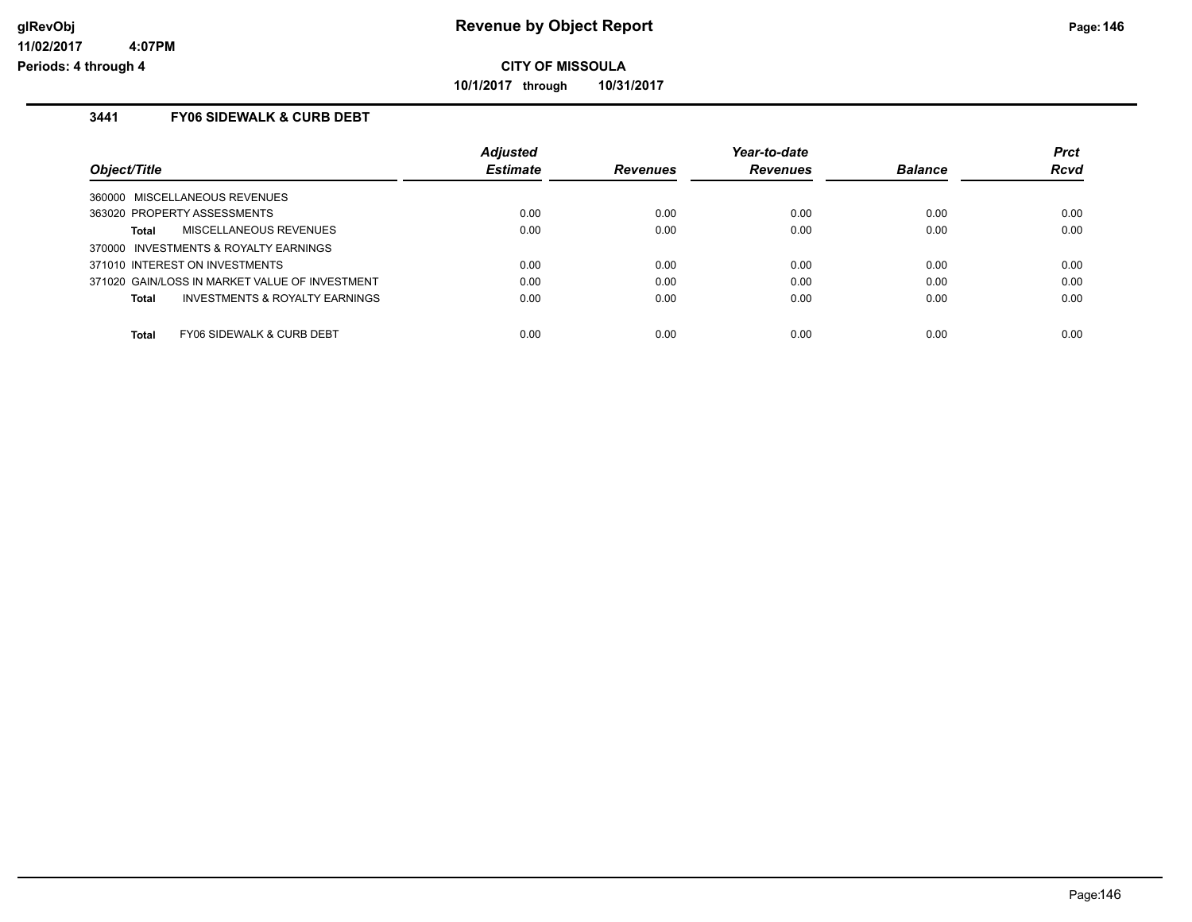**10/1/2017 through 10/31/2017**

# **3441 FY06 SIDEWALK & CURB DEBT**

|                                                | <b>Adjusted</b> |                 | Year-to-date    |                | <b>Prct</b> |
|------------------------------------------------|-----------------|-----------------|-----------------|----------------|-------------|
| Object/Title                                   | <b>Estimate</b> | <b>Revenues</b> | <b>Revenues</b> | <b>Balance</b> | <b>Rcvd</b> |
| 360000 MISCELLANEOUS REVENUES                  |                 |                 |                 |                |             |
| 363020 PROPERTY ASSESSMENTS                    | 0.00            | 0.00            | 0.00            | 0.00           | 0.00        |
| MISCELLANEOUS REVENUES<br>Total                | 0.00            | 0.00            | 0.00            | 0.00           | 0.00        |
| 370000 INVESTMENTS & ROYALTY EARNINGS          |                 |                 |                 |                |             |
| 371010 INTEREST ON INVESTMENTS                 | 0.00            | 0.00            | 0.00            | 0.00           | 0.00        |
| 371020 GAIN/LOSS IN MARKET VALUE OF INVESTMENT | 0.00            | 0.00            | 0.00            | 0.00           | 0.00        |
| INVESTMENTS & ROYALTY EARNINGS<br>Total        | 0.00            | 0.00            | 0.00            | 0.00           | 0.00        |
| Total<br><b>FY06 SIDEWALK &amp; CURB DEBT</b>  | 0.00            | 0.00            | 0.00            | 0.00           | 0.00        |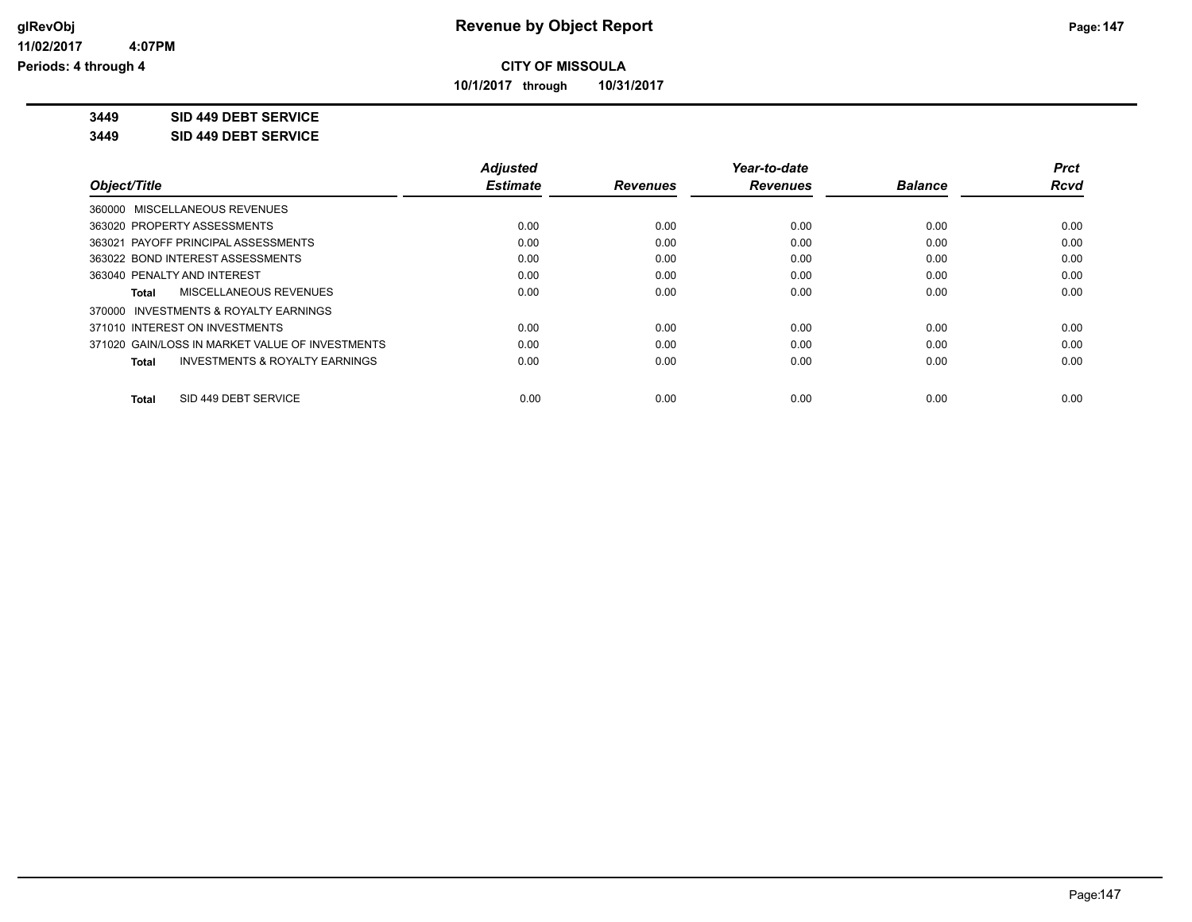**10/1/2017 through 10/31/2017**

**3449 SID 449 DEBT SERVICE**

**3449 SID 449 DEBT SERVICE**

|                                                           | <b>Adjusted</b> |                 | Year-to-date    |                | <b>Prct</b> |
|-----------------------------------------------------------|-----------------|-----------------|-----------------|----------------|-------------|
| Object/Title                                              | <b>Estimate</b> | <b>Revenues</b> | <b>Revenues</b> | <b>Balance</b> | Rcvd        |
| 360000 MISCELLANEOUS REVENUES                             |                 |                 |                 |                |             |
| 363020 PROPERTY ASSESSMENTS                               | 0.00            | 0.00            | 0.00            | 0.00           | 0.00        |
| 363021 PAYOFF PRINCIPAL ASSESSMENTS                       | 0.00            | 0.00            | 0.00            | 0.00           | 0.00        |
| 363022 BOND INTEREST ASSESSMENTS                          | 0.00            | 0.00            | 0.00            | 0.00           | 0.00        |
| 363040 PENALTY AND INTEREST                               | 0.00            | 0.00            | 0.00            | 0.00           | 0.00        |
| <b>MISCELLANEOUS REVENUES</b><br>Total                    | 0.00            | 0.00            | 0.00            | 0.00           | 0.00        |
| 370000 INVESTMENTS & ROYALTY EARNINGS                     |                 |                 |                 |                |             |
| 371010 INTEREST ON INVESTMENTS                            | 0.00            | 0.00            | 0.00            | 0.00           | 0.00        |
| 371020 GAIN/LOSS IN MARKET VALUE OF INVESTMENTS           | 0.00            | 0.00            | 0.00            | 0.00           | 0.00        |
| <b>INVESTMENTS &amp; ROYALTY EARNINGS</b><br><b>Total</b> | 0.00            | 0.00            | 0.00            | 0.00           | 0.00        |
| SID 449 DEBT SERVICE<br><b>Total</b>                      | 0.00            | 0.00            | 0.00            | 0.00           | 0.00        |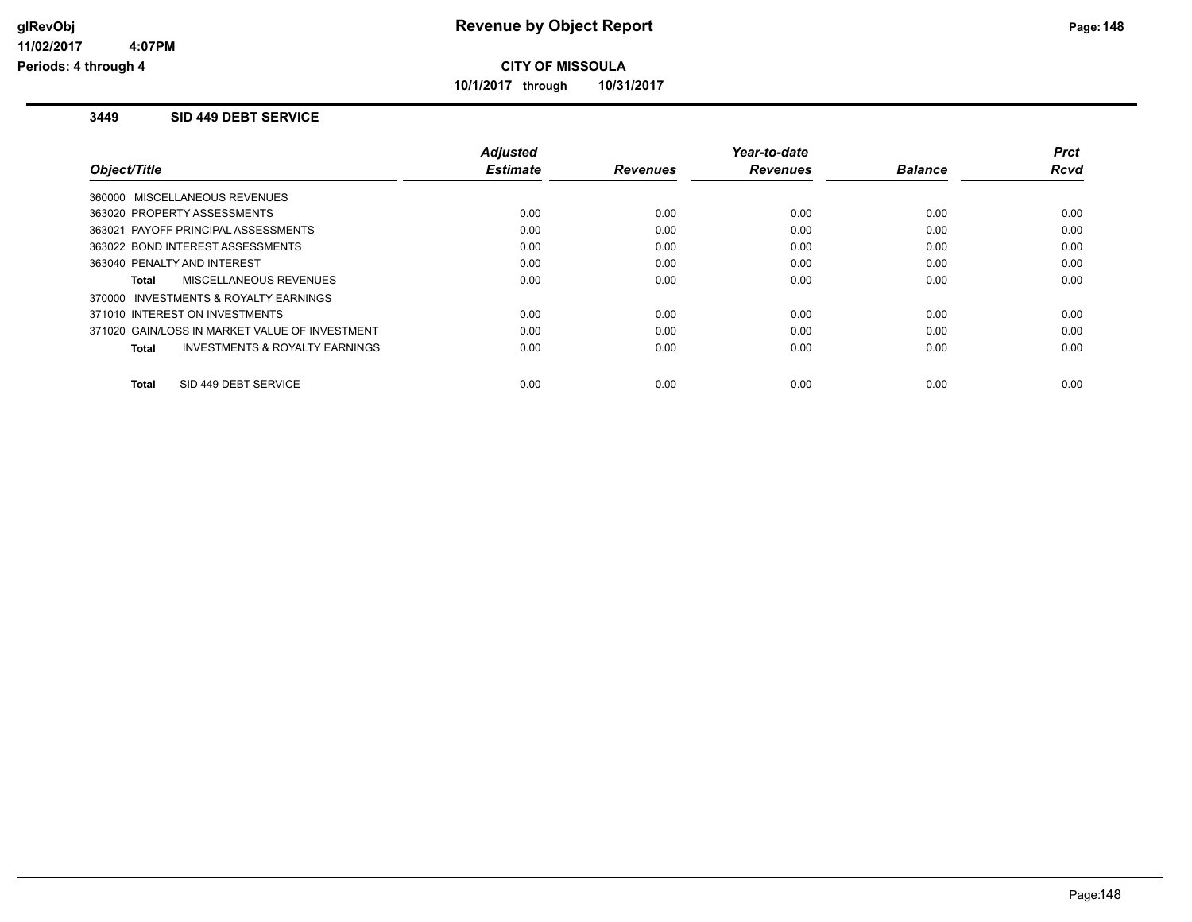**10/1/2017 through 10/31/2017**

## **3449 SID 449 DEBT SERVICE**

|                                                    | <b>Adjusted</b> |                 | Year-to-date    |                | <b>Prct</b> |
|----------------------------------------------------|-----------------|-----------------|-----------------|----------------|-------------|
| Object/Title                                       | <b>Estimate</b> | <b>Revenues</b> | <b>Revenues</b> | <b>Balance</b> | Rcvd        |
| 360000 MISCELLANEOUS REVENUES                      |                 |                 |                 |                |             |
| 363020 PROPERTY ASSESSMENTS                        | 0.00            | 0.00            | 0.00            | 0.00           | 0.00        |
| 363021 PAYOFF PRINCIPAL ASSESSMENTS                | 0.00            | 0.00            | 0.00            | 0.00           | 0.00        |
| 363022 BOND INTEREST ASSESSMENTS                   | 0.00            | 0.00            | 0.00            | 0.00           | 0.00        |
| 363040 PENALTY AND INTEREST                        | 0.00            | 0.00            | 0.00            | 0.00           | 0.00        |
| MISCELLANEOUS REVENUES<br>Total                    | 0.00            | 0.00            | 0.00            | 0.00           | 0.00        |
| 370000 INVESTMENTS & ROYALTY EARNINGS              |                 |                 |                 |                |             |
| 371010 INTEREST ON INVESTMENTS                     | 0.00            | 0.00            | 0.00            | 0.00           | 0.00        |
| 371020 GAIN/LOSS IN MARKET VALUE OF INVESTMENT     | 0.00            | 0.00            | 0.00            | 0.00           | 0.00        |
| <b>INVESTMENTS &amp; ROYALTY EARNINGS</b><br>Total | 0.00            | 0.00            | 0.00            | 0.00           | 0.00        |
|                                                    |                 |                 |                 |                |             |
| SID 449 DEBT SERVICE<br>Total                      | 0.00            | 0.00            | 0.00            | 0.00           | 0.00        |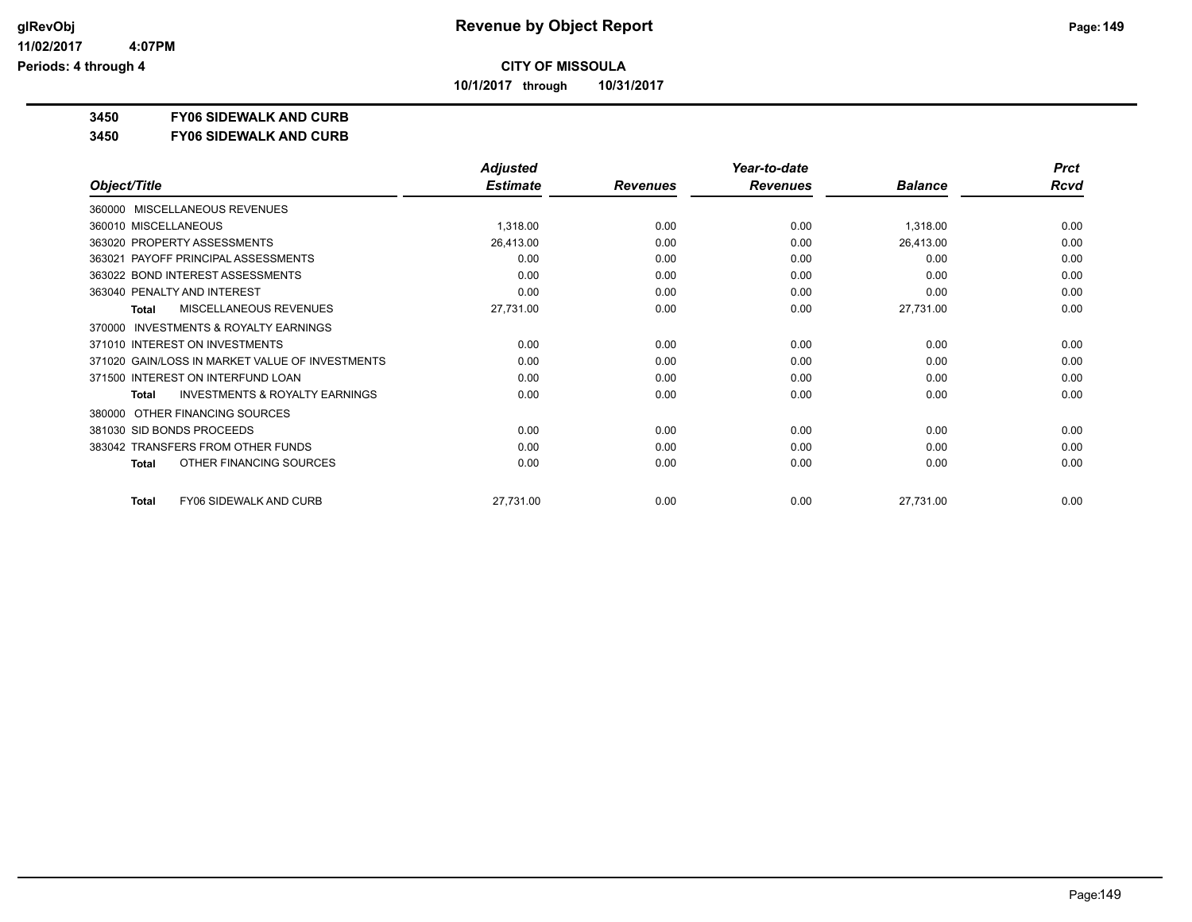**10/1/2017 through 10/31/2017**

**3450 FY06 SIDEWALK AND CURB**

**3450 FY06 SIDEWALK AND CURB**

|                                                           | <b>Adjusted</b> |                 | Year-to-date    |                | <b>Prct</b> |
|-----------------------------------------------------------|-----------------|-----------------|-----------------|----------------|-------------|
| Object/Title                                              | <b>Estimate</b> | <b>Revenues</b> | <b>Revenues</b> | <b>Balance</b> | Rcvd        |
| 360000 MISCELLANEOUS REVENUES                             |                 |                 |                 |                |             |
| 360010 MISCELLANEOUS                                      | 1,318.00        | 0.00            | 0.00            | 1,318.00       | 0.00        |
| 363020 PROPERTY ASSESSMENTS                               | 26,413.00       | 0.00            | 0.00            | 26,413.00      | 0.00        |
| 363021 PAYOFF PRINCIPAL ASSESSMENTS                       | 0.00            | 0.00            | 0.00            | 0.00           | 0.00        |
| 363022 BOND INTEREST ASSESSMENTS                          | 0.00            | 0.00            | 0.00            | 0.00           | 0.00        |
| 363040 PENALTY AND INTEREST                               | 0.00            | 0.00            | 0.00            | 0.00           | 0.00        |
| MISCELLANEOUS REVENUES<br><b>Total</b>                    | 27,731.00       | 0.00            | 0.00            | 27,731.00      | 0.00        |
| INVESTMENTS & ROYALTY EARNINGS<br>370000                  |                 |                 |                 |                |             |
| 371010 INTEREST ON INVESTMENTS                            | 0.00            | 0.00            | 0.00            | 0.00           | 0.00        |
| 371020 GAIN/LOSS IN MARKET VALUE OF INVESTMENTS           | 0.00            | 0.00            | 0.00            | 0.00           | 0.00        |
| 371500 INTEREST ON INTERFUND LOAN                         | 0.00            | 0.00            | 0.00            | 0.00           | 0.00        |
| <b>INVESTMENTS &amp; ROYALTY EARNINGS</b><br><b>Total</b> | 0.00            | 0.00            | 0.00            | 0.00           | 0.00        |
| OTHER FINANCING SOURCES<br>380000                         |                 |                 |                 |                |             |
| 381030 SID BONDS PROCEEDS                                 | 0.00            | 0.00            | 0.00            | 0.00           | 0.00        |
| 383042 TRANSFERS FROM OTHER FUNDS                         | 0.00            | 0.00            | 0.00            | 0.00           | 0.00        |
| OTHER FINANCING SOURCES<br><b>Total</b>                   | 0.00            | 0.00            | 0.00            | 0.00           | 0.00        |
|                                                           |                 |                 |                 |                |             |
| <b>FY06 SIDEWALK AND CURB</b><br><b>Total</b>             | 27,731.00       | 0.00            | 0.00            | 27,731.00      | 0.00        |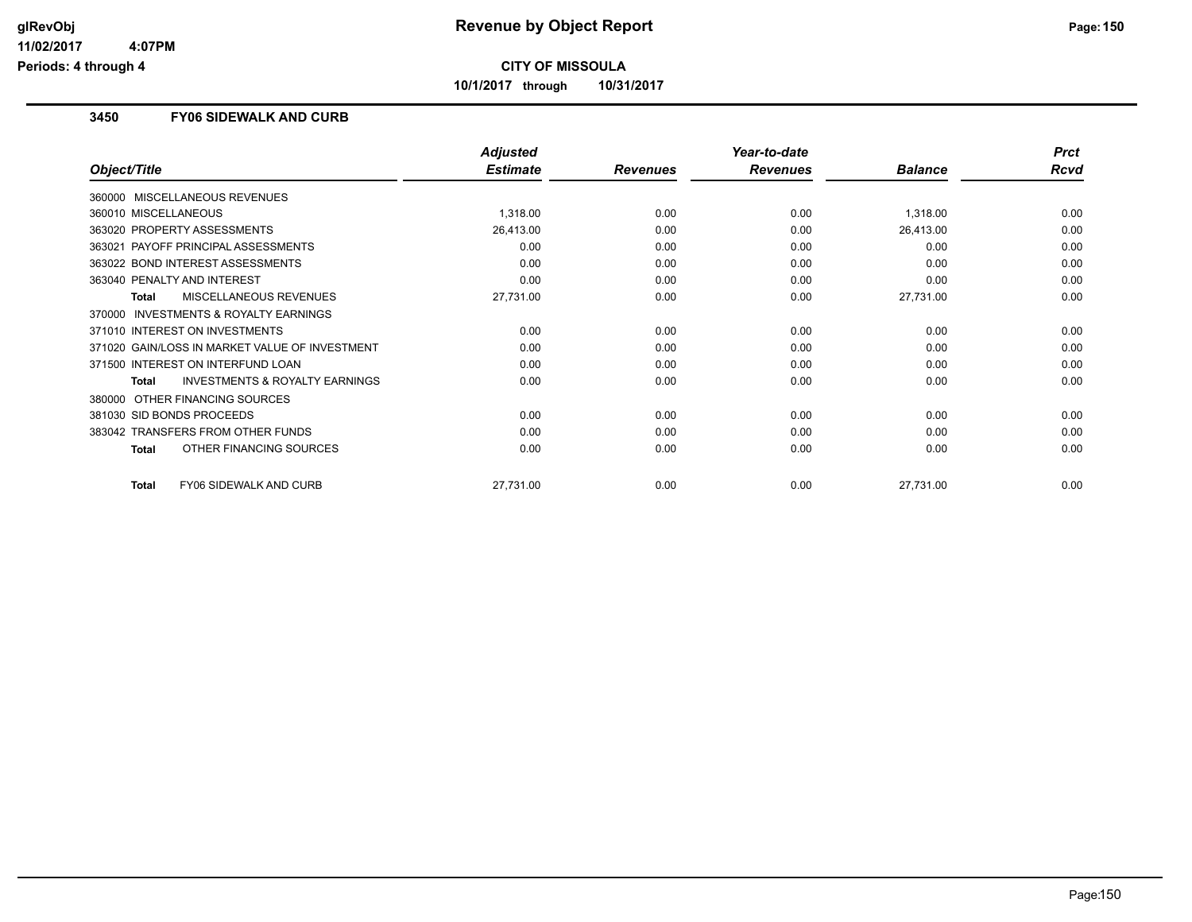**10/1/2017 through 10/31/2017**

# **3450 FY06 SIDEWALK AND CURB**

|                                                           | <b>Adjusted</b> |                 | Year-to-date    |                | <b>Prct</b> |
|-----------------------------------------------------------|-----------------|-----------------|-----------------|----------------|-------------|
| Object/Title                                              | <b>Estimate</b> | <b>Revenues</b> | <b>Revenues</b> | <b>Balance</b> | Rcvd        |
| 360000 MISCELLANEOUS REVENUES                             |                 |                 |                 |                |             |
| 360010 MISCELLANEOUS                                      | 1,318.00        | 0.00            | 0.00            | 1,318.00       | 0.00        |
| 363020 PROPERTY ASSESSMENTS                               | 26,413.00       | 0.00            | 0.00            | 26,413.00      | 0.00        |
| 363021 PAYOFF PRINCIPAL ASSESSMENTS                       | 0.00            | 0.00            | 0.00            | 0.00           | 0.00        |
| 363022 BOND INTEREST ASSESSMENTS                          | 0.00            | 0.00            | 0.00            | 0.00           | 0.00        |
| 363040 PENALTY AND INTEREST                               | 0.00            | 0.00            | 0.00            | 0.00           | 0.00        |
| <b>MISCELLANEOUS REVENUES</b><br><b>Total</b>             | 27,731.00       | 0.00            | 0.00            | 27,731.00      | 0.00        |
| <b>INVESTMENTS &amp; ROYALTY EARNINGS</b><br>370000       |                 |                 |                 |                |             |
| 371010 INTEREST ON INVESTMENTS                            | 0.00            | 0.00            | 0.00            | 0.00           | 0.00        |
| 371020 GAIN/LOSS IN MARKET VALUE OF INVESTMENT            | 0.00            | 0.00            | 0.00            | 0.00           | 0.00        |
| 371500 INTEREST ON INTERFUND LOAN                         | 0.00            | 0.00            | 0.00            | 0.00           | 0.00        |
| <b>INVESTMENTS &amp; ROYALTY EARNINGS</b><br><b>Total</b> | 0.00            | 0.00            | 0.00            | 0.00           | 0.00        |
| 380000 OTHER FINANCING SOURCES                            |                 |                 |                 |                |             |
| 381030 SID BONDS PROCEEDS                                 | 0.00            | 0.00            | 0.00            | 0.00           | 0.00        |
| 383042 TRANSFERS FROM OTHER FUNDS                         | 0.00            | 0.00            | 0.00            | 0.00           | 0.00        |
| OTHER FINANCING SOURCES<br><b>Total</b>                   | 0.00            | 0.00            | 0.00            | 0.00           | 0.00        |
| FY06 SIDEWALK AND CURB<br><b>Total</b>                    | 27,731.00       | 0.00            | 0.00            | 27,731.00      | 0.00        |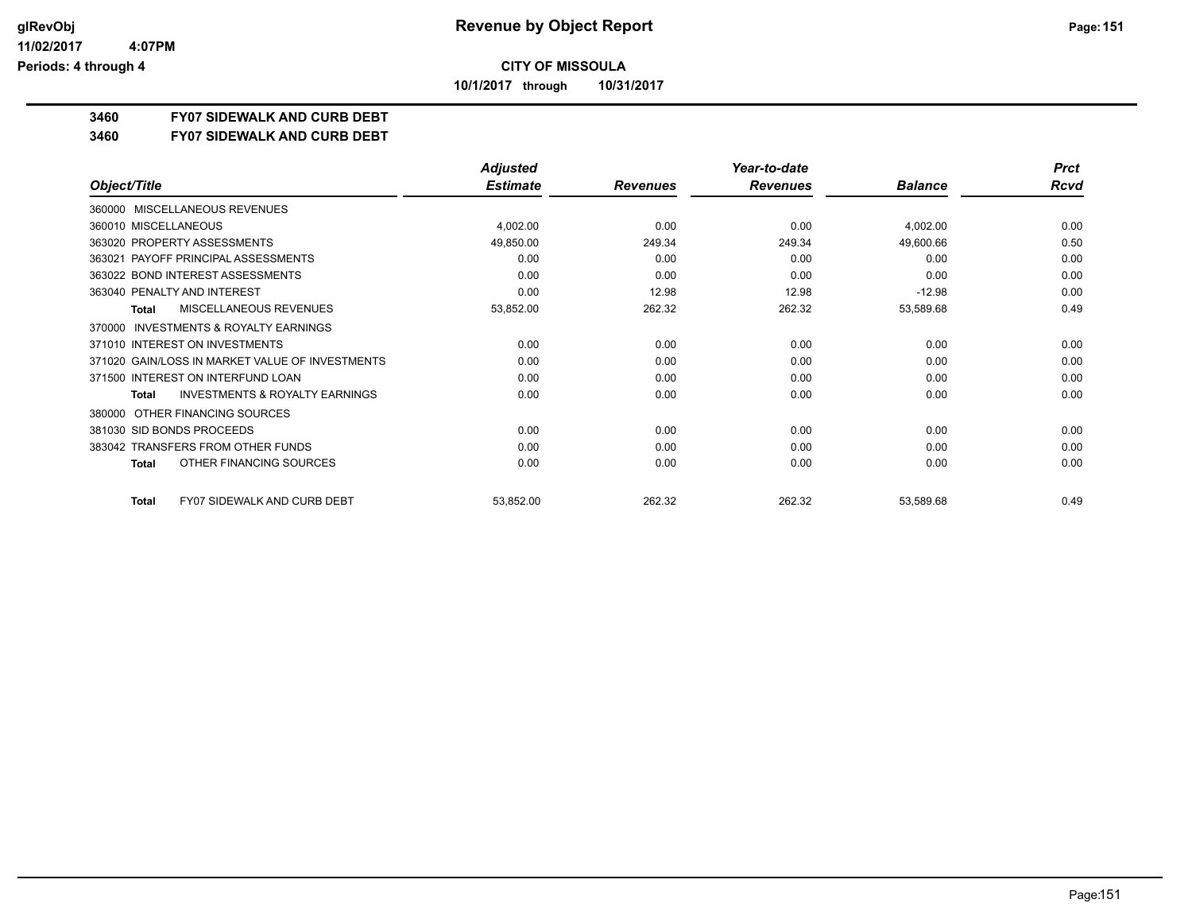**10/1/2017 through 10/31/2017**

# **3460 FY07 SIDEWALK AND CURB DEBT**

### **3460 FY07 SIDEWALK AND CURB DEBT**

|                                                           | <b>Adjusted</b> |                 | Year-to-date    |                | <b>Prct</b> |
|-----------------------------------------------------------|-----------------|-----------------|-----------------|----------------|-------------|
| Object/Title                                              | <b>Estimate</b> | <b>Revenues</b> | <b>Revenues</b> | <b>Balance</b> | Rcvd        |
| 360000 MISCELLANEOUS REVENUES                             |                 |                 |                 |                |             |
| 360010 MISCELLANEOUS                                      | 4,002.00        | 0.00            | 0.00            | 4,002.00       | 0.00        |
| 363020 PROPERTY ASSESSMENTS                               | 49,850.00       | 249.34          | 249.34          | 49,600.66      | 0.50        |
| 363021 PAYOFF PRINCIPAL ASSESSMENTS                       | 0.00            | 0.00            | 0.00            | 0.00           | 0.00        |
| 363022 BOND INTEREST ASSESSMENTS                          | 0.00            | 0.00            | 0.00            | 0.00           | 0.00        |
| 363040 PENALTY AND INTEREST                               | 0.00            | 12.98           | 12.98           | $-12.98$       | 0.00        |
| MISCELLANEOUS REVENUES<br>Total                           | 53,852.00       | 262.32          | 262.32          | 53,589.68      | 0.49        |
| <b>INVESTMENTS &amp; ROYALTY EARNINGS</b><br>370000       |                 |                 |                 |                |             |
| 371010 INTEREST ON INVESTMENTS                            | 0.00            | 0.00            | 0.00            | 0.00           | 0.00        |
| 371020 GAIN/LOSS IN MARKET VALUE OF INVESTMENTS           | 0.00            | 0.00            | 0.00            | 0.00           | 0.00        |
| 371500 INTEREST ON INTERFUND LOAN                         | 0.00            | 0.00            | 0.00            | 0.00           | 0.00        |
| <b>INVESTMENTS &amp; ROYALTY EARNINGS</b><br><b>Total</b> | 0.00            | 0.00            | 0.00            | 0.00           | 0.00        |
| OTHER FINANCING SOURCES<br>380000                         |                 |                 |                 |                |             |
| 381030 SID BONDS PROCEEDS                                 | 0.00            | 0.00            | 0.00            | 0.00           | 0.00        |
| 383042 TRANSFERS FROM OTHER FUNDS                         | 0.00            | 0.00            | 0.00            | 0.00           | 0.00        |
| OTHER FINANCING SOURCES<br><b>Total</b>                   | 0.00            | 0.00            | 0.00            | 0.00           | 0.00        |
|                                                           |                 |                 |                 |                |             |
| <b>FY07 SIDEWALK AND CURB DEBT</b><br><b>Total</b>        | 53,852.00       | 262.32          | 262.32          | 53,589.68      | 0.49        |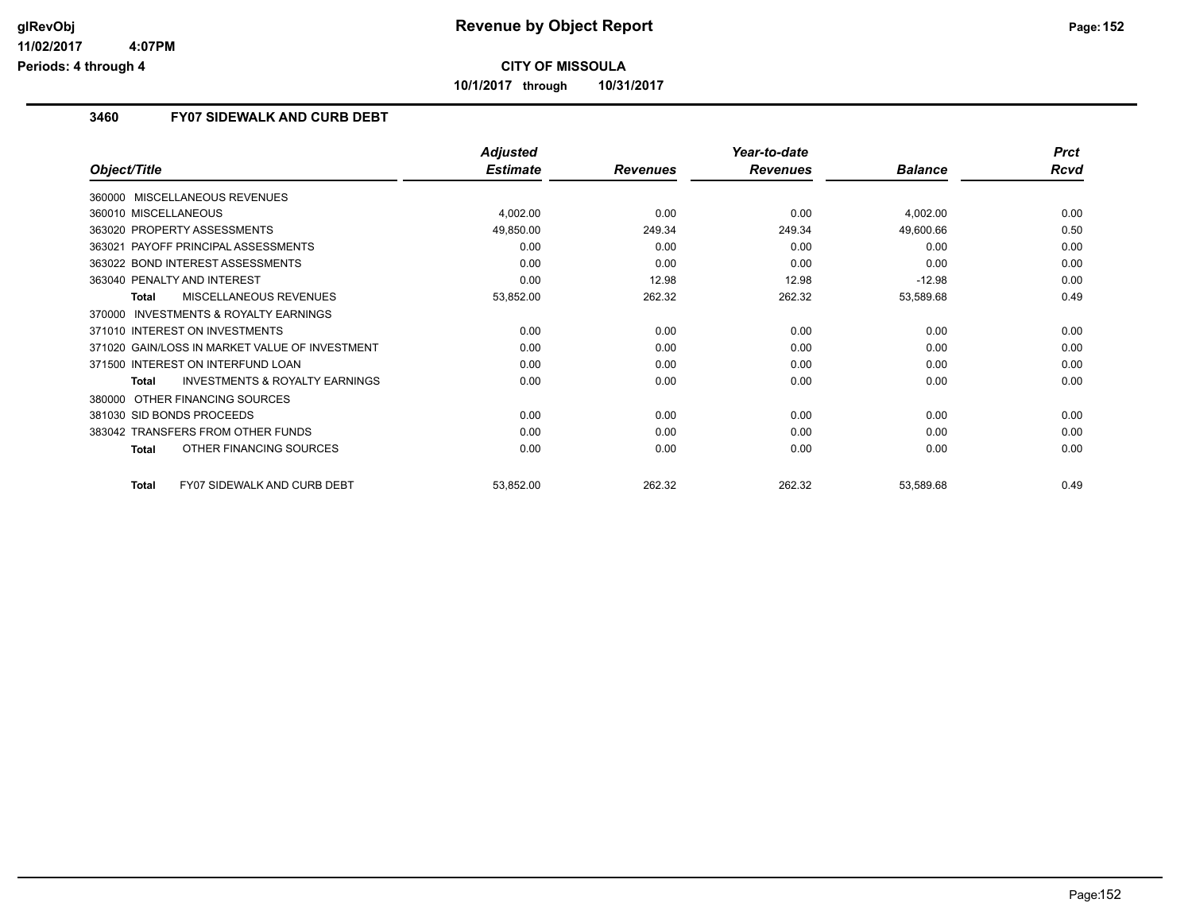**10/1/2017 through 10/31/2017**

## **3460 FY07 SIDEWALK AND CURB DEBT**

|                                                     | <b>Adjusted</b> |                 | Year-to-date    |                | <b>Prct</b> |
|-----------------------------------------------------|-----------------|-----------------|-----------------|----------------|-------------|
| Object/Title                                        | <b>Estimate</b> | <b>Revenues</b> | <b>Revenues</b> | <b>Balance</b> | Rcvd        |
| 360000 MISCELLANEOUS REVENUES                       |                 |                 |                 |                |             |
| 360010 MISCELLANEOUS                                | 4,002.00        | 0.00            | 0.00            | 4,002.00       | 0.00        |
| 363020 PROPERTY ASSESSMENTS                         | 49,850.00       | 249.34          | 249.34          | 49,600.66      | 0.50        |
| 363021 PAYOFF PRINCIPAL ASSESSMENTS                 | 0.00            | 0.00            | 0.00            | 0.00           | 0.00        |
| 363022 BOND INTEREST ASSESSMENTS                    | 0.00            | 0.00            | 0.00            | 0.00           | 0.00        |
| 363040 PENALTY AND INTEREST                         | 0.00            | 12.98           | 12.98           | $-12.98$       | 0.00        |
| <b>MISCELLANEOUS REVENUES</b><br>Total              | 53,852.00       | 262.32          | 262.32          | 53,589.68      | 0.49        |
| <b>INVESTMENTS &amp; ROYALTY EARNINGS</b><br>370000 |                 |                 |                 |                |             |
| 371010 INTEREST ON INVESTMENTS                      | 0.00            | 0.00            | 0.00            | 0.00           | 0.00        |
| 371020 GAIN/LOSS IN MARKET VALUE OF INVESTMENT      | 0.00            | 0.00            | 0.00            | 0.00           | 0.00        |
| 371500 INTEREST ON INTERFUND LOAN                   | 0.00            | 0.00            | 0.00            | 0.00           | 0.00        |
| <b>INVESTMENTS &amp; ROYALTY EARNINGS</b><br>Total  | 0.00            | 0.00            | 0.00            | 0.00           | 0.00        |
| 380000 OTHER FINANCING SOURCES                      |                 |                 |                 |                |             |
| 381030 SID BONDS PROCEEDS                           | 0.00            | 0.00            | 0.00            | 0.00           | 0.00        |
| 383042 TRANSFERS FROM OTHER FUNDS                   | 0.00            | 0.00            | 0.00            | 0.00           | 0.00        |
| OTHER FINANCING SOURCES<br>Total                    | 0.00            | 0.00            | 0.00            | 0.00           | 0.00        |
| <b>FY07 SIDEWALK AND CURB DEBT</b><br>Total         | 53,852.00       | 262.32          | 262.32          | 53,589.68      | 0.49        |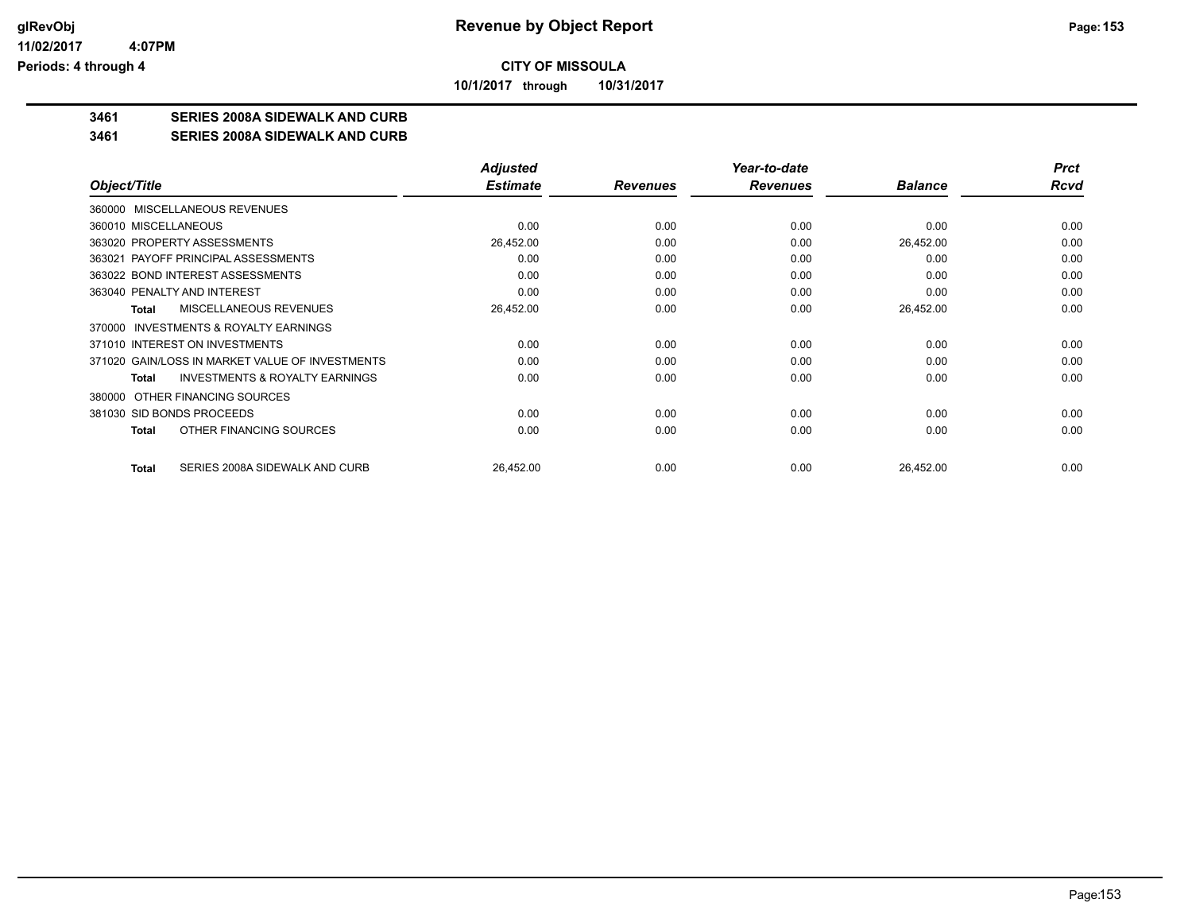**10/1/2017 through 10/31/2017**

# **3461 SERIES 2008A SIDEWALK AND CURB**

### **3461 SERIES 2008A SIDEWALK AND CURB**

|                                          |                                                 | <b>Adjusted</b> |                 | Year-to-date    |                | <b>Prct</b> |
|------------------------------------------|-------------------------------------------------|-----------------|-----------------|-----------------|----------------|-------------|
| Object/Title                             |                                                 | <b>Estimate</b> | <b>Revenues</b> | <b>Revenues</b> | <b>Balance</b> | Rcvd        |
| 360000 MISCELLANEOUS REVENUES            |                                                 |                 |                 |                 |                |             |
| 360010 MISCELLANEOUS                     |                                                 | 0.00            | 0.00            | 0.00            | 0.00           | 0.00        |
| 363020 PROPERTY ASSESSMENTS              |                                                 | 26,452.00       | 0.00            | 0.00            | 26,452.00      | 0.00        |
| 363021 PAYOFF PRINCIPAL ASSESSMENTS      |                                                 | 0.00            | 0.00            | 0.00            | 0.00           | 0.00        |
| 363022 BOND INTEREST ASSESSMENTS         |                                                 | 0.00            | 0.00            | 0.00            | 0.00           | 0.00        |
| 363040 PENALTY AND INTEREST              |                                                 | 0.00            | 0.00            | 0.00            | 0.00           | 0.00        |
| <b>Total</b>                             | <b>MISCELLANEOUS REVENUES</b>                   | 26,452.00       | 0.00            | 0.00            | 26,452.00      | 0.00        |
| INVESTMENTS & ROYALTY EARNINGS<br>370000 |                                                 |                 |                 |                 |                |             |
| 371010 INTEREST ON INVESTMENTS           |                                                 | 0.00            | 0.00            | 0.00            | 0.00           | 0.00        |
|                                          | 371020 GAIN/LOSS IN MARKET VALUE OF INVESTMENTS | 0.00            | 0.00            | 0.00            | 0.00           | 0.00        |
| <b>Total</b>                             | <b>INVESTMENTS &amp; ROYALTY EARNINGS</b>       | 0.00            | 0.00            | 0.00            | 0.00           | 0.00        |
| OTHER FINANCING SOURCES<br>380000        |                                                 |                 |                 |                 |                |             |
| 381030 SID BONDS PROCEEDS                |                                                 | 0.00            | 0.00            | 0.00            | 0.00           | 0.00        |
| <b>Total</b>                             | OTHER FINANCING SOURCES                         | 0.00            | 0.00            | 0.00            | 0.00           | 0.00        |
| <b>Total</b>                             | SERIES 2008A SIDEWALK AND CURB                  | 26,452.00       | 0.00            | 0.00            | 26,452.00      | 0.00        |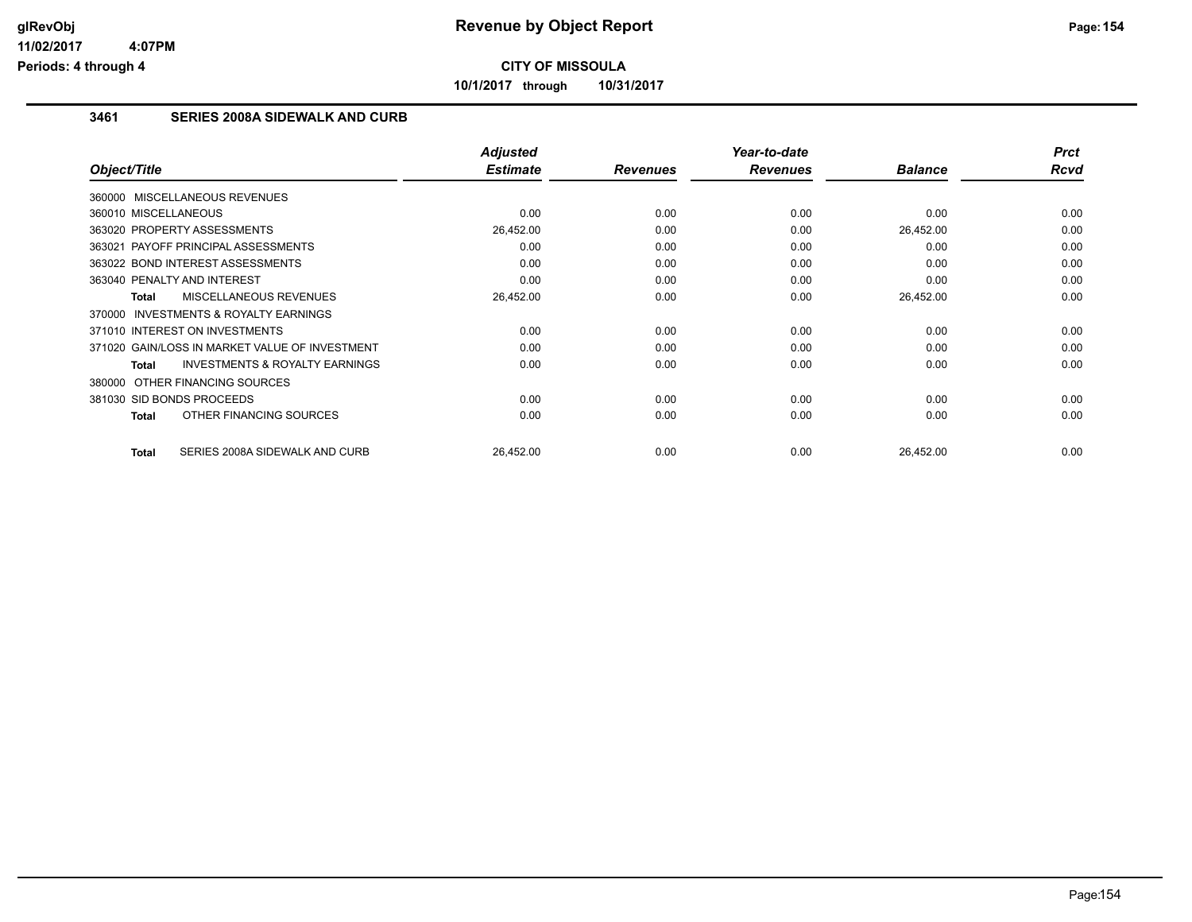**10/1/2017 through 10/31/2017**

# **3461 SERIES 2008A SIDEWALK AND CURB**

|                                                           | Adjusted        |                 | Year-to-date    |                | <b>Prct</b> |
|-----------------------------------------------------------|-----------------|-----------------|-----------------|----------------|-------------|
| Object/Title                                              | <b>Estimate</b> | <b>Revenues</b> | <b>Revenues</b> | <b>Balance</b> | Rcvd        |
| 360000 MISCELLANEOUS REVENUES                             |                 |                 |                 |                |             |
| 360010 MISCELLANEOUS                                      | 0.00            | 0.00            | 0.00            | 0.00           | 0.00        |
| 363020 PROPERTY ASSESSMENTS                               | 26,452.00       | 0.00            | 0.00            | 26,452.00      | 0.00        |
| 363021 PAYOFF PRINCIPAL ASSESSMENTS                       | 0.00            | 0.00            | 0.00            | 0.00           | 0.00        |
| 363022 BOND INTEREST ASSESSMENTS                          | 0.00            | 0.00            | 0.00            | 0.00           | 0.00        |
| 363040 PENALTY AND INTEREST                               | 0.00            | 0.00            | 0.00            | 0.00           | 0.00        |
| MISCELLANEOUS REVENUES<br><b>Total</b>                    | 26,452.00       | 0.00            | 0.00            | 26,452.00      | 0.00        |
| 370000 INVESTMENTS & ROYALTY EARNINGS                     |                 |                 |                 |                |             |
| 371010 INTEREST ON INVESTMENTS                            | 0.00            | 0.00            | 0.00            | 0.00           | 0.00        |
| 371020 GAIN/LOSS IN MARKET VALUE OF INVESTMENT            | 0.00            | 0.00            | 0.00            | 0.00           | 0.00        |
| <b>INVESTMENTS &amp; ROYALTY EARNINGS</b><br><b>Total</b> | 0.00            | 0.00            | 0.00            | 0.00           | 0.00        |
| OTHER FINANCING SOURCES<br>380000                         |                 |                 |                 |                |             |
| 381030 SID BONDS PROCEEDS                                 | 0.00            | 0.00            | 0.00            | 0.00           | 0.00        |
| OTHER FINANCING SOURCES<br><b>Total</b>                   | 0.00            | 0.00            | 0.00            | 0.00           | 0.00        |
|                                                           |                 |                 |                 |                |             |
| SERIES 2008A SIDEWALK AND CURB<br><b>Total</b>            | 26.452.00       | 0.00            | 0.00            | 26,452.00      | 0.00        |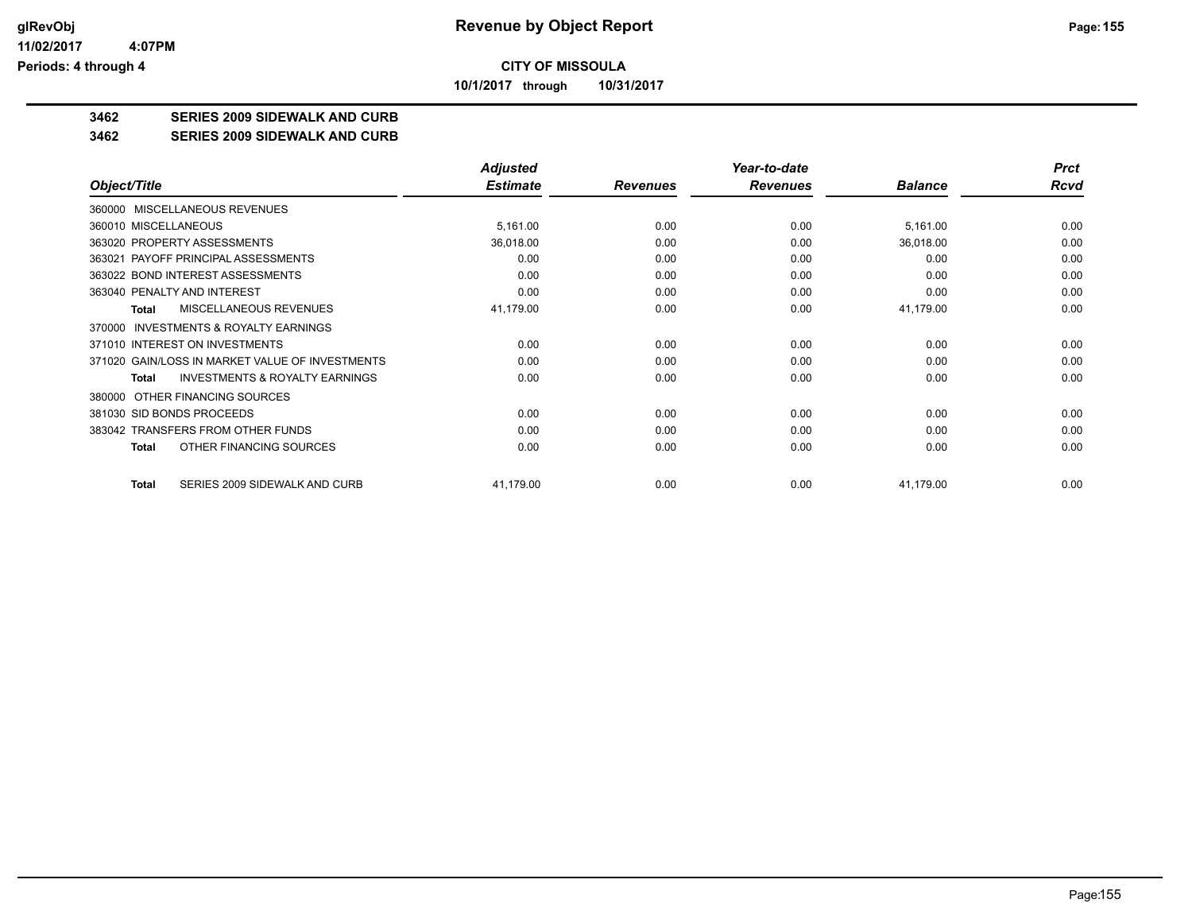**10/1/2017 through 10/31/2017**

# **3462 SERIES 2009 SIDEWALK AND CURB**

## **3462 SERIES 2009 SIDEWALK AND CURB**

|                                                     | <b>Adjusted</b> |                 | Year-to-date    |                | <b>Prct</b> |
|-----------------------------------------------------|-----------------|-----------------|-----------------|----------------|-------------|
| Object/Title                                        | <b>Estimate</b> | <b>Revenues</b> | <b>Revenues</b> | <b>Balance</b> | <b>Rcvd</b> |
| 360000 MISCELLANEOUS REVENUES                       |                 |                 |                 |                |             |
| 360010 MISCELLANEOUS                                | 5,161.00        | 0.00            | 0.00            | 5,161.00       | 0.00        |
| 363020 PROPERTY ASSESSMENTS                         | 36,018.00       | 0.00            | 0.00            | 36,018.00      | 0.00        |
| 363021 PAYOFF PRINCIPAL ASSESSMENTS                 | 0.00            | 0.00            | 0.00            | 0.00           | 0.00        |
| 363022 BOND INTEREST ASSESSMENTS                    | 0.00            | 0.00            | 0.00            | 0.00           | 0.00        |
| 363040 PENALTY AND INTEREST                         | 0.00            | 0.00            | 0.00            | 0.00           | 0.00        |
| MISCELLANEOUS REVENUES<br>Total                     | 41,179.00       | 0.00            | 0.00            | 41,179.00      | 0.00        |
| <b>INVESTMENTS &amp; ROYALTY EARNINGS</b><br>370000 |                 |                 |                 |                |             |
| 371010 INTEREST ON INVESTMENTS                      | 0.00            | 0.00            | 0.00            | 0.00           | 0.00        |
| 371020 GAIN/LOSS IN MARKET VALUE OF INVESTMENTS     | 0.00            | 0.00            | 0.00            | 0.00           | 0.00        |
| <b>INVESTMENTS &amp; ROYALTY EARNINGS</b><br>Total  | 0.00            | 0.00            | 0.00            | 0.00           | 0.00        |
| OTHER FINANCING SOURCES<br>380000                   |                 |                 |                 |                |             |
| 381030 SID BONDS PROCEEDS                           | 0.00            | 0.00            | 0.00            | 0.00           | 0.00        |
| 383042 TRANSFERS FROM OTHER FUNDS                   | 0.00            | 0.00            | 0.00            | 0.00           | 0.00        |
| OTHER FINANCING SOURCES<br><b>Total</b>             | 0.00            | 0.00            | 0.00            | 0.00           | 0.00        |
| SERIES 2009 SIDEWALK AND CURB<br><b>Total</b>       | 41,179.00       | 0.00            | 0.00            | 41,179.00      | 0.00        |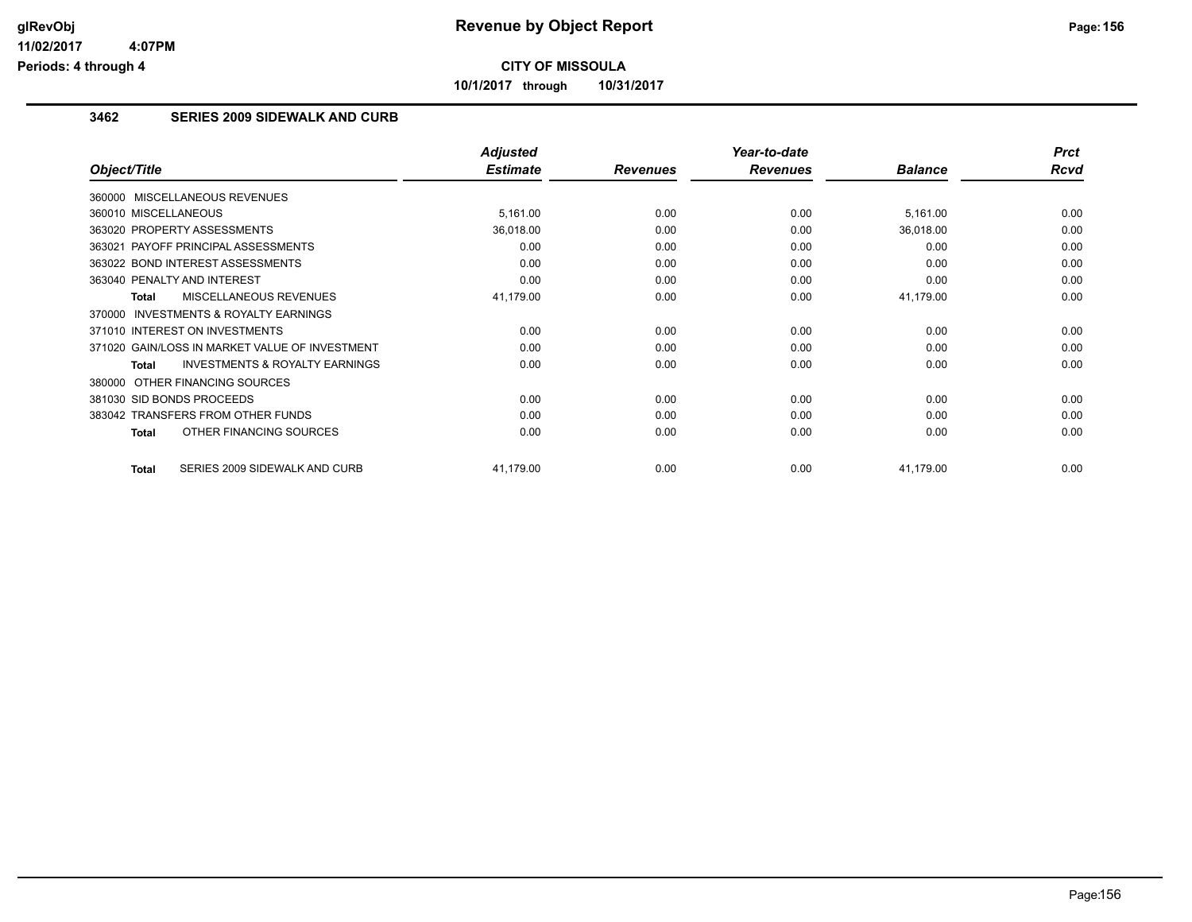**10/1/2017 through 10/31/2017**

# **3462 SERIES 2009 SIDEWALK AND CURB**

|                                                     | <b>Adjusted</b> |                 | Year-to-date    |                | <b>Prct</b> |
|-----------------------------------------------------|-----------------|-----------------|-----------------|----------------|-------------|
| Object/Title                                        | <b>Estimate</b> | <b>Revenues</b> | <b>Revenues</b> | <b>Balance</b> | Rcvd        |
| 360000 MISCELLANEOUS REVENUES                       |                 |                 |                 |                |             |
| 360010 MISCELLANEOUS                                | 5,161.00        | 0.00            | 0.00            | 5,161.00       | 0.00        |
| 363020 PROPERTY ASSESSMENTS                         | 36,018.00       | 0.00            | 0.00            | 36,018.00      | 0.00        |
| 363021 PAYOFF PRINCIPAL ASSESSMENTS                 | 0.00            | 0.00            | 0.00            | 0.00           | 0.00        |
| 363022 BOND INTEREST ASSESSMENTS                    | 0.00            | 0.00            | 0.00            | 0.00           | 0.00        |
| 363040 PENALTY AND INTEREST                         | 0.00            | 0.00            | 0.00            | 0.00           | 0.00        |
| MISCELLANEOUS REVENUES<br>Total                     | 41,179.00       | 0.00            | 0.00            | 41,179.00      | 0.00        |
| <b>INVESTMENTS &amp; ROYALTY EARNINGS</b><br>370000 |                 |                 |                 |                |             |
| 371010 INTEREST ON INVESTMENTS                      | 0.00            | 0.00            | 0.00            | 0.00           | 0.00        |
| 371020 GAIN/LOSS IN MARKET VALUE OF INVESTMENT      | 0.00            | 0.00            | 0.00            | 0.00           | 0.00        |
| <b>INVESTMENTS &amp; ROYALTY EARNINGS</b><br>Total  | 0.00            | 0.00            | 0.00            | 0.00           | 0.00        |
| 380000 OTHER FINANCING SOURCES                      |                 |                 |                 |                |             |
| 381030 SID BONDS PROCEEDS                           | 0.00            | 0.00            | 0.00            | 0.00           | 0.00        |
| 383042 TRANSFERS FROM OTHER FUNDS                   | 0.00            | 0.00            | 0.00            | 0.00           | 0.00        |
| OTHER FINANCING SOURCES<br><b>Total</b>             | 0.00            | 0.00            | 0.00            | 0.00           | 0.00        |
| SERIES 2009 SIDEWALK AND CURB<br>Total              | 41,179.00       | 0.00            | 0.00            | 41,179.00      | 0.00        |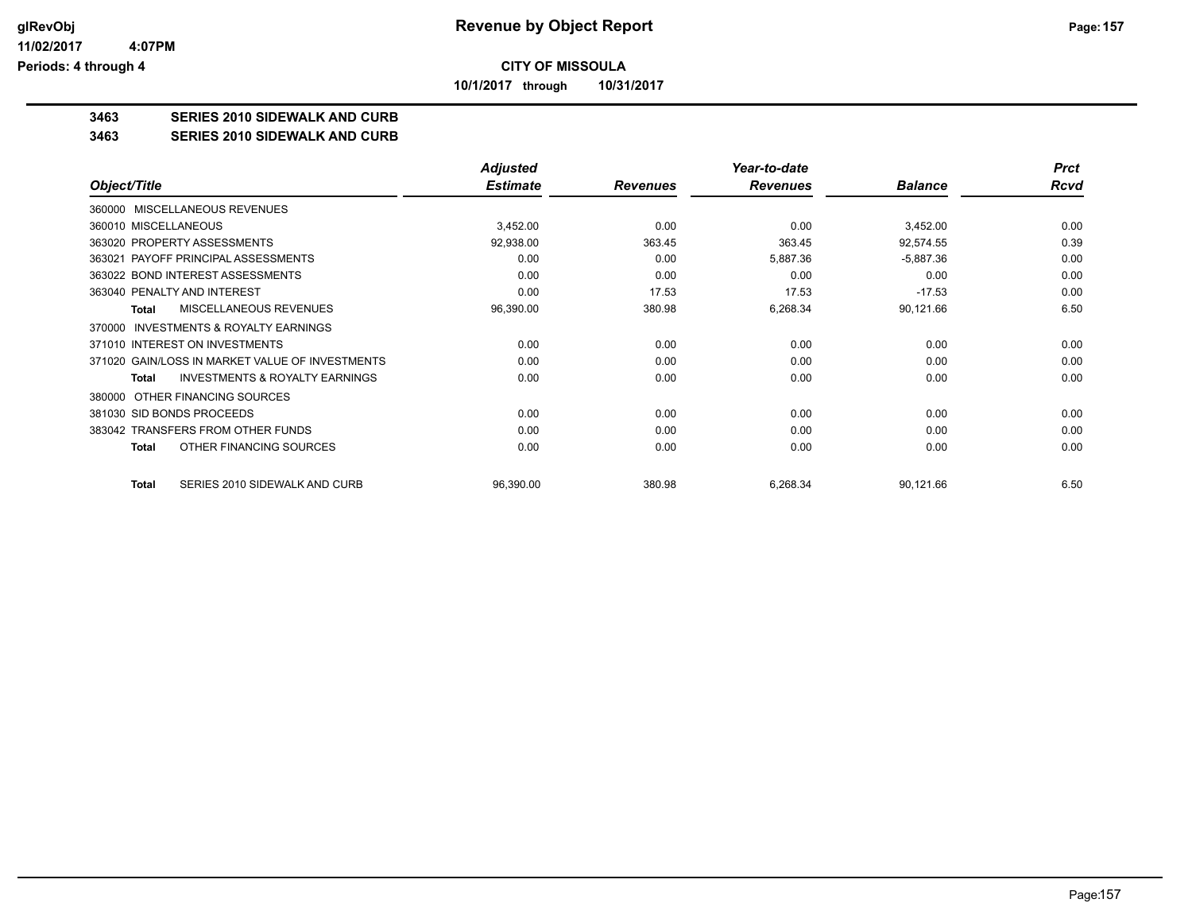**10/1/2017 through 10/31/2017**

# **3463 SERIES 2010 SIDEWALK AND CURB**

## **3463 SERIES 2010 SIDEWALK AND CURB**

|                                                     | <b>Adjusted</b> |                 | Year-to-date    |                | <b>Prct</b> |
|-----------------------------------------------------|-----------------|-----------------|-----------------|----------------|-------------|
| Object/Title                                        | <b>Estimate</b> | <b>Revenues</b> | <b>Revenues</b> | <b>Balance</b> | <b>Rcvd</b> |
| MISCELLANEOUS REVENUES<br>360000                    |                 |                 |                 |                |             |
| 360010 MISCELLANEOUS                                | 3,452.00        | 0.00            | 0.00            | 3,452.00       | 0.00        |
| 363020 PROPERTY ASSESSMENTS                         | 92,938.00       | 363.45          | 363.45          | 92,574.55      | 0.39        |
| 363021 PAYOFF PRINCIPAL ASSESSMENTS                 | 0.00            | 0.00            | 5,887.36        | $-5,887.36$    | 0.00        |
| 363022 BOND INTEREST ASSESSMENTS                    | 0.00            | 0.00            | 0.00            | 0.00           | 0.00        |
| 363040 PENALTY AND INTEREST                         | 0.00            | 17.53           | 17.53           | $-17.53$       | 0.00        |
| <b>MISCELLANEOUS REVENUES</b><br><b>Total</b>       | 96,390.00       | 380.98          | 6,268.34        | 90,121.66      | 6.50        |
| <b>INVESTMENTS &amp; ROYALTY EARNINGS</b><br>370000 |                 |                 |                 |                |             |
| 371010 INTEREST ON INVESTMENTS                      | 0.00            | 0.00            | 0.00            | 0.00           | 0.00        |
| 371020 GAIN/LOSS IN MARKET VALUE OF INVESTMENTS     | 0.00            | 0.00            | 0.00            | 0.00           | 0.00        |
| <b>INVESTMENTS &amp; ROYALTY EARNINGS</b><br>Total  | 0.00            | 0.00            | 0.00            | 0.00           | 0.00        |
| OTHER FINANCING SOURCES<br>380000                   |                 |                 |                 |                |             |
| 381030 SID BONDS PROCEEDS                           | 0.00            | 0.00            | 0.00            | 0.00           | 0.00        |
| 383042 TRANSFERS FROM OTHER FUNDS                   | 0.00            | 0.00            | 0.00            | 0.00           | 0.00        |
| OTHER FINANCING SOURCES<br>Total                    | 0.00            | 0.00            | 0.00            | 0.00           | 0.00        |
| SERIES 2010 SIDEWALK AND CURB<br>Total              | 96,390.00       | 380.98          | 6,268.34        | 90,121.66      | 6.50        |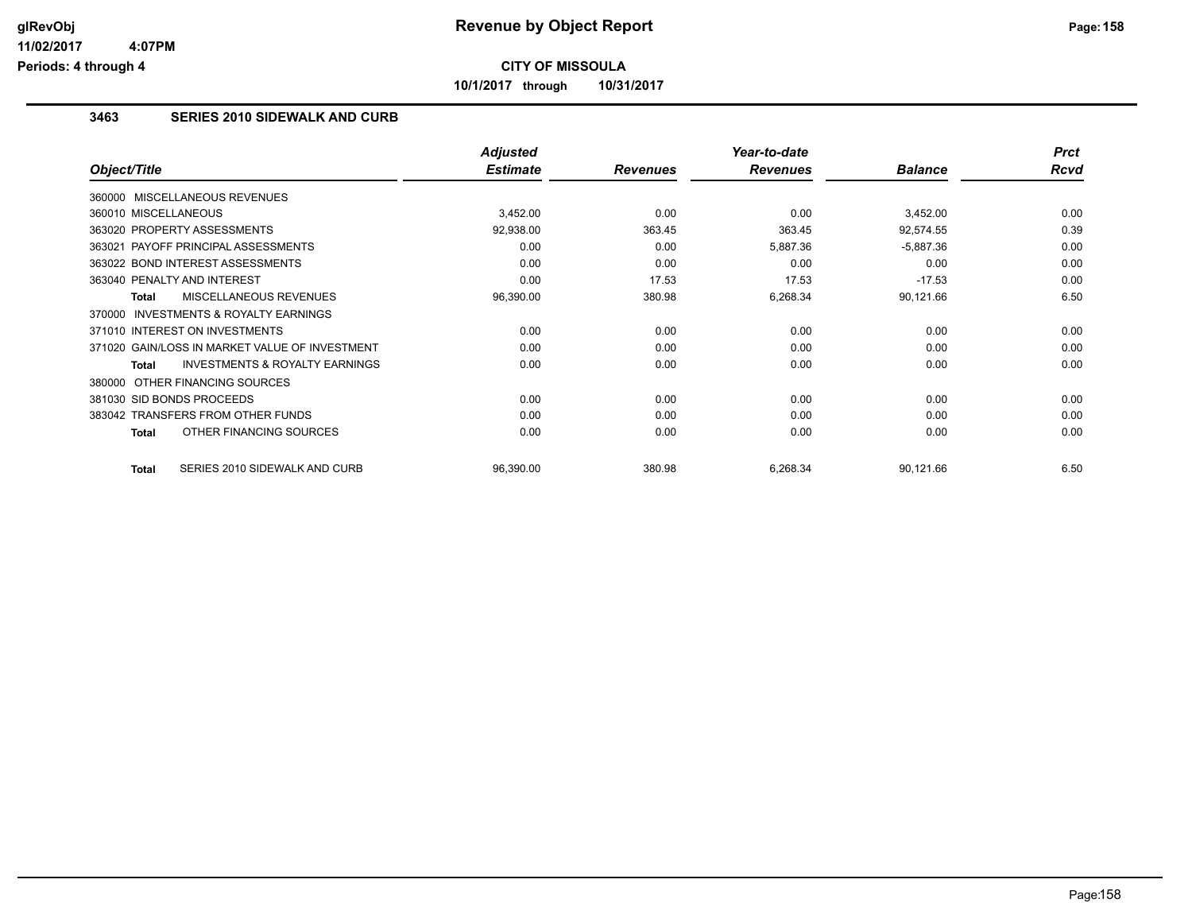**10/1/2017 through 10/31/2017**

# **3463 SERIES 2010 SIDEWALK AND CURB**

|                                                     | <b>Adjusted</b> |                 | Year-to-date    |                | <b>Prct</b> |
|-----------------------------------------------------|-----------------|-----------------|-----------------|----------------|-------------|
| Object/Title                                        | <b>Estimate</b> | <b>Revenues</b> | <b>Revenues</b> | <b>Balance</b> | <b>Rcvd</b> |
| 360000 MISCELLANEOUS REVENUES                       |                 |                 |                 |                |             |
| 360010 MISCELLANEOUS                                | 3,452.00        | 0.00            | 0.00            | 3,452.00       | 0.00        |
| 363020 PROPERTY ASSESSMENTS                         | 92,938.00       | 363.45          | 363.45          | 92,574.55      | 0.39        |
| 363021 PAYOFF PRINCIPAL ASSESSMENTS                 | 0.00            | 0.00            | 5,887.36        | $-5,887.36$    | 0.00        |
| 363022 BOND INTEREST ASSESSMENTS                    | 0.00            | 0.00            | 0.00            | 0.00           | 0.00        |
| 363040 PENALTY AND INTEREST                         | 0.00            | 17.53           | 17.53           | $-17.53$       | 0.00        |
| MISCELLANEOUS REVENUES<br>Total                     | 96,390.00       | 380.98          | 6,268.34        | 90,121.66      | 6.50        |
| <b>INVESTMENTS &amp; ROYALTY EARNINGS</b><br>370000 |                 |                 |                 |                |             |
| 371010 INTEREST ON INVESTMENTS                      | 0.00            | 0.00            | 0.00            | 0.00           | 0.00        |
| 371020 GAIN/LOSS IN MARKET VALUE OF INVESTMENT      | 0.00            | 0.00            | 0.00            | 0.00           | 0.00        |
| <b>INVESTMENTS &amp; ROYALTY EARNINGS</b><br>Total  | 0.00            | 0.00            | 0.00            | 0.00           | 0.00        |
| 380000 OTHER FINANCING SOURCES                      |                 |                 |                 |                |             |
| 381030 SID BONDS PROCEEDS                           | 0.00            | 0.00            | 0.00            | 0.00           | 0.00        |
| 383042 TRANSFERS FROM OTHER FUNDS                   | 0.00            | 0.00            | 0.00            | 0.00           | 0.00        |
| OTHER FINANCING SOURCES<br><b>Total</b>             | 0.00            | 0.00            | 0.00            | 0.00           | 0.00        |
| SERIES 2010 SIDEWALK AND CURB<br>Total              | 96,390.00       | 380.98          | 6,268.34        | 90,121.66      | 6.50        |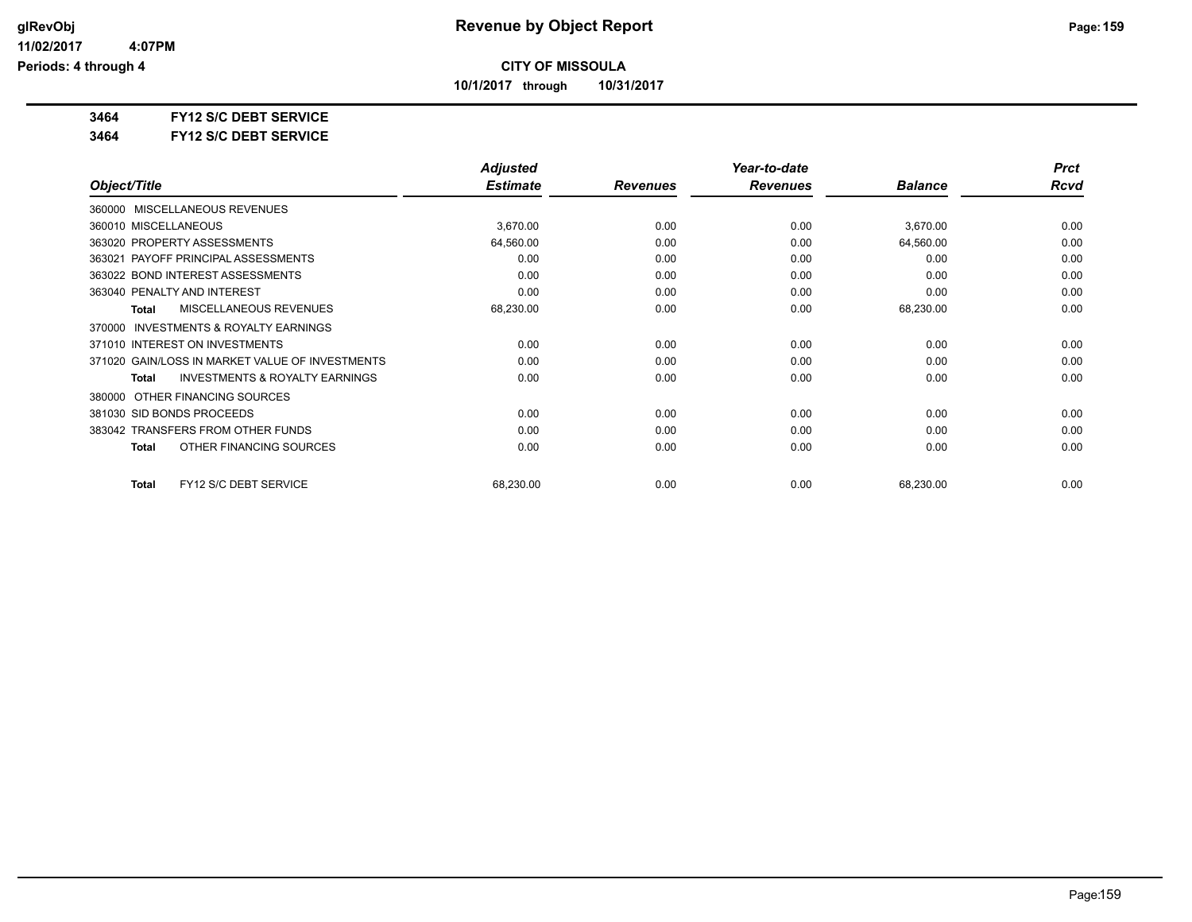**10/1/2017 through 10/31/2017**

**3464 FY12 S/C DEBT SERVICE**

**3464 FY12 S/C DEBT SERVICE**

|                                                     | <b>Adjusted</b> |                 | Year-to-date    |                | <b>Prct</b> |
|-----------------------------------------------------|-----------------|-----------------|-----------------|----------------|-------------|
| Object/Title                                        | <b>Estimate</b> | <b>Revenues</b> | <b>Revenues</b> | <b>Balance</b> | <b>Rcvd</b> |
| 360000 MISCELLANEOUS REVENUES                       |                 |                 |                 |                |             |
| 360010 MISCELLANEOUS                                | 3,670.00        | 0.00            | 0.00            | 3,670.00       | 0.00        |
| 363020 PROPERTY ASSESSMENTS                         | 64,560.00       | 0.00            | 0.00            | 64,560.00      | 0.00        |
| 363021 PAYOFF PRINCIPAL ASSESSMENTS                 | 0.00            | 0.00            | 0.00            | 0.00           | 0.00        |
| 363022 BOND INTEREST ASSESSMENTS                    | 0.00            | 0.00            | 0.00            | 0.00           | 0.00        |
| 363040 PENALTY AND INTEREST                         | 0.00            | 0.00            | 0.00            | 0.00           | 0.00        |
| <b>MISCELLANEOUS REVENUES</b><br><b>Total</b>       | 68,230.00       | 0.00            | 0.00            | 68,230.00      | 0.00        |
| <b>INVESTMENTS &amp; ROYALTY EARNINGS</b><br>370000 |                 |                 |                 |                |             |
| 371010 INTEREST ON INVESTMENTS                      | 0.00            | 0.00            | 0.00            | 0.00           | 0.00        |
| 371020 GAIN/LOSS IN MARKET VALUE OF INVESTMENTS     | 0.00            | 0.00            | 0.00            | 0.00           | 0.00        |
| <b>INVESTMENTS &amp; ROYALTY EARNINGS</b><br>Total  | 0.00            | 0.00            | 0.00            | 0.00           | 0.00        |
| OTHER FINANCING SOURCES<br>380000                   |                 |                 |                 |                |             |
| 381030 SID BONDS PROCEEDS                           | 0.00            | 0.00            | 0.00            | 0.00           | 0.00        |
| 383042 TRANSFERS FROM OTHER FUNDS                   | 0.00            | 0.00            | 0.00            | 0.00           | 0.00        |
| OTHER FINANCING SOURCES<br><b>Total</b>             | 0.00            | 0.00            | 0.00            | 0.00           | 0.00        |
| FY12 S/C DEBT SERVICE<br><b>Total</b>               | 68,230.00       | 0.00            | 0.00            | 68,230.00      | 0.00        |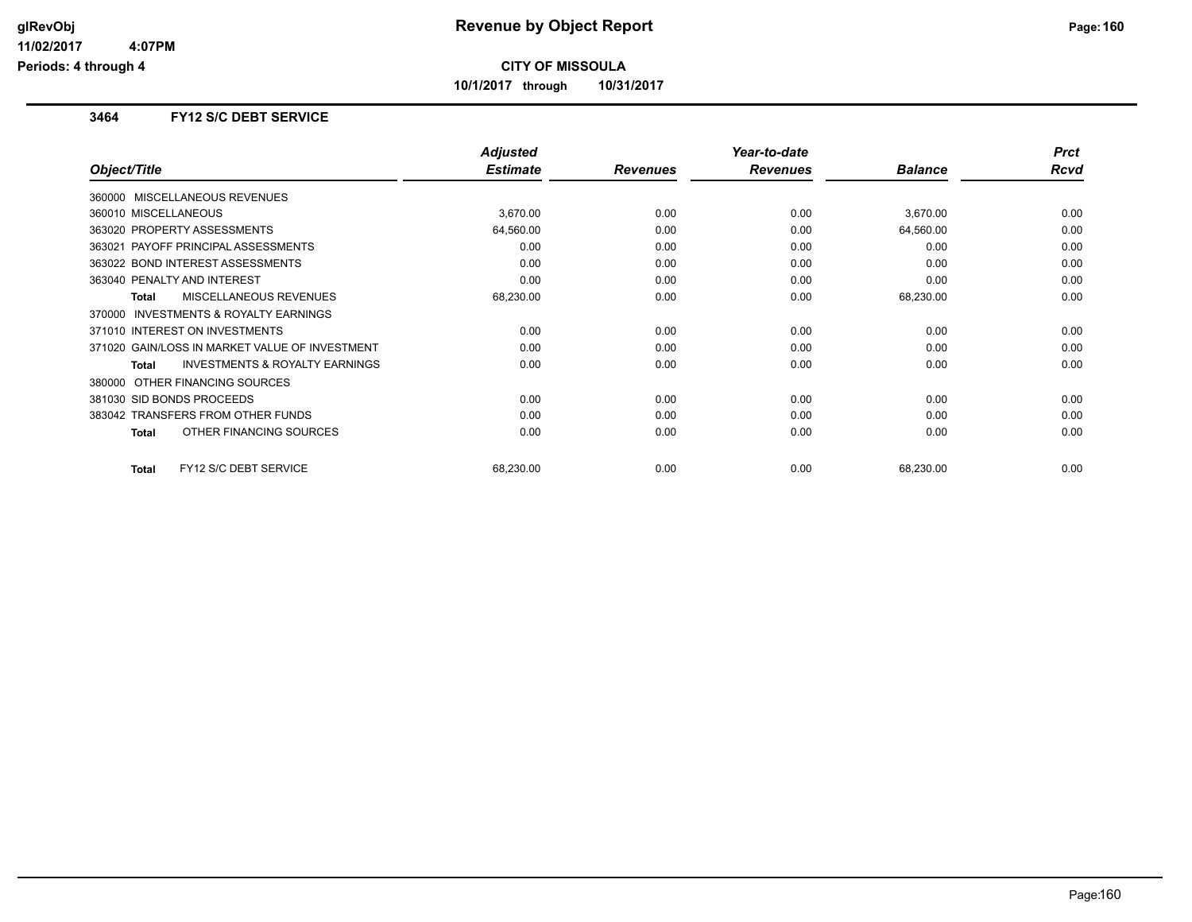**10/1/2017 through 10/31/2017**

## **3464 FY12 S/C DEBT SERVICE**

|                                                           | <b>Adjusted</b> |                 | Year-to-date    |                | <b>Prct</b> |
|-----------------------------------------------------------|-----------------|-----------------|-----------------|----------------|-------------|
| Object/Title                                              | <b>Estimate</b> | <b>Revenues</b> | <b>Revenues</b> | <b>Balance</b> | <b>Rcvd</b> |
| 360000 MISCELLANEOUS REVENUES                             |                 |                 |                 |                |             |
| 360010 MISCELLANEOUS                                      | 3,670.00        | 0.00            | 0.00            | 3,670.00       | 0.00        |
| 363020 PROPERTY ASSESSMENTS                               | 64,560.00       | 0.00            | 0.00            | 64,560.00      | 0.00        |
| 363021 PAYOFF PRINCIPAL ASSESSMENTS                       | 0.00            | 0.00            | 0.00            | 0.00           | 0.00        |
| 363022 BOND INTEREST ASSESSMENTS                          | 0.00            | 0.00            | 0.00            | 0.00           | 0.00        |
| 363040 PENALTY AND INTEREST                               | 0.00            | 0.00            | 0.00            | 0.00           | 0.00        |
| MISCELLANEOUS REVENUES<br><b>Total</b>                    | 68,230.00       | 0.00            | 0.00            | 68,230.00      | 0.00        |
| INVESTMENTS & ROYALTY EARNINGS<br>370000                  |                 |                 |                 |                |             |
| 371010 INTEREST ON INVESTMENTS                            | 0.00            | 0.00            | 0.00            | 0.00           | 0.00        |
| 371020 GAIN/LOSS IN MARKET VALUE OF INVESTMENT            | 0.00            | 0.00            | 0.00            | 0.00           | 0.00        |
| <b>INVESTMENTS &amp; ROYALTY EARNINGS</b><br><b>Total</b> | 0.00            | 0.00            | 0.00            | 0.00           | 0.00        |
| 380000 OTHER FINANCING SOURCES                            |                 |                 |                 |                |             |
| 381030 SID BONDS PROCEEDS                                 | 0.00            | 0.00            | 0.00            | 0.00           | 0.00        |
| 383042 TRANSFERS FROM OTHER FUNDS                         | 0.00            | 0.00            | 0.00            | 0.00           | 0.00        |
| OTHER FINANCING SOURCES<br><b>Total</b>                   | 0.00            | 0.00            | 0.00            | 0.00           | 0.00        |
| FY12 S/C DEBT SERVICE<br>Total                            | 68,230.00       | 0.00            | 0.00            | 68,230.00      | 0.00        |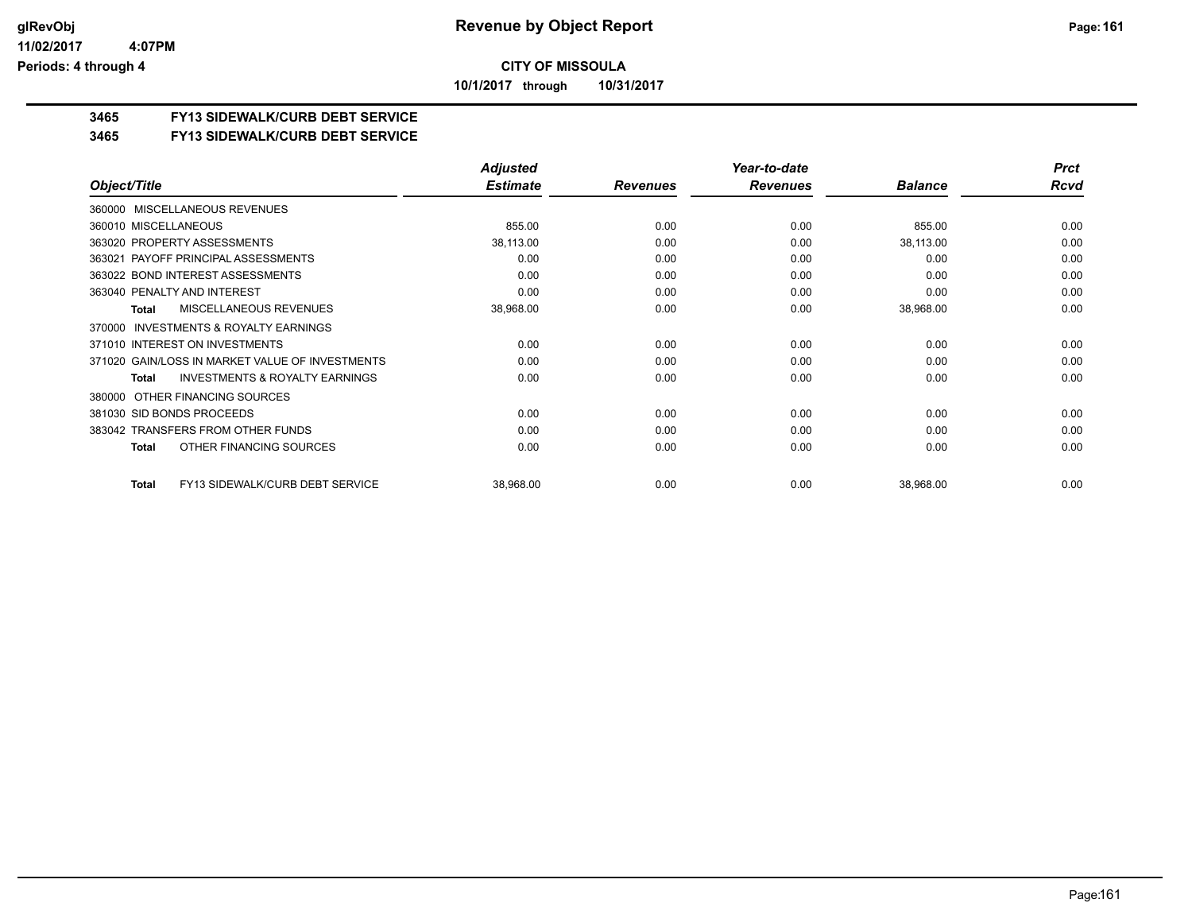**10/1/2017 through 10/31/2017**

# **3465 FY13 SIDEWALK/CURB DEBT SERVICE**

## **3465 FY13 SIDEWALK/CURB DEBT SERVICE**

|                                                     | <b>Adjusted</b> |                 | Year-to-date    |                | <b>Prct</b> |
|-----------------------------------------------------|-----------------|-----------------|-----------------|----------------|-------------|
| Object/Title                                        | <b>Estimate</b> | <b>Revenues</b> | <b>Revenues</b> | <b>Balance</b> | <b>Rcvd</b> |
| 360000 MISCELLANEOUS REVENUES                       |                 |                 |                 |                |             |
| 360010 MISCELLANEOUS                                | 855.00          | 0.00            | 0.00            | 855.00         | 0.00        |
| 363020 PROPERTY ASSESSMENTS                         | 38,113.00       | 0.00            | 0.00            | 38,113.00      | 0.00        |
| PAYOFF PRINCIPAL ASSESSMENTS<br>363021              | 0.00            | 0.00            | 0.00            | 0.00           | 0.00        |
| 363022 BOND INTEREST ASSESSMENTS                    | 0.00            | 0.00            | 0.00            | 0.00           | 0.00        |
| 363040 PENALTY AND INTEREST                         | 0.00            | 0.00            | 0.00            | 0.00           | 0.00        |
| <b>MISCELLANEOUS REVENUES</b><br>Total              | 38,968.00       | 0.00            | 0.00            | 38,968.00      | 0.00        |
| <b>INVESTMENTS &amp; ROYALTY EARNINGS</b><br>370000 |                 |                 |                 |                |             |
| 371010 INTEREST ON INVESTMENTS                      | 0.00            | 0.00            | 0.00            | 0.00           | 0.00        |
| 371020 GAIN/LOSS IN MARKET VALUE OF INVESTMENTS     | 0.00            | 0.00            | 0.00            | 0.00           | 0.00        |
| <b>INVESTMENTS &amp; ROYALTY EARNINGS</b><br>Total  | 0.00            | 0.00            | 0.00            | 0.00           | 0.00        |
| OTHER FINANCING SOURCES<br>380000                   |                 |                 |                 |                |             |
| 381030 SID BONDS PROCEEDS                           | 0.00            | 0.00            | 0.00            | 0.00           | 0.00        |
| 383042 TRANSFERS FROM OTHER FUNDS                   | 0.00            | 0.00            | 0.00            | 0.00           | 0.00        |
| OTHER FINANCING SOURCES<br>Total                    | 0.00            | 0.00            | 0.00            | 0.00           | 0.00        |
| FY13 SIDEWALK/CURB DEBT SERVICE<br>Total            | 38,968.00       | 0.00            | 0.00            | 38,968.00      | 0.00        |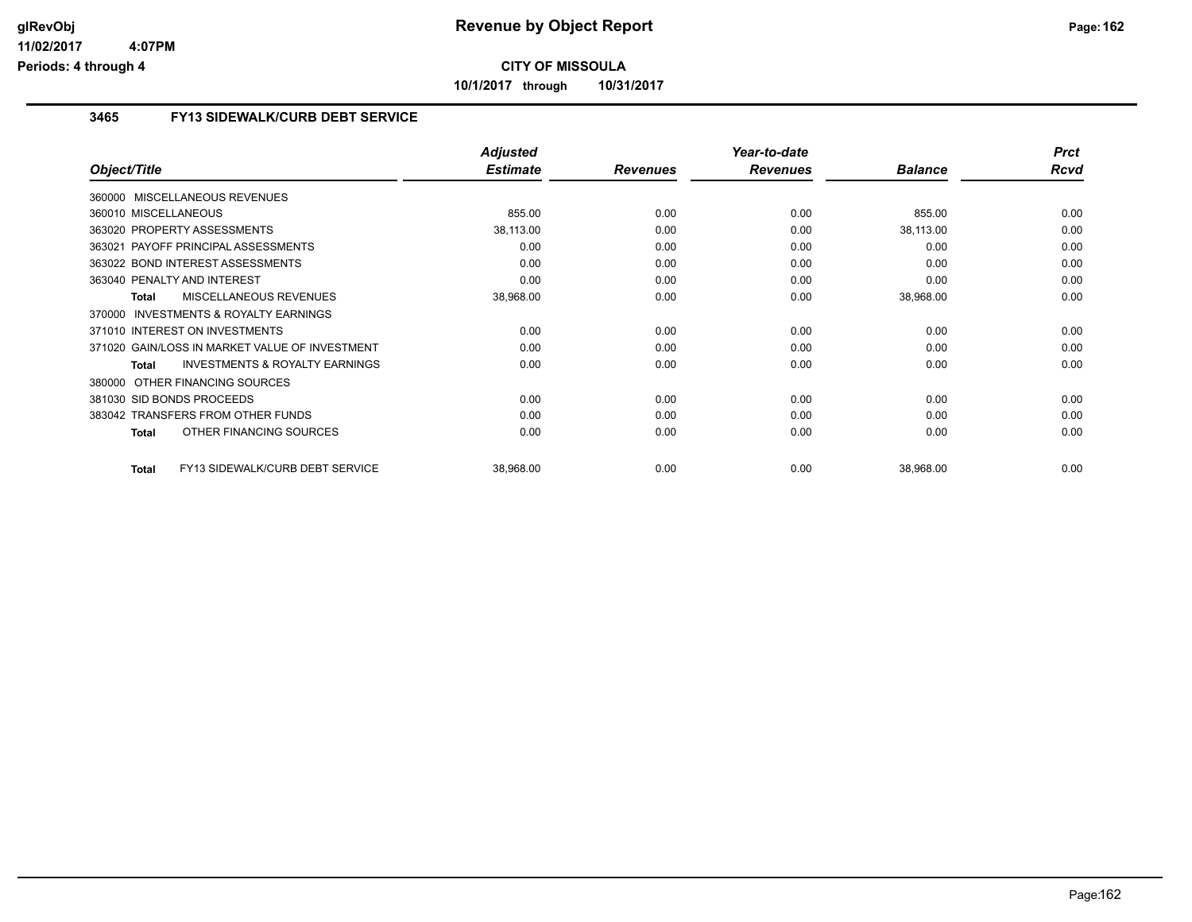**10/1/2017 through 10/31/2017**

# **3465 FY13 SIDEWALK/CURB DEBT SERVICE**

|                                                           | <b>Adjusted</b> |                 | Year-to-date    |                | <b>Prct</b> |
|-----------------------------------------------------------|-----------------|-----------------|-----------------|----------------|-------------|
| Object/Title                                              | <b>Estimate</b> | <b>Revenues</b> | <b>Revenues</b> | <b>Balance</b> | Rcvd        |
| 360000 MISCELLANEOUS REVENUES                             |                 |                 |                 |                |             |
| 360010 MISCELLANEOUS                                      | 855.00          | 0.00            | 0.00            | 855.00         | 0.00        |
| 363020 PROPERTY ASSESSMENTS                               | 38,113.00       | 0.00            | 0.00            | 38,113.00      | 0.00        |
| 363021 PAYOFF PRINCIPAL ASSESSMENTS                       | 0.00            | 0.00            | 0.00            | 0.00           | 0.00        |
| 363022 BOND INTEREST ASSESSMENTS                          | 0.00            | 0.00            | 0.00            | 0.00           | 0.00        |
| 363040 PENALTY AND INTEREST                               | 0.00            | 0.00            | 0.00            | 0.00           | 0.00        |
| MISCELLANEOUS REVENUES<br><b>Total</b>                    | 38,968.00       | 0.00            | 0.00            | 38,968.00      | 0.00        |
| INVESTMENTS & ROYALTY EARNINGS<br>370000                  |                 |                 |                 |                |             |
| 371010 INTEREST ON INVESTMENTS                            | 0.00            | 0.00            | 0.00            | 0.00           | 0.00        |
| 371020 GAIN/LOSS IN MARKET VALUE OF INVESTMENT            | 0.00            | 0.00            | 0.00            | 0.00           | 0.00        |
| <b>INVESTMENTS &amp; ROYALTY EARNINGS</b><br><b>Total</b> | 0.00            | 0.00            | 0.00            | 0.00           | 0.00        |
| 380000 OTHER FINANCING SOURCES                            |                 |                 |                 |                |             |
| 381030 SID BONDS PROCEEDS                                 | 0.00            | 0.00            | 0.00            | 0.00           | 0.00        |
| 383042 TRANSFERS FROM OTHER FUNDS                         | 0.00            | 0.00            | 0.00            | 0.00           | 0.00        |
| OTHER FINANCING SOURCES<br><b>Total</b>                   | 0.00            | 0.00            | 0.00            | 0.00           | 0.00        |
|                                                           |                 |                 |                 |                |             |
| FY13 SIDEWALK/CURB DEBT SERVICE<br>Total                  | 38,968.00       | 0.00            | 0.00            | 38,968.00      | 0.00        |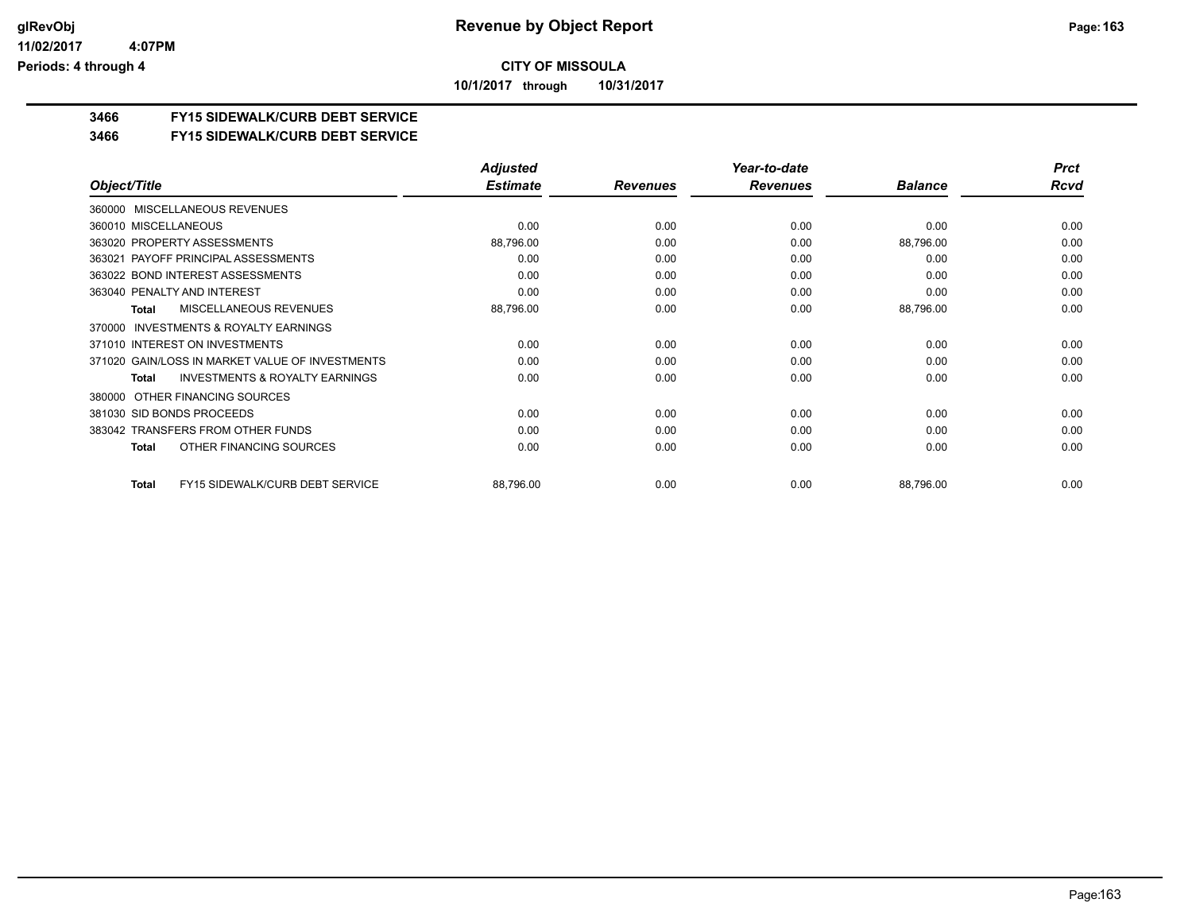**10/1/2017 through 10/31/2017**

# **3466 FY15 SIDEWALK/CURB DEBT SERVICE**

## **3466 FY15 SIDEWALK/CURB DEBT SERVICE**

|                                                     | <b>Adjusted</b> |                 | Year-to-date    |                | <b>Prct</b> |
|-----------------------------------------------------|-----------------|-----------------|-----------------|----------------|-------------|
| Object/Title                                        | <b>Estimate</b> | <b>Revenues</b> | <b>Revenues</b> | <b>Balance</b> | <b>Rcvd</b> |
| MISCELLANEOUS REVENUES<br>360000                    |                 |                 |                 |                |             |
| 360010 MISCELLANEOUS                                | 0.00            | 0.00            | 0.00            | 0.00           | 0.00        |
| 363020 PROPERTY ASSESSMENTS                         | 88,796.00       | 0.00            | 0.00            | 88,796.00      | 0.00        |
| 363021 PAYOFF PRINCIPAL ASSESSMENTS                 | 0.00            | 0.00            | 0.00            | 0.00           | 0.00        |
| 363022 BOND INTEREST ASSESSMENTS                    | 0.00            | 0.00            | 0.00            | 0.00           | 0.00        |
| 363040 PENALTY AND INTEREST                         | 0.00            | 0.00            | 0.00            | 0.00           | 0.00        |
| MISCELLANEOUS REVENUES<br>Total                     | 88,796.00       | 0.00            | 0.00            | 88,796.00      | 0.00        |
| <b>INVESTMENTS &amp; ROYALTY EARNINGS</b><br>370000 |                 |                 |                 |                |             |
| 371010 INTEREST ON INVESTMENTS                      | 0.00            | 0.00            | 0.00            | 0.00           | 0.00        |
| 371020 GAIN/LOSS IN MARKET VALUE OF INVESTMENTS     | 0.00            | 0.00            | 0.00            | 0.00           | 0.00        |
| <b>INVESTMENTS &amp; ROYALTY EARNINGS</b><br>Total  | 0.00            | 0.00            | 0.00            | 0.00           | 0.00        |
| OTHER FINANCING SOURCES<br>380000                   |                 |                 |                 |                |             |
| 381030 SID BONDS PROCEEDS                           | 0.00            | 0.00            | 0.00            | 0.00           | 0.00        |
| 383042 TRANSFERS FROM OTHER FUNDS                   | 0.00            | 0.00            | 0.00            | 0.00           | 0.00        |
| OTHER FINANCING SOURCES<br>Total                    | 0.00            | 0.00            | 0.00            | 0.00           | 0.00        |
| <b>FY15 SIDEWALK/CURB DEBT SERVICE</b><br>Total     | 88,796.00       | 0.00            | 0.00            | 88,796.00      | 0.00        |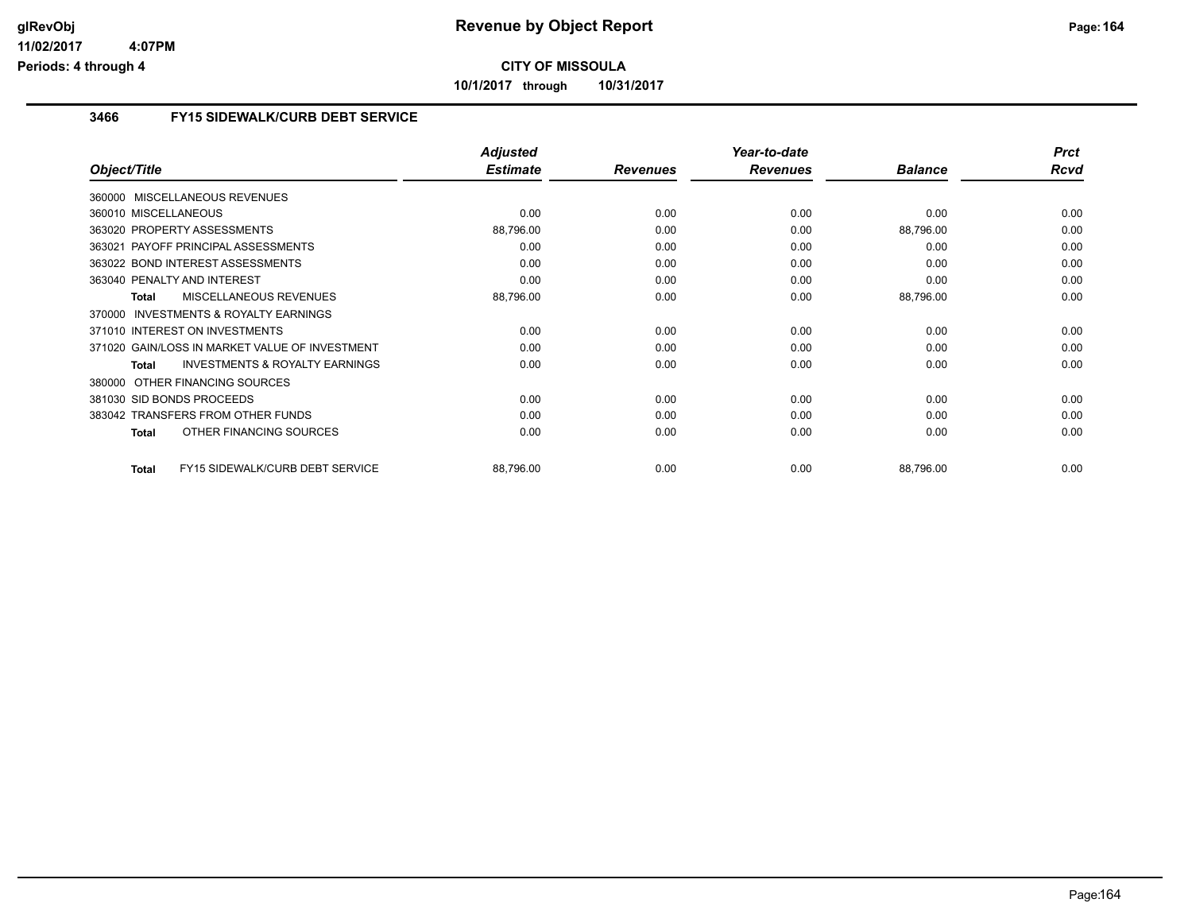**10/1/2017 through 10/31/2017**

# **3466 FY15 SIDEWALK/CURB DEBT SERVICE**

|                                                           | <b>Adjusted</b> |                 | Year-to-date    |                | <b>Prct</b> |
|-----------------------------------------------------------|-----------------|-----------------|-----------------|----------------|-------------|
| Object/Title                                              | <b>Estimate</b> | <b>Revenues</b> | <b>Revenues</b> | <b>Balance</b> | Rcvd        |
| 360000 MISCELLANEOUS REVENUES                             |                 |                 |                 |                |             |
| 360010 MISCELLANEOUS                                      | 0.00            | 0.00            | 0.00            | 0.00           | 0.00        |
| 363020 PROPERTY ASSESSMENTS                               | 88,796.00       | 0.00            | 0.00            | 88,796.00      | 0.00        |
| PAYOFF PRINCIPAL ASSESSMENTS<br>363021                    | 0.00            | 0.00            | 0.00            | 0.00           | 0.00        |
| 363022 BOND INTEREST ASSESSMENTS                          | 0.00            | 0.00            | 0.00            | 0.00           | 0.00        |
| 363040 PENALTY AND INTEREST                               | 0.00            | 0.00            | 0.00            | 0.00           | 0.00        |
| MISCELLANEOUS REVENUES<br><b>Total</b>                    | 88,796.00       | 0.00            | 0.00            | 88,796.00      | 0.00        |
| INVESTMENTS & ROYALTY EARNINGS<br>370000                  |                 |                 |                 |                |             |
| 371010 INTEREST ON INVESTMENTS                            | 0.00            | 0.00            | 0.00            | 0.00           | 0.00        |
| 371020 GAIN/LOSS IN MARKET VALUE OF INVESTMENT            | 0.00            | 0.00            | 0.00            | 0.00           | 0.00        |
| <b>INVESTMENTS &amp; ROYALTY EARNINGS</b><br><b>Total</b> | 0.00            | 0.00            | 0.00            | 0.00           | 0.00        |
| OTHER FINANCING SOURCES<br>380000                         |                 |                 |                 |                |             |
| 381030 SID BONDS PROCEEDS                                 | 0.00            | 0.00            | 0.00            | 0.00           | 0.00        |
| 383042 TRANSFERS FROM OTHER FUNDS                         | 0.00            | 0.00            | 0.00            | 0.00           | 0.00        |
| OTHER FINANCING SOURCES<br><b>Total</b>                   | 0.00            | 0.00            | 0.00            | 0.00           | 0.00        |
|                                                           |                 |                 |                 |                |             |
| FY15 SIDEWALK/CURB DEBT SERVICE<br><b>Total</b>           | 88,796.00       | 0.00            | 0.00            | 88,796.00      | 0.00        |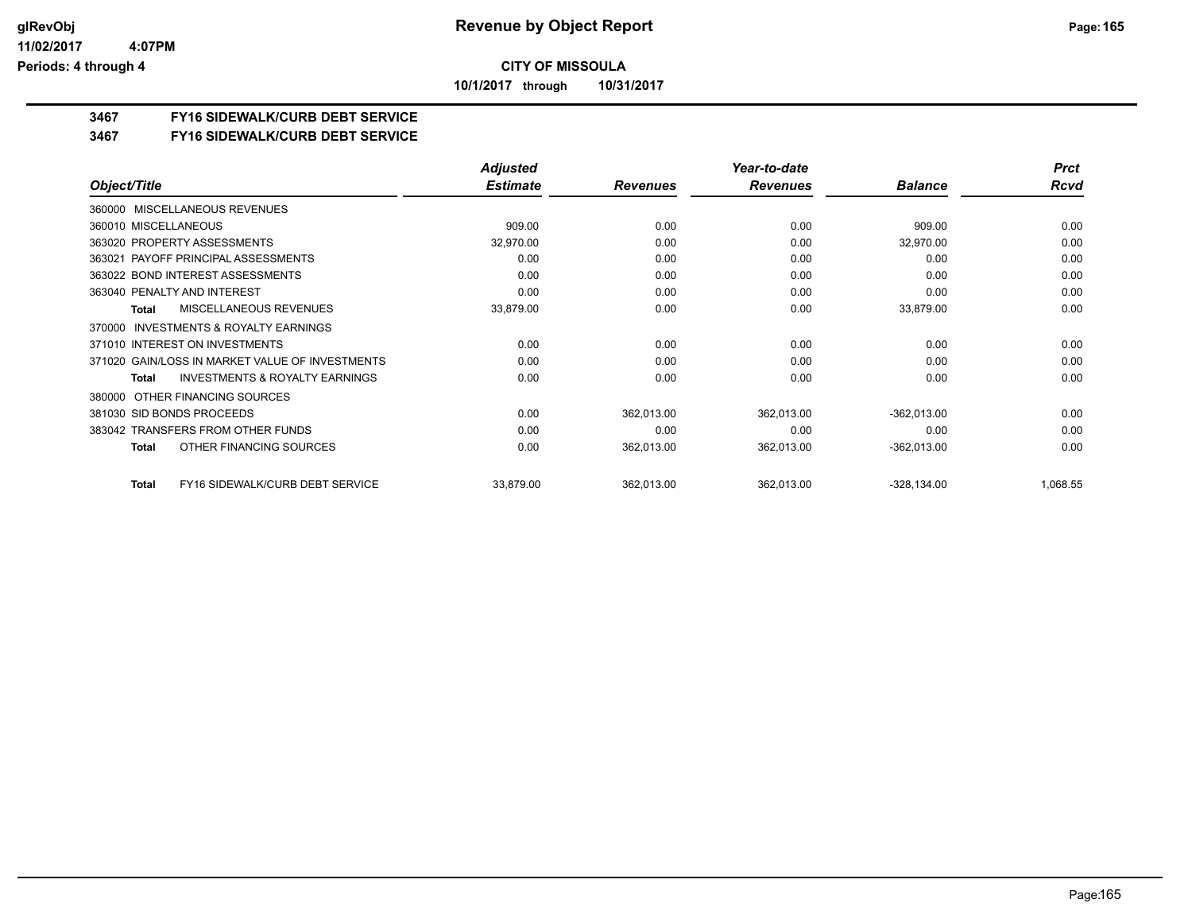**10/1/2017 through 10/31/2017**

# **3467 FY16 SIDEWALK/CURB DEBT SERVICE**

## **3467 FY16 SIDEWALK/CURB DEBT SERVICE**

|                                                    | <b>Adjusted</b> |                 | Year-to-date    |                | <b>Prct</b> |
|----------------------------------------------------|-----------------|-----------------|-----------------|----------------|-------------|
| Object/Title                                       | <b>Estimate</b> | <b>Revenues</b> | <b>Revenues</b> | <b>Balance</b> | <b>Rcvd</b> |
| 360000 MISCELLANEOUS REVENUES                      |                 |                 |                 |                |             |
| 360010 MISCELLANEOUS                               | 909.00          | 0.00            | 0.00            | 909.00         | 0.00        |
| 363020 PROPERTY ASSESSMENTS                        | 32,970.00       | 0.00            | 0.00            | 32,970.00      | 0.00        |
| 363021 PAYOFF PRINCIPAL ASSESSMENTS                | 0.00            | 0.00            | 0.00            | 0.00           | 0.00        |
| 363022 BOND INTEREST ASSESSMENTS                   | 0.00            | 0.00            | 0.00            | 0.00           | 0.00        |
| 363040 PENALTY AND INTEREST                        | 0.00            | 0.00            | 0.00            | 0.00           | 0.00        |
| MISCELLANEOUS REVENUES<br>Total                    | 33,879.00       | 0.00            | 0.00            | 33,879.00      | 0.00        |
| INVESTMENTS & ROYALTY EARNINGS<br>370000           |                 |                 |                 |                |             |
| 371010 INTEREST ON INVESTMENTS                     | 0.00            | 0.00            | 0.00            | 0.00           | 0.00        |
| 371020 GAIN/LOSS IN MARKET VALUE OF INVESTMENTS    | 0.00            | 0.00            | 0.00            | 0.00           | 0.00        |
| <b>INVESTMENTS &amp; ROYALTY EARNINGS</b><br>Total | 0.00            | 0.00            | 0.00            | 0.00           | 0.00        |
| OTHER FINANCING SOURCES<br>380000                  |                 |                 |                 |                |             |
| 381030 SID BONDS PROCEEDS                          | 0.00            | 362,013.00      | 362,013.00      | $-362,013.00$  | 0.00        |
| 383042 TRANSFERS FROM OTHER FUNDS                  | 0.00            | 0.00            | 0.00            | 0.00           | 0.00        |
| OTHER FINANCING SOURCES<br><b>Total</b>            | 0.00            | 362,013.00      | 362,013.00      | $-362,013.00$  | 0.00        |
| FY16 SIDEWALK/CURB DEBT SERVICE<br><b>Total</b>    | 33,879.00       | 362,013.00      | 362,013.00      | $-328,134.00$  | 1,068.55    |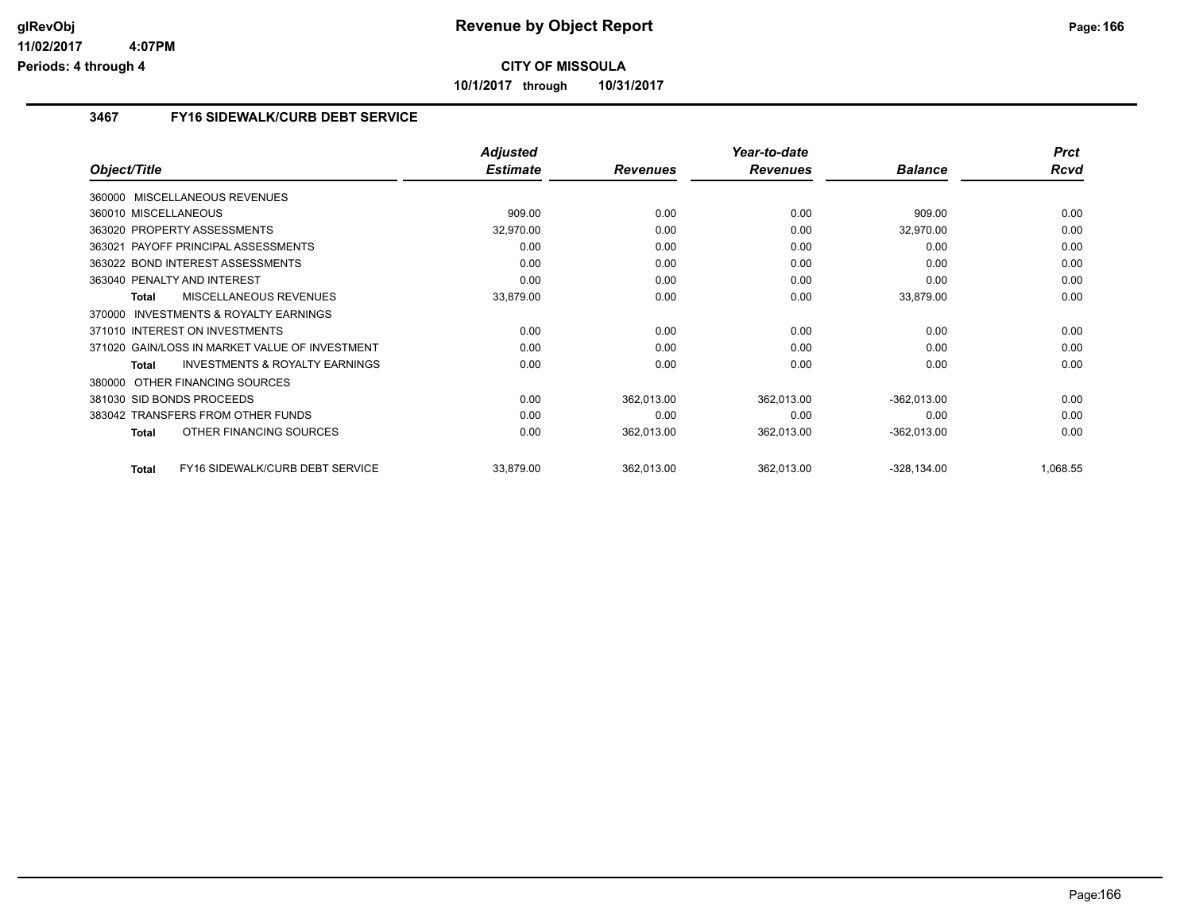**10/1/2017 through 10/31/2017**

# **3467 FY16 SIDEWALK/CURB DEBT SERVICE**

|                                                     | <b>Adjusted</b> |                 | Year-to-date    |                | <b>Prct</b> |
|-----------------------------------------------------|-----------------|-----------------|-----------------|----------------|-------------|
| Object/Title                                        | <b>Estimate</b> | <b>Revenues</b> | <b>Revenues</b> | <b>Balance</b> | Rcvd        |
| MISCELLANEOUS REVENUES<br>360000                    |                 |                 |                 |                |             |
| 360010 MISCELLANEOUS                                | 909.00          | 0.00            | 0.00            | 909.00         | 0.00        |
| 363020 PROPERTY ASSESSMENTS                         | 32,970.00       | 0.00            | 0.00            | 32,970.00      | 0.00        |
| 363021 PAYOFF PRINCIPAL ASSESSMENTS                 | 0.00            | 0.00            | 0.00            | 0.00           | 0.00        |
| 363022 BOND INTEREST ASSESSMENTS                    | 0.00            | 0.00            | 0.00            | 0.00           | 0.00        |
| 363040 PENALTY AND INTEREST                         | 0.00            | 0.00            | 0.00            | 0.00           | 0.00        |
| <b>MISCELLANEOUS REVENUES</b><br><b>Total</b>       | 33,879.00       | 0.00            | 0.00            | 33,879.00      | 0.00        |
| <b>INVESTMENTS &amp; ROYALTY EARNINGS</b><br>370000 |                 |                 |                 |                |             |
| 371010 INTEREST ON INVESTMENTS                      | 0.00            | 0.00            | 0.00            | 0.00           | 0.00        |
| 371020 GAIN/LOSS IN MARKET VALUE OF INVESTMENT      | 0.00            | 0.00            | 0.00            | 0.00           | 0.00        |
| <b>INVESTMENTS &amp; ROYALTY EARNINGS</b><br>Total  | 0.00            | 0.00            | 0.00            | 0.00           | 0.00        |
| OTHER FINANCING SOURCES<br>380000                   |                 |                 |                 |                |             |
| 381030 SID BONDS PROCEEDS                           | 0.00            | 362,013.00      | 362,013.00      | $-362,013.00$  | 0.00        |
| 383042 TRANSFERS FROM OTHER FUNDS                   | 0.00            | 0.00            | 0.00            | 0.00           | 0.00        |
| OTHER FINANCING SOURCES<br><b>Total</b>             | 0.00            | 362,013.00      | 362,013.00      | $-362,013.00$  | 0.00        |
| FY16 SIDEWALK/CURB DEBT SERVICE<br>Total            | 33,879.00       | 362,013.00      | 362,013.00      | $-328, 134.00$ | 1,068.55    |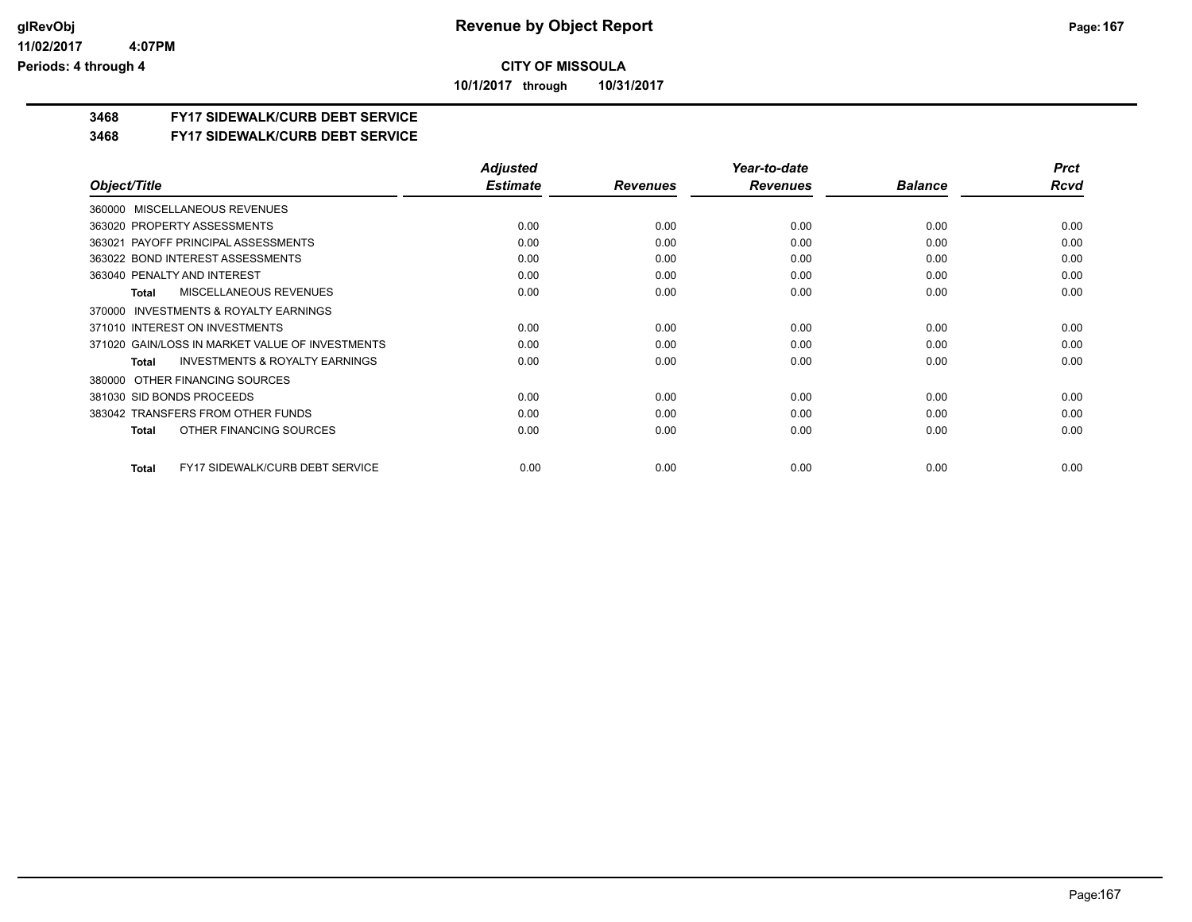**10/1/2017 through 10/31/2017**

# **3468 FY17 SIDEWALK/CURB DEBT SERVICE**

# **3468 FY17 SIDEWALK/CURB DEBT SERVICE**

|                                                    | <b>Adjusted</b> |                 | Year-to-date    |                | <b>Prct</b> |
|----------------------------------------------------|-----------------|-----------------|-----------------|----------------|-------------|
| Object/Title                                       | <b>Estimate</b> | <b>Revenues</b> | <b>Revenues</b> | <b>Balance</b> | Rcvd        |
| MISCELLANEOUS REVENUES<br>360000                   |                 |                 |                 |                |             |
| 363020 PROPERTY ASSESSMENTS                        | 0.00            | 0.00            | 0.00            | 0.00           | 0.00        |
| 363021 PAYOFF PRINCIPAL ASSESSMENTS                | 0.00            | 0.00            | 0.00            | 0.00           | 0.00        |
| 363022 BOND INTEREST ASSESSMENTS                   | 0.00            | 0.00            | 0.00            | 0.00           | 0.00        |
| 363040 PENALTY AND INTEREST                        | 0.00            | 0.00            | 0.00            | 0.00           | 0.00        |
| <b>MISCELLANEOUS REVENUES</b><br><b>Total</b>      | 0.00            | 0.00            | 0.00            | 0.00           | 0.00        |
| INVESTMENTS & ROYALTY EARNINGS<br>370000           |                 |                 |                 |                |             |
| 371010 INTEREST ON INVESTMENTS                     | 0.00            | 0.00            | 0.00            | 0.00           | 0.00        |
| 371020 GAIN/LOSS IN MARKET VALUE OF INVESTMENTS    | 0.00            | 0.00            | 0.00            | 0.00           | 0.00        |
| <b>INVESTMENTS &amp; ROYALTY EARNINGS</b><br>Total | 0.00            | 0.00            | 0.00            | 0.00           | 0.00        |
| 380000 OTHER FINANCING SOURCES                     |                 |                 |                 |                |             |
| 381030 SID BONDS PROCEEDS                          | 0.00            | 0.00            | 0.00            | 0.00           | 0.00        |
| 383042 TRANSFERS FROM OTHER FUNDS                  | 0.00            | 0.00            | 0.00            | 0.00           | 0.00        |
| OTHER FINANCING SOURCES<br><b>Total</b>            | 0.00            | 0.00            | 0.00            | 0.00           | 0.00        |
| <b>FY17 SIDEWALK/CURB DEBT SERVICE</b><br>Total    | 0.00            | 0.00            | 0.00            | 0.00           | 0.00        |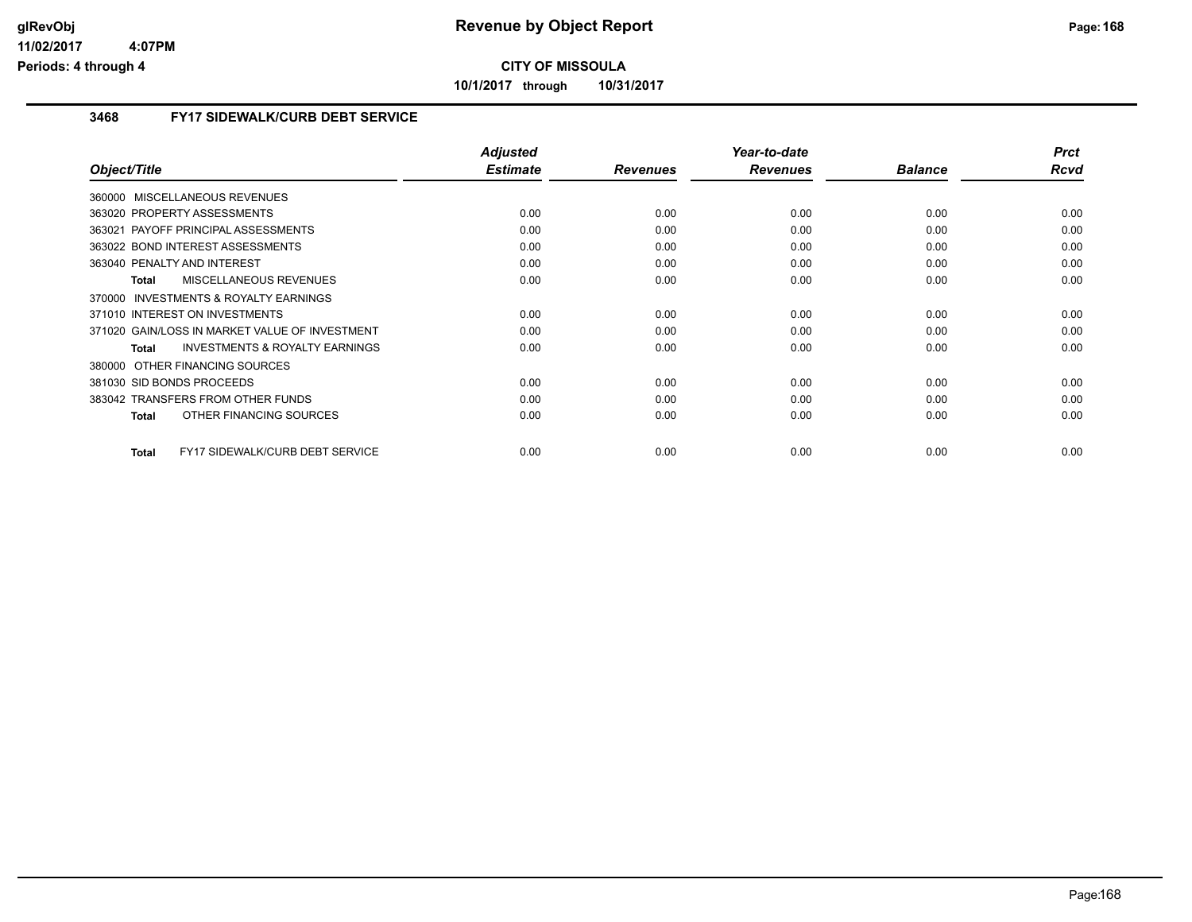**10/1/2017 through 10/31/2017**

# **3468 FY17 SIDEWALK/CURB DEBT SERVICE**

|                                                    | <b>Adjusted</b> |                 | Year-to-date    |                | <b>Prct</b> |
|----------------------------------------------------|-----------------|-----------------|-----------------|----------------|-------------|
| Object/Title                                       | <b>Estimate</b> | <b>Revenues</b> | <b>Revenues</b> | <b>Balance</b> | Rcvd        |
| 360000 MISCELLANEOUS REVENUES                      |                 |                 |                 |                |             |
| 363020 PROPERTY ASSESSMENTS                        | 0.00            | 0.00            | 0.00            | 0.00           | 0.00        |
| 363021 PAYOFF PRINCIPAL ASSESSMENTS                | 0.00            | 0.00            | 0.00            | 0.00           | 0.00        |
| 363022 BOND INTEREST ASSESSMENTS                   | 0.00            | 0.00            | 0.00            | 0.00           | 0.00        |
| 363040 PENALTY AND INTEREST                        | 0.00            | 0.00            | 0.00            | 0.00           | 0.00        |
| <b>MISCELLANEOUS REVENUES</b><br><b>Total</b>      | 0.00            | 0.00            | 0.00            | 0.00           | 0.00        |
| INVESTMENTS & ROYALTY EARNINGS<br>370000           |                 |                 |                 |                |             |
| 371010 INTEREST ON INVESTMENTS                     | 0.00            | 0.00            | 0.00            | 0.00           | 0.00        |
| 371020 GAIN/LOSS IN MARKET VALUE OF INVESTMENT     | 0.00            | 0.00            | 0.00            | 0.00           | 0.00        |
| <b>INVESTMENTS &amp; ROYALTY EARNINGS</b><br>Total | 0.00            | 0.00            | 0.00            | 0.00           | 0.00        |
| 380000 OTHER FINANCING SOURCES                     |                 |                 |                 |                |             |
| 381030 SID BONDS PROCEEDS                          | 0.00            | 0.00            | 0.00            | 0.00           | 0.00        |
| 383042 TRANSFERS FROM OTHER FUNDS                  | 0.00            | 0.00            | 0.00            | 0.00           | 0.00        |
| OTHER FINANCING SOURCES<br><b>Total</b>            | 0.00            | 0.00            | 0.00            | 0.00           | 0.00        |
| <b>FY17 SIDEWALK/CURB DEBT SERVICE</b><br>Total    | 0.00            | 0.00            | 0.00            | 0.00           | 0.00        |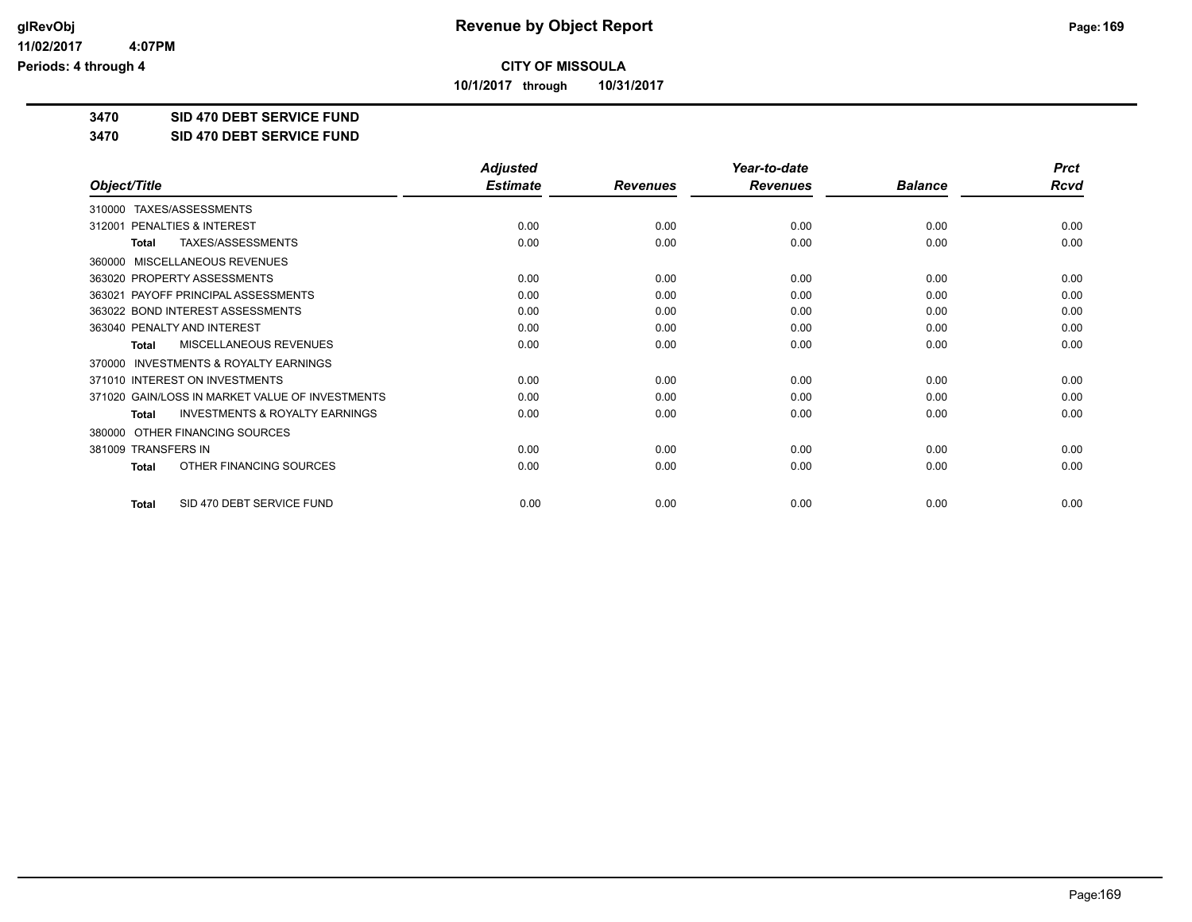**10/1/2017 through 10/31/2017**

**3470 SID 470 DEBT SERVICE FUND**

**3470 SID 470 DEBT SERVICE FUND**

|                                                           | <b>Adjusted</b> |                 | Year-to-date    |                | <b>Prct</b> |
|-----------------------------------------------------------|-----------------|-----------------|-----------------|----------------|-------------|
| Object/Title                                              | <b>Estimate</b> | <b>Revenues</b> | <b>Revenues</b> | <b>Balance</b> | <b>Rcvd</b> |
| TAXES/ASSESSMENTS<br>310000                               |                 |                 |                 |                |             |
| PENALTIES & INTEREST<br>312001                            | 0.00            | 0.00            | 0.00            | 0.00           | 0.00        |
| TAXES/ASSESSMENTS<br><b>Total</b>                         | 0.00            | 0.00            | 0.00            | 0.00           | 0.00        |
| MISCELLANEOUS REVENUES<br>360000                          |                 |                 |                 |                |             |
| 363020 PROPERTY ASSESSMENTS                               | 0.00            | 0.00            | 0.00            | 0.00           | 0.00        |
| 363021 PAYOFF PRINCIPAL ASSESSMENTS                       | 0.00            | 0.00            | 0.00            | 0.00           | 0.00        |
| 363022 BOND INTEREST ASSESSMENTS                          | 0.00            | 0.00            | 0.00            | 0.00           | 0.00        |
| 363040 PENALTY AND INTEREST                               | 0.00            | 0.00            | 0.00            | 0.00           | 0.00        |
| MISCELLANEOUS REVENUES<br><b>Total</b>                    | 0.00            | 0.00            | 0.00            | 0.00           | 0.00        |
| <b>INVESTMENTS &amp; ROYALTY EARNINGS</b><br>370000       |                 |                 |                 |                |             |
| 371010 INTEREST ON INVESTMENTS                            | 0.00            | 0.00            | 0.00            | 0.00           | 0.00        |
| 371020 GAIN/LOSS IN MARKET VALUE OF INVESTMENTS           | 0.00            | 0.00            | 0.00            | 0.00           | 0.00        |
| <b>INVESTMENTS &amp; ROYALTY EARNINGS</b><br><b>Total</b> | 0.00            | 0.00            | 0.00            | 0.00           | 0.00        |
| OTHER FINANCING SOURCES<br>380000                         |                 |                 |                 |                |             |
| 381009 TRANSFERS IN                                       | 0.00            | 0.00            | 0.00            | 0.00           | 0.00        |
| OTHER FINANCING SOURCES<br><b>Total</b>                   | 0.00            | 0.00            | 0.00            | 0.00           | 0.00        |
| SID 470 DEBT SERVICE FUND<br><b>Total</b>                 | 0.00            | 0.00            | 0.00            | 0.00           | 0.00        |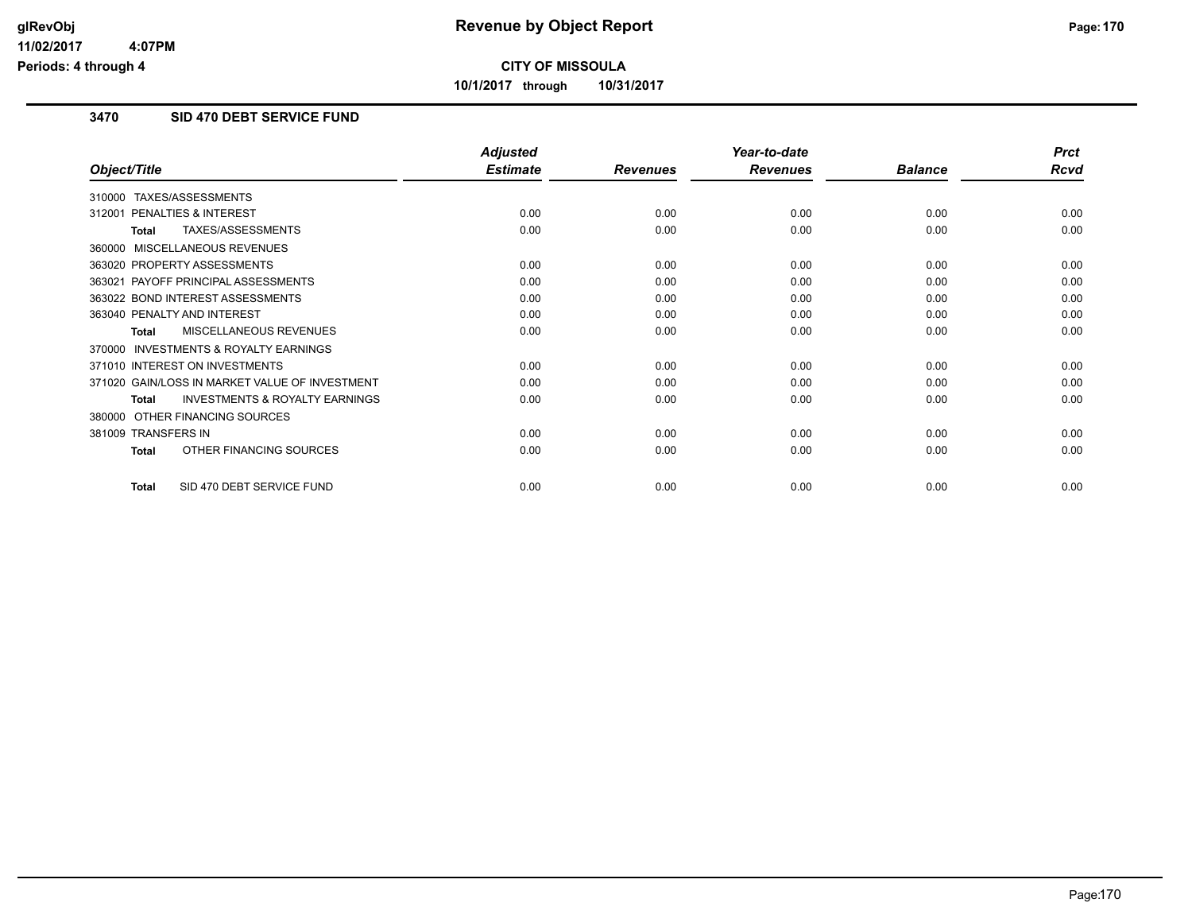**10/1/2017 through 10/31/2017**

# **3470 SID 470 DEBT SERVICE FUND**

|                                                           | <b>Adjusted</b> |                 | Year-to-date    |                | <b>Prct</b> |
|-----------------------------------------------------------|-----------------|-----------------|-----------------|----------------|-------------|
| Object/Title                                              | <b>Estimate</b> | <b>Revenues</b> | <b>Revenues</b> | <b>Balance</b> | <b>Rcvd</b> |
| TAXES/ASSESSMENTS<br>310000                               |                 |                 |                 |                |             |
| 312001 PENALTIES & INTEREST                               | 0.00            | 0.00            | 0.00            | 0.00           | 0.00        |
| TAXES/ASSESSMENTS<br><b>Total</b>                         | 0.00            | 0.00            | 0.00            | 0.00           | 0.00        |
| MISCELLANEOUS REVENUES<br>360000                          |                 |                 |                 |                |             |
| 363020 PROPERTY ASSESSMENTS                               | 0.00            | 0.00            | 0.00            | 0.00           | 0.00        |
| 363021 PAYOFF PRINCIPAL ASSESSMENTS                       | 0.00            | 0.00            | 0.00            | 0.00           | 0.00        |
| 363022 BOND INTEREST ASSESSMENTS                          | 0.00            | 0.00            | 0.00            | 0.00           | 0.00        |
| 363040 PENALTY AND INTEREST                               | 0.00            | 0.00            | 0.00            | 0.00           | 0.00        |
| <b>MISCELLANEOUS REVENUES</b><br><b>Total</b>             | 0.00            | 0.00            | 0.00            | 0.00           | 0.00        |
| <b>INVESTMENTS &amp; ROYALTY EARNINGS</b><br>370000       |                 |                 |                 |                |             |
| 371010 INTEREST ON INVESTMENTS                            | 0.00            | 0.00            | 0.00            | 0.00           | 0.00        |
| 371020 GAIN/LOSS IN MARKET VALUE OF INVESTMENT            | 0.00            | 0.00            | 0.00            | 0.00           | 0.00        |
| <b>INVESTMENTS &amp; ROYALTY EARNINGS</b><br><b>Total</b> | 0.00            | 0.00            | 0.00            | 0.00           | 0.00        |
| OTHER FINANCING SOURCES<br>380000                         |                 |                 |                 |                |             |
| 381009 TRANSFERS IN                                       | 0.00            | 0.00            | 0.00            | 0.00           | 0.00        |
| OTHER FINANCING SOURCES<br><b>Total</b>                   | 0.00            | 0.00            | 0.00            | 0.00           | 0.00        |
| SID 470 DEBT SERVICE FUND<br><b>Total</b>                 | 0.00            | 0.00            | 0.00            | 0.00           | 0.00        |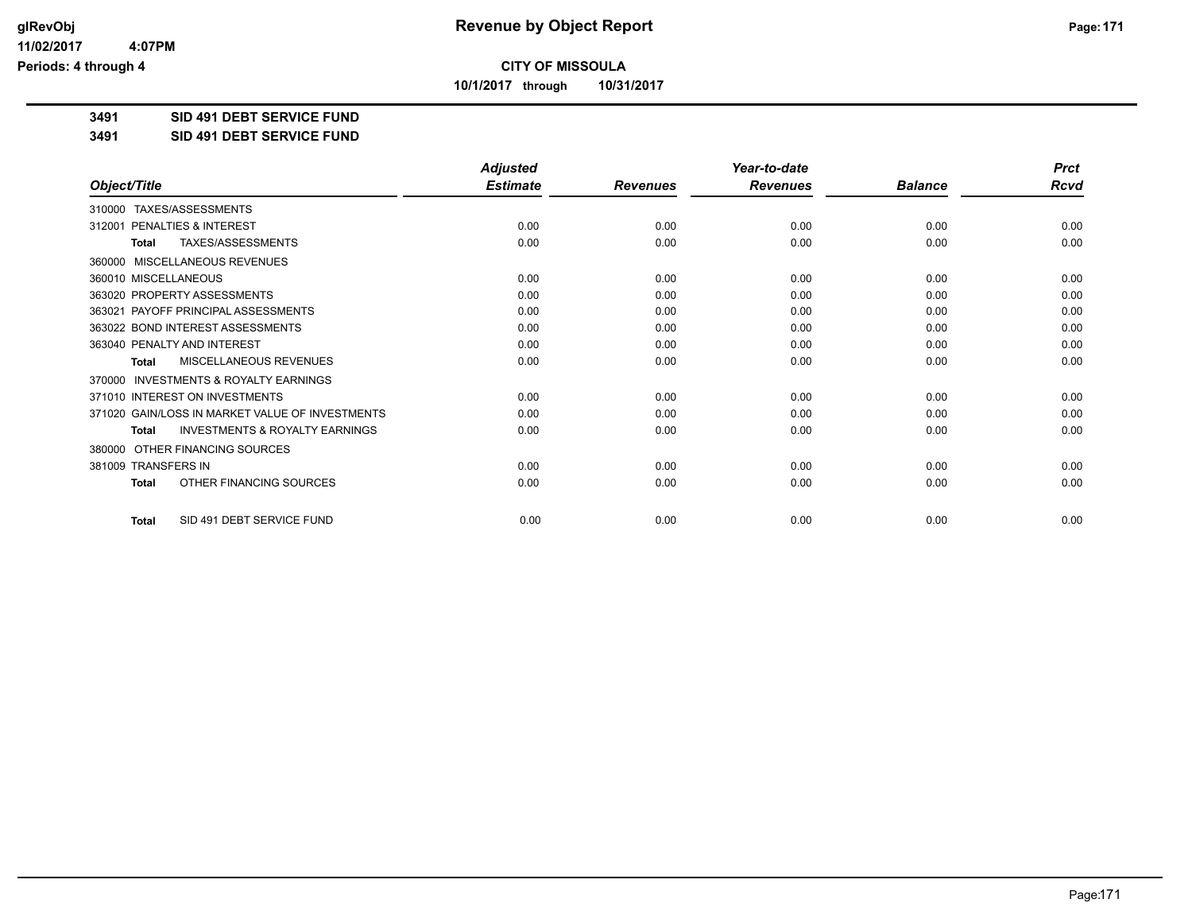**10/1/2017 through 10/31/2017**

**3491 SID 491 DEBT SERVICE FUND**

**3491 SID 491 DEBT SERVICE FUND**

|                                                           | <b>Adjusted</b> |                 | Year-to-date    |                | <b>Prct</b> |
|-----------------------------------------------------------|-----------------|-----------------|-----------------|----------------|-------------|
| Object/Title                                              | <b>Estimate</b> | <b>Revenues</b> | <b>Revenues</b> | <b>Balance</b> | <b>Rcvd</b> |
| 310000 TAXES/ASSESSMENTS                                  |                 |                 |                 |                |             |
| PENALTIES & INTEREST<br>312001                            | 0.00            | 0.00            | 0.00            | 0.00           | 0.00        |
| <b>TAXES/ASSESSMENTS</b><br>Total                         | 0.00            | 0.00            | 0.00            | 0.00           | 0.00        |
| MISCELLANEOUS REVENUES<br>360000                          |                 |                 |                 |                |             |
| 360010 MISCELLANEOUS                                      | 0.00            | 0.00            | 0.00            | 0.00           | 0.00        |
| 363020 PROPERTY ASSESSMENTS                               | 0.00            | 0.00            | 0.00            | 0.00           | 0.00        |
| 363021 PAYOFF PRINCIPAL ASSESSMENTS                       | 0.00            | 0.00            | 0.00            | 0.00           | 0.00        |
| 363022 BOND INTEREST ASSESSMENTS                          | 0.00            | 0.00            | 0.00            | 0.00           | 0.00        |
| 363040 PENALTY AND INTEREST                               | 0.00            | 0.00            | 0.00            | 0.00           | 0.00        |
| MISCELLANEOUS REVENUES<br>Total                           | 0.00            | 0.00            | 0.00            | 0.00           | 0.00        |
| INVESTMENTS & ROYALTY EARNINGS<br>370000                  |                 |                 |                 |                |             |
| 371010 INTEREST ON INVESTMENTS                            | 0.00            | 0.00            | 0.00            | 0.00           | 0.00        |
| 371020 GAIN/LOSS IN MARKET VALUE OF INVESTMENTS           | 0.00            | 0.00            | 0.00            | 0.00           | 0.00        |
| <b>INVESTMENTS &amp; ROYALTY EARNINGS</b><br><b>Total</b> | 0.00            | 0.00            | 0.00            | 0.00           | 0.00        |
| OTHER FINANCING SOURCES<br>380000                         |                 |                 |                 |                |             |
| 381009 TRANSFERS IN                                       | 0.00            | 0.00            | 0.00            | 0.00           | 0.00        |
| OTHER FINANCING SOURCES<br>Total                          | 0.00            | 0.00            | 0.00            | 0.00           | 0.00        |
| SID 491 DEBT SERVICE FUND<br><b>Total</b>                 | 0.00            | 0.00            | 0.00            | 0.00           | 0.00        |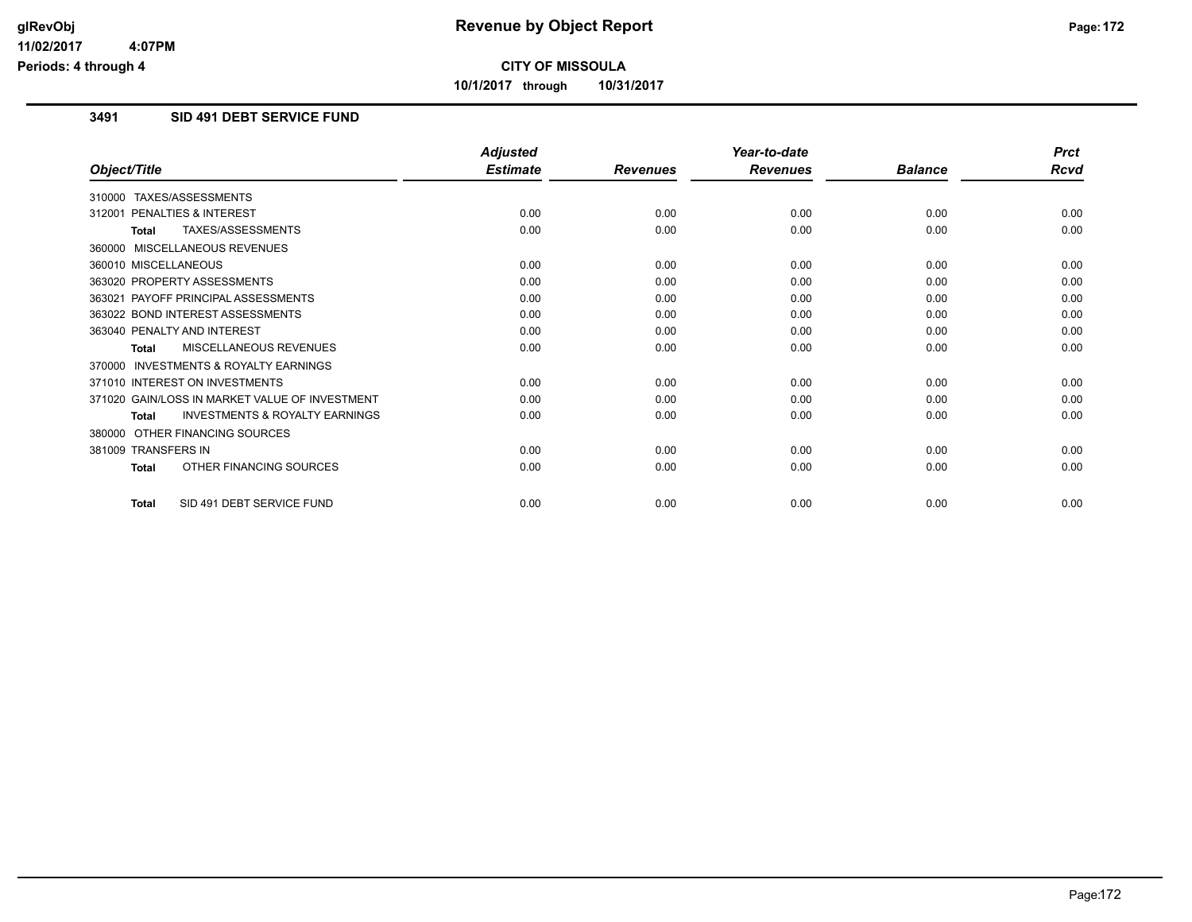**10/1/2017 through 10/31/2017**

# **3491 SID 491 DEBT SERVICE FUND**

|                                                           | <b>Adjusted</b> |                 | Year-to-date    |                | <b>Prct</b> |
|-----------------------------------------------------------|-----------------|-----------------|-----------------|----------------|-------------|
| Object/Title                                              | <b>Estimate</b> | <b>Revenues</b> | <b>Revenues</b> | <b>Balance</b> | <b>Rcvd</b> |
| 310000 TAXES/ASSESSMENTS                                  |                 |                 |                 |                |             |
| 312001 PENALTIES & INTEREST                               | 0.00            | 0.00            | 0.00            | 0.00           | 0.00        |
| TAXES/ASSESSMENTS<br><b>Total</b>                         | 0.00            | 0.00            | 0.00            | 0.00           | 0.00        |
| 360000 MISCELLANEOUS REVENUES                             |                 |                 |                 |                |             |
| 360010 MISCELLANEOUS                                      | 0.00            | 0.00            | 0.00            | 0.00           | 0.00        |
| 363020 PROPERTY ASSESSMENTS                               | 0.00            | 0.00            | 0.00            | 0.00           | 0.00        |
| 363021 PAYOFF PRINCIPAL ASSESSMENTS                       | 0.00            | 0.00            | 0.00            | 0.00           | 0.00        |
| 363022 BOND INTEREST ASSESSMENTS                          | 0.00            | 0.00            | 0.00            | 0.00           | 0.00        |
| 363040 PENALTY AND INTEREST                               | 0.00            | 0.00            | 0.00            | 0.00           | 0.00        |
| MISCELLANEOUS REVENUES<br><b>Total</b>                    | 0.00            | 0.00            | 0.00            | 0.00           | 0.00        |
| <b>INVESTMENTS &amp; ROYALTY EARNINGS</b><br>370000       |                 |                 |                 |                |             |
| 371010 INTEREST ON INVESTMENTS                            | 0.00            | 0.00            | 0.00            | 0.00           | 0.00        |
| 371020 GAIN/LOSS IN MARKET VALUE OF INVESTMENT            | 0.00            | 0.00            | 0.00            | 0.00           | 0.00        |
| <b>INVESTMENTS &amp; ROYALTY EARNINGS</b><br><b>Total</b> | 0.00            | 0.00            | 0.00            | 0.00           | 0.00        |
| 380000 OTHER FINANCING SOURCES                            |                 |                 |                 |                |             |
| 381009 TRANSFERS IN                                       | 0.00            | 0.00            | 0.00            | 0.00           | 0.00        |
| OTHER FINANCING SOURCES<br><b>Total</b>                   | 0.00            | 0.00            | 0.00            | 0.00           | 0.00        |
| SID 491 DEBT SERVICE FUND<br><b>Total</b>                 | 0.00            | 0.00            | 0.00            | 0.00           | 0.00        |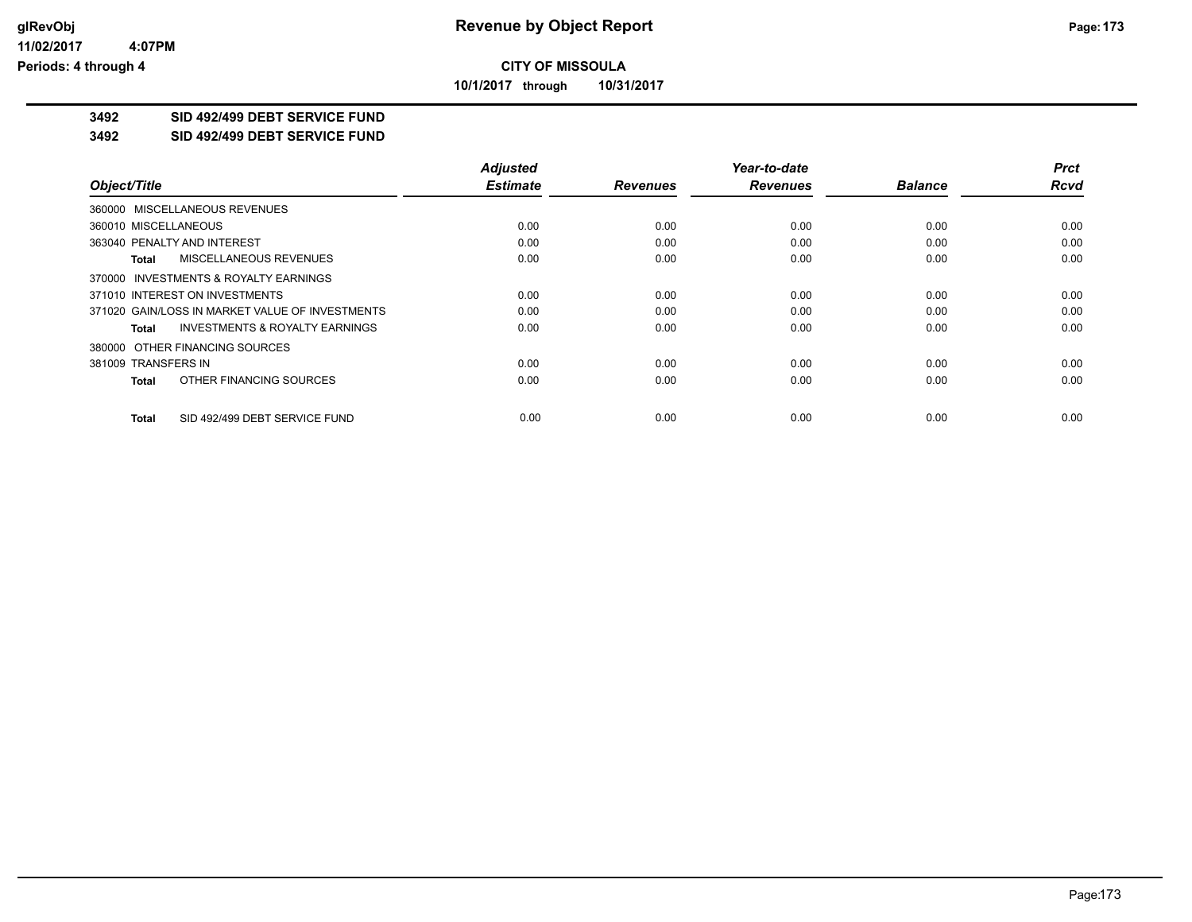**10/1/2017 through 10/31/2017**

# **3492 SID 492/499 DEBT SERVICE FUND**

**3492 SID 492/499 DEBT SERVICE FUND**

|                                                    | <b>Adjusted</b> |                 | Year-to-date    |                | <b>Prct</b> |
|----------------------------------------------------|-----------------|-----------------|-----------------|----------------|-------------|
| Object/Title                                       | <b>Estimate</b> | <b>Revenues</b> | <b>Revenues</b> | <b>Balance</b> | <b>Rcvd</b> |
| 360000 MISCELLANEOUS REVENUES                      |                 |                 |                 |                |             |
| 360010 MISCELLANEOUS                               | 0.00            | 0.00            | 0.00            | 0.00           | 0.00        |
| 363040 PENALTY AND INTEREST                        | 0.00            | 0.00            | 0.00            | 0.00           | 0.00        |
| <b>MISCELLANEOUS REVENUES</b><br>Total             | 0.00            | 0.00            | 0.00            | 0.00           | 0.00        |
| 370000 INVESTMENTS & ROYALTY EARNINGS              |                 |                 |                 |                |             |
| 371010 INTEREST ON INVESTMENTS                     | 0.00            | 0.00            | 0.00            | 0.00           | 0.00        |
| 371020 GAIN/LOSS IN MARKET VALUE OF INVESTMENTS    | 0.00            | 0.00            | 0.00            | 0.00           | 0.00        |
| <b>INVESTMENTS &amp; ROYALTY EARNINGS</b><br>Total | 0.00            | 0.00            | 0.00            | 0.00           | 0.00        |
| 380000 OTHER FINANCING SOURCES                     |                 |                 |                 |                |             |
| 381009 TRANSFERS IN                                | 0.00            | 0.00            | 0.00            | 0.00           | 0.00        |
| OTHER FINANCING SOURCES<br>Total                   | 0.00            | 0.00            | 0.00            | 0.00           | 0.00        |
| SID 492/499 DEBT SERVICE FUND<br>Total             | 0.00            | 0.00            | 0.00            | 0.00           | 0.00        |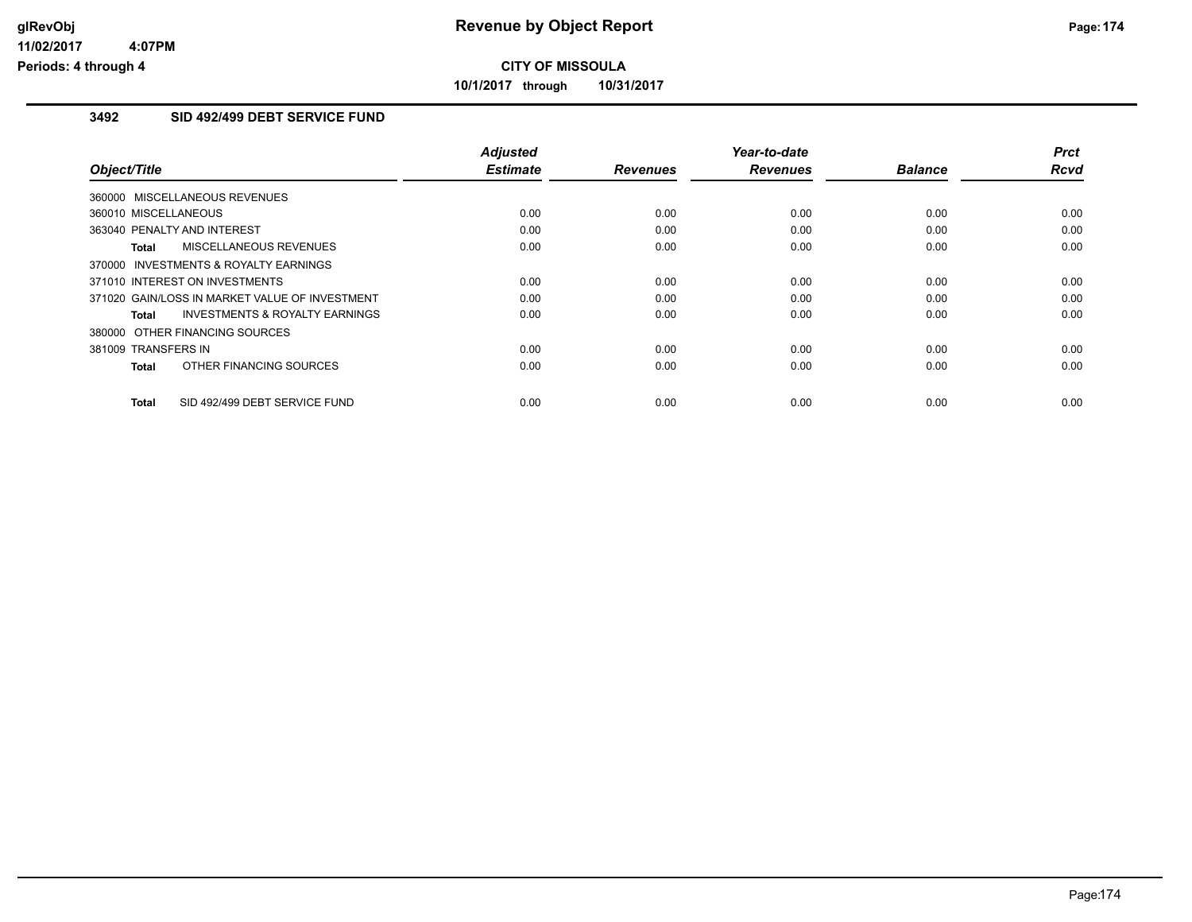**10/1/2017 through 10/31/2017**

# **3492 SID 492/499 DEBT SERVICE FUND**

| Object/Title                                        | <b>Adjusted</b><br><b>Estimate</b> | <b>Revenues</b> | Year-to-date<br><b>Revenues</b> | <b>Balance</b> | <b>Prct</b><br><b>Rcvd</b> |
|-----------------------------------------------------|------------------------------------|-----------------|---------------------------------|----------------|----------------------------|
| 360000 MISCELLANEOUS REVENUES                       |                                    |                 |                                 |                |                            |
| 360010 MISCELLANEOUS                                | 0.00                               | 0.00            | 0.00                            | 0.00           | 0.00                       |
| 363040 PENALTY AND INTEREST                         | 0.00                               | 0.00            | 0.00                            | 0.00           | 0.00                       |
| MISCELLANEOUS REVENUES<br>Total                     | 0.00                               | 0.00            | 0.00                            | 0.00           | 0.00                       |
| <b>INVESTMENTS &amp; ROYALTY EARNINGS</b><br>370000 |                                    |                 |                                 |                |                            |
| 371010 INTEREST ON INVESTMENTS                      | 0.00                               | 0.00            | 0.00                            | 0.00           | 0.00                       |
| 371020 GAIN/LOSS IN MARKET VALUE OF INVESTMENT      | 0.00                               | 0.00            | 0.00                            | 0.00           | 0.00                       |
| <b>INVESTMENTS &amp; ROYALTY EARNINGS</b><br>Total  | 0.00                               | 0.00            | 0.00                            | 0.00           | 0.00                       |
| 380000 OTHER FINANCING SOURCES                      |                                    |                 |                                 |                |                            |
| 381009 TRANSFERS IN                                 | 0.00                               | 0.00            | 0.00                            | 0.00           | 0.00                       |
| OTHER FINANCING SOURCES<br><b>Total</b>             | 0.00                               | 0.00            | 0.00                            | 0.00           | 0.00                       |
| SID 492/499 DEBT SERVICE FUND<br><b>Total</b>       | 0.00                               | 0.00            | 0.00                            | 0.00           | 0.00                       |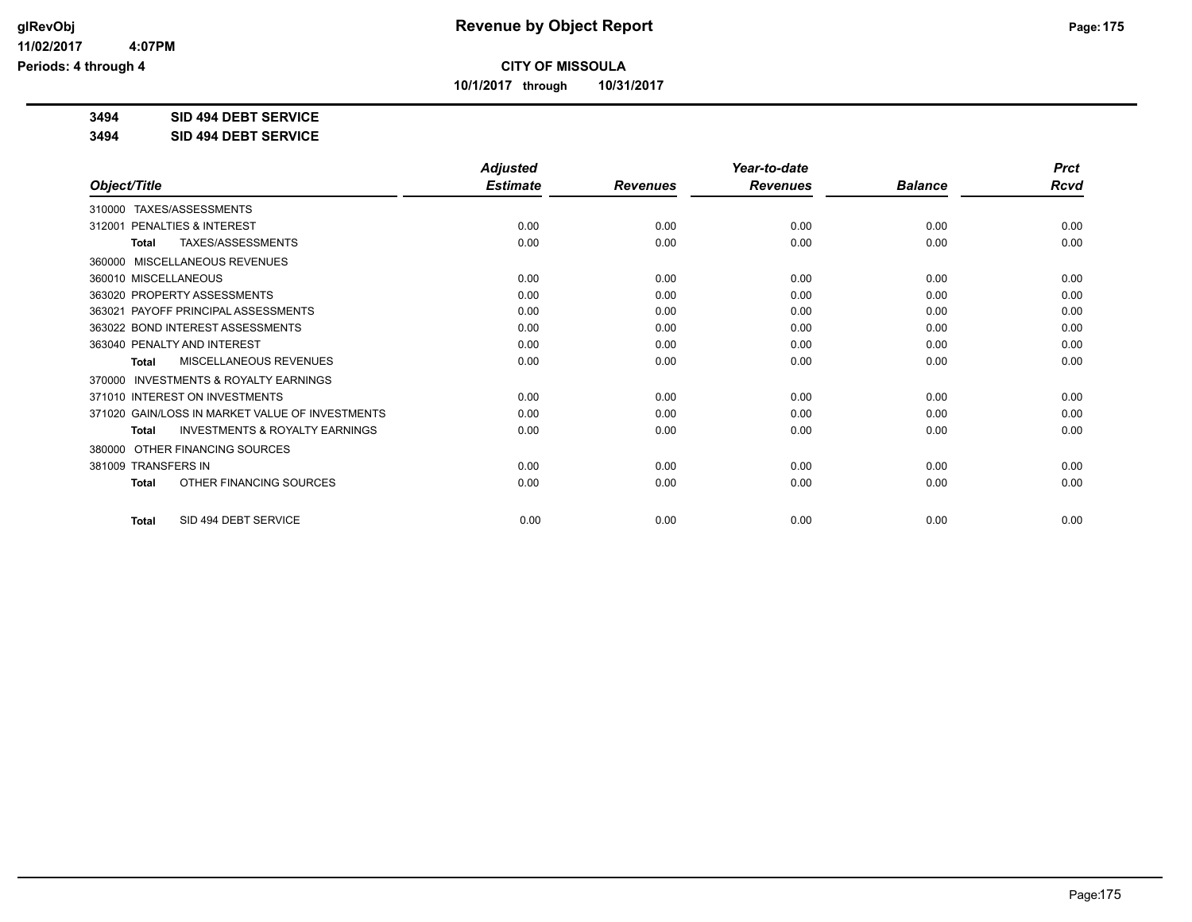**10/1/2017 through 10/31/2017**

## **3494 SID 494 DEBT SERVICE**

**3494 SID 494 DEBT SERVICE**

|                                                           | <b>Adjusted</b> |                 | Year-to-date    |                | <b>Prct</b> |
|-----------------------------------------------------------|-----------------|-----------------|-----------------|----------------|-------------|
| Object/Title                                              | <b>Estimate</b> | <b>Revenues</b> | <b>Revenues</b> | <b>Balance</b> | <b>Rcvd</b> |
| TAXES/ASSESSMENTS<br>310000                               |                 |                 |                 |                |             |
| PENALTIES & INTEREST<br>312001                            | 0.00            | 0.00            | 0.00            | 0.00           | 0.00        |
| TAXES/ASSESSMENTS<br>Total                                | 0.00            | 0.00            | 0.00            | 0.00           | 0.00        |
| MISCELLANEOUS REVENUES<br>360000                          |                 |                 |                 |                |             |
| 360010 MISCELLANEOUS                                      | 0.00            | 0.00            | 0.00            | 0.00           | 0.00        |
| 363020 PROPERTY ASSESSMENTS                               | 0.00            | 0.00            | 0.00            | 0.00           | 0.00        |
| 363021 PAYOFF PRINCIPAL ASSESSMENTS                       | 0.00            | 0.00            | 0.00            | 0.00           | 0.00        |
| 363022 BOND INTEREST ASSESSMENTS                          | 0.00            | 0.00            | 0.00            | 0.00           | 0.00        |
| 363040 PENALTY AND INTEREST                               | 0.00            | 0.00            | 0.00            | 0.00           | 0.00        |
| MISCELLANEOUS REVENUES<br><b>Total</b>                    | 0.00            | 0.00            | 0.00            | 0.00           | 0.00        |
| <b>INVESTMENTS &amp; ROYALTY EARNINGS</b><br>370000       |                 |                 |                 |                |             |
| 371010 INTEREST ON INVESTMENTS                            | 0.00            | 0.00            | 0.00            | 0.00           | 0.00        |
| 371020 GAIN/LOSS IN MARKET VALUE OF INVESTMENTS           | 0.00            | 0.00            | 0.00            | 0.00           | 0.00        |
| <b>INVESTMENTS &amp; ROYALTY EARNINGS</b><br><b>Total</b> | 0.00            | 0.00            | 0.00            | 0.00           | 0.00        |
| OTHER FINANCING SOURCES<br>380000                         |                 |                 |                 |                |             |
| 381009 TRANSFERS IN                                       | 0.00            | 0.00            | 0.00            | 0.00           | 0.00        |
| OTHER FINANCING SOURCES<br>Total                          | 0.00            | 0.00            | 0.00            | 0.00           | 0.00        |
| SID 494 DEBT SERVICE<br><b>Total</b>                      | 0.00            | 0.00            | 0.00            | 0.00           | 0.00        |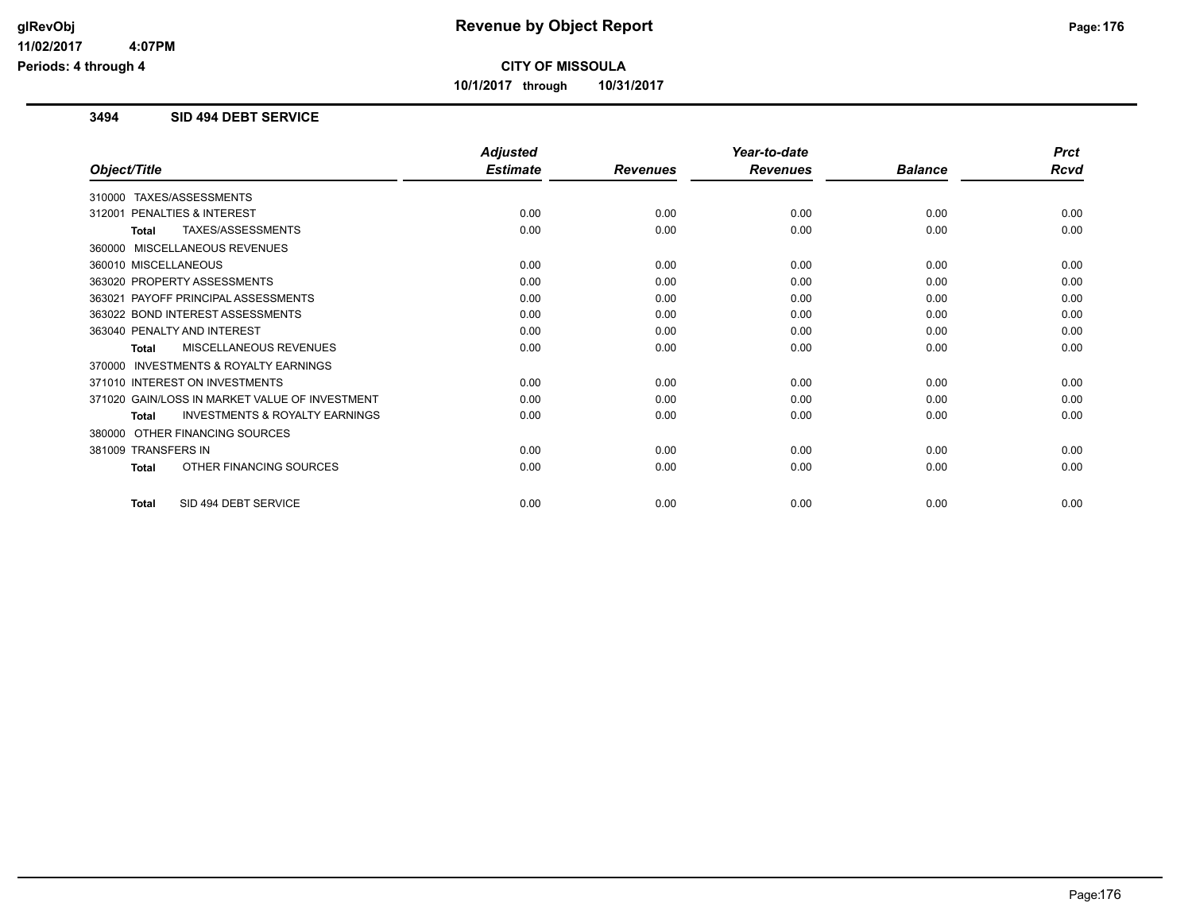**10/1/2017 through 10/31/2017**

## **3494 SID 494 DEBT SERVICE**

|                                                           | <b>Adjusted</b> |                 | Year-to-date    |                | <b>Prct</b> |
|-----------------------------------------------------------|-----------------|-----------------|-----------------|----------------|-------------|
| Object/Title                                              | <b>Estimate</b> | <b>Revenues</b> | <b>Revenues</b> | <b>Balance</b> | Rcvd        |
| 310000 TAXES/ASSESSMENTS                                  |                 |                 |                 |                |             |
| 312001 PENALTIES & INTEREST                               | 0.00            | 0.00            | 0.00            | 0.00           | 0.00        |
| TAXES/ASSESSMENTS<br><b>Total</b>                         | 0.00            | 0.00            | 0.00            | 0.00           | 0.00        |
| 360000 MISCELLANEOUS REVENUES                             |                 |                 |                 |                |             |
| 360010 MISCELLANEOUS                                      | 0.00            | 0.00            | 0.00            | 0.00           | 0.00        |
| 363020 PROPERTY ASSESSMENTS                               | 0.00            | 0.00            | 0.00            | 0.00           | 0.00        |
| 363021 PAYOFF PRINCIPAL ASSESSMENTS                       | 0.00            | 0.00            | 0.00            | 0.00           | 0.00        |
| 363022 BOND INTEREST ASSESSMENTS                          | 0.00            | 0.00            | 0.00            | 0.00           | 0.00        |
| 363040 PENALTY AND INTEREST                               | 0.00            | 0.00            | 0.00            | 0.00           | 0.00        |
| MISCELLANEOUS REVENUES<br><b>Total</b>                    | 0.00            | 0.00            | 0.00            | 0.00           | 0.00        |
| <b>INVESTMENTS &amp; ROYALTY EARNINGS</b><br>370000       |                 |                 |                 |                |             |
| 371010 INTEREST ON INVESTMENTS                            | 0.00            | 0.00            | 0.00            | 0.00           | 0.00        |
| 371020 GAIN/LOSS IN MARKET VALUE OF INVESTMENT            | 0.00            | 0.00            | 0.00            | 0.00           | 0.00        |
| <b>INVESTMENTS &amp; ROYALTY EARNINGS</b><br><b>Total</b> | 0.00            | 0.00            | 0.00            | 0.00           | 0.00        |
| 380000 OTHER FINANCING SOURCES                            |                 |                 |                 |                |             |
| 381009 TRANSFERS IN                                       | 0.00            | 0.00            | 0.00            | 0.00           | 0.00        |
| OTHER FINANCING SOURCES<br>Total                          | 0.00            | 0.00            | 0.00            | 0.00           | 0.00        |
| SID 494 DEBT SERVICE<br><b>Total</b>                      | 0.00            | 0.00            | 0.00            | 0.00           | 0.00        |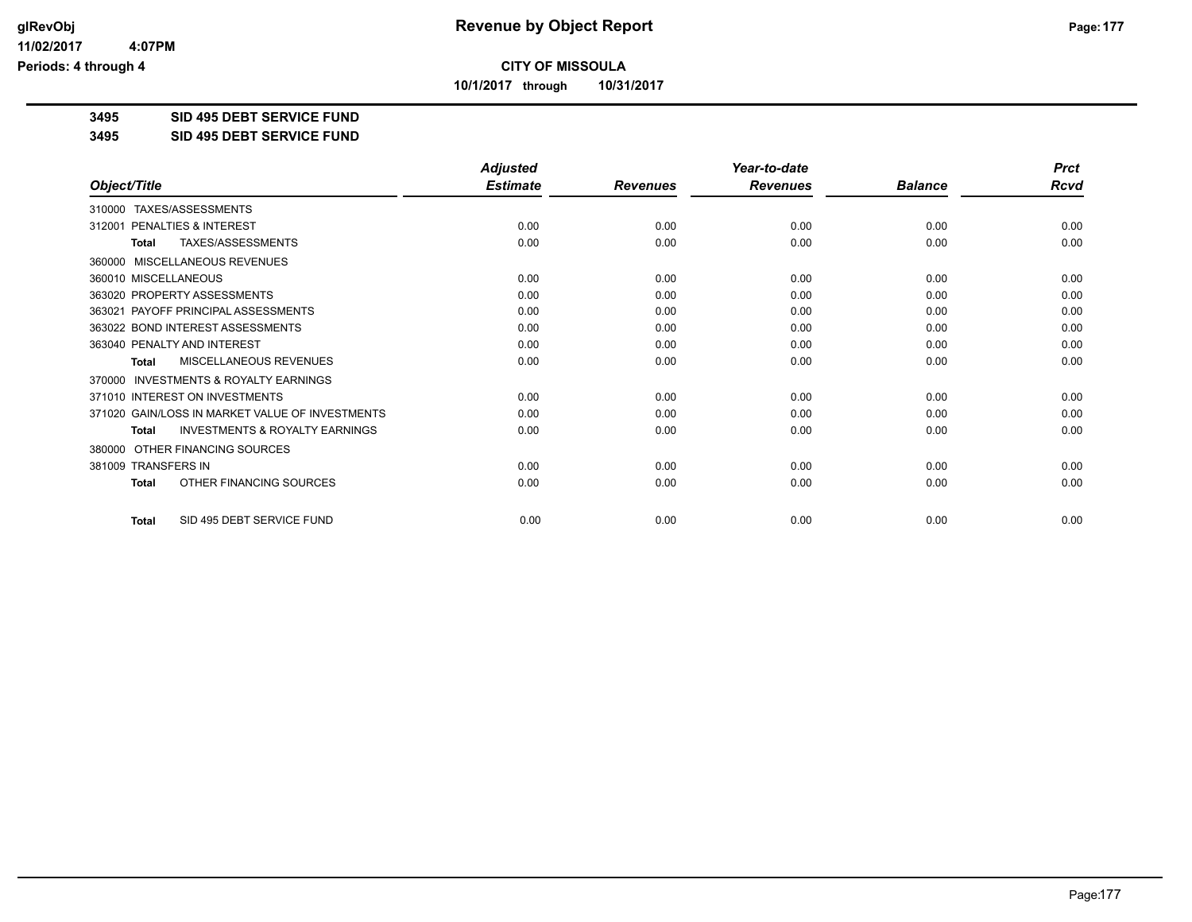**10/1/2017 through 10/31/2017**

**3495 SID 495 DEBT SERVICE FUND**

**3495 SID 495 DEBT SERVICE FUND**

|                                                           | <b>Adjusted</b> |                 | Year-to-date    |                | <b>Prct</b> |
|-----------------------------------------------------------|-----------------|-----------------|-----------------|----------------|-------------|
| Object/Title                                              | <b>Estimate</b> | <b>Revenues</b> | <b>Revenues</b> | <b>Balance</b> | <b>Rcvd</b> |
| TAXES/ASSESSMENTS<br>310000                               |                 |                 |                 |                |             |
| PENALTIES & INTEREST<br>312001                            | 0.00            | 0.00            | 0.00            | 0.00           | 0.00        |
| <b>TAXES/ASSESSMENTS</b><br>Total                         | 0.00            | 0.00            | 0.00            | 0.00           | 0.00        |
| MISCELLANEOUS REVENUES<br>360000                          |                 |                 |                 |                |             |
| 360010 MISCELLANEOUS                                      | 0.00            | 0.00            | 0.00            | 0.00           | 0.00        |
| 363020 PROPERTY ASSESSMENTS                               | 0.00            | 0.00            | 0.00            | 0.00           | 0.00        |
| 363021 PAYOFF PRINCIPAL ASSESSMENTS                       | 0.00            | 0.00            | 0.00            | 0.00           | 0.00        |
| 363022 BOND INTEREST ASSESSMENTS                          | 0.00            | 0.00            | 0.00            | 0.00           | 0.00        |
| 363040 PENALTY AND INTEREST                               | 0.00            | 0.00            | 0.00            | 0.00           | 0.00        |
| MISCELLANEOUS REVENUES<br>Total                           | 0.00            | 0.00            | 0.00            | 0.00           | 0.00        |
| <b>INVESTMENTS &amp; ROYALTY EARNINGS</b><br>370000       |                 |                 |                 |                |             |
| 371010 INTEREST ON INVESTMENTS                            | 0.00            | 0.00            | 0.00            | 0.00           | 0.00        |
| 371020 GAIN/LOSS IN MARKET VALUE OF INVESTMENTS           | 0.00            | 0.00            | 0.00            | 0.00           | 0.00        |
| <b>INVESTMENTS &amp; ROYALTY EARNINGS</b><br><b>Total</b> | 0.00            | 0.00            | 0.00            | 0.00           | 0.00        |
| OTHER FINANCING SOURCES<br>380000                         |                 |                 |                 |                |             |
| 381009 TRANSFERS IN                                       | 0.00            | 0.00            | 0.00            | 0.00           | 0.00        |
| OTHER FINANCING SOURCES<br><b>Total</b>                   | 0.00            | 0.00            | 0.00            | 0.00           | 0.00        |
| SID 495 DEBT SERVICE FUND<br><b>Total</b>                 | 0.00            | 0.00            | 0.00            | 0.00           | 0.00        |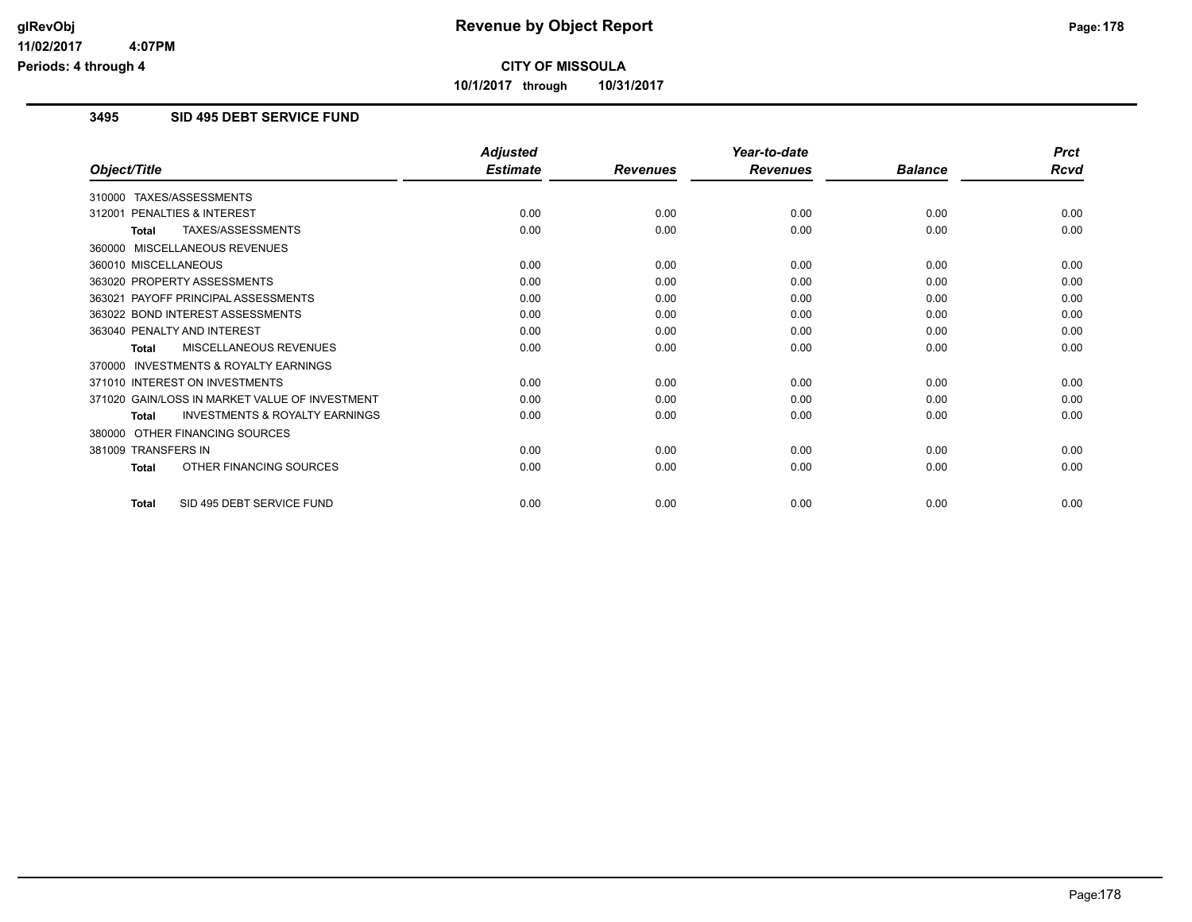**Periods: 4 through 4**

**CITY OF MISSOULA**

**10/1/2017 through 10/31/2017**

# **3495 SID 495 DEBT SERVICE FUND**

|                                                           | <b>Adjusted</b> |                 | Year-to-date    |                | <b>Prct</b> |
|-----------------------------------------------------------|-----------------|-----------------|-----------------|----------------|-------------|
| Object/Title                                              | <b>Estimate</b> | <b>Revenues</b> | <b>Revenues</b> | <b>Balance</b> | <b>Rcvd</b> |
| 310000 TAXES/ASSESSMENTS                                  |                 |                 |                 |                |             |
| PENALTIES & INTEREST<br>312001                            | 0.00            | 0.00            | 0.00            | 0.00           | 0.00        |
| TAXES/ASSESSMENTS<br><b>Total</b>                         | 0.00            | 0.00            | 0.00            | 0.00           | 0.00        |
| 360000 MISCELLANEOUS REVENUES                             |                 |                 |                 |                |             |
| 360010 MISCELLANEOUS                                      | 0.00            | 0.00            | 0.00            | 0.00           | 0.00        |
| 363020 PROPERTY ASSESSMENTS                               | 0.00            | 0.00            | 0.00            | 0.00           | 0.00        |
| 363021 PAYOFF PRINCIPAL ASSESSMENTS                       | 0.00            | 0.00            | 0.00            | 0.00           | 0.00        |
| 363022 BOND INTEREST ASSESSMENTS                          | 0.00            | 0.00            | 0.00            | 0.00           | 0.00        |
| 363040 PENALTY AND INTEREST                               | 0.00            | 0.00            | 0.00            | 0.00           | 0.00        |
| MISCELLANEOUS REVENUES<br><b>Total</b>                    | 0.00            | 0.00            | 0.00            | 0.00           | 0.00        |
| INVESTMENTS & ROYALTY EARNINGS<br>370000                  |                 |                 |                 |                |             |
| 371010 INTEREST ON INVESTMENTS                            | 0.00            | 0.00            | 0.00            | 0.00           | 0.00        |
| 371020 GAIN/LOSS IN MARKET VALUE OF INVESTMENT            | 0.00            | 0.00            | 0.00            | 0.00           | 0.00        |
| <b>INVESTMENTS &amp; ROYALTY EARNINGS</b><br><b>Total</b> | 0.00            | 0.00            | 0.00            | 0.00           | 0.00        |
| 380000 OTHER FINANCING SOURCES                            |                 |                 |                 |                |             |
| 381009 TRANSFERS IN                                       | 0.00            | 0.00            | 0.00            | 0.00           | 0.00        |
| OTHER FINANCING SOURCES<br><b>Total</b>                   | 0.00            | 0.00            | 0.00            | 0.00           | 0.00        |
| SID 495 DEBT SERVICE FUND<br><b>Total</b>                 | 0.00            | 0.00            | 0.00            | 0.00           | 0.00        |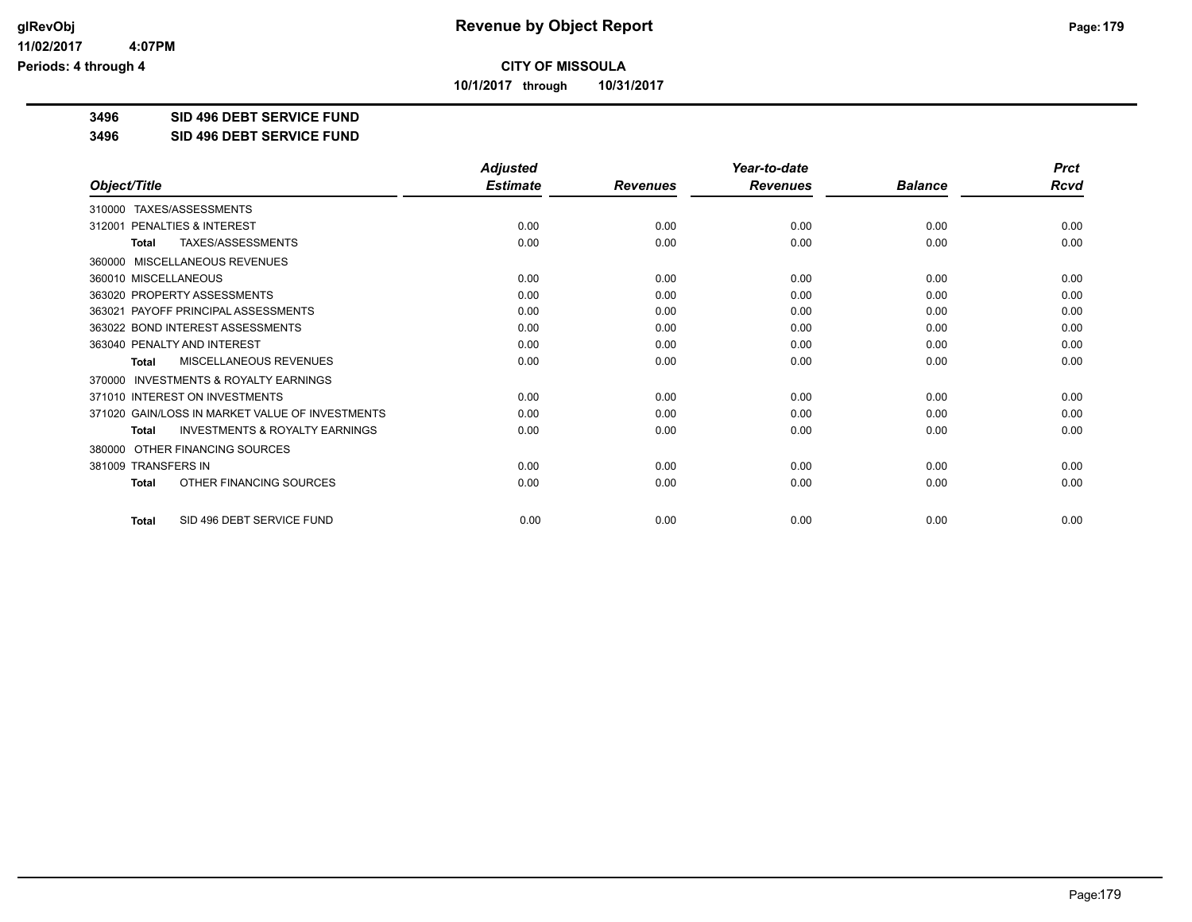**10/1/2017 through 10/31/2017**

**3496 SID 496 DEBT SERVICE FUND**

**3496 SID 496 DEBT SERVICE FUND**

|                                                           | <b>Adjusted</b> |                 | Year-to-date    |                | <b>Prct</b> |
|-----------------------------------------------------------|-----------------|-----------------|-----------------|----------------|-------------|
| Object/Title                                              | <b>Estimate</b> | <b>Revenues</b> | <b>Revenues</b> | <b>Balance</b> | <b>Rcvd</b> |
| TAXES/ASSESSMENTS<br>310000                               |                 |                 |                 |                |             |
| PENALTIES & INTEREST<br>312001                            | 0.00            | 0.00            | 0.00            | 0.00           | 0.00        |
| TAXES/ASSESSMENTS<br>Total                                | 0.00            | 0.00            | 0.00            | 0.00           | 0.00        |
| MISCELLANEOUS REVENUES<br>360000                          |                 |                 |                 |                |             |
| 360010 MISCELLANEOUS                                      | 0.00            | 0.00            | 0.00            | 0.00           | 0.00        |
| 363020 PROPERTY ASSESSMENTS                               | 0.00            | 0.00            | 0.00            | 0.00           | 0.00        |
| 363021 PAYOFF PRINCIPAL ASSESSMENTS                       | 0.00            | 0.00            | 0.00            | 0.00           | 0.00        |
| 363022 BOND INTEREST ASSESSMENTS                          | 0.00            | 0.00            | 0.00            | 0.00           | 0.00        |
| 363040 PENALTY AND INTEREST                               | 0.00            | 0.00            | 0.00            | 0.00           | 0.00        |
| MISCELLANEOUS REVENUES<br><b>Total</b>                    | 0.00            | 0.00            | 0.00            | 0.00           | 0.00        |
| <b>INVESTMENTS &amp; ROYALTY EARNINGS</b><br>370000       |                 |                 |                 |                |             |
| 371010 INTEREST ON INVESTMENTS                            | 0.00            | 0.00            | 0.00            | 0.00           | 0.00        |
| 371020 GAIN/LOSS IN MARKET VALUE OF INVESTMENTS           | 0.00            | 0.00            | 0.00            | 0.00           | 0.00        |
| <b>INVESTMENTS &amp; ROYALTY EARNINGS</b><br><b>Total</b> | 0.00            | 0.00            | 0.00            | 0.00           | 0.00        |
| OTHER FINANCING SOURCES<br>380000                         |                 |                 |                 |                |             |
| 381009 TRANSFERS IN                                       | 0.00            | 0.00            | 0.00            | 0.00           | 0.00        |
| OTHER FINANCING SOURCES<br>Total                          | 0.00            | 0.00            | 0.00            | 0.00           | 0.00        |
| SID 496 DEBT SERVICE FUND<br><b>Total</b>                 | 0.00            | 0.00            | 0.00            | 0.00           | 0.00        |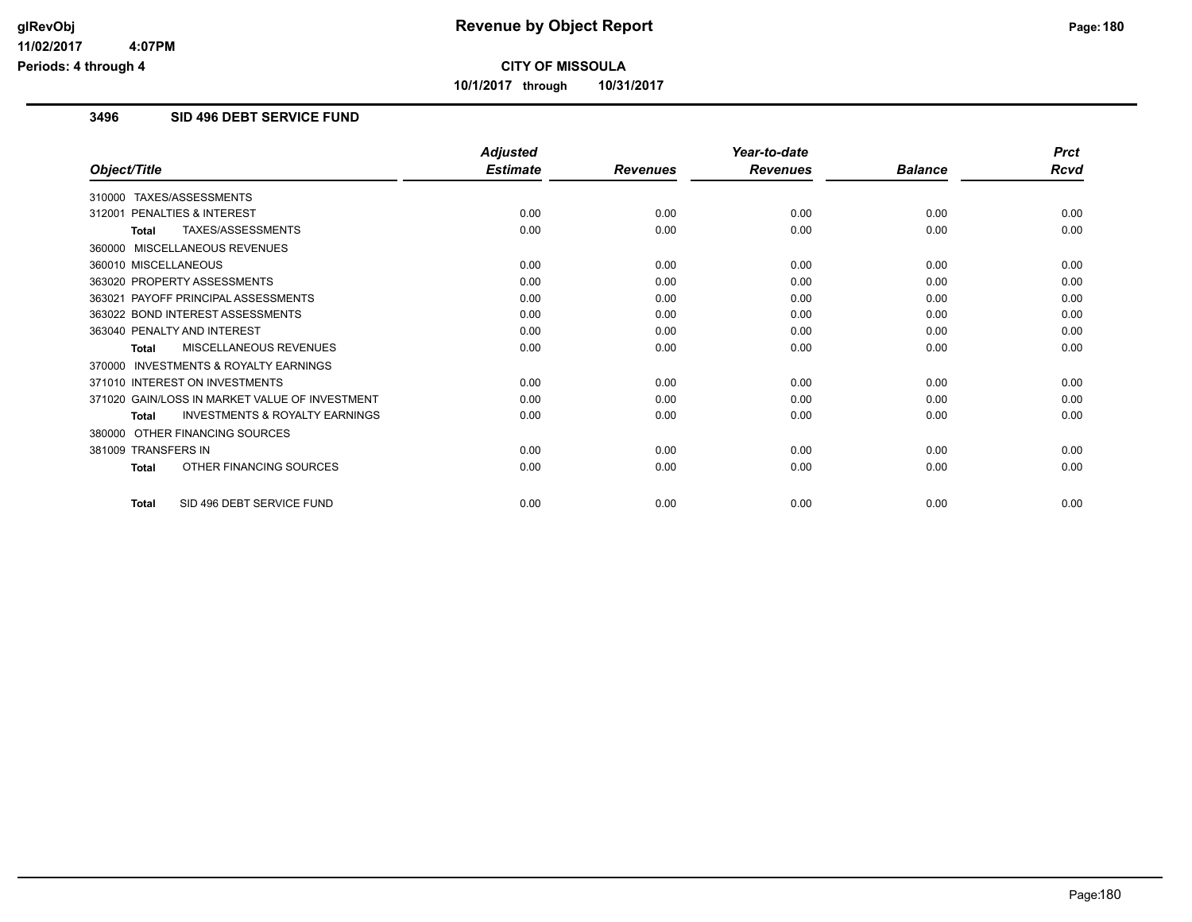**Periods: 4 through 4**

**CITY OF MISSOULA**

**10/1/2017 through 10/31/2017**

# **3496 SID 496 DEBT SERVICE FUND**

|                                                           | <b>Adjusted</b> |                 | Year-to-date    |                | <b>Prct</b> |
|-----------------------------------------------------------|-----------------|-----------------|-----------------|----------------|-------------|
| Object/Title                                              | <b>Estimate</b> | <b>Revenues</b> | <b>Revenues</b> | <b>Balance</b> | <b>Rcvd</b> |
| 310000 TAXES/ASSESSMENTS                                  |                 |                 |                 |                |             |
| PENALTIES & INTEREST<br>312001                            | 0.00            | 0.00            | 0.00            | 0.00           | 0.00        |
| TAXES/ASSESSMENTS<br><b>Total</b>                         | 0.00            | 0.00            | 0.00            | 0.00           | 0.00        |
| 360000 MISCELLANEOUS REVENUES                             |                 |                 |                 |                |             |
| 360010 MISCELLANEOUS                                      | 0.00            | 0.00            | 0.00            | 0.00           | 0.00        |
| 363020 PROPERTY ASSESSMENTS                               | 0.00            | 0.00            | 0.00            | 0.00           | 0.00        |
| 363021 PAYOFF PRINCIPAL ASSESSMENTS                       | 0.00            | 0.00            | 0.00            | 0.00           | 0.00        |
| 363022 BOND INTEREST ASSESSMENTS                          | 0.00            | 0.00            | 0.00            | 0.00           | 0.00        |
| 363040 PENALTY AND INTEREST                               | 0.00            | 0.00            | 0.00            | 0.00           | 0.00        |
| MISCELLANEOUS REVENUES<br><b>Total</b>                    | 0.00            | 0.00            | 0.00            | 0.00           | 0.00        |
| <b>INVESTMENTS &amp; ROYALTY EARNINGS</b><br>370000       |                 |                 |                 |                |             |
| 371010 INTEREST ON INVESTMENTS                            | 0.00            | 0.00            | 0.00            | 0.00           | 0.00        |
| 371020 GAIN/LOSS IN MARKET VALUE OF INVESTMENT            | 0.00            | 0.00            | 0.00            | 0.00           | 0.00        |
| <b>INVESTMENTS &amp; ROYALTY EARNINGS</b><br><b>Total</b> | 0.00            | 0.00            | 0.00            | 0.00           | 0.00        |
| 380000 OTHER FINANCING SOURCES                            |                 |                 |                 |                |             |
| 381009 TRANSFERS IN                                       | 0.00            | 0.00            | 0.00            | 0.00           | 0.00        |
| OTHER FINANCING SOURCES<br><b>Total</b>                   | 0.00            | 0.00            | 0.00            | 0.00           | 0.00        |
| SID 496 DEBT SERVICE FUND<br><b>Total</b>                 | 0.00            | 0.00            | 0.00            | 0.00           | 0.00        |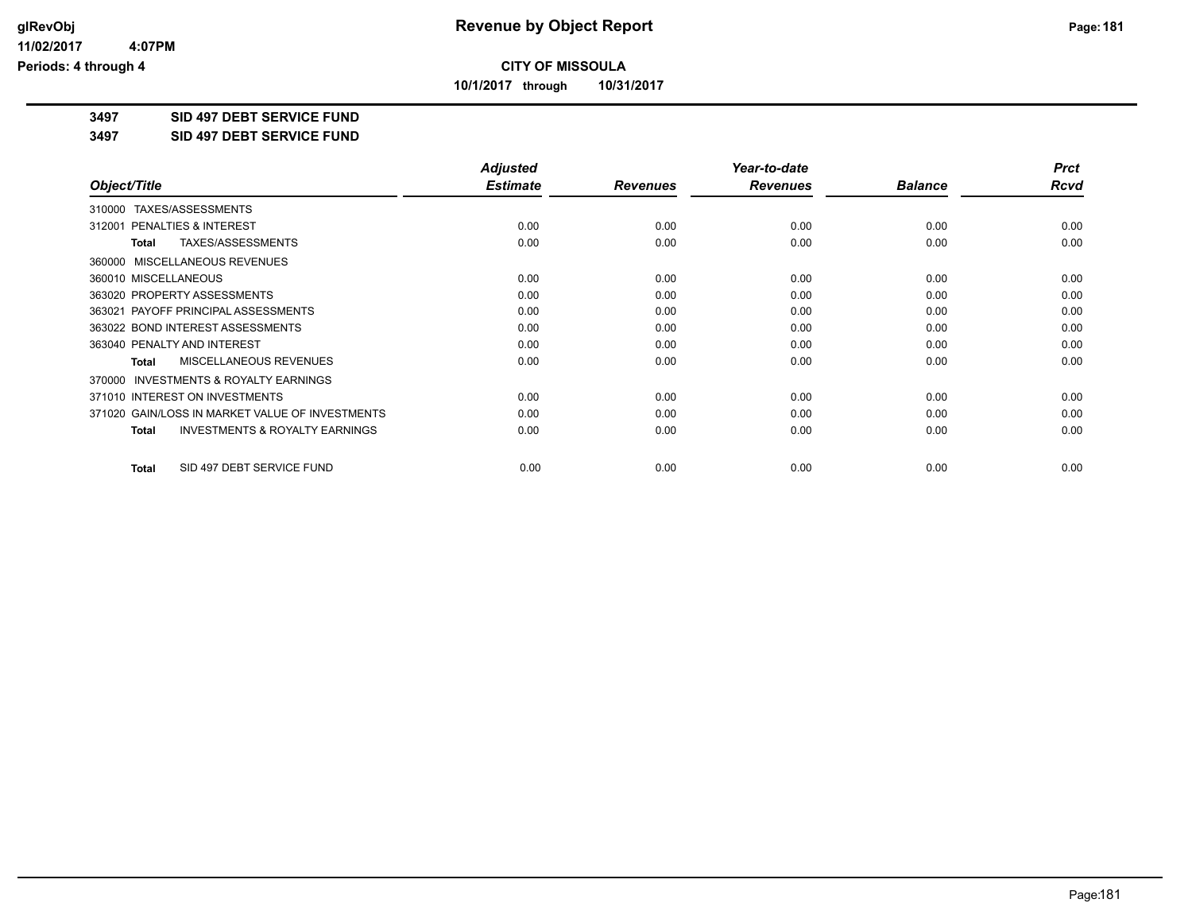**10/1/2017 through 10/31/2017**

**3497 SID 497 DEBT SERVICE FUND**

**3497 SID 497 DEBT SERVICE FUND**

|                                                     | <b>Adjusted</b> |                 | Year-to-date    |                | <b>Prct</b> |
|-----------------------------------------------------|-----------------|-----------------|-----------------|----------------|-------------|
| Object/Title                                        | <b>Estimate</b> | <b>Revenues</b> | <b>Revenues</b> | <b>Balance</b> | Rcvd        |
| 310000 TAXES/ASSESSMENTS                            |                 |                 |                 |                |             |
| PENALTIES & INTEREST<br>312001                      | 0.00            | 0.00            | 0.00            | 0.00           | 0.00        |
| TAXES/ASSESSMENTS<br>Total                          | 0.00            | 0.00            | 0.00            | 0.00           | 0.00        |
| 360000 MISCELLANEOUS REVENUES                       |                 |                 |                 |                |             |
| 360010 MISCELLANEOUS                                | 0.00            | 0.00            | 0.00            | 0.00           | 0.00        |
| 363020 PROPERTY ASSESSMENTS                         | 0.00            | 0.00            | 0.00            | 0.00           | 0.00        |
| 363021 PAYOFF PRINCIPAL ASSESSMENTS                 | 0.00            | 0.00            | 0.00            | 0.00           | 0.00        |
| 363022 BOND INTEREST ASSESSMENTS                    | 0.00            | 0.00            | 0.00            | 0.00           | 0.00        |
| 363040 PENALTY AND INTEREST                         | 0.00            | 0.00            | 0.00            | 0.00           | 0.00        |
| <b>MISCELLANEOUS REVENUES</b><br>Total              | 0.00            | 0.00            | 0.00            | 0.00           | 0.00        |
| <b>INVESTMENTS &amp; ROYALTY EARNINGS</b><br>370000 |                 |                 |                 |                |             |
| 371010 INTEREST ON INVESTMENTS                      | 0.00            | 0.00            | 0.00            | 0.00           | 0.00        |
| 371020 GAIN/LOSS IN MARKET VALUE OF INVESTMENTS     | 0.00            | 0.00            | 0.00            | 0.00           | 0.00        |
| <b>INVESTMENTS &amp; ROYALTY EARNINGS</b><br>Total  | 0.00            | 0.00            | 0.00            | 0.00           | 0.00        |
| SID 497 DEBT SERVICE FUND<br><b>Total</b>           | 0.00            | 0.00            | 0.00            | 0.00           | 0.00        |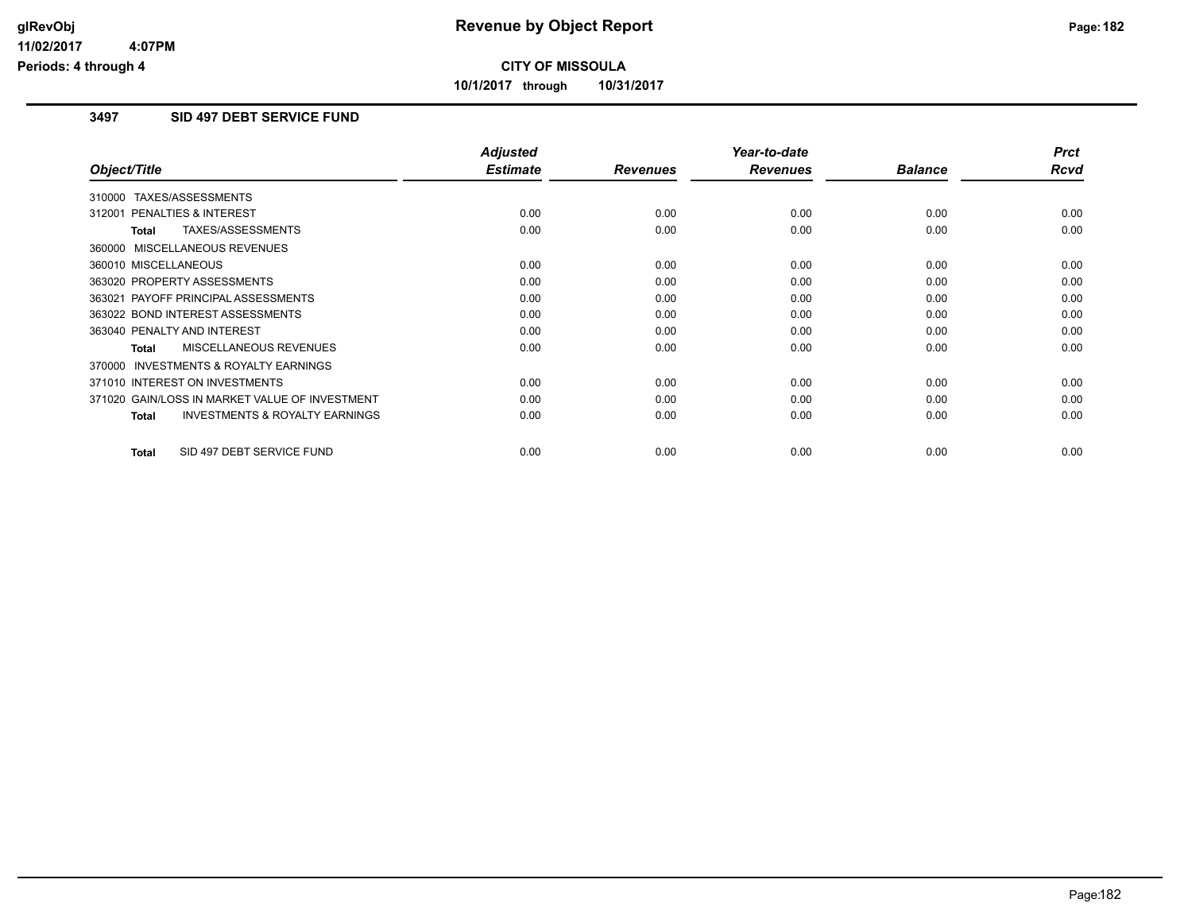**10/1/2017 through 10/31/2017**

## **3497 SID 497 DEBT SERVICE FUND**

|                                                           | <b>Adjusted</b> |                 | Year-to-date    |                | <b>Prct</b> |
|-----------------------------------------------------------|-----------------|-----------------|-----------------|----------------|-------------|
| Object/Title                                              | <b>Estimate</b> | <b>Revenues</b> | <b>Revenues</b> | <b>Balance</b> | Rcvd        |
| 310000 TAXES/ASSESSMENTS                                  |                 |                 |                 |                |             |
| 312001 PENALTIES & INTEREST                               | 0.00            | 0.00            | 0.00            | 0.00           | 0.00        |
| TAXES/ASSESSMENTS<br><b>Total</b>                         | 0.00            | 0.00            | 0.00            | 0.00           | 0.00        |
| 360000 MISCELLANEOUS REVENUES                             |                 |                 |                 |                |             |
| 360010 MISCELLANEOUS                                      | 0.00            | 0.00            | 0.00            | 0.00           | 0.00        |
| 363020 PROPERTY ASSESSMENTS                               | 0.00            | 0.00            | 0.00            | 0.00           | 0.00        |
| 363021 PAYOFF PRINCIPAL ASSESSMENTS                       | 0.00            | 0.00            | 0.00            | 0.00           | 0.00        |
| 363022 BOND INTEREST ASSESSMENTS                          | 0.00            | 0.00            | 0.00            | 0.00           | 0.00        |
| 363040 PENALTY AND INTEREST                               | 0.00            | 0.00            | 0.00            | 0.00           | 0.00        |
| <b>MISCELLANEOUS REVENUES</b><br><b>Total</b>             | 0.00            | 0.00            | 0.00            | 0.00           | 0.00        |
| <b>INVESTMENTS &amp; ROYALTY EARNINGS</b><br>370000       |                 |                 |                 |                |             |
| 371010 INTEREST ON INVESTMENTS                            | 0.00            | 0.00            | 0.00            | 0.00           | 0.00        |
| 371020 GAIN/LOSS IN MARKET VALUE OF INVESTMENT            | 0.00            | 0.00            | 0.00            | 0.00           | 0.00        |
| <b>INVESTMENTS &amp; ROYALTY EARNINGS</b><br><b>Total</b> | 0.00            | 0.00            | 0.00            | 0.00           | 0.00        |
| SID 497 DEBT SERVICE FUND<br><b>Total</b>                 | 0.00            | 0.00            | 0.00            | 0.00           | 0.00        |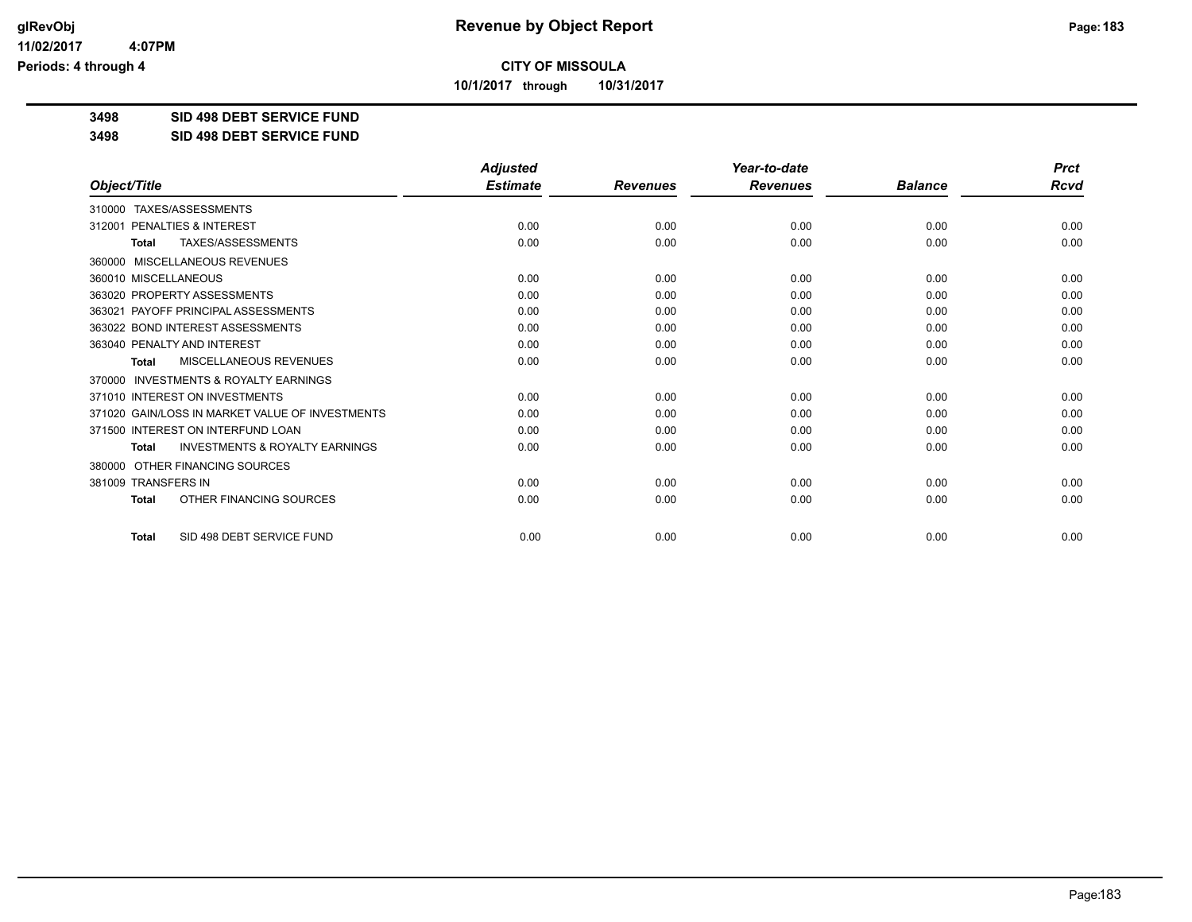**10/1/2017 through 10/31/2017**

**3498 SID 498 DEBT SERVICE FUND**

**3498 SID 498 DEBT SERVICE FUND**

|                                                    | <b>Adjusted</b> |                 | Year-to-date    |                | <b>Prct</b> |
|----------------------------------------------------|-----------------|-----------------|-----------------|----------------|-------------|
| Object/Title                                       | <b>Estimate</b> | <b>Revenues</b> | <b>Revenues</b> | <b>Balance</b> | <b>Rcvd</b> |
| <b>TAXES/ASSESSMENTS</b><br>310000                 |                 |                 |                 |                |             |
| 312001 PENALTIES & INTEREST                        | 0.00            | 0.00            | 0.00            | 0.00           | 0.00        |
| <b>TAXES/ASSESSMENTS</b><br><b>Total</b>           | 0.00            | 0.00            | 0.00            | 0.00           | 0.00        |
| MISCELLANEOUS REVENUES<br>360000                   |                 |                 |                 |                |             |
| 360010 MISCELLANEOUS                               | 0.00            | 0.00            | 0.00            | 0.00           | 0.00        |
| 363020 PROPERTY ASSESSMENTS                        | 0.00            | 0.00            | 0.00            | 0.00           | 0.00        |
| 363021 PAYOFF PRINCIPAL ASSESSMENTS                | 0.00            | 0.00            | 0.00            | 0.00           | 0.00        |
| 363022 BOND INTEREST ASSESSMENTS                   | 0.00            | 0.00            | 0.00            | 0.00           | 0.00        |
| 363040 PENALTY AND INTEREST                        | 0.00            | 0.00            | 0.00            | 0.00           | 0.00        |
| MISCELLANEOUS REVENUES<br><b>Total</b>             | 0.00            | 0.00            | 0.00            | 0.00           | 0.00        |
| INVESTMENTS & ROYALTY EARNINGS<br>370000           |                 |                 |                 |                |             |
| 371010 INTEREST ON INVESTMENTS                     | 0.00            | 0.00            | 0.00            | 0.00           | 0.00        |
| 371020 GAIN/LOSS IN MARKET VALUE OF INVESTMENTS    | 0.00            | 0.00            | 0.00            | 0.00           | 0.00        |
| 371500 INTEREST ON INTERFUND LOAN                  | 0.00            | 0.00            | 0.00            | 0.00           | 0.00        |
| <b>INVESTMENTS &amp; ROYALTY EARNINGS</b><br>Total | 0.00            | 0.00            | 0.00            | 0.00           | 0.00        |
| OTHER FINANCING SOURCES<br>380000                  |                 |                 |                 |                |             |
| 381009 TRANSFERS IN                                | 0.00            | 0.00            | 0.00            | 0.00           | 0.00        |
| OTHER FINANCING SOURCES<br><b>Total</b>            | 0.00            | 0.00            | 0.00            | 0.00           | 0.00        |
| SID 498 DEBT SERVICE FUND<br><b>Total</b>          | 0.00            | 0.00            | 0.00            | 0.00           | 0.00        |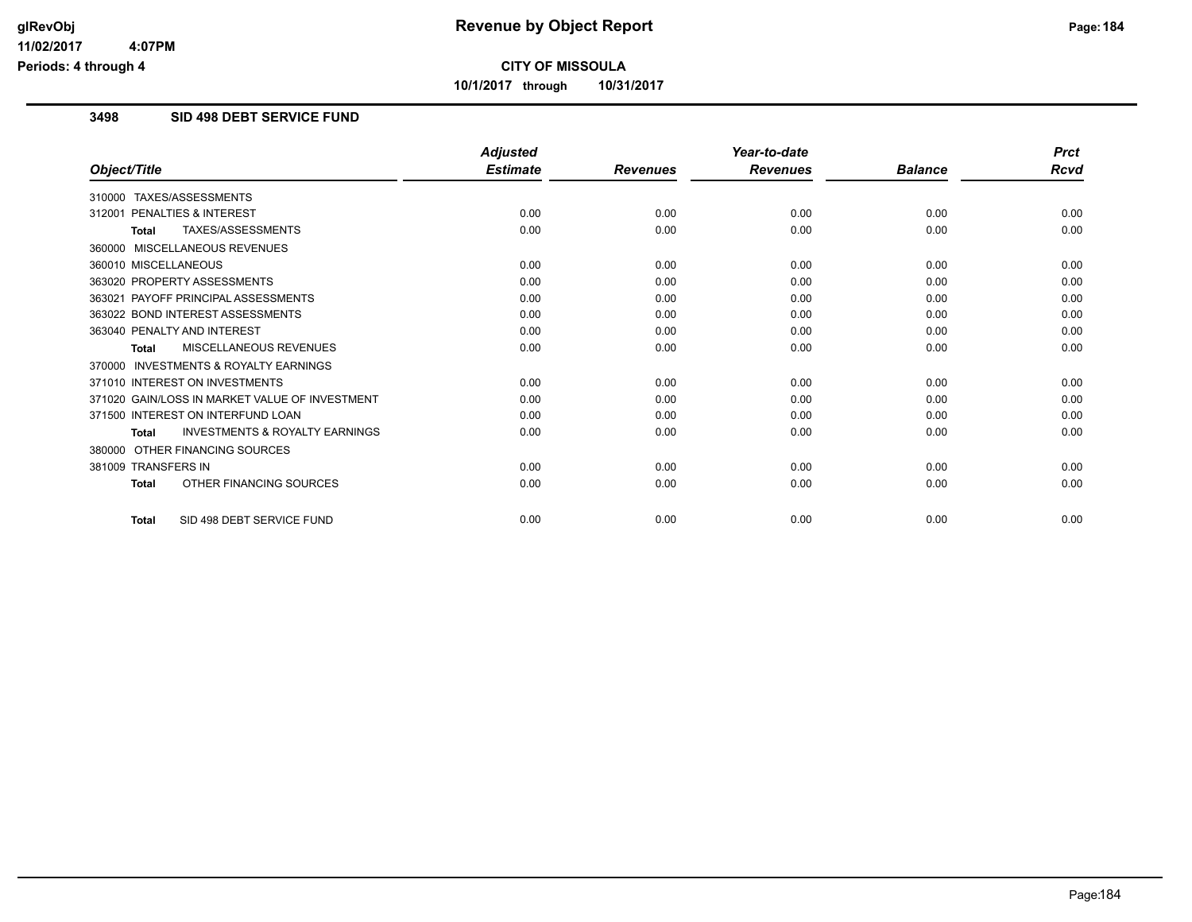**Periods: 4 through 4**

**CITY OF MISSOULA**

**10/1/2017 through 10/31/2017**

## **3498 SID 498 DEBT SERVICE FUND**

|                                                           | <b>Adjusted</b> |                 | Year-to-date    |                | <b>Prct</b> |
|-----------------------------------------------------------|-----------------|-----------------|-----------------|----------------|-------------|
| Object/Title                                              | <b>Estimate</b> | <b>Revenues</b> | <b>Revenues</b> | <b>Balance</b> | <b>Rcvd</b> |
| TAXES/ASSESSMENTS<br>310000                               |                 |                 |                 |                |             |
| PENALTIES & INTEREST<br>312001                            | 0.00            | 0.00            | 0.00            | 0.00           | 0.00        |
| TAXES/ASSESSMENTS<br><b>Total</b>                         | 0.00            | 0.00            | 0.00            | 0.00           | 0.00        |
| 360000 MISCELLANEOUS REVENUES                             |                 |                 |                 |                |             |
| 360010 MISCELLANEOUS                                      | 0.00            | 0.00            | 0.00            | 0.00           | 0.00        |
| 363020 PROPERTY ASSESSMENTS                               | 0.00            | 0.00            | 0.00            | 0.00           | 0.00        |
| 363021 PAYOFF PRINCIPAL ASSESSMENTS                       | 0.00            | 0.00            | 0.00            | 0.00           | 0.00        |
| 363022 BOND INTEREST ASSESSMENTS                          | 0.00            | 0.00            | 0.00            | 0.00           | 0.00        |
| 363040 PENALTY AND INTEREST                               | 0.00            | 0.00            | 0.00            | 0.00           | 0.00        |
| <b>MISCELLANEOUS REVENUES</b><br><b>Total</b>             | 0.00            | 0.00            | 0.00            | 0.00           | 0.00        |
| <b>INVESTMENTS &amp; ROYALTY EARNINGS</b><br>370000       |                 |                 |                 |                |             |
| 371010 INTEREST ON INVESTMENTS                            | 0.00            | 0.00            | 0.00            | 0.00           | 0.00        |
| 371020 GAIN/LOSS IN MARKET VALUE OF INVESTMENT            | 0.00            | 0.00            | 0.00            | 0.00           | 0.00        |
| 371500 INTEREST ON INTERFUND LOAN                         | 0.00            | 0.00            | 0.00            | 0.00           | 0.00        |
| <b>INVESTMENTS &amp; ROYALTY EARNINGS</b><br><b>Total</b> | 0.00            | 0.00            | 0.00            | 0.00           | 0.00        |
| OTHER FINANCING SOURCES<br>380000                         |                 |                 |                 |                |             |
| 381009 TRANSFERS IN                                       | 0.00            | 0.00            | 0.00            | 0.00           | 0.00        |
| OTHER FINANCING SOURCES<br><b>Total</b>                   | 0.00            | 0.00            | 0.00            | 0.00           | 0.00        |
| SID 498 DEBT SERVICE FUND<br><b>Total</b>                 | 0.00            | 0.00            | 0.00            | 0.00           | 0.00        |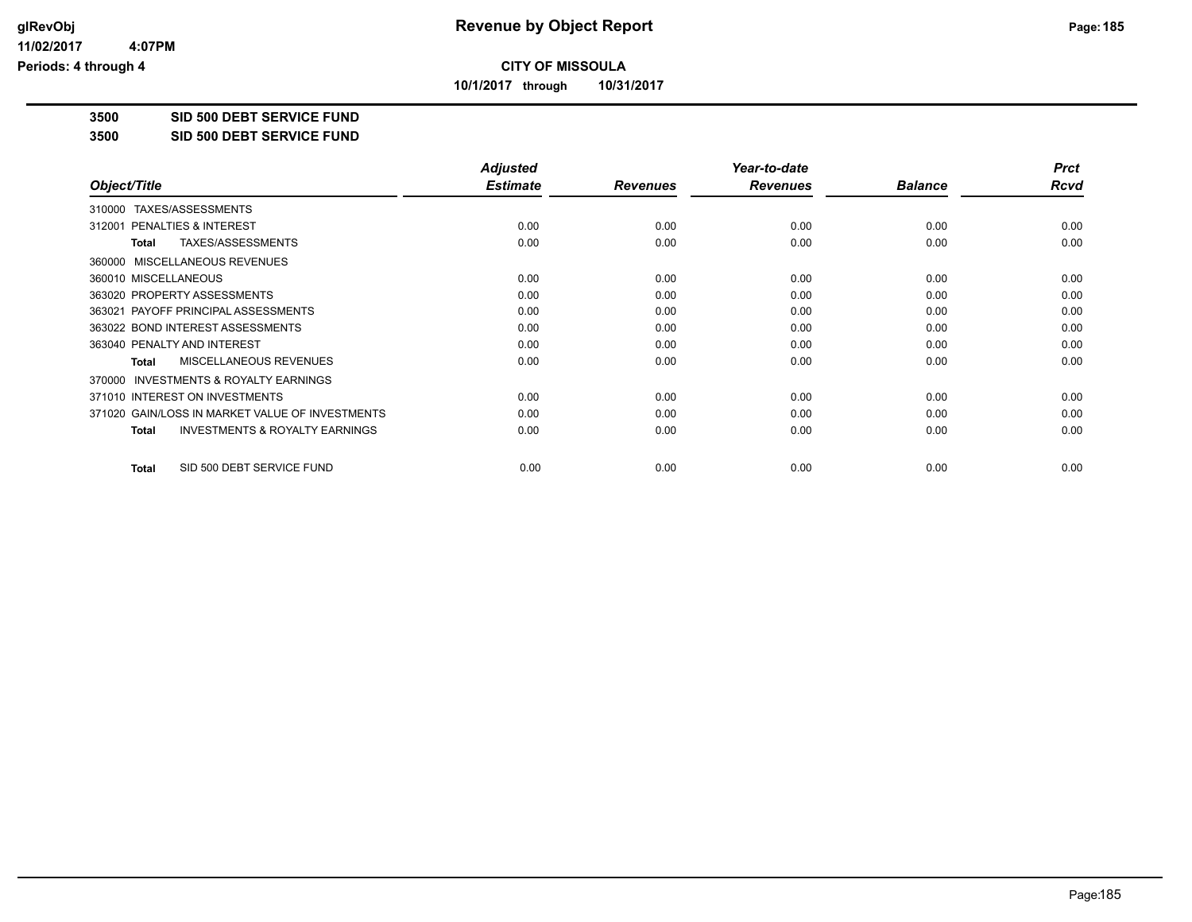**10/1/2017 through 10/31/2017**

**3500 SID 500 DEBT SERVICE FUND**

**3500 SID 500 DEBT SERVICE FUND**

|                                                    | <b>Adjusted</b> |                 | Year-to-date    |                | <b>Prct</b> |
|----------------------------------------------------|-----------------|-----------------|-----------------|----------------|-------------|
| Object/Title                                       | <b>Estimate</b> | <b>Revenues</b> | <b>Revenues</b> | <b>Balance</b> | <b>Rcvd</b> |
| 310000 TAXES/ASSESSMENTS                           |                 |                 |                 |                |             |
| 312001 PENALTIES & INTEREST                        | 0.00            | 0.00            | 0.00            | 0.00           | 0.00        |
| TAXES/ASSESSMENTS<br>Total                         | 0.00            | 0.00            | 0.00            | 0.00           | 0.00        |
| 360000 MISCELLANEOUS REVENUES                      |                 |                 |                 |                |             |
| 360010 MISCELLANEOUS                               | 0.00            | 0.00            | 0.00            | 0.00           | 0.00        |
| 363020 PROPERTY ASSESSMENTS                        | 0.00            | 0.00            | 0.00            | 0.00           | 0.00        |
| 363021 PAYOFF PRINCIPAL ASSESSMENTS                | 0.00            | 0.00            | 0.00            | 0.00           | 0.00        |
| 363022 BOND INTEREST ASSESSMENTS                   | 0.00            | 0.00            | 0.00            | 0.00           | 0.00        |
| 363040 PENALTY AND INTEREST                        | 0.00            | 0.00            | 0.00            | 0.00           | 0.00        |
| <b>MISCELLANEOUS REVENUES</b><br>Total             | 0.00            | 0.00            | 0.00            | 0.00           | 0.00        |
| 370000 INVESTMENTS & ROYALTY EARNINGS              |                 |                 |                 |                |             |
| 371010 INTEREST ON INVESTMENTS                     | 0.00            | 0.00            | 0.00            | 0.00           | 0.00        |
| 371020 GAIN/LOSS IN MARKET VALUE OF INVESTMENTS    | 0.00            | 0.00            | 0.00            | 0.00           | 0.00        |
| <b>INVESTMENTS &amp; ROYALTY EARNINGS</b><br>Total | 0.00            | 0.00            | 0.00            | 0.00           | 0.00        |
| SID 500 DEBT SERVICE FUND<br>Total                 | 0.00            | 0.00            | 0.00            | 0.00           | 0.00        |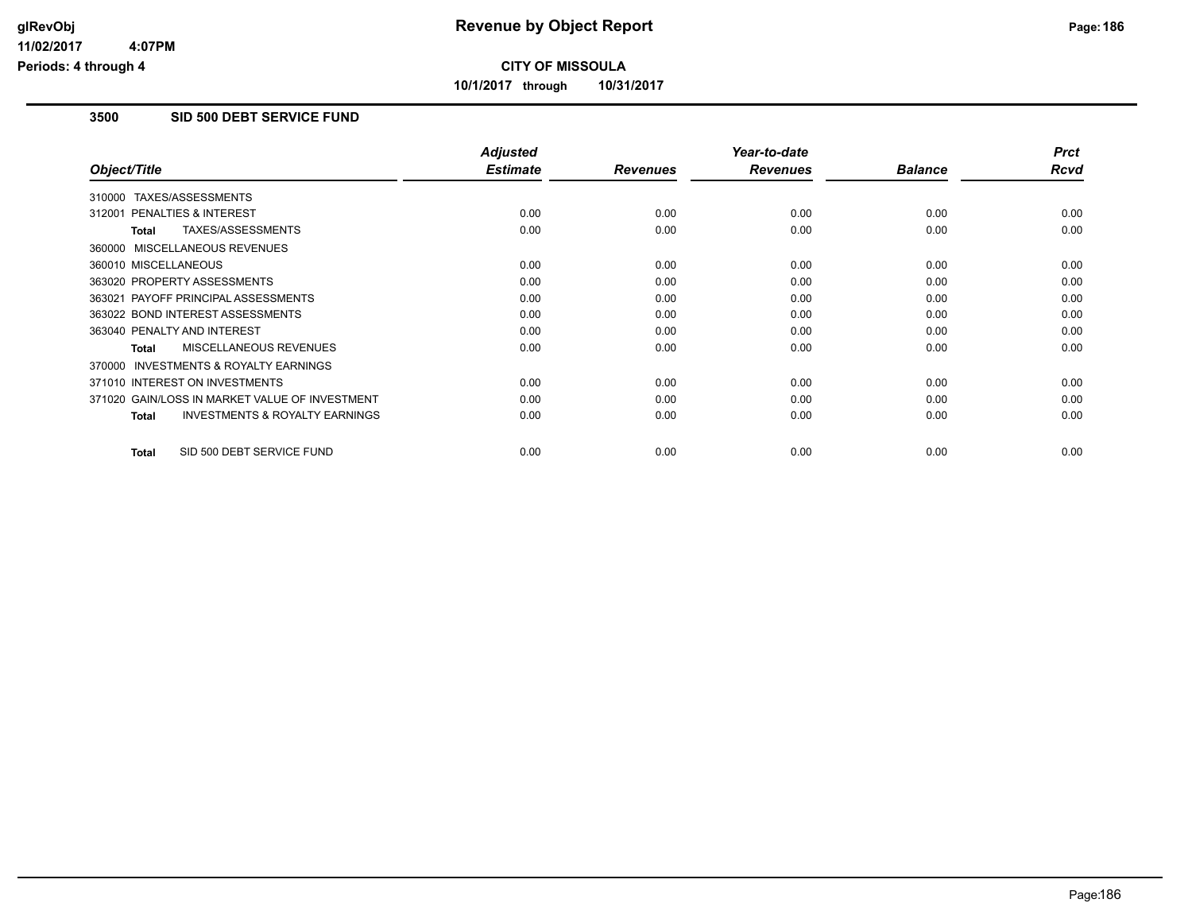**10/1/2017 through 10/31/2017**

## **3500 SID 500 DEBT SERVICE FUND**

| Object/Title                                              | <b>Adjusted</b><br><b>Estimate</b> | <b>Revenues</b> | Year-to-date<br><b>Revenues</b> | <b>Balance</b> | <b>Prct</b><br><b>Rcvd</b> |
|-----------------------------------------------------------|------------------------------------|-----------------|---------------------------------|----------------|----------------------------|
|                                                           |                                    |                 |                                 |                |                            |
| 310000 TAXES/ASSESSMENTS                                  |                                    |                 |                                 |                |                            |
| 312001 PENALTIES & INTEREST                               | 0.00                               | 0.00            | 0.00                            | 0.00           | 0.00                       |
| TAXES/ASSESSMENTS<br><b>Total</b>                         | 0.00                               | 0.00            | 0.00                            | 0.00           | 0.00                       |
| 360000 MISCELLANEOUS REVENUES                             |                                    |                 |                                 |                |                            |
| 360010 MISCELLANEOUS                                      | 0.00                               | 0.00            | 0.00                            | 0.00           | 0.00                       |
| 363020 PROPERTY ASSESSMENTS                               | 0.00                               | 0.00            | 0.00                            | 0.00           | 0.00                       |
| 363021 PAYOFF PRINCIPAL ASSESSMENTS                       | 0.00                               | 0.00            | 0.00                            | 0.00           | 0.00                       |
| 363022 BOND INTEREST ASSESSMENTS                          | 0.00                               | 0.00            | 0.00                            | 0.00           | 0.00                       |
| 363040 PENALTY AND INTEREST                               | 0.00                               | 0.00            | 0.00                            | 0.00           | 0.00                       |
| <b>MISCELLANEOUS REVENUES</b><br><b>Total</b>             | 0.00                               | 0.00            | 0.00                            | 0.00           | 0.00                       |
| INVESTMENTS & ROYALTY EARNINGS<br>370000                  |                                    |                 |                                 |                |                            |
| 371010 INTEREST ON INVESTMENTS                            | 0.00                               | 0.00            | 0.00                            | 0.00           | 0.00                       |
| 371020 GAIN/LOSS IN MARKET VALUE OF INVESTMENT            | 0.00                               | 0.00            | 0.00                            | 0.00           | 0.00                       |
| <b>INVESTMENTS &amp; ROYALTY EARNINGS</b><br><b>Total</b> | 0.00                               | 0.00            | 0.00                            | 0.00           | 0.00                       |
| SID 500 DEBT SERVICE FUND<br><b>Total</b>                 | 0.00                               | 0.00            | 0.00                            | 0.00           | 0.00                       |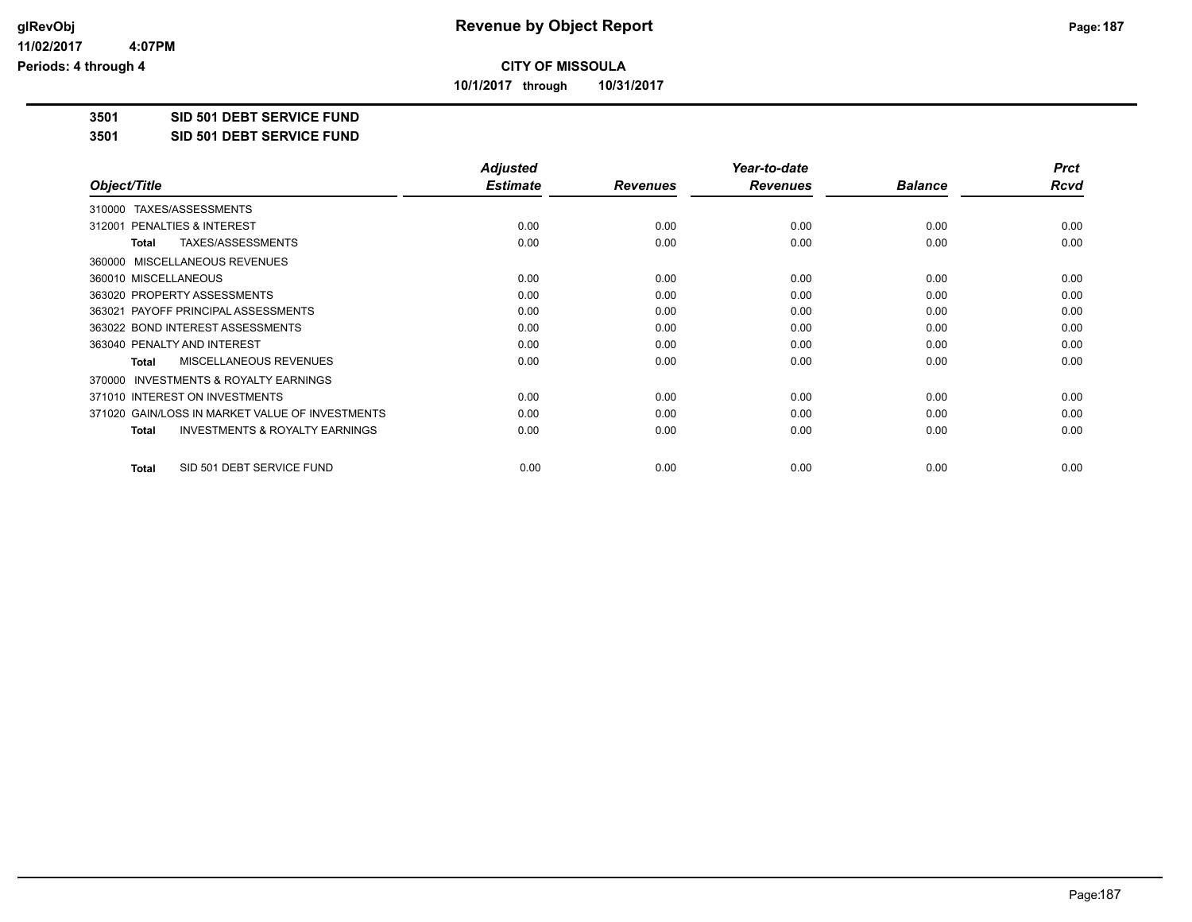**10/1/2017 through 10/31/2017**

**3501 SID 501 DEBT SERVICE FUND**

**3501 SID 501 DEBT SERVICE FUND**

|                                                           | <b>Adjusted</b> |                 | Year-to-date    |                | <b>Prct</b> |
|-----------------------------------------------------------|-----------------|-----------------|-----------------|----------------|-------------|
| Object/Title                                              | <b>Estimate</b> | <b>Revenues</b> | <b>Revenues</b> | <b>Balance</b> | Rcvd        |
| 310000 TAXES/ASSESSMENTS                                  |                 |                 |                 |                |             |
| PENALTIES & INTEREST<br>312001                            | 0.00            | 0.00            | 0.00            | 0.00           | 0.00        |
| TAXES/ASSESSMENTS<br>Total                                | 0.00            | 0.00            | 0.00            | 0.00           | 0.00        |
| 360000 MISCELLANEOUS REVENUES                             |                 |                 |                 |                |             |
| 360010 MISCELLANEOUS                                      | 0.00            | 0.00            | 0.00            | 0.00           | 0.00        |
| 363020 PROPERTY ASSESSMENTS                               | 0.00            | 0.00            | 0.00            | 0.00           | 0.00        |
| 363021 PAYOFF PRINCIPAL ASSESSMENTS                       | 0.00            | 0.00            | 0.00            | 0.00           | 0.00        |
| 363022 BOND INTEREST ASSESSMENTS                          | 0.00            | 0.00            | 0.00            | 0.00           | 0.00        |
| 363040 PENALTY AND INTEREST                               | 0.00            | 0.00            | 0.00            | 0.00           | 0.00        |
| <b>MISCELLANEOUS REVENUES</b><br>Total                    | 0.00            | 0.00            | 0.00            | 0.00           | 0.00        |
| <b>INVESTMENTS &amp; ROYALTY EARNINGS</b><br>370000       |                 |                 |                 |                |             |
| 371010 INTEREST ON INVESTMENTS                            | 0.00            | 0.00            | 0.00            | 0.00           | 0.00        |
| 371020 GAIN/LOSS IN MARKET VALUE OF INVESTMENTS           | 0.00            | 0.00            | 0.00            | 0.00           | 0.00        |
| <b>INVESTMENTS &amp; ROYALTY EARNINGS</b><br><b>Total</b> | 0.00            | 0.00            | 0.00            | 0.00           | 0.00        |
| SID 501 DEBT SERVICE FUND<br><b>Total</b>                 | 0.00            | 0.00            | 0.00            | 0.00           | 0.00        |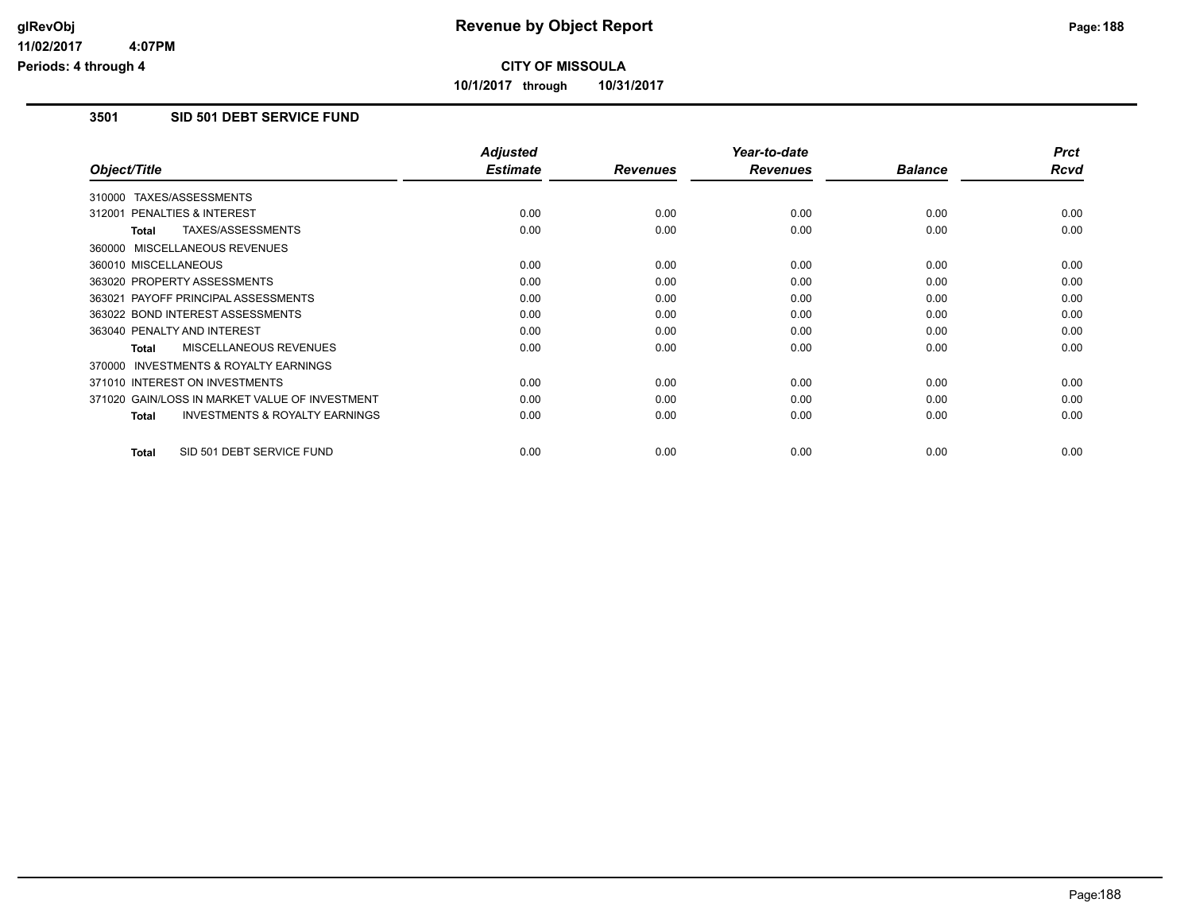**10/1/2017 through 10/31/2017**

# **3501 SID 501 DEBT SERVICE FUND**

|                                                           | <b>Adjusted</b> |                 | Year-to-date    |                | <b>Prct</b> |
|-----------------------------------------------------------|-----------------|-----------------|-----------------|----------------|-------------|
| Object/Title                                              | <b>Estimate</b> | <b>Revenues</b> | <b>Revenues</b> | <b>Balance</b> | Rcvd        |
| 310000 TAXES/ASSESSMENTS                                  |                 |                 |                 |                |             |
| 312001 PENALTIES & INTEREST                               | 0.00            | 0.00            | 0.00            | 0.00           | 0.00        |
| TAXES/ASSESSMENTS<br><b>Total</b>                         | 0.00            | 0.00            | 0.00            | 0.00           | 0.00        |
| 360000 MISCELLANEOUS REVENUES                             |                 |                 |                 |                |             |
| 360010 MISCELLANEOUS                                      | 0.00            | 0.00            | 0.00            | 0.00           | 0.00        |
| 363020 PROPERTY ASSESSMENTS                               | 0.00            | 0.00            | 0.00            | 0.00           | 0.00        |
| 363021 PAYOFF PRINCIPAL ASSESSMENTS                       | 0.00            | 0.00            | 0.00            | 0.00           | 0.00        |
| 363022 BOND INTEREST ASSESSMENTS                          | 0.00            | 0.00            | 0.00            | 0.00           | 0.00        |
| 363040 PENALTY AND INTEREST                               | 0.00            | 0.00            | 0.00            | 0.00           | 0.00        |
| <b>MISCELLANEOUS REVENUES</b><br><b>Total</b>             | 0.00            | 0.00            | 0.00            | 0.00           | 0.00        |
| <b>INVESTMENTS &amp; ROYALTY EARNINGS</b><br>370000       |                 |                 |                 |                |             |
| 371010 INTEREST ON INVESTMENTS                            | 0.00            | 0.00            | 0.00            | 0.00           | 0.00        |
| 371020 GAIN/LOSS IN MARKET VALUE OF INVESTMENT            | 0.00            | 0.00            | 0.00            | 0.00           | 0.00        |
| <b>INVESTMENTS &amp; ROYALTY EARNINGS</b><br><b>Total</b> | 0.00            | 0.00            | 0.00            | 0.00           | 0.00        |
| SID 501 DEBT SERVICE FUND<br><b>Total</b>                 | 0.00            | 0.00            | 0.00            | 0.00           | 0.00        |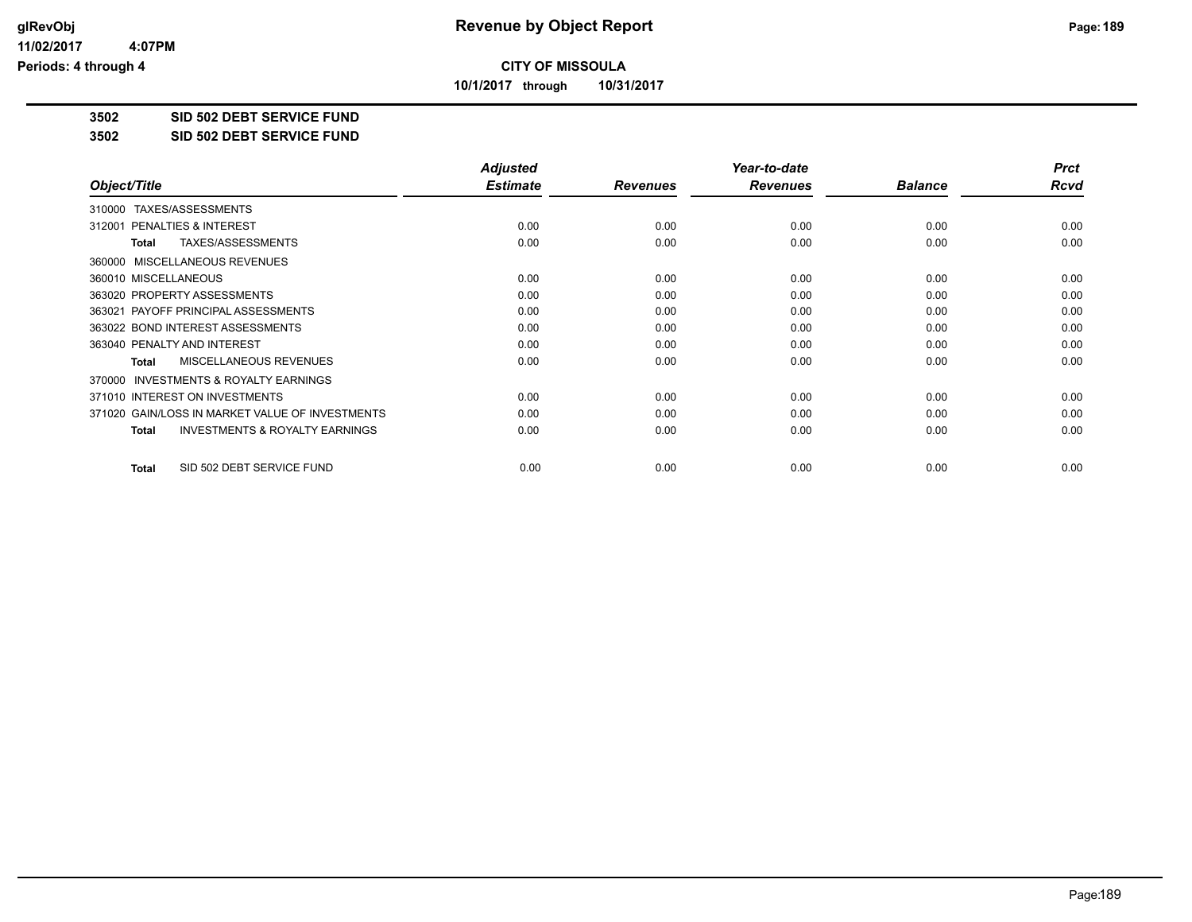**10/1/2017 through 10/31/2017**

**3502 SID 502 DEBT SERVICE FUND**

**3502 SID 502 DEBT SERVICE FUND**

|                                                           | <b>Adjusted</b> |                 | Year-to-date    |                | <b>Prct</b> |
|-----------------------------------------------------------|-----------------|-----------------|-----------------|----------------|-------------|
| Object/Title                                              | <b>Estimate</b> | <b>Revenues</b> | <b>Revenues</b> | <b>Balance</b> | Rcvd        |
| 310000 TAXES/ASSESSMENTS                                  |                 |                 |                 |                |             |
| 312001 PENALTIES & INTEREST                               | 0.00            | 0.00            | 0.00            | 0.00           | 0.00        |
| TAXES/ASSESSMENTS<br><b>Total</b>                         | 0.00            | 0.00            | 0.00            | 0.00           | 0.00        |
| 360000 MISCELLANEOUS REVENUES                             |                 |                 |                 |                |             |
| 360010 MISCELLANEOUS                                      | 0.00            | 0.00            | 0.00            | 0.00           | 0.00        |
| 363020 PROPERTY ASSESSMENTS                               | 0.00            | 0.00            | 0.00            | 0.00           | 0.00        |
| 363021 PAYOFF PRINCIPAL ASSESSMENTS                       | 0.00            | 0.00            | 0.00            | 0.00           | 0.00        |
| 363022 BOND INTEREST ASSESSMENTS                          | 0.00            | 0.00            | 0.00            | 0.00           | 0.00        |
| 363040 PENALTY AND INTEREST                               | 0.00            | 0.00            | 0.00            | 0.00           | 0.00        |
| <b>MISCELLANEOUS REVENUES</b><br><b>Total</b>             | 0.00            | 0.00            | 0.00            | 0.00           | 0.00        |
| 370000 INVESTMENTS & ROYALTY EARNINGS                     |                 |                 |                 |                |             |
| 371010 INTEREST ON INVESTMENTS                            | 0.00            | 0.00            | 0.00            | 0.00           | 0.00        |
| 371020 GAIN/LOSS IN MARKET VALUE OF INVESTMENTS           | 0.00            | 0.00            | 0.00            | 0.00           | 0.00        |
| <b>INVESTMENTS &amp; ROYALTY EARNINGS</b><br><b>Total</b> | 0.00            | 0.00            | 0.00            | 0.00           | 0.00        |
| SID 502 DEBT SERVICE FUND<br><b>Total</b>                 | 0.00            | 0.00            | 0.00            | 0.00           | 0.00        |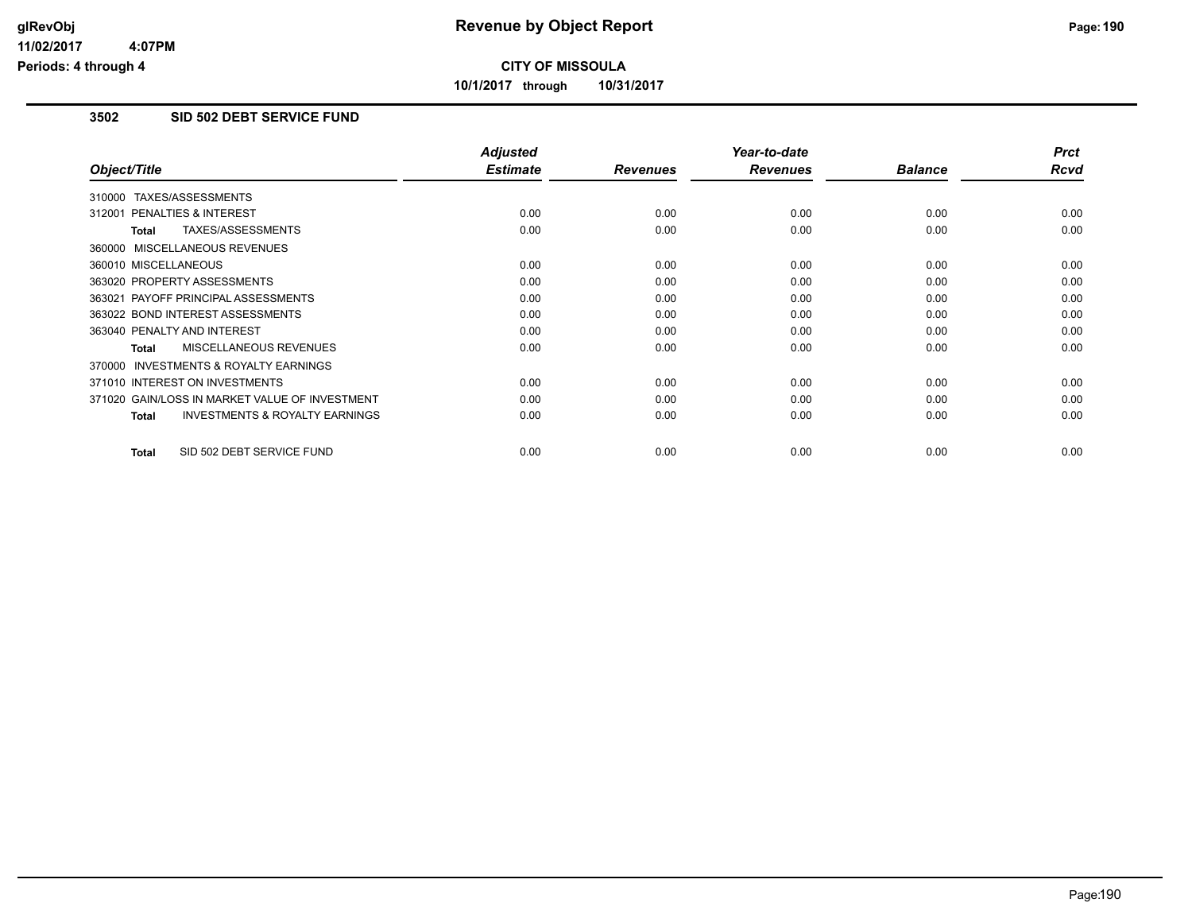**10/1/2017 through 10/31/2017**

## **3502 SID 502 DEBT SERVICE FUND**

|                                                           | <b>Adjusted</b> |                 | Year-to-date    |                | <b>Prct</b> |
|-----------------------------------------------------------|-----------------|-----------------|-----------------|----------------|-------------|
| Object/Title                                              | <b>Estimate</b> | <b>Revenues</b> | <b>Revenues</b> | <b>Balance</b> | <b>Rcvd</b> |
| 310000 TAXES/ASSESSMENTS                                  |                 |                 |                 |                |             |
| 312001 PENALTIES & INTEREST                               | 0.00            | 0.00            | 0.00            | 0.00           | 0.00        |
| TAXES/ASSESSMENTS<br><b>Total</b>                         | 0.00            | 0.00            | 0.00            | 0.00           | 0.00        |
| 360000 MISCELLANEOUS REVENUES                             |                 |                 |                 |                |             |
| 360010 MISCELLANEOUS                                      | 0.00            | 0.00            | 0.00            | 0.00           | 0.00        |
| 363020 PROPERTY ASSESSMENTS                               | 0.00            | 0.00            | 0.00            | 0.00           | 0.00        |
| 363021 PAYOFF PRINCIPAL ASSESSMENTS                       | 0.00            | 0.00            | 0.00            | 0.00           | 0.00        |
| 363022 BOND INTEREST ASSESSMENTS                          | 0.00            | 0.00            | 0.00            | 0.00           | 0.00        |
| 363040 PENALTY AND INTEREST                               | 0.00            | 0.00            | 0.00            | 0.00           | 0.00        |
| <b>MISCELLANEOUS REVENUES</b><br><b>Total</b>             | 0.00            | 0.00            | 0.00            | 0.00           | 0.00        |
| <b>INVESTMENTS &amp; ROYALTY EARNINGS</b><br>370000       |                 |                 |                 |                |             |
| 371010 INTEREST ON INVESTMENTS                            | 0.00            | 0.00            | 0.00            | 0.00           | 0.00        |
| 371020 GAIN/LOSS IN MARKET VALUE OF INVESTMENT            | 0.00            | 0.00            | 0.00            | 0.00           | 0.00        |
| <b>INVESTMENTS &amp; ROYALTY EARNINGS</b><br><b>Total</b> | 0.00            | 0.00            | 0.00            | 0.00           | 0.00        |
| SID 502 DEBT SERVICE FUND<br><b>Total</b>                 | 0.00            | 0.00            | 0.00            | 0.00           | 0.00        |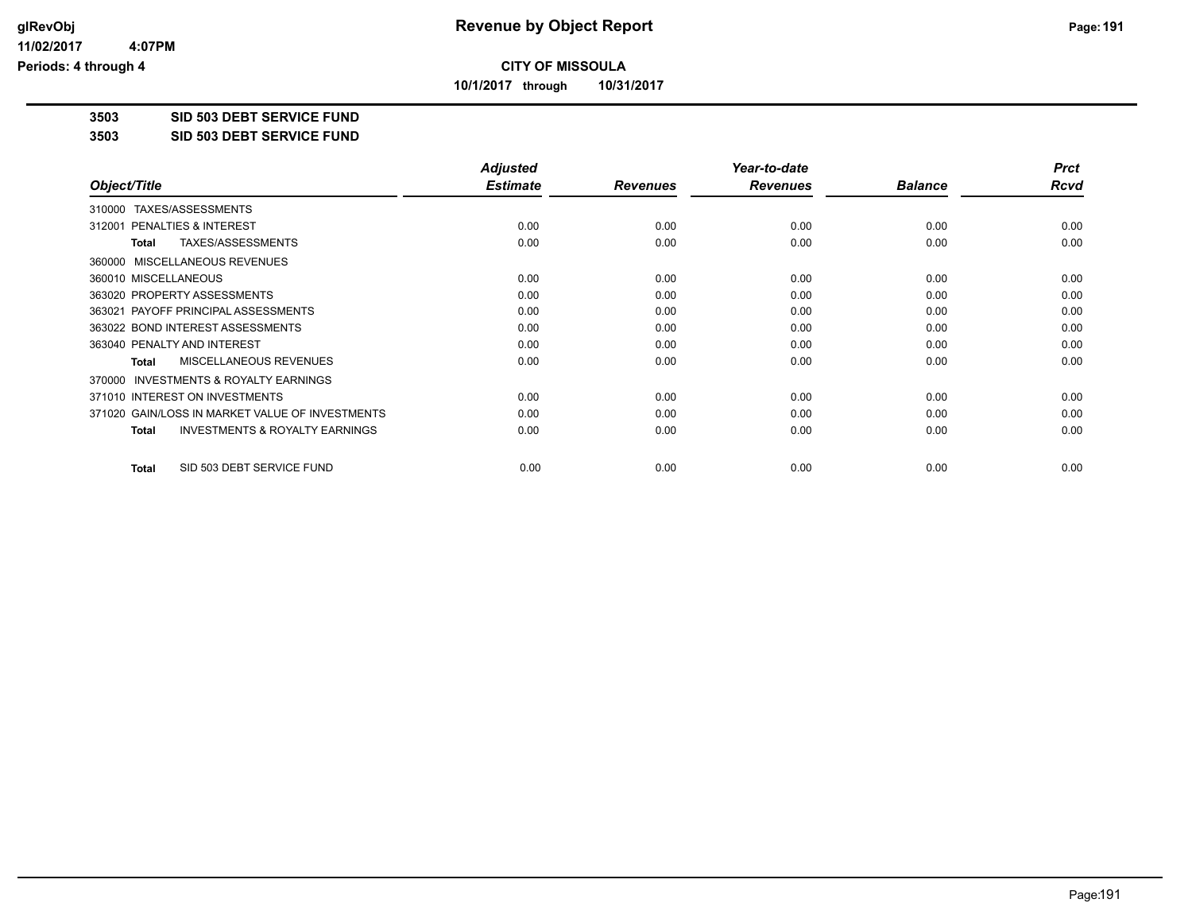**10/1/2017 through 10/31/2017**

**3503 SID 503 DEBT SERVICE FUND**

**3503 SID 503 DEBT SERVICE FUND**

|                                                     | <b>Adjusted</b> |                 | Year-to-date    |                | <b>Prct</b> |
|-----------------------------------------------------|-----------------|-----------------|-----------------|----------------|-------------|
| Object/Title                                        | <b>Estimate</b> | <b>Revenues</b> | <b>Revenues</b> | <b>Balance</b> | Rcvd        |
| 310000 TAXES/ASSESSMENTS                            |                 |                 |                 |                |             |
| PENALTIES & INTEREST<br>312001                      | 0.00            | 0.00            | 0.00            | 0.00           | 0.00        |
| TAXES/ASSESSMENTS<br>Total                          | 0.00            | 0.00            | 0.00            | 0.00           | 0.00        |
| 360000 MISCELLANEOUS REVENUES                       |                 |                 |                 |                |             |
| 360010 MISCELLANEOUS                                | 0.00            | 0.00            | 0.00            | 0.00           | 0.00        |
| 363020 PROPERTY ASSESSMENTS                         | 0.00            | 0.00            | 0.00            | 0.00           | 0.00        |
| 363021 PAYOFF PRINCIPAL ASSESSMENTS                 | 0.00            | 0.00            | 0.00            | 0.00           | 0.00        |
| 363022 BOND INTEREST ASSESSMENTS                    | 0.00            | 0.00            | 0.00            | 0.00           | 0.00        |
| 363040 PENALTY AND INTEREST                         | 0.00            | 0.00            | 0.00            | 0.00           | 0.00        |
| <b>MISCELLANEOUS REVENUES</b><br>Total              | 0.00            | 0.00            | 0.00            | 0.00           | 0.00        |
| <b>INVESTMENTS &amp; ROYALTY EARNINGS</b><br>370000 |                 |                 |                 |                |             |
| 371010 INTEREST ON INVESTMENTS                      | 0.00            | 0.00            | 0.00            | 0.00           | 0.00        |
| 371020 GAIN/LOSS IN MARKET VALUE OF INVESTMENTS     | 0.00            | 0.00            | 0.00            | 0.00           | 0.00        |
| <b>INVESTMENTS &amp; ROYALTY EARNINGS</b><br>Total  | 0.00            | 0.00            | 0.00            | 0.00           | 0.00        |
| SID 503 DEBT SERVICE FUND<br><b>Total</b>           | 0.00            | 0.00            | 0.00            | 0.00           | 0.00        |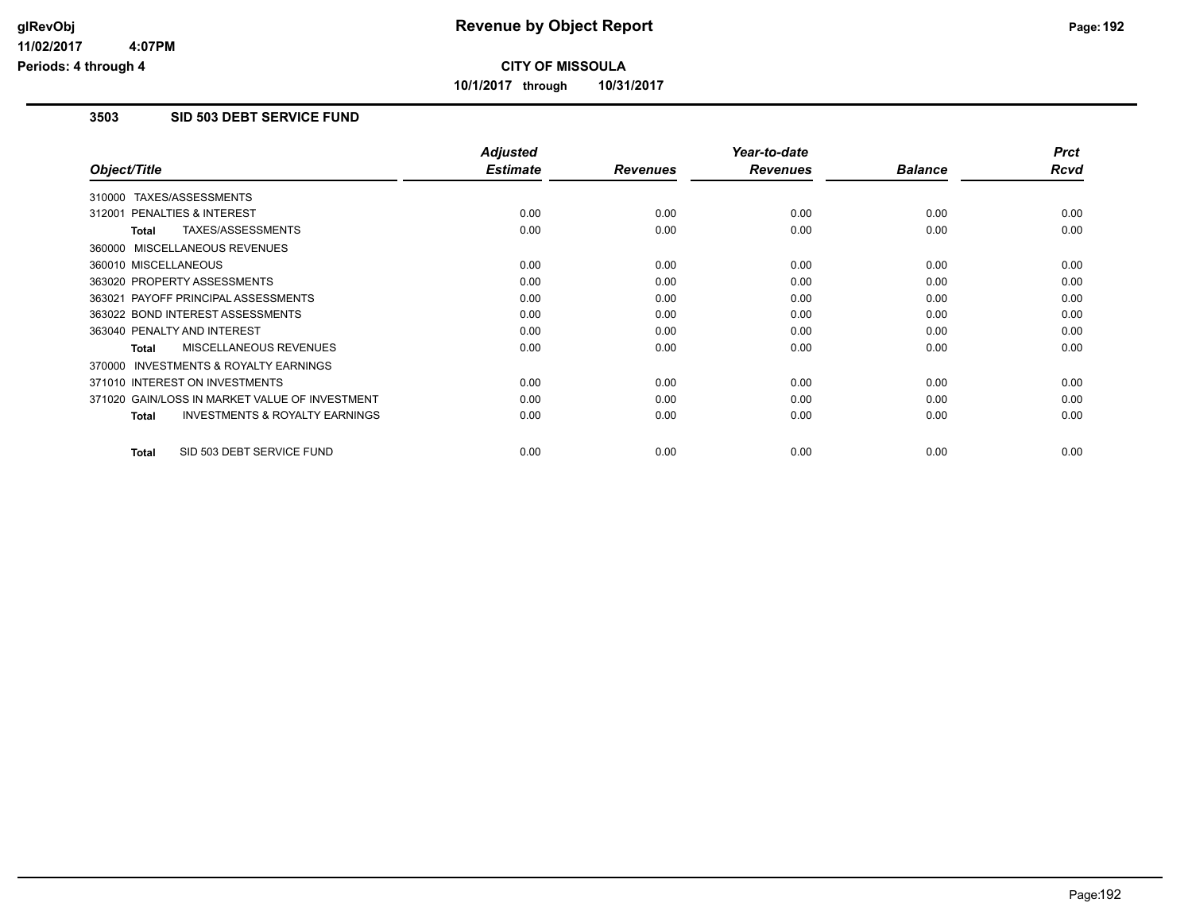**10/1/2017 through 10/31/2017**

## **3503 SID 503 DEBT SERVICE FUND**

|                                                           | <b>Adjusted</b> |                 | Year-to-date    |                | <b>Prct</b> |
|-----------------------------------------------------------|-----------------|-----------------|-----------------|----------------|-------------|
| Object/Title                                              | <b>Estimate</b> | <b>Revenues</b> | <b>Revenues</b> | <b>Balance</b> | Rcvd        |
| 310000 TAXES/ASSESSMENTS                                  |                 |                 |                 |                |             |
| 312001 PENALTIES & INTEREST                               | 0.00            | 0.00            | 0.00            | 0.00           | 0.00        |
| TAXES/ASSESSMENTS<br><b>Total</b>                         | 0.00            | 0.00            | 0.00            | 0.00           | 0.00        |
| 360000 MISCELLANEOUS REVENUES                             |                 |                 |                 |                |             |
| 360010 MISCELLANEOUS                                      | 0.00            | 0.00            | 0.00            | 0.00           | 0.00        |
| 363020 PROPERTY ASSESSMENTS                               | 0.00            | 0.00            | 0.00            | 0.00           | 0.00        |
| 363021 PAYOFF PRINCIPAL ASSESSMENTS                       | 0.00            | 0.00            | 0.00            | 0.00           | 0.00        |
| 363022 BOND INTEREST ASSESSMENTS                          | 0.00            | 0.00            | 0.00            | 0.00           | 0.00        |
| 363040 PENALTY AND INTEREST                               | 0.00            | 0.00            | 0.00            | 0.00           | 0.00        |
| <b>MISCELLANEOUS REVENUES</b><br>Total                    | 0.00            | 0.00            | 0.00            | 0.00           | 0.00        |
| <b>INVESTMENTS &amp; ROYALTY EARNINGS</b><br>370000       |                 |                 |                 |                |             |
| 371010 INTEREST ON INVESTMENTS                            | 0.00            | 0.00            | 0.00            | 0.00           | 0.00        |
| 371020 GAIN/LOSS IN MARKET VALUE OF INVESTMENT            | 0.00            | 0.00            | 0.00            | 0.00           | 0.00        |
| <b>INVESTMENTS &amp; ROYALTY EARNINGS</b><br><b>Total</b> | 0.00            | 0.00            | 0.00            | 0.00           | 0.00        |
| SID 503 DEBT SERVICE FUND<br><b>Total</b>                 | 0.00            | 0.00            | 0.00            | 0.00           | 0.00        |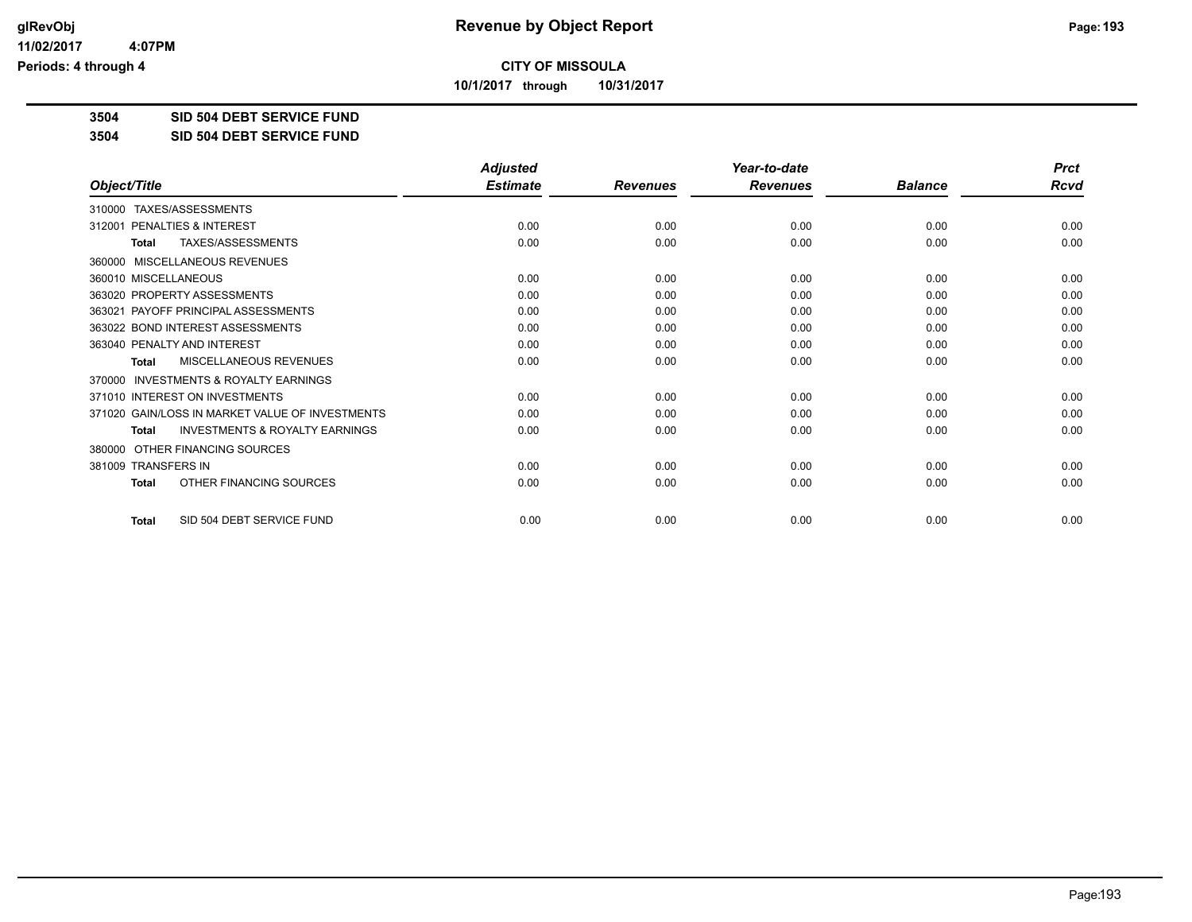**10/1/2017 through 10/31/2017**

**3504 SID 504 DEBT SERVICE FUND**

**3504 SID 504 DEBT SERVICE FUND**

|                                                     | <b>Adjusted</b> |                 | Year-to-date    |                | <b>Prct</b> |
|-----------------------------------------------------|-----------------|-----------------|-----------------|----------------|-------------|
| Object/Title                                        | <b>Estimate</b> | <b>Revenues</b> | <b>Revenues</b> | <b>Balance</b> | <b>Rcvd</b> |
| 310000 TAXES/ASSESSMENTS                            |                 |                 |                 |                |             |
| PENALTIES & INTEREST<br>312001                      | 0.00            | 0.00            | 0.00            | 0.00           | 0.00        |
| <b>TAXES/ASSESSMENTS</b><br><b>Total</b>            | 0.00            | 0.00            | 0.00            | 0.00           | 0.00        |
| MISCELLANEOUS REVENUES<br>360000                    |                 |                 |                 |                |             |
| 360010 MISCELLANEOUS                                | 0.00            | 0.00            | 0.00            | 0.00           | 0.00        |
| 363020 PROPERTY ASSESSMENTS                         | 0.00            | 0.00            | 0.00            | 0.00           | 0.00        |
| 363021 PAYOFF PRINCIPAL ASSESSMENTS                 | 0.00            | 0.00            | 0.00            | 0.00           | 0.00        |
| 363022 BOND INTEREST ASSESSMENTS                    | 0.00            | 0.00            | 0.00            | 0.00           | 0.00        |
| 363040 PENALTY AND INTEREST                         | 0.00            | 0.00            | 0.00            | 0.00           | 0.00        |
| MISCELLANEOUS REVENUES<br>Total                     | 0.00            | 0.00            | 0.00            | 0.00           | 0.00        |
| <b>INVESTMENTS &amp; ROYALTY EARNINGS</b><br>370000 |                 |                 |                 |                |             |
| 371010 INTEREST ON INVESTMENTS                      | 0.00            | 0.00            | 0.00            | 0.00           | 0.00        |
| 371020 GAIN/LOSS IN MARKET VALUE OF INVESTMENTS     | 0.00            | 0.00            | 0.00            | 0.00           | 0.00        |
| <b>INVESTMENTS &amp; ROYALTY EARNINGS</b><br>Total  | 0.00            | 0.00            | 0.00            | 0.00           | 0.00        |
| OTHER FINANCING SOURCES<br>380000                   |                 |                 |                 |                |             |
| 381009 TRANSFERS IN                                 | 0.00            | 0.00            | 0.00            | 0.00           | 0.00        |
| OTHER FINANCING SOURCES<br><b>Total</b>             | 0.00            | 0.00            | 0.00            | 0.00           | 0.00        |
| SID 504 DEBT SERVICE FUND<br><b>Total</b>           | 0.00            | 0.00            | 0.00            | 0.00           | 0.00        |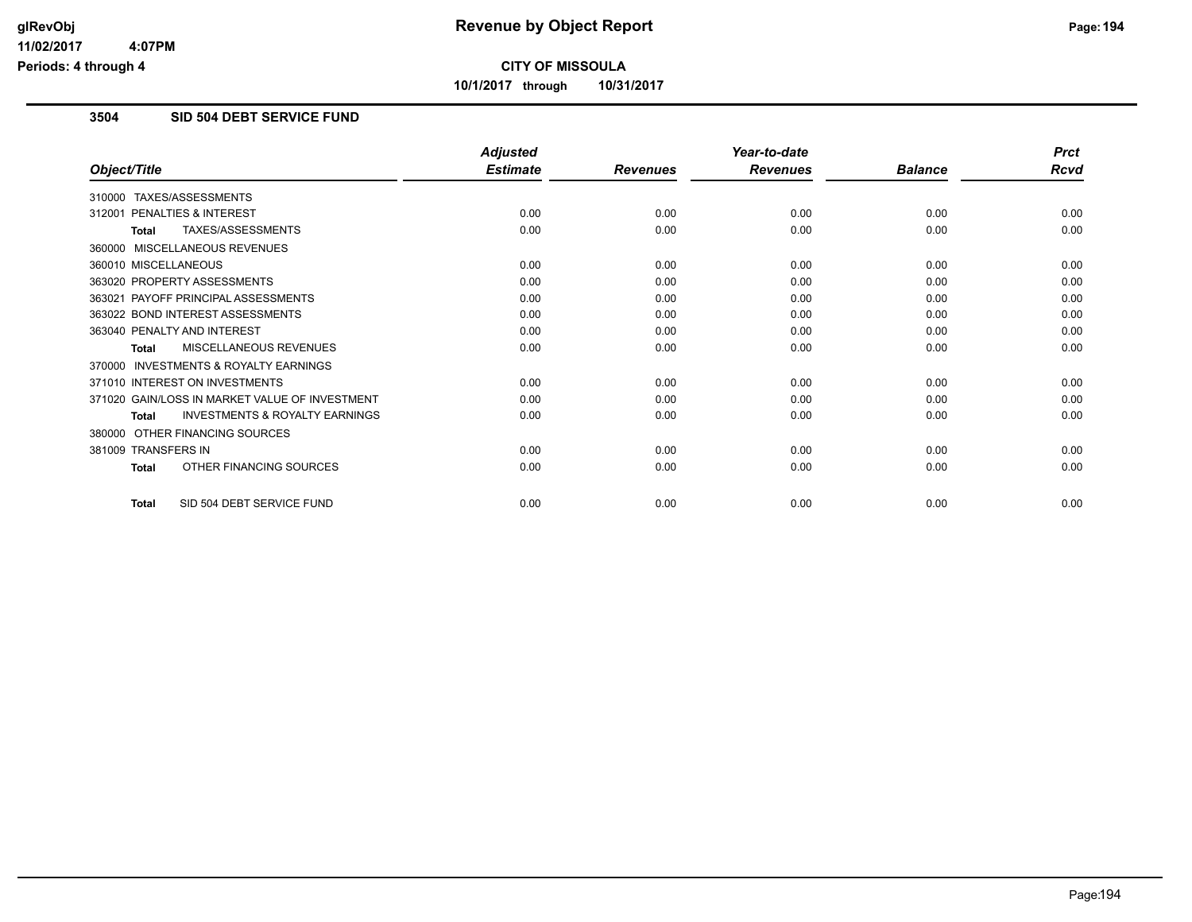**10/1/2017 through 10/31/2017**

## **3504 SID 504 DEBT SERVICE FUND**

|                                                           | <b>Adjusted</b> |                 | Year-to-date    |                | <b>Prct</b> |
|-----------------------------------------------------------|-----------------|-----------------|-----------------|----------------|-------------|
| Object/Title                                              | <b>Estimate</b> | <b>Revenues</b> | <b>Revenues</b> | <b>Balance</b> | <b>Rcvd</b> |
| 310000 TAXES/ASSESSMENTS                                  |                 |                 |                 |                |             |
| PENALTIES & INTEREST<br>312001                            | 0.00            | 0.00            | 0.00            | 0.00           | 0.00        |
| TAXES/ASSESSMENTS<br><b>Total</b>                         | 0.00            | 0.00            | 0.00            | 0.00           | 0.00        |
| 360000 MISCELLANEOUS REVENUES                             |                 |                 |                 |                |             |
| 360010 MISCELLANEOUS                                      | 0.00            | 0.00            | 0.00            | 0.00           | 0.00        |
| 363020 PROPERTY ASSESSMENTS                               | 0.00            | 0.00            | 0.00            | 0.00           | 0.00        |
| 363021 PAYOFF PRINCIPAL ASSESSMENTS                       | 0.00            | 0.00            | 0.00            | 0.00           | 0.00        |
| 363022 BOND INTEREST ASSESSMENTS                          | 0.00            | 0.00            | 0.00            | 0.00           | 0.00        |
| 363040 PENALTY AND INTEREST                               | 0.00            | 0.00            | 0.00            | 0.00           | 0.00        |
| MISCELLANEOUS REVENUES<br><b>Total</b>                    | 0.00            | 0.00            | 0.00            | 0.00           | 0.00        |
| <b>INVESTMENTS &amp; ROYALTY EARNINGS</b><br>370000       |                 |                 |                 |                |             |
| 371010 INTEREST ON INVESTMENTS                            | 0.00            | 0.00            | 0.00            | 0.00           | 0.00        |
| 371020 GAIN/LOSS IN MARKET VALUE OF INVESTMENT            | 0.00            | 0.00            | 0.00            | 0.00           | 0.00        |
| <b>INVESTMENTS &amp; ROYALTY EARNINGS</b><br><b>Total</b> | 0.00            | 0.00            | 0.00            | 0.00           | 0.00        |
| OTHER FINANCING SOURCES<br>380000                         |                 |                 |                 |                |             |
| 381009 TRANSFERS IN                                       | 0.00            | 0.00            | 0.00            | 0.00           | 0.00        |
| OTHER FINANCING SOURCES<br><b>Total</b>                   | 0.00            | 0.00            | 0.00            | 0.00           | 0.00        |
| SID 504 DEBT SERVICE FUND<br><b>Total</b>                 | 0.00            | 0.00            | 0.00            | 0.00           | 0.00        |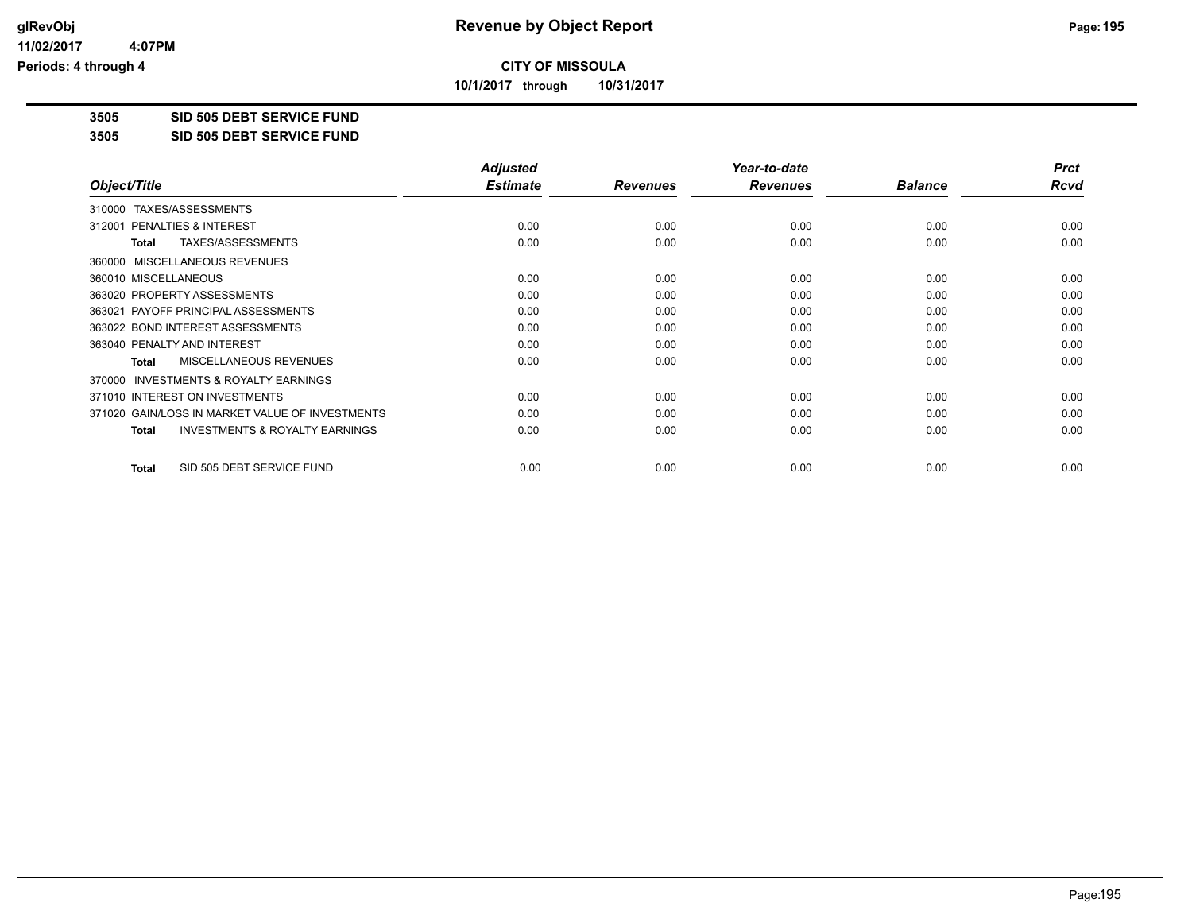**10/1/2017 through 10/31/2017**

**3505 SID 505 DEBT SERVICE FUND**

**3505 SID 505 DEBT SERVICE FUND**

|                                                           | <b>Adjusted</b> |                 | Year-to-date    |                | <b>Prct</b> |
|-----------------------------------------------------------|-----------------|-----------------|-----------------|----------------|-------------|
| Object/Title                                              | <b>Estimate</b> | <b>Revenues</b> | <b>Revenues</b> | <b>Balance</b> | Rcvd        |
| 310000 TAXES/ASSESSMENTS                                  |                 |                 |                 |                |             |
| 312001 PENALTIES & INTEREST                               | 0.00            | 0.00            | 0.00            | 0.00           | 0.00        |
| TAXES/ASSESSMENTS<br><b>Total</b>                         | 0.00            | 0.00            | 0.00            | 0.00           | 0.00        |
| MISCELLANEOUS REVENUES<br>360000                          |                 |                 |                 |                |             |
| 360010 MISCELLANEOUS                                      | 0.00            | 0.00            | 0.00            | 0.00           | 0.00        |
| 363020 PROPERTY ASSESSMENTS                               | 0.00            | 0.00            | 0.00            | 0.00           | 0.00        |
| 363021 PAYOFF PRINCIPAL ASSESSMENTS                       | 0.00            | 0.00            | 0.00            | 0.00           | 0.00        |
| 363022 BOND INTEREST ASSESSMENTS                          | 0.00            | 0.00            | 0.00            | 0.00           | 0.00        |
| 363040 PENALTY AND INTEREST                               | 0.00            | 0.00            | 0.00            | 0.00           | 0.00        |
| <b>MISCELLANEOUS REVENUES</b><br>Total                    | 0.00            | 0.00            | 0.00            | 0.00           | 0.00        |
| 370000 INVESTMENTS & ROYALTY EARNINGS                     |                 |                 |                 |                |             |
| 371010 INTEREST ON INVESTMENTS                            | 0.00            | 0.00            | 0.00            | 0.00           | 0.00        |
| 371020 GAIN/LOSS IN MARKET VALUE OF INVESTMENTS           | 0.00            | 0.00            | 0.00            | 0.00           | 0.00        |
| <b>INVESTMENTS &amp; ROYALTY EARNINGS</b><br><b>Total</b> | 0.00            | 0.00            | 0.00            | 0.00           | 0.00        |
| SID 505 DEBT SERVICE FUND<br><b>Total</b>                 | 0.00            | 0.00            | 0.00            | 0.00           | 0.00        |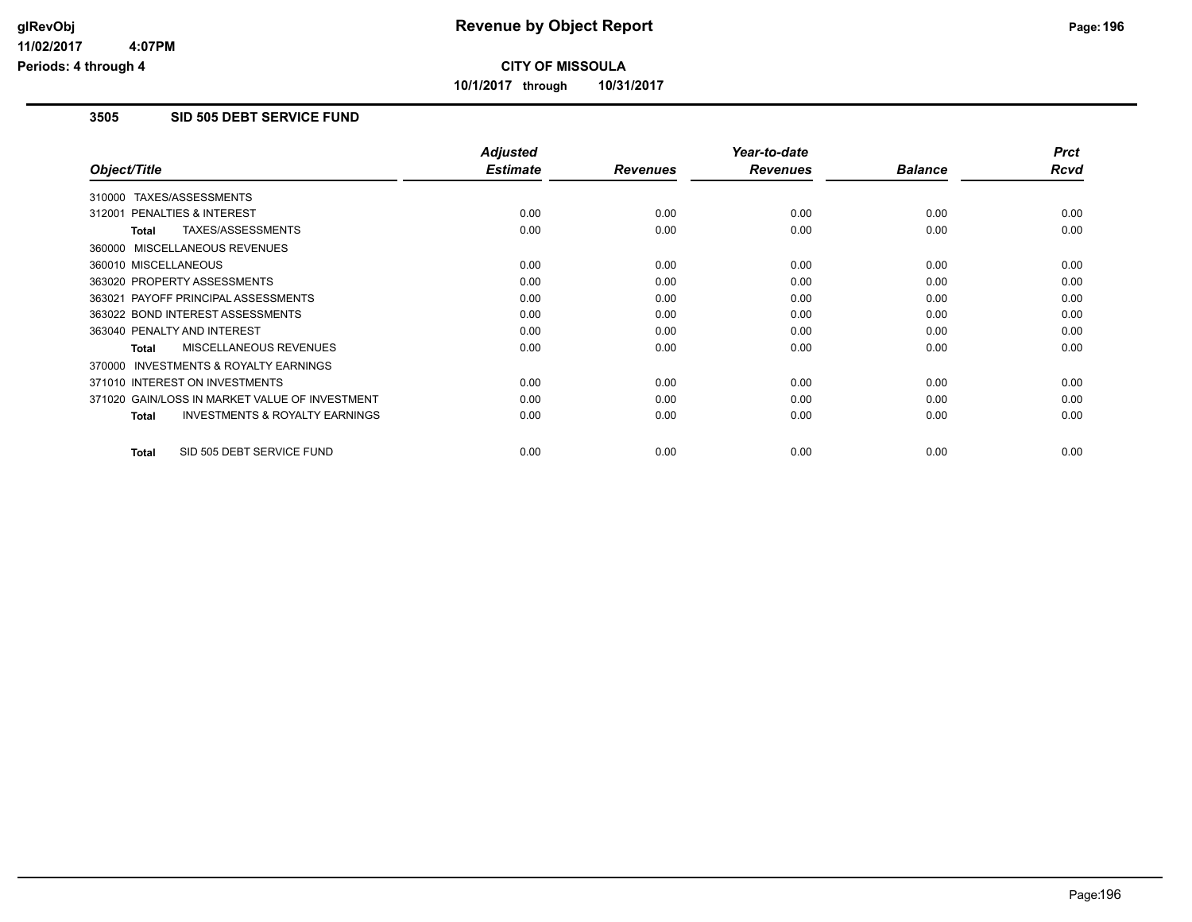**10/1/2017 through 10/31/2017**

## **3505 SID 505 DEBT SERVICE FUND**

|                                                           | <b>Adjusted</b> |                 | Year-to-date    |                | <b>Prct</b> |
|-----------------------------------------------------------|-----------------|-----------------|-----------------|----------------|-------------|
| Object/Title                                              | <b>Estimate</b> | <b>Revenues</b> | <b>Revenues</b> | <b>Balance</b> | Rcvd        |
| 310000 TAXES/ASSESSMENTS                                  |                 |                 |                 |                |             |
| 312001 PENALTIES & INTEREST                               | 0.00            | 0.00            | 0.00            | 0.00           | 0.00        |
| TAXES/ASSESSMENTS<br><b>Total</b>                         | 0.00            | 0.00            | 0.00            | 0.00           | 0.00        |
| 360000 MISCELLANEOUS REVENUES                             |                 |                 |                 |                |             |
| 360010 MISCELLANEOUS                                      | 0.00            | 0.00            | 0.00            | 0.00           | 0.00        |
| 363020 PROPERTY ASSESSMENTS                               | 0.00            | 0.00            | 0.00            | 0.00           | 0.00        |
| 363021 PAYOFF PRINCIPAL ASSESSMENTS                       | 0.00            | 0.00            | 0.00            | 0.00           | 0.00        |
| 363022 BOND INTEREST ASSESSMENTS                          | 0.00            | 0.00            | 0.00            | 0.00           | 0.00        |
| 363040 PENALTY AND INTEREST                               | 0.00            | 0.00            | 0.00            | 0.00           | 0.00        |
| <b>MISCELLANEOUS REVENUES</b><br><b>Total</b>             | 0.00            | 0.00            | 0.00            | 0.00           | 0.00        |
| INVESTMENTS & ROYALTY EARNINGS<br>370000                  |                 |                 |                 |                |             |
| 371010 INTEREST ON INVESTMENTS                            | 0.00            | 0.00            | 0.00            | 0.00           | 0.00        |
| 371020 GAIN/LOSS IN MARKET VALUE OF INVESTMENT            | 0.00            | 0.00            | 0.00            | 0.00           | 0.00        |
| <b>INVESTMENTS &amp; ROYALTY EARNINGS</b><br><b>Total</b> | 0.00            | 0.00            | 0.00            | 0.00           | 0.00        |
| SID 505 DEBT SERVICE FUND<br><b>Total</b>                 | 0.00            | 0.00            | 0.00            | 0.00           | 0.00        |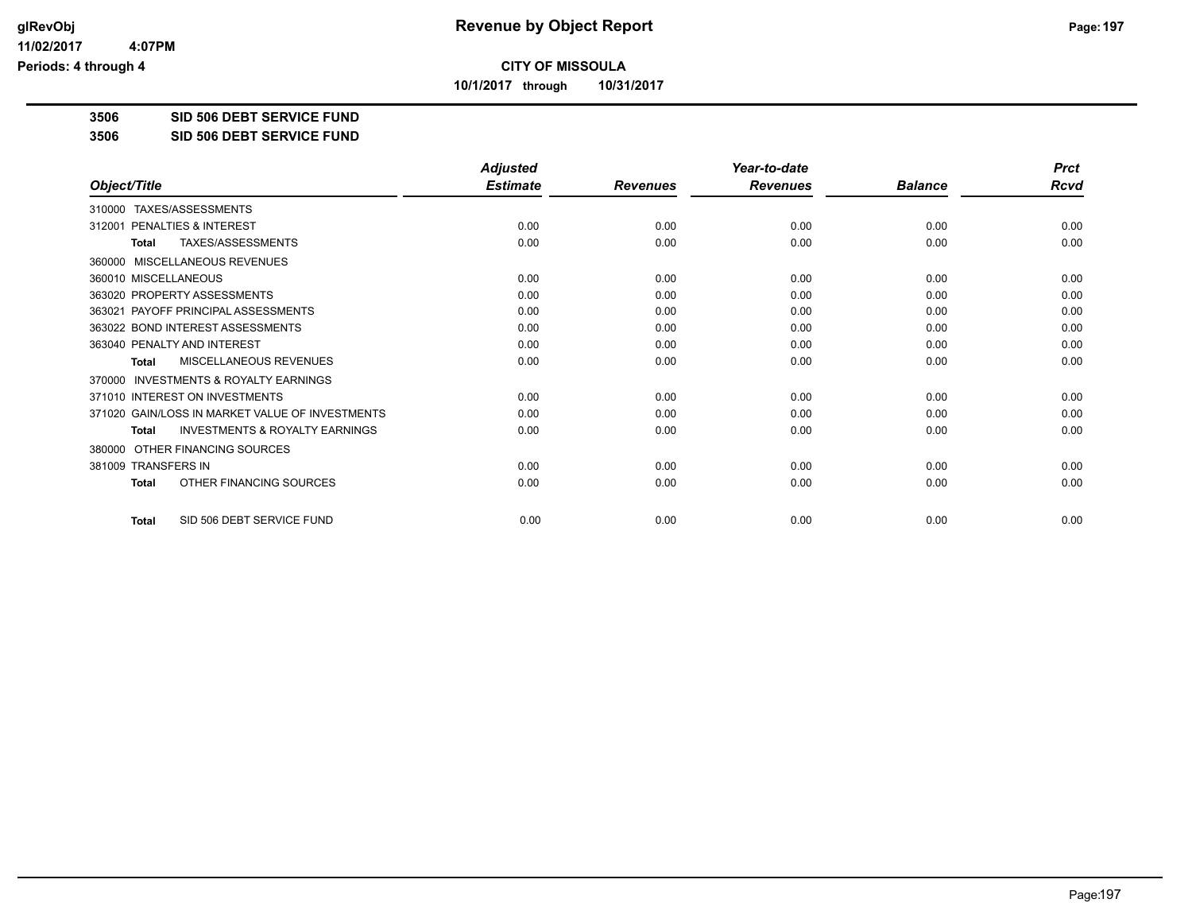**10/1/2017 through 10/31/2017**

**3506 SID 506 DEBT SERVICE FUND**

**3506 SID 506 DEBT SERVICE FUND**

|                                                           | <b>Adjusted</b> |                 | Year-to-date    |                | <b>Prct</b> |
|-----------------------------------------------------------|-----------------|-----------------|-----------------|----------------|-------------|
| Object/Title                                              | <b>Estimate</b> | <b>Revenues</b> | <b>Revenues</b> | <b>Balance</b> | <b>Rcvd</b> |
| TAXES/ASSESSMENTS<br>310000                               |                 |                 |                 |                |             |
| PENALTIES & INTEREST<br>312001                            | 0.00            | 0.00            | 0.00            | 0.00           | 0.00        |
| TAXES/ASSESSMENTS<br>Total                                | 0.00            | 0.00            | 0.00            | 0.00           | 0.00        |
| MISCELLANEOUS REVENUES<br>360000                          |                 |                 |                 |                |             |
| 360010 MISCELLANEOUS                                      | 0.00            | 0.00            | 0.00            | 0.00           | 0.00        |
| 363020 PROPERTY ASSESSMENTS                               | 0.00            | 0.00            | 0.00            | 0.00           | 0.00        |
| 363021 PAYOFF PRINCIPAL ASSESSMENTS                       | 0.00            | 0.00            | 0.00            | 0.00           | 0.00        |
| 363022 BOND INTEREST ASSESSMENTS                          | 0.00            | 0.00            | 0.00            | 0.00           | 0.00        |
| 363040 PENALTY AND INTEREST                               | 0.00            | 0.00            | 0.00            | 0.00           | 0.00        |
| MISCELLANEOUS REVENUES<br><b>Total</b>                    | 0.00            | 0.00            | 0.00            | 0.00           | 0.00        |
| <b>INVESTMENTS &amp; ROYALTY EARNINGS</b><br>370000       |                 |                 |                 |                |             |
| 371010 INTEREST ON INVESTMENTS                            | 0.00            | 0.00            | 0.00            | 0.00           | 0.00        |
| 371020 GAIN/LOSS IN MARKET VALUE OF INVESTMENTS           | 0.00            | 0.00            | 0.00            | 0.00           | 0.00        |
| <b>INVESTMENTS &amp; ROYALTY EARNINGS</b><br><b>Total</b> | 0.00            | 0.00            | 0.00            | 0.00           | 0.00        |
| OTHER FINANCING SOURCES<br>380000                         |                 |                 |                 |                |             |
| 381009 TRANSFERS IN                                       | 0.00            | 0.00            | 0.00            | 0.00           | 0.00        |
| OTHER FINANCING SOURCES<br><b>Total</b>                   | 0.00            | 0.00            | 0.00            | 0.00           | 0.00        |
| SID 506 DEBT SERVICE FUND<br><b>Total</b>                 | 0.00            | 0.00            | 0.00            | 0.00           | 0.00        |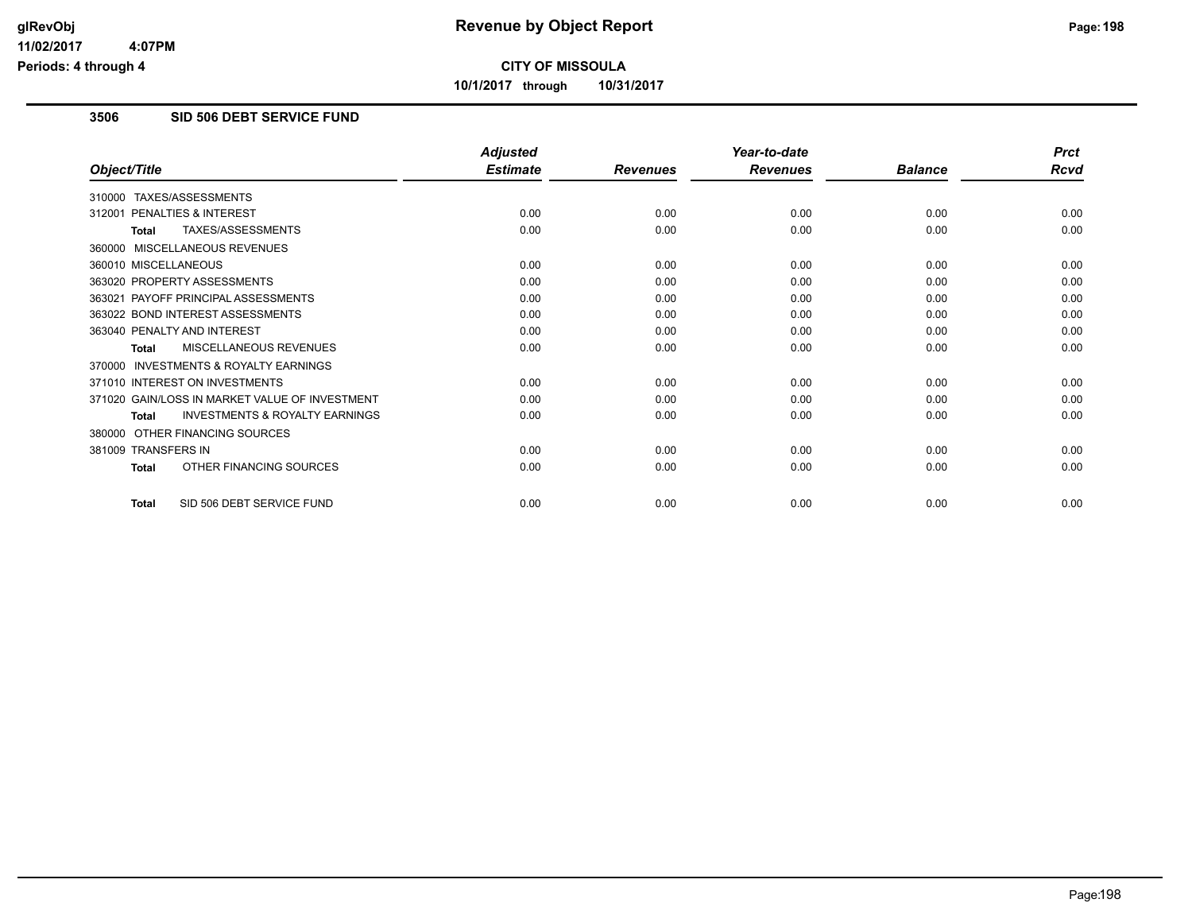**Periods: 4 through 4**

**CITY OF MISSOULA**

**10/1/2017 through 10/31/2017**

### **3506 SID 506 DEBT SERVICE FUND**

|                                                           | <b>Adjusted</b> |                 | Year-to-date    |                | <b>Prct</b> |
|-----------------------------------------------------------|-----------------|-----------------|-----------------|----------------|-------------|
| Object/Title                                              | <b>Estimate</b> | <b>Revenues</b> | <b>Revenues</b> | <b>Balance</b> | <b>Rcvd</b> |
| 310000 TAXES/ASSESSMENTS                                  |                 |                 |                 |                |             |
| PENALTIES & INTEREST<br>312001                            | 0.00            | 0.00            | 0.00            | 0.00           | 0.00        |
| TAXES/ASSESSMENTS<br><b>Total</b>                         | 0.00            | 0.00            | 0.00            | 0.00           | 0.00        |
| 360000 MISCELLANEOUS REVENUES                             |                 |                 |                 |                |             |
| 360010 MISCELLANEOUS                                      | 0.00            | 0.00            | 0.00            | 0.00           | 0.00        |
| 363020 PROPERTY ASSESSMENTS                               | 0.00            | 0.00            | 0.00            | 0.00           | 0.00        |
| 363021 PAYOFF PRINCIPAL ASSESSMENTS                       | 0.00            | 0.00            | 0.00            | 0.00           | 0.00        |
| 363022 BOND INTEREST ASSESSMENTS                          | 0.00            | 0.00            | 0.00            | 0.00           | 0.00        |
| 363040 PENALTY AND INTEREST                               | 0.00            | 0.00            | 0.00            | 0.00           | 0.00        |
| MISCELLANEOUS REVENUES<br><b>Total</b>                    | 0.00            | 0.00            | 0.00            | 0.00           | 0.00        |
| INVESTMENTS & ROYALTY EARNINGS<br>370000                  |                 |                 |                 |                |             |
| 371010 INTEREST ON INVESTMENTS                            | 0.00            | 0.00            | 0.00            | 0.00           | 0.00        |
| 371020 GAIN/LOSS IN MARKET VALUE OF INVESTMENT            | 0.00            | 0.00            | 0.00            | 0.00           | 0.00        |
| <b>INVESTMENTS &amp; ROYALTY EARNINGS</b><br><b>Total</b> | 0.00            | 0.00            | 0.00            | 0.00           | 0.00        |
| OTHER FINANCING SOURCES<br>380000                         |                 |                 |                 |                |             |
| 381009 TRANSFERS IN                                       | 0.00            | 0.00            | 0.00            | 0.00           | 0.00        |
| OTHER FINANCING SOURCES<br><b>Total</b>                   | 0.00            | 0.00            | 0.00            | 0.00           | 0.00        |
| SID 506 DEBT SERVICE FUND<br><b>Total</b>                 | 0.00            | 0.00            | 0.00            | 0.00           | 0.00        |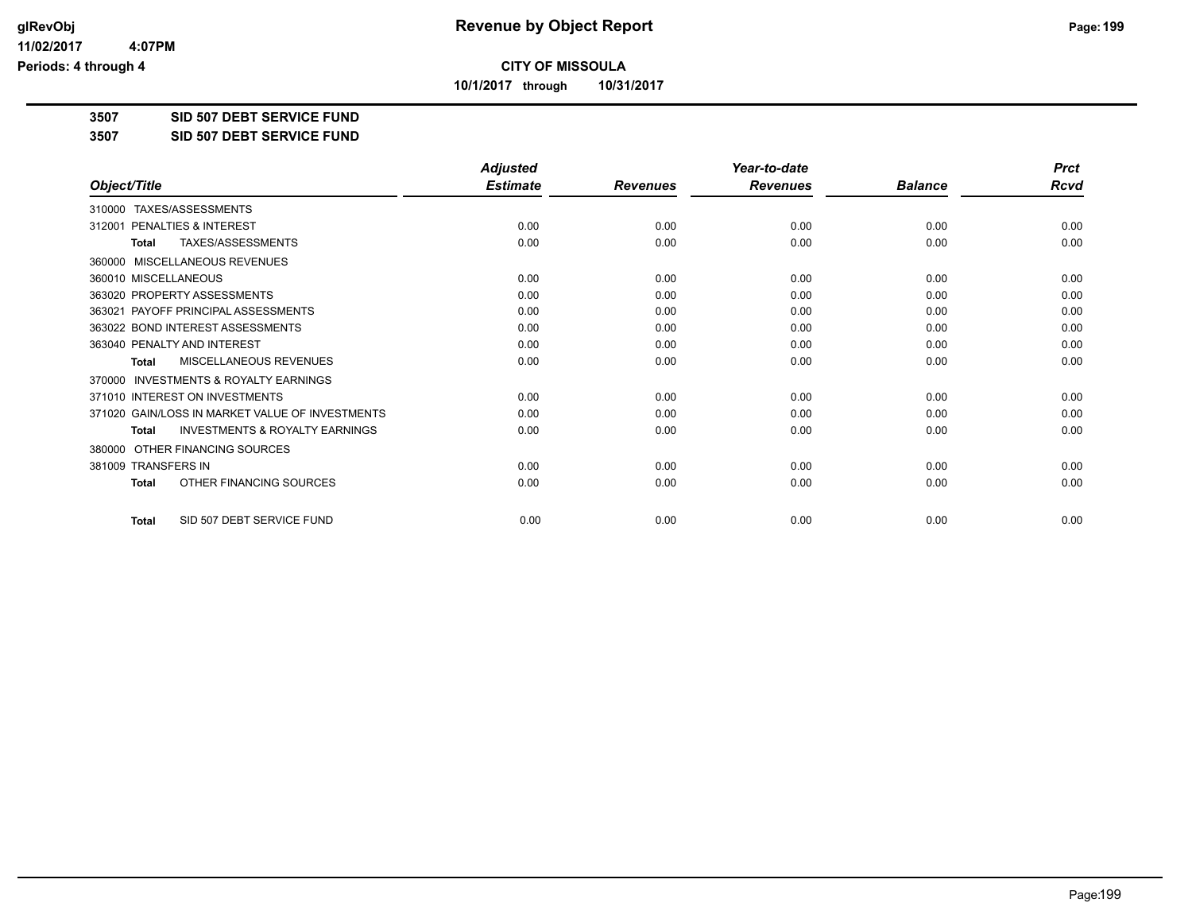**10/1/2017 through 10/31/2017**

**3507 SID 507 DEBT SERVICE FUND**

**3507 SID 507 DEBT SERVICE FUND**

|                                                           | <b>Adjusted</b> |                 | Year-to-date    |                | <b>Prct</b> |
|-----------------------------------------------------------|-----------------|-----------------|-----------------|----------------|-------------|
| Object/Title                                              | <b>Estimate</b> | <b>Revenues</b> | <b>Revenues</b> | <b>Balance</b> | <b>Rcvd</b> |
| TAXES/ASSESSMENTS<br>310000                               |                 |                 |                 |                |             |
| PENALTIES & INTEREST<br>312001                            | 0.00            | 0.00            | 0.00            | 0.00           | 0.00        |
| TAXES/ASSESSMENTS<br>Total                                | 0.00            | 0.00            | 0.00            | 0.00           | 0.00        |
| MISCELLANEOUS REVENUES<br>360000                          |                 |                 |                 |                |             |
| 360010 MISCELLANEOUS                                      | 0.00            | 0.00            | 0.00            | 0.00           | 0.00        |
| 363020 PROPERTY ASSESSMENTS                               | 0.00            | 0.00            | 0.00            | 0.00           | 0.00        |
| 363021 PAYOFF PRINCIPAL ASSESSMENTS                       | 0.00            | 0.00            | 0.00            | 0.00           | 0.00        |
| 363022 BOND INTEREST ASSESSMENTS                          | 0.00            | 0.00            | 0.00            | 0.00           | 0.00        |
| 363040 PENALTY AND INTEREST                               | 0.00            | 0.00            | 0.00            | 0.00           | 0.00        |
| MISCELLANEOUS REVENUES<br><b>Total</b>                    | 0.00            | 0.00            | 0.00            | 0.00           | 0.00        |
| <b>INVESTMENTS &amp; ROYALTY EARNINGS</b><br>370000       |                 |                 |                 |                |             |
| 371010 INTEREST ON INVESTMENTS                            | 0.00            | 0.00            | 0.00            | 0.00           | 0.00        |
| 371020 GAIN/LOSS IN MARKET VALUE OF INVESTMENTS           | 0.00            | 0.00            | 0.00            | 0.00           | 0.00        |
| <b>INVESTMENTS &amp; ROYALTY EARNINGS</b><br><b>Total</b> | 0.00            | 0.00            | 0.00            | 0.00           | 0.00        |
| OTHER FINANCING SOURCES<br>380000                         |                 |                 |                 |                |             |
| 381009 TRANSFERS IN                                       | 0.00            | 0.00            | 0.00            | 0.00           | 0.00        |
| OTHER FINANCING SOURCES<br><b>Total</b>                   | 0.00            | 0.00            | 0.00            | 0.00           | 0.00        |
| SID 507 DEBT SERVICE FUND<br><b>Total</b>                 | 0.00            | 0.00            | 0.00            | 0.00           | 0.00        |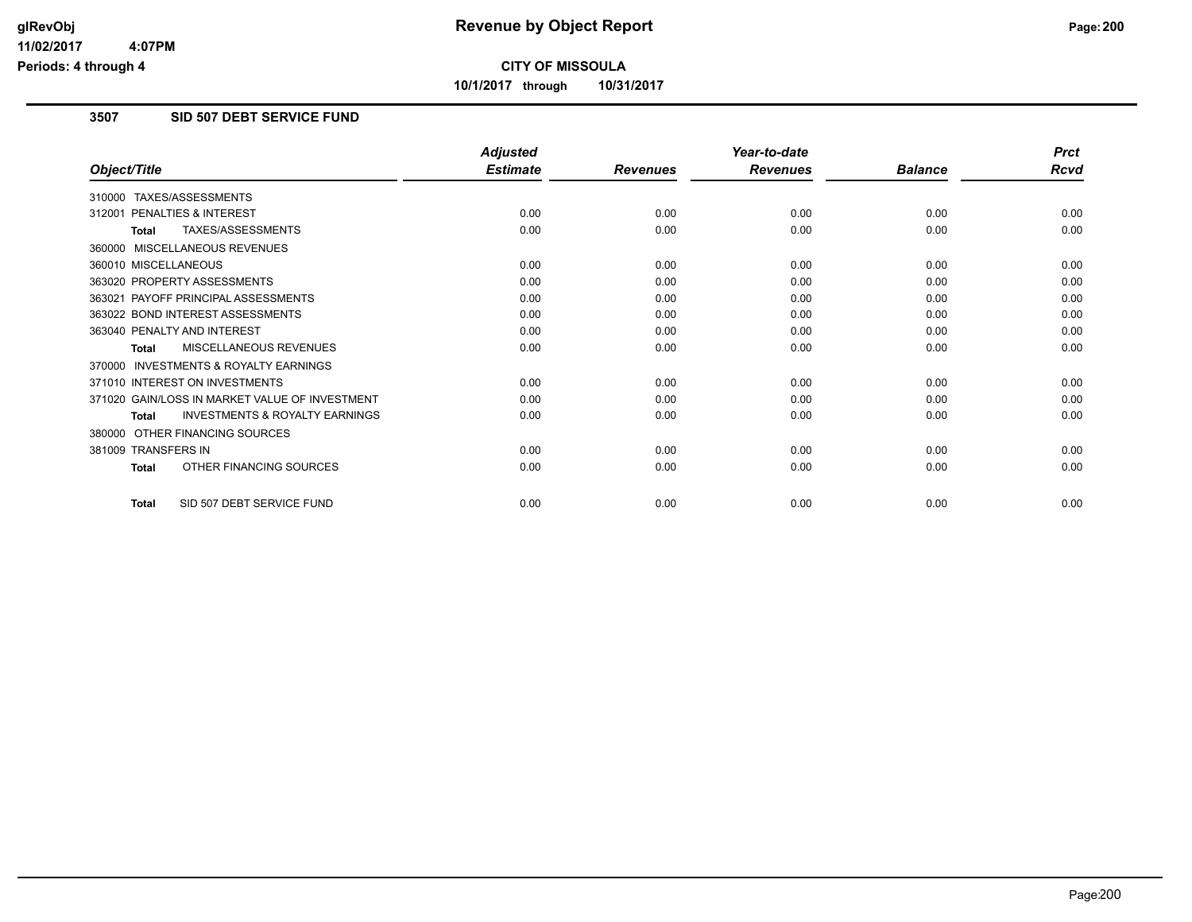**10/1/2017 through 10/31/2017**

## **3507 SID 507 DEBT SERVICE FUND**

|                                                           | <b>Adjusted</b> |                 | Year-to-date    |                | <b>Prct</b> |
|-----------------------------------------------------------|-----------------|-----------------|-----------------|----------------|-------------|
| Object/Title                                              | <b>Estimate</b> | <b>Revenues</b> | <b>Revenues</b> | <b>Balance</b> | Rcvd        |
| 310000 TAXES/ASSESSMENTS                                  |                 |                 |                 |                |             |
| 312001 PENALTIES & INTEREST                               | 0.00            | 0.00            | 0.00            | 0.00           | 0.00        |
| TAXES/ASSESSMENTS<br>Total                                | 0.00            | 0.00            | 0.00            | 0.00           | 0.00        |
| 360000 MISCELLANEOUS REVENUES                             |                 |                 |                 |                |             |
| 360010 MISCELLANEOUS                                      | 0.00            | 0.00            | 0.00            | 0.00           | 0.00        |
| 363020 PROPERTY ASSESSMENTS                               | 0.00            | 0.00            | 0.00            | 0.00           | 0.00        |
| 363021 PAYOFF PRINCIPAL ASSESSMENTS                       | 0.00            | 0.00            | 0.00            | 0.00           | 0.00        |
| 363022 BOND INTEREST ASSESSMENTS                          | 0.00            | 0.00            | 0.00            | 0.00           | 0.00        |
| 363040 PENALTY AND INTEREST                               | 0.00            | 0.00            | 0.00            | 0.00           | 0.00        |
| MISCELLANEOUS REVENUES<br>Total                           | 0.00            | 0.00            | 0.00            | 0.00           | 0.00        |
| 370000 INVESTMENTS & ROYALTY EARNINGS                     |                 |                 |                 |                |             |
| 371010 INTEREST ON INVESTMENTS                            | 0.00            | 0.00            | 0.00            | 0.00           | 0.00        |
| 371020 GAIN/LOSS IN MARKET VALUE OF INVESTMENT            | 0.00            | 0.00            | 0.00            | 0.00           | 0.00        |
| <b>INVESTMENTS &amp; ROYALTY EARNINGS</b><br><b>Total</b> | 0.00            | 0.00            | 0.00            | 0.00           | 0.00        |
| 380000 OTHER FINANCING SOURCES                            |                 |                 |                 |                |             |
| 381009 TRANSFERS IN                                       | 0.00            | 0.00            | 0.00            | 0.00           | 0.00        |
| OTHER FINANCING SOURCES<br>Total                          | 0.00            | 0.00            | 0.00            | 0.00           | 0.00        |
| SID 507 DEBT SERVICE FUND<br><b>Total</b>                 | 0.00            | 0.00            | 0.00            | 0.00           | 0.00        |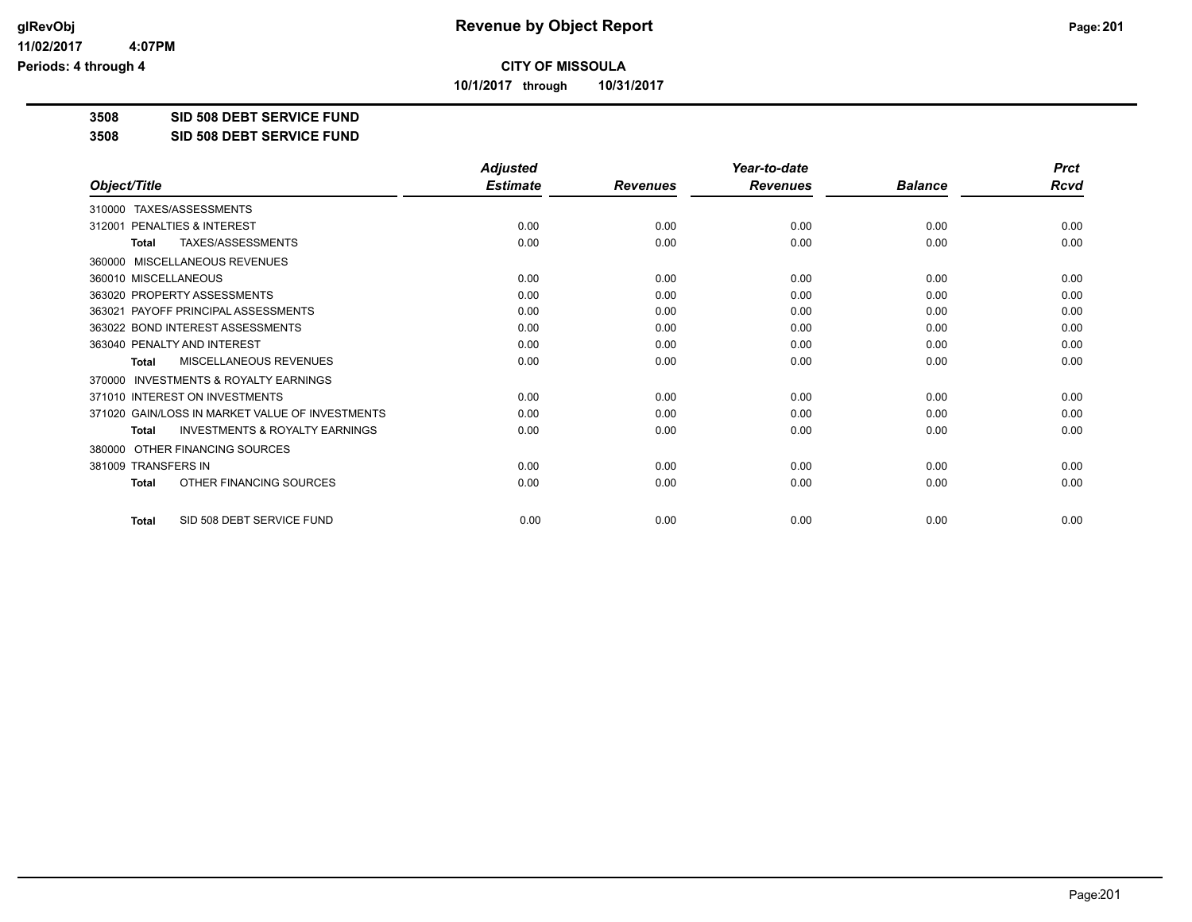**10/1/2017 through 10/31/2017**

**3508 SID 508 DEBT SERVICE FUND**

**3508 SID 508 DEBT SERVICE FUND**

|                                                           | <b>Adjusted</b> |                 | Year-to-date    |                | <b>Prct</b> |
|-----------------------------------------------------------|-----------------|-----------------|-----------------|----------------|-------------|
| Object/Title                                              | <b>Estimate</b> | <b>Revenues</b> | <b>Revenues</b> | <b>Balance</b> | <b>Rcvd</b> |
| TAXES/ASSESSMENTS<br>310000                               |                 |                 |                 |                |             |
| PENALTIES & INTEREST<br>312001                            | 0.00            | 0.00            | 0.00            | 0.00           | 0.00        |
| <b>TAXES/ASSESSMENTS</b><br>Total                         | 0.00            | 0.00            | 0.00            | 0.00           | 0.00        |
| MISCELLANEOUS REVENUES<br>360000                          |                 |                 |                 |                |             |
| 360010 MISCELLANEOUS                                      | 0.00            | 0.00            | 0.00            | 0.00           | 0.00        |
| 363020 PROPERTY ASSESSMENTS                               | 0.00            | 0.00            | 0.00            | 0.00           | 0.00        |
| 363021 PAYOFF PRINCIPAL ASSESSMENTS                       | 0.00            | 0.00            | 0.00            | 0.00           | 0.00        |
| 363022 BOND INTEREST ASSESSMENTS                          | 0.00            | 0.00            | 0.00            | 0.00           | 0.00        |
| 363040 PENALTY AND INTEREST                               | 0.00            | 0.00            | 0.00            | 0.00           | 0.00        |
| MISCELLANEOUS REVENUES<br>Total                           | 0.00            | 0.00            | 0.00            | 0.00           | 0.00        |
| <b>INVESTMENTS &amp; ROYALTY EARNINGS</b><br>370000       |                 |                 |                 |                |             |
| 371010 INTEREST ON INVESTMENTS                            | 0.00            | 0.00            | 0.00            | 0.00           | 0.00        |
| 371020 GAIN/LOSS IN MARKET VALUE OF INVESTMENTS           | 0.00            | 0.00            | 0.00            | 0.00           | 0.00        |
| <b>INVESTMENTS &amp; ROYALTY EARNINGS</b><br><b>Total</b> | 0.00            | 0.00            | 0.00            | 0.00           | 0.00        |
| OTHER FINANCING SOURCES<br>380000                         |                 |                 |                 |                |             |
| 381009 TRANSFERS IN                                       | 0.00            | 0.00            | 0.00            | 0.00           | 0.00        |
| OTHER FINANCING SOURCES<br><b>Total</b>                   | 0.00            | 0.00            | 0.00            | 0.00           | 0.00        |
| SID 508 DEBT SERVICE FUND<br><b>Total</b>                 | 0.00            | 0.00            | 0.00            | 0.00           | 0.00        |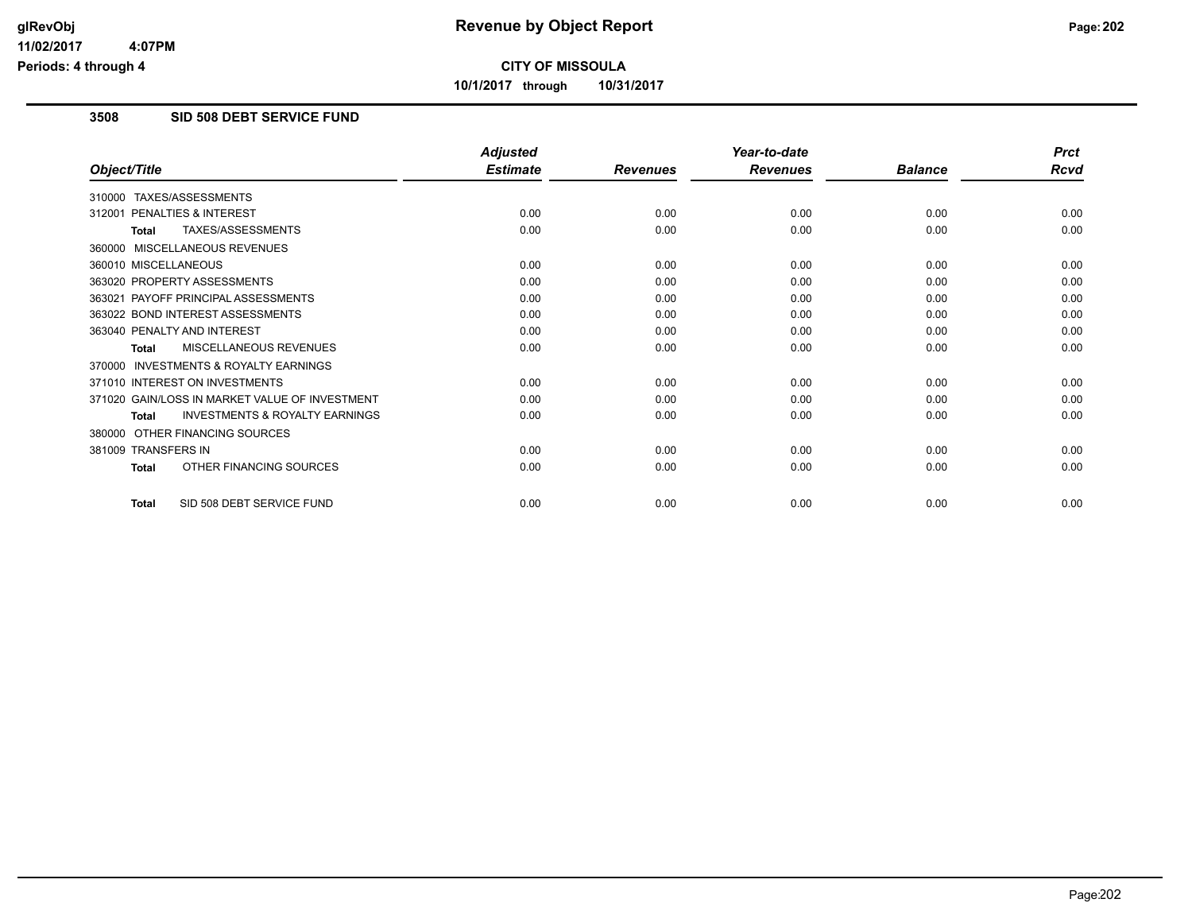**10/1/2017 through 10/31/2017**

## **3508 SID 508 DEBT SERVICE FUND**

|                                                           | <b>Adjusted</b> |                 | Year-to-date    |                | <b>Prct</b> |
|-----------------------------------------------------------|-----------------|-----------------|-----------------|----------------|-------------|
| Object/Title                                              | <b>Estimate</b> | <b>Revenues</b> | <b>Revenues</b> | <b>Balance</b> | <b>Rcvd</b> |
| 310000 TAXES/ASSESSMENTS                                  |                 |                 |                 |                |             |
| 312001 PENALTIES & INTEREST                               | 0.00            | 0.00            | 0.00            | 0.00           | 0.00        |
| TAXES/ASSESSMENTS<br><b>Total</b>                         | 0.00            | 0.00            | 0.00            | 0.00           | 0.00        |
| 360000 MISCELLANEOUS REVENUES                             |                 |                 |                 |                |             |
| 360010 MISCELLANEOUS                                      | 0.00            | 0.00            | 0.00            | 0.00           | 0.00        |
| 363020 PROPERTY ASSESSMENTS                               | 0.00            | 0.00            | 0.00            | 0.00           | 0.00        |
| 363021 PAYOFF PRINCIPAL ASSESSMENTS                       | 0.00            | 0.00            | 0.00            | 0.00           | 0.00        |
| 363022 BOND INTEREST ASSESSMENTS                          | 0.00            | 0.00            | 0.00            | 0.00           | 0.00        |
| 363040 PENALTY AND INTEREST                               | 0.00            | 0.00            | 0.00            | 0.00           | 0.00        |
| MISCELLANEOUS REVENUES<br><b>Total</b>                    | 0.00            | 0.00            | 0.00            | 0.00           | 0.00        |
| <b>INVESTMENTS &amp; ROYALTY EARNINGS</b><br>370000       |                 |                 |                 |                |             |
| 371010 INTEREST ON INVESTMENTS                            | 0.00            | 0.00            | 0.00            | 0.00           | 0.00        |
| 371020 GAIN/LOSS IN MARKET VALUE OF INVESTMENT            | 0.00            | 0.00            | 0.00            | 0.00           | 0.00        |
| <b>INVESTMENTS &amp; ROYALTY EARNINGS</b><br><b>Total</b> | 0.00            | 0.00            | 0.00            | 0.00           | 0.00        |
| 380000 OTHER FINANCING SOURCES                            |                 |                 |                 |                |             |
| 381009 TRANSFERS IN                                       | 0.00            | 0.00            | 0.00            | 0.00           | 0.00        |
| OTHER FINANCING SOURCES<br><b>Total</b>                   | 0.00            | 0.00            | 0.00            | 0.00           | 0.00        |
| SID 508 DEBT SERVICE FUND<br><b>Total</b>                 | 0.00            | 0.00            | 0.00            | 0.00           | 0.00        |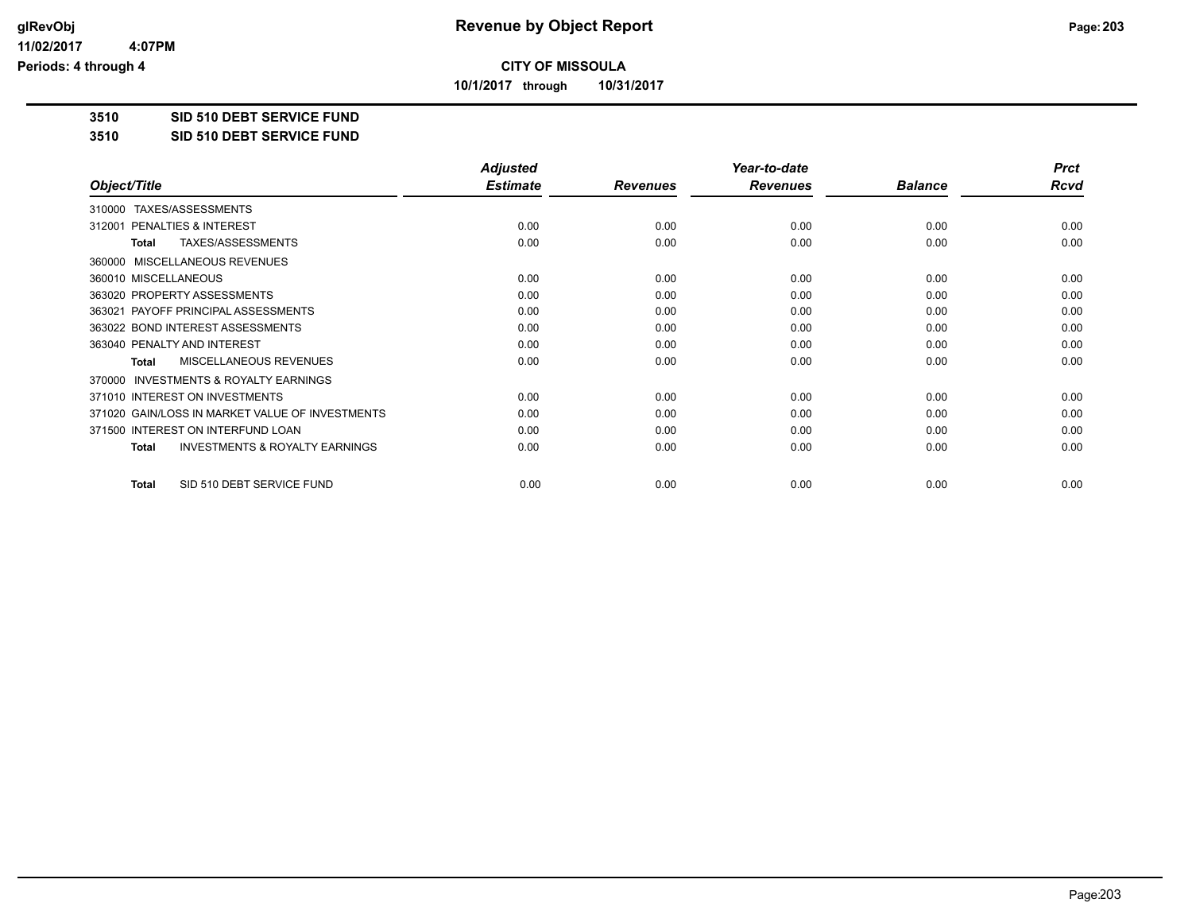**10/1/2017 through 10/31/2017**

**3510 SID 510 DEBT SERVICE FUND**

**3510 SID 510 DEBT SERVICE FUND**

|                                                           | <b>Adjusted</b> |                 | Year-to-date    |                | <b>Prct</b> |
|-----------------------------------------------------------|-----------------|-----------------|-----------------|----------------|-------------|
| Object/Title                                              | <b>Estimate</b> | <b>Revenues</b> | <b>Revenues</b> | <b>Balance</b> | <b>Rcvd</b> |
| TAXES/ASSESSMENTS<br>310000                               |                 |                 |                 |                |             |
| PENALTIES & INTEREST<br>312001                            | 0.00            | 0.00            | 0.00            | 0.00           | 0.00        |
| TAXES/ASSESSMENTS<br><b>Total</b>                         | 0.00            | 0.00            | 0.00            | 0.00           | 0.00        |
| 360000 MISCELLANEOUS REVENUES                             |                 |                 |                 |                |             |
| 360010 MISCELLANEOUS                                      | 0.00            | 0.00            | 0.00            | 0.00           | 0.00        |
| 363020 PROPERTY ASSESSMENTS                               | 0.00            | 0.00            | 0.00            | 0.00           | 0.00        |
| 363021 PAYOFF PRINCIPAL ASSESSMENTS                       | 0.00            | 0.00            | 0.00            | 0.00           | 0.00        |
| 363022 BOND INTEREST ASSESSMENTS                          | 0.00            | 0.00            | 0.00            | 0.00           | 0.00        |
| 363040 PENALTY AND INTEREST                               | 0.00            | 0.00            | 0.00            | 0.00           | 0.00        |
| <b>MISCELLANEOUS REVENUES</b><br><b>Total</b>             | 0.00            | 0.00            | 0.00            | 0.00           | 0.00        |
| <b>INVESTMENTS &amp; ROYALTY EARNINGS</b><br>370000       |                 |                 |                 |                |             |
| 371010 INTEREST ON INVESTMENTS                            | 0.00            | 0.00            | 0.00            | 0.00           | 0.00        |
| 371020 GAIN/LOSS IN MARKET VALUE OF INVESTMENTS           | 0.00            | 0.00            | 0.00            | 0.00           | 0.00        |
| 371500 INTEREST ON INTERFUND LOAN                         | 0.00            | 0.00            | 0.00            | 0.00           | 0.00        |
| <b>INVESTMENTS &amp; ROYALTY EARNINGS</b><br><b>Total</b> | 0.00            | 0.00            | 0.00            | 0.00           | 0.00        |
| SID 510 DEBT SERVICE FUND<br>Total                        | 0.00            | 0.00            | 0.00            | 0.00           | 0.00        |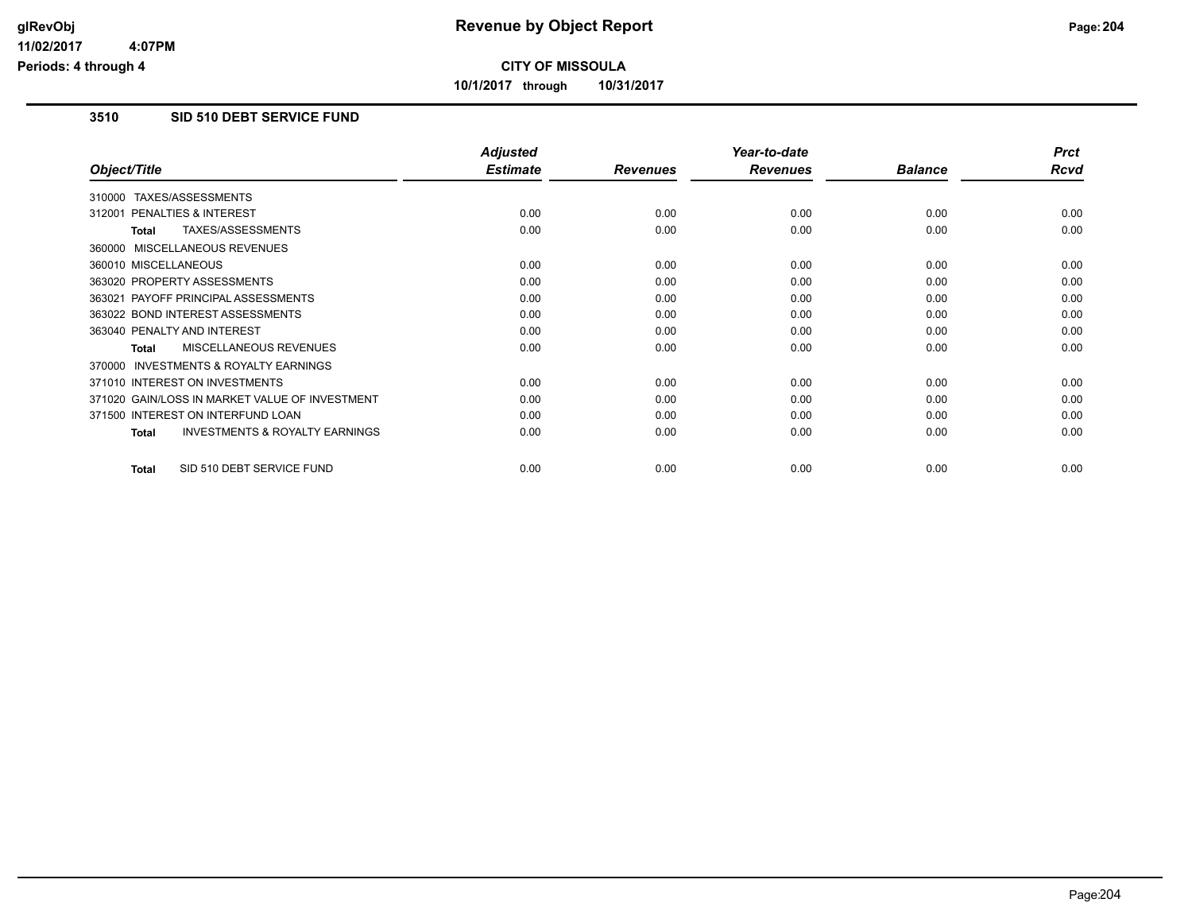**10/1/2017 through 10/31/2017**

# **3510 SID 510 DEBT SERVICE FUND**

|                                                           | <b>Adjusted</b> |                 | Year-to-date    |                | <b>Prct</b> |
|-----------------------------------------------------------|-----------------|-----------------|-----------------|----------------|-------------|
| Object/Title                                              | <b>Estimate</b> | <b>Revenues</b> | <b>Revenues</b> | <b>Balance</b> | <b>Rcvd</b> |
| TAXES/ASSESSMENTS<br>310000                               |                 |                 |                 |                |             |
| 312001 PENALTIES & INTEREST                               | 0.00            | 0.00            | 0.00            | 0.00           | 0.00        |
| TAXES/ASSESSMENTS<br><b>Total</b>                         | 0.00            | 0.00            | 0.00            | 0.00           | 0.00        |
| 360000 MISCELLANEOUS REVENUES                             |                 |                 |                 |                |             |
| 360010 MISCELLANEOUS                                      | 0.00            | 0.00            | 0.00            | 0.00           | 0.00        |
| 363020 PROPERTY ASSESSMENTS                               | 0.00            | 0.00            | 0.00            | 0.00           | 0.00        |
| 363021 PAYOFF PRINCIPAL ASSESSMENTS                       | 0.00            | 0.00            | 0.00            | 0.00           | 0.00        |
| 363022 BOND INTEREST ASSESSMENTS                          | 0.00            | 0.00            | 0.00            | 0.00           | 0.00        |
| 363040 PENALTY AND INTEREST                               | 0.00            | 0.00            | 0.00            | 0.00           | 0.00        |
| MISCELLANEOUS REVENUES<br><b>Total</b>                    | 0.00            | 0.00            | 0.00            | 0.00           | 0.00        |
| 370000 INVESTMENTS & ROYALTY EARNINGS                     |                 |                 |                 |                |             |
| 371010 INTEREST ON INVESTMENTS                            | 0.00            | 0.00            | 0.00            | 0.00           | 0.00        |
| 371020 GAIN/LOSS IN MARKET VALUE OF INVESTMENT            | 0.00            | 0.00            | 0.00            | 0.00           | 0.00        |
| 371500 INTEREST ON INTERFUND LOAN                         | 0.00            | 0.00            | 0.00            | 0.00           | 0.00        |
| <b>INVESTMENTS &amp; ROYALTY EARNINGS</b><br><b>Total</b> | 0.00            | 0.00            | 0.00            | 0.00           | 0.00        |
| SID 510 DEBT SERVICE FUND<br><b>Total</b>                 | 0.00            | 0.00            | 0.00            | 0.00           | 0.00        |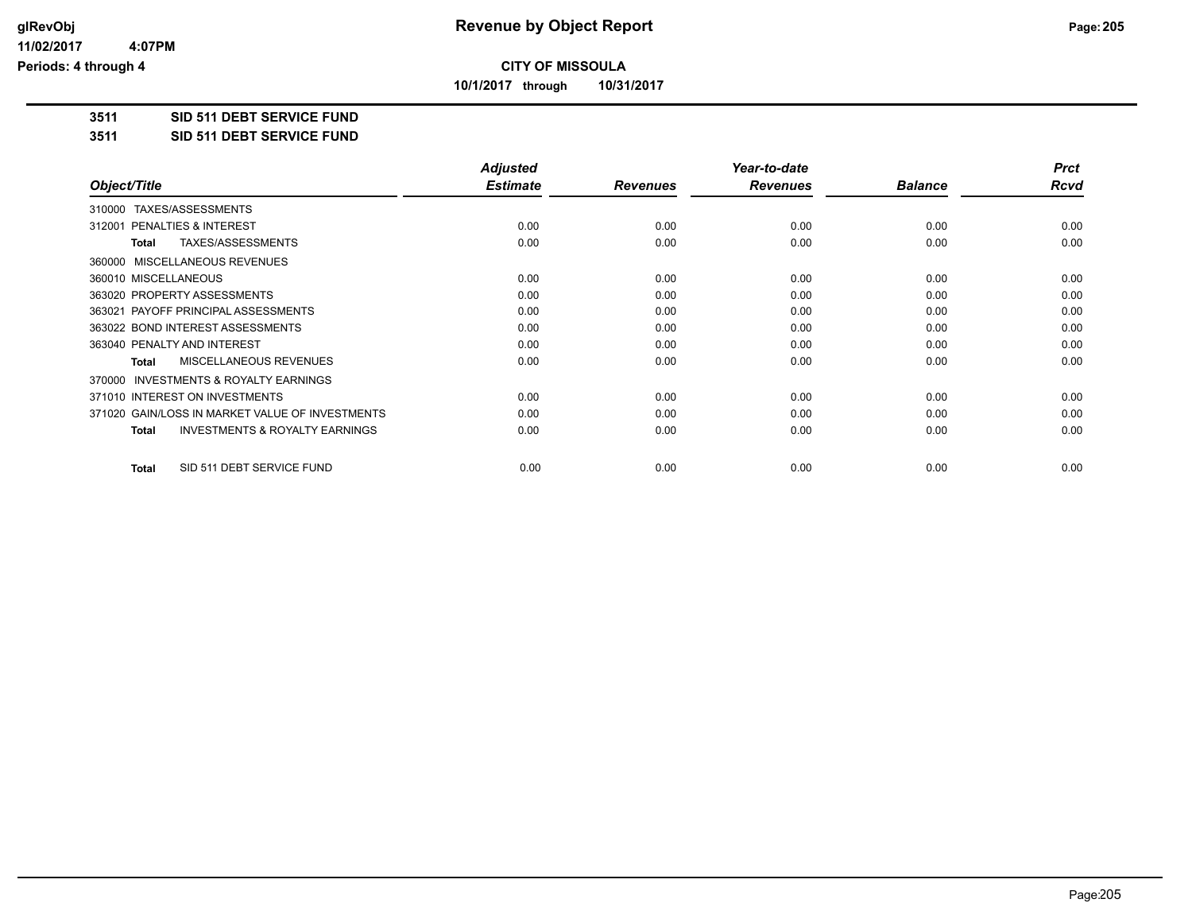**10/1/2017 through 10/31/2017**

**3511 SID 511 DEBT SERVICE FUND**

**3511 SID 511 DEBT SERVICE FUND**

|                                                           | <b>Adjusted</b> |                 | Year-to-date    |                | <b>Prct</b> |
|-----------------------------------------------------------|-----------------|-----------------|-----------------|----------------|-------------|
| Object/Title                                              | <b>Estimate</b> | <b>Revenues</b> | <b>Revenues</b> | <b>Balance</b> | Rcvd        |
| TAXES/ASSESSMENTS<br>310000                               |                 |                 |                 |                |             |
| 312001 PENALTIES & INTEREST                               | 0.00            | 0.00            | 0.00            | 0.00           | 0.00        |
| TAXES/ASSESSMENTS<br><b>Total</b>                         | 0.00            | 0.00            | 0.00            | 0.00           | 0.00        |
| MISCELLANEOUS REVENUES<br>360000                          |                 |                 |                 |                |             |
| 360010 MISCELLANEOUS                                      | 0.00            | 0.00            | 0.00            | 0.00           | 0.00        |
| 363020 PROPERTY ASSESSMENTS                               | 0.00            | 0.00            | 0.00            | 0.00           | 0.00        |
| 363021 PAYOFF PRINCIPAL ASSESSMENTS                       | 0.00            | 0.00            | 0.00            | 0.00           | 0.00        |
| 363022 BOND INTEREST ASSESSMENTS                          | 0.00            | 0.00            | 0.00            | 0.00           | 0.00        |
| 363040 PENALTY AND INTEREST                               | 0.00            | 0.00            | 0.00            | 0.00           | 0.00        |
| <b>MISCELLANEOUS REVENUES</b><br>Total                    | 0.00            | 0.00            | 0.00            | 0.00           | 0.00        |
| <b>INVESTMENTS &amp; ROYALTY EARNINGS</b><br>370000       |                 |                 |                 |                |             |
| 371010 INTEREST ON INVESTMENTS                            | 0.00            | 0.00            | 0.00            | 0.00           | 0.00        |
| 371020 GAIN/LOSS IN MARKET VALUE OF INVESTMENTS           | 0.00            | 0.00            | 0.00            | 0.00           | 0.00        |
| <b>INVESTMENTS &amp; ROYALTY EARNINGS</b><br><b>Total</b> | 0.00            | 0.00            | 0.00            | 0.00           | 0.00        |
| SID 511 DEBT SERVICE FUND<br><b>Total</b>                 | 0.00            | 0.00            | 0.00            | 0.00           | 0.00        |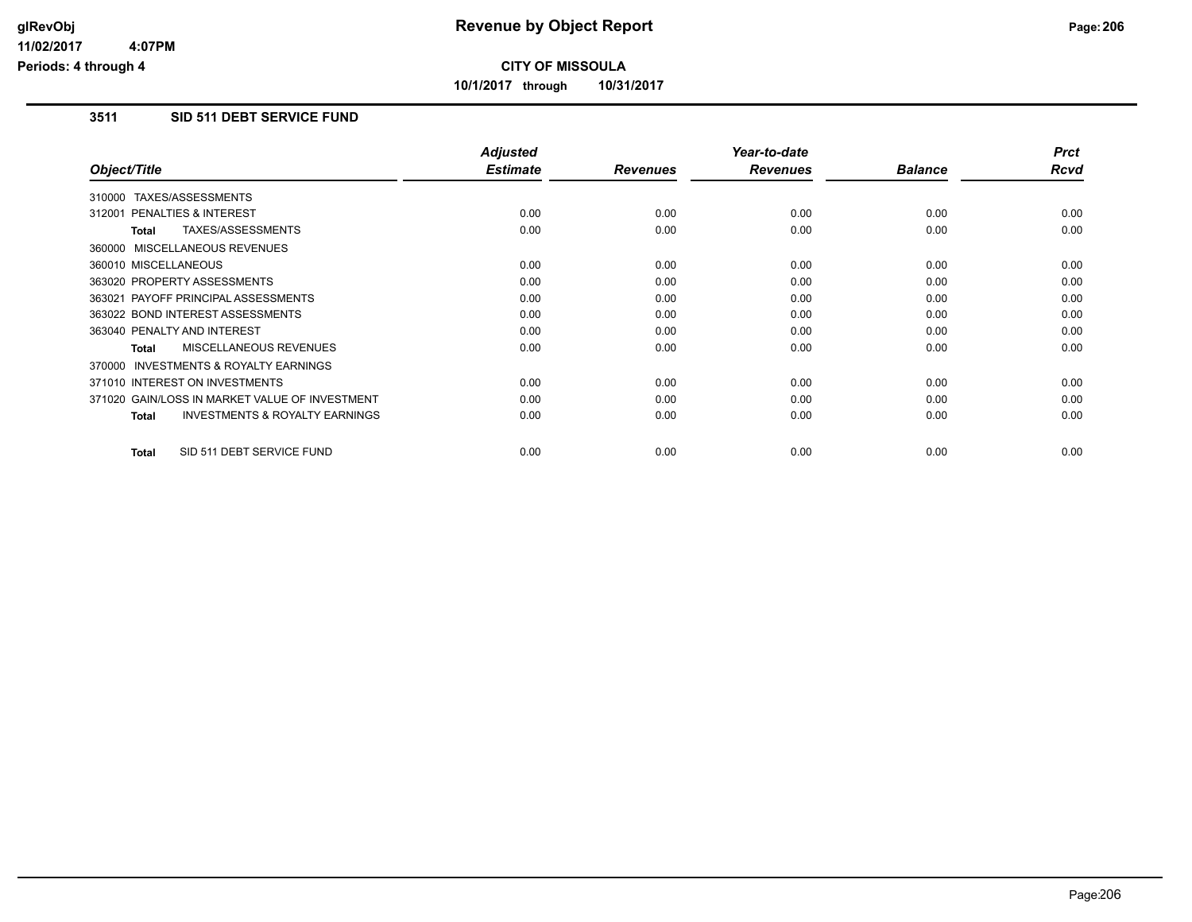**10/1/2017 through 10/31/2017**

# **3511 SID 511 DEBT SERVICE FUND**

|                                                           | <b>Adjusted</b> |                 | Year-to-date    |                | <b>Prct</b> |
|-----------------------------------------------------------|-----------------|-----------------|-----------------|----------------|-------------|
| Object/Title                                              | <b>Estimate</b> | <b>Revenues</b> | <b>Revenues</b> | <b>Balance</b> | Rcvd        |
| 310000 TAXES/ASSESSMENTS                                  |                 |                 |                 |                |             |
| 312001 PENALTIES & INTEREST                               | 0.00            | 0.00            | 0.00            | 0.00           | 0.00        |
| TAXES/ASSESSMENTS<br><b>Total</b>                         | 0.00            | 0.00            | 0.00            | 0.00           | 0.00        |
| 360000 MISCELLANEOUS REVENUES                             |                 |                 |                 |                |             |
| 360010 MISCELLANEOUS                                      | 0.00            | 0.00            | 0.00            | 0.00           | 0.00        |
| 363020 PROPERTY ASSESSMENTS                               | 0.00            | 0.00            | 0.00            | 0.00           | 0.00        |
| 363021 PAYOFF PRINCIPAL ASSESSMENTS                       | 0.00            | 0.00            | 0.00            | 0.00           | 0.00        |
| 363022 BOND INTEREST ASSESSMENTS                          | 0.00            | 0.00            | 0.00            | 0.00           | 0.00        |
| 363040 PENALTY AND INTEREST                               | 0.00            | 0.00            | 0.00            | 0.00           | 0.00        |
| <b>MISCELLANEOUS REVENUES</b><br>Total                    | 0.00            | 0.00            | 0.00            | 0.00           | 0.00        |
| INVESTMENTS & ROYALTY EARNINGS<br>370000                  |                 |                 |                 |                |             |
| 371010 INTEREST ON INVESTMENTS                            | 0.00            | 0.00            | 0.00            | 0.00           | 0.00        |
| 371020 GAIN/LOSS IN MARKET VALUE OF INVESTMENT            | 0.00            | 0.00            | 0.00            | 0.00           | 0.00        |
| <b>INVESTMENTS &amp; ROYALTY EARNINGS</b><br><b>Total</b> | 0.00            | 0.00            | 0.00            | 0.00           | 0.00        |
| SID 511 DEBT SERVICE FUND<br><b>Total</b>                 | 0.00            | 0.00            | 0.00            | 0.00           | 0.00        |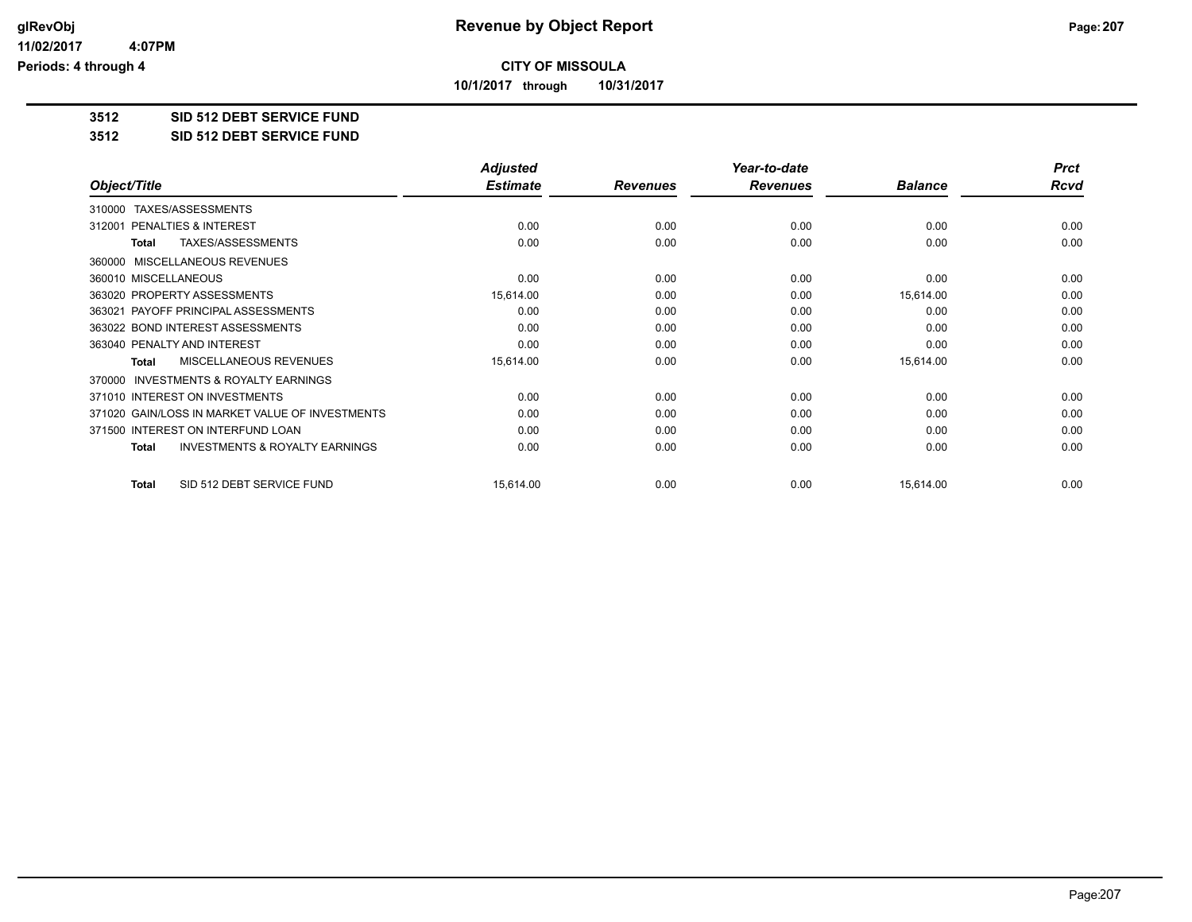**10/1/2017 through 10/31/2017**

**3512 SID 512 DEBT SERVICE FUND**

**3512 SID 512 DEBT SERVICE FUND**

|                                                     | <b>Adjusted</b> |                 | Year-to-date    |                | <b>Prct</b> |
|-----------------------------------------------------|-----------------|-----------------|-----------------|----------------|-------------|
| Object/Title                                        | <b>Estimate</b> | <b>Revenues</b> | <b>Revenues</b> | <b>Balance</b> | <b>Rcvd</b> |
| TAXES/ASSESSMENTS<br>310000                         |                 |                 |                 |                |             |
| PENALTIES & INTEREST<br>312001                      | 0.00            | 0.00            | 0.00            | 0.00           | 0.00        |
| TAXES/ASSESSMENTS<br>Total                          | 0.00            | 0.00            | 0.00            | 0.00           | 0.00        |
| 360000 MISCELLANEOUS REVENUES                       |                 |                 |                 |                |             |
| 360010 MISCELLANEOUS                                | 0.00            | 0.00            | 0.00            | 0.00           | 0.00        |
| 363020 PROPERTY ASSESSMENTS                         | 15,614.00       | 0.00            | 0.00            | 15,614.00      | 0.00        |
| 363021 PAYOFF PRINCIPAL ASSESSMENTS                 | 0.00            | 0.00            | 0.00            | 0.00           | 0.00        |
| 363022 BOND INTEREST ASSESSMENTS                    | 0.00            | 0.00            | 0.00            | 0.00           | 0.00        |
| 363040 PENALTY AND INTEREST                         | 0.00            | 0.00            | 0.00            | 0.00           | 0.00        |
| <b>MISCELLANEOUS REVENUES</b><br><b>Total</b>       | 15,614.00       | 0.00            | 0.00            | 15,614.00      | 0.00        |
| <b>INVESTMENTS &amp; ROYALTY EARNINGS</b><br>370000 |                 |                 |                 |                |             |
| 371010 INTEREST ON INVESTMENTS                      | 0.00            | 0.00            | 0.00            | 0.00           | 0.00        |
| 371020 GAIN/LOSS IN MARKET VALUE OF INVESTMENTS     | 0.00            | 0.00            | 0.00            | 0.00           | 0.00        |
| 371500 INTEREST ON INTERFUND LOAN                   | 0.00            | 0.00            | 0.00            | 0.00           | 0.00        |
| <b>INVESTMENTS &amp; ROYALTY EARNINGS</b><br>Total  | 0.00            | 0.00            | 0.00            | 0.00           | 0.00        |
| SID 512 DEBT SERVICE FUND<br>Total                  | 15,614.00       | 0.00            | 0.00            | 15,614.00      | 0.00        |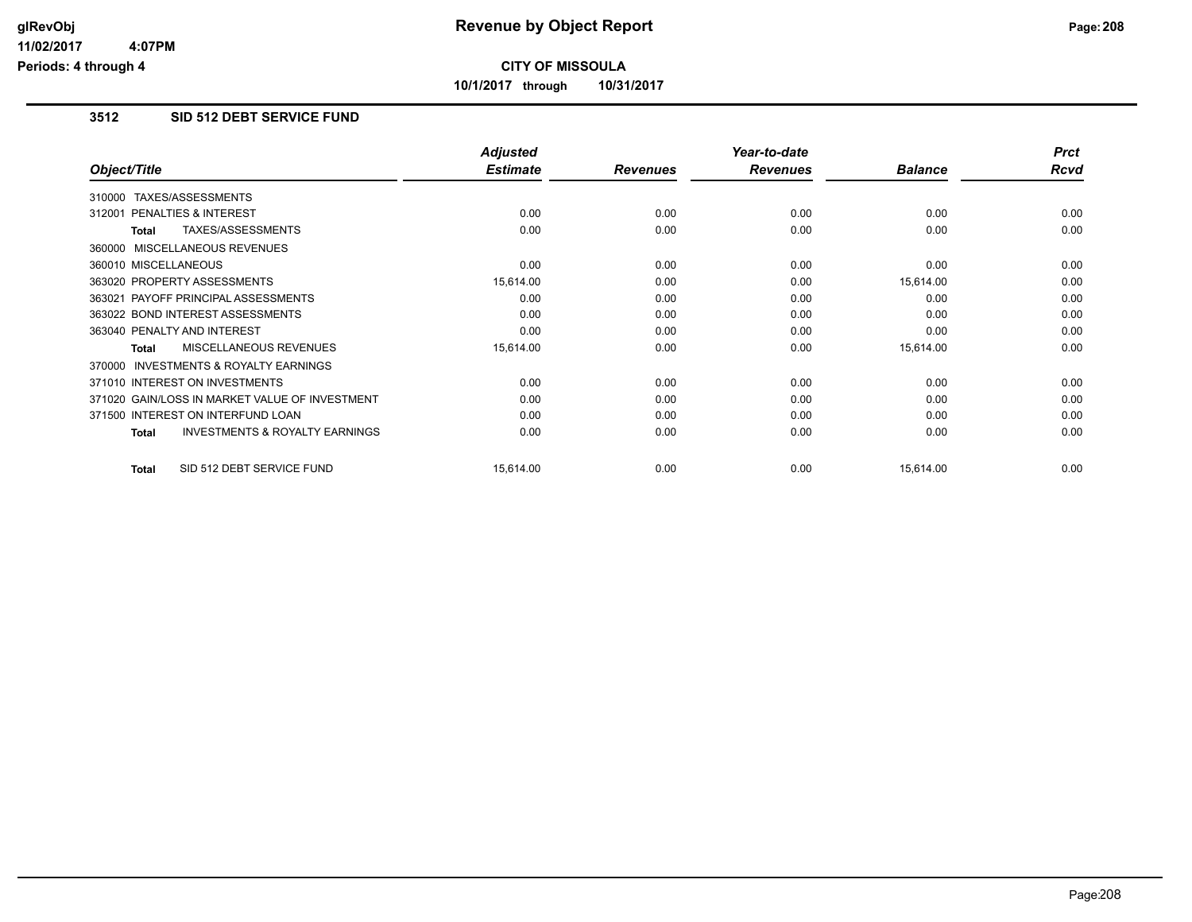**10/1/2017 through 10/31/2017**

# **3512 SID 512 DEBT SERVICE FUND**

|                                                           | <b>Adjusted</b> |                 | Year-to-date    |                | <b>Prct</b> |
|-----------------------------------------------------------|-----------------|-----------------|-----------------|----------------|-------------|
| Object/Title                                              | <b>Estimate</b> | <b>Revenues</b> | <b>Revenues</b> | <b>Balance</b> | <b>Rcvd</b> |
| TAXES/ASSESSMENTS<br>310000                               |                 |                 |                 |                |             |
| PENALTIES & INTEREST<br>312001                            | 0.00            | 0.00            | 0.00            | 0.00           | 0.00        |
| TAXES/ASSESSMENTS<br>Total                                | 0.00            | 0.00            | 0.00            | 0.00           | 0.00        |
| 360000 MISCELLANEOUS REVENUES                             |                 |                 |                 |                |             |
| 360010 MISCELLANEOUS                                      | 0.00            | 0.00            | 0.00            | 0.00           | 0.00        |
| 363020 PROPERTY ASSESSMENTS                               | 15,614.00       | 0.00            | 0.00            | 15,614.00      | 0.00        |
| 363021 PAYOFF PRINCIPAL ASSESSMENTS                       | 0.00            | 0.00            | 0.00            | 0.00           | 0.00        |
| 363022 BOND INTEREST ASSESSMENTS                          | 0.00            | 0.00            | 0.00            | 0.00           | 0.00        |
| 363040 PENALTY AND INTEREST                               | 0.00            | 0.00            | 0.00            | 0.00           | 0.00        |
| <b>MISCELLANEOUS REVENUES</b><br><b>Total</b>             | 15,614.00       | 0.00            | 0.00            | 15,614.00      | 0.00        |
| <b>INVESTMENTS &amp; ROYALTY EARNINGS</b><br>370000       |                 |                 |                 |                |             |
| 371010 INTEREST ON INVESTMENTS                            | 0.00            | 0.00            | 0.00            | 0.00           | 0.00        |
| 371020 GAIN/LOSS IN MARKET VALUE OF INVESTMENT            | 0.00            | 0.00            | 0.00            | 0.00           | 0.00        |
| 371500 INTEREST ON INTERFUND LOAN                         | 0.00            | 0.00            | 0.00            | 0.00           | 0.00        |
| <b>INVESTMENTS &amp; ROYALTY EARNINGS</b><br><b>Total</b> | 0.00            | 0.00            | 0.00            | 0.00           | 0.00        |
| SID 512 DEBT SERVICE FUND<br>Total                        | 15,614.00       | 0.00            | 0.00            | 15,614.00      | 0.00        |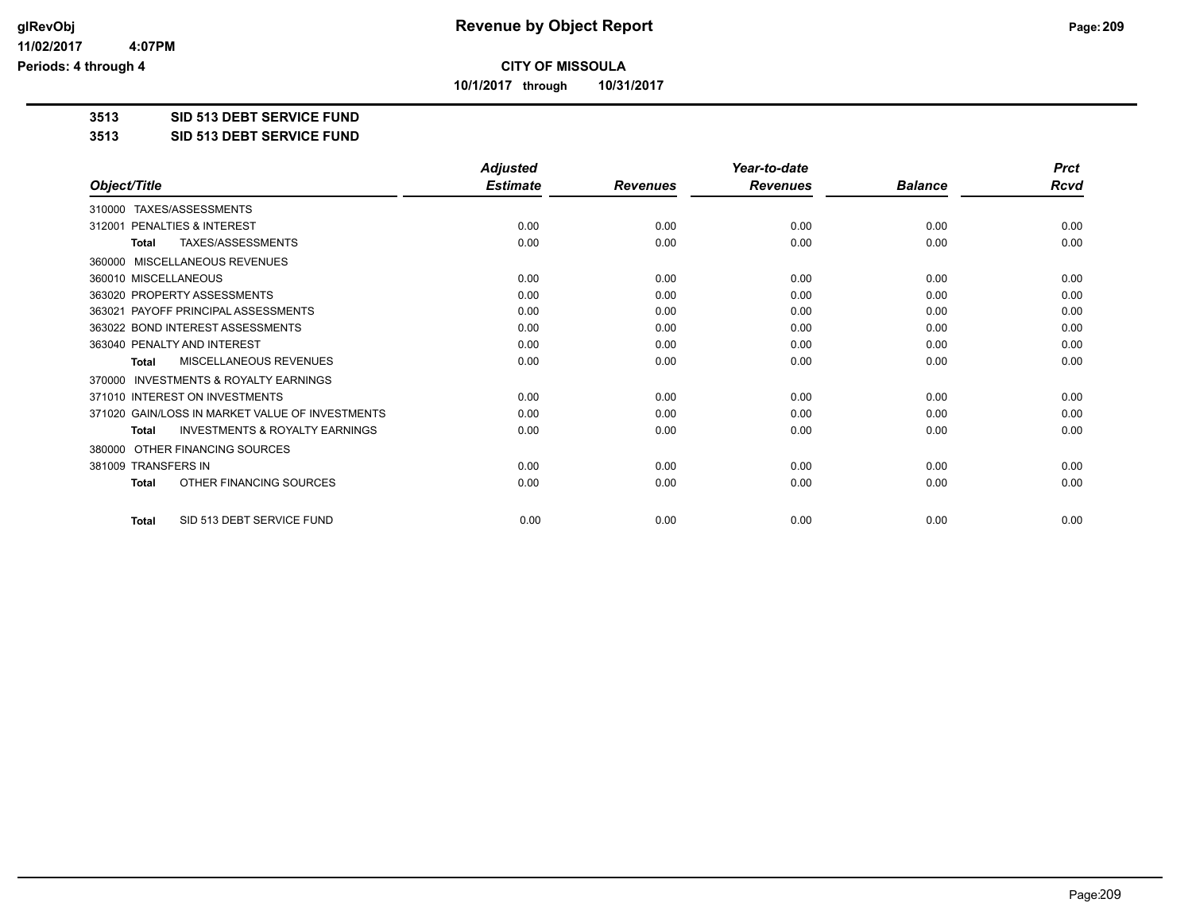**10/1/2017 through 10/31/2017**

**3513 SID 513 DEBT SERVICE FUND**

**3513 SID 513 DEBT SERVICE FUND**

|                                                           | <b>Adjusted</b> |                 | Year-to-date    |                | <b>Prct</b> |
|-----------------------------------------------------------|-----------------|-----------------|-----------------|----------------|-------------|
| Object/Title                                              | <b>Estimate</b> | <b>Revenues</b> | <b>Revenues</b> | <b>Balance</b> | <b>Rcvd</b> |
| TAXES/ASSESSMENTS<br>310000                               |                 |                 |                 |                |             |
| 312001 PENALTIES & INTEREST                               | 0.00            | 0.00            | 0.00            | 0.00           | 0.00        |
| TAXES/ASSESSMENTS<br><b>Total</b>                         | 0.00            | 0.00            | 0.00            | 0.00           | 0.00        |
| <b>MISCELLANEOUS REVENUES</b><br>360000                   |                 |                 |                 |                |             |
| 360010 MISCELLANEOUS                                      | 0.00            | 0.00            | 0.00            | 0.00           | 0.00        |
| 363020 PROPERTY ASSESSMENTS                               | 0.00            | 0.00            | 0.00            | 0.00           | 0.00        |
| 363021 PAYOFF PRINCIPAL ASSESSMENTS                       | 0.00            | 0.00            | 0.00            | 0.00           | 0.00        |
| 363022 BOND INTEREST ASSESSMENTS                          | 0.00            | 0.00            | 0.00            | 0.00           | 0.00        |
| 363040 PENALTY AND INTEREST                               | 0.00            | 0.00            | 0.00            | 0.00           | 0.00        |
| <b>MISCELLANEOUS REVENUES</b><br><b>Total</b>             | 0.00            | 0.00            | 0.00            | 0.00           | 0.00        |
| <b>INVESTMENTS &amp; ROYALTY EARNINGS</b><br>370000       |                 |                 |                 |                |             |
| 371010 INTEREST ON INVESTMENTS                            | 0.00            | 0.00            | 0.00            | 0.00           | 0.00        |
| 371020 GAIN/LOSS IN MARKET VALUE OF INVESTMENTS           | 0.00            | 0.00            | 0.00            | 0.00           | 0.00        |
| <b>INVESTMENTS &amp; ROYALTY EARNINGS</b><br><b>Total</b> | 0.00            | 0.00            | 0.00            | 0.00           | 0.00        |
| OTHER FINANCING SOURCES<br>380000                         |                 |                 |                 |                |             |
| 381009 TRANSFERS IN                                       | 0.00            | 0.00            | 0.00            | 0.00           | 0.00        |
| OTHER FINANCING SOURCES<br><b>Total</b>                   | 0.00            | 0.00            | 0.00            | 0.00           | 0.00        |
| SID 513 DEBT SERVICE FUND<br><b>Total</b>                 | 0.00            | 0.00            | 0.00            | 0.00           | 0.00        |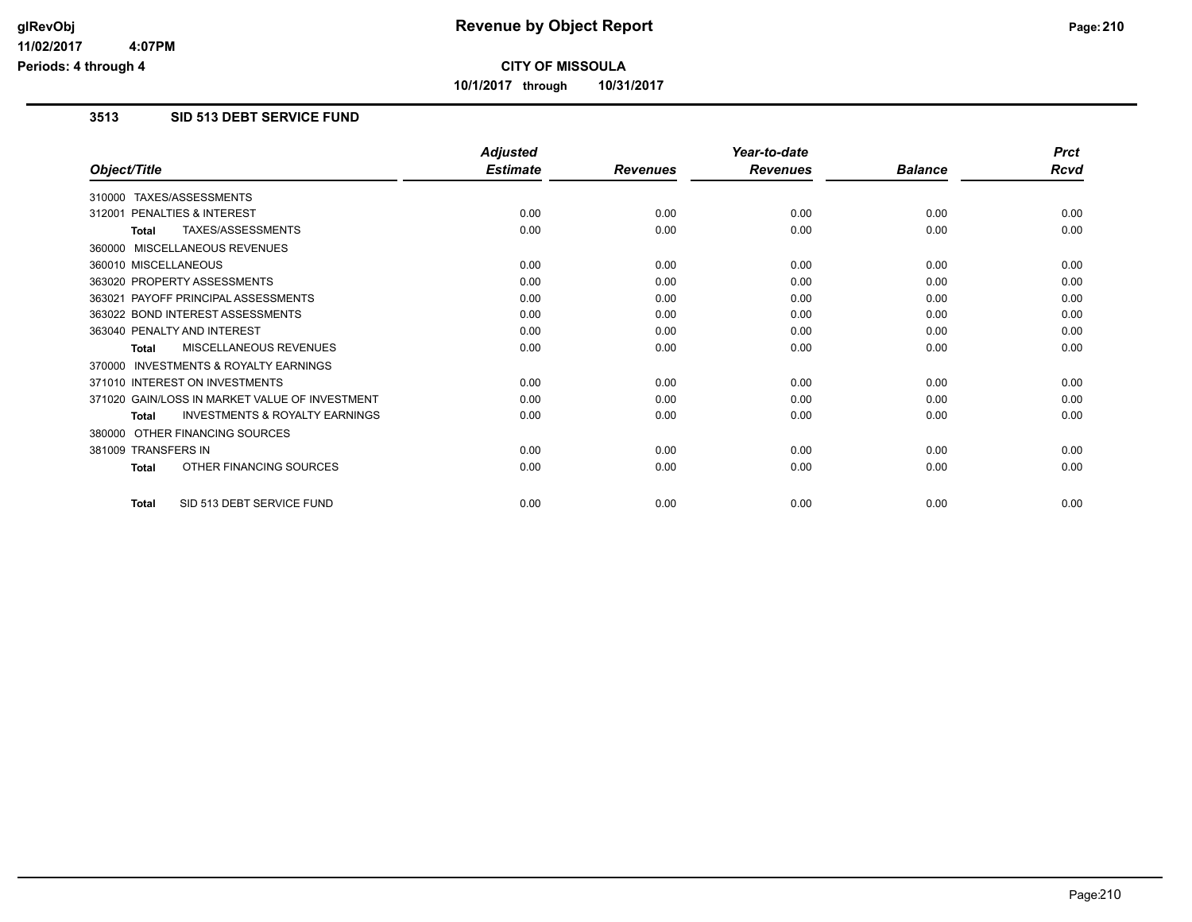**10/1/2017 through 10/31/2017**

## **3513 SID 513 DEBT SERVICE FUND**

|                                                           | <b>Adjusted</b> |                 | Year-to-date    |                | <b>Prct</b> |
|-----------------------------------------------------------|-----------------|-----------------|-----------------|----------------|-------------|
| Object/Title                                              | <b>Estimate</b> | <b>Revenues</b> | <b>Revenues</b> | <b>Balance</b> | <b>Rcvd</b> |
| 310000 TAXES/ASSESSMENTS                                  |                 |                 |                 |                |             |
| 312001 PENALTIES & INTEREST                               | 0.00            | 0.00            | 0.00            | 0.00           | 0.00        |
| TAXES/ASSESSMENTS<br>Total                                | 0.00            | 0.00            | 0.00            | 0.00           | 0.00        |
| 360000 MISCELLANEOUS REVENUES                             |                 |                 |                 |                |             |
| 360010 MISCELLANEOUS                                      | 0.00            | 0.00            | 0.00            | 0.00           | 0.00        |
| 363020 PROPERTY ASSESSMENTS                               | 0.00            | 0.00            | 0.00            | 0.00           | 0.00        |
| 363021 PAYOFF PRINCIPAL ASSESSMENTS                       | 0.00            | 0.00            | 0.00            | 0.00           | 0.00        |
| 363022 BOND INTEREST ASSESSMENTS                          | 0.00            | 0.00            | 0.00            | 0.00           | 0.00        |
| 363040 PENALTY AND INTEREST                               | 0.00            | 0.00            | 0.00            | 0.00           | 0.00        |
| MISCELLANEOUS REVENUES<br><b>Total</b>                    | 0.00            | 0.00            | 0.00            | 0.00           | 0.00        |
| <b>INVESTMENTS &amp; ROYALTY EARNINGS</b><br>370000       |                 |                 |                 |                |             |
| 371010 INTEREST ON INVESTMENTS                            | 0.00            | 0.00            | 0.00            | 0.00           | 0.00        |
| 371020 GAIN/LOSS IN MARKET VALUE OF INVESTMENT            | 0.00            | 0.00            | 0.00            | 0.00           | 0.00        |
| <b>INVESTMENTS &amp; ROYALTY EARNINGS</b><br><b>Total</b> | 0.00            | 0.00            | 0.00            | 0.00           | 0.00        |
| 380000 OTHER FINANCING SOURCES                            |                 |                 |                 |                |             |
| 381009 TRANSFERS IN                                       | 0.00            | 0.00            | 0.00            | 0.00           | 0.00        |
| OTHER FINANCING SOURCES<br><b>Total</b>                   | 0.00            | 0.00            | 0.00            | 0.00           | 0.00        |
| SID 513 DEBT SERVICE FUND<br><b>Total</b>                 | 0.00            | 0.00            | 0.00            | 0.00           | 0.00        |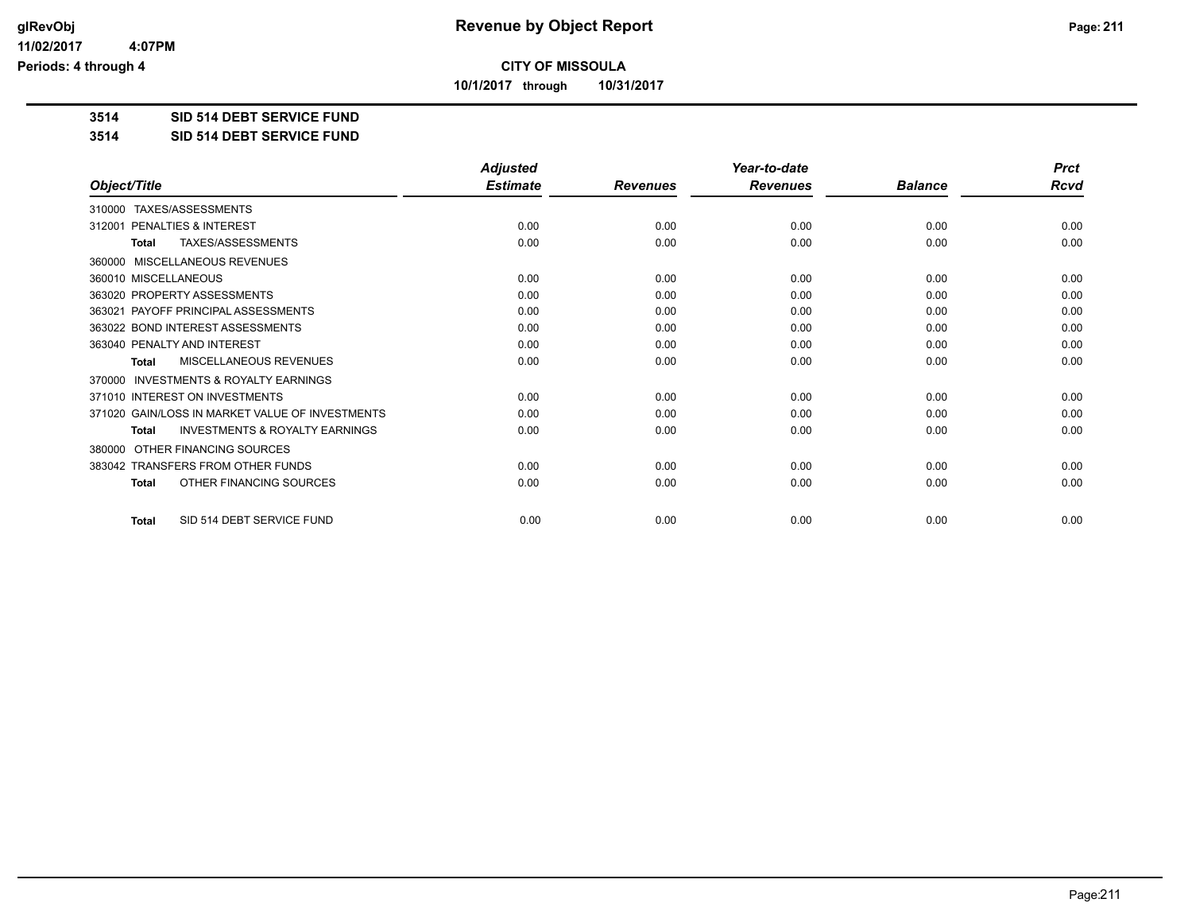**10/1/2017 through 10/31/2017**

**3514 SID 514 DEBT SERVICE FUND**

**3514 SID 514 DEBT SERVICE FUND**

|                                                     | <b>Adjusted</b> |                 | Year-to-date    |                | <b>Prct</b> |
|-----------------------------------------------------|-----------------|-----------------|-----------------|----------------|-------------|
| Object/Title                                        | <b>Estimate</b> | <b>Revenues</b> | <b>Revenues</b> | <b>Balance</b> | <b>Rcvd</b> |
| TAXES/ASSESSMENTS<br>310000                         |                 |                 |                 |                |             |
| PENALTIES & INTEREST<br>312001                      | 0.00            | 0.00            | 0.00            | 0.00           | 0.00        |
| TAXES/ASSESSMENTS<br><b>Total</b>                   | 0.00            | 0.00            | 0.00            | 0.00           | 0.00        |
| <b>MISCELLANEOUS REVENUES</b><br>360000             |                 |                 |                 |                |             |
| 360010 MISCELLANEOUS                                | 0.00            | 0.00            | 0.00            | 0.00           | 0.00        |
| 363020 PROPERTY ASSESSMENTS                         | 0.00            | 0.00            | 0.00            | 0.00           | 0.00        |
| 363021 PAYOFF PRINCIPAL ASSESSMENTS                 | 0.00            | 0.00            | 0.00            | 0.00           | 0.00        |
| 363022 BOND INTEREST ASSESSMENTS                    | 0.00            | 0.00            | 0.00            | 0.00           | 0.00        |
| 363040 PENALTY AND INTEREST                         | 0.00            | 0.00            | 0.00            | 0.00           | 0.00        |
| MISCELLANEOUS REVENUES<br>Total                     | 0.00            | 0.00            | 0.00            | 0.00           | 0.00        |
| <b>INVESTMENTS &amp; ROYALTY EARNINGS</b><br>370000 |                 |                 |                 |                |             |
| 371010 INTEREST ON INVESTMENTS                      | 0.00            | 0.00            | 0.00            | 0.00           | 0.00        |
| 371020 GAIN/LOSS IN MARKET VALUE OF INVESTMENTS     | 0.00            | 0.00            | 0.00            | 0.00           | 0.00        |
| <b>INVESTMENTS &amp; ROYALTY EARNINGS</b><br>Total  | 0.00            | 0.00            | 0.00            | 0.00           | 0.00        |
| OTHER FINANCING SOURCES<br>380000                   |                 |                 |                 |                |             |
| 383042 TRANSFERS FROM OTHER FUNDS                   | 0.00            | 0.00            | 0.00            | 0.00           | 0.00        |
| OTHER FINANCING SOURCES<br>Total                    | 0.00            | 0.00            | 0.00            | 0.00           | 0.00        |
| SID 514 DEBT SERVICE FUND<br><b>Total</b>           | 0.00            | 0.00            | 0.00            | 0.00           | 0.00        |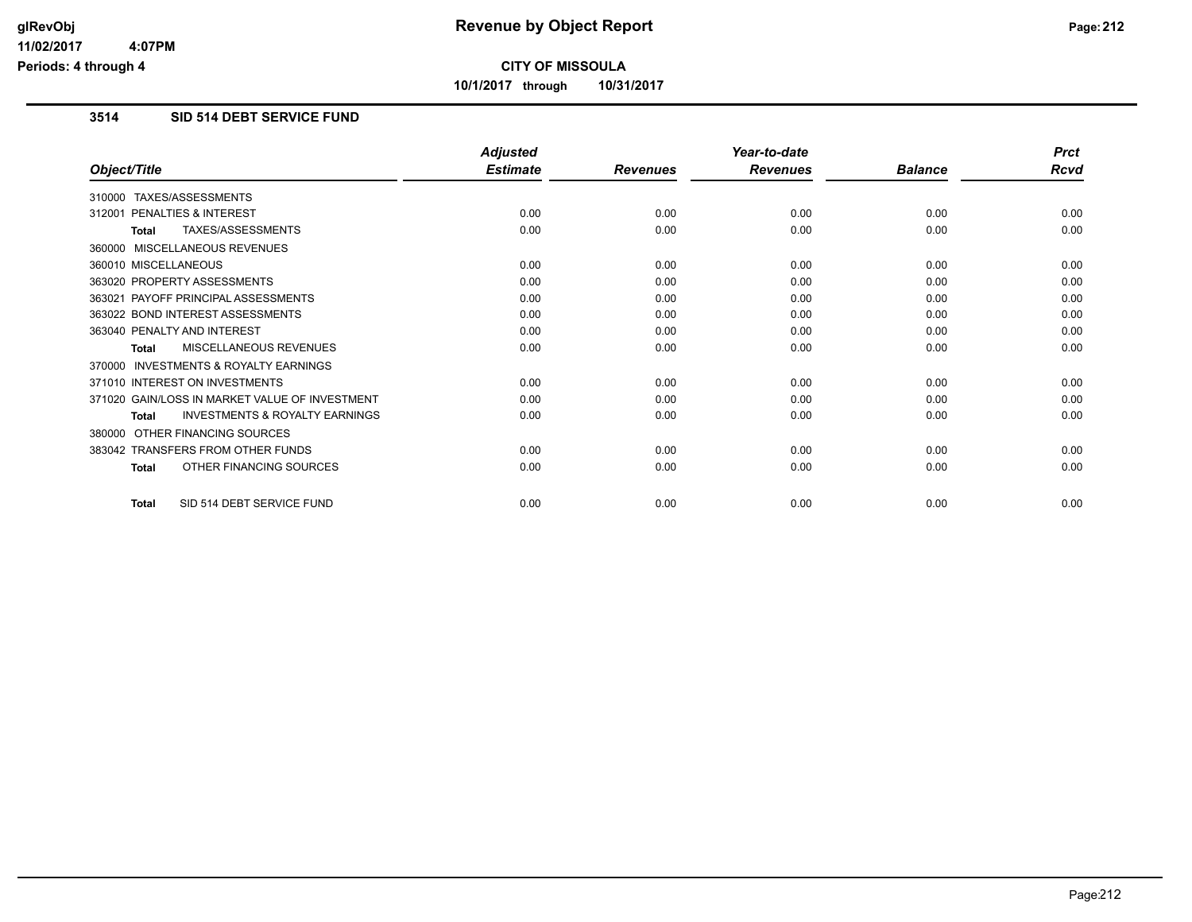**10/1/2017 through 10/31/2017**

# **3514 SID 514 DEBT SERVICE FUND**

|                                                           | <b>Adjusted</b> |                 | Year-to-date    |                | <b>Prct</b> |
|-----------------------------------------------------------|-----------------|-----------------|-----------------|----------------|-------------|
| Object/Title                                              | <b>Estimate</b> | <b>Revenues</b> | <b>Revenues</b> | <b>Balance</b> | <b>Rcvd</b> |
| 310000 TAXES/ASSESSMENTS                                  |                 |                 |                 |                |             |
| 312001 PENALTIES & INTEREST                               | 0.00            | 0.00            | 0.00            | 0.00           | 0.00        |
| TAXES/ASSESSMENTS<br><b>Total</b>                         | 0.00            | 0.00            | 0.00            | 0.00           | 0.00        |
| 360000 MISCELLANEOUS REVENUES                             |                 |                 |                 |                |             |
| 360010 MISCELLANEOUS                                      | 0.00            | 0.00            | 0.00            | 0.00           | 0.00        |
| 363020 PROPERTY ASSESSMENTS                               | 0.00            | 0.00            | 0.00            | 0.00           | 0.00        |
| 363021 PAYOFF PRINCIPAL ASSESSMENTS                       | 0.00            | 0.00            | 0.00            | 0.00           | 0.00        |
| 363022 BOND INTEREST ASSESSMENTS                          | 0.00            | 0.00            | 0.00            | 0.00           | 0.00        |
| 363040 PENALTY AND INTEREST                               | 0.00            | 0.00            | 0.00            | 0.00           | 0.00        |
| MISCELLANEOUS REVENUES<br><b>Total</b>                    | 0.00            | 0.00            | 0.00            | 0.00           | 0.00        |
| INVESTMENTS & ROYALTY EARNINGS<br>370000                  |                 |                 |                 |                |             |
| 371010 INTEREST ON INVESTMENTS                            | 0.00            | 0.00            | 0.00            | 0.00           | 0.00        |
| 371020 GAIN/LOSS IN MARKET VALUE OF INVESTMENT            | 0.00            | 0.00            | 0.00            | 0.00           | 0.00        |
| <b>INVESTMENTS &amp; ROYALTY EARNINGS</b><br><b>Total</b> | 0.00            | 0.00            | 0.00            | 0.00           | 0.00        |
| OTHER FINANCING SOURCES<br>380000                         |                 |                 |                 |                |             |
| 383042 TRANSFERS FROM OTHER FUNDS                         | 0.00            | 0.00            | 0.00            | 0.00           | 0.00        |
| OTHER FINANCING SOURCES<br><b>Total</b>                   | 0.00            | 0.00            | 0.00            | 0.00           | 0.00        |
| SID 514 DEBT SERVICE FUND<br><b>Total</b>                 | 0.00            | 0.00            | 0.00            | 0.00           | 0.00        |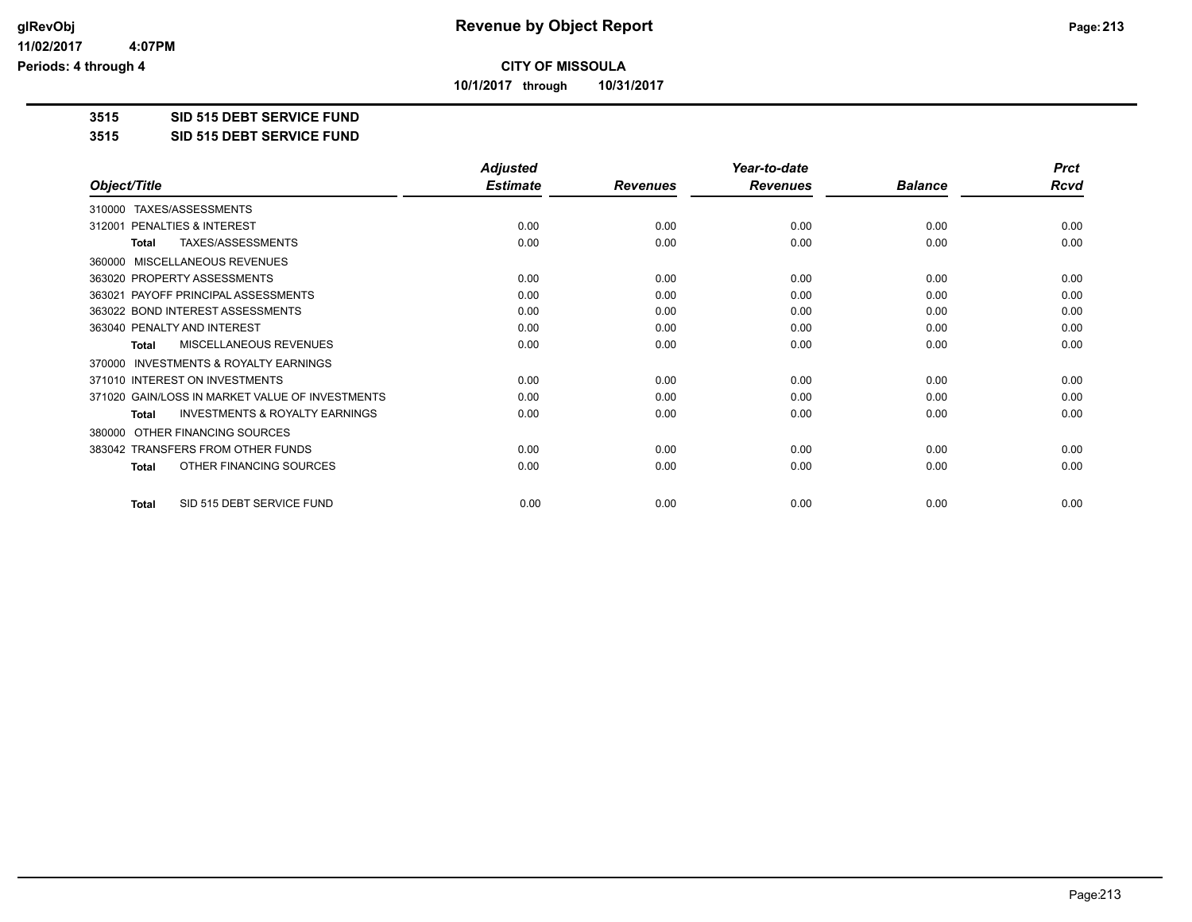**10/1/2017 through 10/31/2017**

**3515 SID 515 DEBT SERVICE FUND**

**3515 SID 515 DEBT SERVICE FUND**

|                                                           | <b>Adjusted</b> |                 | Year-to-date    | <b>Prct</b>    |             |
|-----------------------------------------------------------|-----------------|-----------------|-----------------|----------------|-------------|
| Object/Title                                              | <b>Estimate</b> | <b>Revenues</b> | <b>Revenues</b> | <b>Balance</b> | <b>Rcvd</b> |
| TAXES/ASSESSMENTS<br>310000                               |                 |                 |                 |                |             |
| PENALTIES & INTEREST<br>312001                            | 0.00            | 0.00            | 0.00            | 0.00           | 0.00        |
| TAXES/ASSESSMENTS<br><b>Total</b>                         | 0.00            | 0.00            | 0.00            | 0.00           | 0.00        |
| MISCELLANEOUS REVENUES<br>360000                          |                 |                 |                 |                |             |
| 363020 PROPERTY ASSESSMENTS                               | 0.00            | 0.00            | 0.00            | 0.00           | 0.00        |
| PAYOFF PRINCIPAL ASSESSMENTS<br>363021                    | 0.00            | 0.00            | 0.00            | 0.00           | 0.00        |
| 363022 BOND INTEREST ASSESSMENTS                          | 0.00            | 0.00            | 0.00            | 0.00           | 0.00        |
| 363040 PENALTY AND INTEREST                               | 0.00            | 0.00            | 0.00            | 0.00           | 0.00        |
| MISCELLANEOUS REVENUES<br>Total                           | 0.00            | 0.00            | 0.00            | 0.00           | 0.00        |
| <b>INVESTMENTS &amp; ROYALTY EARNINGS</b><br>370000       |                 |                 |                 |                |             |
| 371010 INTEREST ON INVESTMENTS                            | 0.00            | 0.00            | 0.00            | 0.00           | 0.00        |
| 371020 GAIN/LOSS IN MARKET VALUE OF INVESTMENTS           | 0.00            | 0.00            | 0.00            | 0.00           | 0.00        |
| <b>INVESTMENTS &amp; ROYALTY EARNINGS</b><br><b>Total</b> | 0.00            | 0.00            | 0.00            | 0.00           | 0.00        |
| OTHER FINANCING SOURCES<br>380000                         |                 |                 |                 |                |             |
| 383042 TRANSFERS FROM OTHER FUNDS                         | 0.00            | 0.00            | 0.00            | 0.00           | 0.00        |
| OTHER FINANCING SOURCES<br><b>Total</b>                   | 0.00            | 0.00            | 0.00            | 0.00           | 0.00        |
| SID 515 DEBT SERVICE FUND<br><b>Total</b>                 | 0.00            | 0.00            | 0.00            | 0.00           | 0.00        |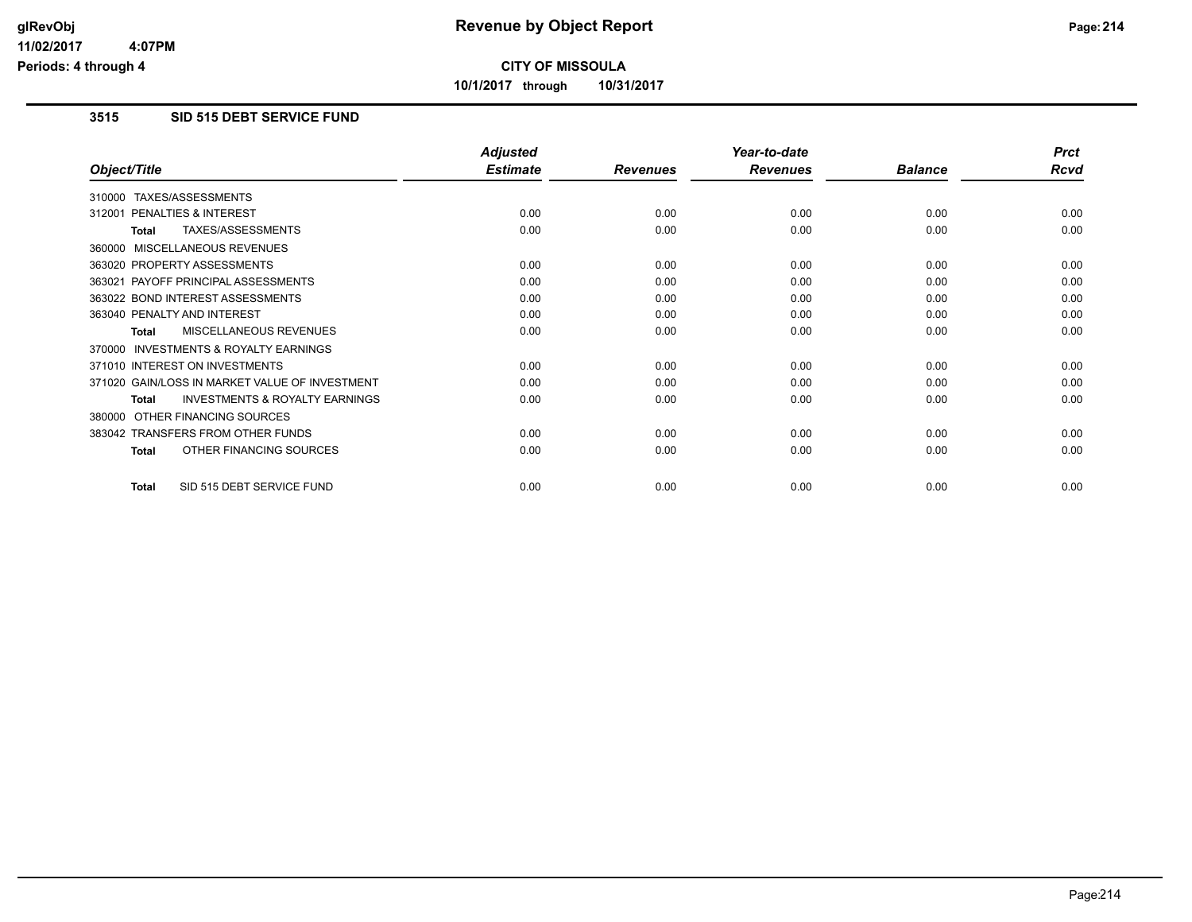**10/1/2017 through 10/31/2017**

# **3515 SID 515 DEBT SERVICE FUND**

|                                                           | <b>Adjusted</b> |                 | Year-to-date    |                | <b>Prct</b> |
|-----------------------------------------------------------|-----------------|-----------------|-----------------|----------------|-------------|
| Object/Title                                              | <b>Estimate</b> | <b>Revenues</b> | <b>Revenues</b> | <b>Balance</b> | <b>Rcvd</b> |
| TAXES/ASSESSMENTS<br>310000                               |                 |                 |                 |                |             |
| 312001 PENALTIES & INTEREST                               | 0.00            | 0.00            | 0.00            | 0.00           | 0.00        |
| TAXES/ASSESSMENTS<br><b>Total</b>                         | 0.00            | 0.00            | 0.00            | 0.00           | 0.00        |
| MISCELLANEOUS REVENUES<br>360000                          |                 |                 |                 |                |             |
| 363020 PROPERTY ASSESSMENTS                               | 0.00            | 0.00            | 0.00            | 0.00           | 0.00        |
| 363021 PAYOFF PRINCIPAL ASSESSMENTS                       | 0.00            | 0.00            | 0.00            | 0.00           | 0.00        |
| 363022 BOND INTEREST ASSESSMENTS                          | 0.00            | 0.00            | 0.00            | 0.00           | 0.00        |
| 363040 PENALTY AND INTEREST                               | 0.00            | 0.00            | 0.00            | 0.00           | 0.00        |
| MISCELLANEOUS REVENUES<br><b>Total</b>                    | 0.00            | 0.00            | 0.00            | 0.00           | 0.00        |
| <b>INVESTMENTS &amp; ROYALTY EARNINGS</b><br>370000       |                 |                 |                 |                |             |
| 371010 INTEREST ON INVESTMENTS                            | 0.00            | 0.00            | 0.00            | 0.00           | 0.00        |
| 371020 GAIN/LOSS IN MARKET VALUE OF INVESTMENT            | 0.00            | 0.00            | 0.00            | 0.00           | 0.00        |
| <b>INVESTMENTS &amp; ROYALTY EARNINGS</b><br><b>Total</b> | 0.00            | 0.00            | 0.00            | 0.00           | 0.00        |
| OTHER FINANCING SOURCES<br>380000                         |                 |                 |                 |                |             |
| 383042 TRANSFERS FROM OTHER FUNDS                         | 0.00            | 0.00            | 0.00            | 0.00           | 0.00        |
| OTHER FINANCING SOURCES<br><b>Total</b>                   | 0.00            | 0.00            | 0.00            | 0.00           | 0.00        |
| SID 515 DEBT SERVICE FUND<br><b>Total</b>                 | 0.00            | 0.00            | 0.00            | 0.00           | 0.00        |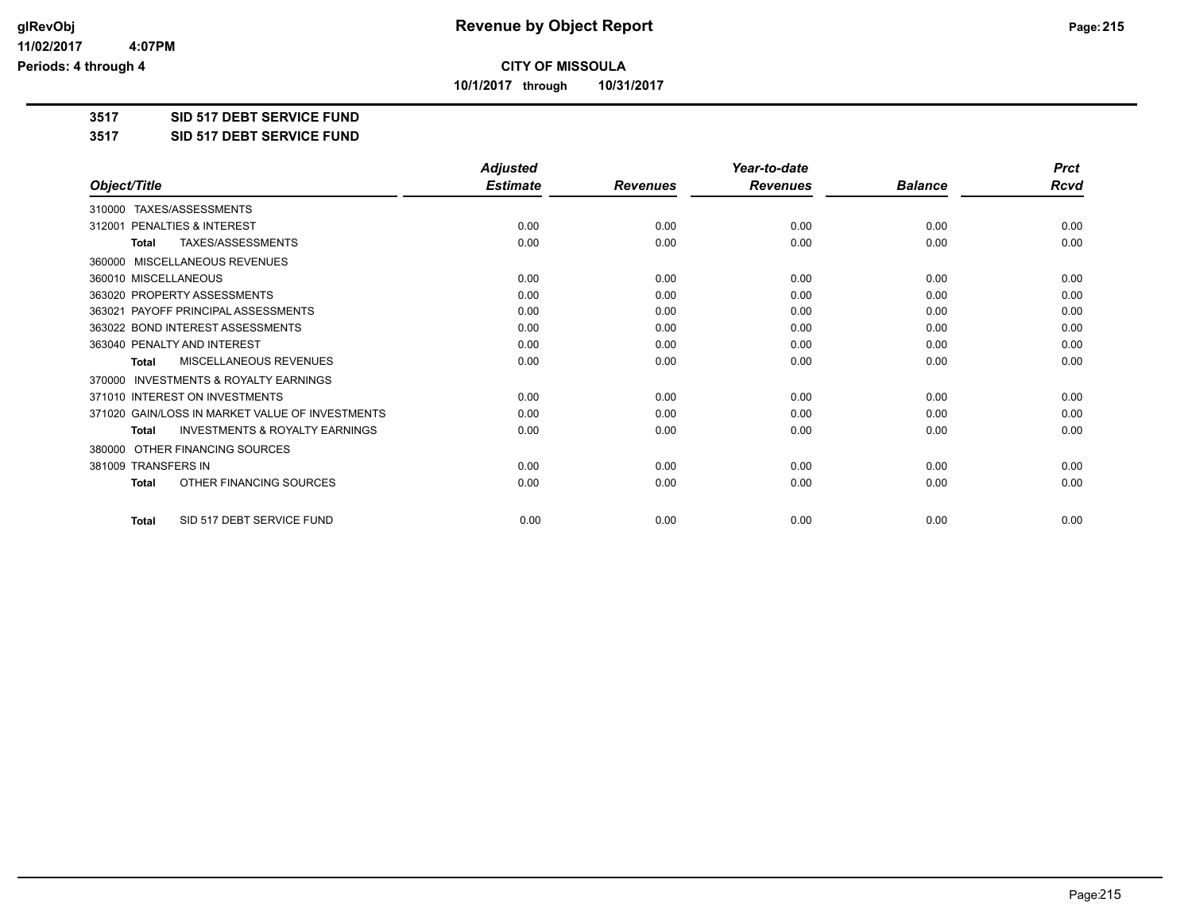**10/1/2017 through 10/31/2017**

**3517 SID 517 DEBT SERVICE FUND**

**3517 SID 517 DEBT SERVICE FUND**

|                                                           | <b>Adjusted</b> |                 | Year-to-date    |                | <b>Prct</b> |
|-----------------------------------------------------------|-----------------|-----------------|-----------------|----------------|-------------|
| Object/Title                                              | <b>Estimate</b> | <b>Revenues</b> | <b>Revenues</b> | <b>Balance</b> | <b>Rcvd</b> |
| TAXES/ASSESSMENTS<br>310000                               |                 |                 |                 |                |             |
| PENALTIES & INTEREST<br>312001                            | 0.00            | 0.00            | 0.00            | 0.00           | 0.00        |
| TAXES/ASSESSMENTS<br><b>Total</b>                         | 0.00            | 0.00            | 0.00            | 0.00           | 0.00        |
| 360000 MISCELLANEOUS REVENUES                             |                 |                 |                 |                |             |
| 360010 MISCELLANEOUS                                      | 0.00            | 0.00            | 0.00            | 0.00           | 0.00        |
| 363020 PROPERTY ASSESSMENTS                               | 0.00            | 0.00            | 0.00            | 0.00           | 0.00        |
| PAYOFF PRINCIPAL ASSESSMENTS<br>363021                    | 0.00            | 0.00            | 0.00            | 0.00           | 0.00        |
| 363022 BOND INTEREST ASSESSMENTS                          | 0.00            | 0.00            | 0.00            | 0.00           | 0.00        |
| 363040 PENALTY AND INTEREST                               | 0.00            | 0.00            | 0.00            | 0.00           | 0.00        |
| MISCELLANEOUS REVENUES<br><b>Total</b>                    | 0.00            | 0.00            | 0.00            | 0.00           | 0.00        |
| <b>INVESTMENTS &amp; ROYALTY EARNINGS</b><br>370000       |                 |                 |                 |                |             |
| 371010 INTEREST ON INVESTMENTS                            | 0.00            | 0.00            | 0.00            | 0.00           | 0.00        |
| 371020 GAIN/LOSS IN MARKET VALUE OF INVESTMENTS           | 0.00            | 0.00            | 0.00            | 0.00           | 0.00        |
| <b>INVESTMENTS &amp; ROYALTY EARNINGS</b><br><b>Total</b> | 0.00            | 0.00            | 0.00            | 0.00           | 0.00        |
| OTHER FINANCING SOURCES<br>380000                         |                 |                 |                 |                |             |
| 381009 TRANSFERS IN                                       | 0.00            | 0.00            | 0.00            | 0.00           | 0.00        |
| OTHER FINANCING SOURCES<br><b>Total</b>                   | 0.00            | 0.00            | 0.00            | 0.00           | 0.00        |
| SID 517 DEBT SERVICE FUND<br><b>Total</b>                 | 0.00            | 0.00            | 0.00            | 0.00           | 0.00        |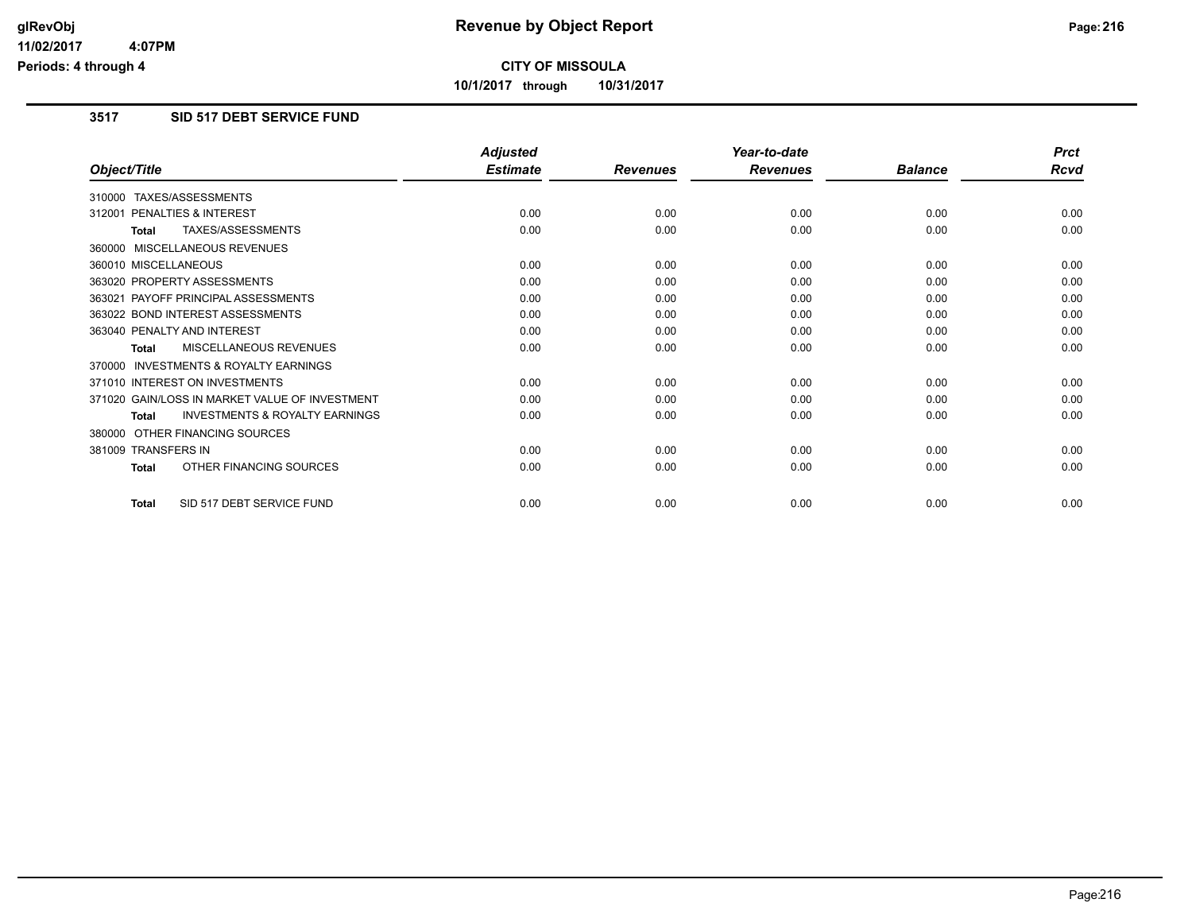**10/1/2017 through 10/31/2017**

# **3517 SID 517 DEBT SERVICE FUND**

|                                                           | <b>Adjusted</b> |                 | Year-to-date    |                | <b>Prct</b> |
|-----------------------------------------------------------|-----------------|-----------------|-----------------|----------------|-------------|
| Object/Title                                              | <b>Estimate</b> | <b>Revenues</b> | <b>Revenues</b> | <b>Balance</b> | <b>Rcvd</b> |
| 310000 TAXES/ASSESSMENTS                                  |                 |                 |                 |                |             |
| 312001 PENALTIES & INTEREST                               | 0.00            | 0.00            | 0.00            | 0.00           | 0.00        |
| TAXES/ASSESSMENTS<br>Total                                | 0.00            | 0.00            | 0.00            | 0.00           | 0.00        |
| 360000 MISCELLANEOUS REVENUES                             |                 |                 |                 |                |             |
| 360010 MISCELLANEOUS                                      | 0.00            | 0.00            | 0.00            | 0.00           | 0.00        |
| 363020 PROPERTY ASSESSMENTS                               | 0.00            | 0.00            | 0.00            | 0.00           | 0.00        |
| 363021 PAYOFF PRINCIPAL ASSESSMENTS                       | 0.00            | 0.00            | 0.00            | 0.00           | 0.00        |
| 363022 BOND INTEREST ASSESSMENTS                          | 0.00            | 0.00            | 0.00            | 0.00           | 0.00        |
| 363040 PENALTY AND INTEREST                               | 0.00            | 0.00            | 0.00            | 0.00           | 0.00        |
| MISCELLANEOUS REVENUES<br><b>Total</b>                    | 0.00            | 0.00            | 0.00            | 0.00           | 0.00        |
| <b>INVESTMENTS &amp; ROYALTY EARNINGS</b><br>370000       |                 |                 |                 |                |             |
| 371010 INTEREST ON INVESTMENTS                            | 0.00            | 0.00            | 0.00            | 0.00           | 0.00        |
| 371020 GAIN/LOSS IN MARKET VALUE OF INVESTMENT            | 0.00            | 0.00            | 0.00            | 0.00           | 0.00        |
| <b>INVESTMENTS &amp; ROYALTY EARNINGS</b><br><b>Total</b> | 0.00            | 0.00            | 0.00            | 0.00           | 0.00        |
| 380000 OTHER FINANCING SOURCES                            |                 |                 |                 |                |             |
| 381009 TRANSFERS IN                                       | 0.00            | 0.00            | 0.00            | 0.00           | 0.00        |
| OTHER FINANCING SOURCES<br><b>Total</b>                   | 0.00            | 0.00            | 0.00            | 0.00           | 0.00        |
| SID 517 DEBT SERVICE FUND<br><b>Total</b>                 | 0.00            | 0.00            | 0.00            | 0.00           | 0.00        |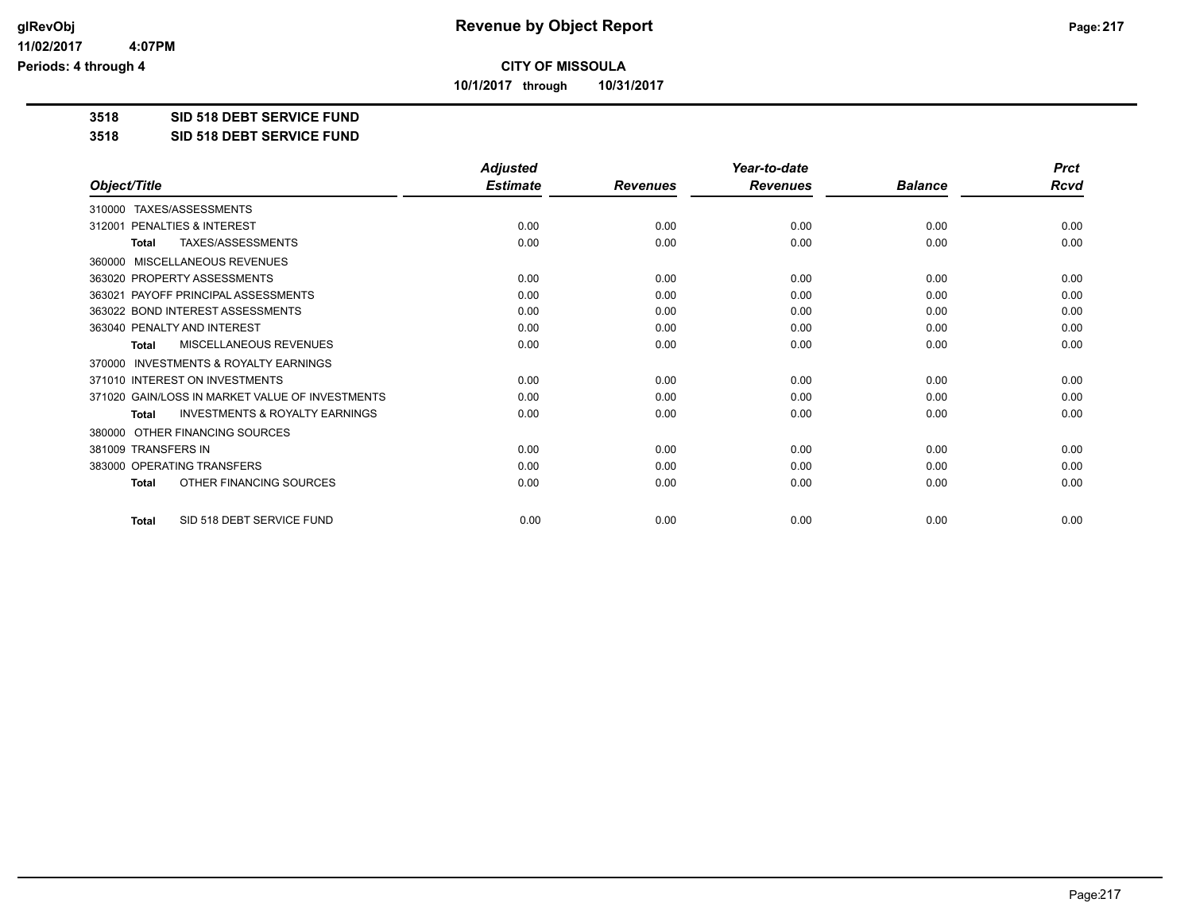**10/1/2017 through 10/31/2017**

**3518 SID 518 DEBT SERVICE FUND**

**3518 SID 518 DEBT SERVICE FUND**

|                                                     | <b>Adjusted</b> |                 | Year-to-date    |                | <b>Prct</b> |
|-----------------------------------------------------|-----------------|-----------------|-----------------|----------------|-------------|
| Object/Title                                        | <b>Estimate</b> | <b>Revenues</b> | <b>Revenues</b> | <b>Balance</b> | <b>Rcvd</b> |
| TAXES/ASSESSMENTS<br>310000                         |                 |                 |                 |                |             |
| PENALTIES & INTEREST<br>312001                      | 0.00            | 0.00            | 0.00            | 0.00           | 0.00        |
| <b>TAXES/ASSESSMENTS</b><br>Total                   | 0.00            | 0.00            | 0.00            | 0.00           | 0.00        |
| <b>MISCELLANEOUS REVENUES</b><br>360000             |                 |                 |                 |                |             |
| 363020 PROPERTY ASSESSMENTS                         | 0.00            | 0.00            | 0.00            | 0.00           | 0.00        |
| 363021 PAYOFF PRINCIPAL ASSESSMENTS                 | 0.00            | 0.00            | 0.00            | 0.00           | 0.00        |
| 363022 BOND INTEREST ASSESSMENTS                    | 0.00            | 0.00            | 0.00            | 0.00           | 0.00        |
| 363040 PENALTY AND INTEREST                         | 0.00            | 0.00            | 0.00            | 0.00           | 0.00        |
| MISCELLANEOUS REVENUES<br>Total                     | 0.00            | 0.00            | 0.00            | 0.00           | 0.00        |
| <b>INVESTMENTS &amp; ROYALTY EARNINGS</b><br>370000 |                 |                 |                 |                |             |
| 371010 INTEREST ON INVESTMENTS                      | 0.00            | 0.00            | 0.00            | 0.00           | 0.00        |
| 371020 GAIN/LOSS IN MARKET VALUE OF INVESTMENTS     | 0.00            | 0.00            | 0.00            | 0.00           | 0.00        |
| <b>INVESTMENTS &amp; ROYALTY EARNINGS</b><br>Total  | 0.00            | 0.00            | 0.00            | 0.00           | 0.00        |
| OTHER FINANCING SOURCES<br>380000                   |                 |                 |                 |                |             |
| <b>TRANSFERS IN</b><br>381009                       | 0.00            | 0.00            | 0.00            | 0.00           | 0.00        |
| 383000 OPERATING TRANSFERS                          | 0.00            | 0.00            | 0.00            | 0.00           | 0.00        |
| OTHER FINANCING SOURCES<br><b>Total</b>             | 0.00            | 0.00            | 0.00            | 0.00           | 0.00        |
| SID 518 DEBT SERVICE FUND<br><b>Total</b>           | 0.00            | 0.00            | 0.00            | 0.00           | 0.00        |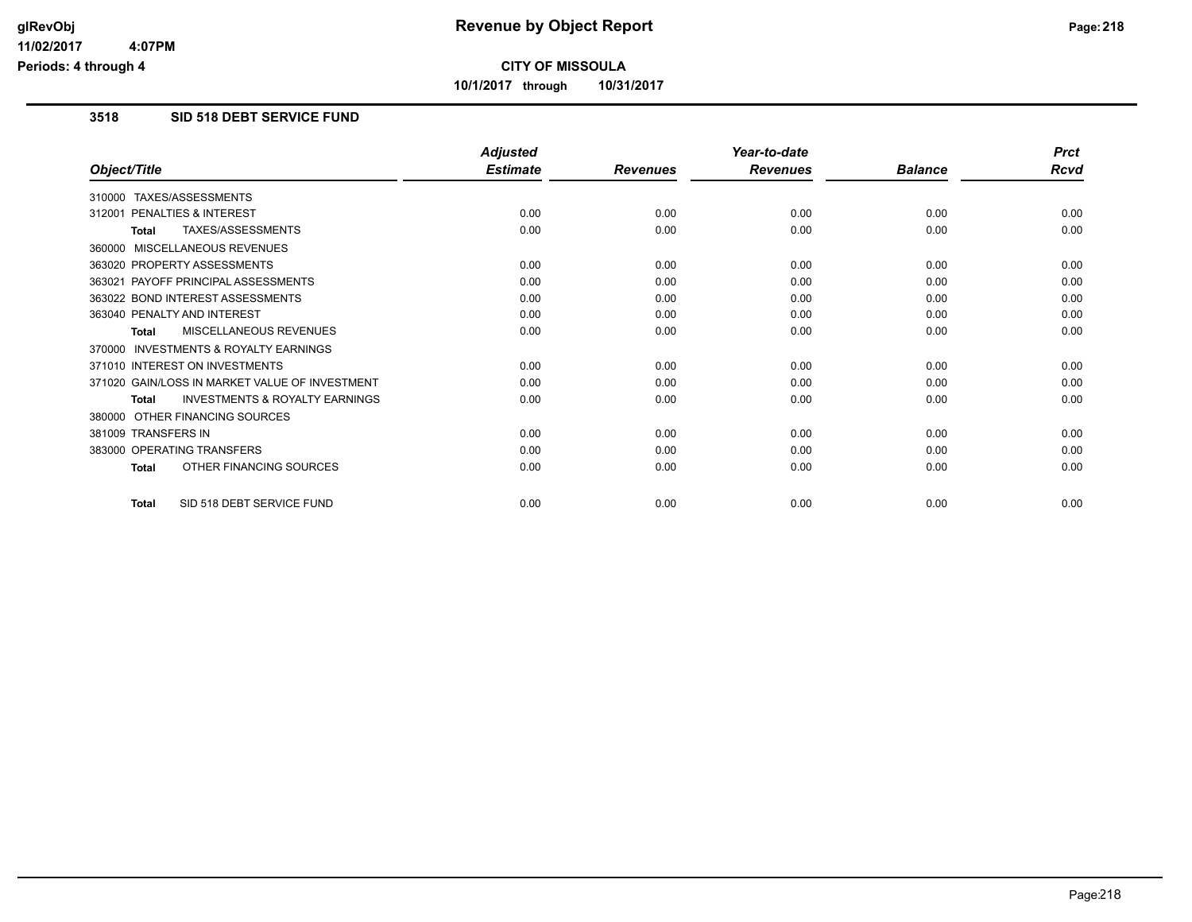**10/1/2017 through 10/31/2017**

## **3518 SID 518 DEBT SERVICE FUND**

|                                                           | <b>Adjusted</b> |                 | Year-to-date    |                | <b>Prct</b> |
|-----------------------------------------------------------|-----------------|-----------------|-----------------|----------------|-------------|
| Object/Title                                              | <b>Estimate</b> | <b>Revenues</b> | <b>Revenues</b> | <b>Balance</b> | <b>Rcvd</b> |
| 310000 TAXES/ASSESSMENTS                                  |                 |                 |                 |                |             |
| PENALTIES & INTEREST<br>312001                            | 0.00            | 0.00            | 0.00            | 0.00           | 0.00        |
| TAXES/ASSESSMENTS<br><b>Total</b>                         | 0.00            | 0.00            | 0.00            | 0.00           | 0.00        |
| 360000 MISCELLANEOUS REVENUES                             |                 |                 |                 |                |             |
| 363020 PROPERTY ASSESSMENTS                               | 0.00            | 0.00            | 0.00            | 0.00           | 0.00        |
| 363021 PAYOFF PRINCIPAL ASSESSMENTS                       | 0.00            | 0.00            | 0.00            | 0.00           | 0.00        |
| 363022 BOND INTEREST ASSESSMENTS                          | 0.00            | 0.00            | 0.00            | 0.00           | 0.00        |
| 363040 PENALTY AND INTEREST                               | 0.00            | 0.00            | 0.00            | 0.00           | 0.00        |
| MISCELLANEOUS REVENUES<br><b>Total</b>                    | 0.00            | 0.00            | 0.00            | 0.00           | 0.00        |
| <b>INVESTMENTS &amp; ROYALTY EARNINGS</b><br>370000       |                 |                 |                 |                |             |
| 371010 INTEREST ON INVESTMENTS                            | 0.00            | 0.00            | 0.00            | 0.00           | 0.00        |
| 371020 GAIN/LOSS IN MARKET VALUE OF INVESTMENT            | 0.00            | 0.00            | 0.00            | 0.00           | 0.00        |
| <b>INVESTMENTS &amp; ROYALTY EARNINGS</b><br><b>Total</b> | 0.00            | 0.00            | 0.00            | 0.00           | 0.00        |
| 380000 OTHER FINANCING SOURCES                            |                 |                 |                 |                |             |
| 381009 TRANSFERS IN                                       | 0.00            | 0.00            | 0.00            | 0.00           | 0.00        |
| 383000 OPERATING TRANSFERS                                | 0.00            | 0.00            | 0.00            | 0.00           | 0.00        |
| OTHER FINANCING SOURCES<br><b>Total</b>                   | 0.00            | 0.00            | 0.00            | 0.00           | 0.00        |
| SID 518 DEBT SERVICE FUND<br><b>Total</b>                 | 0.00            | 0.00            | 0.00            | 0.00           | 0.00        |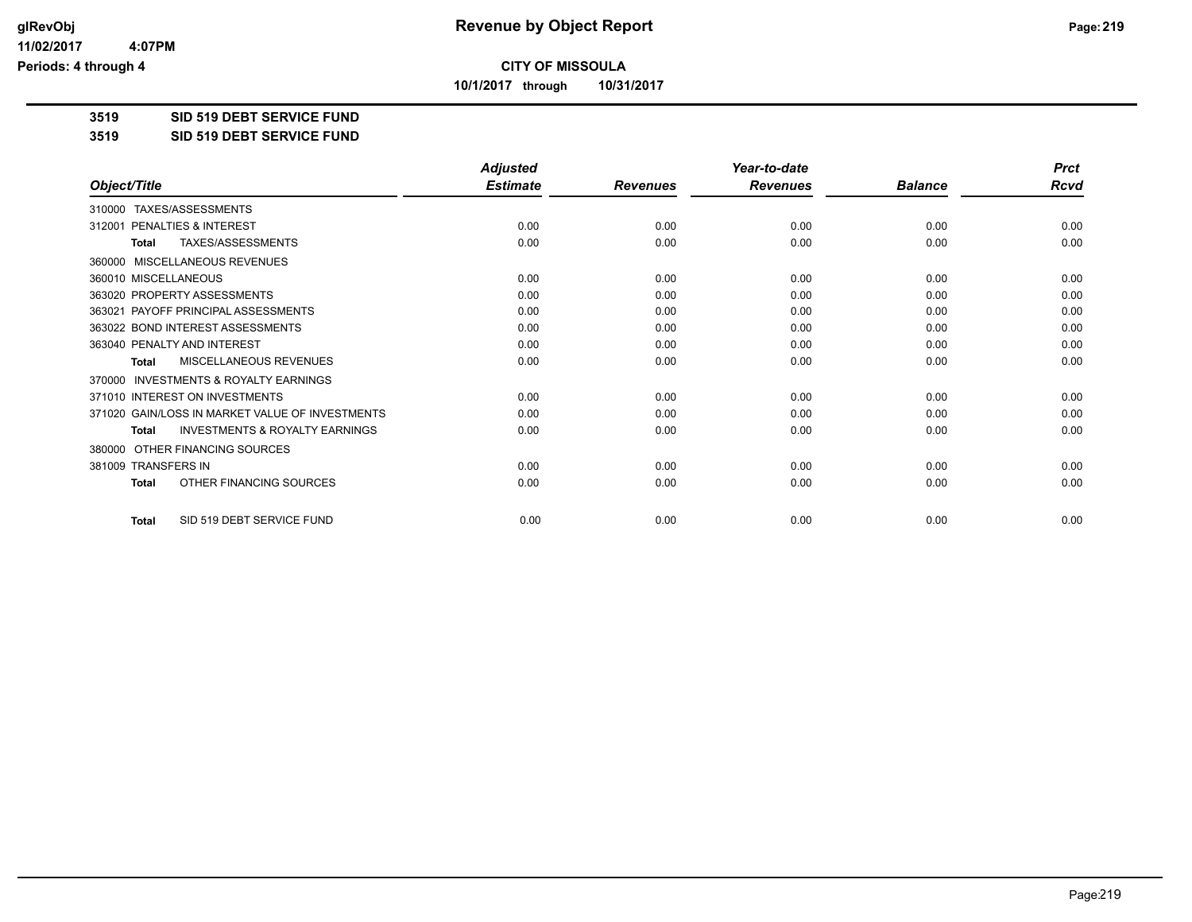**10/1/2017 through 10/31/2017**

**3519 SID 519 DEBT SERVICE FUND**

**3519 SID 519 DEBT SERVICE FUND**

|                                                           | <b>Adjusted</b> |                 | Year-to-date    |                | <b>Prct</b> |
|-----------------------------------------------------------|-----------------|-----------------|-----------------|----------------|-------------|
| Object/Title                                              | <b>Estimate</b> | <b>Revenues</b> | <b>Revenues</b> | <b>Balance</b> | <b>Rcvd</b> |
| TAXES/ASSESSMENTS<br>310000                               |                 |                 |                 |                |             |
| 312001 PENALTIES & INTEREST                               | 0.00            | 0.00            | 0.00            | 0.00           | 0.00        |
| TAXES/ASSESSMENTS<br><b>Total</b>                         | 0.00            | 0.00            | 0.00            | 0.00           | 0.00        |
| <b>MISCELLANEOUS REVENUES</b><br>360000                   |                 |                 |                 |                |             |
| 360010 MISCELLANEOUS                                      | 0.00            | 0.00            | 0.00            | 0.00           | 0.00        |
| 363020 PROPERTY ASSESSMENTS                               | 0.00            | 0.00            | 0.00            | 0.00           | 0.00        |
| 363021 PAYOFF PRINCIPAL ASSESSMENTS                       | 0.00            | 0.00            | 0.00            | 0.00           | 0.00        |
| 363022 BOND INTEREST ASSESSMENTS                          | 0.00            | 0.00            | 0.00            | 0.00           | 0.00        |
| 363040 PENALTY AND INTEREST                               | 0.00            | 0.00            | 0.00            | 0.00           | 0.00        |
| <b>MISCELLANEOUS REVENUES</b><br><b>Total</b>             | 0.00            | 0.00            | 0.00            | 0.00           | 0.00        |
| <b>INVESTMENTS &amp; ROYALTY EARNINGS</b><br>370000       |                 |                 |                 |                |             |
| 371010 INTEREST ON INVESTMENTS                            | 0.00            | 0.00            | 0.00            | 0.00           | 0.00        |
| 371020 GAIN/LOSS IN MARKET VALUE OF INVESTMENTS           | 0.00            | 0.00            | 0.00            | 0.00           | 0.00        |
| <b>INVESTMENTS &amp; ROYALTY EARNINGS</b><br><b>Total</b> | 0.00            | 0.00            | 0.00            | 0.00           | 0.00        |
| OTHER FINANCING SOURCES<br>380000                         |                 |                 |                 |                |             |
| 381009 TRANSFERS IN                                       | 0.00            | 0.00            | 0.00            | 0.00           | 0.00        |
| OTHER FINANCING SOURCES<br><b>Total</b>                   | 0.00            | 0.00            | 0.00            | 0.00           | 0.00        |
| SID 519 DEBT SERVICE FUND<br><b>Total</b>                 | 0.00            | 0.00            | 0.00            | 0.00           | 0.00        |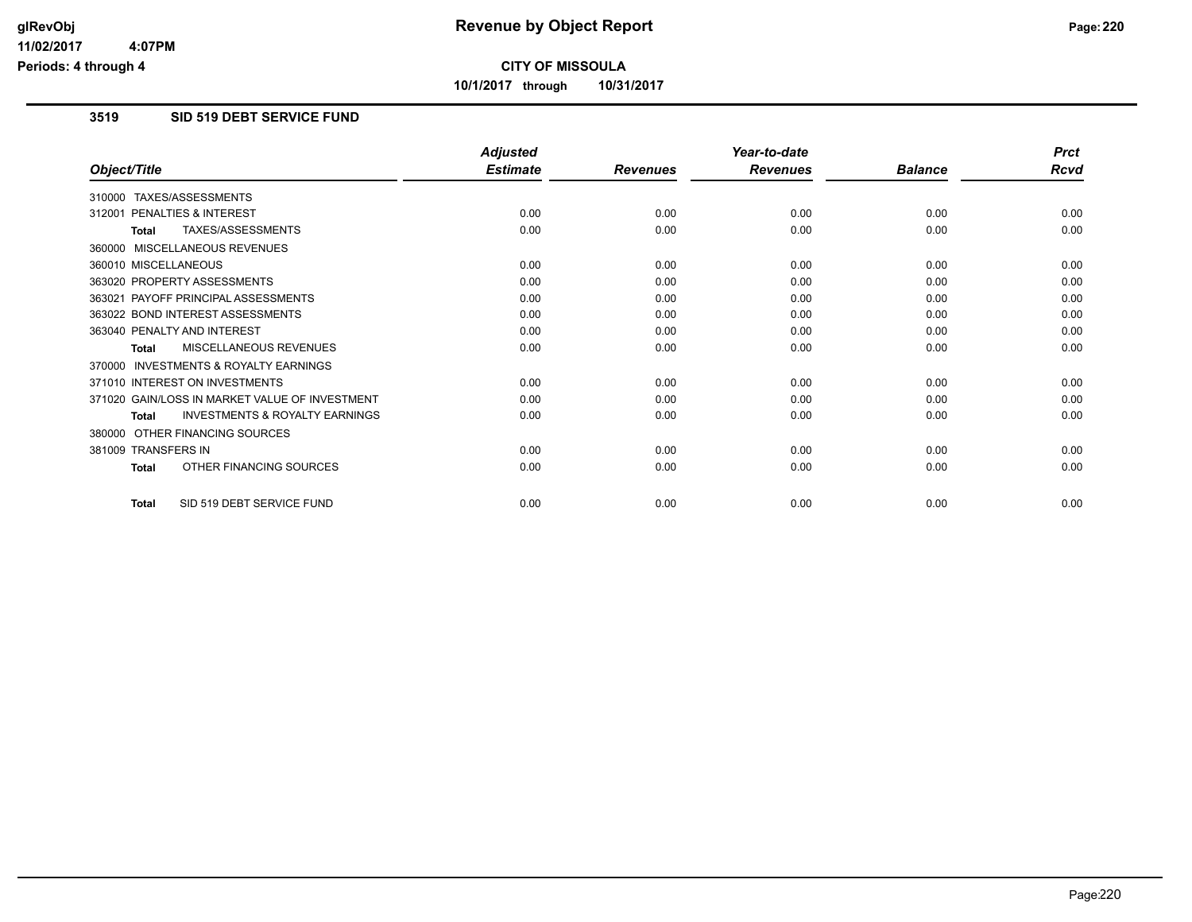**10/1/2017 through 10/31/2017**

## **3519 SID 519 DEBT SERVICE FUND**

|                                                           | <b>Adjusted</b> |                 | Year-to-date    |                | <b>Prct</b> |
|-----------------------------------------------------------|-----------------|-----------------|-----------------|----------------|-------------|
| Object/Title                                              | <b>Estimate</b> | <b>Revenues</b> | <b>Revenues</b> | <b>Balance</b> | <b>Rcvd</b> |
| 310000 TAXES/ASSESSMENTS                                  |                 |                 |                 |                |             |
| PENALTIES & INTEREST<br>312001                            | 0.00            | 0.00            | 0.00            | 0.00           | 0.00        |
| TAXES/ASSESSMENTS<br><b>Total</b>                         | 0.00            | 0.00            | 0.00            | 0.00           | 0.00        |
| 360000 MISCELLANEOUS REVENUES                             |                 |                 |                 |                |             |
| 360010 MISCELLANEOUS                                      | 0.00            | 0.00            | 0.00            | 0.00           | 0.00        |
| 363020 PROPERTY ASSESSMENTS                               | 0.00            | 0.00            | 0.00            | 0.00           | 0.00        |
| 363021 PAYOFF PRINCIPAL ASSESSMENTS                       | 0.00            | 0.00            | 0.00            | 0.00           | 0.00        |
| 363022 BOND INTEREST ASSESSMENTS                          | 0.00            | 0.00            | 0.00            | 0.00           | 0.00        |
| 363040 PENALTY AND INTEREST                               | 0.00            | 0.00            | 0.00            | 0.00           | 0.00        |
| <b>MISCELLANEOUS REVENUES</b><br><b>Total</b>             | 0.00            | 0.00            | 0.00            | 0.00           | 0.00        |
| 370000 INVESTMENTS & ROYALTY EARNINGS                     |                 |                 |                 |                |             |
| 371010 INTEREST ON INVESTMENTS                            | 0.00            | 0.00            | 0.00            | 0.00           | 0.00        |
| 371020 GAIN/LOSS IN MARKET VALUE OF INVESTMENT            | 0.00            | 0.00            | 0.00            | 0.00           | 0.00        |
| <b>INVESTMENTS &amp; ROYALTY EARNINGS</b><br><b>Total</b> | 0.00            | 0.00            | 0.00            | 0.00           | 0.00        |
| 380000 OTHER FINANCING SOURCES                            |                 |                 |                 |                |             |
| 381009 TRANSFERS IN                                       | 0.00            | 0.00            | 0.00            | 0.00           | 0.00        |
| OTHER FINANCING SOURCES<br>Total                          | 0.00            | 0.00            | 0.00            | 0.00           | 0.00        |
| SID 519 DEBT SERVICE FUND<br><b>Total</b>                 | 0.00            | 0.00            | 0.00            | 0.00           | 0.00        |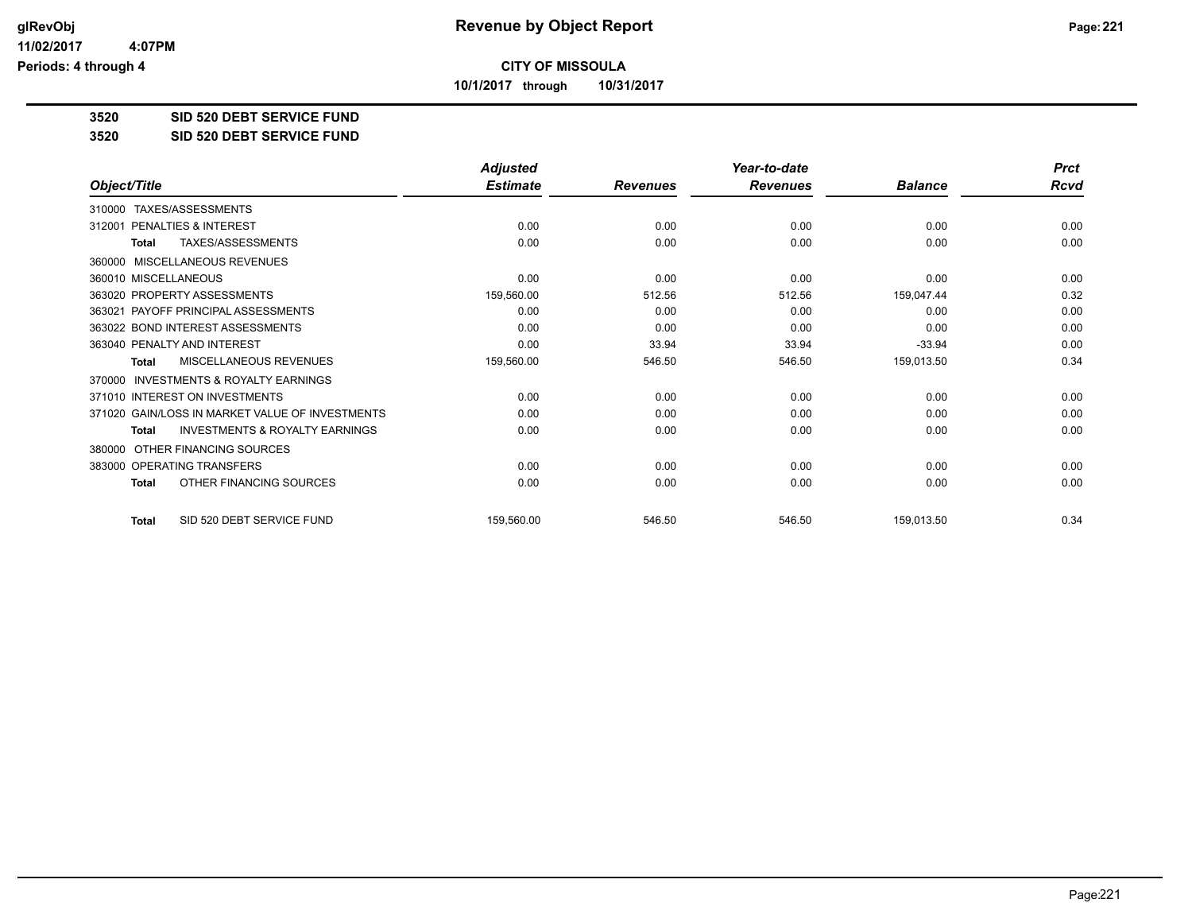**10/1/2017 through 10/31/2017**

**3520 SID 520 DEBT SERVICE FUND**

**3520 SID 520 DEBT SERVICE FUND**

|                                                     | <b>Adjusted</b> |                 | Year-to-date    |                | <b>Prct</b> |
|-----------------------------------------------------|-----------------|-----------------|-----------------|----------------|-------------|
| Object/Title                                        | <b>Estimate</b> | <b>Revenues</b> | <b>Revenues</b> | <b>Balance</b> | <b>Rcvd</b> |
| TAXES/ASSESSMENTS<br>310000                         |                 |                 |                 |                |             |
| PENALTIES & INTEREST<br>312001                      | 0.00            | 0.00            | 0.00            | 0.00           | 0.00        |
| TAXES/ASSESSMENTS<br>Total                          | 0.00            | 0.00            | 0.00            | 0.00           | 0.00        |
| MISCELLANEOUS REVENUES<br>360000                    |                 |                 |                 |                |             |
| 360010 MISCELLANEOUS                                | 0.00            | 0.00            | 0.00            | 0.00           | 0.00        |
| 363020 PROPERTY ASSESSMENTS                         | 159,560.00      | 512.56          | 512.56          | 159,047.44     | 0.32        |
| PAYOFF PRINCIPAL ASSESSMENTS<br>363021              | 0.00            | 0.00            | 0.00            | 0.00           | 0.00        |
| 363022 BOND INTEREST ASSESSMENTS                    | 0.00            | 0.00            | 0.00            | 0.00           | 0.00        |
| 363040 PENALTY AND INTEREST                         | 0.00            | 33.94           | 33.94           | $-33.94$       | 0.00        |
| MISCELLANEOUS REVENUES<br>Total                     | 159,560.00      | 546.50          | 546.50          | 159,013.50     | 0.34        |
| <b>INVESTMENTS &amp; ROYALTY EARNINGS</b><br>370000 |                 |                 |                 |                |             |
| 371010 INTEREST ON INVESTMENTS                      | 0.00            | 0.00            | 0.00            | 0.00           | 0.00        |
| 371020 GAIN/LOSS IN MARKET VALUE OF INVESTMENTS     | 0.00            | 0.00            | 0.00            | 0.00           | 0.00        |
| <b>INVESTMENTS &amp; ROYALTY EARNINGS</b><br>Total  | 0.00            | 0.00            | 0.00            | 0.00           | 0.00        |
| OTHER FINANCING SOURCES<br>380000                   |                 |                 |                 |                |             |
| 383000 OPERATING TRANSFERS                          | 0.00            | 0.00            | 0.00            | 0.00           | 0.00        |
| OTHER FINANCING SOURCES<br><b>Total</b>             | 0.00            | 0.00            | 0.00            | 0.00           | 0.00        |
| SID 520 DEBT SERVICE FUND<br><b>Total</b>           | 159,560.00      | 546.50          | 546.50          | 159,013.50     | 0.34        |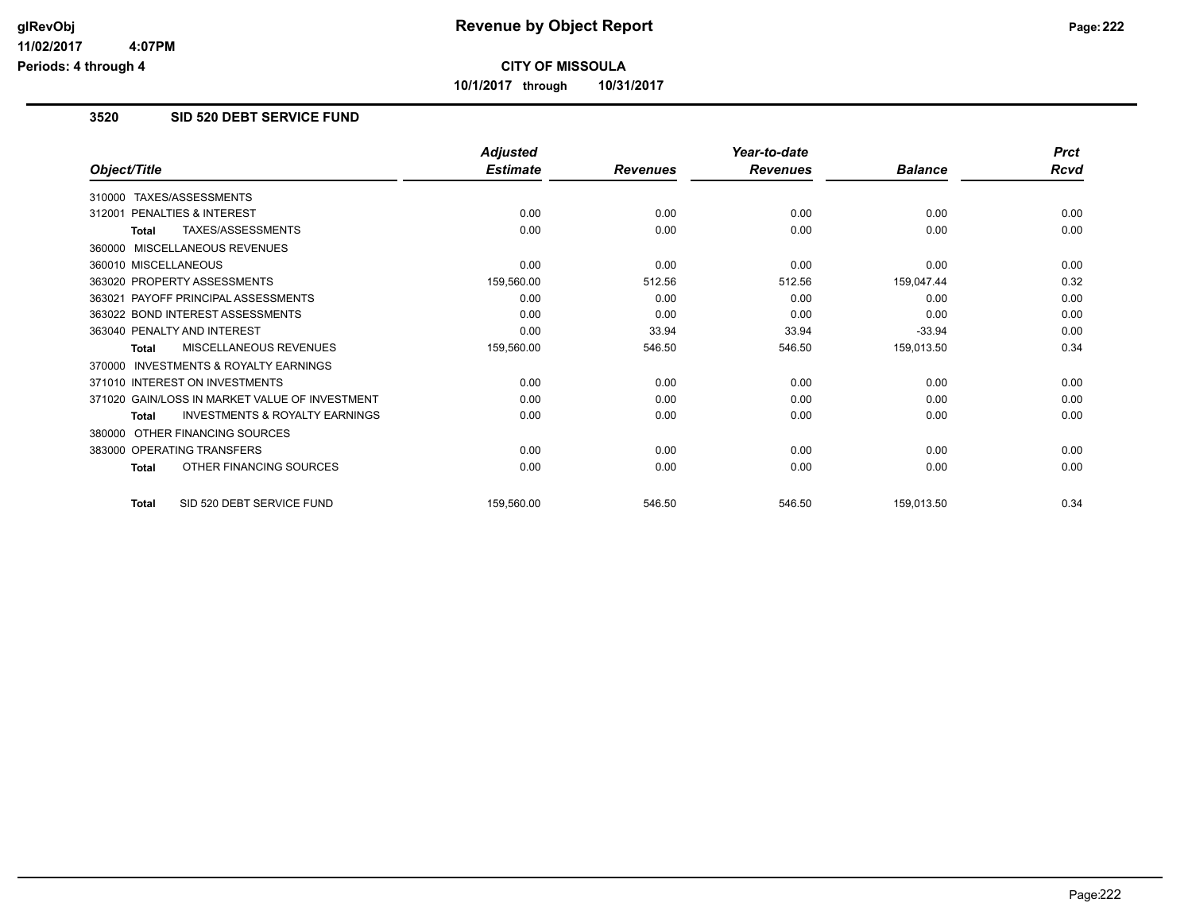**10/1/2017 through 10/31/2017**

## **3520 SID 520 DEBT SERVICE FUND**

|                                                           | <b>Adjusted</b> |                 | Year-to-date    |                | <b>Prct</b> |
|-----------------------------------------------------------|-----------------|-----------------|-----------------|----------------|-------------|
| Object/Title                                              | <b>Estimate</b> | <b>Revenues</b> | <b>Revenues</b> | <b>Balance</b> | Rcvd        |
| 310000 TAXES/ASSESSMENTS                                  |                 |                 |                 |                |             |
| PENALTIES & INTEREST<br>312001                            | 0.00            | 0.00            | 0.00            | 0.00           | 0.00        |
| TAXES/ASSESSMENTS<br><b>Total</b>                         | 0.00            | 0.00            | 0.00            | 0.00           | 0.00        |
| 360000 MISCELLANEOUS REVENUES                             |                 |                 |                 |                |             |
| 360010 MISCELLANEOUS                                      | 0.00            | 0.00            | 0.00            | 0.00           | 0.00        |
| 363020 PROPERTY ASSESSMENTS                               | 159,560.00      | 512.56          | 512.56          | 159,047.44     | 0.32        |
| 363021 PAYOFF PRINCIPAL ASSESSMENTS                       | 0.00            | 0.00            | 0.00            | 0.00           | 0.00        |
| 363022 BOND INTEREST ASSESSMENTS                          | 0.00            | 0.00            | 0.00            | 0.00           | 0.00        |
| 363040 PENALTY AND INTEREST                               | 0.00            | 33.94           | 33.94           | $-33.94$       | 0.00        |
| MISCELLANEOUS REVENUES<br><b>Total</b>                    | 159,560.00      | 546.50          | 546.50          | 159,013.50     | 0.34        |
| <b>INVESTMENTS &amp; ROYALTY EARNINGS</b><br>370000       |                 |                 |                 |                |             |
| 371010 INTEREST ON INVESTMENTS                            | 0.00            | 0.00            | 0.00            | 0.00           | 0.00        |
| 371020 GAIN/LOSS IN MARKET VALUE OF INVESTMENT            | 0.00            | 0.00            | 0.00            | 0.00           | 0.00        |
| <b>INVESTMENTS &amp; ROYALTY EARNINGS</b><br><b>Total</b> | 0.00            | 0.00            | 0.00            | 0.00           | 0.00        |
| OTHER FINANCING SOURCES<br>380000                         |                 |                 |                 |                |             |
| 383000 OPERATING TRANSFERS                                | 0.00            | 0.00            | 0.00            | 0.00           | 0.00        |
| OTHER FINANCING SOURCES<br><b>Total</b>                   | 0.00            | 0.00            | 0.00            | 0.00           | 0.00        |
| SID 520 DEBT SERVICE FUND<br><b>Total</b>                 | 159,560.00      | 546.50          | 546.50          | 159,013.50     | 0.34        |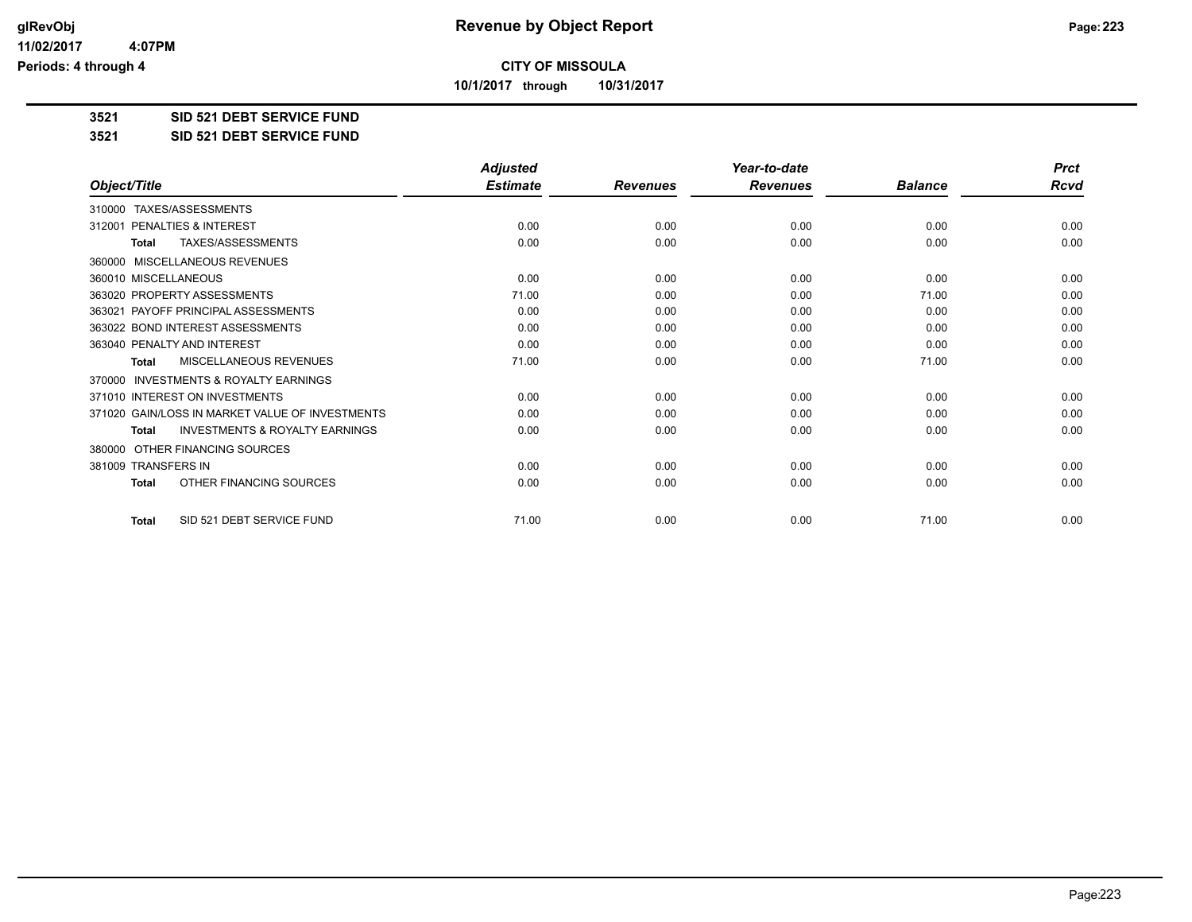**10/1/2017 through 10/31/2017**

**3521 SID 521 DEBT SERVICE FUND**

**3521 SID 521 DEBT SERVICE FUND**

|                                                           | <b>Adjusted</b> |                 | Year-to-date    |                | <b>Prct</b> |
|-----------------------------------------------------------|-----------------|-----------------|-----------------|----------------|-------------|
| Object/Title                                              | <b>Estimate</b> | <b>Revenues</b> | <b>Revenues</b> | <b>Balance</b> | <b>Rcvd</b> |
| TAXES/ASSESSMENTS<br>310000                               |                 |                 |                 |                |             |
| PENALTIES & INTEREST<br>312001                            | 0.00            | 0.00            | 0.00            | 0.00           | 0.00        |
| TAXES/ASSESSMENTS<br>Total                                | 0.00            | 0.00            | 0.00            | 0.00           | 0.00        |
| MISCELLANEOUS REVENUES<br>360000                          |                 |                 |                 |                |             |
| 360010 MISCELLANEOUS                                      | 0.00            | 0.00            | 0.00            | 0.00           | 0.00        |
| 363020 PROPERTY ASSESSMENTS                               | 71.00           | 0.00            | 0.00            | 71.00          | 0.00        |
| 363021 PAYOFF PRINCIPAL ASSESSMENTS                       | 0.00            | 0.00            | 0.00            | 0.00           | 0.00        |
| 363022 BOND INTEREST ASSESSMENTS                          | 0.00            | 0.00            | 0.00            | 0.00           | 0.00        |
| 363040 PENALTY AND INTEREST                               | 0.00            | 0.00            | 0.00            | 0.00           | 0.00        |
| MISCELLANEOUS REVENUES<br>Total                           | 71.00           | 0.00            | 0.00            | 71.00          | 0.00        |
| <b>INVESTMENTS &amp; ROYALTY EARNINGS</b><br>370000       |                 |                 |                 |                |             |
| 371010 INTEREST ON INVESTMENTS                            | 0.00            | 0.00            | 0.00            | 0.00           | 0.00        |
| 371020 GAIN/LOSS IN MARKET VALUE OF INVESTMENTS           | 0.00            | 0.00            | 0.00            | 0.00           | 0.00        |
| <b>INVESTMENTS &amp; ROYALTY EARNINGS</b><br><b>Total</b> | 0.00            | 0.00            | 0.00            | 0.00           | 0.00        |
| OTHER FINANCING SOURCES<br>380000                         |                 |                 |                 |                |             |
| 381009 TRANSFERS IN                                       | 0.00            | 0.00            | 0.00            | 0.00           | 0.00        |
| OTHER FINANCING SOURCES<br><b>Total</b>                   | 0.00            | 0.00            | 0.00            | 0.00           | 0.00        |
| SID 521 DEBT SERVICE FUND<br><b>Total</b>                 | 71.00           | 0.00            | 0.00            | 71.00          | 0.00        |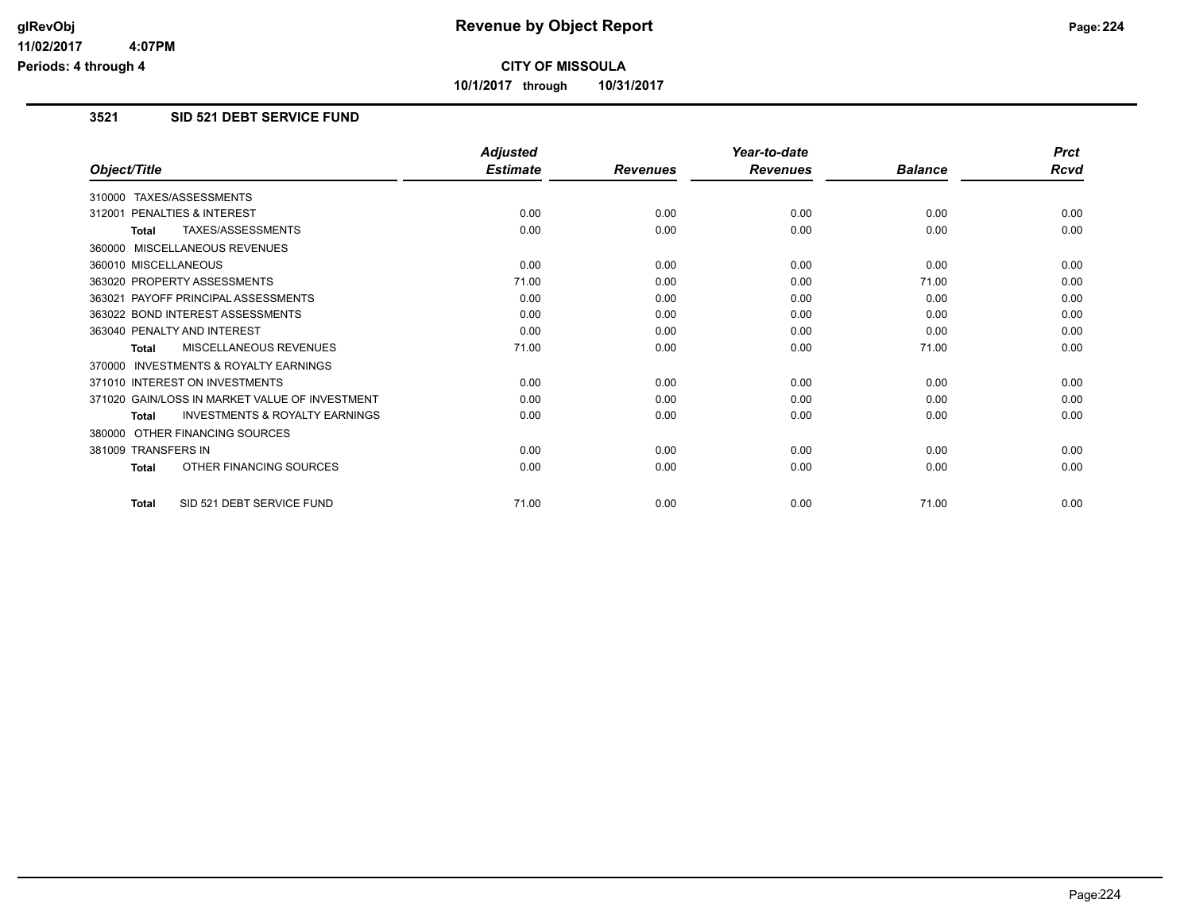**10/1/2017 through 10/31/2017**

## **3521 SID 521 DEBT SERVICE FUND**

|                                                           | <b>Adjusted</b> |                 | Year-to-date    |                | <b>Prct</b> |
|-----------------------------------------------------------|-----------------|-----------------|-----------------|----------------|-------------|
| Object/Title                                              | <b>Estimate</b> | <b>Revenues</b> | <b>Revenues</b> | <b>Balance</b> | Rcvd        |
| 310000 TAXES/ASSESSMENTS                                  |                 |                 |                 |                |             |
| 312001 PENALTIES & INTEREST                               | 0.00            | 0.00            | 0.00            | 0.00           | 0.00        |
| TAXES/ASSESSMENTS<br><b>Total</b>                         | 0.00            | 0.00            | 0.00            | 0.00           | 0.00        |
| 360000 MISCELLANEOUS REVENUES                             |                 |                 |                 |                |             |
| 360010 MISCELLANEOUS                                      | 0.00            | 0.00            | 0.00            | 0.00           | 0.00        |
| 363020 PROPERTY ASSESSMENTS                               | 71.00           | 0.00            | 0.00            | 71.00          | 0.00        |
| 363021 PAYOFF PRINCIPAL ASSESSMENTS                       | 0.00            | 0.00            | 0.00            | 0.00           | 0.00        |
| 363022 BOND INTEREST ASSESSMENTS                          | 0.00            | 0.00            | 0.00            | 0.00           | 0.00        |
| 363040 PENALTY AND INTEREST                               | 0.00            | 0.00            | 0.00            | 0.00           | 0.00        |
| MISCELLANEOUS REVENUES<br><b>Total</b>                    | 71.00           | 0.00            | 0.00            | 71.00          | 0.00        |
| <b>INVESTMENTS &amp; ROYALTY EARNINGS</b><br>370000       |                 |                 |                 |                |             |
| 371010 INTEREST ON INVESTMENTS                            | 0.00            | 0.00            | 0.00            | 0.00           | 0.00        |
| 371020 GAIN/LOSS IN MARKET VALUE OF INVESTMENT            | 0.00            | 0.00            | 0.00            | 0.00           | 0.00        |
| <b>INVESTMENTS &amp; ROYALTY EARNINGS</b><br><b>Total</b> | 0.00            | 0.00            | 0.00            | 0.00           | 0.00        |
| 380000 OTHER FINANCING SOURCES                            |                 |                 |                 |                |             |
| 381009 TRANSFERS IN                                       | 0.00            | 0.00            | 0.00            | 0.00           | 0.00        |
| OTHER FINANCING SOURCES<br><b>Total</b>                   | 0.00            | 0.00            | 0.00            | 0.00           | 0.00        |
| SID 521 DEBT SERVICE FUND<br><b>Total</b>                 | 71.00           | 0.00            | 0.00            | 71.00          | 0.00        |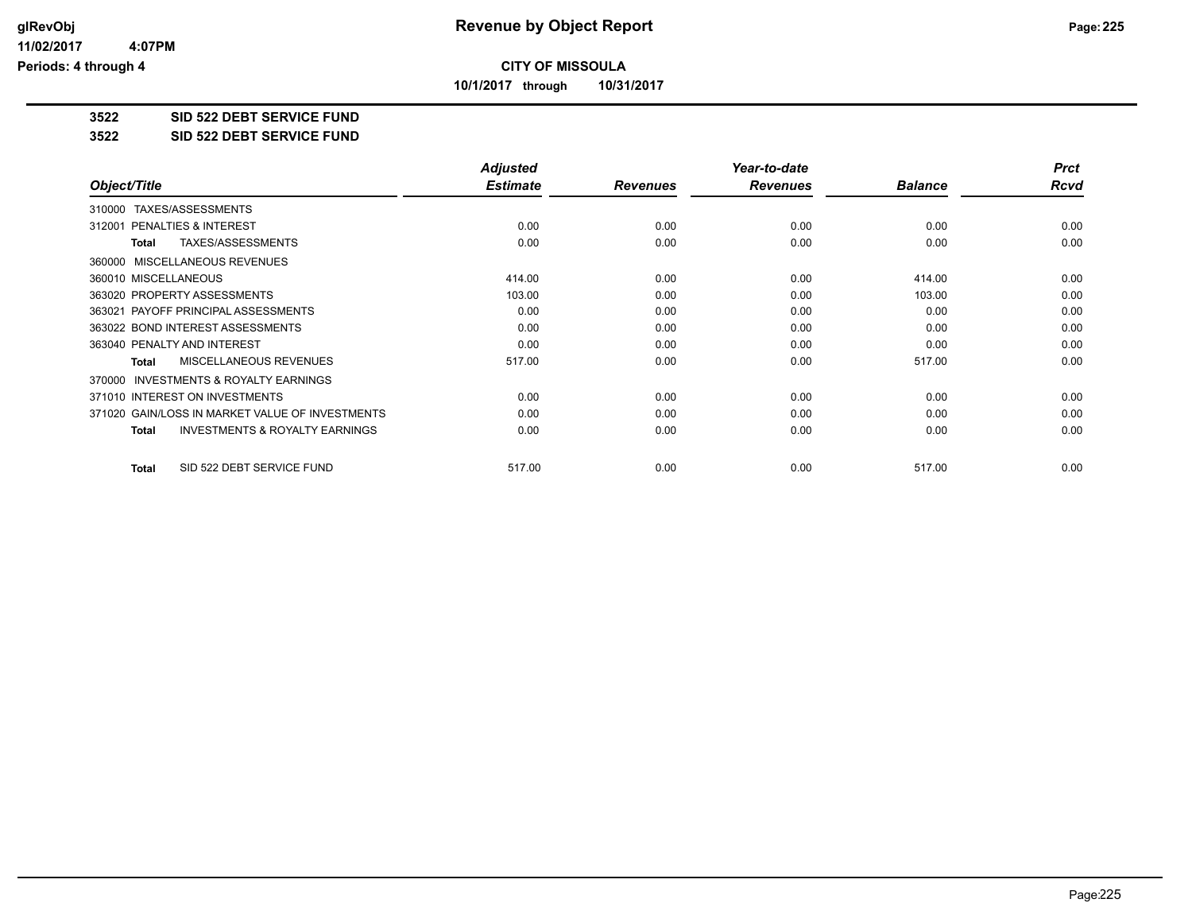**10/1/2017 through 10/31/2017**

**3522 SID 522 DEBT SERVICE FUND**

**3522 SID 522 DEBT SERVICE FUND**

|                                                           | <b>Adjusted</b> |                 | Year-to-date    |                | <b>Prct</b> |
|-----------------------------------------------------------|-----------------|-----------------|-----------------|----------------|-------------|
| Object/Title                                              | <b>Estimate</b> | <b>Revenues</b> | <b>Revenues</b> | <b>Balance</b> | Rcvd        |
| 310000 TAXES/ASSESSMENTS                                  |                 |                 |                 |                |             |
| 312001 PENALTIES & INTEREST                               | 0.00            | 0.00            | 0.00            | 0.00           | 0.00        |
| TAXES/ASSESSMENTS<br><b>Total</b>                         | 0.00            | 0.00            | 0.00            | 0.00           | 0.00        |
| 360000 MISCELLANEOUS REVENUES                             |                 |                 |                 |                |             |
| 360010 MISCELLANEOUS                                      | 414.00          | 0.00            | 0.00            | 414.00         | 0.00        |
| 363020 PROPERTY ASSESSMENTS                               | 103.00          | 0.00            | 0.00            | 103.00         | 0.00        |
| 363021 PAYOFF PRINCIPAL ASSESSMENTS                       | 0.00            | 0.00            | 0.00            | 0.00           | 0.00        |
| 363022 BOND INTEREST ASSESSMENTS                          | 0.00            | 0.00            | 0.00            | 0.00           | 0.00        |
| 363040 PENALTY AND INTEREST                               | 0.00            | 0.00            | 0.00            | 0.00           | 0.00        |
| <b>MISCELLANEOUS REVENUES</b><br>Total                    | 517.00          | 0.00            | 0.00            | 517.00         | 0.00        |
| 370000 INVESTMENTS & ROYALTY EARNINGS                     |                 |                 |                 |                |             |
| 371010 INTEREST ON INVESTMENTS                            | 0.00            | 0.00            | 0.00            | 0.00           | 0.00        |
| 371020 GAIN/LOSS IN MARKET VALUE OF INVESTMENTS           | 0.00            | 0.00            | 0.00            | 0.00           | 0.00        |
| <b>INVESTMENTS &amp; ROYALTY EARNINGS</b><br><b>Total</b> | 0.00            | 0.00            | 0.00            | 0.00           | 0.00        |
| SID 522 DEBT SERVICE FUND<br><b>Total</b>                 | 517.00          | 0.00            | 0.00            | 517.00         | 0.00        |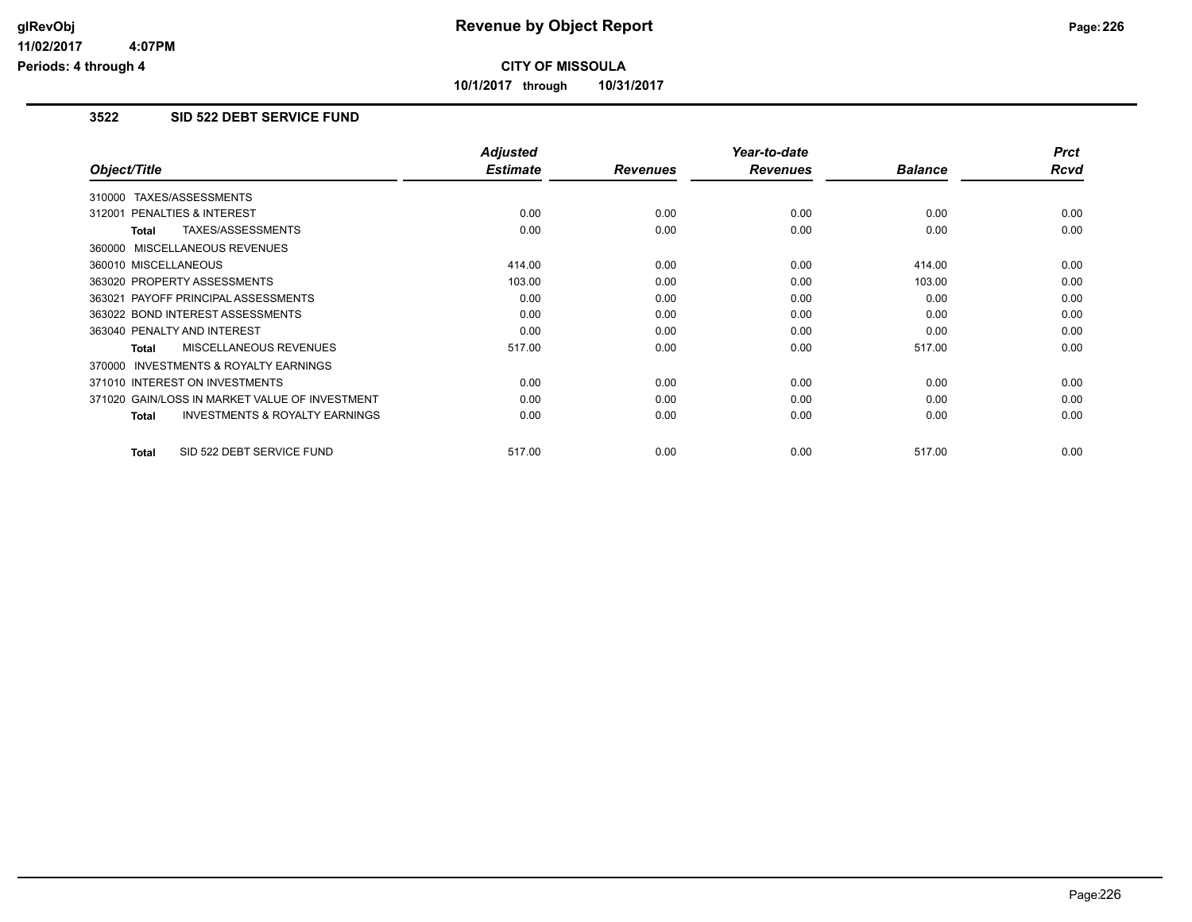**10/1/2017 through 10/31/2017**

## **3522 SID 522 DEBT SERVICE FUND**

|                                                           | <b>Adjusted</b> |                 | Year-to-date    |                | <b>Prct</b> |
|-----------------------------------------------------------|-----------------|-----------------|-----------------|----------------|-------------|
| Object/Title                                              | <b>Estimate</b> | <b>Revenues</b> | <b>Revenues</b> | <b>Balance</b> | <b>Rcvd</b> |
| 310000 TAXES/ASSESSMENTS                                  |                 |                 |                 |                |             |
| 312001 PENALTIES & INTEREST                               | 0.00            | 0.00            | 0.00            | 0.00           | 0.00        |
| TAXES/ASSESSMENTS<br><b>Total</b>                         | 0.00            | 0.00            | 0.00            | 0.00           | 0.00        |
| 360000 MISCELLANEOUS REVENUES                             |                 |                 |                 |                |             |
| 360010 MISCELLANEOUS                                      | 414.00          | 0.00            | 0.00            | 414.00         | 0.00        |
| 363020 PROPERTY ASSESSMENTS                               | 103.00          | 0.00            | 0.00            | 103.00         | 0.00        |
| 363021 PAYOFF PRINCIPAL ASSESSMENTS                       | 0.00            | 0.00            | 0.00            | 0.00           | 0.00        |
| 363022 BOND INTEREST ASSESSMENTS                          | 0.00            | 0.00            | 0.00            | 0.00           | 0.00        |
| 363040 PENALTY AND INTEREST                               | 0.00            | 0.00            | 0.00            | 0.00           | 0.00        |
| <b>MISCELLANEOUS REVENUES</b><br><b>Total</b>             | 517.00          | 0.00            | 0.00            | 517.00         | 0.00        |
| <b>INVESTMENTS &amp; ROYALTY EARNINGS</b><br>370000       |                 |                 |                 |                |             |
| 371010 INTEREST ON INVESTMENTS                            | 0.00            | 0.00            | 0.00            | 0.00           | 0.00        |
| 371020 GAIN/LOSS IN MARKET VALUE OF INVESTMENT            | 0.00            | 0.00            | 0.00            | 0.00           | 0.00        |
| <b>INVESTMENTS &amp; ROYALTY EARNINGS</b><br><b>Total</b> | 0.00            | 0.00            | 0.00            | 0.00           | 0.00        |
| SID 522 DEBT SERVICE FUND<br><b>Total</b>                 | 517.00          | 0.00            | 0.00            | 517.00         | 0.00        |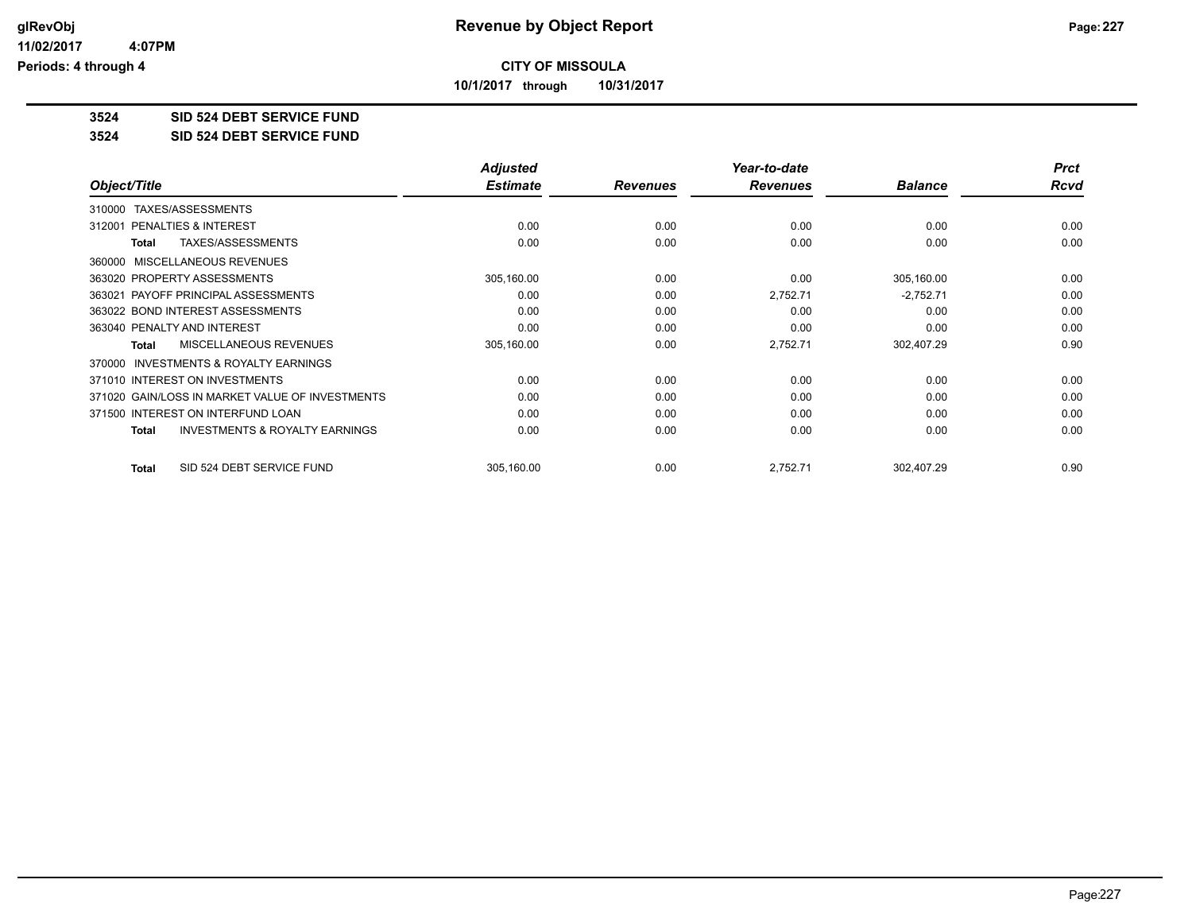**10/1/2017 through 10/31/2017**

**3524 SID 524 DEBT SERVICE FUND**

**3524 SID 524 DEBT SERVICE FUND**

|                                                     | <b>Adjusted</b> |                 | Year-to-date    |                | <b>Prct</b> |
|-----------------------------------------------------|-----------------|-----------------|-----------------|----------------|-------------|
| Object/Title                                        | <b>Estimate</b> | <b>Revenues</b> | <b>Revenues</b> | <b>Balance</b> | Rcvd        |
| 310000 TAXES/ASSESSMENTS                            |                 |                 |                 |                |             |
| PENALTIES & INTEREST<br>312001                      | 0.00            | 0.00            | 0.00            | 0.00           | 0.00        |
| TAXES/ASSESSMENTS<br>Total                          | 0.00            | 0.00            | 0.00            | 0.00           | 0.00        |
| MISCELLANEOUS REVENUES<br>360000                    |                 |                 |                 |                |             |
| 363020 PROPERTY ASSESSMENTS                         | 305,160.00      | 0.00            | 0.00            | 305,160.00     | 0.00        |
| 363021 PAYOFF PRINCIPAL ASSESSMENTS                 | 0.00            | 0.00            | 2,752.71        | $-2,752.71$    | 0.00        |
| 363022 BOND INTEREST ASSESSMENTS                    | 0.00            | 0.00            | 0.00            | 0.00           | 0.00        |
| 363040 PENALTY AND INTEREST                         | 0.00            | 0.00            | 0.00            | 0.00           | 0.00        |
| MISCELLANEOUS REVENUES<br>Total                     | 305,160.00      | 0.00            | 2,752.71        | 302,407.29     | 0.90        |
| <b>INVESTMENTS &amp; ROYALTY EARNINGS</b><br>370000 |                 |                 |                 |                |             |
| 371010 INTEREST ON INVESTMENTS                      | 0.00            | 0.00            | 0.00            | 0.00           | 0.00        |
| 371020 GAIN/LOSS IN MARKET VALUE OF INVESTMENTS     | 0.00            | 0.00            | 0.00            | 0.00           | 0.00        |
| 371500 INTEREST ON INTERFUND LOAN                   | 0.00            | 0.00            | 0.00            | 0.00           | 0.00        |
| <b>INVESTMENTS &amp; ROYALTY EARNINGS</b><br>Total  | 0.00            | 0.00            | 0.00            | 0.00           | 0.00        |
| SID 524 DEBT SERVICE FUND<br><b>Total</b>           | 305,160.00      | 0.00            | 2,752.71        | 302,407.29     | 0.90        |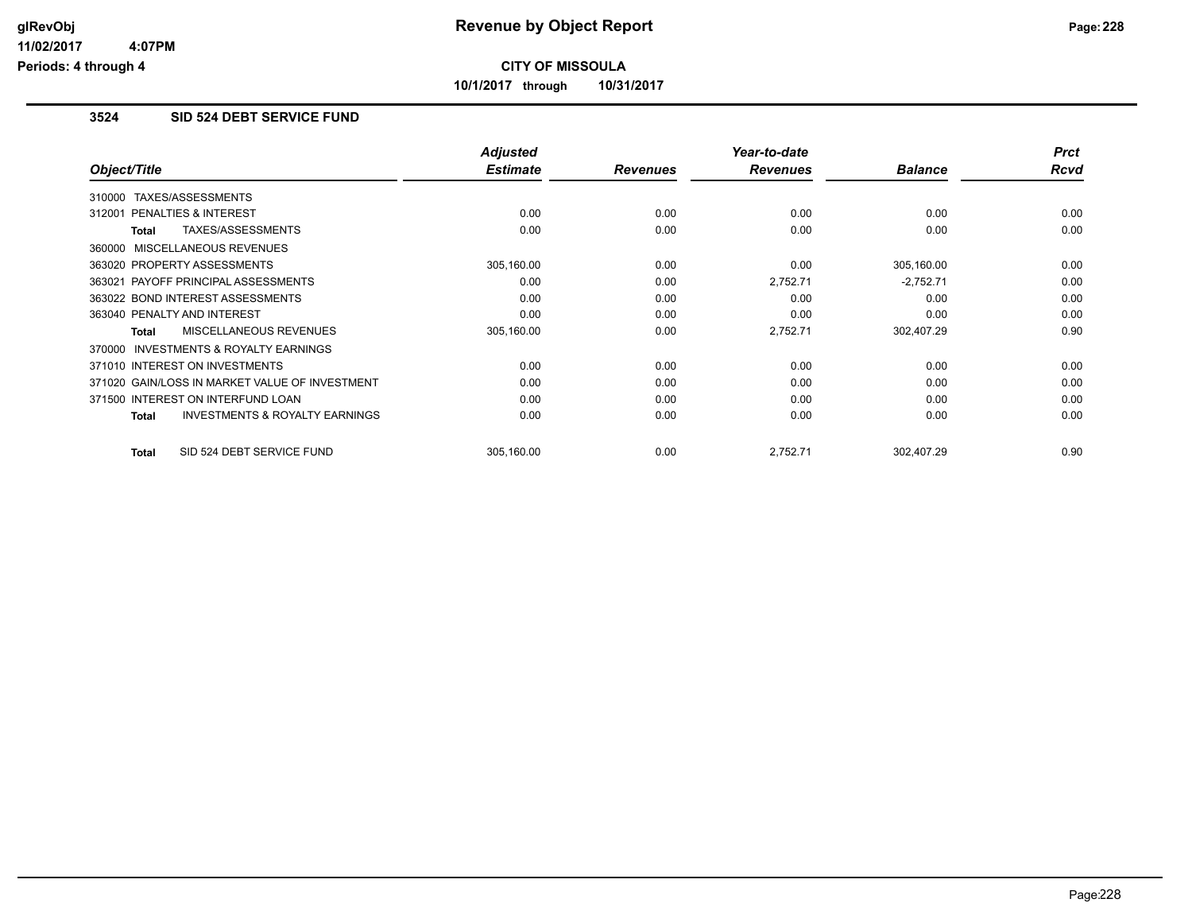**10/1/2017 through 10/31/2017**

## **3524 SID 524 DEBT SERVICE FUND**

|                                                    | <b>Adjusted</b> |                 | Year-to-date    |                | <b>Prct</b> |
|----------------------------------------------------|-----------------|-----------------|-----------------|----------------|-------------|
| Object/Title                                       | <b>Estimate</b> | <b>Revenues</b> | <b>Revenues</b> | <b>Balance</b> | Rcvd        |
| 310000 TAXES/ASSESSMENTS                           |                 |                 |                 |                |             |
| 312001 PENALTIES & INTEREST                        | 0.00            | 0.00            | 0.00            | 0.00           | 0.00        |
| TAXES/ASSESSMENTS<br>Total                         | 0.00            | 0.00            | 0.00            | 0.00           | 0.00        |
| 360000 MISCELLANEOUS REVENUES                      |                 |                 |                 |                |             |
| 363020 PROPERTY ASSESSMENTS                        | 305,160.00      | 0.00            | 0.00            | 305,160.00     | 0.00        |
| 363021 PAYOFF PRINCIPAL ASSESSMENTS                | 0.00            | 0.00            | 2,752.71        | $-2,752.71$    | 0.00        |
| 363022 BOND INTEREST ASSESSMENTS                   | 0.00            | 0.00            | 0.00            | 0.00           | 0.00        |
| 363040 PENALTY AND INTEREST                        | 0.00            | 0.00            | 0.00            | 0.00           | 0.00        |
| MISCELLANEOUS REVENUES<br>Total                    | 305,160.00      | 0.00            | 2,752.71        | 302,407.29     | 0.90        |
| INVESTMENTS & ROYALTY EARNINGS<br>370000           |                 |                 |                 |                |             |
| 371010 INTEREST ON INVESTMENTS                     | 0.00            | 0.00            | 0.00            | 0.00           | 0.00        |
| 371020 GAIN/LOSS IN MARKET VALUE OF INVESTMENT     | 0.00            | 0.00            | 0.00            | 0.00           | 0.00        |
| 371500 INTEREST ON INTERFUND LOAN                  | 0.00            | 0.00            | 0.00            | 0.00           | 0.00        |
| <b>INVESTMENTS &amp; ROYALTY EARNINGS</b><br>Total | 0.00            | 0.00            | 0.00            | 0.00           | 0.00        |
| SID 524 DEBT SERVICE FUND<br>Total                 | 305,160.00      | 0.00            | 2,752.71        | 302.407.29     | 0.90        |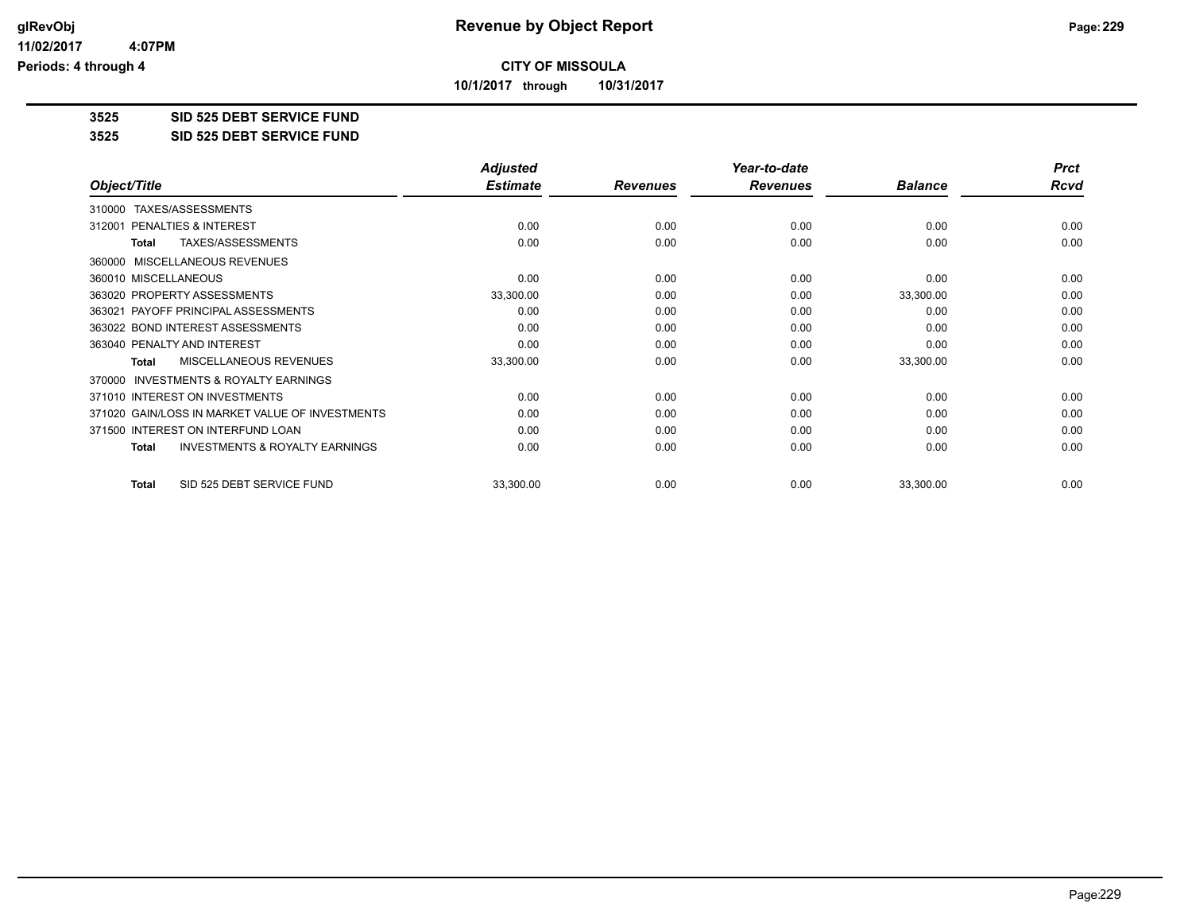**10/1/2017 through 10/31/2017**

**3525 SID 525 DEBT SERVICE FUND**

**3525 SID 525 DEBT SERVICE FUND**

|                                                           | <b>Adjusted</b> |                 | Year-to-date    |                | <b>Prct</b> |
|-----------------------------------------------------------|-----------------|-----------------|-----------------|----------------|-------------|
| Object/Title                                              | <b>Estimate</b> | <b>Revenues</b> | <b>Revenues</b> | <b>Balance</b> | <b>Rcvd</b> |
| TAXES/ASSESSMENTS<br>310000                               |                 |                 |                 |                |             |
| PENALTIES & INTEREST<br>312001                            | 0.00            | 0.00            | 0.00            | 0.00           | 0.00        |
| TAXES/ASSESSMENTS<br><b>Total</b>                         | 0.00            | 0.00            | 0.00            | 0.00           | 0.00        |
| MISCELLANEOUS REVENUES<br>360000                          |                 |                 |                 |                |             |
| 360010 MISCELLANEOUS                                      | 0.00            | 0.00            | 0.00            | 0.00           | 0.00        |
| 363020 PROPERTY ASSESSMENTS                               | 33,300.00       | 0.00            | 0.00            | 33,300.00      | 0.00        |
| 363021 PAYOFF PRINCIPAL ASSESSMENTS                       | 0.00            | 0.00            | 0.00            | 0.00           | 0.00        |
| 363022 BOND INTEREST ASSESSMENTS                          | 0.00            | 0.00            | 0.00            | 0.00           | 0.00        |
| 363040 PENALTY AND INTEREST                               | 0.00            | 0.00            | 0.00            | 0.00           | 0.00        |
| <b>MISCELLANEOUS REVENUES</b><br><b>Total</b>             | 33,300.00       | 0.00            | 0.00            | 33,300.00      | 0.00        |
| <b>INVESTMENTS &amp; ROYALTY EARNINGS</b><br>370000       |                 |                 |                 |                |             |
| 371010 INTEREST ON INVESTMENTS                            | 0.00            | 0.00            | 0.00            | 0.00           | 0.00        |
| 371020 GAIN/LOSS IN MARKET VALUE OF INVESTMENTS           | 0.00            | 0.00            | 0.00            | 0.00           | 0.00        |
| 371500 INTEREST ON INTERFUND LOAN                         | 0.00            | 0.00            | 0.00            | 0.00           | 0.00        |
| <b>INVESTMENTS &amp; ROYALTY EARNINGS</b><br><b>Total</b> | 0.00            | 0.00            | 0.00            | 0.00           | 0.00        |
| SID 525 DEBT SERVICE FUND<br><b>Total</b>                 | 33,300.00       | 0.00            | 0.00            | 33,300.00      | 0.00        |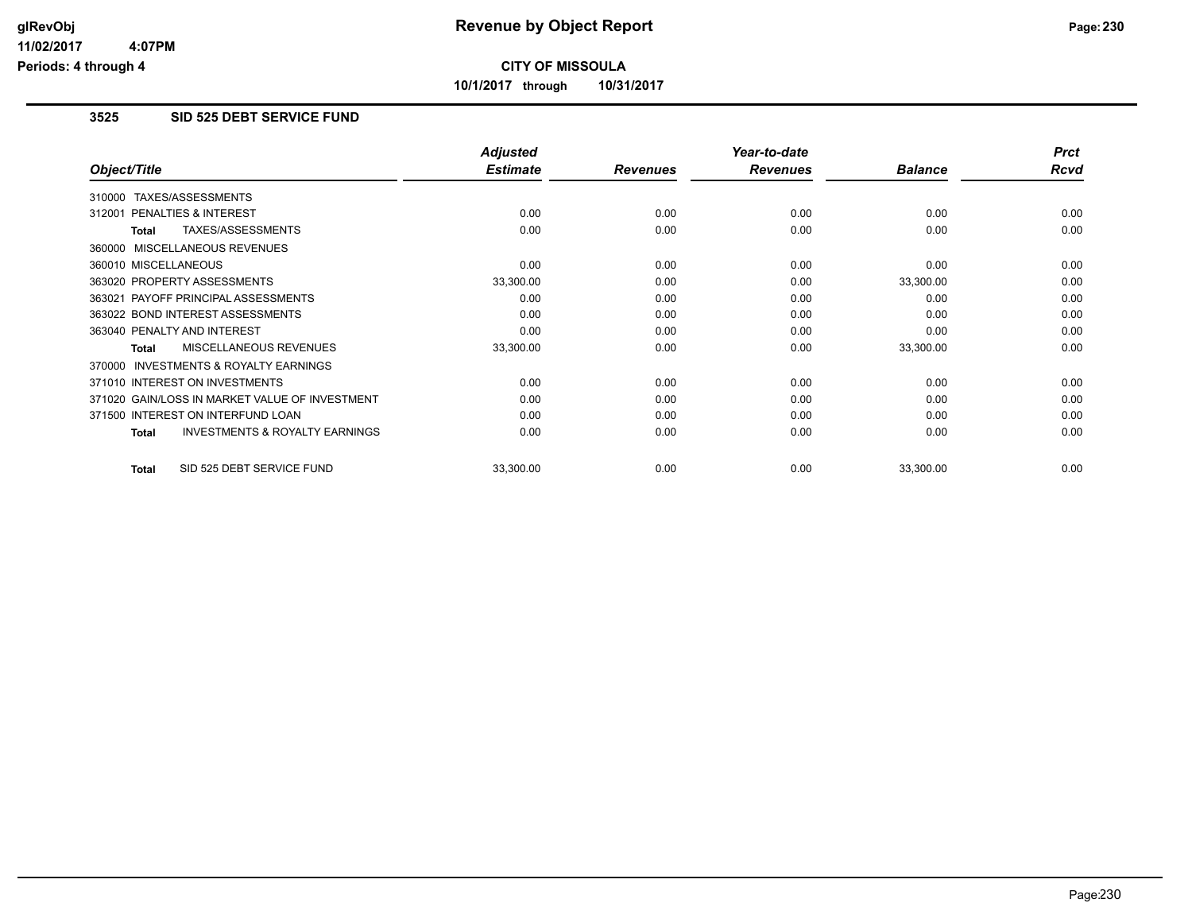**10/1/2017 through 10/31/2017**

## **3525 SID 525 DEBT SERVICE FUND**

|                                                           | <b>Adjusted</b> |                 | Year-to-date    |                | <b>Prct</b> |
|-----------------------------------------------------------|-----------------|-----------------|-----------------|----------------|-------------|
| Object/Title                                              | <b>Estimate</b> | <b>Revenues</b> | <b>Revenues</b> | <b>Balance</b> | <b>Rcvd</b> |
| TAXES/ASSESSMENTS<br>310000                               |                 |                 |                 |                |             |
| PENALTIES & INTEREST<br>312001                            | 0.00            | 0.00            | 0.00            | 0.00           | 0.00        |
| TAXES/ASSESSMENTS<br>Total                                | 0.00            | 0.00            | 0.00            | 0.00           | 0.00        |
| 360000 MISCELLANEOUS REVENUES                             |                 |                 |                 |                |             |
| 360010 MISCELLANEOUS                                      | 0.00            | 0.00            | 0.00            | 0.00           | 0.00        |
| 363020 PROPERTY ASSESSMENTS                               | 33,300.00       | 0.00            | 0.00            | 33,300.00      | 0.00        |
| 363021 PAYOFF PRINCIPAL ASSESSMENTS                       | 0.00            | 0.00            | 0.00            | 0.00           | 0.00        |
| 363022 BOND INTEREST ASSESSMENTS                          | 0.00            | 0.00            | 0.00            | 0.00           | 0.00        |
| 363040 PENALTY AND INTEREST                               | 0.00            | 0.00            | 0.00            | 0.00           | 0.00        |
| <b>MISCELLANEOUS REVENUES</b><br><b>Total</b>             | 33,300.00       | 0.00            | 0.00            | 33,300.00      | 0.00        |
| <b>INVESTMENTS &amp; ROYALTY EARNINGS</b><br>370000       |                 |                 |                 |                |             |
| 371010 INTEREST ON INVESTMENTS                            | 0.00            | 0.00            | 0.00            | 0.00           | 0.00        |
| 371020 GAIN/LOSS IN MARKET VALUE OF INVESTMENT            | 0.00            | 0.00            | 0.00            | 0.00           | 0.00        |
| 371500 INTEREST ON INTERFUND LOAN                         | 0.00            | 0.00            | 0.00            | 0.00           | 0.00        |
| <b>INVESTMENTS &amp; ROYALTY EARNINGS</b><br><b>Total</b> | 0.00            | 0.00            | 0.00            | 0.00           | 0.00        |
| SID 525 DEBT SERVICE FUND<br><b>Total</b>                 | 33,300.00       | 0.00            | 0.00            | 33,300.00      | 0.00        |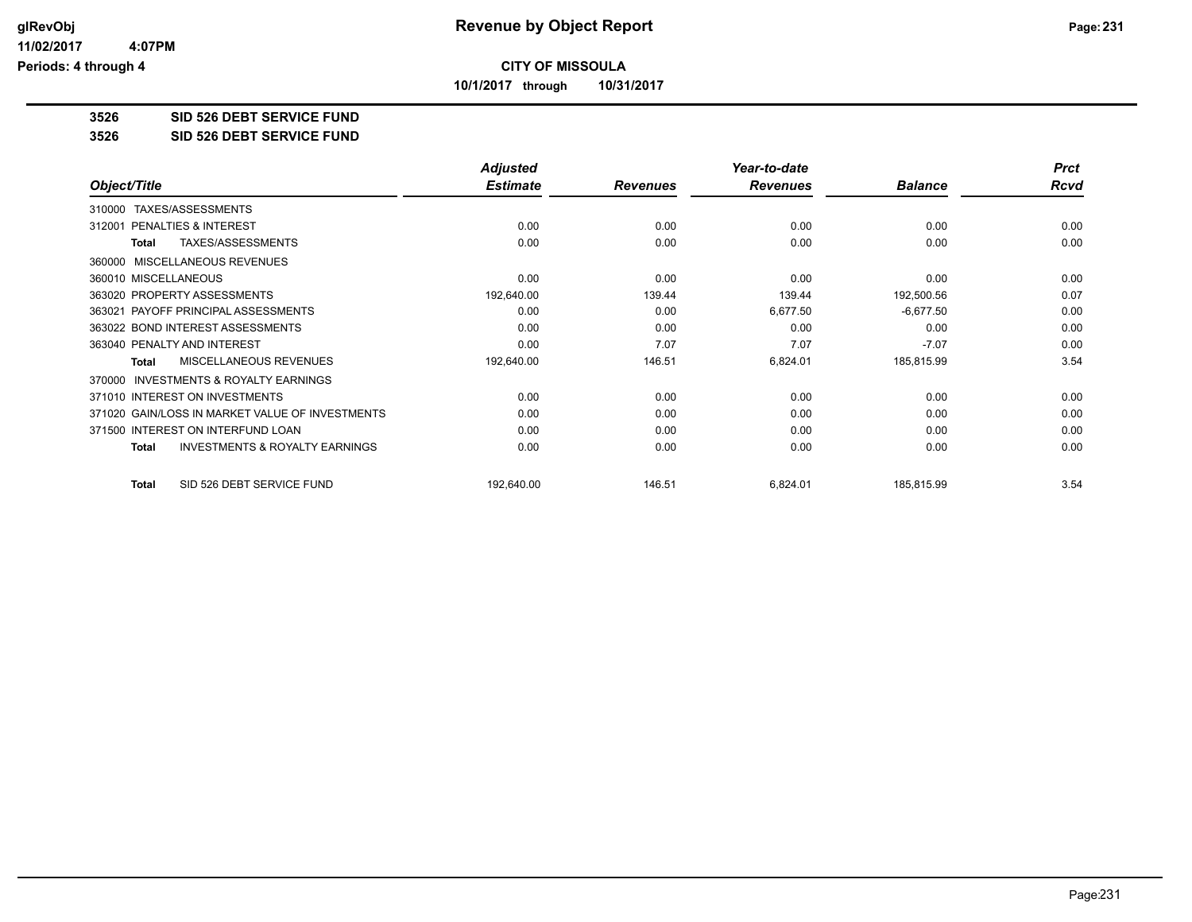**10/1/2017 through 10/31/2017**

**3526 SID 526 DEBT SERVICE FUND**

**3526 SID 526 DEBT SERVICE FUND**

|                                                           | <b>Adjusted</b> |                 | Year-to-date    |                | <b>Prct</b> |
|-----------------------------------------------------------|-----------------|-----------------|-----------------|----------------|-------------|
| Object/Title                                              | <b>Estimate</b> | <b>Revenues</b> | <b>Revenues</b> | <b>Balance</b> | <b>Rcvd</b> |
| TAXES/ASSESSMENTS<br>310000                               |                 |                 |                 |                |             |
| PENALTIES & INTEREST<br>312001                            | 0.00            | 0.00            | 0.00            | 0.00           | 0.00        |
| TAXES/ASSESSMENTS<br><b>Total</b>                         | 0.00            | 0.00            | 0.00            | 0.00           | 0.00        |
| MISCELLANEOUS REVENUES<br>360000                          |                 |                 |                 |                |             |
| 360010 MISCELLANEOUS                                      | 0.00            | 0.00            | 0.00            | 0.00           | 0.00        |
| 363020 PROPERTY ASSESSMENTS                               | 192,640.00      | 139.44          | 139.44          | 192,500.56     | 0.07        |
| 363021 PAYOFF PRINCIPAL ASSESSMENTS                       | 0.00            | 0.00            | 6,677.50        | $-6,677.50$    | 0.00        |
| 363022 BOND INTEREST ASSESSMENTS                          | 0.00            | 0.00            | 0.00            | 0.00           | 0.00        |
| 363040 PENALTY AND INTEREST                               | 0.00            | 7.07            | 7.07            | $-7.07$        | 0.00        |
| <b>MISCELLANEOUS REVENUES</b><br><b>Total</b>             | 192,640.00      | 146.51          | 6,824.01        | 185,815.99     | 3.54        |
| <b>INVESTMENTS &amp; ROYALTY EARNINGS</b><br>370000       |                 |                 |                 |                |             |
| 371010 INTEREST ON INVESTMENTS                            | 0.00            | 0.00            | 0.00            | 0.00           | 0.00        |
| 371020 GAIN/LOSS IN MARKET VALUE OF INVESTMENTS           | 0.00            | 0.00            | 0.00            | 0.00           | 0.00        |
| 371500 INTEREST ON INTERFUND LOAN                         | 0.00            | 0.00            | 0.00            | 0.00           | 0.00        |
| <b>INVESTMENTS &amp; ROYALTY EARNINGS</b><br><b>Total</b> | 0.00            | 0.00            | 0.00            | 0.00           | 0.00        |
| SID 526 DEBT SERVICE FUND<br>Total                        | 192,640.00      | 146.51          | 6,824.01        | 185,815.99     | 3.54        |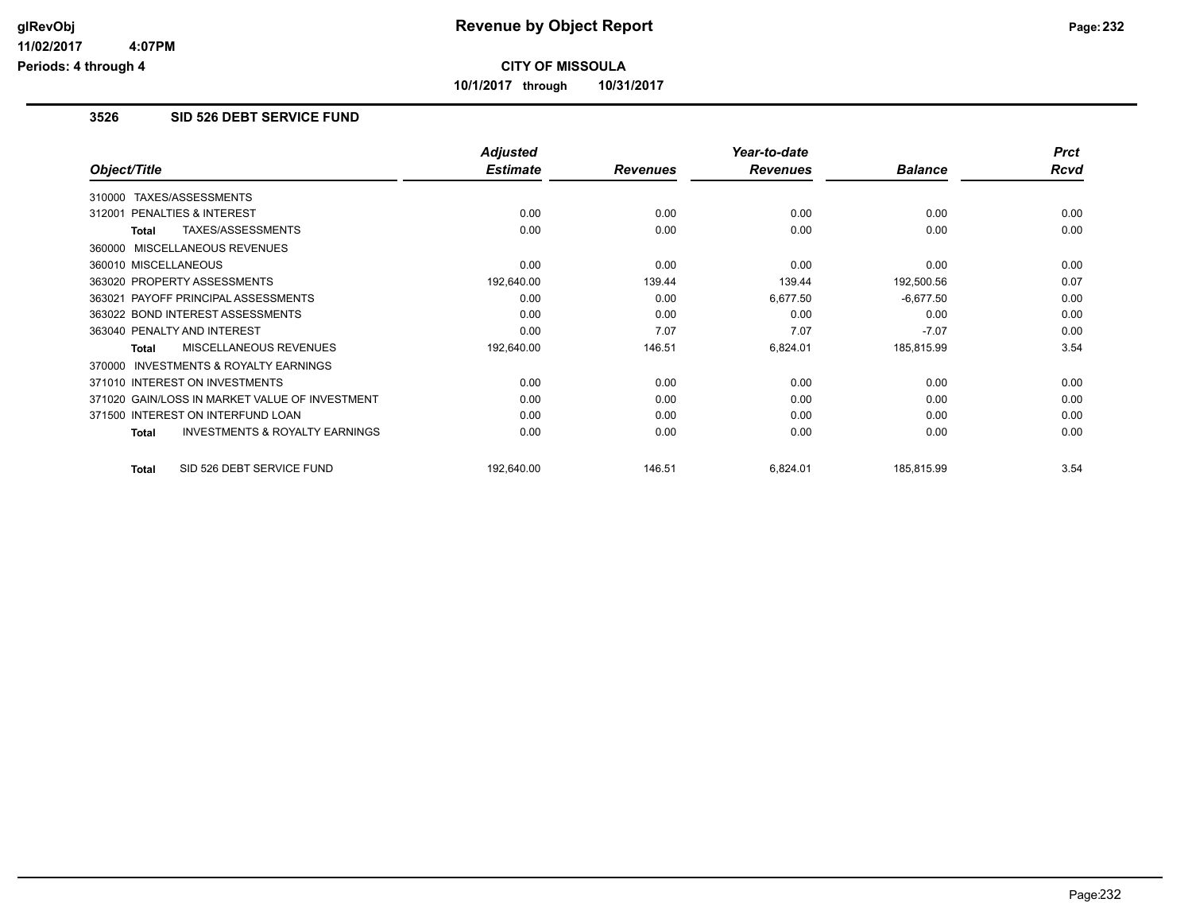**10/1/2017 through 10/31/2017**

## **3526 SID 526 DEBT SERVICE FUND**

|                                                           | <b>Adjusted</b> |                 | Year-to-date    |                | <b>Prct</b> |
|-----------------------------------------------------------|-----------------|-----------------|-----------------|----------------|-------------|
| Object/Title                                              | <b>Estimate</b> | <b>Revenues</b> | <b>Revenues</b> | <b>Balance</b> | <b>Rcvd</b> |
| TAXES/ASSESSMENTS<br>310000                               |                 |                 |                 |                |             |
| PENALTIES & INTEREST<br>312001                            | 0.00            | 0.00            | 0.00            | 0.00           | 0.00        |
| TAXES/ASSESSMENTS<br>Total                                | 0.00            | 0.00            | 0.00            | 0.00           | 0.00        |
| 360000 MISCELLANEOUS REVENUES                             |                 |                 |                 |                |             |
| 360010 MISCELLANEOUS                                      | 0.00            | 0.00            | 0.00            | 0.00           | 0.00        |
| 363020 PROPERTY ASSESSMENTS                               | 192,640.00      | 139.44          | 139.44          | 192,500.56     | 0.07        |
| 363021 PAYOFF PRINCIPAL ASSESSMENTS                       | 0.00            | 0.00            | 6,677.50        | $-6,677.50$    | 0.00        |
| 363022 BOND INTEREST ASSESSMENTS                          | 0.00            | 0.00            | 0.00            | 0.00           | 0.00        |
| 363040 PENALTY AND INTEREST                               | 0.00            | 7.07            | 7.07            | $-7.07$        | 0.00        |
| <b>MISCELLANEOUS REVENUES</b><br>Total                    | 192,640.00      | 146.51          | 6,824.01        | 185,815.99     | 3.54        |
| 370000 INVESTMENTS & ROYALTY EARNINGS                     |                 |                 |                 |                |             |
| 371010 INTEREST ON INVESTMENTS                            | 0.00            | 0.00            | 0.00            | 0.00           | 0.00        |
| 371020 GAIN/LOSS IN MARKET VALUE OF INVESTMENT            | 0.00            | 0.00            | 0.00            | 0.00           | 0.00        |
| 371500 INTEREST ON INTERFUND LOAN                         | 0.00            | 0.00            | 0.00            | 0.00           | 0.00        |
| <b>INVESTMENTS &amp; ROYALTY EARNINGS</b><br><b>Total</b> | 0.00            | 0.00            | 0.00            | 0.00           | 0.00        |
| SID 526 DEBT SERVICE FUND<br>Total                        | 192,640.00      | 146.51          | 6,824.01        | 185,815.99     | 3.54        |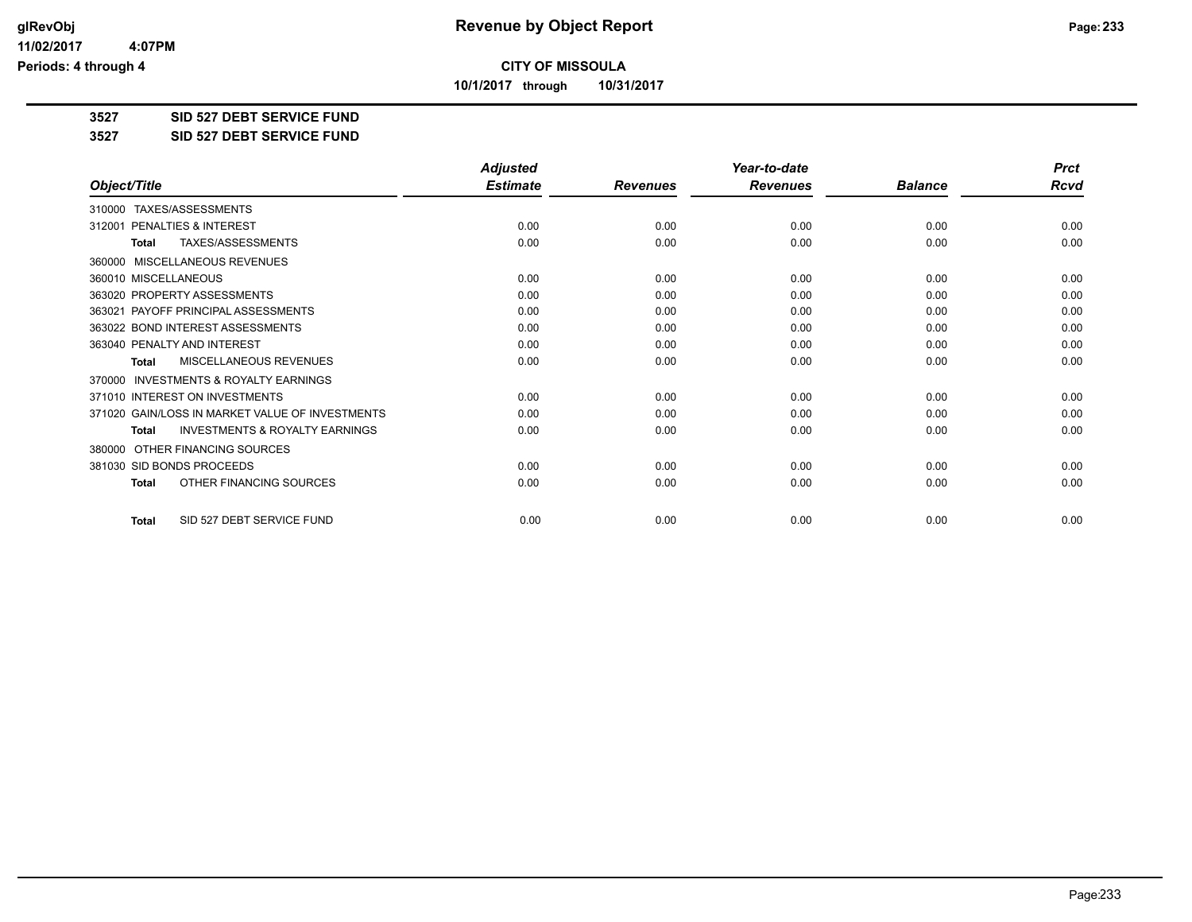**10/1/2017 through 10/31/2017**

**3527 SID 527 DEBT SERVICE FUND**

**3527 SID 527 DEBT SERVICE FUND**

|                                                           | <b>Adjusted</b> |                 | Year-to-date    |                | <b>Prct</b> |
|-----------------------------------------------------------|-----------------|-----------------|-----------------|----------------|-------------|
| Object/Title                                              | <b>Estimate</b> | <b>Revenues</b> | <b>Revenues</b> | <b>Balance</b> | <b>Rcvd</b> |
| TAXES/ASSESSMENTS<br>310000                               |                 |                 |                 |                |             |
| PENALTIES & INTEREST<br>312001                            | 0.00            | 0.00            | 0.00            | 0.00           | 0.00        |
| TAXES/ASSESSMENTS<br>Total                                | 0.00            | 0.00            | 0.00            | 0.00           | 0.00        |
| MISCELLANEOUS REVENUES<br>360000                          |                 |                 |                 |                |             |
| 360010 MISCELLANEOUS                                      | 0.00            | 0.00            | 0.00            | 0.00           | 0.00        |
| 363020 PROPERTY ASSESSMENTS                               | 0.00            | 0.00            | 0.00            | 0.00           | 0.00        |
| 363021 PAYOFF PRINCIPAL ASSESSMENTS                       | 0.00            | 0.00            | 0.00            | 0.00           | 0.00        |
| 363022 BOND INTEREST ASSESSMENTS                          | 0.00            | 0.00            | 0.00            | 0.00           | 0.00        |
| 363040 PENALTY AND INTEREST                               | 0.00            | 0.00            | 0.00            | 0.00           | 0.00        |
| MISCELLANEOUS REVENUES<br>Total                           | 0.00            | 0.00            | 0.00            | 0.00           | 0.00        |
| <b>INVESTMENTS &amp; ROYALTY EARNINGS</b><br>370000       |                 |                 |                 |                |             |
| 371010 INTEREST ON INVESTMENTS                            | 0.00            | 0.00            | 0.00            | 0.00           | 0.00        |
| 371020 GAIN/LOSS IN MARKET VALUE OF INVESTMENTS           | 0.00            | 0.00            | 0.00            | 0.00           | 0.00        |
| <b>INVESTMENTS &amp; ROYALTY EARNINGS</b><br><b>Total</b> | 0.00            | 0.00            | 0.00            | 0.00           | 0.00        |
| OTHER FINANCING SOURCES<br>380000                         |                 |                 |                 |                |             |
| 381030 SID BONDS PROCEEDS                                 | 0.00            | 0.00            | 0.00            | 0.00           | 0.00        |
| OTHER FINANCING SOURCES<br><b>Total</b>                   | 0.00            | 0.00            | 0.00            | 0.00           | 0.00        |
| SID 527 DEBT SERVICE FUND<br><b>Total</b>                 | 0.00            | 0.00            | 0.00            | 0.00           | 0.00        |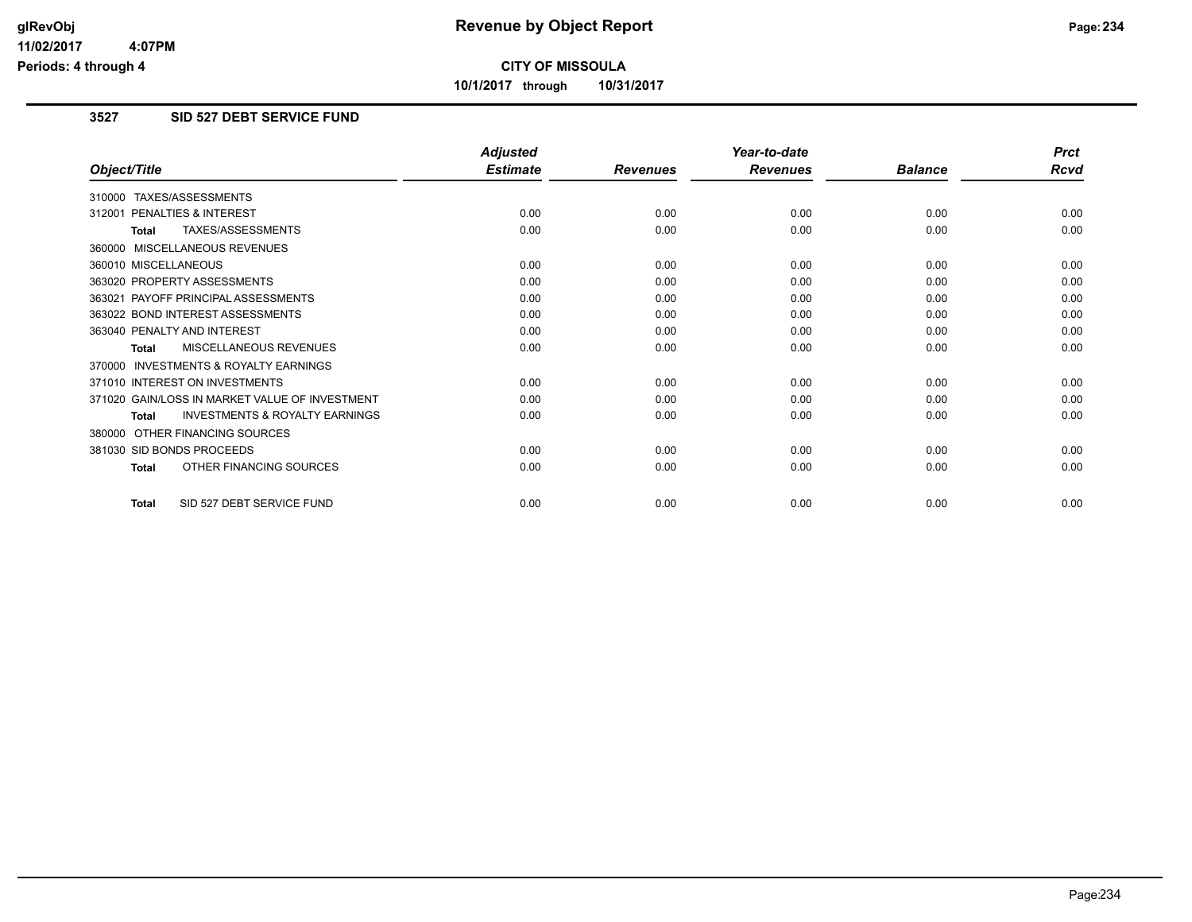**10/1/2017 through 10/31/2017**

## **3527 SID 527 DEBT SERVICE FUND**

|                                                     | <b>Adjusted</b> |                 | Year-to-date    |                | <b>Prct</b> |
|-----------------------------------------------------|-----------------|-----------------|-----------------|----------------|-------------|
| Object/Title                                        | <b>Estimate</b> | <b>Revenues</b> | <b>Revenues</b> | <b>Balance</b> | <b>Rcvd</b> |
| 310000 TAXES/ASSESSMENTS                            |                 |                 |                 |                |             |
| 312001 PENALTIES & INTEREST                         | 0.00            | 0.00            | 0.00            | 0.00           | 0.00        |
| TAXES/ASSESSMENTS<br><b>Total</b>                   | 0.00            | 0.00            | 0.00            | 0.00           | 0.00        |
| 360000 MISCELLANEOUS REVENUES                       |                 |                 |                 |                |             |
| 360010 MISCELLANEOUS                                | 0.00            | 0.00            | 0.00            | 0.00           | 0.00        |
| 363020 PROPERTY ASSESSMENTS                         | 0.00            | 0.00            | 0.00            | 0.00           | 0.00        |
| 363021 PAYOFF PRINCIPAL ASSESSMENTS                 | 0.00            | 0.00            | 0.00            | 0.00           | 0.00        |
| 363022 BOND INTEREST ASSESSMENTS                    | 0.00            | 0.00            | 0.00            | 0.00           | 0.00        |
| 363040 PENALTY AND INTEREST                         | 0.00            | 0.00            | 0.00            | 0.00           | 0.00        |
| MISCELLANEOUS REVENUES<br><b>Total</b>              | 0.00            | 0.00            | 0.00            | 0.00           | 0.00        |
| <b>INVESTMENTS &amp; ROYALTY EARNINGS</b><br>370000 |                 |                 |                 |                |             |
| 371010 INTEREST ON INVESTMENTS                      | 0.00            | 0.00            | 0.00            | 0.00           | 0.00        |
| 371020 GAIN/LOSS IN MARKET VALUE OF INVESTMENT      | 0.00            | 0.00            | 0.00            | 0.00           | 0.00        |
| <b>INVESTMENTS &amp; ROYALTY EARNINGS</b><br>Total  | 0.00            | 0.00            | 0.00            | 0.00           | 0.00        |
| 380000 OTHER FINANCING SOURCES                      |                 |                 |                 |                |             |
| 381030 SID BONDS PROCEEDS                           | 0.00            | 0.00            | 0.00            | 0.00           | 0.00        |
| OTHER FINANCING SOURCES<br><b>Total</b>             | 0.00            | 0.00            | 0.00            | 0.00           | 0.00        |
| SID 527 DEBT SERVICE FUND<br><b>Total</b>           | 0.00            | 0.00            | 0.00            | 0.00           | 0.00        |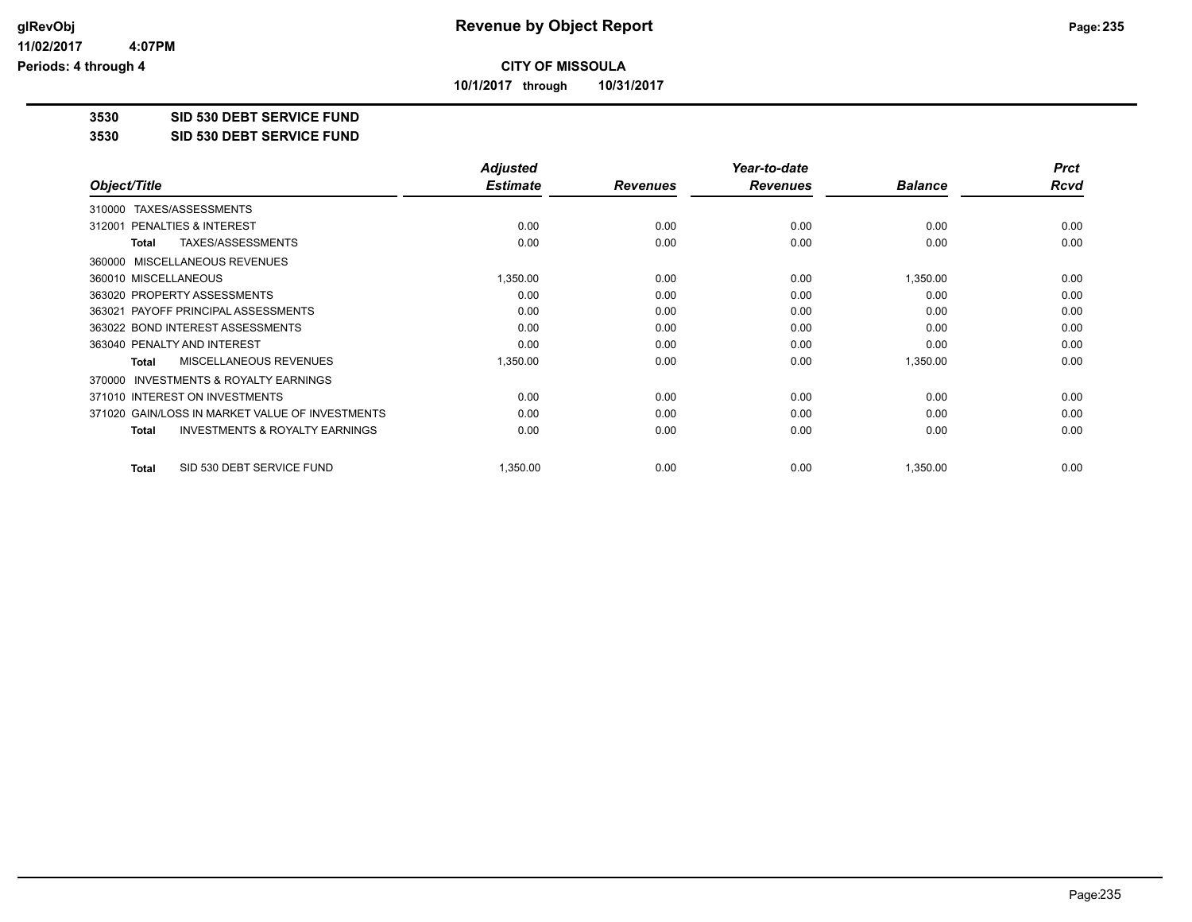**10/1/2017 through 10/31/2017**

**3530 SID 530 DEBT SERVICE FUND**

**3530 SID 530 DEBT SERVICE FUND**

|                                                     | <b>Adjusted</b> |                 | Year-to-date    |                | <b>Prct</b> |
|-----------------------------------------------------|-----------------|-----------------|-----------------|----------------|-------------|
| Object/Title                                        | <b>Estimate</b> | <b>Revenues</b> | <b>Revenues</b> | <b>Balance</b> | Rcvd        |
| TAXES/ASSESSMENTS<br>310000                         |                 |                 |                 |                |             |
| <b>PENALTIES &amp; INTEREST</b><br>312001           | 0.00            | 0.00            | 0.00            | 0.00           | 0.00        |
| TAXES/ASSESSMENTS<br>Total                          | 0.00            | 0.00            | 0.00            | 0.00           | 0.00        |
| 360000 MISCELLANEOUS REVENUES                       |                 |                 |                 |                |             |
| 360010 MISCELLANEOUS                                | 1,350.00        | 0.00            | 0.00            | 1,350.00       | 0.00        |
| 363020 PROPERTY ASSESSMENTS                         | 0.00            | 0.00            | 0.00            | 0.00           | 0.00        |
| 363021 PAYOFF PRINCIPAL ASSESSMENTS                 | 0.00            | 0.00            | 0.00            | 0.00           | 0.00        |
| 363022 BOND INTEREST ASSESSMENTS                    | 0.00            | 0.00            | 0.00            | 0.00           | 0.00        |
| 363040 PENALTY AND INTEREST                         | 0.00            | 0.00            | 0.00            | 0.00           | 0.00        |
| MISCELLANEOUS REVENUES<br>Total                     | 1,350.00        | 0.00            | 0.00            | 1,350.00       | 0.00        |
| <b>INVESTMENTS &amp; ROYALTY EARNINGS</b><br>370000 |                 |                 |                 |                |             |
| 371010 INTEREST ON INVESTMENTS                      | 0.00            | 0.00            | 0.00            | 0.00           | 0.00        |
| 371020 GAIN/LOSS IN MARKET VALUE OF INVESTMENTS     | 0.00            | 0.00            | 0.00            | 0.00           | 0.00        |
| <b>INVESTMENTS &amp; ROYALTY EARNINGS</b><br>Total  | 0.00            | 0.00            | 0.00            | 0.00           | 0.00        |
| SID 530 DEBT SERVICE FUND<br><b>Total</b>           | 1,350.00        | 0.00            | 0.00            | 1,350.00       | 0.00        |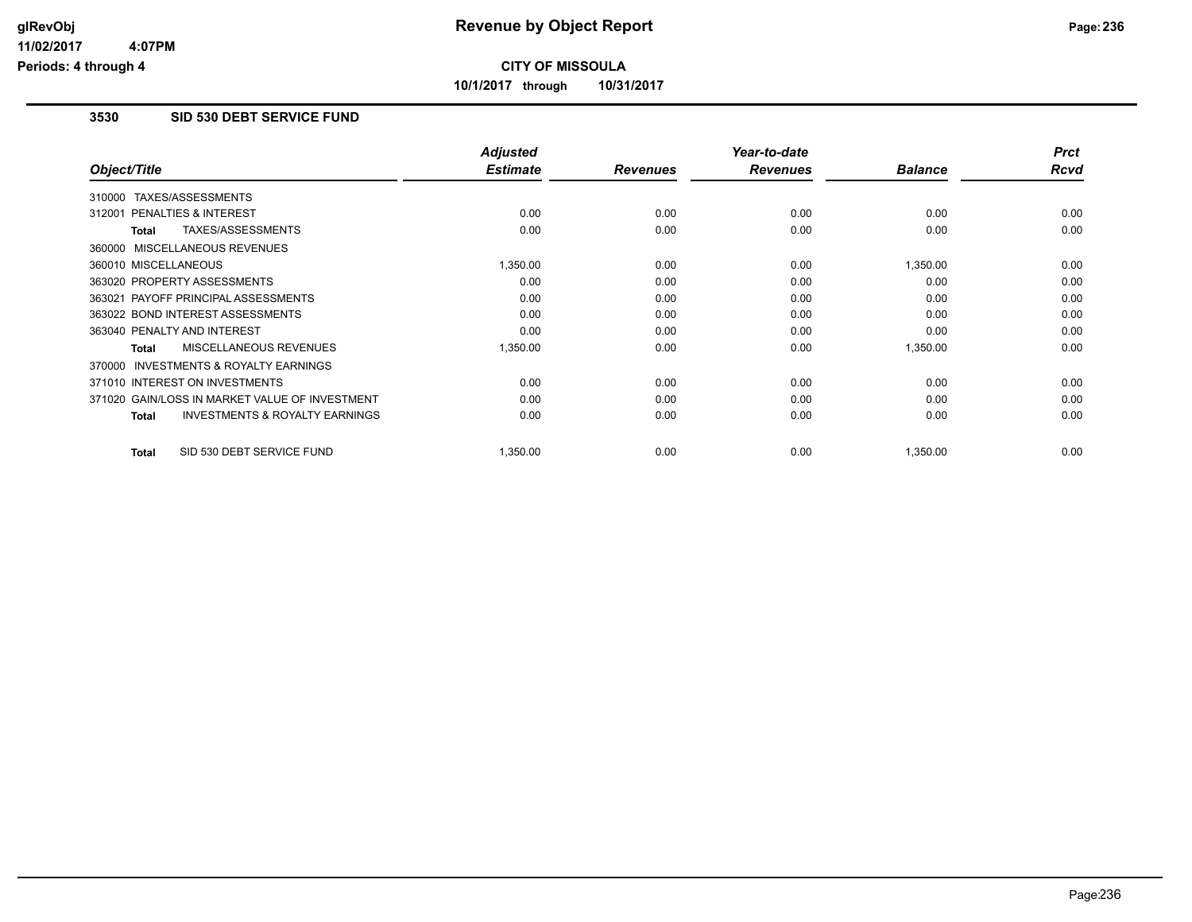**10/1/2017 through 10/31/2017**

## **3530 SID 530 DEBT SERVICE FUND**

|                                                           | <b>Adjusted</b> |                 | Year-to-date    |                | <b>Prct</b> |
|-----------------------------------------------------------|-----------------|-----------------|-----------------|----------------|-------------|
| Object/Title                                              | <b>Estimate</b> | <b>Revenues</b> | <b>Revenues</b> | <b>Balance</b> | Rcvd        |
| TAXES/ASSESSMENTS<br>310000                               |                 |                 |                 |                |             |
| 312001 PENALTIES & INTEREST                               | 0.00            | 0.00            | 0.00            | 0.00           | 0.00        |
| TAXES/ASSESSMENTS<br><b>Total</b>                         | 0.00            | 0.00            | 0.00            | 0.00           | 0.00        |
| 360000 MISCELLANEOUS REVENUES                             |                 |                 |                 |                |             |
| 360010 MISCELLANEOUS                                      | 1,350.00        | 0.00            | 0.00            | 1,350.00       | 0.00        |
| 363020 PROPERTY ASSESSMENTS                               | 0.00            | 0.00            | 0.00            | 0.00           | 0.00        |
| 363021 PAYOFF PRINCIPAL ASSESSMENTS                       | 0.00            | 0.00            | 0.00            | 0.00           | 0.00        |
| 363022 BOND INTEREST ASSESSMENTS                          | 0.00            | 0.00            | 0.00            | 0.00           | 0.00        |
| 363040 PENALTY AND INTEREST                               | 0.00            | 0.00            | 0.00            | 0.00           | 0.00        |
| MISCELLANEOUS REVENUES<br>Total                           | 1,350.00        | 0.00            | 0.00            | 1,350.00       | 0.00        |
| <b>INVESTMENTS &amp; ROYALTY EARNINGS</b><br>370000       |                 |                 |                 |                |             |
| 371010 INTEREST ON INVESTMENTS                            | 0.00            | 0.00            | 0.00            | 0.00           | 0.00        |
| 371020 GAIN/LOSS IN MARKET VALUE OF INVESTMENT            | 0.00            | 0.00            | 0.00            | 0.00           | 0.00        |
| <b>INVESTMENTS &amp; ROYALTY EARNINGS</b><br><b>Total</b> | 0.00            | 0.00            | 0.00            | 0.00           | 0.00        |
| SID 530 DEBT SERVICE FUND<br><b>Total</b>                 | 1,350.00        | 0.00            | 0.00            | 1,350.00       | 0.00        |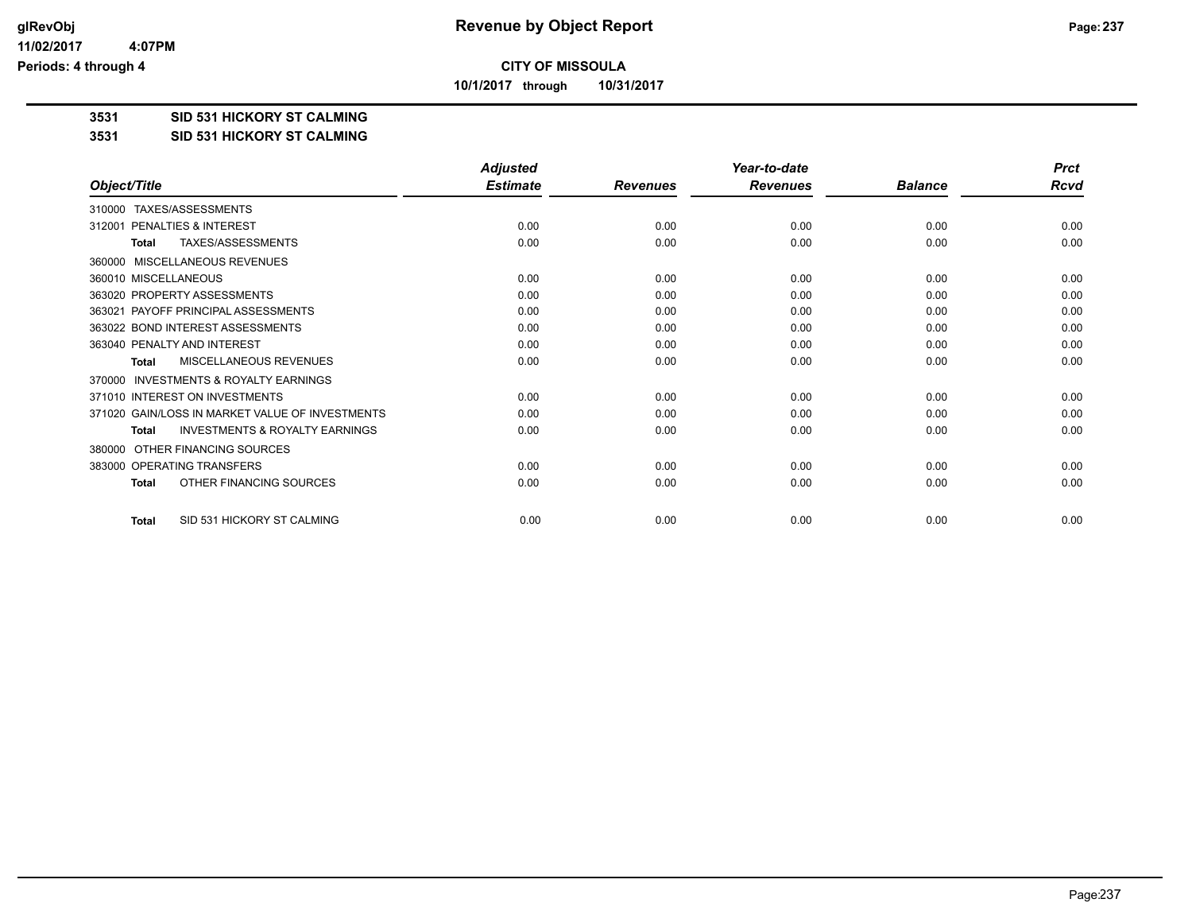**10/1/2017 through 10/31/2017**

**3531 SID 531 HICKORY ST CALMING**

**3531 SID 531 HICKORY ST CALMING**

|                                                           | <b>Adjusted</b> |                 | Year-to-date    |                | <b>Prct</b> |
|-----------------------------------------------------------|-----------------|-----------------|-----------------|----------------|-------------|
| Object/Title                                              | <b>Estimate</b> | <b>Revenues</b> | <b>Revenues</b> | <b>Balance</b> | Rcvd        |
| TAXES/ASSESSMENTS<br>310000                               |                 |                 |                 |                |             |
| PENALTIES & INTEREST<br>312001                            | 0.00            | 0.00            | 0.00            | 0.00           | 0.00        |
| TAXES/ASSESSMENTS<br>Total                                | 0.00            | 0.00            | 0.00            | 0.00           | 0.00        |
| MISCELLANEOUS REVENUES<br>360000                          |                 |                 |                 |                |             |
| 360010 MISCELLANEOUS                                      | 0.00            | 0.00            | 0.00            | 0.00           | 0.00        |
| 363020 PROPERTY ASSESSMENTS                               | 0.00            | 0.00            | 0.00            | 0.00           | 0.00        |
| 363021 PAYOFF PRINCIPAL ASSESSMENTS                       | 0.00            | 0.00            | 0.00            | 0.00           | 0.00        |
| 363022 BOND INTEREST ASSESSMENTS                          | 0.00            | 0.00            | 0.00            | 0.00           | 0.00        |
| 363040 PENALTY AND INTEREST                               | 0.00            | 0.00            | 0.00            | 0.00           | 0.00        |
| <b>MISCELLANEOUS REVENUES</b><br>Total                    | 0.00            | 0.00            | 0.00            | 0.00           | 0.00        |
| <b>INVESTMENTS &amp; ROYALTY EARNINGS</b><br>370000       |                 |                 |                 |                |             |
| 371010 INTEREST ON INVESTMENTS                            | 0.00            | 0.00            | 0.00            | 0.00           | 0.00        |
| 371020 GAIN/LOSS IN MARKET VALUE OF INVESTMENTS           | 0.00            | 0.00            | 0.00            | 0.00           | 0.00        |
| <b>INVESTMENTS &amp; ROYALTY EARNINGS</b><br><b>Total</b> | 0.00            | 0.00            | 0.00            | 0.00           | 0.00        |
| OTHER FINANCING SOURCES<br>380000                         |                 |                 |                 |                |             |
| 383000 OPERATING TRANSFERS                                | 0.00            | 0.00            | 0.00            | 0.00           | 0.00        |
| OTHER FINANCING SOURCES<br><b>Total</b>                   | 0.00            | 0.00            | 0.00            | 0.00           | 0.00        |
| SID 531 HICKORY ST CALMING<br><b>Total</b>                | 0.00            | 0.00            | 0.00            | 0.00           | 0.00        |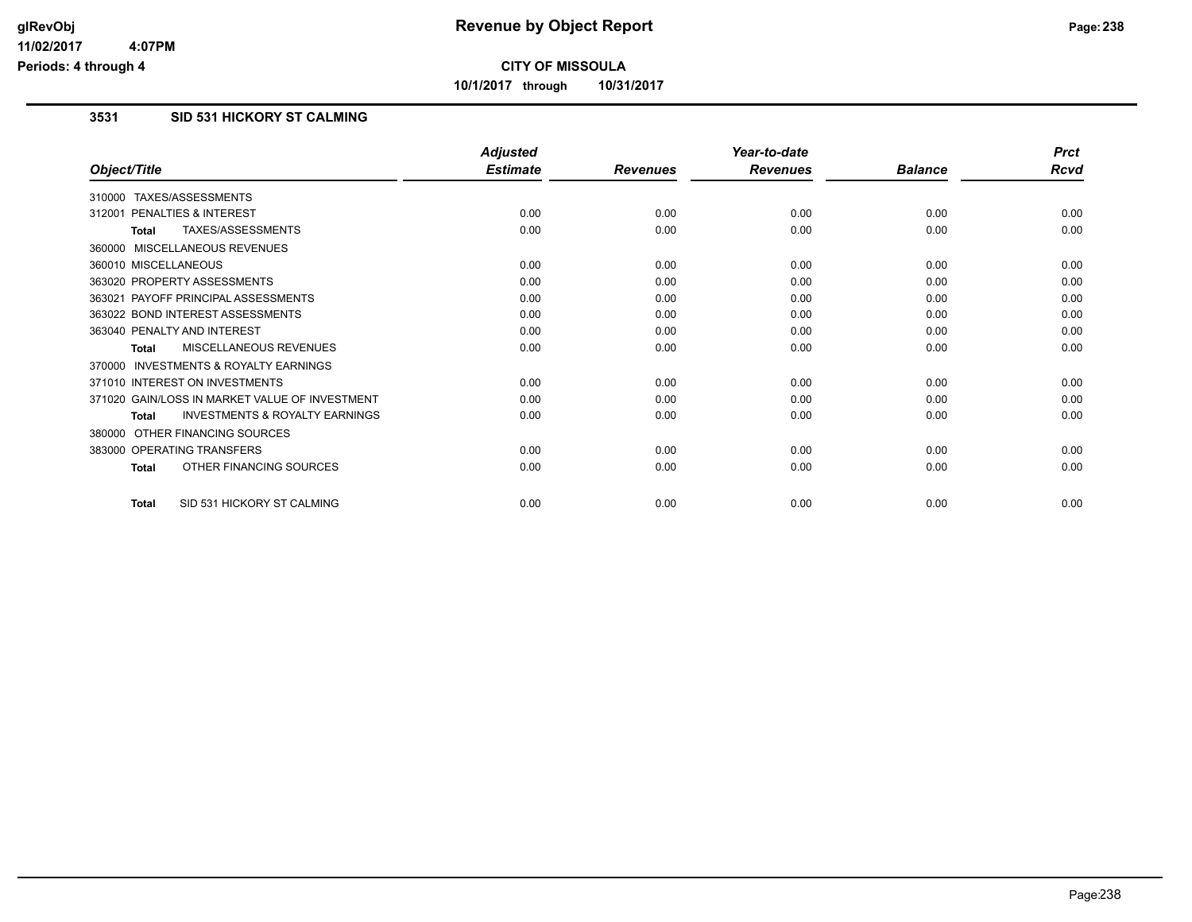**10/1/2017 through 10/31/2017**

# **3531 SID 531 HICKORY ST CALMING**

|                                                           | <b>Adjusted</b> |                 | Year-to-date    |                | <b>Prct</b> |
|-----------------------------------------------------------|-----------------|-----------------|-----------------|----------------|-------------|
| Object/Title                                              | <b>Estimate</b> | <b>Revenues</b> | <b>Revenues</b> | <b>Balance</b> | <b>Rcvd</b> |
| 310000 TAXES/ASSESSMENTS                                  |                 |                 |                 |                |             |
| 312001 PENALTIES & INTEREST                               | 0.00            | 0.00            | 0.00            | 0.00           | 0.00        |
| TAXES/ASSESSMENTS<br><b>Total</b>                         | 0.00            | 0.00            | 0.00            | 0.00           | 0.00        |
| 360000 MISCELLANEOUS REVENUES                             |                 |                 |                 |                |             |
| 360010 MISCELLANEOUS                                      | 0.00            | 0.00            | 0.00            | 0.00           | 0.00        |
| 363020 PROPERTY ASSESSMENTS                               | 0.00            | 0.00            | 0.00            | 0.00           | 0.00        |
| 363021 PAYOFF PRINCIPAL ASSESSMENTS                       | 0.00            | 0.00            | 0.00            | 0.00           | 0.00        |
| 363022 BOND INTEREST ASSESSMENTS                          | 0.00            | 0.00            | 0.00            | 0.00           | 0.00        |
| 363040 PENALTY AND INTEREST                               | 0.00            | 0.00            | 0.00            | 0.00           | 0.00        |
| MISCELLANEOUS REVENUES<br><b>Total</b>                    | 0.00            | 0.00            | 0.00            | 0.00           | 0.00        |
| <b>INVESTMENTS &amp; ROYALTY EARNINGS</b><br>370000       |                 |                 |                 |                |             |
| 371010 INTEREST ON INVESTMENTS                            | 0.00            | 0.00            | 0.00            | 0.00           | 0.00        |
| 371020 GAIN/LOSS IN MARKET VALUE OF INVESTMENT            | 0.00            | 0.00            | 0.00            | 0.00           | 0.00        |
| <b>INVESTMENTS &amp; ROYALTY EARNINGS</b><br><b>Total</b> | 0.00            | 0.00            | 0.00            | 0.00           | 0.00        |
| OTHER FINANCING SOURCES<br>380000                         |                 |                 |                 |                |             |
| 383000 OPERATING TRANSFERS                                | 0.00            | 0.00            | 0.00            | 0.00           | 0.00        |
| OTHER FINANCING SOURCES<br>Total                          | 0.00            | 0.00            | 0.00            | 0.00           | 0.00        |
| SID 531 HICKORY ST CALMING<br>Total                       | 0.00            | 0.00            | 0.00            | 0.00           | 0.00        |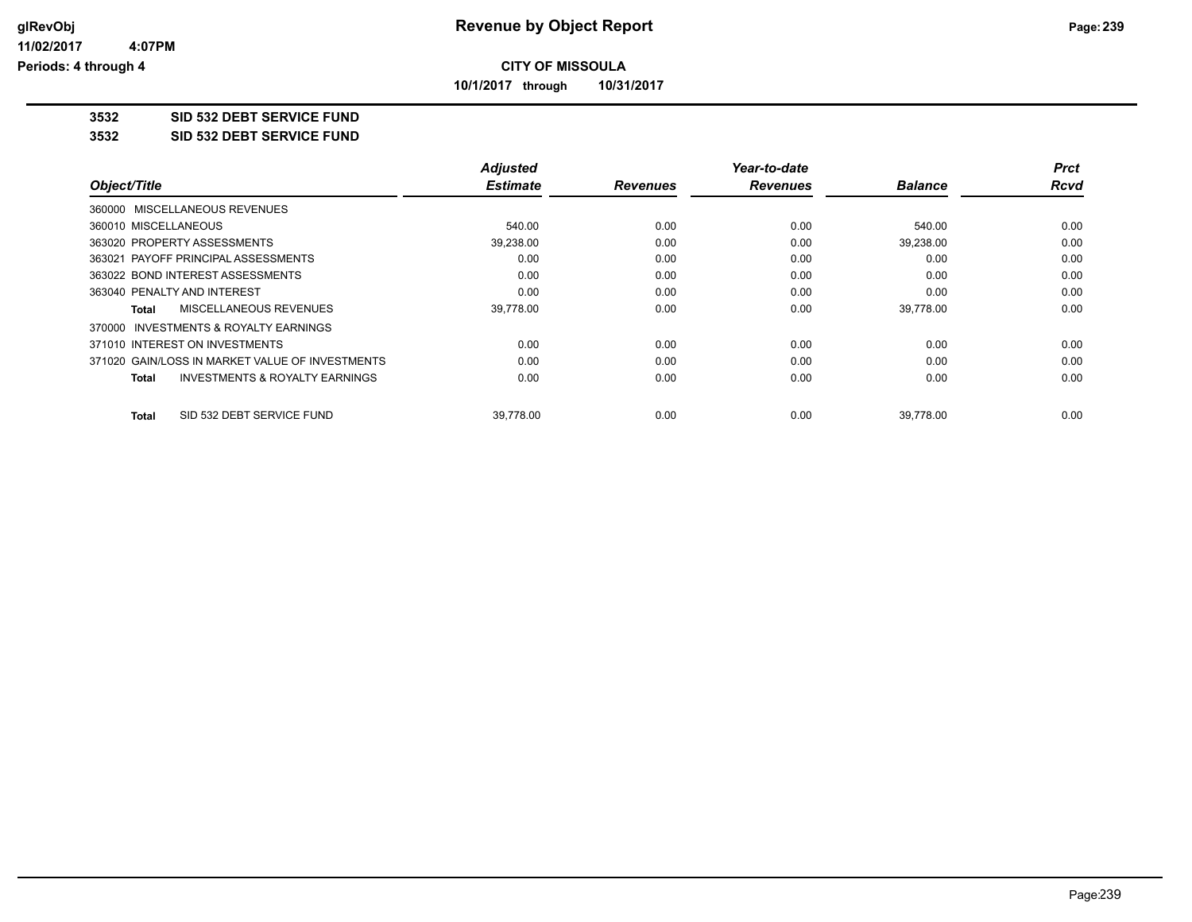**10/1/2017 through 10/31/2017**

**3532 SID 532 DEBT SERVICE FUND**

**3532 SID 532 DEBT SERVICE FUND**

|                                                           | <b>Adjusted</b> |                 | Year-to-date    |                | <b>Prct</b> |
|-----------------------------------------------------------|-----------------|-----------------|-----------------|----------------|-------------|
| Object/Title                                              | <b>Estimate</b> | <b>Revenues</b> | <b>Revenues</b> | <b>Balance</b> | Rcvd        |
| 360000 MISCELLANEOUS REVENUES                             |                 |                 |                 |                |             |
| 360010 MISCELLANEOUS                                      | 540.00          | 0.00            | 0.00            | 540.00         | 0.00        |
| 363020 PROPERTY ASSESSMENTS                               | 39,238.00       | 0.00            | 0.00            | 39.238.00      | 0.00        |
| 363021 PAYOFF PRINCIPAL ASSESSMENTS                       | 0.00            | 0.00            | 0.00            | 0.00           | 0.00        |
| 363022 BOND INTEREST ASSESSMENTS                          | 0.00            | 0.00            | 0.00            | 0.00           | 0.00        |
| 363040 PENALTY AND INTEREST                               | 0.00            | 0.00            | 0.00            | 0.00           | 0.00        |
| MISCELLANEOUS REVENUES<br><b>Total</b>                    | 39,778.00       | 0.00            | 0.00            | 39,778.00      | 0.00        |
| 370000 INVESTMENTS & ROYALTY EARNINGS                     |                 |                 |                 |                |             |
| 371010 INTEREST ON INVESTMENTS                            | 0.00            | 0.00            | 0.00            | 0.00           | 0.00        |
| 371020 GAIN/LOSS IN MARKET VALUE OF INVESTMENTS           | 0.00            | 0.00            | 0.00            | 0.00           | 0.00        |
| <b>INVESTMENTS &amp; ROYALTY EARNINGS</b><br><b>Total</b> | 0.00            | 0.00            | 0.00            | 0.00           | 0.00        |
| SID 532 DEBT SERVICE FUND<br>Total                        | 39.778.00       | 0.00            | 0.00            | 39.778.00      | 0.00        |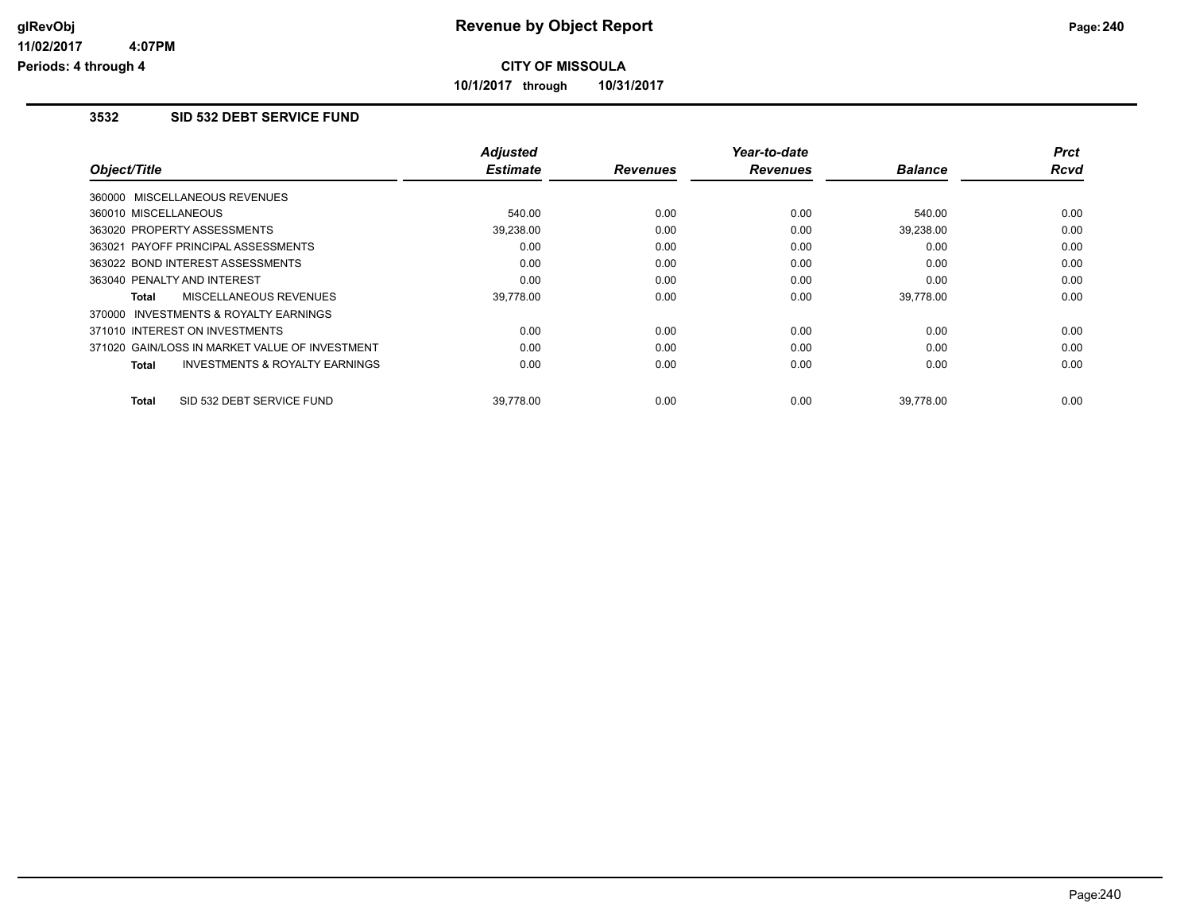**10/1/2017 through 10/31/2017**

### **3532 SID 532 DEBT SERVICE FUND**

|                                                           | <b>Adjusted</b> |                 | Year-to-date    |                | <b>Prct</b> |
|-----------------------------------------------------------|-----------------|-----------------|-----------------|----------------|-------------|
| Object/Title                                              | <b>Estimate</b> | <b>Revenues</b> | <b>Revenues</b> | <b>Balance</b> | <b>Rcvd</b> |
| 360000 MISCELLANEOUS REVENUES                             |                 |                 |                 |                |             |
| 360010 MISCELLANEOUS                                      | 540.00          | 0.00            | 0.00            | 540.00         | 0.00        |
| 363020 PROPERTY ASSESSMENTS                               | 39.238.00       | 0.00            | 0.00            | 39.238.00      | 0.00        |
| 363021 PAYOFF PRINCIPAL ASSESSMENTS                       | 0.00            | 0.00            | 0.00            | 0.00           | 0.00        |
| 363022 BOND INTEREST ASSESSMENTS                          | 0.00            | 0.00            | 0.00            | 0.00           | 0.00        |
| 363040 PENALTY AND INTEREST                               | 0.00            | 0.00            | 0.00            | 0.00           | 0.00        |
| <b>MISCELLANEOUS REVENUES</b><br>Total                    | 39.778.00       | 0.00            | 0.00            | 39.778.00      | 0.00        |
| <b>INVESTMENTS &amp; ROYALTY EARNINGS</b><br>370000       |                 |                 |                 |                |             |
| 371010 INTEREST ON INVESTMENTS                            | 0.00            | 0.00            | 0.00            | 0.00           | 0.00        |
| 371020 GAIN/LOSS IN MARKET VALUE OF INVESTMENT            | 0.00            | 0.00            | 0.00            | 0.00           | 0.00        |
| <b>INVESTMENTS &amp; ROYALTY EARNINGS</b><br><b>Total</b> | 0.00            | 0.00            | 0.00            | 0.00           | 0.00        |
| SID 532 DEBT SERVICE FUND<br><b>Total</b>                 | 39.778.00       | 0.00            | 0.00            | 39.778.00      | 0.00        |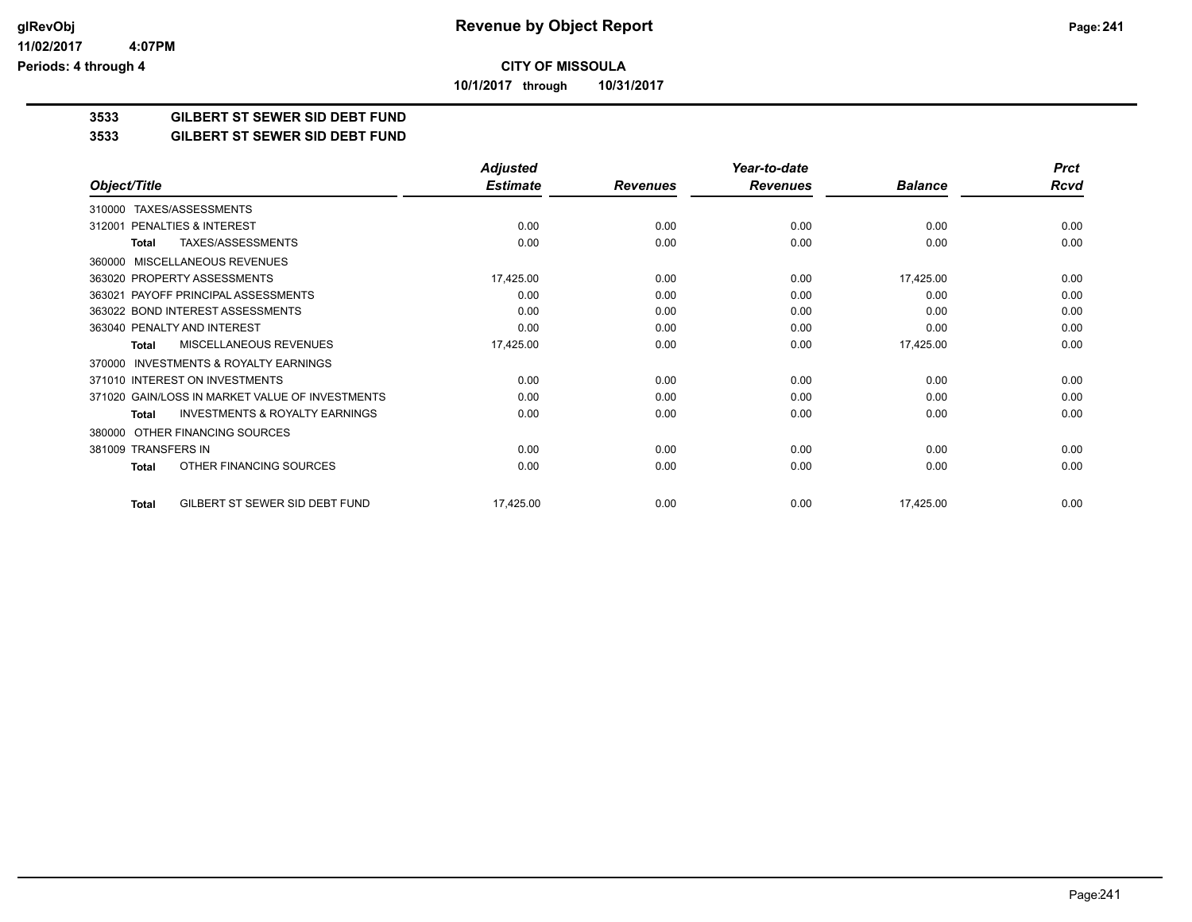**10/1/2017 through 10/31/2017**

# **3533 GILBERT ST SEWER SID DEBT FUND**

### **3533 GILBERT ST SEWER SID DEBT FUND**

|                                                           | <b>Adjusted</b> |                 | Year-to-date    |                | <b>Prct</b> |
|-----------------------------------------------------------|-----------------|-----------------|-----------------|----------------|-------------|
| Object/Title                                              | <b>Estimate</b> | <b>Revenues</b> | <b>Revenues</b> | <b>Balance</b> | <b>Rcvd</b> |
| TAXES/ASSESSMENTS<br>310000                               |                 |                 |                 |                |             |
| PENALTIES & INTEREST<br>312001                            | 0.00            | 0.00            | 0.00            | 0.00           | 0.00        |
| TAXES/ASSESSMENTS<br><b>Total</b>                         | 0.00            | 0.00            | 0.00            | 0.00           | 0.00        |
| MISCELLANEOUS REVENUES<br>360000                          |                 |                 |                 |                |             |
| 363020 PROPERTY ASSESSMENTS                               | 17,425.00       | 0.00            | 0.00            | 17,425.00      | 0.00        |
| PAYOFF PRINCIPAL ASSESSMENTS<br>363021                    | 0.00            | 0.00            | 0.00            | 0.00           | 0.00        |
| 363022 BOND INTEREST ASSESSMENTS                          | 0.00            | 0.00            | 0.00            | 0.00           | 0.00        |
| 363040 PENALTY AND INTEREST                               | 0.00            | 0.00            | 0.00            | 0.00           | 0.00        |
| <b>MISCELLANEOUS REVENUES</b><br><b>Total</b>             | 17,425.00       | 0.00            | 0.00            | 17,425.00      | 0.00        |
| <b>INVESTMENTS &amp; ROYALTY EARNINGS</b><br>370000       |                 |                 |                 |                |             |
| 371010 INTEREST ON INVESTMENTS                            | 0.00            | 0.00            | 0.00            | 0.00           | 0.00        |
| 371020 GAIN/LOSS IN MARKET VALUE OF INVESTMENTS           | 0.00            | 0.00            | 0.00            | 0.00           | 0.00        |
| <b>INVESTMENTS &amp; ROYALTY EARNINGS</b><br><b>Total</b> | 0.00            | 0.00            | 0.00            | 0.00           | 0.00        |
| OTHER FINANCING SOURCES<br>380000                         |                 |                 |                 |                |             |
| 381009 TRANSFERS IN                                       | 0.00            | 0.00            | 0.00            | 0.00           | 0.00        |
| OTHER FINANCING SOURCES<br><b>Total</b>                   | 0.00            | 0.00            | 0.00            | 0.00           | 0.00        |
| GILBERT ST SEWER SID DEBT FUND<br><b>Total</b>            | 17,425.00       | 0.00            | 0.00            | 17,425.00      | 0.00        |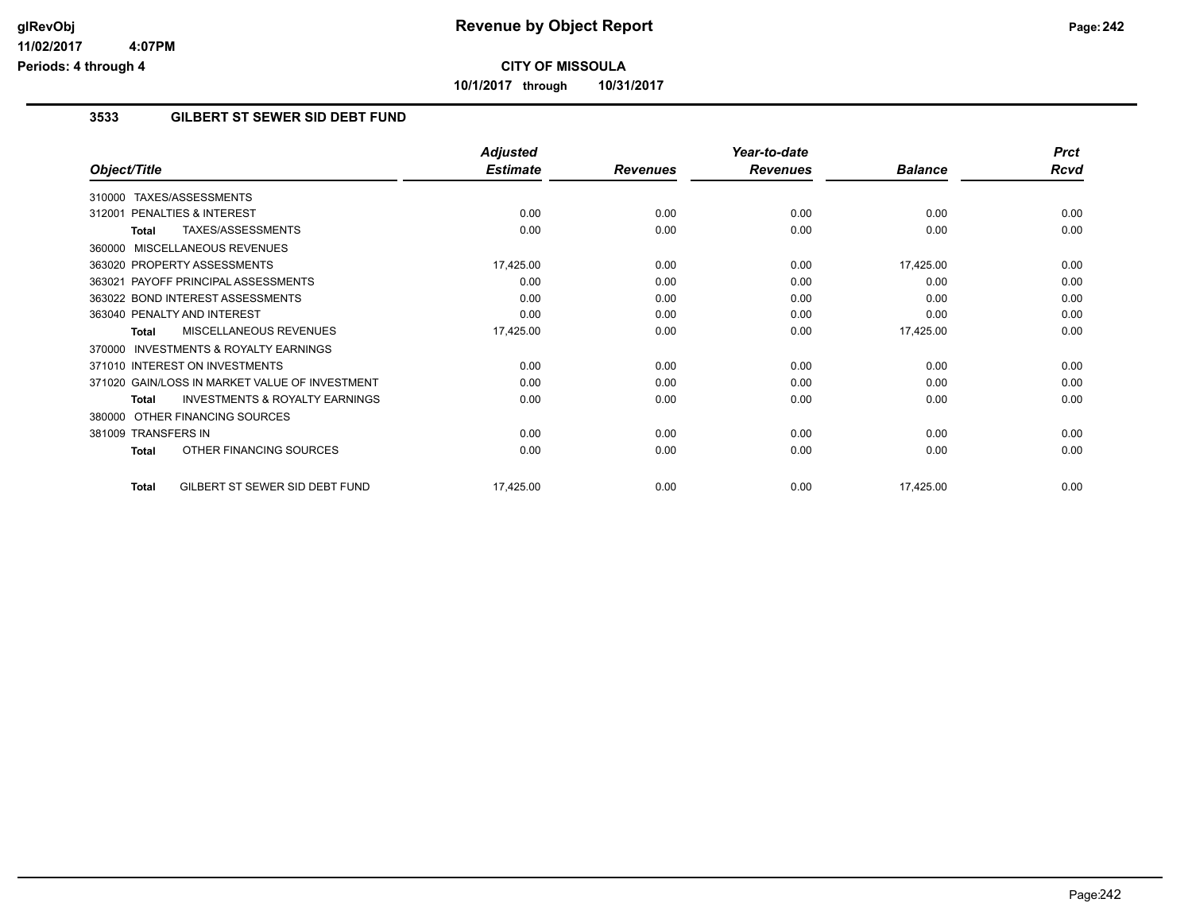**10/1/2017 through 10/31/2017**

## **3533 GILBERT ST SEWER SID DEBT FUND**

|                                                    | <b>Adjusted</b> |                 | Year-to-date    |                | <b>Prct</b> |
|----------------------------------------------------|-----------------|-----------------|-----------------|----------------|-------------|
| Object/Title                                       | <b>Estimate</b> | <b>Revenues</b> | <b>Revenues</b> | <b>Balance</b> | <b>Rcvd</b> |
| TAXES/ASSESSMENTS<br>310000                        |                 |                 |                 |                |             |
| 312001 PENALTIES & INTEREST                        | 0.00            | 0.00            | 0.00            | 0.00           | 0.00        |
| TAXES/ASSESSMENTS<br><b>Total</b>                  | 0.00            | 0.00            | 0.00            | 0.00           | 0.00        |
| MISCELLANEOUS REVENUES<br>360000                   |                 |                 |                 |                |             |
| 363020 PROPERTY ASSESSMENTS                        | 17,425.00       | 0.00            | 0.00            | 17,425.00      | 0.00        |
| 363021 PAYOFF PRINCIPAL ASSESSMENTS                | 0.00            | 0.00            | 0.00            | 0.00           | 0.00        |
| 363022 BOND INTEREST ASSESSMENTS                   | 0.00            | 0.00            | 0.00            | 0.00           | 0.00        |
| 363040 PENALTY AND INTEREST                        | 0.00            | 0.00            | 0.00            | 0.00           | 0.00        |
| MISCELLANEOUS REVENUES<br>Total                    | 17,425.00       | 0.00            | 0.00            | 17,425.00      | 0.00        |
| 370000 INVESTMENTS & ROYALTY EARNINGS              |                 |                 |                 |                |             |
| 371010 INTEREST ON INVESTMENTS                     | 0.00            | 0.00            | 0.00            | 0.00           | 0.00        |
| 371020 GAIN/LOSS IN MARKET VALUE OF INVESTMENT     | 0.00            | 0.00            | 0.00            | 0.00           | 0.00        |
| <b>INVESTMENTS &amp; ROYALTY EARNINGS</b><br>Total | 0.00            | 0.00            | 0.00            | 0.00           | 0.00        |
| 380000 OTHER FINANCING SOURCES                     |                 |                 |                 |                |             |
| 381009 TRANSFERS IN                                | 0.00            | 0.00            | 0.00            | 0.00           | 0.00        |
| OTHER FINANCING SOURCES<br><b>Total</b>            | 0.00            | 0.00            | 0.00            | 0.00           | 0.00        |
| GILBERT ST SEWER SID DEBT FUND<br><b>Total</b>     | 17,425.00       | 0.00            | 0.00            | 17,425.00      | 0.00        |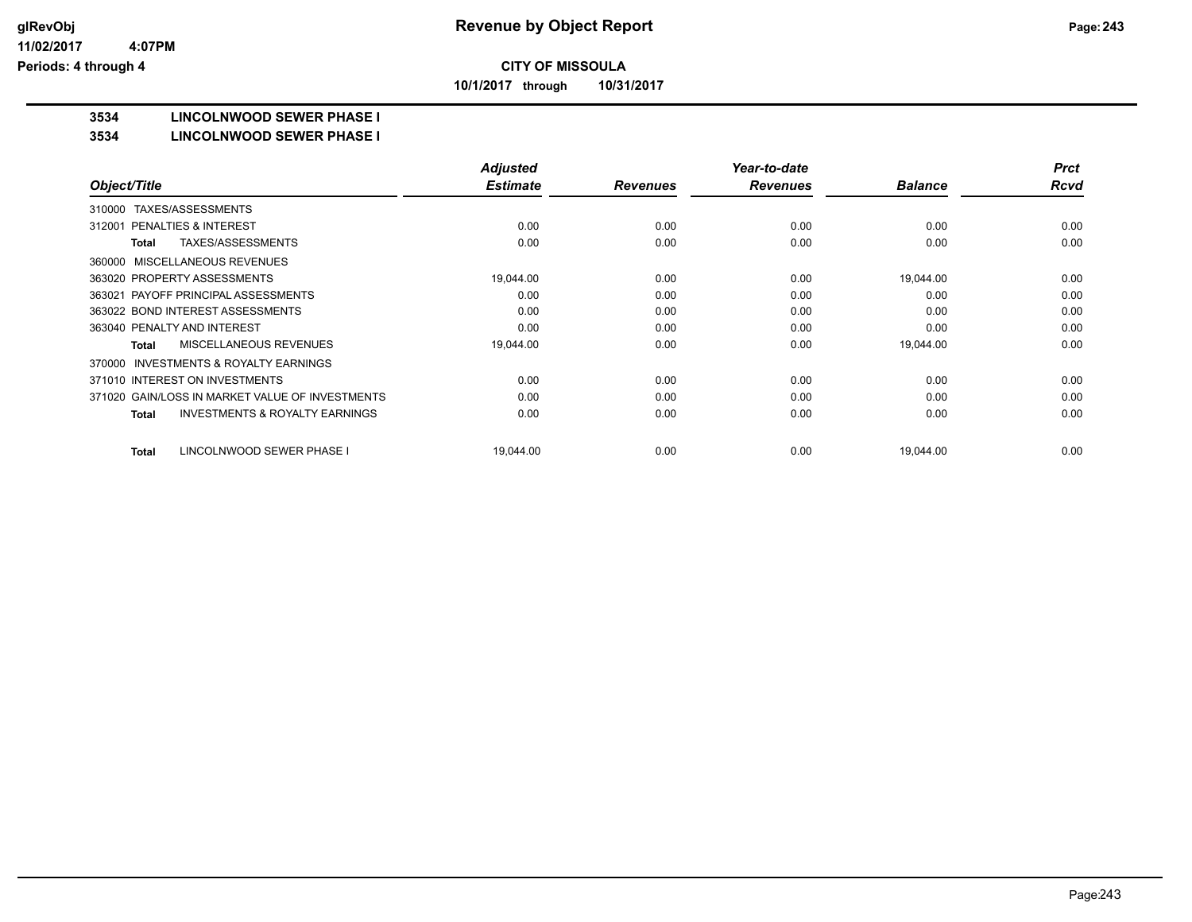**10/1/2017 through 10/31/2017**

## **3534 LINCOLNWOOD SEWER PHASE I**

### **3534 LINCOLNWOOD SEWER PHASE I**

|                                                           | <b>Adjusted</b> |                 | Year-to-date    |                | <b>Prct</b> |
|-----------------------------------------------------------|-----------------|-----------------|-----------------|----------------|-------------|
| Object/Title                                              | <b>Estimate</b> | <b>Revenues</b> | <b>Revenues</b> | <b>Balance</b> | <b>Rcvd</b> |
| TAXES/ASSESSMENTS<br>310000                               |                 |                 |                 |                |             |
| PENALTIES & INTEREST<br>312001                            | 0.00            | 0.00            | 0.00            | 0.00           | 0.00        |
| TAXES/ASSESSMENTS<br>Total                                | 0.00            | 0.00            | 0.00            | 0.00           | 0.00        |
| MISCELLANEOUS REVENUES<br>360000                          |                 |                 |                 |                |             |
| 363020 PROPERTY ASSESSMENTS                               | 19,044.00       | 0.00            | 0.00            | 19,044.00      | 0.00        |
| 363021 PAYOFF PRINCIPAL ASSESSMENTS                       | 0.00            | 0.00            | 0.00            | 0.00           | 0.00        |
| 363022 BOND INTEREST ASSESSMENTS                          | 0.00            | 0.00            | 0.00            | 0.00           | 0.00        |
| 363040 PENALTY AND INTEREST                               | 0.00            | 0.00            | 0.00            | 0.00           | 0.00        |
| MISCELLANEOUS REVENUES<br>Total                           | 19,044.00       | 0.00            | 0.00            | 19,044.00      | 0.00        |
| <b>INVESTMENTS &amp; ROYALTY EARNINGS</b><br>370000       |                 |                 |                 |                |             |
| 371010 INTEREST ON INVESTMENTS                            | 0.00            | 0.00            | 0.00            | 0.00           | 0.00        |
| 371020 GAIN/LOSS IN MARKET VALUE OF INVESTMENTS           | 0.00            | 0.00            | 0.00            | 0.00           | 0.00        |
| <b>INVESTMENTS &amp; ROYALTY EARNINGS</b><br><b>Total</b> | 0.00            | 0.00            | 0.00            | 0.00           | 0.00        |
| LINCOLNWOOD SEWER PHASE I<br>Total                        | 19,044.00       | 0.00            | 0.00            | 19,044.00      | 0.00        |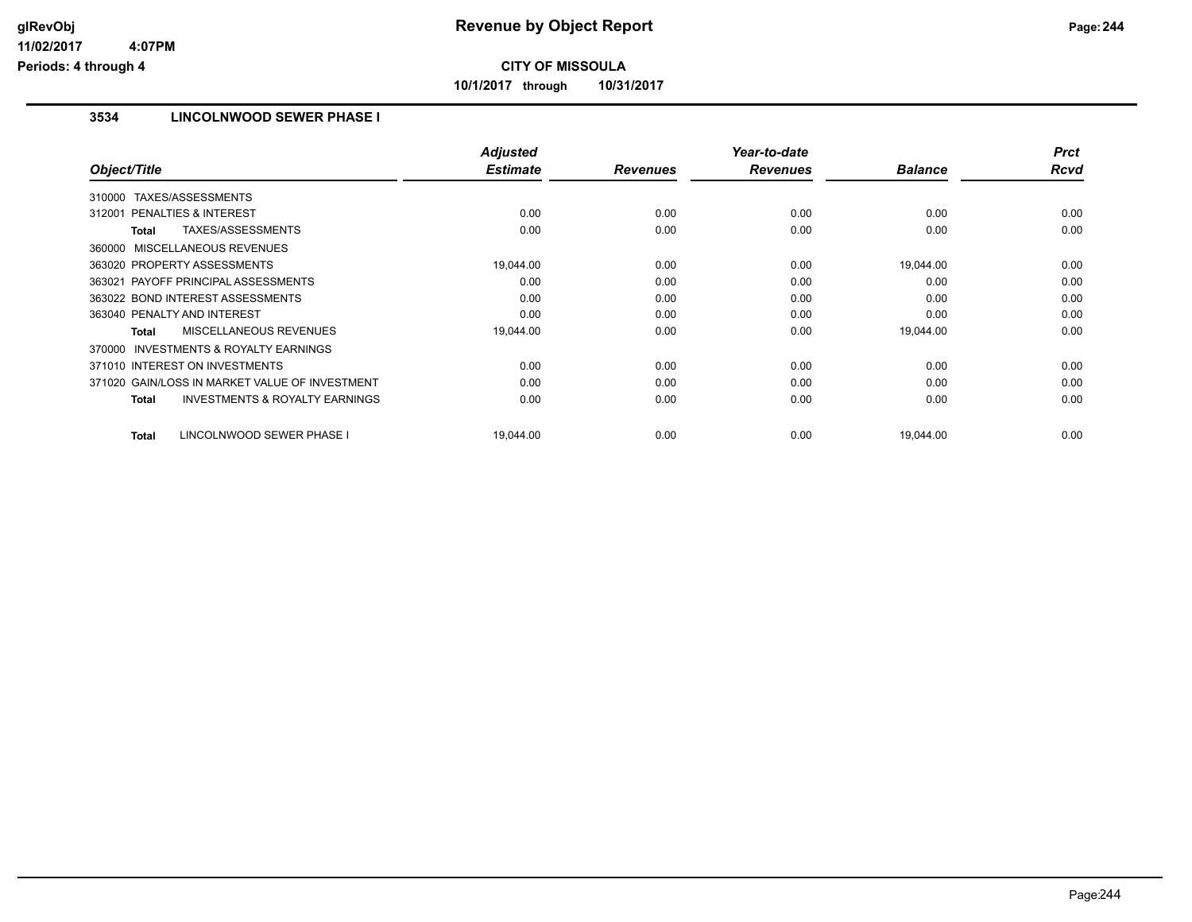**10/1/2017 through 10/31/2017**

## **3534 LINCOLNWOOD SEWER PHASE I**

|                                                           | <b>Adjusted</b> |                 | Year-to-date    |                | <b>Prct</b> |
|-----------------------------------------------------------|-----------------|-----------------|-----------------|----------------|-------------|
| Object/Title                                              | <b>Estimate</b> | <b>Revenues</b> | <b>Revenues</b> | <b>Balance</b> | <b>Rcvd</b> |
| TAXES/ASSESSMENTS<br>310000                               |                 |                 |                 |                |             |
| 312001 PENALTIES & INTEREST                               | 0.00            | 0.00            | 0.00            | 0.00           | 0.00        |
| TAXES/ASSESSMENTS<br>Total                                | 0.00            | 0.00            | 0.00            | 0.00           | 0.00        |
| MISCELLANEOUS REVENUES<br>360000                          |                 |                 |                 |                |             |
| 363020 PROPERTY ASSESSMENTS                               | 19,044.00       | 0.00            | 0.00            | 19,044.00      | 0.00        |
| 363021 PAYOFF PRINCIPAL ASSESSMENTS                       | 0.00            | 0.00            | 0.00            | 0.00           | 0.00        |
| 363022 BOND INTEREST ASSESSMENTS                          | 0.00            | 0.00            | 0.00            | 0.00           | 0.00        |
| 363040 PENALTY AND INTEREST                               | 0.00            | 0.00            | 0.00            | 0.00           | 0.00        |
| MISCELLANEOUS REVENUES<br><b>Total</b>                    | 19,044.00       | 0.00            | 0.00            | 19,044.00      | 0.00        |
| <b>INVESTMENTS &amp; ROYALTY EARNINGS</b><br>370000       |                 |                 |                 |                |             |
| 371010 INTEREST ON INVESTMENTS                            | 0.00            | 0.00            | 0.00            | 0.00           | 0.00        |
| 371020 GAIN/LOSS IN MARKET VALUE OF INVESTMENT            | 0.00            | 0.00            | 0.00            | 0.00           | 0.00        |
| <b>INVESTMENTS &amp; ROYALTY EARNINGS</b><br><b>Total</b> | 0.00            | 0.00            | 0.00            | 0.00           | 0.00        |
| LINCOLNWOOD SEWER PHASE I<br><b>Total</b>                 | 19,044.00       | 0.00            | 0.00            | 19,044.00      | 0.00        |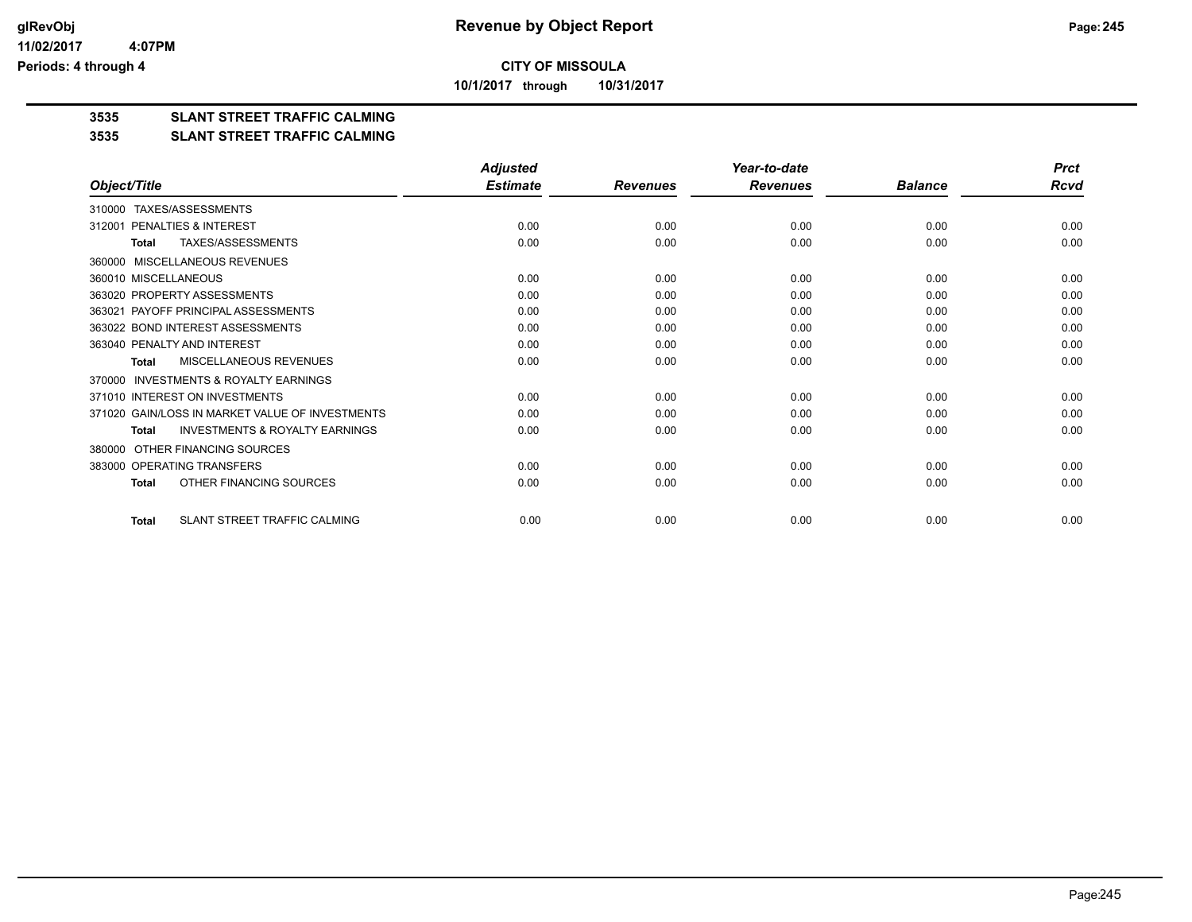**10/1/2017 through 10/31/2017**

# **3535 SLANT STREET TRAFFIC CALMING**

### **3535 SLANT STREET TRAFFIC CALMING**

|                                                           | <b>Adjusted</b> |                 | Year-to-date    |                | <b>Prct</b> |
|-----------------------------------------------------------|-----------------|-----------------|-----------------|----------------|-------------|
| Object/Title                                              | <b>Estimate</b> | <b>Revenues</b> | <b>Revenues</b> | <b>Balance</b> | <b>Rcvd</b> |
| TAXES/ASSESSMENTS<br>310000                               |                 |                 |                 |                |             |
| PENALTIES & INTEREST<br>312001                            | 0.00            | 0.00            | 0.00            | 0.00           | 0.00        |
| TAXES/ASSESSMENTS<br>Total                                | 0.00            | 0.00            | 0.00            | 0.00           | 0.00        |
| MISCELLANEOUS REVENUES<br>360000                          |                 |                 |                 |                |             |
| 360010 MISCELLANEOUS                                      | 0.00            | 0.00            | 0.00            | 0.00           | 0.00        |
| 363020 PROPERTY ASSESSMENTS                               | 0.00            | 0.00            | 0.00            | 0.00           | 0.00        |
| 363021 PAYOFF PRINCIPAL ASSESSMENTS                       | 0.00            | 0.00            | 0.00            | 0.00           | 0.00        |
| 363022 BOND INTEREST ASSESSMENTS                          | 0.00            | 0.00            | 0.00            | 0.00           | 0.00        |
| 363040 PENALTY AND INTEREST                               | 0.00            | 0.00            | 0.00            | 0.00           | 0.00        |
| MISCELLANEOUS REVENUES<br>Total                           | 0.00            | 0.00            | 0.00            | 0.00           | 0.00        |
| <b>INVESTMENTS &amp; ROYALTY EARNINGS</b><br>370000       |                 |                 |                 |                |             |
| 371010 INTEREST ON INVESTMENTS                            | 0.00            | 0.00            | 0.00            | 0.00           | 0.00        |
| 371020 GAIN/LOSS IN MARKET VALUE OF INVESTMENTS           | 0.00            | 0.00            | 0.00            | 0.00           | 0.00        |
| <b>INVESTMENTS &amp; ROYALTY EARNINGS</b><br><b>Total</b> | 0.00            | 0.00            | 0.00            | 0.00           | 0.00        |
| OTHER FINANCING SOURCES<br>380000                         |                 |                 |                 |                |             |
| 383000 OPERATING TRANSFERS                                | 0.00            | 0.00            | 0.00            | 0.00           | 0.00        |
| OTHER FINANCING SOURCES<br><b>Total</b>                   | 0.00            | 0.00            | 0.00            | 0.00           | 0.00        |
| SLANT STREET TRAFFIC CALMING<br><b>Total</b>              | 0.00            | 0.00            | 0.00            | 0.00           | 0.00        |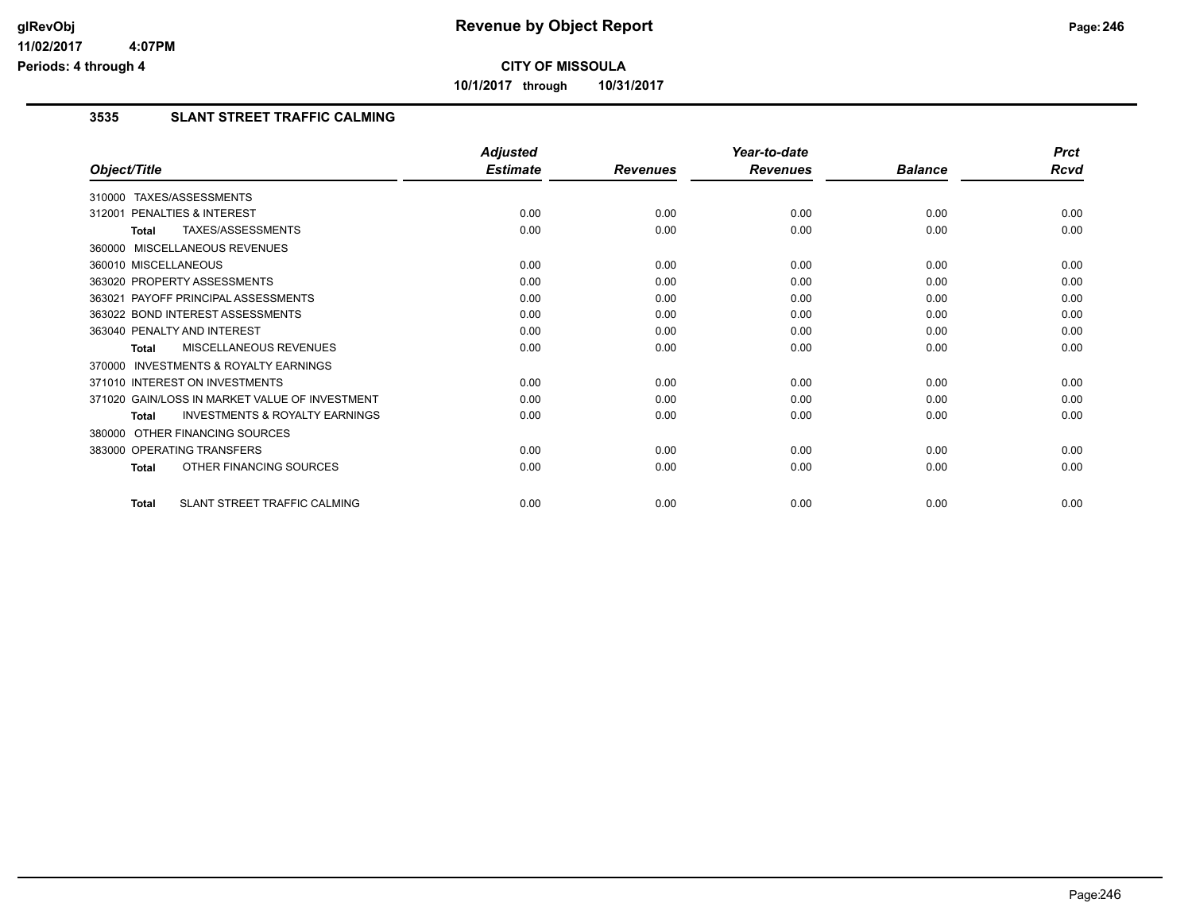**10/1/2017 through 10/31/2017**

## **3535 SLANT STREET TRAFFIC CALMING**

|                                                     | <b>Adjusted</b> |                 | Year-to-date    |                | <b>Prct</b> |
|-----------------------------------------------------|-----------------|-----------------|-----------------|----------------|-------------|
| Object/Title                                        | <b>Estimate</b> | <b>Revenues</b> | <b>Revenues</b> | <b>Balance</b> | Rcvd        |
| 310000 TAXES/ASSESSMENTS                            |                 |                 |                 |                |             |
| 312001 PENALTIES & INTEREST                         | 0.00            | 0.00            | 0.00            | 0.00           | 0.00        |
| TAXES/ASSESSMENTS<br><b>Total</b>                   | 0.00            | 0.00            | 0.00            | 0.00           | 0.00        |
| 360000 MISCELLANEOUS REVENUES                       |                 |                 |                 |                |             |
| 360010 MISCELLANEOUS                                | 0.00            | 0.00            | 0.00            | 0.00           | 0.00        |
| 363020 PROPERTY ASSESSMENTS                         | 0.00            | 0.00            | 0.00            | 0.00           | 0.00        |
| 363021 PAYOFF PRINCIPAL ASSESSMENTS                 | 0.00            | 0.00            | 0.00            | 0.00           | 0.00        |
| 363022 BOND INTEREST ASSESSMENTS                    | 0.00            | 0.00            | 0.00            | 0.00           | 0.00        |
| 363040 PENALTY AND INTEREST                         | 0.00            | 0.00            | 0.00            | 0.00           | 0.00        |
| MISCELLANEOUS REVENUES<br>Total                     | 0.00            | 0.00            | 0.00            | 0.00           | 0.00        |
| <b>INVESTMENTS &amp; ROYALTY EARNINGS</b><br>370000 |                 |                 |                 |                |             |
| 371010 INTEREST ON INVESTMENTS                      | 0.00            | 0.00            | 0.00            | 0.00           | 0.00        |
| 371020 GAIN/LOSS IN MARKET VALUE OF INVESTMENT      | 0.00            | 0.00            | 0.00            | 0.00           | 0.00        |
| <b>INVESTMENTS &amp; ROYALTY EARNINGS</b><br>Total  | 0.00            | 0.00            | 0.00            | 0.00           | 0.00        |
| OTHER FINANCING SOURCES<br>380000                   |                 |                 |                 |                |             |
| 383000 OPERATING TRANSFERS                          | 0.00            | 0.00            | 0.00            | 0.00           | 0.00        |
| OTHER FINANCING SOURCES<br><b>Total</b>             | 0.00            | 0.00            | 0.00            | 0.00           | 0.00        |
| <b>Total</b><br>SLANT STREET TRAFFIC CALMING        | 0.00            | 0.00            | 0.00            | 0.00           | 0.00        |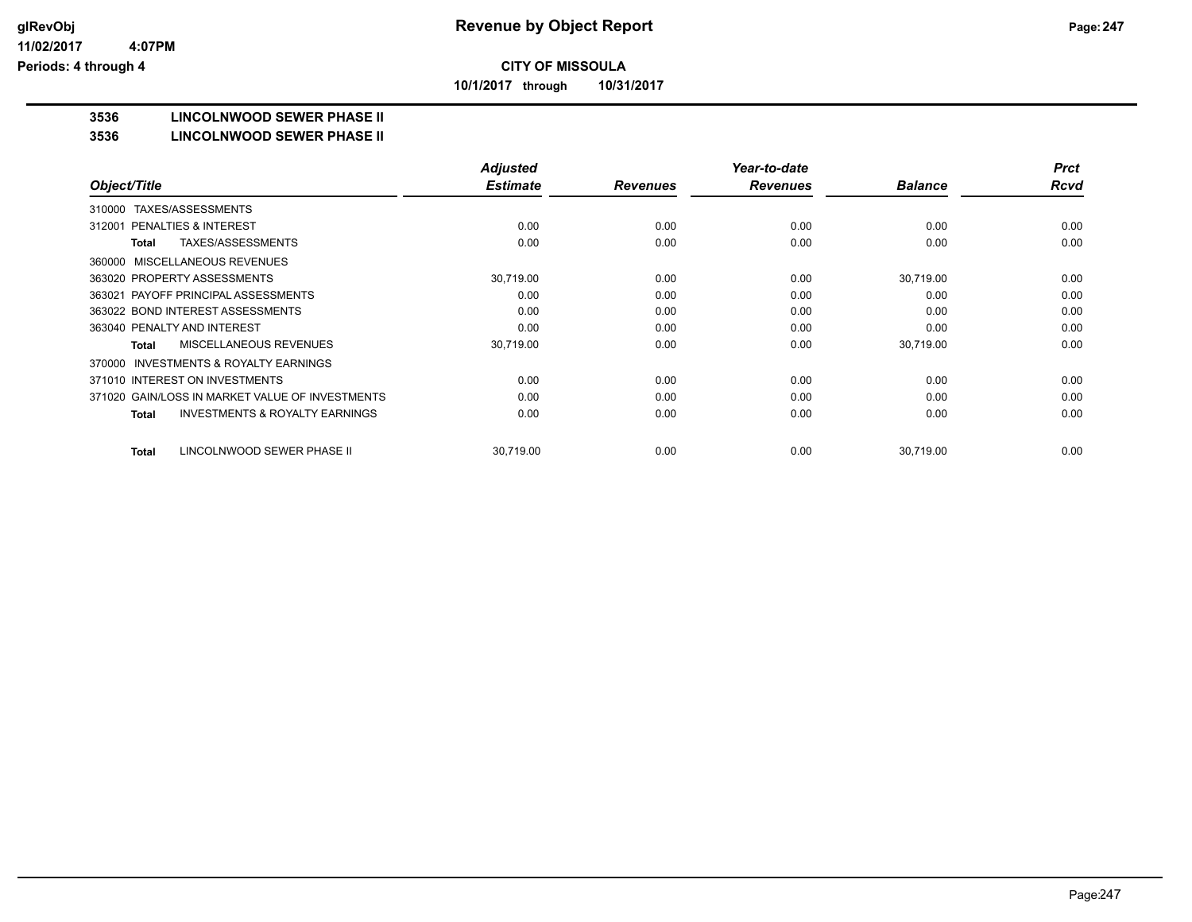**10/1/2017 through 10/31/2017**

# **3536 LINCOLNWOOD SEWER PHASE II**

### **3536 LINCOLNWOOD SEWER PHASE II**

|                                                     | <b>Adjusted</b> |                 | Year-to-date    |                | <b>Prct</b> |
|-----------------------------------------------------|-----------------|-----------------|-----------------|----------------|-------------|
| Object/Title                                        | <b>Estimate</b> | <b>Revenues</b> | <b>Revenues</b> | <b>Balance</b> | Rcvd        |
| TAXES/ASSESSMENTS<br>310000                         |                 |                 |                 |                |             |
| <b>PENALTIES &amp; INTEREST</b><br>312001           | 0.00            | 0.00            | 0.00            | 0.00           | 0.00        |
| TAXES/ASSESSMENTS<br>Total                          | 0.00            | 0.00            | 0.00            | 0.00           | 0.00        |
| 360000 MISCELLANEOUS REVENUES                       |                 |                 |                 |                |             |
| 363020 PROPERTY ASSESSMENTS                         | 30,719.00       | 0.00            | 0.00            | 30,719.00      | 0.00        |
| 363021 PAYOFF PRINCIPAL ASSESSMENTS                 | 0.00            | 0.00            | 0.00            | 0.00           | 0.00        |
| 363022 BOND INTEREST ASSESSMENTS                    | 0.00            | 0.00            | 0.00            | 0.00           | 0.00        |
| 363040 PENALTY AND INTEREST                         | 0.00            | 0.00            | 0.00            | 0.00           | 0.00        |
| <b>MISCELLANEOUS REVENUES</b><br>Total              | 30,719.00       | 0.00            | 0.00            | 30,719.00      | 0.00        |
| <b>INVESTMENTS &amp; ROYALTY EARNINGS</b><br>370000 |                 |                 |                 |                |             |
| 371010 INTEREST ON INVESTMENTS                      | 0.00            | 0.00            | 0.00            | 0.00           | 0.00        |
| 371020 GAIN/LOSS IN MARKET VALUE OF INVESTMENTS     | 0.00            | 0.00            | 0.00            | 0.00           | 0.00        |
| <b>INVESTMENTS &amp; ROYALTY EARNINGS</b><br>Total  | 0.00            | 0.00            | 0.00            | 0.00           | 0.00        |
| LINCOLNWOOD SEWER PHASE II<br><b>Total</b>          | 30,719.00       | 0.00            | 0.00            | 30,719.00      | 0.00        |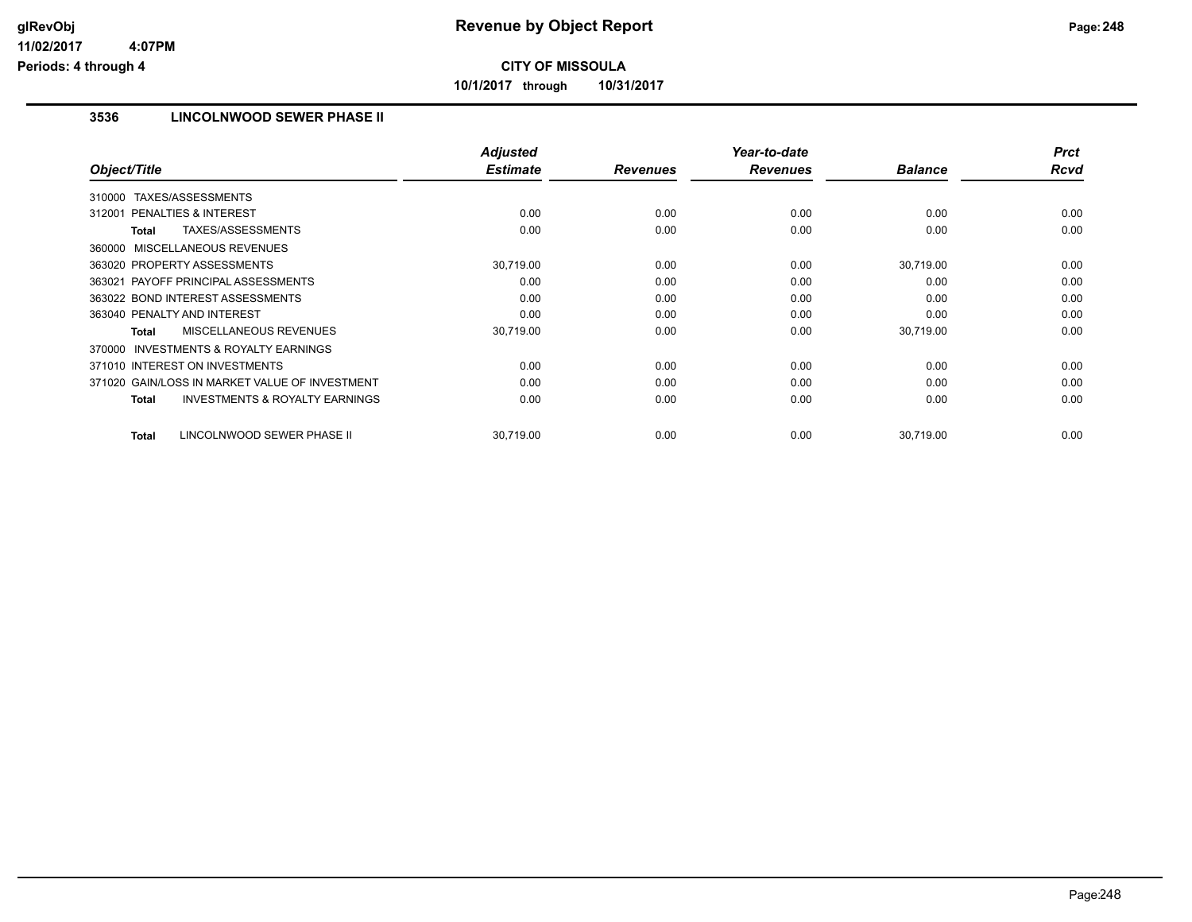**10/1/2017 through 10/31/2017**

## **3536 LINCOLNWOOD SEWER PHASE II**

| Object/Title                                              | <b>Adjusted</b><br><b>Estimate</b> | <b>Revenues</b> | Year-to-date<br><b>Revenues</b> | <b>Balance</b> | <b>Prct</b><br><b>Rcvd</b> |
|-----------------------------------------------------------|------------------------------------|-----------------|---------------------------------|----------------|----------------------------|
|                                                           |                                    |                 |                                 |                |                            |
| TAXES/ASSESSMENTS<br>310000                               |                                    |                 |                                 |                |                            |
| 312001 PENALTIES & INTEREST                               | 0.00                               | 0.00            | 0.00                            | 0.00           | 0.00                       |
| TAXES/ASSESSMENTS<br>Total                                | 0.00                               | 0.00            | 0.00                            | 0.00           | 0.00                       |
| 360000 MISCELLANEOUS REVENUES                             |                                    |                 |                                 |                |                            |
| 363020 PROPERTY ASSESSMENTS                               | 30,719.00                          | 0.00            | 0.00                            | 30,719.00      | 0.00                       |
| 363021 PAYOFF PRINCIPAL ASSESSMENTS                       | 0.00                               | 0.00            | 0.00                            | 0.00           | 0.00                       |
| 363022 BOND INTEREST ASSESSMENTS                          | 0.00                               | 0.00            | 0.00                            | 0.00           | 0.00                       |
| 363040 PENALTY AND INTEREST                               | 0.00                               | 0.00            | 0.00                            | 0.00           | 0.00                       |
| MISCELLANEOUS REVENUES<br>Total                           | 30,719.00                          | 0.00            | 0.00                            | 30,719.00      | 0.00                       |
| INVESTMENTS & ROYALTY EARNINGS<br>370000                  |                                    |                 |                                 |                |                            |
| 371010 INTEREST ON INVESTMENTS                            | 0.00                               | 0.00            | 0.00                            | 0.00           | 0.00                       |
| 371020 GAIN/LOSS IN MARKET VALUE OF INVESTMENT            | 0.00                               | 0.00            | 0.00                            | 0.00           | 0.00                       |
| <b>INVESTMENTS &amp; ROYALTY EARNINGS</b><br><b>Total</b> | 0.00                               | 0.00            | 0.00                            | 0.00           | 0.00                       |
|                                                           |                                    |                 |                                 |                |                            |
| LINCOLNWOOD SEWER PHASE II<br><b>Total</b>                | 30,719.00                          | 0.00            | 0.00                            | 30,719.00      | 0.00                       |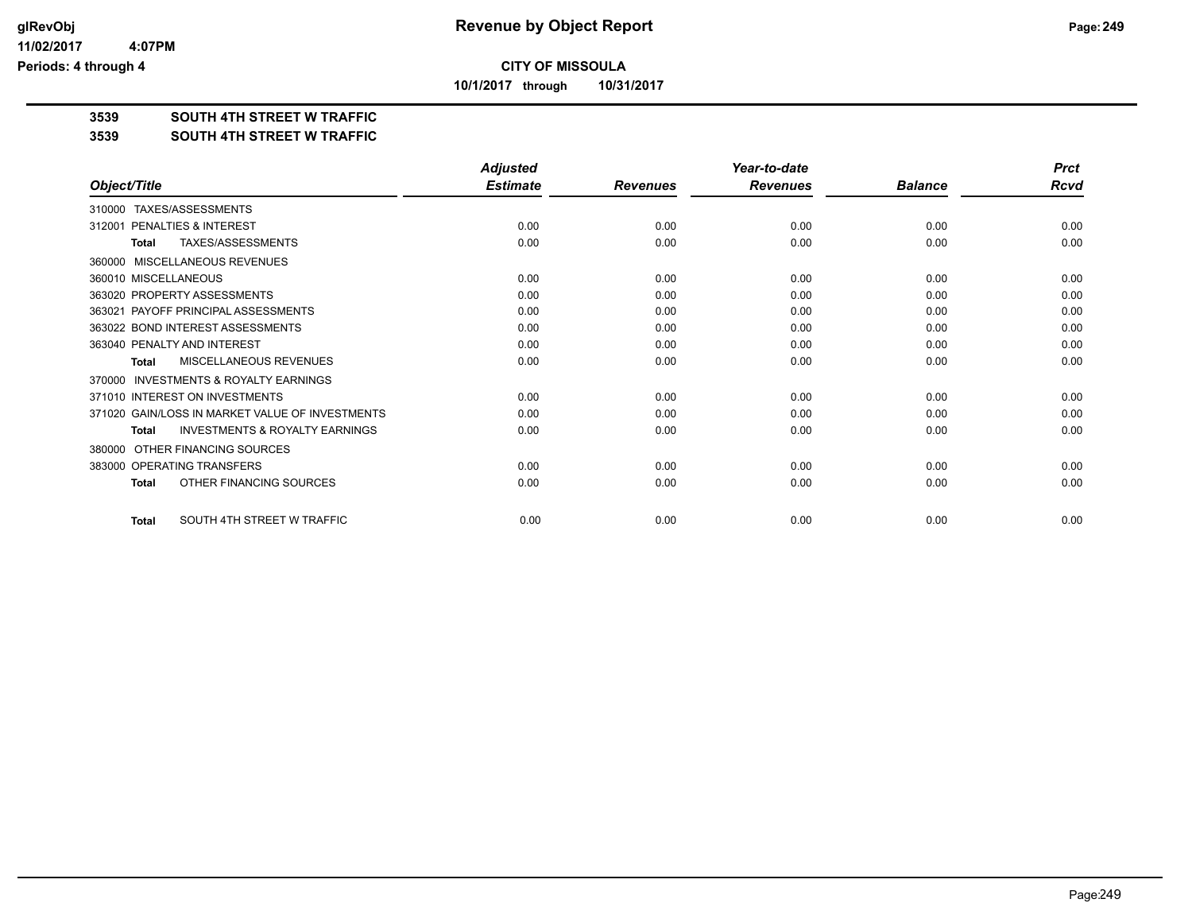**10/1/2017 through 10/31/2017**

## **3539 SOUTH 4TH STREET W TRAFFIC**

### **3539 SOUTH 4TH STREET W TRAFFIC**

|                                                     | <b>Adjusted</b> |                 | Year-to-date    |                | <b>Prct</b> |
|-----------------------------------------------------|-----------------|-----------------|-----------------|----------------|-------------|
| Object/Title                                        | <b>Estimate</b> | <b>Revenues</b> | <b>Revenues</b> | <b>Balance</b> | <b>Rcvd</b> |
| TAXES/ASSESSMENTS<br>310000                         |                 |                 |                 |                |             |
| PENALTIES & INTEREST<br>312001                      | 0.00            | 0.00            | 0.00            | 0.00           | 0.00        |
| TAXES/ASSESSMENTS<br><b>Total</b>                   | 0.00            | 0.00            | 0.00            | 0.00           | 0.00        |
| <b>MISCELLANEOUS REVENUES</b><br>360000             |                 |                 |                 |                |             |
| 360010 MISCELLANEOUS                                | 0.00            | 0.00            | 0.00            | 0.00           | 0.00        |
| 363020 PROPERTY ASSESSMENTS                         | 0.00            | 0.00            | 0.00            | 0.00           | 0.00        |
| 363021 PAYOFF PRINCIPAL ASSESSMENTS                 | 0.00            | 0.00            | 0.00            | 0.00           | 0.00        |
| 363022 BOND INTEREST ASSESSMENTS                    | 0.00            | 0.00            | 0.00            | 0.00           | 0.00        |
| 363040 PENALTY AND INTEREST                         | 0.00            | 0.00            | 0.00            | 0.00           | 0.00        |
| MISCELLANEOUS REVENUES<br><b>Total</b>              | 0.00            | 0.00            | 0.00            | 0.00           | 0.00        |
| <b>INVESTMENTS &amp; ROYALTY EARNINGS</b><br>370000 |                 |                 |                 |                |             |
| 371010 INTEREST ON INVESTMENTS                      | 0.00            | 0.00            | 0.00            | 0.00           | 0.00        |
| 371020 GAIN/LOSS IN MARKET VALUE OF INVESTMENTS     | 0.00            | 0.00            | 0.00            | 0.00           | 0.00        |
| <b>INVESTMENTS &amp; ROYALTY EARNINGS</b><br>Total  | 0.00            | 0.00            | 0.00            | 0.00           | 0.00        |
| OTHER FINANCING SOURCES<br>380000                   |                 |                 |                 |                |             |
| 383000 OPERATING TRANSFERS                          | 0.00            | 0.00            | 0.00            | 0.00           | 0.00        |
| OTHER FINANCING SOURCES<br>Total                    | 0.00            | 0.00            | 0.00            | 0.00           | 0.00        |
| SOUTH 4TH STREET W TRAFFIC<br><b>Total</b>          | 0.00            | 0.00            | 0.00            | 0.00           | 0.00        |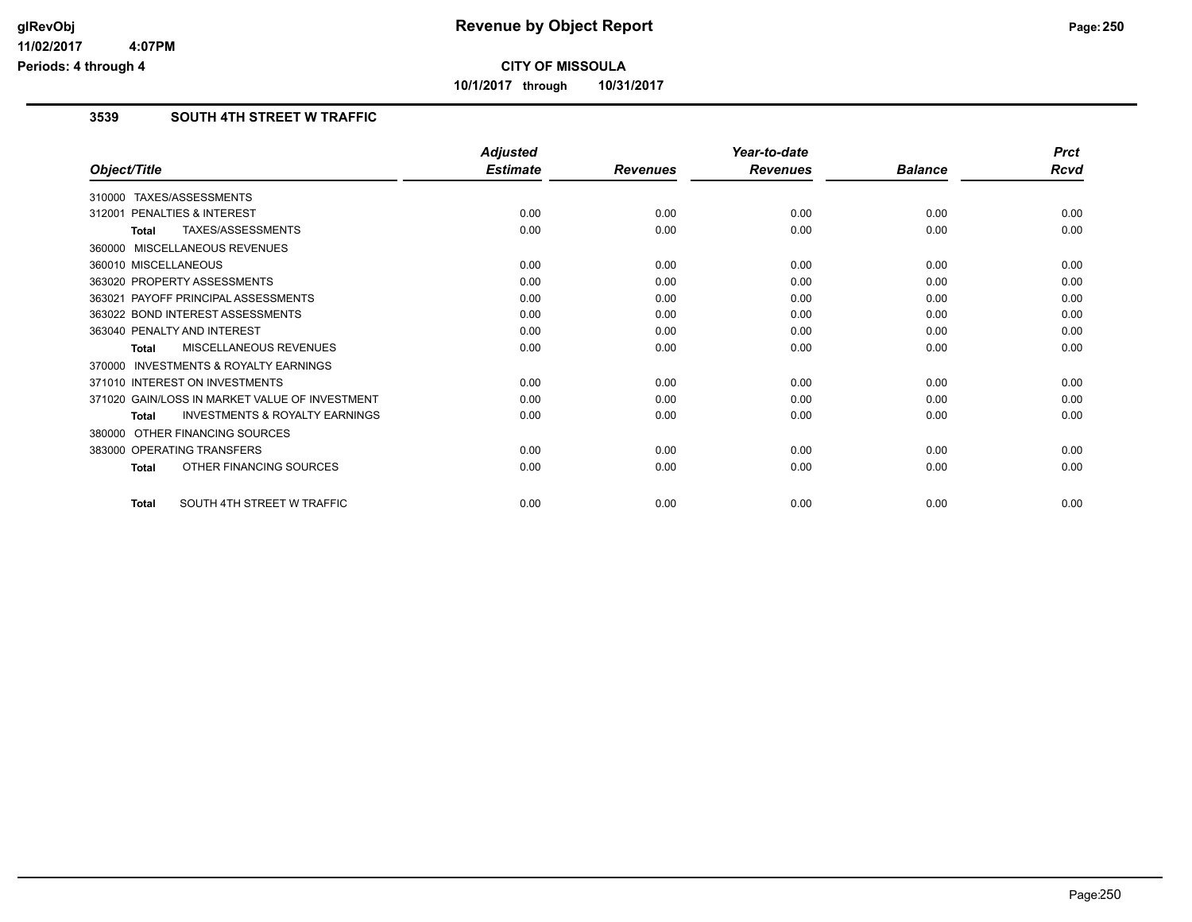**10/1/2017 through 10/31/2017**

# **3539 SOUTH 4TH STREET W TRAFFIC**

|                                                           | <b>Adjusted</b> |                 | Year-to-date    |                | <b>Prct</b> |
|-----------------------------------------------------------|-----------------|-----------------|-----------------|----------------|-------------|
| Object/Title                                              | <b>Estimate</b> | <b>Revenues</b> | <b>Revenues</b> | <b>Balance</b> | <b>Rcvd</b> |
| 310000 TAXES/ASSESSMENTS                                  |                 |                 |                 |                |             |
| PENALTIES & INTEREST<br>312001                            | 0.00            | 0.00            | 0.00            | 0.00           | 0.00        |
| TAXES/ASSESSMENTS<br><b>Total</b>                         | 0.00            | 0.00            | 0.00            | 0.00           | 0.00        |
| 360000 MISCELLANEOUS REVENUES                             |                 |                 |                 |                |             |
| 360010 MISCELLANEOUS                                      | 0.00            | 0.00            | 0.00            | 0.00           | 0.00        |
| 363020 PROPERTY ASSESSMENTS                               | 0.00            | 0.00            | 0.00            | 0.00           | 0.00        |
| 363021 PAYOFF PRINCIPAL ASSESSMENTS                       | 0.00            | 0.00            | 0.00            | 0.00           | 0.00        |
| 363022 BOND INTEREST ASSESSMENTS                          | 0.00            | 0.00            | 0.00            | 0.00           | 0.00        |
| 363040 PENALTY AND INTEREST                               | 0.00            | 0.00            | 0.00            | 0.00           | 0.00        |
| MISCELLANEOUS REVENUES<br><b>Total</b>                    | 0.00            | 0.00            | 0.00            | 0.00           | 0.00        |
| INVESTMENTS & ROYALTY EARNINGS<br>370000                  |                 |                 |                 |                |             |
| 371010 INTEREST ON INVESTMENTS                            | 0.00            | 0.00            | 0.00            | 0.00           | 0.00        |
| 371020 GAIN/LOSS IN MARKET VALUE OF INVESTMENT            | 0.00            | 0.00            | 0.00            | 0.00           | 0.00        |
| <b>INVESTMENTS &amp; ROYALTY EARNINGS</b><br><b>Total</b> | 0.00            | 0.00            | 0.00            | 0.00           | 0.00        |
| OTHER FINANCING SOURCES<br>380000                         |                 |                 |                 |                |             |
| 383000 OPERATING TRANSFERS                                | 0.00            | 0.00            | 0.00            | 0.00           | 0.00        |
| OTHER FINANCING SOURCES<br><b>Total</b>                   | 0.00            | 0.00            | 0.00            | 0.00           | 0.00        |
| SOUTH 4TH STREET W TRAFFIC<br><b>Total</b>                | 0.00            | 0.00            | 0.00            | 0.00           | 0.00        |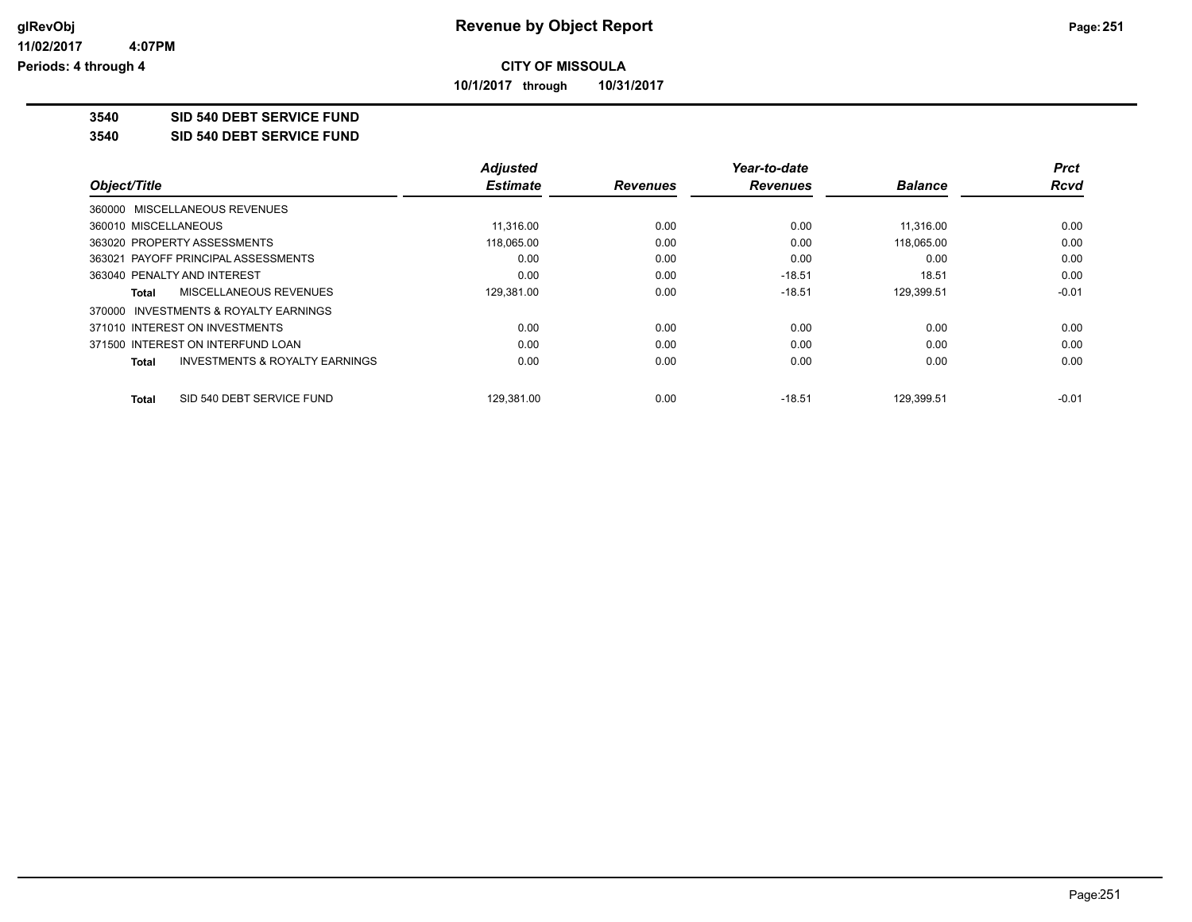**10/1/2017 through 10/31/2017**

**3540 SID 540 DEBT SERVICE FUND**

**3540 SID 540 DEBT SERVICE FUND**

|                                                    | <b>Adjusted</b> |                 | Year-to-date    |                | <b>Prct</b> |
|----------------------------------------------------|-----------------|-----------------|-----------------|----------------|-------------|
| Object/Title                                       | <b>Estimate</b> | <b>Revenues</b> | <b>Revenues</b> | <b>Balance</b> | Rcvd        |
| 360000 MISCELLANEOUS REVENUES                      |                 |                 |                 |                |             |
| 360010 MISCELLANEOUS                               | 11.316.00       | 0.00            | 0.00            | 11.316.00      | 0.00        |
| 363020 PROPERTY ASSESSMENTS                        | 118,065.00      | 0.00            | 0.00            | 118.065.00     | 0.00        |
| 363021 PAYOFF PRINCIPAL ASSESSMENTS                | 0.00            | 0.00            | 0.00            | 0.00           | 0.00        |
| 363040 PENALTY AND INTEREST                        | 0.00            | 0.00            | $-18.51$        | 18.51          | 0.00        |
| <b>MISCELLANEOUS REVENUES</b><br>Total             | 129,381.00      | 0.00            | $-18.51$        | 129.399.51     | $-0.01$     |
| 370000 INVESTMENTS & ROYALTY EARNINGS              |                 |                 |                 |                |             |
| 371010 INTEREST ON INVESTMENTS                     | 0.00            | 0.00            | 0.00            | 0.00           | 0.00        |
| 371500 INTEREST ON INTERFUND LOAN                  | 0.00            | 0.00            | 0.00            | 0.00           | 0.00        |
| <b>INVESTMENTS &amp; ROYALTY EARNINGS</b><br>Total | 0.00            | 0.00            | 0.00            | 0.00           | 0.00        |
| SID 540 DEBT SERVICE FUND<br><b>Total</b>          | 129.381.00      | 0.00            | $-18.51$        | 129.399.51     | $-0.01$     |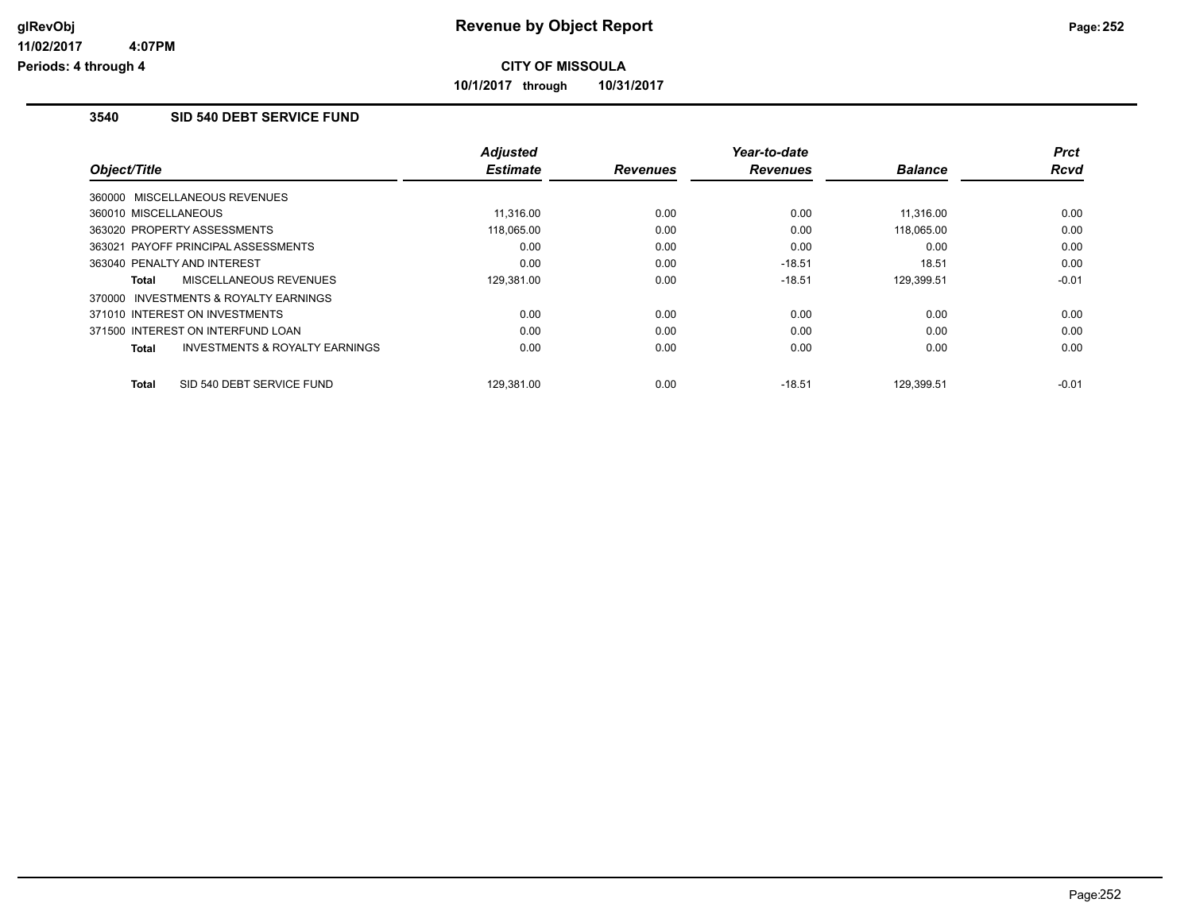**10/1/2017 through 10/31/2017**

### **3540 SID 540 DEBT SERVICE FUND**

|                                                           | <b>Adjusted</b> |                 | Year-to-date    |                | <b>Prct</b> |
|-----------------------------------------------------------|-----------------|-----------------|-----------------|----------------|-------------|
| Object/Title                                              | <b>Estimate</b> | <b>Revenues</b> | <b>Revenues</b> | <b>Balance</b> | Rcvd        |
| 360000 MISCELLANEOUS REVENUES                             |                 |                 |                 |                |             |
| 360010 MISCELLANEOUS                                      | 11.316.00       | 0.00            | 0.00            | 11.316.00      | 0.00        |
| 363020 PROPERTY ASSESSMENTS                               | 118,065.00      | 0.00            | 0.00            | 118.065.00     | 0.00        |
| 363021 PAYOFF PRINCIPAL ASSESSMENTS                       | 0.00            | 0.00            | 0.00            | 0.00           | 0.00        |
| 363040 PENALTY AND INTEREST                               | 0.00            | 0.00            | $-18.51$        | 18.51          | 0.00        |
| MISCELLANEOUS REVENUES<br><b>Total</b>                    | 129,381.00      | 0.00            | $-18.51$        | 129,399.51     | $-0.01$     |
| INVESTMENTS & ROYALTY EARNINGS<br>370000                  |                 |                 |                 |                |             |
| 371010 INTEREST ON INVESTMENTS                            | 0.00            | 0.00            | 0.00            | 0.00           | 0.00        |
| 371500 INTEREST ON INTERFUND LOAN                         | 0.00            | 0.00            | 0.00            | 0.00           | 0.00        |
| <b>INVESTMENTS &amp; ROYALTY EARNINGS</b><br><b>Total</b> | 0.00            | 0.00            | 0.00            | 0.00           | 0.00        |
| <b>Total</b><br>SID 540 DEBT SERVICE FUND                 | 129.381.00      | 0.00            | $-18.51$        | 129.399.51     | $-0.01$     |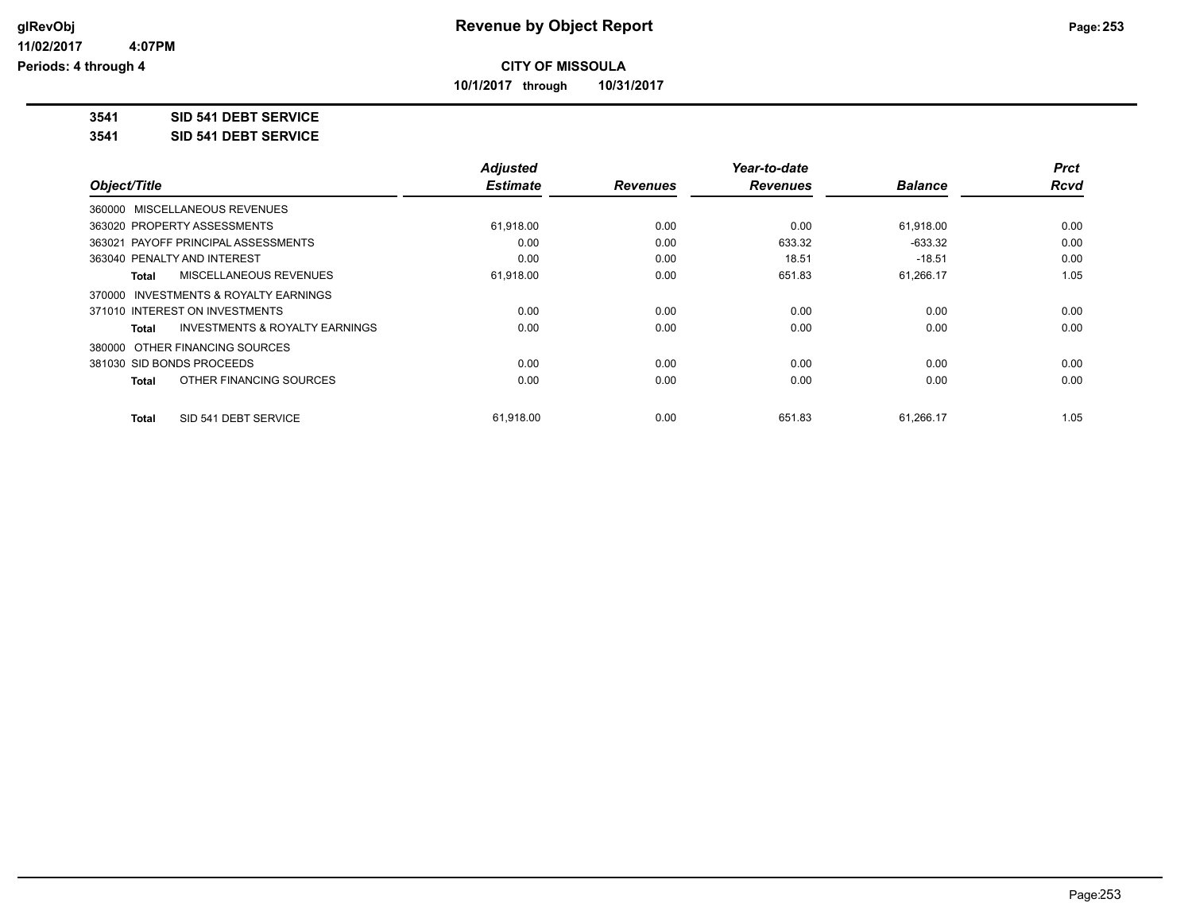**10/1/2017 through 10/31/2017**

#### **3541 SID 541 DEBT SERVICE**

**3541 SID 541 DEBT SERVICE**

|                                         | <b>Adjusted</b> |                 | Year-to-date    |                | <b>Prct</b> |
|-----------------------------------------|-----------------|-----------------|-----------------|----------------|-------------|
| Object/Title                            | <b>Estimate</b> | <b>Revenues</b> | <b>Revenues</b> | <b>Balance</b> | <b>Rcvd</b> |
| 360000 MISCELLANEOUS REVENUES           |                 |                 |                 |                |             |
| 363020 PROPERTY ASSESSMENTS             | 61,918.00       | 0.00            | 0.00            | 61,918.00      | 0.00        |
| 363021 PAYOFF PRINCIPAL ASSESSMENTS     | 0.00            | 0.00            | 633.32          | -633.32        | 0.00        |
| 363040 PENALTY AND INTEREST             | 0.00            | 0.00            | 18.51           | $-18.51$       | 0.00        |
| MISCELLANEOUS REVENUES<br>Total         | 61,918.00       | 0.00            | 651.83          | 61,266.17      | 1.05        |
| 370000 INVESTMENTS & ROYALTY EARNINGS   |                 |                 |                 |                |             |
| 371010 INTEREST ON INVESTMENTS          | 0.00            | 0.00            | 0.00            | 0.00           | 0.00        |
| INVESTMENTS & ROYALTY EARNINGS<br>Total | 0.00            | 0.00            | 0.00            | 0.00           | 0.00        |
| 380000 OTHER FINANCING SOURCES          |                 |                 |                 |                |             |
| 381030 SID BONDS PROCEEDS               | 0.00            | 0.00            | 0.00            | 0.00           | 0.00        |
| OTHER FINANCING SOURCES<br>Total        | 0.00            | 0.00            | 0.00            | 0.00           | 0.00        |
| SID 541 DEBT SERVICE<br>Total           | 61.918.00       | 0.00            | 651.83          | 61.266.17      | 1.05        |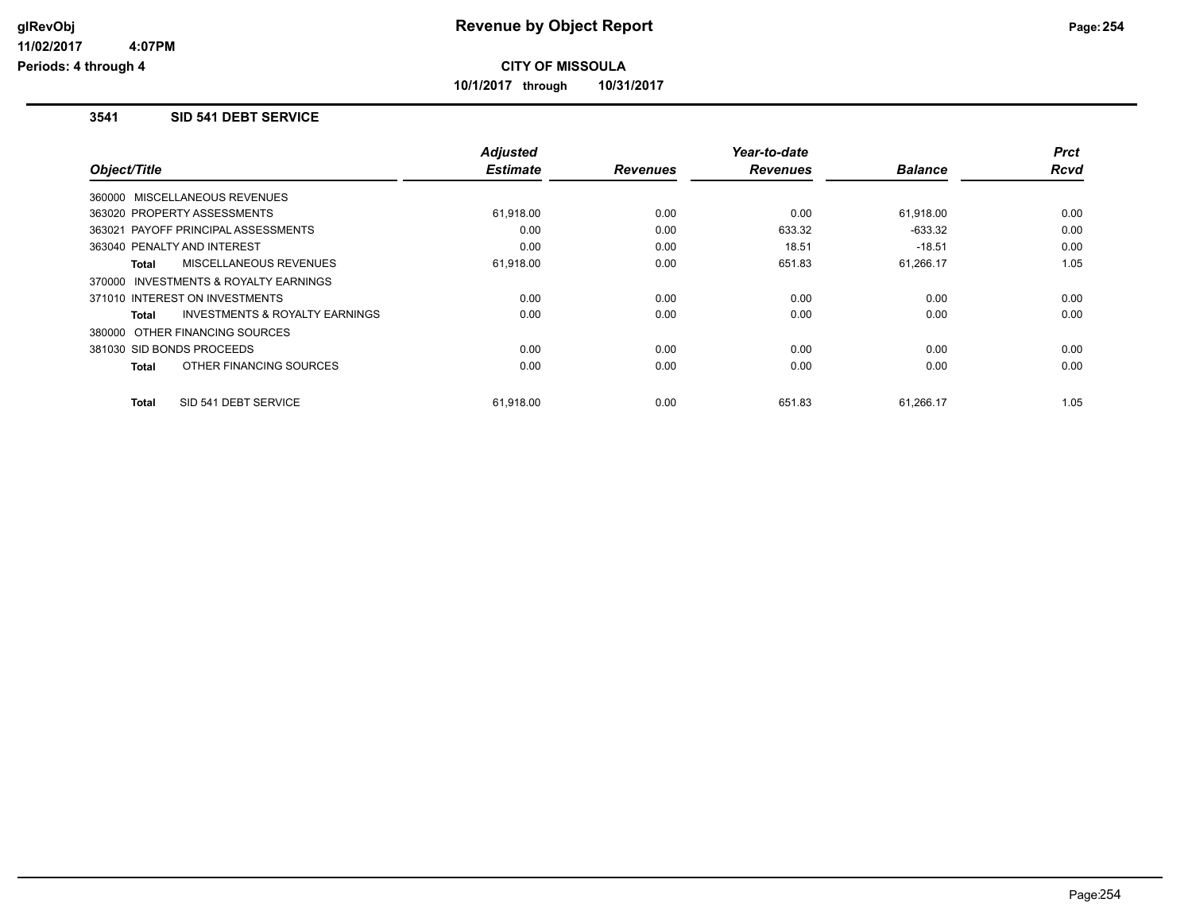**10/1/2017 through 10/31/2017**

#### **3541 SID 541 DEBT SERVICE**

| Object/Title                                        | <b>Adjusted</b><br><b>Estimate</b> | <b>Revenues</b> | Year-to-date<br><b>Revenues</b> | <b>Balance</b> | <b>Prct</b><br>Rcvd |
|-----------------------------------------------------|------------------------------------|-----------------|---------------------------------|----------------|---------------------|
| 360000 MISCELLANEOUS REVENUES                       |                                    |                 |                                 |                |                     |
| 363020 PROPERTY ASSESSMENTS                         | 61,918.00                          | 0.00            | 0.00                            | 61,918.00      | 0.00                |
| 363021 PAYOFF PRINCIPAL ASSESSMENTS                 | 0.00                               | 0.00            | 633.32                          | $-633.32$      | 0.00                |
| 363040 PENALTY AND INTEREST                         | 0.00                               | 0.00            | 18.51                           | $-18.51$       | 0.00                |
| MISCELLANEOUS REVENUES<br>Total                     | 61,918.00                          | 0.00            | 651.83                          | 61,266.17      | 1.05                |
| <b>INVESTMENTS &amp; ROYALTY EARNINGS</b><br>370000 |                                    |                 |                                 |                |                     |
| 371010 INTEREST ON INVESTMENTS                      | 0.00                               | 0.00            | 0.00                            | 0.00           | 0.00                |
| <b>INVESTMENTS &amp; ROYALTY EARNINGS</b><br>Total  | 0.00                               | 0.00            | 0.00                            | 0.00           | 0.00                |
| 380000 OTHER FINANCING SOURCES                      |                                    |                 |                                 |                |                     |
| 381030 SID BONDS PROCEEDS                           | 0.00                               | 0.00            | 0.00                            | 0.00           | 0.00                |
| OTHER FINANCING SOURCES<br><b>Total</b>             | 0.00                               | 0.00            | 0.00                            | 0.00           | 0.00                |
| SID 541 DEBT SERVICE<br><b>Total</b>                | 61,918.00                          | 0.00            | 651.83                          | 61,266.17      | 1.05                |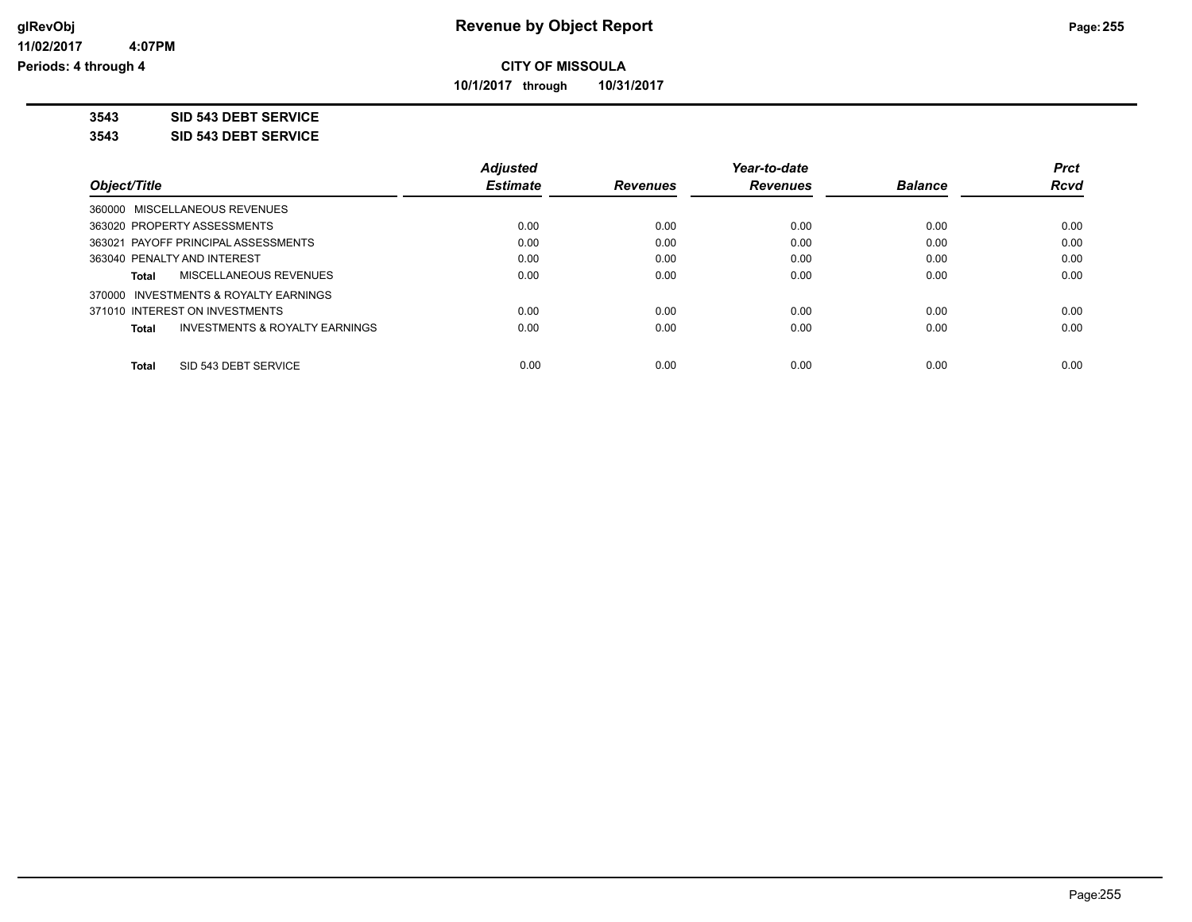**10/1/2017 through 10/31/2017**

**3543 SID 543 DEBT SERVICE**

**3543 SID 543 DEBT SERVICE**

|                                         | <b>Adjusted</b> |                 | Year-to-date    |                | <b>Prct</b> |
|-----------------------------------------|-----------------|-----------------|-----------------|----------------|-------------|
| Object/Title                            | <b>Estimate</b> | <b>Revenues</b> | <b>Revenues</b> | <b>Balance</b> | Rcvd        |
| 360000 MISCELLANEOUS REVENUES           |                 |                 |                 |                |             |
| 363020 PROPERTY ASSESSMENTS             | 0.00            | 0.00            | 0.00            | 0.00           | 0.00        |
| 363021 PAYOFF PRINCIPAL ASSESSMENTS     | 0.00            | 0.00            | 0.00            | 0.00           | 0.00        |
| 363040 PENALTY AND INTEREST             | 0.00            | 0.00            | 0.00            | 0.00           | 0.00        |
| MISCELLANEOUS REVENUES<br>Total         | 0.00            | 0.00            | 0.00            | 0.00           | 0.00        |
| 370000 INVESTMENTS & ROYALTY EARNINGS   |                 |                 |                 |                |             |
| 371010 INTEREST ON INVESTMENTS          | 0.00            | 0.00            | 0.00            | 0.00           | 0.00        |
| INVESTMENTS & ROYALTY EARNINGS<br>Total | 0.00            | 0.00            | 0.00            | 0.00           | 0.00        |
| SID 543 DEBT SERVICE<br><b>Total</b>    | 0.00            | 0.00            | 0.00            | 0.00           | 0.00        |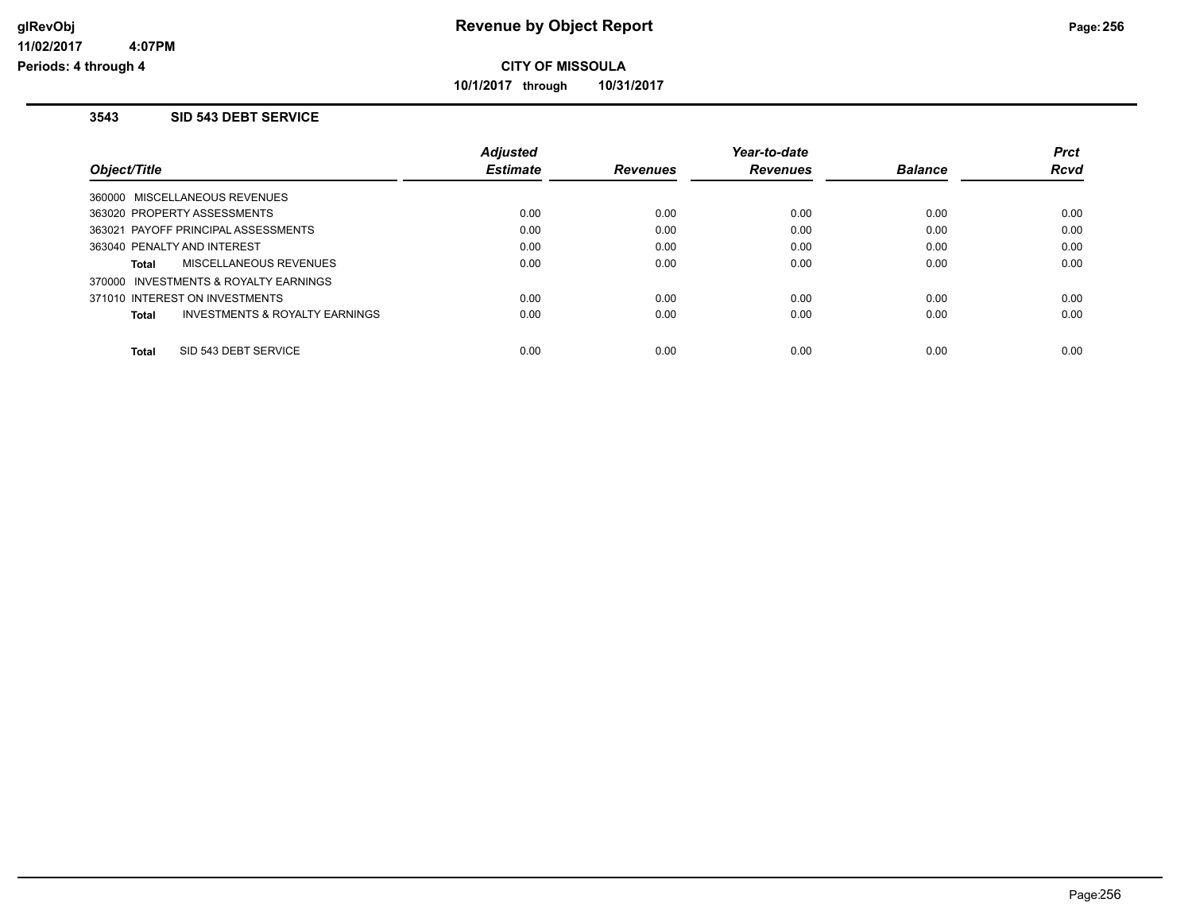**10/1/2017 through 10/31/2017**

#### **3543 SID 543 DEBT SERVICE**

|                                                           | <b>Adjusted</b> |                 | Year-to-date    |                | <b>Prct</b> |
|-----------------------------------------------------------|-----------------|-----------------|-----------------|----------------|-------------|
| Object/Title                                              | <b>Estimate</b> | <b>Revenues</b> | <b>Revenues</b> | <b>Balance</b> | <b>Rcvd</b> |
| 360000 MISCELLANEOUS REVENUES                             |                 |                 |                 |                |             |
| 363020 PROPERTY ASSESSMENTS                               | 0.00            | 0.00            | 0.00            | 0.00           | 0.00        |
| 363021 PAYOFF PRINCIPAL ASSESSMENTS                       | 0.00            | 0.00            | 0.00            | 0.00           | 0.00        |
| 363040 PENALTY AND INTEREST                               | 0.00            | 0.00            | 0.00            | 0.00           | 0.00        |
| MISCELLANEOUS REVENUES<br>Total                           | 0.00            | 0.00            | 0.00            | 0.00           | 0.00        |
| 370000 INVESTMENTS & ROYALTY EARNINGS                     |                 |                 |                 |                |             |
| 371010 INTEREST ON INVESTMENTS                            | 0.00            | 0.00            | 0.00            | 0.00           | 0.00        |
| <b>INVESTMENTS &amp; ROYALTY EARNINGS</b><br><b>Total</b> | 0.00            | 0.00            | 0.00            | 0.00           | 0.00        |
| SID 543 DEBT SERVICE<br><b>Total</b>                      | 0.00            | 0.00            | 0.00            | 0.00           | 0.00        |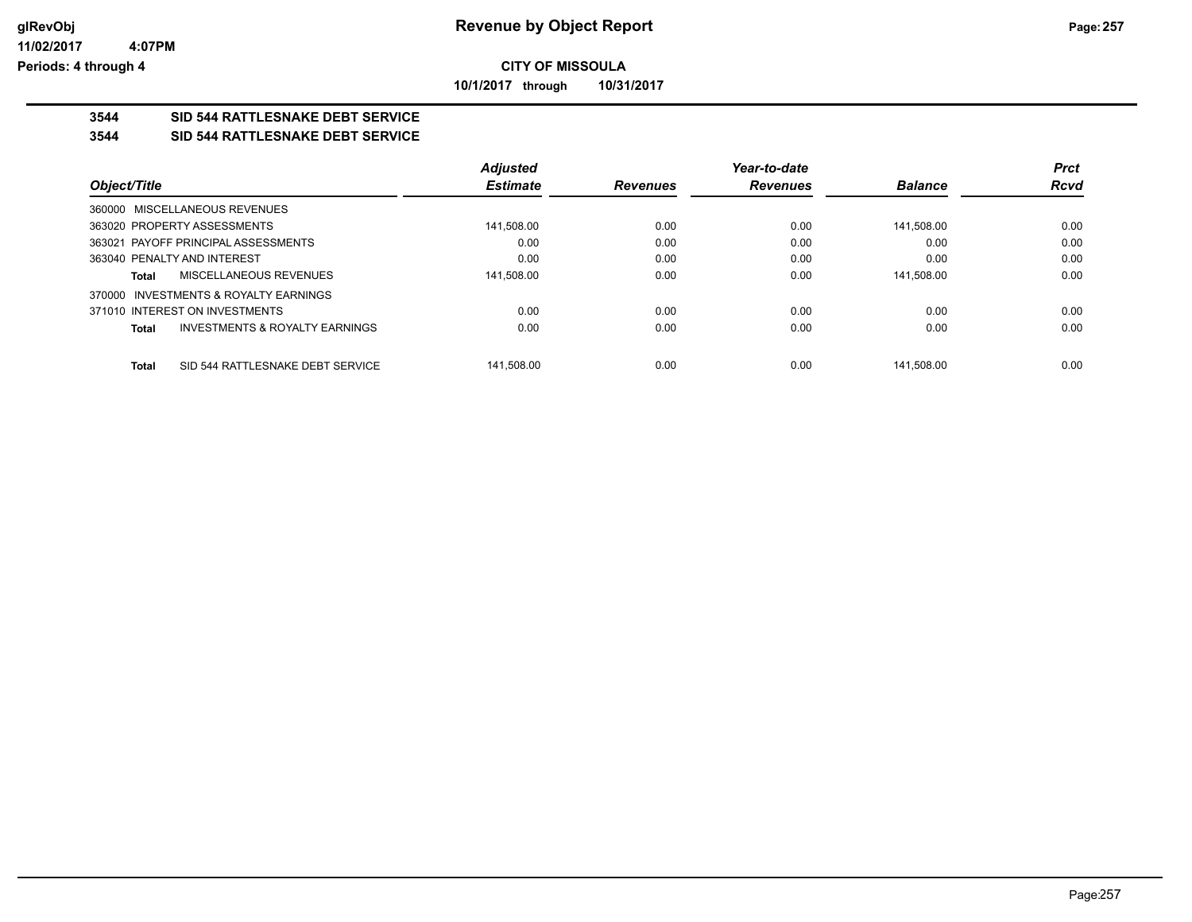**10/1/2017 through 10/31/2017**

# **3544 SID 544 RATTLESNAKE DEBT SERVICE**

# **3544 SID 544 RATTLESNAKE DEBT SERVICE**

|              |                                           | <b>Adjusted</b> |                 | Year-to-date    |                | <b>Prct</b> |
|--------------|-------------------------------------------|-----------------|-----------------|-----------------|----------------|-------------|
| Object/Title |                                           | <b>Estimate</b> | <b>Revenues</b> | <b>Revenues</b> | <b>Balance</b> | <b>Rcvd</b> |
|              | 360000 MISCELLANEOUS REVENUES             |                 |                 |                 |                |             |
|              | 363020 PROPERTY ASSESSMENTS               | 141,508.00      | 0.00            | 0.00            | 141,508.00     | 0.00        |
|              | 363021 PAYOFF PRINCIPAL ASSESSMENTS       | 0.00            | 0.00            | 0.00            | 0.00           | 0.00        |
|              | 363040 PENALTY AND INTEREST               | 0.00            | 0.00            | 0.00            | 0.00           | 0.00        |
| Total        | <b>MISCELLANEOUS REVENUES</b>             | 141.508.00      | 0.00            | 0.00            | 141.508.00     | 0.00        |
|              | 370000 INVESTMENTS & ROYALTY EARNINGS     |                 |                 |                 |                |             |
|              | 371010 INTEREST ON INVESTMENTS            | 0.00            | 0.00            | 0.00            | 0.00           | 0.00        |
| Total        | <b>INVESTMENTS &amp; ROYALTY EARNINGS</b> | 0.00            | 0.00            | 0.00            | 0.00           | 0.00        |
| Total        | SID 544 RATTLESNAKE DEBT SERVICE          | 141.508.00      | 0.00            | 0.00            | 141.508.00     | 0.00        |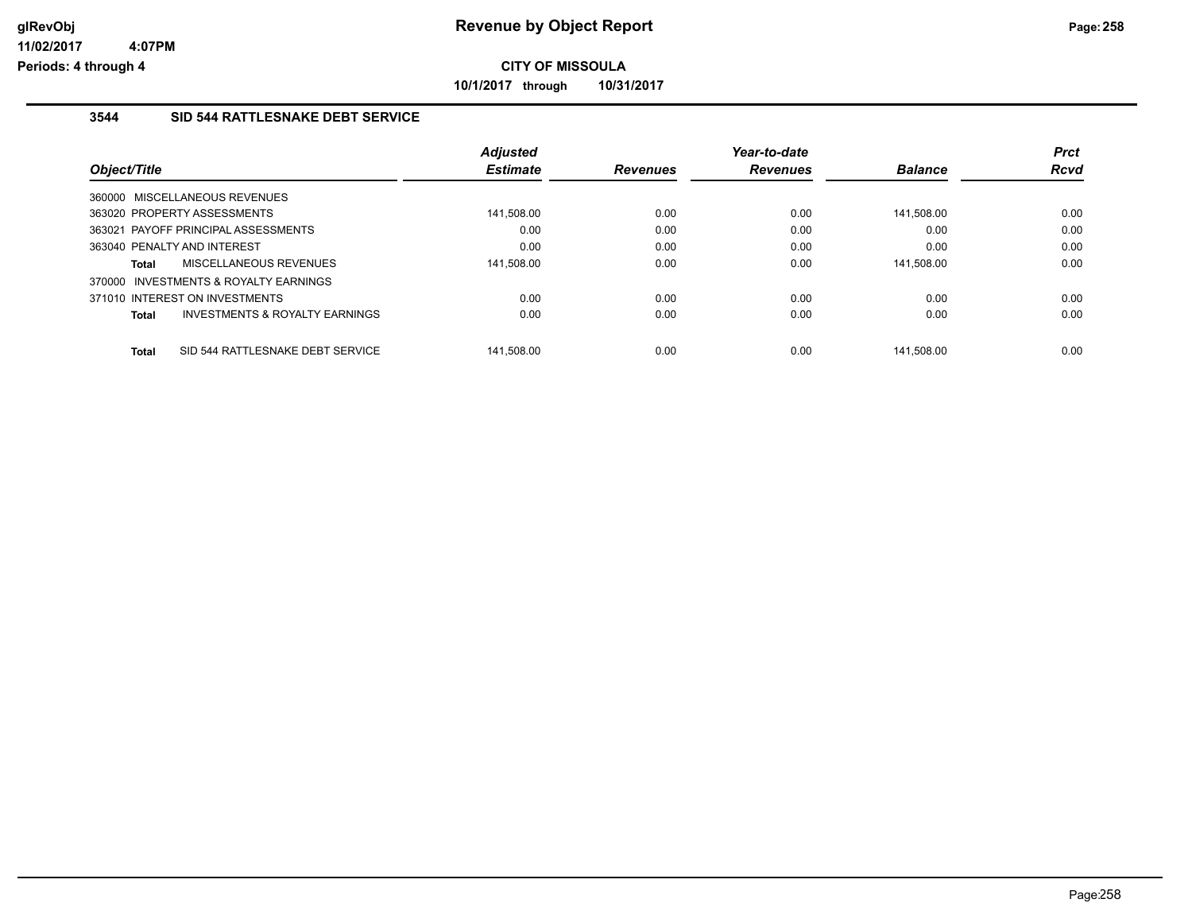**10/1/2017 through 10/31/2017**

### **3544 SID 544 RATTLESNAKE DEBT SERVICE**

|              |                                           | <b>Adjusted</b> |                 | Year-to-date    |                | <b>Prct</b> |
|--------------|-------------------------------------------|-----------------|-----------------|-----------------|----------------|-------------|
| Object/Title |                                           | <b>Estimate</b> | <b>Revenues</b> | <b>Revenues</b> | <b>Balance</b> | <b>Rcvd</b> |
|              | 360000 MISCELLANEOUS REVENUES             |                 |                 |                 |                |             |
|              | 363020 PROPERTY ASSESSMENTS               | 141,508.00      | 0.00            | 0.00            | 141,508.00     | 0.00        |
|              | 363021 PAYOFF PRINCIPAL ASSESSMENTS       | 0.00            | 0.00            | 0.00            | 0.00           | 0.00        |
|              | 363040 PENALTY AND INTEREST               | 0.00            | 0.00            | 0.00            | 0.00           | 0.00        |
| <b>Total</b> | MISCELLANEOUS REVENUES                    | 141.508.00      | 0.00            | 0.00            | 141.508.00     | 0.00        |
|              | 370000 INVESTMENTS & ROYALTY EARNINGS     |                 |                 |                 |                |             |
|              | 371010 INTEREST ON INVESTMENTS            | 0.00            | 0.00            | 0.00            | 0.00           | 0.00        |
| <b>Total</b> | <b>INVESTMENTS &amp; ROYALTY EARNINGS</b> | 0.00            | 0.00            | 0.00            | 0.00           | 0.00        |
| <b>Total</b> | SID 544 RATTLESNAKE DEBT SERVICE          | 141.508.00      | 0.00            | 0.00            | 141.508.00     | 0.00        |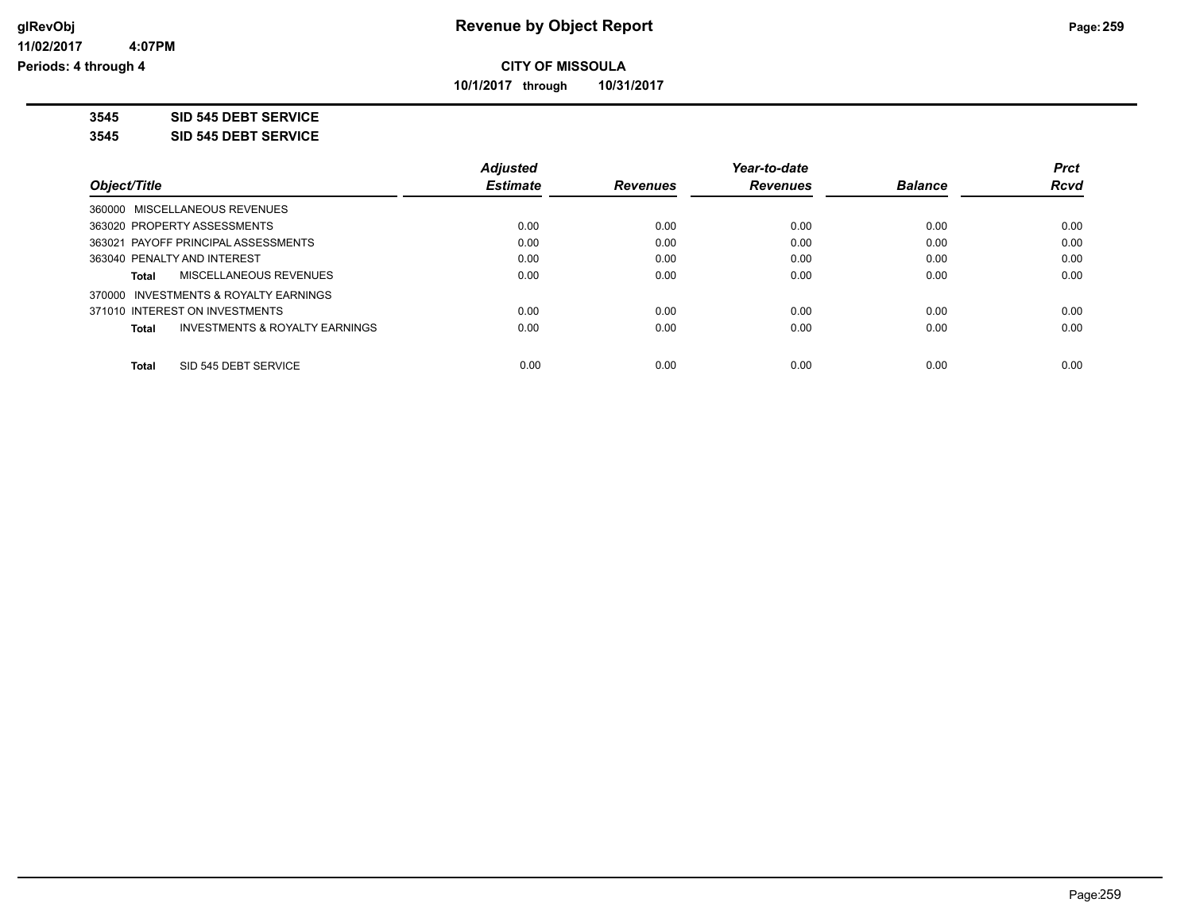**10/1/2017 through 10/31/2017**

**3545 SID 545 DEBT SERVICE**

**3545 SID 545 DEBT SERVICE**

|                                                           | <b>Adjusted</b> |                 | Year-to-date    |                | <b>Prct</b> |
|-----------------------------------------------------------|-----------------|-----------------|-----------------|----------------|-------------|
| Object/Title                                              | <b>Estimate</b> | <b>Revenues</b> | <b>Revenues</b> | <b>Balance</b> | Rcvd        |
| 360000 MISCELLANEOUS REVENUES                             |                 |                 |                 |                |             |
| 363020 PROPERTY ASSESSMENTS                               | 0.00            | 0.00            | 0.00            | 0.00           | 0.00        |
| 363021 PAYOFF PRINCIPAL ASSESSMENTS                       | 0.00            | 0.00            | 0.00            | 0.00           | 0.00        |
| 363040 PENALTY AND INTEREST                               | 0.00            | 0.00            | 0.00            | 0.00           | 0.00        |
| MISCELLANEOUS REVENUES<br>Total                           | 0.00            | 0.00            | 0.00            | 0.00           | 0.00        |
| 370000 INVESTMENTS & ROYALTY EARNINGS                     |                 |                 |                 |                |             |
| 371010 INTEREST ON INVESTMENTS                            | 0.00            | 0.00            | 0.00            | 0.00           | 0.00        |
| <b>INVESTMENTS &amp; ROYALTY EARNINGS</b><br><b>Total</b> | 0.00            | 0.00            | 0.00            | 0.00           | 0.00        |
| SID 545 DEBT SERVICE<br><b>Total</b>                      | 0.00            | 0.00            | 0.00            | 0.00           | 0.00        |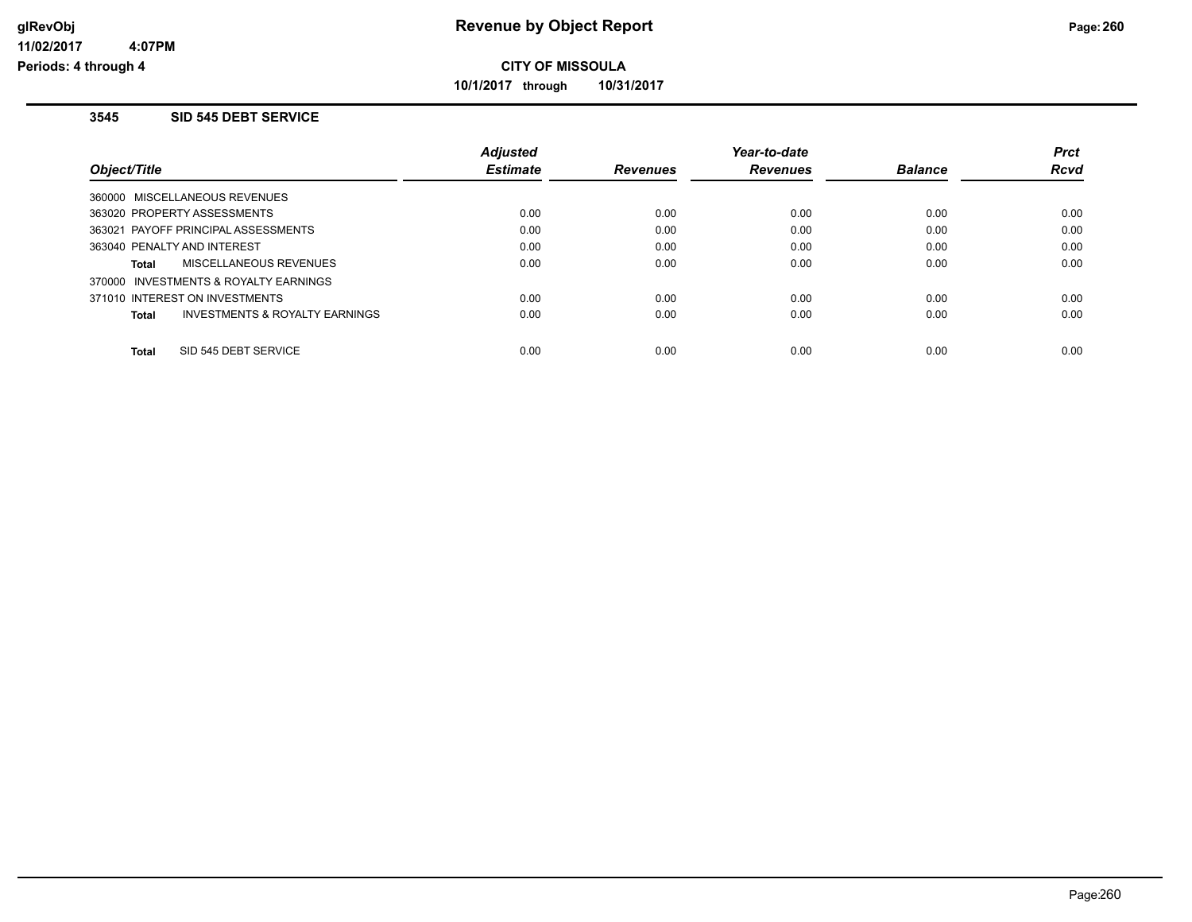**10/1/2017 through 10/31/2017**

#### **3545 SID 545 DEBT SERVICE**

|                                         | <b>Adjusted</b> |                 | Year-to-date    |                | <b>Prct</b> |
|-----------------------------------------|-----------------|-----------------|-----------------|----------------|-------------|
| Object/Title                            | <b>Estimate</b> | <b>Revenues</b> | <b>Revenues</b> | <b>Balance</b> | Rcvd        |
| 360000 MISCELLANEOUS REVENUES           |                 |                 |                 |                |             |
| 363020 PROPERTY ASSESSMENTS             | 0.00            | 0.00            | 0.00            | 0.00           | 0.00        |
| 363021 PAYOFF PRINCIPAL ASSESSMENTS     | 0.00            | 0.00            | 0.00            | 0.00           | 0.00        |
| 363040 PENALTY AND INTEREST             | 0.00            | 0.00            | 0.00            | 0.00           | 0.00        |
| MISCELLANEOUS REVENUES<br>Total         | 0.00            | 0.00            | 0.00            | 0.00           | 0.00        |
| 370000 INVESTMENTS & ROYALTY EARNINGS   |                 |                 |                 |                |             |
| 371010 INTEREST ON INVESTMENTS          | 0.00            | 0.00            | 0.00            | 0.00           | 0.00        |
| INVESTMENTS & ROYALTY EARNINGS<br>Total | 0.00            | 0.00            | 0.00            | 0.00           | 0.00        |
| SID 545 DEBT SERVICE<br><b>Total</b>    | 0.00            | 0.00            | 0.00            | 0.00           | 0.00        |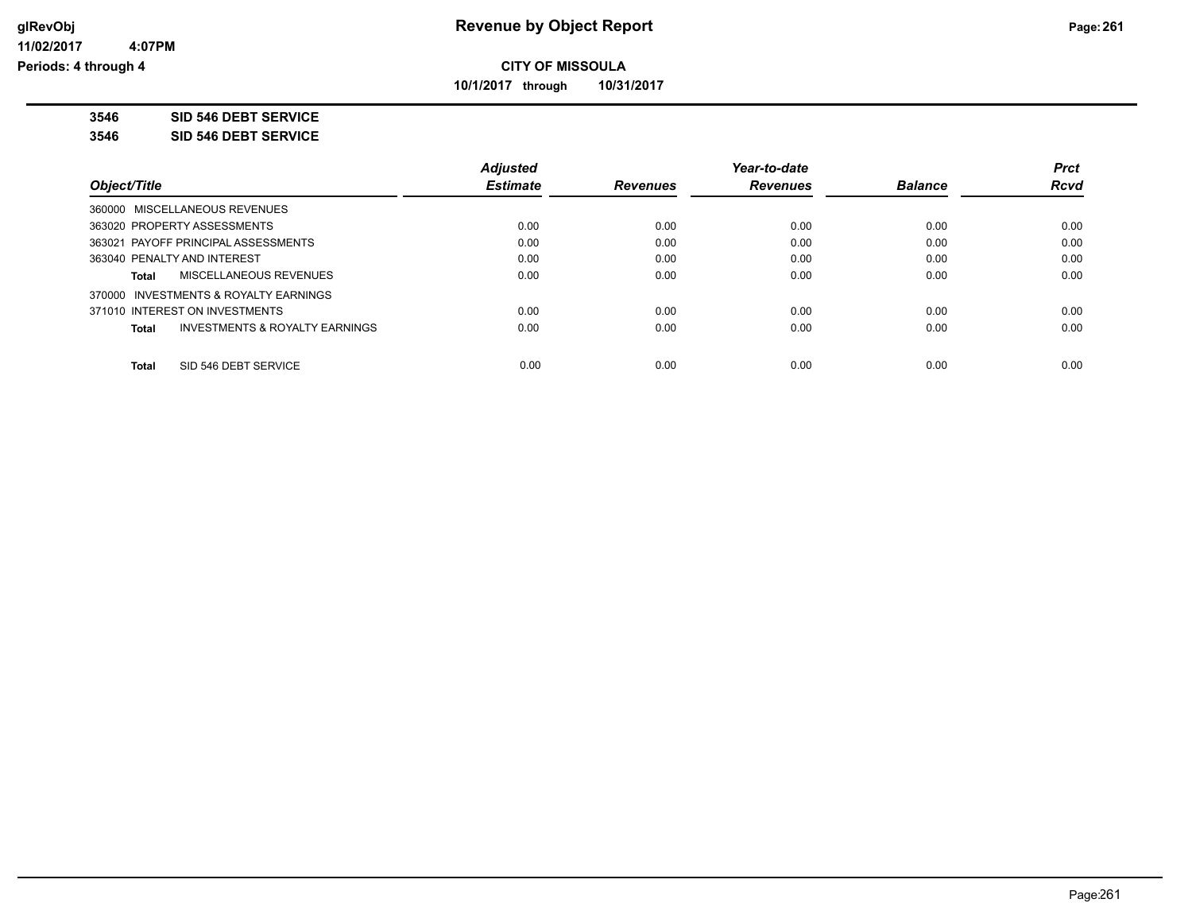**10/1/2017 through 10/31/2017**

**3546 SID 546 DEBT SERVICE**

**3546 SID 546 DEBT SERVICE**

|                                                    | <b>Adjusted</b> |                 | Year-to-date    |                | <b>Prct</b> |
|----------------------------------------------------|-----------------|-----------------|-----------------|----------------|-------------|
| Object/Title                                       | <b>Estimate</b> | <b>Revenues</b> | <b>Revenues</b> | <b>Balance</b> | <b>Rcvd</b> |
| 360000 MISCELLANEOUS REVENUES                      |                 |                 |                 |                |             |
| 363020 PROPERTY ASSESSMENTS                        | 0.00            | 0.00            | 0.00            | 0.00           | 0.00        |
| 363021 PAYOFF PRINCIPAL ASSESSMENTS                | 0.00            | 0.00            | 0.00            | 0.00           | 0.00        |
| 363040 PENALTY AND INTEREST                        | 0.00            | 0.00            | 0.00            | 0.00           | 0.00        |
| MISCELLANEOUS REVENUES<br>Total                    | 0.00            | 0.00            | 0.00            | 0.00           | 0.00        |
| 370000 INVESTMENTS & ROYALTY EARNINGS              |                 |                 |                 |                |             |
| 371010 INTEREST ON INVESTMENTS                     | 0.00            | 0.00            | 0.00            | 0.00           | 0.00        |
| <b>INVESTMENTS &amp; ROYALTY EARNINGS</b><br>Total | 0.00            | 0.00            | 0.00            | 0.00           | 0.00        |
| SID 546 DEBT SERVICE<br>Total                      | 0.00            | 0.00            | 0.00            | 0.00           | 0.00        |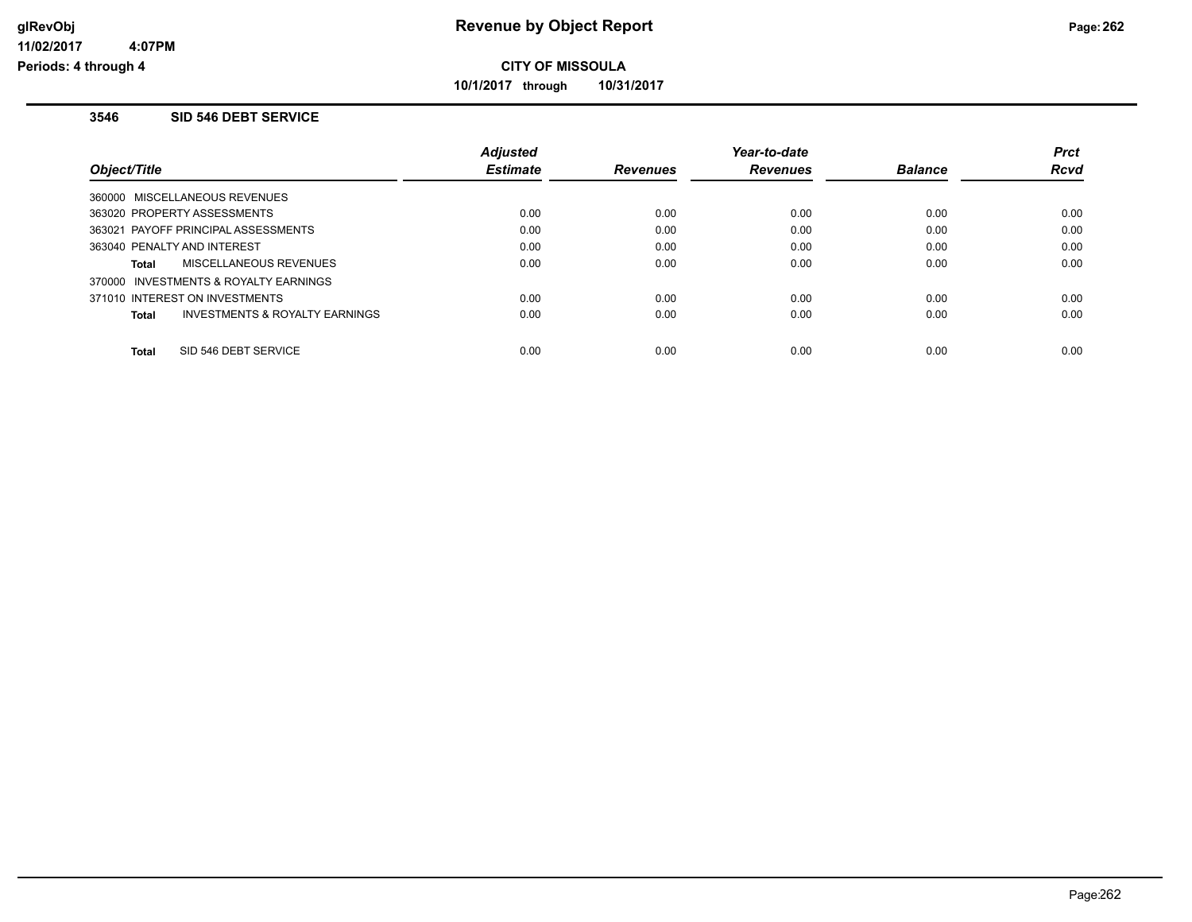**10/1/2017 through 10/31/2017**

#### **3546 SID 546 DEBT SERVICE**

|                                                | <b>Adjusted</b> |                 | Year-to-date    |                | <b>Prct</b> |
|------------------------------------------------|-----------------|-----------------|-----------------|----------------|-------------|
| Object/Title                                   | <b>Estimate</b> | <b>Revenues</b> | <b>Revenues</b> | <b>Balance</b> | Rcvd        |
| 360000 MISCELLANEOUS REVENUES                  |                 |                 |                 |                |             |
| 363020 PROPERTY ASSESSMENTS                    | 0.00            | 0.00            | 0.00            | 0.00           | 0.00        |
| 363021 PAYOFF PRINCIPAL ASSESSMENTS            | 0.00            | 0.00            | 0.00            | 0.00           | 0.00        |
| 363040 PENALTY AND INTEREST                    | 0.00            | 0.00            | 0.00            | 0.00           | 0.00        |
| MISCELLANEOUS REVENUES<br>Total                | 0.00            | 0.00            | 0.00            | 0.00           | 0.00        |
| 370000 INVESTMENTS & ROYALTY EARNINGS          |                 |                 |                 |                |             |
| 371010 INTEREST ON INVESTMENTS                 | 0.00            | 0.00            | 0.00            | 0.00           | 0.00        |
| INVESTMENTS & ROYALTY EARNINGS<br><b>Total</b> | 0.00            | 0.00            | 0.00            | 0.00           | 0.00        |
| SID 546 DEBT SERVICE<br><b>Total</b>           | 0.00            | 0.00            | 0.00            | 0.00           | 0.00        |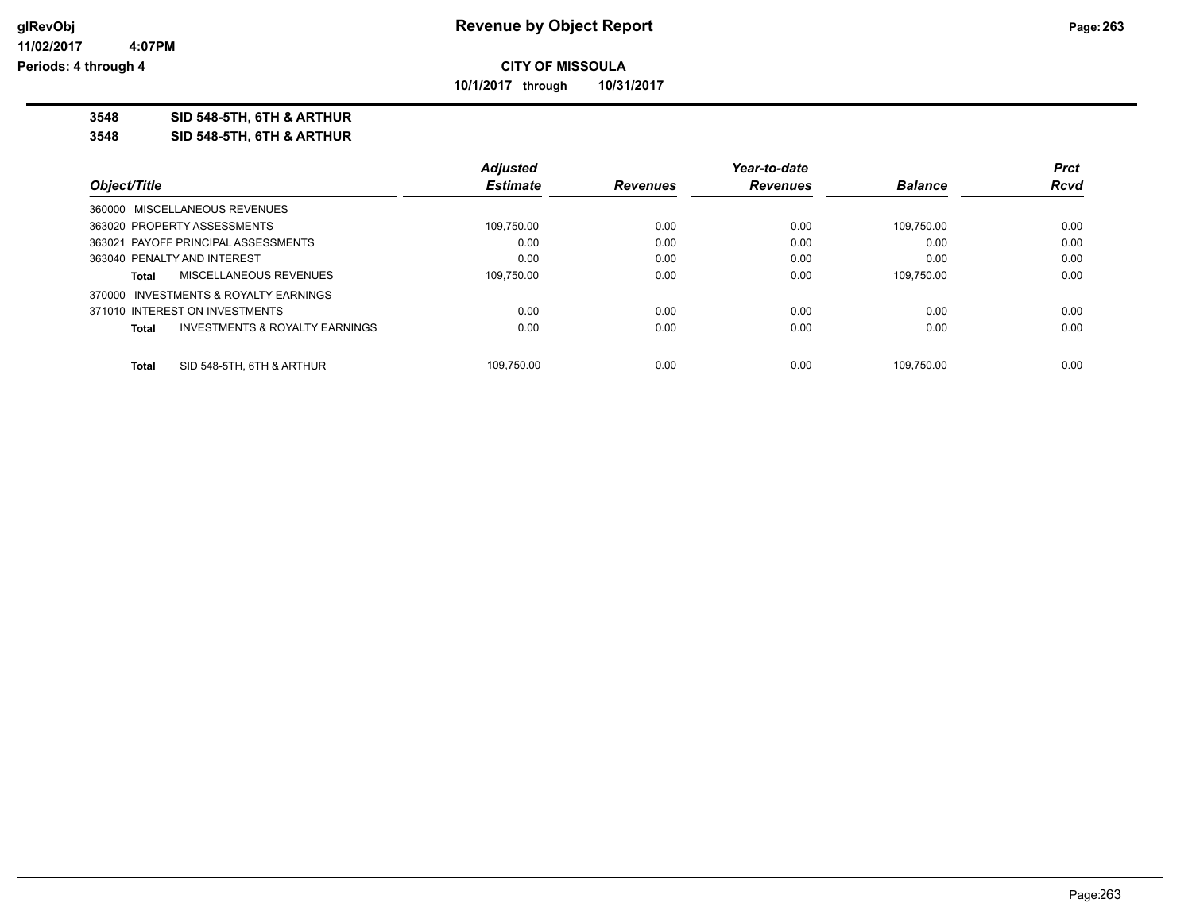**10/1/2017 through 10/31/2017**

**3548 SID 548-5TH, 6TH & ARTHUR**

**3548 SID 548-5TH, 6TH & ARTHUR**

|                                                    | <b>Adjusted</b> |                 | Year-to-date    |                | <b>Prct</b> |
|----------------------------------------------------|-----------------|-----------------|-----------------|----------------|-------------|
| Object/Title                                       | <b>Estimate</b> | <b>Revenues</b> | <b>Revenues</b> | <b>Balance</b> | Rcvd        |
| 360000 MISCELLANEOUS REVENUES                      |                 |                 |                 |                |             |
| 363020 PROPERTY ASSESSMENTS                        | 109.750.00      | 0.00            | 0.00            | 109.750.00     | 0.00        |
| 363021 PAYOFF PRINCIPAL ASSESSMENTS                | 0.00            | 0.00            | 0.00            | 0.00           | 0.00        |
| 363040 PENALTY AND INTEREST                        | 0.00            | 0.00            | 0.00            | 0.00           | 0.00        |
| MISCELLANEOUS REVENUES<br>Total                    | 109.750.00      | 0.00            | 0.00            | 109.750.00     | 0.00        |
| 370000 INVESTMENTS & ROYALTY EARNINGS              |                 |                 |                 |                |             |
| 371010 INTEREST ON INVESTMENTS                     | 0.00            | 0.00            | 0.00            | 0.00           | 0.00        |
| <b>INVESTMENTS &amp; ROYALTY EARNINGS</b><br>Total | 0.00            | 0.00            | 0.00            | 0.00           | 0.00        |
| SID 548-5TH, 6TH & ARTHUR<br>Total                 | 109.750.00      | 0.00            | 0.00            | 109.750.00     | 0.00        |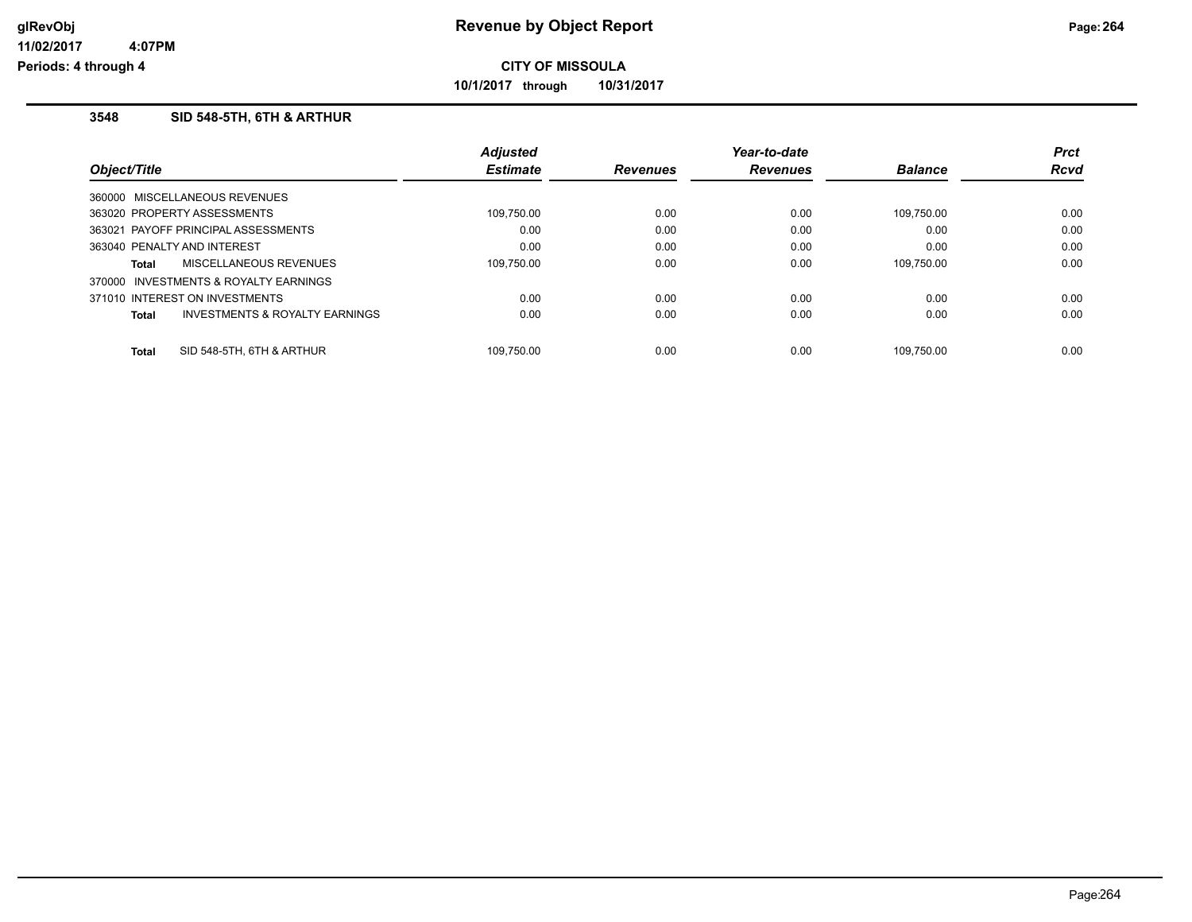**10/1/2017 through 10/31/2017**

#### **3548 SID 548-5TH, 6TH & ARTHUR**

|              |                                           | <b>Adjusted</b> |                 | Year-to-date    |                | <b>Prct</b> |
|--------------|-------------------------------------------|-----------------|-----------------|-----------------|----------------|-------------|
| Object/Title |                                           | <b>Estimate</b> | <b>Revenues</b> | <b>Revenues</b> | <b>Balance</b> | <b>Rcvd</b> |
|              | 360000 MISCELLANEOUS REVENUES             |                 |                 |                 |                |             |
|              | 363020 PROPERTY ASSESSMENTS               | 109,750.00      | 0.00            | 0.00            | 109.750.00     | 0.00        |
|              | 363021 PAYOFF PRINCIPAL ASSESSMENTS       | 0.00            | 0.00            | 0.00            | 0.00           | 0.00        |
|              | 363040 PENALTY AND INTEREST               | 0.00            | 0.00            | 0.00            | 0.00           | 0.00        |
| Total        | MISCELLANEOUS REVENUES                    | 109,750.00      | 0.00            | 0.00            | 109.750.00     | 0.00        |
|              | 370000 INVESTMENTS & ROYALTY EARNINGS     |                 |                 |                 |                |             |
|              | 371010 INTEREST ON INVESTMENTS            | 0.00            | 0.00            | 0.00            | 0.00           | 0.00        |
| Total        | <b>INVESTMENTS &amp; ROYALTY EARNINGS</b> | 0.00            | 0.00            | 0.00            | 0.00           | 0.00        |
| <b>Total</b> | SID 548-5TH, 6TH & ARTHUR                 | 109.750.00      | 0.00            | 0.00            | 109.750.00     | 0.00        |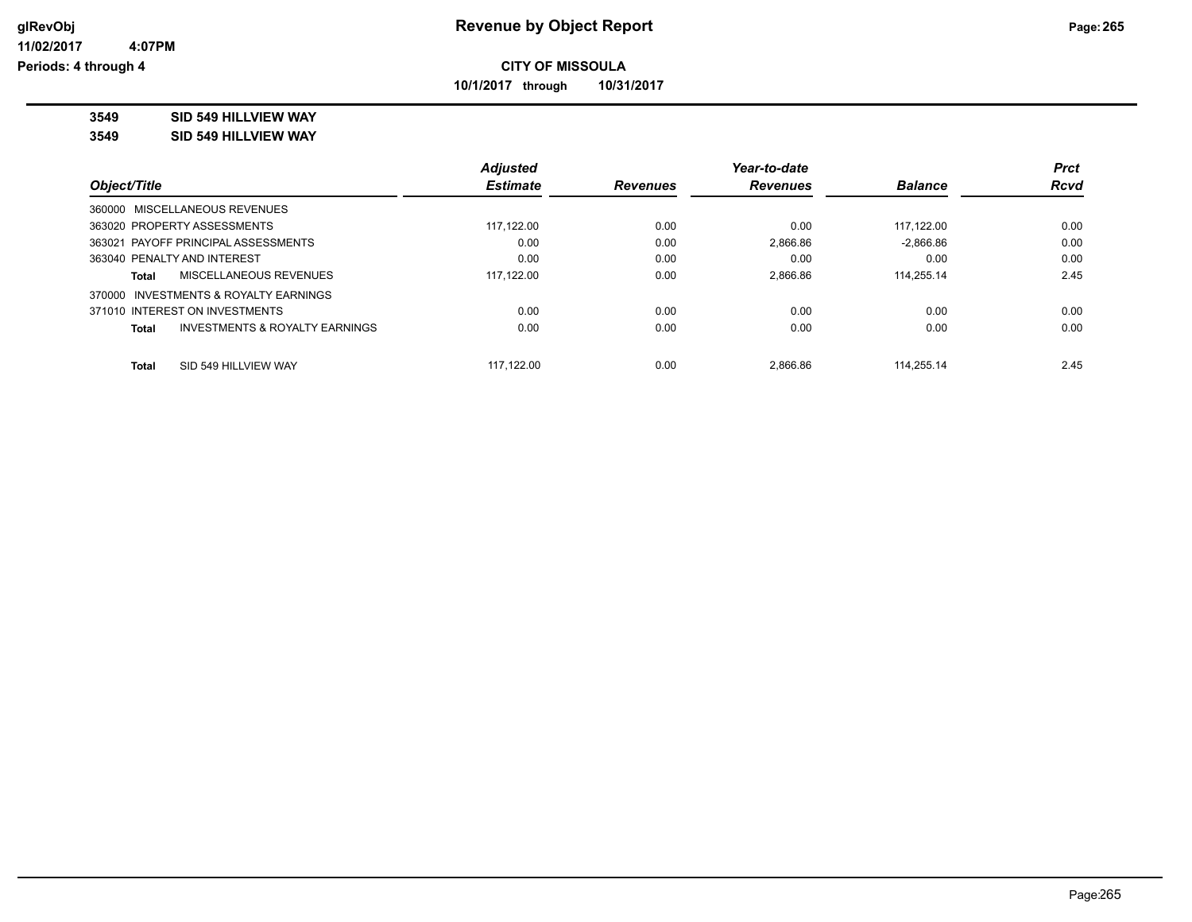**10/1/2017 through 10/31/2017**

**3549 SID 549 HILLVIEW WAY**

**3549 SID 549 HILLVIEW WAY**

|              |                                           | <b>Adjusted</b> |                 | Year-to-date    |                | <b>Prct</b> |
|--------------|-------------------------------------------|-----------------|-----------------|-----------------|----------------|-------------|
| Object/Title |                                           | <b>Estimate</b> | <b>Revenues</b> | <b>Revenues</b> | <b>Balance</b> | Rcvd        |
|              | 360000 MISCELLANEOUS REVENUES             |                 |                 |                 |                |             |
|              | 363020 PROPERTY ASSESSMENTS               | 117,122.00      | 0.00            | 0.00            | 117.122.00     | 0.00        |
|              | 363021 PAYOFF PRINCIPAL ASSESSMENTS       | 0.00            | 0.00            | 2.866.86        | $-2.866.86$    | 0.00        |
|              | 363040 PENALTY AND INTEREST               | 0.00            | 0.00            | 0.00            | 0.00           | 0.00        |
| Total        | MISCELLANEOUS REVENUES                    | 117.122.00      | 0.00            | 2.866.86        | 114.255.14     | 2.45        |
|              | 370000 INVESTMENTS & ROYALTY EARNINGS     |                 |                 |                 |                |             |
|              | 371010 INTEREST ON INVESTMENTS            | 0.00            | 0.00            | 0.00            | 0.00           | 0.00        |
| Total        | <b>INVESTMENTS &amp; ROYALTY EARNINGS</b> | 0.00            | 0.00            | 0.00            | 0.00           | 0.00        |
| Total        | SID 549 HILLVIEW WAY                      | 117.122.00      | 0.00            | 2.866.86        | 114.255.14     | 2.45        |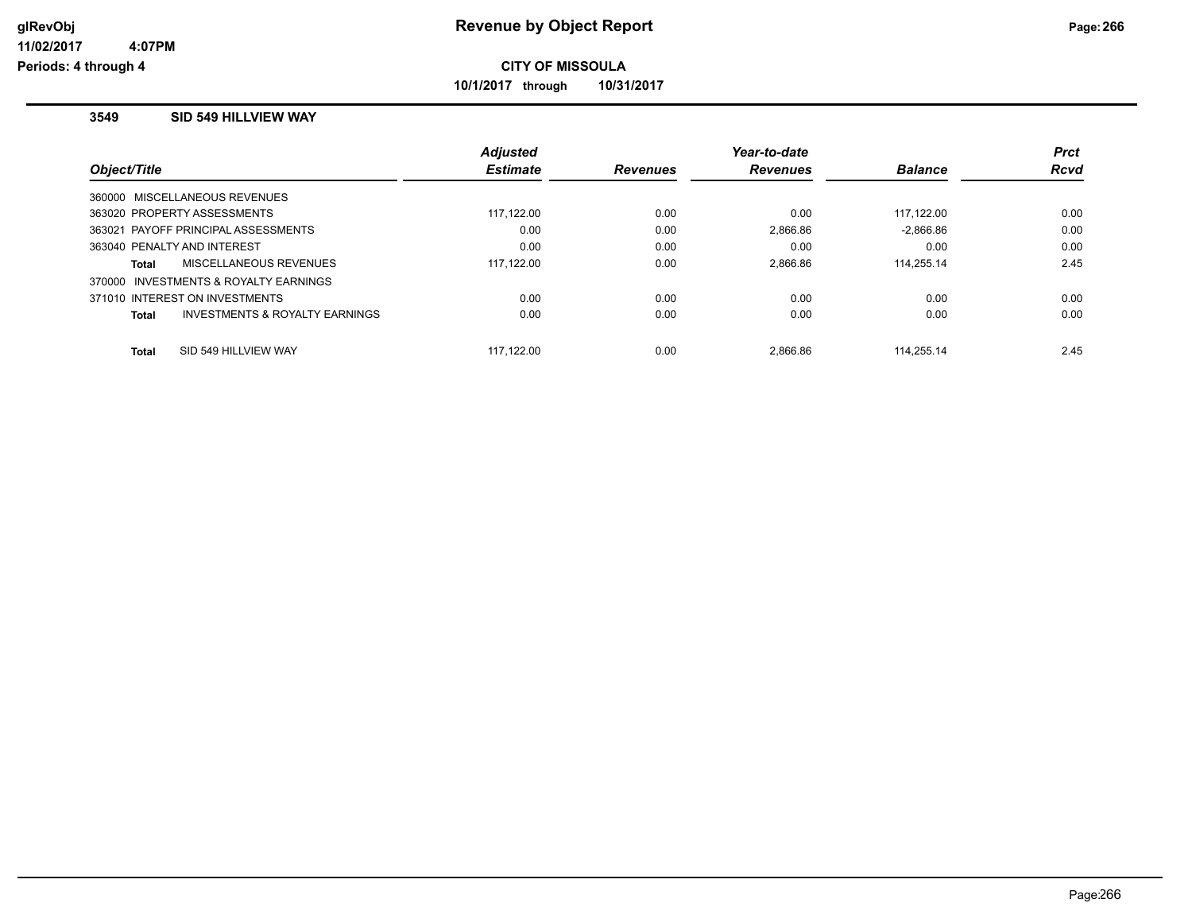**10/1/2017 through 10/31/2017**

#### **3549 SID 549 HILLVIEW WAY**

|                                                | <b>Adjusted</b> |                 | Year-to-date    |                | <b>Prct</b> |
|------------------------------------------------|-----------------|-----------------|-----------------|----------------|-------------|
| Object/Title                                   | <b>Estimate</b> | <b>Revenues</b> | <b>Revenues</b> | <b>Balance</b> | <b>Rcvd</b> |
| 360000 MISCELLANEOUS REVENUES                  |                 |                 |                 |                |             |
| 363020 PROPERTY ASSESSMENTS                    | 117.122.00      | 0.00            | 0.00            | 117.122.00     | 0.00        |
| 363021 PAYOFF PRINCIPAL ASSESSMENTS            | 0.00            | 0.00            | 2,866.86        | $-2,866.86$    | 0.00        |
| 363040 PENALTY AND INTEREST                    | 0.00            | 0.00            | 0.00            | 0.00           | 0.00        |
| MISCELLANEOUS REVENUES<br><b>Total</b>         | 117.122.00      | 0.00            | 2.866.86        | 114.255.14     | 2.45        |
| INVESTMENTS & ROYALTY EARNINGS<br>370000       |                 |                 |                 |                |             |
| 371010 INTEREST ON INVESTMENTS                 | 0.00            | 0.00            | 0.00            | 0.00           | 0.00        |
| INVESTMENTS & ROYALTY EARNINGS<br><b>Total</b> | 0.00            | 0.00            | 0.00            | 0.00           | 0.00        |
| SID 549 HILLVIEW WAY<br><b>Total</b>           | 117.122.00      | 0.00            | 2.866.86        | 114.255.14     | 2.45        |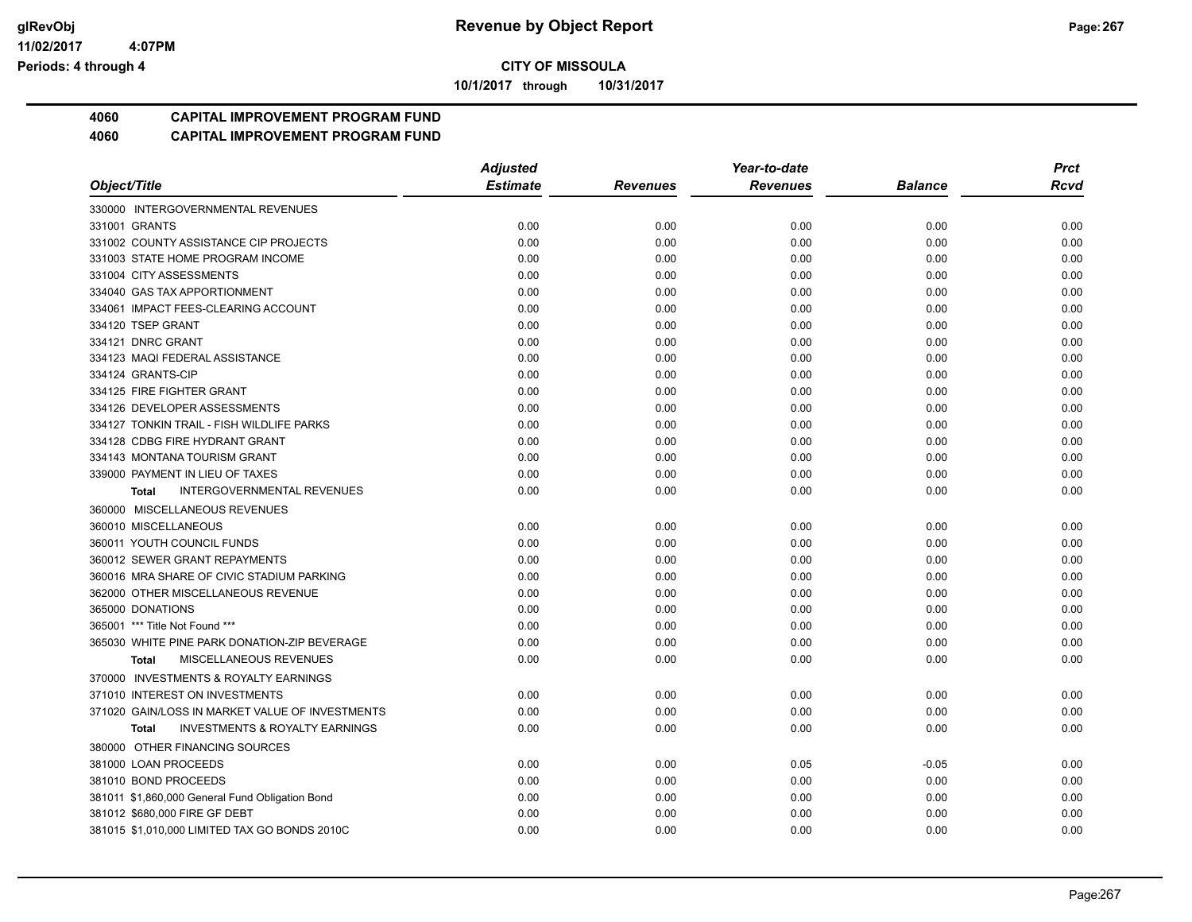**10/1/2017 through 10/31/2017**

# **4060 CAPITAL IMPROVEMENT PROGRAM FUND**

|                                                    | <b>Adjusted</b> |                 | Year-to-date    |                | <b>Prct</b> |
|----------------------------------------------------|-----------------|-----------------|-----------------|----------------|-------------|
| Object/Title                                       | <b>Estimate</b> | <b>Revenues</b> | <b>Revenues</b> | <b>Balance</b> | <b>Rcvd</b> |
| 330000 INTERGOVERNMENTAL REVENUES                  |                 |                 |                 |                |             |
| 331001 GRANTS                                      | 0.00            | 0.00            | 0.00            | 0.00           | 0.00        |
| 331002 COUNTY ASSISTANCE CIP PROJECTS              | 0.00            | 0.00            | 0.00            | 0.00           | 0.00        |
| 331003 STATE HOME PROGRAM INCOME                   | 0.00            | 0.00            | 0.00            | 0.00           | 0.00        |
| 331004 CITY ASSESSMENTS                            | 0.00            | 0.00            | 0.00            | 0.00           | 0.00        |
| 334040 GAS TAX APPORTIONMENT                       | 0.00            | 0.00            | 0.00            | 0.00           | 0.00        |
| 334061 IMPACT FEES-CLEARING ACCOUNT                | 0.00            | 0.00            | 0.00            | 0.00           | 0.00        |
| 334120 TSEP GRANT                                  | 0.00            | 0.00            | 0.00            | 0.00           | 0.00        |
| 334121 DNRC GRANT                                  | 0.00            | 0.00            | 0.00            | 0.00           | 0.00        |
| 334123 MAQI FEDERAL ASSISTANCE                     | 0.00            | 0.00            | 0.00            | 0.00           | 0.00        |
| 334124 GRANTS-CIP                                  | 0.00            | 0.00            | 0.00            | 0.00           | 0.00        |
| 334125 FIRE FIGHTER GRANT                          | 0.00            | 0.00            | 0.00            | 0.00           | 0.00        |
| 334126 DEVELOPER ASSESSMENTS                       | 0.00            | 0.00            | 0.00            | 0.00           | 0.00        |
| 334127 TONKIN TRAIL - FISH WILDLIFE PARKS          | 0.00            | 0.00            | 0.00            | 0.00           | 0.00        |
| 334128 CDBG FIRE HYDRANT GRANT                     | 0.00            | 0.00            | 0.00            | 0.00           | 0.00        |
| 334143 MONTANA TOURISM GRANT                       | 0.00            | 0.00            | 0.00            | 0.00           | 0.00        |
| 339000 PAYMENT IN LIEU OF TAXES                    | 0.00            | 0.00            | 0.00            | 0.00           | 0.00        |
| <b>INTERGOVERNMENTAL REVENUES</b><br><b>Total</b>  | 0.00            | 0.00            | 0.00            | 0.00           | 0.00        |
| 360000 MISCELLANEOUS REVENUES                      |                 |                 |                 |                |             |
| 360010 MISCELLANEOUS                               | 0.00            | 0.00            | 0.00            | 0.00           | 0.00        |
| 360011 YOUTH COUNCIL FUNDS                         | 0.00            | 0.00            | 0.00            | 0.00           | 0.00        |
| 360012 SEWER GRANT REPAYMENTS                      | 0.00            | 0.00            | 0.00            | 0.00           | 0.00        |
| 360016 MRA SHARE OF CIVIC STADIUM PARKING          | 0.00            | 0.00            | 0.00            | 0.00           | 0.00        |
| 362000 OTHER MISCELLANEOUS REVENUE                 | 0.00            | 0.00            | 0.00            | 0.00           | 0.00        |
| 365000 DONATIONS                                   | 0.00            | 0.00            | 0.00            | 0.00           | 0.00        |
| 365001 *** Title Not Found ***                     | 0.00            | 0.00            | 0.00            | 0.00           | 0.00        |
| 365030 WHITE PINE PARK DONATION-ZIP BEVERAGE       | 0.00            | 0.00            | 0.00            | 0.00           | 0.00        |
| MISCELLANEOUS REVENUES<br>Total                    | 0.00            | 0.00            | 0.00            | 0.00           | 0.00        |
| 370000 INVESTMENTS & ROYALTY EARNINGS              |                 |                 |                 |                |             |
| 371010 INTEREST ON INVESTMENTS                     | 0.00            | 0.00            | 0.00            | 0.00           | 0.00        |
| 371020 GAIN/LOSS IN MARKET VALUE OF INVESTMENTS    | 0.00            | 0.00            | 0.00            | 0.00           | 0.00        |
| <b>INVESTMENTS &amp; ROYALTY EARNINGS</b><br>Total | 0.00            | 0.00            | 0.00            | 0.00           | 0.00        |
| 380000 OTHER FINANCING SOURCES                     |                 |                 |                 |                |             |
| 381000 LOAN PROCEEDS                               | 0.00            | 0.00            | 0.05            | $-0.05$        | 0.00        |
| 381010 BOND PROCEEDS                               | 0.00            | 0.00            | 0.00            | 0.00           | 0.00        |
| 381011 \$1,860,000 General Fund Obligation Bond    | 0.00            | 0.00            | 0.00            | 0.00           | 0.00        |
| 381012 \$680,000 FIRE GF DEBT                      | 0.00            | 0.00            | 0.00            | 0.00           | 0.00        |
| 381015 \$1,010,000 LIMITED TAX GO BONDS 2010C      | 0.00            | 0.00            | 0.00            | 0.00           | 0.00        |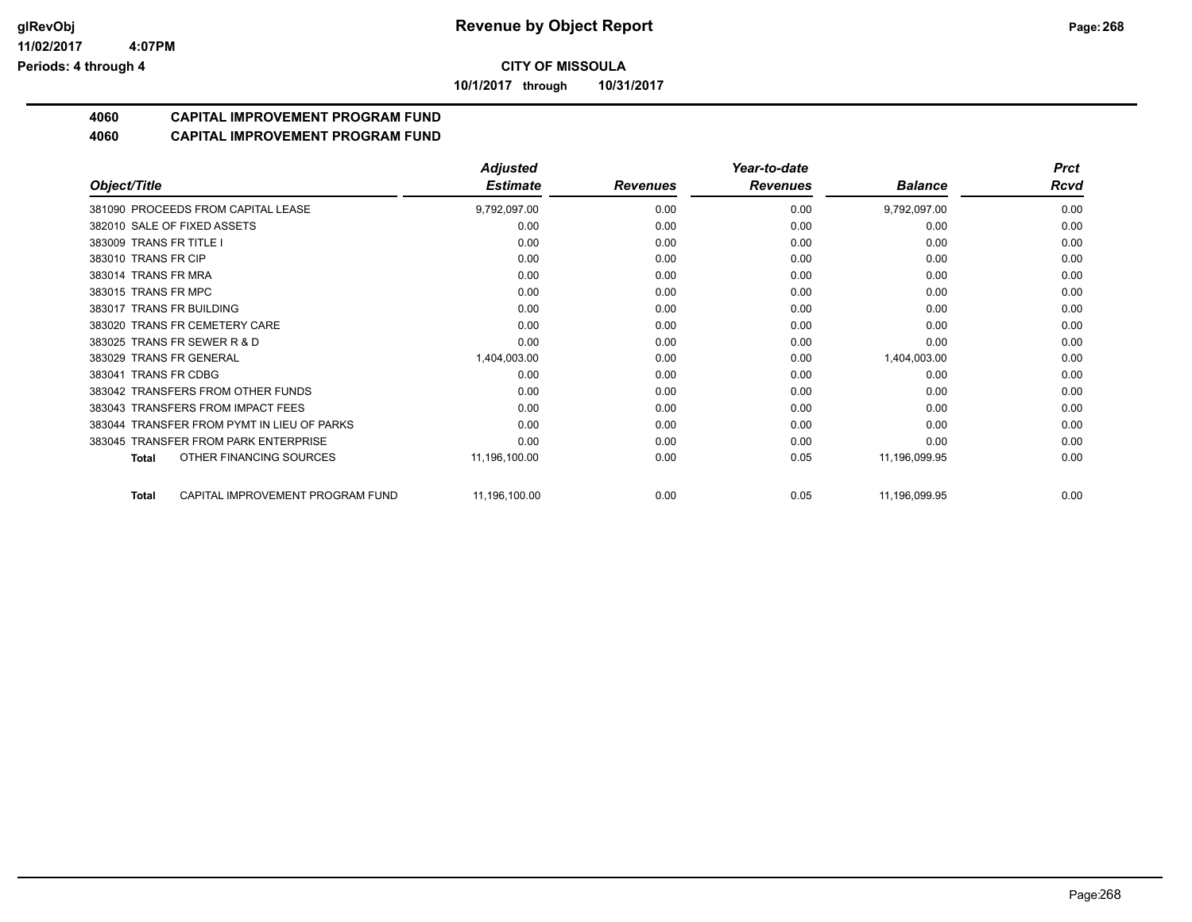**10/1/2017 through 10/31/2017**

# **4060 CAPITAL IMPROVEMENT PROGRAM FUND**

|                                            | <b>Adjusted</b> |                 | Year-to-date    |                | <b>Prct</b> |
|--------------------------------------------|-----------------|-----------------|-----------------|----------------|-------------|
| Object/Title                               | <b>Estimate</b> | <b>Revenues</b> | <b>Revenues</b> | <b>Balance</b> | Rcvd        |
| 381090 PROCEEDS FROM CAPITAL LEASE         | 9,792,097.00    | 0.00            | 0.00            | 9,792,097.00   | 0.00        |
| 382010 SALE OF FIXED ASSETS                | 0.00            | 0.00            | 0.00            | 0.00           | 0.00        |
| 383009 TRANS FR TITLE I                    | 0.00            | 0.00            | 0.00            | 0.00           | 0.00        |
| 383010 TRANS FR CIP                        | 0.00            | 0.00            | 0.00            | 0.00           | 0.00        |
| 383014 TRANS FR MRA                        | 0.00            | 0.00            | 0.00            | 0.00           | 0.00        |
| 383015 TRANS FR MPC                        | 0.00            | 0.00            | 0.00            | 0.00           | 0.00        |
| 383017 TRANS FR BUILDING                   | 0.00            | 0.00            | 0.00            | 0.00           | 0.00        |
| 383020 TRANS FR CEMETERY CARE              | 0.00            | 0.00            | 0.00            | 0.00           | 0.00        |
| 383025 TRANS FR SEWER R & D                | 0.00            | 0.00            | 0.00            | 0.00           | 0.00        |
| 383029 TRANS FR GENERAL                    | 1,404,003.00    | 0.00            | 0.00            | 1,404,003.00   | 0.00        |
| <b>TRANS FR CDBG</b><br>383041             | 0.00            | 0.00            | 0.00            | 0.00           | 0.00        |
| 383042 TRANSFERS FROM OTHER FUNDS          | 0.00            | 0.00            | 0.00            | 0.00           | 0.00        |
| 383043 TRANSFERS FROM IMPACT FEES          | 0.00            | 0.00            | 0.00            | 0.00           | 0.00        |
| 383044 TRANSFER FROM PYMT IN LIEU OF PARKS | 0.00            | 0.00            | 0.00            | 0.00           | 0.00        |
| 383045 TRANSFER FROM PARK ENTERPRISE       | 0.00            | 0.00            | 0.00            | 0.00           | 0.00        |
| OTHER FINANCING SOURCES<br>Total           | 11,196,100.00   | 0.00            | 0.05            | 11,196,099.95  | 0.00        |
| CAPITAL IMPROVEMENT PROGRAM FUND<br>Total  | 11,196,100.00   | 0.00            | 0.05            | 11,196,099.95  | 0.00        |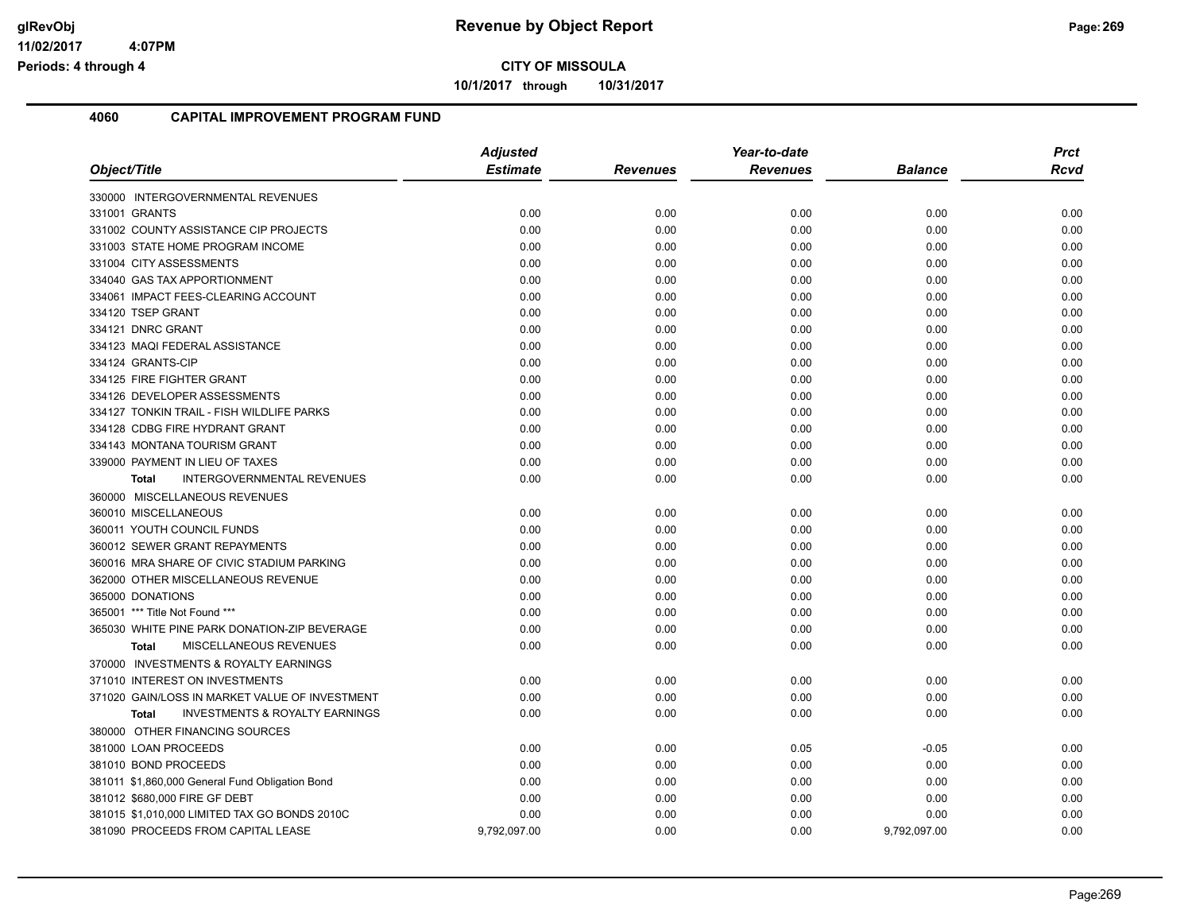**10/1/2017 through 10/31/2017**

|                                                           | <b>Adjusted</b> |                 | Year-to-date    |                | <b>Prct</b> |
|-----------------------------------------------------------|-----------------|-----------------|-----------------|----------------|-------------|
| Object/Title                                              | <b>Estimate</b> | <b>Revenues</b> | <b>Revenues</b> | <b>Balance</b> | <b>Rcvd</b> |
| 330000 INTERGOVERNMENTAL REVENUES                         |                 |                 |                 |                |             |
| 331001 GRANTS                                             | 0.00            | 0.00            | 0.00            | 0.00           | 0.00        |
| 331002 COUNTY ASSISTANCE CIP PROJECTS                     | 0.00            | 0.00            | 0.00            | 0.00           | 0.00        |
| 331003 STATE HOME PROGRAM INCOME                          | 0.00            | 0.00            | 0.00            | 0.00           | 0.00        |
| 331004 CITY ASSESSMENTS                                   | 0.00            | 0.00            | 0.00            | 0.00           | 0.00        |
| 334040 GAS TAX APPORTIONMENT                              | 0.00            | 0.00            | 0.00            | 0.00           | 0.00        |
| 334061 IMPACT FEES-CLEARING ACCOUNT                       | 0.00            | 0.00            | 0.00            | 0.00           | 0.00        |
| 334120 TSEP GRANT                                         | 0.00            | 0.00            | 0.00            | 0.00           | 0.00        |
| 334121 DNRC GRANT                                         | 0.00            | 0.00            | 0.00            | 0.00           | 0.00        |
| 334123 MAQI FEDERAL ASSISTANCE                            | 0.00            | 0.00            | 0.00            | 0.00           | 0.00        |
| 334124 GRANTS-CIP                                         | 0.00            | 0.00            | 0.00            | 0.00           | 0.00        |
| 334125 FIRE FIGHTER GRANT                                 | 0.00            | 0.00            | 0.00            | 0.00           | 0.00        |
| 334126 DEVELOPER ASSESSMENTS                              | 0.00            | 0.00            | 0.00            | 0.00           | 0.00        |
| 334127 TONKIN TRAIL - FISH WILDLIFE PARKS                 | 0.00            | 0.00            | 0.00            | 0.00           | 0.00        |
| 334128 CDBG FIRE HYDRANT GRANT                            | 0.00            | 0.00            | 0.00            | 0.00           | 0.00        |
| 334143 MONTANA TOURISM GRANT                              | 0.00            | 0.00            | 0.00            | 0.00           | 0.00        |
| 339000 PAYMENT IN LIEU OF TAXES                           | 0.00            | 0.00            | 0.00            | 0.00           | 0.00        |
| <b>INTERGOVERNMENTAL REVENUES</b><br><b>Total</b>         | 0.00            | 0.00            | 0.00            | 0.00           | 0.00        |
| 360000 MISCELLANEOUS REVENUES                             |                 |                 |                 |                |             |
| 360010 MISCELLANEOUS                                      | 0.00            | 0.00            | 0.00            | 0.00           | 0.00        |
| 360011 YOUTH COUNCIL FUNDS                                | 0.00            | 0.00            | 0.00            | 0.00           | 0.00        |
| 360012 SEWER GRANT REPAYMENTS                             | 0.00            | 0.00            | 0.00            | 0.00           | 0.00        |
| 360016 MRA SHARE OF CIVIC STADIUM PARKING                 | 0.00            | 0.00            | 0.00            | 0.00           | 0.00        |
| 362000 OTHER MISCELLANEOUS REVENUE                        | 0.00            | 0.00            | 0.00            | 0.00           | 0.00        |
| 365000 DONATIONS                                          | 0.00            | 0.00            | 0.00            | 0.00           | 0.00        |
| 365001 *** Title Not Found ***                            | 0.00            | 0.00            | 0.00            | 0.00           | 0.00        |
| 365030 WHITE PINE PARK DONATION-ZIP BEVERAGE              | 0.00            | 0.00            | 0.00            | 0.00           | 0.00        |
| MISCELLANEOUS REVENUES<br><b>Total</b>                    | 0.00            | 0.00            | 0.00            | 0.00           | 0.00        |
| 370000 INVESTMENTS & ROYALTY EARNINGS                     |                 |                 |                 |                |             |
| 371010 INTEREST ON INVESTMENTS                            | 0.00            | 0.00            | 0.00            | 0.00           | 0.00        |
| 371020 GAIN/LOSS IN MARKET VALUE OF INVESTMENT            | 0.00            | 0.00            | 0.00            | 0.00           | 0.00        |
| <b>INVESTMENTS &amp; ROYALTY EARNINGS</b><br><b>Total</b> | 0.00            | 0.00            | 0.00            | 0.00           | 0.00        |
| 380000 OTHER FINANCING SOURCES                            |                 |                 |                 |                |             |
| 381000 LOAN PROCEEDS                                      | 0.00            | 0.00            | 0.05            | $-0.05$        | 0.00        |
| 381010 BOND PROCEEDS                                      | 0.00            | 0.00            | 0.00            | 0.00           | 0.00        |
| 381011 \$1,860,000 General Fund Obligation Bond           | 0.00            | 0.00            | 0.00            | 0.00           | 0.00        |
| 381012 \$680,000 FIRE GF DEBT                             | 0.00            | 0.00            | 0.00            | 0.00           | 0.00        |
| 381015 \$1,010,000 LIMITED TAX GO BONDS 2010C             | 0.00            | 0.00            | 0.00            | 0.00           | 0.00        |
| 381090 PROCEEDS FROM CAPITAL LEASE                        | 9.792.097.00    | 0.00            | 0.00            | 9,792,097.00   | 0.00        |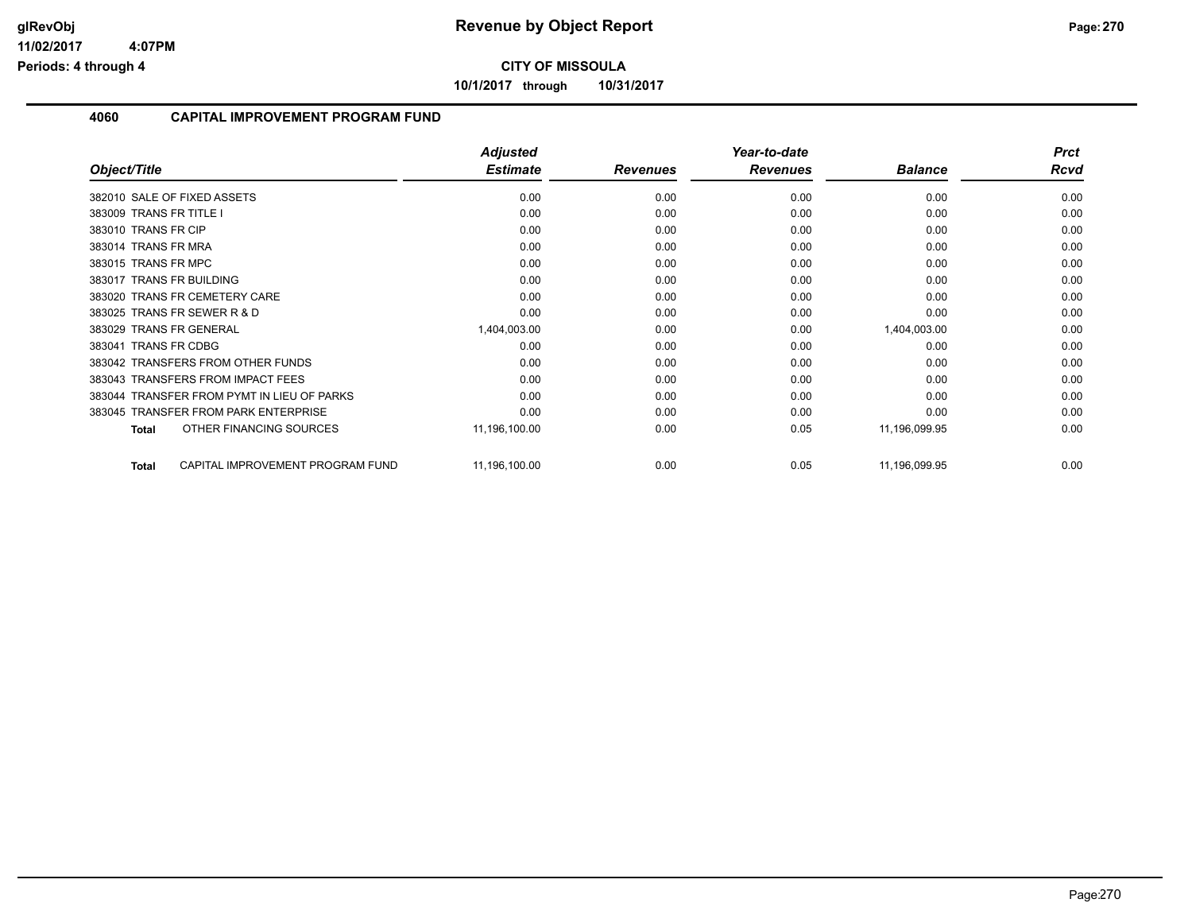**10/1/2017 through 10/31/2017**

|                                            | <b>Adjusted</b> |                 | Year-to-date    |                | <b>Prct</b> |
|--------------------------------------------|-----------------|-----------------|-----------------|----------------|-------------|
| Object/Title                               | <b>Estimate</b> | <b>Revenues</b> | <b>Revenues</b> | <b>Balance</b> | Rcvd        |
| 382010 SALE OF FIXED ASSETS                | 0.00            | 0.00            | 0.00            | 0.00           | 0.00        |
| 383009 TRANS FR TITLE I                    | 0.00            | 0.00            | 0.00            | 0.00           | 0.00        |
| 383010 TRANS FR CIP                        | 0.00            | 0.00            | 0.00            | 0.00           | 0.00        |
| 383014 TRANS FR MRA                        | 0.00            | 0.00            | 0.00            | 0.00           | 0.00        |
| 383015 TRANS FR MPC                        | 0.00            | 0.00            | 0.00            | 0.00           | 0.00        |
| 383017 TRANS FR BUILDING                   | 0.00            | 0.00            | 0.00            | 0.00           | 0.00        |
| 383020 TRANS FR CEMETERY CARE              | 0.00            | 0.00            | 0.00            | 0.00           | 0.00        |
| 383025 TRANS FR SEWER R & D                | 0.00            | 0.00            | 0.00            | 0.00           | 0.00        |
| 383029 TRANS FR GENERAL                    | 1,404,003.00    | 0.00            | 0.00            | 1,404,003.00   | 0.00        |
| 383041 TRANS FR CDBG                       | 0.00            | 0.00            | 0.00            | 0.00           | 0.00        |
| 383042 TRANSFERS FROM OTHER FUNDS          | 0.00            | 0.00            | 0.00            | 0.00           | 0.00        |
| 383043 TRANSFERS FROM IMPACT FEES          | 0.00            | 0.00            | 0.00            | 0.00           | 0.00        |
| 383044 TRANSFER FROM PYMT IN LIEU OF PARKS | 0.00            | 0.00            | 0.00            | 0.00           | 0.00        |
| 383045 TRANSFER FROM PARK ENTERPRISE       | 0.00            | 0.00            | 0.00            | 0.00           | 0.00        |
| OTHER FINANCING SOURCES<br><b>Total</b>    | 11,196,100.00   | 0.00            | 0.05            | 11,196,099.95  | 0.00        |
| CAPITAL IMPROVEMENT PROGRAM FUND<br>Total  | 11,196,100.00   | 0.00            | 0.05            | 11,196,099.95  | 0.00        |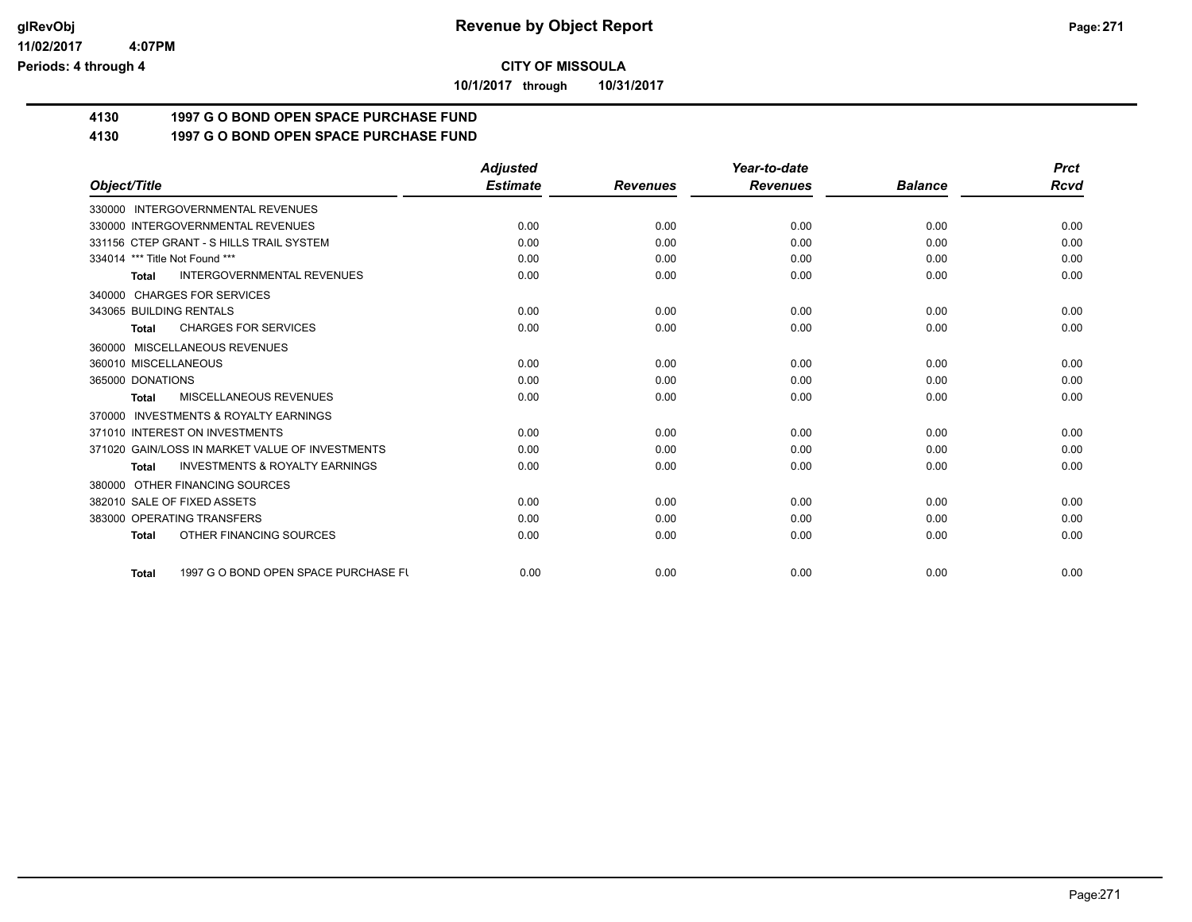**Periods: 4 through 4**

**CITY OF MISSOULA**

**10/1/2017 through 10/31/2017**

# **4130 1997 G O BOND OPEN SPACE PURCHASE FUND**

# **4130 1997 G O BOND OPEN SPACE PURCHASE FUND**

| <b>Balance</b><br><b>Rcvd</b> |
|-------------------------------|
|                               |
|                               |
| 0.00<br>0.00                  |
| 0.00<br>0.00                  |
| 0.00<br>0.00                  |
| 0.00<br>0.00                  |
|                               |
| 0.00<br>0.00                  |
| 0.00<br>0.00                  |
|                               |
| 0.00<br>0.00                  |
| 0.00<br>0.00                  |
| 0.00<br>0.00                  |
|                               |
| 0.00<br>0.00                  |
| 0.00<br>0.00                  |
| 0.00<br>0.00                  |
|                               |
| 0.00<br>0.00                  |
| 0.00<br>0.00                  |
| 0.00<br>0.00                  |
| 0.00<br>0.00                  |
|                               |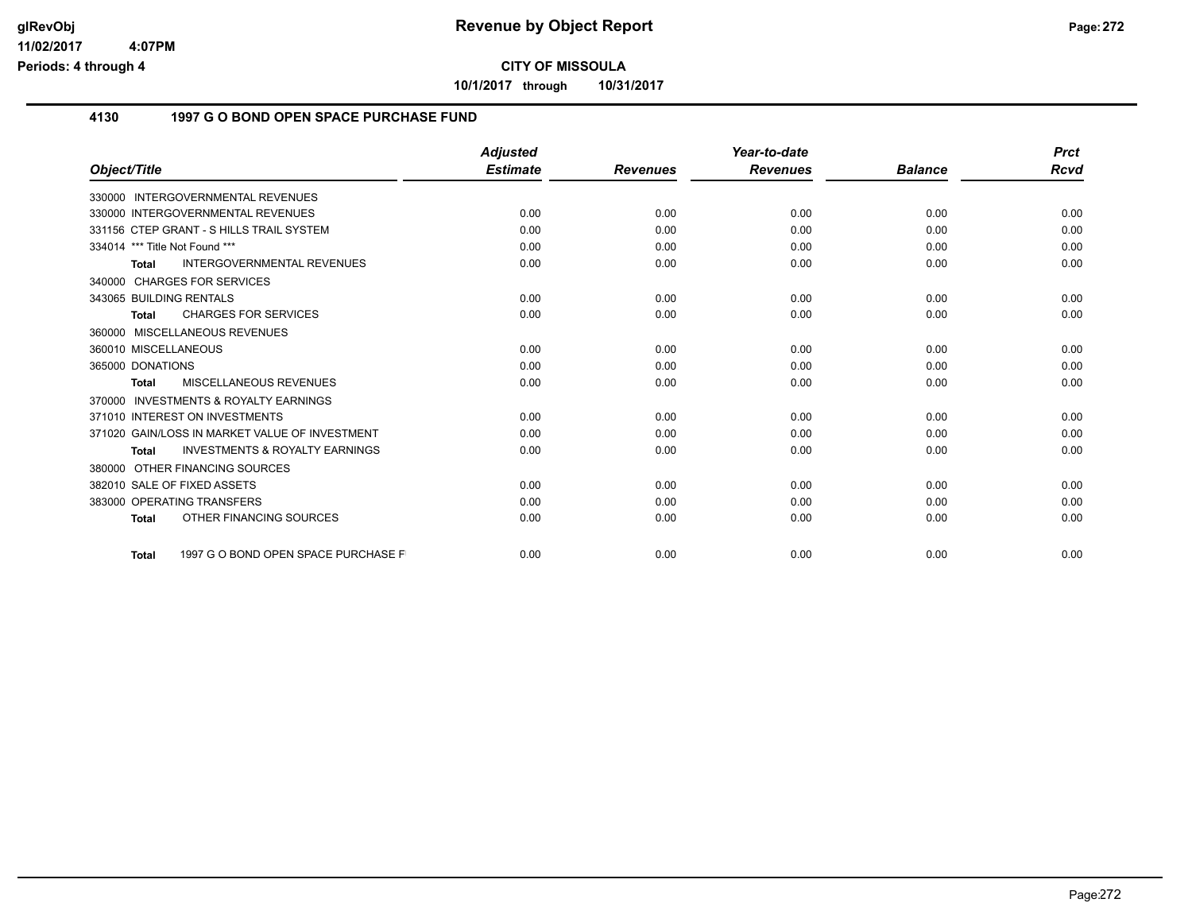**10/1/2017 through 10/31/2017**

#### **4130 1997 G O BOND OPEN SPACE PURCHASE FUND**

|                                                           | <b>Adjusted</b> |                 | Year-to-date    |                | <b>Prct</b> |
|-----------------------------------------------------------|-----------------|-----------------|-----------------|----------------|-------------|
| Object/Title                                              | <b>Estimate</b> | <b>Revenues</b> | <b>Revenues</b> | <b>Balance</b> | <b>Rcvd</b> |
| 330000 INTERGOVERNMENTAL REVENUES                         |                 |                 |                 |                |             |
| 330000 INTERGOVERNMENTAL REVENUES                         | 0.00            | 0.00            | 0.00            | 0.00           | 0.00        |
| 331156 CTEP GRANT - S HILLS TRAIL SYSTEM                  | 0.00            | 0.00            | 0.00            | 0.00           | 0.00        |
| 334014 *** Title Not Found ***                            | 0.00            | 0.00            | 0.00            | 0.00           | 0.00        |
| <b>INTERGOVERNMENTAL REVENUES</b><br><b>Total</b>         | 0.00            | 0.00            | 0.00            | 0.00           | 0.00        |
| 340000 CHARGES FOR SERVICES                               |                 |                 |                 |                |             |
| 343065 BUILDING RENTALS                                   | 0.00            | 0.00            | 0.00            | 0.00           | 0.00        |
| <b>CHARGES FOR SERVICES</b><br><b>Total</b>               | 0.00            | 0.00            | 0.00            | 0.00           | 0.00        |
| 360000 MISCELLANEOUS REVENUES                             |                 |                 |                 |                |             |
| 360010 MISCELLANEOUS                                      | 0.00            | 0.00            | 0.00            | 0.00           | 0.00        |
| 365000 DONATIONS                                          | 0.00            | 0.00            | 0.00            | 0.00           | 0.00        |
| <b>MISCELLANEOUS REVENUES</b><br>Total                    | 0.00            | 0.00            | 0.00            | 0.00           | 0.00        |
| <b>INVESTMENTS &amp; ROYALTY EARNINGS</b><br>370000       |                 |                 |                 |                |             |
| 371010 INTEREST ON INVESTMENTS                            | 0.00            | 0.00            | 0.00            | 0.00           | 0.00        |
| 371020 GAIN/LOSS IN MARKET VALUE OF INVESTMENT            | 0.00            | 0.00            | 0.00            | 0.00           | 0.00        |
| <b>INVESTMENTS &amp; ROYALTY EARNINGS</b><br><b>Total</b> | 0.00            | 0.00            | 0.00            | 0.00           | 0.00        |
| 380000 OTHER FINANCING SOURCES                            |                 |                 |                 |                |             |
| 382010 SALE OF FIXED ASSETS                               | 0.00            | 0.00            | 0.00            | 0.00           | 0.00        |
| 383000 OPERATING TRANSFERS                                | 0.00            | 0.00            | 0.00            | 0.00           | 0.00        |
| OTHER FINANCING SOURCES<br><b>Total</b>                   | 0.00            | 0.00            | 0.00            | 0.00           | 0.00        |
| 1997 G O BOND OPEN SPACE PURCHASE F<br><b>Total</b>       | 0.00            | 0.00            | 0.00            | 0.00           | 0.00        |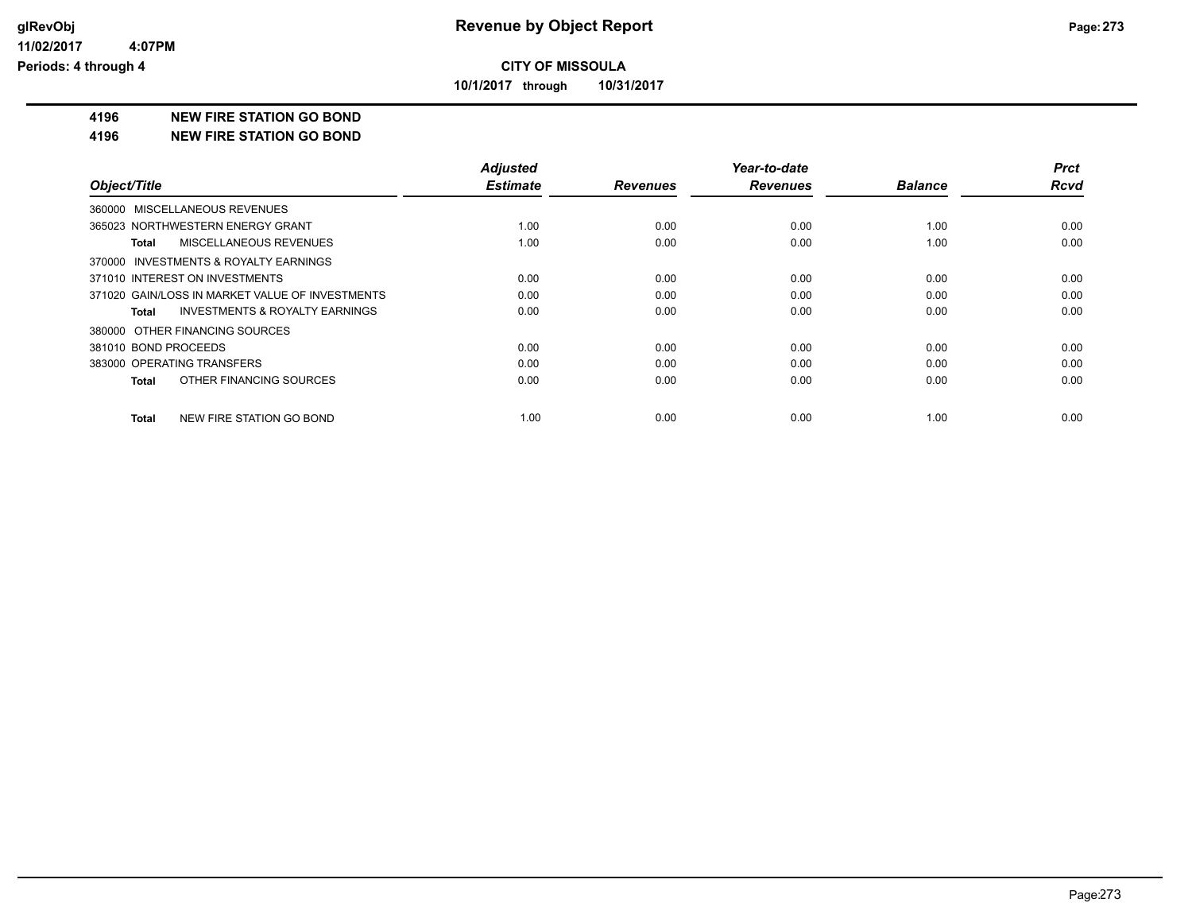**10/1/2017 through 10/31/2017**

#### **4196 NEW FIRE STATION GO BOND**

#### **4196 NEW FIRE STATION GO BOND**

|                                                    | <b>Adjusted</b> |                 | Year-to-date    |                | <b>Prct</b> |
|----------------------------------------------------|-----------------|-----------------|-----------------|----------------|-------------|
| Object/Title                                       | <b>Estimate</b> | <b>Revenues</b> | <b>Revenues</b> | <b>Balance</b> | <b>Rcvd</b> |
| 360000 MISCELLANEOUS REVENUES                      |                 |                 |                 |                |             |
| 365023 NORTHWESTERN ENERGY GRANT                   | 1.00            | 0.00            | 0.00            | 1.00           | 0.00        |
| MISCELLANEOUS REVENUES<br>Total                    | 1.00            | 0.00            | 0.00            | 1.00           | 0.00        |
| 370000 INVESTMENTS & ROYALTY EARNINGS              |                 |                 |                 |                |             |
| 371010 INTEREST ON INVESTMENTS                     | 0.00            | 0.00            | 0.00            | 0.00           | 0.00        |
| 371020 GAIN/LOSS IN MARKET VALUE OF INVESTMENTS    | 0.00            | 0.00            | 0.00            | 0.00           | 0.00        |
| <b>INVESTMENTS &amp; ROYALTY EARNINGS</b><br>Total | 0.00            | 0.00            | 0.00            | 0.00           | 0.00        |
| 380000 OTHER FINANCING SOURCES                     |                 |                 |                 |                |             |
| 381010 BOND PROCEEDS                               | 0.00            | 0.00            | 0.00            | 0.00           | 0.00        |
| 383000 OPERATING TRANSFERS                         | 0.00            | 0.00            | 0.00            | 0.00           | 0.00        |
| OTHER FINANCING SOURCES<br>Total                   | 0.00            | 0.00            | 0.00            | 0.00           | 0.00        |
| NEW FIRE STATION GO BOND<br>Total                  | 1.00            | 0.00            | 0.00            | 1.00           | 0.00        |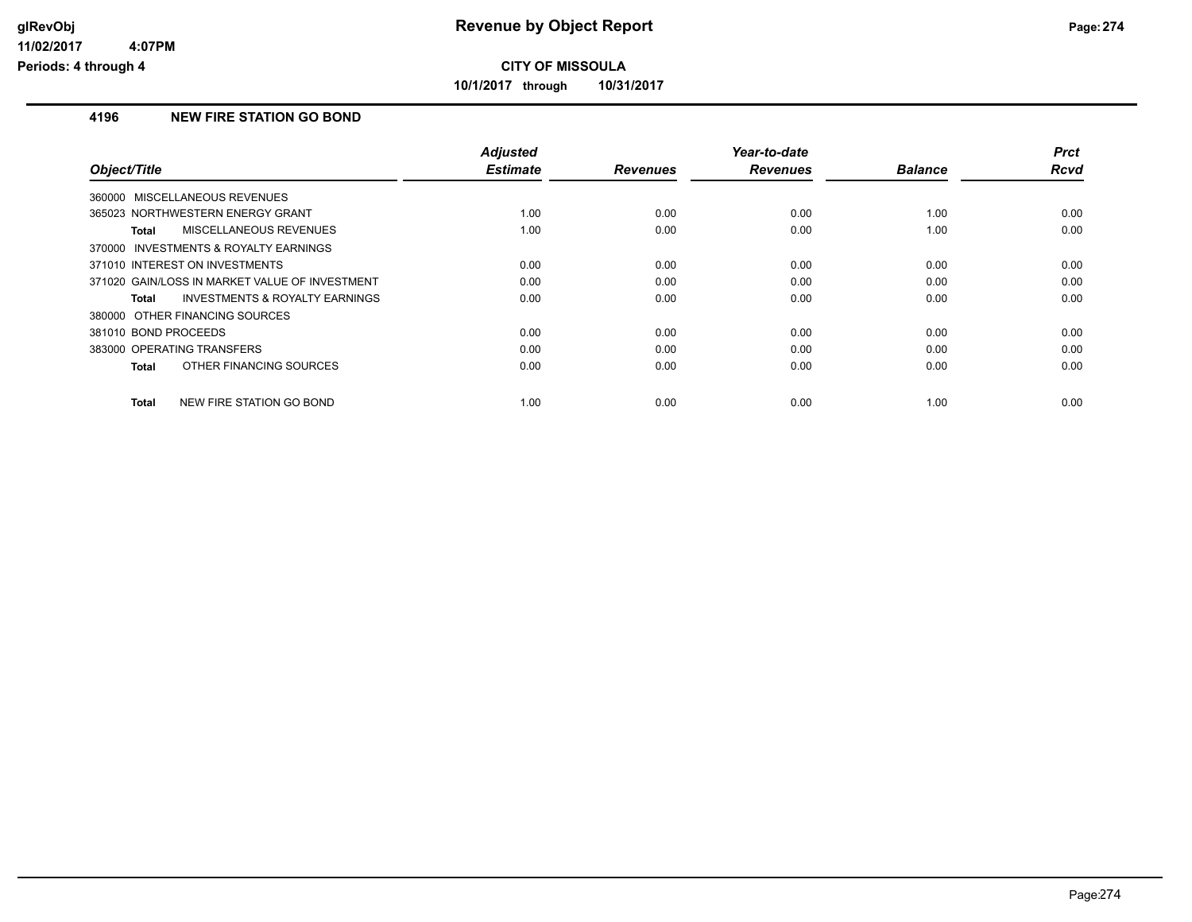**10/1/2017 through 10/31/2017**

## **4196 NEW FIRE STATION GO BOND**

| Object/Title                                              | <b>Adjusted</b><br><b>Estimate</b> | <b>Revenues</b> | Year-to-date<br><b>Revenues</b> | <b>Balance</b> | <b>Prct</b><br>Rcvd |
|-----------------------------------------------------------|------------------------------------|-----------------|---------------------------------|----------------|---------------------|
| 360000 MISCELLANEOUS REVENUES                             |                                    |                 |                                 |                |                     |
| 365023 NORTHWESTERN ENERGY GRANT                          | 1.00                               | 0.00            | 0.00                            | 1.00           | 0.00                |
| MISCELLANEOUS REVENUES<br><b>Total</b>                    | 1.00                               | 0.00            | 0.00                            | 1.00           | 0.00                |
| 370000 INVESTMENTS & ROYALTY EARNINGS                     |                                    |                 |                                 |                |                     |
| 371010 INTEREST ON INVESTMENTS                            | 0.00                               | 0.00            | 0.00                            | 0.00           | 0.00                |
| 371020 GAIN/LOSS IN MARKET VALUE OF INVESTMENT            | 0.00                               | 0.00            | 0.00                            | 0.00           | 0.00                |
| <b>INVESTMENTS &amp; ROYALTY EARNINGS</b><br><b>Total</b> | 0.00                               | 0.00            | 0.00                            | 0.00           | 0.00                |
| 380000 OTHER FINANCING SOURCES                            |                                    |                 |                                 |                |                     |
| 381010 BOND PROCEEDS                                      | 0.00                               | 0.00            | 0.00                            | 0.00           | 0.00                |
| 383000 OPERATING TRANSFERS                                | 0.00                               | 0.00            | 0.00                            | 0.00           | 0.00                |
| OTHER FINANCING SOURCES<br>Total                          | 0.00                               | 0.00            | 0.00                            | 0.00           | 0.00                |
| NEW FIRE STATION GO BOND<br><b>Total</b>                  | 1.00                               | 0.00            | 0.00                            | 1.00           | 0.00                |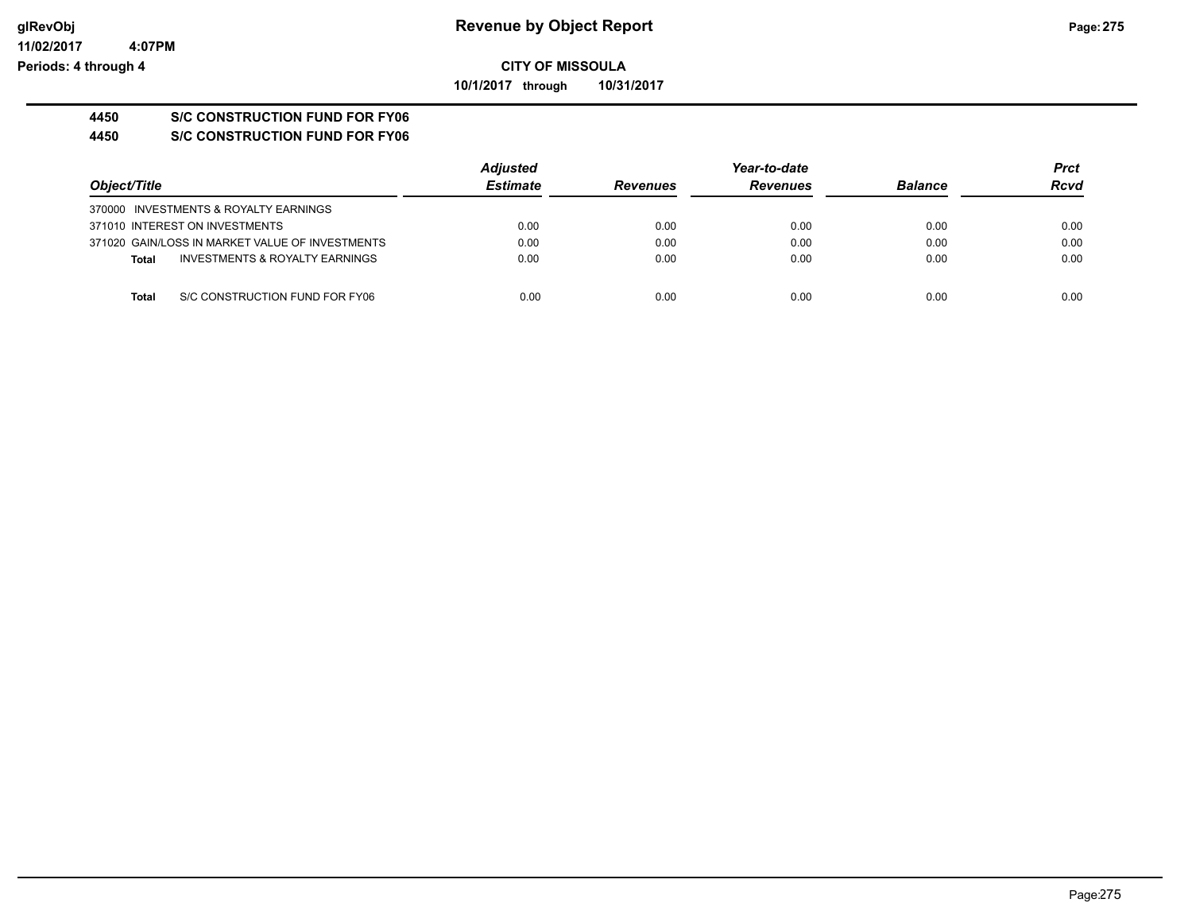#### **11/02/2017 4:07PM Periods: 4 through 4**

# **CITY OF MISSOULA**

**10/1/2017 through 10/31/2017**

#### **4450 S/C CONSTRUCTION FUND FOR FY06 4450 S/C CONSTRUCTION FUND FOR FY06**

|                                                 | <b>Adjusted</b> |                 | Year-to-date    |                | <b>Prct</b> |
|-------------------------------------------------|-----------------|-----------------|-----------------|----------------|-------------|
| Object/Title                                    | <b>Estimate</b> | <b>Revenues</b> | <b>Revenues</b> | <b>Balance</b> | <b>Rcvd</b> |
| 370000 INVESTMENTS & ROYALTY EARNINGS           |                 |                 |                 |                |             |
| 371010 INTEREST ON INVESTMENTS                  | 0.00            | 0.00            | 0.00            | 0.00           | 0.00        |
| 371020 GAIN/LOSS IN MARKET VALUE OF INVESTMENTS | 0.00            | 0.00            | 0.00            | 0.00           | 0.00        |
| INVESTMENTS & ROYALTY EARNINGS<br><b>Total</b>  | 0.00            | 0.00            | 0.00            | 0.00           | 0.00        |
|                                                 |                 |                 |                 |                |             |
| S/C CONSTRUCTION FUND FOR FY06<br>Total         | 0.00            | 0.00            | 0.00            | 0.00           | 0.00        |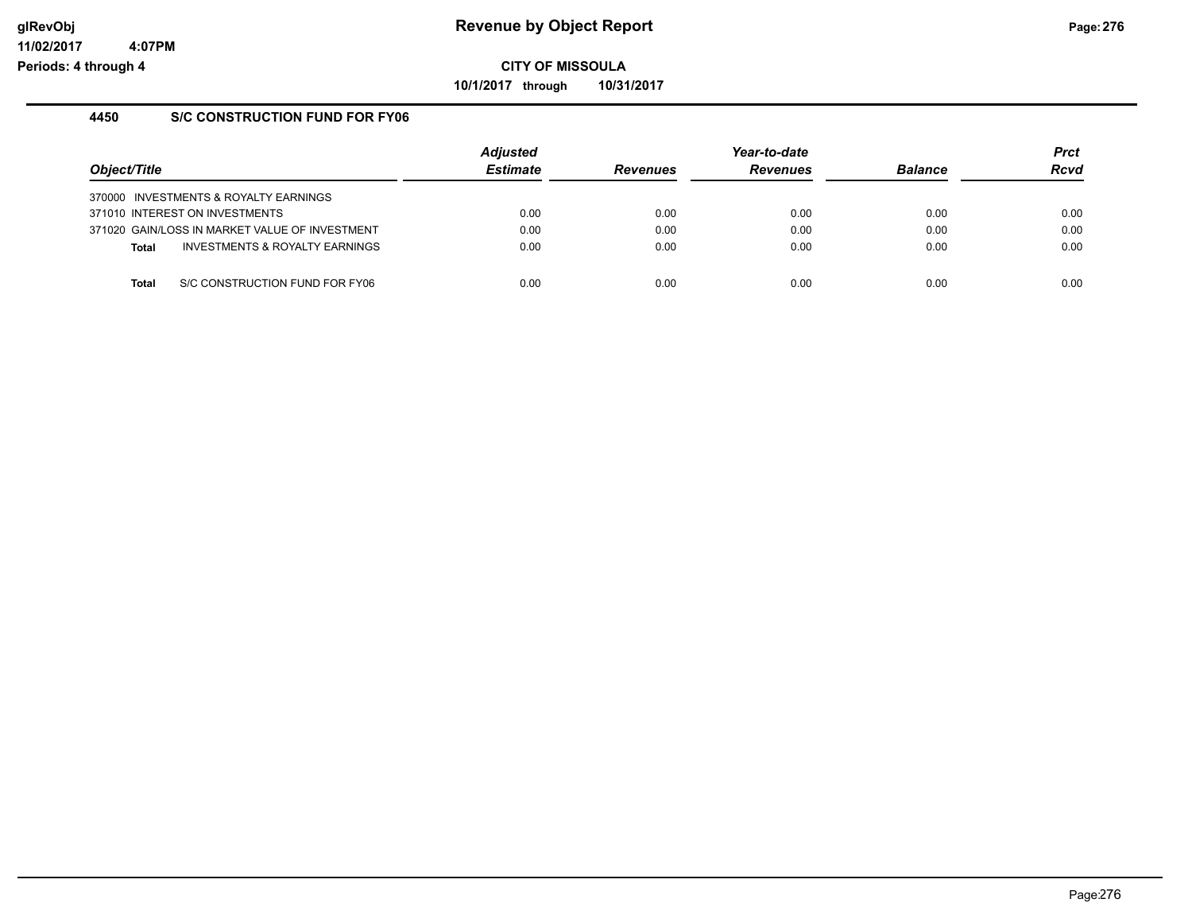**10/1/2017 through 10/31/2017**

#### **4450 S/C CONSTRUCTION FUND FOR FY06**

| Object/Title |                                                | <b>Adjusted</b><br><b>Estimate</b> | <b>Revenues</b> | Year-to-date<br><b>Revenues</b> | <b>Balance</b> | <b>Prct</b><br>Rcvd |
|--------------|------------------------------------------------|------------------------------------|-----------------|---------------------------------|----------------|---------------------|
|              | 370000 INVESTMENTS & ROYALTY EARNINGS          |                                    |                 |                                 |                |                     |
|              | 371010 INTEREST ON INVESTMENTS                 | 0.00                               | 0.00            | 0.00                            | 0.00           | 0.00                |
|              | 371020 GAIN/LOSS IN MARKET VALUE OF INVESTMENT | 0.00                               | 0.00            | 0.00                            | 0.00           | 0.00                |
| Total        | <b>INVESTMENTS &amp; ROYALTY EARNINGS</b>      | 0.00                               | 0.00            | 0.00                            | 0.00           | 0.00                |
|              |                                                |                                    |                 |                                 |                |                     |
| Total        | S/C CONSTRUCTION FUND FOR FY06                 | 0.00                               | 0.00            | 0.00                            | 0.00           | 0.00                |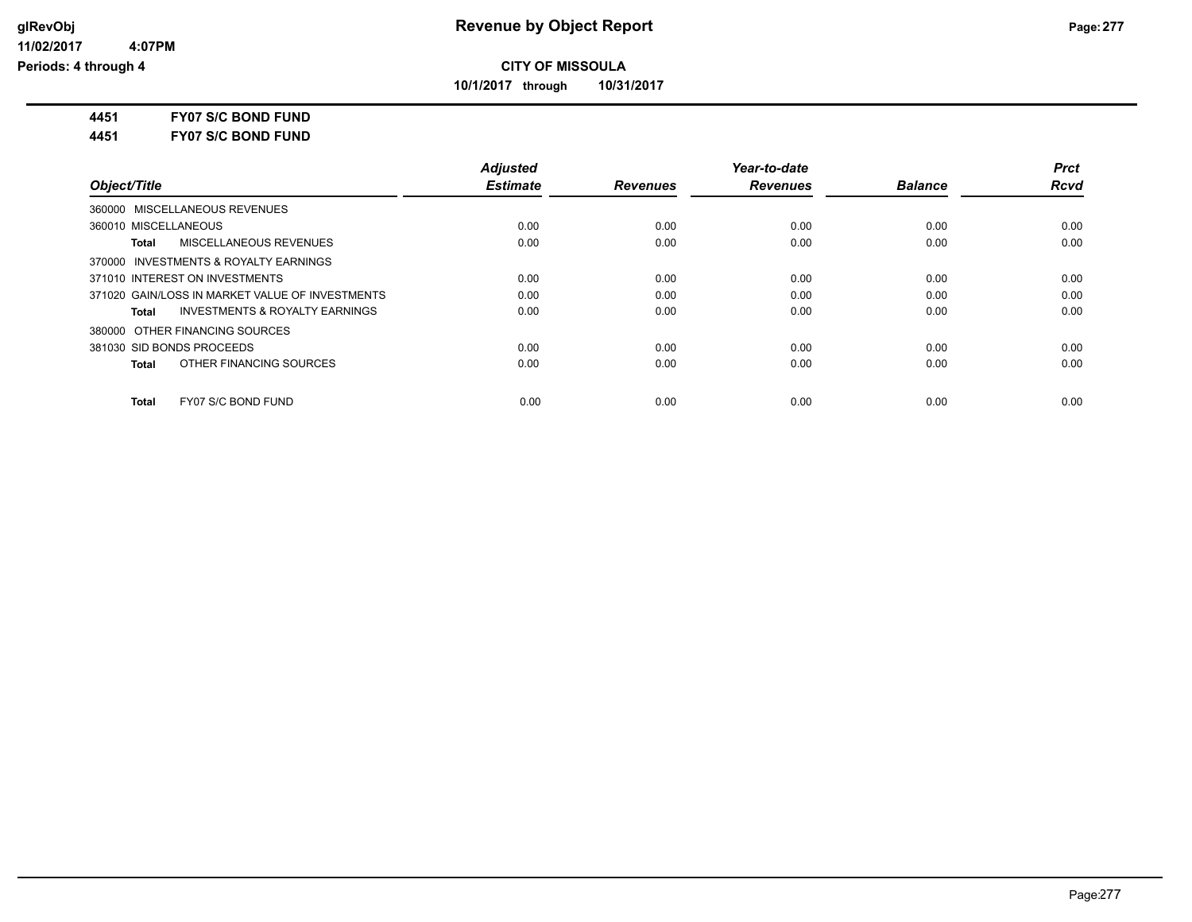**10/1/2017 through 10/31/2017**

**4451 FY07 S/C BOND FUND**

**4451 FY07 S/C BOND FUND**

|                                                    | <b>Adjusted</b> |                 | Year-to-date    |                | <b>Prct</b> |
|----------------------------------------------------|-----------------|-----------------|-----------------|----------------|-------------|
| Object/Title                                       | <b>Estimate</b> | <b>Revenues</b> | <b>Revenues</b> | <b>Balance</b> | <b>Rcvd</b> |
| 360000 MISCELLANEOUS REVENUES                      |                 |                 |                 |                |             |
| 360010 MISCELLANEOUS                               | 0.00            | 0.00            | 0.00            | 0.00           | 0.00        |
| MISCELLANEOUS REVENUES<br><b>Total</b>             | 0.00            | 0.00            | 0.00            | 0.00           | 0.00        |
| 370000 INVESTMENTS & ROYALTY EARNINGS              |                 |                 |                 |                |             |
| 371010 INTEREST ON INVESTMENTS                     | 0.00            | 0.00            | 0.00            | 0.00           | 0.00        |
| 371020 GAIN/LOSS IN MARKET VALUE OF INVESTMENTS    | 0.00            | 0.00            | 0.00            | 0.00           | 0.00        |
| <b>INVESTMENTS &amp; ROYALTY EARNINGS</b><br>Total | 0.00            | 0.00            | 0.00            | 0.00           | 0.00        |
| 380000 OTHER FINANCING SOURCES                     |                 |                 |                 |                |             |
| 381030 SID BONDS PROCEEDS                          | 0.00            | 0.00            | 0.00            | 0.00           | 0.00        |
| OTHER FINANCING SOURCES<br><b>Total</b>            | 0.00            | 0.00            | 0.00            | 0.00           | 0.00        |
| FY07 S/C BOND FUND<br><b>Total</b>                 | 0.00            | 0.00            | 0.00            | 0.00           | 0.00        |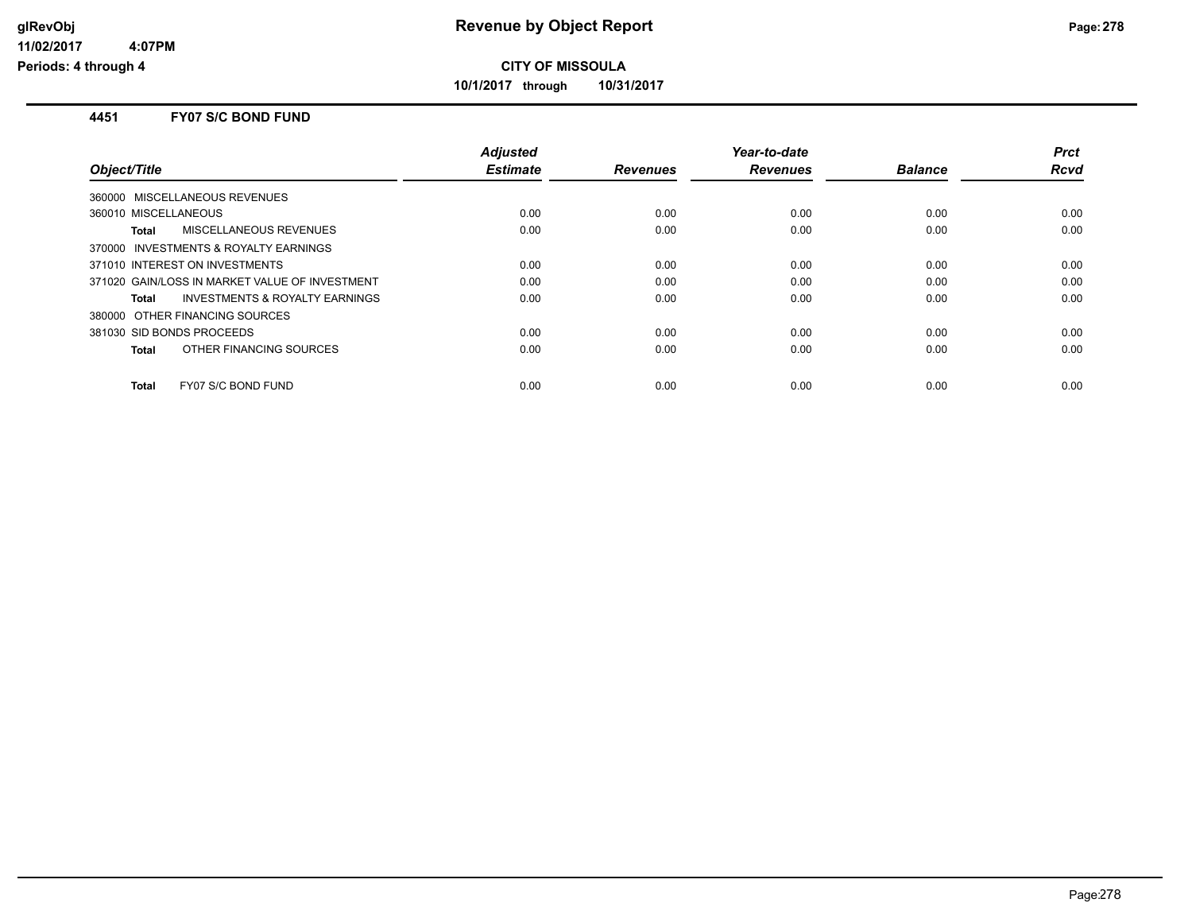**Periods: 4 through 4**

**CITY OF MISSOULA**

**10/1/2017 through 10/31/2017**

#### **4451 FY07 S/C BOND FUND**

| <b>Adjusted</b> |                         | Year-to-date            |                         | <b>Prct</b><br>Rcvd    |
|-----------------|-------------------------|-------------------------|-------------------------|------------------------|
|                 |                         |                         |                         |                        |
|                 |                         |                         |                         |                        |
| 0.00            | 0.00                    | 0.00                    | 0.00                    | 0.00                   |
| 0.00            | 0.00                    | 0.00                    | 0.00                    | 0.00                   |
|                 |                         |                         |                         |                        |
| 0.00            | 0.00                    | 0.00                    | 0.00                    | 0.00                   |
| 0.00            | 0.00                    | 0.00                    | 0.00                    | 0.00                   |
| 0.00            | 0.00                    | 0.00                    | 0.00                    | 0.00                   |
|                 |                         |                         |                         |                        |
| 0.00            | 0.00                    | 0.00                    | 0.00                    | 0.00                   |
| 0.00            | 0.00                    | 0.00                    | 0.00                    | 0.00                   |
|                 |                         |                         |                         | 0.00                   |
|                 | <b>Estimate</b><br>0.00 | <b>Revenues</b><br>0.00 | <b>Revenues</b><br>0.00 | <b>Balance</b><br>0.00 |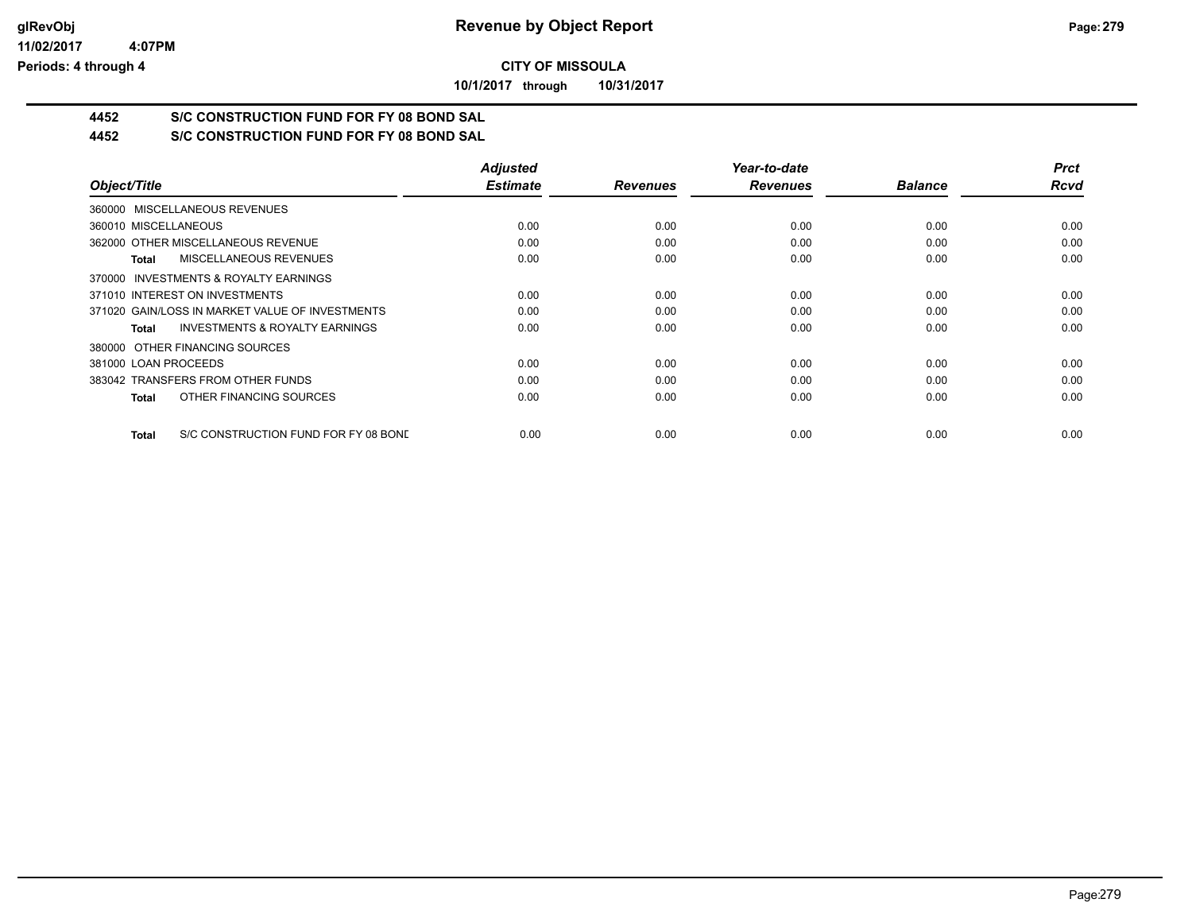**10/1/2017 through 10/31/2017**

# **4452 S/C CONSTRUCTION FUND FOR FY 08 BOND SAL**

# **4452 S/C CONSTRUCTION FUND FOR FY 08 BOND SAL**

|                                                      | <b>Adjusted</b> |                 | Year-to-date    |                | <b>Prct</b> |
|------------------------------------------------------|-----------------|-----------------|-----------------|----------------|-------------|
| Object/Title                                         | <b>Estimate</b> | <b>Revenues</b> | <b>Revenues</b> | <b>Balance</b> | <b>Rcvd</b> |
| 360000 MISCELLANEOUS REVENUES                        |                 |                 |                 |                |             |
| 360010 MISCELLANEOUS                                 | 0.00            | 0.00            | 0.00            | 0.00           | 0.00        |
| 362000 OTHER MISCELLANEOUS REVENUE                   | 0.00            | 0.00            | 0.00            | 0.00           | 0.00        |
| MISCELLANEOUS REVENUES<br>Total                      | 0.00            | 0.00            | 0.00            | 0.00           | 0.00        |
| 370000 INVESTMENTS & ROYALTY EARNINGS                |                 |                 |                 |                |             |
| 371010 INTEREST ON INVESTMENTS                       | 0.00            | 0.00            | 0.00            | 0.00           | 0.00        |
| 371020 GAIN/LOSS IN MARKET VALUE OF INVESTMENTS      | 0.00            | 0.00            | 0.00            | 0.00           | 0.00        |
| <b>INVESTMENTS &amp; ROYALTY EARNINGS</b><br>Total   | 0.00            | 0.00            | 0.00            | 0.00           | 0.00        |
| 380000 OTHER FINANCING SOURCES                       |                 |                 |                 |                |             |
| 381000 LOAN PROCEEDS                                 | 0.00            | 0.00            | 0.00            | 0.00           | 0.00        |
| 383042 TRANSFERS FROM OTHER FUNDS                    | 0.00            | 0.00            | 0.00            | 0.00           | 0.00        |
| OTHER FINANCING SOURCES<br>Total                     | 0.00            | 0.00            | 0.00            | 0.00           | 0.00        |
| S/C CONSTRUCTION FUND FOR FY 08 BONE<br><b>Total</b> | 0.00            | 0.00            | 0.00            | 0.00           | 0.00        |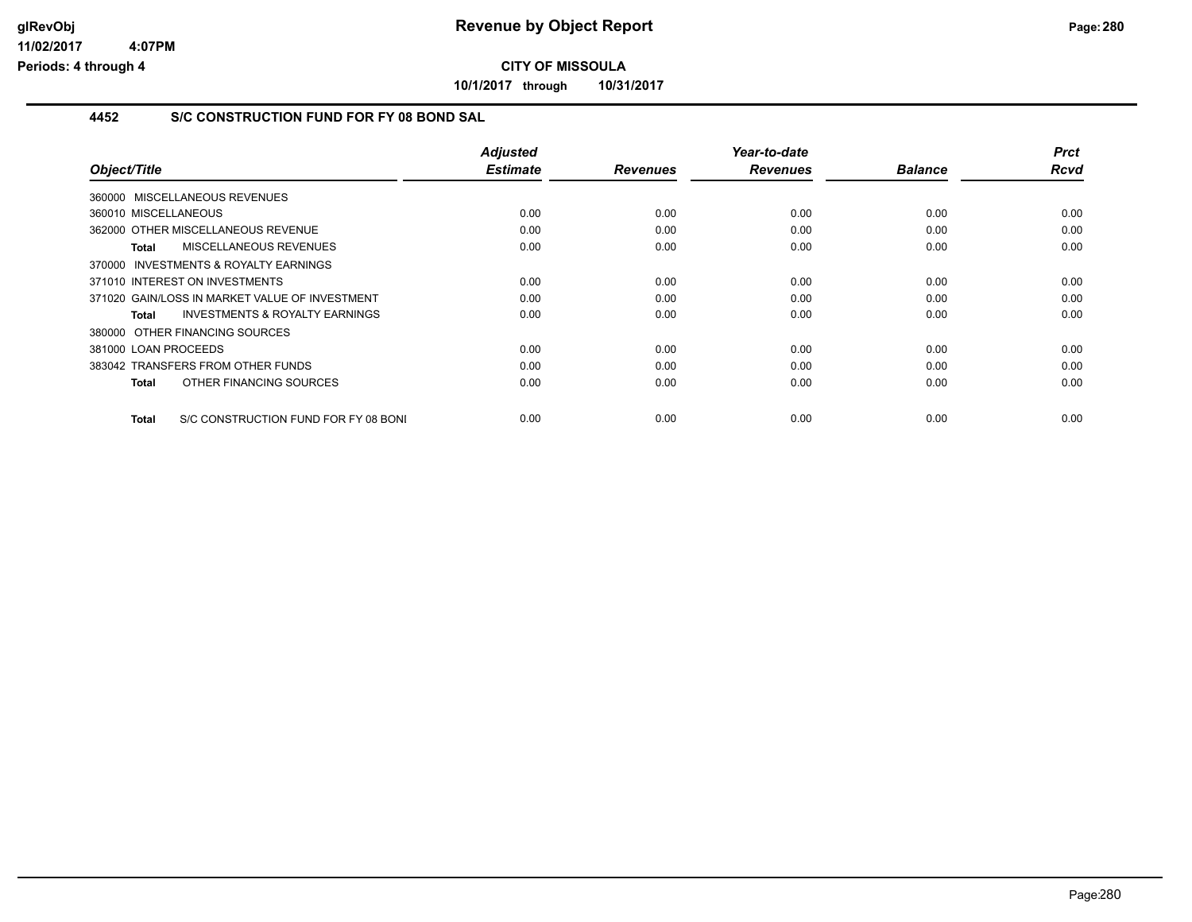**10/1/2017 through 10/31/2017**

#### **4452 S/C CONSTRUCTION FUND FOR FY 08 BOND SAL**

| Object/Title                                         | <b>Adjusted</b><br><b>Estimate</b> | <b>Revenues</b> | Year-to-date<br><b>Revenues</b> | <b>Balance</b> | <b>Prct</b><br><b>Rcvd</b> |
|------------------------------------------------------|------------------------------------|-----------------|---------------------------------|----------------|----------------------------|
|                                                      |                                    |                 |                                 |                |                            |
| 360000 MISCELLANEOUS REVENUES                        |                                    |                 |                                 |                |                            |
| 360010 MISCELLANEOUS                                 | 0.00                               | 0.00            | 0.00                            | 0.00           | 0.00                       |
| 362000 OTHER MISCELLANEOUS REVENUE                   | 0.00                               | 0.00            | 0.00                            | 0.00           | 0.00                       |
| MISCELLANEOUS REVENUES<br>Total                      | 0.00                               | 0.00            | 0.00                            | 0.00           | 0.00                       |
| 370000 INVESTMENTS & ROYALTY EARNINGS                |                                    |                 |                                 |                |                            |
| 371010 INTEREST ON INVESTMENTS                       | 0.00                               | 0.00            | 0.00                            | 0.00           | 0.00                       |
| 371020 GAIN/LOSS IN MARKET VALUE OF INVESTMENT       | 0.00                               | 0.00            | 0.00                            | 0.00           | 0.00                       |
| <b>INVESTMENTS &amp; ROYALTY EARNINGS</b><br>Total   | 0.00                               | 0.00            | 0.00                            | 0.00           | 0.00                       |
| 380000 OTHER FINANCING SOURCES                       |                                    |                 |                                 |                |                            |
| 381000 LOAN PROCEEDS                                 | 0.00                               | 0.00            | 0.00                            | 0.00           | 0.00                       |
| 383042 TRANSFERS FROM OTHER FUNDS                    | 0.00                               | 0.00            | 0.00                            | 0.00           | 0.00                       |
| OTHER FINANCING SOURCES<br>Total                     | 0.00                               | 0.00            | 0.00                            | 0.00           | 0.00                       |
|                                                      |                                    |                 |                                 |                |                            |
| S/C CONSTRUCTION FUND FOR FY 08 BONI<br><b>Total</b> | 0.00                               | 0.00            | 0.00                            | 0.00           | 0.00                       |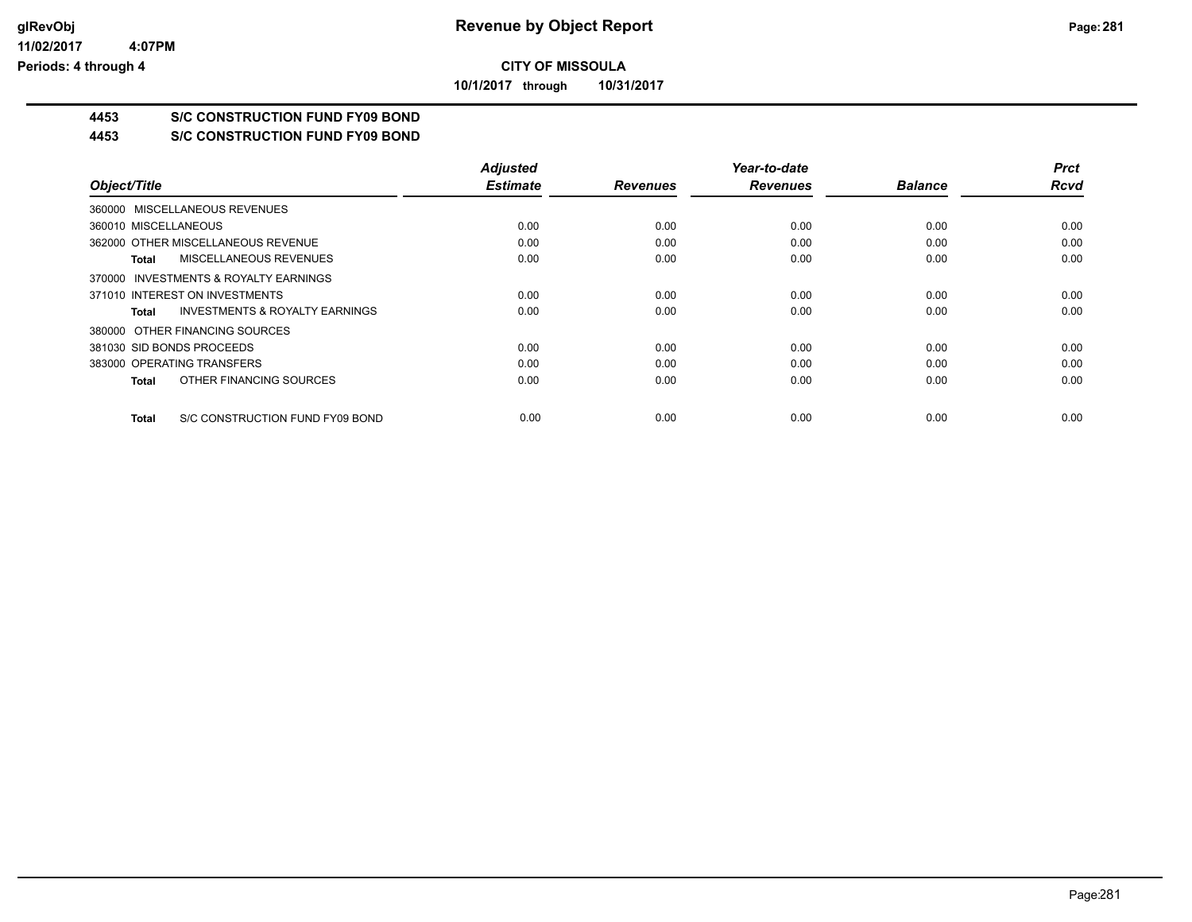**10/1/2017 through 10/31/2017**

# **4453 S/C CONSTRUCTION FUND FY09 BOND**

## **4453 S/C CONSTRUCTION FUND FY09 BOND**

|                                                 | <b>Adjusted</b> |                 | Year-to-date    |                | <b>Prct</b> |
|-------------------------------------------------|-----------------|-----------------|-----------------|----------------|-------------|
| Object/Title                                    | <b>Estimate</b> | <b>Revenues</b> | <b>Revenues</b> | <b>Balance</b> | <b>Rcvd</b> |
| 360000 MISCELLANEOUS REVENUES                   |                 |                 |                 |                |             |
| 360010 MISCELLANEOUS                            | 0.00            | 0.00            | 0.00            | 0.00           | 0.00        |
| 362000 OTHER MISCELLANEOUS REVENUE              | 0.00            | 0.00            | 0.00            | 0.00           | 0.00        |
| MISCELLANEOUS REVENUES<br><b>Total</b>          | 0.00            | 0.00            | 0.00            | 0.00           | 0.00        |
| 370000 INVESTMENTS & ROYALTY EARNINGS           |                 |                 |                 |                |             |
| 371010 INTEREST ON INVESTMENTS                  | 0.00            | 0.00            | 0.00            | 0.00           | 0.00        |
| INVESTMENTS & ROYALTY EARNINGS<br><b>Total</b>  | 0.00            | 0.00            | 0.00            | 0.00           | 0.00        |
| 380000 OTHER FINANCING SOURCES                  |                 |                 |                 |                |             |
| 381030 SID BONDS PROCEEDS                       | 0.00            | 0.00            | 0.00            | 0.00           | 0.00        |
| 383000 OPERATING TRANSFERS                      | 0.00            | 0.00            | 0.00            | 0.00           | 0.00        |
| OTHER FINANCING SOURCES<br><b>Total</b>         | 0.00            | 0.00            | 0.00            | 0.00           | 0.00        |
| S/C CONSTRUCTION FUND FY09 BOND<br><b>Total</b> | 0.00            | 0.00            | 0.00            | 0.00           | 0.00        |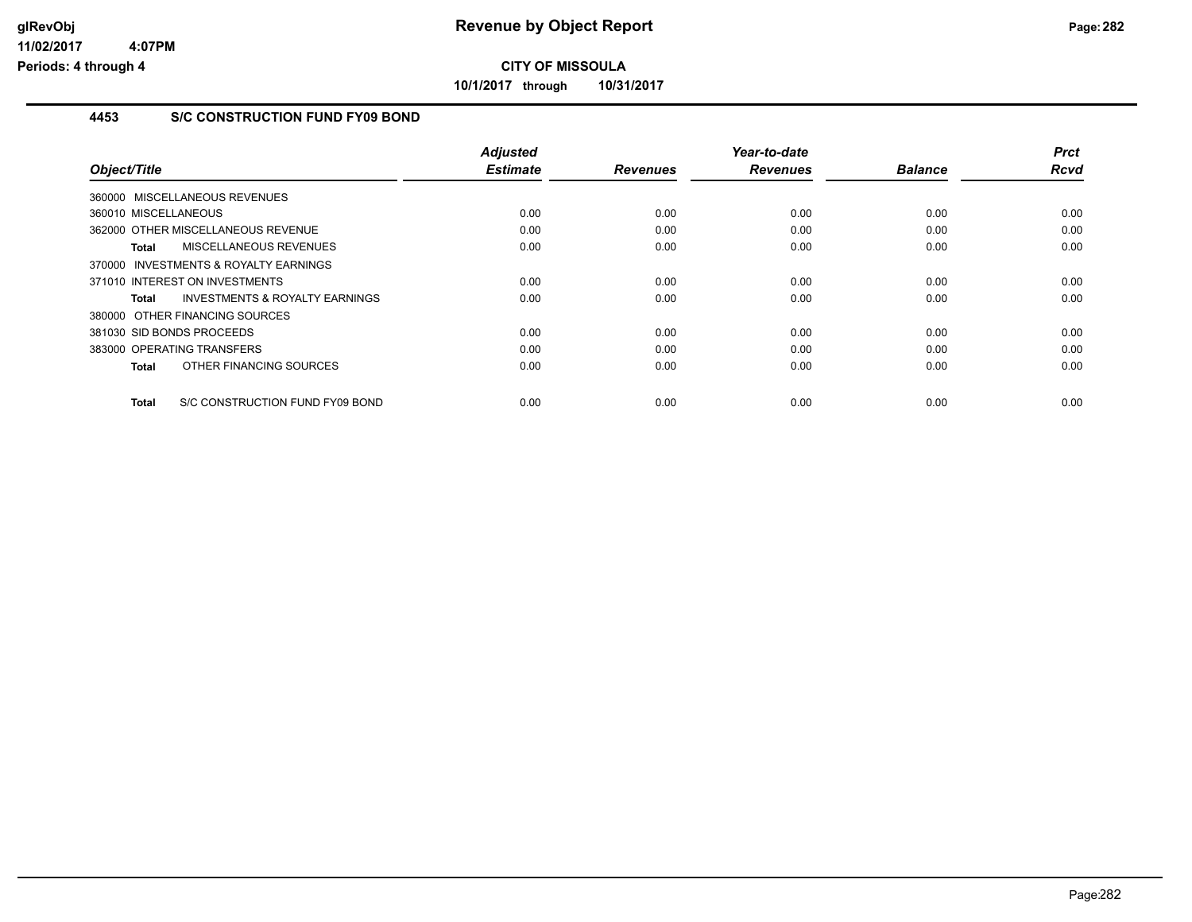**10/1/2017 through 10/31/2017**

#### **4453 S/C CONSTRUCTION FUND FY09 BOND**

|                                                    | <b>Adjusted</b> |                 | Year-to-date    |                | <b>Prct</b> |
|----------------------------------------------------|-----------------|-----------------|-----------------|----------------|-------------|
| Object/Title                                       | <b>Estimate</b> | <b>Revenues</b> | <b>Revenues</b> | <b>Balance</b> | Rcvd        |
| 360000 MISCELLANEOUS REVENUES                      |                 |                 |                 |                |             |
| 360010 MISCELLANEOUS                               | 0.00            | 0.00            | 0.00            | 0.00           | 0.00        |
| 362000 OTHER MISCELLANEOUS REVENUE                 | 0.00            | 0.00            | 0.00            | 0.00           | 0.00        |
| MISCELLANEOUS REVENUES<br>Total                    | 0.00            | 0.00            | 0.00            | 0.00           | 0.00        |
| 370000 INVESTMENTS & ROYALTY EARNINGS              |                 |                 |                 |                |             |
| 371010 INTEREST ON INVESTMENTS                     | 0.00            | 0.00            | 0.00            | 0.00           | 0.00        |
| <b>INVESTMENTS &amp; ROYALTY EARNINGS</b><br>Total | 0.00            | 0.00            | 0.00            | 0.00           | 0.00        |
| 380000 OTHER FINANCING SOURCES                     |                 |                 |                 |                |             |
| 381030 SID BONDS PROCEEDS                          | 0.00            | 0.00            | 0.00            | 0.00           | 0.00        |
| 383000 OPERATING TRANSFERS                         | 0.00            | 0.00            | 0.00            | 0.00           | 0.00        |
| OTHER FINANCING SOURCES<br>Total                   | 0.00            | 0.00            | 0.00            | 0.00           | 0.00        |
| S/C CONSTRUCTION FUND FY09 BOND<br>Total           | 0.00            | 0.00            | 0.00            | 0.00           | 0.00        |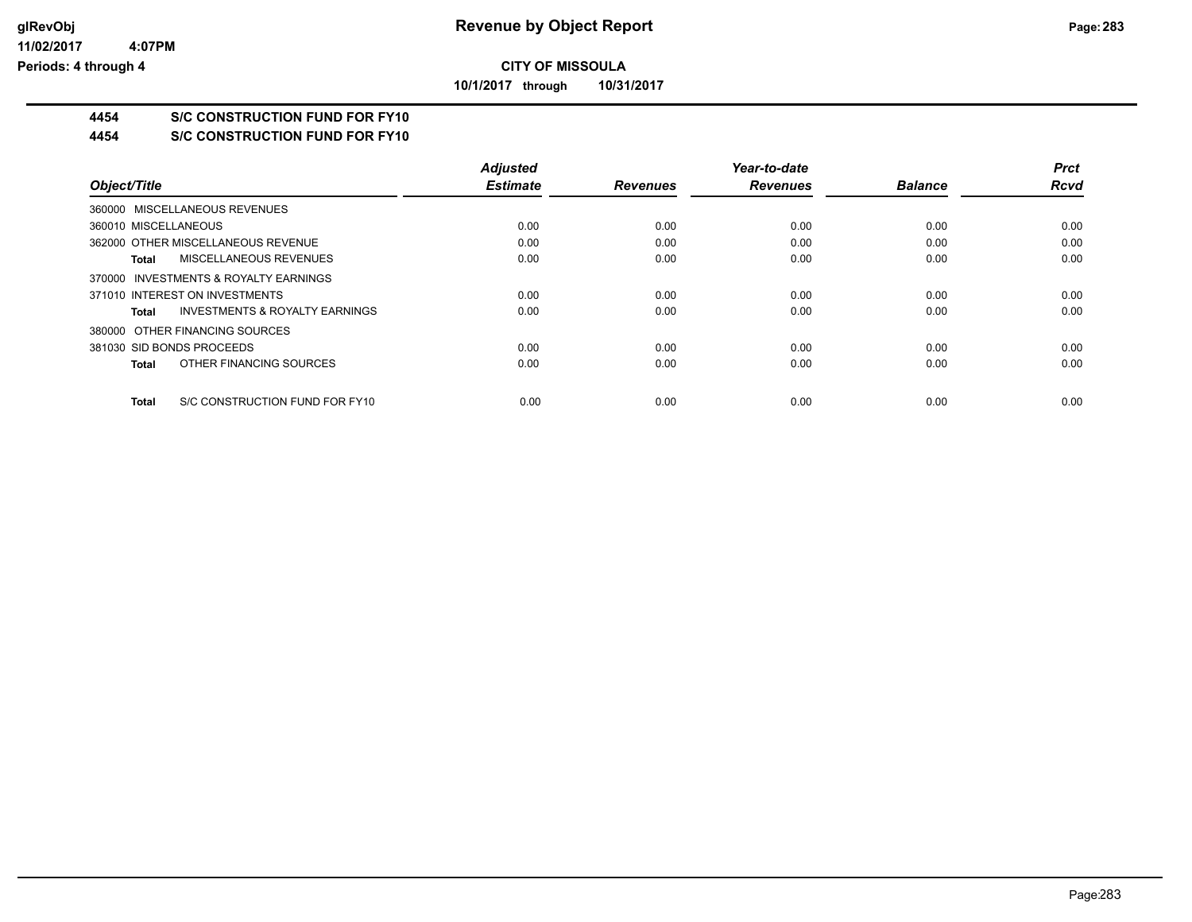**10/1/2017 through 10/31/2017**

# **4454 S/C CONSTRUCTION FUND FOR FY10**

**4454 S/C CONSTRUCTION FUND FOR FY10**

|                                                    | <b>Adjusted</b> |                 | Year-to-date    |                | <b>Prct</b> |
|----------------------------------------------------|-----------------|-----------------|-----------------|----------------|-------------|
| Object/Title                                       | <b>Estimate</b> | <b>Revenues</b> | <b>Revenues</b> | <b>Balance</b> | Rcvd        |
| 360000 MISCELLANEOUS REVENUES                      |                 |                 |                 |                |             |
| 360010 MISCELLANEOUS                               | 0.00            | 0.00            | 0.00            | 0.00           | 0.00        |
| 362000 OTHER MISCELLANEOUS REVENUE                 | 0.00            | 0.00            | 0.00            | 0.00           | 0.00        |
| MISCELLANEOUS REVENUES<br>Total                    | 0.00            | 0.00            | 0.00            | 0.00           | 0.00        |
| 370000 INVESTMENTS & ROYALTY EARNINGS              |                 |                 |                 |                |             |
| 371010 INTEREST ON INVESTMENTS                     | 0.00            | 0.00            | 0.00            | 0.00           | 0.00        |
| <b>INVESTMENTS &amp; ROYALTY EARNINGS</b><br>Total | 0.00            | 0.00            | 0.00            | 0.00           | 0.00        |
| 380000 OTHER FINANCING SOURCES                     |                 |                 |                 |                |             |
| 381030 SID BONDS PROCEEDS                          | 0.00            | 0.00            | 0.00            | 0.00           | 0.00        |
| OTHER FINANCING SOURCES<br>Total                   | 0.00            | 0.00            | 0.00            | 0.00           | 0.00        |
| S/C CONSTRUCTION FUND FOR FY10<br><b>Total</b>     | 0.00            | 0.00            | 0.00            | 0.00           | 0.00        |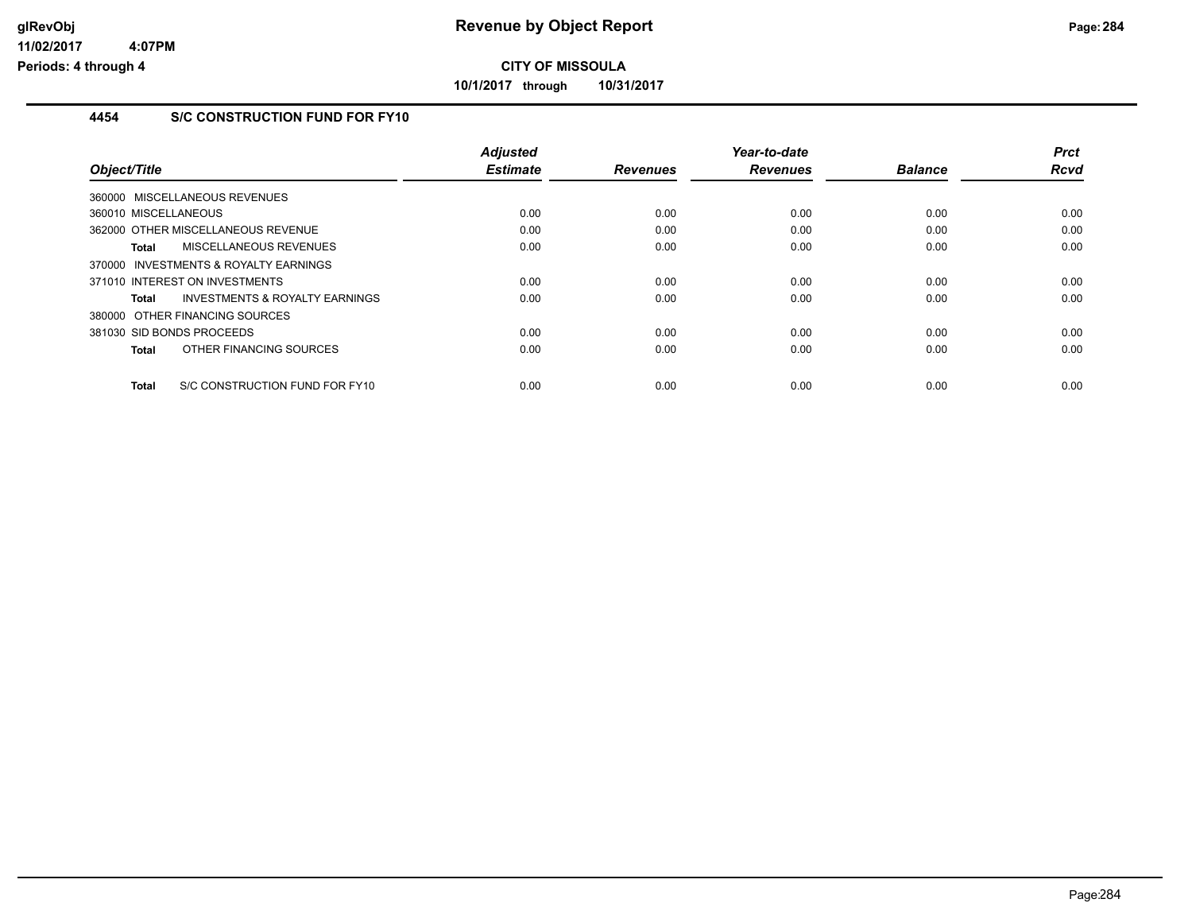**10/1/2017 through 10/31/2017**

### **4454 S/C CONSTRUCTION FUND FOR FY10**

|                                                    | <b>Adjusted</b> |                 | Year-to-date    |                | <b>Prct</b> |
|----------------------------------------------------|-----------------|-----------------|-----------------|----------------|-------------|
| Object/Title                                       | <b>Estimate</b> | <b>Revenues</b> | <b>Revenues</b> | <b>Balance</b> | <b>Rcvd</b> |
| 360000 MISCELLANEOUS REVENUES                      |                 |                 |                 |                |             |
| 360010 MISCELLANEOUS                               | 0.00            | 0.00            | 0.00            | 0.00           | 0.00        |
| 362000 OTHER MISCELLANEOUS REVENUE                 | 0.00            | 0.00            | 0.00            | 0.00           | 0.00        |
| <b>MISCELLANEOUS REVENUES</b><br>Total             | 0.00            | 0.00            | 0.00            | 0.00           | 0.00        |
| 370000 INVESTMENTS & ROYALTY EARNINGS              |                 |                 |                 |                |             |
| 371010 INTEREST ON INVESTMENTS                     | 0.00            | 0.00            | 0.00            | 0.00           | 0.00        |
| <b>INVESTMENTS &amp; ROYALTY EARNINGS</b><br>Total | 0.00            | 0.00            | 0.00            | 0.00           | 0.00        |
| 380000 OTHER FINANCING SOURCES                     |                 |                 |                 |                |             |
| 381030 SID BONDS PROCEEDS                          | 0.00            | 0.00            | 0.00            | 0.00           | 0.00        |
| OTHER FINANCING SOURCES<br><b>Total</b>            | 0.00            | 0.00            | 0.00            | 0.00           | 0.00        |
| S/C CONSTRUCTION FUND FOR FY10<br><b>Total</b>     | 0.00            | 0.00            | 0.00            | 0.00           | 0.00        |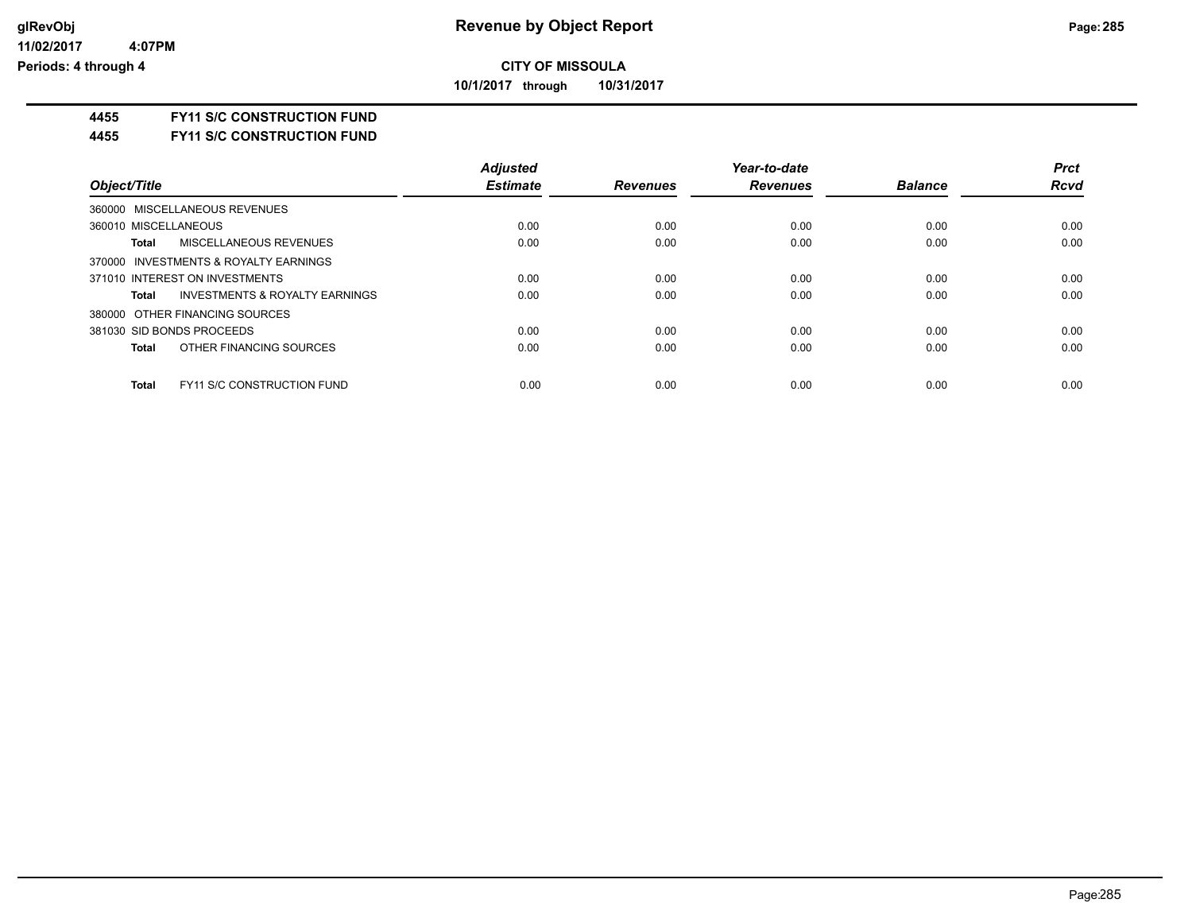**10/1/2017 through 10/31/2017**

# **4455 FY11 S/C CONSTRUCTION FUND**

#### **4455 FY11 S/C CONSTRUCTION FUND**

| <b>Adjusted</b> |                 | Year-to-date    |                | <b>Prct</b> |
|-----------------|-----------------|-----------------|----------------|-------------|
| <b>Estimate</b> | <b>Revenues</b> | <b>Revenues</b> | <b>Balance</b> | <b>Rcvd</b> |
|                 |                 |                 |                |             |
| 0.00            | 0.00            | 0.00            | 0.00           | 0.00        |
| 0.00            | 0.00            | 0.00            | 0.00           | 0.00        |
|                 |                 |                 |                |             |
| 0.00            | 0.00            | 0.00            | 0.00           | 0.00        |
| 0.00            | 0.00            | 0.00            | 0.00           | 0.00        |
|                 |                 |                 |                |             |
| 0.00            | 0.00            | 0.00            | 0.00           | 0.00        |
| 0.00            | 0.00            | 0.00            | 0.00           | 0.00        |
|                 |                 |                 |                | 0.00        |
|                 | 0.00            | 0.00            | 0.00           | 0.00        |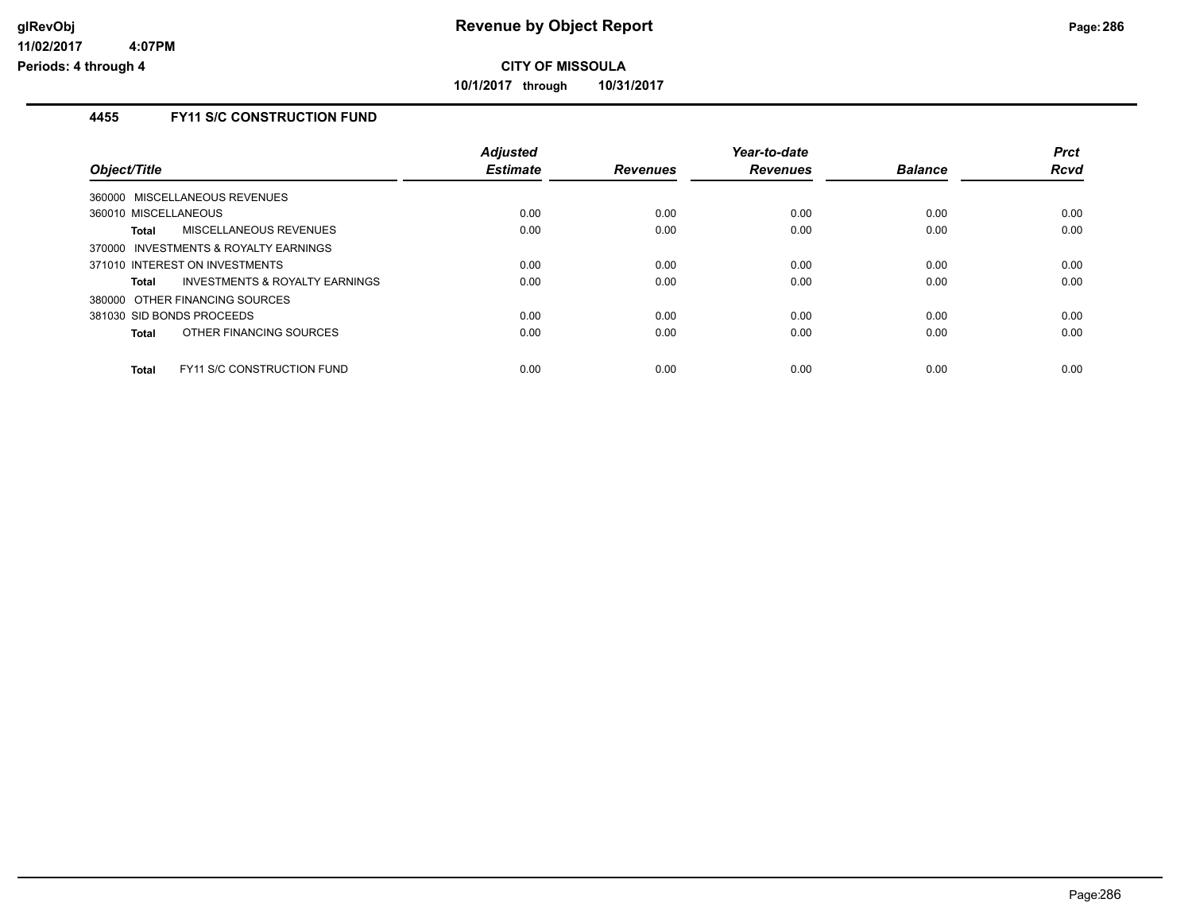**10/1/2017 through 10/31/2017**

# **4455 FY11 S/C CONSTRUCTION FUND**

| Object/Title                                       | <b>Adjusted</b><br><b>Estimate</b> | <b>Revenues</b> | Year-to-date<br><b>Revenues</b> | <b>Balance</b> | <b>Prct</b><br><b>Rcvd</b> |
|----------------------------------------------------|------------------------------------|-----------------|---------------------------------|----------------|----------------------------|
| 360000 MISCELLANEOUS REVENUES                      |                                    |                 |                                 |                |                            |
| 360010 MISCELLANEOUS                               | 0.00                               | 0.00            | 0.00                            | 0.00           | 0.00                       |
| MISCELLANEOUS REVENUES<br>Total                    | 0.00                               | 0.00            | 0.00                            | 0.00           | 0.00                       |
| 370000 INVESTMENTS & ROYALTY EARNINGS              |                                    |                 |                                 |                |                            |
| 371010 INTEREST ON INVESTMENTS                     | 0.00                               | 0.00            | 0.00                            | 0.00           | 0.00                       |
| <b>INVESTMENTS &amp; ROYALTY EARNINGS</b><br>Total | 0.00                               | 0.00            | 0.00                            | 0.00           | 0.00                       |
| 380000 OTHER FINANCING SOURCES                     |                                    |                 |                                 |                |                            |
| 381030 SID BONDS PROCEEDS                          | 0.00                               | 0.00            | 0.00                            | 0.00           | 0.00                       |
| OTHER FINANCING SOURCES<br>Total                   | 0.00                               | 0.00            | 0.00                            | 0.00           | 0.00                       |
| <b>FY11 S/C CONSTRUCTION FUND</b><br><b>Total</b>  | 0.00                               | 0.00            | 0.00                            | 0.00           | 0.00                       |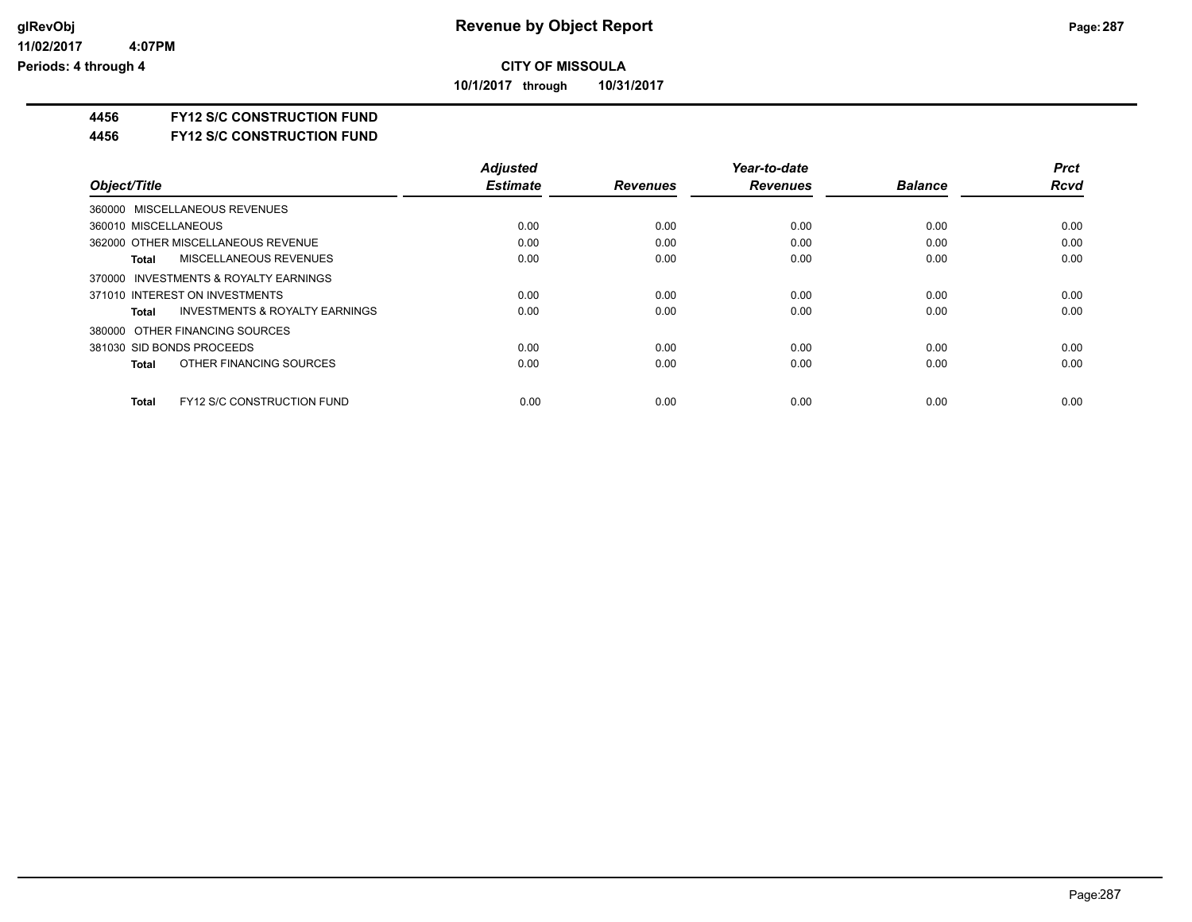**10/1/2017 through 10/31/2017**

## **4456 FY12 S/C CONSTRUCTION FUND**

#### **4456 FY12 S/C CONSTRUCTION FUND**

|                                                    | <b>Adjusted</b> |                 | Year-to-date    |                | <b>Prct</b> |
|----------------------------------------------------|-----------------|-----------------|-----------------|----------------|-------------|
| Object/Title                                       | <b>Estimate</b> | <b>Revenues</b> | <b>Revenues</b> | <b>Balance</b> | <b>Rcvd</b> |
| 360000 MISCELLANEOUS REVENUES                      |                 |                 |                 |                |             |
| 360010 MISCELLANEOUS                               | 0.00            | 0.00            | 0.00            | 0.00           | 0.00        |
| 362000 OTHER MISCELLANEOUS REVENUE                 | 0.00            | 0.00            | 0.00            | 0.00           | 0.00        |
| <b>MISCELLANEOUS REVENUES</b><br>Total             | 0.00            | 0.00            | 0.00            | 0.00           | 0.00        |
| 370000 INVESTMENTS & ROYALTY EARNINGS              |                 |                 |                 |                |             |
| 371010 INTEREST ON INVESTMENTS                     | 0.00            | 0.00            | 0.00            | 0.00           | 0.00        |
| <b>INVESTMENTS &amp; ROYALTY EARNINGS</b><br>Total | 0.00            | 0.00            | 0.00            | 0.00           | 0.00        |
| 380000 OTHER FINANCING SOURCES                     |                 |                 |                 |                |             |
| 381030 SID BONDS PROCEEDS                          | 0.00            | 0.00            | 0.00            | 0.00           | 0.00        |
| OTHER FINANCING SOURCES<br>Total                   | 0.00            | 0.00            | 0.00            | 0.00           | 0.00        |
| FY12 S/C CONSTRUCTION FUND<br>Total                | 0.00            | 0.00            | 0.00            | 0.00           | 0.00        |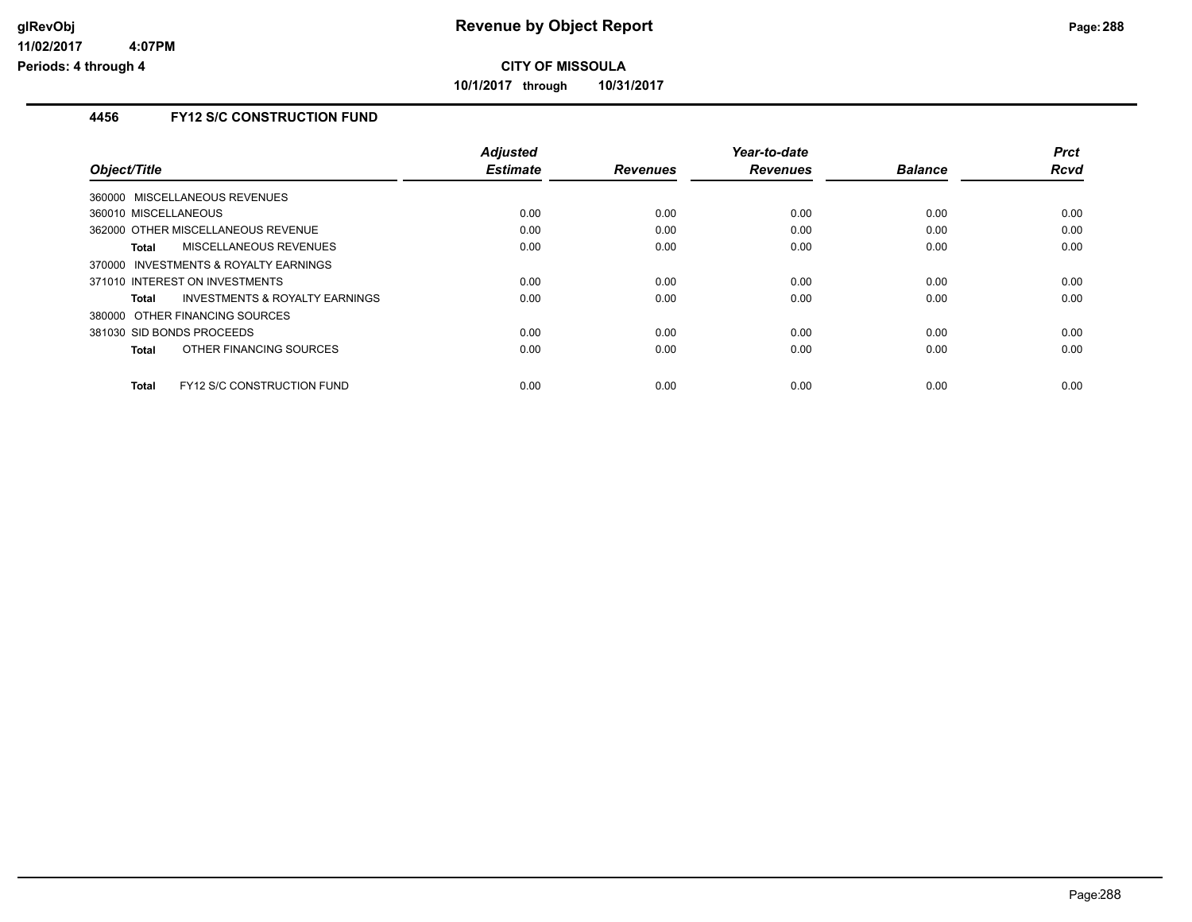**10/1/2017 through 10/31/2017**

## **4456 FY12 S/C CONSTRUCTION FUND**

|                                                    | <b>Adjusted</b> |                 | Year-to-date    |                | <b>Prct</b> |
|----------------------------------------------------|-----------------|-----------------|-----------------|----------------|-------------|
| Object/Title                                       | <b>Estimate</b> | <b>Revenues</b> | <b>Revenues</b> | <b>Balance</b> | <b>Rcvd</b> |
| 360000 MISCELLANEOUS REVENUES                      |                 |                 |                 |                |             |
| 360010 MISCELLANEOUS                               | 0.00            | 0.00            | 0.00            | 0.00           | 0.00        |
| 362000 OTHER MISCELLANEOUS REVENUE                 | 0.00            | 0.00            | 0.00            | 0.00           | 0.00        |
| <b>MISCELLANEOUS REVENUES</b><br>Total             | 0.00            | 0.00            | 0.00            | 0.00           | 0.00        |
| 370000 INVESTMENTS & ROYALTY EARNINGS              |                 |                 |                 |                |             |
| 371010 INTEREST ON INVESTMENTS                     | 0.00            | 0.00            | 0.00            | 0.00           | 0.00        |
| <b>INVESTMENTS &amp; ROYALTY EARNINGS</b><br>Total | 0.00            | 0.00            | 0.00            | 0.00           | 0.00        |
| 380000 OTHER FINANCING SOURCES                     |                 |                 |                 |                |             |
| 381030 SID BONDS PROCEEDS                          | 0.00            | 0.00            | 0.00            | 0.00           | 0.00        |
| OTHER FINANCING SOURCES<br><b>Total</b>            | 0.00            | 0.00            | 0.00            | 0.00           | 0.00        |
| <b>FY12 S/C CONSTRUCTION FUND</b><br><b>Total</b>  | 0.00            | 0.00            | 0.00            | 0.00           | 0.00        |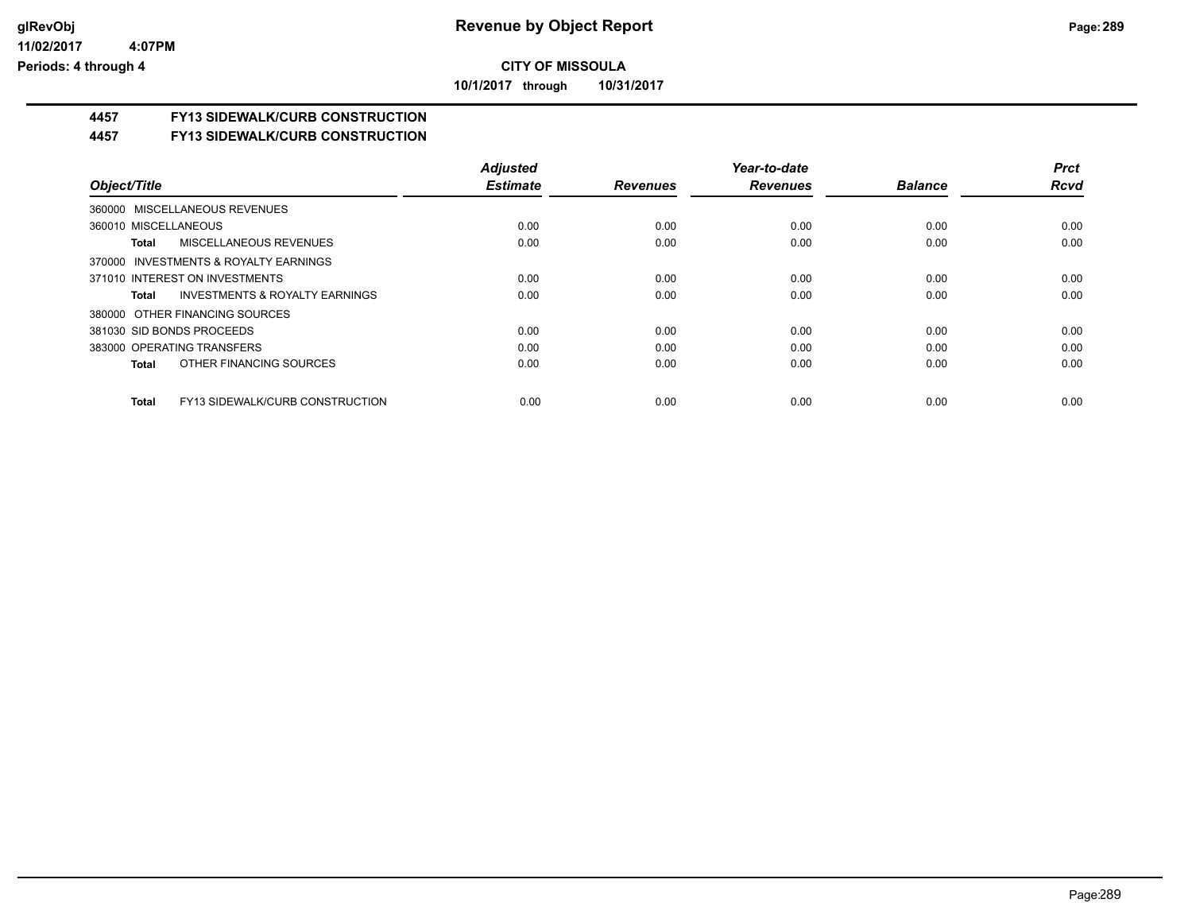**Periods: 4 through 4**

 **4:07PM**

**CITY OF MISSOULA**

**10/1/2017 through 10/31/2017**

## **4457 FY13 SIDEWALK/CURB CONSTRUCTION**

**4457 FY13 SIDEWALK/CURB CONSTRUCTION**

| Object/Title                                    | <b>Adjusted</b><br><b>Estimate</b> | <b>Revenues</b> | Year-to-date<br><b>Revenues</b> | <b>Balance</b> | <b>Prct</b><br><b>Rcvd</b> |
|-------------------------------------------------|------------------------------------|-----------------|---------------------------------|----------------|----------------------------|
| 360000 MISCELLANEOUS REVENUES                   |                                    |                 |                                 |                |                            |
| 360010 MISCELLANEOUS                            | 0.00                               | 0.00            | 0.00                            | 0.00           | 0.00                       |
| MISCELLANEOUS REVENUES<br>Total                 | 0.00                               | 0.00            | 0.00                            | 0.00           | 0.00                       |
| 370000 INVESTMENTS & ROYALTY EARNINGS           |                                    |                 |                                 |                |                            |
| 371010 INTEREST ON INVESTMENTS                  | 0.00                               | 0.00            | 0.00                            | 0.00           | 0.00                       |
| INVESTMENTS & ROYALTY EARNINGS<br>Total         | 0.00                               | 0.00            | 0.00                            | 0.00           | 0.00                       |
| 380000 OTHER FINANCING SOURCES                  |                                    |                 |                                 |                |                            |
| 381030 SID BONDS PROCEEDS                       | 0.00                               | 0.00            | 0.00                            | 0.00           | 0.00                       |
| 383000 OPERATING TRANSFERS                      | 0.00                               | 0.00            | 0.00                            | 0.00           | 0.00                       |
| OTHER FINANCING SOURCES<br>Total                | 0.00                               | 0.00            | 0.00                            | 0.00           | 0.00                       |
| FY13 SIDEWALK/CURB CONSTRUCTION<br><b>Total</b> | 0.00                               | 0.00            | 0.00                            | 0.00           | 0.00                       |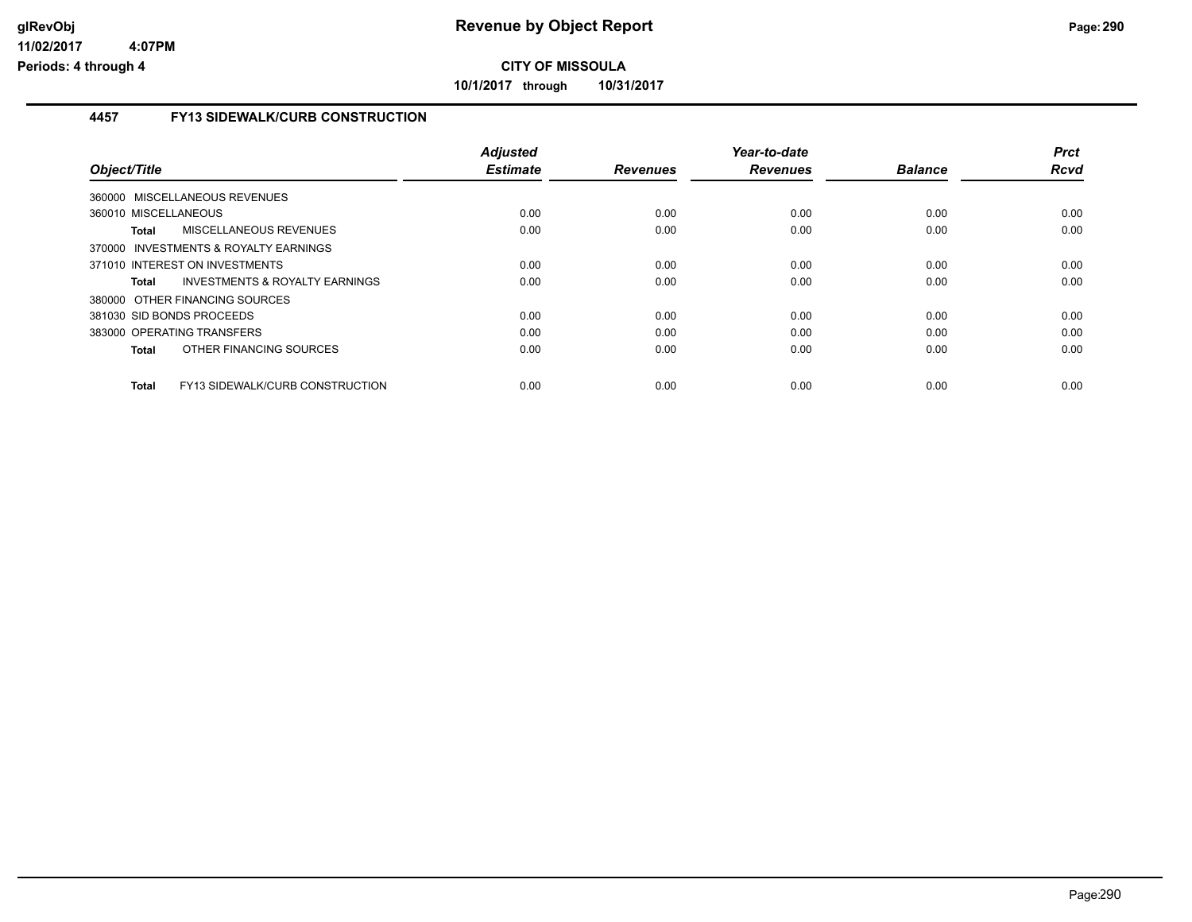**10/1/2017 through 10/31/2017**

#### **4457 FY13 SIDEWALK/CURB CONSTRUCTION**

|                                                    | <b>Adjusted</b> |                 | Year-to-date    |                | <b>Prct</b> |
|----------------------------------------------------|-----------------|-----------------|-----------------|----------------|-------------|
| Object/Title                                       | <b>Estimate</b> | <b>Revenues</b> | <b>Revenues</b> | <b>Balance</b> | <b>Rcvd</b> |
| 360000 MISCELLANEOUS REVENUES                      |                 |                 |                 |                |             |
| 360010 MISCELLANEOUS                               | 0.00            | 0.00            | 0.00            | 0.00           | 0.00        |
| MISCELLANEOUS REVENUES<br><b>Total</b>             | 0.00            | 0.00            | 0.00            | 0.00           | 0.00        |
| 370000 INVESTMENTS & ROYALTY EARNINGS              |                 |                 |                 |                |             |
| 371010 INTEREST ON INVESTMENTS                     | 0.00            | 0.00            | 0.00            | 0.00           | 0.00        |
| <b>INVESTMENTS &amp; ROYALTY EARNINGS</b><br>Total | 0.00            | 0.00            | 0.00            | 0.00           | 0.00        |
| 380000 OTHER FINANCING SOURCES                     |                 |                 |                 |                |             |
| 381030 SID BONDS PROCEEDS                          | 0.00            | 0.00            | 0.00            | 0.00           | 0.00        |
| 383000 OPERATING TRANSFERS                         | 0.00            | 0.00            | 0.00            | 0.00           | 0.00        |
| OTHER FINANCING SOURCES<br><b>Total</b>            | 0.00            | 0.00            | 0.00            | 0.00           | 0.00        |
| <b>Total</b><br>FY13 SIDEWALK/CURB CONSTRUCTION    | 0.00            | 0.00            | 0.00            | 0.00           | 0.00        |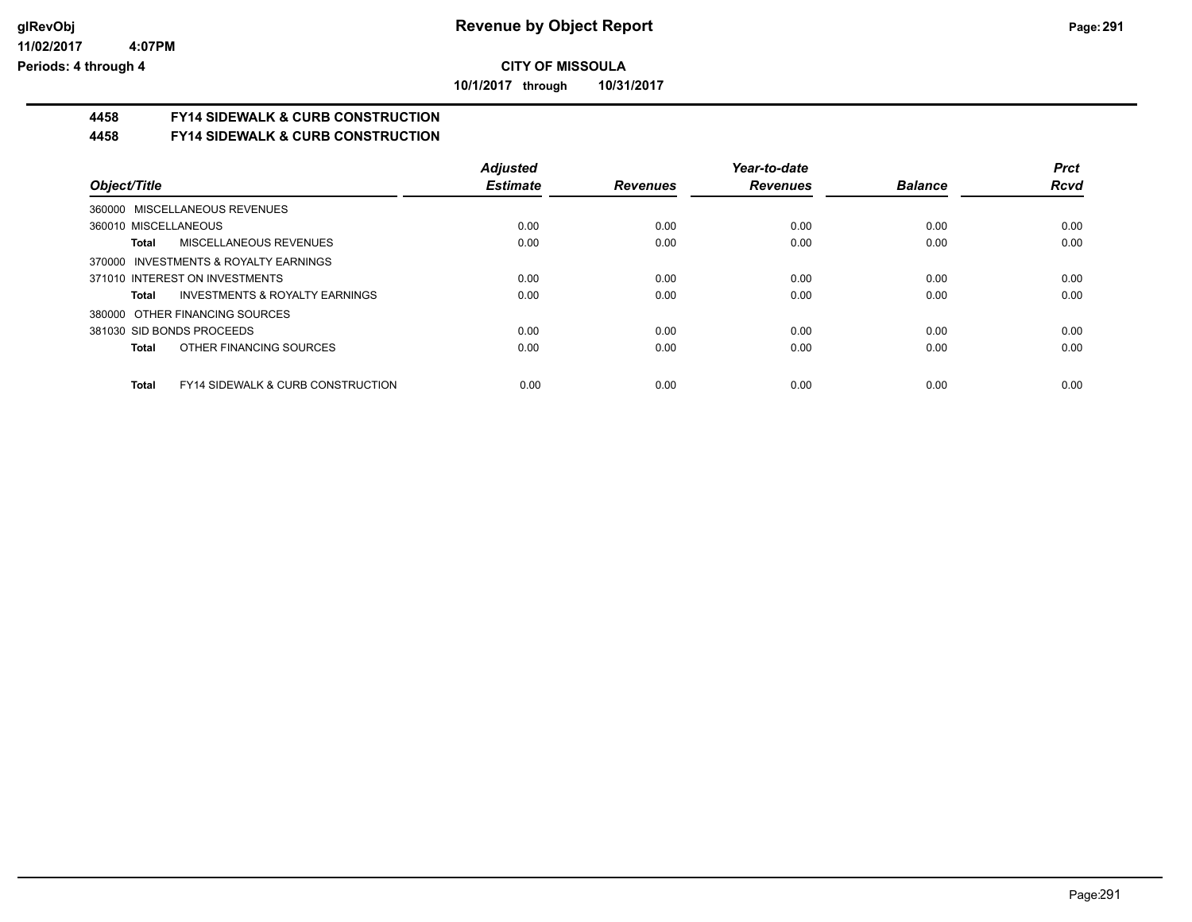**Periods: 4 through 4**

 **4:07PM**

**CITY OF MISSOULA**

**10/1/2017 through 10/31/2017**

# **4458 FY14 SIDEWALK & CURB CONSTRUCTION**

### **4458 FY14 SIDEWALK & CURB CONSTRUCTION**

|                                                              | <b>Adjusted</b> |                 | Year-to-date    |                | <b>Prct</b> |
|--------------------------------------------------------------|-----------------|-----------------|-----------------|----------------|-------------|
| Object/Title                                                 | <b>Estimate</b> | <b>Revenues</b> | <b>Revenues</b> | <b>Balance</b> | <b>Rcvd</b> |
| 360000 MISCELLANEOUS REVENUES                                |                 |                 |                 |                |             |
| 360010 MISCELLANEOUS                                         | 0.00            | 0.00            | 0.00            | 0.00           | 0.00        |
| <b>MISCELLANEOUS REVENUES</b><br>Total                       | 0.00            | 0.00            | 0.00            | 0.00           | 0.00        |
| 370000 INVESTMENTS & ROYALTY EARNINGS                        |                 |                 |                 |                |             |
| 371010 INTEREST ON INVESTMENTS                               | 0.00            | 0.00            | 0.00            | 0.00           | 0.00        |
| <b>INVESTMENTS &amp; ROYALTY EARNINGS</b><br>Total           | 0.00            | 0.00            | 0.00            | 0.00           | 0.00        |
| 380000 OTHER FINANCING SOURCES                               |                 |                 |                 |                |             |
| 381030 SID BONDS PROCEEDS                                    | 0.00            | 0.00            | 0.00            | 0.00           | 0.00        |
| OTHER FINANCING SOURCES<br><b>Total</b>                      | 0.00            | 0.00            | 0.00            | 0.00           | 0.00        |
| <b>FY14 SIDEWALK &amp; CURB CONSTRUCTION</b><br><b>Total</b> | 0.00            | 0.00            | 0.00            | 0.00           | 0.00        |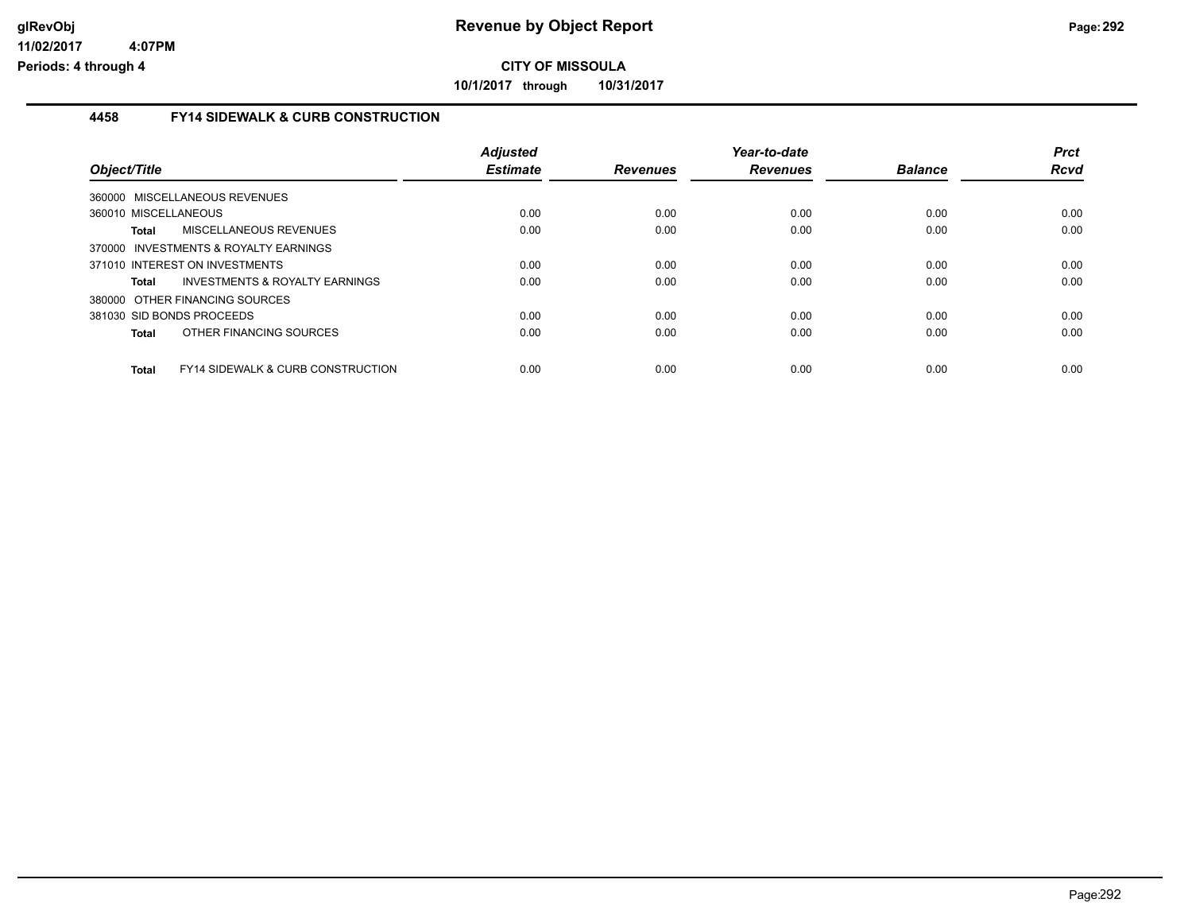**Periods: 4 through 4**

**CITY OF MISSOULA**

**10/1/2017 through 10/31/2017**

#### **4458 FY14 SIDEWALK & CURB CONSTRUCTION**

| Object/Title                                                 | <b>Adjusted</b><br><b>Estimate</b> | <b>Revenues</b> | Year-to-date<br><b>Revenues</b> | <b>Balance</b> | <b>Prct</b><br><b>Rcvd</b> |
|--------------------------------------------------------------|------------------------------------|-----------------|---------------------------------|----------------|----------------------------|
| 360000 MISCELLANEOUS REVENUES                                |                                    |                 |                                 |                |                            |
| 360010 MISCELLANEOUS                                         | 0.00                               | 0.00            | 0.00                            | 0.00           | 0.00                       |
| MISCELLANEOUS REVENUES<br><b>Total</b>                       | 0.00                               | 0.00            | 0.00                            | 0.00           | 0.00                       |
| 370000 INVESTMENTS & ROYALTY EARNINGS                        |                                    |                 |                                 |                |                            |
| 371010 INTEREST ON INVESTMENTS                               | 0.00                               | 0.00            | 0.00                            | 0.00           | 0.00                       |
| INVESTMENTS & ROYALTY EARNINGS<br><b>Total</b>               | 0.00                               | 0.00            | 0.00                            | 0.00           | 0.00                       |
| 380000 OTHER FINANCING SOURCES                               |                                    |                 |                                 |                |                            |
| 381030 SID BONDS PROCEEDS                                    | 0.00                               | 0.00            | 0.00                            | 0.00           | 0.00                       |
| OTHER FINANCING SOURCES<br><b>Total</b>                      | 0.00                               | 0.00            | 0.00                            | 0.00           | 0.00                       |
| <b>FY14 SIDEWALK &amp; CURB CONSTRUCTION</b><br><b>Total</b> | 0.00                               | 0.00            | 0.00                            | 0.00           | 0.00                       |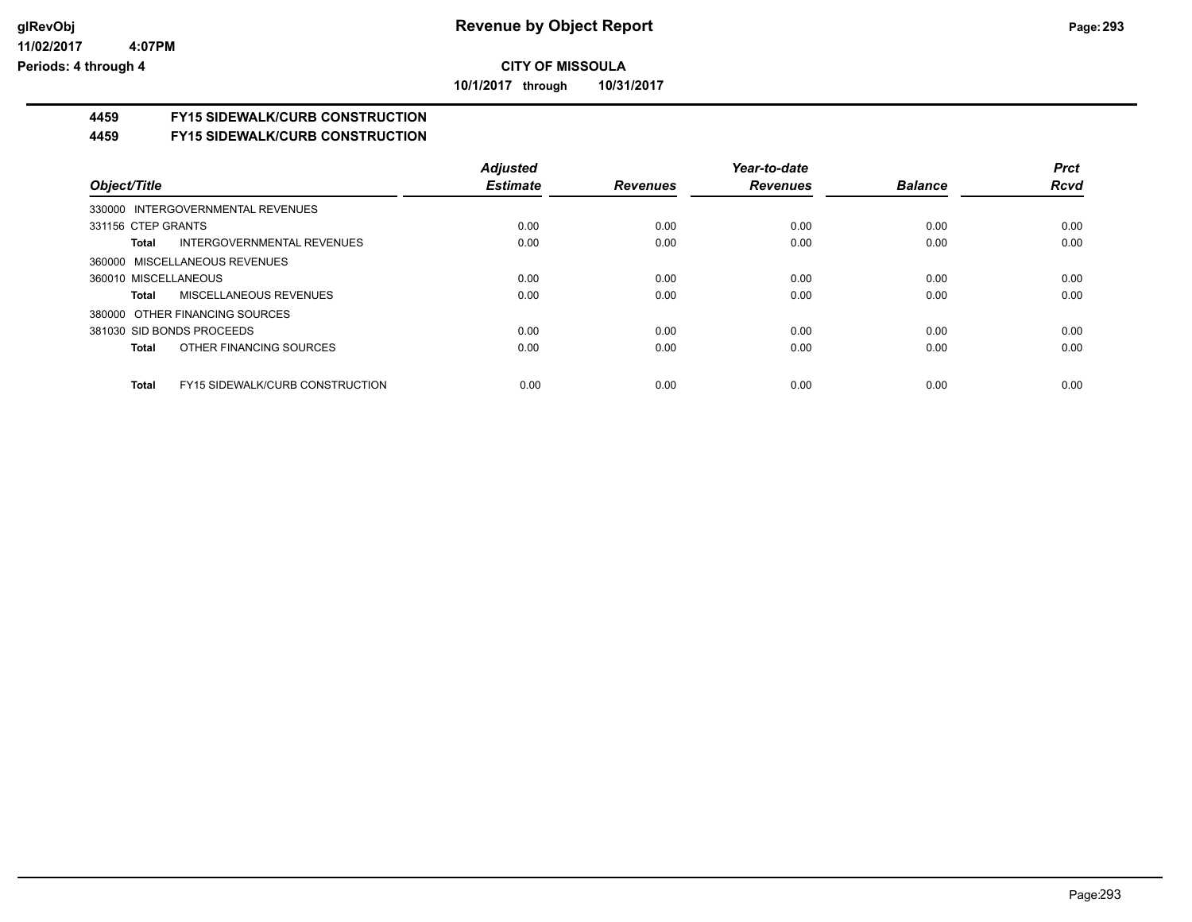**11/02/2017 4:07PM Periods: 4 through 4**

**CITY OF MISSOULA**

**10/1/2017 through 10/31/2017**

# **4459 FY15 SIDEWALK/CURB CONSTRUCTION**

**4459 FY15 SIDEWALK/CURB CONSTRUCTION**

|                                                 | <b>Adjusted</b> |                 | Year-to-date    |                | <b>Prct</b> |
|-------------------------------------------------|-----------------|-----------------|-----------------|----------------|-------------|
| Object/Title                                    | <b>Estimate</b> | <b>Revenues</b> | <b>Revenues</b> | <b>Balance</b> | <b>Rcvd</b> |
| 330000 INTERGOVERNMENTAL REVENUES               |                 |                 |                 |                |             |
| 331156 CTEP GRANTS                              | 0.00            | 0.00            | 0.00            | 0.00           | 0.00        |
| INTERGOVERNMENTAL REVENUES<br>Total             | 0.00            | 0.00            | 0.00            | 0.00           | 0.00        |
| 360000 MISCELLANEOUS REVENUES                   |                 |                 |                 |                |             |
| 360010 MISCELLANEOUS                            | 0.00            | 0.00            | 0.00            | 0.00           | 0.00        |
| <b>MISCELLANEOUS REVENUES</b><br>Total          | 0.00            | 0.00            | 0.00            | 0.00           | 0.00        |
| 380000 OTHER FINANCING SOURCES                  |                 |                 |                 |                |             |
| 381030 SID BONDS PROCEEDS                       | 0.00            | 0.00            | 0.00            | 0.00           | 0.00        |
| OTHER FINANCING SOURCES<br>Total                | 0.00            | 0.00            | 0.00            | 0.00           | 0.00        |
| <b>FY15 SIDEWALK/CURB CONSTRUCTION</b><br>Total | 0.00            | 0.00            | 0.00            | 0.00           | 0.00        |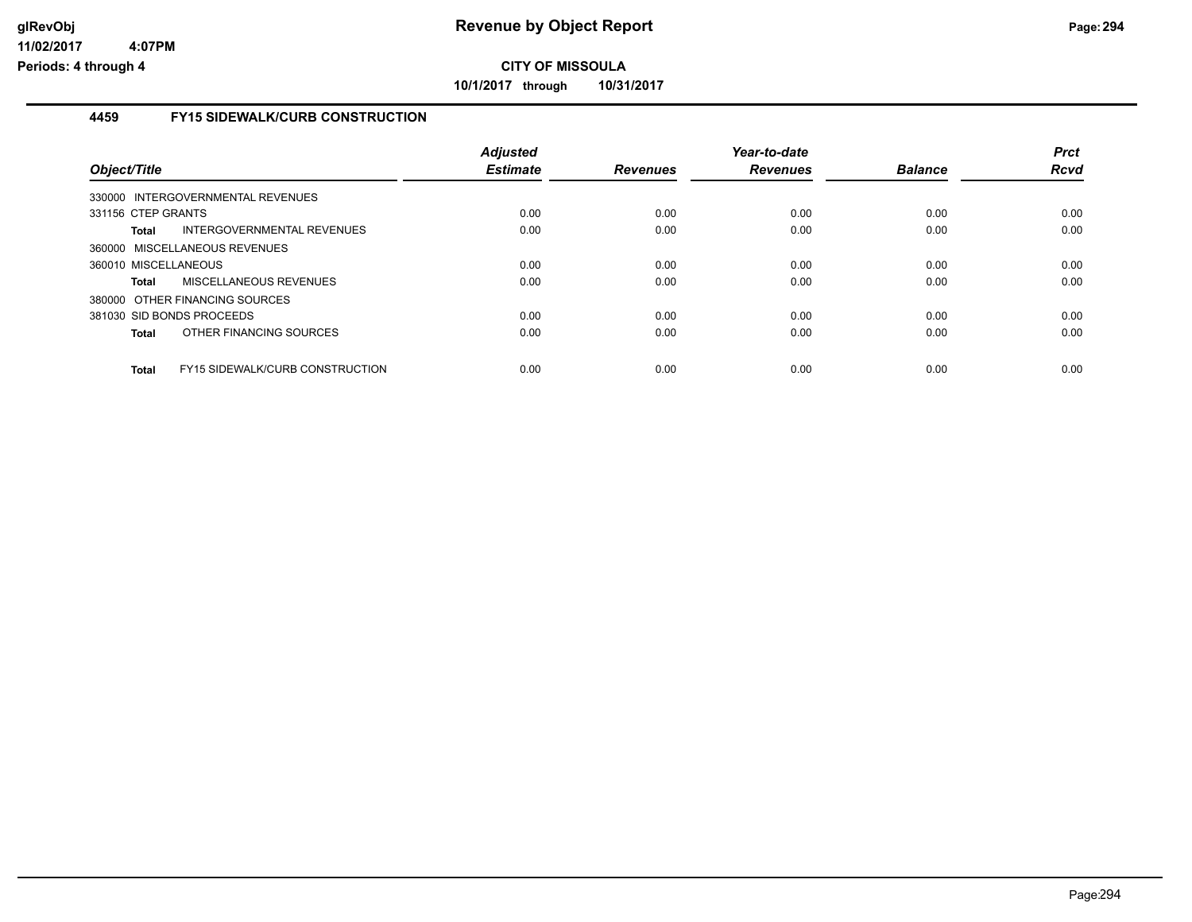**10/1/2017 through 10/31/2017**

#### **4459 FY15 SIDEWALK/CURB CONSTRUCTION**

| Object/Title                                    | <b>Adjusted</b><br><b>Estimate</b> | <b>Revenues</b> | Year-to-date<br><b>Revenues</b> | <b>Balance</b> | <b>Prct</b><br><b>Rcvd</b> |
|-------------------------------------------------|------------------------------------|-----------------|---------------------------------|----------------|----------------------------|
| 330000 INTERGOVERNMENTAL REVENUES               |                                    |                 |                                 |                |                            |
| 331156 CTEP GRANTS                              | 0.00                               | 0.00            | 0.00                            | 0.00           | 0.00                       |
| INTERGOVERNMENTAL REVENUES<br><b>Total</b>      | 0.00                               | 0.00            | 0.00                            | 0.00           | 0.00                       |
| 360000 MISCELLANEOUS REVENUES                   |                                    |                 |                                 |                |                            |
| 360010 MISCELLANEOUS                            | 0.00                               | 0.00            | 0.00                            | 0.00           | 0.00                       |
| MISCELLANEOUS REVENUES<br><b>Total</b>          | 0.00                               | 0.00            | 0.00                            | 0.00           | 0.00                       |
| 380000 OTHER FINANCING SOURCES                  |                                    |                 |                                 |                |                            |
| 381030 SID BONDS PROCEEDS                       | 0.00                               | 0.00            | 0.00                            | 0.00           | 0.00                       |
| OTHER FINANCING SOURCES<br><b>Total</b>         | 0.00                               | 0.00            | 0.00                            | 0.00           | 0.00                       |
| FY15 SIDEWALK/CURB CONSTRUCTION<br><b>Total</b> | 0.00                               | 0.00            | 0.00                            | 0.00           | 0.00                       |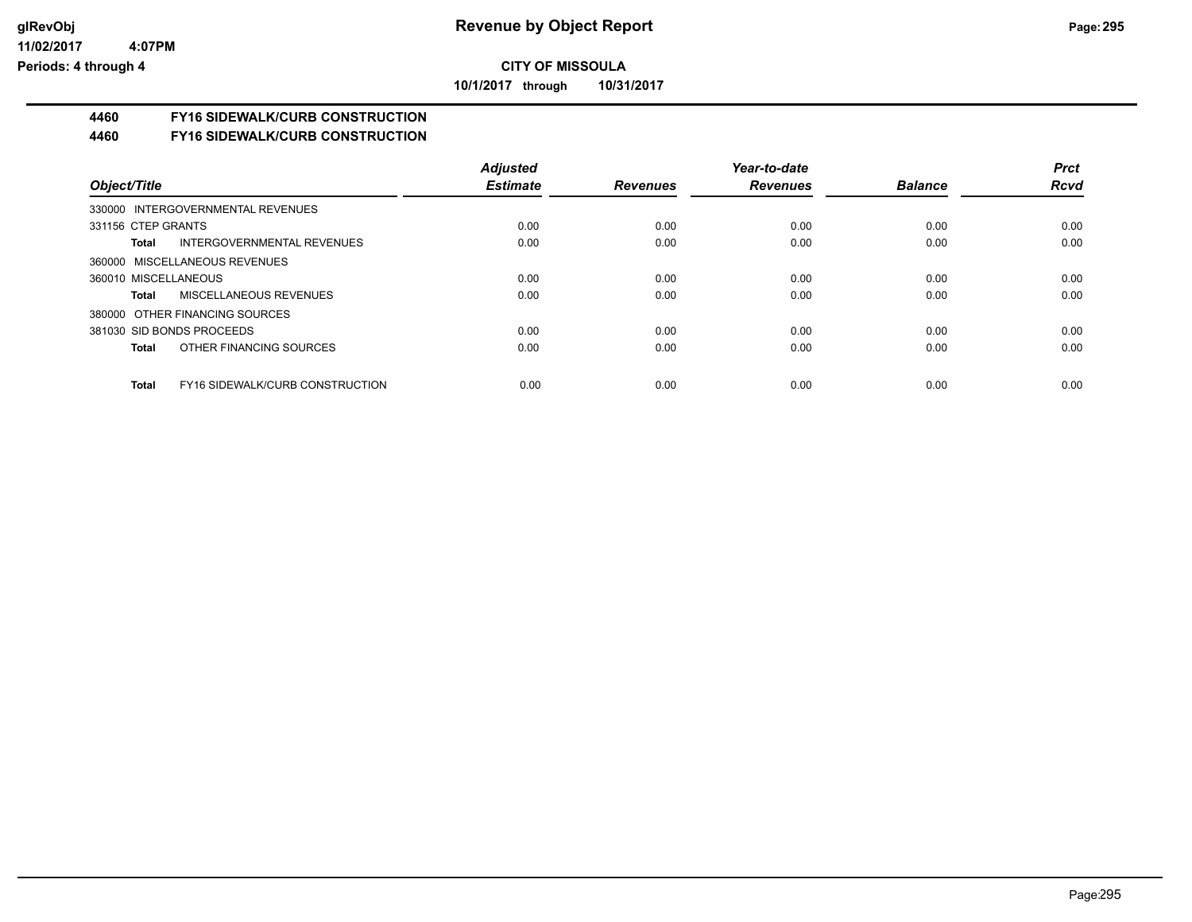**11/02/2017 4:07PM Periods: 4 through 4**

### **CITY OF MISSOULA**

**10/1/2017 through 10/31/2017**

# **4460 FY16 SIDEWALK/CURB CONSTRUCTION**

**4460 FY16 SIDEWALK/CURB CONSTRUCTION**

|                                                 | <b>Adjusted</b> |                 | Year-to-date    |                | <b>Prct</b> |
|-------------------------------------------------|-----------------|-----------------|-----------------|----------------|-------------|
| Object/Title                                    | <b>Estimate</b> | <b>Revenues</b> | <b>Revenues</b> | <b>Balance</b> | <b>Rcvd</b> |
| 330000 INTERGOVERNMENTAL REVENUES               |                 |                 |                 |                |             |
| 331156 CTEP GRANTS                              | 0.00            | 0.00            | 0.00            | 0.00           | 0.00        |
| INTERGOVERNMENTAL REVENUES<br>Total             | 0.00            | 0.00            | 0.00            | 0.00           | 0.00        |
| 360000 MISCELLANEOUS REVENUES                   |                 |                 |                 |                |             |
| 360010 MISCELLANEOUS                            | 0.00            | 0.00            | 0.00            | 0.00           | 0.00        |
| MISCELLANEOUS REVENUES<br>Total                 | 0.00            | 0.00            | 0.00            | 0.00           | 0.00        |
| 380000 OTHER FINANCING SOURCES                  |                 |                 |                 |                |             |
| 381030 SID BONDS PROCEEDS                       | 0.00            | 0.00            | 0.00            | 0.00           | 0.00        |
| OTHER FINANCING SOURCES<br>Total                | 0.00            | 0.00            | 0.00            | 0.00           | 0.00        |
| FY16 SIDEWALK/CURB CONSTRUCTION<br><b>Total</b> | 0.00            | 0.00            | 0.00            | 0.00           | 0.00        |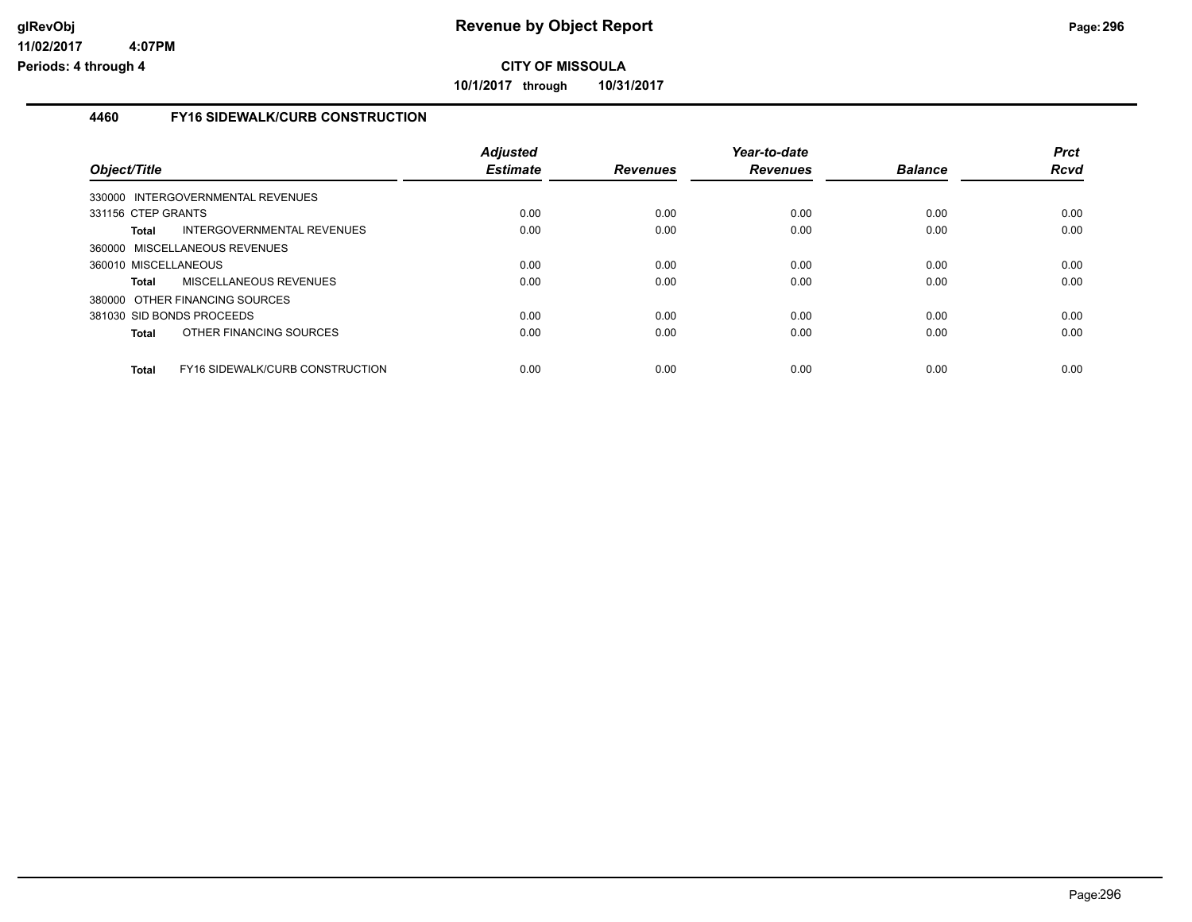**Periods: 4 through 4**

**CITY OF MISSOULA**

**10/1/2017 through 10/31/2017**

#### **4460 FY16 SIDEWALK/CURB CONSTRUCTION**

| Object/Title                                    | <b>Adjusted</b><br><b>Estimate</b> | <b>Revenues</b> | Year-to-date<br><b>Revenues</b> | <b>Balance</b> | <b>Prct</b><br><b>Rcvd</b> |
|-------------------------------------------------|------------------------------------|-----------------|---------------------------------|----------------|----------------------------|
| 330000 INTERGOVERNMENTAL REVENUES               |                                    |                 |                                 |                |                            |
| 331156 CTEP GRANTS                              | 0.00                               | 0.00            | 0.00                            | 0.00           | 0.00                       |
| INTERGOVERNMENTAL REVENUES<br><b>Total</b>      | 0.00                               | 0.00            | 0.00                            | 0.00           | 0.00                       |
| 360000 MISCELLANEOUS REVENUES                   |                                    |                 |                                 |                |                            |
| 360010 MISCELLANEOUS                            | 0.00                               | 0.00            | 0.00                            | 0.00           | 0.00                       |
| MISCELLANEOUS REVENUES<br><b>Total</b>          | 0.00                               | 0.00            | 0.00                            | 0.00           | 0.00                       |
| 380000 OTHER FINANCING SOURCES                  |                                    |                 |                                 |                |                            |
| 381030 SID BONDS PROCEEDS                       | 0.00                               | 0.00            | 0.00                            | 0.00           | 0.00                       |
| OTHER FINANCING SOURCES<br><b>Total</b>         | 0.00                               | 0.00            | 0.00                            | 0.00           | 0.00                       |
| FY16 SIDEWALK/CURB CONSTRUCTION<br><b>Total</b> | 0.00                               | 0.00            | 0.00                            | 0.00           | 0.00                       |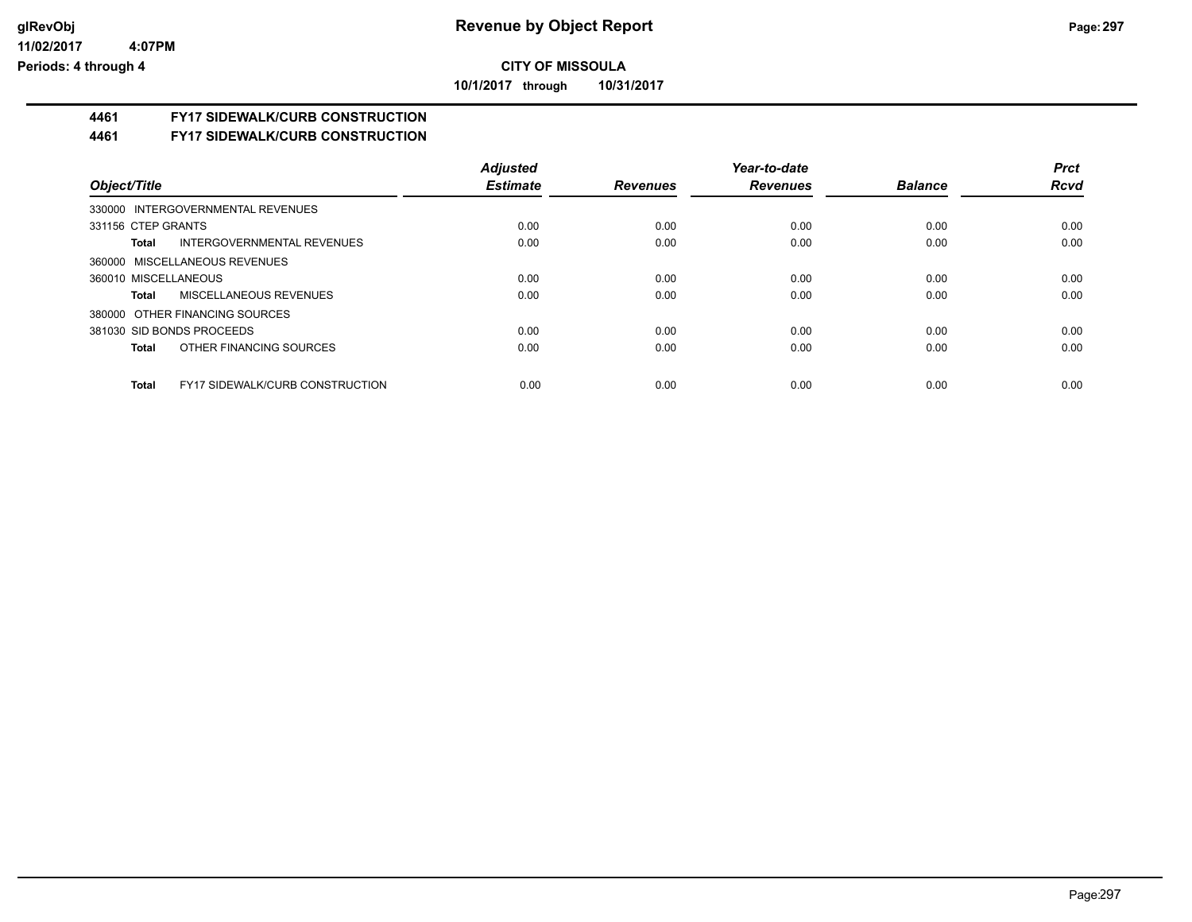**11/02/2017 4:07PM Periods: 4 through 4**

### **CITY OF MISSOULA**

**10/1/2017 through 10/31/2017**

# **4461 FY17 SIDEWALK/CURB CONSTRUCTION**

**4461 FY17 SIDEWALK/CURB CONSTRUCTION**

|                                                        | <b>Adjusted</b> |                 | Year-to-date    |                | <b>Prct</b> |
|--------------------------------------------------------|-----------------|-----------------|-----------------|----------------|-------------|
| Object/Title                                           | <b>Estimate</b> | <b>Revenues</b> | <b>Revenues</b> | <b>Balance</b> | <b>Rcvd</b> |
| 330000 INTERGOVERNMENTAL REVENUES                      |                 |                 |                 |                |             |
| 331156 CTEP GRANTS                                     | 0.00            | 0.00            | 0.00            | 0.00           | 0.00        |
| INTERGOVERNMENTAL REVENUES<br>Total                    | 0.00            | 0.00            | 0.00            | 0.00           | 0.00        |
| 360000 MISCELLANEOUS REVENUES                          |                 |                 |                 |                |             |
| 360010 MISCELLANEOUS                                   | 0.00            | 0.00            | 0.00            | 0.00           | 0.00        |
| <b>MISCELLANEOUS REVENUES</b><br>Total                 | 0.00            | 0.00            | 0.00            | 0.00           | 0.00        |
| 380000 OTHER FINANCING SOURCES                         |                 |                 |                 |                |             |
| 381030 SID BONDS PROCEEDS                              | 0.00            | 0.00            | 0.00            | 0.00           | 0.00        |
| OTHER FINANCING SOURCES<br><b>Total</b>                | 0.00            | 0.00            | 0.00            | 0.00           | 0.00        |
| <b>FY17 SIDEWALK/CURB CONSTRUCTION</b><br><b>Total</b> | 0.00            | 0.00            | 0.00            | 0.00           | 0.00        |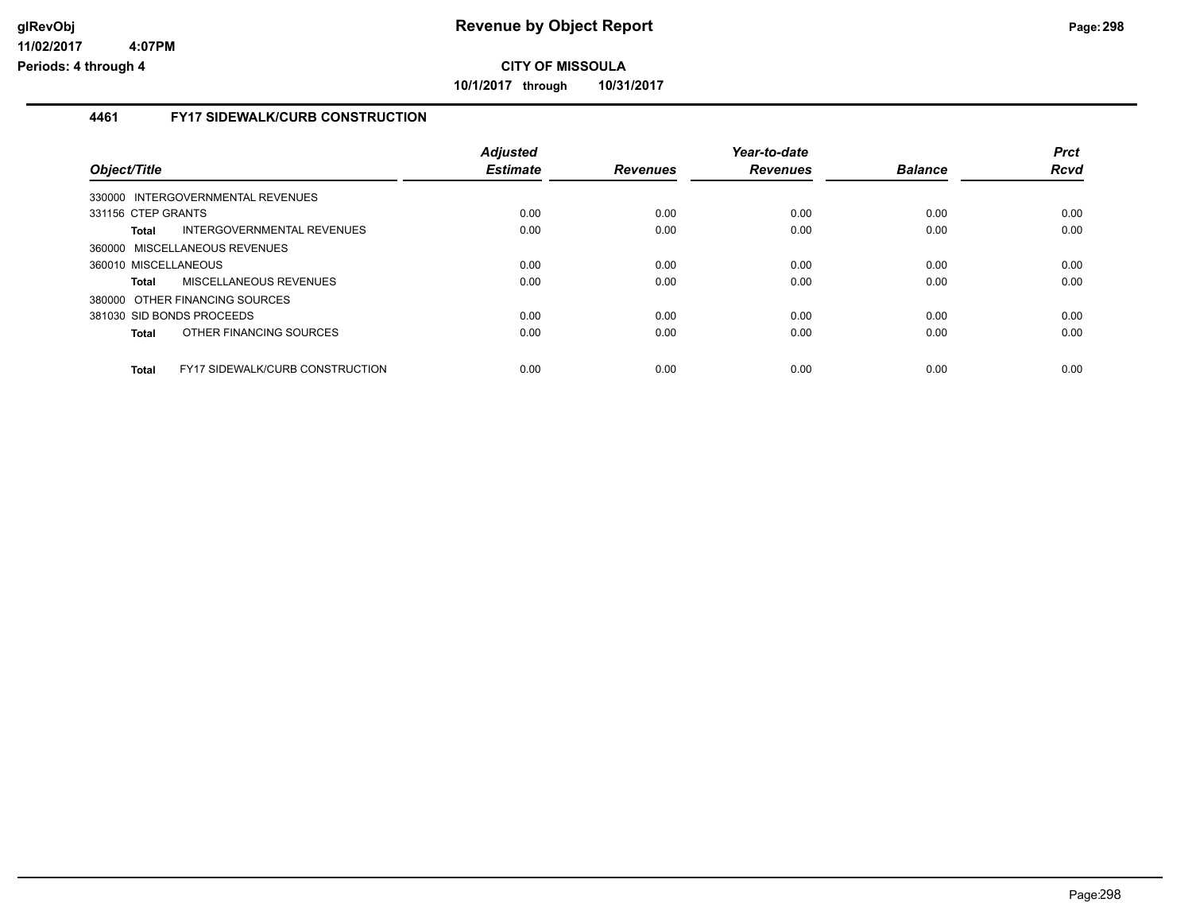**10/1/2017 through 10/31/2017**

#### **4461 FY17 SIDEWALK/CURB CONSTRUCTION**

| Object/Title                                    | <b>Adjusted</b><br><b>Estimate</b> | <b>Revenues</b> | Year-to-date<br><b>Revenues</b> | <b>Balance</b> | <b>Prct</b><br><b>Rcvd</b> |
|-------------------------------------------------|------------------------------------|-----------------|---------------------------------|----------------|----------------------------|
| 330000 INTERGOVERNMENTAL REVENUES               |                                    |                 |                                 |                |                            |
| 331156 CTEP GRANTS                              | 0.00                               | 0.00            | 0.00                            | 0.00           | 0.00                       |
| INTERGOVERNMENTAL REVENUES<br><b>Total</b>      | 0.00                               | 0.00            | 0.00                            | 0.00           | 0.00                       |
| 360000 MISCELLANEOUS REVENUES                   |                                    |                 |                                 |                |                            |
| 360010 MISCELLANEOUS                            | 0.00                               | 0.00            | 0.00                            | 0.00           | 0.00                       |
| <b>MISCELLANEOUS REVENUES</b><br><b>Total</b>   | 0.00                               | 0.00            | 0.00                            | 0.00           | 0.00                       |
| 380000 OTHER FINANCING SOURCES                  |                                    |                 |                                 |                |                            |
| 381030 SID BONDS PROCEEDS                       | 0.00                               | 0.00            | 0.00                            | 0.00           | 0.00                       |
| OTHER FINANCING SOURCES<br><b>Total</b>         | 0.00                               | 0.00            | 0.00                            | 0.00           | 0.00                       |
| FY17 SIDEWALK/CURB CONSTRUCTION<br><b>Total</b> | 0.00                               | 0.00            | 0.00                            | 0.00           | 0.00                       |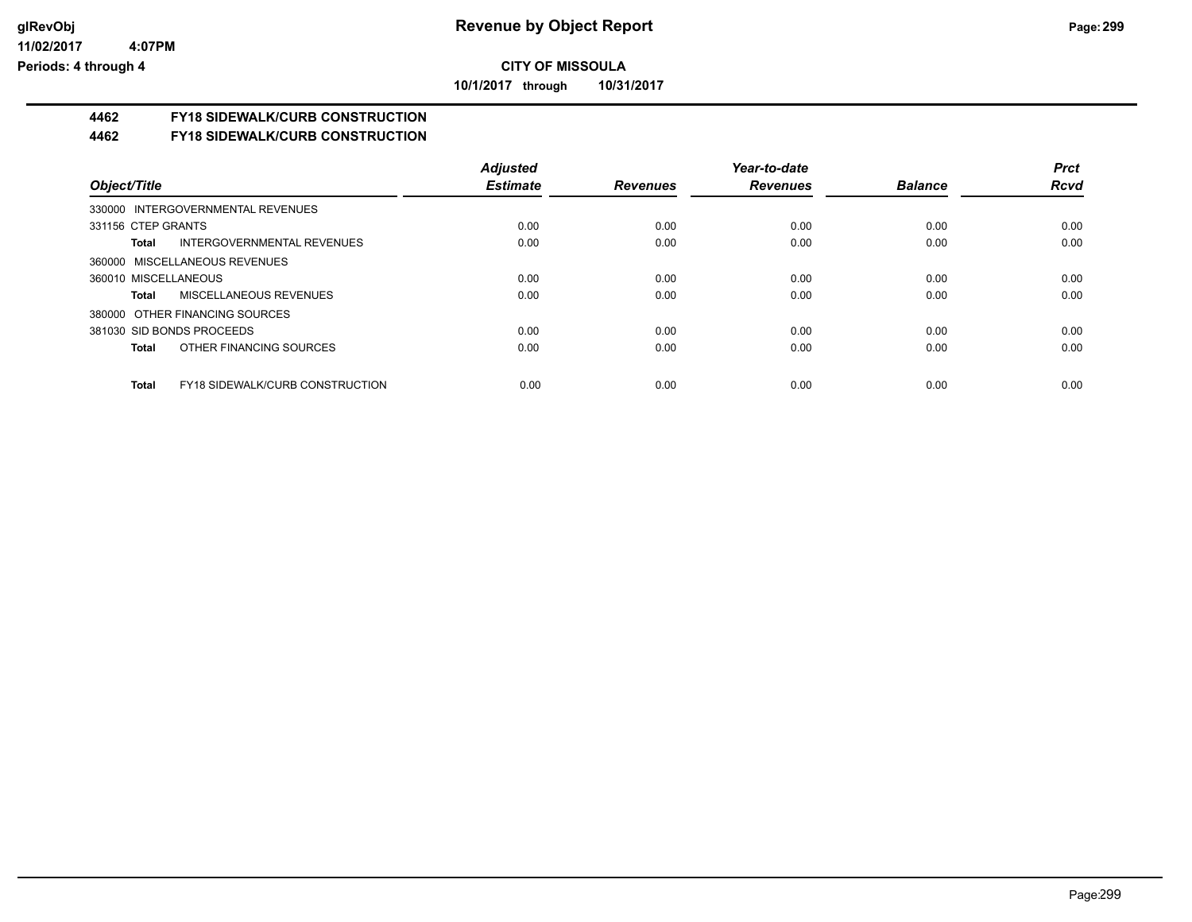# **11/02/2017**

**Periods: 4 through 4**

 **4:07PM**

**glRevObj Revenue by Object Report Page:299** 

**CITY OF MISSOULA**

**10/1/2017 through 10/31/2017**

# **4462 FY18 SIDEWALK/CURB CONSTRUCTION**

**4462 FY18 SIDEWALK/CURB CONSTRUCTION**

|                                                 | <b>Adjusted</b> |                 | Year-to-date    |                | <b>Prct</b> |
|-------------------------------------------------|-----------------|-----------------|-----------------|----------------|-------------|
| Object/Title                                    | <b>Estimate</b> | <b>Revenues</b> | <b>Revenues</b> | <b>Balance</b> | <b>Rcvd</b> |
| 330000 INTERGOVERNMENTAL REVENUES               |                 |                 |                 |                |             |
| 331156 CTEP GRANTS                              | 0.00            | 0.00            | 0.00            | 0.00           | 0.00        |
| INTERGOVERNMENTAL REVENUES<br>Total             | 0.00            | 0.00            | 0.00            | 0.00           | 0.00        |
| 360000 MISCELLANEOUS REVENUES                   |                 |                 |                 |                |             |
| 360010 MISCELLANEOUS                            | 0.00            | 0.00            | 0.00            | 0.00           | 0.00        |
| <b>MISCELLANEOUS REVENUES</b><br>Total          | 0.00            | 0.00            | 0.00            | 0.00           | 0.00        |
| 380000 OTHER FINANCING SOURCES                  |                 |                 |                 |                |             |
| 381030 SID BONDS PROCEEDS                       | 0.00            | 0.00            | 0.00            | 0.00           | 0.00        |
| OTHER FINANCING SOURCES<br>Total                | 0.00            | 0.00            | 0.00            | 0.00           | 0.00        |
| <b>FY18 SIDEWALK/CURB CONSTRUCTION</b><br>Total | 0.00            | 0.00            | 0.00            | 0.00           | 0.00        |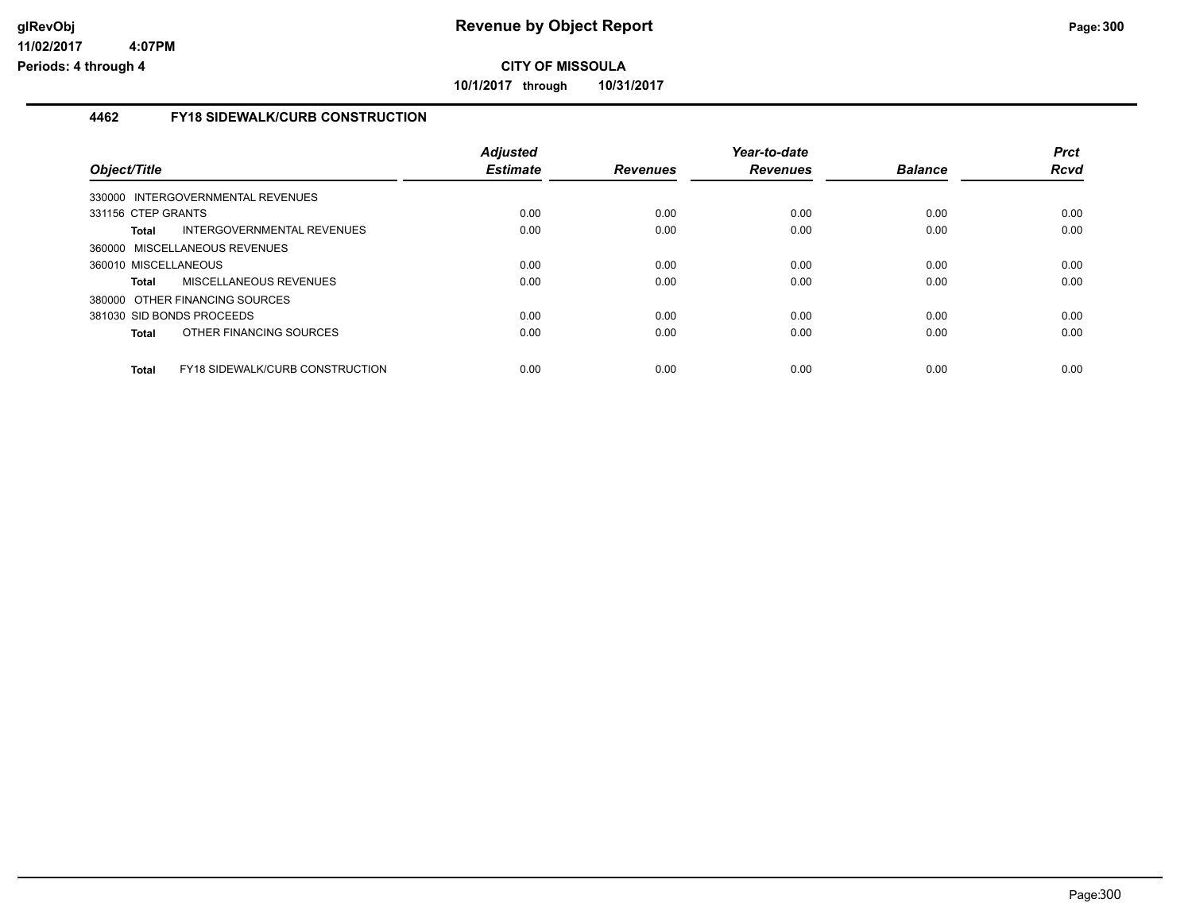**10/1/2017 through 10/31/2017**

#### **4462 FY18 SIDEWALK/CURB CONSTRUCTION**

| Object/Title                                    | <b>Adjusted</b><br><b>Estimate</b> | <b>Revenues</b> | Year-to-date<br><b>Revenues</b> | <b>Balance</b> | <b>Prct</b><br><b>Rcvd</b> |
|-------------------------------------------------|------------------------------------|-----------------|---------------------------------|----------------|----------------------------|
| 330000 INTERGOVERNMENTAL REVENUES               |                                    |                 |                                 |                |                            |
| 331156 CTEP GRANTS                              | 0.00                               | 0.00            | 0.00                            | 0.00           | 0.00                       |
| INTERGOVERNMENTAL REVENUES<br><b>Total</b>      | 0.00                               | 0.00            | 0.00                            | 0.00           | 0.00                       |
| 360000 MISCELLANEOUS REVENUES                   |                                    |                 |                                 |                |                            |
| 360010 MISCELLANEOUS                            | 0.00                               | 0.00            | 0.00                            | 0.00           | 0.00                       |
| MISCELLANEOUS REVENUES<br><b>Total</b>          | 0.00                               | 0.00            | 0.00                            | 0.00           | 0.00                       |
| 380000 OTHER FINANCING SOURCES                  |                                    |                 |                                 |                |                            |
| 381030 SID BONDS PROCEEDS                       | 0.00                               | 0.00            | 0.00                            | 0.00           | 0.00                       |
| OTHER FINANCING SOURCES<br><b>Total</b>         | 0.00                               | 0.00            | 0.00                            | 0.00           | 0.00                       |
| FY18 SIDEWALK/CURB CONSTRUCTION<br><b>Total</b> | 0.00                               | 0.00            | 0.00                            | 0.00           | 0.00                       |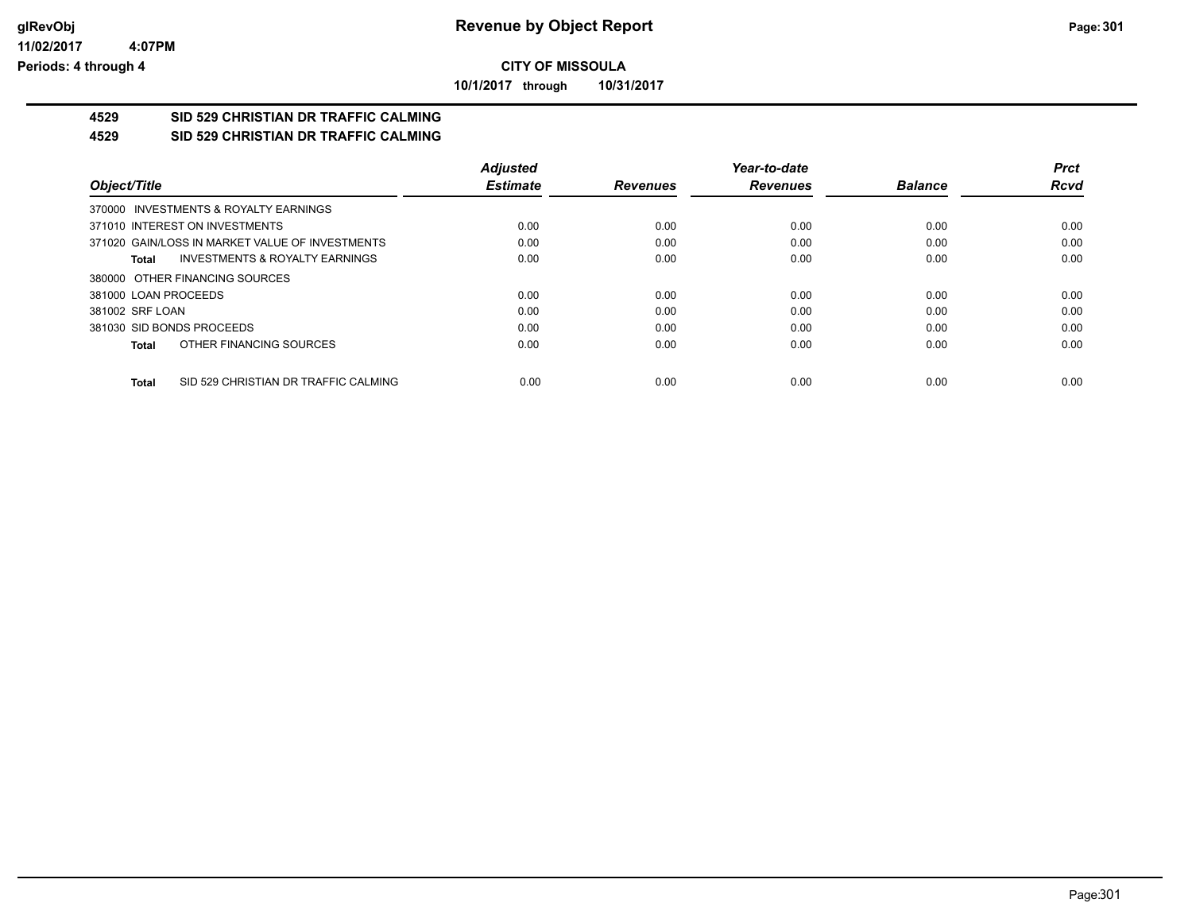**10/1/2017 through 10/31/2017**

#### **4529 SID 529 CHRISTIAN DR TRAFFIC CALMING 4529 SID 529 CHRISTIAN DR TRAFFIC CALMING**

|                                       |                                                 | <b>Adjusted</b> |                 | Year-to-date    |                | <b>Prct</b> |
|---------------------------------------|-------------------------------------------------|-----------------|-----------------|-----------------|----------------|-------------|
| Object/Title                          |                                                 | <b>Estimate</b> | <b>Revenues</b> | <b>Revenues</b> | <b>Balance</b> | <b>Rcvd</b> |
| 370000 INVESTMENTS & ROYALTY EARNINGS |                                                 |                 |                 |                 |                |             |
| 371010 INTEREST ON INVESTMENTS        |                                                 | 0.00            | 0.00            | 0.00            | 0.00           | 0.00        |
|                                       | 371020 GAIN/LOSS IN MARKET VALUE OF INVESTMENTS | 0.00            | 0.00            | 0.00            | 0.00           | 0.00        |
| Total                                 | <b>INVESTMENTS &amp; ROYALTY EARNINGS</b>       | 0.00            | 0.00            | 0.00            | 0.00           | 0.00        |
| 380000 OTHER FINANCING SOURCES        |                                                 |                 |                 |                 |                |             |
| 381000 LOAN PROCEEDS                  |                                                 | 0.00            | 0.00            | 0.00            | 0.00           | 0.00        |
| 381002 SRF LOAN                       |                                                 | 0.00            | 0.00            | 0.00            | 0.00           | 0.00        |
| 381030 SID BONDS PROCEEDS             |                                                 | 0.00            | 0.00            | 0.00            | 0.00           | 0.00        |
| Total                                 | OTHER FINANCING SOURCES                         | 0.00            | 0.00            | 0.00            | 0.00           | 0.00        |
| <b>Total</b>                          | SID 529 CHRISTIAN DR TRAFFIC CALMING            | 0.00            | 0.00            | 0.00            | 0.00           | 0.00        |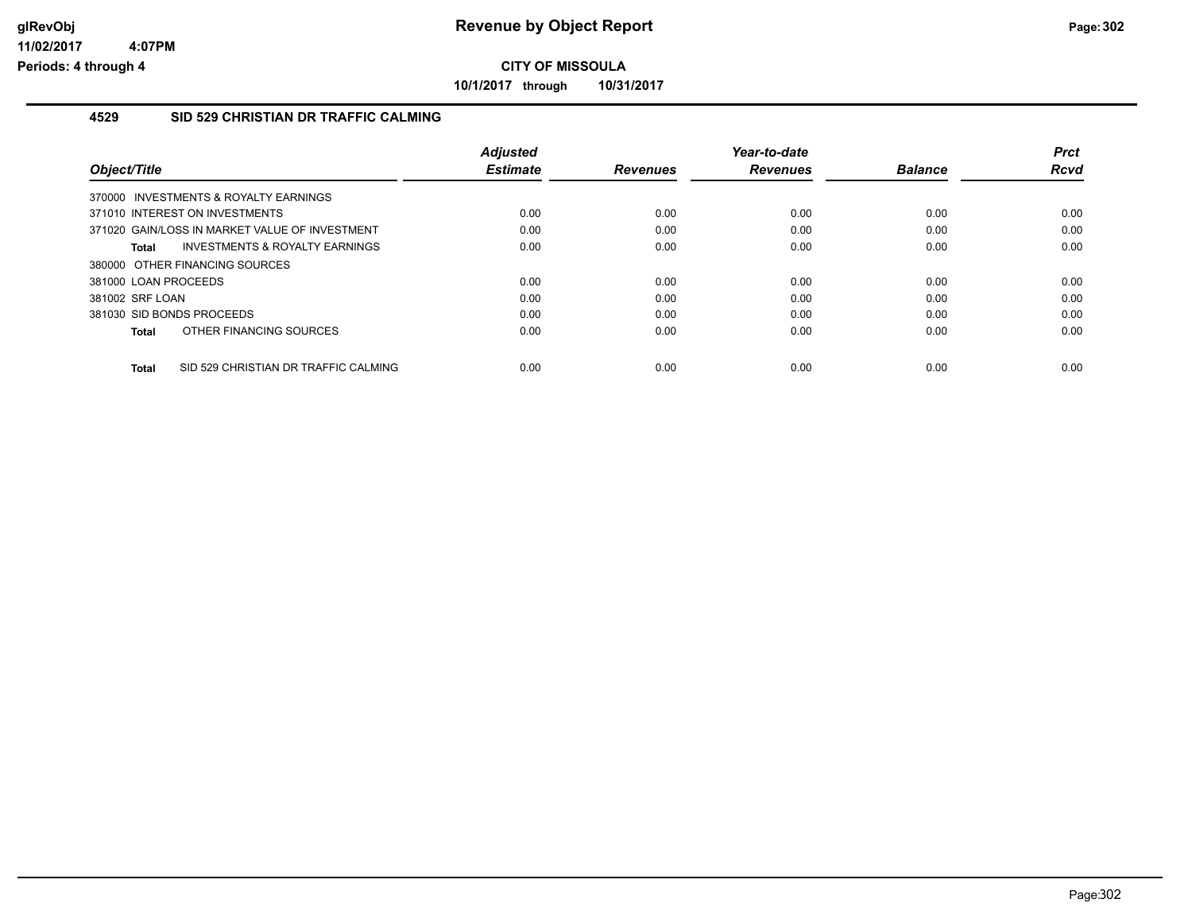**10/1/2017 through 10/31/2017**

#### **4529 SID 529 CHRISTIAN DR TRAFFIC CALMING**

| Object/Title                                       | <b>Adjusted</b><br><b>Estimate</b> | <b>Revenues</b> | Year-to-date<br><b>Revenues</b> | <b>Balance</b> | <b>Prct</b><br>Rcvd |
|----------------------------------------------------|------------------------------------|-----------------|---------------------------------|----------------|---------------------|
| 370000 INVESTMENTS & ROYALTY EARNINGS              |                                    |                 |                                 |                |                     |
| 371010 INTEREST ON INVESTMENTS                     | 0.00                               | 0.00            | 0.00                            | 0.00           | 0.00                |
| 371020 GAIN/LOSS IN MARKET VALUE OF INVESTMENT     | 0.00                               | 0.00            | 0.00                            | 0.00           | 0.00                |
| <b>INVESTMENTS &amp; ROYALTY EARNINGS</b><br>Total | 0.00                               | 0.00            | 0.00                            | 0.00           | 0.00                |
| 380000 OTHER FINANCING SOURCES                     |                                    |                 |                                 |                |                     |
| 381000 LOAN PROCEEDS                               | 0.00                               | 0.00            | 0.00                            | 0.00           | 0.00                |
| 381002 SRF LOAN                                    | 0.00                               | 0.00            | 0.00                            | 0.00           | 0.00                |
| 381030 SID BONDS PROCEEDS                          | 0.00                               | 0.00            | 0.00                            | 0.00           | 0.00                |
| OTHER FINANCING SOURCES<br>Total                   | 0.00                               | 0.00            | 0.00                            | 0.00           | 0.00                |
| SID 529 CHRISTIAN DR TRAFFIC CALMING<br>Total      | 0.00                               | 0.00            | 0.00                            | 0.00           | 0.00                |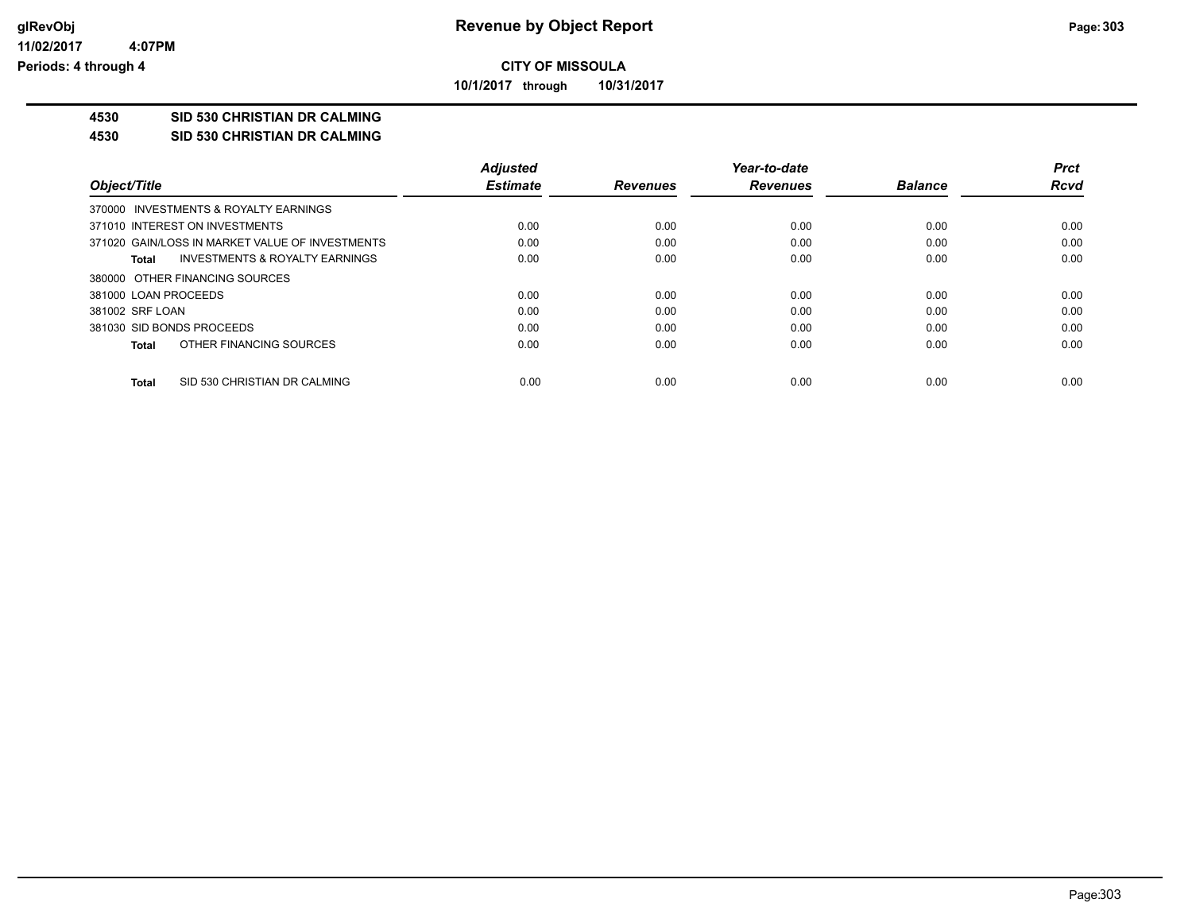**10/1/2017 through 10/31/2017**

#### **4530 SID 530 CHRISTIAN DR CALMING**

#### **4530 SID 530 CHRISTIAN DR CALMING**

|                                                 | <b>Adjusted</b> |                 | Year-to-date    |                | <b>Prct</b> |
|-------------------------------------------------|-----------------|-----------------|-----------------|----------------|-------------|
| Object/Title                                    | <b>Estimate</b> | <b>Revenues</b> | <b>Revenues</b> | <b>Balance</b> | <b>Rcvd</b> |
| 370000 INVESTMENTS & ROYALTY EARNINGS           |                 |                 |                 |                |             |
| 371010 INTEREST ON INVESTMENTS                  | 0.00            | 0.00            | 0.00            | 0.00           | 0.00        |
| 371020 GAIN/LOSS IN MARKET VALUE OF INVESTMENTS | 0.00            | 0.00            | 0.00            | 0.00           | 0.00        |
| INVESTMENTS & ROYALTY EARNINGS<br>Total         | 0.00            | 0.00            | 0.00            | 0.00           | 0.00        |
| 380000 OTHER FINANCING SOURCES                  |                 |                 |                 |                |             |
| 381000 LOAN PROCEEDS                            | 0.00            | 0.00            | 0.00            | 0.00           | 0.00        |
| 381002 SRF LOAN                                 | 0.00            | 0.00            | 0.00            | 0.00           | 0.00        |
| 381030 SID BONDS PROCEEDS                       | 0.00            | 0.00            | 0.00            | 0.00           | 0.00        |
| OTHER FINANCING SOURCES<br>Total                | 0.00            | 0.00            | 0.00            | 0.00           | 0.00        |
|                                                 |                 |                 |                 |                |             |
| SID 530 CHRISTIAN DR CALMING<br>Total           | 0.00            | 0.00            | 0.00            | 0.00           | 0.00        |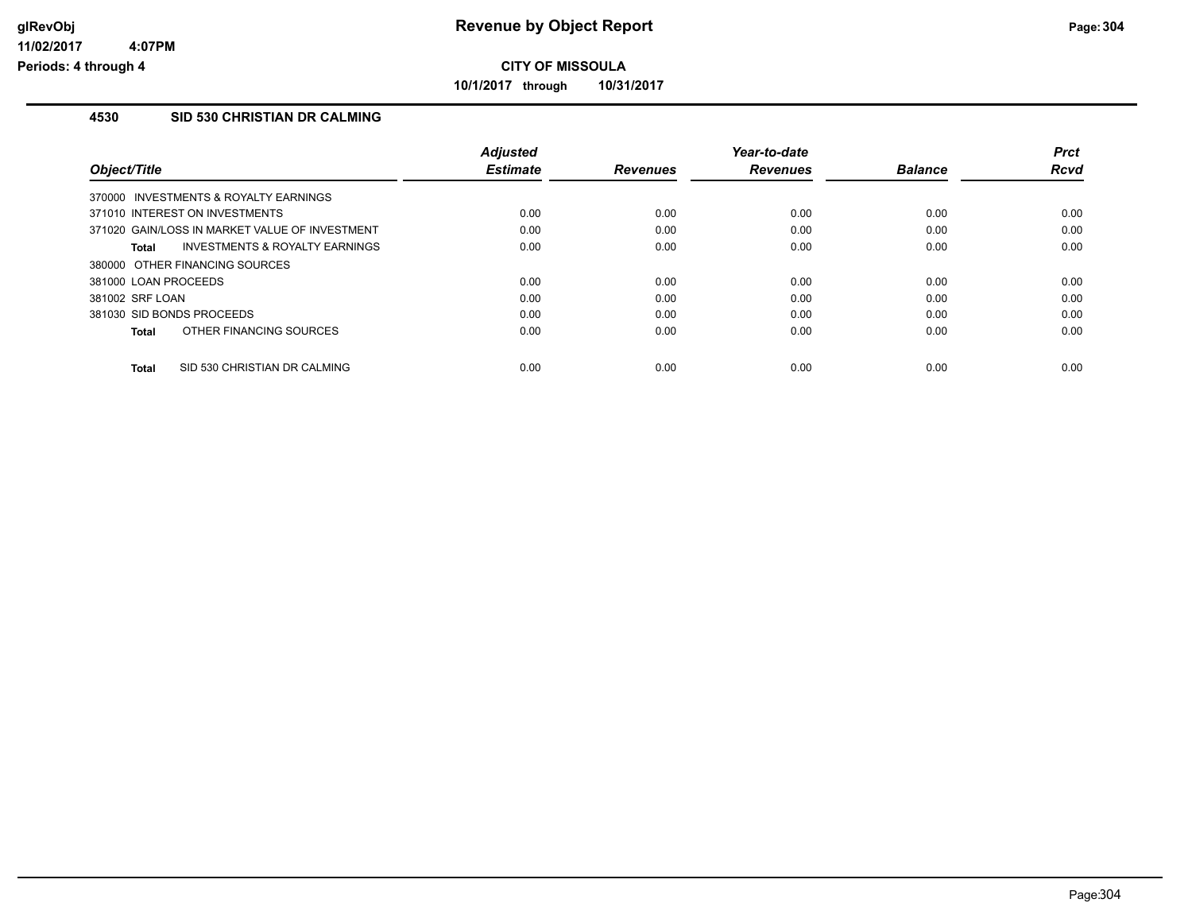**10/1/2017 through 10/31/2017**

#### **4530 SID 530 CHRISTIAN DR CALMING**

| Object/Title                                   | <b>Adjusted</b><br><b>Estimate</b> | <b>Revenues</b> | Year-to-date<br><b>Revenues</b> | <b>Balance</b> | <b>Prct</b><br>Rcvd |
|------------------------------------------------|------------------------------------|-----------------|---------------------------------|----------------|---------------------|
| INVESTMENTS & ROYALTY EARNINGS<br>370000       |                                    |                 |                                 |                |                     |
| 371010 INTEREST ON INVESTMENTS                 | 0.00                               | 0.00            | 0.00                            | 0.00           | 0.00                |
| 371020 GAIN/LOSS IN MARKET VALUE OF INVESTMENT | 0.00                               | 0.00            | 0.00                            | 0.00           | 0.00                |
| INVESTMENTS & ROYALTY EARNINGS<br>Total        | 0.00                               | 0.00            | 0.00                            | 0.00           | 0.00                |
| 380000 OTHER FINANCING SOURCES                 |                                    |                 |                                 |                |                     |
| 381000 LOAN PROCEEDS                           | 0.00                               | 0.00            | 0.00                            | 0.00           | 0.00                |
| 381002 SRF LOAN                                | 0.00                               | 0.00            | 0.00                            | 0.00           | 0.00                |
| 381030 SID BONDS PROCEEDS                      | 0.00                               | 0.00            | 0.00                            | 0.00           | 0.00                |
| OTHER FINANCING SOURCES<br><b>Total</b>        | 0.00                               | 0.00            | 0.00                            | 0.00           | 0.00                |
| SID 530 CHRISTIAN DR CALMING<br><b>Total</b>   | 0.00                               | 0.00            | 0.00                            | 0.00           | 0.00                |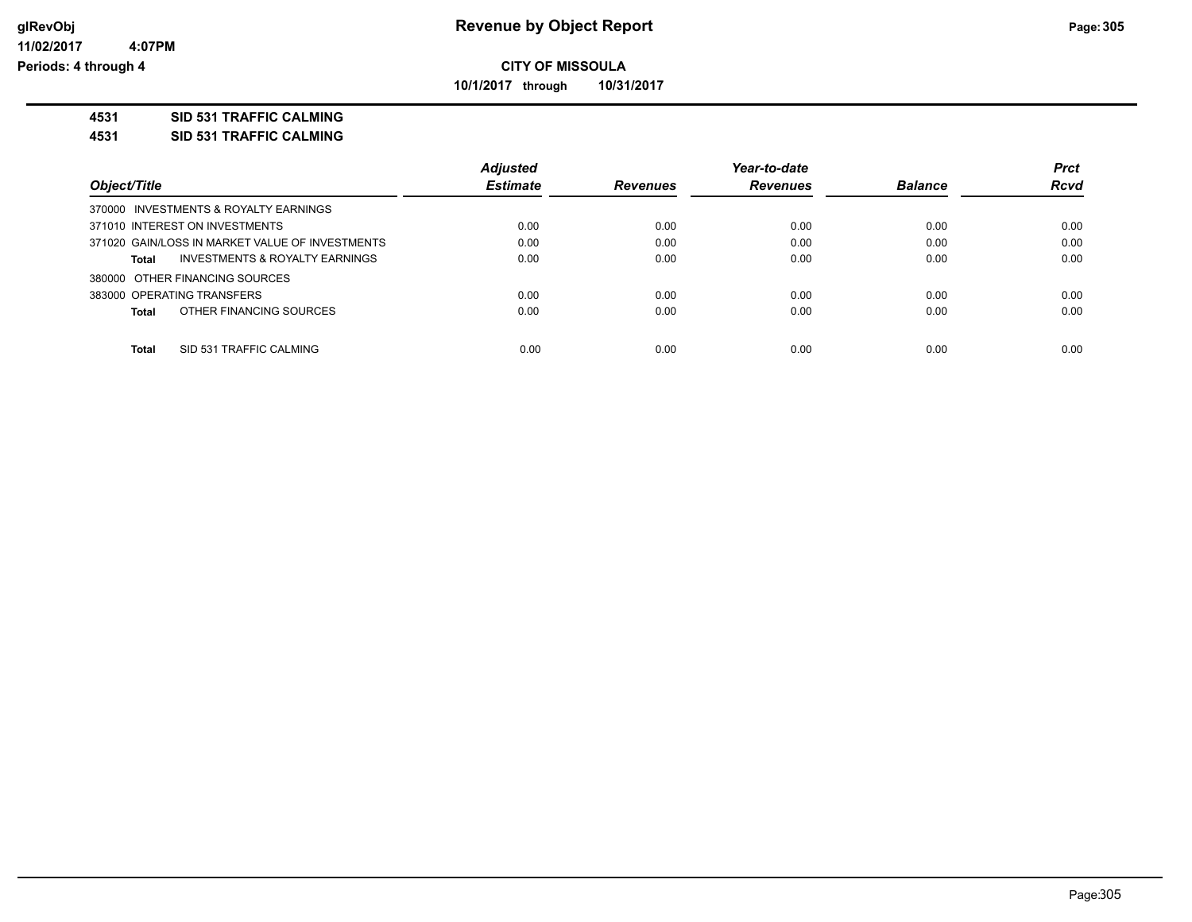**10/1/2017 through 10/31/2017**

#### **4531 SID 531 TRAFFIC CALMING**

**4531 SID 531 TRAFFIC CALMING**

|                                                    | <b>Adjusted</b> |                 | Year-to-date    |                | <b>Prct</b> |
|----------------------------------------------------|-----------------|-----------------|-----------------|----------------|-------------|
| Object/Title                                       | <b>Estimate</b> | <b>Revenues</b> | <b>Revenues</b> | <b>Balance</b> | <b>Rcvd</b> |
| 370000 INVESTMENTS & ROYALTY EARNINGS              |                 |                 |                 |                |             |
| 371010 INTEREST ON INVESTMENTS                     | 0.00            | 0.00            | 0.00            | 0.00           | 0.00        |
| 371020 GAIN/LOSS IN MARKET VALUE OF INVESTMENTS    | 0.00            | 0.00            | 0.00            | 0.00           | 0.00        |
| <b>INVESTMENTS &amp; ROYALTY EARNINGS</b><br>Total | 0.00            | 0.00            | 0.00            | 0.00           | 0.00        |
| 380000 OTHER FINANCING SOURCES                     |                 |                 |                 |                |             |
| 383000 OPERATING TRANSFERS                         | 0.00            | 0.00            | 0.00            | 0.00           | 0.00        |
| OTHER FINANCING SOURCES<br>Total                   | 0.00            | 0.00            | 0.00            | 0.00           | 0.00        |
|                                                    |                 |                 |                 |                |             |
| SID 531 TRAFFIC CALMING<br>Total                   | 0.00            | 0.00            | 0.00            | 0.00           | 0.00        |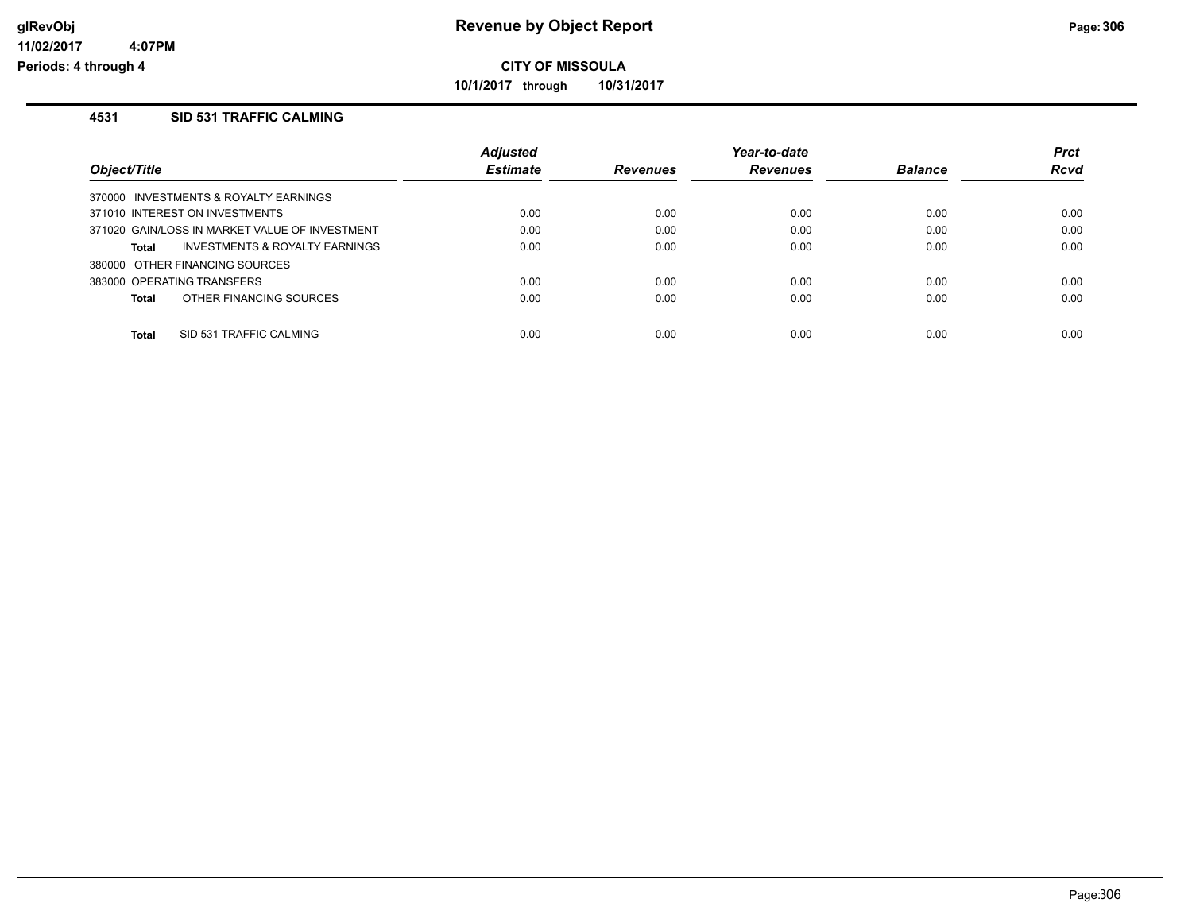**10/1/2017 through 10/31/2017**

#### **4531 SID 531 TRAFFIC CALMING**

|                                                | Adjusted        |                 | Year-to-date    |                | <b>Prct</b> |
|------------------------------------------------|-----------------|-----------------|-----------------|----------------|-------------|
| Object/Title                                   | <b>Estimate</b> | <b>Revenues</b> | <b>Revenues</b> | <b>Balance</b> | <b>Rcvd</b> |
| 370000 INVESTMENTS & ROYALTY EARNINGS          |                 |                 |                 |                |             |
| 371010 INTEREST ON INVESTMENTS                 | 0.00            | 0.00            | 0.00            | 0.00           | 0.00        |
| 371020 GAIN/LOSS IN MARKET VALUE OF INVESTMENT | 0.00            | 0.00            | 0.00            | 0.00           | 0.00        |
| INVESTMENTS & ROYALTY EARNINGS<br>Total        | 0.00            | 0.00            | 0.00            | 0.00           | 0.00        |
| 380000 OTHER FINANCING SOURCES                 |                 |                 |                 |                |             |
| 383000 OPERATING TRANSFERS                     | 0.00            | 0.00            | 0.00            | 0.00           | 0.00        |
| OTHER FINANCING SOURCES<br>Total               | 0.00            | 0.00            | 0.00            | 0.00           | 0.00        |
| Total<br>SID 531 TRAFFIC CALMING               | 0.00            | 0.00            | 0.00            | 0.00           | 0.00        |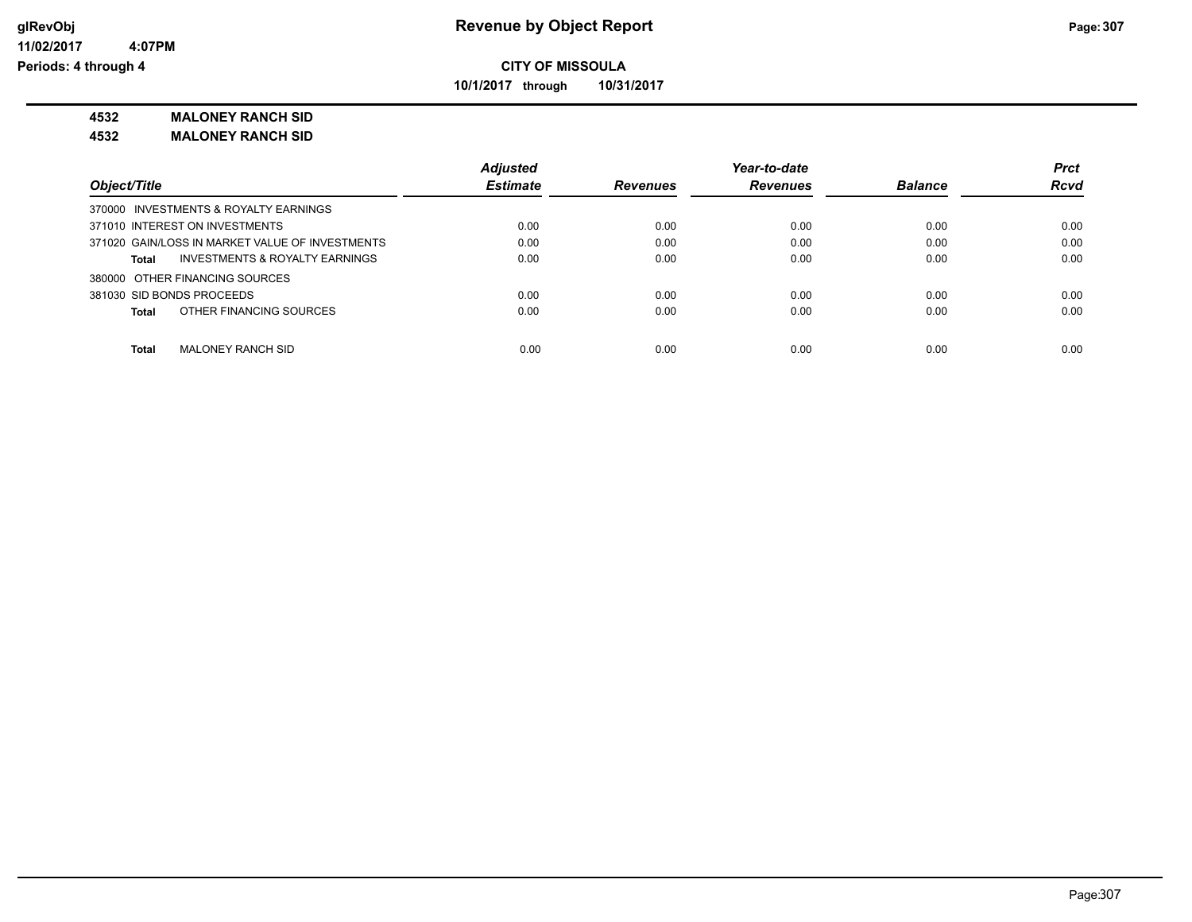**10/1/2017 through 10/31/2017**

#### **4532 MALONEY RANCH SID**

**4532 MALONEY RANCH SID**

|                                                    | <b>Adjusted</b> |                 | Year-to-date    |                | <b>Prct</b> |
|----------------------------------------------------|-----------------|-----------------|-----------------|----------------|-------------|
| Object/Title                                       | <b>Estimate</b> | <b>Revenues</b> | <b>Revenues</b> | <b>Balance</b> | <b>Rcvd</b> |
| 370000 INVESTMENTS & ROYALTY EARNINGS              |                 |                 |                 |                |             |
| 371010 INTEREST ON INVESTMENTS                     | 0.00            | 0.00            | 0.00            | 0.00           | 0.00        |
| 371020 GAIN/LOSS IN MARKET VALUE OF INVESTMENTS    | 0.00            | 0.00            | 0.00            | 0.00           | 0.00        |
| <b>INVESTMENTS &amp; ROYALTY EARNINGS</b><br>Total | 0.00            | 0.00            | 0.00            | 0.00           | 0.00        |
| 380000 OTHER FINANCING SOURCES                     |                 |                 |                 |                |             |
| 381030 SID BONDS PROCEEDS                          | 0.00            | 0.00            | 0.00            | 0.00           | 0.00        |
| OTHER FINANCING SOURCES<br>Total                   | 0.00            | 0.00            | 0.00            | 0.00           | 0.00        |
|                                                    |                 |                 |                 |                |             |
| <b>MALONEY RANCH SID</b><br>Total                  | 0.00            | 0.00            | 0.00            | 0.00           | 0.00        |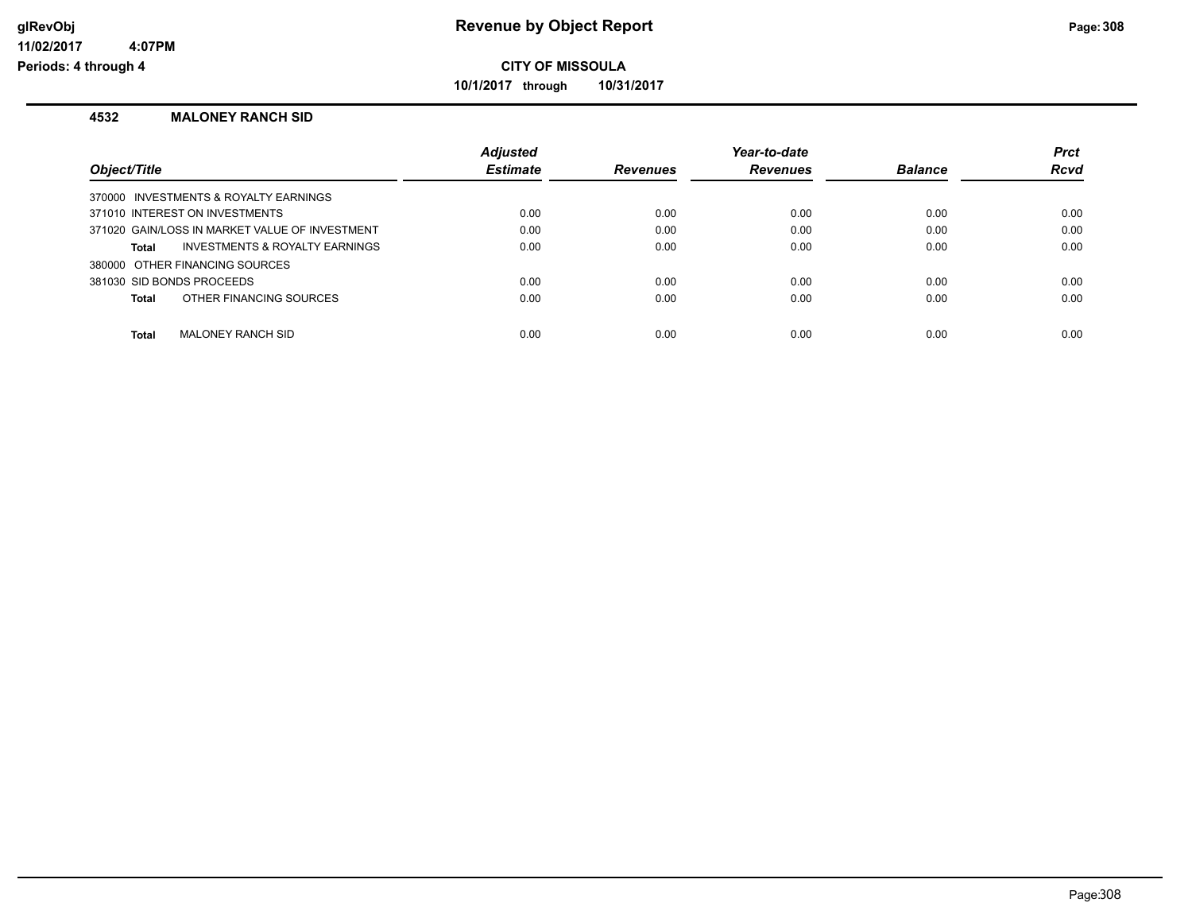**10/1/2017 through 10/31/2017**

#### **4532 MALONEY RANCH SID**

|                                                | <b>Adjusted</b> |                 | Year-to-date    |                | <b>Prct</b> |
|------------------------------------------------|-----------------|-----------------|-----------------|----------------|-------------|
| Object/Title                                   | <b>Estimate</b> | <b>Revenues</b> | <b>Revenues</b> | <b>Balance</b> | <b>Rcvd</b> |
| 370000 INVESTMENTS & ROYALTY EARNINGS          |                 |                 |                 |                |             |
| 371010 INTEREST ON INVESTMENTS                 | 0.00            | 0.00            | 0.00            | 0.00           | 0.00        |
| 371020 GAIN/LOSS IN MARKET VALUE OF INVESTMENT | 0.00            | 0.00            | 0.00            | 0.00           | 0.00        |
| INVESTMENTS & ROYALTY EARNINGS<br>Total        | 0.00            | 0.00            | 0.00            | 0.00           | 0.00        |
| 380000 OTHER FINANCING SOURCES                 |                 |                 |                 |                |             |
| 381030 SID BONDS PROCEEDS                      | 0.00            | 0.00            | 0.00            | 0.00           | 0.00        |
| OTHER FINANCING SOURCES<br>Total               | 0.00            | 0.00            | 0.00            | 0.00           | 0.00        |
|                                                |                 |                 |                 |                |             |
| <b>Total</b><br>MALONEY RANCH SID              | 0.00            | 0.00            | 0.00            | 0.00           | 0.00        |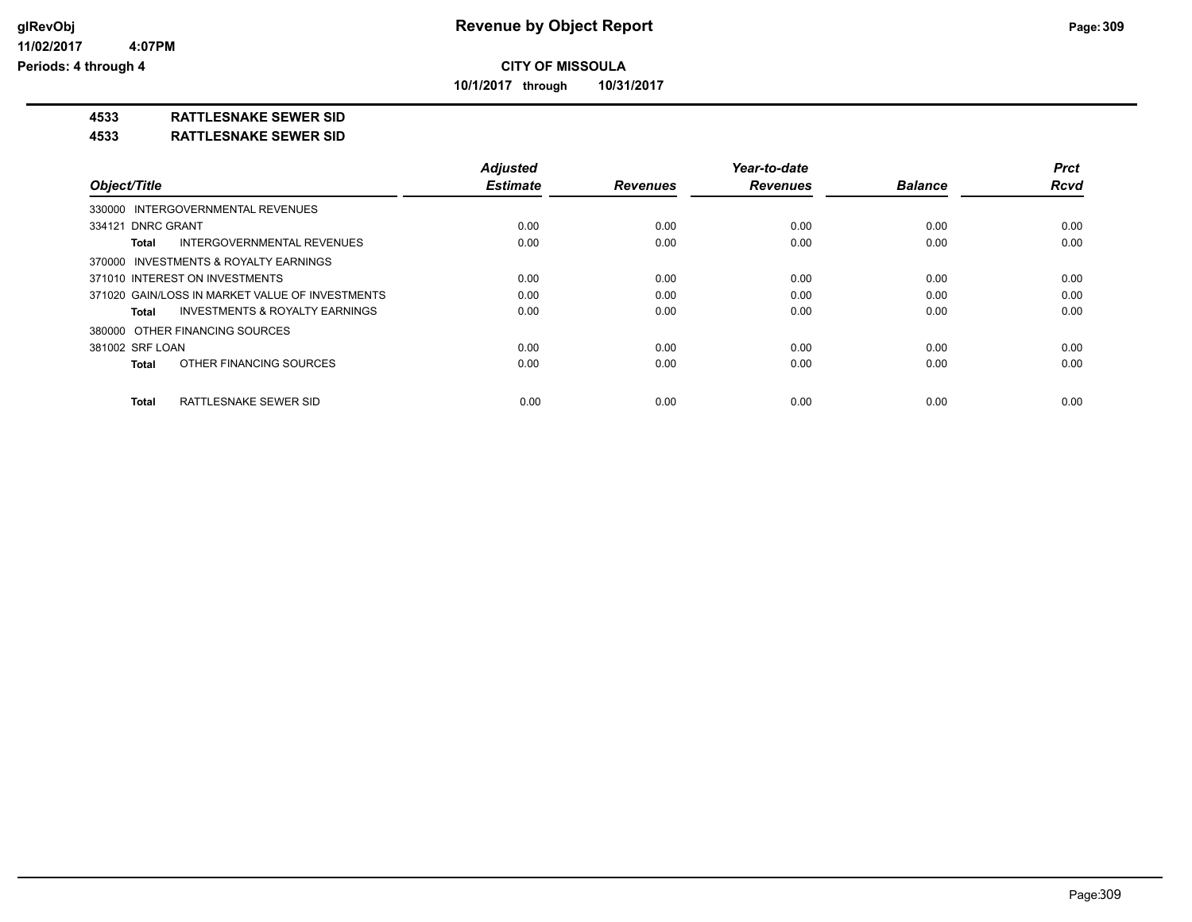**10/1/2017 through 10/31/2017**

#### **4533 RATTLESNAKE SEWER SID**

#### **4533 RATTLESNAKE SEWER SID**

|                                                    | <b>Adjusted</b> |                 | Year-to-date    |                | <b>Prct</b> |
|----------------------------------------------------|-----------------|-----------------|-----------------|----------------|-------------|
| Object/Title                                       | <b>Estimate</b> | <b>Revenues</b> | <b>Revenues</b> | <b>Balance</b> | <b>Rcvd</b> |
| 330000 INTERGOVERNMENTAL REVENUES                  |                 |                 |                 |                |             |
| 334121 DNRC GRANT                                  | 0.00            | 0.00            | 0.00            | 0.00           | 0.00        |
| INTERGOVERNMENTAL REVENUES<br>Total                | 0.00            | 0.00            | 0.00            | 0.00           | 0.00        |
| 370000 INVESTMENTS & ROYALTY EARNINGS              |                 |                 |                 |                |             |
| 371010 INTEREST ON INVESTMENTS                     | 0.00            | 0.00            | 0.00            | 0.00           | 0.00        |
| 371020 GAIN/LOSS IN MARKET VALUE OF INVESTMENTS    | 0.00            | 0.00            | 0.00            | 0.00           | 0.00        |
| <b>INVESTMENTS &amp; ROYALTY EARNINGS</b><br>Total | 0.00            | 0.00            | 0.00            | 0.00           | 0.00        |
| 380000 OTHER FINANCING SOURCES                     |                 |                 |                 |                |             |
| 381002 SRF LOAN                                    | 0.00            | 0.00            | 0.00            | 0.00           | 0.00        |
| OTHER FINANCING SOURCES<br>Total                   | 0.00            | 0.00            | 0.00            | 0.00           | 0.00        |
| RATTLESNAKE SEWER SID<br>Total                     | 0.00            | 0.00            | 0.00            | 0.00           | 0.00        |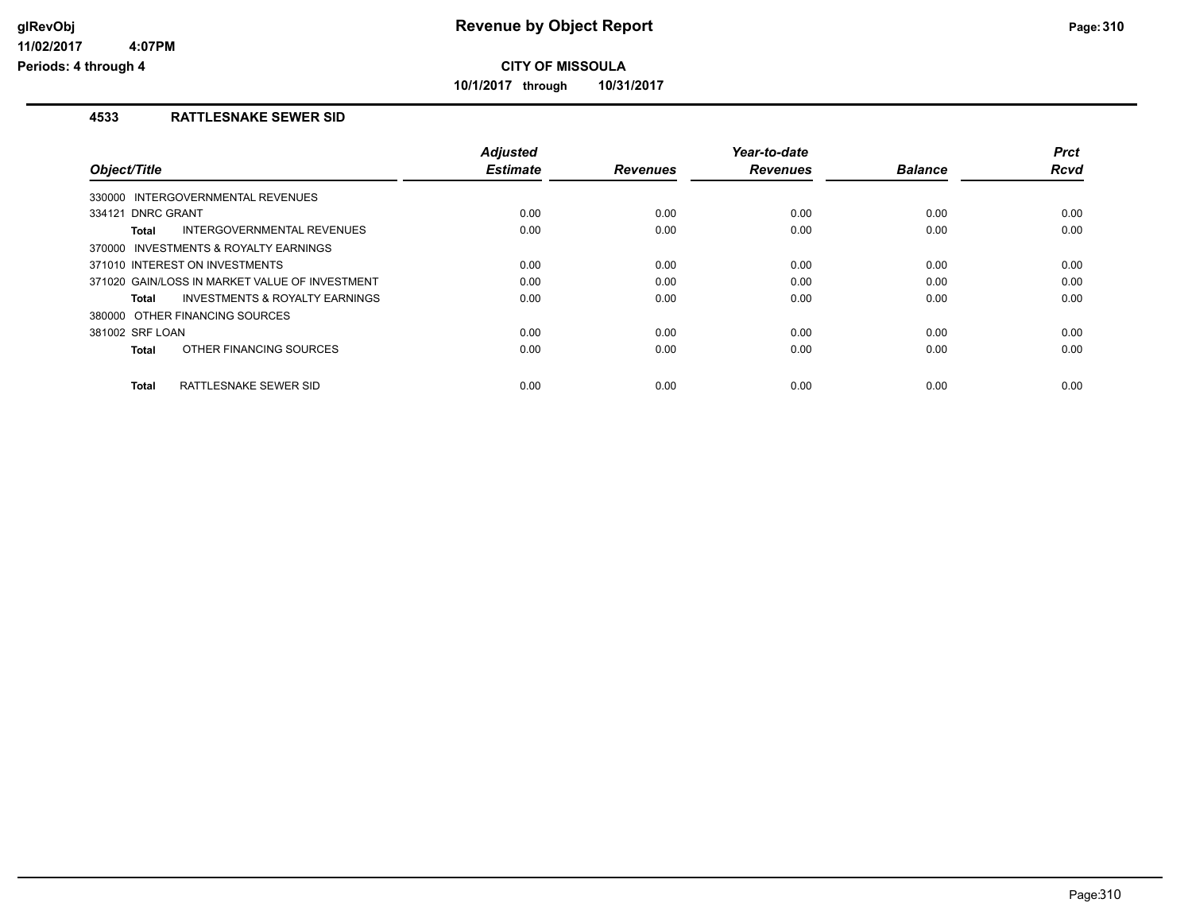**10/1/2017 through 10/31/2017**

#### **4533 RATTLESNAKE SEWER SID**

|                                                    | <b>Adjusted</b> |                 | Year-to-date    |                | <b>Prct</b> |
|----------------------------------------------------|-----------------|-----------------|-----------------|----------------|-------------|
| Object/Title                                       | <b>Estimate</b> | <b>Revenues</b> | <b>Revenues</b> | <b>Balance</b> | <b>Rcvd</b> |
| INTERGOVERNMENTAL REVENUES<br>330000               |                 |                 |                 |                |             |
| 334121 DNRC GRANT                                  | 0.00            | 0.00            | 0.00            | 0.00           | 0.00        |
| INTERGOVERNMENTAL REVENUES<br>Total                | 0.00            | 0.00            | 0.00            | 0.00           | 0.00        |
| 370000 INVESTMENTS & ROYALTY EARNINGS              |                 |                 |                 |                |             |
| 371010 INTEREST ON INVESTMENTS                     | 0.00            | 0.00            | 0.00            | 0.00           | 0.00        |
| 371020 GAIN/LOSS IN MARKET VALUE OF INVESTMENT     | 0.00            | 0.00            | 0.00            | 0.00           | 0.00        |
| <b>INVESTMENTS &amp; ROYALTY EARNINGS</b><br>Total | 0.00            | 0.00            | 0.00            | 0.00           | 0.00        |
| 380000 OTHER FINANCING SOURCES                     |                 |                 |                 |                |             |
| 381002 SRF LOAN                                    | 0.00            | 0.00            | 0.00            | 0.00           | 0.00        |
| OTHER FINANCING SOURCES<br>Total                   | 0.00            | 0.00            | 0.00            | 0.00           | 0.00        |
| RATTLESNAKE SEWER SID<br><b>Total</b>              | 0.00            | 0.00            | 0.00            | 0.00           | 0.00        |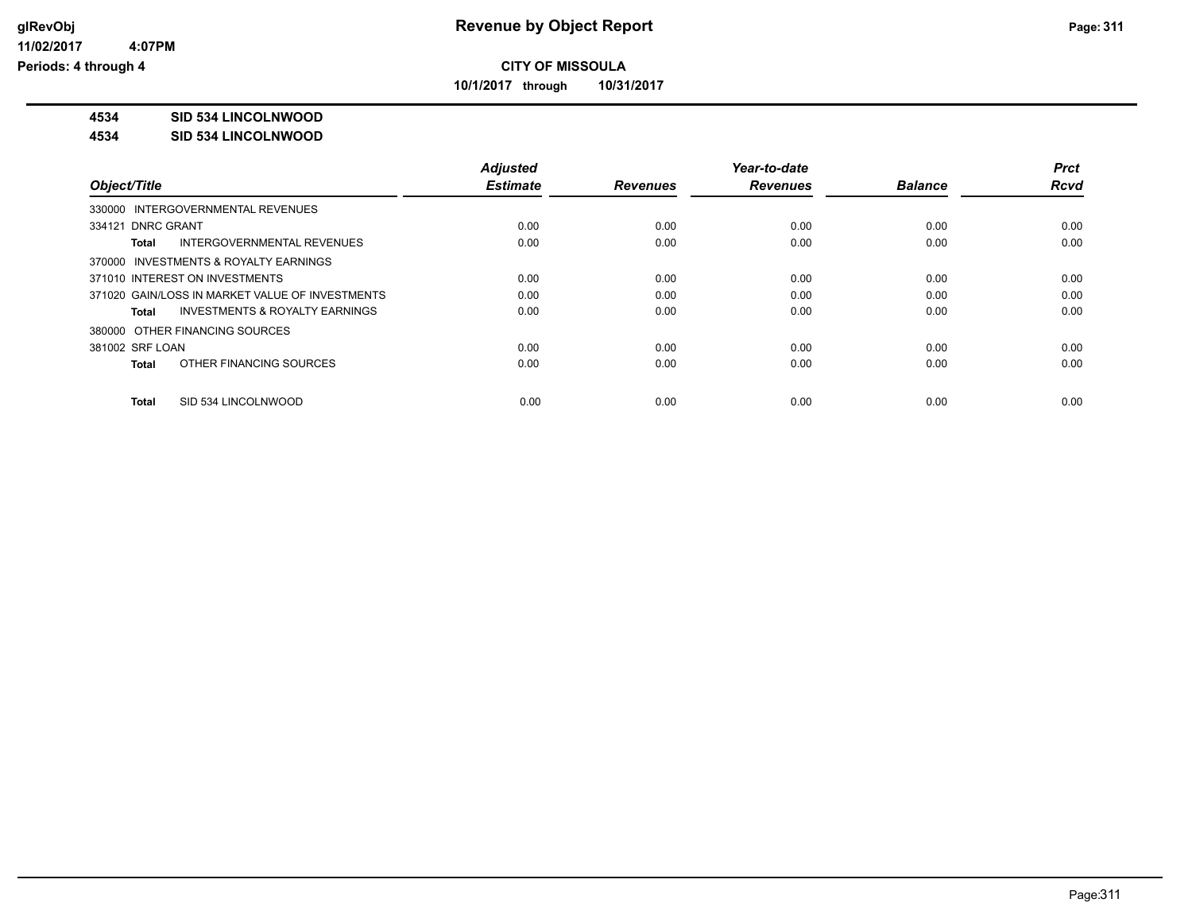**10/1/2017 through 10/31/2017**

#### **4534 SID 534 LINCOLNWOOD**

#### **4534 SID 534 LINCOLNWOOD**

|                                                    | <b>Adjusted</b> |                 | Year-to-date    |                | <b>Prct</b> |
|----------------------------------------------------|-----------------|-----------------|-----------------|----------------|-------------|
| Object/Title                                       | <b>Estimate</b> | <b>Revenues</b> | <b>Revenues</b> | <b>Balance</b> | <b>Rcvd</b> |
| 330000 INTERGOVERNMENTAL REVENUES                  |                 |                 |                 |                |             |
| 334121 DNRC GRANT                                  | 0.00            | 0.00            | 0.00            | 0.00           | 0.00        |
| INTERGOVERNMENTAL REVENUES<br>Total                | 0.00            | 0.00            | 0.00            | 0.00           | 0.00        |
| 370000 INVESTMENTS & ROYALTY EARNINGS              |                 |                 |                 |                |             |
| 371010 INTEREST ON INVESTMENTS                     | 0.00            | 0.00            | 0.00            | 0.00           | 0.00        |
| 371020 GAIN/LOSS IN MARKET VALUE OF INVESTMENTS    | 0.00            | 0.00            | 0.00            | 0.00           | 0.00        |
| <b>INVESTMENTS &amp; ROYALTY EARNINGS</b><br>Total | 0.00            | 0.00            | 0.00            | 0.00           | 0.00        |
| 380000 OTHER FINANCING SOURCES                     |                 |                 |                 |                |             |
| 381002 SRF LOAN                                    | 0.00            | 0.00            | 0.00            | 0.00           | 0.00        |
| OTHER FINANCING SOURCES<br>Total                   | 0.00            | 0.00            | 0.00            | 0.00           | 0.00        |
|                                                    |                 |                 |                 |                |             |
| SID 534 LINCOLNWOOD<br>Total                       | 0.00            | 0.00            | 0.00            | 0.00           | 0.00        |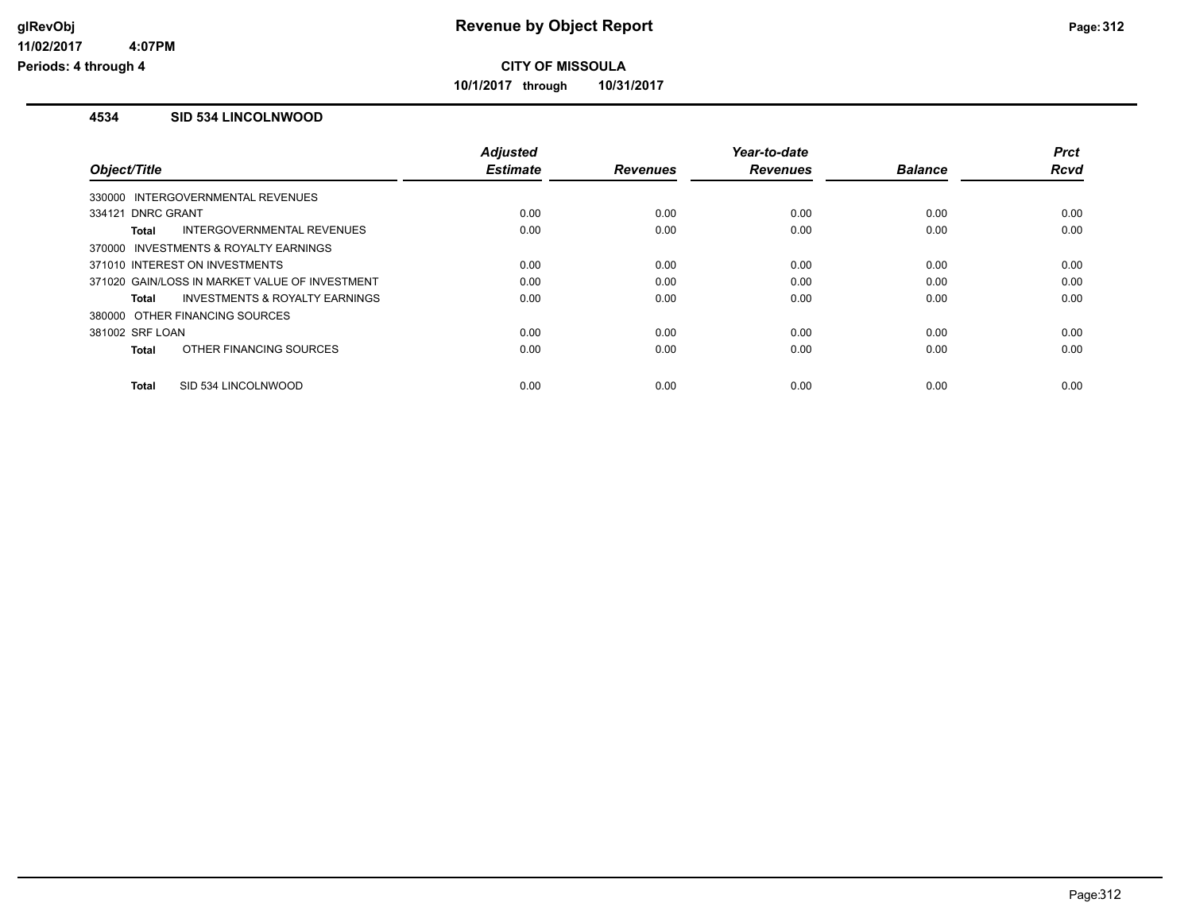**10/1/2017 through 10/31/2017**

#### **4534 SID 534 LINCOLNWOOD**

|                                                    | <b>Adjusted</b> |                 | Year-to-date    |                | <b>Prct</b> |
|----------------------------------------------------|-----------------|-----------------|-----------------|----------------|-------------|
| Object/Title                                       | <b>Estimate</b> | <b>Revenues</b> | <b>Revenues</b> | <b>Balance</b> | <b>Rcvd</b> |
| 330000 INTERGOVERNMENTAL REVENUES                  |                 |                 |                 |                |             |
| 334121 DNRC GRANT                                  | 0.00            | 0.00            | 0.00            | 0.00           | 0.00        |
| <b>INTERGOVERNMENTAL REVENUES</b><br>Total         | 0.00            | 0.00            | 0.00            | 0.00           | 0.00        |
| 370000 INVESTMENTS & ROYALTY EARNINGS              |                 |                 |                 |                |             |
| 371010 INTEREST ON INVESTMENTS                     | 0.00            | 0.00            | 0.00            | 0.00           | 0.00        |
| 371020 GAIN/LOSS IN MARKET VALUE OF INVESTMENT     | 0.00            | 0.00            | 0.00            | 0.00           | 0.00        |
| <b>INVESTMENTS &amp; ROYALTY EARNINGS</b><br>Total | 0.00            | 0.00            | 0.00            | 0.00           | 0.00        |
| 380000 OTHER FINANCING SOURCES                     |                 |                 |                 |                |             |
| 381002 SRF LOAN                                    | 0.00            | 0.00            | 0.00            | 0.00           | 0.00        |
| OTHER FINANCING SOURCES<br><b>Total</b>            | 0.00            | 0.00            | 0.00            | 0.00           | 0.00        |
| SID 534 LINCOLNWOOD<br><b>Total</b>                | 0.00            | 0.00            | 0.00            | 0.00           | 0.00        |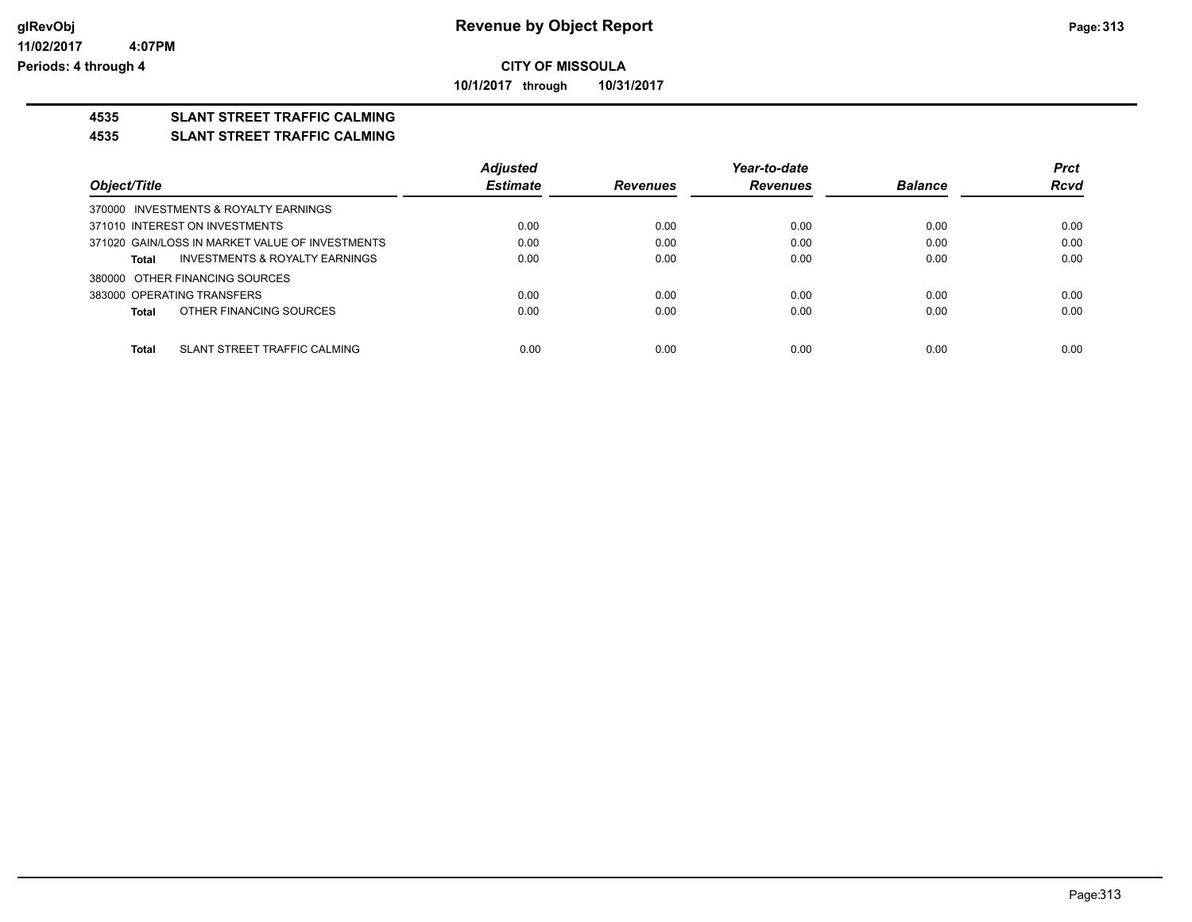**10/1/2017 through 10/31/2017**

# **4535 SLANT STREET TRAFFIC CALMING**

#### **4535 SLANT STREET TRAFFIC CALMING**

|                                                 | <b>Adjusted</b> |                 | Year-to-date    |                | <b>Prct</b> |
|-------------------------------------------------|-----------------|-----------------|-----------------|----------------|-------------|
| Object/Title                                    | <b>Estimate</b> | <b>Revenues</b> | <b>Revenues</b> | <b>Balance</b> | <b>Rcvd</b> |
| 370000 INVESTMENTS & ROYALTY EARNINGS           |                 |                 |                 |                |             |
| 371010 INTEREST ON INVESTMENTS                  | 0.00            | 0.00            | 0.00            | 0.00           | 0.00        |
| 371020 GAIN/LOSS IN MARKET VALUE OF INVESTMENTS | 0.00            | 0.00            | 0.00            | 0.00           | 0.00        |
| INVESTMENTS & ROYALTY EARNINGS<br>Total         | 0.00            | 0.00            | 0.00            | 0.00           | 0.00        |
| 380000 OTHER FINANCING SOURCES                  |                 |                 |                 |                |             |
| 383000 OPERATING TRANSFERS                      | 0.00            | 0.00            | 0.00            | 0.00           | 0.00        |
| OTHER FINANCING SOURCES<br>Total                | 0.00            | 0.00            | 0.00            | 0.00           | 0.00        |
|                                                 |                 |                 |                 |                |             |
| Total<br>SLANT STREET TRAFFIC CALMING           | 0.00            | 0.00            | 0.00            | 0.00           | 0.00        |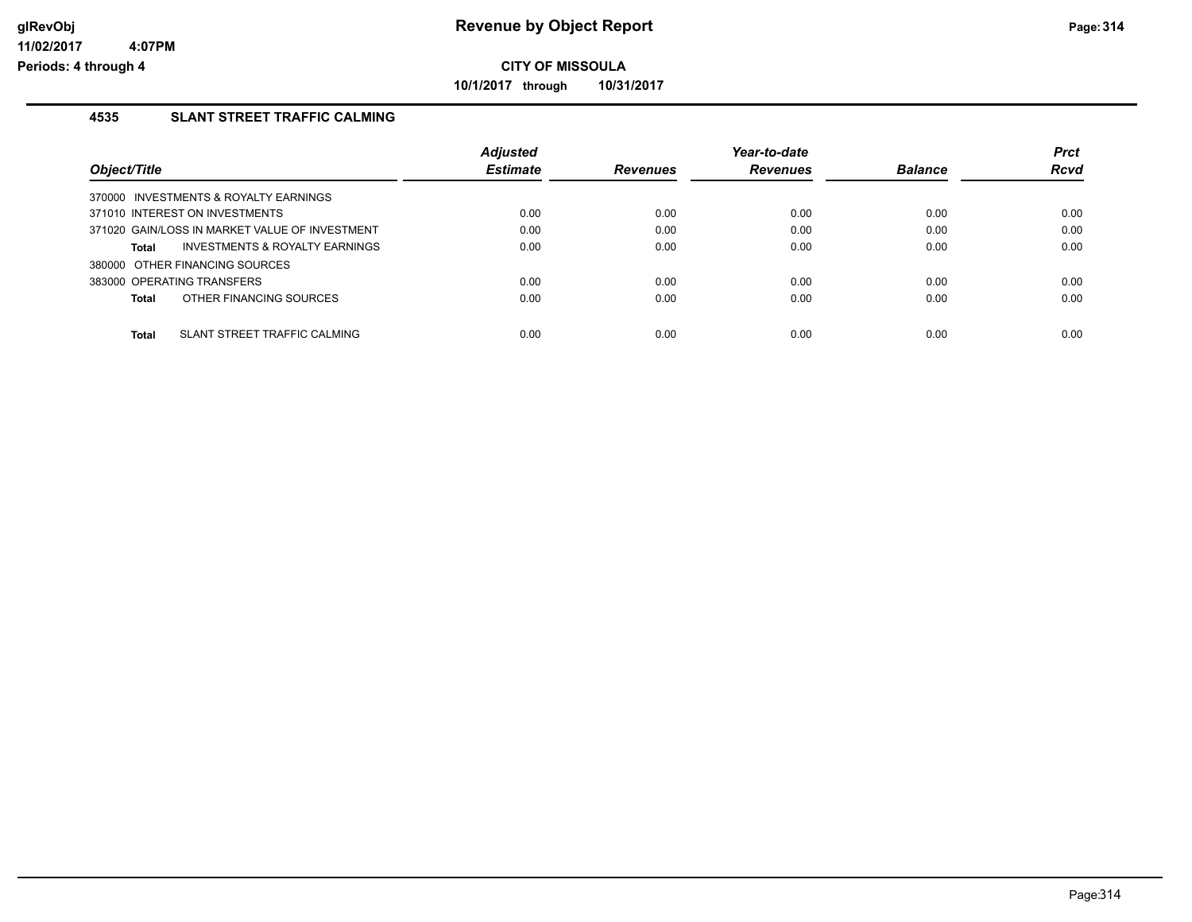**10/1/2017 through 10/31/2017**

#### **4535 SLANT STREET TRAFFIC CALMING**

|                                                    | <b>Adjusted</b> |                 | Year-to-date    |                | <b>Prct</b> |
|----------------------------------------------------|-----------------|-----------------|-----------------|----------------|-------------|
| Object/Title                                       | <b>Estimate</b> | <b>Revenues</b> | <b>Revenues</b> | <b>Balance</b> | <b>Rcvd</b> |
| 370000 INVESTMENTS & ROYALTY EARNINGS              |                 |                 |                 |                |             |
| 371010 INTEREST ON INVESTMENTS                     | 0.00            | 0.00            | 0.00            | 0.00           | 0.00        |
| 371020 GAIN/LOSS IN MARKET VALUE OF INVESTMENT     | 0.00            | 0.00            | 0.00            | 0.00           | 0.00        |
| <b>INVESTMENTS &amp; ROYALTY EARNINGS</b><br>Total | 0.00            | 0.00            | 0.00            | 0.00           | 0.00        |
| 380000 OTHER FINANCING SOURCES                     |                 |                 |                 |                |             |
| 383000 OPERATING TRANSFERS                         | 0.00            | 0.00            | 0.00            | 0.00           | 0.00        |
| OTHER FINANCING SOURCES<br>Total                   | 0.00            | 0.00            | 0.00            | 0.00           | 0.00        |
| Total<br>SLANT STREET TRAFFIC CALMING              | 0.00            | 0.00            | 0.00            | 0.00           | 0.00        |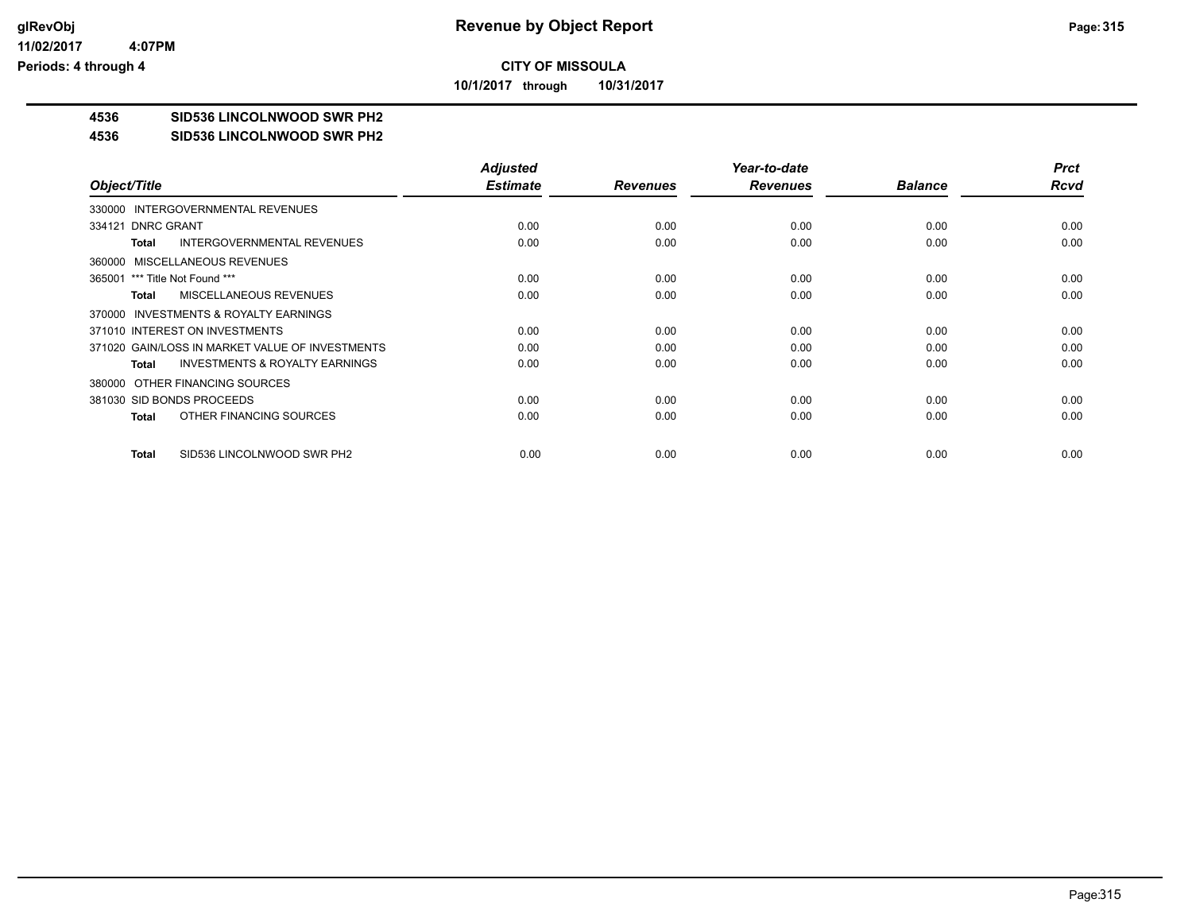**10/1/2017 through 10/31/2017**

#### **4536 SID536 LINCOLNWOOD SWR PH2**

#### **4536 SID536 LINCOLNWOOD SWR PH2**

|                                                    | <b>Adjusted</b> |                 | Year-to-date    |                | <b>Prct</b> |
|----------------------------------------------------|-----------------|-----------------|-----------------|----------------|-------------|
| Object/Title                                       | <b>Estimate</b> | <b>Revenues</b> | <b>Revenues</b> | <b>Balance</b> | Rcvd        |
| 330000 INTERGOVERNMENTAL REVENUES                  |                 |                 |                 |                |             |
| 334121 DNRC GRANT                                  | 0.00            | 0.00            | 0.00            | 0.00           | 0.00        |
| <b>INTERGOVERNMENTAL REVENUES</b><br>Total         | 0.00            | 0.00            | 0.00            | 0.00           | 0.00        |
| 360000 MISCELLANEOUS REVENUES                      |                 |                 |                 |                |             |
| 365001 *** Title Not Found ***                     | 0.00            | 0.00            | 0.00            | 0.00           | 0.00        |
| <b>MISCELLANEOUS REVENUES</b><br>Total             | 0.00            | 0.00            | 0.00            | 0.00           | 0.00        |
| 370000 INVESTMENTS & ROYALTY EARNINGS              |                 |                 |                 |                |             |
| 371010 INTEREST ON INVESTMENTS                     | 0.00            | 0.00            | 0.00            | 0.00           | 0.00        |
| 371020 GAIN/LOSS IN MARKET VALUE OF INVESTMENTS    | 0.00            | 0.00            | 0.00            | 0.00           | 0.00        |
| <b>INVESTMENTS &amp; ROYALTY EARNINGS</b><br>Total | 0.00            | 0.00            | 0.00            | 0.00           | 0.00        |
| 380000 OTHER FINANCING SOURCES                     |                 |                 |                 |                |             |
| 381030 SID BONDS PROCEEDS                          | 0.00            | 0.00            | 0.00            | 0.00           | 0.00        |
| OTHER FINANCING SOURCES<br>Total                   | 0.00            | 0.00            | 0.00            | 0.00           | 0.00        |
|                                                    |                 |                 |                 |                |             |
| SID536 LINCOLNWOOD SWR PH2<br>Total                | 0.00            | 0.00            | 0.00            | 0.00           | 0.00        |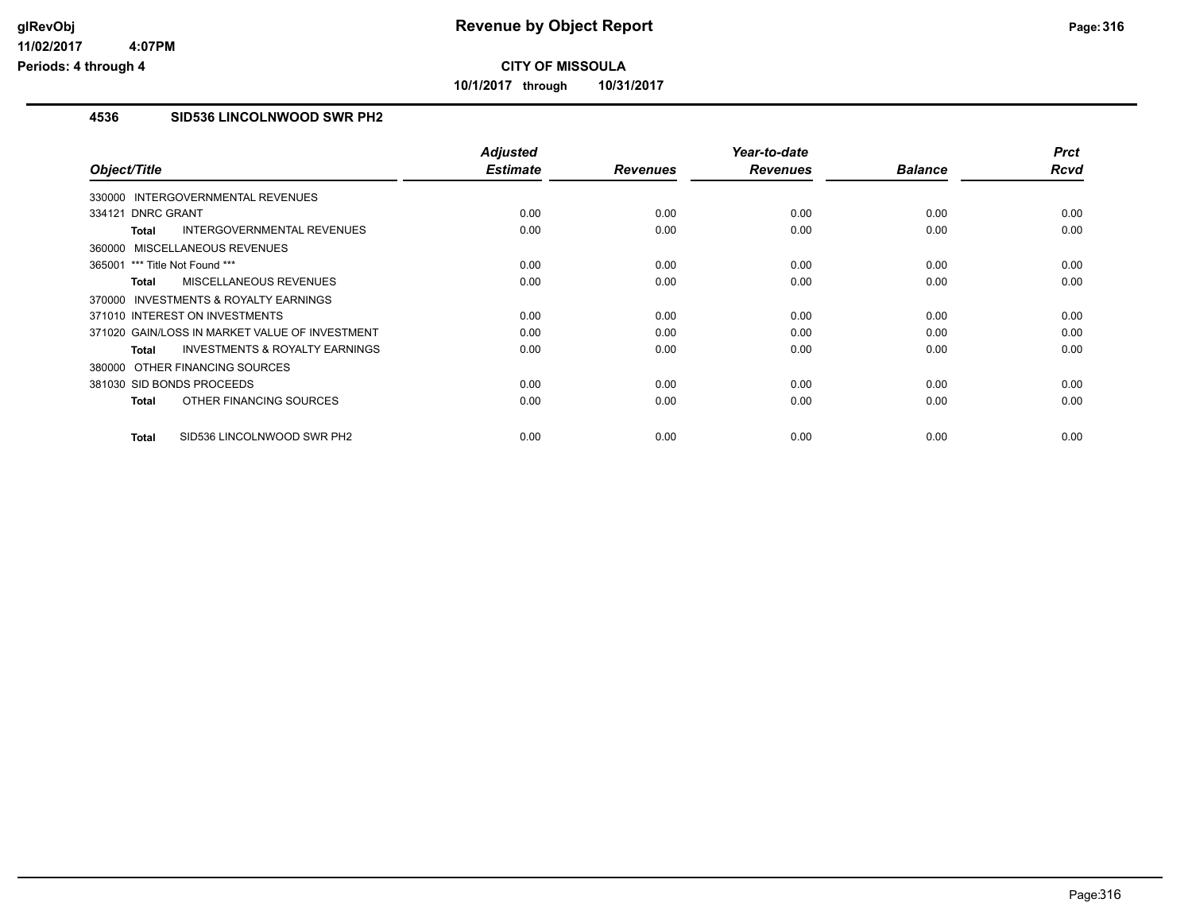**10/1/2017 through 10/31/2017**

#### **4536 SID536 LINCOLNWOOD SWR PH2**

| Object/Title                                              | <b>Adjusted</b><br><b>Estimate</b> | <b>Revenues</b> | Year-to-date<br><b>Revenues</b> | <b>Balance</b> | <b>Prct</b><br><b>Rcvd</b> |
|-----------------------------------------------------------|------------------------------------|-----------------|---------------------------------|----------------|----------------------------|
|                                                           |                                    |                 |                                 |                |                            |
| INTERGOVERNMENTAL REVENUES<br>330000                      |                                    |                 |                                 |                |                            |
| 334121 DNRC GRANT                                         | 0.00                               | 0.00            | 0.00                            | 0.00           | 0.00                       |
| INTERGOVERNMENTAL REVENUES<br><b>Total</b>                | 0.00                               | 0.00            | 0.00                            | 0.00           | 0.00                       |
| MISCELLANEOUS REVENUES<br>360000                          |                                    |                 |                                 |                |                            |
| 365001 *** Title Not Found ***                            | 0.00                               | 0.00            | 0.00                            | 0.00           | 0.00                       |
| MISCELLANEOUS REVENUES<br><b>Total</b>                    | 0.00                               | 0.00            | 0.00                            | 0.00           | 0.00                       |
| 370000 INVESTMENTS & ROYALTY EARNINGS                     |                                    |                 |                                 |                |                            |
| 371010 INTEREST ON INVESTMENTS                            | 0.00                               | 0.00            | 0.00                            | 0.00           | 0.00                       |
| 371020 GAIN/LOSS IN MARKET VALUE OF INVESTMENT            | 0.00                               | 0.00            | 0.00                            | 0.00           | 0.00                       |
| <b>INVESTMENTS &amp; ROYALTY EARNINGS</b><br><b>Total</b> | 0.00                               | 0.00            | 0.00                            | 0.00           | 0.00                       |
| 380000 OTHER FINANCING SOURCES                            |                                    |                 |                                 |                |                            |
| 381030 SID BONDS PROCEEDS                                 | 0.00                               | 0.00            | 0.00                            | 0.00           | 0.00                       |
| OTHER FINANCING SOURCES<br><b>Total</b>                   | 0.00                               | 0.00            | 0.00                            | 0.00           | 0.00                       |
| SID536 LINCOLNWOOD SWR PH2<br><b>Total</b>                | 0.00                               | 0.00            | 0.00                            | 0.00           | 0.00                       |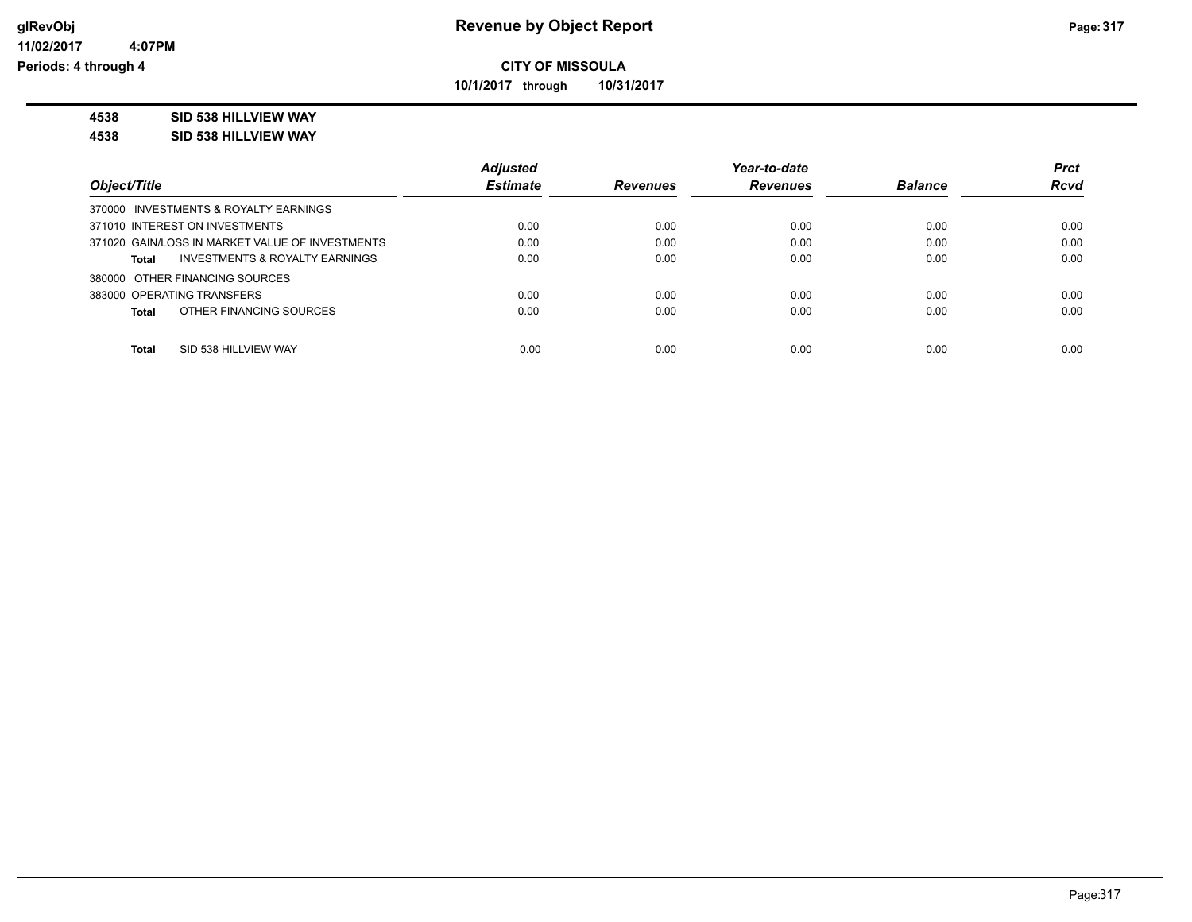**10/1/2017 through 10/31/2017**

#### **4538 SID 538 HILLVIEW WAY**

#### **4538 SID 538 HILLVIEW WAY**

|                                                 | <b>Adjusted</b> |                 | Year-to-date    |                | <b>Prct</b> |
|-------------------------------------------------|-----------------|-----------------|-----------------|----------------|-------------|
| Object/Title                                    | <b>Estimate</b> | <b>Revenues</b> | <b>Revenues</b> | <b>Balance</b> | <b>Rcvd</b> |
| 370000 INVESTMENTS & ROYALTY EARNINGS           |                 |                 |                 |                |             |
| 371010 INTEREST ON INVESTMENTS                  | 0.00            | 0.00            | 0.00            | 0.00           | 0.00        |
| 371020 GAIN/LOSS IN MARKET VALUE OF INVESTMENTS | 0.00            | 0.00            | 0.00            | 0.00           | 0.00        |
| INVESTMENTS & ROYALTY EARNINGS<br>Total         | 0.00            | 0.00            | 0.00            | 0.00           | 0.00        |
| 380000 OTHER FINANCING SOURCES                  |                 |                 |                 |                |             |
| 383000 OPERATING TRANSFERS                      | 0.00            | 0.00            | 0.00            | 0.00           | 0.00        |
| OTHER FINANCING SOURCES<br>Total                | 0.00            | 0.00            | 0.00            | 0.00           | 0.00        |
|                                                 |                 |                 |                 |                |             |
| Total<br>SID 538 HILLVIEW WAY                   | 0.00            | 0.00            | 0.00            | 0.00           | 0.00        |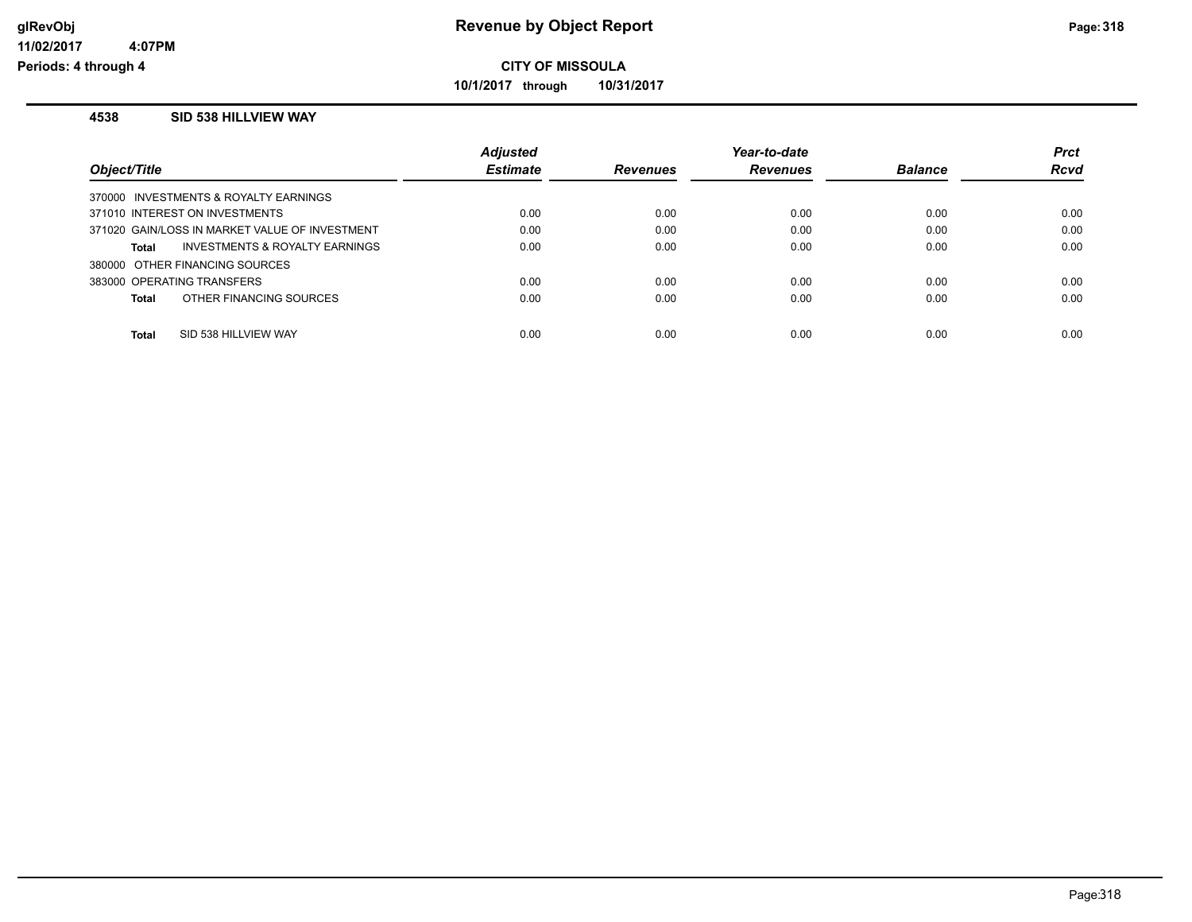**10/1/2017 through 10/31/2017**

#### **4538 SID 538 HILLVIEW WAY**

|                                                | <b>Adjusted</b> |                 | Year-to-date    |                | <b>Prct</b> |
|------------------------------------------------|-----------------|-----------------|-----------------|----------------|-------------|
| Object/Title                                   | <b>Estimate</b> | <b>Revenues</b> | <b>Revenues</b> | <b>Balance</b> | <b>Rcvd</b> |
| 370000 INVESTMENTS & ROYALTY EARNINGS          |                 |                 |                 |                |             |
| 371010 INTEREST ON INVESTMENTS                 | 0.00            | 0.00            | 0.00            | 0.00           | 0.00        |
| 371020 GAIN/LOSS IN MARKET VALUE OF INVESTMENT | 0.00            | 0.00            | 0.00            | 0.00           | 0.00        |
| INVESTMENTS & ROYALTY EARNINGS<br>Total        | 0.00            | 0.00            | 0.00            | 0.00           | 0.00        |
| 380000 OTHER FINANCING SOURCES                 |                 |                 |                 |                |             |
| 383000 OPERATING TRANSFERS                     | 0.00            | 0.00            | 0.00            | 0.00           | 0.00        |
| OTHER FINANCING SOURCES<br>Total               | 0.00            | 0.00            | 0.00            | 0.00           | 0.00        |
|                                                |                 |                 |                 |                |             |
| Total<br>SID 538 HILLVIEW WAY                  | 0.00            | 0.00            | 0.00            | 0.00           | 0.00        |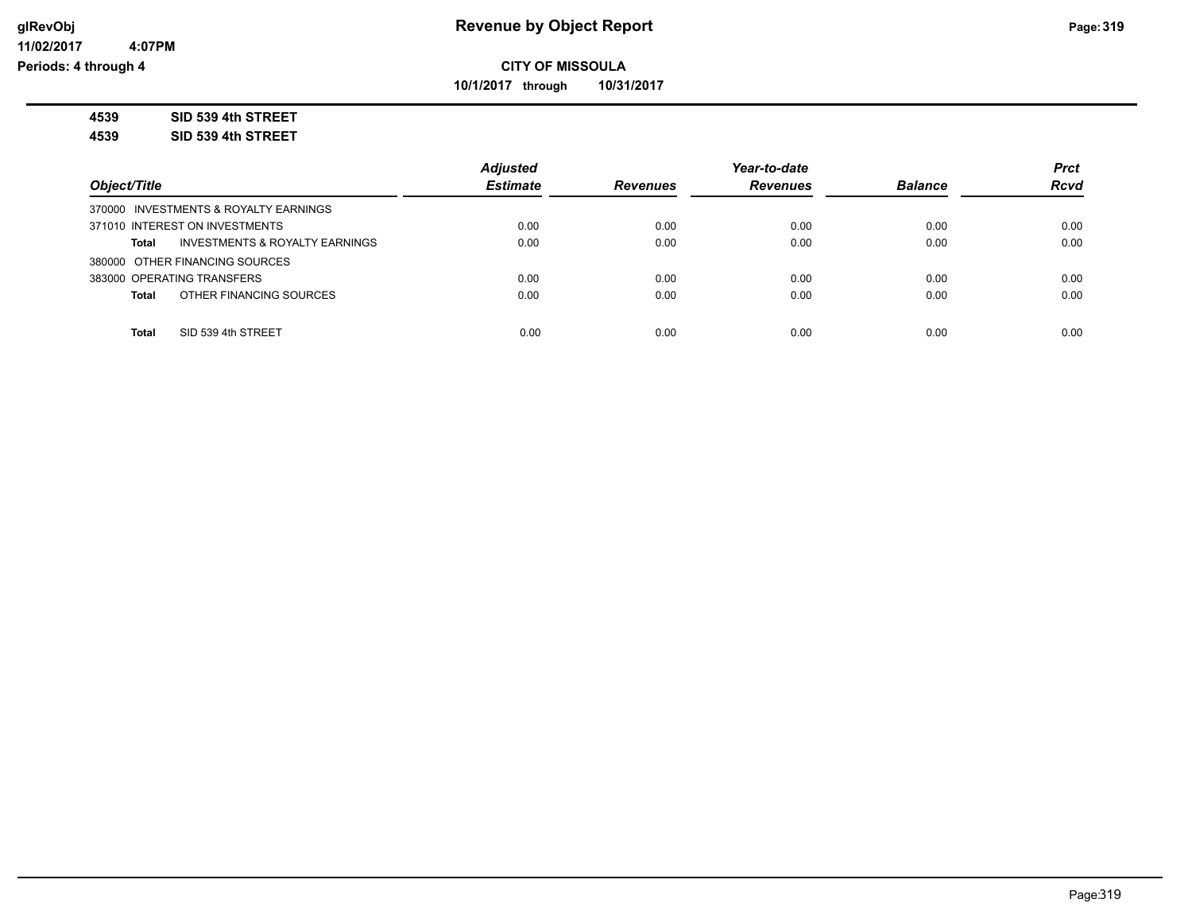**10/1/2017 through 10/31/2017**

**4539 SID 539 4th STREET**

**4539 SID 539 4th STREET**

|                                                           | <b>Adjusted</b> |                 | Year-to-date    |                | <b>Prct</b> |
|-----------------------------------------------------------|-----------------|-----------------|-----------------|----------------|-------------|
| Object/Title                                              | <b>Estimate</b> | <b>Revenues</b> | <b>Revenues</b> | <b>Balance</b> | <b>Rcvd</b> |
| 370000 INVESTMENTS & ROYALTY EARNINGS                     |                 |                 |                 |                |             |
| 371010 INTEREST ON INVESTMENTS                            | 0.00            | 0.00            | 0.00            | 0.00           | 0.00        |
| <b>INVESTMENTS &amp; ROYALTY EARNINGS</b><br><b>Total</b> | 0.00            | 0.00            | 0.00            | 0.00           | 0.00        |
| 380000 OTHER FINANCING SOURCES                            |                 |                 |                 |                |             |
| 383000 OPERATING TRANSFERS                                | 0.00            | 0.00            | 0.00            | 0.00           | 0.00        |
| OTHER FINANCING SOURCES<br><b>Total</b>                   | 0.00            | 0.00            | 0.00            | 0.00           | 0.00        |
|                                                           |                 |                 |                 |                |             |
| SID 539 4th STREET<br><b>Total</b>                        | 0.00            | 0.00            | 0.00            | 0.00           | 0.00        |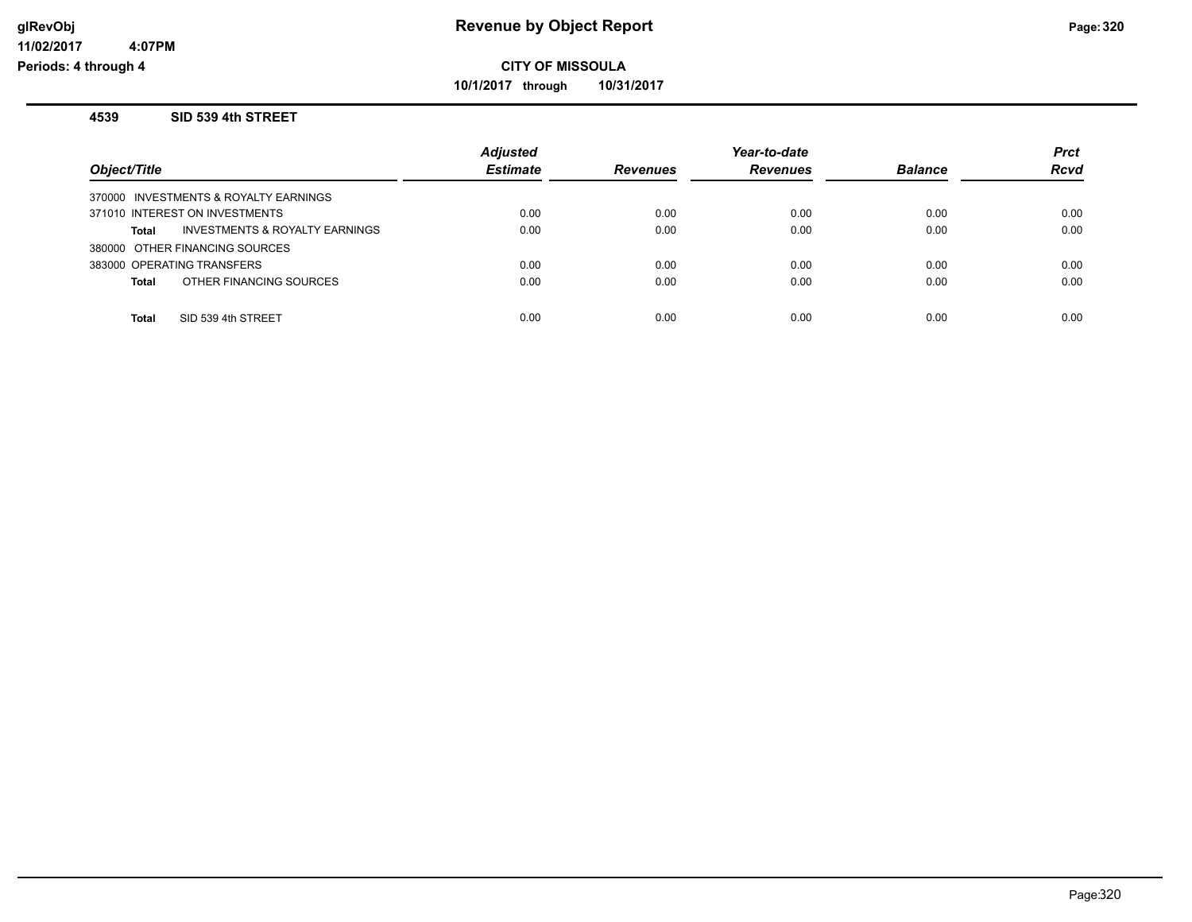**Periods: 4 through 4**

**CITY OF MISSOULA**

**10/1/2017 through 10/31/2017**

#### **4539 SID 539 4th STREET**

 **4:07PM**

| Object/Title                                       | <b>Adjusted</b><br><b>Estimate</b> | <b>Revenues</b> | Year-to-date<br><b>Revenues</b> | <b>Balance</b> | <b>Prct</b><br><b>Rcvd</b> |
|----------------------------------------------------|------------------------------------|-----------------|---------------------------------|----------------|----------------------------|
| 370000 INVESTMENTS & ROYALTY EARNINGS              |                                    |                 |                                 |                |                            |
| 371010 INTEREST ON INVESTMENTS                     | 0.00                               | 0.00            | 0.00                            | 0.00           | 0.00                       |
| <b>INVESTMENTS &amp; ROYALTY EARNINGS</b><br>Total | 0.00                               | 0.00            | 0.00                            | 0.00           | 0.00                       |
| 380000 OTHER FINANCING SOURCES                     |                                    |                 |                                 |                |                            |
| 383000 OPERATING TRANSFERS                         | 0.00                               | 0.00            | 0.00                            | 0.00           | 0.00                       |
| OTHER FINANCING SOURCES<br><b>Total</b>            | 0.00                               | 0.00            | 0.00                            | 0.00           | 0.00                       |
|                                                    |                                    |                 |                                 |                |                            |
| SID 539 4th STREET<br><b>Total</b>                 | 0.00                               | 0.00            | 0.00                            | 0.00           | 0.00                       |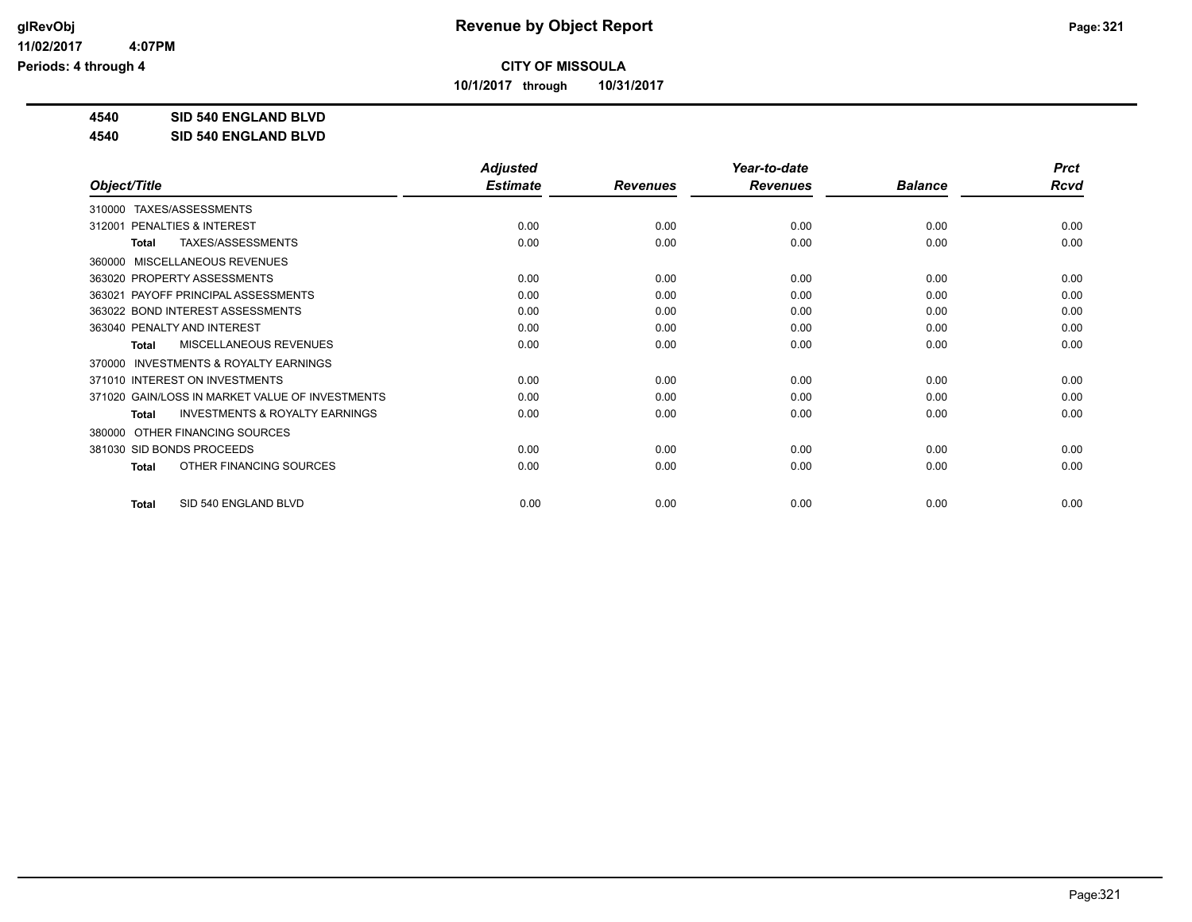**10/1/2017 through 10/31/2017**

**4540 SID 540 ENGLAND BLVD**

**4540 SID 540 ENGLAND BLVD**

|                                                           | <b>Adjusted</b> |                 | Year-to-date    |                | <b>Prct</b> |
|-----------------------------------------------------------|-----------------|-----------------|-----------------|----------------|-------------|
| Object/Title                                              | <b>Estimate</b> | <b>Revenues</b> | <b>Revenues</b> | <b>Balance</b> | <b>Rcvd</b> |
| TAXES/ASSESSMENTS<br>310000                               |                 |                 |                 |                |             |
| PENALTIES & INTEREST<br>312001                            | 0.00            | 0.00            | 0.00            | 0.00           | 0.00        |
| TAXES/ASSESSMENTS<br>Total                                | 0.00            | 0.00            | 0.00            | 0.00           | 0.00        |
| <b>MISCELLANEOUS REVENUES</b><br>360000                   |                 |                 |                 |                |             |
| 363020 PROPERTY ASSESSMENTS                               | 0.00            | 0.00            | 0.00            | 0.00           | 0.00        |
| 363021 PAYOFF PRINCIPAL ASSESSMENTS                       | 0.00            | 0.00            | 0.00            | 0.00           | 0.00        |
| 363022 BOND INTEREST ASSESSMENTS                          | 0.00            | 0.00            | 0.00            | 0.00           | 0.00        |
| 363040 PENALTY AND INTEREST                               | 0.00            | 0.00            | 0.00            | 0.00           | 0.00        |
| MISCELLANEOUS REVENUES<br>Total                           | 0.00            | 0.00            | 0.00            | 0.00           | 0.00        |
| <b>INVESTMENTS &amp; ROYALTY EARNINGS</b><br>370000       |                 |                 |                 |                |             |
| 371010 INTEREST ON INVESTMENTS                            | 0.00            | 0.00            | 0.00            | 0.00           | 0.00        |
| 371020 GAIN/LOSS IN MARKET VALUE OF INVESTMENTS           | 0.00            | 0.00            | 0.00            | 0.00           | 0.00        |
| <b>INVESTMENTS &amp; ROYALTY EARNINGS</b><br><b>Total</b> | 0.00            | 0.00            | 0.00            | 0.00           | 0.00        |
| OTHER FINANCING SOURCES<br>380000                         |                 |                 |                 |                |             |
| 381030 SID BONDS PROCEEDS                                 | 0.00            | 0.00            | 0.00            | 0.00           | 0.00        |
| OTHER FINANCING SOURCES<br><b>Total</b>                   | 0.00            | 0.00            | 0.00            | 0.00           | 0.00        |
| SID 540 ENGLAND BLVD<br><b>Total</b>                      | 0.00            | 0.00            | 0.00            | 0.00           | 0.00        |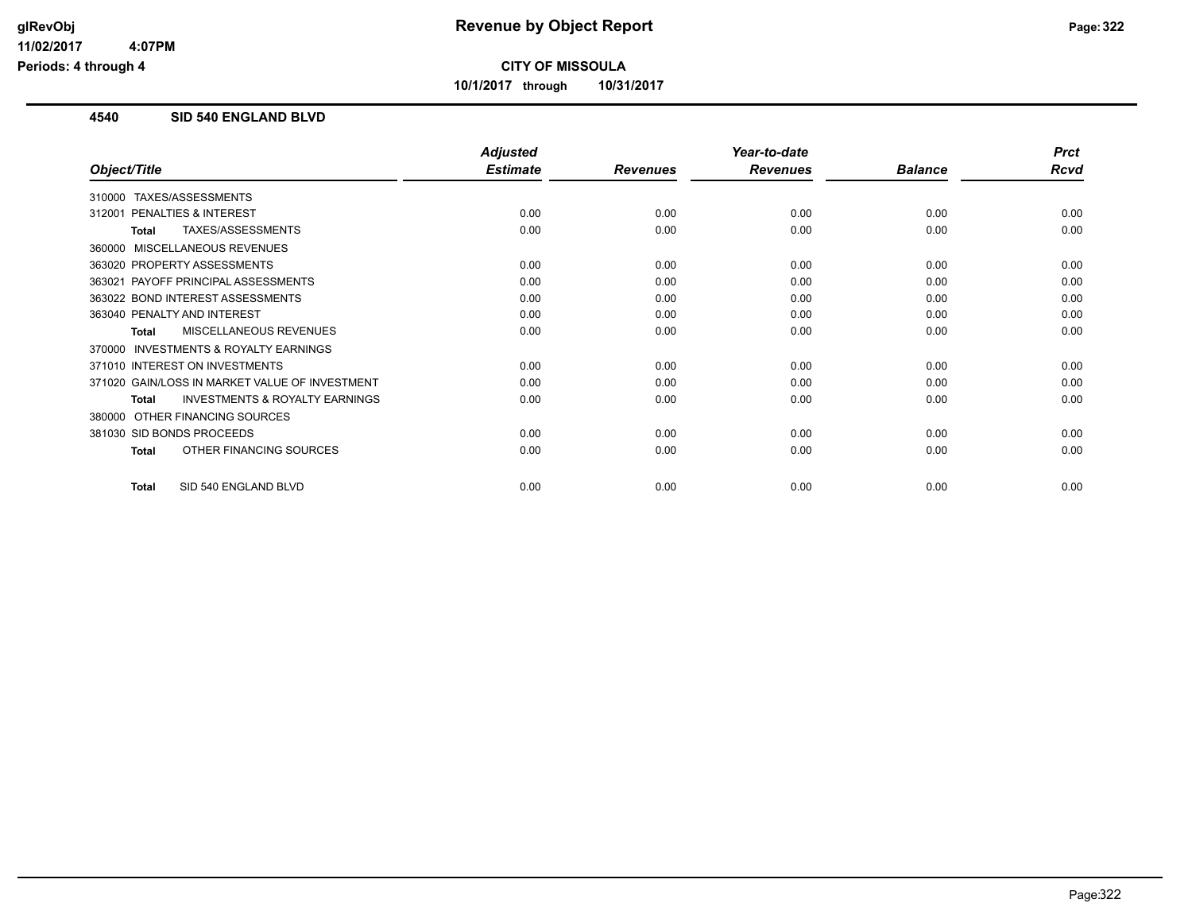**10/1/2017 through 10/31/2017**

#### **4540 SID 540 ENGLAND BLVD**

|                                                           | <b>Adjusted</b> |                 | Year-to-date    |                | <b>Prct</b> |
|-----------------------------------------------------------|-----------------|-----------------|-----------------|----------------|-------------|
| Object/Title                                              | <b>Estimate</b> | <b>Revenues</b> | <b>Revenues</b> | <b>Balance</b> | <b>Rcvd</b> |
| TAXES/ASSESSMENTS<br>310000                               |                 |                 |                 |                |             |
| 312001 PENALTIES & INTEREST                               | 0.00            | 0.00            | 0.00            | 0.00           | 0.00        |
| TAXES/ASSESSMENTS<br><b>Total</b>                         | 0.00            | 0.00            | 0.00            | 0.00           | 0.00        |
| 360000 MISCELLANEOUS REVENUES                             |                 |                 |                 |                |             |
| 363020 PROPERTY ASSESSMENTS                               | 0.00            | 0.00            | 0.00            | 0.00           | 0.00        |
| 363021 PAYOFF PRINCIPAL ASSESSMENTS                       | 0.00            | 0.00            | 0.00            | 0.00           | 0.00        |
| 363022 BOND INTEREST ASSESSMENTS                          | 0.00            | 0.00            | 0.00            | 0.00           | 0.00        |
| 363040 PENALTY AND INTEREST                               | 0.00            | 0.00            | 0.00            | 0.00           | 0.00        |
| <b>MISCELLANEOUS REVENUES</b><br><b>Total</b>             | 0.00            | 0.00            | 0.00            | 0.00           | 0.00        |
| <b>INVESTMENTS &amp; ROYALTY EARNINGS</b><br>370000       |                 |                 |                 |                |             |
| 371010 INTEREST ON INVESTMENTS                            | 0.00            | 0.00            | 0.00            | 0.00           | 0.00        |
| 371020 GAIN/LOSS IN MARKET VALUE OF INVESTMENT            | 0.00            | 0.00            | 0.00            | 0.00           | 0.00        |
| <b>INVESTMENTS &amp; ROYALTY EARNINGS</b><br><b>Total</b> | 0.00            | 0.00            | 0.00            | 0.00           | 0.00        |
| OTHER FINANCING SOURCES<br>380000                         |                 |                 |                 |                |             |
| 381030 SID BONDS PROCEEDS                                 | 0.00            | 0.00            | 0.00            | 0.00           | 0.00        |
| OTHER FINANCING SOURCES<br><b>Total</b>                   | 0.00            | 0.00            | 0.00            | 0.00           | 0.00        |
| SID 540 ENGLAND BLVD<br><b>Total</b>                      | 0.00            | 0.00            | 0.00            | 0.00           | 0.00        |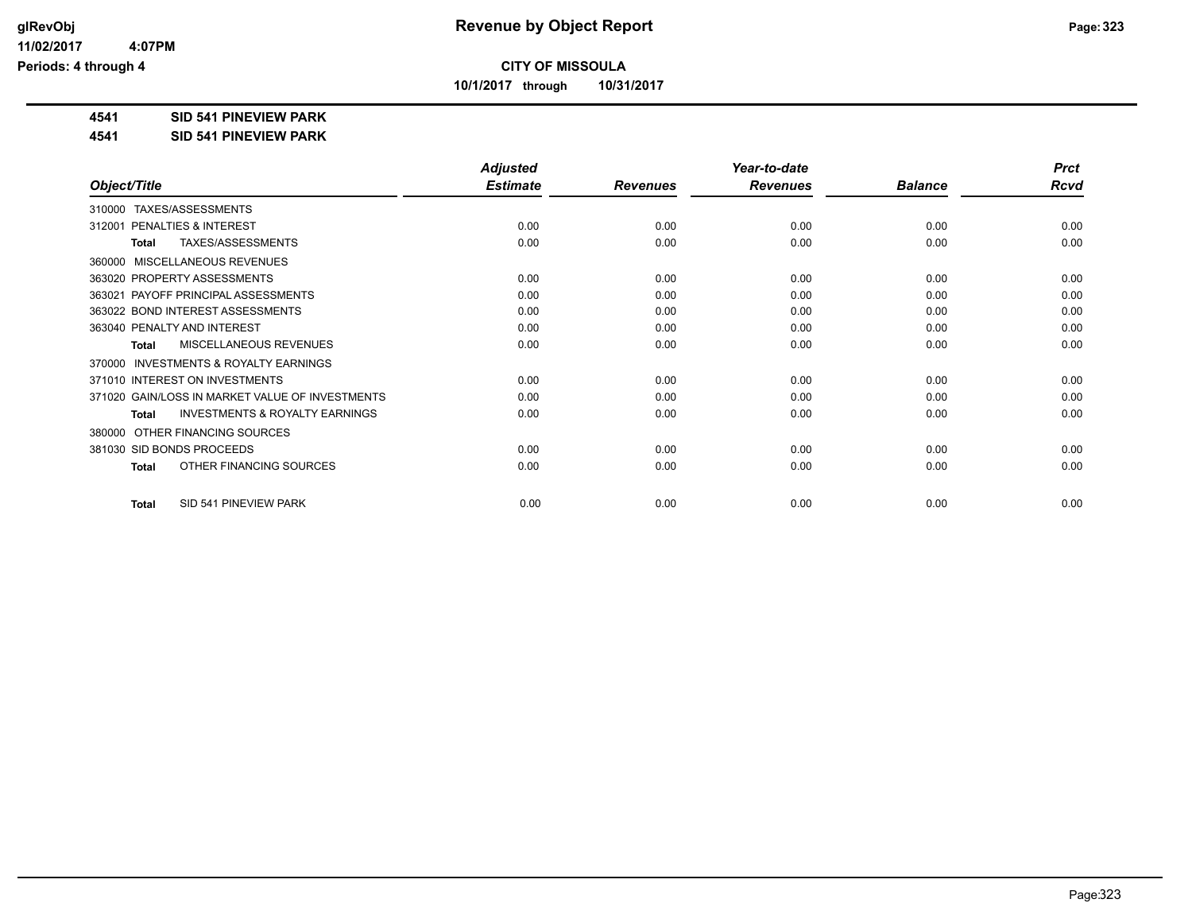**10/1/2017 through 10/31/2017**

#### **4541 SID 541 PINEVIEW PARK**

**4541 SID 541 PINEVIEW PARK**

|                                                     | <b>Adjusted</b> |                 | Year-to-date    |                | <b>Prct</b> |
|-----------------------------------------------------|-----------------|-----------------|-----------------|----------------|-------------|
| Object/Title                                        | <b>Estimate</b> | <b>Revenues</b> | <b>Revenues</b> | <b>Balance</b> | <b>Rcvd</b> |
| TAXES/ASSESSMENTS<br>310000                         |                 |                 |                 |                |             |
| PENALTIES & INTEREST<br>312001                      | 0.00            | 0.00            | 0.00            | 0.00           | 0.00        |
| TAXES/ASSESSMENTS<br>Total                          | 0.00            | 0.00            | 0.00            | 0.00           | 0.00        |
| MISCELLANEOUS REVENUES<br>360000                    |                 |                 |                 |                |             |
| 363020 PROPERTY ASSESSMENTS                         | 0.00            | 0.00            | 0.00            | 0.00           | 0.00        |
| 363021 PAYOFF PRINCIPAL ASSESSMENTS                 | 0.00            | 0.00            | 0.00            | 0.00           | 0.00        |
| 363022 BOND INTEREST ASSESSMENTS                    | 0.00            | 0.00            | 0.00            | 0.00           | 0.00        |
| 363040 PENALTY AND INTEREST                         | 0.00            | 0.00            | 0.00            | 0.00           | 0.00        |
| MISCELLANEOUS REVENUES<br><b>Total</b>              | 0.00            | 0.00            | 0.00            | 0.00           | 0.00        |
| <b>INVESTMENTS &amp; ROYALTY EARNINGS</b><br>370000 |                 |                 |                 |                |             |
| 371010 INTEREST ON INVESTMENTS                      | 0.00            | 0.00            | 0.00            | 0.00           | 0.00        |
| 371020 GAIN/LOSS IN MARKET VALUE OF INVESTMENTS     | 0.00            | 0.00            | 0.00            | 0.00           | 0.00        |
| <b>INVESTMENTS &amp; ROYALTY EARNINGS</b><br>Total  | 0.00            | 0.00            | 0.00            | 0.00           | 0.00        |
| OTHER FINANCING SOURCES<br>380000                   |                 |                 |                 |                |             |
| 381030 SID BONDS PROCEEDS                           | 0.00            | 0.00            | 0.00            | 0.00           | 0.00        |
| OTHER FINANCING SOURCES<br><b>Total</b>             | 0.00            | 0.00            | 0.00            | 0.00           | 0.00        |
|                                                     |                 |                 |                 |                |             |
| SID 541 PINEVIEW PARK<br><b>Total</b>               | 0.00            | 0.00            | 0.00            | 0.00           | 0.00        |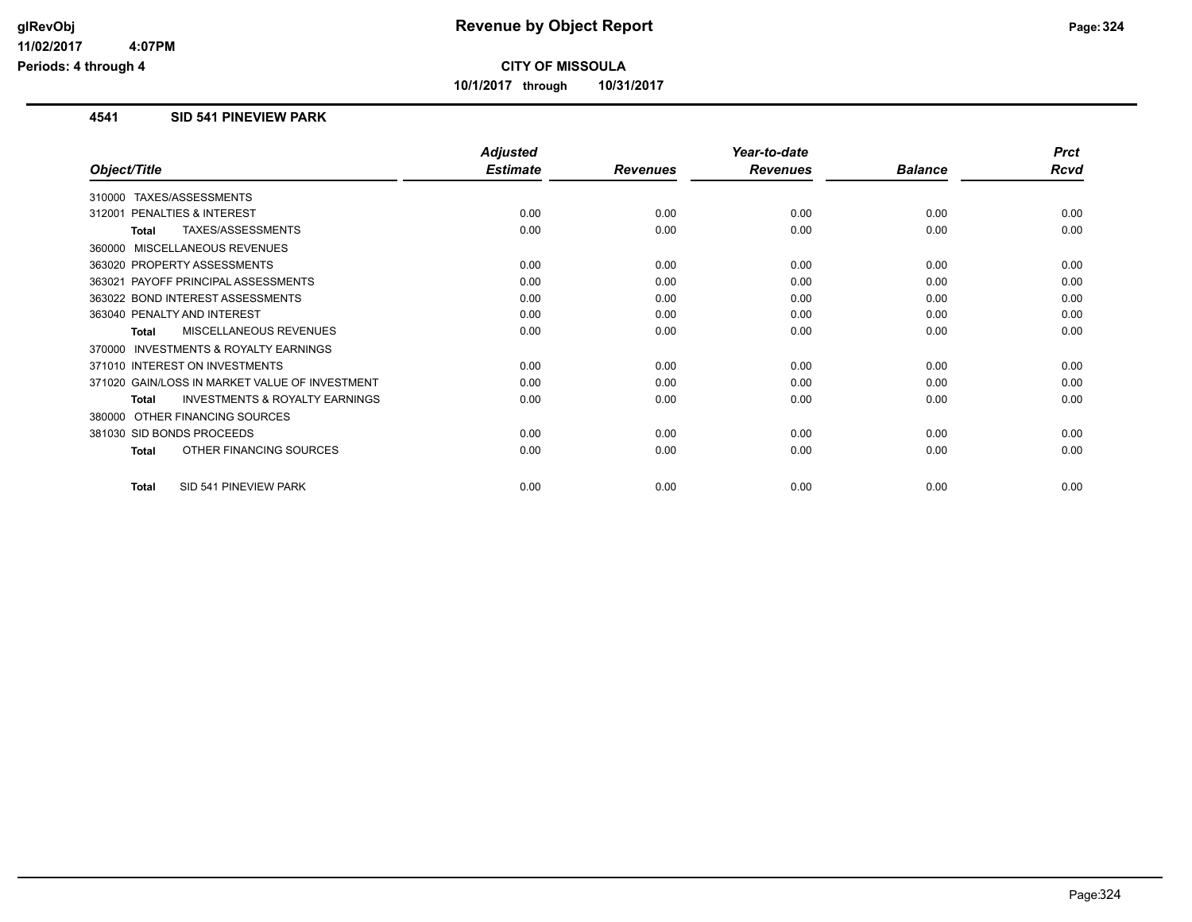**10/1/2017 through 10/31/2017**

#### **4541 SID 541 PINEVIEW PARK**

|                                                           | <b>Adjusted</b> |                 | Year-to-date    |                | <b>Prct</b> |
|-----------------------------------------------------------|-----------------|-----------------|-----------------|----------------|-------------|
| Object/Title                                              | <b>Estimate</b> | <b>Revenues</b> | <b>Revenues</b> | <b>Balance</b> | <b>Rcvd</b> |
| TAXES/ASSESSMENTS<br>310000                               |                 |                 |                 |                |             |
| 312001 PENALTIES & INTEREST                               | 0.00            | 0.00            | 0.00            | 0.00           | 0.00        |
| TAXES/ASSESSMENTS<br><b>Total</b>                         | 0.00            | 0.00            | 0.00            | 0.00           | 0.00        |
| MISCELLANEOUS REVENUES<br>360000                          |                 |                 |                 |                |             |
| 363020 PROPERTY ASSESSMENTS                               | 0.00            | 0.00            | 0.00            | 0.00           | 0.00        |
| PAYOFF PRINCIPAL ASSESSMENTS<br>363021                    | 0.00            | 0.00            | 0.00            | 0.00           | 0.00        |
| 363022 BOND INTEREST ASSESSMENTS                          | 0.00            | 0.00            | 0.00            | 0.00           | 0.00        |
| 363040 PENALTY AND INTEREST                               | 0.00            | 0.00            | 0.00            | 0.00           | 0.00        |
| <b>MISCELLANEOUS REVENUES</b><br><b>Total</b>             | 0.00            | 0.00            | 0.00            | 0.00           | 0.00        |
| <b>INVESTMENTS &amp; ROYALTY EARNINGS</b><br>370000       |                 |                 |                 |                |             |
| 371010 INTEREST ON INVESTMENTS                            | 0.00            | 0.00            | 0.00            | 0.00           | 0.00        |
| 371020 GAIN/LOSS IN MARKET VALUE OF INVESTMENT            | 0.00            | 0.00            | 0.00            | 0.00           | 0.00        |
| <b>INVESTMENTS &amp; ROYALTY EARNINGS</b><br><b>Total</b> | 0.00            | 0.00            | 0.00            | 0.00           | 0.00        |
| OTHER FINANCING SOURCES<br>380000                         |                 |                 |                 |                |             |
| 381030 SID BONDS PROCEEDS                                 | 0.00            | 0.00            | 0.00            | 0.00           | 0.00        |
| OTHER FINANCING SOURCES<br><b>Total</b>                   | 0.00            | 0.00            | 0.00            | 0.00           | 0.00        |
| SID 541 PINEVIEW PARK<br><b>Total</b>                     | 0.00            | 0.00            | 0.00            | 0.00           | 0.00        |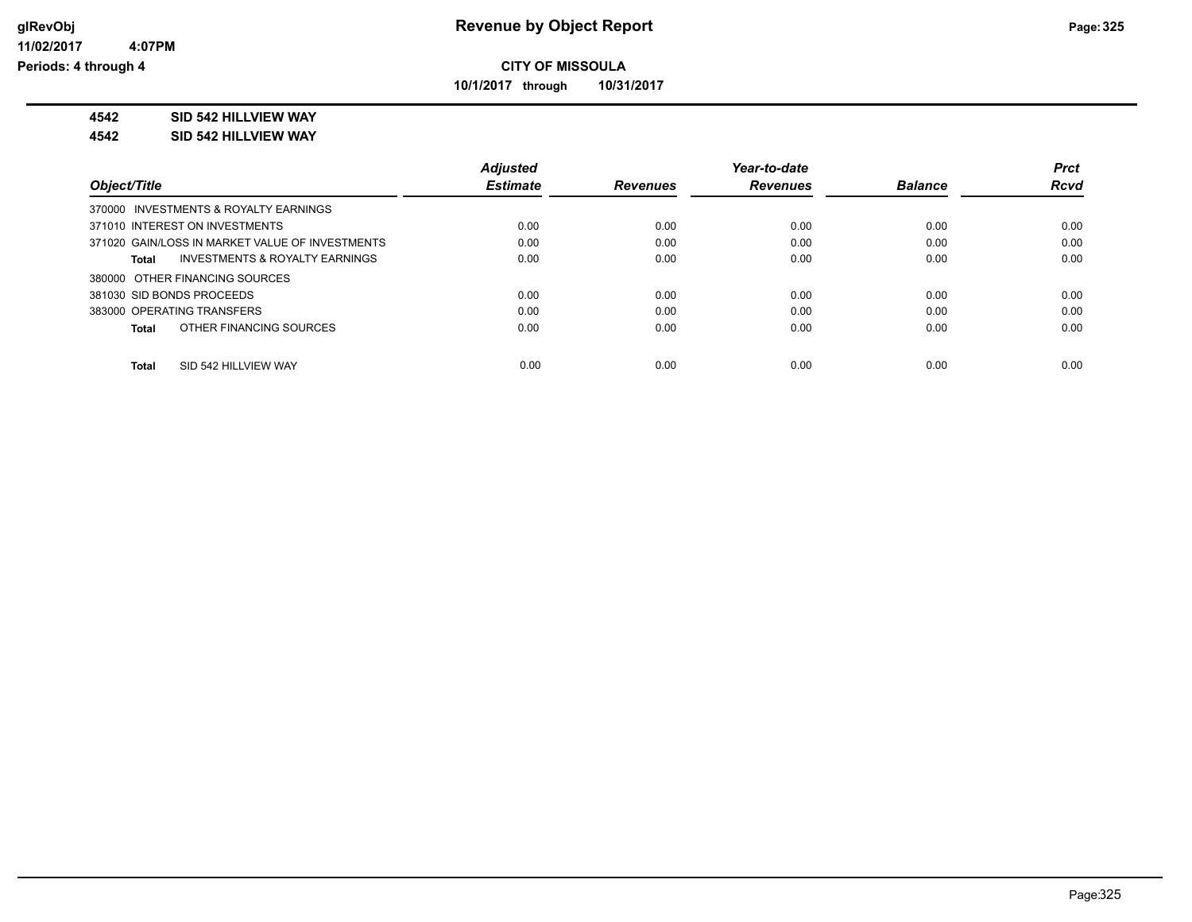**10/1/2017 through 10/31/2017**

#### **4542 SID 542 HILLVIEW WAY**

**4542 SID 542 HILLVIEW WAY**

|                                                    | <b>Adjusted</b> |                 | Year-to-date    |                | <b>Prct</b> |
|----------------------------------------------------|-----------------|-----------------|-----------------|----------------|-------------|
| Object/Title                                       | <b>Estimate</b> | <b>Revenues</b> | <b>Revenues</b> | <b>Balance</b> | <b>Rcvd</b> |
| 370000 INVESTMENTS & ROYALTY EARNINGS              |                 |                 |                 |                |             |
| 371010 INTEREST ON INVESTMENTS                     | 0.00            | 0.00            | 0.00            | 0.00           | 0.00        |
| 371020 GAIN/LOSS IN MARKET VALUE OF INVESTMENTS    | 0.00            | 0.00            | 0.00            | 0.00           | 0.00        |
| <b>INVESTMENTS &amp; ROYALTY EARNINGS</b><br>Total | 0.00            | 0.00            | 0.00            | 0.00           | 0.00        |
| 380000 OTHER FINANCING SOURCES                     |                 |                 |                 |                |             |
| 381030 SID BONDS PROCEEDS                          | 0.00            | 0.00            | 0.00            | 0.00           | 0.00        |
| 383000 OPERATING TRANSFERS                         | 0.00            | 0.00            | 0.00            | 0.00           | 0.00        |
| OTHER FINANCING SOURCES<br><b>Total</b>            | 0.00            | 0.00            | 0.00            | 0.00           | 0.00        |
|                                                    |                 |                 |                 |                |             |
| SID 542 HILLVIEW WAY<br><b>Total</b>               | 0.00            | 0.00            | 0.00            | 0.00           | 0.00        |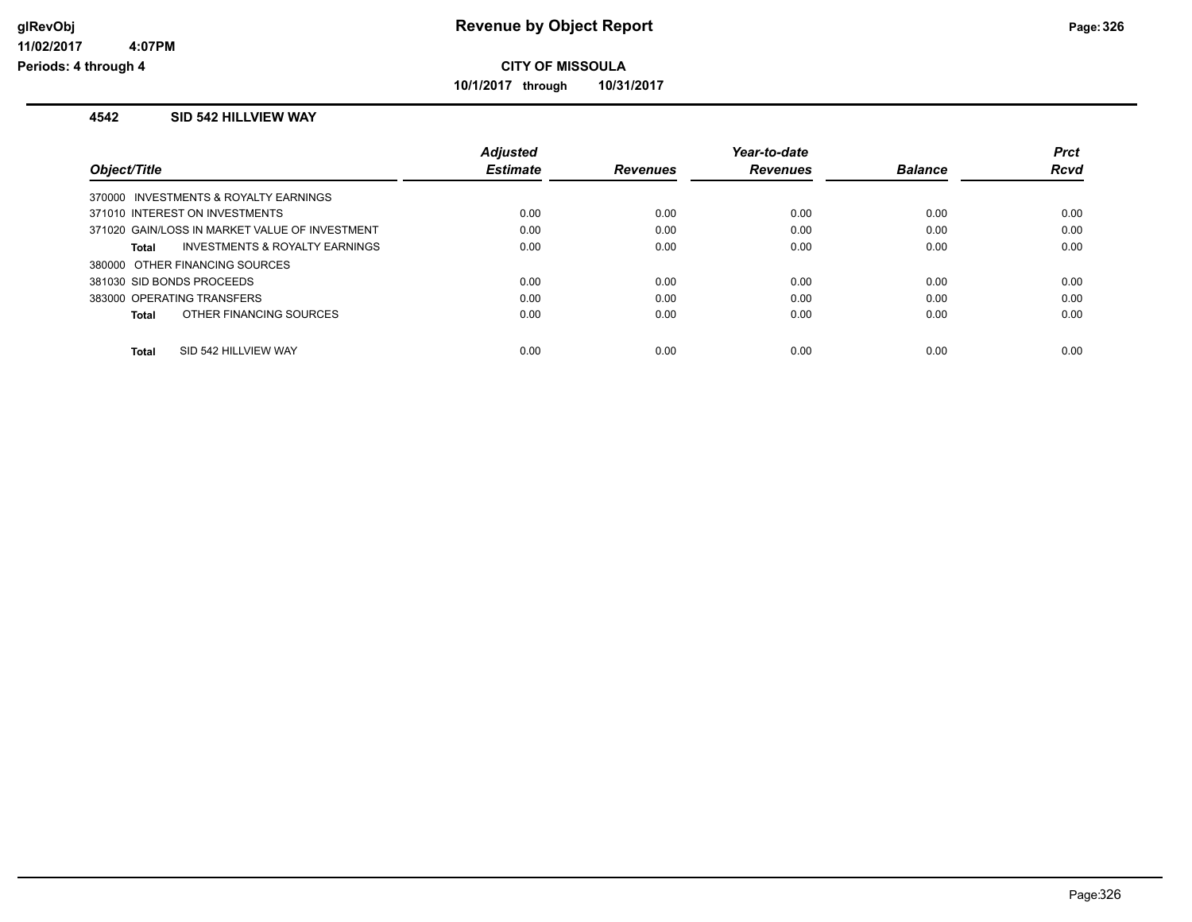**10/1/2017 through 10/31/2017**

#### **4542 SID 542 HILLVIEW WAY**

|                                                    | <b>Adjusted</b> |                 | Year-to-date    |                | <b>Prct</b> |
|----------------------------------------------------|-----------------|-----------------|-----------------|----------------|-------------|
| Object/Title                                       | <b>Estimate</b> | <b>Revenues</b> | <b>Revenues</b> | <b>Balance</b> | <b>Rcvd</b> |
| 370000 INVESTMENTS & ROYALTY EARNINGS              |                 |                 |                 |                |             |
| 371010 INTEREST ON INVESTMENTS                     | 0.00            | 0.00            | 0.00            | 0.00           | 0.00        |
| 371020 GAIN/LOSS IN MARKET VALUE OF INVESTMENT     | 0.00            | 0.00            | 0.00            | 0.00           | 0.00        |
| <b>INVESTMENTS &amp; ROYALTY EARNINGS</b><br>Total | 0.00            | 0.00            | 0.00            | 0.00           | 0.00        |
| 380000 OTHER FINANCING SOURCES                     |                 |                 |                 |                |             |
| 381030 SID BONDS PROCEEDS                          | 0.00            | 0.00            | 0.00            | 0.00           | 0.00        |
| 383000 OPERATING TRANSFERS                         | 0.00            | 0.00            | 0.00            | 0.00           | 0.00        |
| OTHER FINANCING SOURCES<br><b>Total</b>            | 0.00            | 0.00            | 0.00            | 0.00           | 0.00        |
|                                                    |                 |                 |                 |                |             |
| SID 542 HILLVIEW WAY<br><b>Total</b>               | 0.00            | 0.00            | 0.00            | 0.00           | 0.00        |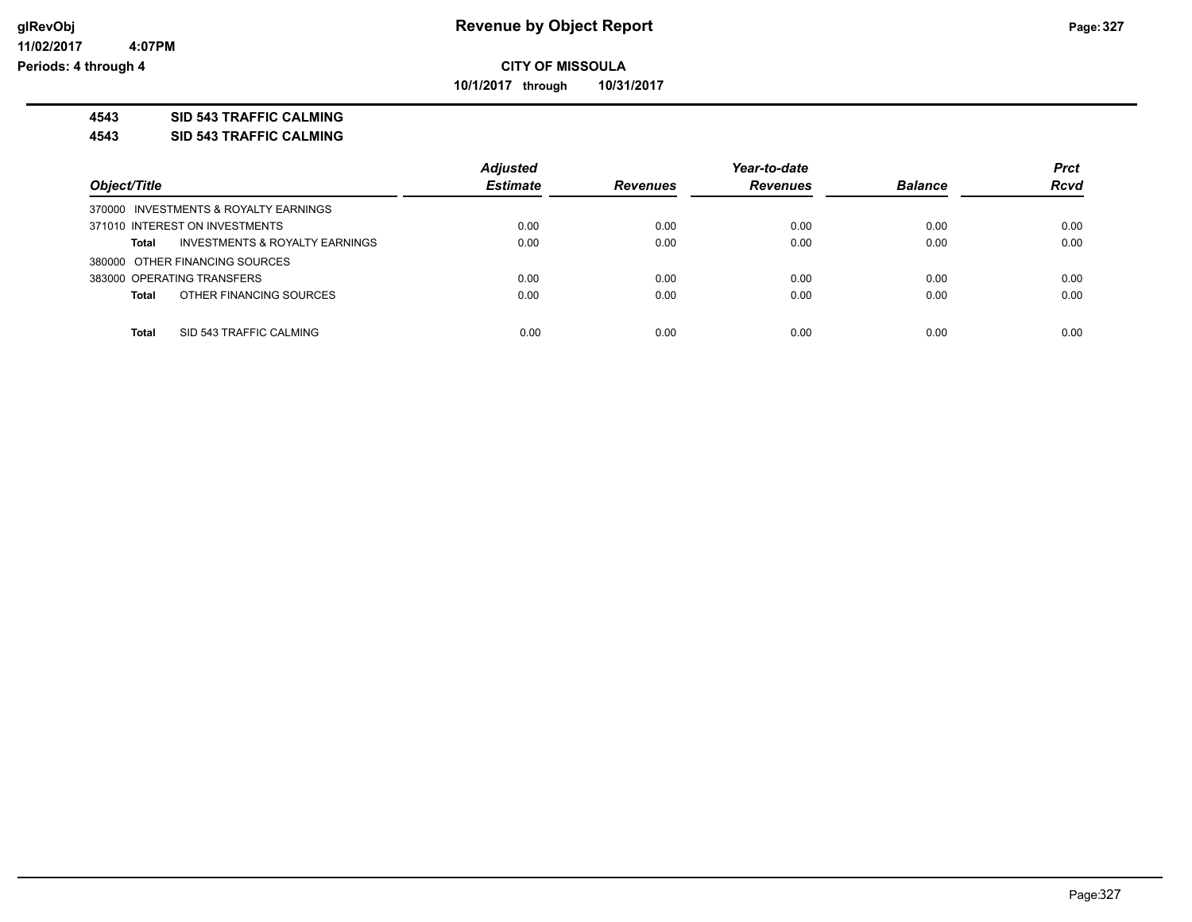**10/1/2017 through 10/31/2017**

#### **4543 SID 543 TRAFFIC CALMING**

#### **4543 SID 543 TRAFFIC CALMING**

|                                                | <b>Adjusted</b> |                 | Year-to-date    |                | <b>Prct</b> |
|------------------------------------------------|-----------------|-----------------|-----------------|----------------|-------------|
| Object/Title                                   | <b>Estimate</b> | <b>Revenues</b> | <b>Revenues</b> | <b>Balance</b> | <b>Rcvd</b> |
| 370000 INVESTMENTS & ROYALTY EARNINGS          |                 |                 |                 |                |             |
| 371010 INTEREST ON INVESTMENTS                 | 0.00            | 0.00            | 0.00            | 0.00           | 0.00        |
| INVESTMENTS & ROYALTY EARNINGS<br><b>Total</b> | 0.00            | 0.00            | 0.00            | 0.00           | 0.00        |
| 380000 OTHER FINANCING SOURCES                 |                 |                 |                 |                |             |
| 383000 OPERATING TRANSFERS                     | 0.00            | 0.00            | 0.00            | 0.00           | 0.00        |
| OTHER FINANCING SOURCES<br><b>Total</b>        | 0.00            | 0.00            | 0.00            | 0.00           | 0.00        |
|                                                |                 |                 |                 |                |             |
| SID 543 TRAFFIC CALMING<br><b>Total</b>        | 0.00            | 0.00            | 0.00            | 0.00           | 0.00        |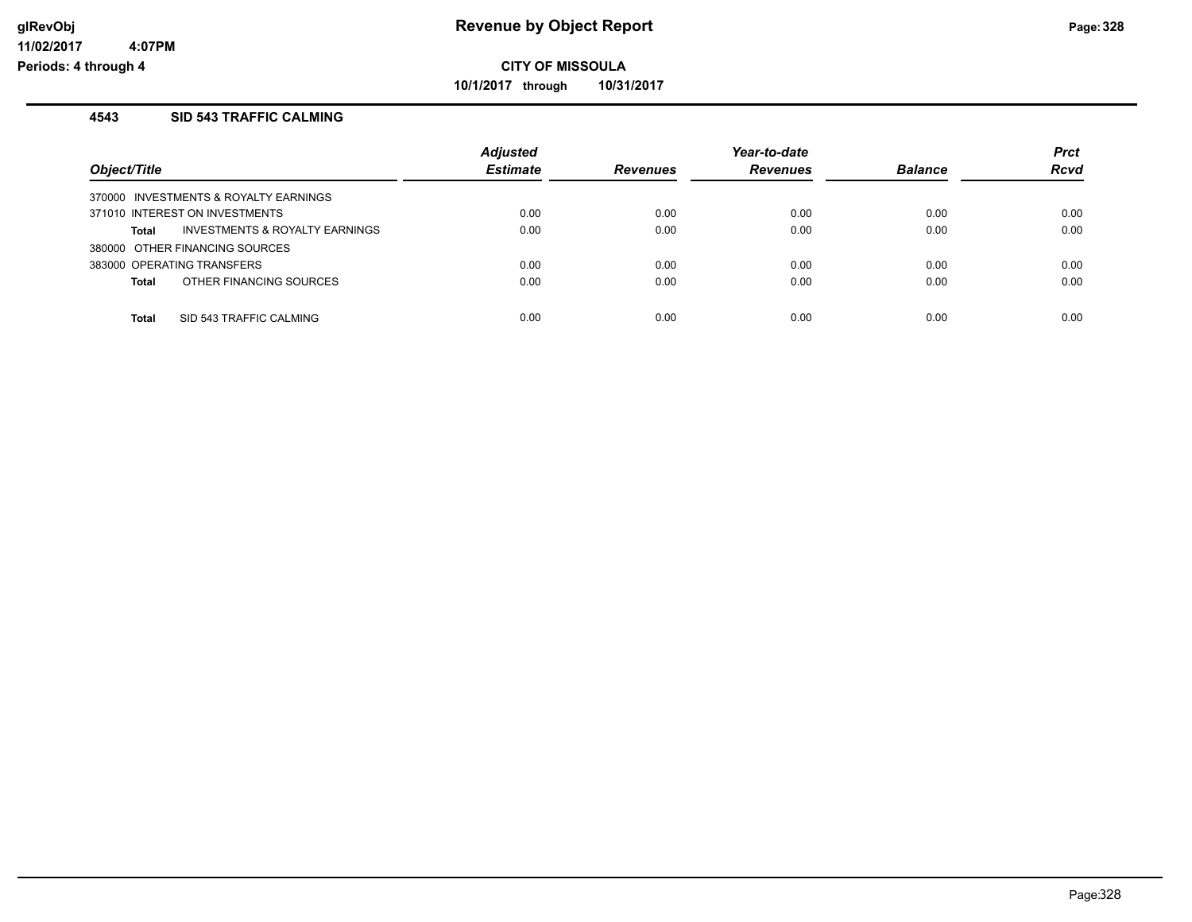**10/1/2017 through 10/31/2017**

#### **4543 SID 543 TRAFFIC CALMING**

| Object/Title                            | <b>Adjusted</b><br><b>Estimate</b> | <b>Revenues</b> | Year-to-date<br><b>Revenues</b> | <b>Balance</b> | <b>Prct</b><br><b>Rcvd</b> |
|-----------------------------------------|------------------------------------|-----------------|---------------------------------|----------------|----------------------------|
| 370000 INVESTMENTS & ROYALTY EARNINGS   |                                    |                 |                                 |                |                            |
| 371010 INTEREST ON INVESTMENTS          | 0.00                               | 0.00            | 0.00                            | 0.00           | 0.00                       |
| INVESTMENTS & ROYALTY EARNINGS<br>Total | 0.00                               | 0.00            | 0.00                            | 0.00           | 0.00                       |
| 380000 OTHER FINANCING SOURCES          |                                    |                 |                                 |                |                            |
| 383000 OPERATING TRANSFERS              | 0.00                               | 0.00            | 0.00                            | 0.00           | 0.00                       |
| OTHER FINANCING SOURCES<br>Total        | 0.00                               | 0.00            | 0.00                            | 0.00           | 0.00                       |
|                                         |                                    |                 |                                 |                |                            |
| SID 543 TRAFFIC CALMING<br><b>Total</b> | 0.00                               | 0.00            | 0.00                            | 0.00           | 0.00                       |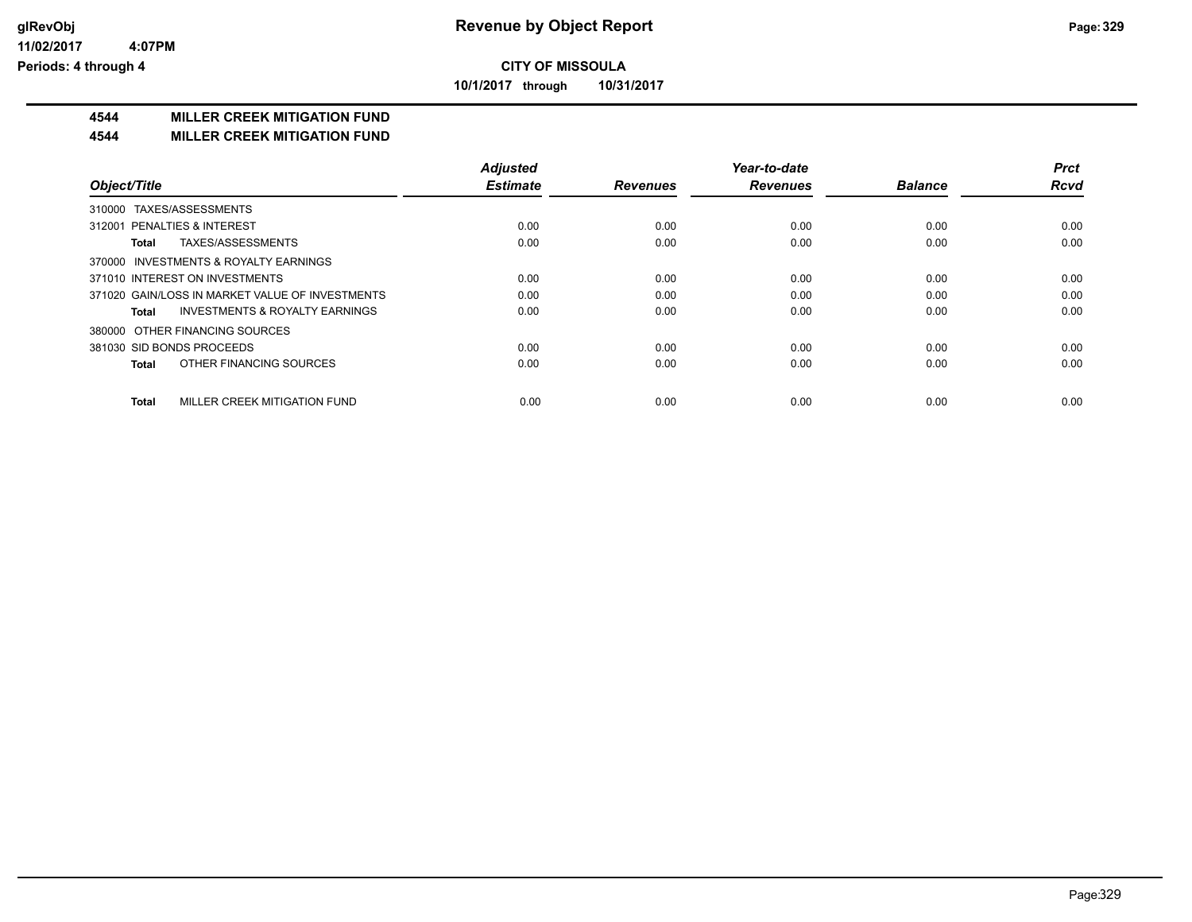**10/1/2017 through 10/31/2017**

### **4544 MILLER CREEK MITIGATION FUND**

#### **4544 MILLER CREEK MITIGATION FUND**

|                                                    | <b>Adjusted</b><br><b>Estimate</b> |                 | Year-to-date    | <b>Balance</b> | <b>Prct</b><br><b>Rcvd</b> |
|----------------------------------------------------|------------------------------------|-----------------|-----------------|----------------|----------------------------|
| Object/Title                                       |                                    | <b>Revenues</b> | <b>Revenues</b> |                |                            |
| TAXES/ASSESSMENTS<br>310000                        |                                    |                 |                 |                |                            |
| <b>PENALTIES &amp; INTEREST</b><br>312001          | 0.00                               | 0.00            | 0.00            | 0.00           | 0.00                       |
| TAXES/ASSESSMENTS<br>Total                         | 0.00                               | 0.00            | 0.00            | 0.00           | 0.00                       |
| 370000 INVESTMENTS & ROYALTY EARNINGS              |                                    |                 |                 |                |                            |
| 371010 INTEREST ON INVESTMENTS                     | 0.00                               | 0.00            | 0.00            | 0.00           | 0.00                       |
| 371020 GAIN/LOSS IN MARKET VALUE OF INVESTMENTS    | 0.00                               | 0.00            | 0.00            | 0.00           | 0.00                       |
| <b>INVESTMENTS &amp; ROYALTY EARNINGS</b><br>Total | 0.00                               | 0.00            | 0.00            | 0.00           | 0.00                       |
| 380000 OTHER FINANCING SOURCES                     |                                    |                 |                 |                |                            |
| 381030 SID BONDS PROCEEDS                          | 0.00                               | 0.00            | 0.00            | 0.00           | 0.00                       |
| OTHER FINANCING SOURCES<br><b>Total</b>            | 0.00                               | 0.00            | 0.00            | 0.00           | 0.00                       |
| MILLER CREEK MITIGATION FUND<br><b>Total</b>       | 0.00                               | 0.00            | 0.00            | 0.00           | 0.00                       |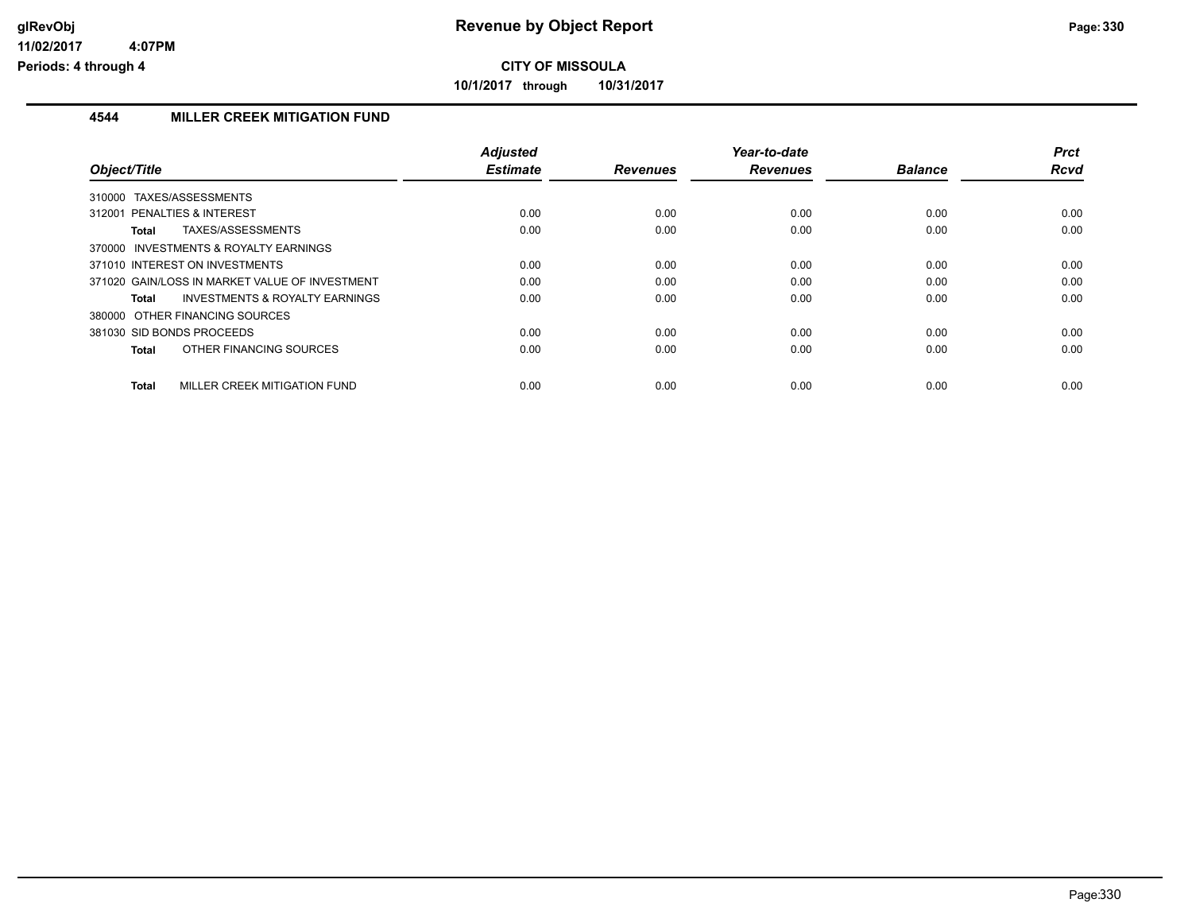**10/1/2017 through 10/31/2017**

#### **4544 MILLER CREEK MITIGATION FUND**

|                                                           | <b>Adjusted</b> |                 | Year-to-date    |                | <b>Prct</b> |
|-----------------------------------------------------------|-----------------|-----------------|-----------------|----------------|-------------|
| Object/Title                                              | <b>Estimate</b> | <b>Revenues</b> | <b>Revenues</b> | <b>Balance</b> | <b>Rcvd</b> |
| TAXES/ASSESSMENTS<br>310000                               |                 |                 |                 |                |             |
| 312001 PENALTIES & INTEREST                               | 0.00            | 0.00            | 0.00            | 0.00           | 0.00        |
| TAXES/ASSESSMENTS<br><b>Total</b>                         | 0.00            | 0.00            | 0.00            | 0.00           | 0.00        |
| 370000 INVESTMENTS & ROYALTY EARNINGS                     |                 |                 |                 |                |             |
| 371010 INTEREST ON INVESTMENTS                            | 0.00            | 0.00            | 0.00            | 0.00           | 0.00        |
| 371020 GAIN/LOSS IN MARKET VALUE OF INVESTMENT            | 0.00            | 0.00            | 0.00            | 0.00           | 0.00        |
| <b>INVESTMENTS &amp; ROYALTY EARNINGS</b><br><b>Total</b> | 0.00            | 0.00            | 0.00            | 0.00           | 0.00        |
| 380000 OTHER FINANCING SOURCES                            |                 |                 |                 |                |             |
| 381030 SID BONDS PROCEEDS                                 | 0.00            | 0.00            | 0.00            | 0.00           | 0.00        |
| OTHER FINANCING SOURCES<br><b>Total</b>                   | 0.00            | 0.00            | 0.00            | 0.00           | 0.00        |
| <b>Total</b><br>MILLER CREEK MITIGATION FUND              | 0.00            | 0.00            | 0.00            | 0.00           | 0.00        |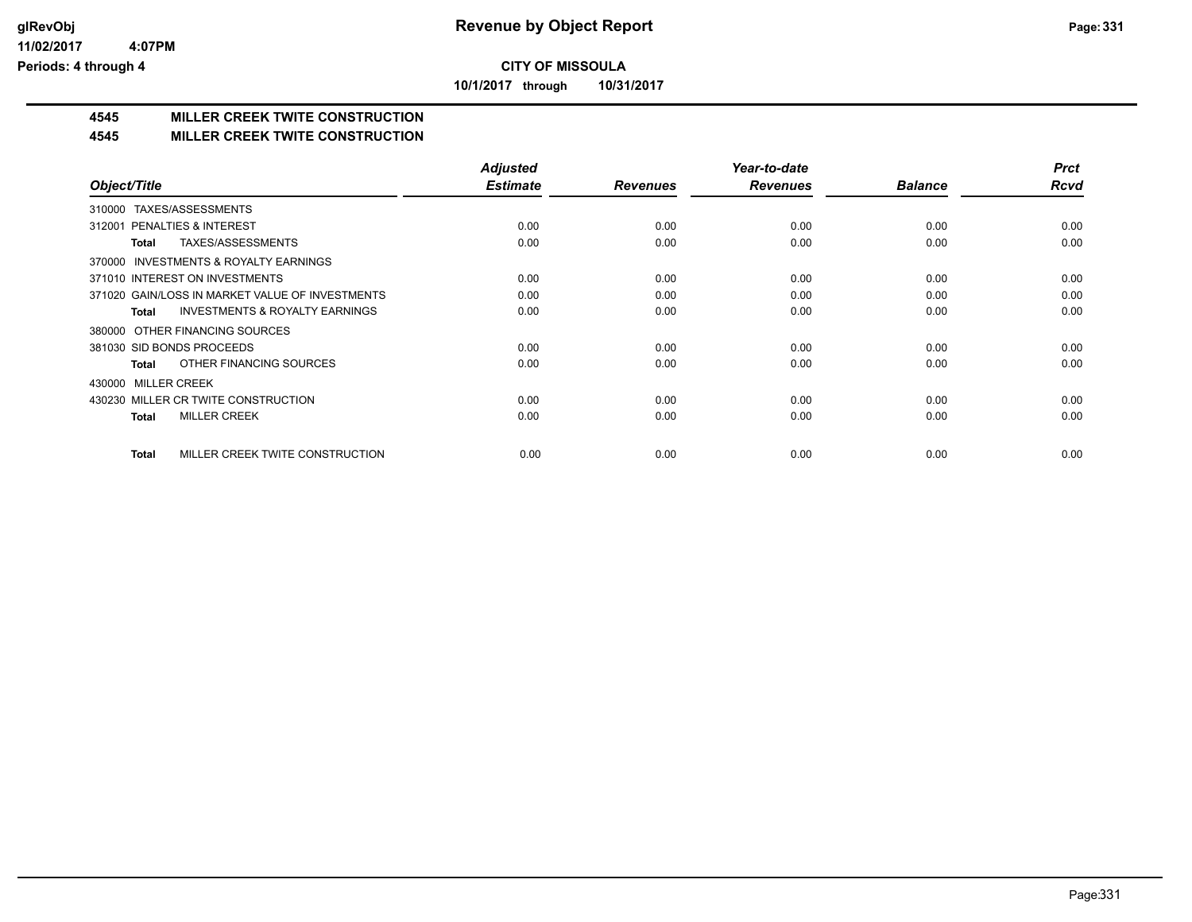**10/1/2017 through 10/31/2017**

# **4545 MILLER CREEK TWITE CONSTRUCTION**

#### **4545 MILLER CREEK TWITE CONSTRUCTION**

|                                                     | <b>Adjusted</b> |                 | Year-to-date    |                | <b>Prct</b> |
|-----------------------------------------------------|-----------------|-----------------|-----------------|----------------|-------------|
| Object/Title                                        | <b>Estimate</b> | <b>Revenues</b> | <b>Revenues</b> | <b>Balance</b> | Rcvd        |
| TAXES/ASSESSMENTS<br>310000                         |                 |                 |                 |                |             |
| 312001 PENALTIES & INTEREST                         | 0.00            | 0.00            | 0.00            | 0.00           | 0.00        |
| TAXES/ASSESSMENTS<br><b>Total</b>                   | 0.00            | 0.00            | 0.00            | 0.00           | 0.00        |
| <b>INVESTMENTS &amp; ROYALTY EARNINGS</b><br>370000 |                 |                 |                 |                |             |
| 371010 INTEREST ON INVESTMENTS                      | 0.00            | 0.00            | 0.00            | 0.00           | 0.00        |
| 371020 GAIN/LOSS IN MARKET VALUE OF INVESTMENTS     | 0.00            | 0.00            | 0.00            | 0.00           | 0.00        |
| <b>INVESTMENTS &amp; ROYALTY EARNINGS</b><br>Total  | 0.00            | 0.00            | 0.00            | 0.00           | 0.00        |
| OTHER FINANCING SOURCES<br>380000                   |                 |                 |                 |                |             |
| 381030 SID BONDS PROCEEDS                           | 0.00            | 0.00            | 0.00            | 0.00           | 0.00        |
| OTHER FINANCING SOURCES<br>Total                    | 0.00            | 0.00            | 0.00            | 0.00           | 0.00        |
| <b>MILLER CREEK</b><br>430000                       |                 |                 |                 |                |             |
| 430230 MILLER CR TWITE CONSTRUCTION                 | 0.00            | 0.00            | 0.00            | 0.00           | 0.00        |
| <b>MILLER CREEK</b><br>Total                        | 0.00            | 0.00            | 0.00            | 0.00           | 0.00        |
|                                                     |                 |                 |                 |                |             |
| MILLER CREEK TWITE CONSTRUCTION<br><b>Total</b>     | 0.00            | 0.00            | 0.00            | 0.00           | 0.00        |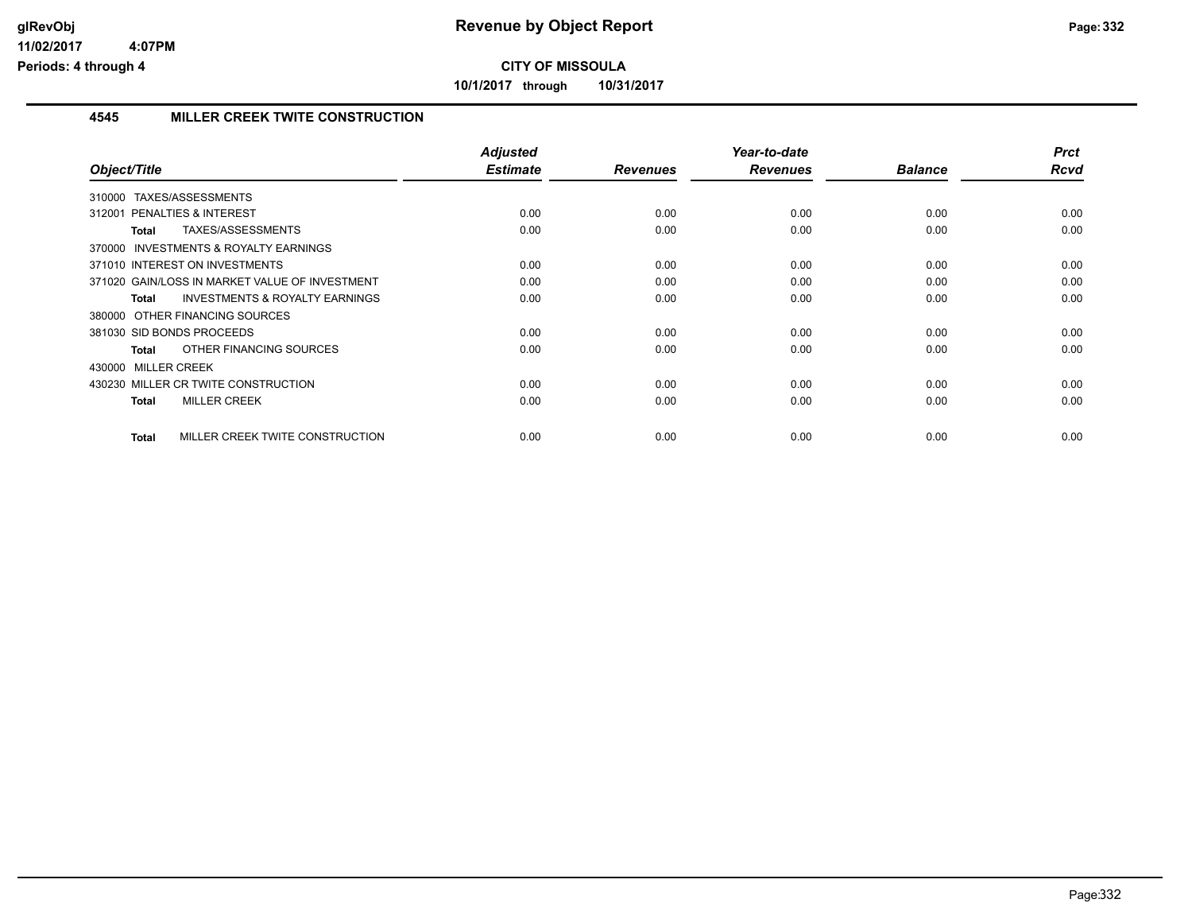**10/1/2017 through 10/31/2017**

#### **4545 MILLER CREEK TWITE CONSTRUCTION**

| <b>Estimate</b> |      | <b>Revenues</b>         | <b>Balance</b> | <b>Prct</b><br><b>Rcvd</b> |
|-----------------|------|-------------------------|----------------|----------------------------|
|                 |      |                         |                |                            |
|                 |      |                         |                |                            |
| 0.00            | 0.00 | 0.00                    | 0.00           | 0.00                       |
| 0.00            | 0.00 | 0.00                    | 0.00           | 0.00                       |
|                 |      |                         |                |                            |
| 0.00            | 0.00 | 0.00                    | 0.00           | 0.00                       |
| 0.00            | 0.00 | 0.00                    | 0.00           | 0.00                       |
| 0.00            | 0.00 | 0.00                    | 0.00           | 0.00                       |
|                 |      |                         |                |                            |
| 0.00            | 0.00 | 0.00                    | 0.00           | 0.00                       |
| 0.00            | 0.00 | 0.00                    | 0.00           | 0.00                       |
|                 |      |                         |                |                            |
| 0.00            | 0.00 | 0.00                    | 0.00           | 0.00                       |
| 0.00            | 0.00 | 0.00                    | 0.00           | 0.00                       |
|                 |      |                         |                | 0.00                       |
|                 | 0.00 | <b>Revenues</b><br>0.00 | 0.00           | 0.00                       |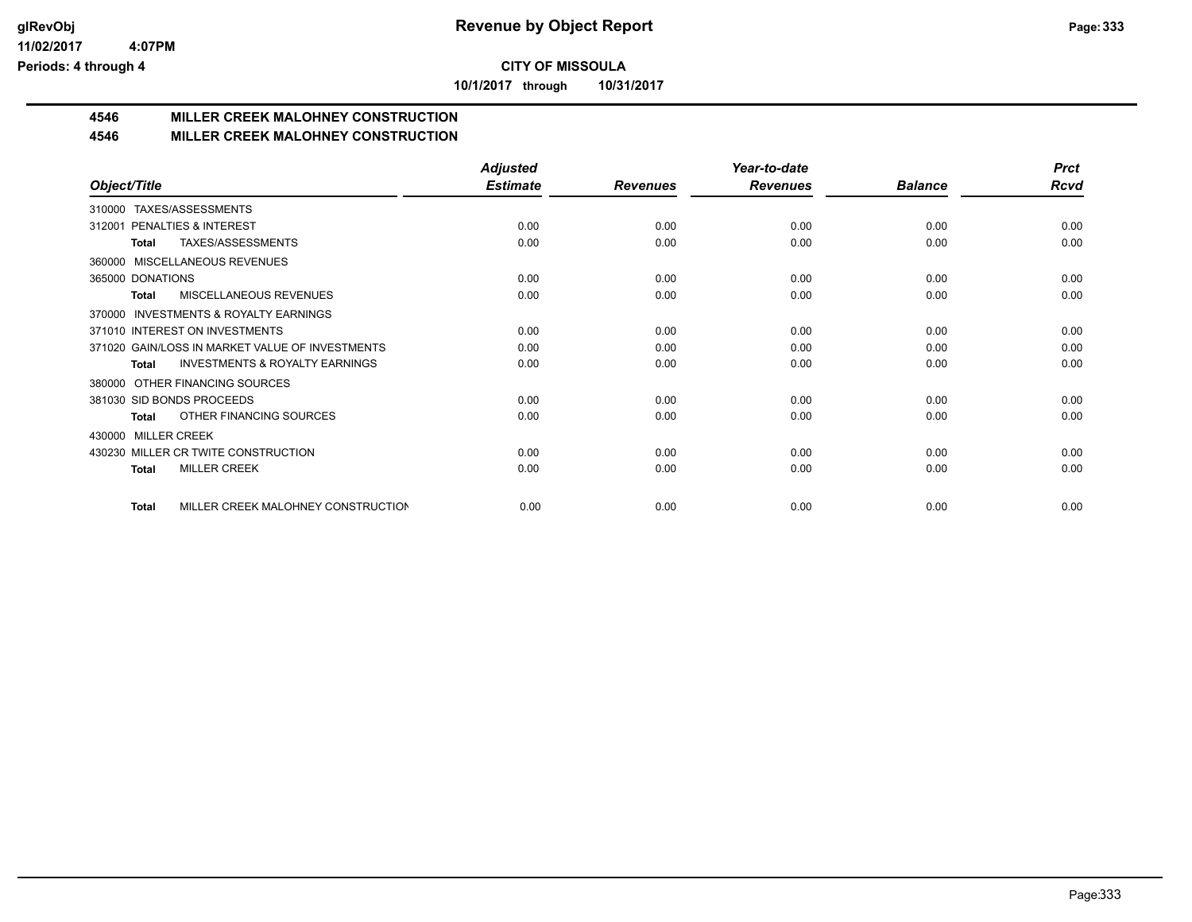**10/1/2017 through 10/31/2017**

# **4546 MILLER CREEK MALOHNEY CONSTRUCTION**

## **4546 MILLER CREEK MALOHNEY CONSTRUCTION**

|                                                           | <b>Adjusted</b> |                 | Year-to-date    |                | <b>Prct</b> |
|-----------------------------------------------------------|-----------------|-----------------|-----------------|----------------|-------------|
| Object/Title                                              | <b>Estimate</b> | <b>Revenues</b> | <b>Revenues</b> | <b>Balance</b> | Rcvd        |
| TAXES/ASSESSMENTS<br>310000                               |                 |                 |                 |                |             |
| PENALTIES & INTEREST<br>312001                            | 0.00            | 0.00            | 0.00            | 0.00           | 0.00        |
| TAXES/ASSESSMENTS<br><b>Total</b>                         | 0.00            | 0.00            | 0.00            | 0.00           | 0.00        |
| MISCELLANEOUS REVENUES<br>360000                          |                 |                 |                 |                |             |
| 365000 DONATIONS                                          | 0.00            | 0.00            | 0.00            | 0.00           | 0.00        |
| MISCELLANEOUS REVENUES<br><b>Total</b>                    | 0.00            | 0.00            | 0.00            | 0.00           | 0.00        |
| <b>INVESTMENTS &amp; ROYALTY EARNINGS</b><br>370000       |                 |                 |                 |                |             |
| 371010 INTEREST ON INVESTMENTS                            | 0.00            | 0.00            | 0.00            | 0.00           | 0.00        |
| 371020 GAIN/LOSS IN MARKET VALUE OF INVESTMENTS           | 0.00            | 0.00            | 0.00            | 0.00           | 0.00        |
| <b>INVESTMENTS &amp; ROYALTY EARNINGS</b><br><b>Total</b> | 0.00            | 0.00            | 0.00            | 0.00           | 0.00        |
| OTHER FINANCING SOURCES<br>380000                         |                 |                 |                 |                |             |
| 381030 SID BONDS PROCEEDS                                 | 0.00            | 0.00            | 0.00            | 0.00           | 0.00        |
| OTHER FINANCING SOURCES<br>Total                          | 0.00            | 0.00            | 0.00            | 0.00           | 0.00        |
| <b>MILLER CREEK</b><br>430000                             |                 |                 |                 |                |             |
| 430230 MILLER CR TWITE CONSTRUCTION                       | 0.00            | 0.00            | 0.00            | 0.00           | 0.00        |
| <b>MILLER CREEK</b><br><b>Total</b>                       | 0.00            | 0.00            | 0.00            | 0.00           | 0.00        |
| MILLER CREEK MALOHNEY CONSTRUCTION<br><b>Total</b>        | 0.00            | 0.00            | 0.00            | 0.00           | 0.00        |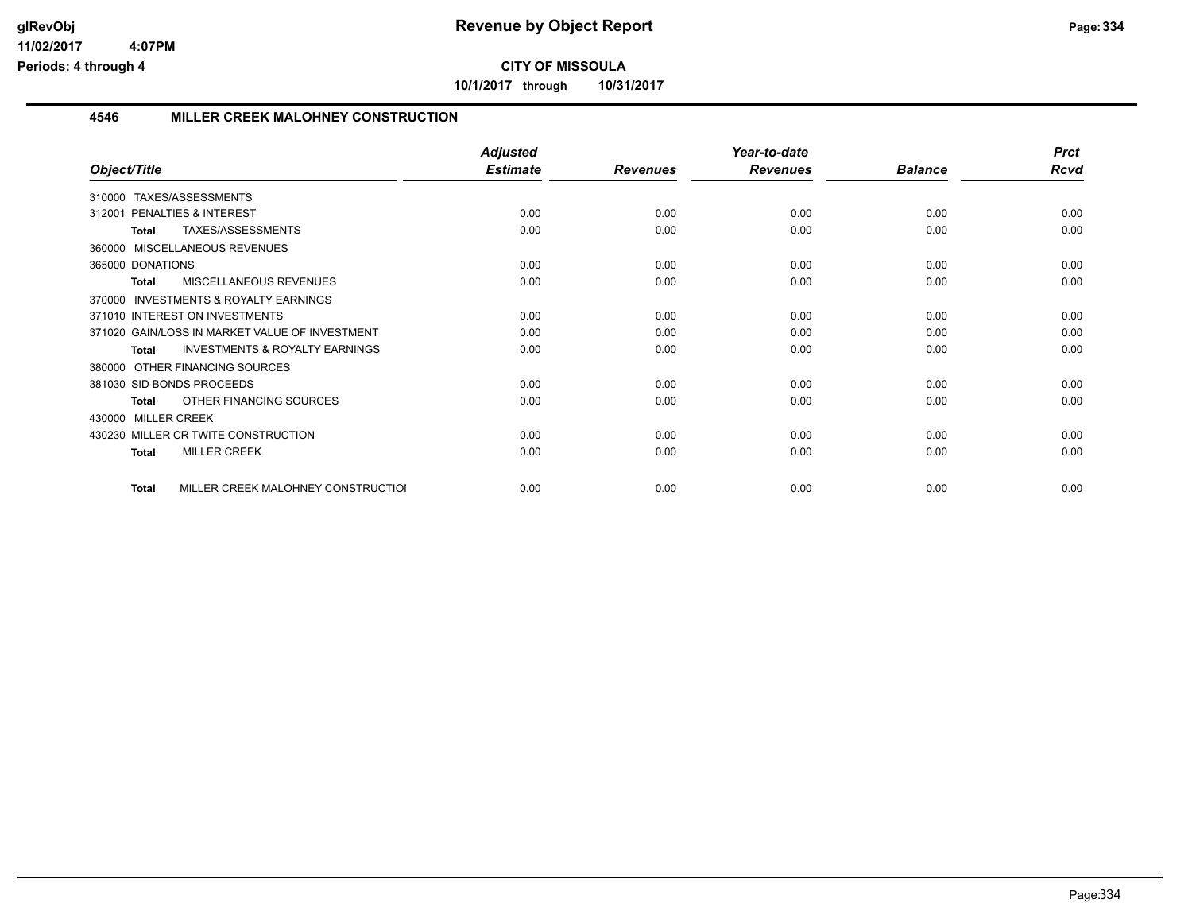**10/1/2017 through 10/31/2017**

#### **4546 MILLER CREEK MALOHNEY CONSTRUCTION**

|                                                           | <b>Adjusted</b> |                 | Year-to-date    |                | <b>Prct</b> |
|-----------------------------------------------------------|-----------------|-----------------|-----------------|----------------|-------------|
| Object/Title                                              | <b>Estimate</b> | <b>Revenues</b> | <b>Revenues</b> | <b>Balance</b> | <b>Rcvd</b> |
| TAXES/ASSESSMENTS<br>310000                               |                 |                 |                 |                |             |
| PENALTIES & INTEREST<br>312001                            | 0.00            | 0.00            | 0.00            | 0.00           | 0.00        |
| TAXES/ASSESSMENTS<br><b>Total</b>                         | 0.00            | 0.00            | 0.00            | 0.00           | 0.00        |
| 360000 MISCELLANEOUS REVENUES                             |                 |                 |                 |                |             |
| 365000 DONATIONS                                          | 0.00            | 0.00            | 0.00            | 0.00           | 0.00        |
| <b>MISCELLANEOUS REVENUES</b><br><b>Total</b>             | 0.00            | 0.00            | 0.00            | 0.00           | 0.00        |
| INVESTMENTS & ROYALTY EARNINGS<br>370000                  |                 |                 |                 |                |             |
| 371010 INTEREST ON INVESTMENTS                            | 0.00            | 0.00            | 0.00            | 0.00           | 0.00        |
| 371020 GAIN/LOSS IN MARKET VALUE OF INVESTMENT            | 0.00            | 0.00            | 0.00            | 0.00           | 0.00        |
| <b>INVESTMENTS &amp; ROYALTY EARNINGS</b><br><b>Total</b> | 0.00            | 0.00            | 0.00            | 0.00           | 0.00        |
| OTHER FINANCING SOURCES<br>380000                         |                 |                 |                 |                |             |
| 381030 SID BONDS PROCEEDS                                 | 0.00            | 0.00            | 0.00            | 0.00           | 0.00        |
| OTHER FINANCING SOURCES<br>Total                          | 0.00            | 0.00            | 0.00            | 0.00           | 0.00        |
| 430000 MILLER CREEK                                       |                 |                 |                 |                |             |
| 430230 MILLER CR TWITE CONSTRUCTION                       | 0.00            | 0.00            | 0.00            | 0.00           | 0.00        |
| <b>MILLER CREEK</b><br><b>Total</b>                       | 0.00            | 0.00            | 0.00            | 0.00           | 0.00        |
| MILLER CREEK MALOHNEY CONSTRUCTIOI<br><b>Total</b>        | 0.00            | 0.00            | 0.00            | 0.00           | 0.00        |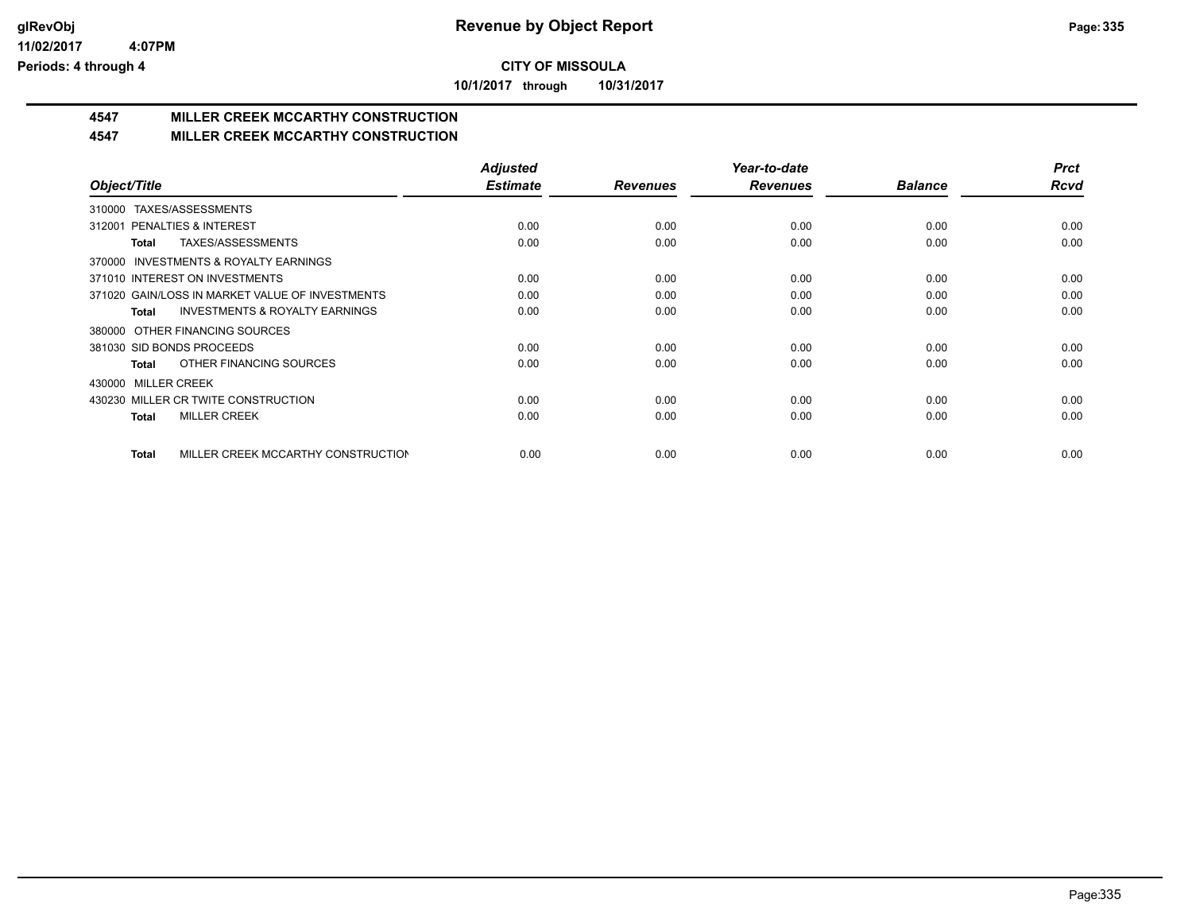**10/1/2017 through 10/31/2017**

# **4547 MILLER CREEK MCCARTHY CONSTRUCTION**

## **4547 MILLER CREEK MCCARTHY CONSTRUCTION**

|                                                     | <b>Adjusted</b> |                 | Year-to-date    |                | <b>Prct</b> |
|-----------------------------------------------------|-----------------|-----------------|-----------------|----------------|-------------|
| Object/Title                                        | <b>Estimate</b> | <b>Revenues</b> | <b>Revenues</b> | <b>Balance</b> | Rcvd        |
| TAXES/ASSESSMENTS<br>310000                         |                 |                 |                 |                |             |
| 312001 PENALTIES & INTEREST                         | 0.00            | 0.00            | 0.00            | 0.00           | 0.00        |
| <b>TAXES/ASSESSMENTS</b><br><b>Total</b>            | 0.00            | 0.00            | 0.00            | 0.00           | 0.00        |
| <b>INVESTMENTS &amp; ROYALTY EARNINGS</b><br>370000 |                 |                 |                 |                |             |
| 371010 INTEREST ON INVESTMENTS                      | 0.00            | 0.00            | 0.00            | 0.00           | 0.00        |
| 371020 GAIN/LOSS IN MARKET VALUE OF INVESTMENTS     | 0.00            | 0.00            | 0.00            | 0.00           | 0.00        |
| <b>INVESTMENTS &amp; ROYALTY EARNINGS</b><br>Total  | 0.00            | 0.00            | 0.00            | 0.00           | 0.00        |
| OTHER FINANCING SOURCES<br>380000                   |                 |                 |                 |                |             |
| 381030 SID BONDS PROCEEDS                           | 0.00            | 0.00            | 0.00            | 0.00           | 0.00        |
| OTHER FINANCING SOURCES<br><b>Total</b>             | 0.00            | 0.00            | 0.00            | 0.00           | 0.00        |
| <b>MILLER CREEK</b><br>430000                       |                 |                 |                 |                |             |
| 430230 MILLER CR TWITE CONSTRUCTION                 | 0.00            | 0.00            | 0.00            | 0.00           | 0.00        |
| <b>MILLER CREEK</b><br>Total                        | 0.00            | 0.00            | 0.00            | 0.00           | 0.00        |
|                                                     |                 |                 |                 |                |             |
| MILLER CREEK MCCARTHY CONSTRUCTION<br><b>Total</b>  | 0.00            | 0.00            | 0.00            | 0.00           | 0.00        |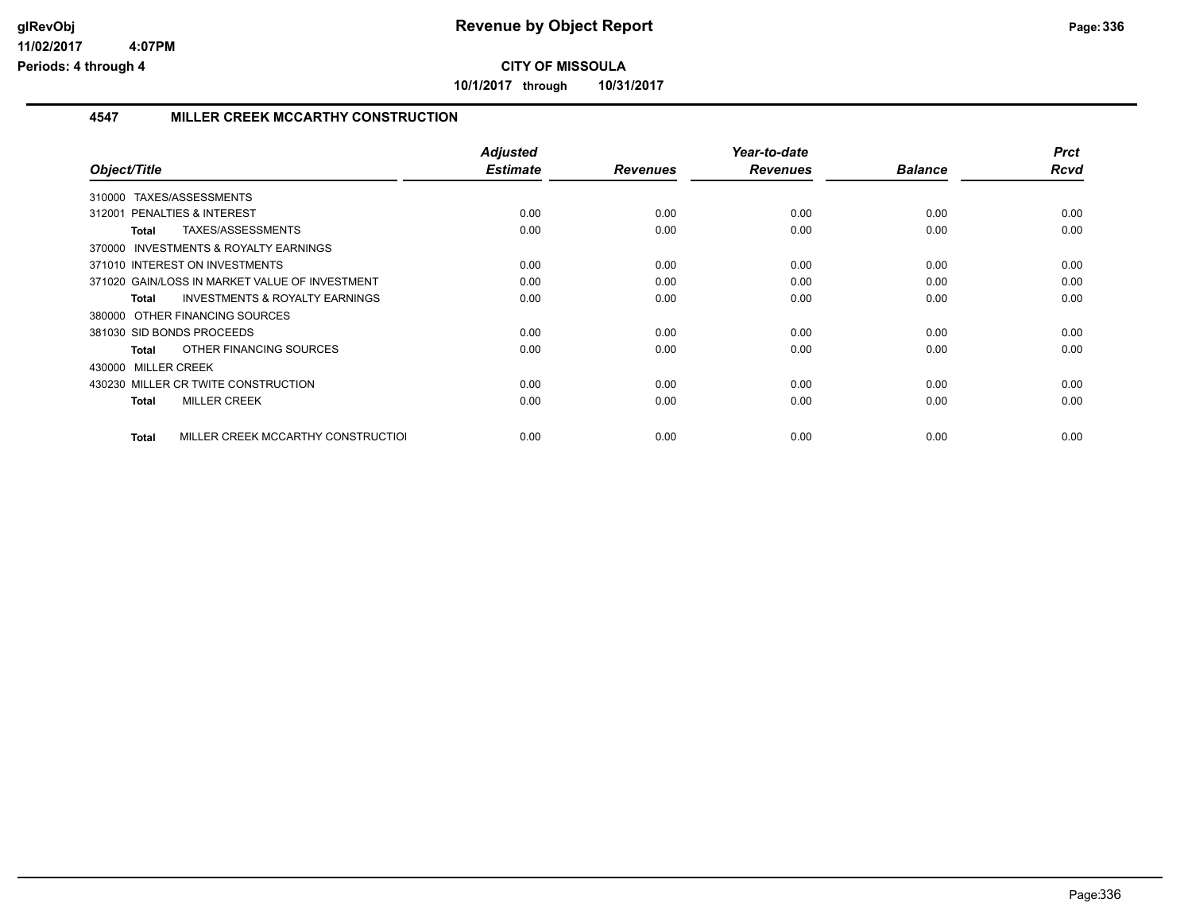**10/1/2017 through 10/31/2017**

#### **4547 MILLER CREEK MCCARTHY CONSTRUCTION**

| Object/Title                                              | <b>Adjusted</b><br><b>Estimate</b> | <b>Revenues</b> | Year-to-date<br><b>Revenues</b> | <b>Balance</b> | <b>Prct</b><br><b>Rcvd</b> |
|-----------------------------------------------------------|------------------------------------|-----------------|---------------------------------|----------------|----------------------------|
| 310000 TAXES/ASSESSMENTS                                  |                                    |                 |                                 |                |                            |
| <b>PENALTIES &amp; INTEREST</b><br>312001                 | 0.00                               | 0.00            | 0.00                            | 0.00           | 0.00                       |
| TAXES/ASSESSMENTS<br>Total                                | 0.00                               | 0.00            | 0.00                            | 0.00           | 0.00                       |
| 370000 INVESTMENTS & ROYALTY EARNINGS                     |                                    |                 |                                 |                |                            |
| 371010 INTEREST ON INVESTMENTS                            | 0.00                               | 0.00            | 0.00                            | 0.00           | 0.00                       |
| 371020 GAIN/LOSS IN MARKET VALUE OF INVESTMENT            | 0.00                               | 0.00            | 0.00                            | 0.00           | 0.00                       |
| <b>INVESTMENTS &amp; ROYALTY EARNINGS</b><br><b>Total</b> | 0.00                               | 0.00            | 0.00                            | 0.00           | 0.00                       |
| 380000 OTHER FINANCING SOURCES                            |                                    |                 |                                 |                |                            |
| 381030 SID BONDS PROCEEDS                                 | 0.00                               | 0.00            | 0.00                            | 0.00           | 0.00                       |
| OTHER FINANCING SOURCES<br>Total                          | 0.00                               | 0.00            | 0.00                            | 0.00           | 0.00                       |
| 430000 MILLER CREEK                                       |                                    |                 |                                 |                |                            |
| 430230 MILLER CR TWITE CONSTRUCTION                       | 0.00                               | 0.00            | 0.00                            | 0.00           | 0.00                       |
| <b>MILLER CREEK</b><br>Total                              | 0.00                               | 0.00            | 0.00                            | 0.00           | 0.00                       |
| MILLER CREEK MCCARTHY CONSTRUCTION<br><b>Total</b>        | 0.00                               | 0.00            | 0.00                            | 0.00           | 0.00                       |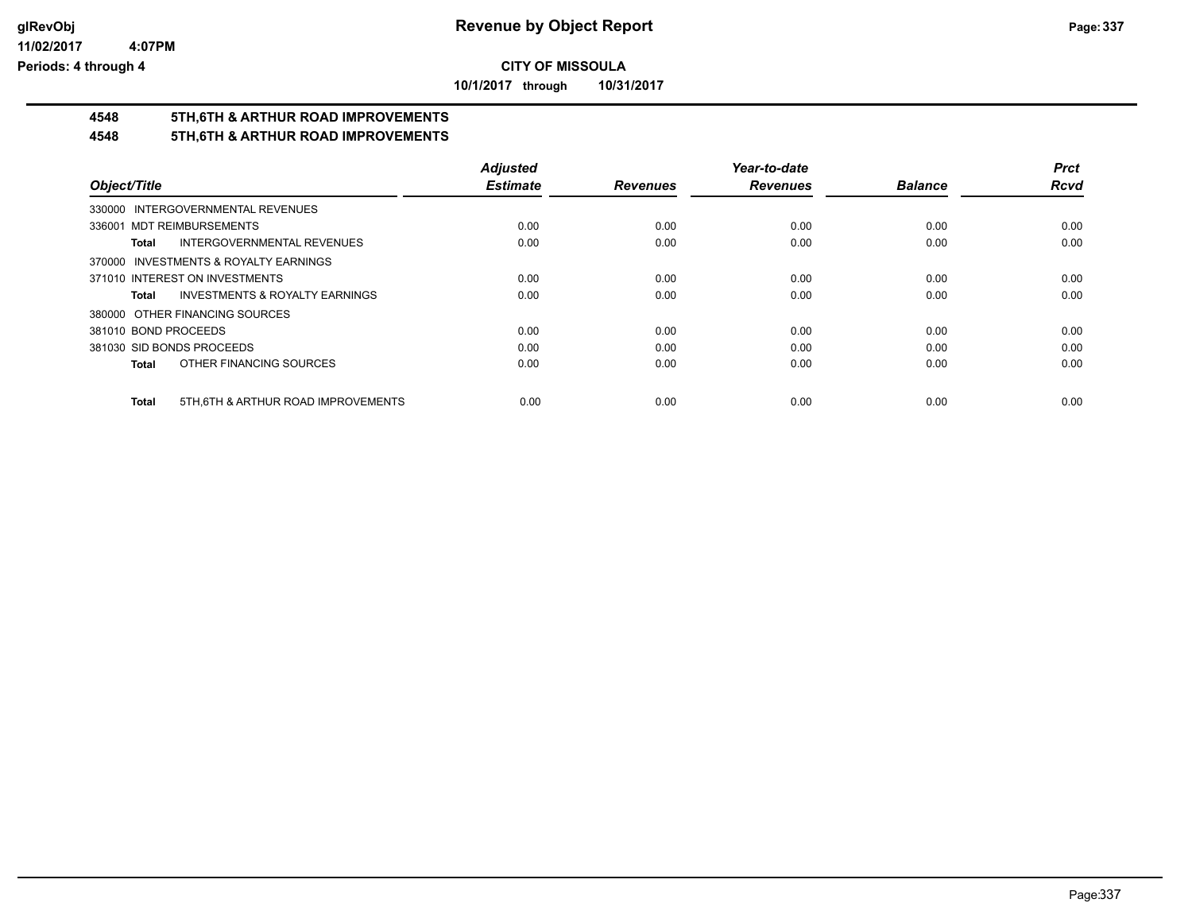**10/1/2017 through 10/31/2017**

# **4548 5TH,6TH & ARTHUR ROAD IMPROVEMENTS**

# **4548 5TH,6TH & ARTHUR ROAD IMPROVEMENTS**

|                                                    | <b>Adjusted</b> |                 | Year-to-date    |                | <b>Prct</b> |
|----------------------------------------------------|-----------------|-----------------|-----------------|----------------|-------------|
| Object/Title                                       | <b>Estimate</b> | <b>Revenues</b> | <b>Revenues</b> | <b>Balance</b> | <b>Rcvd</b> |
| 330000 INTERGOVERNMENTAL REVENUES                  |                 |                 |                 |                |             |
| 336001 MDT REIMBURSEMENTS                          | 0.00            | 0.00            | 0.00            | 0.00           | 0.00        |
| <b>INTERGOVERNMENTAL REVENUES</b><br>Total         | 0.00            | 0.00            | 0.00            | 0.00           | 0.00        |
| 370000 INVESTMENTS & ROYALTY EARNINGS              |                 |                 |                 |                |             |
| 371010 INTEREST ON INVESTMENTS                     | 0.00            | 0.00            | 0.00            | 0.00           | 0.00        |
| <b>INVESTMENTS &amp; ROYALTY EARNINGS</b><br>Total | 0.00            | 0.00            | 0.00            | 0.00           | 0.00        |
| 380000 OTHER FINANCING SOURCES                     |                 |                 |                 |                |             |
| 381010 BOND PROCEEDS                               | 0.00            | 0.00            | 0.00            | 0.00           | 0.00        |
| 381030 SID BONDS PROCEEDS                          | 0.00            | 0.00            | 0.00            | 0.00           | 0.00        |
| OTHER FINANCING SOURCES<br>Total                   | 0.00            | 0.00            | 0.00            | 0.00           | 0.00        |
| Total<br>5TH.6TH & ARTHUR ROAD IMPROVEMENTS        | 0.00            | 0.00            | 0.00            | 0.00           | 0.00        |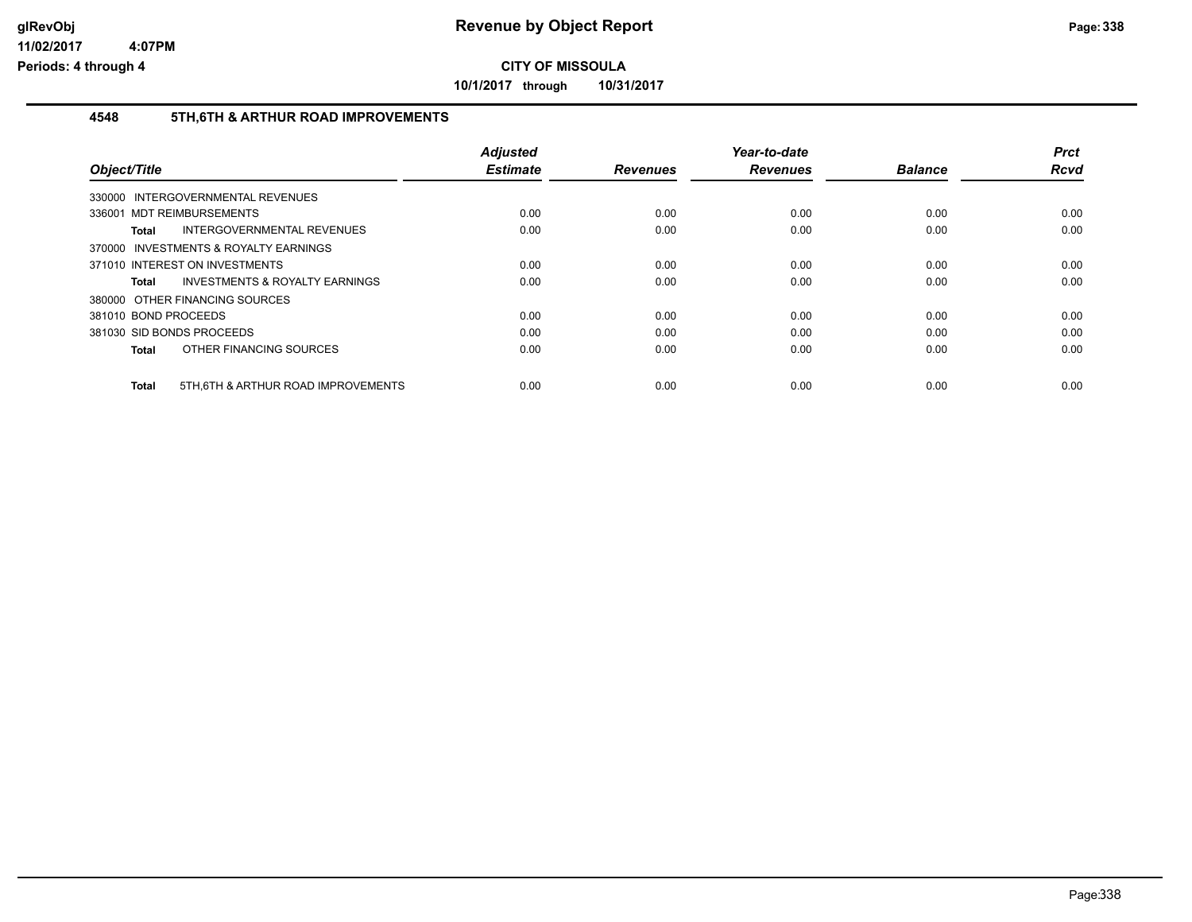**10/1/2017 through 10/31/2017**

#### **4548 5TH,6TH & ARTHUR ROAD IMPROVEMENTS**

|                                                     | <b>Adjusted</b> |                 | Year-to-date    |                | <b>Prct</b> |
|-----------------------------------------------------|-----------------|-----------------|-----------------|----------------|-------------|
| Object/Title                                        | <b>Estimate</b> | <b>Revenues</b> | <b>Revenues</b> | <b>Balance</b> | <b>Rcvd</b> |
| 330000 INTERGOVERNMENTAL REVENUES                   |                 |                 |                 |                |             |
| 336001 MDT REIMBURSEMENTS                           | 0.00            | 0.00            | 0.00            | 0.00           | 0.00        |
| <b>INTERGOVERNMENTAL REVENUES</b><br>Total          | 0.00            | 0.00            | 0.00            | 0.00           | 0.00        |
| 370000 INVESTMENTS & ROYALTY EARNINGS               |                 |                 |                 |                |             |
| 371010 INTEREST ON INVESTMENTS                      | 0.00            | 0.00            | 0.00            | 0.00           | 0.00        |
| <b>INVESTMENTS &amp; ROYALTY EARNINGS</b><br>Total  | 0.00            | 0.00            | 0.00            | 0.00           | 0.00        |
| 380000 OTHER FINANCING SOURCES                      |                 |                 |                 |                |             |
| 381010 BOND PROCEEDS                                | 0.00            | 0.00            | 0.00            | 0.00           | 0.00        |
| 381030 SID BONDS PROCEEDS                           | 0.00            | 0.00            | 0.00            | 0.00           | 0.00        |
| OTHER FINANCING SOURCES<br>Total                    | 0.00            | 0.00            | 0.00            | 0.00           | 0.00        |
| <b>Total</b><br>5TH, 6TH & ARTHUR ROAD IMPROVEMENTS | 0.00            | 0.00            | 0.00            | 0.00           | 0.00        |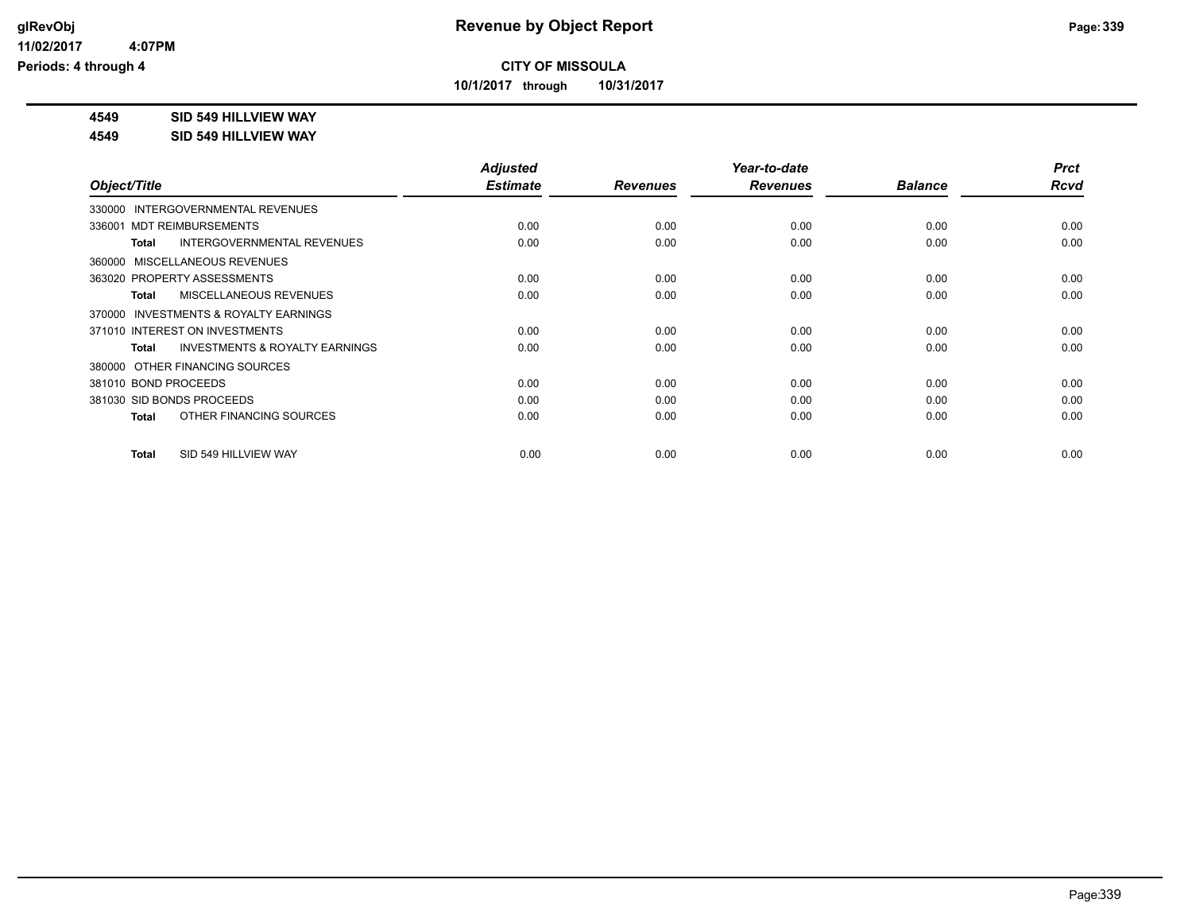**10/1/2017 through 10/31/2017**

#### **4549 SID 549 HILLVIEW WAY**

#### **4549 SID 549 HILLVIEW WAY**

|                                                    | <b>Adjusted</b> |                 | Year-to-date    |                | <b>Prct</b> |
|----------------------------------------------------|-----------------|-----------------|-----------------|----------------|-------------|
| Object/Title                                       | <b>Estimate</b> | <b>Revenues</b> | <b>Revenues</b> | <b>Balance</b> | <b>Rcvd</b> |
| 330000 INTERGOVERNMENTAL REVENUES                  |                 |                 |                 |                |             |
| <b>MDT REIMBURSEMENTS</b><br>336001                | 0.00            | 0.00            | 0.00            | 0.00           | 0.00        |
| <b>INTERGOVERNMENTAL REVENUES</b><br><b>Total</b>  | 0.00            | 0.00            | 0.00            | 0.00           | 0.00        |
| 360000 MISCELLANEOUS REVENUES                      |                 |                 |                 |                |             |
| 363020 PROPERTY ASSESSMENTS                        | 0.00            | 0.00            | 0.00            | 0.00           | 0.00        |
| MISCELLANEOUS REVENUES<br>Total                    | 0.00            | 0.00            | 0.00            | 0.00           | 0.00        |
| INVESTMENTS & ROYALTY EARNINGS<br>370000           |                 |                 |                 |                |             |
| 371010 INTEREST ON INVESTMENTS                     | 0.00            | 0.00            | 0.00            | 0.00           | 0.00        |
| <b>INVESTMENTS &amp; ROYALTY EARNINGS</b><br>Total | 0.00            | 0.00            | 0.00            | 0.00           | 0.00        |
| 380000 OTHER FINANCING SOURCES                     |                 |                 |                 |                |             |
| 381010 BOND PROCEEDS                               | 0.00            | 0.00            | 0.00            | 0.00           | 0.00        |
| 381030 SID BONDS PROCEEDS                          | 0.00            | 0.00            | 0.00            | 0.00           | 0.00        |
| OTHER FINANCING SOURCES<br>Total                   | 0.00            | 0.00            | 0.00            | 0.00           | 0.00        |
| SID 549 HILLVIEW WAY<br><b>Total</b>               | 0.00            | 0.00            | 0.00            | 0.00           | 0.00        |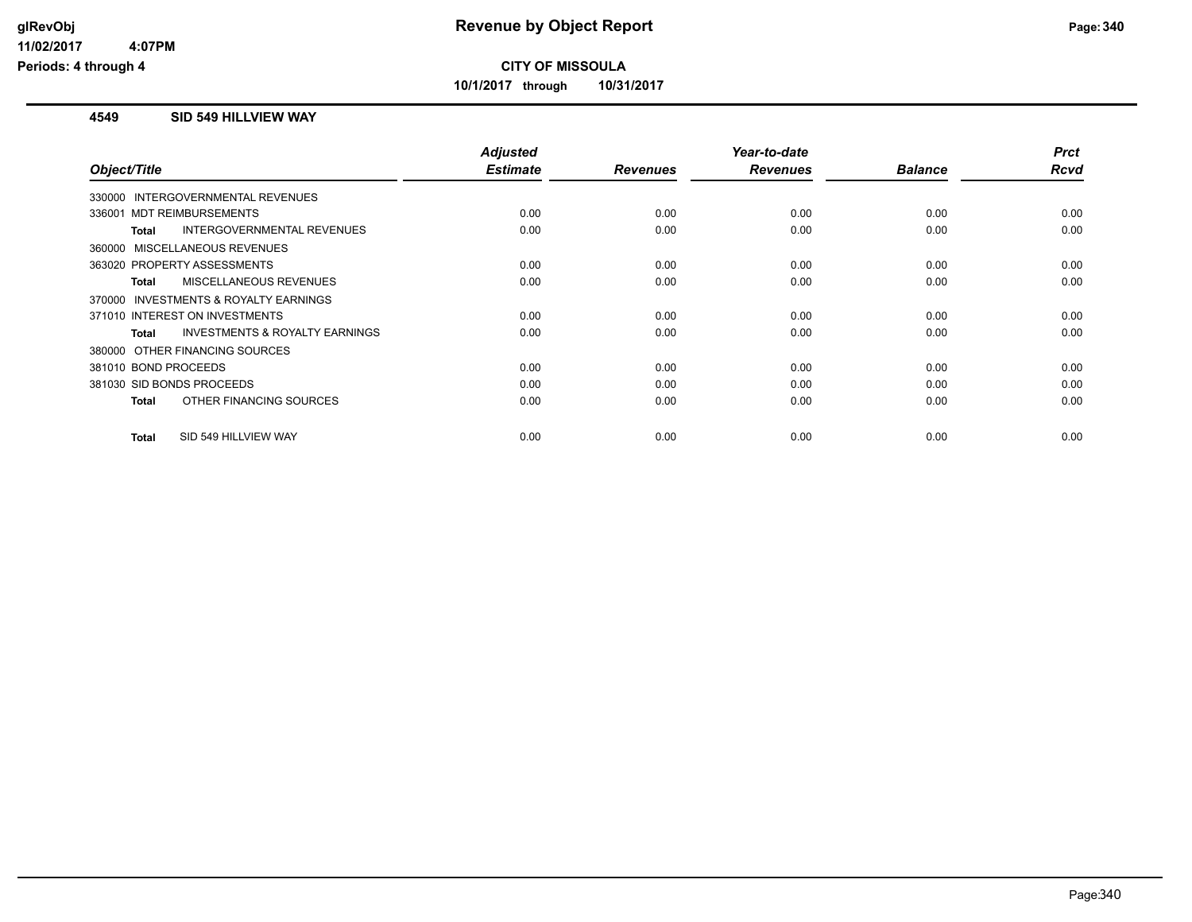**10/1/2017 through 10/31/2017**

#### **4549 SID 549 HILLVIEW WAY**

|                                                           | <b>Adjusted</b> |                 | Year-to-date    |                | <b>Prct</b> |
|-----------------------------------------------------------|-----------------|-----------------|-----------------|----------------|-------------|
| Object/Title                                              | <b>Estimate</b> | <b>Revenues</b> | <b>Revenues</b> | <b>Balance</b> | <b>Rcvd</b> |
| 330000 INTERGOVERNMENTAL REVENUES                         |                 |                 |                 |                |             |
| 336001 MDT REIMBURSEMENTS                                 | 0.00            | 0.00            | 0.00            | 0.00           | 0.00        |
| <b>INTERGOVERNMENTAL REVENUES</b><br><b>Total</b>         | 0.00            | 0.00            | 0.00            | 0.00           | 0.00        |
| MISCELLANEOUS REVENUES<br>360000                          |                 |                 |                 |                |             |
| 363020 PROPERTY ASSESSMENTS                               | 0.00            | 0.00            | 0.00            | 0.00           | 0.00        |
| MISCELLANEOUS REVENUES<br><b>Total</b>                    | 0.00            | 0.00            | 0.00            | 0.00           | 0.00        |
| INVESTMENTS & ROYALTY EARNINGS<br>370000                  |                 |                 |                 |                |             |
| 371010 INTEREST ON INVESTMENTS                            | 0.00            | 0.00            | 0.00            | 0.00           | 0.00        |
| <b>INVESTMENTS &amp; ROYALTY EARNINGS</b><br><b>Total</b> | 0.00            | 0.00            | 0.00            | 0.00           | 0.00        |
| 380000 OTHER FINANCING SOURCES                            |                 |                 |                 |                |             |
| 381010 BOND PROCEEDS                                      | 0.00            | 0.00            | 0.00            | 0.00           | 0.00        |
| 381030 SID BONDS PROCEEDS                                 | 0.00            | 0.00            | 0.00            | 0.00           | 0.00        |
| OTHER FINANCING SOURCES<br><b>Total</b>                   | 0.00            | 0.00            | 0.00            | 0.00           | 0.00        |
| SID 549 HILLVIEW WAY<br><b>Total</b>                      | 0.00            | 0.00            | 0.00            | 0.00           | 0.00        |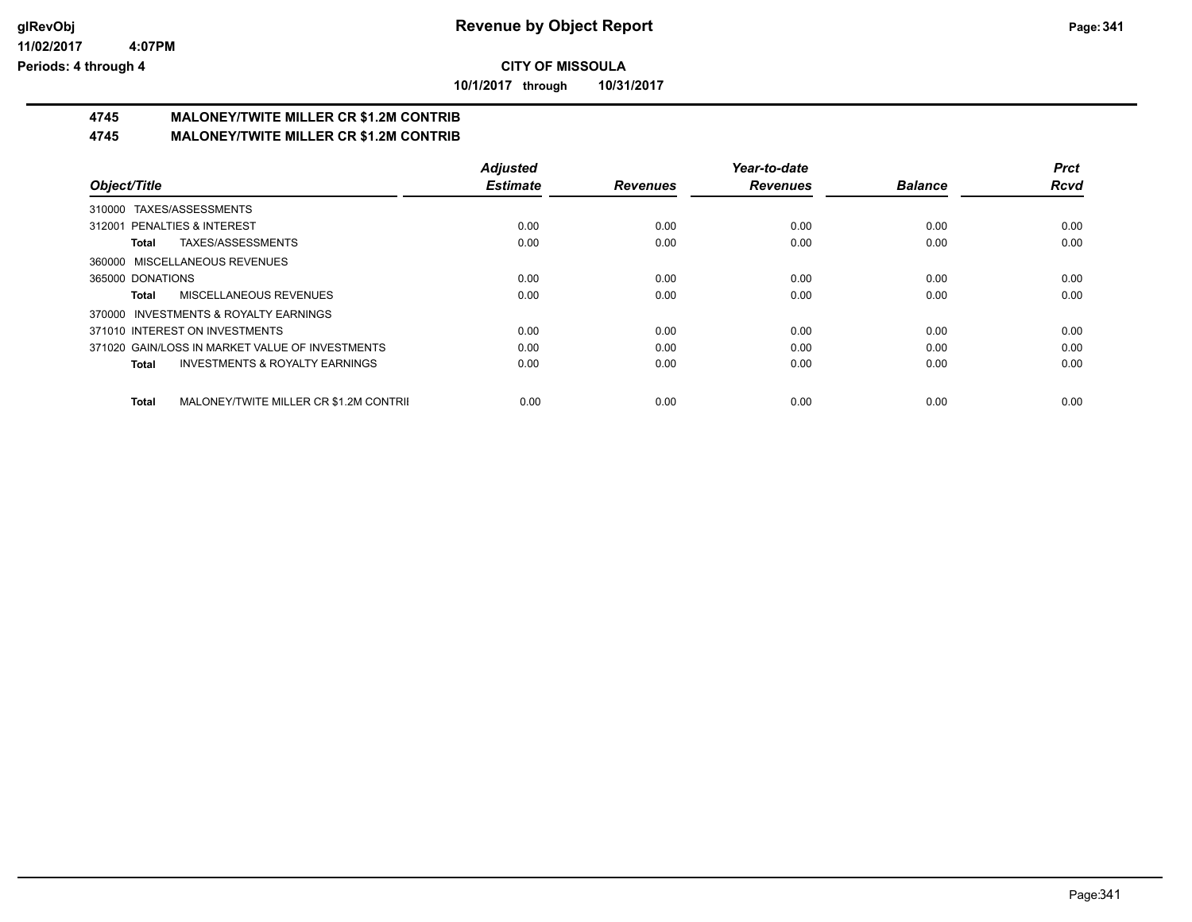#### **11/02/2017 4:07PM Periods: 4 through 4**

#### **CITY OF MISSOULA**

**10/1/2017 through 10/31/2017**

# **4745 MALONEY/TWITE MILLER CR \$1.2M CONTRIB**

# **4745 MALONEY/TWITE MILLER CR \$1.2M CONTRIB**

|                                                 | <b>Adjusted</b> |                 | Year-to-date    |                | <b>Prct</b> |
|-------------------------------------------------|-----------------|-----------------|-----------------|----------------|-------------|
| Object/Title                                    | <b>Estimate</b> | <b>Revenues</b> | <b>Revenues</b> | <b>Balance</b> | <b>Rcvd</b> |
| TAXES/ASSESSMENTS<br>310000                     |                 |                 |                 |                |             |
| 312001 PENALTIES & INTEREST                     | 0.00            | 0.00            | 0.00            | 0.00           | 0.00        |
| TAXES/ASSESSMENTS<br>Total                      | 0.00            | 0.00            | 0.00            | 0.00           | 0.00        |
| 360000 MISCELLANEOUS REVENUES                   |                 |                 |                 |                |             |
| 365000 DONATIONS                                | 0.00            | 0.00            | 0.00            | 0.00           | 0.00        |
| MISCELLANEOUS REVENUES<br>Total                 | 0.00            | 0.00            | 0.00            | 0.00           | 0.00        |
| INVESTMENTS & ROYALTY EARNINGS<br>370000        |                 |                 |                 |                |             |
| 371010 INTEREST ON INVESTMENTS                  | 0.00            | 0.00            | 0.00            | 0.00           | 0.00        |
| 371020 GAIN/LOSS IN MARKET VALUE OF INVESTMENTS | 0.00            | 0.00            | 0.00            | 0.00           | 0.00        |
| INVESTMENTS & ROYALTY EARNINGS<br>Total         | 0.00            | 0.00            | 0.00            | 0.00           | 0.00        |
| MALONEY/TWITE MILLER CR \$1.2M CONTRII<br>Total | 0.00            | 0.00            | 0.00            | 0.00           | 0.00        |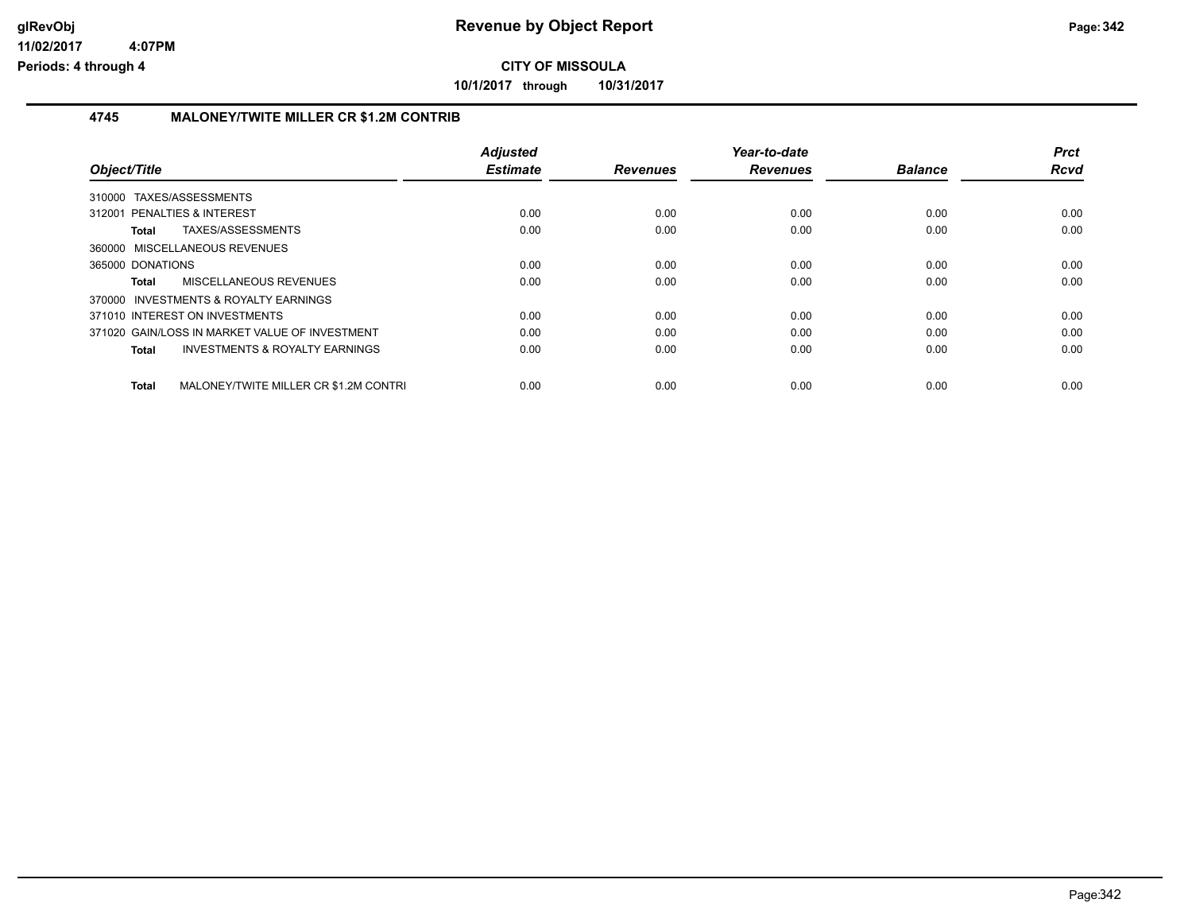**10/1/2017 through 10/31/2017**

#### **4745 MALONEY/TWITE MILLER CR \$1.2M CONTRIB**

|                                                    | <b>Adjusted</b> |                 | Year-to-date    |                | <b>Prct</b> |
|----------------------------------------------------|-----------------|-----------------|-----------------|----------------|-------------|
| Object/Title                                       | <b>Estimate</b> | <b>Revenues</b> | <b>Revenues</b> | <b>Balance</b> | <b>Rcvd</b> |
| TAXES/ASSESSMENTS<br>310000                        |                 |                 |                 |                |             |
| 312001 PENALTIES & INTEREST                        | 0.00            | 0.00            | 0.00            | 0.00           | 0.00        |
| TAXES/ASSESSMENTS<br>Total                         | 0.00            | 0.00            | 0.00            | 0.00           | 0.00        |
| 360000 MISCELLANEOUS REVENUES                      |                 |                 |                 |                |             |
| 365000 DONATIONS                                   | 0.00            | 0.00            | 0.00            | 0.00           | 0.00        |
| MISCELLANEOUS REVENUES<br>Total                    | 0.00            | 0.00            | 0.00            | 0.00           | 0.00        |
| 370000 INVESTMENTS & ROYALTY EARNINGS              |                 |                 |                 |                |             |
| 371010 INTEREST ON INVESTMENTS                     | 0.00            | 0.00            | 0.00            | 0.00           | 0.00        |
| 371020 GAIN/LOSS IN MARKET VALUE OF INVESTMENT     | 0.00            | 0.00            | 0.00            | 0.00           | 0.00        |
| <b>INVESTMENTS &amp; ROYALTY EARNINGS</b><br>Total | 0.00            | 0.00            | 0.00            | 0.00           | 0.00        |
| MALONEY/TWITE MILLER CR \$1.2M CONTRI<br>Total     | 0.00            | 0.00            | 0.00            | 0.00           | 0.00        |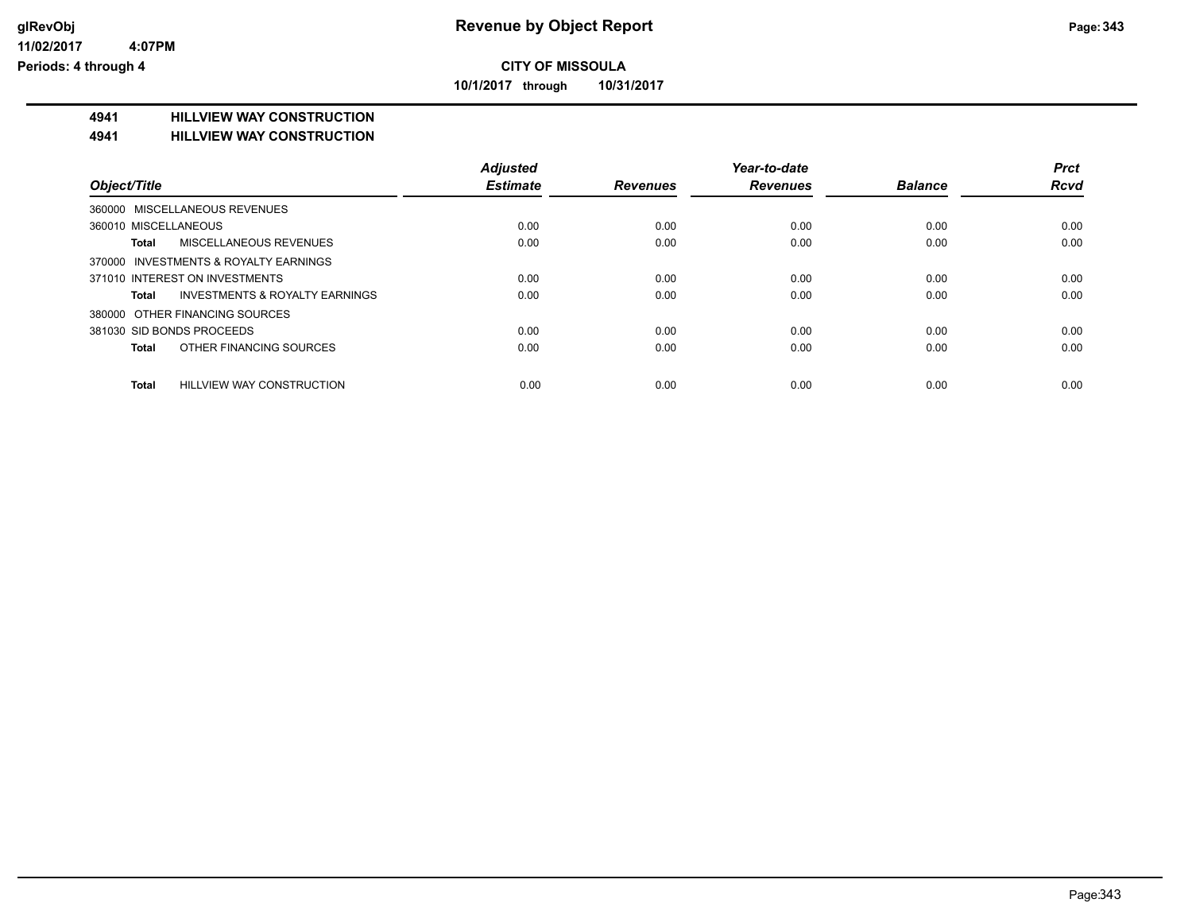**10/1/2017 through 10/31/2017**

#### **4941 HILLVIEW WAY CONSTRUCTION**

#### **4941 HILLVIEW WAY CONSTRUCTION**

|                                                    | <b>Adjusted</b> |                 | Year-to-date    |                | <b>Prct</b> |
|----------------------------------------------------|-----------------|-----------------|-----------------|----------------|-------------|
| Object/Title                                       | <b>Estimate</b> | <b>Revenues</b> | <b>Revenues</b> | <b>Balance</b> | <b>Rcvd</b> |
| 360000 MISCELLANEOUS REVENUES                      |                 |                 |                 |                |             |
| 360010 MISCELLANEOUS                               | 0.00            | 0.00            | 0.00            | 0.00           | 0.00        |
| MISCELLANEOUS REVENUES<br>Total                    | 0.00            | 0.00            | 0.00            | 0.00           | 0.00        |
| 370000 INVESTMENTS & ROYALTY EARNINGS              |                 |                 |                 |                |             |
| 371010 INTEREST ON INVESTMENTS                     | 0.00            | 0.00            | 0.00            | 0.00           | 0.00        |
| <b>INVESTMENTS &amp; ROYALTY EARNINGS</b><br>Total | 0.00            | 0.00            | 0.00            | 0.00           | 0.00        |
| 380000 OTHER FINANCING SOURCES                     |                 |                 |                 |                |             |
| 381030 SID BONDS PROCEEDS                          | 0.00            | 0.00            | 0.00            | 0.00           | 0.00        |
| OTHER FINANCING SOURCES<br><b>Total</b>            | 0.00            | 0.00            | 0.00            | 0.00           | 0.00        |
|                                                    |                 |                 |                 |                |             |
| <b>HILLVIEW WAY CONSTRUCTION</b><br><b>Total</b>   | 0.00            | 0.00            | 0.00            | 0.00           | 0.00        |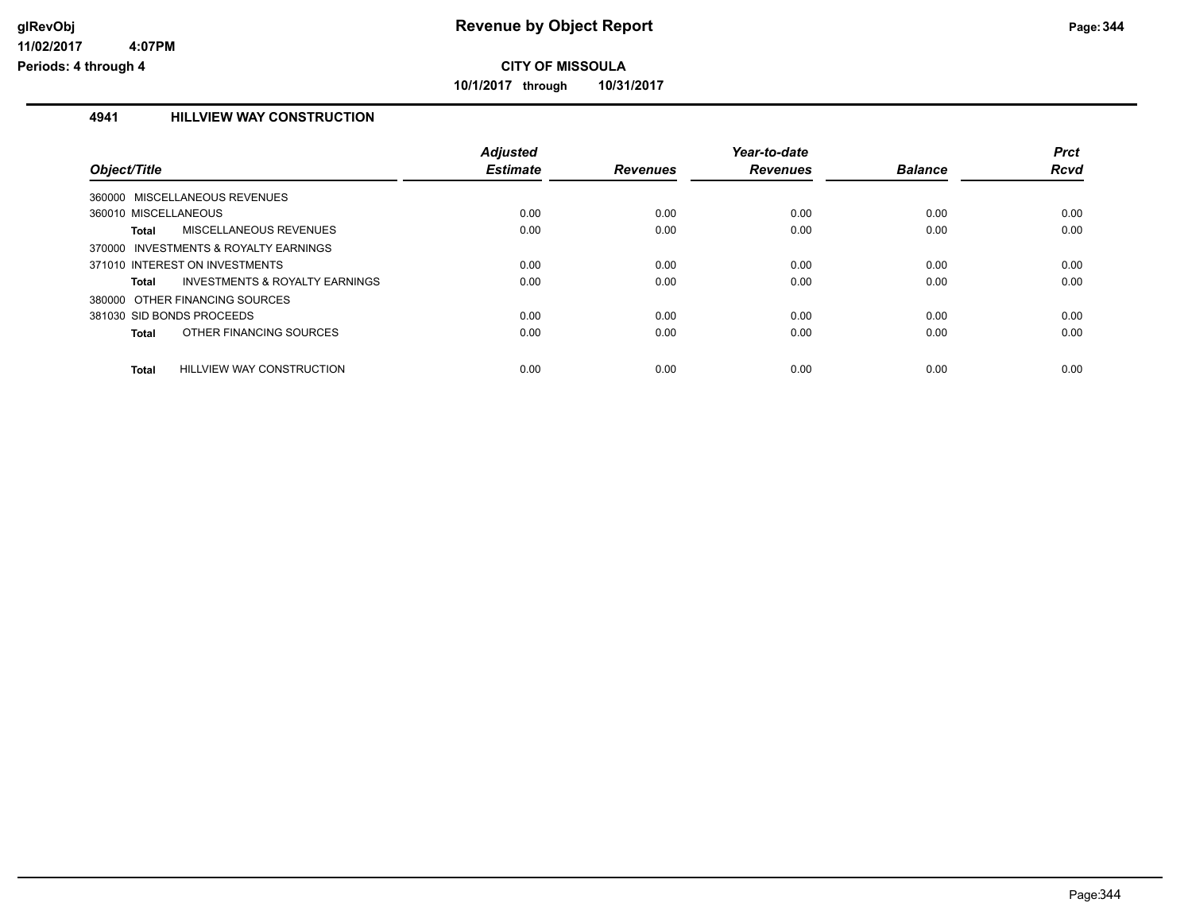**Periods: 4 through 4**

**CITY OF MISSOULA**

**10/1/2017 through 10/31/2017**

#### **4941 HILLVIEW WAY CONSTRUCTION**

| Object/Title                                        | <b>Adjusted</b><br><b>Estimate</b> | <b>Revenues</b> | Year-to-date<br><b>Revenues</b> | <b>Balance</b> | <b>Prct</b><br><b>Rcvd</b> |
|-----------------------------------------------------|------------------------------------|-----------------|---------------------------------|----------------|----------------------------|
| MISCELLANEOUS REVENUES<br>360000                    |                                    |                 |                                 |                |                            |
| 360010 MISCELLANEOUS                                | 0.00                               | 0.00            | 0.00                            | 0.00           | 0.00                       |
| MISCELLANEOUS REVENUES<br>Total                     | 0.00                               | 0.00            | 0.00                            | 0.00           | 0.00                       |
| <b>INVESTMENTS &amp; ROYALTY EARNINGS</b><br>370000 |                                    |                 |                                 |                |                            |
| 371010 INTEREST ON INVESTMENTS                      | 0.00                               | 0.00            | 0.00                            | 0.00           | 0.00                       |
| INVESTMENTS & ROYALTY EARNINGS<br><b>Total</b>      | 0.00                               | 0.00            | 0.00                            | 0.00           | 0.00                       |
| OTHER FINANCING SOURCES<br>380000                   |                                    |                 |                                 |                |                            |
| 381030 SID BONDS PROCEEDS                           | 0.00                               | 0.00            | 0.00                            | 0.00           | 0.00                       |
| OTHER FINANCING SOURCES<br><b>Total</b>             | 0.00                               | 0.00            | 0.00                            | 0.00           | 0.00                       |
| HILLVIEW WAY CONSTRUCTION<br><b>Total</b>           | 0.00                               | 0.00            | 0.00                            | 0.00           | 0.00                       |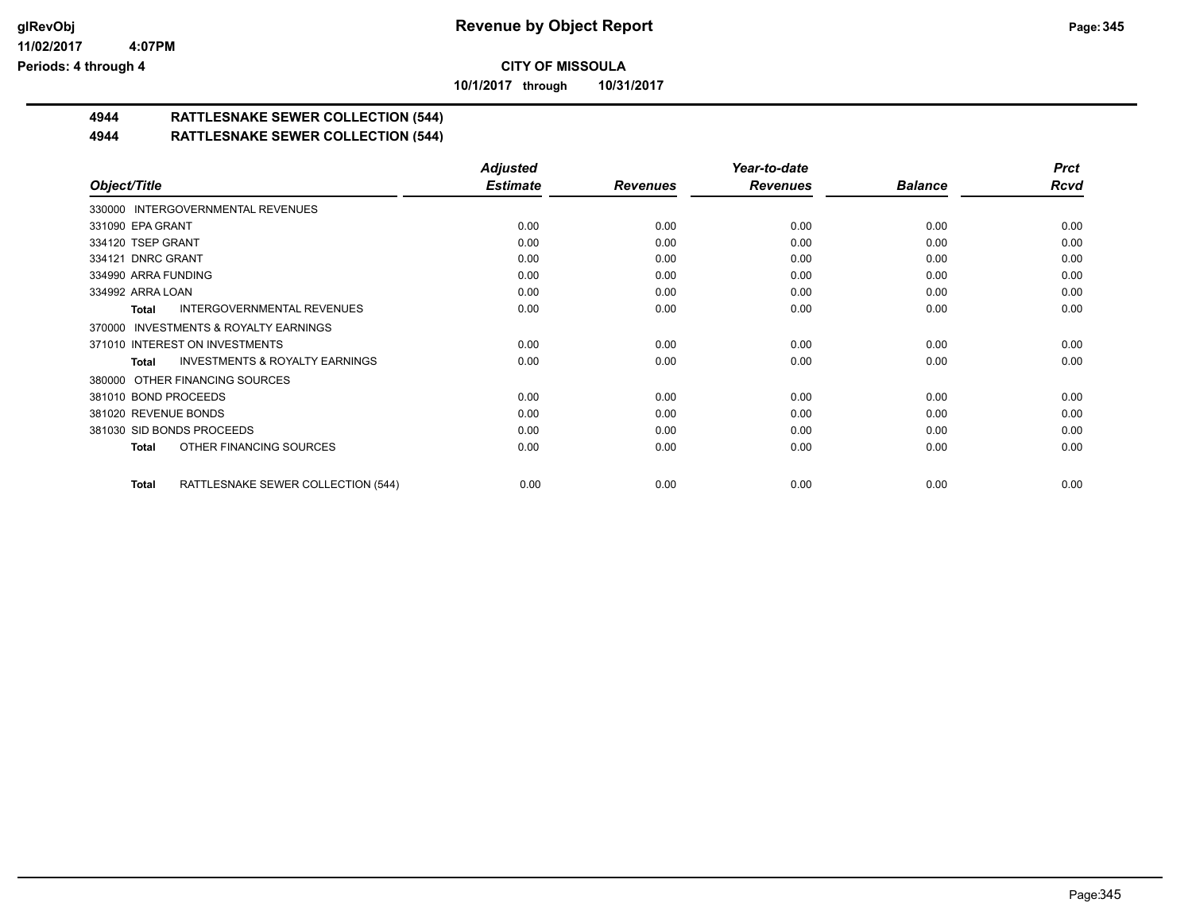**10/1/2017 through 10/31/2017**

# **4944 RATTLESNAKE SEWER COLLECTION (544)**

## **4944 RATTLESNAKE SEWER COLLECTION (544)**

|                                                     | <b>Adjusted</b> |                 | Year-to-date    |                | <b>Prct</b> |
|-----------------------------------------------------|-----------------|-----------------|-----------------|----------------|-------------|
| Object/Title                                        | <b>Estimate</b> | <b>Revenues</b> | <b>Revenues</b> | <b>Balance</b> | <b>Rcvd</b> |
| 330000 INTERGOVERNMENTAL REVENUES                   |                 |                 |                 |                |             |
| 331090 EPA GRANT                                    | 0.00            | 0.00            | 0.00            | 0.00           | 0.00        |
| 334120 TSEP GRANT                                   | 0.00            | 0.00            | 0.00            | 0.00           | 0.00        |
| 334121 DNRC GRANT                                   | 0.00            | 0.00            | 0.00            | 0.00           | 0.00        |
| 334990 ARRA FUNDING                                 | 0.00            | 0.00            | 0.00            | 0.00           | 0.00        |
| 334992 ARRA LOAN                                    | 0.00            | 0.00            | 0.00            | 0.00           | 0.00        |
| <b>INTERGOVERNMENTAL REVENUES</b><br><b>Total</b>   | 0.00            | 0.00            | 0.00            | 0.00           | 0.00        |
| <b>INVESTMENTS &amp; ROYALTY EARNINGS</b><br>370000 |                 |                 |                 |                |             |
| 371010 INTEREST ON INVESTMENTS                      | 0.00            | 0.00            | 0.00            | 0.00           | 0.00        |
| <b>INVESTMENTS &amp; ROYALTY EARNINGS</b><br>Total  | 0.00            | 0.00            | 0.00            | 0.00           | 0.00        |
| 380000 OTHER FINANCING SOURCES                      |                 |                 |                 |                |             |
| 381010 BOND PROCEEDS                                | 0.00            | 0.00            | 0.00            | 0.00           | 0.00        |
| 381020 REVENUE BONDS                                | 0.00            | 0.00            | 0.00            | 0.00           | 0.00        |
| 381030 SID BONDS PROCEEDS                           | 0.00            | 0.00            | 0.00            | 0.00           | 0.00        |
| OTHER FINANCING SOURCES<br>Total                    | 0.00            | 0.00            | 0.00            | 0.00           | 0.00        |
| RATTLESNAKE SEWER COLLECTION (544)<br>Total         | 0.00            | 0.00            | 0.00            | 0.00           | 0.00        |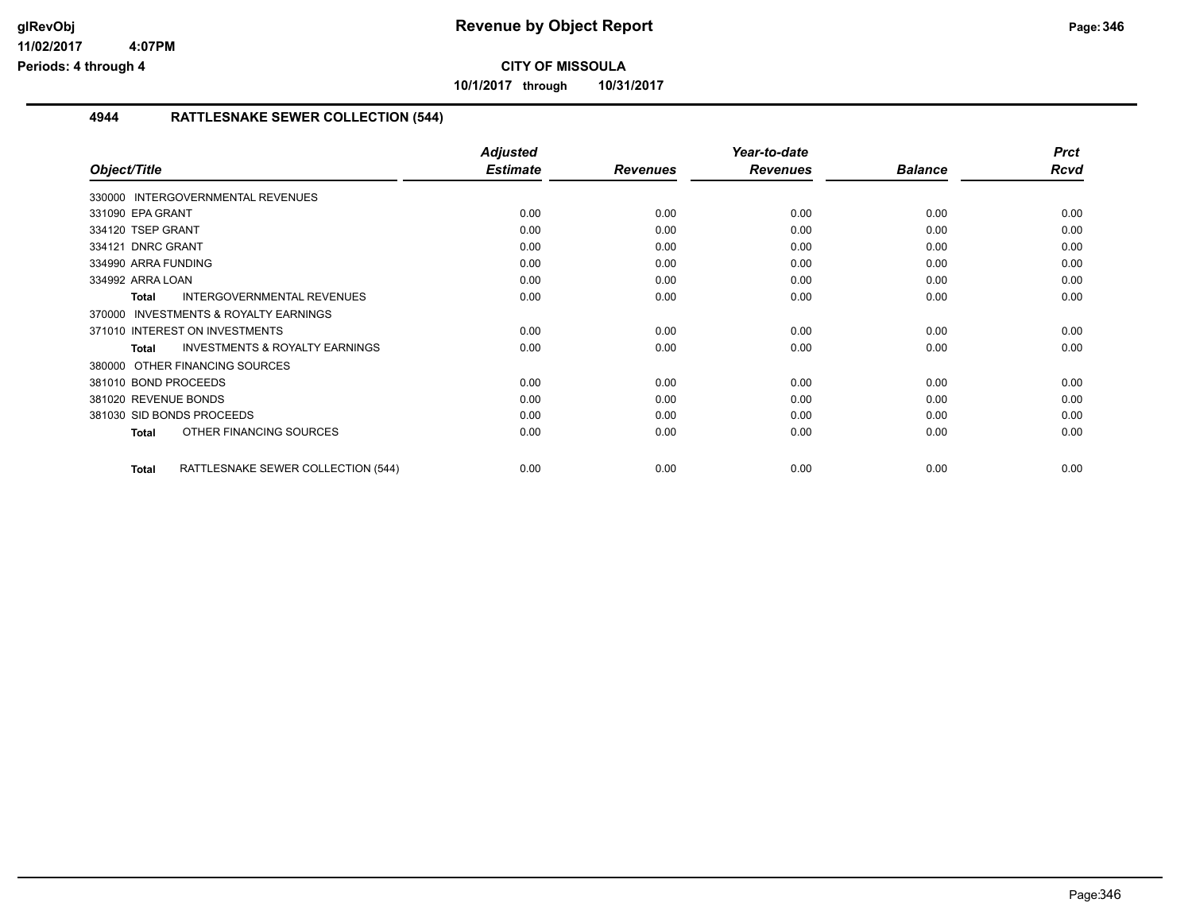**10/1/2017 through 10/31/2017**

#### **4944 RATTLESNAKE SEWER COLLECTION (544)**

|                                                           | <b>Adjusted</b> |                 | Year-to-date    |                | <b>Prct</b> |
|-----------------------------------------------------------|-----------------|-----------------|-----------------|----------------|-------------|
| Object/Title                                              | <b>Estimate</b> | <b>Revenues</b> | <b>Revenues</b> | <b>Balance</b> | <b>Rcvd</b> |
| 330000 INTERGOVERNMENTAL REVENUES                         |                 |                 |                 |                |             |
| 331090 EPA GRANT                                          | 0.00            | 0.00            | 0.00            | 0.00           | 0.00        |
| 334120 TSEP GRANT                                         | 0.00            | 0.00            | 0.00            | 0.00           | 0.00        |
| 334121 DNRC GRANT                                         | 0.00            | 0.00            | 0.00            | 0.00           | 0.00        |
| 334990 ARRA FUNDING                                       | 0.00            | 0.00            | 0.00            | 0.00           | 0.00        |
| 334992 ARRA LOAN                                          | 0.00            | 0.00            | 0.00            | 0.00           | 0.00        |
| <b>INTERGOVERNMENTAL REVENUES</b><br><b>Total</b>         | 0.00            | 0.00            | 0.00            | 0.00           | 0.00        |
| <b>INVESTMENTS &amp; ROYALTY EARNINGS</b><br>370000       |                 |                 |                 |                |             |
| 371010 INTEREST ON INVESTMENTS                            | 0.00            | 0.00            | 0.00            | 0.00           | 0.00        |
| <b>INVESTMENTS &amp; ROYALTY EARNINGS</b><br><b>Total</b> | 0.00            | 0.00            | 0.00            | 0.00           | 0.00        |
| OTHER FINANCING SOURCES<br>380000                         |                 |                 |                 |                |             |
| 381010 BOND PROCEEDS                                      | 0.00            | 0.00            | 0.00            | 0.00           | 0.00        |
| 381020 REVENUE BONDS                                      | 0.00            | 0.00            | 0.00            | 0.00           | 0.00        |
| 381030 SID BONDS PROCEEDS                                 | 0.00            | 0.00            | 0.00            | 0.00           | 0.00        |
| OTHER FINANCING SOURCES<br><b>Total</b>                   | 0.00            | 0.00            | 0.00            | 0.00           | 0.00        |
| RATTLESNAKE SEWER COLLECTION (544)<br>Total               | 0.00            | 0.00            | 0.00            | 0.00           | 0.00        |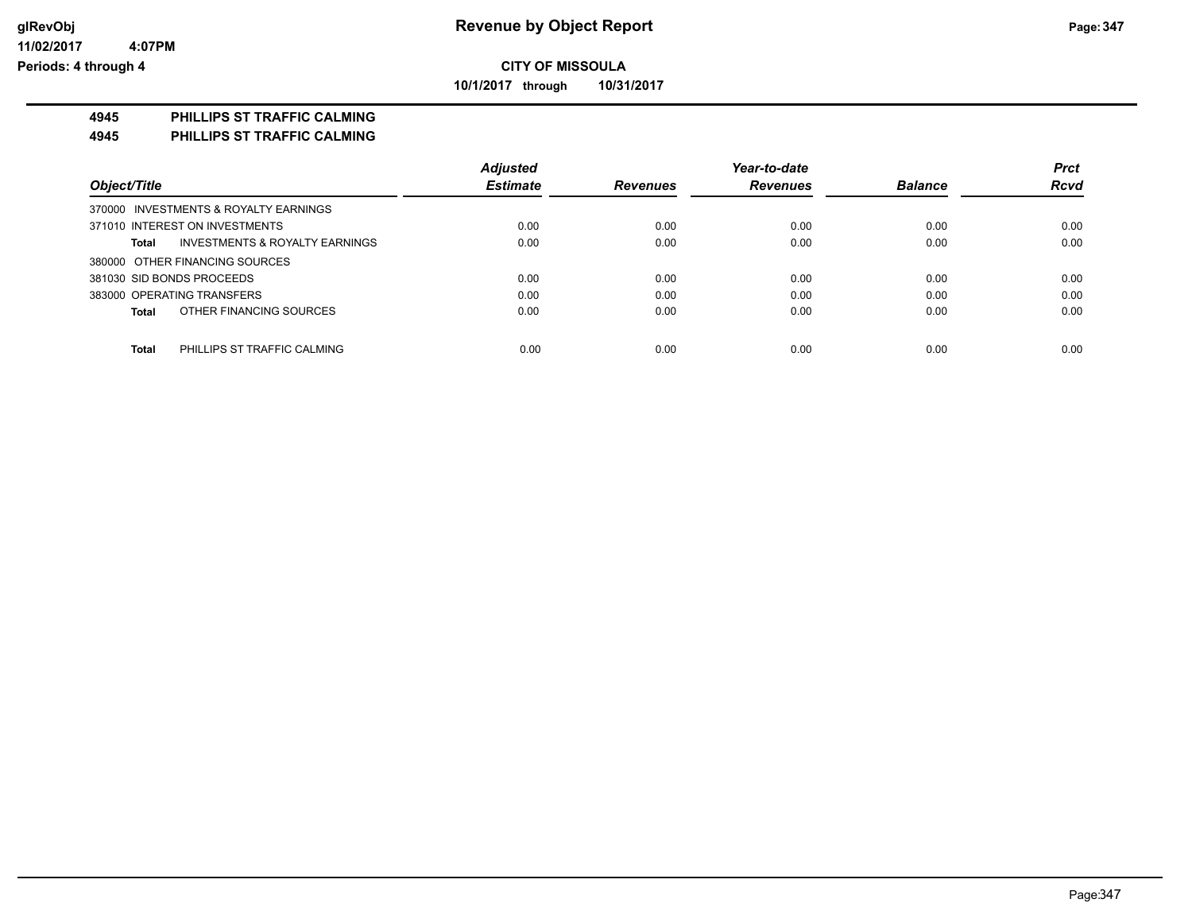**10/1/2017 through 10/31/2017**

### **4945 PHILLIPS ST TRAFFIC CALMING**

**4945 PHILLIPS ST TRAFFIC CALMING**

|                                             | <b>Adjusted</b> |                 | Year-to-date    |                | <b>Prct</b> |
|---------------------------------------------|-----------------|-----------------|-----------------|----------------|-------------|
| Object/Title                                | <b>Estimate</b> | <b>Revenues</b> | <b>Revenues</b> | <b>Balance</b> | <b>Rcvd</b> |
| 370000 INVESTMENTS & ROYALTY EARNINGS       |                 |                 |                 |                |             |
| 371010 INTEREST ON INVESTMENTS              | 0.00            | 0.00            | 0.00            | 0.00           | 0.00        |
| INVESTMENTS & ROYALTY EARNINGS<br>Total     | 0.00            | 0.00            | 0.00            | 0.00           | 0.00        |
| 380000 OTHER FINANCING SOURCES              |                 |                 |                 |                |             |
| 381030 SID BONDS PROCEEDS                   | 0.00            | 0.00            | 0.00            | 0.00           | 0.00        |
| 383000 OPERATING TRANSFERS                  | 0.00            | 0.00            | 0.00            | 0.00           | 0.00        |
| OTHER FINANCING SOURCES<br>Total            | 0.00            | 0.00            | 0.00            | 0.00           | 0.00        |
|                                             |                 |                 |                 |                |             |
| <b>Total</b><br>PHILLIPS ST TRAFFIC CALMING | 0.00            | 0.00            | 0.00            | 0.00           | 0.00        |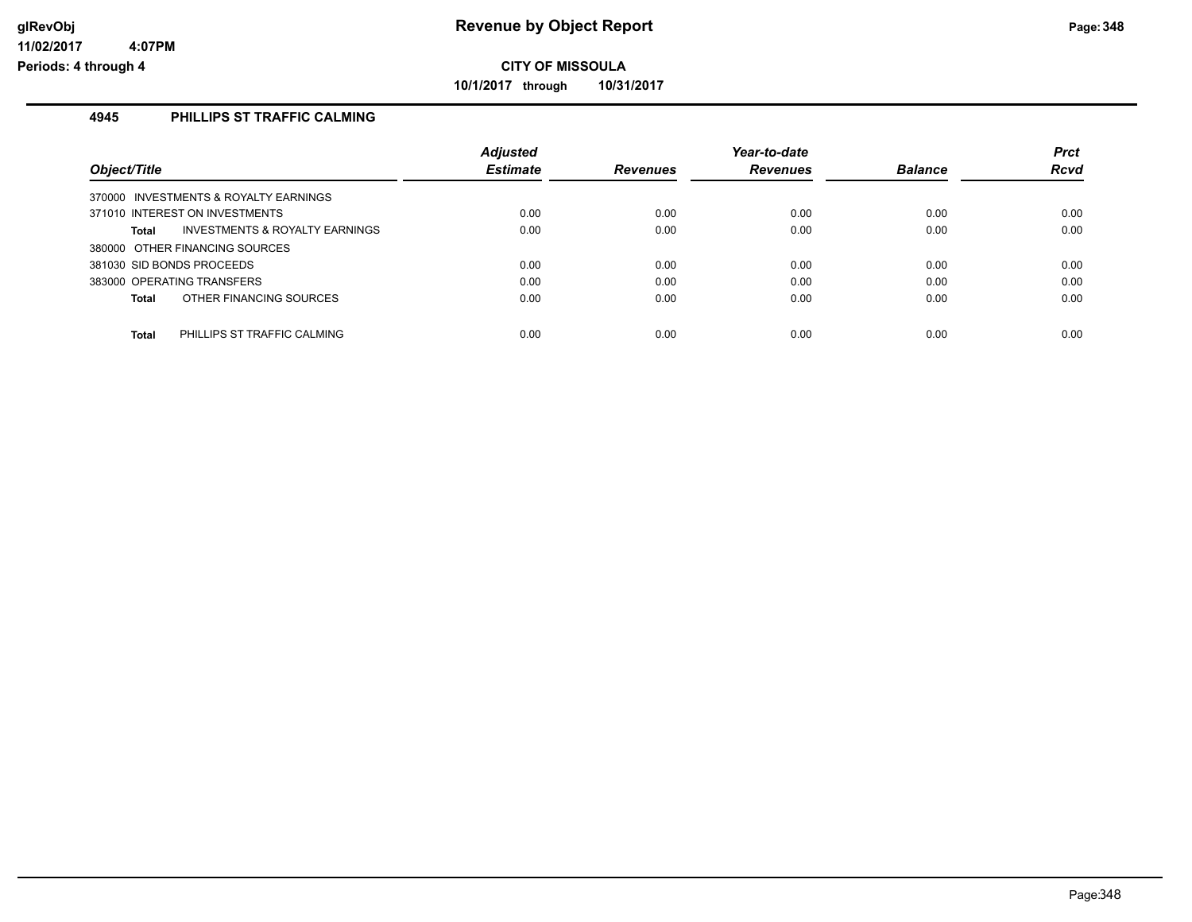**Periods: 4 through 4**

**CITY OF MISSOULA**

**10/1/2017 through 10/31/2017**

#### **4945 PHILLIPS ST TRAFFIC CALMING**

|                                         | <b>Adjusted</b> |                 | Year-to-date    |                | <b>Prct</b> |
|-----------------------------------------|-----------------|-----------------|-----------------|----------------|-------------|
| Object/Title                            | <b>Estimate</b> | <b>Revenues</b> | <b>Revenues</b> | <b>Balance</b> | <b>Rcvd</b> |
| 370000 INVESTMENTS & ROYALTY EARNINGS   |                 |                 |                 |                |             |
| 371010 INTEREST ON INVESTMENTS          | 0.00            | 0.00            | 0.00            | 0.00           | 0.00        |
| INVESTMENTS & ROYALTY EARNINGS<br>Total | 0.00            | 0.00            | 0.00            | 0.00           | 0.00        |
| 380000 OTHER FINANCING SOURCES          |                 |                 |                 |                |             |
| 381030 SID BONDS PROCEEDS               | 0.00            | 0.00            | 0.00            | 0.00           | 0.00        |
| 383000 OPERATING TRANSFERS              | 0.00            | 0.00            | 0.00            | 0.00           | 0.00        |
| OTHER FINANCING SOURCES<br>Total        | 0.00            | 0.00            | 0.00            | 0.00           | 0.00        |
|                                         |                 |                 |                 |                |             |
| Total<br>PHILLIPS ST TRAFFIC CALMING    | 0.00            | 0.00            | 0.00            | 0.00           | 0.00        |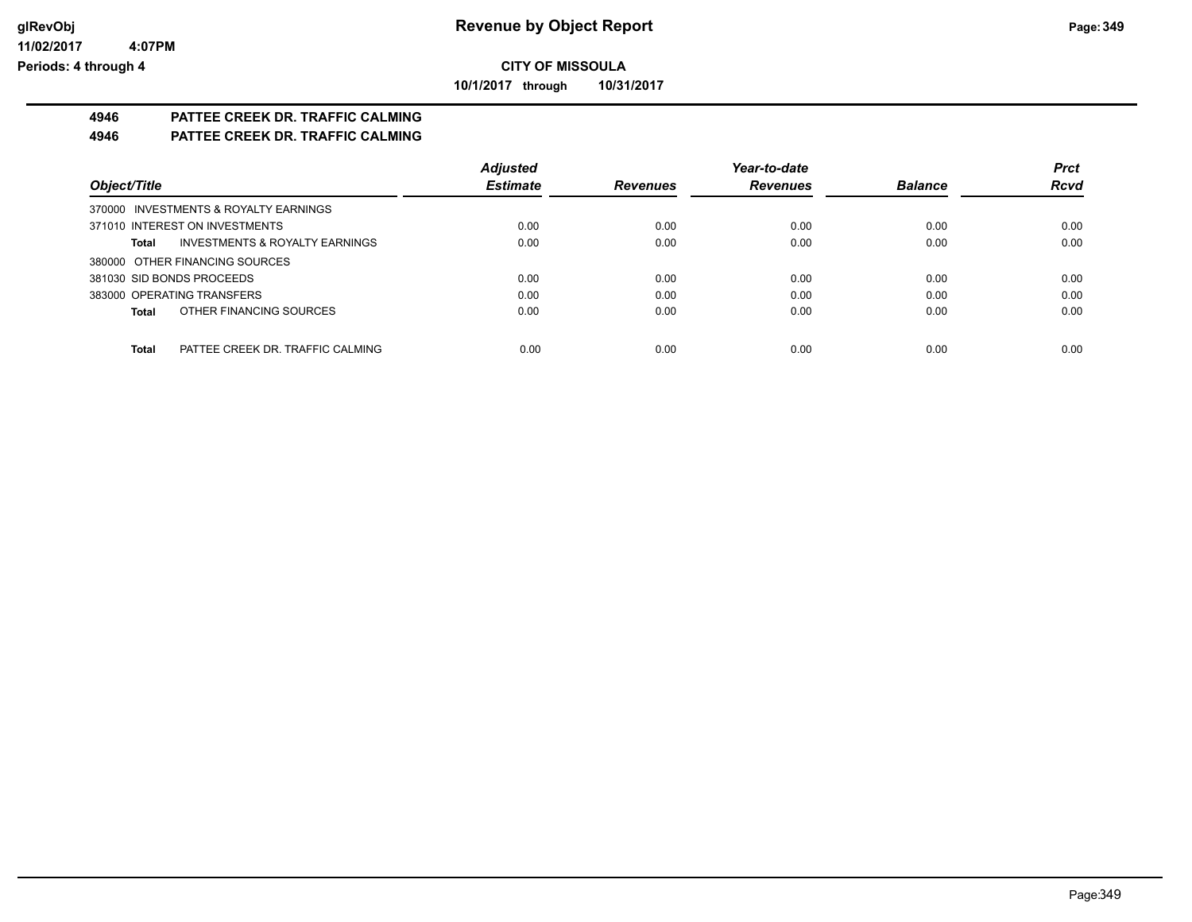**10/1/2017 through 10/31/2017**

#### **4946 PATTEE CREEK DR. TRAFFIC CALMING 4946 PATTEE CREEK DR. TRAFFIC CALMING**

|                                           | <b>Adjusted</b> |                 | Year-to-date    |                | <b>Prct</b> |
|-------------------------------------------|-----------------|-----------------|-----------------|----------------|-------------|
| Object/Title                              | <b>Estimate</b> | <b>Revenues</b> | <b>Revenues</b> | <b>Balance</b> | <b>Rcvd</b> |
| 370000 INVESTMENTS & ROYALTY EARNINGS     |                 |                 |                 |                |             |
| 371010 INTEREST ON INVESTMENTS            | 0.00            | 0.00            | 0.00            | 0.00           | 0.00        |
| INVESTMENTS & ROYALTY EARNINGS<br>Total   | 0.00            | 0.00            | 0.00            | 0.00           | 0.00        |
| 380000 OTHER FINANCING SOURCES            |                 |                 |                 |                |             |
| 381030 SID BONDS PROCEEDS                 | 0.00            | 0.00            | 0.00            | 0.00           | 0.00        |
| 383000 OPERATING TRANSFERS                | 0.00            | 0.00            | 0.00            | 0.00           | 0.00        |
| OTHER FINANCING SOURCES<br>Total          | 0.00            | 0.00            | 0.00            | 0.00           | 0.00        |
|                                           |                 |                 |                 |                |             |
| Total<br>PATTEE CREEK DR. TRAFFIC CALMING | 0.00            | 0.00            | 0.00            | 0.00           | 0.00        |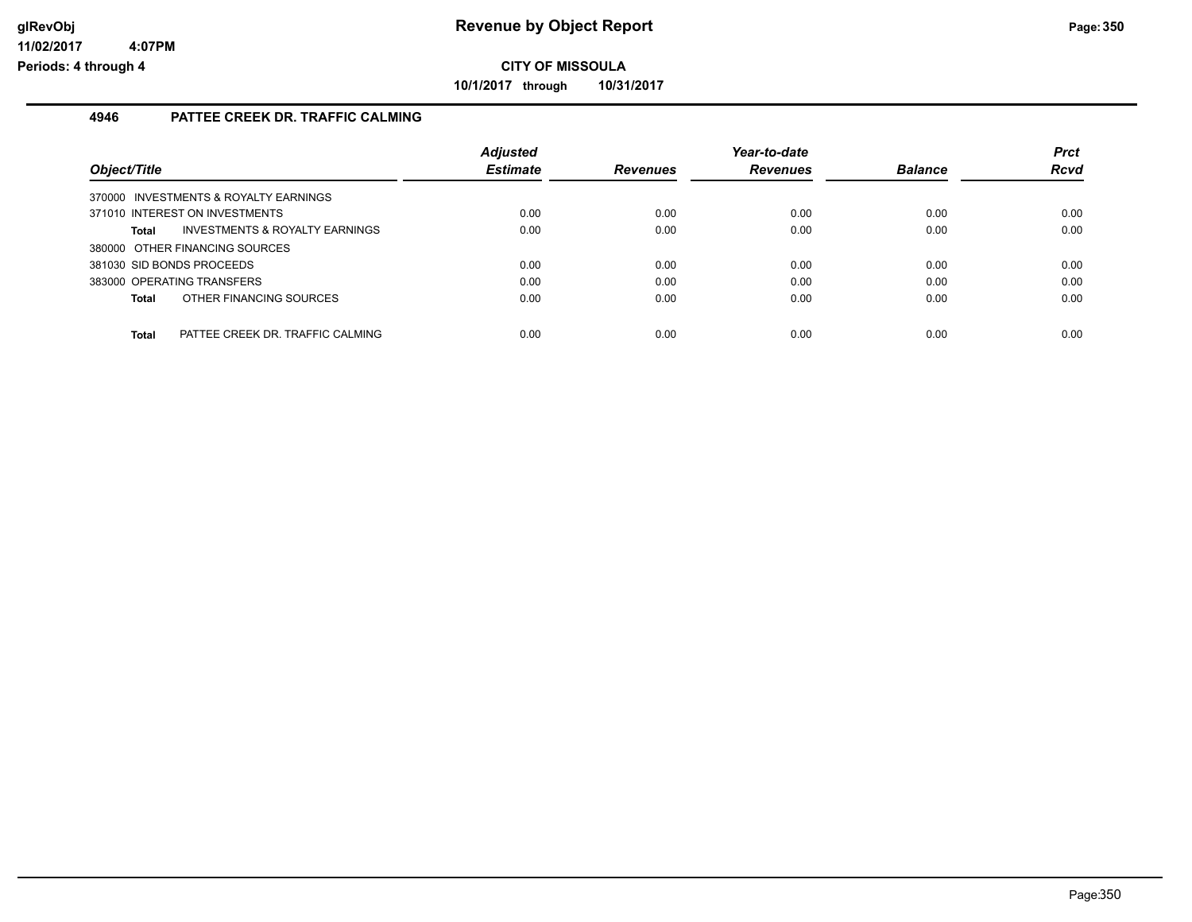**10/1/2017 through 10/31/2017**

#### **4946 PATTEE CREEK DR. TRAFFIC CALMING**

|                                                  | <b>Adjusted</b> |                 | Year-to-date    |                | <b>Prct</b> |
|--------------------------------------------------|-----------------|-----------------|-----------------|----------------|-------------|
| Object/Title                                     | <b>Estimate</b> | <b>Revenues</b> | <b>Revenues</b> | <b>Balance</b> | <b>Rcvd</b> |
| 370000 INVESTMENTS & ROYALTY EARNINGS            |                 |                 |                 |                |             |
| 371010 INTEREST ON INVESTMENTS                   | 0.00            | 0.00            | 0.00            | 0.00           | 0.00        |
| INVESTMENTS & ROYALTY EARNINGS<br>Total          | 0.00            | 0.00            | 0.00            | 0.00           | 0.00        |
| 380000 OTHER FINANCING SOURCES                   |                 |                 |                 |                |             |
| 381030 SID BONDS PROCEEDS                        | 0.00            | 0.00            | 0.00            | 0.00           | 0.00        |
| 383000 OPERATING TRANSFERS                       | 0.00            | 0.00            | 0.00            | 0.00           | 0.00        |
| OTHER FINANCING SOURCES<br><b>Total</b>          | 0.00            | 0.00            | 0.00            | 0.00           | 0.00        |
|                                                  |                 |                 |                 |                |             |
| <b>Total</b><br>PATTEE CREEK DR. TRAFFIC CALMING | 0.00            | 0.00            | 0.00            | 0.00           | 0.00        |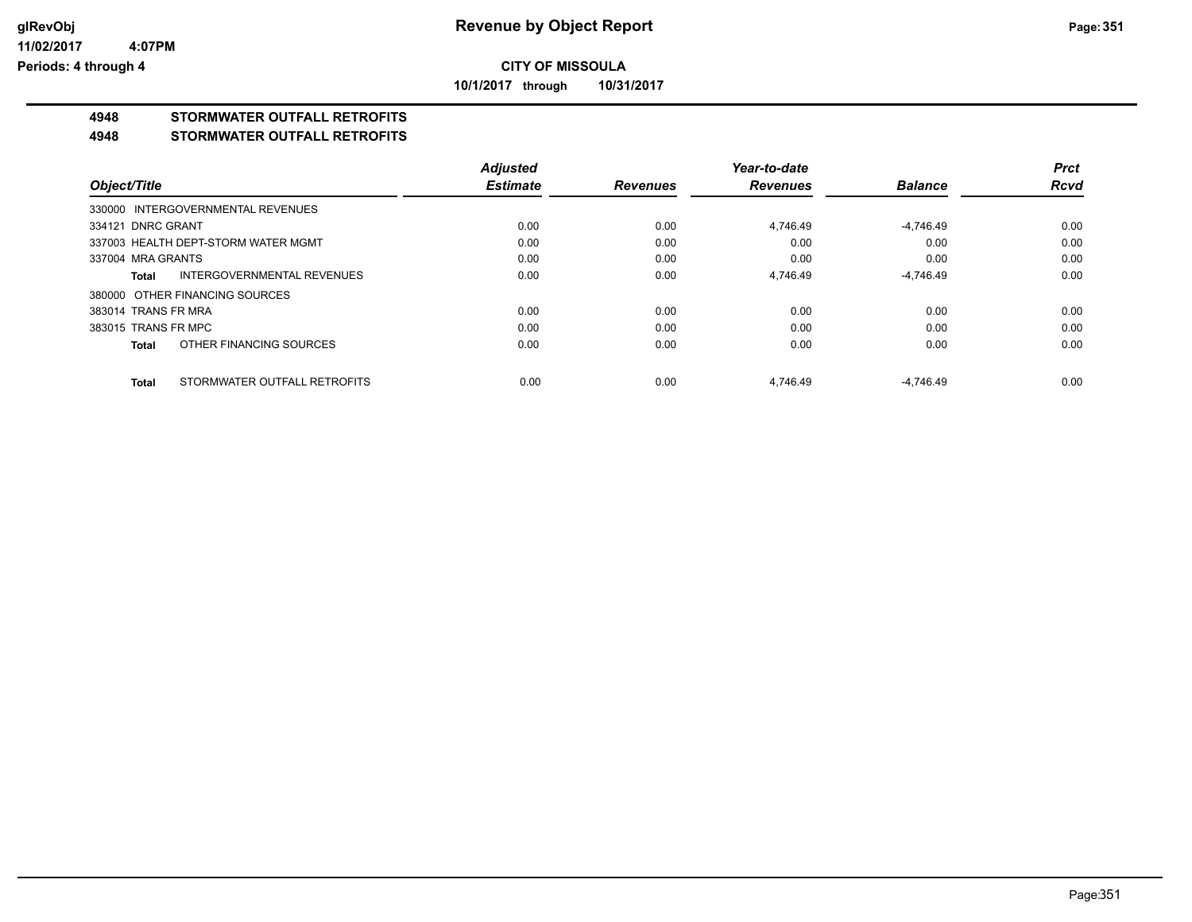**10/1/2017 through 10/31/2017**

# **4948 STORMWATER OUTFALL RETROFITS**

#### **4948 STORMWATER OUTFALL RETROFITS**

|                     |                                     | <b>Adjusted</b> |                 | Year-to-date    |                | Prct |
|---------------------|-------------------------------------|-----------------|-----------------|-----------------|----------------|------|
| Object/Title        |                                     | <b>Estimate</b> | <b>Revenues</b> | <b>Revenues</b> | <b>Balance</b> | Rcvd |
|                     | 330000 INTERGOVERNMENTAL REVENUES   |                 |                 |                 |                |      |
| 334121 DNRC GRANT   |                                     | 0.00            | 0.00            | 4,746.49        | $-4.746.49$    | 0.00 |
|                     | 337003 HEALTH DEPT-STORM WATER MGMT | 0.00            | 0.00            | 0.00            | 0.00           | 0.00 |
| 337004 MRA GRANTS   |                                     | 0.00            | 0.00            | 0.00            | 0.00           | 0.00 |
| Total               | INTERGOVERNMENTAL REVENUES          | 0.00            | 0.00            | 4,746.49        | $-4,746.49$    | 0.00 |
|                     | 380000 OTHER FINANCING SOURCES      |                 |                 |                 |                |      |
| 383014 TRANS FR MRA |                                     | 0.00            | 0.00            | 0.00            | 0.00           | 0.00 |
| 383015 TRANS FR MPC |                                     | 0.00            | 0.00            | 0.00            | 0.00           | 0.00 |
| Total               | OTHER FINANCING SOURCES             | 0.00            | 0.00            | 0.00            | 0.00           | 0.00 |
| <b>Total</b>        | STORMWATER OUTFALL RETROFITS        | 0.00            | 0.00            | 4.746.49        | $-4.746.49$    | 0.00 |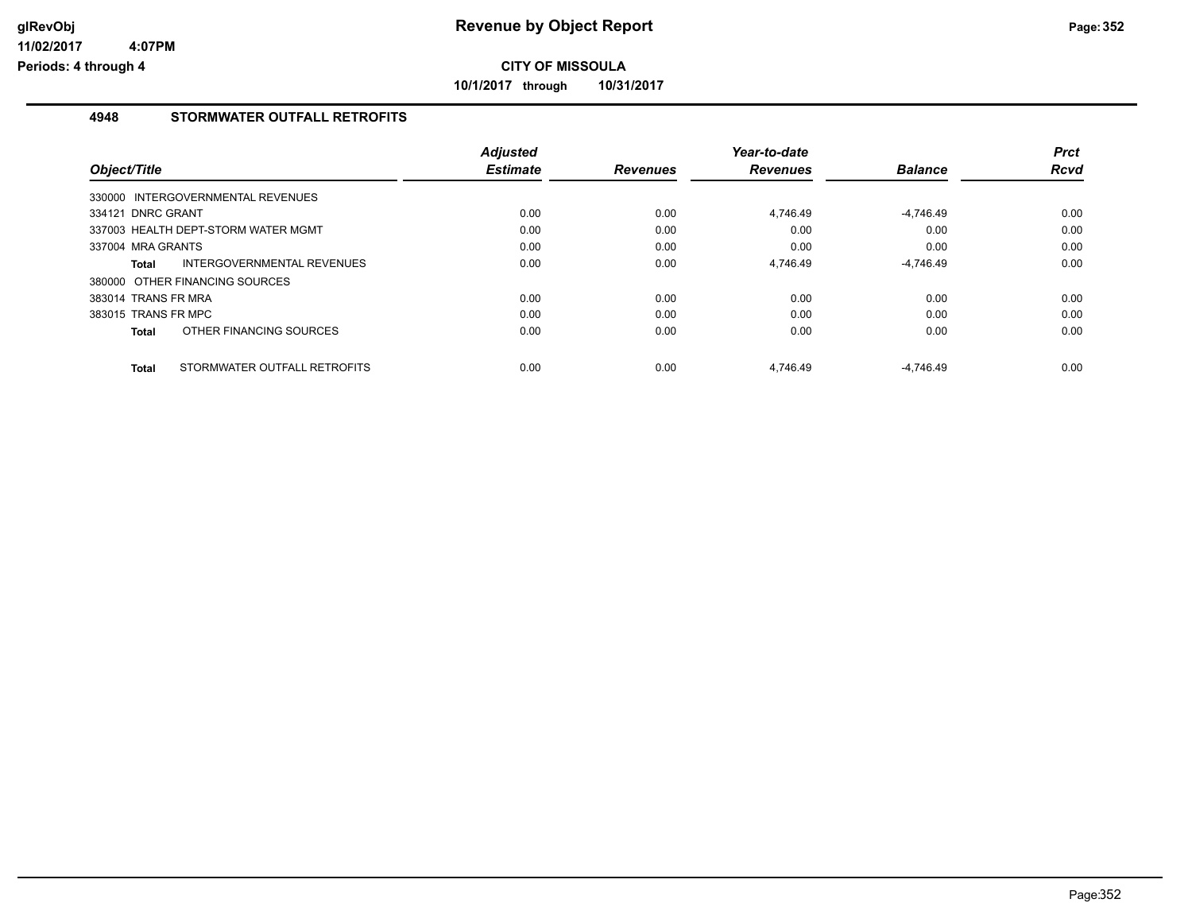**10/1/2017 through 10/31/2017**

#### **4948 STORMWATER OUTFALL RETROFITS**

| Object/Title                               | <b>Adjusted</b><br><b>Estimate</b> | <b>Revenues</b> | Year-to-date<br><b>Revenues</b> | <b>Balance</b> | <b>Prct</b><br><b>Rcvd</b> |
|--------------------------------------------|------------------------------------|-----------------|---------------------------------|----------------|----------------------------|
| 330000 INTERGOVERNMENTAL REVENUES          |                                    |                 |                                 |                |                            |
| 334121 DNRC GRANT                          | 0.00                               | 0.00            | 4,746.49                        | $-4,746.49$    | 0.00                       |
| 337003 HEALTH DEPT-STORM WATER MGMT        | 0.00                               | 0.00            | 0.00                            | 0.00           | 0.00                       |
| 337004 MRA GRANTS                          | 0.00                               | 0.00            | 0.00                            | 0.00           | 0.00                       |
| <b>INTERGOVERNMENTAL REVENUES</b><br>Total | 0.00                               | 0.00            | 4,746.49                        | $-4,746.49$    | 0.00                       |
| 380000 OTHER FINANCING SOURCES             |                                    |                 |                                 |                |                            |
| 383014 TRANS FR MRA                        | 0.00                               | 0.00            | 0.00                            | 0.00           | 0.00                       |
| 383015 TRANS FR MPC                        | 0.00                               | 0.00            | 0.00                            | 0.00           | 0.00                       |
| OTHER FINANCING SOURCES<br>Total           | 0.00                               | 0.00            | 0.00                            | 0.00           | 0.00                       |
| STORMWATER OUTFALL RETROFITS<br>Total      | 0.00                               | 0.00            | 4.746.49                        | $-4.746.49$    | 0.00                       |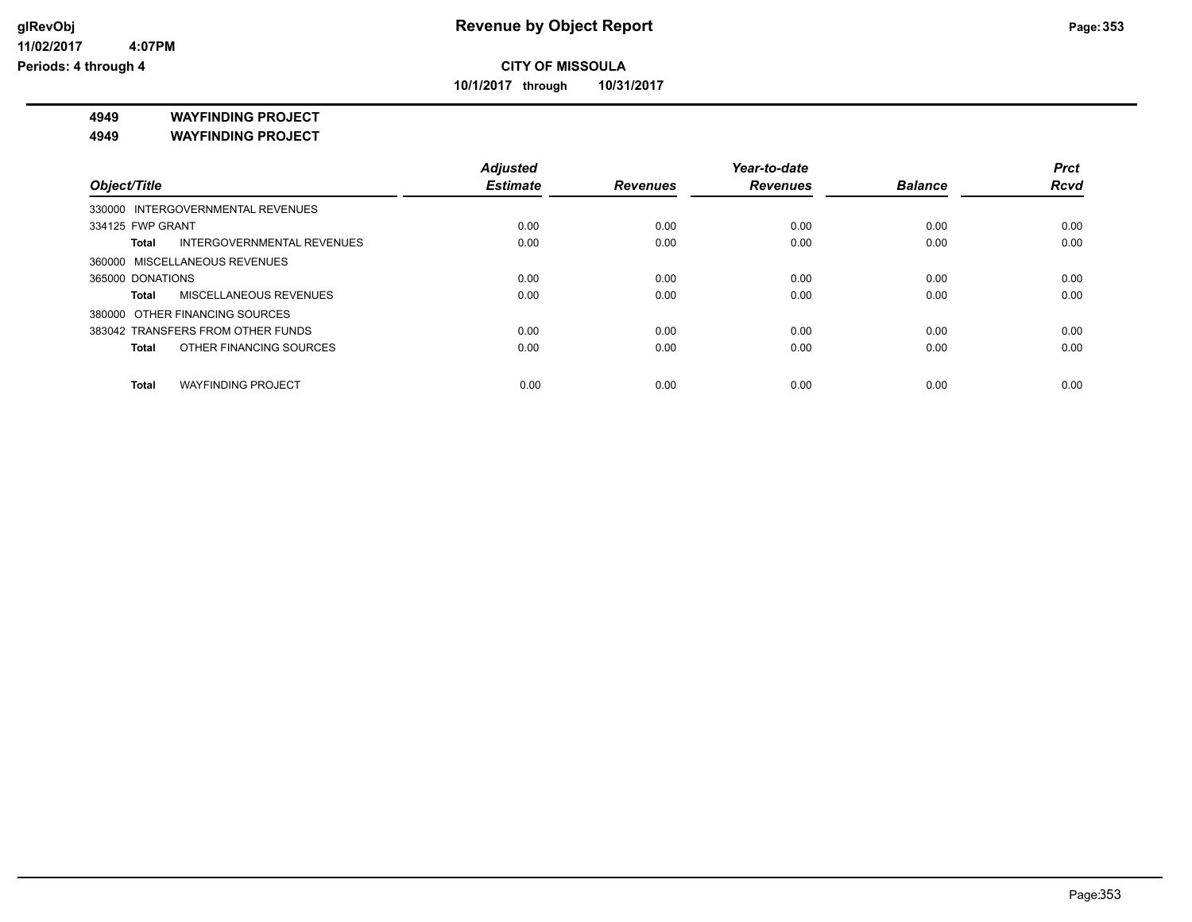**10/1/2017 through 10/31/2017**

**4949 WAYFINDING PROJECT**

**4949 WAYFINDING PROJECT**

|                                            | <b>Adjusted</b> |                 | Year-to-date    |                | <b>Prct</b> |
|--------------------------------------------|-----------------|-----------------|-----------------|----------------|-------------|
| Object/Title                               | <b>Estimate</b> | <b>Revenues</b> | <b>Revenues</b> | <b>Balance</b> | <b>Rcvd</b> |
| 330000 INTERGOVERNMENTAL REVENUES          |                 |                 |                 |                |             |
| 334125 FWP GRANT                           | 0.00            | 0.00            | 0.00            | 0.00           | 0.00        |
| <b>INTERGOVERNMENTAL REVENUES</b><br>Total | 0.00            | 0.00            | 0.00            | 0.00           | 0.00        |
| 360000 MISCELLANEOUS REVENUES              |                 |                 |                 |                |             |
| 365000 DONATIONS                           | 0.00            | 0.00            | 0.00            | 0.00           | 0.00        |
| MISCELLANEOUS REVENUES<br>Total            | 0.00            | 0.00            | 0.00            | 0.00           | 0.00        |
| 380000 OTHER FINANCING SOURCES             |                 |                 |                 |                |             |
| 383042 TRANSFERS FROM OTHER FUNDS          | 0.00            | 0.00            | 0.00            | 0.00           | 0.00        |
| OTHER FINANCING SOURCES<br>Total           | 0.00            | 0.00            | 0.00            | 0.00           | 0.00        |
|                                            |                 |                 |                 |                |             |
| <b>WAYFINDING PROJECT</b><br>Total         | 0.00            | 0.00            | 0.00            | 0.00           | 0.00        |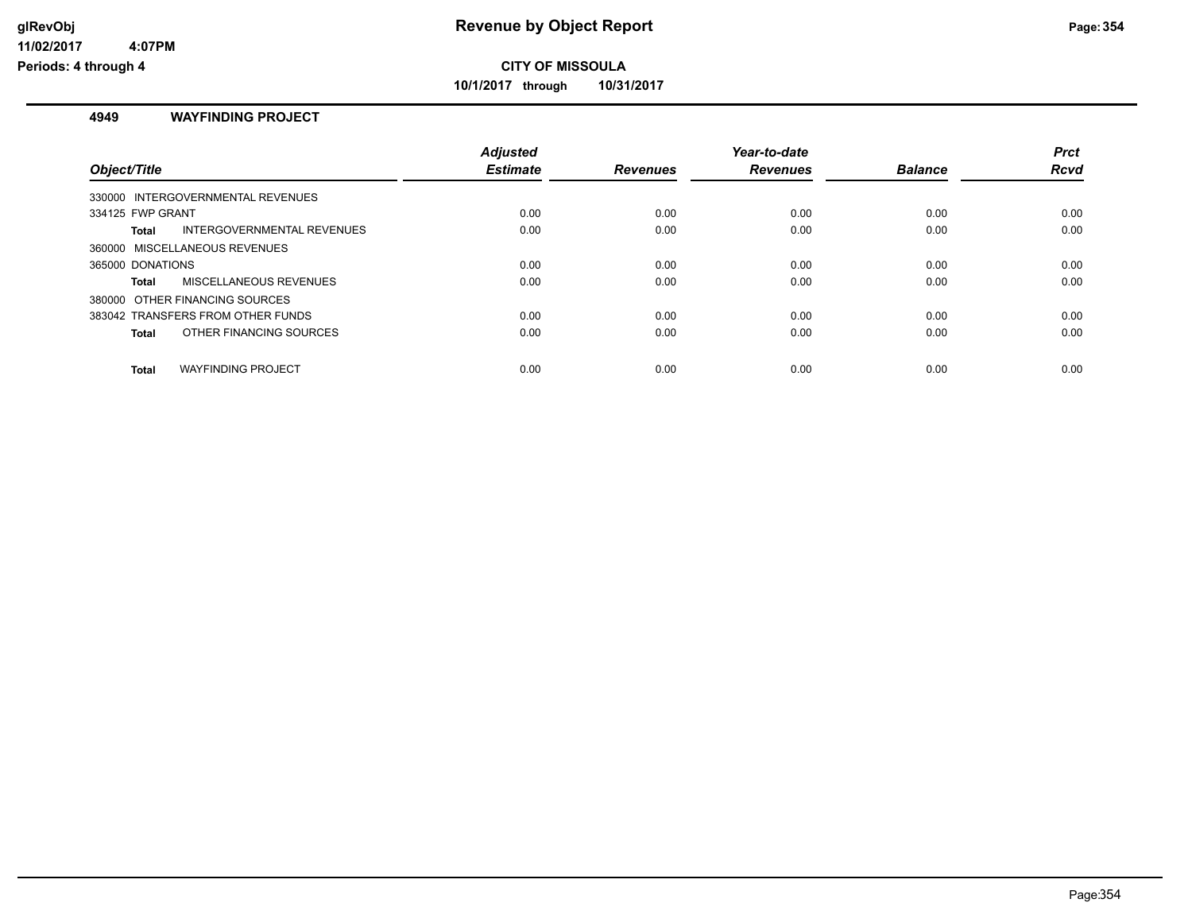**10/1/2017 through 10/31/2017**

#### **4949 WAYFINDING PROJECT**

| Object/Title                              | <b>Adjusted</b><br><b>Estimate</b> | <b>Revenues</b> | Year-to-date<br><b>Revenues</b> | <b>Balance</b> | <b>Prct</b><br><b>Rcvd</b> |
|-------------------------------------------|------------------------------------|-----------------|---------------------------------|----------------|----------------------------|
| 330000 INTERGOVERNMENTAL REVENUES         |                                    |                 |                                 |                |                            |
| 334125 FWP GRANT                          | 0.00                               | 0.00            | 0.00                            | 0.00           | 0.00                       |
| INTERGOVERNMENTAL REVENUES<br>Total       | 0.00                               | 0.00            | 0.00                            | 0.00           | 0.00                       |
| 360000 MISCELLANEOUS REVENUES             |                                    |                 |                                 |                |                            |
| 365000 DONATIONS                          | 0.00                               | 0.00            | 0.00                            | 0.00           | 0.00                       |
| MISCELLANEOUS REVENUES<br>Total           | 0.00                               | 0.00            | 0.00                            | 0.00           | 0.00                       |
| 380000 OTHER FINANCING SOURCES            |                                    |                 |                                 |                |                            |
| 383042 TRANSFERS FROM OTHER FUNDS         | 0.00                               | 0.00            | 0.00                            | 0.00           | 0.00                       |
| OTHER FINANCING SOURCES<br><b>Total</b>   | 0.00                               | 0.00            | 0.00                            | 0.00           | 0.00                       |
| <b>WAYFINDING PROJECT</b><br><b>Total</b> | 0.00                               | 0.00            | 0.00                            | 0.00           | 0.00                       |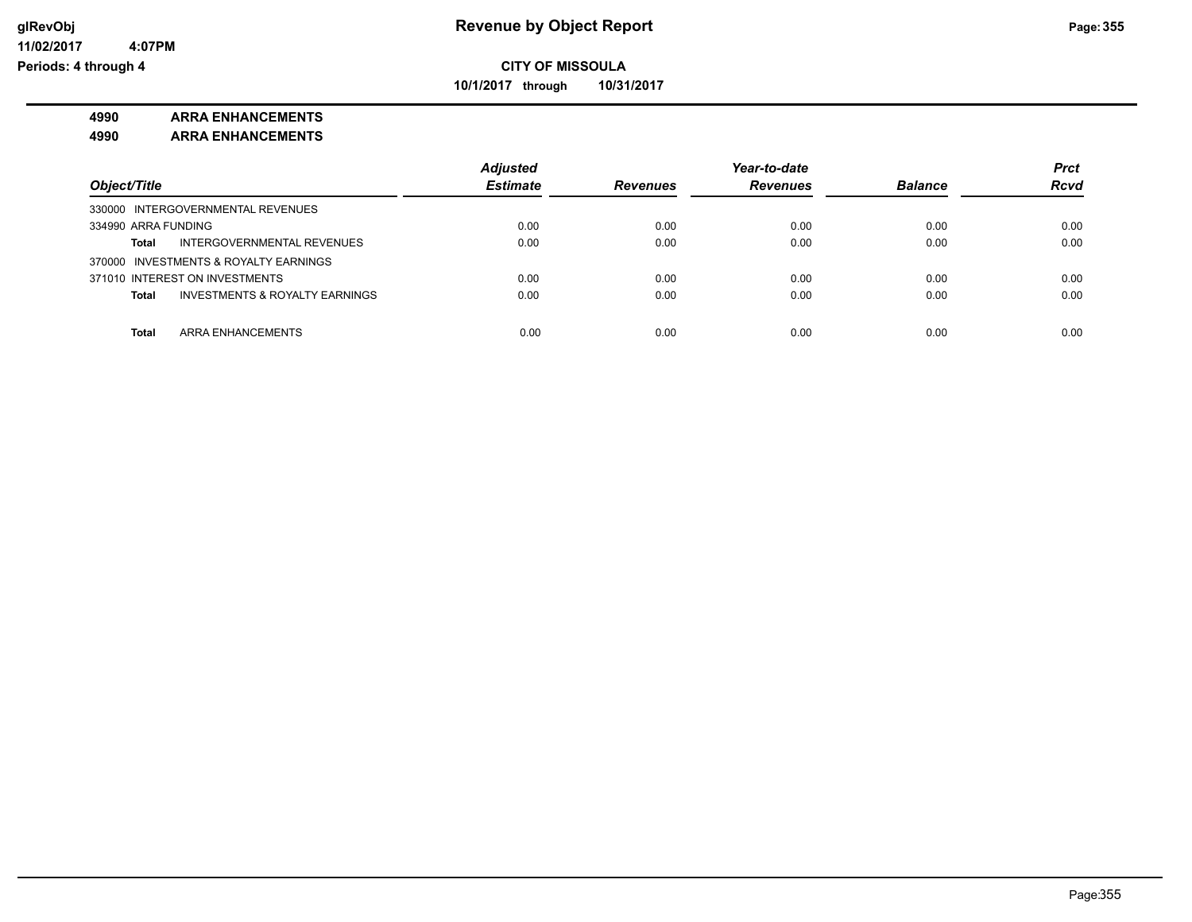**10/1/2017 through 10/31/2017**

#### **4990 ARRA ENHANCEMENTS**

**4990 ARRA ENHANCEMENTS**

|                                                | <b>Adjusted</b> |                 | Year-to-date    |                | <b>Prct</b> |
|------------------------------------------------|-----------------|-----------------|-----------------|----------------|-------------|
| Object/Title                                   | <b>Estimate</b> | <b>Revenues</b> | <b>Revenues</b> | <b>Balance</b> | <b>Rcvd</b> |
| 330000 INTERGOVERNMENTAL REVENUES              |                 |                 |                 |                |             |
| 334990 ARRA FUNDING                            | 0.00            | 0.00            | 0.00            | 0.00           | 0.00        |
| INTERGOVERNMENTAL REVENUES<br><b>Total</b>     | 0.00            | 0.00            | 0.00            | 0.00           | 0.00        |
| 370000 INVESTMENTS & ROYALTY EARNINGS          |                 |                 |                 |                |             |
| 371010 INTEREST ON INVESTMENTS                 | 0.00            | 0.00            | 0.00            | 0.00           | 0.00        |
| INVESTMENTS & ROYALTY EARNINGS<br><b>Total</b> | 0.00            | 0.00            | 0.00            | 0.00           | 0.00        |
|                                                |                 |                 |                 |                |             |
| ARRA ENHANCEMENTS<br><b>Total</b>              | 0.00            | 0.00            | 0.00            | 0.00           | 0.00        |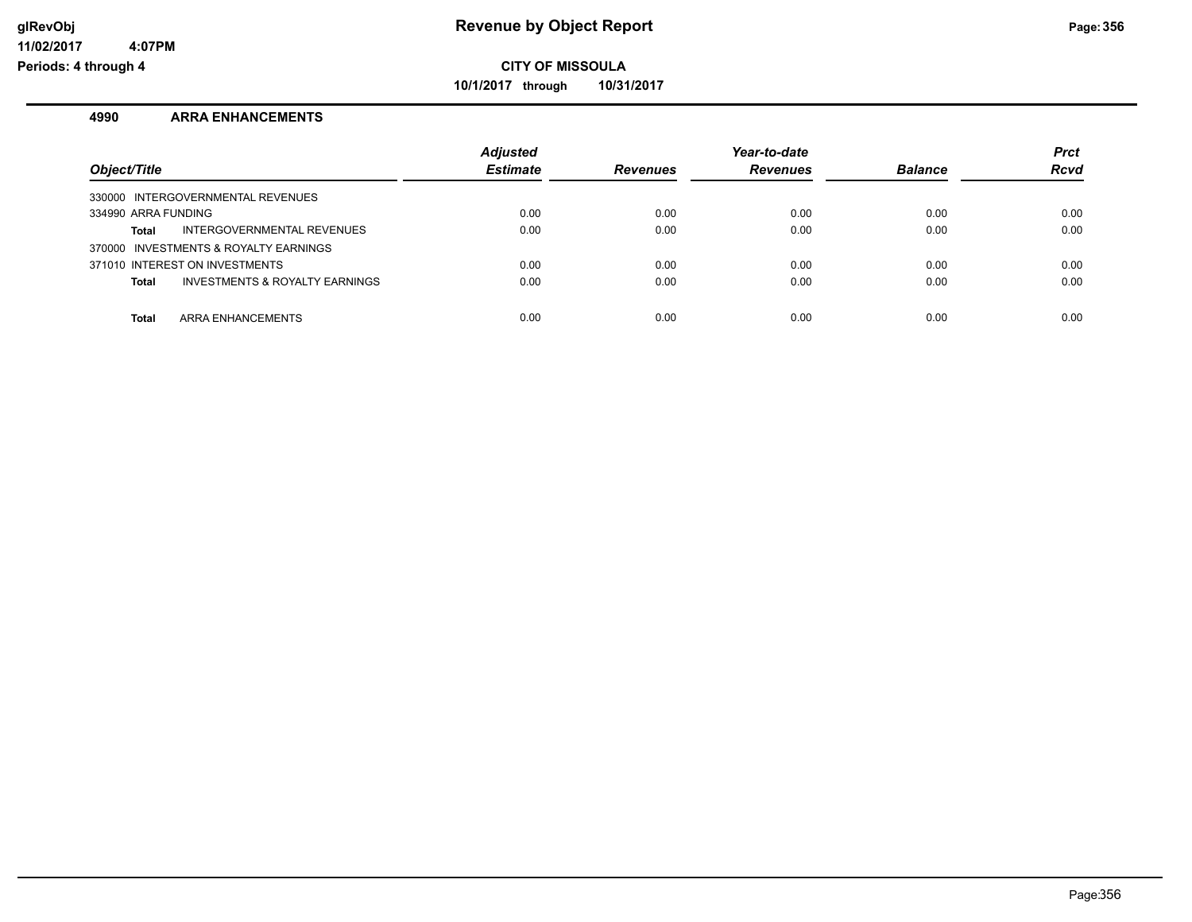**10/1/2017 through 10/31/2017**

#### **4990 ARRA ENHANCEMENTS**

| Object/Title                                   | <b>Adjusted</b><br><b>Estimate</b> | <b>Revenues</b> | Year-to-date<br><b>Revenues</b> | <b>Balance</b> | <b>Prct</b><br><b>Rcvd</b> |
|------------------------------------------------|------------------------------------|-----------------|---------------------------------|----------------|----------------------------|
| 330000 INTERGOVERNMENTAL REVENUES              |                                    |                 |                                 |                |                            |
| 334990 ARRA FUNDING                            | 0.00                               | 0.00            | 0.00                            | 0.00           | 0.00                       |
| INTERGOVERNMENTAL REVENUES<br>Total            | 0.00                               | 0.00            | 0.00                            | 0.00           | 0.00                       |
| 370000 INVESTMENTS & ROYALTY EARNINGS          |                                    |                 |                                 |                |                            |
| 371010 INTEREST ON INVESTMENTS                 | 0.00                               | 0.00            | 0.00                            | 0.00           | 0.00                       |
| INVESTMENTS & ROYALTY EARNINGS<br><b>Total</b> | 0.00                               | 0.00            | 0.00                            | 0.00           | 0.00                       |
|                                                |                                    |                 |                                 |                |                            |
| ARRA ENHANCEMENTS<br><b>Total</b>              | 0.00                               | 0.00            | 0.00                            | 0.00           | 0.00                       |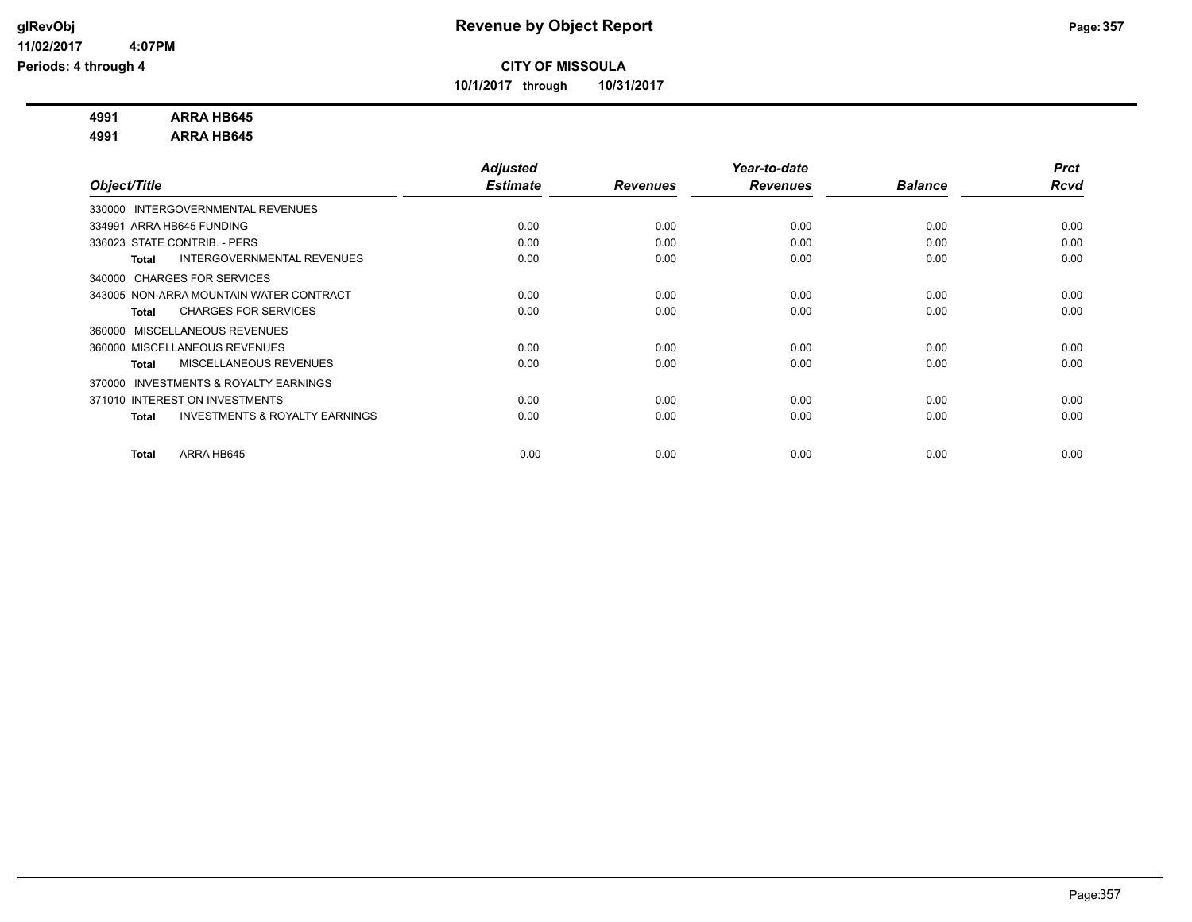**10/1/2017 through 10/31/2017**

#### **4991 ARRA HB645**

**4991 ARRA HB645**

|                                                    | <b>Adjusted</b> |                 | Year-to-date    |                | <b>Prct</b> |
|----------------------------------------------------|-----------------|-----------------|-----------------|----------------|-------------|
| Object/Title                                       | <b>Estimate</b> | <b>Revenues</b> | <b>Revenues</b> | <b>Balance</b> | <b>Rcvd</b> |
| 330000 INTERGOVERNMENTAL REVENUES                  |                 |                 |                 |                |             |
| 334991 ARRA HB645 FUNDING                          | 0.00            | 0.00            | 0.00            | 0.00           | 0.00        |
| 336023 STATE CONTRIB. - PERS                       | 0.00            | 0.00            | 0.00            | 0.00           | 0.00        |
| <b>INTERGOVERNMENTAL REVENUES</b><br>Total         | 0.00            | 0.00            | 0.00            | 0.00           | 0.00        |
| 340000 CHARGES FOR SERVICES                        |                 |                 |                 |                |             |
| 343005 NON-ARRA MOUNTAIN WATER CONTRACT            | 0.00            | 0.00            | 0.00            | 0.00           | 0.00        |
| <b>CHARGES FOR SERVICES</b><br>Total               | 0.00            | 0.00            | 0.00            | 0.00           | 0.00        |
| 360000 MISCELLANEOUS REVENUES                      |                 |                 |                 |                |             |
| 360000 MISCELLANEOUS REVENUES                      | 0.00            | 0.00            | 0.00            | 0.00           | 0.00        |
| MISCELLANEOUS REVENUES<br>Total                    | 0.00            | 0.00            | 0.00            | 0.00           | 0.00        |
| 370000 INVESTMENTS & ROYALTY EARNINGS              |                 |                 |                 |                |             |
| 371010 INTEREST ON INVESTMENTS                     | 0.00            | 0.00            | 0.00            | 0.00           | 0.00        |
| <b>INVESTMENTS &amp; ROYALTY EARNINGS</b><br>Total | 0.00            | 0.00            | 0.00            | 0.00           | 0.00        |
|                                                    |                 |                 |                 |                |             |
| ARRA HB645<br><b>Total</b>                         | 0.00            | 0.00            | 0.00            | 0.00           | 0.00        |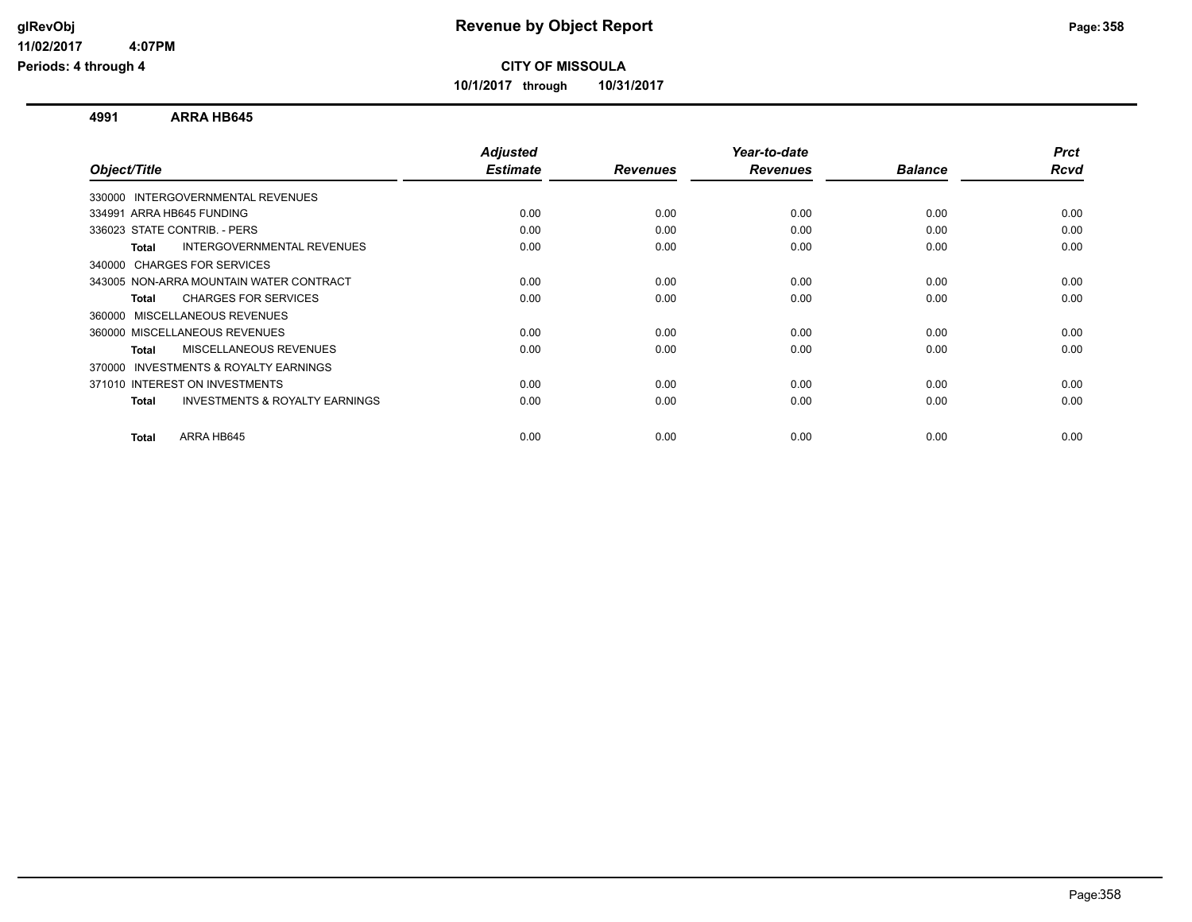**Periods: 4 through 4**

**CITY OF MISSOULA**

**10/1/2017 through 10/31/2017**

**4991 ARRA HB645**

|                                                           | <b>Adjusted</b> |                 | Year-to-date    |                | <b>Prct</b> |
|-----------------------------------------------------------|-----------------|-----------------|-----------------|----------------|-------------|
| Object/Title                                              | <b>Estimate</b> | <b>Revenues</b> | <b>Revenues</b> | <b>Balance</b> | <b>Rcvd</b> |
| 330000 INTERGOVERNMENTAL REVENUES                         |                 |                 |                 |                |             |
| 334991 ARRA HB645 FUNDING                                 | 0.00            | 0.00            | 0.00            | 0.00           | 0.00        |
| 336023 STATE CONTRIB. - PERS                              | 0.00            | 0.00            | 0.00            | 0.00           | 0.00        |
| <b>INTERGOVERNMENTAL REVENUES</b><br><b>Total</b>         | 0.00            | 0.00            | 0.00            | 0.00           | 0.00        |
| 340000 CHARGES FOR SERVICES                               |                 |                 |                 |                |             |
| 343005 NON-ARRA MOUNTAIN WATER CONTRACT                   | 0.00            | 0.00            | 0.00            | 0.00           | 0.00        |
| <b>CHARGES FOR SERVICES</b><br>Total                      | 0.00            | 0.00            | 0.00            | 0.00           | 0.00        |
| 360000 MISCELLANEOUS REVENUES                             |                 |                 |                 |                |             |
| 360000 MISCELLANEOUS REVENUES                             | 0.00            | 0.00            | 0.00            | 0.00           | 0.00        |
| MISCELLANEOUS REVENUES<br>Total                           | 0.00            | 0.00            | 0.00            | 0.00           | 0.00        |
| 370000 INVESTMENTS & ROYALTY EARNINGS                     |                 |                 |                 |                |             |
| 371010 INTEREST ON INVESTMENTS                            | 0.00            | 0.00            | 0.00            | 0.00           | 0.00        |
| <b>INVESTMENTS &amp; ROYALTY EARNINGS</b><br><b>Total</b> | 0.00            | 0.00            | 0.00            | 0.00           | 0.00        |
|                                                           |                 |                 |                 |                |             |
| ARRA HB645<br>Total                                       | 0.00            | 0.00            | 0.00            | 0.00           | 0.00        |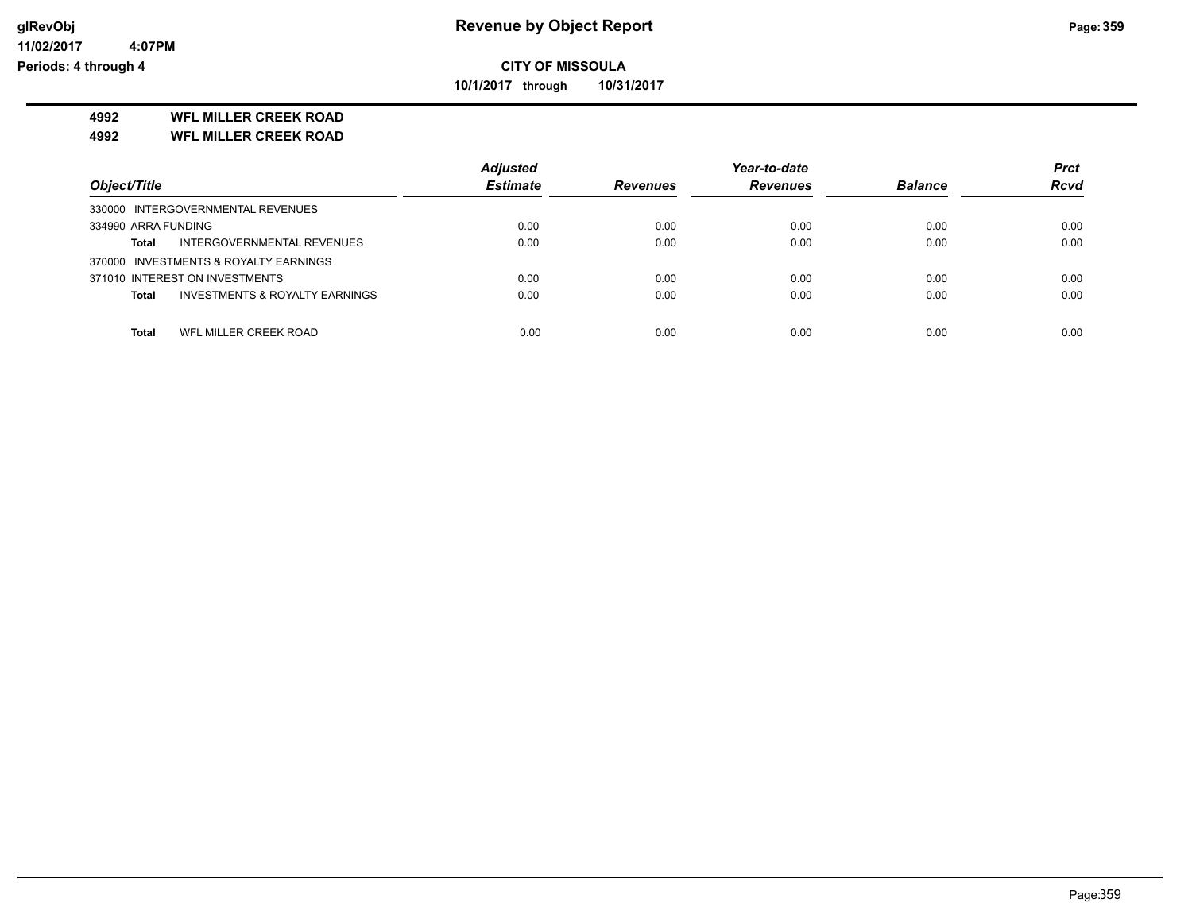**10/1/2017 through 10/31/2017**

#### **4992 WFL MILLER CREEK ROAD**

**4992 WFL MILLER CREEK ROAD**

|                                                | <b>Adjusted</b> |                 | Year-to-date    |                | <b>Prct</b> |
|------------------------------------------------|-----------------|-----------------|-----------------|----------------|-------------|
| Object/Title                                   | <b>Estimate</b> | <b>Revenues</b> | <b>Revenues</b> | <b>Balance</b> | <b>Rcvd</b> |
| 330000 INTERGOVERNMENTAL REVENUES              |                 |                 |                 |                |             |
| 334990 ARRA FUNDING                            | 0.00            | 0.00            | 0.00            | 0.00           | 0.00        |
| INTERGOVERNMENTAL REVENUES<br><b>Total</b>     | 0.00            | 0.00            | 0.00            | 0.00           | 0.00        |
| 370000 INVESTMENTS & ROYALTY EARNINGS          |                 |                 |                 |                |             |
| 371010 INTEREST ON INVESTMENTS                 | 0.00            | 0.00            | 0.00            | 0.00           | 0.00        |
| INVESTMENTS & ROYALTY EARNINGS<br><b>Total</b> | 0.00            | 0.00            | 0.00            | 0.00           | 0.00        |
|                                                |                 |                 |                 |                |             |
| WFL MILLER CREEK ROAD<br><b>Total</b>          | 0.00            | 0.00            | 0.00            | 0.00           | 0.00        |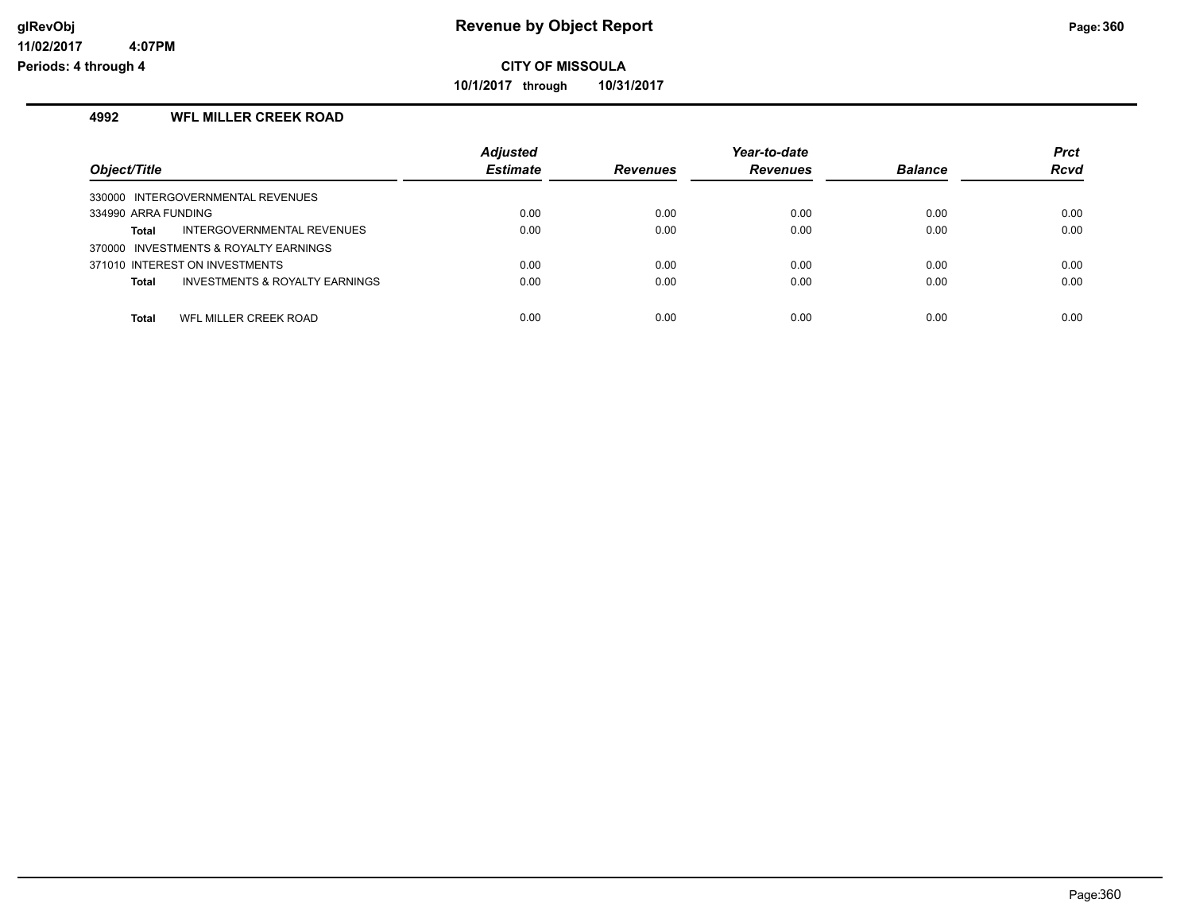**10/1/2017 through 10/31/2017**

#### **4992 WFL MILLER CREEK ROAD**

| Object/Title                                              | <b>Adjusted</b><br><b>Estimate</b> | <b>Revenues</b> | Year-to-date<br><b>Revenues</b> | <b>Balance</b> | <b>Prct</b><br><b>Rcvd</b> |
|-----------------------------------------------------------|------------------------------------|-----------------|---------------------------------|----------------|----------------------------|
| 330000 INTERGOVERNMENTAL REVENUES                         |                                    |                 |                                 |                |                            |
| 334990 ARRA FUNDING                                       | 0.00                               | 0.00            | 0.00                            | 0.00           | 0.00                       |
| INTERGOVERNMENTAL REVENUES<br>Total                       | 0.00                               | 0.00            | 0.00                            | 0.00           | 0.00                       |
| 370000 INVESTMENTS & ROYALTY EARNINGS                     |                                    |                 |                                 |                |                            |
| 371010 INTEREST ON INVESTMENTS                            | 0.00                               | 0.00            | 0.00                            | 0.00           | 0.00                       |
| <b>INVESTMENTS &amp; ROYALTY EARNINGS</b><br><b>Total</b> | 0.00                               | 0.00            | 0.00                            | 0.00           | 0.00                       |
|                                                           |                                    |                 |                                 |                |                            |
| WFL MILLER CREEK ROAD<br><b>Total</b>                     | 0.00                               | 0.00            | 0.00                            | 0.00           | 0.00                       |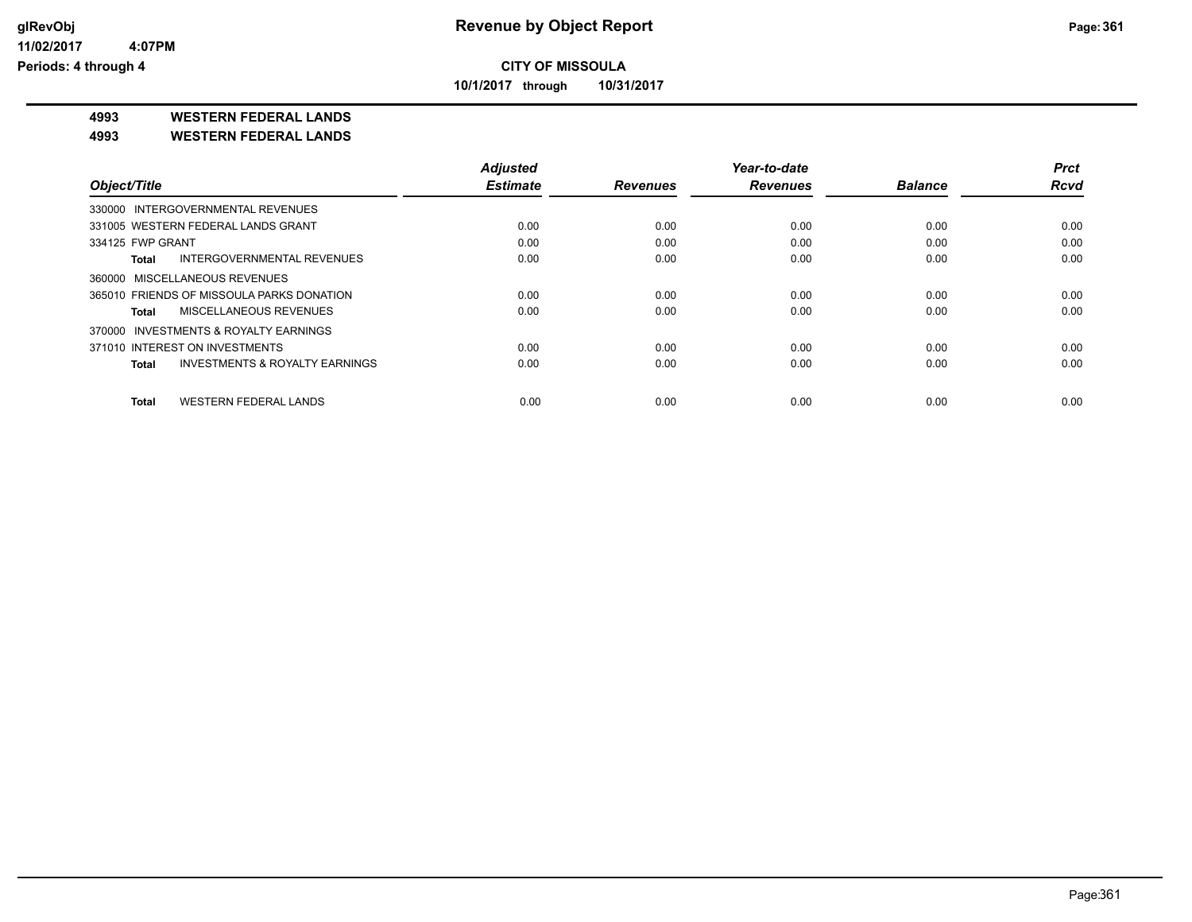**10/1/2017 through 10/31/2017**

#### **4993 WESTERN FEDERAL LANDS**

**4993 WESTERN FEDERAL LANDS**

| Object/Title                                       | <b>Adjusted</b><br><b>Estimate</b> | <b>Revenues</b> | Year-to-date<br><b>Revenues</b> | <b>Balance</b> | <b>Prct</b><br><b>Rcvd</b> |
|----------------------------------------------------|------------------------------------|-----------------|---------------------------------|----------------|----------------------------|
| 330000 INTERGOVERNMENTAL REVENUES                  |                                    |                 |                                 |                |                            |
| 331005 WESTERN FEDERAL LANDS GRANT                 | 0.00                               | 0.00            | 0.00                            | 0.00           | 0.00                       |
| 334125 FWP GRANT                                   | 0.00                               | 0.00            | 0.00                            | 0.00           | 0.00                       |
| INTERGOVERNMENTAL REVENUES<br>Total                | 0.00                               | 0.00            | 0.00                            | 0.00           | 0.00                       |
| 360000 MISCELLANEOUS REVENUES                      |                                    |                 |                                 |                |                            |
| 365010 FRIENDS OF MISSOULA PARKS DONATION          | 0.00                               | 0.00            | 0.00                            | 0.00           | 0.00                       |
| MISCELLANEOUS REVENUES<br>Total                    | 0.00                               | 0.00            | 0.00                            | 0.00           | 0.00                       |
| 370000 INVESTMENTS & ROYALTY EARNINGS              |                                    |                 |                                 |                |                            |
| 371010 INTEREST ON INVESTMENTS                     | 0.00                               | 0.00            | 0.00                            | 0.00           | 0.00                       |
| <b>INVESTMENTS &amp; ROYALTY EARNINGS</b><br>Total | 0.00                               | 0.00            | 0.00                            | 0.00           | 0.00                       |
| <b>WESTERN FEDERAL LANDS</b><br><b>Total</b>       | 0.00                               | 0.00            | 0.00                            | 0.00           | 0.00                       |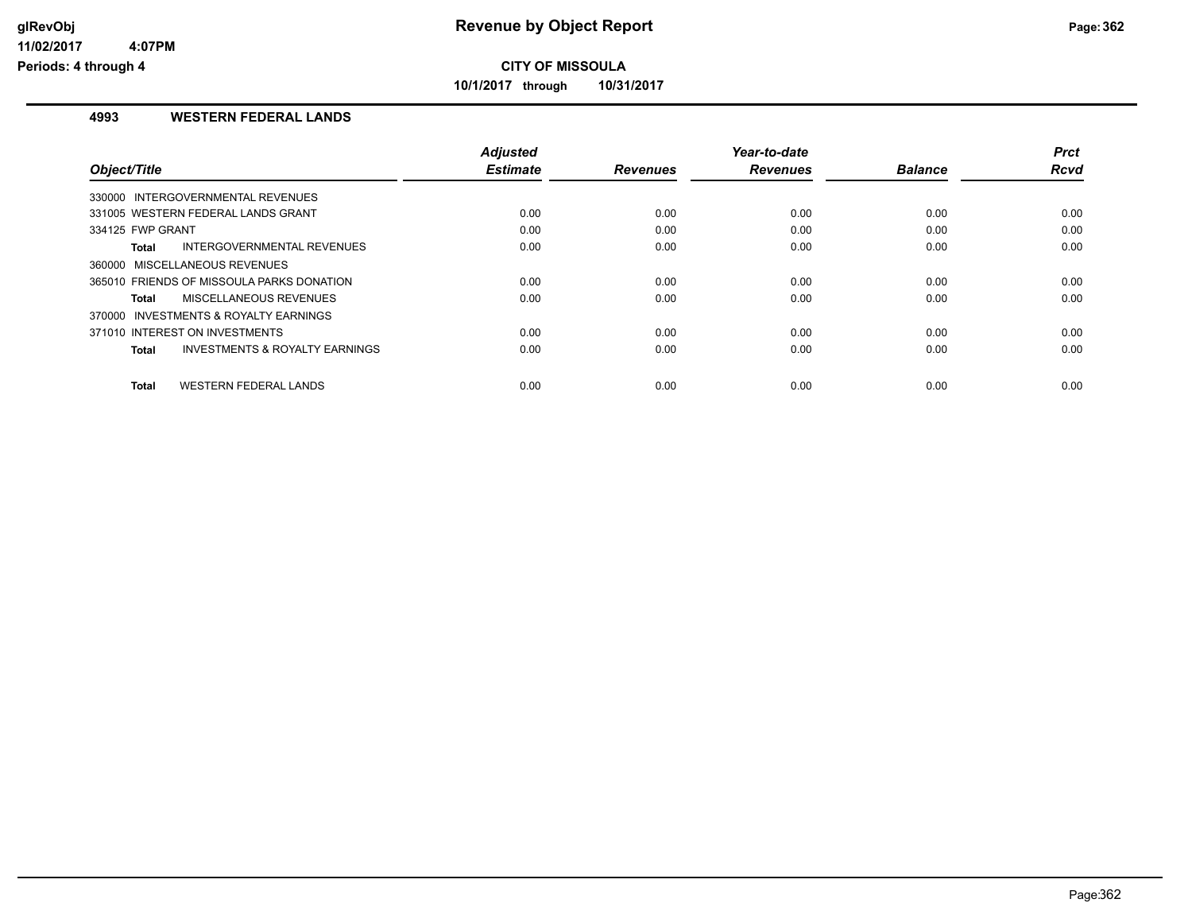**10/1/2017 through 10/31/2017**

#### **4993 WESTERN FEDERAL LANDS**

|                                                | <b>Adjusted</b> |                 | Year-to-date    |                | <b>Prct</b> |
|------------------------------------------------|-----------------|-----------------|-----------------|----------------|-------------|
| Object/Title                                   | <b>Estimate</b> | <b>Revenues</b> | <b>Revenues</b> | <b>Balance</b> | <b>Rcvd</b> |
| 330000 INTERGOVERNMENTAL REVENUES              |                 |                 |                 |                |             |
| 331005 WESTERN FEDERAL LANDS GRANT             | 0.00            | 0.00            | 0.00            | 0.00           | 0.00        |
| 334125 FWP GRANT                               | 0.00            | 0.00            | 0.00            | 0.00           | 0.00        |
| INTERGOVERNMENTAL REVENUES<br><b>Total</b>     | 0.00            | 0.00            | 0.00            | 0.00           | 0.00        |
| 360000 MISCELLANEOUS REVENUES                  |                 |                 |                 |                |             |
| 365010 FRIENDS OF MISSOULA PARKS DONATION      | 0.00            | 0.00            | 0.00            | 0.00           | 0.00        |
| <b>MISCELLANEOUS REVENUES</b><br>Total         | 0.00            | 0.00            | 0.00            | 0.00           | 0.00        |
| 370000 INVESTMENTS & ROYALTY EARNINGS          |                 |                 |                 |                |             |
| 371010 INTEREST ON INVESTMENTS                 | 0.00            | 0.00            | 0.00            | 0.00           | 0.00        |
| INVESTMENTS & ROYALTY EARNINGS<br><b>Total</b> | 0.00            | 0.00            | 0.00            | 0.00           | 0.00        |
|                                                |                 |                 |                 |                |             |
| <b>WESTERN FEDERAL LANDS</b><br><b>Total</b>   | 0.00            | 0.00            | 0.00            | 0.00           | 0.00        |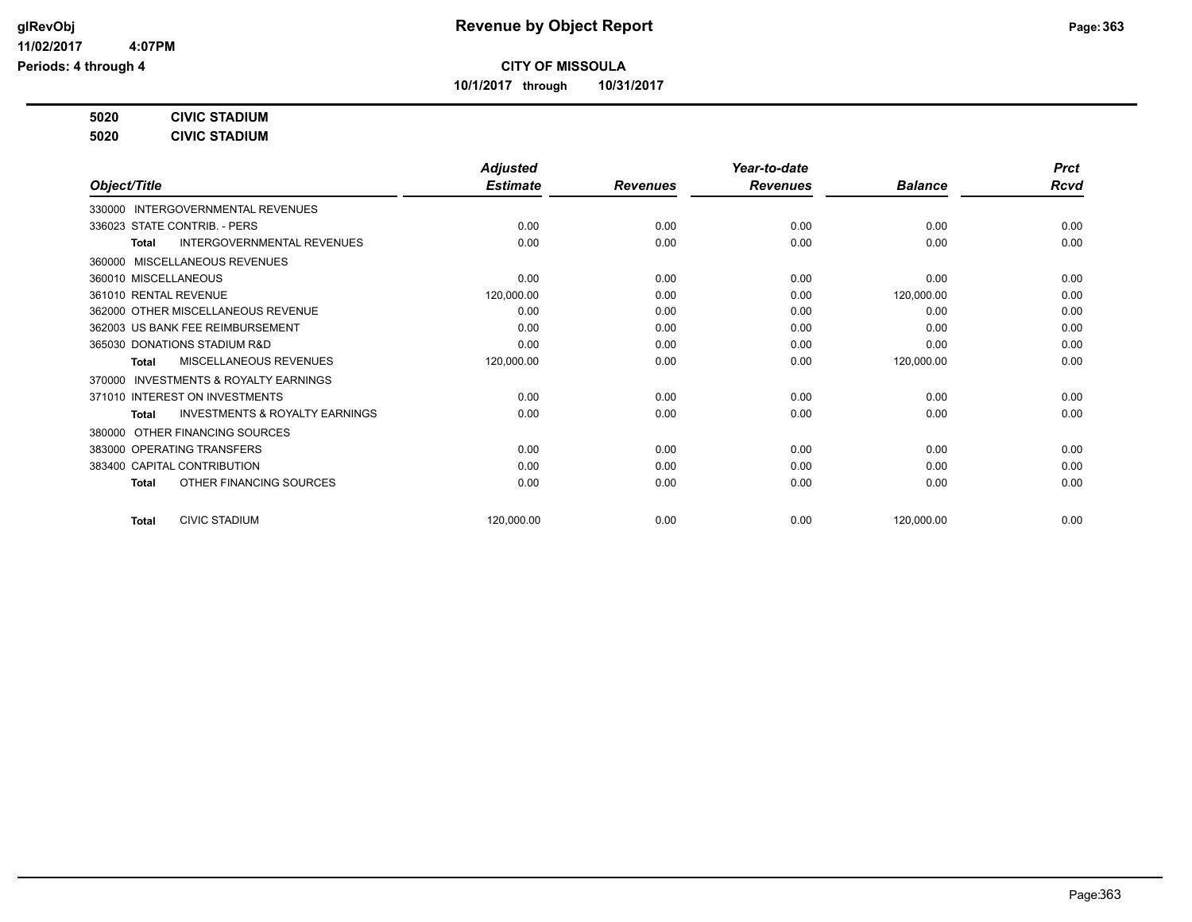**10/1/2017 through 10/31/2017**

**5020 CIVIC STADIUM**

**5020 CIVIC STADIUM**

|                                                           | <b>Adjusted</b> |                 | Year-to-date    |                | <b>Prct</b> |
|-----------------------------------------------------------|-----------------|-----------------|-----------------|----------------|-------------|
| Object/Title                                              | <b>Estimate</b> | <b>Revenues</b> | <b>Revenues</b> | <b>Balance</b> | Rcvd        |
| 330000 INTERGOVERNMENTAL REVENUES                         |                 |                 |                 |                |             |
| 336023 STATE CONTRIB. - PERS                              | 0.00            | 0.00            | 0.00            | 0.00           | 0.00        |
| INTERGOVERNMENTAL REVENUES<br><b>Total</b>                | 0.00            | 0.00            | 0.00            | 0.00           | 0.00        |
| MISCELLANEOUS REVENUES<br>360000                          |                 |                 |                 |                |             |
| 360010 MISCELLANEOUS                                      | 0.00            | 0.00            | 0.00            | 0.00           | 0.00        |
| 361010 RENTAL REVENUE                                     | 120,000.00      | 0.00            | 0.00            | 120,000.00     | 0.00        |
| 362000 OTHER MISCELLANEOUS REVENUE                        | 0.00            | 0.00            | 0.00            | 0.00           | 0.00        |
| 362003 US BANK FEE REIMBURSEMENT                          | 0.00            | 0.00            | 0.00            | 0.00           | 0.00        |
| 365030 DONATIONS STADIUM R&D                              | 0.00            | 0.00            | 0.00            | 0.00           | 0.00        |
| <b>MISCELLANEOUS REVENUES</b><br><b>Total</b>             | 120,000.00      | 0.00            | 0.00            | 120,000.00     | 0.00        |
| <b>INVESTMENTS &amp; ROYALTY EARNINGS</b><br>370000       |                 |                 |                 |                |             |
| 371010 INTEREST ON INVESTMENTS                            | 0.00            | 0.00            | 0.00            | 0.00           | 0.00        |
| <b>INVESTMENTS &amp; ROYALTY EARNINGS</b><br><b>Total</b> | 0.00            | 0.00            | 0.00            | 0.00           | 0.00        |
| OTHER FINANCING SOURCES<br>380000                         |                 |                 |                 |                |             |
| 383000 OPERATING TRANSFERS                                | 0.00            | 0.00            | 0.00            | 0.00           | 0.00        |
| 383400 CAPITAL CONTRIBUTION                               | 0.00            | 0.00            | 0.00            | 0.00           | 0.00        |
| OTHER FINANCING SOURCES<br><b>Total</b>                   | 0.00            | 0.00            | 0.00            | 0.00           | 0.00        |
| <b>CIVIC STADIUM</b><br><b>Total</b>                      | 120,000.00      | 0.00            | 0.00            | 120,000.00     | 0.00        |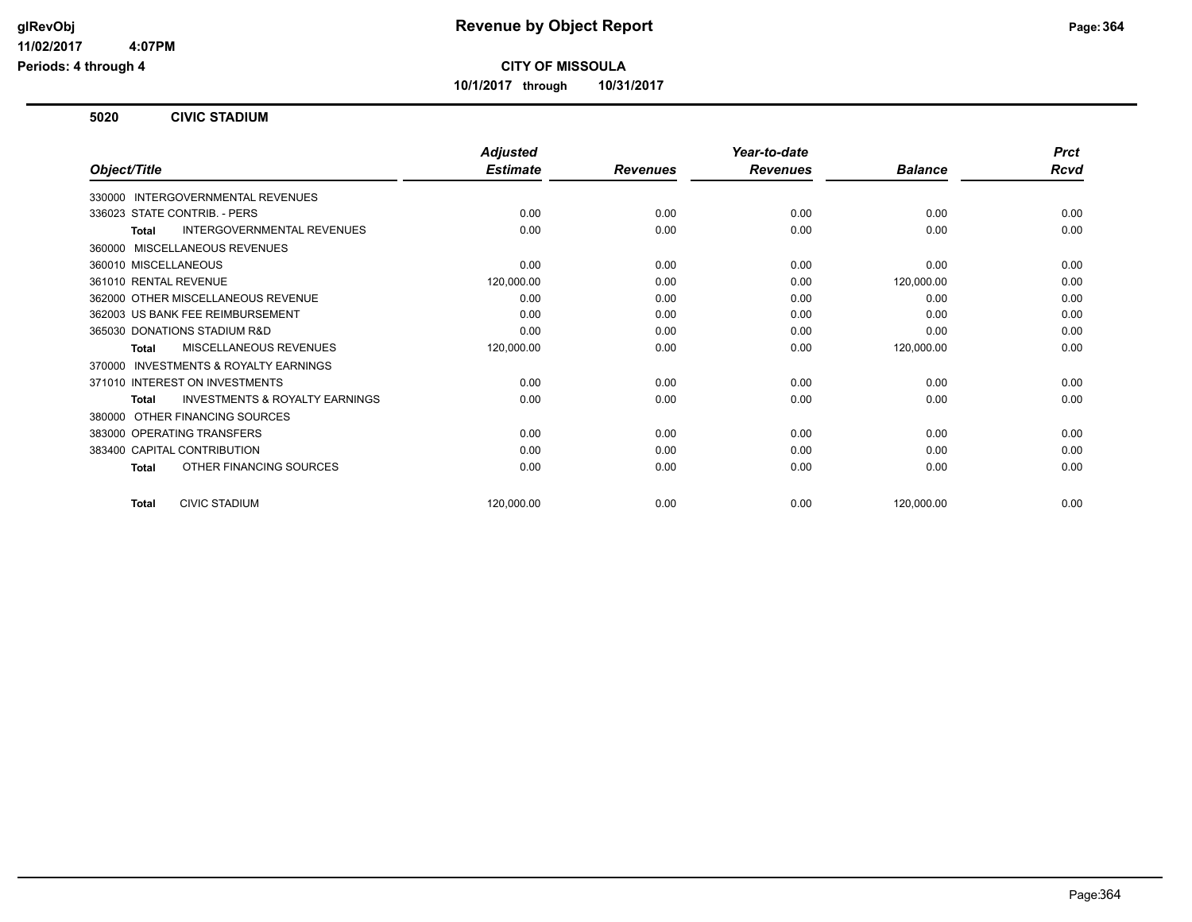**11/02/2017 4:07PM Periods: 4 through 4**

**CITY OF MISSOULA**

**10/1/2017 through 10/31/2017**

#### **5020 CIVIC STADIUM**

|                                                           | <b>Adjusted</b> |                 | Year-to-date    |                | <b>Prct</b> |
|-----------------------------------------------------------|-----------------|-----------------|-----------------|----------------|-------------|
| Object/Title                                              | <b>Estimate</b> | <b>Revenues</b> | <b>Revenues</b> | <b>Balance</b> | <b>Rcvd</b> |
| 330000 INTERGOVERNMENTAL REVENUES                         |                 |                 |                 |                |             |
| 336023 STATE CONTRIB. - PERS                              | 0.00            | 0.00            | 0.00            | 0.00           | 0.00        |
| <b>INTERGOVERNMENTAL REVENUES</b><br><b>Total</b>         | 0.00            | 0.00            | 0.00            | 0.00           | 0.00        |
| 360000 MISCELLANEOUS REVENUES                             |                 |                 |                 |                |             |
| 360010 MISCELLANEOUS                                      | 0.00            | 0.00            | 0.00            | 0.00           | 0.00        |
| 361010 RENTAL REVENUE                                     | 120,000.00      | 0.00            | 0.00            | 120,000.00     | 0.00        |
| 362000 OTHER MISCELLANEOUS REVENUE                        | 0.00            | 0.00            | 0.00            | 0.00           | 0.00        |
| 362003 US BANK FEE REIMBURSEMENT                          | 0.00            | 0.00            | 0.00            | 0.00           | 0.00        |
| 365030 DONATIONS STADIUM R&D                              | 0.00            | 0.00            | 0.00            | 0.00           | 0.00        |
| MISCELLANEOUS REVENUES<br><b>Total</b>                    | 120,000.00      | 0.00            | 0.00            | 120,000.00     | 0.00        |
| <b>INVESTMENTS &amp; ROYALTY EARNINGS</b><br>370000       |                 |                 |                 |                |             |
| 371010 INTEREST ON INVESTMENTS                            | 0.00            | 0.00            | 0.00            | 0.00           | 0.00        |
| <b>INVESTMENTS &amp; ROYALTY EARNINGS</b><br><b>Total</b> | 0.00            | 0.00            | 0.00            | 0.00           | 0.00        |
| 380000 OTHER FINANCING SOURCES                            |                 |                 |                 |                |             |
| 383000 OPERATING TRANSFERS                                | 0.00            | 0.00            | 0.00            | 0.00           | 0.00        |
| 383400 CAPITAL CONTRIBUTION                               | 0.00            | 0.00            | 0.00            | 0.00           | 0.00        |
| OTHER FINANCING SOURCES<br><b>Total</b>                   | 0.00            | 0.00            | 0.00            | 0.00           | 0.00        |
| <b>CIVIC STADIUM</b><br><b>Total</b>                      | 120,000.00      | 0.00            | 0.00            | 120,000.00     | 0.00        |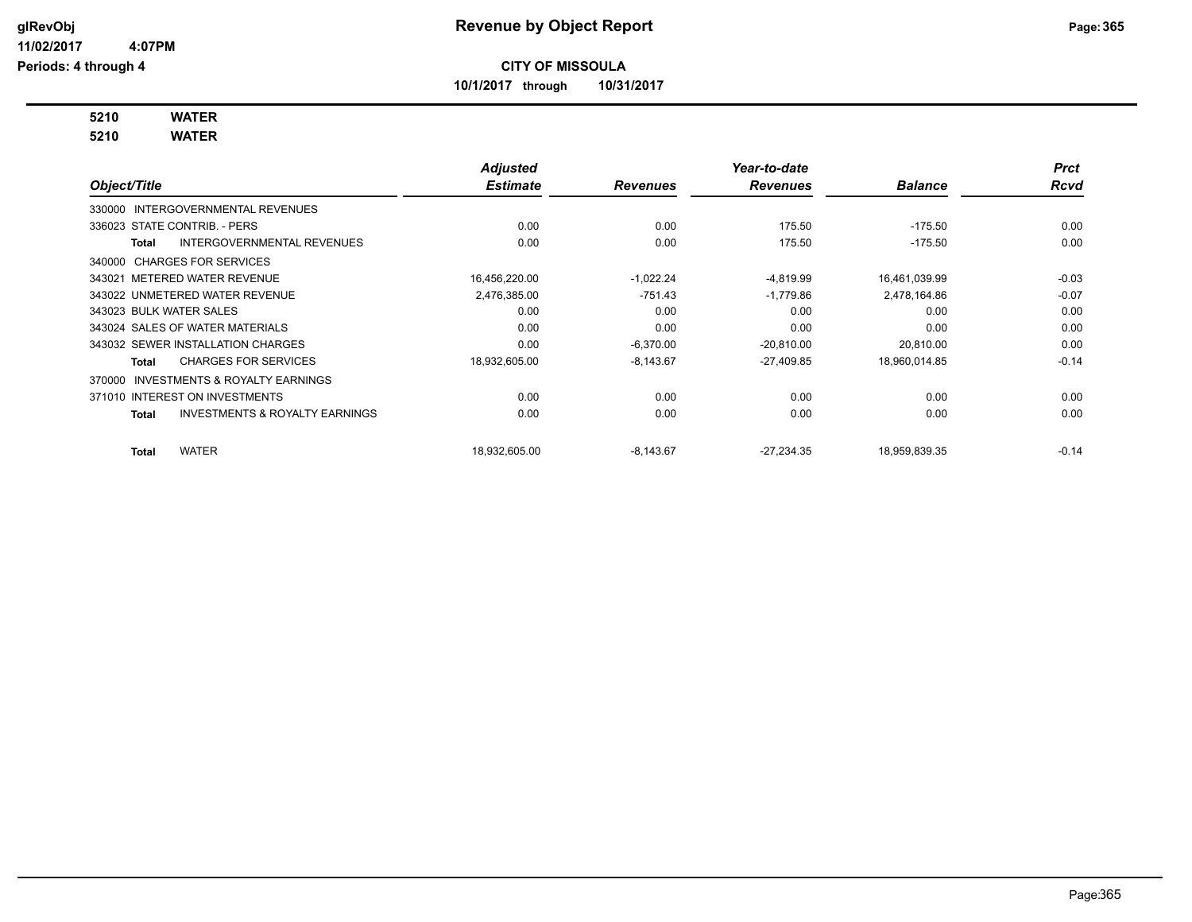**10/1/2017 through 10/31/2017**

# **5210 WATER**

**5210 WATER**

|                                                           | <b>Adjusted</b> |                 | Year-to-date    |                | <b>Prct</b> |
|-----------------------------------------------------------|-----------------|-----------------|-----------------|----------------|-------------|
| Object/Title                                              | <b>Estimate</b> | <b>Revenues</b> | <b>Revenues</b> | <b>Balance</b> | <b>Rcvd</b> |
| 330000 INTERGOVERNMENTAL REVENUES                         |                 |                 |                 |                |             |
| 336023 STATE CONTRIB. - PERS                              | 0.00            | 0.00            | 175.50          | $-175.50$      | 0.00        |
| <b>INTERGOVERNMENTAL REVENUES</b><br><b>Total</b>         | 0.00            | 0.00            | 175.50          | $-175.50$      | 0.00        |
| 340000 CHARGES FOR SERVICES                               |                 |                 |                 |                |             |
| 343021 METERED WATER REVENUE                              | 16,456,220.00   | $-1,022.24$     | $-4,819.99$     | 16,461,039.99  | $-0.03$     |
| 343022 UNMETERED WATER REVENUE                            | 2,476,385.00    | $-751.43$       | $-1,779.86$     | 2,478,164.86   | $-0.07$     |
| 343023 BULK WATER SALES                                   | 0.00            | 0.00            | 0.00            | 0.00           | 0.00        |
| 343024 SALES OF WATER MATERIALS                           | 0.00            | 0.00            | 0.00            | 0.00           | 0.00        |
| 343032 SEWER INSTALLATION CHARGES                         | 0.00            | $-6,370.00$     | $-20,810.00$    | 20,810.00      | 0.00        |
| <b>CHARGES FOR SERVICES</b><br><b>Total</b>               | 18,932,605.00   | $-8,143.67$     | $-27,409.85$    | 18,960,014.85  | $-0.14$     |
| INVESTMENTS & ROYALTY EARNINGS<br>370000                  |                 |                 |                 |                |             |
| 371010 INTEREST ON INVESTMENTS                            | 0.00            | 0.00            | 0.00            | 0.00           | 0.00        |
| <b>INVESTMENTS &amp; ROYALTY EARNINGS</b><br><b>Total</b> | 0.00            | 0.00            | 0.00            | 0.00           | 0.00        |
| <b>WATER</b><br><b>Total</b>                              | 18,932,605.00   | $-8,143.67$     | $-27,234.35$    | 18,959,839.35  | $-0.14$     |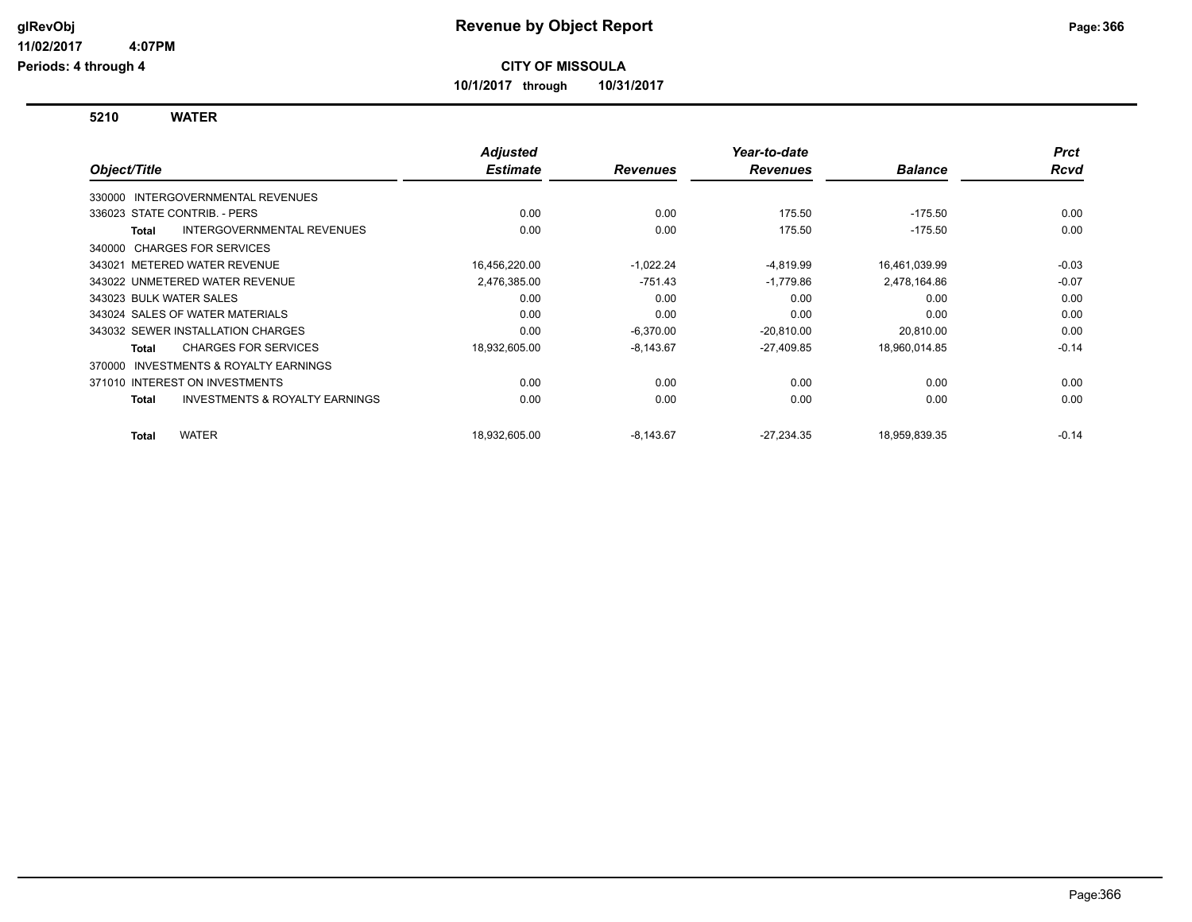**Periods: 4 through 4**

**CITY OF MISSOULA**

**10/1/2017 through 10/31/2017**

**5210 WATER**

| Object/Title                                              | <b>Adjusted</b><br><b>Estimate</b> | <b>Revenues</b> | Year-to-date<br><b>Revenues</b> | <b>Balance</b> | <b>Prct</b><br><b>Rcvd</b> |
|-----------------------------------------------------------|------------------------------------|-----------------|---------------------------------|----------------|----------------------------|
| 330000 INTERGOVERNMENTAL REVENUES                         |                                    |                 |                                 |                |                            |
|                                                           |                                    |                 |                                 |                |                            |
| 336023 STATE CONTRIB. - PERS                              | 0.00                               | 0.00            | 175.50                          | $-175.50$      | 0.00                       |
| INTERGOVERNMENTAL REVENUES<br><b>Total</b>                | 0.00                               | 0.00            | 175.50                          | $-175.50$      | 0.00                       |
| 340000 CHARGES FOR SERVICES                               |                                    |                 |                                 |                |                            |
| <b>METERED WATER REVENUE</b><br>343021                    | 16,456,220.00                      | $-1,022.24$     | $-4,819.99$                     | 16,461,039.99  | $-0.03$                    |
| 343022 UNMETERED WATER REVENUE                            | 2,476,385.00                       | $-751.43$       | $-1,779.86$                     | 2,478,164.86   | $-0.07$                    |
| 343023 BULK WATER SALES                                   | 0.00                               | 0.00            | 0.00                            | 0.00           | 0.00                       |
| 343024 SALES OF WATER MATERIALS                           | 0.00                               | 0.00            | 0.00                            | 0.00           | 0.00                       |
| 343032 SEWER INSTALLATION CHARGES                         | 0.00                               | $-6,370.00$     | $-20,810.00$                    | 20.810.00      | 0.00                       |
| <b>CHARGES FOR SERVICES</b><br><b>Total</b>               | 18,932,605.00                      | $-8,143.67$     | $-27,409.85$                    | 18,960,014.85  | $-0.14$                    |
| INVESTMENTS & ROYALTY EARNINGS<br>370000                  |                                    |                 |                                 |                |                            |
| 371010 INTEREST ON INVESTMENTS                            | 0.00                               | 0.00            | 0.00                            | 0.00           | 0.00                       |
| <b>INVESTMENTS &amp; ROYALTY EARNINGS</b><br><b>Total</b> | 0.00                               | 0.00            | 0.00                            | 0.00           | 0.00                       |
| <b>WATER</b><br><b>Total</b>                              | 18,932,605.00                      | $-8,143.67$     | $-27,234.35$                    | 18,959,839.35  | $-0.14$                    |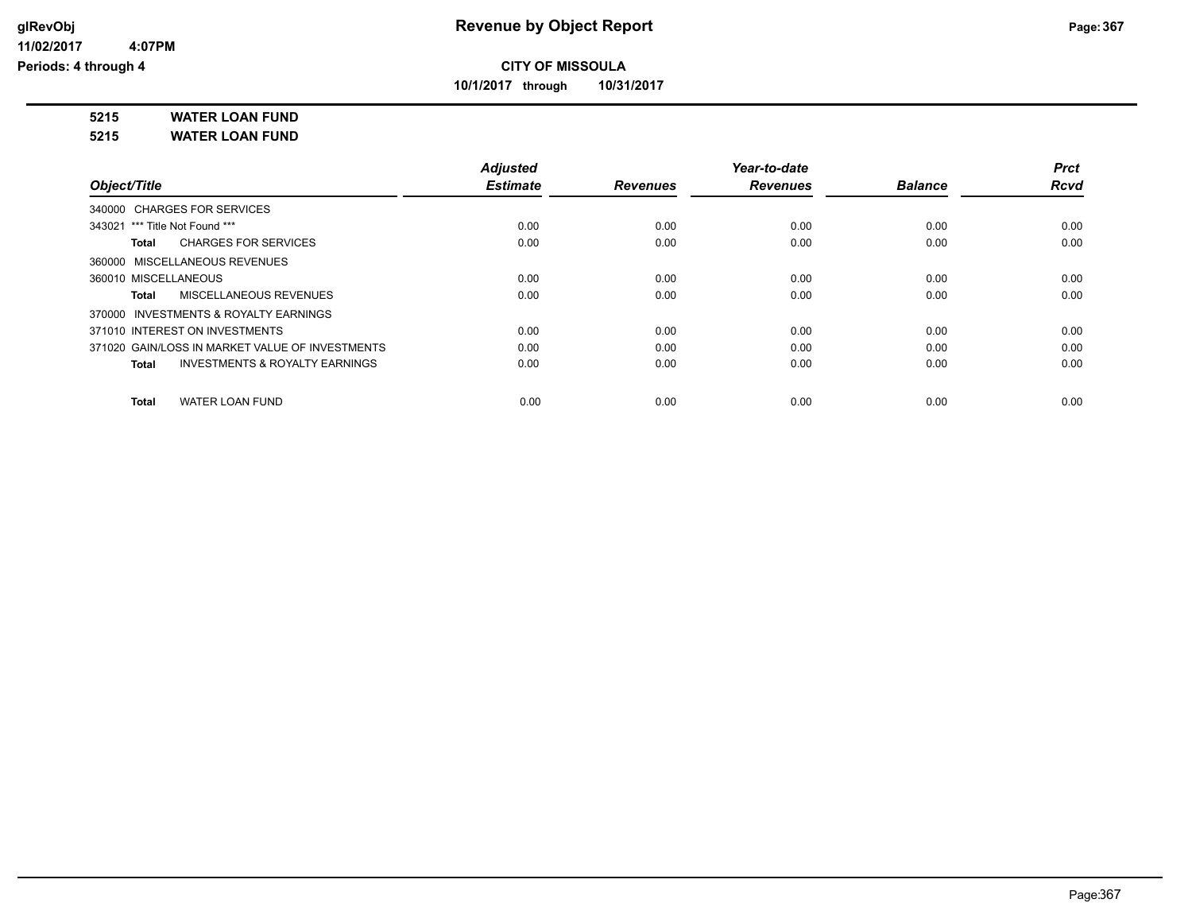**10/1/2017 through 10/31/2017**

**5215 WATER LOAN FUND**

**5215 WATER LOAN FUND**

|                                                    | <b>Adjusted</b> |                 | Year-to-date    |                | <b>Prct</b> |
|----------------------------------------------------|-----------------|-----------------|-----------------|----------------|-------------|
| Object/Title                                       | <b>Estimate</b> | <b>Revenues</b> | <b>Revenues</b> | <b>Balance</b> | <b>Rcvd</b> |
| 340000 CHARGES FOR SERVICES                        |                 |                 |                 |                |             |
| 343021 *** Title Not Found ***                     | 0.00            | 0.00            | 0.00            | 0.00           | 0.00        |
| <b>CHARGES FOR SERVICES</b><br>Total               | 0.00            | 0.00            | 0.00            | 0.00           | 0.00        |
| 360000 MISCELLANEOUS REVENUES                      |                 |                 |                 |                |             |
| 360010 MISCELLANEOUS                               | 0.00            | 0.00            | 0.00            | 0.00           | 0.00        |
| <b>MISCELLANEOUS REVENUES</b><br>Total             | 0.00            | 0.00            | 0.00            | 0.00           | 0.00        |
| 370000 INVESTMENTS & ROYALTY EARNINGS              |                 |                 |                 |                |             |
| 371010 INTEREST ON INVESTMENTS                     | 0.00            | 0.00            | 0.00            | 0.00           | 0.00        |
| 371020 GAIN/LOSS IN MARKET VALUE OF INVESTMENTS    | 0.00            | 0.00            | 0.00            | 0.00           | 0.00        |
| <b>INVESTMENTS &amp; ROYALTY EARNINGS</b><br>Total | 0.00            | 0.00            | 0.00            | 0.00           | 0.00        |
| <b>WATER LOAN FUND</b><br><b>Total</b>             | 0.00            | 0.00            | 0.00            | 0.00           | 0.00        |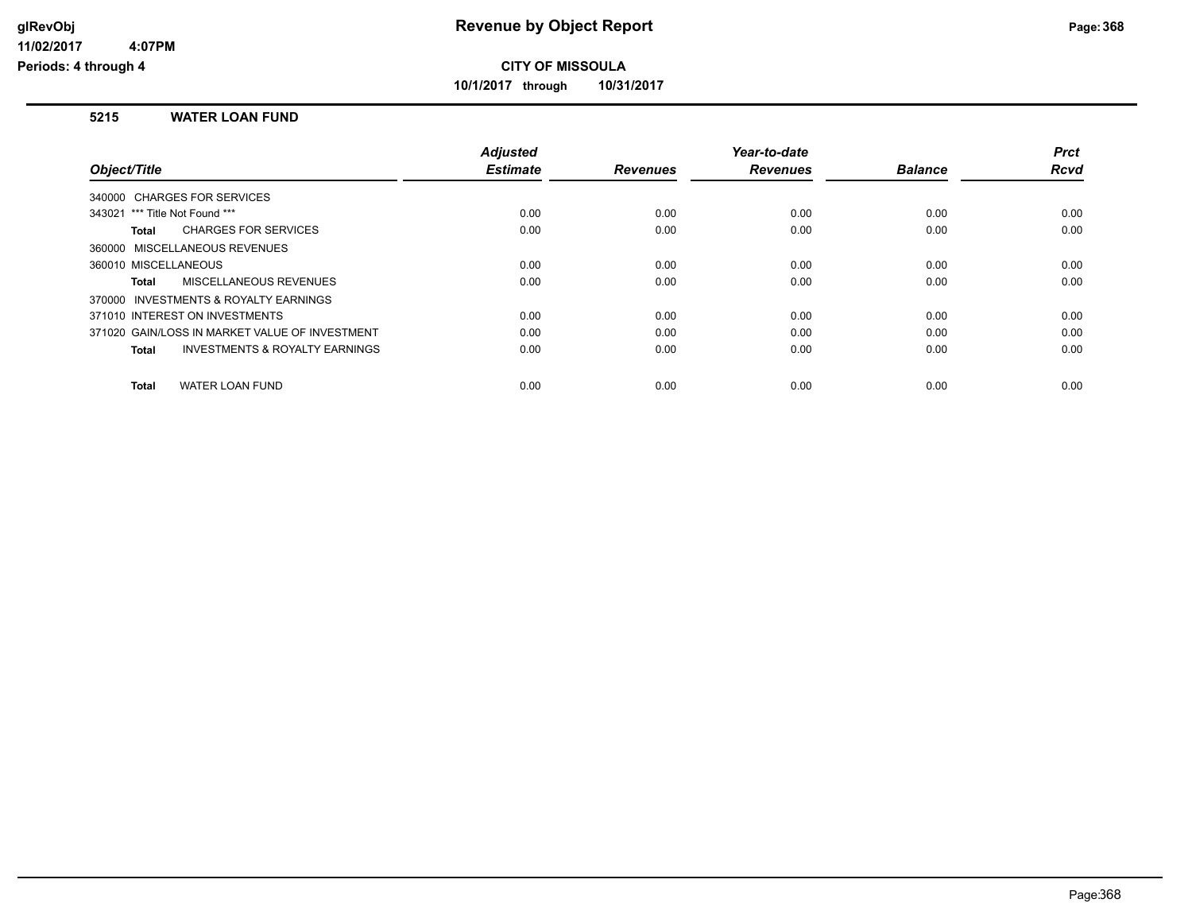**10/1/2017 through 10/31/2017**

#### **5215 WATER LOAN FUND**

|                                                    | <b>Adjusted</b> |                 | Year-to-date    |                | <b>Prct</b> |
|----------------------------------------------------|-----------------|-----------------|-----------------|----------------|-------------|
| Object/Title                                       | <b>Estimate</b> | <b>Revenues</b> | <b>Revenues</b> | <b>Balance</b> | <b>Rcvd</b> |
| 340000 CHARGES FOR SERVICES                        |                 |                 |                 |                |             |
| 343021 *** Title Not Found ***                     | 0.00            | 0.00            | 0.00            | 0.00           | 0.00        |
| <b>CHARGES FOR SERVICES</b><br>Total               | 0.00            | 0.00            | 0.00            | 0.00           | 0.00        |
| 360000 MISCELLANEOUS REVENUES                      |                 |                 |                 |                |             |
| 360010 MISCELLANEOUS                               | 0.00            | 0.00            | 0.00            | 0.00           | 0.00        |
| MISCELLANEOUS REVENUES<br>Total                    | 0.00            | 0.00            | 0.00            | 0.00           | 0.00        |
| 370000 INVESTMENTS & ROYALTY EARNINGS              |                 |                 |                 |                |             |
| 371010 INTEREST ON INVESTMENTS                     | 0.00            | 0.00            | 0.00            | 0.00           | 0.00        |
| 371020 GAIN/LOSS IN MARKET VALUE OF INVESTMENT     | 0.00            | 0.00            | 0.00            | 0.00           | 0.00        |
| <b>INVESTMENTS &amp; ROYALTY EARNINGS</b><br>Total | 0.00            | 0.00            | 0.00            | 0.00           | 0.00        |
| <b>WATER LOAN FUND</b><br><b>Total</b>             | 0.00            | 0.00            | 0.00            | 0.00           | 0.00        |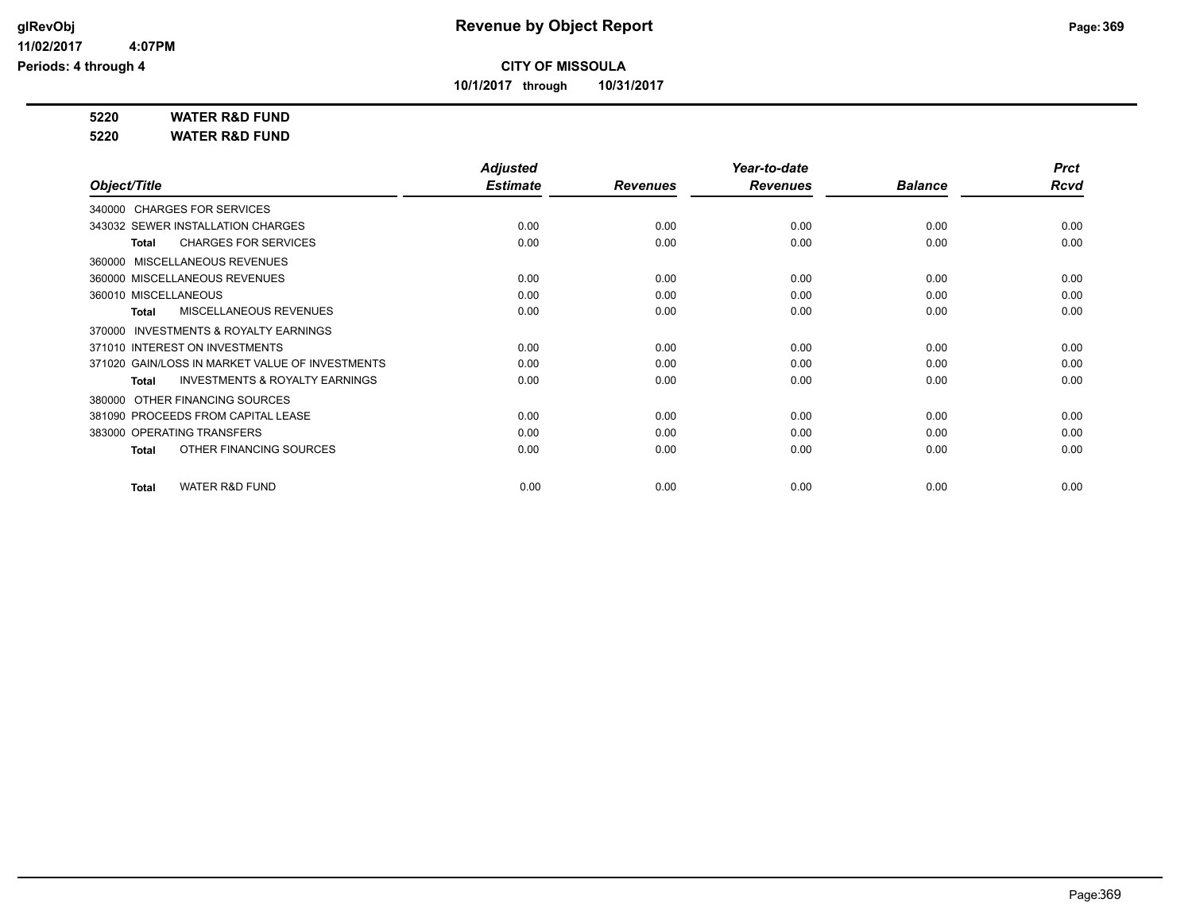**10/1/2017 through 10/31/2017**

**5220 WATER R&D FUND**

**5220 WATER R&D FUND**

|                                                     | <b>Adjusted</b> |                 | Year-to-date    |                | <b>Prct</b> |
|-----------------------------------------------------|-----------------|-----------------|-----------------|----------------|-------------|
| Object/Title                                        | <b>Estimate</b> | <b>Revenues</b> | <b>Revenues</b> | <b>Balance</b> | Rcvd        |
| 340000 CHARGES FOR SERVICES                         |                 |                 |                 |                |             |
| 343032 SEWER INSTALLATION CHARGES                   | 0.00            | 0.00            | 0.00            | 0.00           | 0.00        |
| <b>CHARGES FOR SERVICES</b><br>Total                | 0.00            | 0.00            | 0.00            | 0.00           | 0.00        |
| MISCELLANEOUS REVENUES<br>360000                    |                 |                 |                 |                |             |
| 360000 MISCELLANEOUS REVENUES                       | 0.00            | 0.00            | 0.00            | 0.00           | 0.00        |
| 360010 MISCELLANEOUS                                | 0.00            | 0.00            | 0.00            | 0.00           | 0.00        |
| MISCELLANEOUS REVENUES<br>Total                     | 0.00            | 0.00            | 0.00            | 0.00           | 0.00        |
| <b>INVESTMENTS &amp; ROYALTY EARNINGS</b><br>370000 |                 |                 |                 |                |             |
| 371010 INTEREST ON INVESTMENTS                      | 0.00            | 0.00            | 0.00            | 0.00           | 0.00        |
| 371020 GAIN/LOSS IN MARKET VALUE OF INVESTMENTS     | 0.00            | 0.00            | 0.00            | 0.00           | 0.00        |
| <b>INVESTMENTS &amp; ROYALTY EARNINGS</b><br>Total  | 0.00            | 0.00            | 0.00            | 0.00           | 0.00        |
| OTHER FINANCING SOURCES<br>380000                   |                 |                 |                 |                |             |
| 381090 PROCEEDS FROM CAPITAL LEASE                  | 0.00            | 0.00            | 0.00            | 0.00           | 0.00        |
| 383000 OPERATING TRANSFERS                          | 0.00            | 0.00            | 0.00            | 0.00           | 0.00        |
| OTHER FINANCING SOURCES<br><b>Total</b>             | 0.00            | 0.00            | 0.00            | 0.00           | 0.00        |
| <b>WATER R&amp;D FUND</b><br>Total                  | 0.00            | 0.00            | 0.00            | 0.00           | 0.00        |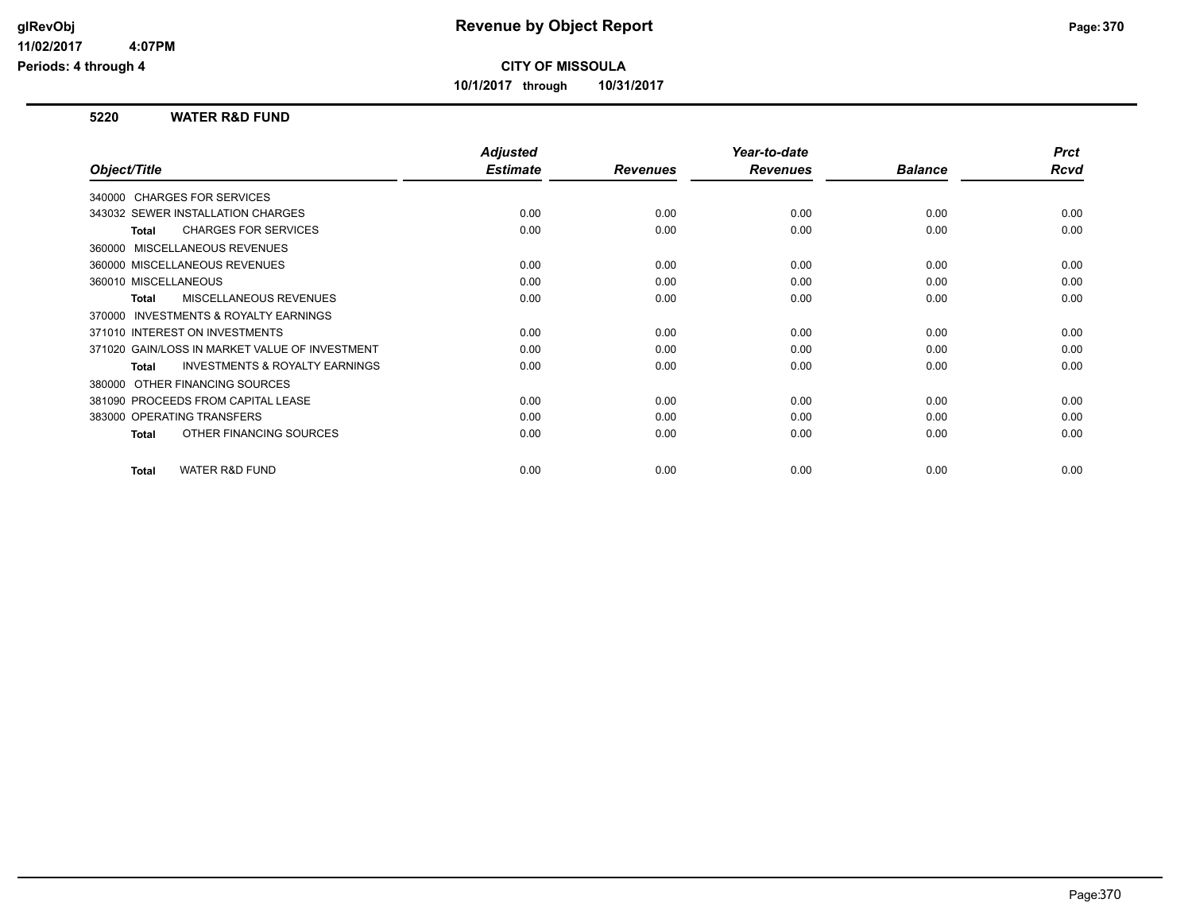**10/1/2017 through 10/31/2017**

#### **5220 WATER R&D FUND**

|                                                           | <b>Adjusted</b> |                 | Year-to-date    |                | <b>Prct</b> |
|-----------------------------------------------------------|-----------------|-----------------|-----------------|----------------|-------------|
| Object/Title                                              | <b>Estimate</b> | <b>Revenues</b> | <b>Revenues</b> | <b>Balance</b> | <b>Rcvd</b> |
| 340000 CHARGES FOR SERVICES                               |                 |                 |                 |                |             |
| 343032 SEWER INSTALLATION CHARGES                         | 0.00            | 0.00            | 0.00            | 0.00           | 0.00        |
| <b>CHARGES FOR SERVICES</b><br><b>Total</b>               | 0.00            | 0.00            | 0.00            | 0.00           | 0.00        |
| 360000 MISCELLANEOUS REVENUES                             |                 |                 |                 |                |             |
| 360000 MISCELLANEOUS REVENUES                             | 0.00            | 0.00            | 0.00            | 0.00           | 0.00        |
| 360010 MISCELLANEOUS                                      | 0.00            | 0.00            | 0.00            | 0.00           | 0.00        |
| <b>MISCELLANEOUS REVENUES</b><br><b>Total</b>             | 0.00            | 0.00            | 0.00            | 0.00           | 0.00        |
| INVESTMENTS & ROYALTY EARNINGS<br>370000                  |                 |                 |                 |                |             |
| 371010 INTEREST ON INVESTMENTS                            | 0.00            | 0.00            | 0.00            | 0.00           | 0.00        |
| 371020 GAIN/LOSS IN MARKET VALUE OF INVESTMENT            | 0.00            | 0.00            | 0.00            | 0.00           | 0.00        |
| <b>INVESTMENTS &amp; ROYALTY EARNINGS</b><br><b>Total</b> | 0.00            | 0.00            | 0.00            | 0.00           | 0.00        |
| 380000 OTHER FINANCING SOURCES                            |                 |                 |                 |                |             |
| 381090 PROCEEDS FROM CAPITAL LEASE                        | 0.00            | 0.00            | 0.00            | 0.00           | 0.00        |
| 383000 OPERATING TRANSFERS                                | 0.00            | 0.00            | 0.00            | 0.00           | 0.00        |
| OTHER FINANCING SOURCES<br><b>Total</b>                   | 0.00            | 0.00            | 0.00            | 0.00           | 0.00        |
|                                                           |                 |                 |                 |                |             |
| <b>WATER R&amp;D FUND</b><br><b>Total</b>                 | 0.00            | 0.00            | 0.00            | 0.00           | 0.00        |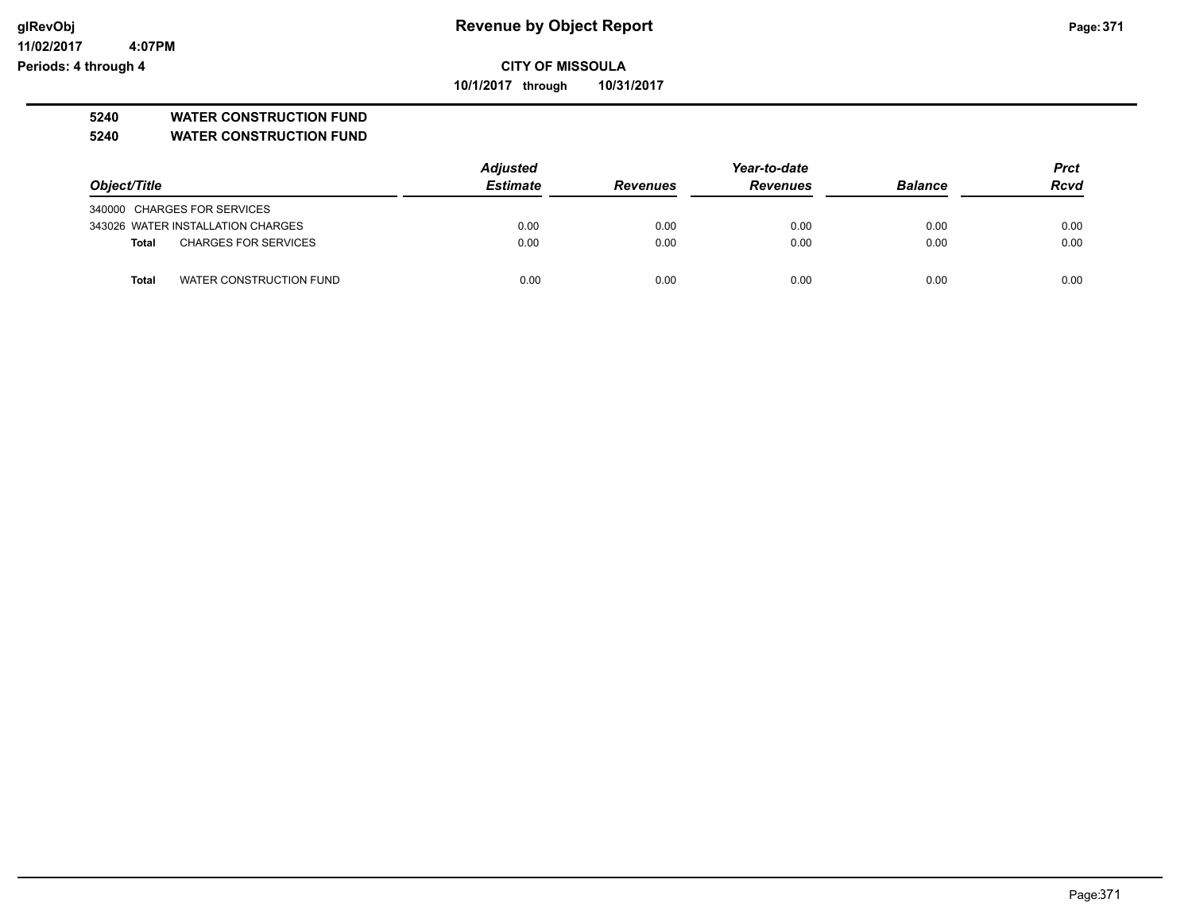**11/02/2017 4:07PM Periods: 4 through 4**

# **CITY OF MISSOULA**

**10/1/2017 through 10/31/2017**

## **5240 WATER CONSTRUCTION FUND**

**5240 WATER CONSTRUCTION FUND**

|                                         | <b>Adjusted</b> |                 | Year-to-date    |                | <b>Prct</b> |
|-----------------------------------------|-----------------|-----------------|-----------------|----------------|-------------|
| Object/Title                            | <b>Estimate</b> | <b>Revenues</b> | <b>Revenues</b> | <b>Balance</b> | <b>Rcvd</b> |
| 340000 CHARGES FOR SERVICES             |                 |                 |                 |                |             |
| 343026 WATER INSTALLATION CHARGES       | 0.00            | 0.00            | 0.00            | 0.00           | 0.00        |
| <b>CHARGES FOR SERVICES</b><br>Total    | 0.00            | 0.00            | 0.00            | 0.00           | 0.00        |
| WATER CONSTRUCTION FUND<br><b>Total</b> | 0.00            | 0.00            | 0.00            | 0.00           | 0.00        |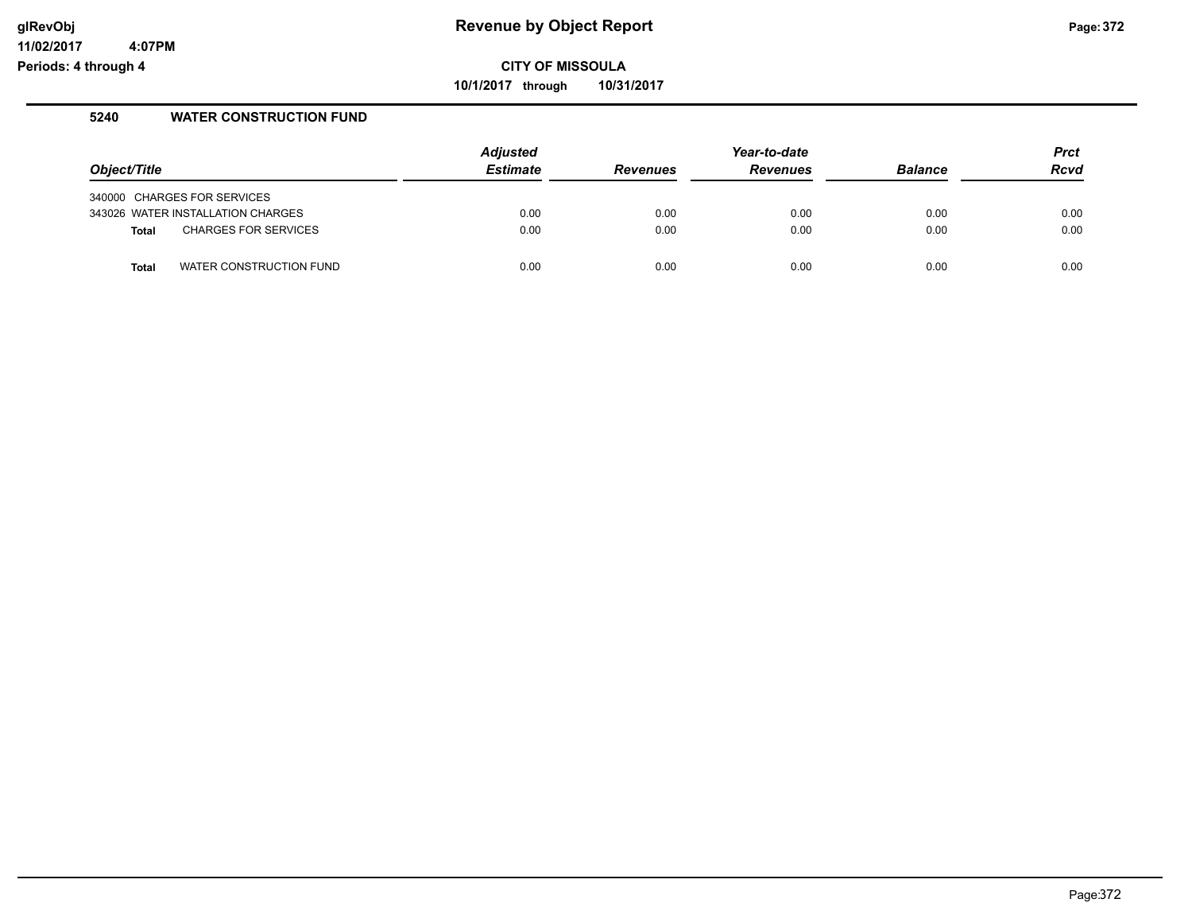**Periods: 4 through 4**

**CITY OF MISSOULA**

**10/1/2017 through 10/31/2017**

#### **5240 WATER CONSTRUCTION FUND**

|                                   |                             | <b>Adjusted</b> |                 | Year-to-date    |                | Prct        |
|-----------------------------------|-----------------------------|-----------------|-----------------|-----------------|----------------|-------------|
| Object/Title                      |                             | <b>Estimate</b> | <b>Revenues</b> | <b>Revenues</b> | <b>Balance</b> | <b>Rcvd</b> |
| 340000 CHARGES FOR SERVICES       |                             |                 |                 |                 |                |             |
| 343026 WATER INSTALLATION CHARGES |                             | 0.00            | 0.00            | 0.00            | 0.00           | 0.00        |
| <b>Total</b>                      | <b>CHARGES FOR SERVICES</b> | 0.00            | 0.00            | 0.00            | 0.00           | 0.00        |
| <b>Total</b>                      | WATER CONSTRUCTION FUND     | 0.00            | 0.00            | 0.00            | 0.00           | 0.00        |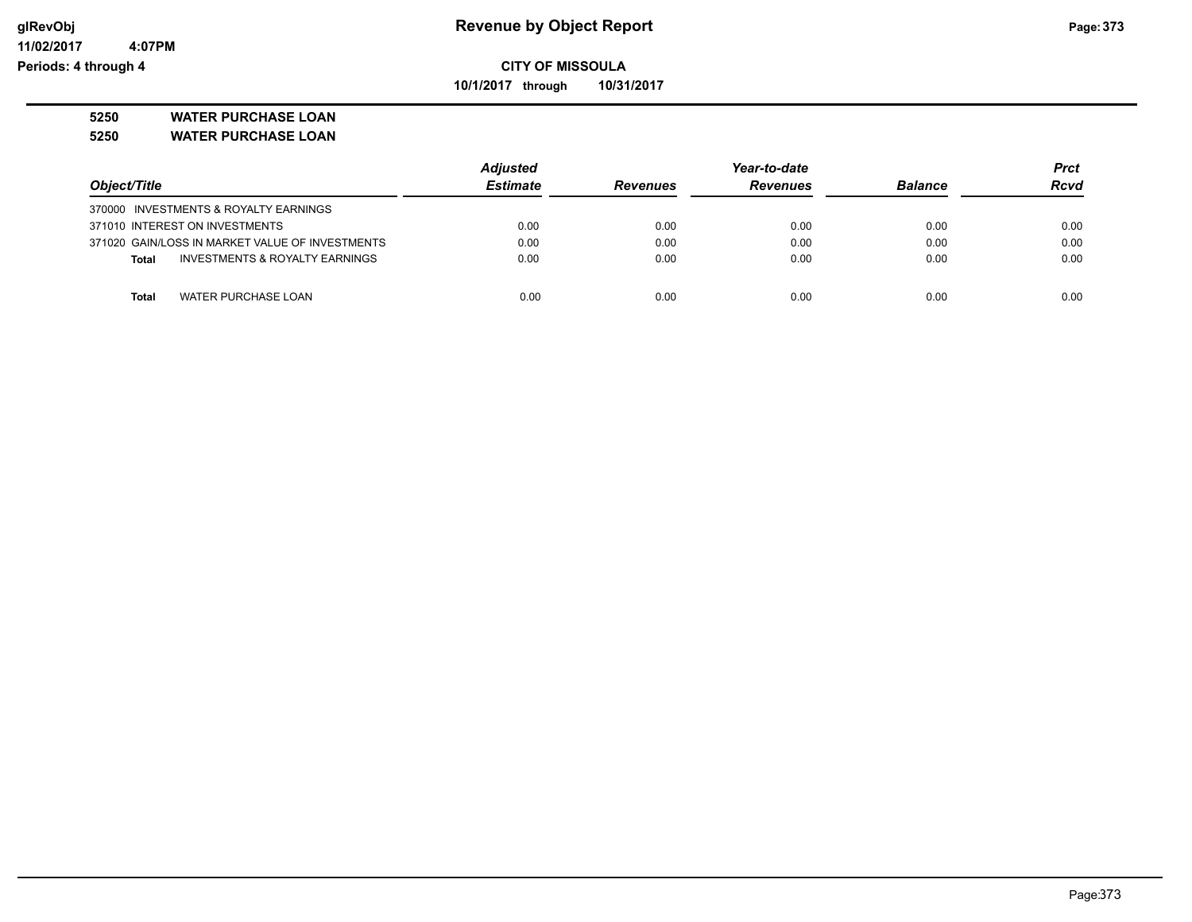**10/1/2017 through 10/31/2017**

#### **5250 WATER PURCHASE LOAN**

**5250 WATER PURCHASE LOAN**

|                                                    | <b>Adjusted</b> |                 | Year-to-date    |      | Prct |
|----------------------------------------------------|-----------------|-----------------|-----------------|------|------|
| Object/Title                                       | <b>Estimate</b> | <b>Revenues</b> | <b>Revenues</b> |      | Rcvd |
| 370000 INVESTMENTS & ROYALTY EARNINGS              |                 |                 |                 |      |      |
| 371010 INTEREST ON INVESTMENTS                     | 0.00            | 0.00            | 0.00            | 0.00 | 0.00 |
| 371020 GAIN/LOSS IN MARKET VALUE OF INVESTMENTS    | 0.00            | 0.00            | 0.00            | 0.00 | 0.00 |
| <b>INVESTMENTS &amp; ROYALTY EARNINGS</b><br>Total | 0.00            | 0.00            | 0.00            | 0.00 | 0.00 |
| Total<br>WATER PURCHASE LOAN                       | 0.00            | 0.00            | 0.00            | 0.00 | 0.00 |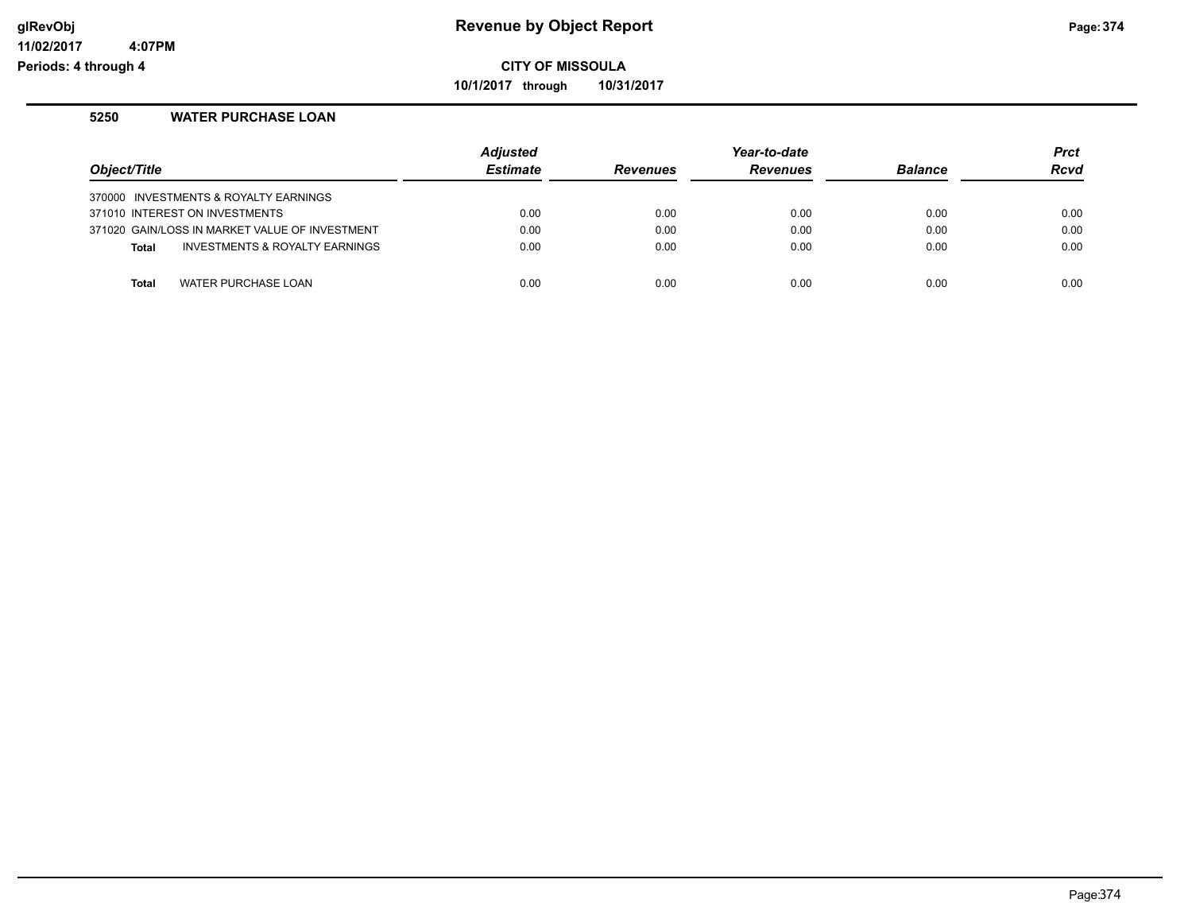**Periods: 4 through 4**

**CITY OF MISSOULA**

**10/1/2017 through 10/31/2017**

#### **5250 WATER PURCHASE LOAN**

 **4:07PM**

| Object/Title |                                                | <b>Adjusted</b><br><b>Estimate</b> | <b>Revenues</b> | Year-to-date<br><b>Revenues</b> | <b>Balance</b> | <b>Prct</b><br><b>Rcvd</b> |
|--------------|------------------------------------------------|------------------------------------|-----------------|---------------------------------|----------------|----------------------------|
|              | 370000 INVESTMENTS & ROYALTY EARNINGS          |                                    |                 |                                 |                |                            |
|              | 371010 INTEREST ON INVESTMENTS                 | 0.00                               | 0.00            | 0.00                            | 0.00           | 0.00                       |
|              | 371020 GAIN/LOSS IN MARKET VALUE OF INVESTMENT | 0.00                               | 0.00            | 0.00                            | 0.00           | 0.00                       |
| <b>Total</b> | INVESTMENTS & ROYALTY EARNINGS                 | 0.00                               | 0.00            | 0.00                            | 0.00           | 0.00                       |
|              |                                                |                                    |                 |                                 |                |                            |
| <b>Total</b> | WATER PURCHASE LOAN                            | 0.00                               | 0.00            | 0.00                            | 0.00           | 0.00                       |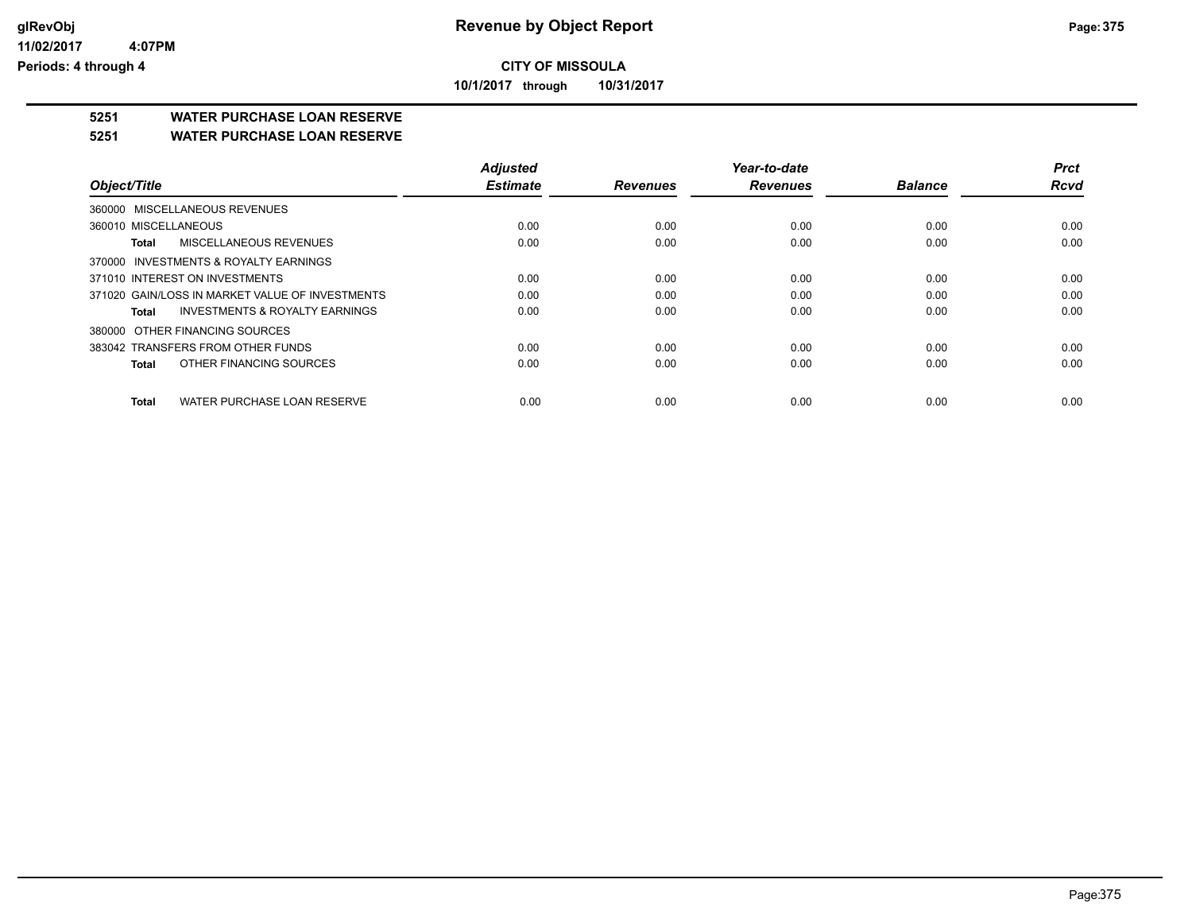**10/1/2017 through 10/31/2017**

## **5251 WATER PURCHASE LOAN RESERVE**

#### **5251 WATER PURCHASE LOAN RESERVE**

|                                                    | <b>Adjusted</b> |                 | Year-to-date    |                | <b>Prct</b> |
|----------------------------------------------------|-----------------|-----------------|-----------------|----------------|-------------|
| Object/Title                                       | <b>Estimate</b> | <b>Revenues</b> | <b>Revenues</b> | <b>Balance</b> | <b>Rcvd</b> |
| 360000 MISCELLANEOUS REVENUES                      |                 |                 |                 |                |             |
| 360010 MISCELLANEOUS                               | 0.00            | 0.00            | 0.00            | 0.00           | 0.00        |
| MISCELLANEOUS REVENUES<br>Total                    | 0.00            | 0.00            | 0.00            | 0.00           | 0.00        |
| 370000 INVESTMENTS & ROYALTY EARNINGS              |                 |                 |                 |                |             |
| 371010 INTEREST ON INVESTMENTS                     | 0.00            | 0.00            | 0.00            | 0.00           | 0.00        |
| 371020 GAIN/LOSS IN MARKET VALUE OF INVESTMENTS    | 0.00            | 0.00            | 0.00            | 0.00           | 0.00        |
| <b>INVESTMENTS &amp; ROYALTY EARNINGS</b><br>Total | 0.00            | 0.00            | 0.00            | 0.00           | 0.00        |
| 380000 OTHER FINANCING SOURCES                     |                 |                 |                 |                |             |
| 383042 TRANSFERS FROM OTHER FUNDS                  | 0.00            | 0.00            | 0.00            | 0.00           | 0.00        |
| OTHER FINANCING SOURCES<br>Total                   | 0.00            | 0.00            | 0.00            | 0.00           | 0.00        |
| WATER PURCHASE LOAN RESERVE<br>Total               | 0.00            | 0.00            | 0.00            | 0.00           | 0.00        |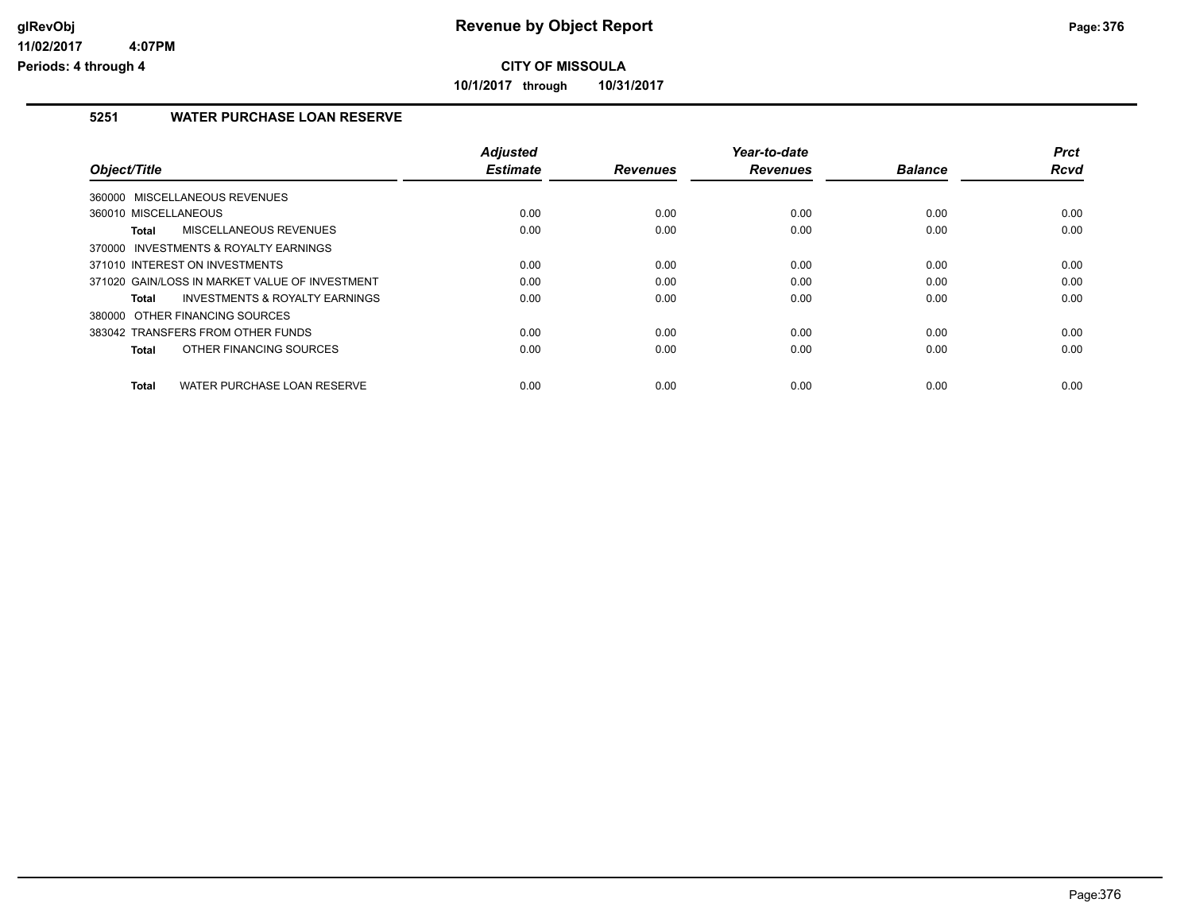**10/1/2017 through 10/31/2017**

#### **5251 WATER PURCHASE LOAN RESERVE**

| Object/Title                                              | <b>Adjusted</b><br><b>Estimate</b> | <b>Revenues</b> | Year-to-date<br><b>Revenues</b> | <b>Balance</b> | <b>Prct</b><br><b>Rcvd</b> |
|-----------------------------------------------------------|------------------------------------|-----------------|---------------------------------|----------------|----------------------------|
| 360000 MISCELLANEOUS REVENUES                             |                                    |                 |                                 |                |                            |
| 360010 MISCELLANEOUS                                      | 0.00                               | 0.00            | 0.00                            | 0.00           | 0.00                       |
| MISCELLANEOUS REVENUES<br><b>Total</b>                    | 0.00                               | 0.00            | 0.00                            | 0.00           | 0.00                       |
| 370000 INVESTMENTS & ROYALTY EARNINGS                     |                                    |                 |                                 |                |                            |
| 371010 INTEREST ON INVESTMENTS                            | 0.00                               | 0.00            | 0.00                            | 0.00           | 0.00                       |
| 371020 GAIN/LOSS IN MARKET VALUE OF INVESTMENT            | 0.00                               | 0.00            | 0.00                            | 0.00           | 0.00                       |
| <b>INVESTMENTS &amp; ROYALTY EARNINGS</b><br><b>Total</b> | 0.00                               | 0.00            | 0.00                            | 0.00           | 0.00                       |
| 380000 OTHER FINANCING SOURCES                            |                                    |                 |                                 |                |                            |
| 383042 TRANSFERS FROM OTHER FUNDS                         | 0.00                               | 0.00            | 0.00                            | 0.00           | 0.00                       |
| OTHER FINANCING SOURCES<br><b>Total</b>                   | 0.00                               | 0.00            | 0.00                            | 0.00           | 0.00                       |
| <b>Total</b><br>WATER PURCHASE LOAN RESERVE               | 0.00                               | 0.00            | 0.00                            | 0.00           | 0.00                       |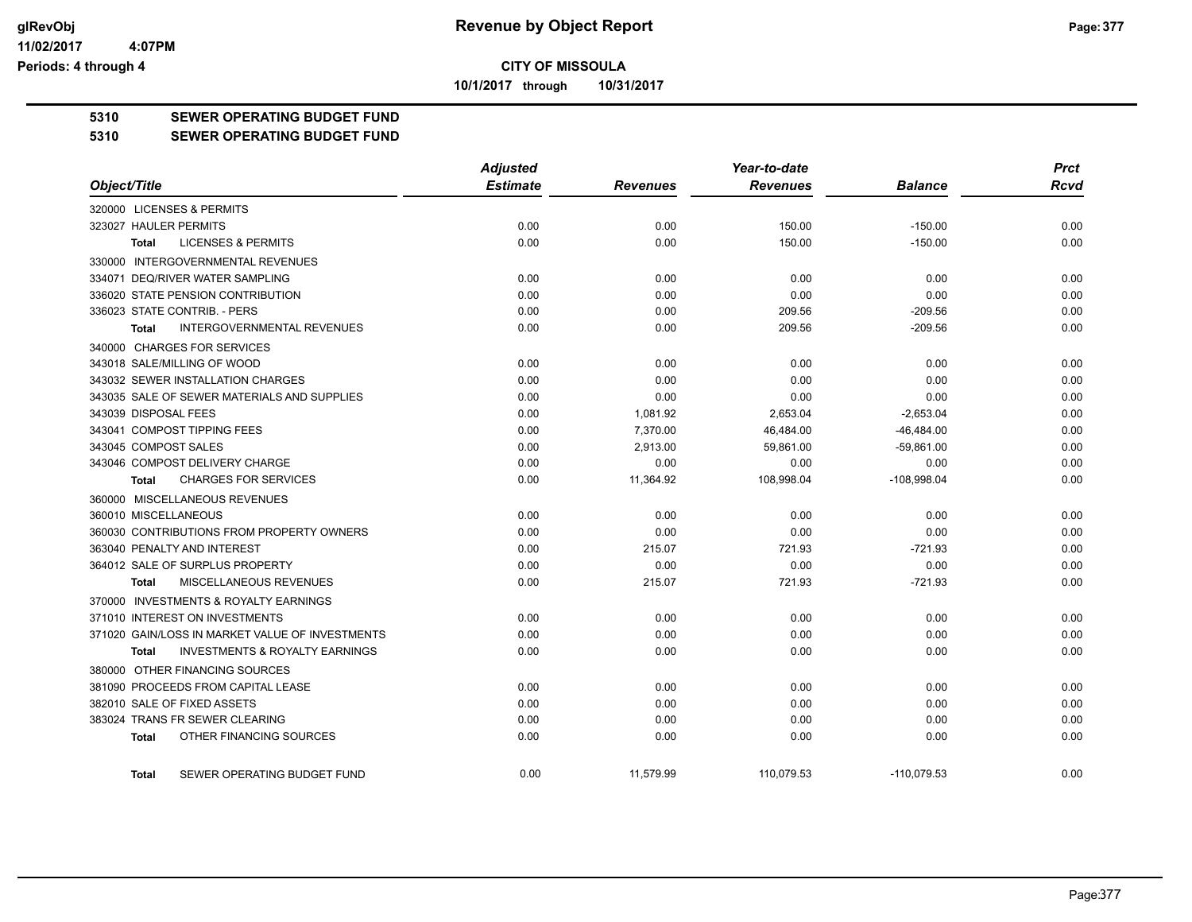**10/1/2017 through 10/31/2017**

### **5310 SEWER OPERATING BUDGET FUND**

#### **5310 SEWER OPERATING BUDGET FUND**

|                                                    | <b>Adjusted</b> |                 | Year-to-date    |                | <b>Prct</b> |
|----------------------------------------------------|-----------------|-----------------|-----------------|----------------|-------------|
| Object/Title                                       | <b>Estimate</b> | <b>Revenues</b> | <b>Revenues</b> | <b>Balance</b> | <b>Rcvd</b> |
| 320000 LICENSES & PERMITS                          |                 |                 |                 |                |             |
| 323027 HAULER PERMITS                              | 0.00            | 0.00            | 150.00          | $-150.00$      | 0.00        |
| <b>LICENSES &amp; PERMITS</b><br><b>Total</b>      | 0.00            | 0.00            | 150.00          | $-150.00$      | 0.00        |
| 330000 INTERGOVERNMENTAL REVENUES                  |                 |                 |                 |                |             |
| 334071 DEQ/RIVER WATER SAMPLING                    | 0.00            | 0.00            | 0.00            | 0.00           | 0.00        |
| 336020 STATE PENSION CONTRIBUTION                  | 0.00            | 0.00            | 0.00            | 0.00           | 0.00        |
| 336023 STATE CONTRIB. - PERS                       | 0.00            | 0.00            | 209.56          | $-209.56$      | 0.00        |
| <b>INTERGOVERNMENTAL REVENUES</b><br><b>Total</b>  | 0.00            | 0.00            | 209.56          | $-209.56$      | 0.00        |
| 340000 CHARGES FOR SERVICES                        |                 |                 |                 |                |             |
| 343018 SALE/MILLING OF WOOD                        | 0.00            | 0.00            | 0.00            | 0.00           | 0.00        |
| 343032 SEWER INSTALLATION CHARGES                  | 0.00            | 0.00            | 0.00            | 0.00           | 0.00        |
| 343035 SALE OF SEWER MATERIALS AND SUPPLIES        | 0.00            | 0.00            | 0.00            | 0.00           | 0.00        |
| 343039 DISPOSAL FEES                               | 0.00            | 1,081.92        | 2,653.04        | $-2,653.04$    | 0.00        |
| 343041 COMPOST TIPPING FEES                        | 0.00            | 7,370.00        | 46,484.00       | $-46,484.00$   | 0.00        |
| 343045 COMPOST SALES                               | 0.00            | 2,913.00        | 59,861.00       | $-59,861.00$   | 0.00        |
| 343046 COMPOST DELIVERY CHARGE                     | 0.00            | 0.00            | 0.00            | 0.00           | 0.00        |
| <b>CHARGES FOR SERVICES</b><br><b>Total</b>        | 0.00            | 11,364.92       | 108,998.04      | $-108,998.04$  | 0.00        |
| 360000 MISCELLANEOUS REVENUES                      |                 |                 |                 |                |             |
| 360010 MISCELLANEOUS                               | 0.00            | 0.00            | 0.00            | 0.00           | 0.00        |
| 360030 CONTRIBUTIONS FROM PROPERTY OWNERS          | 0.00            | 0.00            | 0.00            | 0.00           | 0.00        |
| 363040 PENALTY AND INTEREST                        | 0.00            | 215.07          | 721.93          | $-721.93$      | 0.00        |
| 364012 SALE OF SURPLUS PROPERTY                    | 0.00            | 0.00            | 0.00            | 0.00           | 0.00        |
| MISCELLANEOUS REVENUES<br><b>Total</b>             | 0.00            | 215.07          | 721.93          | $-721.93$      | 0.00        |
| 370000 INVESTMENTS & ROYALTY EARNINGS              |                 |                 |                 |                |             |
| 371010 INTEREST ON INVESTMENTS                     | 0.00            | 0.00            | 0.00            | 0.00           | 0.00        |
| 371020 GAIN/LOSS IN MARKET VALUE OF INVESTMENTS    | 0.00            | 0.00            | 0.00            | 0.00           | 0.00        |
| <b>INVESTMENTS &amp; ROYALTY EARNINGS</b><br>Total | 0.00            | 0.00            | 0.00            | 0.00           | 0.00        |
| 380000 OTHER FINANCING SOURCES                     |                 |                 |                 |                |             |
| 381090 PROCEEDS FROM CAPITAL LEASE                 | 0.00            | 0.00            | 0.00            | 0.00           | 0.00        |
| 382010 SALE OF FIXED ASSETS                        | 0.00            | 0.00            | 0.00            | 0.00           | 0.00        |
| 383024 TRANS FR SEWER CLEARING                     | 0.00            | 0.00            | 0.00            | 0.00           | 0.00        |
| OTHER FINANCING SOURCES<br><b>Total</b>            | 0.00            | 0.00            | 0.00            | 0.00           | 0.00        |
| SEWER OPERATING BUDGET FUND<br><b>Total</b>        | 0.00            | 11,579.99       | 110,079.53      | $-110,079.53$  | 0.00        |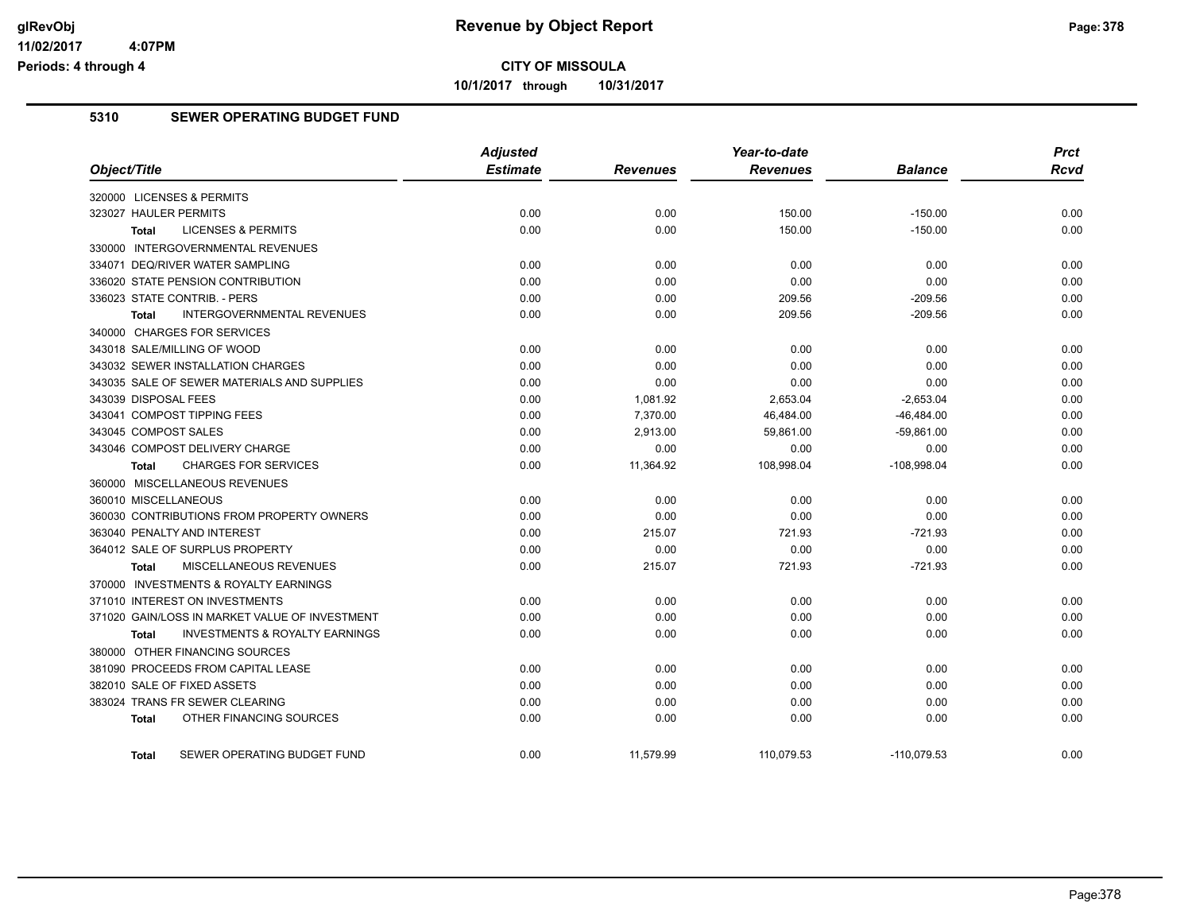**10/1/2017 through 10/31/2017**

#### **5310 SEWER OPERATING BUDGET FUND**

|                                                    | <b>Adjusted</b> |                 | Year-to-date    |                | <b>Prct</b> |
|----------------------------------------------------|-----------------|-----------------|-----------------|----------------|-------------|
| Object/Title                                       | <b>Estimate</b> | <b>Revenues</b> | <b>Revenues</b> | <b>Balance</b> | <b>Rcvd</b> |
| 320000 LICENSES & PERMITS                          |                 |                 |                 |                |             |
| 323027 HAULER PERMITS                              | 0.00            | 0.00            | 150.00          | $-150.00$      | 0.00        |
| <b>LICENSES &amp; PERMITS</b><br><b>Total</b>      | 0.00            | 0.00            | 150.00          | $-150.00$      | 0.00        |
| 330000 INTERGOVERNMENTAL REVENUES                  |                 |                 |                 |                |             |
| 334071 DEQ/RIVER WATER SAMPLING                    | 0.00            | 0.00            | 0.00            | 0.00           | 0.00        |
| 336020 STATE PENSION CONTRIBUTION                  | 0.00            | 0.00            | 0.00            | 0.00           | 0.00        |
| 336023 STATE CONTRIB. - PERS                       | 0.00            | 0.00            | 209.56          | $-209.56$      | 0.00        |
| <b>INTERGOVERNMENTAL REVENUES</b><br><b>Total</b>  | 0.00            | 0.00            | 209.56          | $-209.56$      | 0.00        |
| 340000 CHARGES FOR SERVICES                        |                 |                 |                 |                |             |
| 343018 SALE/MILLING OF WOOD                        | 0.00            | 0.00            | 0.00            | 0.00           | 0.00        |
| 343032 SEWER INSTALLATION CHARGES                  | 0.00            | 0.00            | 0.00            | 0.00           | 0.00        |
| 343035 SALE OF SEWER MATERIALS AND SUPPLIES        | 0.00            | 0.00            | 0.00            | 0.00           | 0.00        |
| 343039 DISPOSAL FEES                               | 0.00            | 1,081.92        | 2,653.04        | $-2,653.04$    | 0.00        |
| 343041 COMPOST TIPPING FEES                        | 0.00            | 7,370.00        | 46,484.00       | $-46,484.00$   | 0.00        |
| 343045 COMPOST SALES                               | 0.00            | 2,913.00        | 59,861.00       | $-59,861.00$   | 0.00        |
| 343046 COMPOST DELIVERY CHARGE                     | 0.00            | 0.00            | 0.00            | 0.00           | 0.00        |
| <b>CHARGES FOR SERVICES</b><br><b>Total</b>        | 0.00            | 11,364.92       | 108,998.04      | $-108,998.04$  | 0.00        |
| 360000 MISCELLANEOUS REVENUES                      |                 |                 |                 |                |             |
| 360010 MISCELLANEOUS                               | 0.00            | 0.00            | 0.00            | 0.00           | 0.00        |
| 360030 CONTRIBUTIONS FROM PROPERTY OWNERS          | 0.00            | 0.00            | 0.00            | 0.00           | 0.00        |
| 363040 PENALTY AND INTEREST                        | 0.00            | 215.07          | 721.93          | $-721.93$      | 0.00        |
| 364012 SALE OF SURPLUS PROPERTY                    | 0.00            | 0.00            | 0.00            | 0.00           | 0.00        |
| MISCELLANEOUS REVENUES<br>Total                    | 0.00            | 215.07          | 721.93          | $-721.93$      | 0.00        |
| 370000 INVESTMENTS & ROYALTY EARNINGS              |                 |                 |                 |                |             |
| 371010 INTEREST ON INVESTMENTS                     | 0.00            | 0.00            | 0.00            | 0.00           | 0.00        |
| 371020 GAIN/LOSS IN MARKET VALUE OF INVESTMENT     | 0.00            | 0.00            | 0.00            | 0.00           | 0.00        |
| <b>INVESTMENTS &amp; ROYALTY EARNINGS</b><br>Total | 0.00            | 0.00            | 0.00            | 0.00           | 0.00        |
| 380000 OTHER FINANCING SOURCES                     |                 |                 |                 |                |             |
| 381090 PROCEEDS FROM CAPITAL LEASE                 | 0.00            | 0.00            | 0.00            | 0.00           | 0.00        |
| 382010 SALE OF FIXED ASSETS                        | 0.00            | 0.00            | 0.00            | 0.00           | 0.00        |
| 383024 TRANS FR SEWER CLEARING                     | 0.00            | 0.00            | 0.00            | 0.00           | 0.00        |
| OTHER FINANCING SOURCES<br>Total                   | 0.00            | 0.00            | 0.00            | 0.00           | 0.00        |
|                                                    |                 |                 |                 |                |             |
| SEWER OPERATING BUDGET FUND<br><b>Total</b>        | 0.00            | 11,579.99       | 110,079.53      | $-110,079.53$  | 0.00        |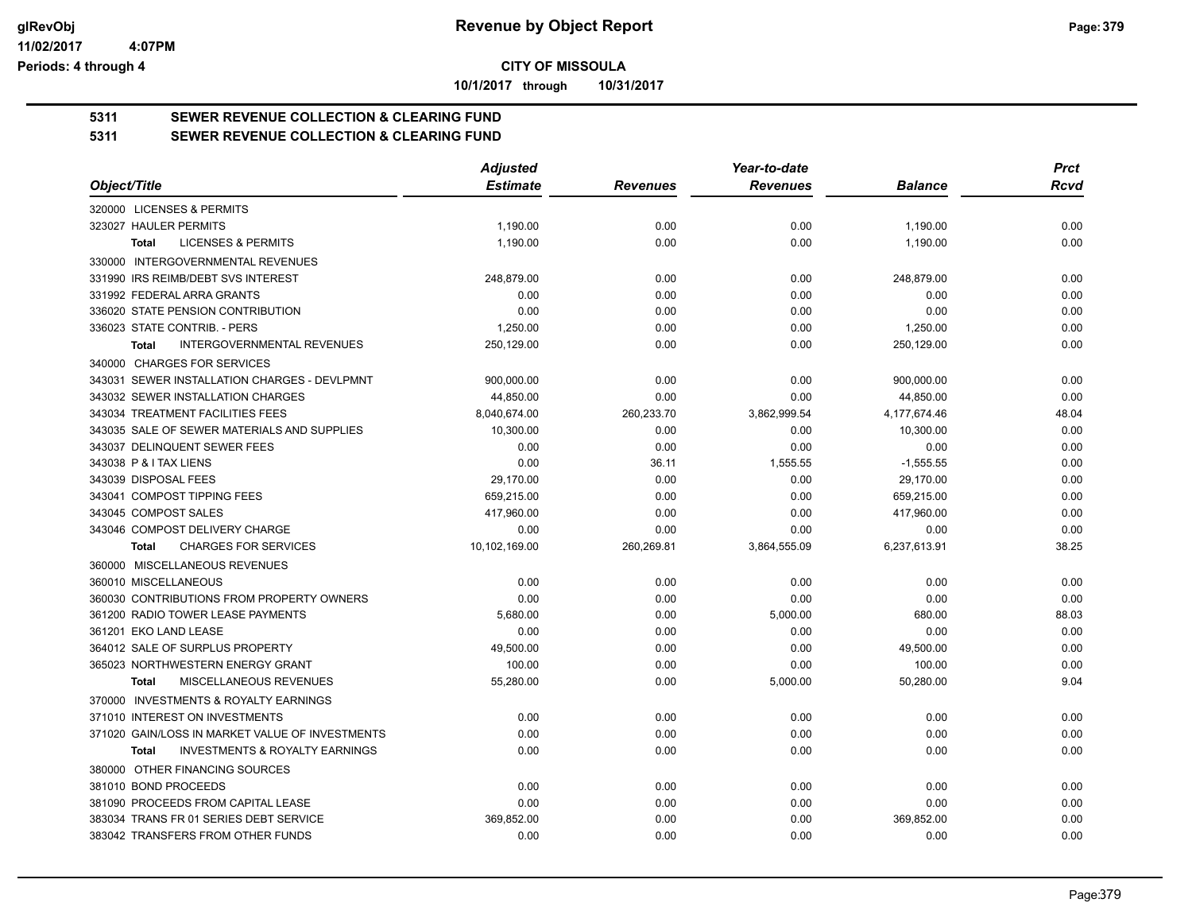**10/1/2017 through 10/31/2017**

# **5311 SEWER REVENUE COLLECTION & CLEARING FUND**

# **5311 SEWER REVENUE COLLECTION & CLEARING FUND**

|                                                           | <b>Adjusted</b> |                 | Year-to-date    |                | <b>Prct</b> |
|-----------------------------------------------------------|-----------------|-----------------|-----------------|----------------|-------------|
| Object/Title                                              | <b>Estimate</b> | <b>Revenues</b> | <b>Revenues</b> | <b>Balance</b> | <b>Rcvd</b> |
| 320000 LICENSES & PERMITS                                 |                 |                 |                 |                |             |
| 323027 HAULER PERMITS                                     | 1.190.00        | 0.00            | 0.00            | 1,190.00       | 0.00        |
| <b>LICENSES &amp; PERMITS</b><br>Total                    | 1,190.00        | 0.00            | 0.00            | 1,190.00       | 0.00        |
| 330000 INTERGOVERNMENTAL REVENUES                         |                 |                 |                 |                |             |
| 331990 IRS REIMB/DEBT SVS INTEREST                        | 248,879.00      | 0.00            | 0.00            | 248,879.00     | 0.00        |
| 331992 FEDERAL ARRA GRANTS                                | 0.00            | 0.00            | 0.00            | 0.00           | 0.00        |
| 336020 STATE PENSION CONTRIBUTION                         | 0.00            | 0.00            | 0.00            | 0.00           | 0.00        |
| 336023 STATE CONTRIB. - PERS                              | 1,250.00        | 0.00            | 0.00            | 1,250.00       | 0.00        |
| <b>INTERGOVERNMENTAL REVENUES</b><br><b>Total</b>         | 250,129.00      | 0.00            | 0.00            | 250,129.00     | 0.00        |
| 340000 CHARGES FOR SERVICES                               |                 |                 |                 |                |             |
| 343031 SEWER INSTALLATION CHARGES - DEVLPMNT              | 900,000.00      | 0.00            | 0.00            | 900,000.00     | 0.00        |
| 343032 SEWER INSTALLATION CHARGES                         | 44,850.00       | 0.00            | 0.00            | 44,850.00      | 0.00        |
| 343034 TREATMENT FACILITIES FEES                          | 8,040,674.00    | 260,233.70      | 3,862,999.54    | 4,177,674.46   | 48.04       |
| 343035 SALE OF SEWER MATERIALS AND SUPPLIES               | 10,300.00       | 0.00            | 0.00            | 10,300.00      | 0.00        |
| 343037 DELINQUENT SEWER FEES                              | 0.00            | 0.00            | 0.00            | 0.00           | 0.00        |
| 343038 P & I TAX LIENS                                    | 0.00            | 36.11           | 1,555.55        | $-1,555.55$    | 0.00        |
| 343039 DISPOSAL FEES                                      | 29,170.00       | 0.00            | 0.00            | 29,170.00      | 0.00        |
| 343041 COMPOST TIPPING FEES                               | 659,215.00      | 0.00            | 0.00            | 659,215.00     | 0.00        |
| 343045 COMPOST SALES                                      | 417,960.00      | 0.00            | 0.00            | 417,960.00     | 0.00        |
| 343046 COMPOST DELIVERY CHARGE                            | 0.00            | 0.00            | 0.00            | 0.00           | 0.00        |
| <b>CHARGES FOR SERVICES</b><br><b>Total</b>               | 10,102,169.00   | 260,269.81      | 3,864,555.09    | 6,237,613.91   | 38.25       |
| 360000 MISCELLANEOUS REVENUES                             |                 |                 |                 |                |             |
| 360010 MISCELLANEOUS                                      | 0.00            | 0.00            | 0.00            | 0.00           | 0.00        |
| 360030 CONTRIBUTIONS FROM PROPERTY OWNERS                 | 0.00            | 0.00            | 0.00            | 0.00           | 0.00        |
| 361200 RADIO TOWER LEASE PAYMENTS                         | 5,680.00        | 0.00            | 5,000.00        | 680.00         | 88.03       |
| 361201 EKO LAND LEASE                                     | 0.00            | 0.00            | 0.00            | 0.00           | 0.00        |
| 364012 SALE OF SURPLUS PROPERTY                           | 49,500.00       | 0.00            | 0.00            | 49,500.00      | 0.00        |
| 365023 NORTHWESTERN ENERGY GRANT                          | 100.00          | 0.00            | 0.00            | 100.00         | 0.00        |
| MISCELLANEOUS REVENUES<br><b>Total</b>                    | 55,280.00       | 0.00            | 5,000.00        | 50,280.00      | 9.04        |
| 370000 INVESTMENTS & ROYALTY EARNINGS                     |                 |                 |                 |                |             |
| 371010 INTEREST ON INVESTMENTS                            | 0.00            | 0.00            | 0.00            | 0.00           | 0.00        |
| 371020 GAIN/LOSS IN MARKET VALUE OF INVESTMENTS           | 0.00            | 0.00            | 0.00            | 0.00           | 0.00        |
| <b>INVESTMENTS &amp; ROYALTY EARNINGS</b><br><b>Total</b> | 0.00            | 0.00            | 0.00            | 0.00           | 0.00        |
| 380000 OTHER FINANCING SOURCES                            |                 |                 |                 |                |             |
| 381010 BOND PROCEEDS                                      | 0.00            | 0.00            | 0.00            | 0.00           | 0.00        |
| 381090 PROCEEDS FROM CAPITAL LEASE                        | 0.00            | 0.00            | 0.00            | 0.00           | 0.00        |
| 383034 TRANS FR 01 SERIES DEBT SERVICE                    | 369,852.00      | 0.00            | 0.00            | 369,852.00     | 0.00        |
| 383042 TRANSFERS FROM OTHER FUNDS                         | 0.00            | 0.00            | 0.00            | 0.00           | 0.00        |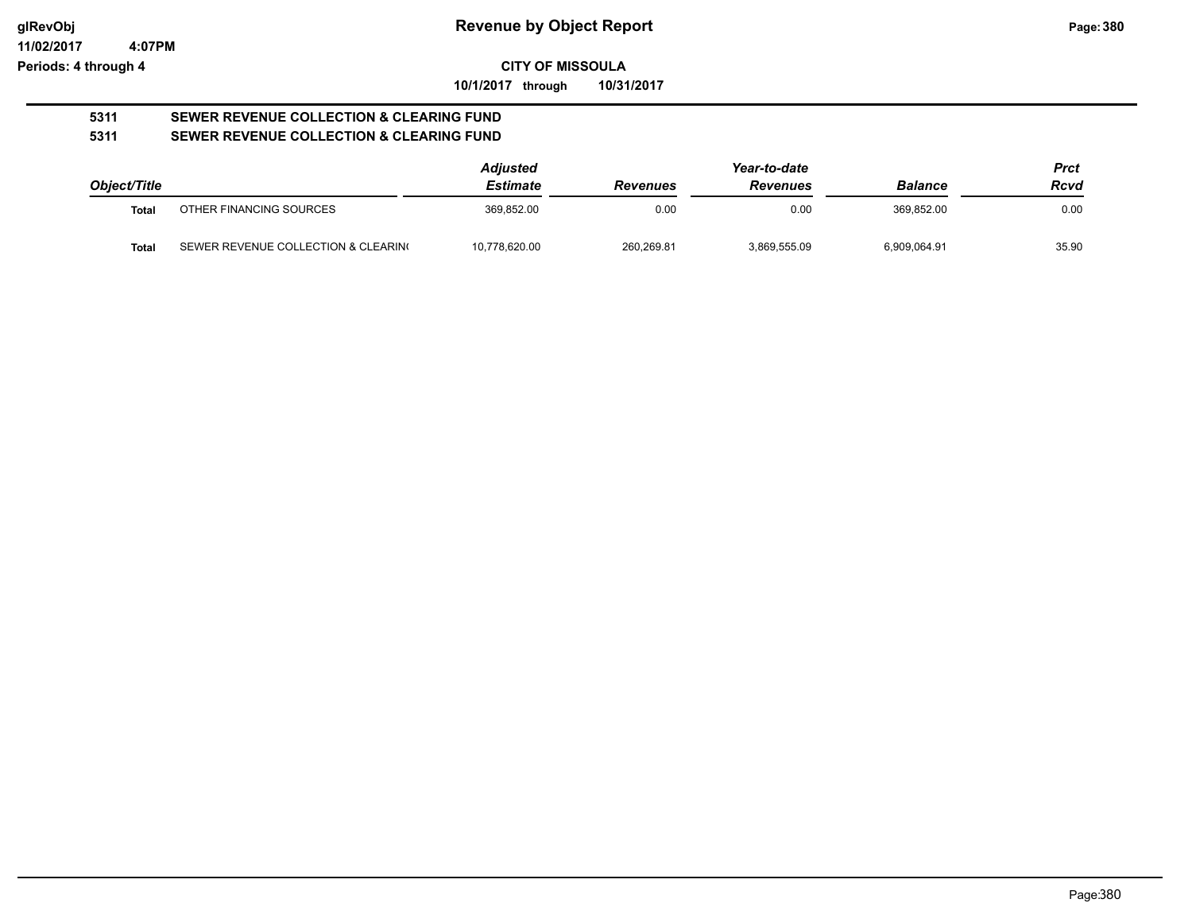**10/1/2017 through 10/31/2017**

#### **5311 SEWER REVENUE COLLECTION & CLEARING FUND 5311 SEWER REVENUE COLLECTION & CLEARING FUND**

|                            |                                     | <b>Adiusted</b> |                 | Year-to-date    |              | Prct  |
|----------------------------|-------------------------------------|-----------------|-----------------|-----------------|--------------|-------|
| <i><b>Object/Title</b></i> |                                     | <b>Estimate</b> | <b>Revenues</b> | <b>Revenues</b> | Balance      | Rcvd  |
| <b>Total</b>               | OTHER FINANCING SOURCES             | 369.852.00      | 0.00            | 0.00            | 369.852.00   | 0.00  |
| Total                      | SEWER REVENUE COLLECTION & CLEARING | 10,778,620.00   | 260.269.81      | 3,869,555.09    | 6.909.064.91 | 35.90 |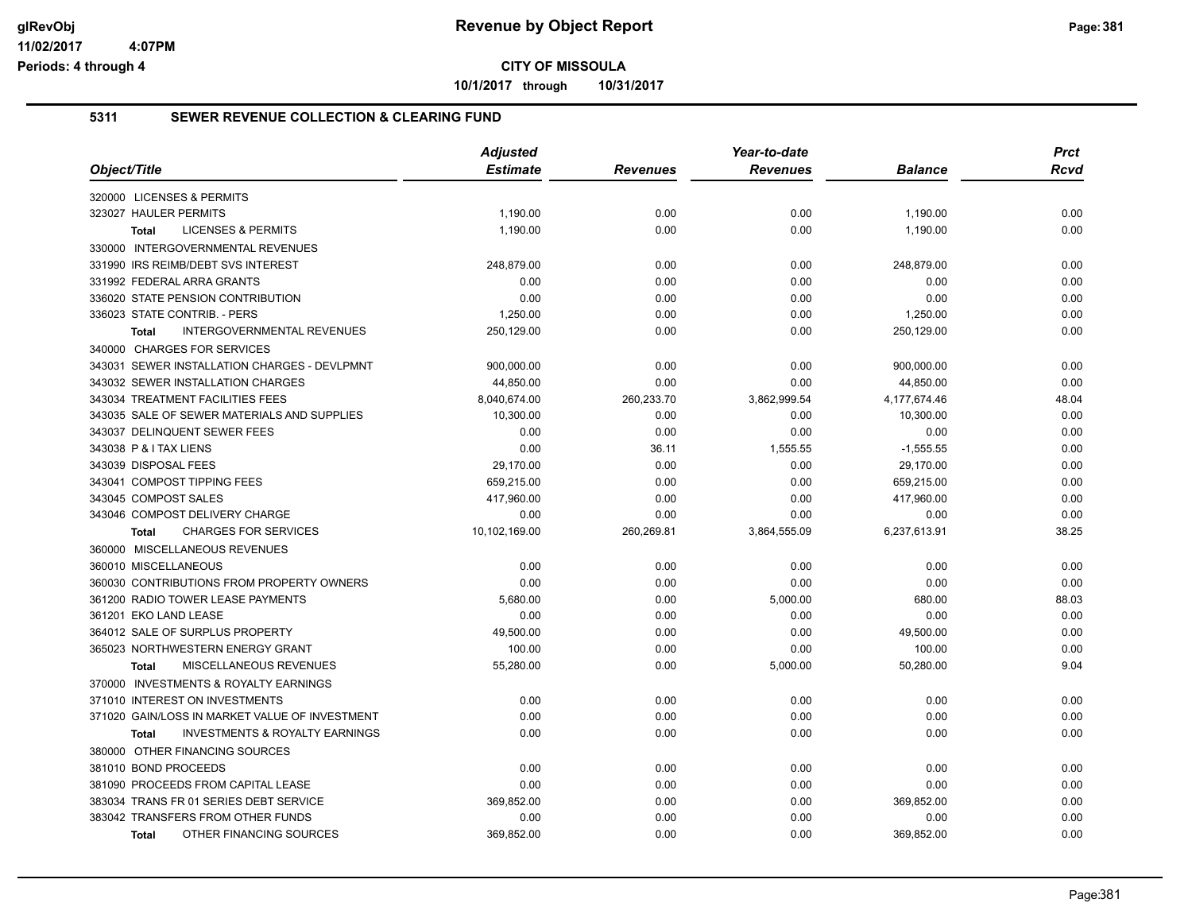**10/1/2017 through 10/31/2017**

#### **5311 SEWER REVENUE COLLECTION & CLEARING FUND**

|                                                    | <b>Adjusted</b> |                 | Year-to-date    |                | <b>Prct</b> |
|----------------------------------------------------|-----------------|-----------------|-----------------|----------------|-------------|
| Object/Title                                       | <b>Estimate</b> | <b>Revenues</b> | <b>Revenues</b> | <b>Balance</b> | Rcvd        |
| 320000 LICENSES & PERMITS                          |                 |                 |                 |                |             |
| 323027 HAULER PERMITS                              | 1,190.00        | 0.00            | 0.00            | 1,190.00       | 0.00        |
| <b>LICENSES &amp; PERMITS</b><br><b>Total</b>      | 1,190.00        | 0.00            | 0.00            | 1,190.00       | 0.00        |
| 330000 INTERGOVERNMENTAL REVENUES                  |                 |                 |                 |                |             |
| 331990 IRS REIMB/DEBT SVS INTEREST                 | 248,879.00      | 0.00            | 0.00            | 248,879.00     | 0.00        |
| 331992 FEDERAL ARRA GRANTS                         | 0.00            | 0.00            | 0.00            | 0.00           | 0.00        |
| 336020 STATE PENSION CONTRIBUTION                  | 0.00            | 0.00            | 0.00            | 0.00           | 0.00        |
| 336023 STATE CONTRIB. - PERS                       | 1,250.00        | 0.00            | 0.00            | 1,250.00       | 0.00        |
| INTERGOVERNMENTAL REVENUES<br><b>Total</b>         | 250,129.00      | 0.00            | 0.00            | 250,129.00     | 0.00        |
| 340000 CHARGES FOR SERVICES                        |                 |                 |                 |                |             |
| 343031 SEWER INSTALLATION CHARGES - DEVLPMNT       | 900,000.00      | 0.00            | 0.00            | 900,000.00     | 0.00        |
| 343032 SEWER INSTALLATION CHARGES                  | 44,850.00       | 0.00            | 0.00            | 44,850.00      | 0.00        |
| 343034 TREATMENT FACILITIES FEES                   | 8,040,674.00    | 260,233.70      | 3,862,999.54    | 4,177,674.46   | 48.04       |
| 343035 SALE OF SEWER MATERIALS AND SUPPLIES        | 10,300.00       | 0.00            | 0.00            | 10,300.00      | 0.00        |
| 343037 DELINQUENT SEWER FEES                       | 0.00            | 0.00            | 0.00            | 0.00           | 0.00        |
| 343038 P & I TAX LIENS                             | 0.00            | 36.11           | 1,555.55        | $-1,555.55$    | 0.00        |
| 343039 DISPOSAL FEES                               | 29,170.00       | 0.00            | 0.00            | 29,170.00      | 0.00        |
| 343041 COMPOST TIPPING FEES                        | 659,215.00      | 0.00            | 0.00            | 659,215.00     | 0.00        |
| 343045 COMPOST SALES                               | 417,960.00      | 0.00            | 0.00            | 417,960.00     | 0.00        |
| 343046 COMPOST DELIVERY CHARGE                     | 0.00            | 0.00            | 0.00            | 0.00           | 0.00        |
| <b>CHARGES FOR SERVICES</b><br><b>Total</b>        | 10,102,169.00   | 260,269.81      | 3,864,555.09    | 6,237,613.91   | 38.25       |
| 360000 MISCELLANEOUS REVENUES                      |                 |                 |                 |                |             |
| 360010 MISCELLANEOUS                               | 0.00            | 0.00            | 0.00            | 0.00           | 0.00        |
| 360030 CONTRIBUTIONS FROM PROPERTY OWNERS          | 0.00            | 0.00            | 0.00            | 0.00           | 0.00        |
| 361200 RADIO TOWER LEASE PAYMENTS                  | 5,680.00        | 0.00            | 5,000.00        | 680.00         | 88.03       |
| 361201 EKO LAND LEASE                              | 0.00            | 0.00            | 0.00            | 0.00           | 0.00        |
| 364012 SALE OF SURPLUS PROPERTY                    | 49,500.00       | 0.00            | 0.00            | 49,500.00      | 0.00        |
| 365023 NORTHWESTERN ENERGY GRANT                   | 100.00          | 0.00            | 0.00            | 100.00         | 0.00        |
| MISCELLANEOUS REVENUES<br><b>Total</b>             | 55,280.00       | 0.00            | 5,000.00        | 50,280.00      | 9.04        |
| 370000 INVESTMENTS & ROYALTY EARNINGS              |                 |                 |                 |                |             |
| 371010 INTEREST ON INVESTMENTS                     | 0.00            | 0.00            | 0.00            | 0.00           | 0.00        |
| 371020 GAIN/LOSS IN MARKET VALUE OF INVESTMENT     | 0.00            | 0.00            | 0.00            | 0.00           | 0.00        |
| <b>INVESTMENTS &amp; ROYALTY EARNINGS</b><br>Total | 0.00            | 0.00            | 0.00            | 0.00           | 0.00        |
| 380000 OTHER FINANCING SOURCES                     |                 |                 |                 |                |             |
| 381010 BOND PROCEEDS                               | 0.00            | 0.00            | 0.00            | 0.00           | 0.00        |
| 381090 PROCEEDS FROM CAPITAL LEASE                 | 0.00            | 0.00            | 0.00            | 0.00           | 0.00        |
| 383034 TRANS FR 01 SERIES DEBT SERVICE             | 369.852.00      | 0.00            | 0.00            | 369,852.00     | 0.00        |
| 383042 TRANSFERS FROM OTHER FUNDS                  | 0.00            | 0.00            | 0.00            | 0.00           | 0.00        |
| OTHER FINANCING SOURCES<br>Total                   | 369.852.00      | 0.00            | 0.00            | 369.852.00     | 0.00        |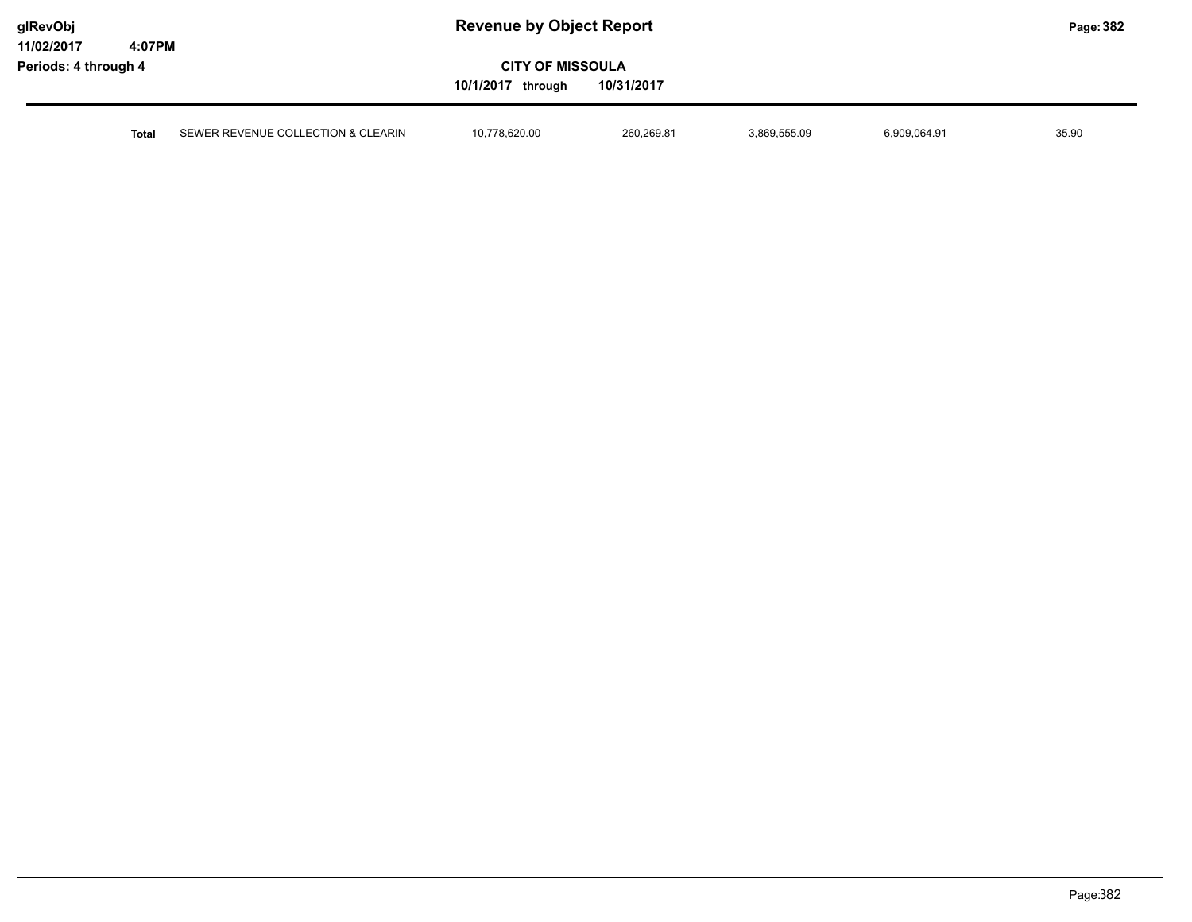| glRevObj<br>11/02/2017<br>4:07PM |       |                                    | <b>Revenue by Object Report</b>              |            | Page: 382    |              |       |
|----------------------------------|-------|------------------------------------|----------------------------------------------|------------|--------------|--------------|-------|
| Periods: 4 through 4             |       |                                    | <b>CITY OF MISSOULA</b><br>10/1/2017 through | 10/31/2017 |              |              |       |
|                                  | Total | SEWER REVENUE COLLECTION & CLEARIN | 10,778,620.00                                | 260,269.81 | 3,869,555.09 | 6,909,064.91 | 35.90 |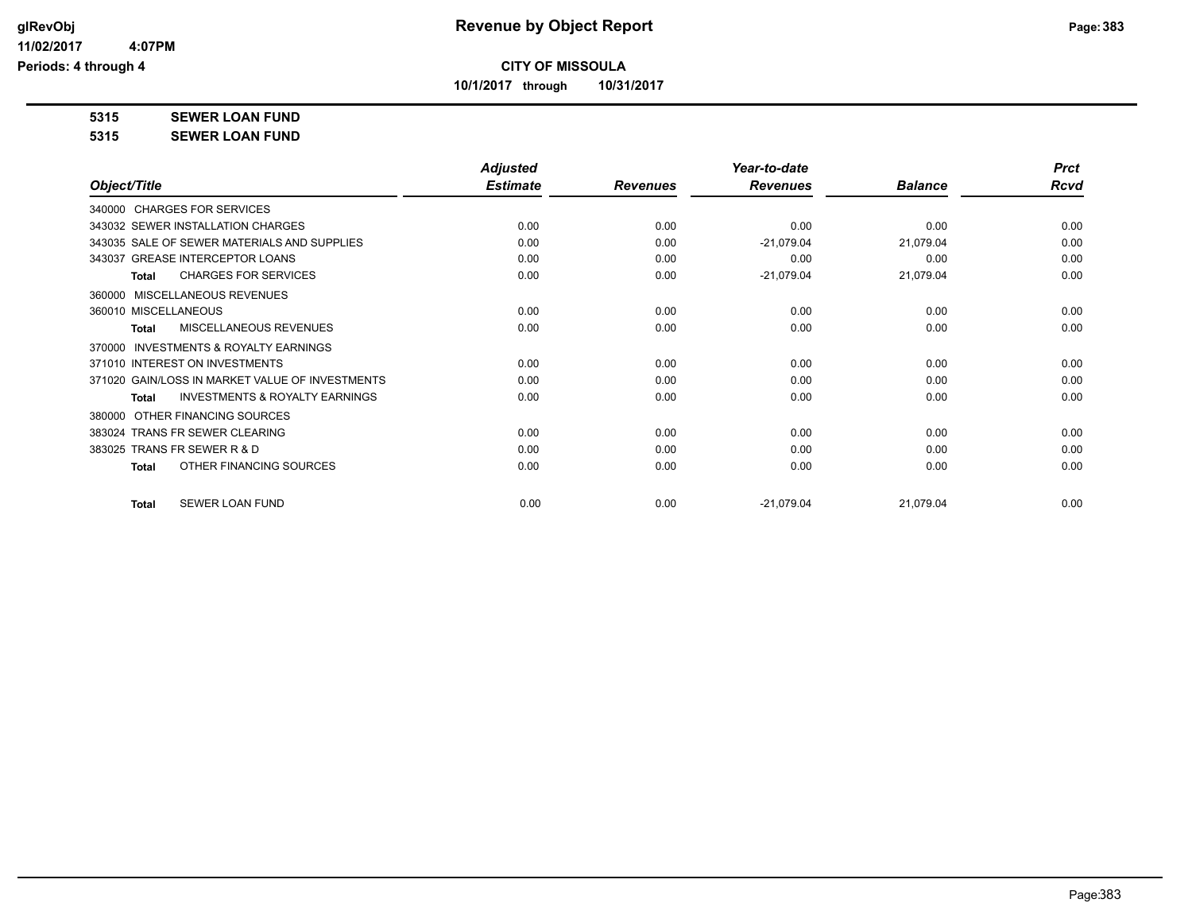**10/1/2017 through 10/31/2017**

#### **5315 SEWER LOAN FUND**

**5315 SEWER LOAN FUND**

|                                                           | <b>Adjusted</b> |                 | Year-to-date    |                | <b>Prct</b> |
|-----------------------------------------------------------|-----------------|-----------------|-----------------|----------------|-------------|
| Object/Title                                              | <b>Estimate</b> | <b>Revenues</b> | <b>Revenues</b> | <b>Balance</b> | <b>Rcvd</b> |
| 340000 CHARGES FOR SERVICES                               |                 |                 |                 |                |             |
| 343032 SEWER INSTALLATION CHARGES                         | 0.00            | 0.00            | 0.00            | 0.00           | 0.00        |
| 343035 SALE OF SEWER MATERIALS AND SUPPLIES               | 0.00            | 0.00            | $-21,079.04$    | 21,079.04      | 0.00        |
| 343037 GREASE INTERCEPTOR LOANS                           | 0.00            | 0.00            | 0.00            | 0.00           | 0.00        |
| <b>CHARGES FOR SERVICES</b><br><b>Total</b>               | 0.00            | 0.00            | $-21,079.04$    | 21,079.04      | 0.00        |
| MISCELLANEOUS REVENUES<br>360000                          |                 |                 |                 |                |             |
| 360010 MISCELLANEOUS                                      | 0.00            | 0.00            | 0.00            | 0.00           | 0.00        |
| MISCELLANEOUS REVENUES<br><b>Total</b>                    | 0.00            | 0.00            | 0.00            | 0.00           | 0.00        |
| <b>INVESTMENTS &amp; ROYALTY EARNINGS</b><br>370000       |                 |                 |                 |                |             |
| 371010 INTEREST ON INVESTMENTS                            | 0.00            | 0.00            | 0.00            | 0.00           | 0.00        |
| 371020 GAIN/LOSS IN MARKET VALUE OF INVESTMENTS           | 0.00            | 0.00            | 0.00            | 0.00           | 0.00        |
| <b>INVESTMENTS &amp; ROYALTY EARNINGS</b><br><b>Total</b> | 0.00            | 0.00            | 0.00            | 0.00           | 0.00        |
| OTHER FINANCING SOURCES<br>380000                         |                 |                 |                 |                |             |
| 383024 TRANS FR SEWER CLEARING                            | 0.00            | 0.00            | 0.00            | 0.00           | 0.00        |
| 383025 TRANS FR SEWER R & D                               | 0.00            | 0.00            | 0.00            | 0.00           | 0.00        |
| OTHER FINANCING SOURCES<br><b>Total</b>                   | 0.00            | 0.00            | 0.00            | 0.00           | 0.00        |
|                                                           |                 |                 |                 |                |             |
| <b>SEWER LOAN FUND</b><br><b>Total</b>                    | 0.00            | 0.00            | $-21,079.04$    | 21,079.04      | 0.00        |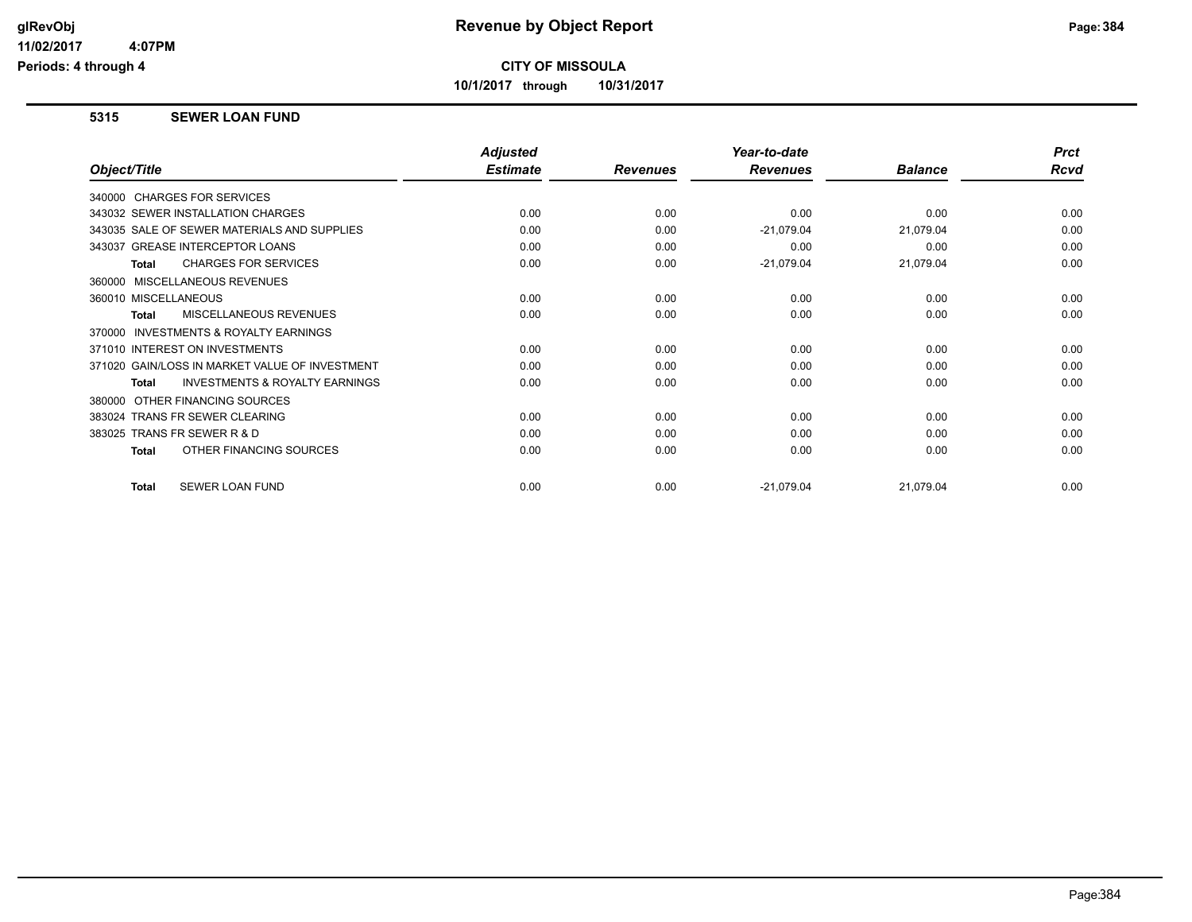**10/1/2017 through 10/31/2017**

#### **5315 SEWER LOAN FUND**

|                                                           | <b>Adjusted</b> |                 | Year-to-date    |                | <b>Prct</b> |
|-----------------------------------------------------------|-----------------|-----------------|-----------------|----------------|-------------|
| Object/Title                                              | <b>Estimate</b> | <b>Revenues</b> | <b>Revenues</b> | <b>Balance</b> | <b>Rcvd</b> |
| 340000 CHARGES FOR SERVICES                               |                 |                 |                 |                |             |
| 343032 SEWER INSTALLATION CHARGES                         | 0.00            | 0.00            | 0.00            | 0.00           | 0.00        |
| 343035 SALE OF SEWER MATERIALS AND SUPPLIES               | 0.00            | 0.00            | $-21,079.04$    | 21,079.04      | 0.00        |
| 343037 GREASE INTERCEPTOR LOANS                           | 0.00            | 0.00            | 0.00            | 0.00           | 0.00        |
| <b>CHARGES FOR SERVICES</b><br><b>Total</b>               | 0.00            | 0.00            | $-21,079.04$    | 21,079.04      | 0.00        |
| MISCELLANEOUS REVENUES<br>360000                          |                 |                 |                 |                |             |
| 360010 MISCELLANEOUS                                      | 0.00            | 0.00            | 0.00            | 0.00           | 0.00        |
| <b>MISCELLANEOUS REVENUES</b><br><b>Total</b>             | 0.00            | 0.00            | 0.00            | 0.00           | 0.00        |
| INVESTMENTS & ROYALTY EARNINGS<br>370000                  |                 |                 |                 |                |             |
| 371010 INTEREST ON INVESTMENTS                            | 0.00            | 0.00            | 0.00            | 0.00           | 0.00        |
| 371020 GAIN/LOSS IN MARKET VALUE OF INVESTMENT            | 0.00            | 0.00            | 0.00            | 0.00           | 0.00        |
| <b>INVESTMENTS &amp; ROYALTY EARNINGS</b><br><b>Total</b> | 0.00            | 0.00            | 0.00            | 0.00           | 0.00        |
| OTHER FINANCING SOURCES<br>380000                         |                 |                 |                 |                |             |
| 383024 TRANS FR SEWER CLEARING                            | 0.00            | 0.00            | 0.00            | 0.00           | 0.00        |
| 383025 TRANS FR SEWER R & D                               | 0.00            | 0.00            | 0.00            | 0.00           | 0.00        |
| OTHER FINANCING SOURCES<br><b>Total</b>                   | 0.00            | 0.00            | 0.00            | 0.00           | 0.00        |
| SEWER LOAN FUND<br><b>Total</b>                           | 0.00            | 0.00            | $-21,079.04$    | 21,079.04      | 0.00        |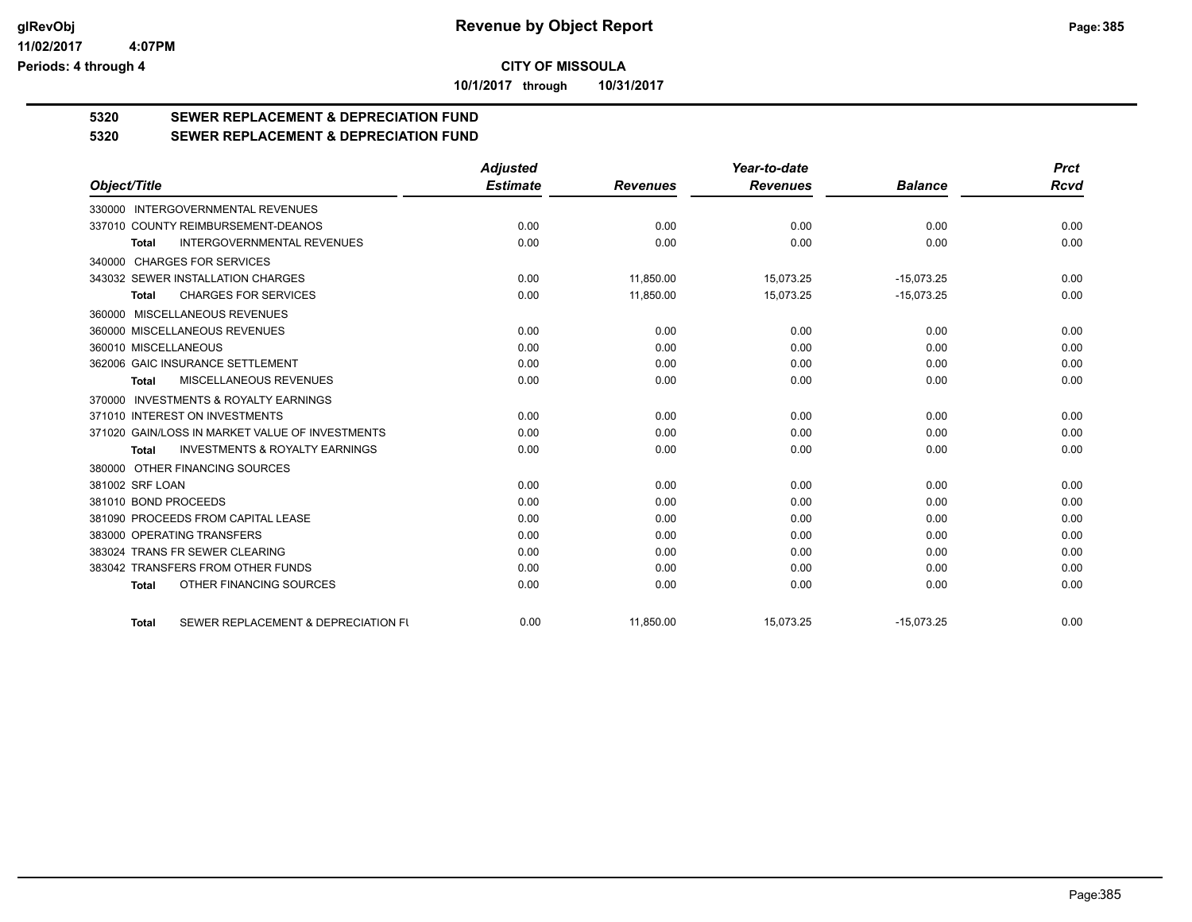**10/1/2017 through 10/31/2017**

# **5320 SEWER REPLACEMENT & DEPRECIATION FUND**

# **5320 SEWER REPLACEMENT & DEPRECIATION FUND**

|                                                           | <b>Adjusted</b> |                 | Year-to-date    |                | <b>Prct</b> |
|-----------------------------------------------------------|-----------------|-----------------|-----------------|----------------|-------------|
| Object/Title                                              | <b>Estimate</b> | <b>Revenues</b> | <b>Revenues</b> | <b>Balance</b> | <b>Rcvd</b> |
| 330000 INTERGOVERNMENTAL REVENUES                         |                 |                 |                 |                |             |
| 337010 COUNTY REIMBURSEMENT-DEANOS                        | 0.00            | 0.00            | 0.00            | 0.00           | 0.00        |
| <b>INTERGOVERNMENTAL REVENUES</b><br><b>Total</b>         | 0.00            | 0.00            | 0.00            | 0.00           | 0.00        |
| 340000 CHARGES FOR SERVICES                               |                 |                 |                 |                |             |
| 343032 SEWER INSTALLATION CHARGES                         | 0.00            | 11,850.00       | 15.073.25       | $-15,073.25$   | 0.00        |
| <b>CHARGES FOR SERVICES</b><br><b>Total</b>               | 0.00            | 11,850.00       | 15,073.25       | $-15,073.25$   | 0.00        |
| 360000 MISCELLANEOUS REVENUES                             |                 |                 |                 |                |             |
| 360000 MISCELLANEOUS REVENUES                             | 0.00            | 0.00            | 0.00            | 0.00           | 0.00        |
| 360010 MISCELLANEOUS                                      | 0.00            | 0.00            | 0.00            | 0.00           | 0.00        |
| 362006 GAIC INSURANCE SETTLEMENT                          | 0.00            | 0.00            | 0.00            | 0.00           | 0.00        |
| MISCELLANEOUS REVENUES<br><b>Total</b>                    | 0.00            | 0.00            | 0.00            | 0.00           | 0.00        |
| <b>INVESTMENTS &amp; ROYALTY EARNINGS</b><br>370000       |                 |                 |                 |                |             |
| 371010 INTEREST ON INVESTMENTS                            | 0.00            | 0.00            | 0.00            | 0.00           | 0.00        |
| 371020 GAIN/LOSS IN MARKET VALUE OF INVESTMENTS           | 0.00            | 0.00            | 0.00            | 0.00           | 0.00        |
| <b>INVESTMENTS &amp; ROYALTY EARNINGS</b><br><b>Total</b> | 0.00            | 0.00            | 0.00            | 0.00           | 0.00        |
| 380000 OTHER FINANCING SOURCES                            |                 |                 |                 |                |             |
| 381002 SRF LOAN                                           | 0.00            | 0.00            | 0.00            | 0.00           | 0.00        |
| 381010 BOND PROCEEDS                                      | 0.00            | 0.00            | 0.00            | 0.00           | 0.00        |
| 381090 PROCEEDS FROM CAPITAL LEASE                        | 0.00            | 0.00            | 0.00            | 0.00           | 0.00        |
| 383000 OPERATING TRANSFERS                                | 0.00            | 0.00            | 0.00            | 0.00           | 0.00        |
| 383024 TRANS FR SEWER CLEARING                            | 0.00            | 0.00            | 0.00            | 0.00           | 0.00        |
| 383042 TRANSFERS FROM OTHER FUNDS                         | 0.00            | 0.00            | 0.00            | 0.00           | 0.00        |
| OTHER FINANCING SOURCES<br><b>Total</b>                   | 0.00            | 0.00            | 0.00            | 0.00           | 0.00        |
| SEWER REPLACEMENT & DEPRECIATION FU<br><b>Total</b>       | 0.00            | 11,850.00       | 15,073.25       | $-15,073.25$   | 0.00        |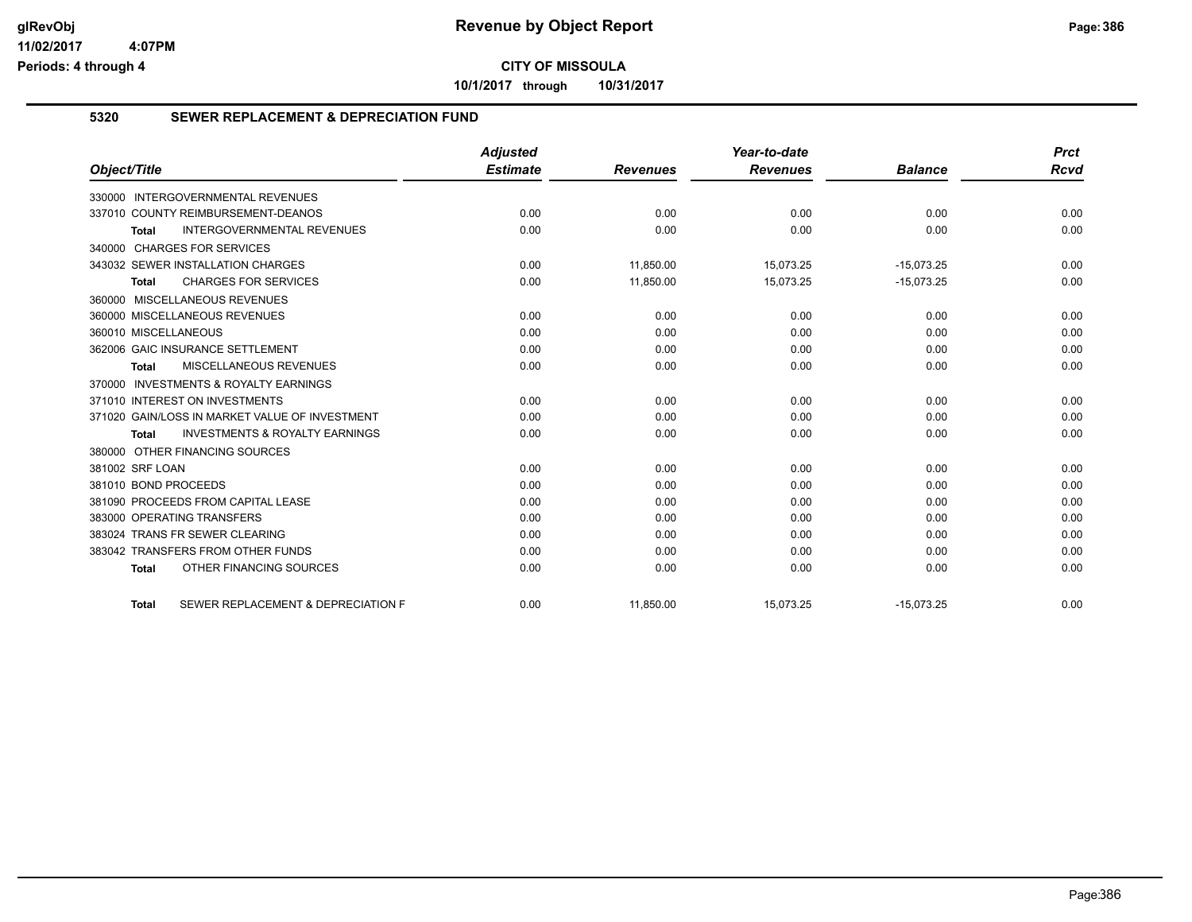**10/1/2017 through 10/31/2017**

#### **5320 SEWER REPLACEMENT & DEPRECIATION FUND**

|                                                           | <b>Adjusted</b> |                 | Year-to-date    |                | <b>Prct</b> |
|-----------------------------------------------------------|-----------------|-----------------|-----------------|----------------|-------------|
| Object/Title                                              | <b>Estimate</b> | <b>Revenues</b> | <b>Revenues</b> | <b>Balance</b> | <b>Rcvd</b> |
| <b>INTERGOVERNMENTAL REVENUES</b><br>330000               |                 |                 |                 |                |             |
| 337010 COUNTY REIMBURSEMENT-DEANOS                        | 0.00            | 0.00            | 0.00            | 0.00           | 0.00        |
| <b>INTERGOVERNMENTAL REVENUES</b><br><b>Total</b>         | 0.00            | 0.00            | 0.00            | 0.00           | 0.00        |
| 340000 CHARGES FOR SERVICES                               |                 |                 |                 |                |             |
| 343032 SEWER INSTALLATION CHARGES                         | 0.00            | 11.850.00       | 15.073.25       | $-15.073.25$   | 0.00        |
| <b>CHARGES FOR SERVICES</b><br><b>Total</b>               | 0.00            | 11,850.00       | 15,073.25       | $-15,073.25$   | 0.00        |
| 360000 MISCELLANEOUS REVENUES                             |                 |                 |                 |                |             |
| 360000 MISCELLANEOUS REVENUES                             | 0.00            | 0.00            | 0.00            | 0.00           | 0.00        |
| 360010 MISCELLANEOUS                                      | 0.00            | 0.00            | 0.00            | 0.00           | 0.00        |
| 362006 GAIC INSURANCE SETTLEMENT                          | 0.00            | 0.00            | 0.00            | 0.00           | 0.00        |
| <b>MISCELLANEOUS REVENUES</b><br><b>Total</b>             | 0.00            | 0.00            | 0.00            | 0.00           | 0.00        |
| <b>INVESTMENTS &amp; ROYALTY EARNINGS</b><br>370000       |                 |                 |                 |                |             |
| 371010 INTEREST ON INVESTMENTS                            | 0.00            | 0.00            | 0.00            | 0.00           | 0.00        |
| 371020 GAIN/LOSS IN MARKET VALUE OF INVESTMENT            | 0.00            | 0.00            | 0.00            | 0.00           | 0.00        |
| <b>INVESTMENTS &amp; ROYALTY EARNINGS</b><br><b>Total</b> | 0.00            | 0.00            | 0.00            | 0.00           | 0.00        |
| 380000 OTHER FINANCING SOURCES                            |                 |                 |                 |                |             |
| 381002 SRF LOAN                                           | 0.00            | 0.00            | 0.00            | 0.00           | 0.00        |
| 381010 BOND PROCEEDS                                      | 0.00            | 0.00            | 0.00            | 0.00           | 0.00        |
| 381090 PROCEEDS FROM CAPITAL LEASE                        | 0.00            | 0.00            | 0.00            | 0.00           | 0.00        |
| 383000 OPERATING TRANSFERS                                | 0.00            | 0.00            | 0.00            | 0.00           | 0.00        |
| 383024 TRANS FR SEWER CLEARING                            | 0.00            | 0.00            | 0.00            | 0.00           | 0.00        |
| 383042 TRANSFERS FROM OTHER FUNDS                         | 0.00            | 0.00            | 0.00            | 0.00           | 0.00        |
| OTHER FINANCING SOURCES<br><b>Total</b>                   | 0.00            | 0.00            | 0.00            | 0.00           | 0.00        |
| SEWER REPLACEMENT & DEPRECIATION F<br><b>Total</b>        | 0.00            | 11,850.00       | 15,073.25       | $-15,073.25$   | 0.00        |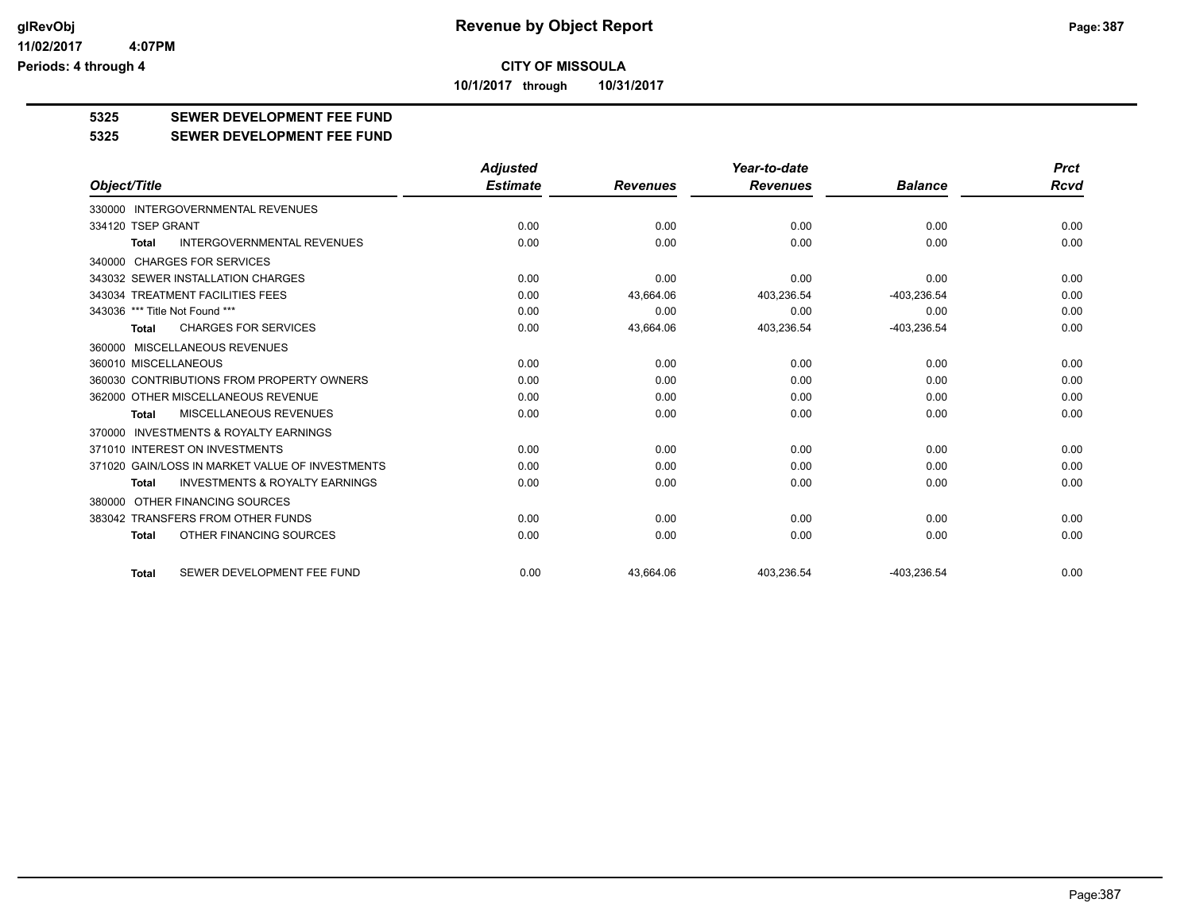**10/1/2017 through 10/31/2017**

### **5325 SEWER DEVELOPMENT FEE FUND**

#### **5325 SEWER DEVELOPMENT FEE FUND**

|                                                           | <b>Adjusted</b> |                 | Year-to-date    |                | <b>Prct</b> |
|-----------------------------------------------------------|-----------------|-----------------|-----------------|----------------|-------------|
| Object/Title                                              | <b>Estimate</b> | <b>Revenues</b> | <b>Revenues</b> | <b>Balance</b> | Rcvd        |
| 330000 INTERGOVERNMENTAL REVENUES                         |                 |                 |                 |                |             |
| 334120 TSEP GRANT                                         | 0.00            | 0.00            | 0.00            | 0.00           | 0.00        |
| <b>INTERGOVERNMENTAL REVENUES</b><br><b>Total</b>         | 0.00            | 0.00            | 0.00            | 0.00           | 0.00        |
| 340000 CHARGES FOR SERVICES                               |                 |                 |                 |                |             |
| 343032 SEWER INSTALLATION CHARGES                         | 0.00            | 0.00            | 0.00            | 0.00           | 0.00        |
| 343034 TREATMENT FACILITIES FEES                          | 0.00            | 43,664.06       | 403,236.54      | $-403,236.54$  | 0.00        |
| 343036 *** Title Not Found ***                            | 0.00            | 0.00            | 0.00            | 0.00           | 0.00        |
| <b>CHARGES FOR SERVICES</b><br><b>Total</b>               | 0.00            | 43,664.06       | 403,236.54      | $-403,236.54$  | 0.00        |
| 360000 MISCELLANEOUS REVENUES                             |                 |                 |                 |                |             |
| 360010 MISCELLANEOUS                                      | 0.00            | 0.00            | 0.00            | 0.00           | 0.00        |
| 360030 CONTRIBUTIONS FROM PROPERTY OWNERS                 | 0.00            | 0.00            | 0.00            | 0.00           | 0.00        |
| 362000 OTHER MISCELLANEOUS REVENUE                        | 0.00            | 0.00            | 0.00            | 0.00           | 0.00        |
| MISCELLANEOUS REVENUES<br>Total                           | 0.00            | 0.00            | 0.00            | 0.00           | 0.00        |
| <b>INVESTMENTS &amp; ROYALTY EARNINGS</b><br>370000       |                 |                 |                 |                |             |
| 371010 INTEREST ON INVESTMENTS                            | 0.00            | 0.00            | 0.00            | 0.00           | 0.00        |
| 371020 GAIN/LOSS IN MARKET VALUE OF INVESTMENTS           | 0.00            | 0.00            | 0.00            | 0.00           | 0.00        |
| <b>INVESTMENTS &amp; ROYALTY EARNINGS</b><br><b>Total</b> | 0.00            | 0.00            | 0.00            | 0.00           | 0.00        |
| 380000 OTHER FINANCING SOURCES                            |                 |                 |                 |                |             |
| 383042 TRANSFERS FROM OTHER FUNDS                         | 0.00            | 0.00            | 0.00            | 0.00           | 0.00        |
| OTHER FINANCING SOURCES<br>Total                          | 0.00            | 0.00            | 0.00            | 0.00           | 0.00        |
| SEWER DEVELOPMENT FEE FUND<br><b>Total</b>                | 0.00            | 43.664.06       | 403.236.54      | -403.236.54    | 0.00        |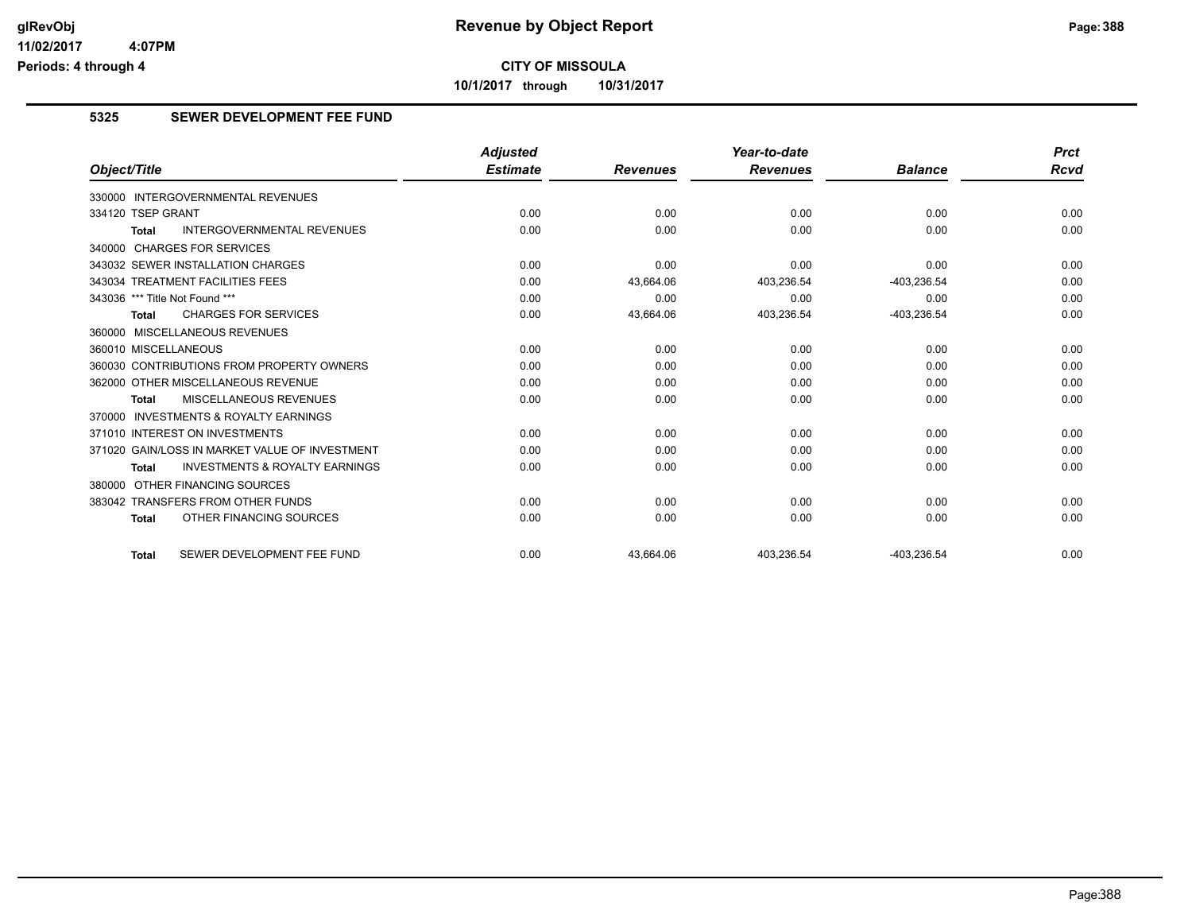**10/1/2017 through 10/31/2017**

#### **5325 SEWER DEVELOPMENT FEE FUND**

|                                                           | <b>Adjusted</b> |                 | Year-to-date    |                | <b>Prct</b> |
|-----------------------------------------------------------|-----------------|-----------------|-----------------|----------------|-------------|
| Object/Title                                              | <b>Estimate</b> | <b>Revenues</b> | <b>Revenues</b> | <b>Balance</b> | <b>Rcvd</b> |
| 330000 INTERGOVERNMENTAL REVENUES                         |                 |                 |                 |                |             |
| 334120 TSEP GRANT                                         | 0.00            | 0.00            | 0.00            | 0.00           | 0.00        |
| <b>INTERGOVERNMENTAL REVENUES</b><br><b>Total</b>         | 0.00            | 0.00            | 0.00            | 0.00           | 0.00        |
| 340000 CHARGES FOR SERVICES                               |                 |                 |                 |                |             |
| 343032 SEWER INSTALLATION CHARGES                         | 0.00            | 0.00            | 0.00            | 0.00           | 0.00        |
| 343034 TREATMENT FACILITIES FEES                          | 0.00            | 43,664.06       | 403,236.54      | -403,236.54    | 0.00        |
| 343036 *** Title Not Found ***                            | 0.00            | 0.00            | 0.00            | 0.00           | 0.00        |
| <b>CHARGES FOR SERVICES</b><br><b>Total</b>               | 0.00            | 43,664.06       | 403,236.54      | $-403,236.54$  | 0.00        |
| 360000 MISCELLANEOUS REVENUES                             |                 |                 |                 |                |             |
| 360010 MISCELLANEOUS                                      | 0.00            | 0.00            | 0.00            | 0.00           | 0.00        |
| 360030 CONTRIBUTIONS FROM PROPERTY OWNERS                 | 0.00            | 0.00            | 0.00            | 0.00           | 0.00        |
| 362000 OTHER MISCELLANEOUS REVENUE                        | 0.00            | 0.00            | 0.00            | 0.00           | 0.00        |
| MISCELLANEOUS REVENUES<br><b>Total</b>                    | 0.00            | 0.00            | 0.00            | 0.00           | 0.00        |
| 370000 INVESTMENTS & ROYALTY EARNINGS                     |                 |                 |                 |                |             |
| 371010 INTEREST ON INVESTMENTS                            | 0.00            | 0.00            | 0.00            | 0.00           | 0.00        |
| 371020 GAIN/LOSS IN MARKET VALUE OF INVESTMENT            | 0.00            | 0.00            | 0.00            | 0.00           | 0.00        |
| <b>INVESTMENTS &amp; ROYALTY EARNINGS</b><br><b>Total</b> | 0.00            | 0.00            | 0.00            | 0.00           | 0.00        |
| 380000 OTHER FINANCING SOURCES                            |                 |                 |                 |                |             |
| 383042 TRANSFERS FROM OTHER FUNDS                         | 0.00            | 0.00            | 0.00            | 0.00           | 0.00        |
| OTHER FINANCING SOURCES<br><b>Total</b>                   | 0.00            | 0.00            | 0.00            | 0.00           | 0.00        |
| SEWER DEVELOPMENT FEE FUND<br><b>Total</b>                | 0.00            | 43,664.06       | 403,236.54      | -403.236.54    | 0.00        |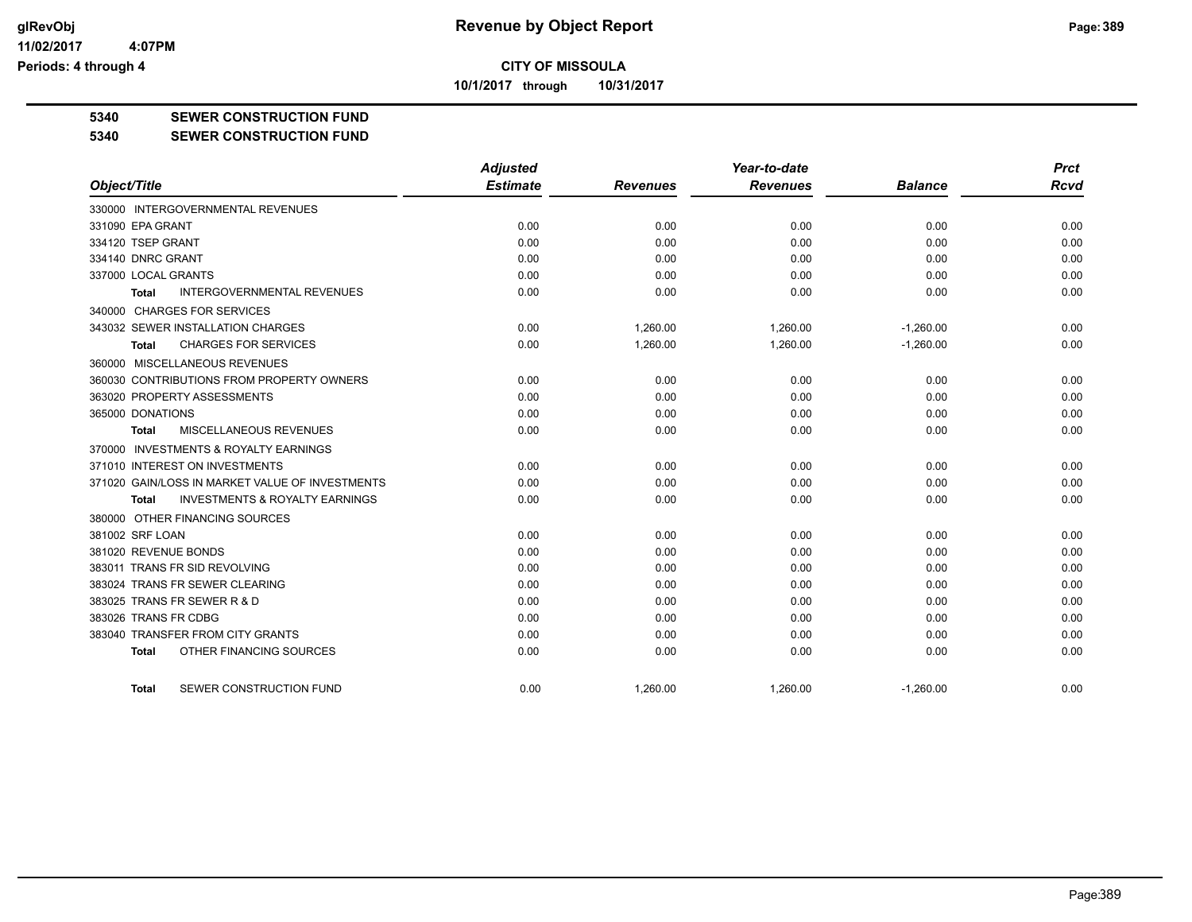**10/1/2017 through 10/31/2017**

#### **5340 SEWER CONSTRUCTION FUND**

#### **5340 SEWER CONSTRUCTION FUND**

|                                                    | <b>Adjusted</b> |                 | Year-to-date    |                | <b>Prct</b> |
|----------------------------------------------------|-----------------|-----------------|-----------------|----------------|-------------|
| Object/Title                                       | <b>Estimate</b> | <b>Revenues</b> | <b>Revenues</b> | <b>Balance</b> | <b>Rcvd</b> |
| 330000 INTERGOVERNMENTAL REVENUES                  |                 |                 |                 |                |             |
| 331090 EPA GRANT                                   | 0.00            | 0.00            | 0.00            | 0.00           | 0.00        |
| 334120 TSEP GRANT                                  | 0.00            | 0.00            | 0.00            | 0.00           | 0.00        |
| 334140 DNRC GRANT                                  | 0.00            | 0.00            | 0.00            | 0.00           | 0.00        |
| 337000 LOCAL GRANTS                                | 0.00            | 0.00            | 0.00            | 0.00           | 0.00        |
| <b>INTERGOVERNMENTAL REVENUES</b><br><b>Total</b>  | 0.00            | 0.00            | 0.00            | 0.00           | 0.00        |
| 340000 CHARGES FOR SERVICES                        |                 |                 |                 |                |             |
| 343032 SEWER INSTALLATION CHARGES                  | 0.00            | 1,260.00        | 1,260.00        | $-1,260.00$    | 0.00        |
| <b>CHARGES FOR SERVICES</b><br><b>Total</b>        | 0.00            | 1,260.00        | 1,260.00        | $-1,260.00$    | 0.00        |
| 360000 MISCELLANEOUS REVENUES                      |                 |                 |                 |                |             |
| 360030 CONTRIBUTIONS FROM PROPERTY OWNERS          | 0.00            | 0.00            | 0.00            | 0.00           | 0.00        |
| 363020 PROPERTY ASSESSMENTS                        | 0.00            | 0.00            | 0.00            | 0.00           | 0.00        |
| 365000 DONATIONS                                   | 0.00            | 0.00            | 0.00            | 0.00           | 0.00        |
| MISCELLANEOUS REVENUES<br>Total                    | 0.00            | 0.00            | 0.00            | 0.00           | 0.00        |
| 370000 INVESTMENTS & ROYALTY EARNINGS              |                 |                 |                 |                |             |
| 371010 INTEREST ON INVESTMENTS                     | 0.00            | 0.00            | 0.00            | 0.00           | 0.00        |
| 371020 GAIN/LOSS IN MARKET VALUE OF INVESTMENTS    | 0.00            | 0.00            | 0.00            | 0.00           | 0.00        |
| <b>INVESTMENTS &amp; ROYALTY EARNINGS</b><br>Total | 0.00            | 0.00            | 0.00            | 0.00           | 0.00        |
| 380000 OTHER FINANCING SOURCES                     |                 |                 |                 |                |             |
| 381002 SRF LOAN                                    | 0.00            | 0.00            | 0.00            | 0.00           | 0.00        |
| 381020 REVENUE BONDS                               | 0.00            | 0.00            | 0.00            | 0.00           | 0.00        |
| 383011 TRANS FR SID REVOLVING                      | 0.00            | 0.00            | 0.00            | 0.00           | 0.00        |
| 383024 TRANS FR SEWER CLEARING                     | 0.00            | 0.00            | 0.00            | 0.00           | 0.00        |
| 383025 TRANS FR SEWER R & D                        | 0.00            | 0.00            | 0.00            | 0.00           | 0.00        |
| 383026 TRANS FR CDBG                               | 0.00            | 0.00            | 0.00            | 0.00           | 0.00        |
| 383040 TRANSFER FROM CITY GRANTS                   | 0.00            | 0.00            | 0.00            | 0.00           | 0.00        |
| OTHER FINANCING SOURCES<br><b>Total</b>            | 0.00            | 0.00            | 0.00            | 0.00           | 0.00        |
| SEWER CONSTRUCTION FUND<br>Total                   | 0.00            | 1,260.00        | 1,260.00        | $-1,260.00$    | 0.00        |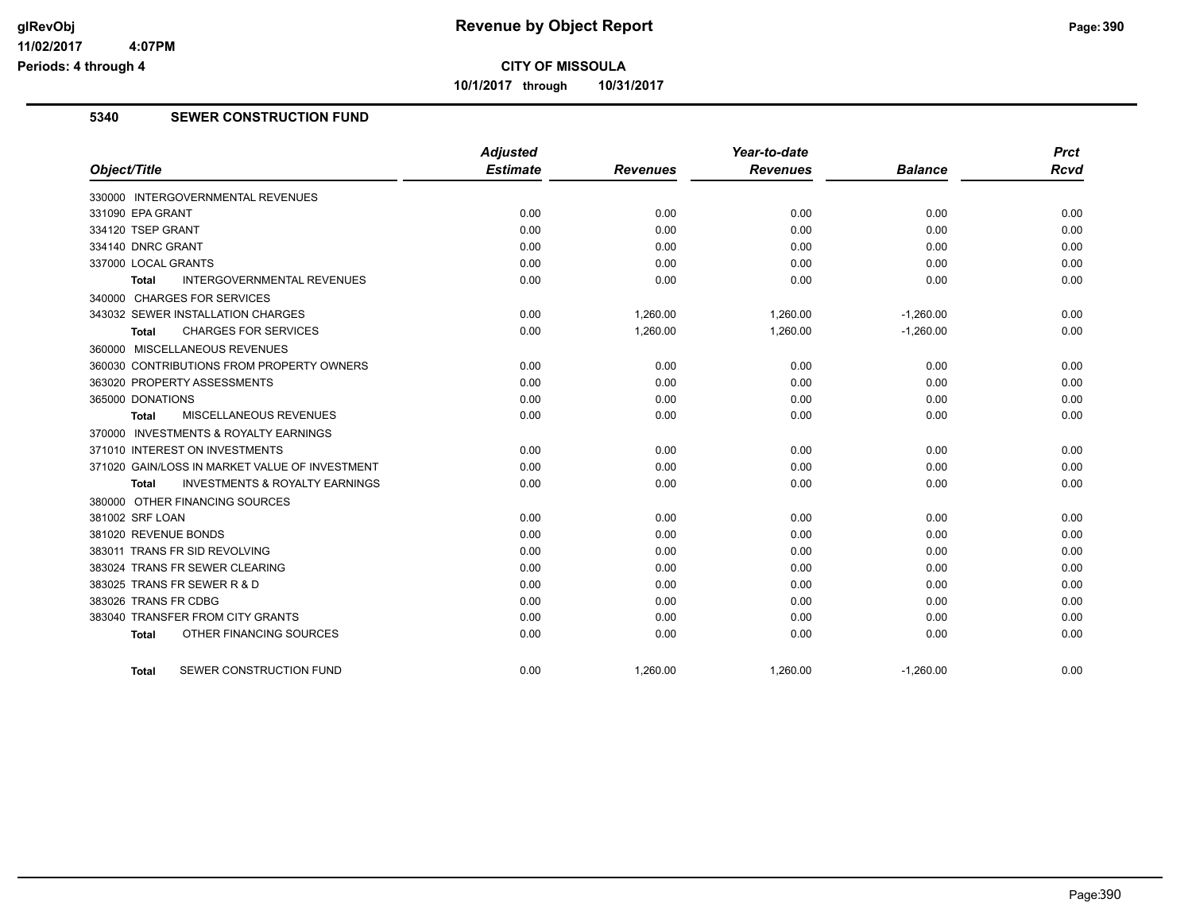**10/1/2017 through 10/31/2017**

#### **5340 SEWER CONSTRUCTION FUND**

|                                                    | <b>Adjusted</b> |                 | Year-to-date    |                | <b>Prct</b> |
|----------------------------------------------------|-----------------|-----------------|-----------------|----------------|-------------|
| Object/Title                                       | <b>Estimate</b> | <b>Revenues</b> | <b>Revenues</b> | <b>Balance</b> | <b>Rcvd</b> |
| 330000 INTERGOVERNMENTAL REVENUES                  |                 |                 |                 |                |             |
| 331090 EPA GRANT                                   | 0.00            | 0.00            | 0.00            | 0.00           | 0.00        |
| 334120 TSEP GRANT                                  | 0.00            | 0.00            | 0.00            | 0.00           | 0.00        |
| 334140 DNRC GRANT                                  | 0.00            | 0.00            | 0.00            | 0.00           | 0.00        |
| 337000 LOCAL GRANTS                                | 0.00            | 0.00            | 0.00            | 0.00           | 0.00        |
| <b>INTERGOVERNMENTAL REVENUES</b><br>Total         | 0.00            | 0.00            | 0.00            | 0.00           | 0.00        |
| 340000 CHARGES FOR SERVICES                        |                 |                 |                 |                |             |
| 343032 SEWER INSTALLATION CHARGES                  | 0.00            | 1,260.00        | 1,260.00        | $-1,260.00$    | 0.00        |
| <b>CHARGES FOR SERVICES</b><br>Total               | 0.00            | 1,260.00        | 1,260.00        | $-1,260.00$    | 0.00        |
| 360000 MISCELLANEOUS REVENUES                      |                 |                 |                 |                |             |
| 360030 CONTRIBUTIONS FROM PROPERTY OWNERS          | 0.00            | 0.00            | 0.00            | 0.00           | 0.00        |
| 363020 PROPERTY ASSESSMENTS                        | 0.00            | 0.00            | 0.00            | 0.00           | 0.00        |
| 365000 DONATIONS                                   | 0.00            | 0.00            | 0.00            | 0.00           | 0.00        |
| <b>MISCELLANEOUS REVENUES</b><br>Total             | 0.00            | 0.00            | 0.00            | 0.00           | 0.00        |
| 370000 INVESTMENTS & ROYALTY EARNINGS              |                 |                 |                 |                |             |
| 371010 INTEREST ON INVESTMENTS                     | 0.00            | 0.00            | 0.00            | 0.00           | 0.00        |
| 371020 GAIN/LOSS IN MARKET VALUE OF INVESTMENT     | 0.00            | 0.00            | 0.00            | 0.00           | 0.00        |
| <b>INVESTMENTS &amp; ROYALTY EARNINGS</b><br>Total | 0.00            | 0.00            | 0.00            | 0.00           | 0.00        |
| 380000 OTHER FINANCING SOURCES                     |                 |                 |                 |                |             |
| 381002 SRF LOAN                                    | 0.00            | 0.00            | 0.00            | 0.00           | 0.00        |
| 381020 REVENUE BONDS                               | 0.00            | 0.00            | 0.00            | 0.00           | 0.00        |
| 383011 TRANS FR SID REVOLVING                      | 0.00            | 0.00            | 0.00            | 0.00           | 0.00        |
| 383024 TRANS FR SEWER CLEARING                     | 0.00            | 0.00            | 0.00            | 0.00           | 0.00        |
| 383025 TRANS FR SEWER R & D                        | 0.00            | 0.00            | 0.00            | 0.00           | 0.00        |
| 383026 TRANS FR CDBG                               | 0.00            | 0.00            | 0.00            | 0.00           | 0.00        |
| 383040 TRANSFER FROM CITY GRANTS                   | 0.00            | 0.00            | 0.00            | 0.00           | 0.00        |
| OTHER FINANCING SOURCES<br><b>Total</b>            | 0.00            | 0.00            | 0.00            | 0.00           | 0.00        |
| SEWER CONSTRUCTION FUND<br><b>Total</b>            | 0.00            | 1.260.00        | 1.260.00        | $-1.260.00$    | 0.00        |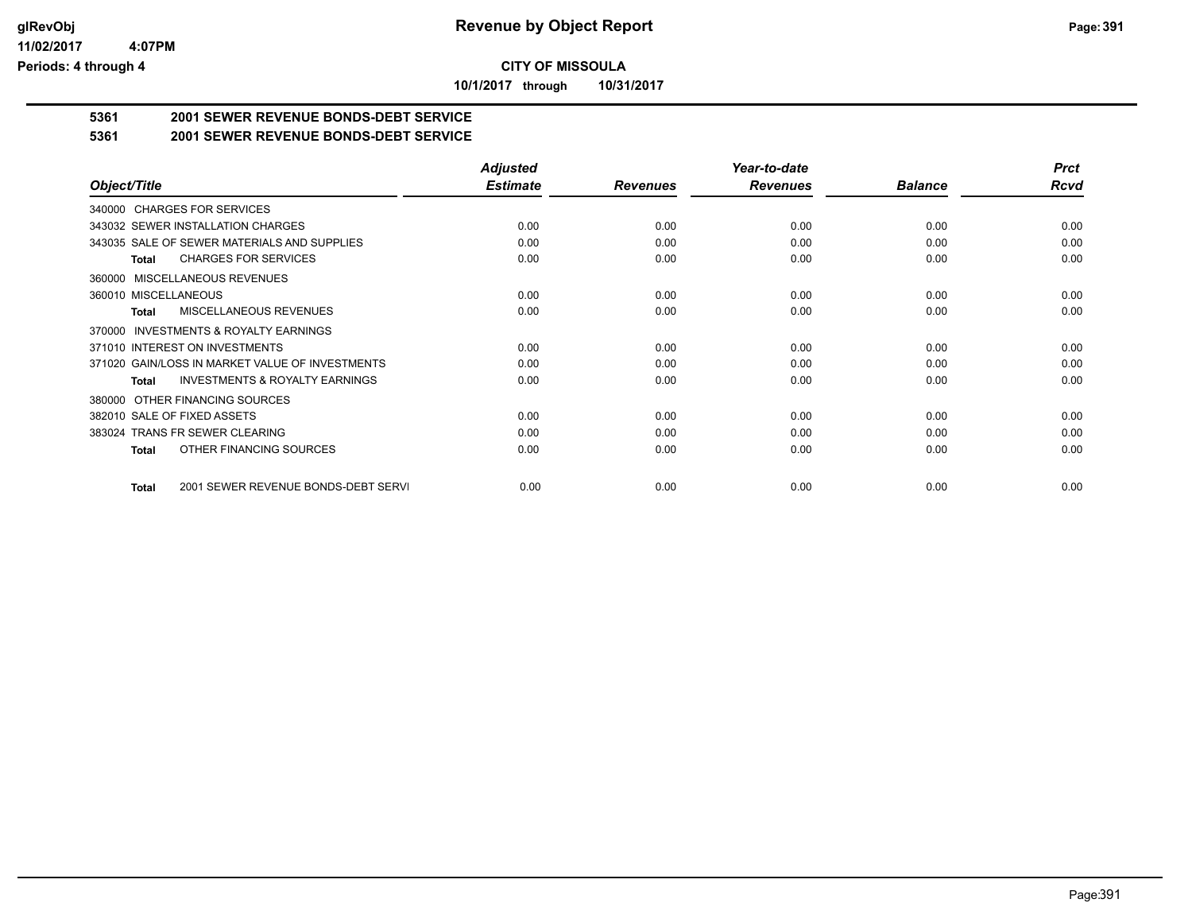**Periods: 4 through 4**

#### **CITY OF MISSOULA**

**10/1/2017 through 10/31/2017**

# **5361 2001 SEWER REVENUE BONDS-DEBT SERVICE**

## **5361 2001 SEWER REVENUE BONDS-DEBT SERVICE**

|                                                     | <b>Adjusted</b> |                 | Year-to-date    |                | <b>Prct</b> |
|-----------------------------------------------------|-----------------|-----------------|-----------------|----------------|-------------|
| Object/Title                                        | <b>Estimate</b> | <b>Revenues</b> | <b>Revenues</b> | <b>Balance</b> | Rcvd        |
| 340000 CHARGES FOR SERVICES                         |                 |                 |                 |                |             |
| 343032 SEWER INSTALLATION CHARGES                   | 0.00            | 0.00            | 0.00            | 0.00           | 0.00        |
| 343035 SALE OF SEWER MATERIALS AND SUPPLIES         | 0.00            | 0.00            | 0.00            | 0.00           | 0.00        |
| <b>CHARGES FOR SERVICES</b><br><b>Total</b>         | 0.00            | 0.00            | 0.00            | 0.00           | 0.00        |
| MISCELLANEOUS REVENUES<br>360000                    |                 |                 |                 |                |             |
| 360010 MISCELLANEOUS                                | 0.00            | 0.00            | 0.00            | 0.00           | 0.00        |
| <b>MISCELLANEOUS REVENUES</b><br><b>Total</b>       | 0.00            | 0.00            | 0.00            | 0.00           | 0.00        |
| <b>INVESTMENTS &amp; ROYALTY EARNINGS</b><br>370000 |                 |                 |                 |                |             |
| 371010 INTEREST ON INVESTMENTS                      | 0.00            | 0.00            | 0.00            | 0.00           | 0.00        |
| 371020 GAIN/LOSS IN MARKET VALUE OF INVESTMENTS     | 0.00            | 0.00            | 0.00            | 0.00           | 0.00        |
| <b>INVESTMENTS &amp; ROYALTY EARNINGS</b><br>Total  | 0.00            | 0.00            | 0.00            | 0.00           | 0.00        |
| OTHER FINANCING SOURCES<br>380000                   |                 |                 |                 |                |             |
| 382010 SALE OF FIXED ASSETS                         | 0.00            | 0.00            | 0.00            | 0.00           | 0.00        |
| 383024 TRANS FR SEWER CLEARING                      | 0.00            | 0.00            | 0.00            | 0.00           | 0.00        |
| OTHER FINANCING SOURCES<br><b>Total</b>             | 0.00            | 0.00            | 0.00            | 0.00           | 0.00        |
| 2001 SEWER REVENUE BONDS-DEBT SERVI<br><b>Total</b> | 0.00            | 0.00            | 0.00            | 0.00           | 0.00        |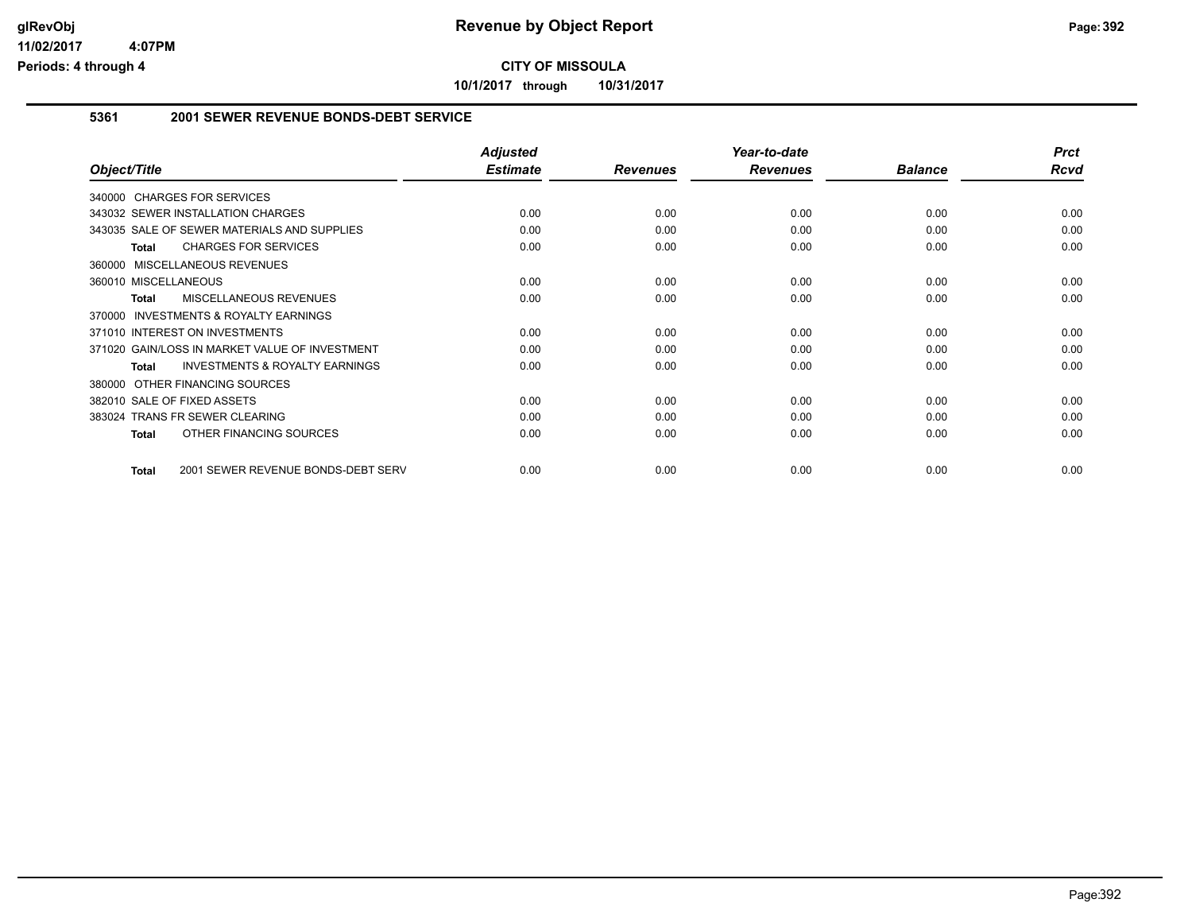**10/1/2017 through 10/31/2017**

#### **5361 2001 SEWER REVENUE BONDS-DEBT SERVICE**

|                                                           | <b>Adjusted</b> |                 | Year-to-date    |                | <b>Prct</b> |
|-----------------------------------------------------------|-----------------|-----------------|-----------------|----------------|-------------|
| Object/Title                                              | <b>Estimate</b> | <b>Revenues</b> | <b>Revenues</b> | <b>Balance</b> | Rcvd        |
| 340000 CHARGES FOR SERVICES                               |                 |                 |                 |                |             |
| 343032 SEWER INSTALLATION CHARGES                         | 0.00            | 0.00            | 0.00            | 0.00           | 0.00        |
| 343035 SALE OF SEWER MATERIALS AND SUPPLIES               | 0.00            | 0.00            | 0.00            | 0.00           | 0.00        |
| <b>CHARGES FOR SERVICES</b><br>Total                      | 0.00            | 0.00            | 0.00            | 0.00           | 0.00        |
| 360000 MISCELLANEOUS REVENUES                             |                 |                 |                 |                |             |
| 360010 MISCELLANEOUS                                      | 0.00            | 0.00            | 0.00            | 0.00           | 0.00        |
| <b>MISCELLANEOUS REVENUES</b><br>Total                    | 0.00            | 0.00            | 0.00            | 0.00           | 0.00        |
| INVESTMENTS & ROYALTY EARNINGS<br>370000                  |                 |                 |                 |                |             |
| 371010 INTEREST ON INVESTMENTS                            | 0.00            | 0.00            | 0.00            | 0.00           | 0.00        |
| 371020 GAIN/LOSS IN MARKET VALUE OF INVESTMENT            | 0.00            | 0.00            | 0.00            | 0.00           | 0.00        |
| <b>INVESTMENTS &amp; ROYALTY EARNINGS</b><br><b>Total</b> | 0.00            | 0.00            | 0.00            | 0.00           | 0.00        |
| 380000 OTHER FINANCING SOURCES                            |                 |                 |                 |                |             |
| 382010 SALE OF FIXED ASSETS                               | 0.00            | 0.00            | 0.00            | 0.00           | 0.00        |
| 383024 TRANS FR SEWER CLEARING                            | 0.00            | 0.00            | 0.00            | 0.00           | 0.00        |
| OTHER FINANCING SOURCES<br><b>Total</b>                   | 0.00            | 0.00            | 0.00            | 0.00           | 0.00        |
| 2001 SEWER REVENUE BONDS-DEBT SERV<br>Total               | 0.00            | 0.00            | 0.00            | 0.00           | 0.00        |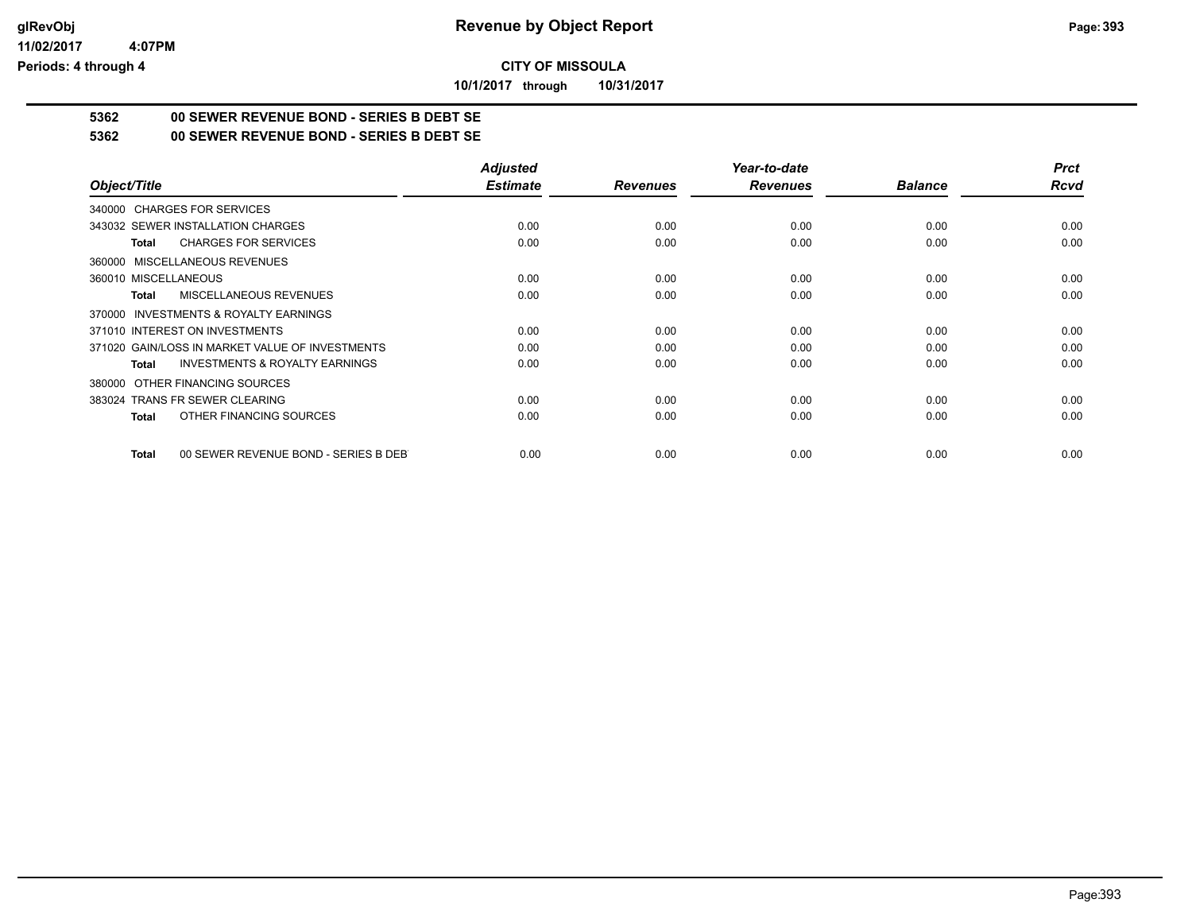**Periods: 4 through 4**

 **4:07PM**

**CITY OF MISSOULA**

**10/1/2017 through 10/31/2017**

# **5362 00 SEWER REVENUE BOND - SERIES B DEBT SE**

**5362 00 SEWER REVENUE BOND - SERIES B DEBT SE**

|                                                      | <b>Adjusted</b> |                 | Year-to-date    |                | <b>Prct</b> |
|------------------------------------------------------|-----------------|-----------------|-----------------|----------------|-------------|
| Object/Title                                         | <b>Estimate</b> | <b>Revenues</b> | <b>Revenues</b> | <b>Balance</b> | <b>Rcvd</b> |
| 340000 CHARGES FOR SERVICES                          |                 |                 |                 |                |             |
| 343032 SEWER INSTALLATION CHARGES                    | 0.00            | 0.00            | 0.00            | 0.00           | 0.00        |
| <b>CHARGES FOR SERVICES</b><br><b>Total</b>          | 0.00            | 0.00            | 0.00            | 0.00           | 0.00        |
| 360000 MISCELLANEOUS REVENUES                        |                 |                 |                 |                |             |
| 360010 MISCELLANEOUS                                 | 0.00            | 0.00            | 0.00            | 0.00           | 0.00        |
| <b>MISCELLANEOUS REVENUES</b><br><b>Total</b>        | 0.00            | 0.00            | 0.00            | 0.00           | 0.00        |
| 370000 INVESTMENTS & ROYALTY EARNINGS                |                 |                 |                 |                |             |
| 371010 INTEREST ON INVESTMENTS                       | 0.00            | 0.00            | 0.00            | 0.00           | 0.00        |
| 371020 GAIN/LOSS IN MARKET VALUE OF INVESTMENTS      | 0.00            | 0.00            | 0.00            | 0.00           | 0.00        |
| <b>INVESTMENTS &amp; ROYALTY EARNINGS</b><br>Total   | 0.00            | 0.00            | 0.00            | 0.00           | 0.00        |
| 380000 OTHER FINANCING SOURCES                       |                 |                 |                 |                |             |
| 383024 TRANS FR SEWER CLEARING                       | 0.00            | 0.00            | 0.00            | 0.00           | 0.00        |
| OTHER FINANCING SOURCES<br><b>Total</b>              | 0.00            | 0.00            | 0.00            | 0.00           | 0.00        |
|                                                      |                 |                 |                 |                |             |
| 00 SEWER REVENUE BOND - SERIES B DEB<br><b>Total</b> | 0.00            | 0.00            | 0.00            | 0.00           | 0.00        |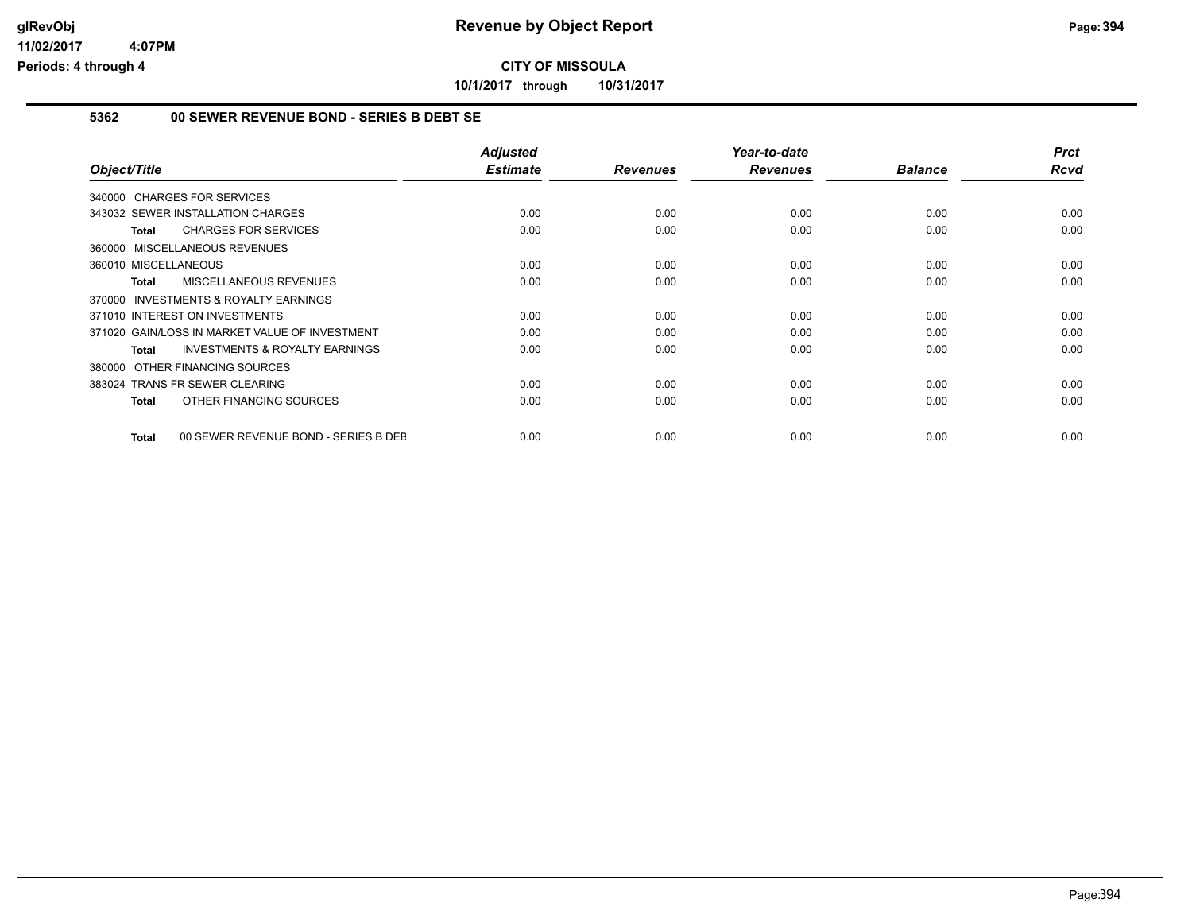**10/1/2017 through 10/31/2017**

#### **5362 00 SEWER REVENUE BOND - SERIES B DEBT SE**

| Object/Title                                              | <b>Adjusted</b><br><b>Estimate</b> | <b>Revenues</b> | Year-to-date<br><b>Revenues</b> | <b>Balance</b> | <b>Prct</b><br><b>Rcvd</b> |
|-----------------------------------------------------------|------------------------------------|-----------------|---------------------------------|----------------|----------------------------|
|                                                           |                                    |                 |                                 |                |                            |
| 340000 CHARGES FOR SERVICES                               |                                    |                 |                                 |                |                            |
| 343032 SEWER INSTALLATION CHARGES                         | 0.00                               | 0.00            | 0.00                            | 0.00           | 0.00                       |
| <b>CHARGES FOR SERVICES</b><br><b>Total</b>               | 0.00                               | 0.00            | 0.00                            | 0.00           | 0.00                       |
| 360000 MISCELLANEOUS REVENUES                             |                                    |                 |                                 |                |                            |
| 360010 MISCELLANEOUS                                      | 0.00                               | 0.00            | 0.00                            | 0.00           | 0.00                       |
| MISCELLANEOUS REVENUES<br><b>Total</b>                    | 0.00                               | 0.00            | 0.00                            | 0.00           | 0.00                       |
| 370000 INVESTMENTS & ROYALTY EARNINGS                     |                                    |                 |                                 |                |                            |
| 371010 INTEREST ON INVESTMENTS                            | 0.00                               | 0.00            | 0.00                            | 0.00           | 0.00                       |
| 371020 GAIN/LOSS IN MARKET VALUE OF INVESTMENT            | 0.00                               | 0.00            | 0.00                            | 0.00           | 0.00                       |
| <b>INVESTMENTS &amp; ROYALTY EARNINGS</b><br><b>Total</b> | 0.00                               | 0.00            | 0.00                            | 0.00           | 0.00                       |
| 380000 OTHER FINANCING SOURCES                            |                                    |                 |                                 |                |                            |
| 383024 TRANS FR SEWER CLEARING                            | 0.00                               | 0.00            | 0.00                            | 0.00           | 0.00                       |
| OTHER FINANCING SOURCES<br><b>Total</b>                   | 0.00                               | 0.00            | 0.00                            | 0.00           | 0.00                       |
|                                                           |                                    |                 |                                 |                |                            |
| 00 SEWER REVENUE BOND - SERIES B DEE<br><b>Total</b>      | 0.00                               | 0.00            | 0.00                            | 0.00           | 0.00                       |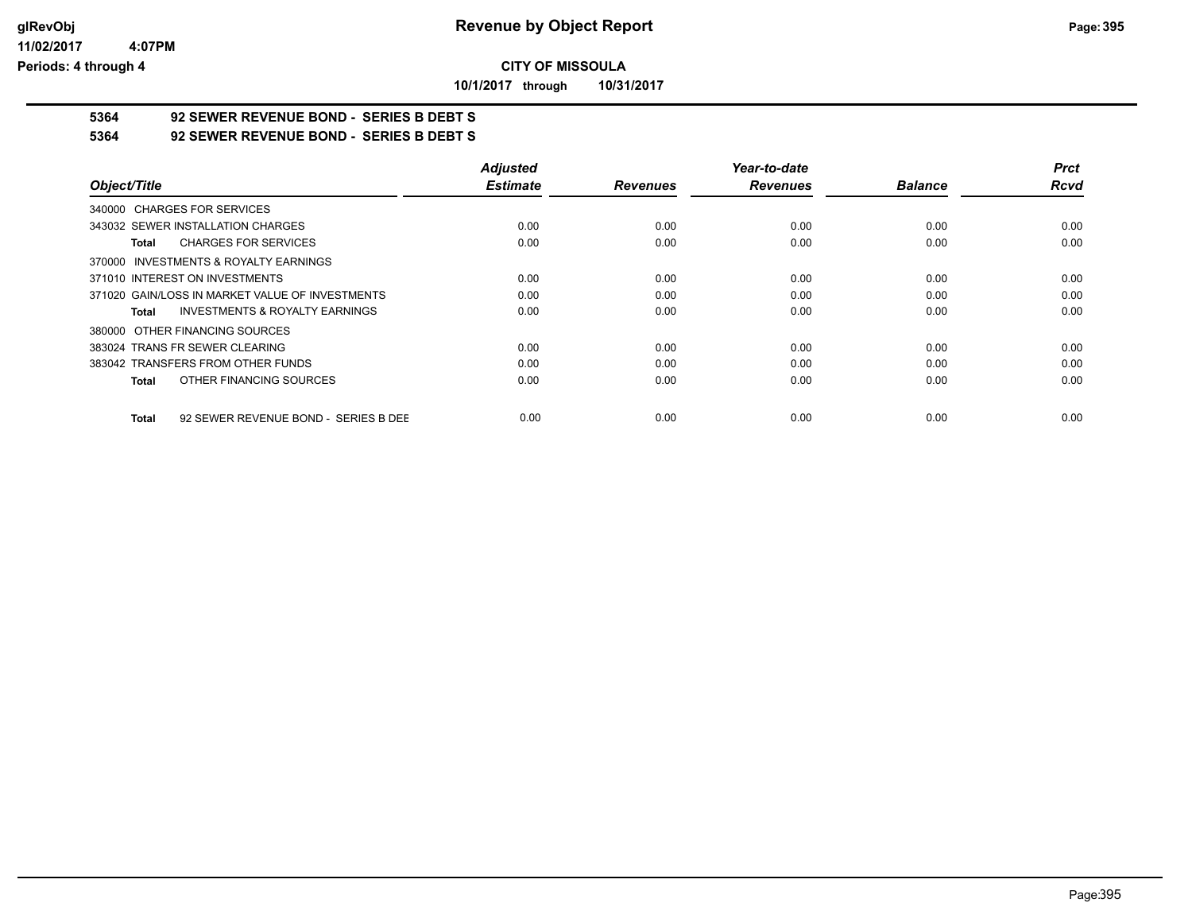**Periods: 4 through 4**

 **4:07PM**

**CITY OF MISSOULA**

**10/1/2017 through 10/31/2017**

# **5364 92 SEWER REVENUE BOND - SERIES B DEBT S**

**5364 92 SEWER REVENUE BOND - SERIES B DEBT S**

|                                                     | <b>Adjusted</b> |                 | Year-to-date    |                | <b>Prct</b> |
|-----------------------------------------------------|-----------------|-----------------|-----------------|----------------|-------------|
| Object/Title                                        | <b>Estimate</b> | <b>Revenues</b> | <b>Revenues</b> | <b>Balance</b> | Rcvd        |
| 340000 CHARGES FOR SERVICES                         |                 |                 |                 |                |             |
| 343032 SEWER INSTALLATION CHARGES                   | 0.00            | 0.00            | 0.00            | 0.00           | 0.00        |
| <b>CHARGES FOR SERVICES</b><br>Total                | 0.00            | 0.00            | 0.00            | 0.00           | 0.00        |
| <b>INVESTMENTS &amp; ROYALTY EARNINGS</b><br>370000 |                 |                 |                 |                |             |
| 371010 INTEREST ON INVESTMENTS                      | 0.00            | 0.00            | 0.00            | 0.00           | 0.00        |
| 371020 GAIN/LOSS IN MARKET VALUE OF INVESTMENTS     | 0.00            | 0.00            | 0.00            | 0.00           | 0.00        |
| <b>INVESTMENTS &amp; ROYALTY EARNINGS</b><br>Total  | 0.00            | 0.00            | 0.00            | 0.00           | 0.00        |
| 380000 OTHER FINANCING SOURCES                      |                 |                 |                 |                |             |
| 383024 TRANS FR SEWER CLEARING                      | 0.00            | 0.00            | 0.00            | 0.00           | 0.00        |
| 383042 TRANSFERS FROM OTHER FUNDS                   | 0.00            | 0.00            | 0.00            | 0.00           | 0.00        |
| OTHER FINANCING SOURCES<br>Total                    | 0.00            | 0.00            | 0.00            | 0.00           | 0.00        |
| 92 SEWER REVENUE BOND - SERIES B DEE<br>Total       | 0.00            | 0.00            | 0.00            | 0.00           | 0.00        |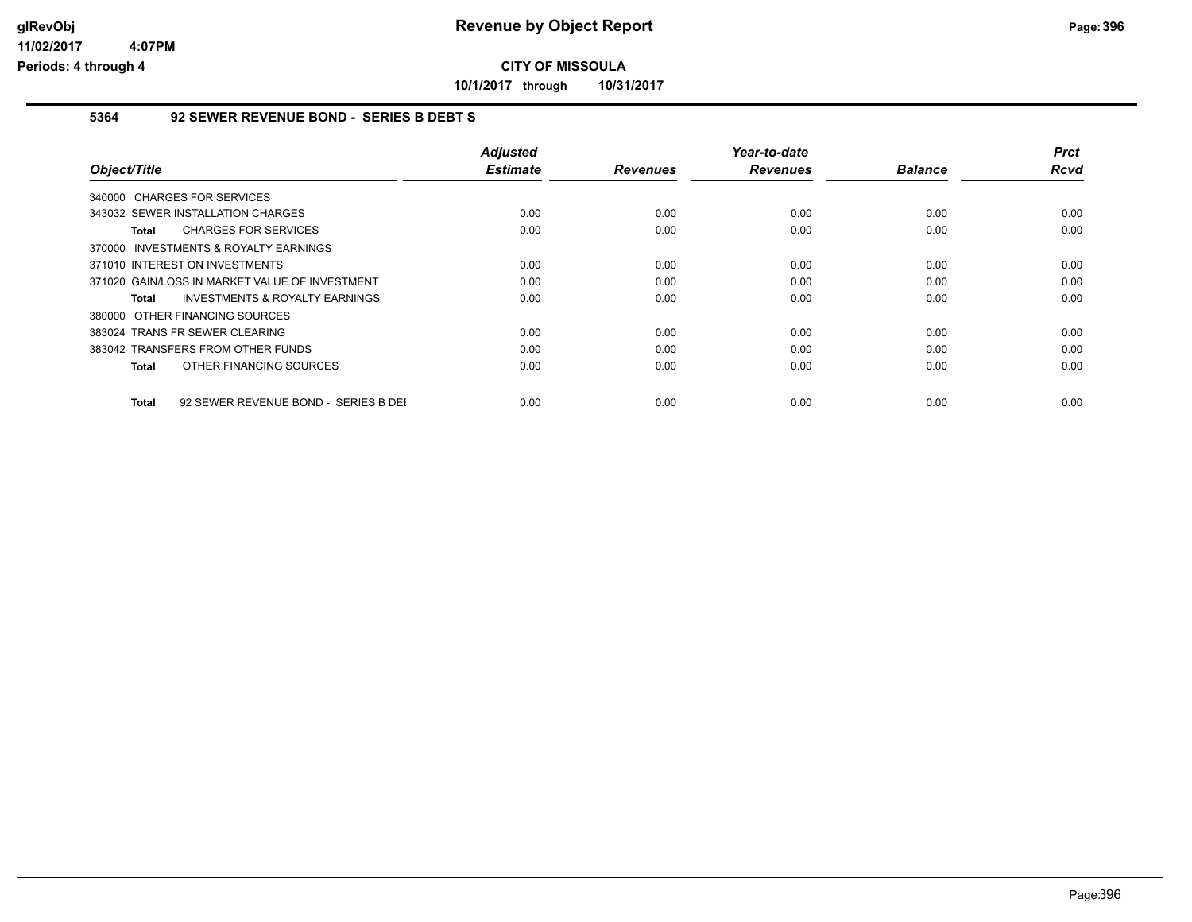**10/1/2017 through 10/31/2017**

#### **5364 92 SEWER REVENUE BOND - SERIES B DEBT S**

| Object/Title                                         | <b>Adjusted</b><br><b>Estimate</b> | <b>Revenues</b> | Year-to-date<br><b>Revenues</b> | <b>Balance</b> | <b>Prct</b><br><b>Rcvd</b> |
|------------------------------------------------------|------------------------------------|-----------------|---------------------------------|----------------|----------------------------|
| 340000 CHARGES FOR SERVICES                          |                                    |                 |                                 |                |                            |
| 343032 SEWER INSTALLATION CHARGES                    | 0.00                               | 0.00            | 0.00                            | 0.00           | 0.00                       |
| <b>CHARGES FOR SERVICES</b><br>Total                 | 0.00                               | 0.00            | 0.00                            | 0.00           | 0.00                       |
| 370000 INVESTMENTS & ROYALTY EARNINGS                |                                    |                 |                                 |                |                            |
| 371010 INTEREST ON INVESTMENTS                       | 0.00                               | 0.00            | 0.00                            | 0.00           | 0.00                       |
| 371020 GAIN/LOSS IN MARKET VALUE OF INVESTMENT       | 0.00                               | 0.00            | 0.00                            | 0.00           | 0.00                       |
| <b>INVESTMENTS &amp; ROYALTY EARNINGS</b><br>Total   | 0.00                               | 0.00            | 0.00                            | 0.00           | 0.00                       |
| 380000 OTHER FINANCING SOURCES                       |                                    |                 |                                 |                |                            |
| 383024 TRANS FR SEWER CLEARING                       | 0.00                               | 0.00            | 0.00                            | 0.00           | 0.00                       |
| 383042 TRANSFERS FROM OTHER FUNDS                    | 0.00                               | 0.00            | 0.00                            | 0.00           | 0.00                       |
| OTHER FINANCING SOURCES<br>Total                     | 0.00                               | 0.00            | 0.00                            | 0.00           | 0.00                       |
| 92 SEWER REVENUE BOND - SERIES B DEI<br><b>Total</b> | 0.00                               | 0.00            | 0.00                            | 0.00           | 0.00                       |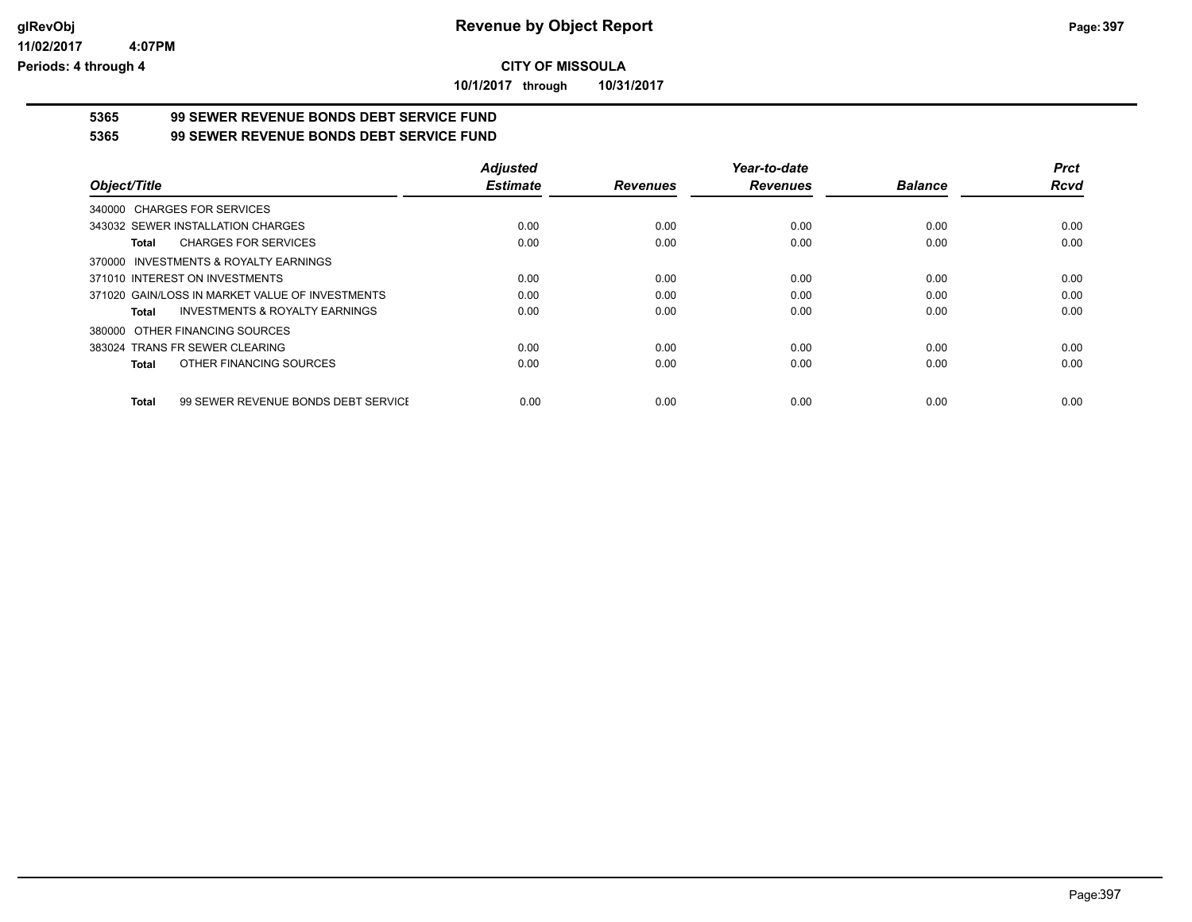**10/1/2017 through 10/31/2017**

# **5365 99 SEWER REVENUE BONDS DEBT SERVICE FUND**

# **5365 99 SEWER REVENUE BONDS DEBT SERVICE FUND**

|                                                     | <b>Adjusted</b> |                 | Year-to-date    |                | <b>Prct</b> |
|-----------------------------------------------------|-----------------|-----------------|-----------------|----------------|-------------|
| Object/Title                                        | <b>Estimate</b> | <b>Revenues</b> | <b>Revenues</b> | <b>Balance</b> | <b>Rcvd</b> |
| 340000 CHARGES FOR SERVICES                         |                 |                 |                 |                |             |
| 343032 SEWER INSTALLATION CHARGES                   | 0.00            | 0.00            | 0.00            | 0.00           | 0.00        |
| <b>CHARGES FOR SERVICES</b><br>Total                | 0.00            | 0.00            | 0.00            | 0.00           | 0.00        |
| 370000 INVESTMENTS & ROYALTY EARNINGS               |                 |                 |                 |                |             |
| 371010 INTEREST ON INVESTMENTS                      | 0.00            | 0.00            | 0.00            | 0.00           | 0.00        |
| 371020 GAIN/LOSS IN MARKET VALUE OF INVESTMENTS     | 0.00            | 0.00            | 0.00            | 0.00           | 0.00        |
| <b>INVESTMENTS &amp; ROYALTY EARNINGS</b><br>Total  | 0.00            | 0.00            | 0.00            | 0.00           | 0.00        |
| OTHER FINANCING SOURCES<br>380000                   |                 |                 |                 |                |             |
| 383024 TRANS FR SEWER CLEARING                      | 0.00            | 0.00            | 0.00            | 0.00           | 0.00        |
| OTHER FINANCING SOURCES<br>Total                    | 0.00            | 0.00            | 0.00            | 0.00           | 0.00        |
| 99 SEWER REVENUE BONDS DEBT SERVICE<br><b>Total</b> | 0.00            | 0.00            | 0.00            | 0.00           | 0.00        |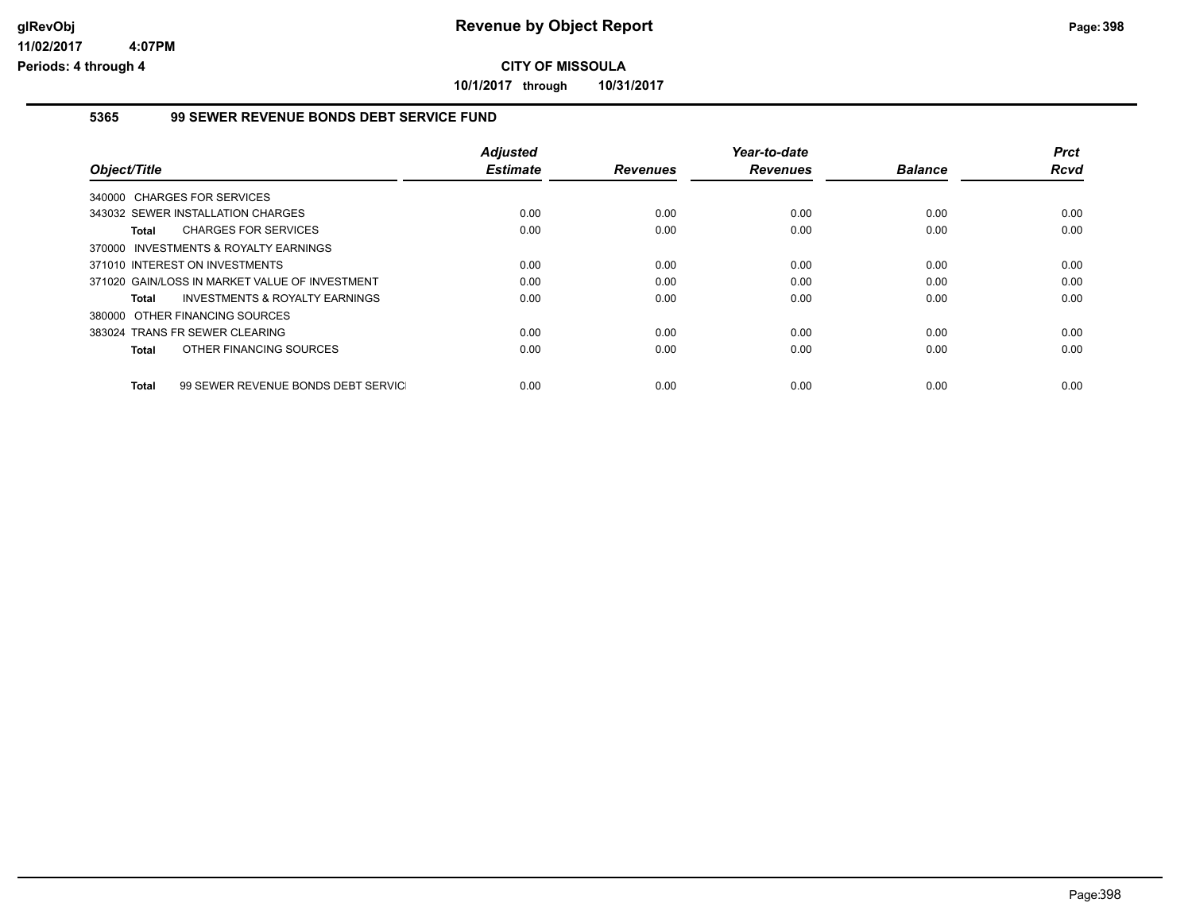**10/1/2017 through 10/31/2017**

## **5365 99 SEWER REVENUE BONDS DEBT SERVICE FUND**

| Object/Title                                       | <b>Adjusted</b><br><b>Estimate</b> | <b>Revenues</b> | Year-to-date<br><b>Revenues</b> | <b>Balance</b> | <b>Prct</b><br>Rcvd |
|----------------------------------------------------|------------------------------------|-----------------|---------------------------------|----------------|---------------------|
| 340000 CHARGES FOR SERVICES                        |                                    |                 |                                 |                |                     |
| 343032 SEWER INSTALLATION CHARGES                  | 0.00                               | 0.00            | 0.00                            | 0.00           | 0.00                |
| <b>CHARGES FOR SERVICES</b><br>Total               | 0.00                               | 0.00            | 0.00                            | 0.00           | 0.00                |
| 370000 INVESTMENTS & ROYALTY EARNINGS              |                                    |                 |                                 |                |                     |
| 371010 INTEREST ON INVESTMENTS                     | 0.00                               | 0.00            | 0.00                            | 0.00           | 0.00                |
| 371020 GAIN/LOSS IN MARKET VALUE OF INVESTMENT     | 0.00                               | 0.00            | 0.00                            | 0.00           | 0.00                |
| <b>INVESTMENTS &amp; ROYALTY EARNINGS</b><br>Total | 0.00                               | 0.00            | 0.00                            | 0.00           | 0.00                |
| 380000 OTHER FINANCING SOURCES                     |                                    |                 |                                 |                |                     |
| 383024 TRANS FR SEWER CLEARING                     | 0.00                               | 0.00            | 0.00                            | 0.00           | 0.00                |
| OTHER FINANCING SOURCES<br>Total                   | 0.00                               | 0.00            | 0.00                            | 0.00           | 0.00                |
| 99 SEWER REVENUE BONDS DEBT SERVIC<br>Total        | 0.00                               | 0.00            | 0.00                            | 0.00           | 0.00                |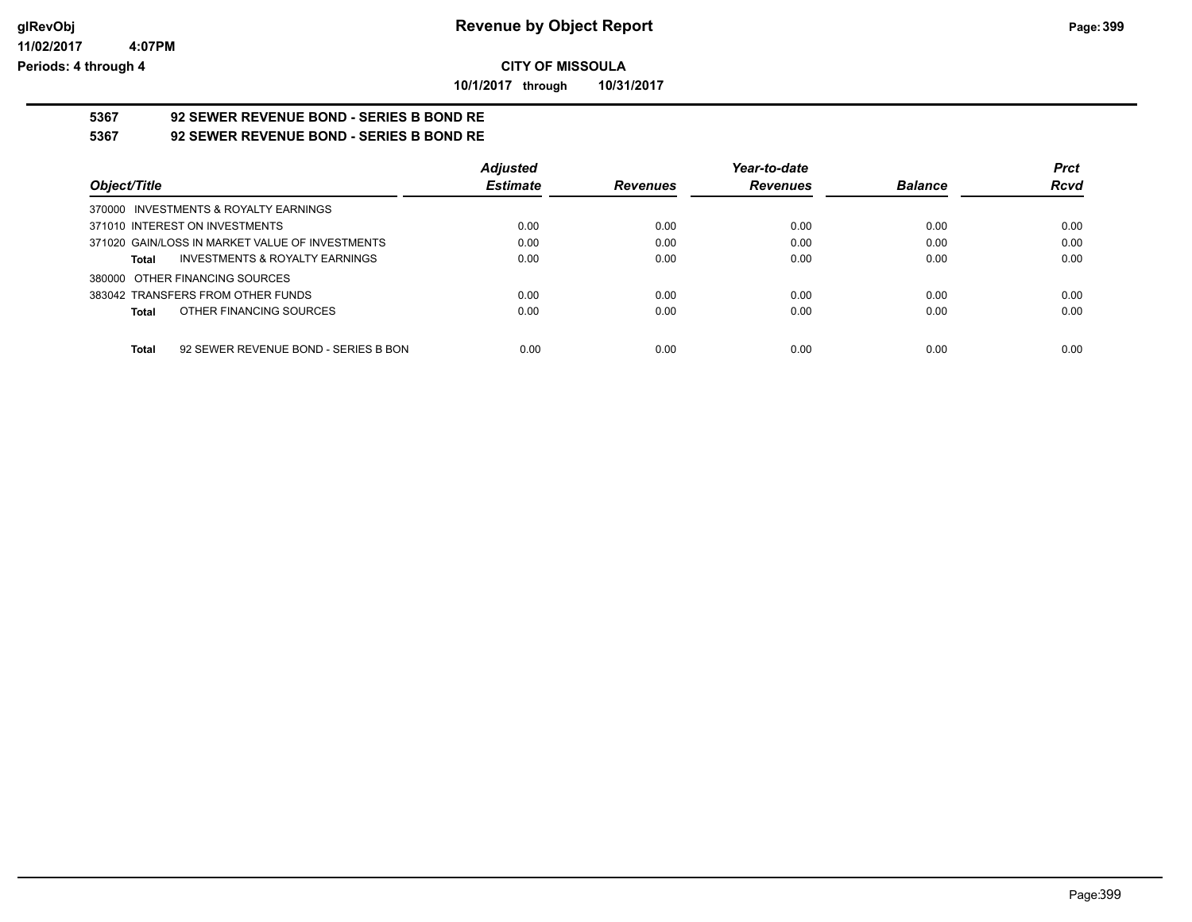#### **10/1/2017 through 10/31/2017**

# **5367 92 SEWER REVENUE BOND - SERIES B BOND RE**

**5367 92 SEWER REVENUE BOND - SERIES B BOND RE**

|                                                 | <b>Adjusted</b> |                 | Year-to-date    |                | <b>Prct</b> |
|-------------------------------------------------|-----------------|-----------------|-----------------|----------------|-------------|
| Object/Title                                    | <b>Estimate</b> | <b>Revenues</b> | <b>Revenues</b> | <b>Balance</b> | <b>Rcvd</b> |
| 370000 INVESTMENTS & ROYALTY EARNINGS           |                 |                 |                 |                |             |
| 371010 INTEREST ON INVESTMENTS                  | 0.00            | 0.00            | 0.00            | 0.00           | 0.00        |
| 371020 GAIN/LOSS IN MARKET VALUE OF INVESTMENTS | 0.00            | 0.00            | 0.00            | 0.00           | 0.00        |
| INVESTMENTS & ROYALTY EARNINGS<br>Total         | 0.00            | 0.00            | 0.00            | 0.00           | 0.00        |
| 380000 OTHER FINANCING SOURCES                  |                 |                 |                 |                |             |
| 383042 TRANSFERS FROM OTHER FUNDS               | 0.00            | 0.00            | 0.00            | 0.00           | 0.00        |
| OTHER FINANCING SOURCES<br>Total                | 0.00            | 0.00            | 0.00            | 0.00           | 0.00        |
|                                                 |                 |                 |                 |                |             |
| Total<br>92 SEWER REVENUE BOND - SERIES B BON   | 0.00            | 0.00            | 0.00            | 0.00           | 0.00        |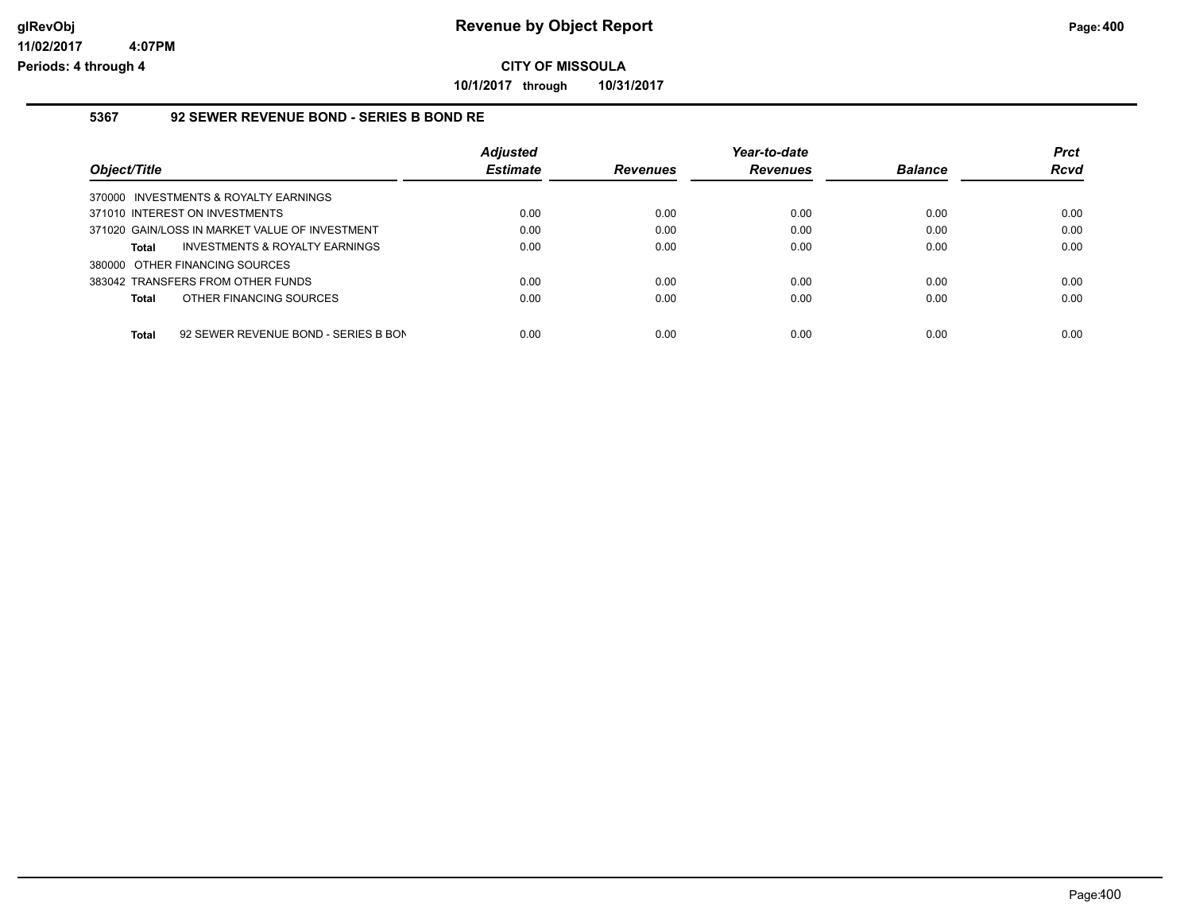**10/1/2017 through 10/31/2017**

# **5367 92 SEWER REVENUE BOND - SERIES B BOND RE**

|                                                      | <b>Adjusted</b> |                 | Year-to-date    |                | <b>Prct</b> |
|------------------------------------------------------|-----------------|-----------------|-----------------|----------------|-------------|
| Object/Title                                         | <b>Estimate</b> | <b>Revenues</b> | <b>Revenues</b> | <b>Balance</b> | <b>Rcvd</b> |
| 370000 INVESTMENTS & ROYALTY EARNINGS                |                 |                 |                 |                |             |
| 371010 INTEREST ON INVESTMENTS                       | 0.00            | 0.00            | 0.00            | 0.00           | 0.00        |
| 371020 GAIN/LOSS IN MARKET VALUE OF INVESTMENT       | 0.00            | 0.00            | 0.00            | 0.00           | 0.00        |
| INVESTMENTS & ROYALTY EARNINGS<br>Total              | 0.00            | 0.00            | 0.00            | 0.00           | 0.00        |
| 380000 OTHER FINANCING SOURCES                       |                 |                 |                 |                |             |
| 383042 TRANSFERS FROM OTHER FUNDS                    | 0.00            | 0.00            | 0.00            | 0.00           | 0.00        |
| OTHER FINANCING SOURCES<br>Total                     | 0.00            | 0.00            | 0.00            | 0.00           | 0.00        |
|                                                      |                 |                 |                 |                |             |
| 92 SEWER REVENUE BOND - SERIES B BON<br><b>Total</b> | 0.00            | 0.00            | 0.00            | 0.00           | 0.00        |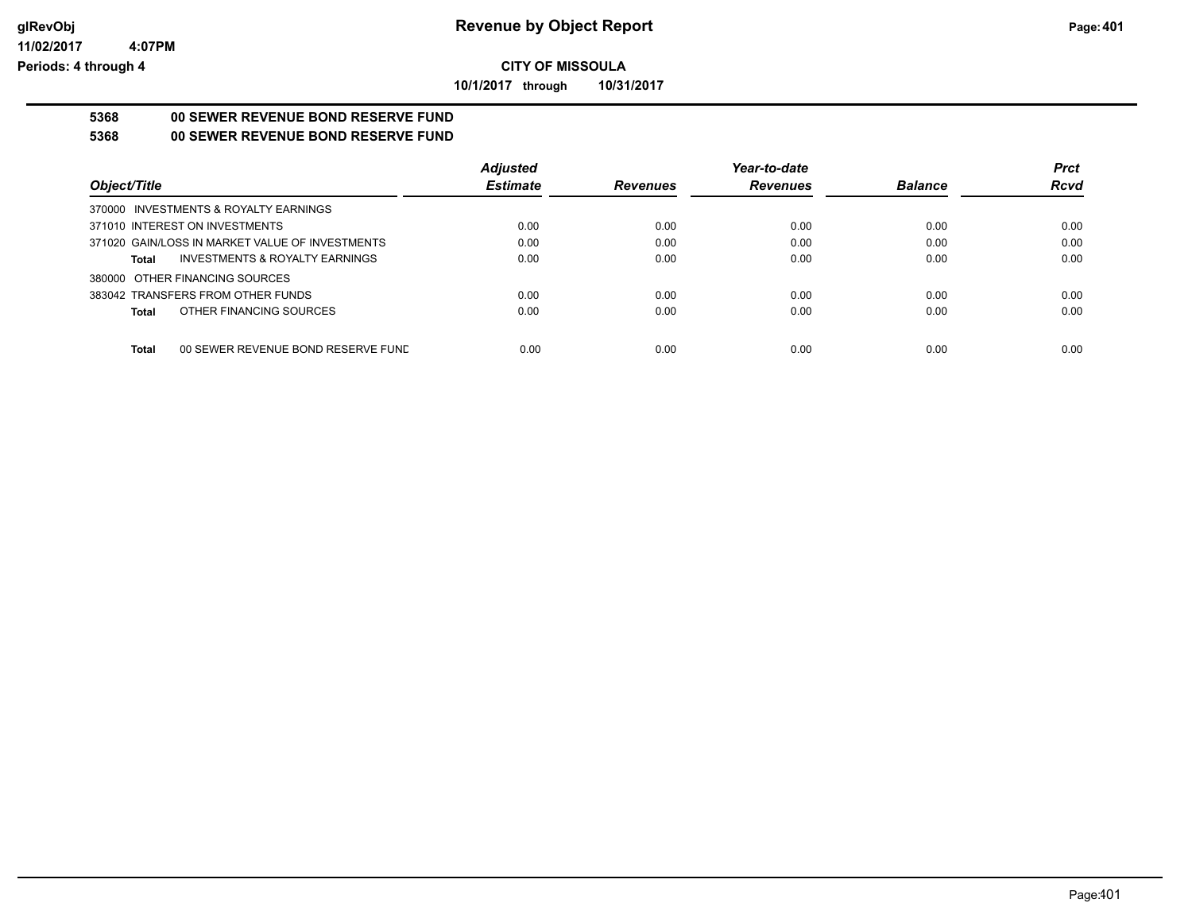**10/1/2017 through 10/31/2017**

# **5368 00 SEWER REVENUE BOND RESERVE FUND**

# **5368 00 SEWER REVENUE BOND RESERVE FUND**

|                                                 | <b>Adjusted</b> |                 | Year-to-date    |                | <b>Prct</b> |
|-------------------------------------------------|-----------------|-----------------|-----------------|----------------|-------------|
| Object/Title                                    | <b>Estimate</b> | <b>Revenues</b> | <b>Revenues</b> | <b>Balance</b> | <b>Rcvd</b> |
| 370000 INVESTMENTS & ROYALTY EARNINGS           |                 |                 |                 |                |             |
| 371010 INTEREST ON INVESTMENTS                  | 0.00            | 0.00            | 0.00            | 0.00           | 0.00        |
| 371020 GAIN/LOSS IN MARKET VALUE OF INVESTMENTS | 0.00            | 0.00            | 0.00            | 0.00           | 0.00        |
| INVESTMENTS & ROYALTY EARNINGS<br>Total         | 0.00            | 0.00            | 0.00            | 0.00           | 0.00        |
| 380000 OTHER FINANCING SOURCES                  |                 |                 |                 |                |             |
| 383042 TRANSFERS FROM OTHER FUNDS               | 0.00            | 0.00            | 0.00            | 0.00           | 0.00        |
| OTHER FINANCING SOURCES<br>Total                | 0.00            | 0.00            | 0.00            | 0.00           | 0.00        |
|                                                 |                 |                 |                 |                |             |
| Total<br>00 SEWER REVENUE BOND RESERVE FUND     | 0.00            | 0.00            | 0.00            | 0.00           | 0.00        |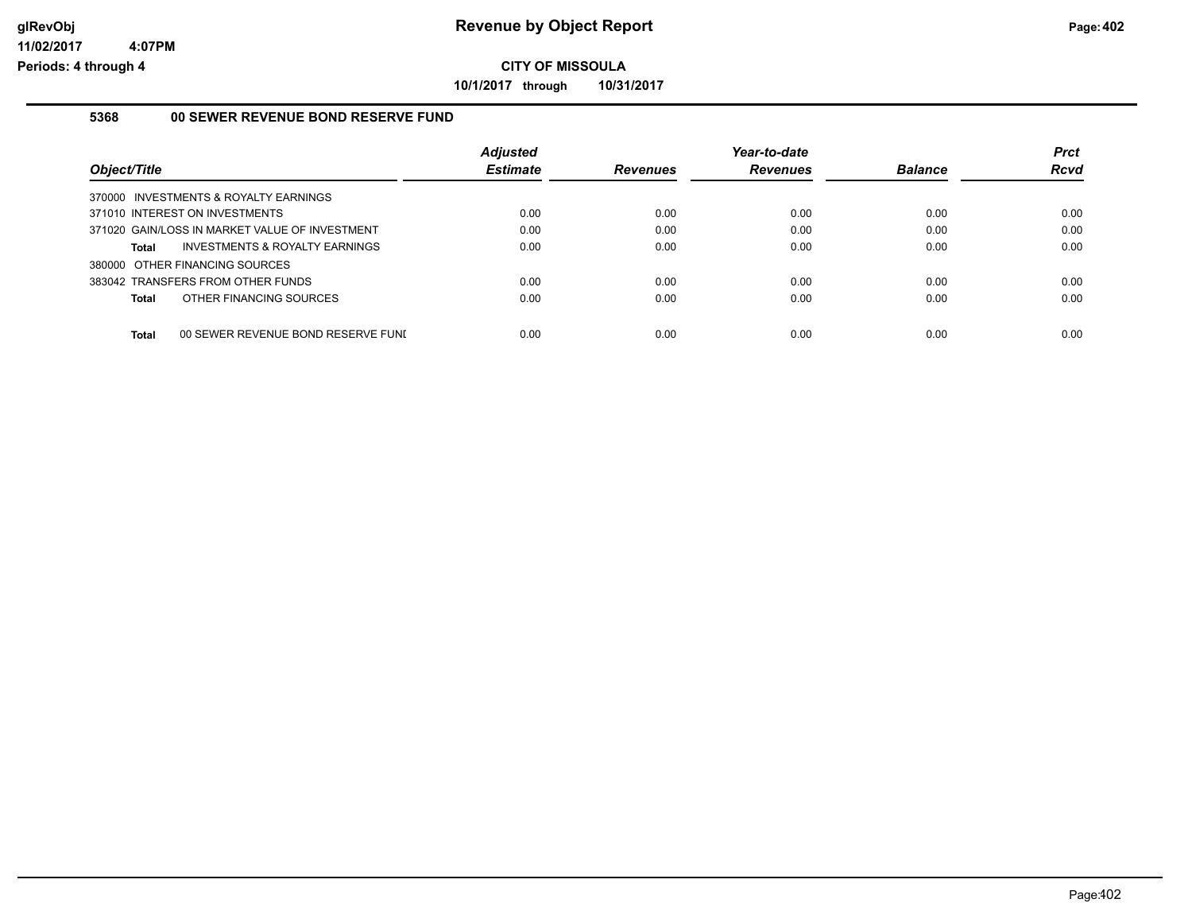**10/1/2017 through 10/31/2017**

## **5368 00 SEWER REVENUE BOND RESERVE FUND**

|                                                           | <b>Adjusted</b> |                 | Year-to-date    |                | <b>Prct</b> |
|-----------------------------------------------------------|-----------------|-----------------|-----------------|----------------|-------------|
| Object/Title                                              | <b>Estimate</b> | <b>Revenues</b> | <b>Revenues</b> | <b>Balance</b> | Rcvd        |
| 370000 INVESTMENTS & ROYALTY EARNINGS                     |                 |                 |                 |                |             |
| 371010 INTEREST ON INVESTMENTS                            | 0.00            | 0.00            | 0.00            | 0.00           | 0.00        |
| 371020 GAIN/LOSS IN MARKET VALUE OF INVESTMENT            | 0.00            | 0.00            | 0.00            | 0.00           | 0.00        |
| <b>INVESTMENTS &amp; ROYALTY EARNINGS</b><br><b>Total</b> | 0.00            | 0.00            | 0.00            | 0.00           | 0.00        |
| 380000 OTHER FINANCING SOURCES                            |                 |                 |                 |                |             |
| 383042 TRANSFERS FROM OTHER FUNDS                         | 0.00            | 0.00            | 0.00            | 0.00           | 0.00        |
| OTHER FINANCING SOURCES<br><b>Total</b>                   | 0.00            | 0.00            | 0.00            | 0.00           | 0.00        |
|                                                           |                 |                 |                 |                |             |
| <b>Total</b><br>00 SEWER REVENUE BOND RESERVE FUNI        | 0.00            | 0.00            | 0.00            | 0.00           | 0.00        |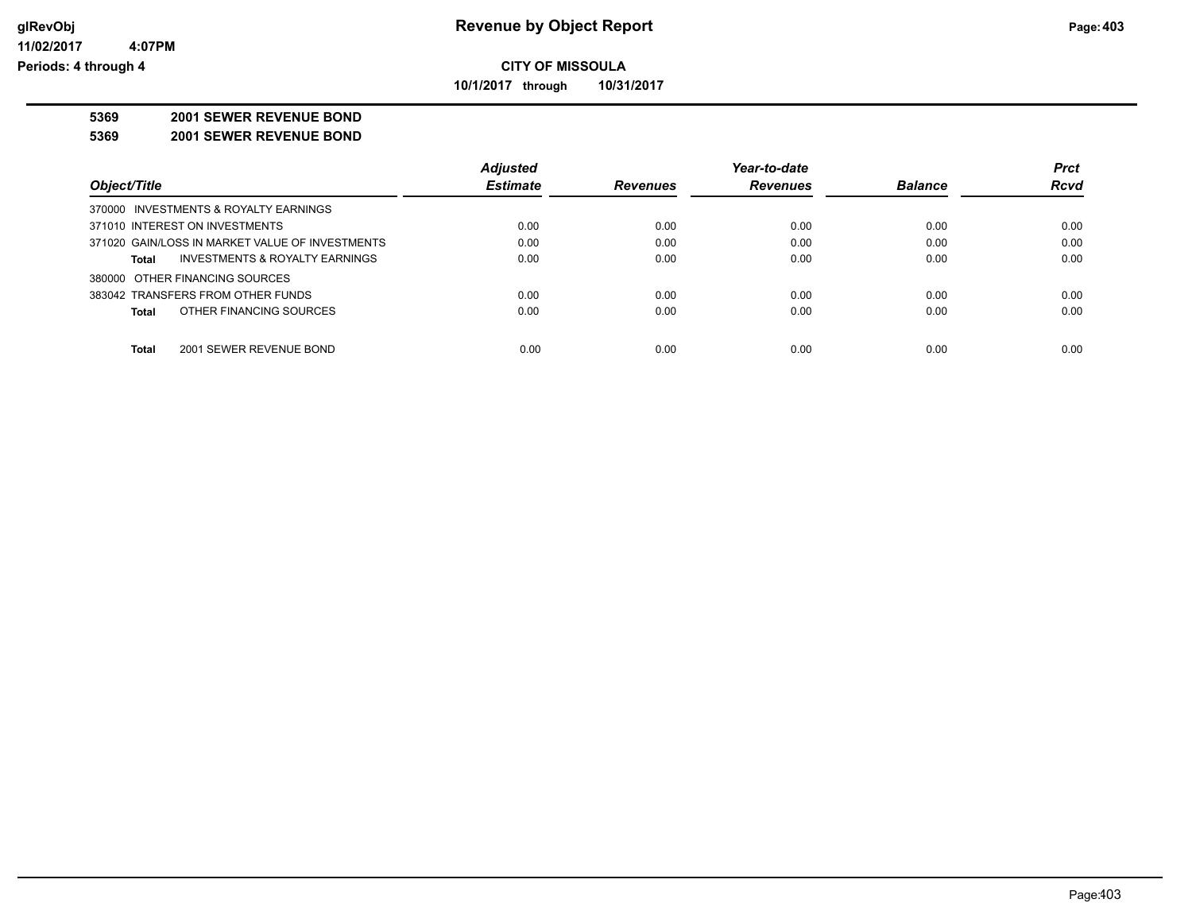**10/1/2017 through 10/31/2017**

# **5369 2001 SEWER REVENUE BOND**

**5369 2001 SEWER REVENUE BOND**

|                                                 | <b>Adjusted</b> |                 | Year-to-date    |                | <b>Prct</b> |
|-------------------------------------------------|-----------------|-----------------|-----------------|----------------|-------------|
| Object/Title                                    | <b>Estimate</b> | <b>Revenues</b> | <b>Revenues</b> | <b>Balance</b> | <b>Rcvd</b> |
| 370000 INVESTMENTS & ROYALTY EARNINGS           |                 |                 |                 |                |             |
| 371010 INTEREST ON INVESTMENTS                  | 0.00            | 0.00            | 0.00            | 0.00           | 0.00        |
| 371020 GAIN/LOSS IN MARKET VALUE OF INVESTMENTS | 0.00            | 0.00            | 0.00            | 0.00           | 0.00        |
| INVESTMENTS & ROYALTY EARNINGS<br>Total         | 0.00            | 0.00            | 0.00            | 0.00           | 0.00        |
| 380000 OTHER FINANCING SOURCES                  |                 |                 |                 |                |             |
| 383042 TRANSFERS FROM OTHER FUNDS               | 0.00            | 0.00            | 0.00            | 0.00           | 0.00        |
| OTHER FINANCING SOURCES<br><b>Total</b>         | 0.00            | 0.00            | 0.00            | 0.00           | 0.00        |
| <b>Total</b><br>2001 SEWER REVENUE BOND         | 0.00            | 0.00            | 0.00            | 0.00           | 0.00        |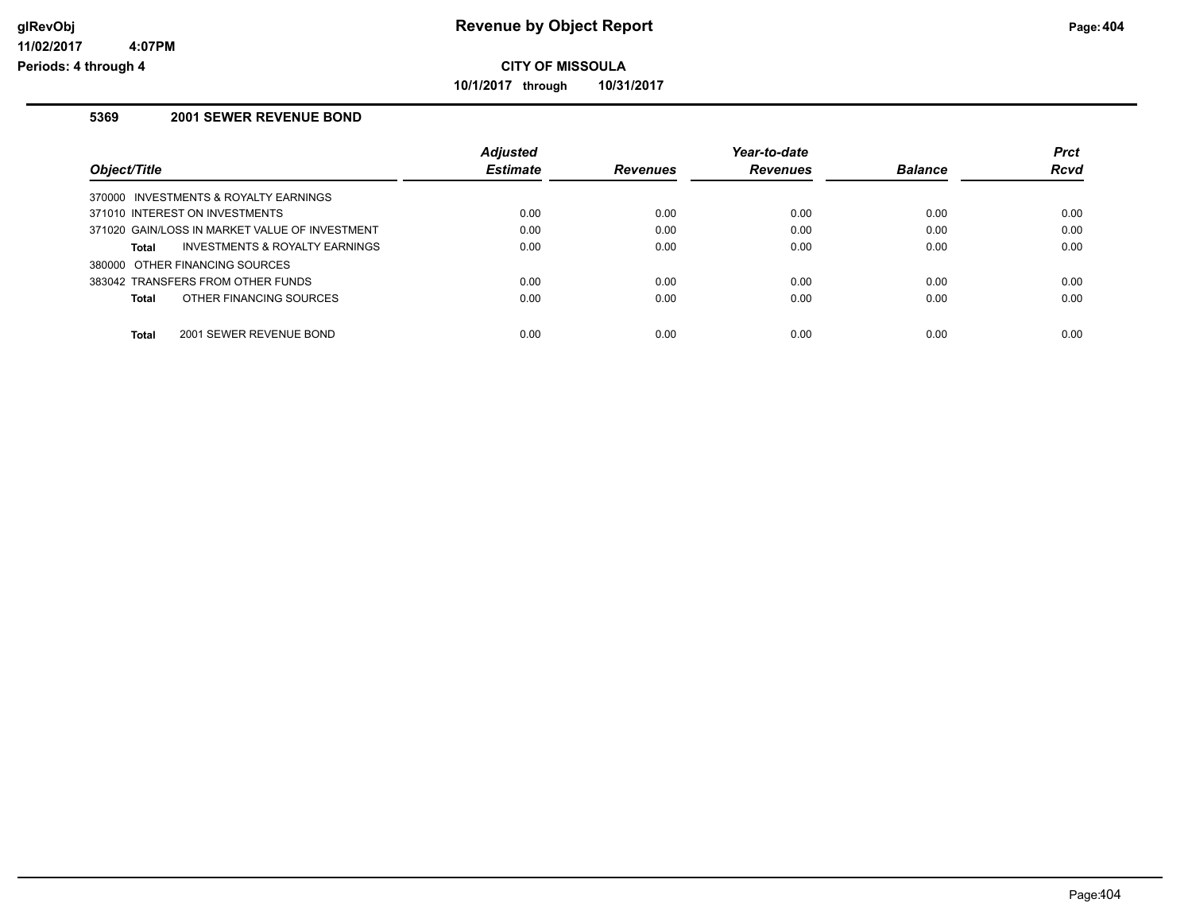**Periods: 4 through 4**

**CITY OF MISSOULA**

**10/1/2017 through 10/31/2017**

# **5369 2001 SEWER REVENUE BOND**

|                                                | <b>Adjusted</b> |                 | Year-to-date    |                | <b>Prct</b> |
|------------------------------------------------|-----------------|-----------------|-----------------|----------------|-------------|
| Object/Title                                   | <b>Estimate</b> | <b>Revenues</b> | <b>Revenues</b> | <b>Balance</b> | <b>Rcvd</b> |
| 370000 INVESTMENTS & ROYALTY EARNINGS          |                 |                 |                 |                |             |
| 371010 INTEREST ON INVESTMENTS                 | 0.00            | 0.00            | 0.00            | 0.00           | 0.00        |
| 371020 GAIN/LOSS IN MARKET VALUE OF INVESTMENT | 0.00            | 0.00            | 0.00            | 0.00           | 0.00        |
| INVESTMENTS & ROYALTY EARNINGS<br>Total        | 0.00            | 0.00            | 0.00            | 0.00           | 0.00        |
| 380000 OTHER FINANCING SOURCES                 |                 |                 |                 |                |             |
| 383042 TRANSFERS FROM OTHER FUNDS              | 0.00            | 0.00            | 0.00            | 0.00           | 0.00        |
| OTHER FINANCING SOURCES<br>Total               | 0.00            | 0.00            | 0.00            | 0.00           | 0.00        |
|                                                |                 |                 |                 |                |             |
| Total<br>2001 SEWER REVENUE BOND               | 0.00            | 0.00            | 0.00            | 0.00           | 0.00        |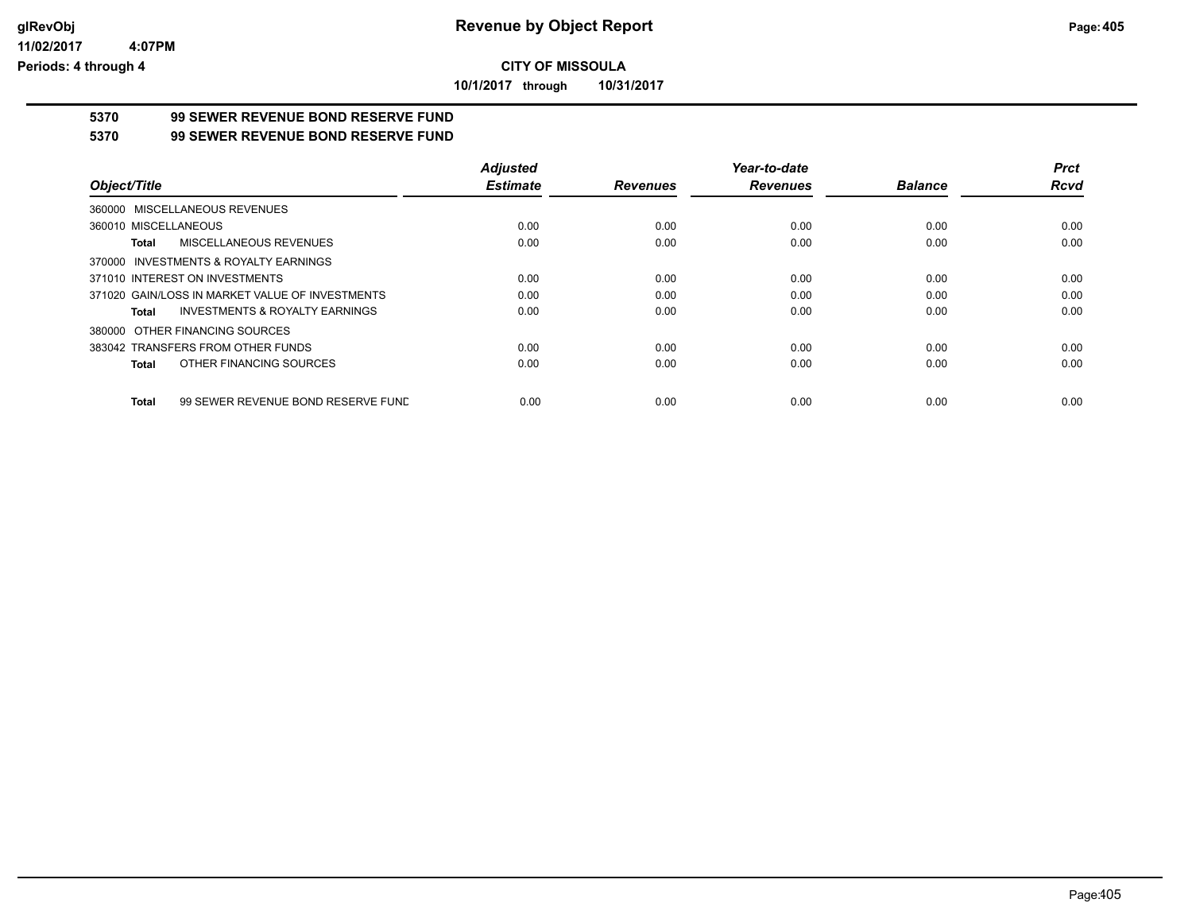**10/1/2017 through 10/31/2017**

# **5370 99 SEWER REVENUE BOND RESERVE FUND**

# **5370 99 SEWER REVENUE BOND RESERVE FUND**

| Object/Title                                       | <b>Adjusted</b><br><b>Estimate</b> | <b>Revenues</b> | Year-to-date<br><b>Revenues</b> | <b>Balance</b> | <b>Prct</b><br><b>Rcvd</b> |
|----------------------------------------------------|------------------------------------|-----------------|---------------------------------|----------------|----------------------------|
| 360000 MISCELLANEOUS REVENUES                      |                                    |                 |                                 |                |                            |
|                                                    |                                    |                 |                                 |                |                            |
| 360010 MISCELLANEOUS                               | 0.00                               | 0.00            | 0.00                            | 0.00           | 0.00                       |
| MISCELLANEOUS REVENUES<br>Total                    | 0.00                               | 0.00            | 0.00                            | 0.00           | 0.00                       |
| 370000 INVESTMENTS & ROYALTY EARNINGS              |                                    |                 |                                 |                |                            |
| 371010 INTEREST ON INVESTMENTS                     | 0.00                               | 0.00            | 0.00                            | 0.00           | 0.00                       |
| 371020 GAIN/LOSS IN MARKET VALUE OF INVESTMENTS    | 0.00                               | 0.00            | 0.00                            | 0.00           | 0.00                       |
| <b>INVESTMENTS &amp; ROYALTY EARNINGS</b><br>Total | 0.00                               | 0.00            | 0.00                            | 0.00           | 0.00                       |
| 380000 OTHER FINANCING SOURCES                     |                                    |                 |                                 |                |                            |
| 383042 TRANSFERS FROM OTHER FUNDS                  | 0.00                               | 0.00            | 0.00                            | 0.00           | 0.00                       |
| OTHER FINANCING SOURCES<br>Total                   | 0.00                               | 0.00            | 0.00                            | 0.00           | 0.00                       |
| 99 SEWER REVENUE BOND RESERVE FUND<br><b>Total</b> | 0.00                               | 0.00            | 0.00                            | 0.00           | 0.00                       |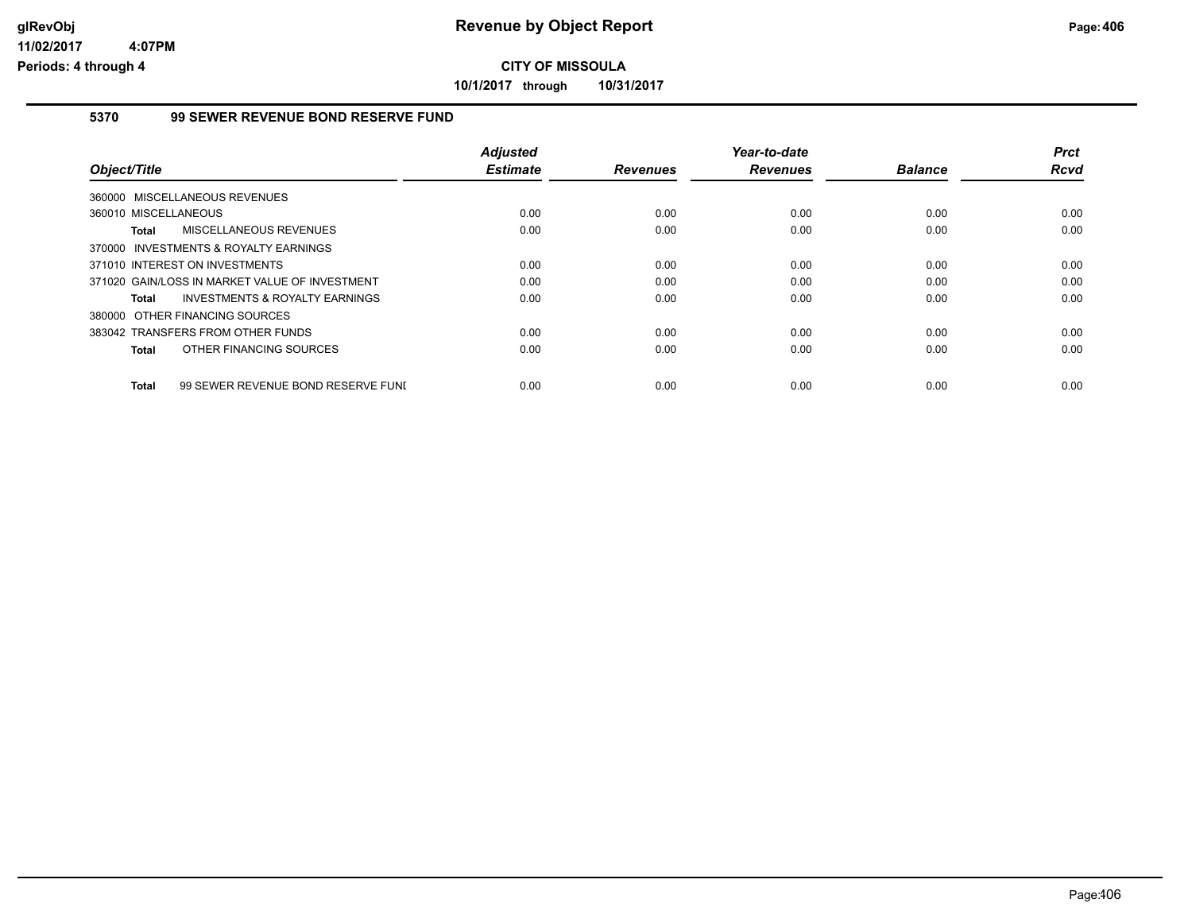**10/1/2017 through 10/31/2017**

# **5370 99 SEWER REVENUE BOND RESERVE FUND**

|                                                    | <b>Adjusted</b> |                 | Year-to-date    |                | <b>Prct</b> |
|----------------------------------------------------|-----------------|-----------------|-----------------|----------------|-------------|
| Object/Title                                       | <b>Estimate</b> | <b>Revenues</b> | <b>Revenues</b> | <b>Balance</b> | <b>Rcvd</b> |
| 360000 MISCELLANEOUS REVENUES                      |                 |                 |                 |                |             |
| 360010 MISCELLANEOUS                               | 0.00            | 0.00            | 0.00            | 0.00           | 0.00        |
| MISCELLANEOUS REVENUES<br>Total                    | 0.00            | 0.00            | 0.00            | 0.00           | 0.00        |
| 370000 INVESTMENTS & ROYALTY EARNINGS              |                 |                 |                 |                |             |
| 371010 INTEREST ON INVESTMENTS                     | 0.00            | 0.00            | 0.00            | 0.00           | 0.00        |
| 371020 GAIN/LOSS IN MARKET VALUE OF INVESTMENT     | 0.00            | 0.00            | 0.00            | 0.00           | 0.00        |
| <b>INVESTMENTS &amp; ROYALTY EARNINGS</b><br>Total | 0.00            | 0.00            | 0.00            | 0.00           | 0.00        |
| 380000 OTHER FINANCING SOURCES                     |                 |                 |                 |                |             |
| 383042 TRANSFERS FROM OTHER FUNDS                  | 0.00            | 0.00            | 0.00            | 0.00           | 0.00        |
| OTHER FINANCING SOURCES<br>Total                   | 0.00            | 0.00            | 0.00            | 0.00           | 0.00        |
| <b>Total</b><br>99 SEWER REVENUE BOND RESERVE FUNI | 0.00            | 0.00            | 0.00            | 0.00           | 0.00        |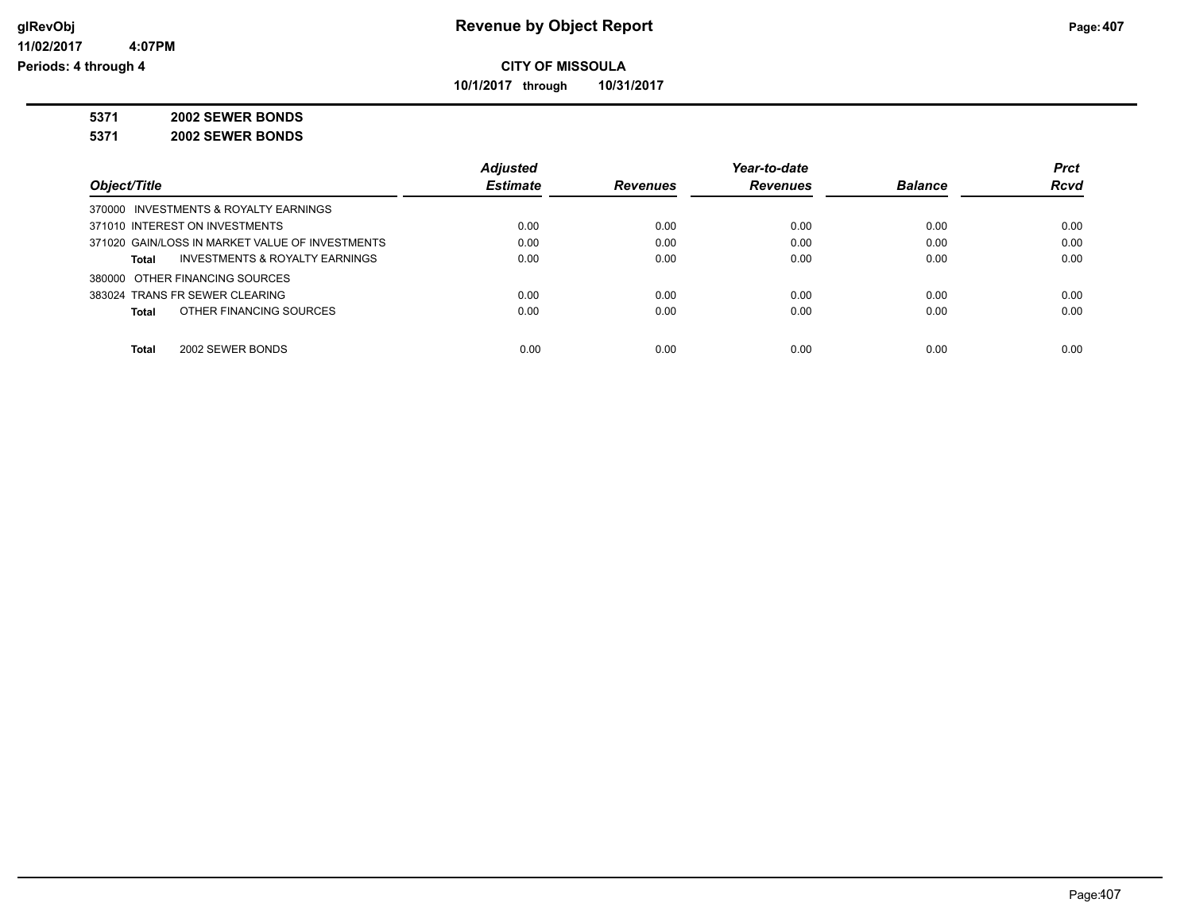**10/1/2017 through 10/31/2017**

# **5371 2002 SEWER BONDS**

**5371 2002 SEWER BONDS**

|                                                 | <b>Adjusted</b> |                 | Year-to-date    |                | <b>Prct</b> |
|-------------------------------------------------|-----------------|-----------------|-----------------|----------------|-------------|
| Object/Title                                    | <b>Estimate</b> | <b>Revenues</b> | <b>Revenues</b> | <b>Balance</b> | <b>Rcvd</b> |
| 370000 INVESTMENTS & ROYALTY EARNINGS           |                 |                 |                 |                |             |
| 371010 INTEREST ON INVESTMENTS                  | 0.00            | 0.00            | 0.00            | 0.00           | 0.00        |
| 371020 GAIN/LOSS IN MARKET VALUE OF INVESTMENTS | 0.00            | 0.00            | 0.00            | 0.00           | 0.00        |
| INVESTMENTS & ROYALTY EARNINGS<br>Total         | 0.00            | 0.00            | 0.00            | 0.00           | 0.00        |
| 380000 OTHER FINANCING SOURCES                  |                 |                 |                 |                |             |
| 383024 TRANS FR SEWER CLEARING                  | 0.00            | 0.00            | 0.00            | 0.00           | 0.00        |
| OTHER FINANCING SOURCES<br>Total                | 0.00            | 0.00            | 0.00            | 0.00           | 0.00        |
|                                                 |                 |                 |                 |                |             |
| Total<br>2002 SEWER BONDS                       | 0.00            | 0.00            | 0.00            | 0.00           | 0.00        |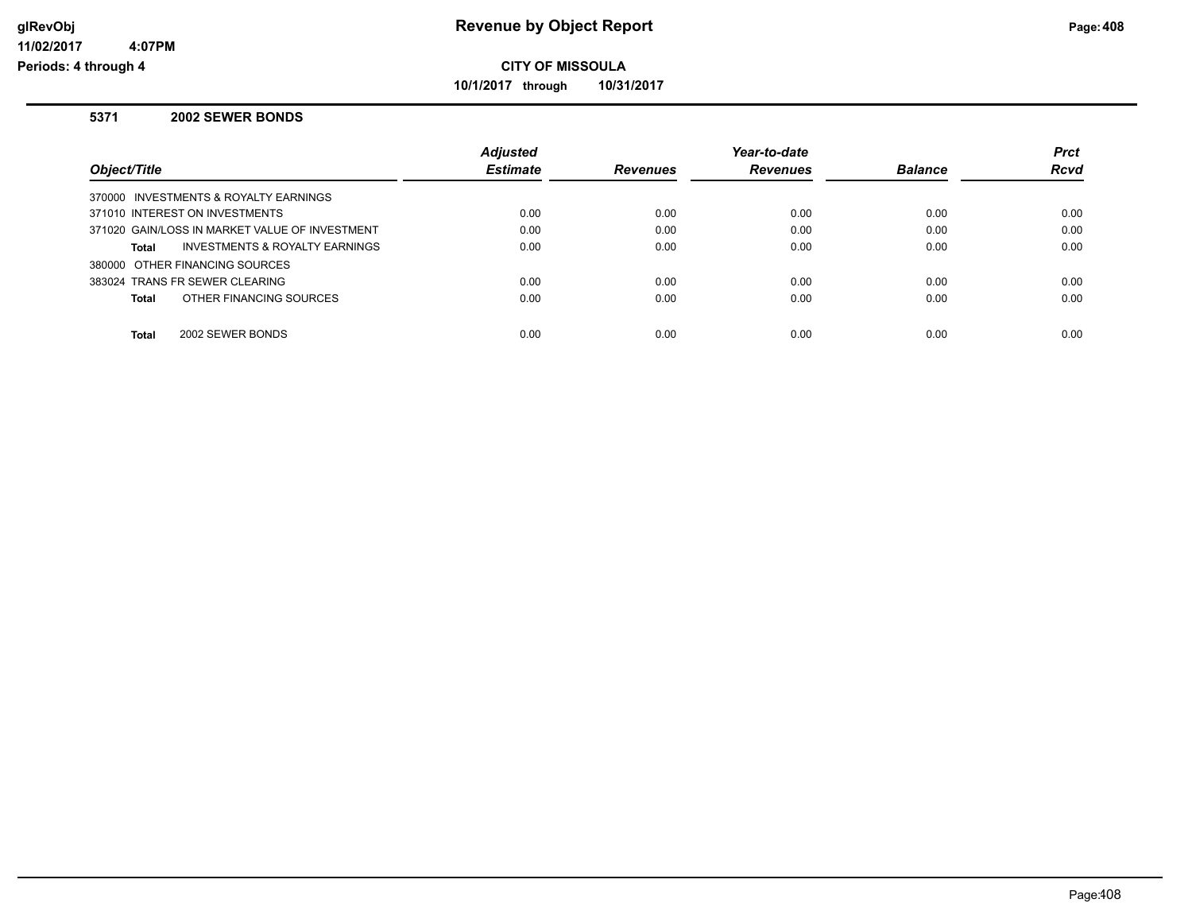**10/1/2017 through 10/31/2017**

#### **5371 2002 SEWER BONDS**

|                                                | <b>Adjusted</b> |                 | Year-to-date    |                | <b>Prct</b> |
|------------------------------------------------|-----------------|-----------------|-----------------|----------------|-------------|
| Object/Title                                   | <b>Estimate</b> | <b>Revenues</b> | <b>Revenues</b> | <b>Balance</b> | <b>Rcvd</b> |
| 370000 INVESTMENTS & ROYALTY EARNINGS          |                 |                 |                 |                |             |
| 371010 INTEREST ON INVESTMENTS                 | 0.00            | 0.00            | 0.00            | 0.00           | 0.00        |
| 371020 GAIN/LOSS IN MARKET VALUE OF INVESTMENT | 0.00            | 0.00            | 0.00            | 0.00           | 0.00        |
| INVESTMENTS & ROYALTY EARNINGS<br>Total        | 0.00            | 0.00            | 0.00            | 0.00           | 0.00        |
| 380000 OTHER FINANCING SOURCES                 |                 |                 |                 |                |             |
| 383024 TRANS FR SEWER CLEARING                 | 0.00            | 0.00            | 0.00            | 0.00           | 0.00        |
| OTHER FINANCING SOURCES<br>Total               | 0.00            | 0.00            | 0.00            | 0.00           | 0.00        |
|                                                |                 |                 |                 |                |             |
| Total<br>2002 SEWER BONDS                      | 0.00            | 0.00            | 0.00            | 0.00           | 0.00        |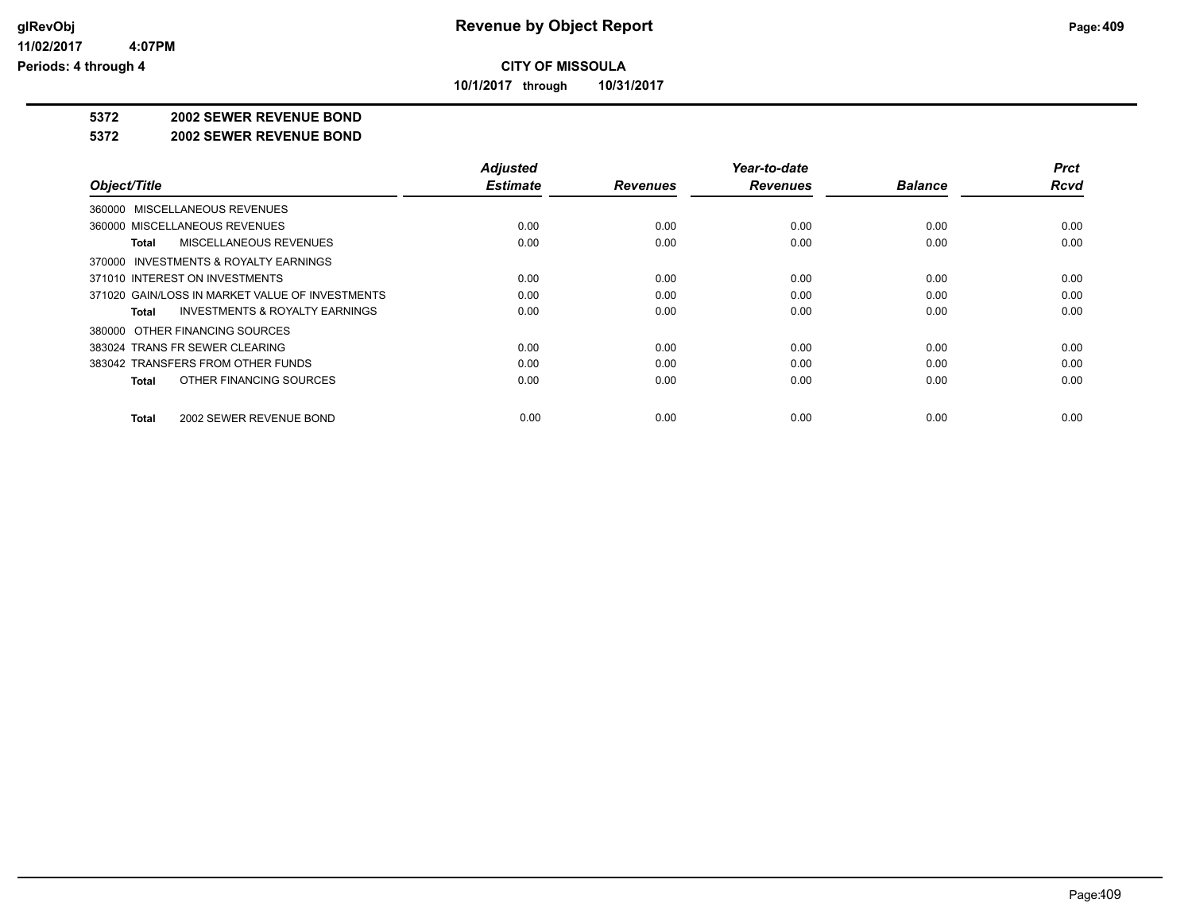**10/1/2017 through 10/31/2017**

#### **5372 2002 SEWER REVENUE BOND**

#### **5372 2002 SEWER REVENUE BOND**

|                                                    | <b>Adjusted</b> |                 | Year-to-date    |                | <b>Prct</b> |
|----------------------------------------------------|-----------------|-----------------|-----------------|----------------|-------------|
| Object/Title                                       | <b>Estimate</b> | <b>Revenues</b> | <b>Revenues</b> | <b>Balance</b> | <b>Rcvd</b> |
| 360000 MISCELLANEOUS REVENUES                      |                 |                 |                 |                |             |
| 360000 MISCELLANEOUS REVENUES                      | 0.00            | 0.00            | 0.00            | 0.00           | 0.00        |
| MISCELLANEOUS REVENUES<br>Total                    | 0.00            | 0.00            | 0.00            | 0.00           | 0.00        |
| 370000 INVESTMENTS & ROYALTY EARNINGS              |                 |                 |                 |                |             |
| 371010 INTEREST ON INVESTMENTS                     | 0.00            | 0.00            | 0.00            | 0.00           | 0.00        |
| 371020 GAIN/LOSS IN MARKET VALUE OF INVESTMENTS    | 0.00            | 0.00            | 0.00            | 0.00           | 0.00        |
| <b>INVESTMENTS &amp; ROYALTY EARNINGS</b><br>Total | 0.00            | 0.00            | 0.00            | 0.00           | 0.00        |
| 380000 OTHER FINANCING SOURCES                     |                 |                 |                 |                |             |
| 383024 TRANS FR SEWER CLEARING                     | 0.00            | 0.00            | 0.00            | 0.00           | 0.00        |
| 383042 TRANSFERS FROM OTHER FUNDS                  | 0.00            | 0.00            | 0.00            | 0.00           | 0.00        |
| OTHER FINANCING SOURCES<br>Total                   | 0.00            | 0.00            | 0.00            | 0.00           | 0.00        |
| 2002 SEWER REVENUE BOND<br>Total                   | 0.00            | 0.00            | 0.00            | 0.00           | 0.00        |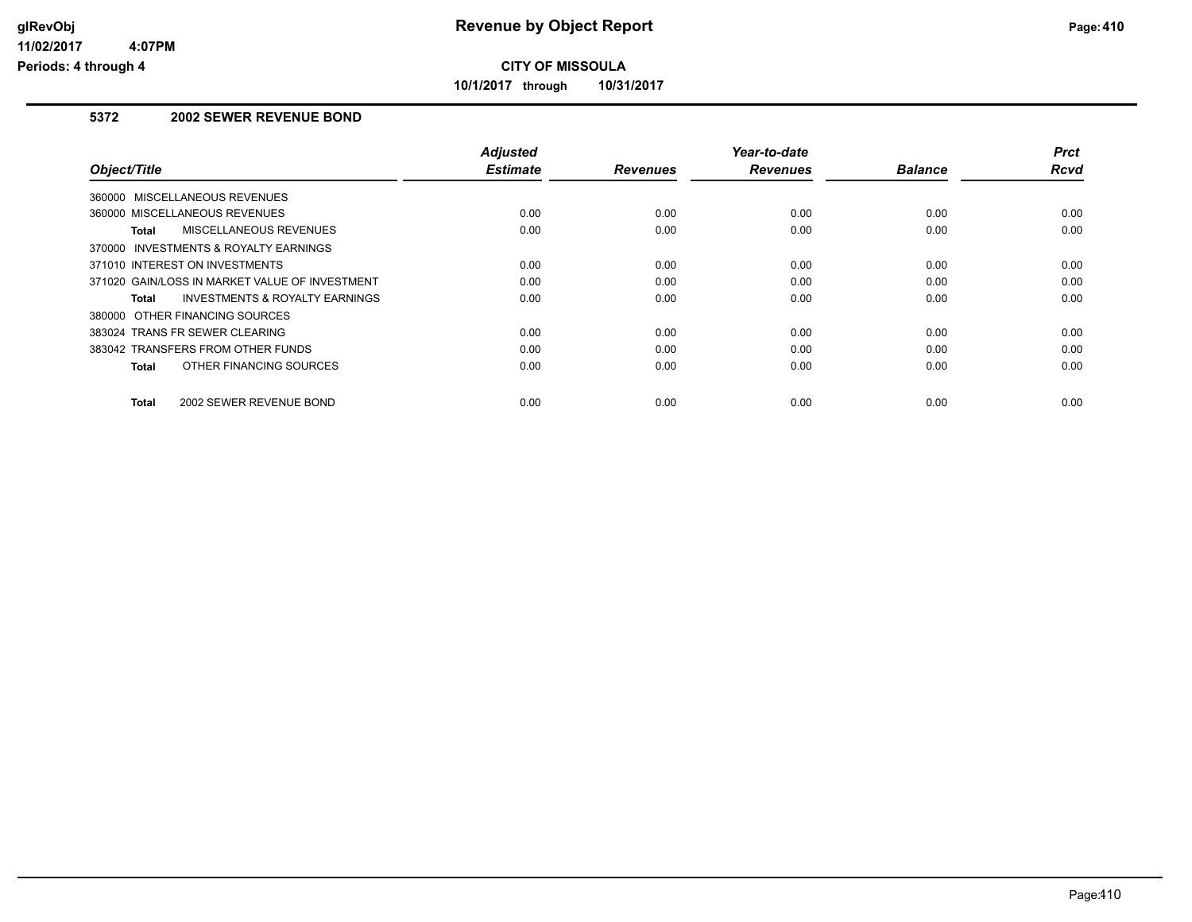**10/1/2017 through 10/31/2017**

# **5372 2002 SEWER REVENUE BOND**

| Object/Title                                              | <b>Adjusted</b><br><b>Estimate</b> | <b>Revenues</b> | Year-to-date<br><b>Revenues</b> | <b>Balance</b> | <b>Prct</b><br><b>Rcvd</b> |
|-----------------------------------------------------------|------------------------------------|-----------------|---------------------------------|----------------|----------------------------|
| 360000 MISCELLANEOUS REVENUES                             |                                    |                 |                                 |                |                            |
| 360000 MISCELLANEOUS REVENUES                             | 0.00                               | 0.00            | 0.00                            | 0.00           | 0.00                       |
| MISCELLANEOUS REVENUES<br><b>Total</b>                    | 0.00                               | 0.00            | 0.00                            | 0.00           | 0.00                       |
| 370000 INVESTMENTS & ROYALTY EARNINGS                     |                                    |                 |                                 |                |                            |
| 371010 INTEREST ON INVESTMENTS                            | 0.00                               | 0.00            | 0.00                            | 0.00           | 0.00                       |
| 371020 GAIN/LOSS IN MARKET VALUE OF INVESTMENT            | 0.00                               | 0.00            | 0.00                            | 0.00           | 0.00                       |
| <b>INVESTMENTS &amp; ROYALTY EARNINGS</b><br><b>Total</b> | 0.00                               | 0.00            | 0.00                            | 0.00           | 0.00                       |
| 380000 OTHER FINANCING SOURCES                            |                                    |                 |                                 |                |                            |
| 383024 TRANS FR SEWER CLEARING                            | 0.00                               | 0.00            | 0.00                            | 0.00           | 0.00                       |
| 383042 TRANSFERS FROM OTHER FUNDS                         | 0.00                               | 0.00            | 0.00                            | 0.00           | 0.00                       |
| OTHER FINANCING SOURCES<br>Total                          | 0.00                               | 0.00            | 0.00                            | 0.00           | 0.00                       |
| 2002 SEWER REVENUE BOND<br><b>Total</b>                   | 0.00                               | 0.00            | 0.00                            | 0.00           | 0.00                       |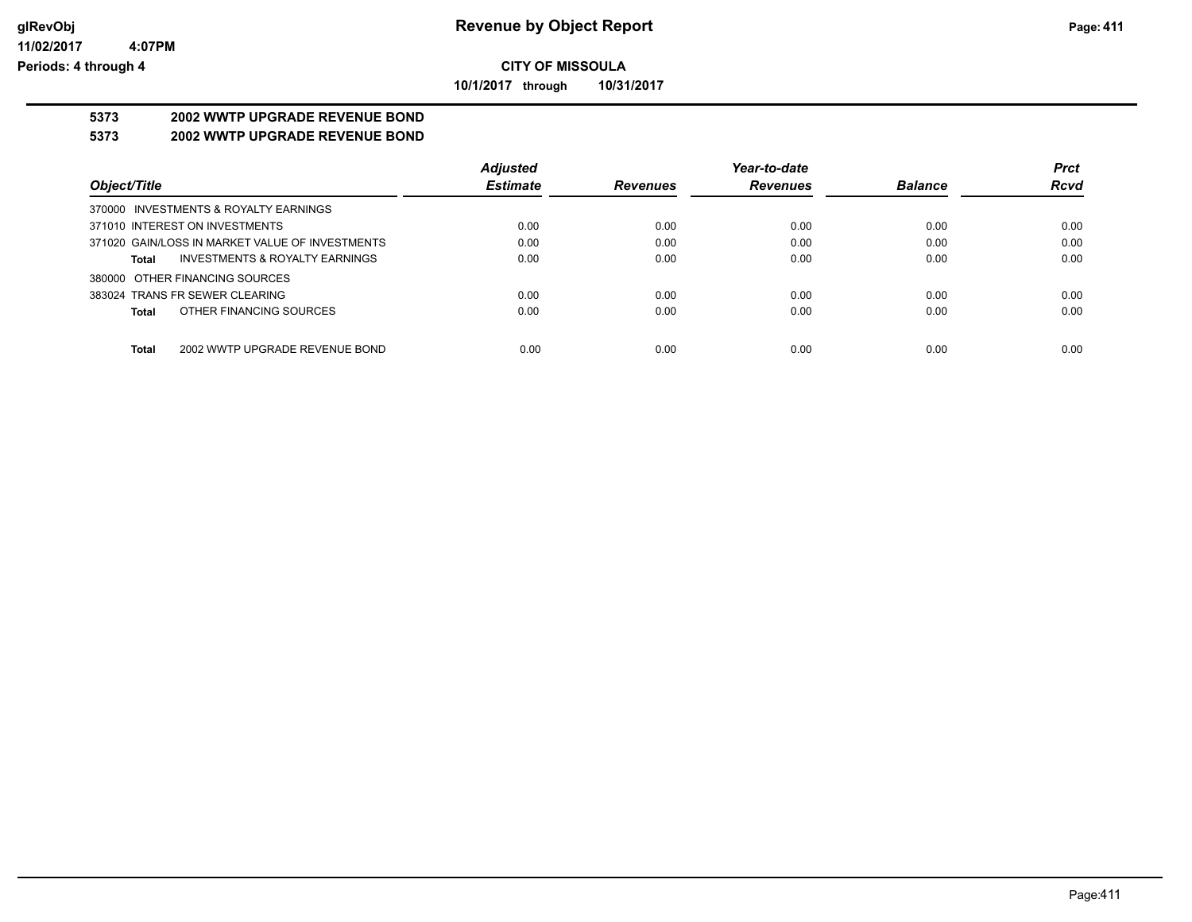**10/1/2017 through 10/31/2017**

# **5373 2002 WWTP UPGRADE REVENUE BOND**

# **5373 2002 WWTP UPGRADE REVENUE BOND**

|                                                    | <b>Adjusted</b> |          | Year-to-date    |                | <b>Prct</b> |
|----------------------------------------------------|-----------------|----------|-----------------|----------------|-------------|
| Object/Title                                       | <b>Estimate</b> | Revenues | <b>Revenues</b> | <b>Balance</b> | <b>Rcvd</b> |
| 370000 INVESTMENTS & ROYALTY EARNINGS              |                 |          |                 |                |             |
| 371010 INTEREST ON INVESTMENTS                     | 0.00            | 0.00     | 0.00            | 0.00           | 0.00        |
| 371020 GAIN/LOSS IN MARKET VALUE OF INVESTMENTS    | 0.00            | 0.00     | 0.00            | 0.00           | 0.00        |
| <b>INVESTMENTS &amp; ROYALTY EARNINGS</b><br>Total | 0.00            | 0.00     | 0.00            | 0.00           | 0.00        |
| 380000 OTHER FINANCING SOURCES                     |                 |          |                 |                |             |
| 383024 TRANS FR SEWER CLEARING                     | 0.00            | 0.00     | 0.00            | 0.00           | 0.00        |
| OTHER FINANCING SOURCES<br>Total                   | 0.00            | 0.00     | 0.00            | 0.00           | 0.00        |
|                                                    |                 |          |                 |                |             |
| <b>Total</b><br>2002 WWTP UPGRADE REVENUE BOND     | 0.00            | 0.00     | 0.00            | 0.00           | 0.00        |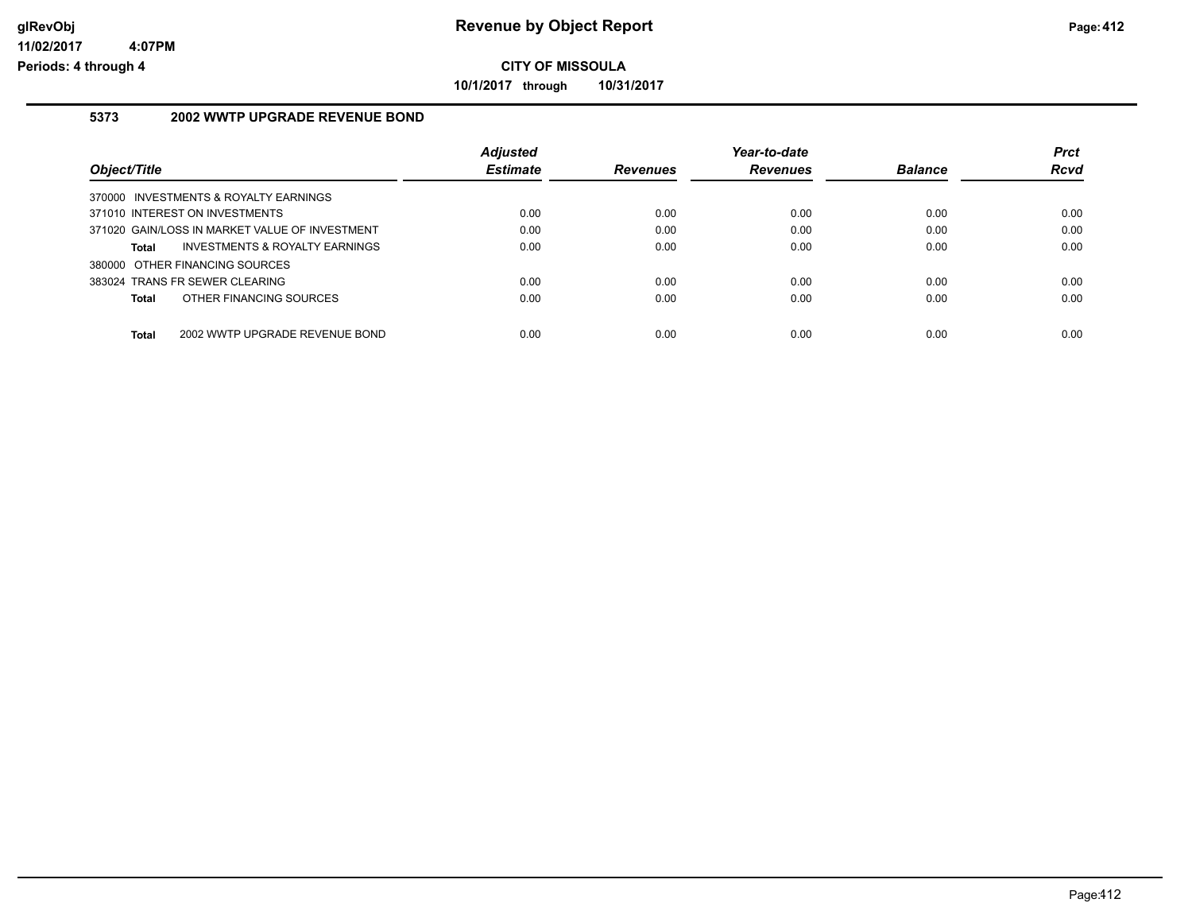**10/1/2017 through 10/31/2017**

# **5373 2002 WWTP UPGRADE REVENUE BOND**

|                                                | <b>Adjusted</b> |                 | Year-to-date    |                | <b>Prct</b> |
|------------------------------------------------|-----------------|-----------------|-----------------|----------------|-------------|
| Object/Title                                   | <b>Estimate</b> | <b>Revenues</b> | <b>Revenues</b> | <b>Balance</b> | <b>Rcvd</b> |
| 370000 INVESTMENTS & ROYALTY EARNINGS          |                 |                 |                 |                |             |
| 371010 INTEREST ON INVESTMENTS                 | 0.00            | 0.00            | 0.00            | 0.00           | 0.00        |
| 371020 GAIN/LOSS IN MARKET VALUE OF INVESTMENT | 0.00            | 0.00            | 0.00            | 0.00           | 0.00        |
| INVESTMENTS & ROYALTY EARNINGS<br>Total        | 0.00            | 0.00            | 0.00            | 0.00           | 0.00        |
| 380000 OTHER FINANCING SOURCES                 |                 |                 |                 |                |             |
| 383024 TRANS FR SEWER CLEARING                 | 0.00            | 0.00            | 0.00            | 0.00           | 0.00        |
| OTHER FINANCING SOURCES<br>Total               | 0.00            | 0.00            | 0.00            | 0.00           | 0.00        |
|                                                |                 |                 |                 |                |             |
| Total<br>2002 WWTP UPGRADE REVENUE BOND        | 0.00            | 0.00            | 0.00            | 0.00           | 0.00        |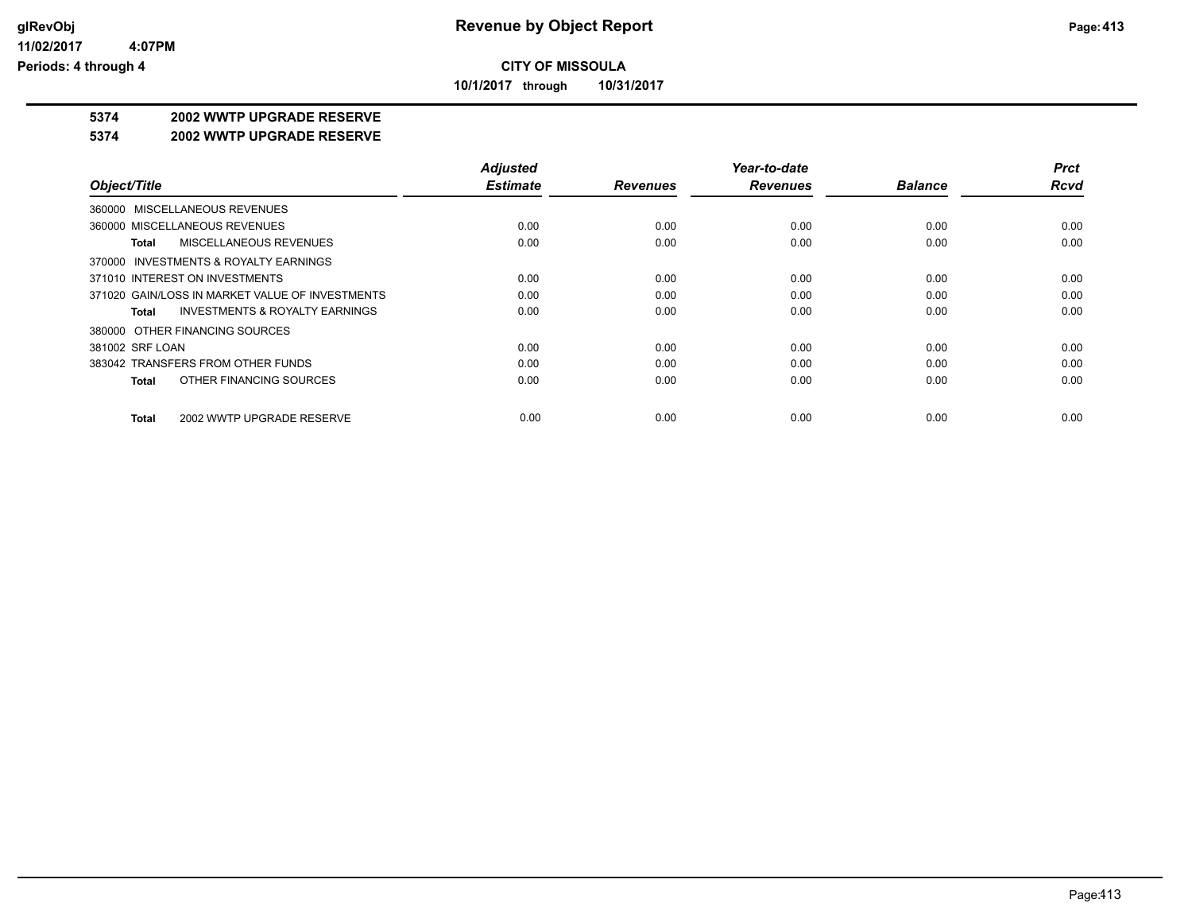**10/1/2017 through 10/31/2017**

# **5374 2002 WWTP UPGRADE RESERVE**

#### **5374 2002 WWTP UPGRADE RESERVE**

|                                                    | <b>Adjusted</b> |                 | Year-to-date    |                | <b>Prct</b> |
|----------------------------------------------------|-----------------|-----------------|-----------------|----------------|-------------|
| Object/Title                                       | <b>Estimate</b> | <b>Revenues</b> | <b>Revenues</b> | <b>Balance</b> | <b>Rcvd</b> |
| 360000 MISCELLANEOUS REVENUES                      |                 |                 |                 |                |             |
| 360000 MISCELLANEOUS REVENUES                      | 0.00            | 0.00            | 0.00            | 0.00           | 0.00        |
| <b>MISCELLANEOUS REVENUES</b><br>Total             | 0.00            | 0.00            | 0.00            | 0.00           | 0.00        |
| 370000 INVESTMENTS & ROYALTY EARNINGS              |                 |                 |                 |                |             |
| 371010 INTEREST ON INVESTMENTS                     | 0.00            | 0.00            | 0.00            | 0.00           | 0.00        |
| 371020 GAIN/LOSS IN MARKET VALUE OF INVESTMENTS    | 0.00            | 0.00            | 0.00            | 0.00           | 0.00        |
| <b>INVESTMENTS &amp; ROYALTY EARNINGS</b><br>Total | 0.00            | 0.00            | 0.00            | 0.00           | 0.00        |
| 380000 OTHER FINANCING SOURCES                     |                 |                 |                 |                |             |
| 381002 SRF LOAN                                    | 0.00            | 0.00            | 0.00            | 0.00           | 0.00        |
| 383042 TRANSFERS FROM OTHER FUNDS                  | 0.00            | 0.00            | 0.00            | 0.00           | 0.00        |
| OTHER FINANCING SOURCES<br>Total                   | 0.00            | 0.00            | 0.00            | 0.00           | 0.00        |
| 2002 WWTP UPGRADE RESERVE<br>Total                 | 0.00            | 0.00            | 0.00            | 0.00           | 0.00        |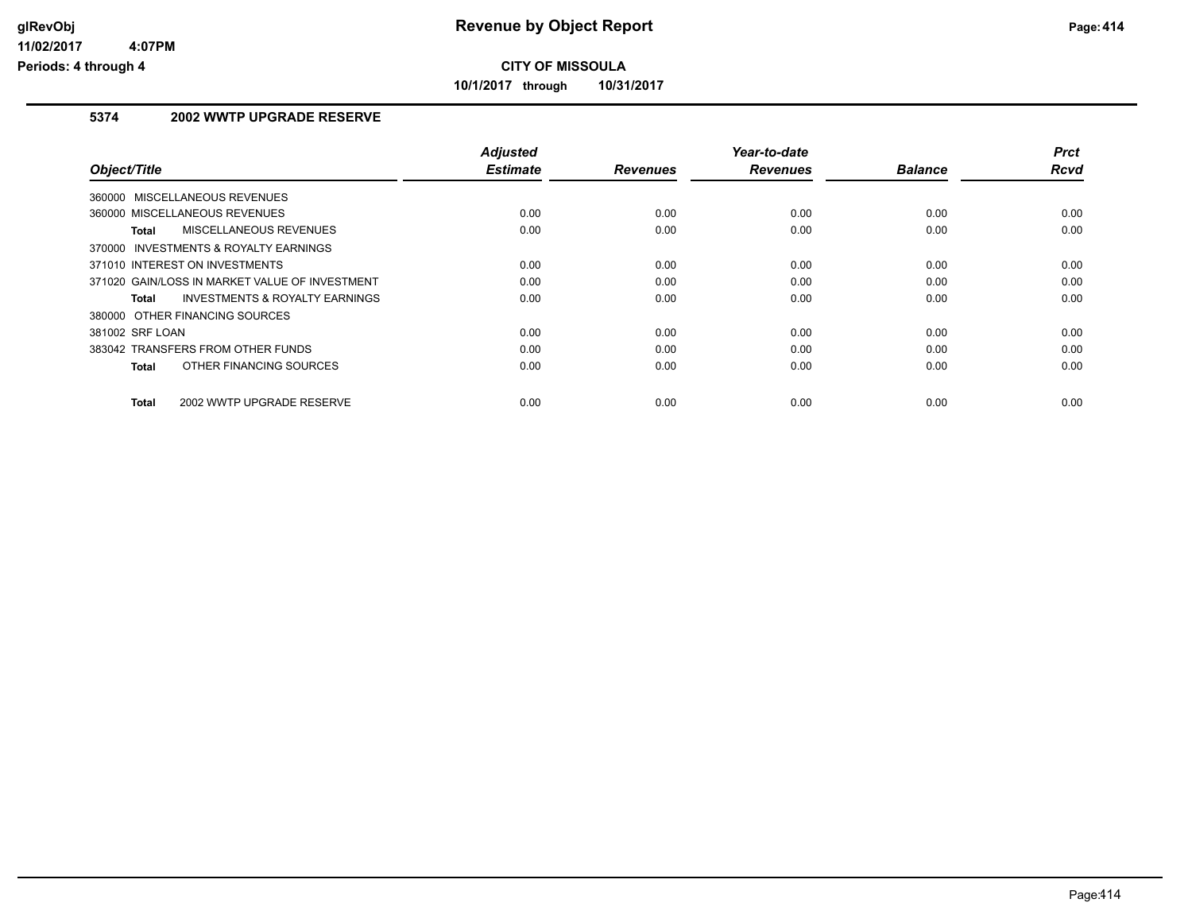**10/1/2017 through 10/31/2017**

# **5374 2002 WWTP UPGRADE RESERVE**

| Object/Title                                       | <b>Adjusted</b><br><b>Estimate</b> | <b>Revenues</b> | Year-to-date<br><b>Revenues</b> | <b>Balance</b> | <b>Prct</b><br><b>Rcvd</b> |
|----------------------------------------------------|------------------------------------|-----------------|---------------------------------|----------------|----------------------------|
|                                                    |                                    |                 |                                 |                |                            |
| 360000 MISCELLANEOUS REVENUES                      |                                    |                 |                                 |                |                            |
| 360000 MISCELLANEOUS REVENUES                      | 0.00                               | 0.00            | 0.00                            | 0.00           | 0.00                       |
| MISCELLANEOUS REVENUES<br>Total                    | 0.00                               | 0.00            | 0.00                            | 0.00           | 0.00                       |
| 370000 INVESTMENTS & ROYALTY EARNINGS              |                                    |                 |                                 |                |                            |
| 371010 INTEREST ON INVESTMENTS                     | 0.00                               | 0.00            | 0.00                            | 0.00           | 0.00                       |
| 371020 GAIN/LOSS IN MARKET VALUE OF INVESTMENT     | 0.00                               | 0.00            | 0.00                            | 0.00           | 0.00                       |
| <b>INVESTMENTS &amp; ROYALTY EARNINGS</b><br>Total | 0.00                               | 0.00            | 0.00                            | 0.00           | 0.00                       |
| 380000 OTHER FINANCING SOURCES                     |                                    |                 |                                 |                |                            |
| 381002 SRF LOAN                                    | 0.00                               | 0.00            | 0.00                            | 0.00           | 0.00                       |
| 383042 TRANSFERS FROM OTHER FUNDS                  | 0.00                               | 0.00            | 0.00                            | 0.00           | 0.00                       |
| OTHER FINANCING SOURCES<br><b>Total</b>            | 0.00                               | 0.00            | 0.00                            | 0.00           | 0.00                       |
| 2002 WWTP UPGRADE RESERVE<br><b>Total</b>          | 0.00                               | 0.00            | 0.00                            | 0.00           | 0.00                       |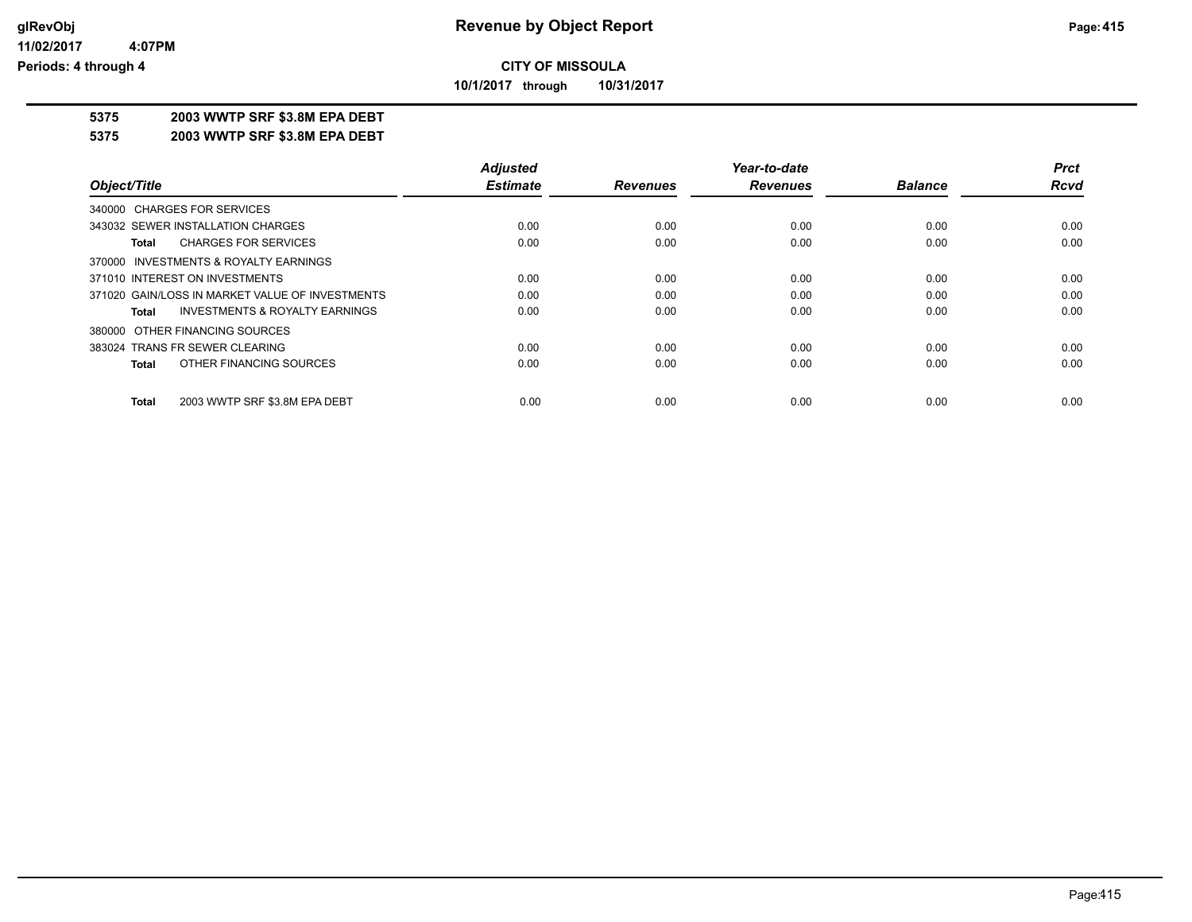**10/1/2017 through 10/31/2017**

# **5375 2003 WWTP SRF \$3.8M EPA DEBT**

#### **5375 2003 WWTP SRF \$3.8M EPA DEBT**

|                                                    | <b>Adjusted</b> |                 | Year-to-date    |                | <b>Prct</b> |
|----------------------------------------------------|-----------------|-----------------|-----------------|----------------|-------------|
| Object/Title                                       | <b>Estimate</b> | <b>Revenues</b> | <b>Revenues</b> | <b>Balance</b> | <b>Rcvd</b> |
| 340000 CHARGES FOR SERVICES                        |                 |                 |                 |                |             |
| 343032 SEWER INSTALLATION CHARGES                  | 0.00            | 0.00            | 0.00            | 0.00           | 0.00        |
| <b>CHARGES FOR SERVICES</b><br>Total               | 0.00            | 0.00            | 0.00            | 0.00           | 0.00        |
| 370000 INVESTMENTS & ROYALTY EARNINGS              |                 |                 |                 |                |             |
| 371010 INTEREST ON INVESTMENTS                     | 0.00            | 0.00            | 0.00            | 0.00           | 0.00        |
| 371020 GAIN/LOSS IN MARKET VALUE OF INVESTMENTS    | 0.00            | 0.00            | 0.00            | 0.00           | 0.00        |
| <b>INVESTMENTS &amp; ROYALTY EARNINGS</b><br>Total | 0.00            | 0.00            | 0.00            | 0.00           | 0.00        |
| 380000 OTHER FINANCING SOURCES                     |                 |                 |                 |                |             |
| 383024 TRANS FR SEWER CLEARING                     | 0.00            | 0.00            | 0.00            | 0.00           | 0.00        |
| OTHER FINANCING SOURCES<br>Total                   | 0.00            | 0.00            | 0.00            | 0.00           | 0.00        |
| 2003 WWTP SRF \$3.8M EPA DEBT<br><b>Total</b>      | 0.00            | 0.00            | 0.00            | 0.00           | 0.00        |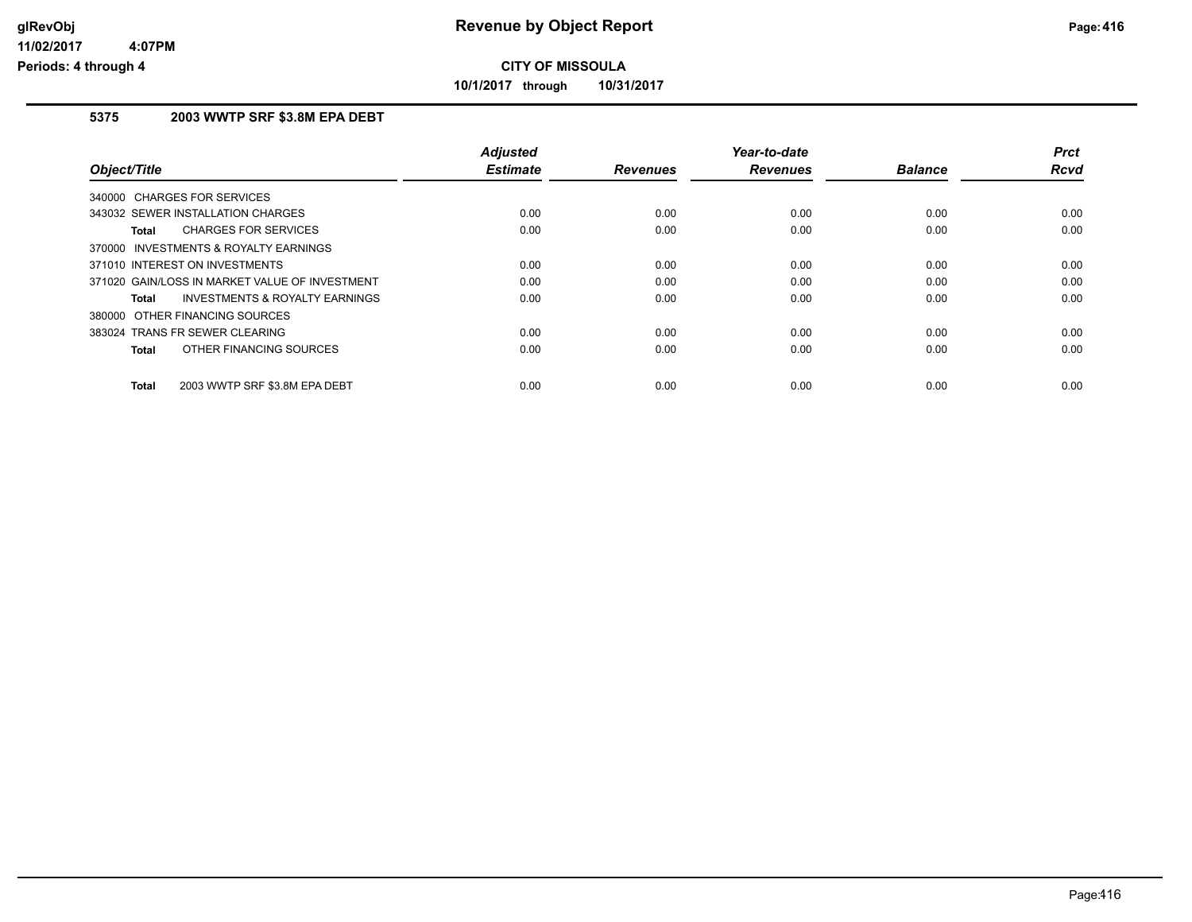**10/1/2017 through 10/31/2017**

# **5375 2003 WWTP SRF \$3.8M EPA DEBT**

|                                                     | <b>Adjusted</b> |                 | Year-to-date    |                | <b>Prct</b> |
|-----------------------------------------------------|-----------------|-----------------|-----------------|----------------|-------------|
| Object/Title                                        | <b>Estimate</b> | <b>Revenues</b> | <b>Revenues</b> | <b>Balance</b> | <b>Rcvd</b> |
| <b>CHARGES FOR SERVICES</b><br>340000               |                 |                 |                 |                |             |
| 343032 SEWER INSTALLATION CHARGES                   | 0.00            | 0.00            | 0.00            | 0.00           | 0.00        |
| <b>CHARGES FOR SERVICES</b><br>Total                | 0.00            | 0.00            | 0.00            | 0.00           | 0.00        |
| <b>INVESTMENTS &amp; ROYALTY EARNINGS</b><br>370000 |                 |                 |                 |                |             |
| 371010 INTEREST ON INVESTMENTS                      | 0.00            | 0.00            | 0.00            | 0.00           | 0.00        |
| 371020 GAIN/LOSS IN MARKET VALUE OF INVESTMENT      | 0.00            | 0.00            | 0.00            | 0.00           | 0.00        |
| INVESTMENTS & ROYALTY EARNINGS<br><b>Total</b>      | 0.00            | 0.00            | 0.00            | 0.00           | 0.00        |
| OTHER FINANCING SOURCES<br>380000                   |                 |                 |                 |                |             |
| 383024 TRANS FR SEWER CLEARING                      | 0.00            | 0.00            | 0.00            | 0.00           | 0.00        |
| OTHER FINANCING SOURCES<br><b>Total</b>             | 0.00            | 0.00            | 0.00            | 0.00           | 0.00        |
| 2003 WWTP SRF \$3.8M EPA DEBT<br><b>Total</b>       | 0.00            | 0.00            | 0.00            | 0.00           | 0.00        |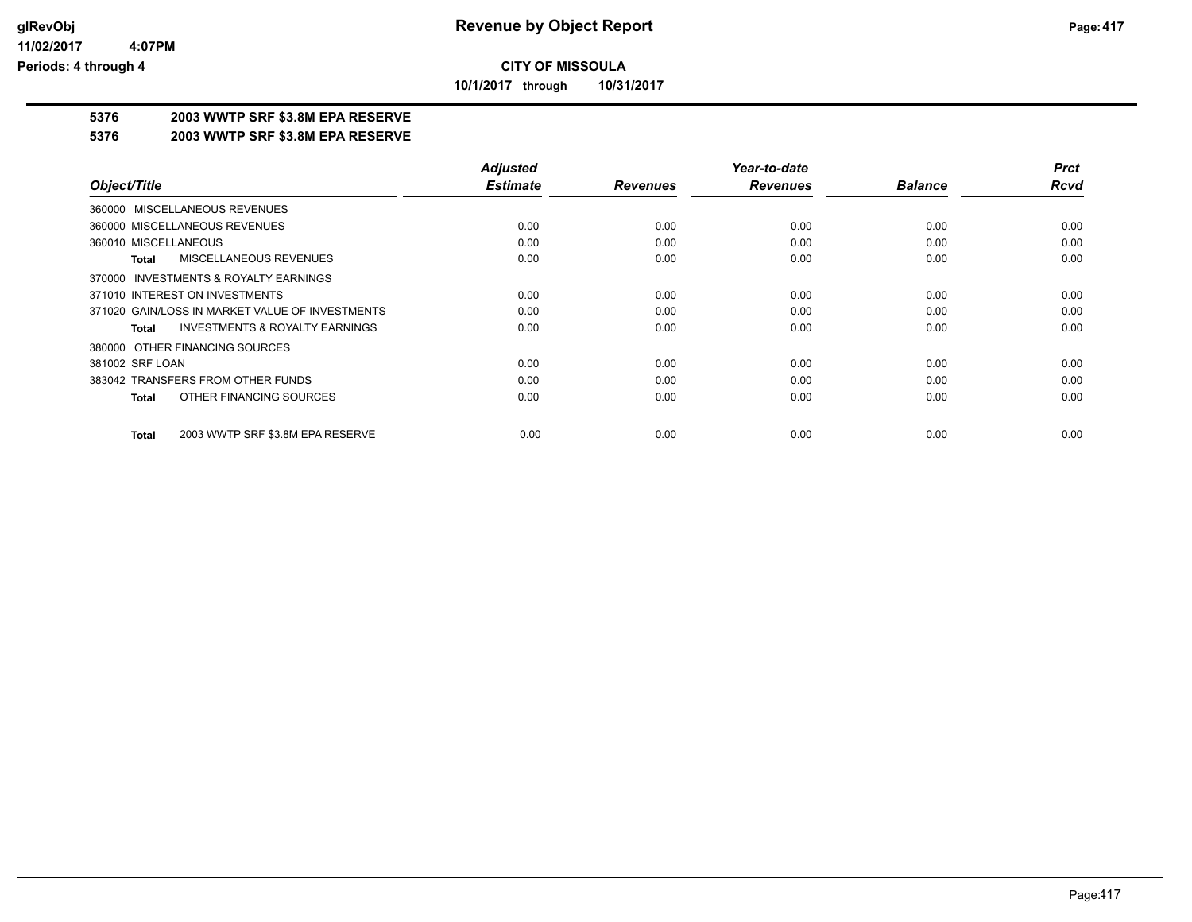**10/1/2017 through 10/31/2017**

# **5376 2003 WWTP SRF \$3.8M EPA RESERVE**

# **5376 2003 WWTP SRF \$3.8M EPA RESERVE**

|                                                    | <b>Adjusted</b> |                 | Year-to-date    |                | <b>Prct</b> |
|----------------------------------------------------|-----------------|-----------------|-----------------|----------------|-------------|
| Object/Title                                       | <b>Estimate</b> | <b>Revenues</b> | <b>Revenues</b> | <b>Balance</b> | <b>Rcvd</b> |
| 360000 MISCELLANEOUS REVENUES                      |                 |                 |                 |                |             |
| 360000 MISCELLANEOUS REVENUES                      | 0.00            | 0.00            | 0.00            | 0.00           | 0.00        |
| 360010 MISCELLANEOUS                               | 0.00            | 0.00            | 0.00            | 0.00           | 0.00        |
| MISCELLANEOUS REVENUES<br>Total                    | 0.00            | 0.00            | 0.00            | 0.00           | 0.00        |
| 370000 INVESTMENTS & ROYALTY EARNINGS              |                 |                 |                 |                |             |
| 371010 INTEREST ON INVESTMENTS                     | 0.00            | 0.00            | 0.00            | 0.00           | 0.00        |
| 371020 GAIN/LOSS IN MARKET VALUE OF INVESTMENTS    | 0.00            | 0.00            | 0.00            | 0.00           | 0.00        |
| <b>INVESTMENTS &amp; ROYALTY EARNINGS</b><br>Total | 0.00            | 0.00            | 0.00            | 0.00           | 0.00        |
| 380000 OTHER FINANCING SOURCES                     |                 |                 |                 |                |             |
| 381002 SRF LOAN                                    | 0.00            | 0.00            | 0.00            | 0.00           | 0.00        |
| 383042 TRANSFERS FROM OTHER FUNDS                  | 0.00            | 0.00            | 0.00            | 0.00           | 0.00        |
| OTHER FINANCING SOURCES<br>Total                   | 0.00            | 0.00            | 0.00            | 0.00           | 0.00        |
| 2003 WWTP SRF \$3.8M EPA RESERVE<br><b>Total</b>   | 0.00            | 0.00            | 0.00            | 0.00           | 0.00        |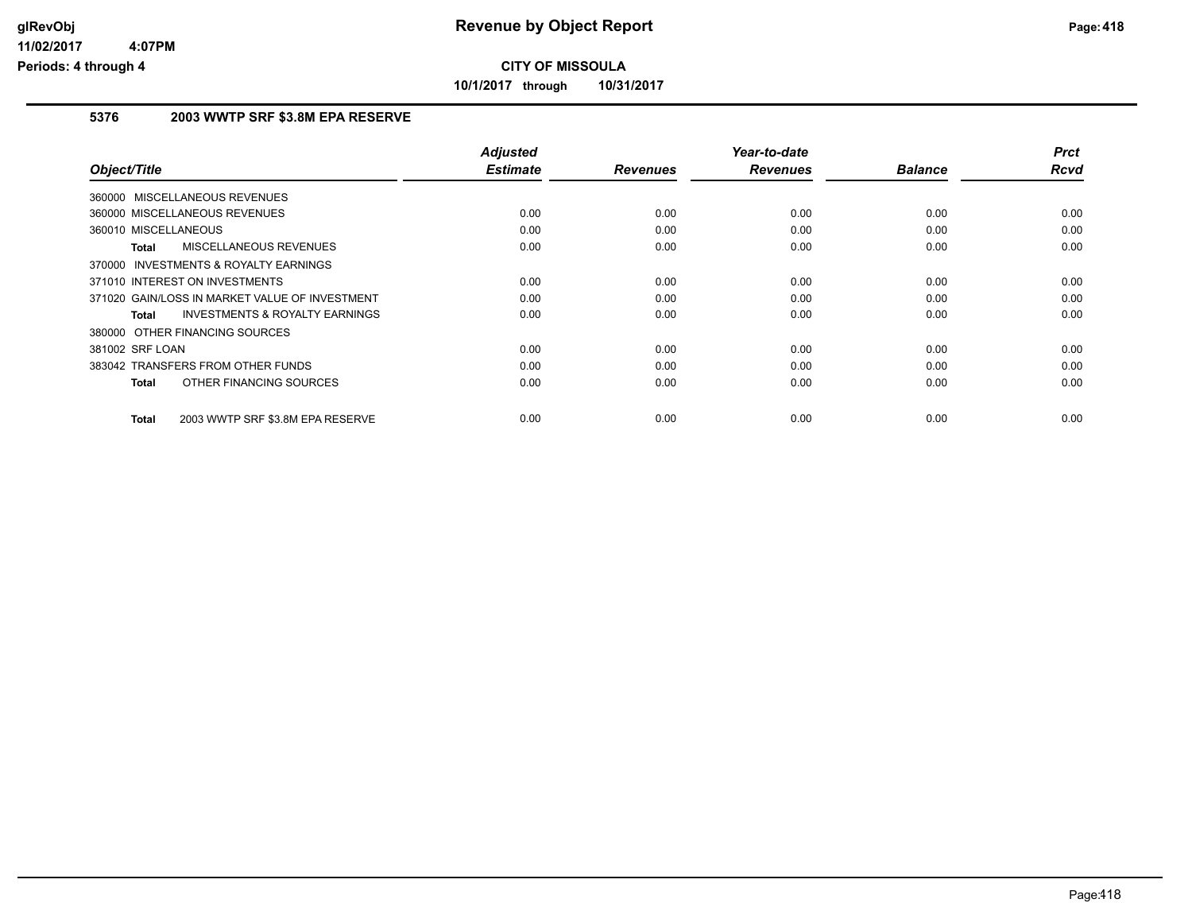**10/1/2017 through 10/31/2017**

# **5376 2003 WWTP SRF \$3.8M EPA RESERVE**

| Object/Title                                              | <b>Adjusted</b><br><b>Estimate</b> | <b>Revenues</b> | Year-to-date<br><b>Revenues</b> | <b>Balance</b> | <b>Prct</b><br>Rcvd |
|-----------------------------------------------------------|------------------------------------|-----------------|---------------------------------|----------------|---------------------|
|                                                           |                                    |                 |                                 |                |                     |
| 360000 MISCELLANEOUS REVENUES                             |                                    |                 |                                 |                |                     |
| 360000 MISCELLANEOUS REVENUES                             | 0.00                               | 0.00            | 0.00                            | 0.00           | 0.00                |
| 360010 MISCELLANEOUS                                      | 0.00                               | 0.00            | 0.00                            | 0.00           | 0.00                |
| <b>MISCELLANEOUS REVENUES</b><br><b>Total</b>             | 0.00                               | 0.00            | 0.00                            | 0.00           | 0.00                |
| INVESTMENTS & ROYALTY EARNINGS<br>370000                  |                                    |                 |                                 |                |                     |
| 371010 INTEREST ON INVESTMENTS                            | 0.00                               | 0.00            | 0.00                            | 0.00           | 0.00                |
| 371020 GAIN/LOSS IN MARKET VALUE OF INVESTMENT            | 0.00                               | 0.00            | 0.00                            | 0.00           | 0.00                |
| <b>INVESTMENTS &amp; ROYALTY EARNINGS</b><br><b>Total</b> | 0.00                               | 0.00            | 0.00                            | 0.00           | 0.00                |
| 380000 OTHER FINANCING SOURCES                            |                                    |                 |                                 |                |                     |
| 381002 SRF LOAN                                           | 0.00                               | 0.00            | 0.00                            | 0.00           | 0.00                |
| 383042 TRANSFERS FROM OTHER FUNDS                         | 0.00                               | 0.00            | 0.00                            | 0.00           | 0.00                |
| OTHER FINANCING SOURCES<br><b>Total</b>                   | 0.00                               | 0.00            | 0.00                            | 0.00           | 0.00                |
|                                                           |                                    |                 |                                 |                |                     |
| 2003 WWTP SRF \$3.8M EPA RESERVE<br><b>Total</b>          | 0.00                               | 0.00            | 0.00                            | 0.00           | 0.00                |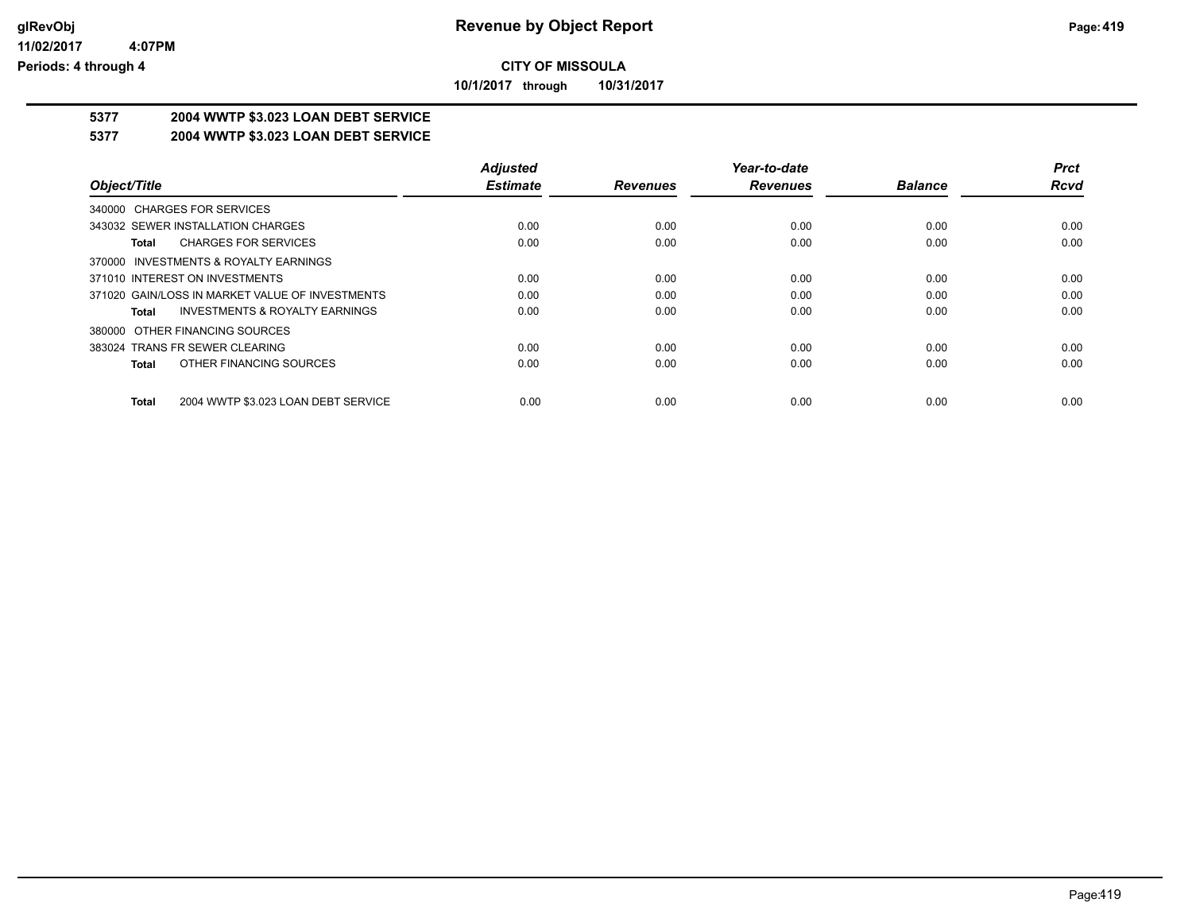**10/1/2017 through 10/31/2017**

# **5377 2004 WWTP \$3.023 LOAN DEBT SERVICE**

# **5377 2004 WWTP \$3.023 LOAN DEBT SERVICE**

|                                                    | <b>Adjusted</b> |                 | Year-to-date    |                | <b>Prct</b> |
|----------------------------------------------------|-----------------|-----------------|-----------------|----------------|-------------|
| Object/Title                                       | <b>Estimate</b> | <b>Revenues</b> | <b>Revenues</b> | <b>Balance</b> | <b>Rcvd</b> |
| 340000 CHARGES FOR SERVICES                        |                 |                 |                 |                |             |
| 343032 SEWER INSTALLATION CHARGES                  | 0.00            | 0.00            | 0.00            | 0.00           | 0.00        |
| <b>CHARGES FOR SERVICES</b><br>Total               | 0.00            | 0.00            | 0.00            | 0.00           | 0.00        |
| 370000 INVESTMENTS & ROYALTY EARNINGS              |                 |                 |                 |                |             |
| 371010 INTEREST ON INVESTMENTS                     | 0.00            | 0.00            | 0.00            | 0.00           | 0.00        |
| 371020 GAIN/LOSS IN MARKET VALUE OF INVESTMENTS    | 0.00            | 0.00            | 0.00            | 0.00           | 0.00        |
| <b>INVESTMENTS &amp; ROYALTY EARNINGS</b><br>Total | 0.00            | 0.00            | 0.00            | 0.00           | 0.00        |
| 380000 OTHER FINANCING SOURCES                     |                 |                 |                 |                |             |
| 383024 TRANS FR SEWER CLEARING                     | 0.00            | 0.00            | 0.00            | 0.00           | 0.00        |
| OTHER FINANCING SOURCES<br>Total                   | 0.00            | 0.00            | 0.00            | 0.00           | 0.00        |
| 2004 WWTP \$3.023 LOAN DEBT SERVICE<br>Total       | 0.00            | 0.00            | 0.00            | 0.00           | 0.00        |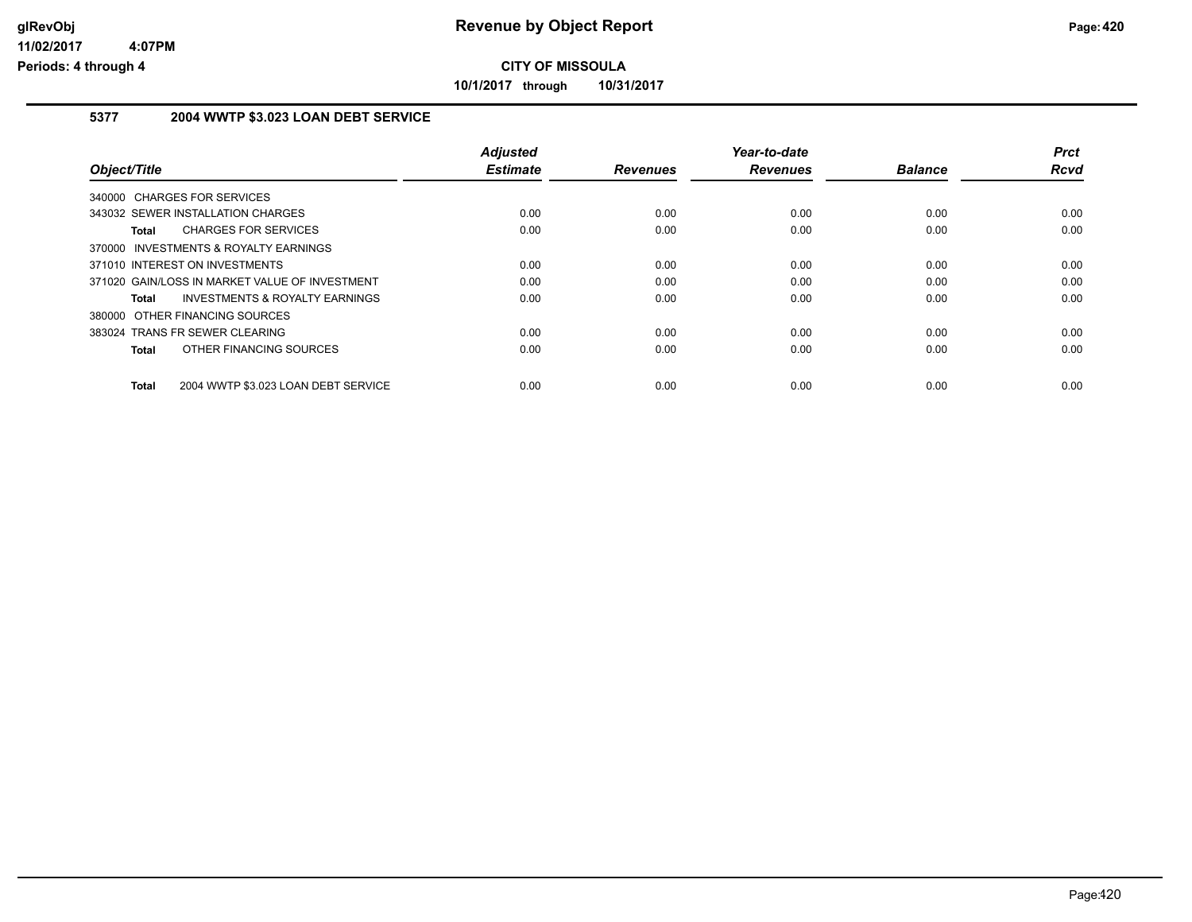**10/1/2017 through 10/31/2017**

# **5377 2004 WWTP \$3.023 LOAN DEBT SERVICE**

| Object/Title                                        | <b>Adjusted</b><br><b>Estimate</b> | <b>Revenues</b> | Year-to-date<br><b>Revenues</b> | <b>Balance</b> | <b>Prct</b><br><b>Rcvd</b> |
|-----------------------------------------------------|------------------------------------|-----------------|---------------------------------|----------------|----------------------------|
| 340000 CHARGES FOR SERVICES                         |                                    |                 |                                 |                |                            |
| 343032 SEWER INSTALLATION CHARGES                   | 0.00                               | 0.00            | 0.00                            | 0.00           | 0.00                       |
| <b>CHARGES FOR SERVICES</b><br>Total                | 0.00                               | 0.00            | 0.00                            | 0.00           | 0.00                       |
| 370000 INVESTMENTS & ROYALTY EARNINGS               |                                    |                 |                                 |                |                            |
| 371010 INTEREST ON INVESTMENTS                      | 0.00                               | 0.00            | 0.00                            | 0.00           | 0.00                       |
| 371020 GAIN/LOSS IN MARKET VALUE OF INVESTMENT      | 0.00                               | 0.00            | 0.00                            | 0.00           | 0.00                       |
| <b>INVESTMENTS &amp; ROYALTY EARNINGS</b><br>Total  | 0.00                               | 0.00            | 0.00                            | 0.00           | 0.00                       |
| 380000 OTHER FINANCING SOURCES                      |                                    |                 |                                 |                |                            |
| 383024 TRANS FR SEWER CLEARING                      | 0.00                               | 0.00            | 0.00                            | 0.00           | 0.00                       |
| OTHER FINANCING SOURCES<br>Total                    | 0.00                               | 0.00            | 0.00                            | 0.00           | 0.00                       |
| 2004 WWTP \$3.023 LOAN DEBT SERVICE<br><b>Total</b> | 0.00                               | 0.00            | 0.00                            | 0.00           | 0.00                       |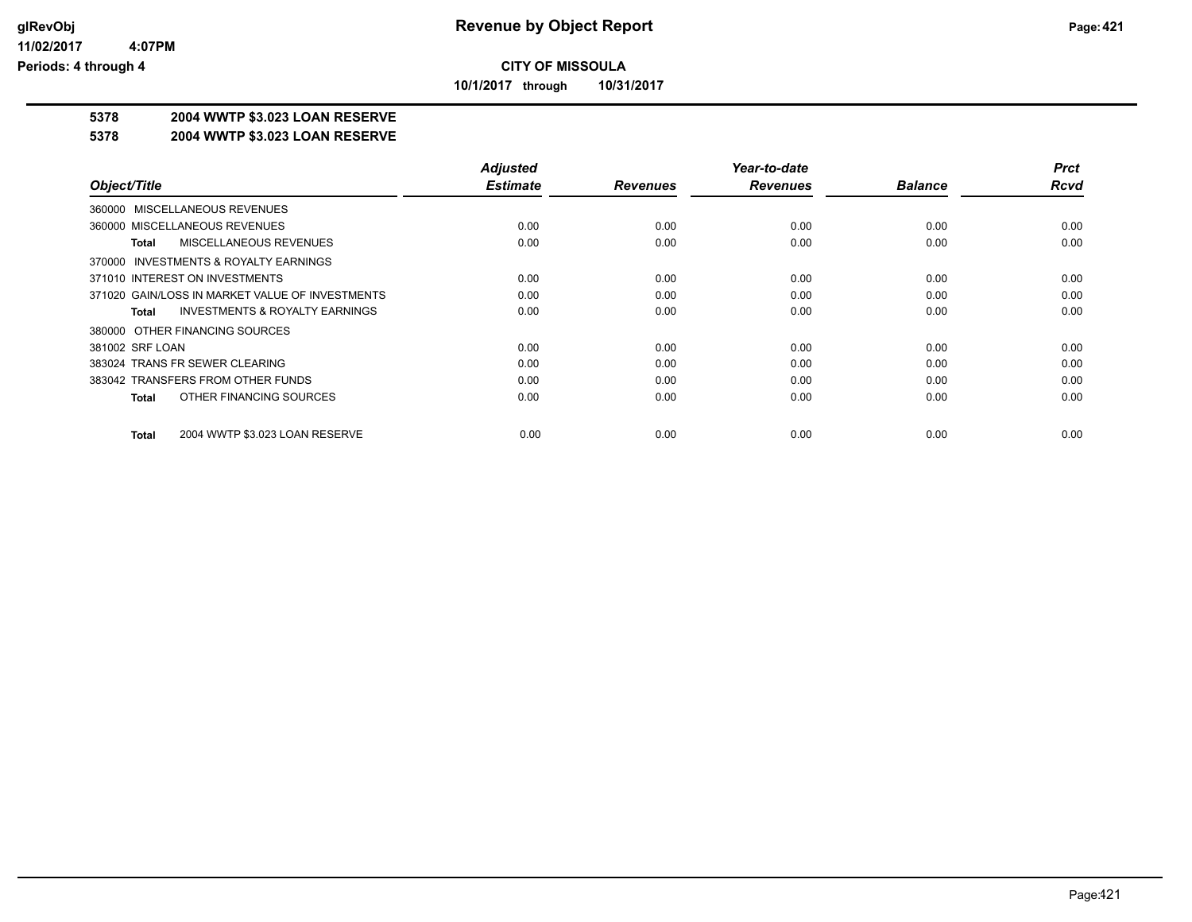**10/1/2017 through 10/31/2017**

# **5378 2004 WWTP \$3.023 LOAN RESERVE**

## **5378 2004 WWTP \$3.023 LOAN RESERVE**

|                                                    | <b>Adjusted</b> |                 | Year-to-date    |                | <b>Prct</b> |
|----------------------------------------------------|-----------------|-----------------|-----------------|----------------|-------------|
| Object/Title                                       | <b>Estimate</b> | <b>Revenues</b> | <b>Revenues</b> | <b>Balance</b> | <b>Rcvd</b> |
| 360000 MISCELLANEOUS REVENUES                      |                 |                 |                 |                |             |
| 360000 MISCELLANEOUS REVENUES                      | 0.00            | 0.00            | 0.00            | 0.00           | 0.00        |
| MISCELLANEOUS REVENUES<br>Total                    | 0.00            | 0.00            | 0.00            | 0.00           | 0.00        |
| 370000 INVESTMENTS & ROYALTY EARNINGS              |                 |                 |                 |                |             |
| 371010 INTEREST ON INVESTMENTS                     | 0.00            | 0.00            | 0.00            | 0.00           | 0.00        |
| 371020 GAIN/LOSS IN MARKET VALUE OF INVESTMENTS    | 0.00            | 0.00            | 0.00            | 0.00           | 0.00        |
| <b>INVESTMENTS &amp; ROYALTY EARNINGS</b><br>Total | 0.00            | 0.00            | 0.00            | 0.00           | 0.00        |
| 380000 OTHER FINANCING SOURCES                     |                 |                 |                 |                |             |
| 381002 SRF LOAN                                    | 0.00            | 0.00            | 0.00            | 0.00           | 0.00        |
| 383024 TRANS FR SEWER CLEARING                     | 0.00            | 0.00            | 0.00            | 0.00           | 0.00        |
| 383042 TRANSFERS FROM OTHER FUNDS                  | 0.00            | 0.00            | 0.00            | 0.00           | 0.00        |
| OTHER FINANCING SOURCES<br>Total                   | 0.00            | 0.00            | 0.00            | 0.00           | 0.00        |
|                                                    |                 |                 |                 |                |             |
| 2004 WWTP \$3.023 LOAN RESERVE<br>Total            | 0.00            | 0.00            | 0.00            | 0.00           | 0.00        |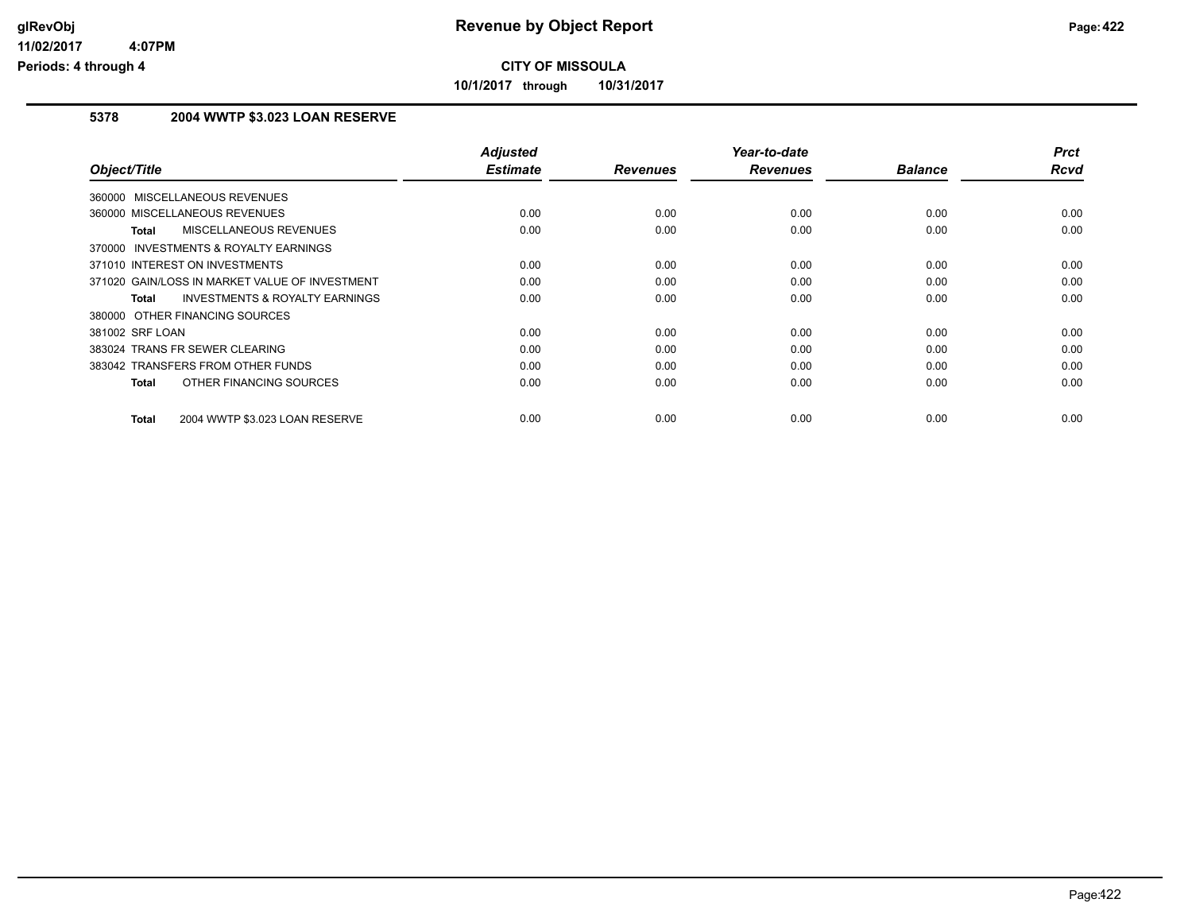**10/1/2017 through 10/31/2017**

# **5378 2004 WWTP \$3.023 LOAN RESERVE**

| Object/Title                                              | <b>Adjusted</b><br><b>Estimate</b> | <b>Revenues</b> | Year-to-date<br><b>Revenues</b> | <b>Balance</b> | <b>Prct</b><br>Rcvd |
|-----------------------------------------------------------|------------------------------------|-----------------|---------------------------------|----------------|---------------------|
| MISCELLANEOUS REVENUES<br>360000                          |                                    |                 |                                 |                |                     |
| 360000 MISCELLANEOUS REVENUES                             | 0.00                               | 0.00            | 0.00                            | 0.00           | 0.00                |
| MISCELLANEOUS REVENUES<br><b>Total</b>                    | 0.00                               | 0.00            | 0.00                            | 0.00           | 0.00                |
| INVESTMENTS & ROYALTY EARNINGS<br>370000                  |                                    |                 |                                 |                |                     |
| 371010 INTEREST ON INVESTMENTS                            | 0.00                               | 0.00            | 0.00                            | 0.00           | 0.00                |
| 371020 GAIN/LOSS IN MARKET VALUE OF INVESTMENT            | 0.00                               | 0.00            | 0.00                            | 0.00           | 0.00                |
| <b>INVESTMENTS &amp; ROYALTY EARNINGS</b><br><b>Total</b> | 0.00                               | 0.00            | 0.00                            | 0.00           | 0.00                |
| 380000 OTHER FINANCING SOURCES                            |                                    |                 |                                 |                |                     |
| 381002 SRF LOAN                                           | 0.00                               | 0.00            | 0.00                            | 0.00           | 0.00                |
| 383024 TRANS FR SEWER CLEARING                            | 0.00                               | 0.00            | 0.00                            | 0.00           | 0.00                |
| 383042 TRANSFERS FROM OTHER FUNDS                         | 0.00                               | 0.00            | 0.00                            | 0.00           | 0.00                |
| OTHER FINANCING SOURCES<br><b>Total</b>                   | 0.00                               | 0.00            | 0.00                            | 0.00           | 0.00                |
|                                                           |                                    |                 |                                 |                |                     |
| 2004 WWTP \$3.023 LOAN RESERVE<br><b>Total</b>            | 0.00                               | 0.00            | 0.00                            | 0.00           | 0.00                |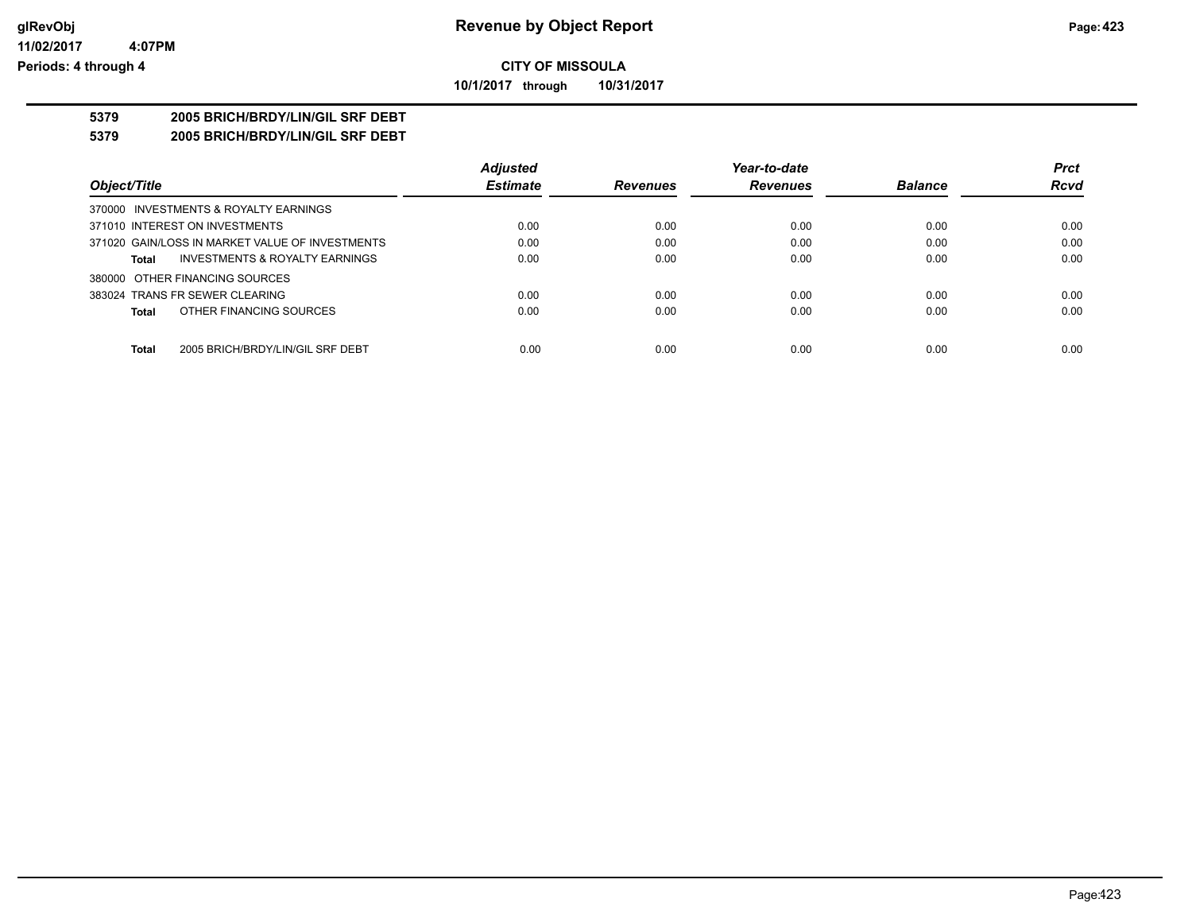**10/1/2017 through 10/31/2017**

# **5379 2005 BRICH/BRDY/LIN/GIL SRF DEBT**

**5379 2005 BRICH/BRDY/LIN/GIL SRF DEBT**

|                                                  | <b>Adjusted</b> |                 | Year-to-date    |                | <b>Prct</b> |
|--------------------------------------------------|-----------------|-----------------|-----------------|----------------|-------------|
| Object/Title                                     | <b>Estimate</b> | <b>Revenues</b> | <b>Revenues</b> | <b>Balance</b> | <b>Rcvd</b> |
| 370000 INVESTMENTS & ROYALTY EARNINGS            |                 |                 |                 |                |             |
| 371010 INTEREST ON INVESTMENTS                   | 0.00            | 0.00            | 0.00            | 0.00           | 0.00        |
| 371020 GAIN/LOSS IN MARKET VALUE OF INVESTMENTS  | 0.00            | 0.00            | 0.00            | 0.00           | 0.00        |
| INVESTMENTS & ROYALTY EARNINGS<br><b>Total</b>   | 0.00            | 0.00            | 0.00            | 0.00           | 0.00        |
| 380000 OTHER FINANCING SOURCES                   |                 |                 |                 |                |             |
| 383024 TRANS FR SEWER CLEARING                   | 0.00            | 0.00            | 0.00            | 0.00           | 0.00        |
| OTHER FINANCING SOURCES<br><b>Total</b>          | 0.00            | 0.00            | 0.00            | 0.00           | 0.00        |
|                                                  |                 |                 |                 |                |             |
| <b>Total</b><br>2005 BRICH/BRDY/LIN/GIL SRF DEBT | 0.00            | 0.00            | 0.00            | 0.00           | 0.00        |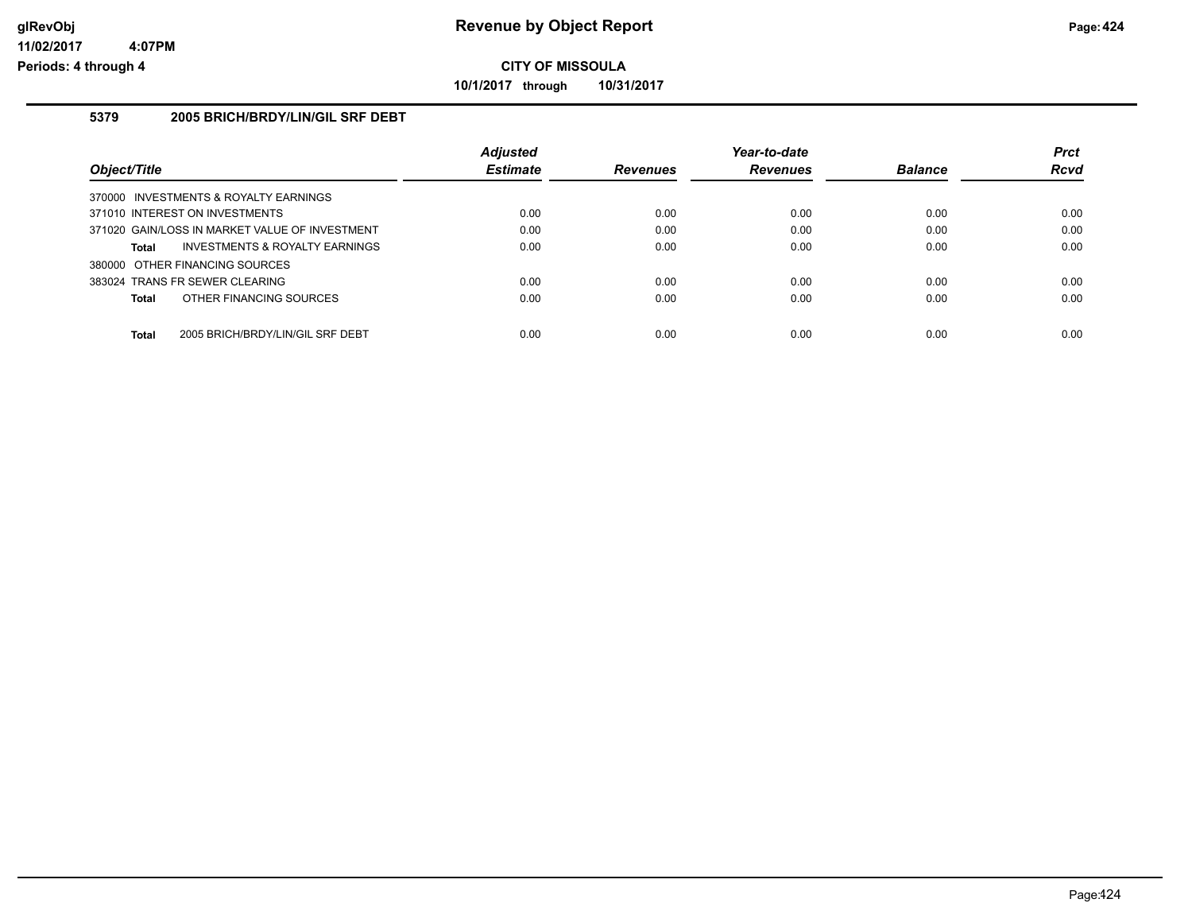**10/1/2017 through 10/31/2017**

# **5379 2005 BRICH/BRDY/LIN/GIL SRF DEBT**

|                                                    | <b>Adjusted</b> |                 | Year-to-date    |                | <b>Prct</b> |
|----------------------------------------------------|-----------------|-----------------|-----------------|----------------|-------------|
| Object/Title                                       | <b>Estimate</b> | <b>Revenues</b> | <b>Revenues</b> | <b>Balance</b> | <b>Rcvd</b> |
| 370000 INVESTMENTS & ROYALTY EARNINGS              |                 |                 |                 |                |             |
| 371010 INTEREST ON INVESTMENTS                     | 0.00            | 0.00            | 0.00            | 0.00           | 0.00        |
| 371020 GAIN/LOSS IN MARKET VALUE OF INVESTMENT     | 0.00            | 0.00            | 0.00            | 0.00           | 0.00        |
| <b>INVESTMENTS &amp; ROYALTY EARNINGS</b><br>Total | 0.00            | 0.00            | 0.00            | 0.00           | 0.00        |
| 380000 OTHER FINANCING SOURCES                     |                 |                 |                 |                |             |
| 383024 TRANS FR SEWER CLEARING                     | 0.00            | 0.00            | 0.00            | 0.00           | 0.00        |
| OTHER FINANCING SOURCES<br>Total                   | 0.00            | 0.00            | 0.00            | 0.00           | 0.00        |
| Total<br>2005 BRICH/BRDY/LIN/GIL SRF DEBT          | 0.00            | 0.00            | 0.00            | 0.00           | 0.00        |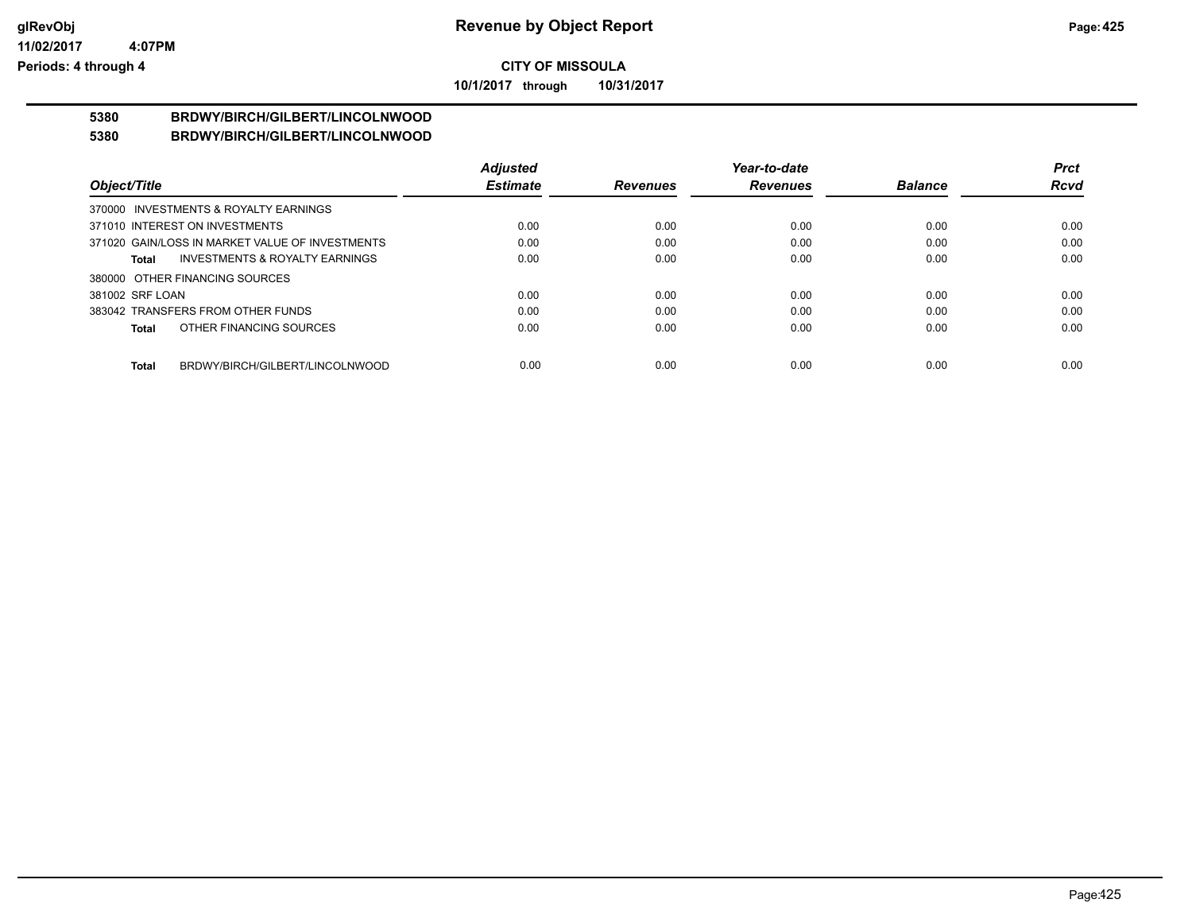**10/1/2017 through 10/31/2017**

# **5380 BRDWY/BIRCH/GILBERT/LINCOLNWOOD 5380 BRDWY/BIRCH/GILBERT/LINCOLNWOOD**

|                                                    | <b>Adjusted</b> |                 | Year-to-date    |                | <b>Prct</b> |
|----------------------------------------------------|-----------------|-----------------|-----------------|----------------|-------------|
| Object/Title                                       | <b>Estimate</b> | <b>Revenues</b> | <b>Revenues</b> | <b>Balance</b> | <b>Rcvd</b> |
| 370000 INVESTMENTS & ROYALTY EARNINGS              |                 |                 |                 |                |             |
| 371010 INTEREST ON INVESTMENTS                     | 0.00            | 0.00            | 0.00            | 0.00           | 0.00        |
| 371020 GAIN/LOSS IN MARKET VALUE OF INVESTMENTS    | 0.00            | 0.00            | 0.00            | 0.00           | 0.00        |
| <b>INVESTMENTS &amp; ROYALTY EARNINGS</b><br>Total | 0.00            | 0.00            | 0.00            | 0.00           | 0.00        |
| 380000 OTHER FINANCING SOURCES                     |                 |                 |                 |                |             |
| 381002 SRF LOAN                                    | 0.00            | 0.00            | 0.00            | 0.00           | 0.00        |
| 383042 TRANSFERS FROM OTHER FUNDS                  | 0.00            | 0.00            | 0.00            | 0.00           | 0.00        |
| OTHER FINANCING SOURCES<br>Total                   | 0.00            | 0.00            | 0.00            | 0.00           | 0.00        |
|                                                    |                 |                 |                 |                |             |
| BRDWY/BIRCH/GILBERT/LINCOLNWOOD<br>Total           | 0.00            | 0.00            | 0.00            | 0.00           | 0.00        |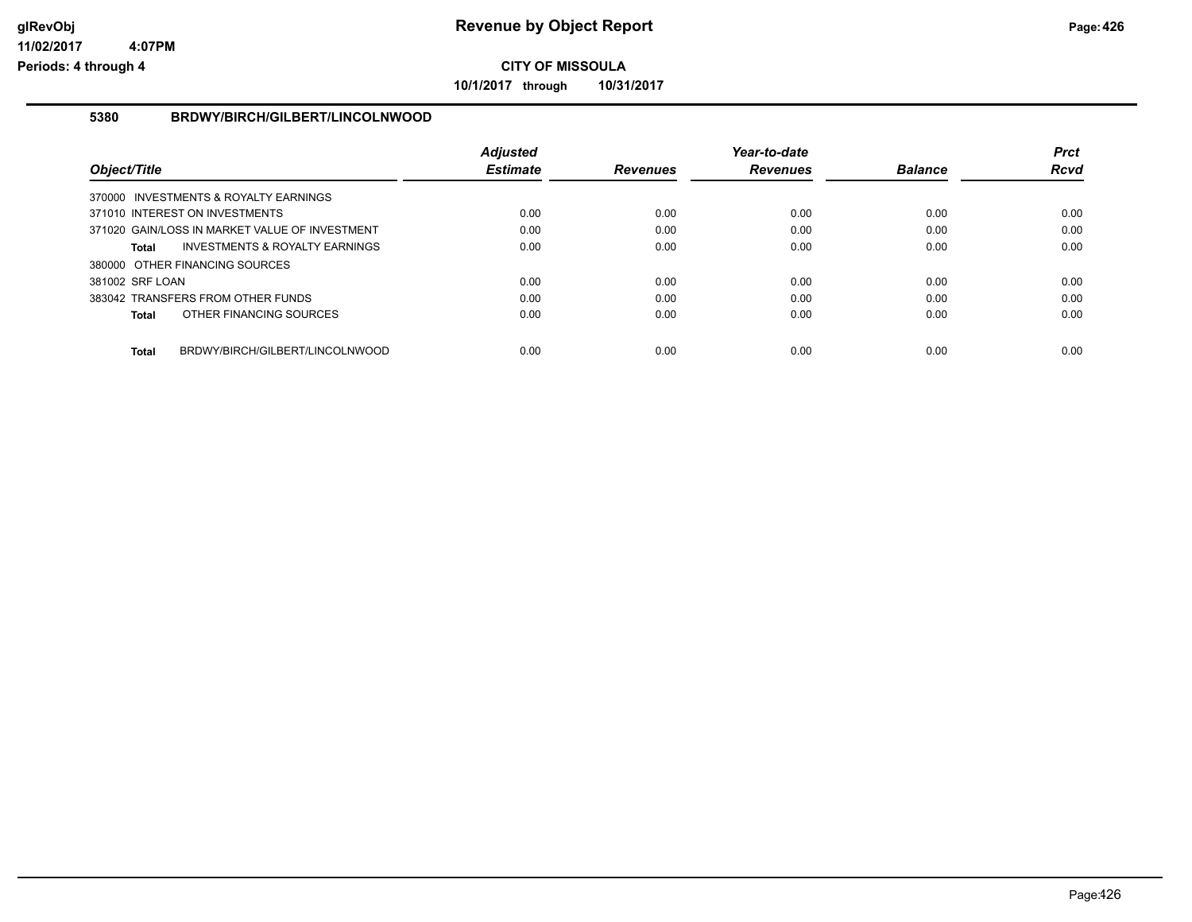**10/1/2017 through 10/31/2017**

# **5380 BRDWY/BIRCH/GILBERT/LINCOLNWOOD**

|                 |                                                | <b>Adjusted</b> |                 | Year-to-date    |                | <b>Prct</b> |
|-----------------|------------------------------------------------|-----------------|-----------------|-----------------|----------------|-------------|
| Object/Title    |                                                | <b>Estimate</b> | <b>Revenues</b> | <b>Revenues</b> | <b>Balance</b> | <b>Rcvd</b> |
|                 | 370000 INVESTMENTS & ROYALTY EARNINGS          |                 |                 |                 |                |             |
|                 | 371010 INTEREST ON INVESTMENTS                 | 0.00            | 0.00            | 0.00            | 0.00           | 0.00        |
|                 | 371020 GAIN/LOSS IN MARKET VALUE OF INVESTMENT | 0.00            | 0.00            | 0.00            | 0.00           | 0.00        |
| Total           | <b>INVESTMENTS &amp; ROYALTY EARNINGS</b>      | 0.00            | 0.00            | 0.00            | 0.00           | 0.00        |
|                 | 380000 OTHER FINANCING SOURCES                 |                 |                 |                 |                |             |
| 381002 SRF LOAN |                                                | 0.00            | 0.00            | 0.00            | 0.00           | 0.00        |
|                 | 383042 TRANSFERS FROM OTHER FUNDS              | 0.00            | 0.00            | 0.00            | 0.00           | 0.00        |
| <b>Total</b>    | OTHER FINANCING SOURCES                        | 0.00            | 0.00            | 0.00            | 0.00           | 0.00        |
| <b>Total</b>    | BRDWY/BIRCH/GILBERT/LINCOLNWOOD                | 0.00            | 0.00            | 0.00            | 0.00           | 0.00        |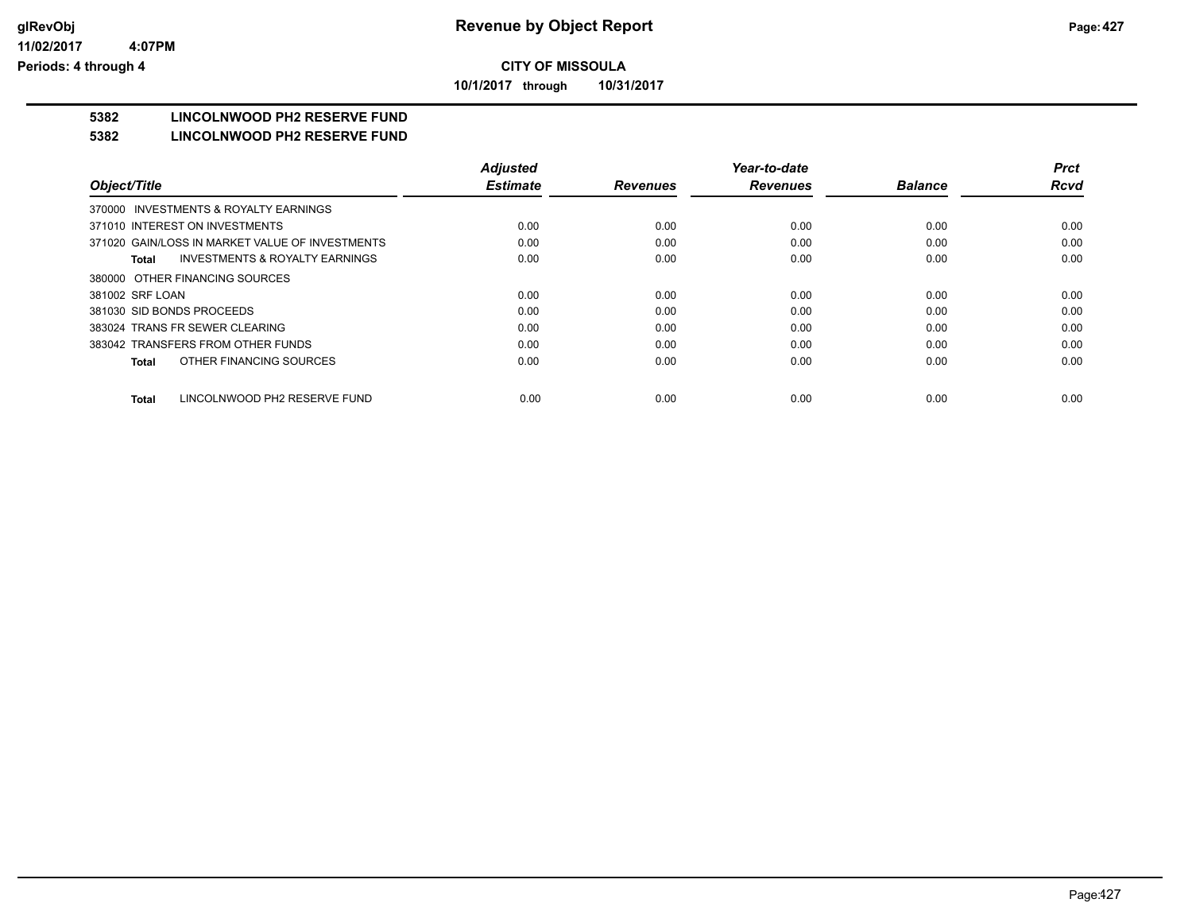**10/1/2017 through 10/31/2017**

# **5382 LINCOLNWOOD PH2 RESERVE FUND**

# **5382 LINCOLNWOOD PH2 RESERVE FUND**

|                                                    | <b>Adiusted</b> |                 | Year-to-date    |                | <b>Prct</b> |
|----------------------------------------------------|-----------------|-----------------|-----------------|----------------|-------------|
| Object/Title                                       | <b>Estimate</b> | <b>Revenues</b> | <b>Revenues</b> | <b>Balance</b> | <b>Rcvd</b> |
| INVESTMENTS & ROYALTY EARNINGS<br>370000           |                 |                 |                 |                |             |
| 371010 INTEREST ON INVESTMENTS                     | 0.00            | 0.00            | 0.00            | 0.00           | 0.00        |
| 371020 GAIN/LOSS IN MARKET VALUE OF INVESTMENTS    | 0.00            | 0.00            | 0.00            | 0.00           | 0.00        |
| <b>INVESTMENTS &amp; ROYALTY EARNINGS</b><br>Total | 0.00            | 0.00            | 0.00            | 0.00           | 0.00        |
| 380000 OTHER FINANCING SOURCES                     |                 |                 |                 |                |             |
| 381002 SRF LOAN                                    | 0.00            | 0.00            | 0.00            | 0.00           | 0.00        |
| 381030 SID BONDS PROCEEDS                          | 0.00            | 0.00            | 0.00            | 0.00           | 0.00        |
| 383024 TRANS FR SEWER CLEARING                     | 0.00            | 0.00            | 0.00            | 0.00           | 0.00        |
| 383042 TRANSFERS FROM OTHER FUNDS                  | 0.00            | 0.00            | 0.00            | 0.00           | 0.00        |
| OTHER FINANCING SOURCES<br>Total                   | 0.00            | 0.00            | 0.00            | 0.00           | 0.00        |
| LINCOLNWOOD PH2 RESERVE FUND<br><b>Total</b>       | 0.00            | 0.00            | 0.00            | 0.00           | 0.00        |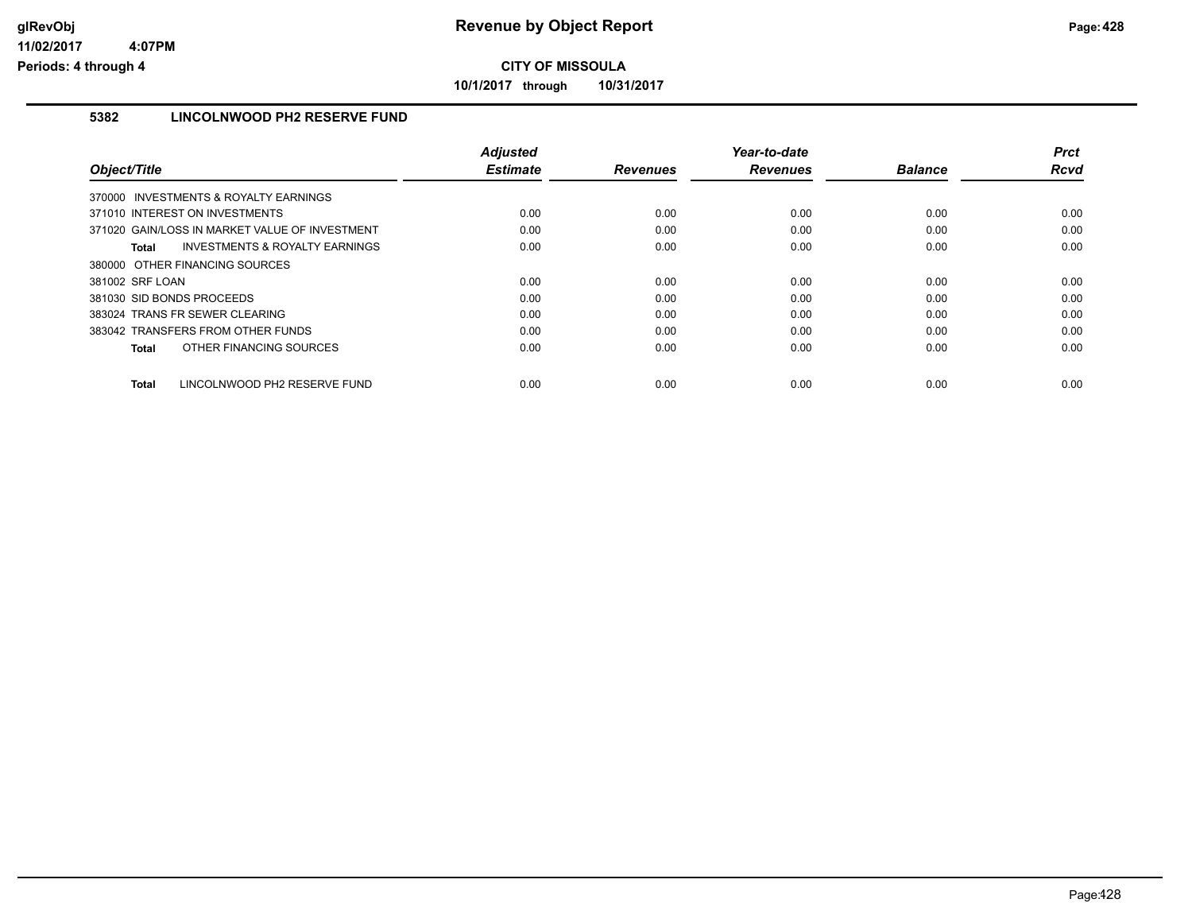**10/1/2017 through 10/31/2017**

# **5382 LINCOLNWOOD PH2 RESERVE FUND**

|                                                    | <b>Adjusted</b> |                 | Year-to-date    |                | <b>Prct</b> |
|----------------------------------------------------|-----------------|-----------------|-----------------|----------------|-------------|
| Object/Title                                       | <b>Estimate</b> | <b>Revenues</b> | <b>Revenues</b> | <b>Balance</b> | Rcvd        |
| 370000 INVESTMENTS & ROYALTY EARNINGS              |                 |                 |                 |                |             |
| 371010 INTEREST ON INVESTMENTS                     | 0.00            | 0.00            | 0.00            | 0.00           | 0.00        |
| 371020 GAIN/LOSS IN MARKET VALUE OF INVESTMENT     | 0.00            | 0.00            | 0.00            | 0.00           | 0.00        |
| <b>INVESTMENTS &amp; ROYALTY EARNINGS</b><br>Total | 0.00            | 0.00            | 0.00            | 0.00           | 0.00        |
| 380000 OTHER FINANCING SOURCES                     |                 |                 |                 |                |             |
| 381002 SRF LOAN                                    | 0.00            | 0.00            | 0.00            | 0.00           | 0.00        |
| 381030 SID BONDS PROCEEDS                          | 0.00            | 0.00            | 0.00            | 0.00           | 0.00        |
| 383024 TRANS FR SEWER CLEARING                     | 0.00            | 0.00            | 0.00            | 0.00           | 0.00        |
| 383042 TRANSFERS FROM OTHER FUNDS                  | 0.00            | 0.00            | 0.00            | 0.00           | 0.00        |
| OTHER FINANCING SOURCES<br><b>Total</b>            | 0.00            | 0.00            | 0.00            | 0.00           | 0.00        |
|                                                    |                 |                 |                 |                |             |
| <b>Total</b><br>LINCOLNWOOD PH2 RESERVE FUND       | 0.00            | 0.00            | 0.00            | 0.00           | 0.00        |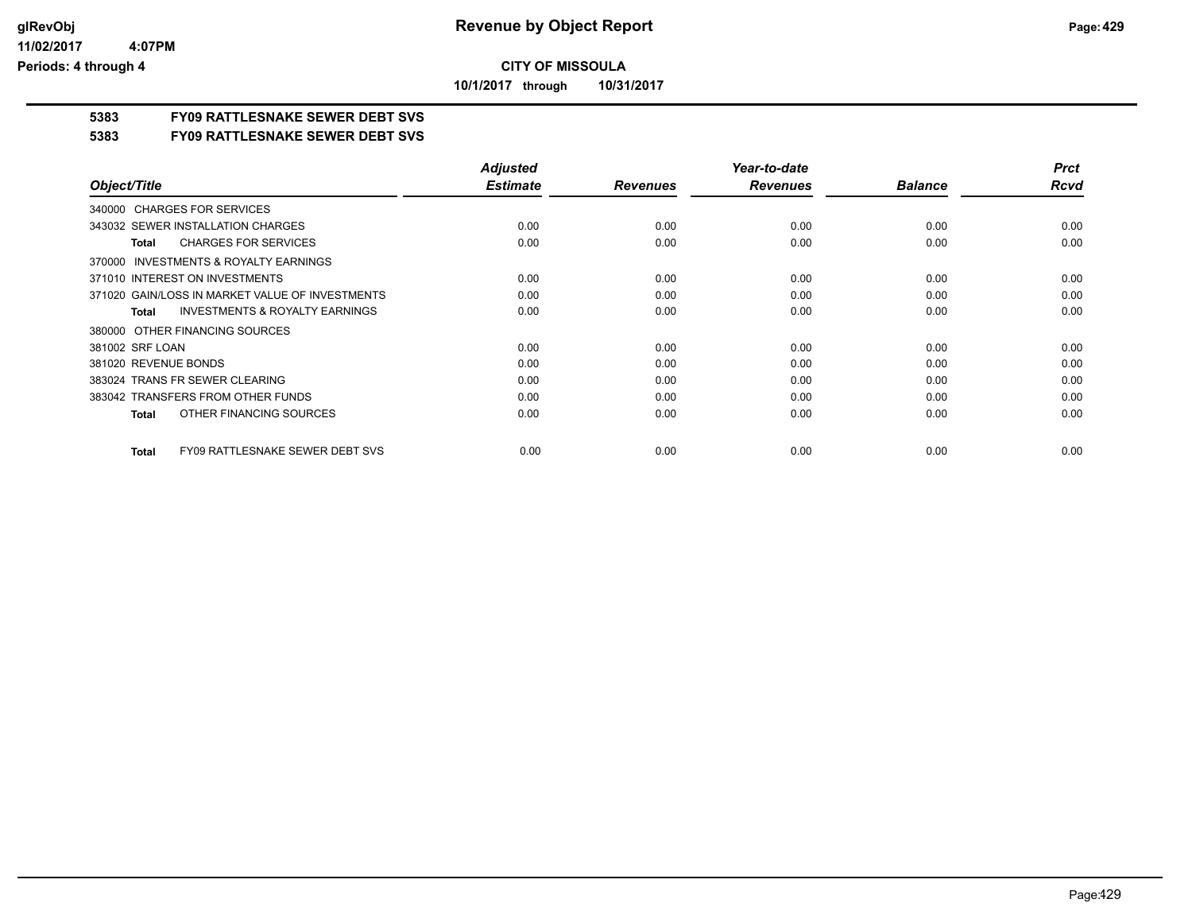**10/1/2017 through 10/31/2017**

# **5383 FY09 RATTLESNAKE SEWER DEBT SVS**

**5383 FY09 RATTLESNAKE SEWER DEBT SVS**

|                                                        | <b>Adjusted</b> |                 | Year-to-date    |                | <b>Prct</b> |
|--------------------------------------------------------|-----------------|-----------------|-----------------|----------------|-------------|
| Object/Title                                           | <b>Estimate</b> | <b>Revenues</b> | <b>Revenues</b> | <b>Balance</b> | <b>Rcvd</b> |
| 340000 CHARGES FOR SERVICES                            |                 |                 |                 |                |             |
| 343032 SEWER INSTALLATION CHARGES                      | 0.00            | 0.00            | 0.00            | 0.00           | 0.00        |
| <b>CHARGES FOR SERVICES</b><br>Total                   | 0.00            | 0.00            | 0.00            | 0.00           | 0.00        |
| <b>INVESTMENTS &amp; ROYALTY EARNINGS</b><br>370000    |                 |                 |                 |                |             |
| 371010 INTEREST ON INVESTMENTS                         | 0.00            | 0.00            | 0.00            | 0.00           | 0.00        |
| 371020 GAIN/LOSS IN MARKET VALUE OF INVESTMENTS        | 0.00            | 0.00            | 0.00            | 0.00           | 0.00        |
| <b>INVESTMENTS &amp; ROYALTY EARNINGS</b><br>Total     | 0.00            | 0.00            | 0.00            | 0.00           | 0.00        |
| 380000 OTHER FINANCING SOURCES                         |                 |                 |                 |                |             |
| 381002 SRF LOAN                                        | 0.00            | 0.00            | 0.00            | 0.00           | 0.00        |
| 381020 REVENUE BONDS                                   | 0.00            | 0.00            | 0.00            | 0.00           | 0.00        |
| 383024 TRANS FR SEWER CLEARING                         | 0.00            | 0.00            | 0.00            | 0.00           | 0.00        |
| 383042 TRANSFERS FROM OTHER FUNDS                      | 0.00            | 0.00            | 0.00            | 0.00           | 0.00        |
| OTHER FINANCING SOURCES<br>Total                       | 0.00            | 0.00            | 0.00            | 0.00           | 0.00        |
| <b>FY09 RATTLESNAKE SEWER DEBT SVS</b><br><b>Total</b> | 0.00            | 0.00            | 0.00            | 0.00           | 0.00        |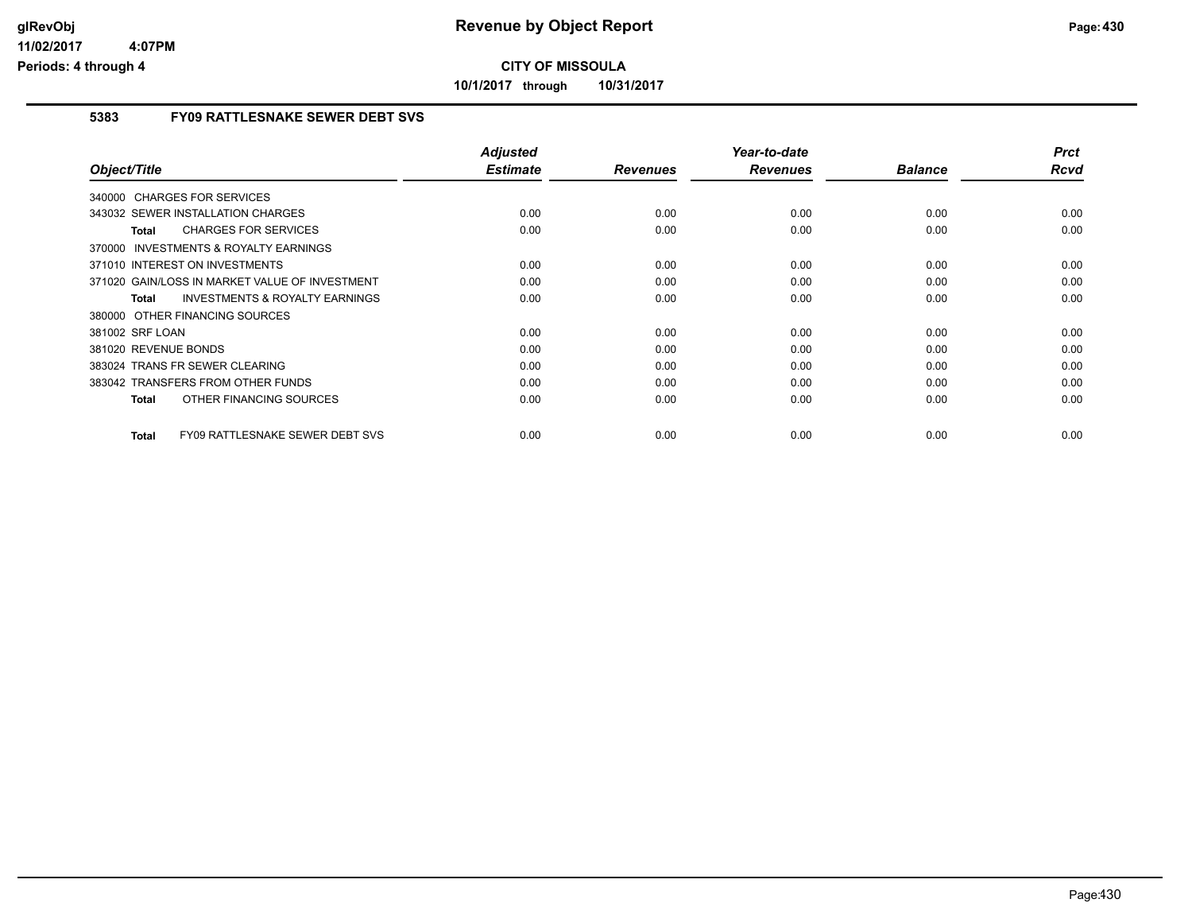**10/1/2017 through 10/31/2017**

# **5383 FY09 RATTLESNAKE SEWER DEBT SVS**

| Object/Title                                              | <b>Adjusted</b><br><b>Estimate</b> | <b>Revenues</b> | Year-to-date<br><b>Revenues</b> | <b>Balance</b> | <b>Prct</b><br><b>Rcvd</b> |
|-----------------------------------------------------------|------------------------------------|-----------------|---------------------------------|----------------|----------------------------|
|                                                           |                                    |                 |                                 |                |                            |
| 340000 CHARGES FOR SERVICES                               |                                    |                 |                                 |                |                            |
| 343032 SEWER INSTALLATION CHARGES                         | 0.00                               | 0.00            | 0.00                            | 0.00           | 0.00                       |
| <b>CHARGES FOR SERVICES</b><br>Total                      | 0.00                               | 0.00            | 0.00                            | 0.00           | 0.00                       |
| INVESTMENTS & ROYALTY EARNINGS<br>370000                  |                                    |                 |                                 |                |                            |
| 371010 INTEREST ON INVESTMENTS                            | 0.00                               | 0.00            | 0.00                            | 0.00           | 0.00                       |
| 371020 GAIN/LOSS IN MARKET VALUE OF INVESTMENT            | 0.00                               | 0.00            | 0.00                            | 0.00           | 0.00                       |
| <b>INVESTMENTS &amp; ROYALTY EARNINGS</b><br><b>Total</b> | 0.00                               | 0.00            | 0.00                            | 0.00           | 0.00                       |
| 380000 OTHER FINANCING SOURCES                            |                                    |                 |                                 |                |                            |
| 381002 SRF LOAN                                           | 0.00                               | 0.00            | 0.00                            | 0.00           | 0.00                       |
| 381020 REVENUE BONDS                                      | 0.00                               | 0.00            | 0.00                            | 0.00           | 0.00                       |
| 383024 TRANS FR SEWER CLEARING                            | 0.00                               | 0.00            | 0.00                            | 0.00           | 0.00                       |
| 383042 TRANSFERS FROM OTHER FUNDS                         | 0.00                               | 0.00            | 0.00                            | 0.00           | 0.00                       |
| OTHER FINANCING SOURCES<br><b>Total</b>                   | 0.00                               | 0.00            | 0.00                            | 0.00           | 0.00                       |
|                                                           |                                    |                 |                                 |                |                            |
| FY09 RATTLESNAKE SEWER DEBT SVS<br><b>Total</b>           | 0.00                               | 0.00            | 0.00                            | 0.00           | 0.00                       |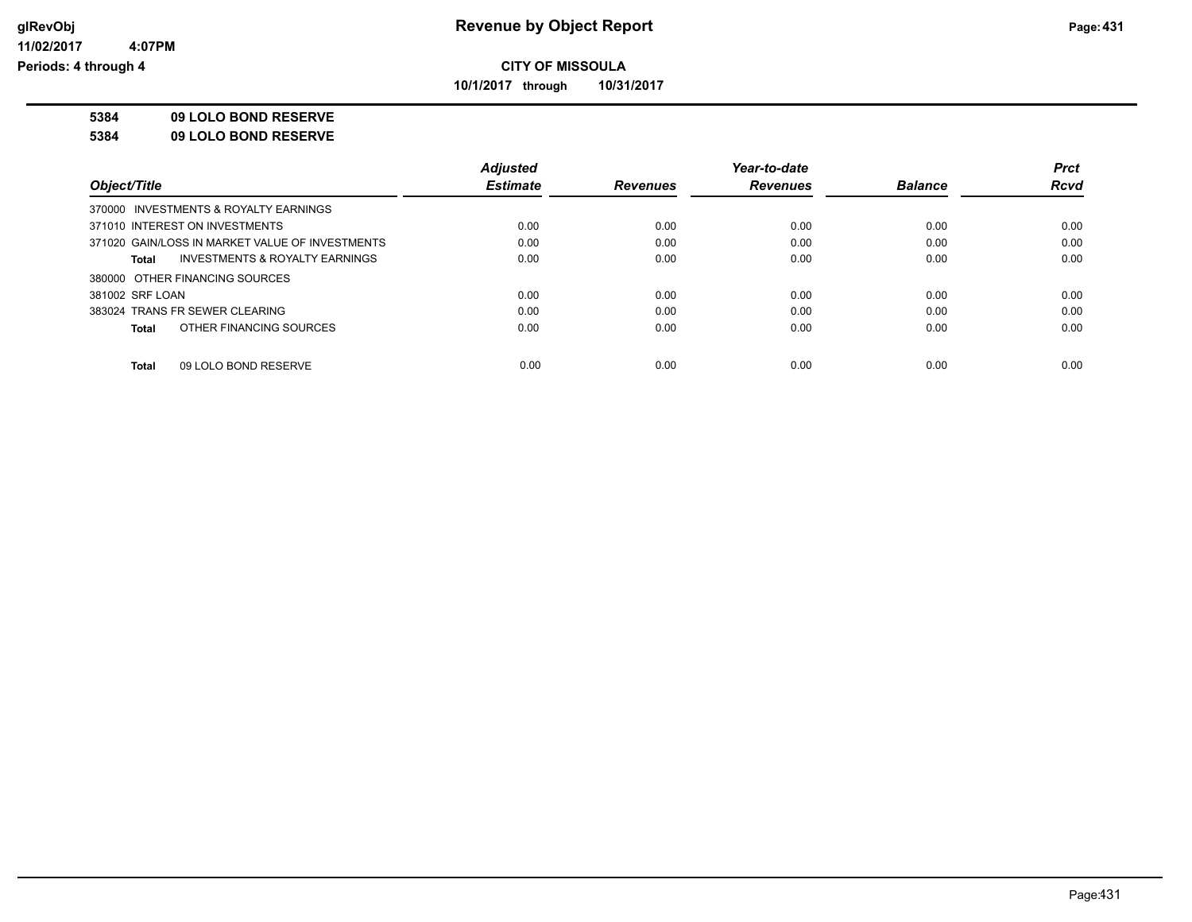**10/1/2017 through 10/31/2017**

## **5384 09 LOLO BOND RESERVE**

**5384 09 LOLO BOND RESERVE**

|                                                    | <b>Adjusted</b> |                 | Year-to-date    |                | <b>Prct</b> |
|----------------------------------------------------|-----------------|-----------------|-----------------|----------------|-------------|
| Object/Title                                       | <b>Estimate</b> | <b>Revenues</b> | <b>Revenues</b> | <b>Balance</b> | <b>Rcvd</b> |
| 370000 INVESTMENTS & ROYALTY EARNINGS              |                 |                 |                 |                |             |
| 371010 INTEREST ON INVESTMENTS                     | 0.00            | 0.00            | 0.00            | 0.00           | 0.00        |
| 371020 GAIN/LOSS IN MARKET VALUE OF INVESTMENTS    | 0.00            | 0.00            | 0.00            | 0.00           | 0.00        |
| <b>INVESTMENTS &amp; ROYALTY EARNINGS</b><br>Total | 0.00            | 0.00            | 0.00            | 0.00           | 0.00        |
| 380000 OTHER FINANCING SOURCES                     |                 |                 |                 |                |             |
| 381002 SRF LOAN                                    | 0.00            | 0.00            | 0.00            | 0.00           | 0.00        |
| 383024 TRANS FR SEWER CLEARING                     | 0.00            | 0.00            | 0.00            | 0.00           | 0.00        |
| OTHER FINANCING SOURCES<br>Total                   | 0.00            | 0.00            | 0.00            | 0.00           | 0.00        |
| 09 LOLO BOND RESERVE<br>Total                      | 0.00            | 0.00            | 0.00            | 0.00           | 0.00        |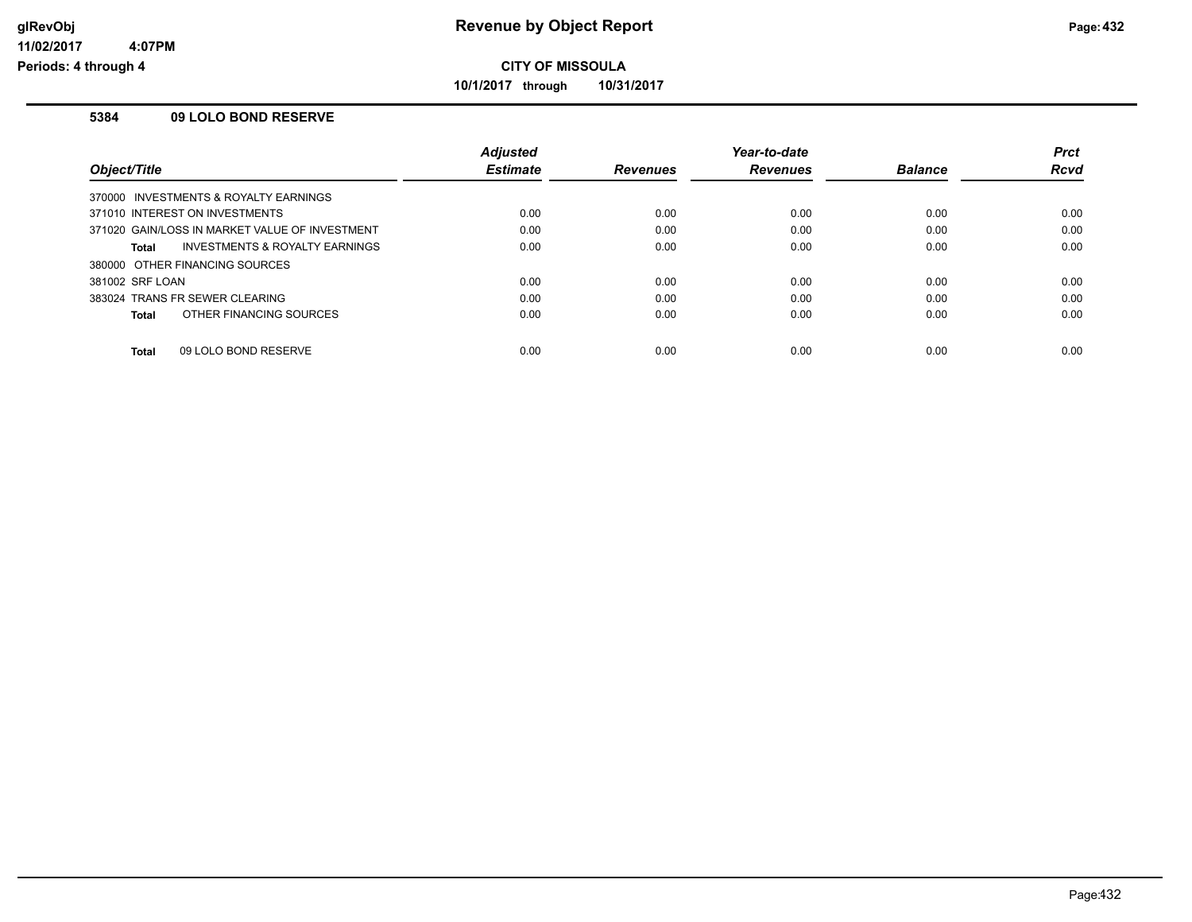**10/1/2017 through 10/31/2017**

# **5384 09 LOLO BOND RESERVE**

|                                                | <b>Adjusted</b> |                 | Year-to-date    |                | <b>Prct</b> |
|------------------------------------------------|-----------------|-----------------|-----------------|----------------|-------------|
| Object/Title                                   | <b>Estimate</b> | <b>Revenues</b> | <b>Revenues</b> | <b>Balance</b> | <b>Rcvd</b> |
| 370000 INVESTMENTS & ROYALTY EARNINGS          |                 |                 |                 |                |             |
| 371010 INTEREST ON INVESTMENTS                 | 0.00            | 0.00            | 0.00            | 0.00           | 0.00        |
| 371020 GAIN/LOSS IN MARKET VALUE OF INVESTMENT | 0.00            | 0.00            | 0.00            | 0.00           | 0.00        |
| INVESTMENTS & ROYALTY EARNINGS<br>Total        | 0.00            | 0.00            | 0.00            | 0.00           | 0.00        |
| 380000 OTHER FINANCING SOURCES                 |                 |                 |                 |                |             |
| 381002 SRF LOAN                                | 0.00            | 0.00            | 0.00            | 0.00           | 0.00        |
| 383024 TRANS FR SEWER CLEARING                 | 0.00            | 0.00            | 0.00            | 0.00           | 0.00        |
| OTHER FINANCING SOURCES<br><b>Total</b>        | 0.00            | 0.00            | 0.00            | 0.00           | 0.00        |
|                                                |                 |                 |                 |                |             |
| 09 LOLO BOND RESERVE<br><b>Total</b>           | 0.00            | 0.00            | 0.00            | 0.00           | 0.00        |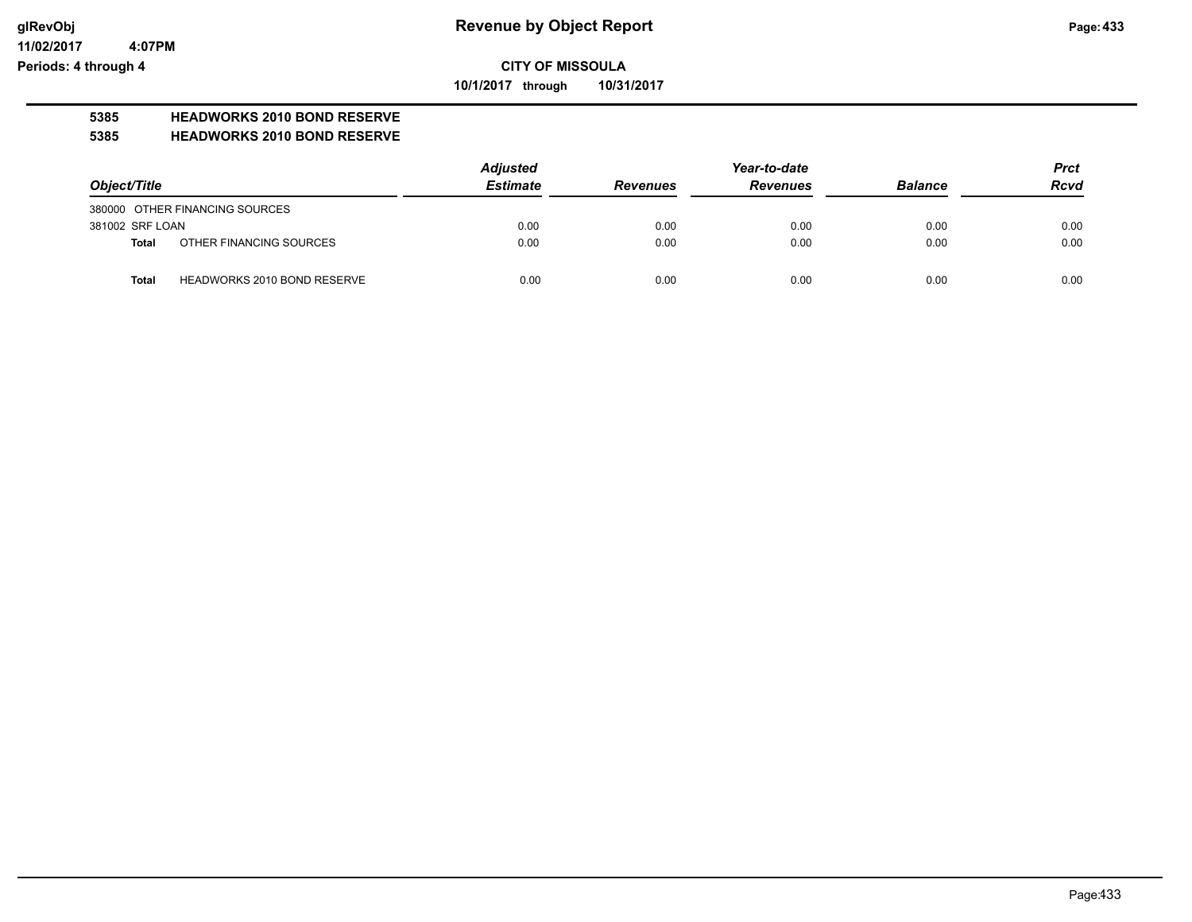**10/1/2017 through 10/31/2017**

# **5385 HEADWORKS 2010 BOND RESERVE**

# **5385 HEADWORKS 2010 BOND RESERVE**

|                 |                                    | <b>Adjusted</b> |                 | Year-to-date    |                | <b>Prct</b> |
|-----------------|------------------------------------|-----------------|-----------------|-----------------|----------------|-------------|
| Object/Title    |                                    | <b>Estimate</b> | <b>Revenues</b> | <b>Revenues</b> | <b>Balance</b> | <b>Rcvd</b> |
|                 | 380000 OTHER FINANCING SOURCES     |                 |                 |                 |                |             |
| 381002 SRF LOAN |                                    | 0.00            | 0.00            | 0.00            | 0.00           | 0.00        |
| Total           | OTHER FINANCING SOURCES            | 0.00            | 0.00            | 0.00            | 0.00           | 0.00        |
| <b>Total</b>    | <b>HEADWORKS 2010 BOND RESERVE</b> | 0.00            | 0.00            | 0.00            | 0.00           | 0.00        |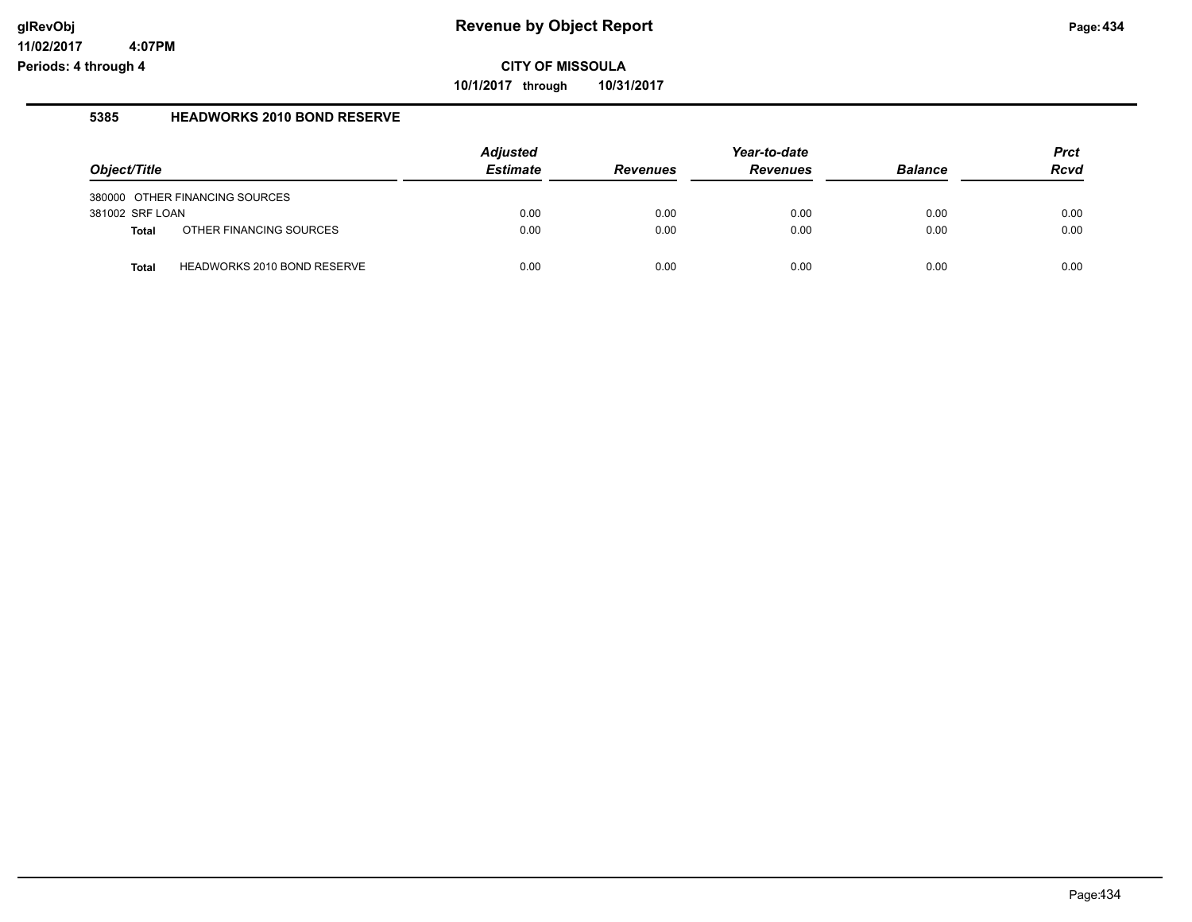**10/1/2017 through 10/31/2017**

#### **5385 HEADWORKS 2010 BOND RESERVE**

| Object/Title    |                                    | <b>Adjusted</b><br><b>Estimate</b> | <b>Revenues</b> | Year-to-date<br><b>Revenues</b> | <b>Balance</b> | <b>Prct</b><br><b>Rcvd</b> |
|-----------------|------------------------------------|------------------------------------|-----------------|---------------------------------|----------------|----------------------------|
|                 | 380000 OTHER FINANCING SOURCES     |                                    |                 |                                 |                |                            |
| 381002 SRF LOAN |                                    | 0.00                               | 0.00            | 0.00                            | 0.00           | 0.00                       |
| <b>Total</b>    | OTHER FINANCING SOURCES            | 0.00                               | 0.00            | 0.00                            | 0.00           | 0.00                       |
|                 |                                    |                                    |                 |                                 |                |                            |
| <b>Total</b>    | <b>HEADWORKS 2010 BOND RESERVE</b> | 0.00                               | 0.00            | 0.00                            | 0.00           | 0.00                       |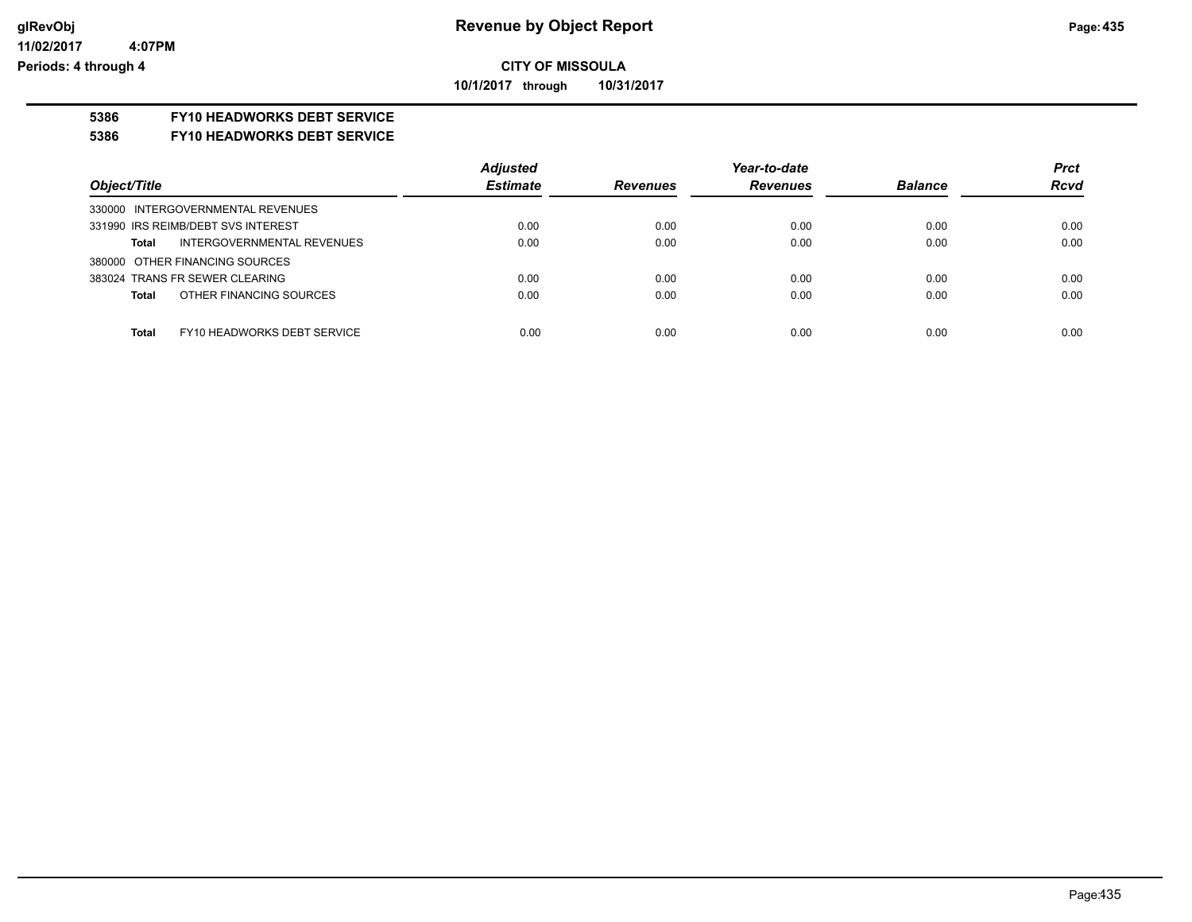**10/1/2017 through 10/31/2017**

# **5386 FY10 HEADWORKS DEBT SERVICE**

#### **5386 FY10 HEADWORKS DEBT SERVICE**

|                                             | <b>Adjusted</b> |                 | Year-to-date    |                | <b>Prct</b> |
|---------------------------------------------|-----------------|-----------------|-----------------|----------------|-------------|
| Object/Title                                | <b>Estimate</b> | <b>Revenues</b> | <b>Revenues</b> | <b>Balance</b> | <b>Rcvd</b> |
| 330000 INTERGOVERNMENTAL REVENUES           |                 |                 |                 |                |             |
| 331990 IRS REIMB/DEBT SVS INTEREST          | 0.00            | 0.00            | 0.00            | 0.00           | 0.00        |
| INTERGOVERNMENTAL REVENUES<br><b>Total</b>  | 0.00            | 0.00            | 0.00            | 0.00           | 0.00        |
| 380000 OTHER FINANCING SOURCES              |                 |                 |                 |                |             |
| 383024 TRANS FR SEWER CLEARING              | 0.00            | 0.00            | 0.00            | 0.00           | 0.00        |
| OTHER FINANCING SOURCES<br><b>Total</b>     | 0.00            | 0.00            | 0.00            | 0.00           | 0.00        |
|                                             |                 |                 |                 |                |             |
| FY10 HEADWORKS DEBT SERVICE<br><b>Total</b> | 0.00            | 0.00            | 0.00            | 0.00           | 0.00        |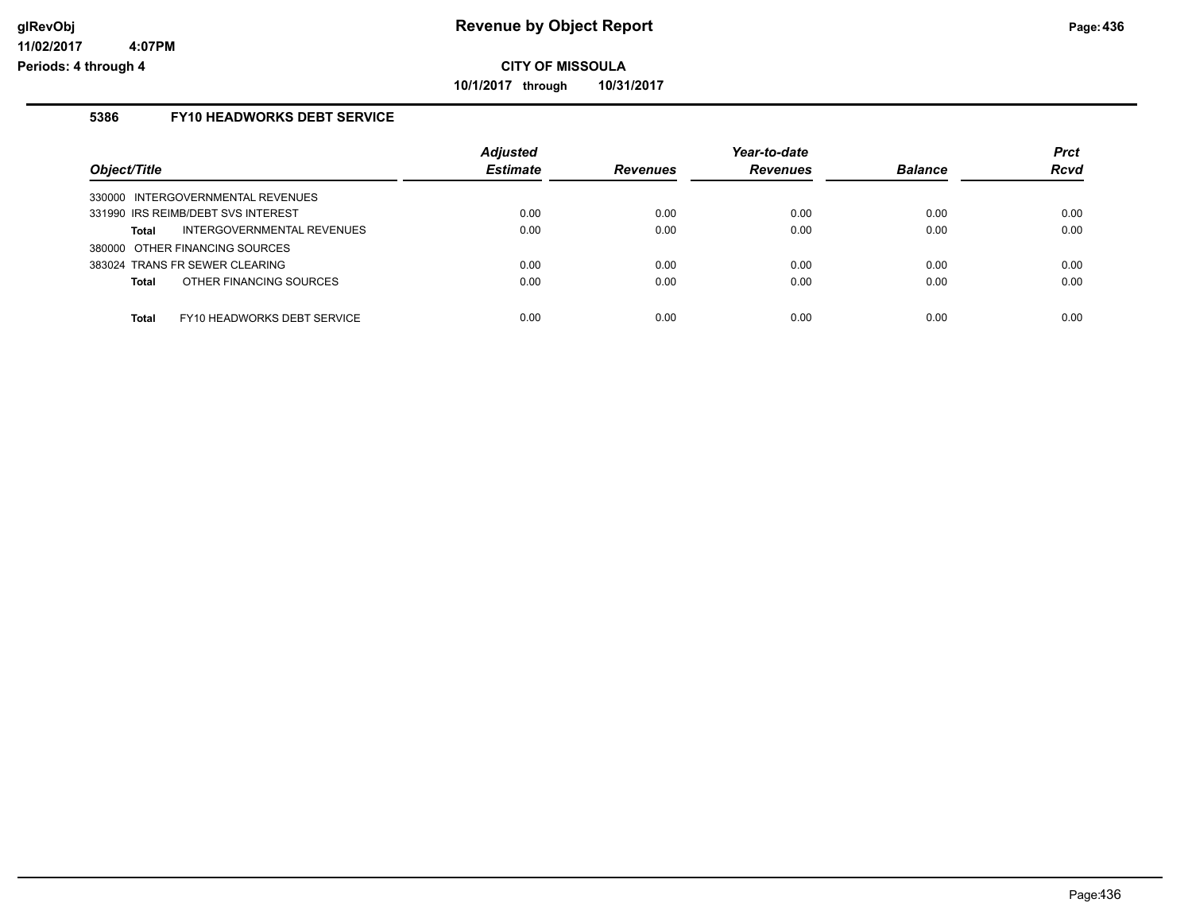**10/1/2017 through 10/31/2017**

### **5386 FY10 HEADWORKS DEBT SERVICE**

| Object/Title                            | <b>Adjusted</b><br><b>Estimate</b> | <b>Revenues</b> | Year-to-date<br><b>Revenues</b> | <b>Balance</b> | <b>Prct</b><br><b>Rcvd</b> |
|-----------------------------------------|------------------------------------|-----------------|---------------------------------|----------------|----------------------------|
| 330000 INTERGOVERNMENTAL REVENUES       |                                    |                 |                                 |                |                            |
| 331990 IRS REIMB/DEBT SVS INTEREST      | 0.00                               | 0.00            | 0.00                            | 0.00           | 0.00                       |
| INTERGOVERNMENTAL REVENUES<br>Total     | 0.00                               | 0.00            | 0.00                            | 0.00           | 0.00                       |
| 380000 OTHER FINANCING SOURCES          |                                    |                 |                                 |                |                            |
| 383024 TRANS FR SEWER CLEARING          | 0.00                               | 0.00            | 0.00                            | 0.00           | 0.00                       |
| OTHER FINANCING SOURCES<br><b>Total</b> | 0.00                               | 0.00            | 0.00                            | 0.00           | 0.00                       |
| FY10 HEADWORKS DEBT SERVICE<br>Total    | 0.00                               | 0.00            | 0.00                            | 0.00           | 0.00                       |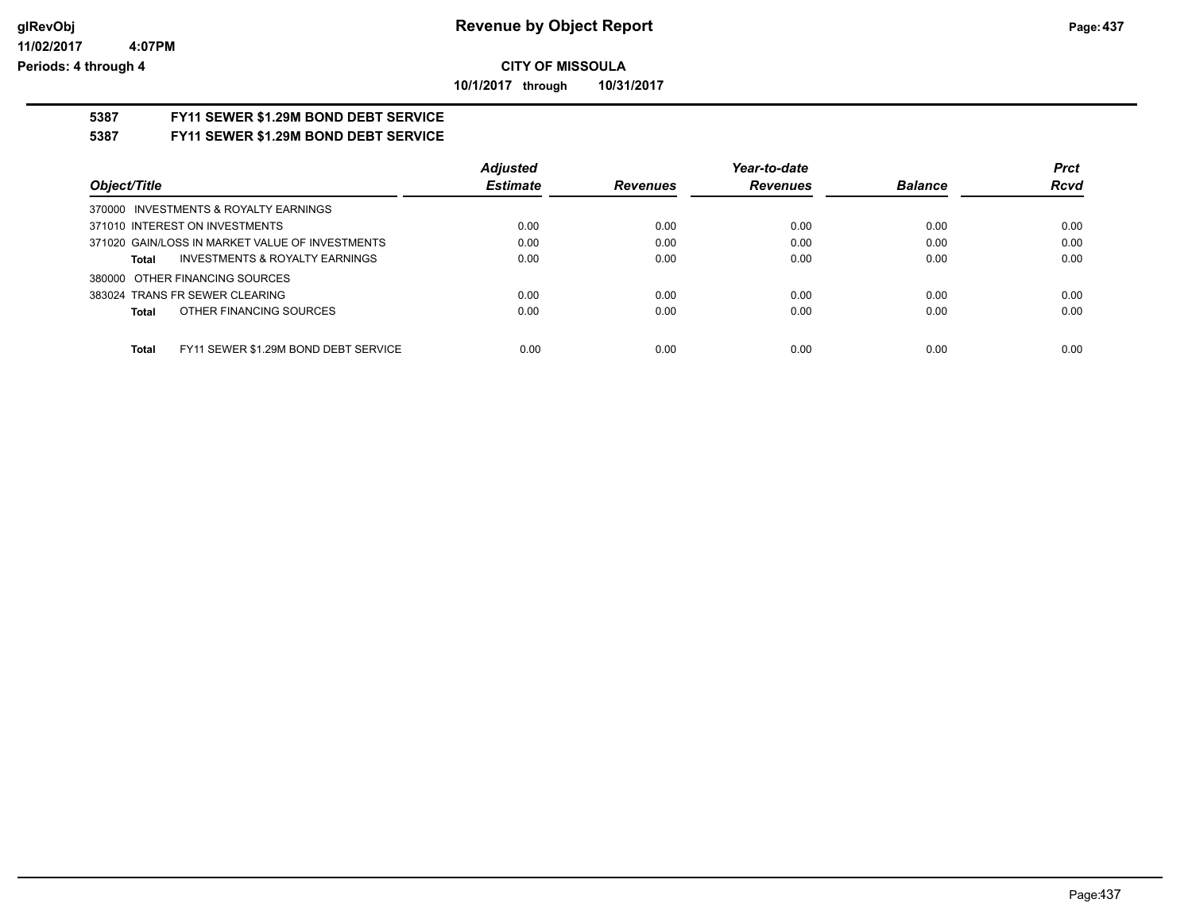**10/1/2017 through 10/31/2017**

# **5387 FY11 SEWER \$1.29M BOND DEBT SERVICE**

# **5387 FY11 SEWER \$1.29M BOND DEBT SERVICE**

|                                                    | <b>Adjusted</b> |                 | Year-to-date    |                | <b>Prct</b> |
|----------------------------------------------------|-----------------|-----------------|-----------------|----------------|-------------|
| Object/Title                                       | <b>Estimate</b> | <b>Revenues</b> | <b>Revenues</b> | <b>Balance</b> | <b>Rcvd</b> |
| 370000 INVESTMENTS & ROYALTY EARNINGS              |                 |                 |                 |                |             |
| 371010 INTEREST ON INVESTMENTS                     | 0.00            | 0.00            | 0.00            | 0.00           | 0.00        |
| 371020 GAIN/LOSS IN MARKET VALUE OF INVESTMENTS    | 0.00            | 0.00            | 0.00            | 0.00           | 0.00        |
| <b>INVESTMENTS &amp; ROYALTY EARNINGS</b><br>Total | 0.00            | 0.00            | 0.00            | 0.00           | 0.00        |
| 380000 OTHER FINANCING SOURCES                     |                 |                 |                 |                |             |
| 383024 TRANS FR SEWER CLEARING                     | 0.00            | 0.00            | 0.00            | 0.00           | 0.00        |
| OTHER FINANCING SOURCES<br>Total                   | 0.00            | 0.00            | 0.00            | 0.00           | 0.00        |
|                                                    |                 |                 |                 |                |             |
| FY11 SEWER \$1.29M BOND DEBT SERVICE<br>Total      | 0.00            | 0.00            | 0.00            | 0.00           | 0.00        |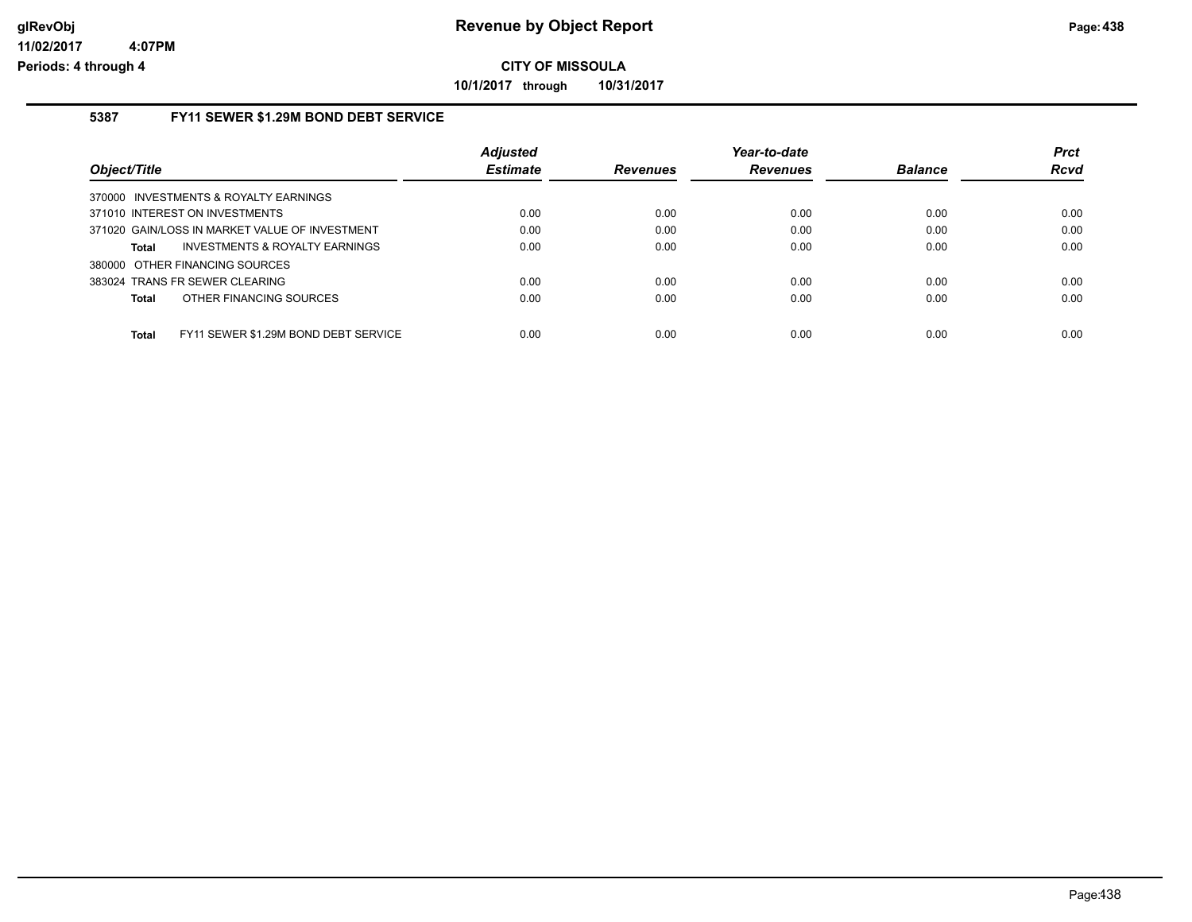**10/1/2017 through 10/31/2017**

#### **5387 FY11 SEWER \$1.29M BOND DEBT SERVICE**

|                                                    | <b>Adjusted</b> |                 | Year-to-date    |                | <b>Prct</b> |
|----------------------------------------------------|-----------------|-----------------|-----------------|----------------|-------------|
| Object/Title                                       | <b>Estimate</b> | <b>Revenues</b> | <b>Revenues</b> | <b>Balance</b> | <b>Rcvd</b> |
| 370000 INVESTMENTS & ROYALTY EARNINGS              |                 |                 |                 |                |             |
| 371010 INTEREST ON INVESTMENTS                     | 0.00            | 0.00            | 0.00            | 0.00           | 0.00        |
| 371020 GAIN/LOSS IN MARKET VALUE OF INVESTMENT     | 0.00            | 0.00            | 0.00            | 0.00           | 0.00        |
| <b>INVESTMENTS &amp; ROYALTY EARNINGS</b><br>Total | 0.00            | 0.00            | 0.00            | 0.00           | 0.00        |
| 380000 OTHER FINANCING SOURCES                     |                 |                 |                 |                |             |
| 383024 TRANS FR SEWER CLEARING                     | 0.00            | 0.00            | 0.00            | 0.00           | 0.00        |
| OTHER FINANCING SOURCES<br>Total                   | 0.00            | 0.00            | 0.00            | 0.00           | 0.00        |
| Total<br>FY11 SEWER \$1.29M BOND DEBT SERVICE      | 0.00            | 0.00            | 0.00            | 0.00           | 0.00        |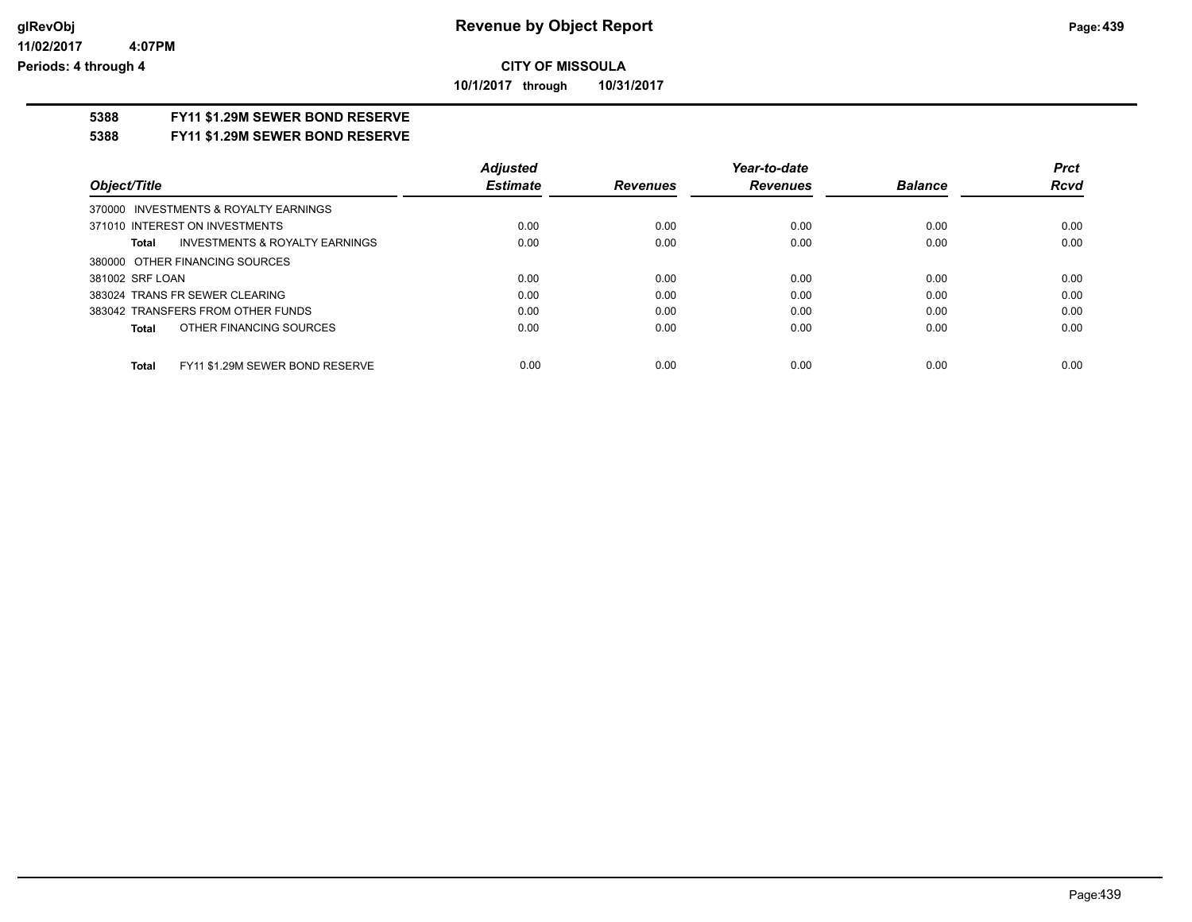**10/1/2017 through 10/31/2017**

# **5388 FY11 \$1.29M SEWER BOND RESERVE**

**5388 FY11 \$1.29M SEWER BOND RESERVE**

|                                                    | <b>Adjusted</b> |                 | Year-to-date    |                | <b>Prct</b> |
|----------------------------------------------------|-----------------|-----------------|-----------------|----------------|-------------|
| Object/Title                                       | <b>Estimate</b> | <b>Revenues</b> | <b>Revenues</b> | <b>Balance</b> | <b>Rcvd</b> |
| 370000 INVESTMENTS & ROYALTY EARNINGS              |                 |                 |                 |                |             |
| 371010 INTEREST ON INVESTMENTS                     | 0.00            | 0.00            | 0.00            | 0.00           | 0.00        |
| <b>INVESTMENTS &amp; ROYALTY EARNINGS</b><br>Total | 0.00            | 0.00            | 0.00            | 0.00           | 0.00        |
| 380000 OTHER FINANCING SOURCES                     |                 |                 |                 |                |             |
| 381002 SRF LOAN                                    | 0.00            | 0.00            | 0.00            | 0.00           | 0.00        |
| 383024 TRANS FR SEWER CLEARING                     | 0.00            | 0.00            | 0.00            | 0.00           | 0.00        |
| 383042 TRANSFERS FROM OTHER FUNDS                  | 0.00            | 0.00            | 0.00            | 0.00           | 0.00        |
| OTHER FINANCING SOURCES<br>Total                   | 0.00            | 0.00            | 0.00            | 0.00           | 0.00        |
| FY11 \$1.29M SEWER BOND RESERVE<br>Total           | 0.00            | 0.00            | 0.00            | 0.00           | 0.00        |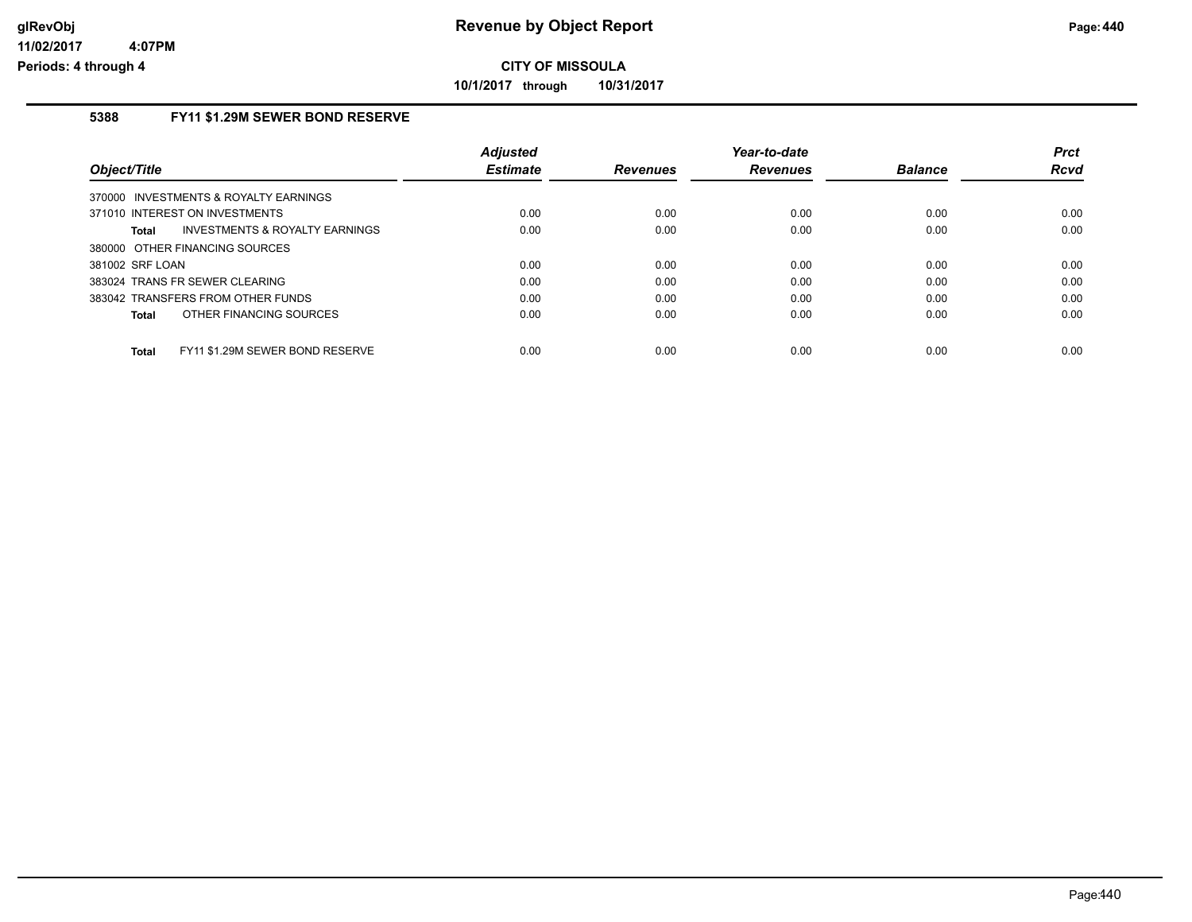**10/1/2017 through 10/31/2017**

### **5388 FY11 \$1.29M SEWER BOND RESERVE**

|                                                 | <b>Adjusted</b> |                 | Year-to-date    |                | <b>Prct</b> |
|-------------------------------------------------|-----------------|-----------------|-----------------|----------------|-------------|
| Object/Title                                    | <b>Estimate</b> | <b>Revenues</b> | <b>Revenues</b> | <b>Balance</b> | <b>Rcvd</b> |
| 370000 INVESTMENTS & ROYALTY EARNINGS           |                 |                 |                 |                |             |
| 371010 INTEREST ON INVESTMENTS                  | 0.00            | 0.00            | 0.00            | 0.00           | 0.00        |
| INVESTMENTS & ROYALTY EARNINGS<br>Total         | 0.00            | 0.00            | 0.00            | 0.00           | 0.00        |
| 380000 OTHER FINANCING SOURCES                  |                 |                 |                 |                |             |
| 381002 SRF LOAN                                 | 0.00            | 0.00            | 0.00            | 0.00           | 0.00        |
| 383024 TRANS FR SEWER CLEARING                  | 0.00            | 0.00            | 0.00            | 0.00           | 0.00        |
| 383042 TRANSFERS FROM OTHER FUNDS               | 0.00            | 0.00            | 0.00            | 0.00           | 0.00        |
| OTHER FINANCING SOURCES<br>Total                | 0.00            | 0.00            | 0.00            | 0.00           | 0.00        |
| FY11 \$1.29M SEWER BOND RESERVE<br><b>Total</b> | 0.00            | 0.00            | 0.00            | 0.00           | 0.00        |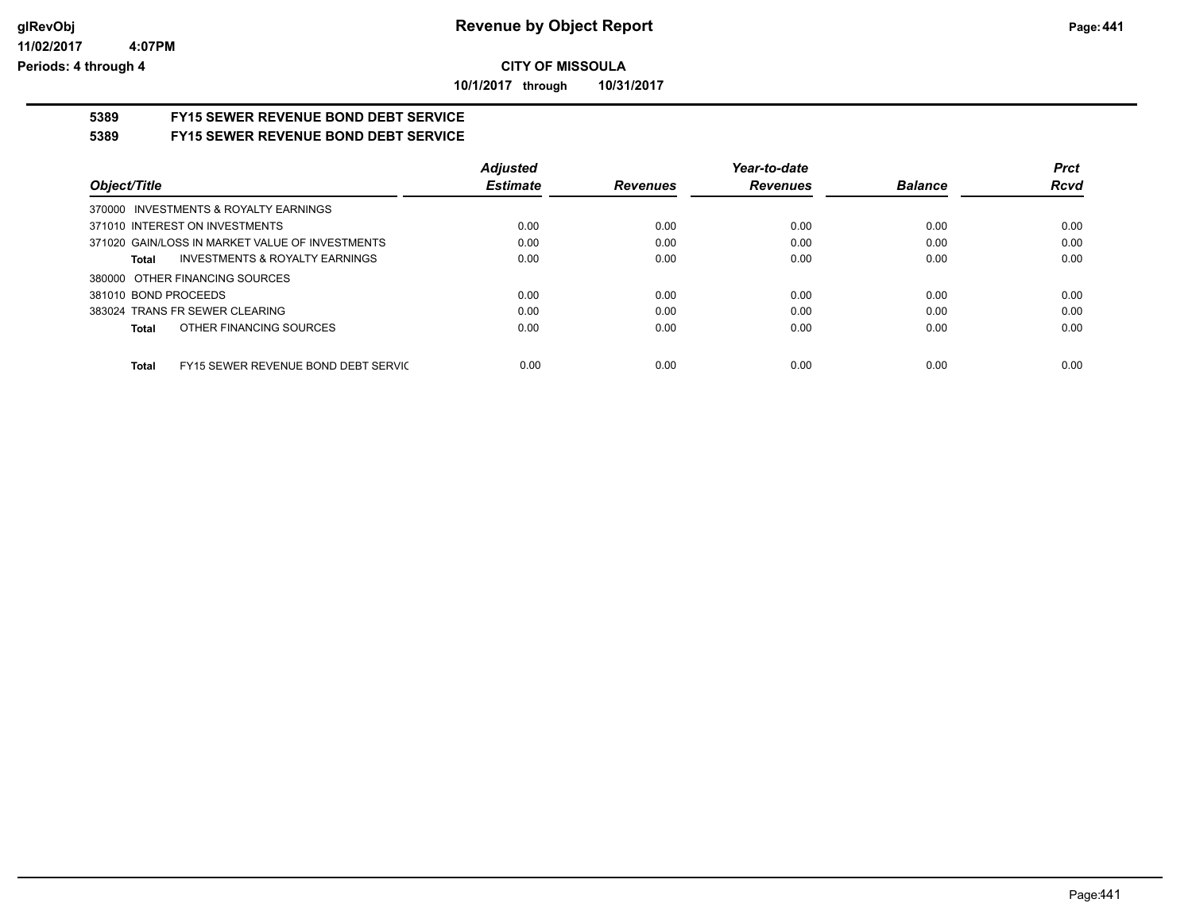**10/1/2017 through 10/31/2017**

#### **5389 FY15 SEWER REVENUE BOND DEBT SERVICE 5389 FY15 SEWER REVENUE BOND DEBT SERVICE**

|                                                    | <b>Adjusted</b> |          | Year-to-date    |                | <b>Prct</b> |
|----------------------------------------------------|-----------------|----------|-----------------|----------------|-------------|
| Object/Title                                       | <b>Estimate</b> | Revenues | <b>Revenues</b> | <b>Balance</b> | <b>Rcvd</b> |
| 370000 INVESTMENTS & ROYALTY EARNINGS              |                 |          |                 |                |             |
| 371010 INTEREST ON INVESTMENTS                     | 0.00            | 0.00     | 0.00            | 0.00           | 0.00        |
| 371020 GAIN/LOSS IN MARKET VALUE OF INVESTMENTS    | 0.00            | 0.00     | 0.00            | 0.00           | 0.00        |
| <b>INVESTMENTS &amp; ROYALTY EARNINGS</b><br>Total | 0.00            | 0.00     | 0.00            | 0.00           | 0.00        |
| 380000 OTHER FINANCING SOURCES                     |                 |          |                 |                |             |
| 381010 BOND PROCEEDS                               | 0.00            | 0.00     | 0.00            | 0.00           | 0.00        |
| 383024 TRANS FR SEWER CLEARING                     | 0.00            | 0.00     | 0.00            | 0.00           | 0.00        |
| OTHER FINANCING SOURCES<br>Total                   | 0.00            | 0.00     | 0.00            | 0.00           | 0.00        |
| FY15 SEWER REVENUE BOND DEBT SERVIC<br>Total       | 0.00            | 0.00     | 0.00            | 0.00           | 0.00        |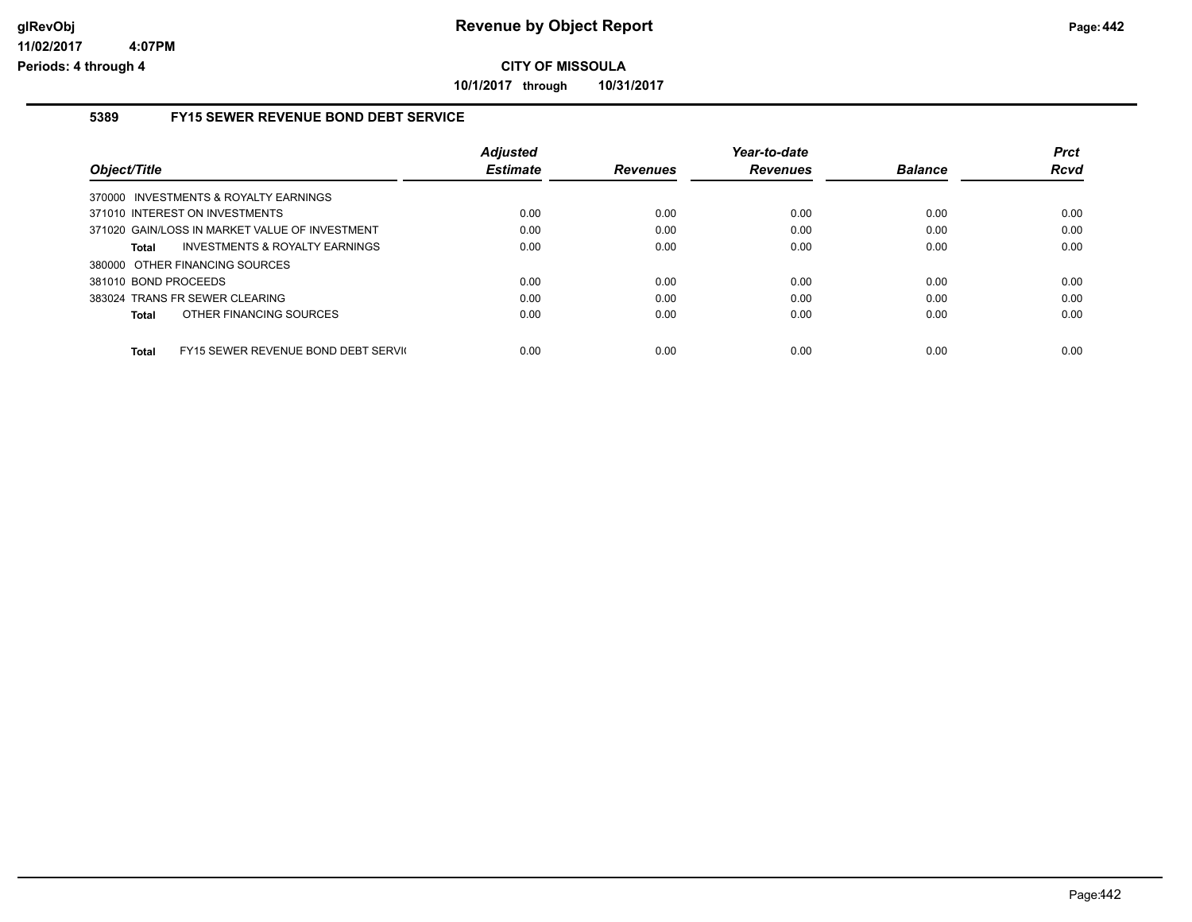**10/1/2017 through 10/31/2017**

#### **5389 FY15 SEWER REVENUE BOND DEBT SERVICE**

|                                                     | <b>Adjusted</b> |                 | Year-to-date    |                | <b>Prct</b> |
|-----------------------------------------------------|-----------------|-----------------|-----------------|----------------|-------------|
| Object/Title                                        | <b>Estimate</b> | <b>Revenues</b> | <b>Revenues</b> | <b>Balance</b> | <b>Rcvd</b> |
| 370000 INVESTMENTS & ROYALTY EARNINGS               |                 |                 |                 |                |             |
| 371010 INTEREST ON INVESTMENTS                      | 0.00            | 0.00            | 0.00            | 0.00           | 0.00        |
| 371020 GAIN/LOSS IN MARKET VALUE OF INVESTMENT      | 0.00            | 0.00            | 0.00            | 0.00           | 0.00        |
| <b>INVESTMENTS &amp; ROYALTY EARNINGS</b><br>Total  | 0.00            | 0.00            | 0.00            | 0.00           | 0.00        |
| 380000 OTHER FINANCING SOURCES                      |                 |                 |                 |                |             |
| 381010 BOND PROCEEDS                                | 0.00            | 0.00            | 0.00            | 0.00           | 0.00        |
| 383024 TRANS FR SEWER CLEARING                      | 0.00            | 0.00            | 0.00            | 0.00           | 0.00        |
| OTHER FINANCING SOURCES<br>Total                    | 0.00            | 0.00            | 0.00            | 0.00           | 0.00        |
|                                                     |                 |                 |                 |                |             |
| FY15 SEWER REVENUE BOND DEBT SERVIC<br><b>Total</b> | 0.00            | 0.00            | 0.00            | 0.00           | 0.00        |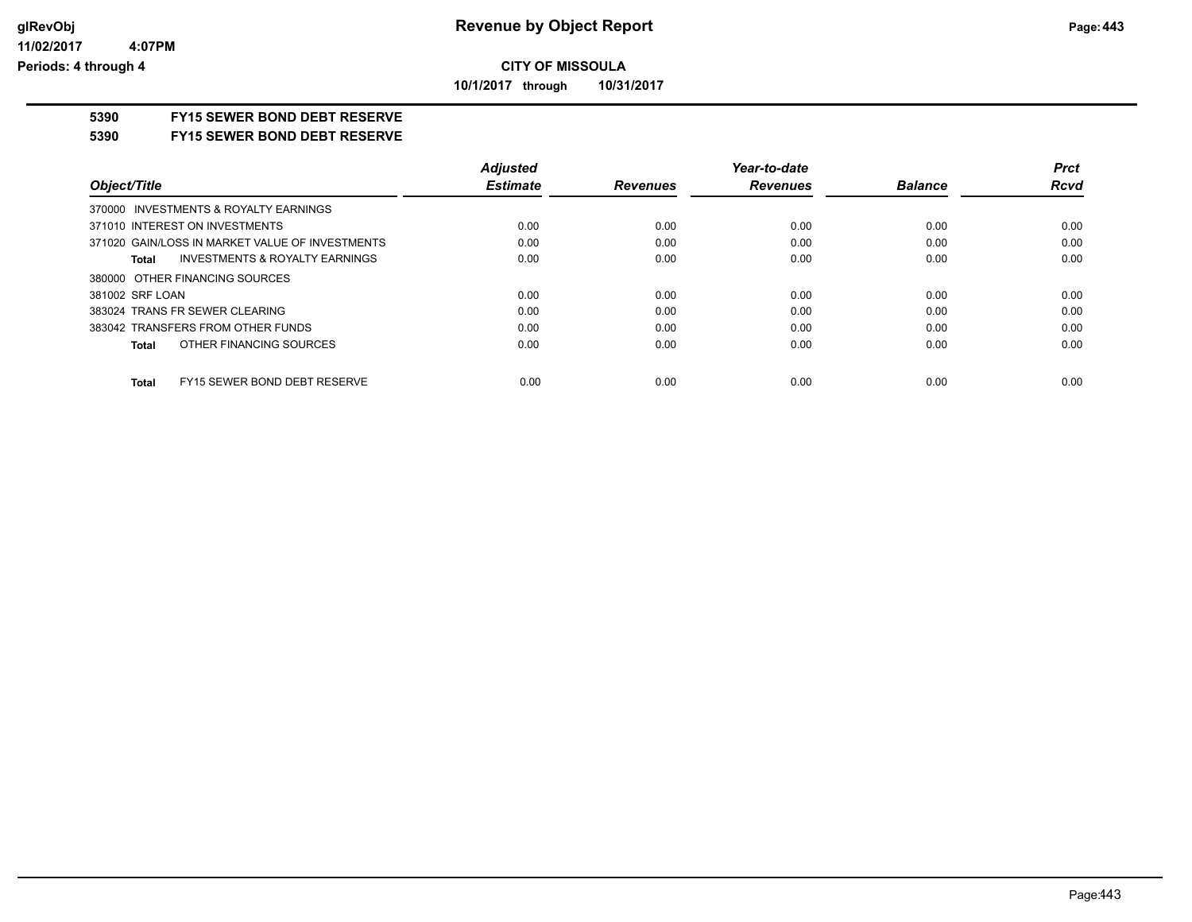**10/1/2017 through 10/31/2017**

# **5390 FY15 SEWER BOND DEBT RESERVE**

### **5390 FY15 SEWER BOND DEBT RESERVE**

|                                                 | <b>Adjusted</b> |                 | Year-to-date    |                | <b>Prct</b> |
|-------------------------------------------------|-----------------|-----------------|-----------------|----------------|-------------|
| Object/Title                                    | <b>Estimate</b> | <b>Revenues</b> | <b>Revenues</b> | <b>Balance</b> | <b>Rcvd</b> |
| 370000 INVESTMENTS & ROYALTY EARNINGS           |                 |                 |                 |                |             |
| 371010 INTEREST ON INVESTMENTS                  | 0.00            | 0.00            | 0.00            | 0.00           | 0.00        |
| 371020 GAIN/LOSS IN MARKET VALUE OF INVESTMENTS | 0.00            | 0.00            | 0.00            | 0.00           | 0.00        |
| INVESTMENTS & ROYALTY EARNINGS<br>Total         | 0.00            | 0.00            | 0.00            | 0.00           | 0.00        |
| 380000 OTHER FINANCING SOURCES                  |                 |                 |                 |                |             |
| 381002 SRF LOAN                                 | 0.00            | 0.00            | 0.00            | 0.00           | 0.00        |
| 383024 TRANS FR SEWER CLEARING                  | 0.00            | 0.00            | 0.00            | 0.00           | 0.00        |
| 383042 TRANSFERS FROM OTHER FUNDS               | 0.00            | 0.00            | 0.00            | 0.00           | 0.00        |
| OTHER FINANCING SOURCES<br>Total                | 0.00            | 0.00            | 0.00            | 0.00           | 0.00        |
| FY15 SEWER BOND DEBT RESERVE<br><b>Total</b>    | 0.00            | 0.00            | 0.00            | 0.00           | 0.00        |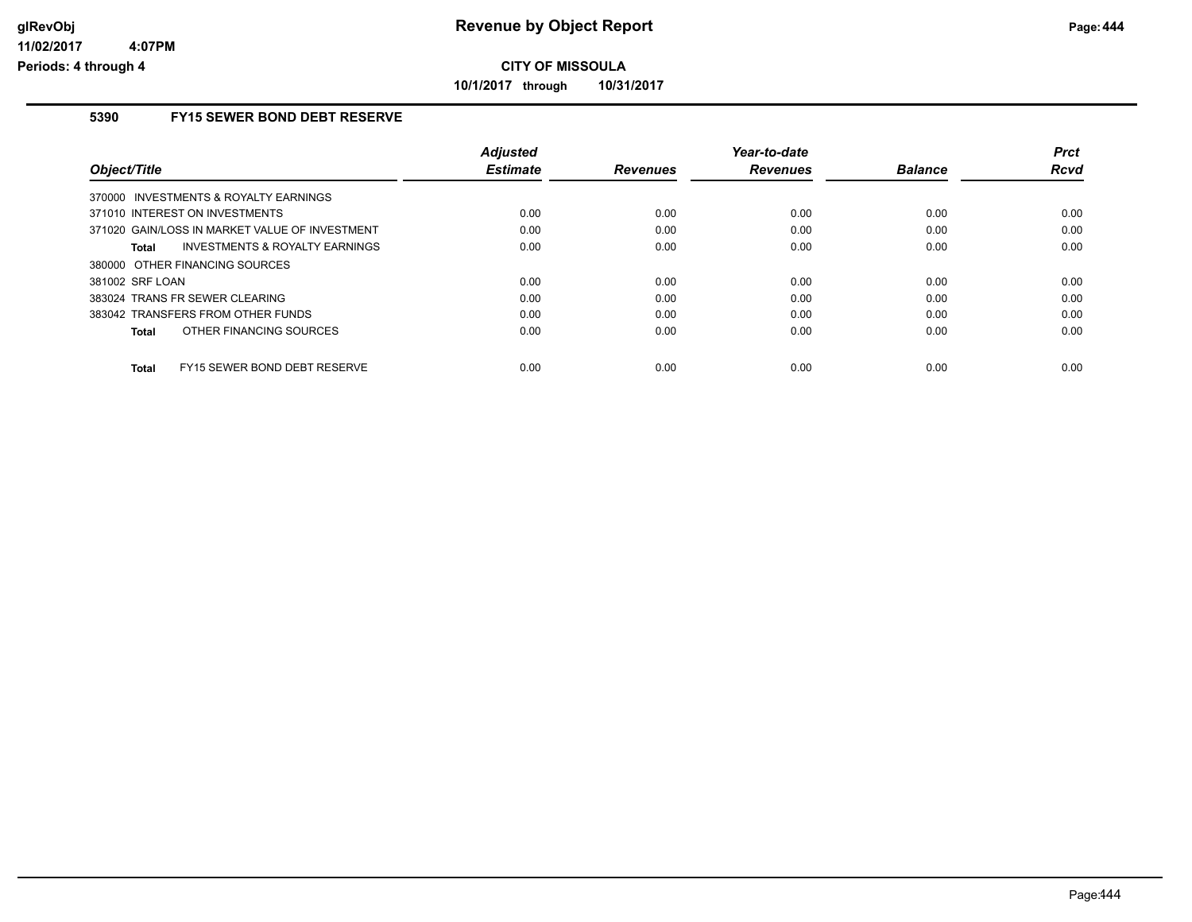**10/1/2017 through 10/31/2017**

### **5390 FY15 SEWER BOND DEBT RESERVE**

| Object/Title                                        | <b>Adiusted</b><br><b>Estimate</b> | <b>Revenues</b> | Year-to-date<br><b>Revenues</b> | <b>Balance</b> | <b>Prct</b><br><b>Rcvd</b> |
|-----------------------------------------------------|------------------------------------|-----------------|---------------------------------|----------------|----------------------------|
| 370000 INVESTMENTS & ROYALTY EARNINGS               |                                    |                 |                                 |                |                            |
| 371010 INTEREST ON INVESTMENTS                      | 0.00                               | 0.00            | 0.00                            | 0.00           | 0.00                       |
| 371020 GAIN/LOSS IN MARKET VALUE OF INVESTMENT      | 0.00                               | 0.00            | 0.00                            | 0.00           | 0.00                       |
| INVESTMENTS & ROYALTY EARNINGS<br>Total             | 0.00                               | 0.00            | 0.00                            | 0.00           | 0.00                       |
| 380000 OTHER FINANCING SOURCES                      |                                    |                 |                                 |                |                            |
| 381002 SRF LOAN                                     | 0.00                               | 0.00            | 0.00                            | 0.00           | 0.00                       |
| 383024 TRANS FR SEWER CLEARING                      | 0.00                               | 0.00            | 0.00                            | 0.00           | 0.00                       |
| 383042 TRANSFERS FROM OTHER FUNDS                   | 0.00                               | 0.00            | 0.00                            | 0.00           | 0.00                       |
| OTHER FINANCING SOURCES<br><b>Total</b>             | 0.00                               | 0.00            | 0.00                            | 0.00           | 0.00                       |
| <b>FY15 SEWER BOND DEBT RESERVE</b><br><b>Total</b> | 0.00                               | 0.00            | 0.00                            | 0.00           | 0.00                       |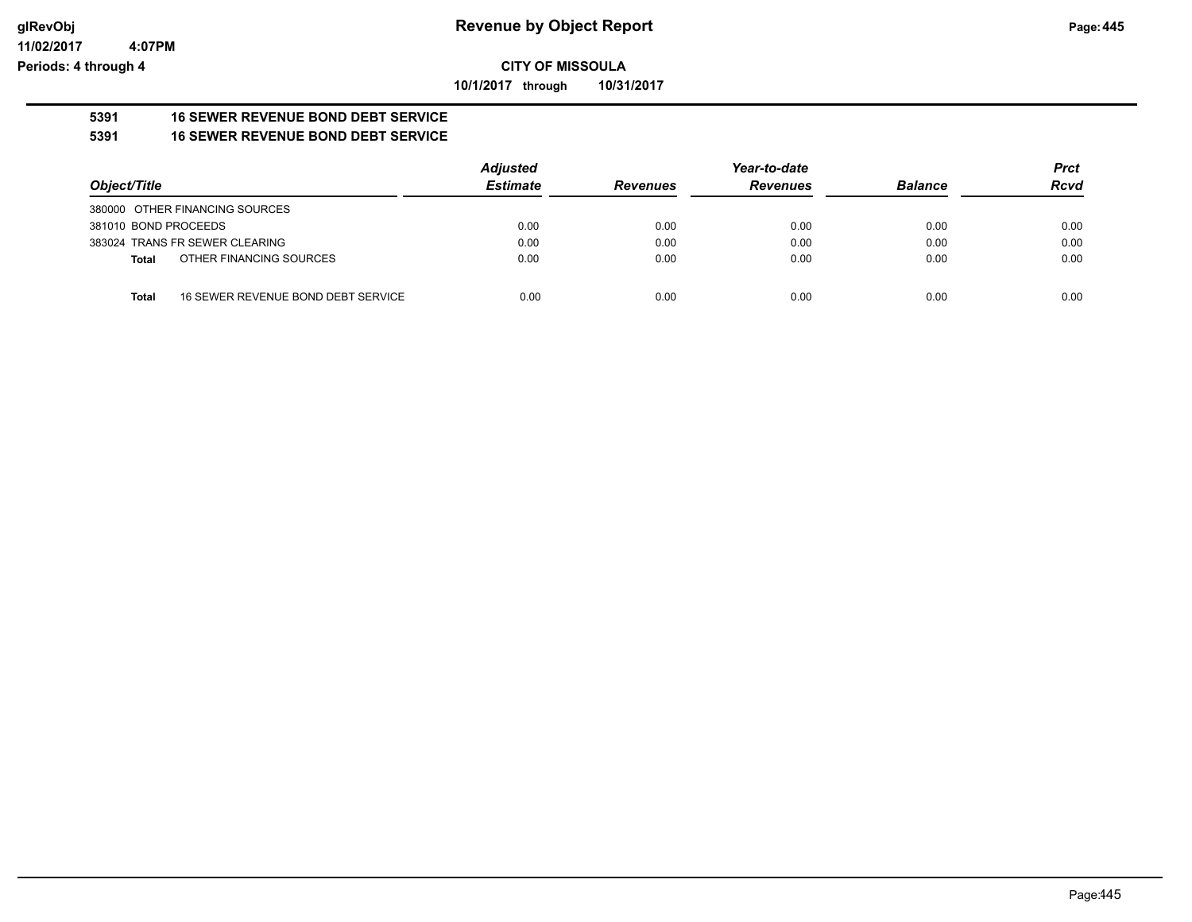#### **11/02/2017 4:07PM Periods: 4 through 4**

**CITY OF MISSOULA**

**10/1/2017 through 10/31/2017**

#### **5391 16 SEWER REVENUE BOND DEBT SERVICE 5391 16 SEWER REVENUE BOND DEBT SERVICE**

| Object/Title         |                                    | <b>Adjusted</b> |                 | Year-to-date    |                | <b>Prct</b> |
|----------------------|------------------------------------|-----------------|-----------------|-----------------|----------------|-------------|
|                      |                                    | <b>Estimate</b> | <b>Revenues</b> | <b>Revenues</b> | <b>Balance</b> | <b>Rcvd</b> |
|                      | 380000 OTHER FINANCING SOURCES     |                 |                 |                 |                |             |
| 381010 BOND PROCEEDS |                                    | 0.00            | 0.00            | 0.00            | 0.00           | 0.00        |
|                      | 383024 TRANS FR SEWER CLEARING     | 0.00            | 0.00            | 0.00            | 0.00           | 0.00        |
| <b>Total</b>         | OTHER FINANCING SOURCES            | 0.00            | 0.00            | 0.00            | 0.00           | 0.00        |
|                      |                                    |                 |                 |                 |                |             |
| Total                | 16 SEWER REVENUE BOND DEBT SERVICE | 0.00            | 0.00            | 0.00            | 0.00           | 0.00        |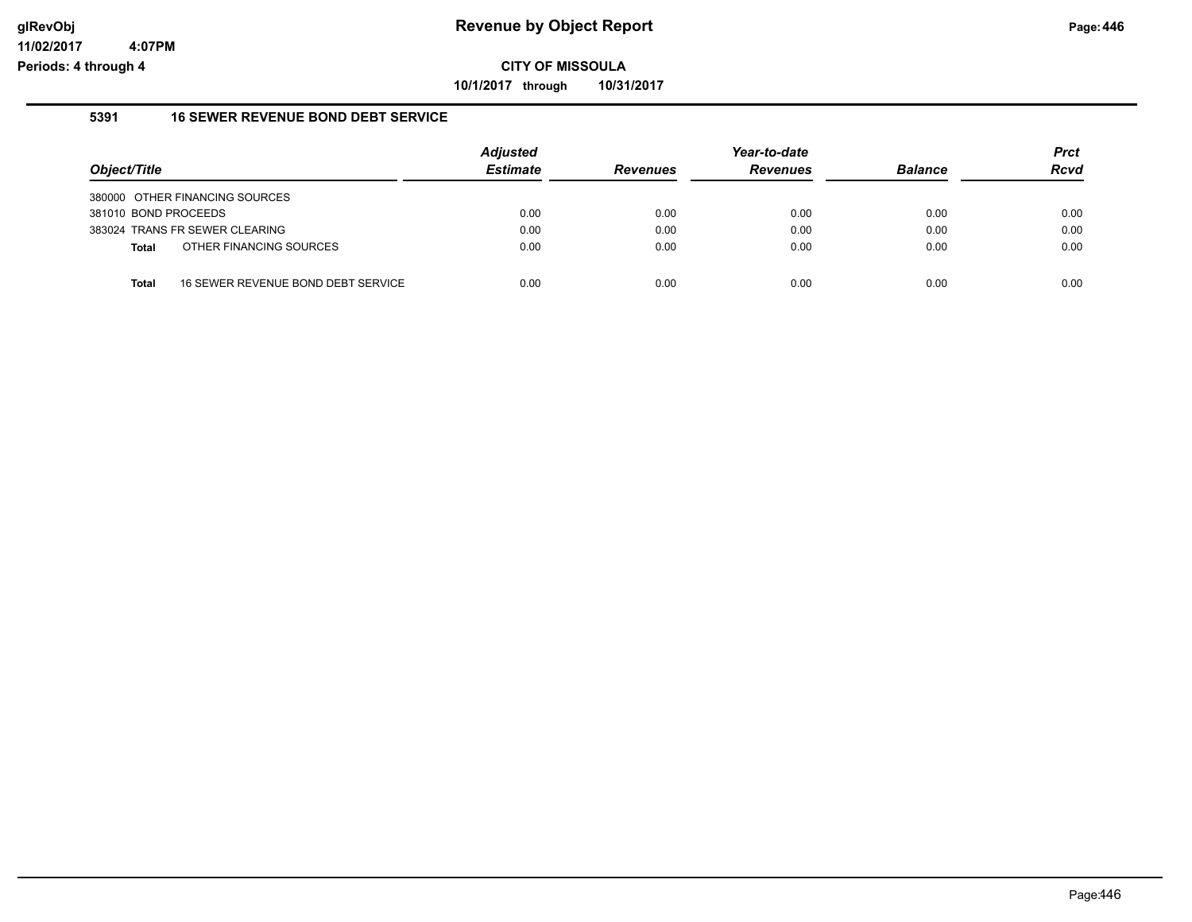**10/1/2017 through 10/31/2017**

#### **5391 16 SEWER REVENUE BOND DEBT SERVICE**

|                      |                                    | <b>Adjusted</b> |                 | Year-to-date    |                | <b>Prct</b> |
|----------------------|------------------------------------|-----------------|-----------------|-----------------|----------------|-------------|
| Object/Title         |                                    | <b>Estimate</b> | <b>Revenues</b> | <b>Revenues</b> | <b>Balance</b> | <b>Rcvd</b> |
|                      | 380000 OTHER FINANCING SOURCES     |                 |                 |                 |                |             |
| 381010 BOND PROCEEDS |                                    | 0.00            | 0.00            | 0.00            | 0.00           | 0.00        |
|                      | 383024 TRANS FR SEWER CLEARING     | 0.00            | 0.00            | 0.00            | 0.00           | 0.00        |
| Total                | OTHER FINANCING SOURCES            | 0.00            | 0.00            | 0.00            | 0.00           | 0.00        |
|                      |                                    |                 |                 |                 |                |             |
| Total                | 16 SEWER REVENUE BOND DEBT SERVICE | 0.00            | 0.00            | 0.00            | 0.00           | 0.00        |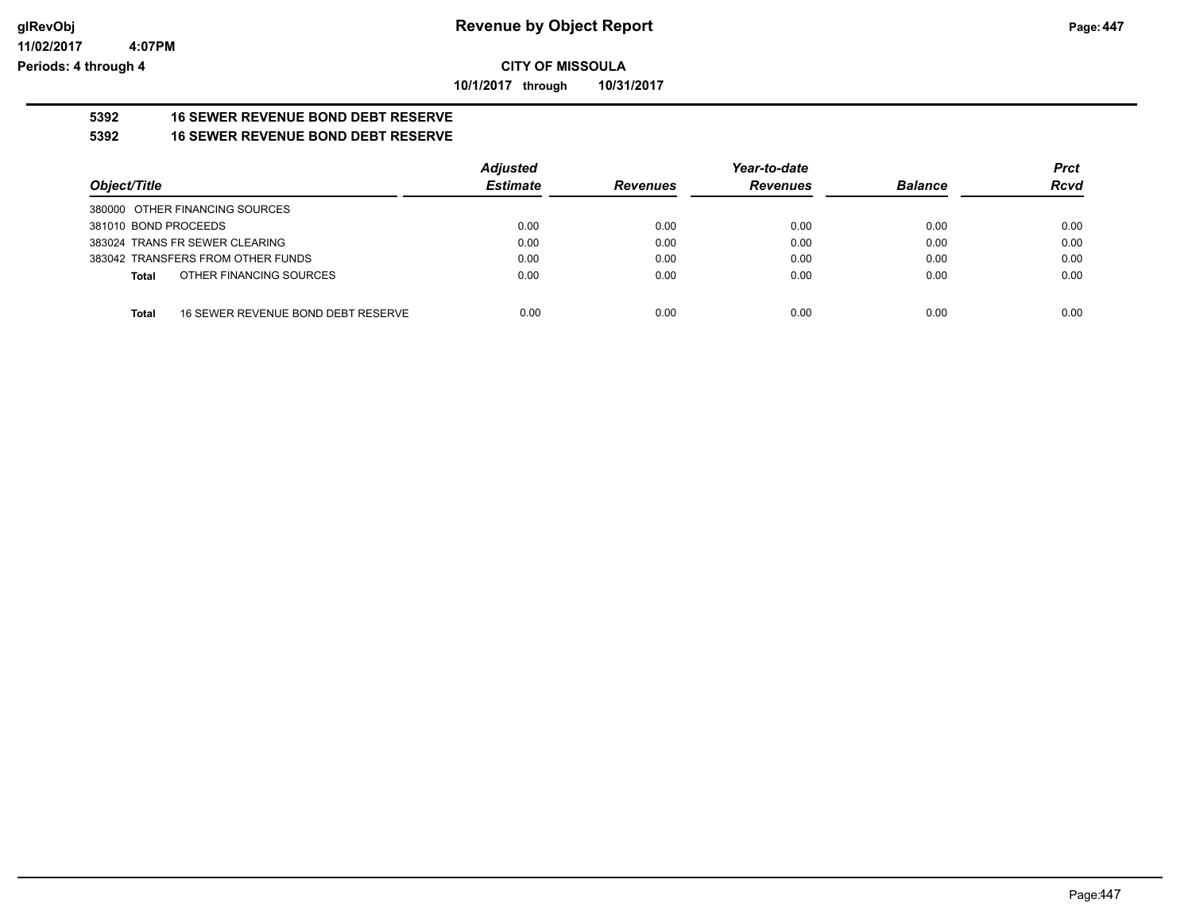#### **11/02/2017 4:07PM Periods: 4 through 4**

#### **CITY OF MISSOULA**

**10/1/2017 through 10/31/2017**

# **5392 16 SEWER REVENUE BOND DEBT RESERVE**

# **5392 16 SEWER REVENUE BOND DEBT RESERVE**

|                                                    | <b>Adjusted</b> |                 | Year-to-date    |                | Prct |
|----------------------------------------------------|-----------------|-----------------|-----------------|----------------|------|
| Object/Title                                       | <b>Estimate</b> | <b>Revenues</b> | <b>Revenues</b> | <b>Balance</b> | Rcvd |
| 380000 OTHER FINANCING SOURCES                     |                 |                 |                 |                |      |
| 381010 BOND PROCEEDS                               | 0.00            | 0.00            | 0.00            | 0.00           | 0.00 |
| 383024 TRANS FR SEWER CLEARING                     | 0.00            | 0.00            | 0.00            | 0.00           | 0.00 |
| 383042 TRANSFERS FROM OTHER FUNDS                  | 0.00            | 0.00            | 0.00            | 0.00           | 0.00 |
| OTHER FINANCING SOURCES<br>Total                   | 0.00            | 0.00            | 0.00            | 0.00           | 0.00 |
|                                                    |                 |                 |                 |                |      |
| 16 SEWER REVENUE BOND DEBT RESERVE<br><b>Total</b> | 0.00            | 0.00            | 0.00            | 0.00           | 0.00 |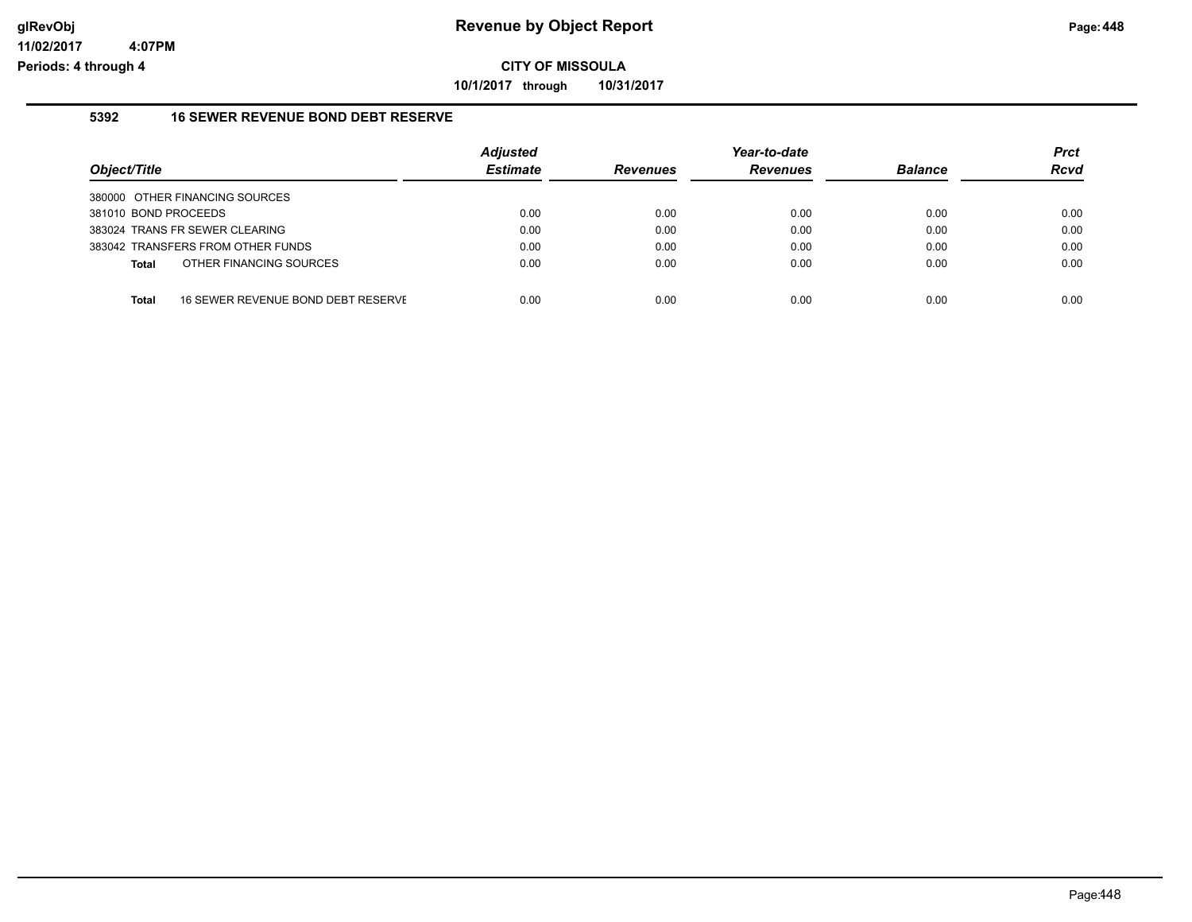**10/1/2017 through 10/31/2017**

#### **5392 16 SEWER REVENUE BOND DEBT RESERVE**

| Object/Title         |                                    | <b>Adjusted</b><br><b>Estimate</b> | <b>Revenues</b> | Year-to-date<br><b>Revenues</b> | <b>Balance</b> | <b>Prct</b><br><b>Rcvd</b> |
|----------------------|------------------------------------|------------------------------------|-----------------|---------------------------------|----------------|----------------------------|
|                      | 380000 OTHER FINANCING SOURCES     |                                    |                 |                                 |                |                            |
| 381010 BOND PROCEEDS |                                    | 0.00                               | 0.00            | 0.00                            | 0.00           | 0.00                       |
|                      | 383024 TRANS FR SEWER CLEARING     | 0.00                               | 0.00            | 0.00                            | 0.00           | 0.00                       |
|                      | 383042 TRANSFERS FROM OTHER FUNDS  | 0.00                               | 0.00            | 0.00                            | 0.00           | 0.00                       |
| Total                | OTHER FINANCING SOURCES            | 0.00                               | 0.00            | 0.00                            | 0.00           | 0.00                       |
| Total                | 16 SEWER REVENUE BOND DEBT RESERVE | 0.00                               | 0.00            | 0.00                            | 0.00           | 0.00                       |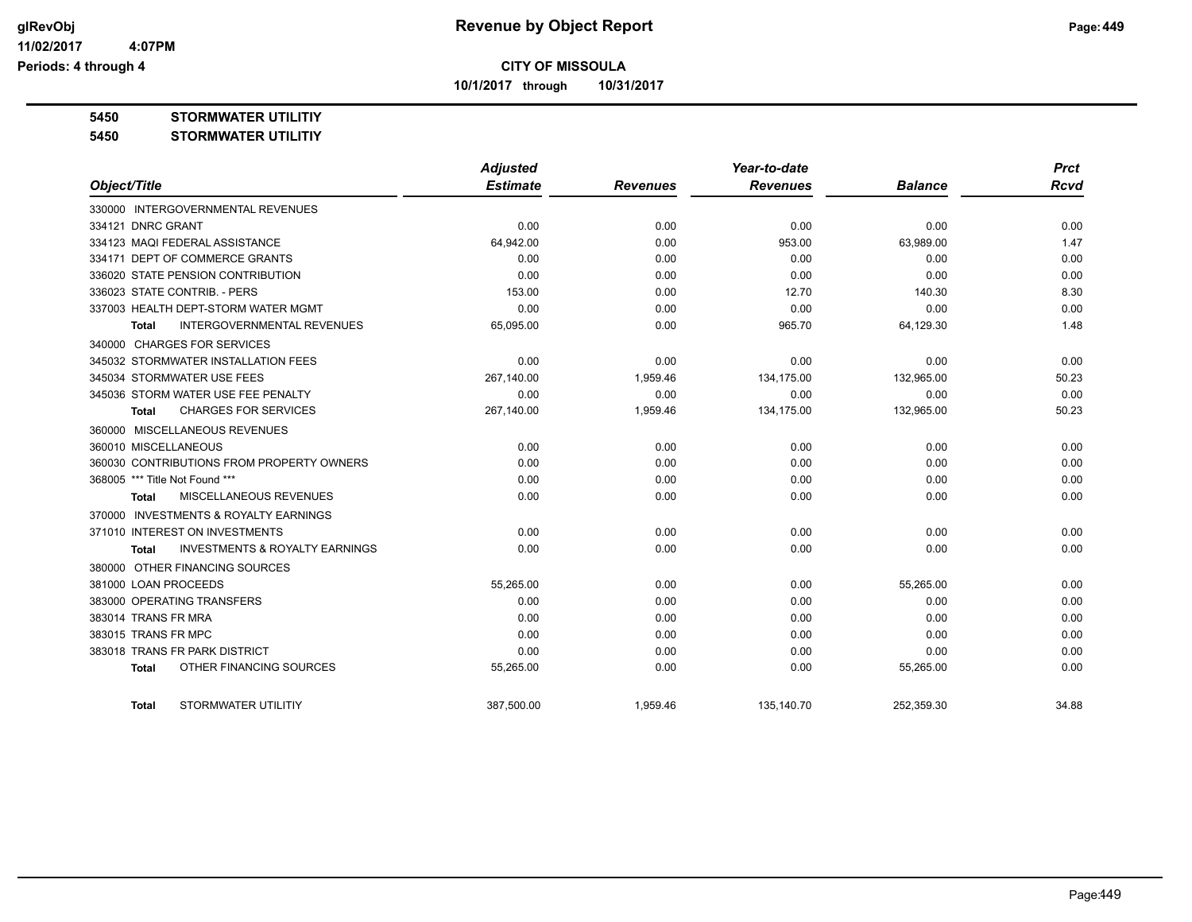**10/1/2017 through 10/31/2017**

#### **5450 STORMWATER UTILITIY**

**5450 STORMWATER UTILITIY**

|                                                           | <b>Adjusted</b> |                 | Year-to-date    |                | <b>Prct</b> |
|-----------------------------------------------------------|-----------------|-----------------|-----------------|----------------|-------------|
| Object/Title                                              | <b>Estimate</b> | <b>Revenues</b> | <b>Revenues</b> | <b>Balance</b> | Rcvd        |
| 330000 INTERGOVERNMENTAL REVENUES                         |                 |                 |                 |                |             |
| 334121 DNRC GRANT                                         | 0.00            | 0.00            | 0.00            | 0.00           | 0.00        |
| 334123 MAQI FEDERAL ASSISTANCE                            | 64,942.00       | 0.00            | 953.00          | 63,989.00      | 1.47        |
| 334171 DEPT OF COMMERCE GRANTS                            | 0.00            | 0.00            | 0.00            | 0.00           | 0.00        |
| 336020 STATE PENSION CONTRIBUTION                         | 0.00            | 0.00            | 0.00            | 0.00           | 0.00        |
| 336023 STATE CONTRIB. - PERS                              | 153.00          | 0.00            | 12.70           | 140.30         | 8.30        |
| 337003 HEALTH DEPT-STORM WATER MGMT                       | 0.00            | 0.00            | 0.00            | 0.00           | 0.00        |
| INTERGOVERNMENTAL REVENUES<br><b>Total</b>                | 65,095.00       | 0.00            | 965.70          | 64,129.30      | 1.48        |
| 340000 CHARGES FOR SERVICES                               |                 |                 |                 |                |             |
| 345032 STORMWATER INSTALLATION FEES                       | 0.00            | 0.00            | 0.00            | 0.00           | 0.00        |
| 345034 STORMWATER USE FEES                                | 267,140.00      | 1,959.46        | 134,175.00      | 132,965.00     | 50.23       |
| 345036 STORM WATER USE FEE PENALTY                        | 0.00            | 0.00            | 0.00            | 0.00           | 0.00        |
| <b>CHARGES FOR SERVICES</b><br><b>Total</b>               | 267,140.00      | 1,959.46        | 134,175.00      | 132,965.00     | 50.23       |
| 360000 MISCELLANEOUS REVENUES                             |                 |                 |                 |                |             |
| 360010 MISCELLANEOUS                                      | 0.00            | 0.00            | 0.00            | 0.00           | 0.00        |
| 360030 CONTRIBUTIONS FROM PROPERTY OWNERS                 | 0.00            | 0.00            | 0.00            | 0.00           | 0.00        |
| 368005 *** Title Not Found ***                            | 0.00            | 0.00            | 0.00            | 0.00           | 0.00        |
| <b>MISCELLANEOUS REVENUES</b><br><b>Total</b>             | 0.00            | 0.00            | 0.00            | 0.00           | 0.00        |
| 370000 INVESTMENTS & ROYALTY EARNINGS                     |                 |                 |                 |                |             |
| 371010 INTEREST ON INVESTMENTS                            | 0.00            | 0.00            | 0.00            | 0.00           | 0.00        |
| <b>INVESTMENTS &amp; ROYALTY EARNINGS</b><br><b>Total</b> | 0.00            | 0.00            | 0.00            | 0.00           | 0.00        |
| 380000 OTHER FINANCING SOURCES                            |                 |                 |                 |                |             |
| 381000 LOAN PROCEEDS                                      | 55,265.00       | 0.00            | 0.00            | 55,265.00      | 0.00        |
| 383000 OPERATING TRANSFERS                                | 0.00            | 0.00            | 0.00            | 0.00           | 0.00        |
| 383014 TRANS FR MRA                                       | 0.00            | 0.00            | 0.00            | 0.00           | 0.00        |
| 383015 TRANS FR MPC                                       | 0.00            | 0.00            | 0.00            | 0.00           | 0.00        |
| 383018 TRANS FR PARK DISTRICT                             | 0.00            | 0.00            | 0.00            | 0.00           | 0.00        |
| OTHER FINANCING SOURCES<br><b>Total</b>                   | 55,265.00       | 0.00            | 0.00            | 55,265.00      | 0.00        |
| STORMWATER UTILITIY<br><b>Total</b>                       | 387.500.00      | 1.959.46        | 135.140.70      | 252.359.30     | 34.88       |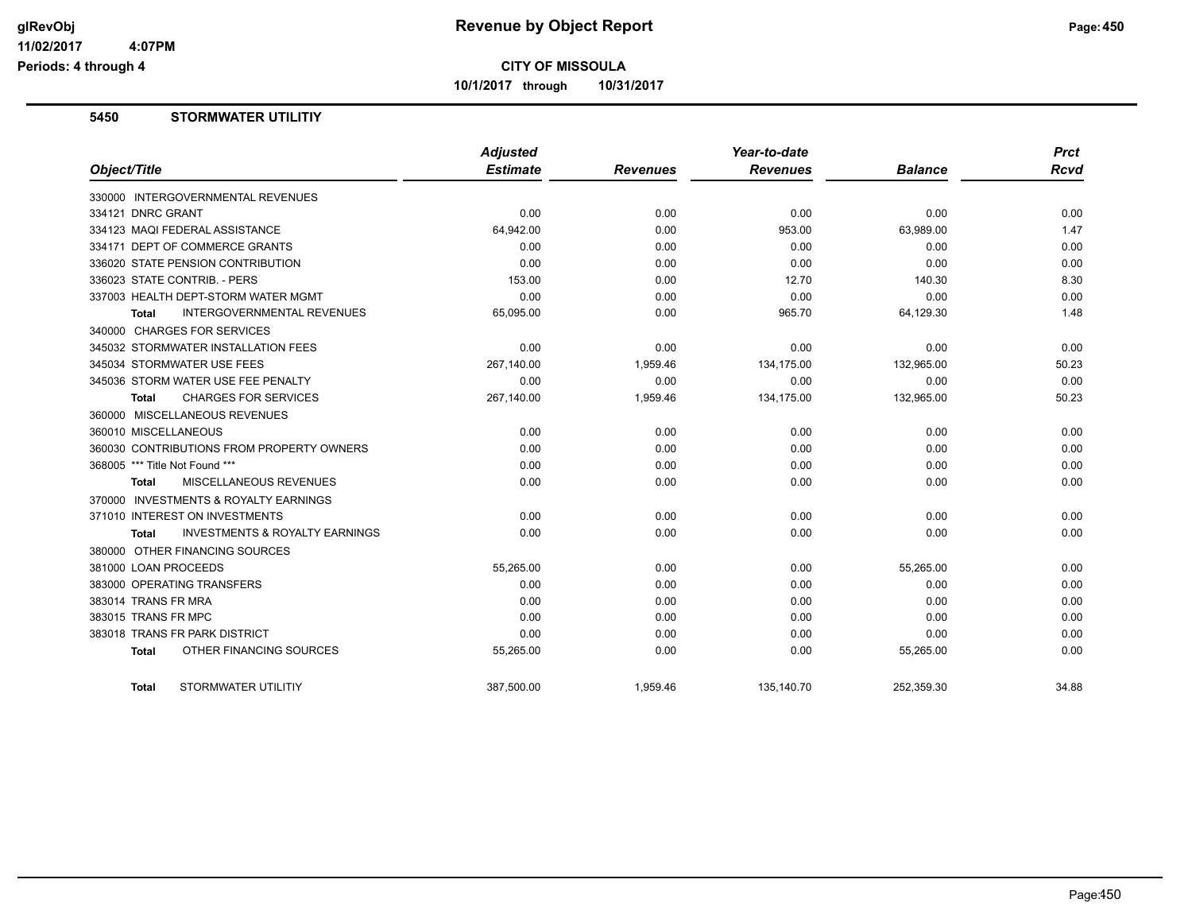**10/1/2017 through 10/31/2017**

#### **5450 STORMWATER UTILITIY**

|                                                           | <b>Adjusted</b> |                 | Year-to-date    |                | <b>Prct</b> |
|-----------------------------------------------------------|-----------------|-----------------|-----------------|----------------|-------------|
| Object/Title                                              | <b>Estimate</b> | <b>Revenues</b> | <b>Revenues</b> | <b>Balance</b> | <b>Rcvd</b> |
| 330000 INTERGOVERNMENTAL REVENUES                         |                 |                 |                 |                |             |
| 334121 DNRC GRANT                                         | 0.00            | 0.00            | 0.00            | 0.00           | 0.00        |
| 334123 MAQI FEDERAL ASSISTANCE                            | 64,942.00       | 0.00            | 953.00          | 63,989.00      | 1.47        |
| 334171 DEPT OF COMMERCE GRANTS                            | 0.00            | 0.00            | 0.00            | 0.00           | 0.00        |
| 336020 STATE PENSION CONTRIBUTION                         | 0.00            | 0.00            | 0.00            | 0.00           | 0.00        |
| 336023 STATE CONTRIB. - PERS                              | 153.00          | 0.00            | 12.70           | 140.30         | 8.30        |
| 337003 HEALTH DEPT-STORM WATER MGMT                       | 0.00            | 0.00            | 0.00            | 0.00           | 0.00        |
| <b>INTERGOVERNMENTAL REVENUES</b><br><b>Total</b>         | 65,095.00       | 0.00            | 965.70          | 64,129.30      | 1.48        |
| 340000 CHARGES FOR SERVICES                               |                 |                 |                 |                |             |
| 345032 STORMWATER INSTALLATION FEES                       | 0.00            | 0.00            | 0.00            | 0.00           | 0.00        |
| 345034 STORMWATER USE FEES                                | 267,140.00      | 1,959.46        | 134,175.00      | 132,965.00     | 50.23       |
| 345036 STORM WATER USE FEE PENALTY                        | 0.00            | 0.00            | 0.00            | 0.00           | 0.00        |
| <b>CHARGES FOR SERVICES</b><br><b>Total</b>               | 267,140.00      | 1,959.46        | 134,175.00      | 132,965.00     | 50.23       |
| 360000 MISCELLANEOUS REVENUES                             |                 |                 |                 |                |             |
| 360010 MISCELLANEOUS                                      | 0.00            | 0.00            | 0.00            | 0.00           | 0.00        |
| 360030 CONTRIBUTIONS FROM PROPERTY OWNERS                 | 0.00            | 0.00            | 0.00            | 0.00           | 0.00        |
| 368005 *** Title Not Found ***                            | 0.00            | 0.00            | 0.00            | 0.00           | 0.00        |
| <b>MISCELLANEOUS REVENUES</b><br><b>Total</b>             | 0.00            | 0.00            | 0.00            | 0.00           | 0.00        |
| 370000 INVESTMENTS & ROYALTY EARNINGS                     |                 |                 |                 |                |             |
| 371010 INTEREST ON INVESTMENTS                            | 0.00            | 0.00            | 0.00            | 0.00           | 0.00        |
| <b>INVESTMENTS &amp; ROYALTY EARNINGS</b><br><b>Total</b> | 0.00            | 0.00            | 0.00            | 0.00           | 0.00        |
| 380000 OTHER FINANCING SOURCES                            |                 |                 |                 |                |             |
| 381000 LOAN PROCEEDS                                      | 55,265.00       | 0.00            | 0.00            | 55,265.00      | 0.00        |
| 383000 OPERATING TRANSFERS                                | 0.00            | 0.00            | 0.00            | 0.00           | 0.00        |
| 383014 TRANS FR MRA                                       | 0.00            | 0.00            | 0.00            | 0.00           | 0.00        |
| 383015 TRANS FR MPC                                       | 0.00            | 0.00            | 0.00            | 0.00           | 0.00        |
| 383018 TRANS FR PARK DISTRICT                             | 0.00            | 0.00            | 0.00            | 0.00           | 0.00        |
| OTHER FINANCING SOURCES<br><b>Total</b>                   | 55,265.00       | 0.00            | 0.00            | 55,265.00      | 0.00        |
| STORMWATER UTILITIY<br>Total                              | 387,500.00      | 1,959.46        | 135,140.70      | 252,359.30     | 34.88       |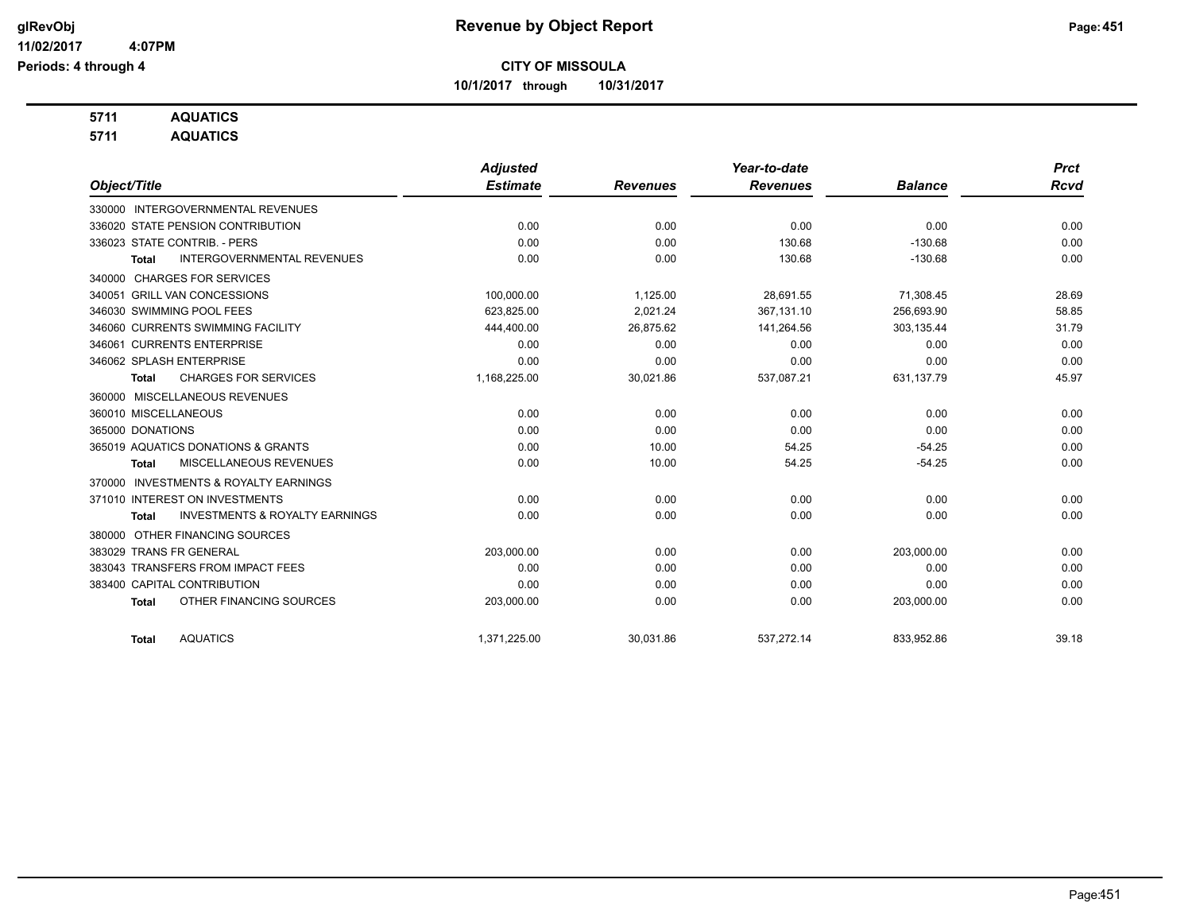**10/1/2017 through 10/31/2017**

# **5711 AQUATICS**

**5711 AQUATICS**

|                                                           | <b>Adjusted</b> |                 | Year-to-date    |                | <b>Prct</b> |
|-----------------------------------------------------------|-----------------|-----------------|-----------------|----------------|-------------|
| Object/Title                                              | <b>Estimate</b> | <b>Revenues</b> | <b>Revenues</b> | <b>Balance</b> | <b>Rcvd</b> |
| 330000 INTERGOVERNMENTAL REVENUES                         |                 |                 |                 |                |             |
| 336020 STATE PENSION CONTRIBUTION                         | 0.00            | 0.00            | 0.00            | 0.00           | 0.00        |
| 336023 STATE CONTRIB. - PERS                              | 0.00            | 0.00            | 130.68          | $-130.68$      | 0.00        |
| <b>INTERGOVERNMENTAL REVENUES</b><br><b>Total</b>         | 0.00            | 0.00            | 130.68          | $-130.68$      | 0.00        |
| 340000 CHARGES FOR SERVICES                               |                 |                 |                 |                |             |
| 340051 GRILL VAN CONCESSIONS                              | 100,000.00      | 1,125.00        | 28,691.55       | 71,308.45      | 28.69       |
| 346030 SWIMMING POOL FEES                                 | 623,825.00      | 2,021.24        | 367.131.10      | 256,693.90     | 58.85       |
| 346060 CURRENTS SWIMMING FACILITY                         | 444,400.00      | 26,875.62       | 141,264.56      | 303,135.44     | 31.79       |
| 346061 CURRENTS ENTERPRISE                                | 0.00            | 0.00            | 0.00            | 0.00           | 0.00        |
| 346062 SPLASH ENTERPRISE                                  | 0.00            | 0.00            | 0.00            | 0.00           | 0.00        |
| <b>CHARGES FOR SERVICES</b><br><b>Total</b>               | 1,168,225.00    | 30,021.86       | 537,087.21      | 631,137.79     | 45.97       |
| 360000 MISCELLANEOUS REVENUES                             |                 |                 |                 |                |             |
| 360010 MISCELLANEOUS                                      | 0.00            | 0.00            | 0.00            | 0.00           | 0.00        |
| 365000 DONATIONS                                          | 0.00            | 0.00            | 0.00            | 0.00           | 0.00        |
| 365019 AQUATICS DONATIONS & GRANTS                        | 0.00            | 10.00           | 54.25           | $-54.25$       | 0.00        |
| MISCELLANEOUS REVENUES<br><b>Total</b>                    | 0.00            | 10.00           | 54.25           | $-54.25$       | 0.00        |
| 370000 INVESTMENTS & ROYALTY EARNINGS                     |                 |                 |                 |                |             |
| 371010 INTEREST ON INVESTMENTS                            | 0.00            | 0.00            | 0.00            | 0.00           | 0.00        |
| <b>INVESTMENTS &amp; ROYALTY EARNINGS</b><br><b>Total</b> | 0.00            | 0.00            | 0.00            | 0.00           | 0.00        |
| OTHER FINANCING SOURCES<br>380000                         |                 |                 |                 |                |             |
| 383029 TRANS FR GENERAL                                   | 203,000.00      | 0.00            | 0.00            | 203,000.00     | 0.00        |
| 383043 TRANSFERS FROM IMPACT FEES                         | 0.00            | 0.00            | 0.00            | 0.00           | 0.00        |
| 383400 CAPITAL CONTRIBUTION                               | 0.00            | 0.00            | 0.00            | 0.00           | 0.00        |
| OTHER FINANCING SOURCES<br><b>Total</b>                   | 203,000.00      | 0.00            | 0.00            | 203,000.00     | 0.00        |
| <b>AQUATICS</b><br><b>Total</b>                           | 1,371,225.00    | 30,031.86       | 537.272.14      | 833.952.86     | 39.18       |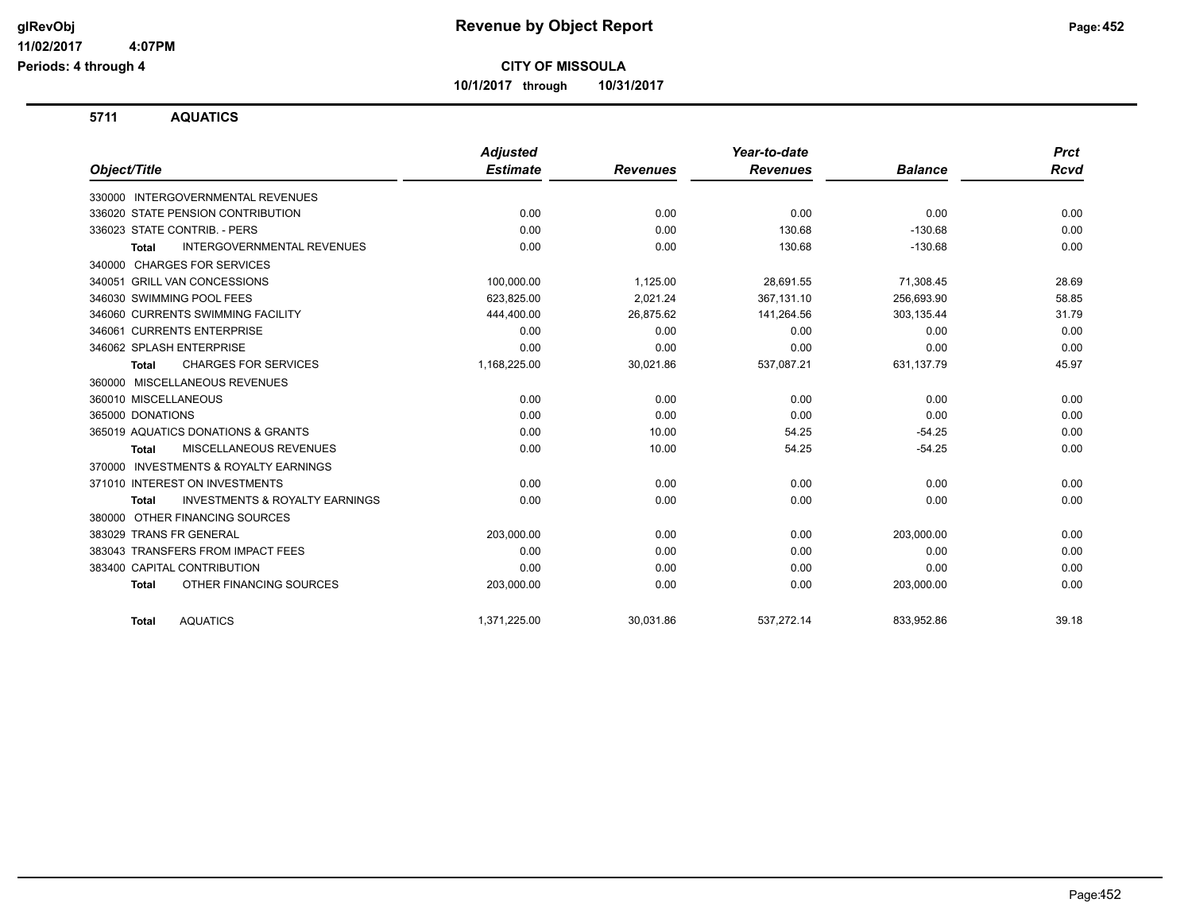**10/1/2017 through 10/31/2017**

**5711 AQUATICS**

|                                                           | <b>Adjusted</b> |                 | Year-to-date    |                | <b>Prct</b> |
|-----------------------------------------------------------|-----------------|-----------------|-----------------|----------------|-------------|
| Object/Title                                              | <b>Estimate</b> | <b>Revenues</b> | <b>Revenues</b> | <b>Balance</b> | <b>Rcvd</b> |
| <b>INTERGOVERNMENTAL REVENUES</b><br>330000               |                 |                 |                 |                |             |
| 336020 STATE PENSION CONTRIBUTION                         | 0.00            | 0.00            | 0.00            | 0.00           | 0.00        |
| 336023 STATE CONTRIB. - PERS                              | 0.00            | 0.00            | 130.68          | $-130.68$      | 0.00        |
| <b>INTERGOVERNMENTAL REVENUES</b><br><b>Total</b>         | 0.00            | 0.00            | 130.68          | $-130.68$      | 0.00        |
| 340000 CHARGES FOR SERVICES                               |                 |                 |                 |                |             |
| 340051 GRILL VAN CONCESSIONS                              | 100,000.00      | 1,125.00        | 28,691.55       | 71,308.45      | 28.69       |
| 346030 SWIMMING POOL FEES                                 | 623,825.00      | 2,021.24        | 367,131.10      | 256,693.90     | 58.85       |
| 346060 CURRENTS SWIMMING FACILITY                         | 444,400.00      | 26,875.62       | 141,264.56      | 303,135.44     | 31.79       |
| 346061 CURRENTS ENTERPRISE                                | 0.00            | 0.00            | 0.00            | 0.00           | 0.00        |
| 346062 SPLASH ENTERPRISE                                  | 0.00            | 0.00            | 0.00            | 0.00           | 0.00        |
| <b>CHARGES FOR SERVICES</b><br>Total                      | 1,168,225.00    | 30,021.86       | 537,087.21      | 631,137.79     | 45.97       |
| 360000 MISCELLANEOUS REVENUES                             |                 |                 |                 |                |             |
| 360010 MISCELLANEOUS                                      | 0.00            | 0.00            | 0.00            | 0.00           | 0.00        |
| 365000 DONATIONS                                          | 0.00            | 0.00            | 0.00            | 0.00           | 0.00        |
| 365019 AQUATICS DONATIONS & GRANTS                        | 0.00            | 10.00           | 54.25           | $-54.25$       | 0.00        |
| MISCELLANEOUS REVENUES<br>Total                           | 0.00            | 10.00           | 54.25           | $-54.25$       | 0.00        |
| <b>INVESTMENTS &amp; ROYALTY EARNINGS</b><br>370000       |                 |                 |                 |                |             |
| 371010 INTEREST ON INVESTMENTS                            | 0.00            | 0.00            | 0.00            | 0.00           | 0.00        |
| <b>INVESTMENTS &amp; ROYALTY EARNINGS</b><br><b>Total</b> | 0.00            | 0.00            | 0.00            | 0.00           | 0.00        |
| OTHER FINANCING SOURCES<br>380000                         |                 |                 |                 |                |             |
| 383029 TRANS FR GENERAL                                   | 203,000.00      | 0.00            | 0.00            | 203,000.00     | 0.00        |
| 383043 TRANSFERS FROM IMPACT FEES                         | 0.00            | 0.00            | 0.00            | 0.00           | 0.00        |
| 383400 CAPITAL CONTRIBUTION                               | 0.00            | 0.00            | 0.00            | 0.00           | 0.00        |
| OTHER FINANCING SOURCES<br>Total                          | 203,000.00      | 0.00            | 0.00            | 203,000.00     | 0.00        |
| <b>AQUATICS</b><br>Total                                  | 1,371,225.00    | 30,031.86       | 537,272.14      | 833,952.86     | 39.18       |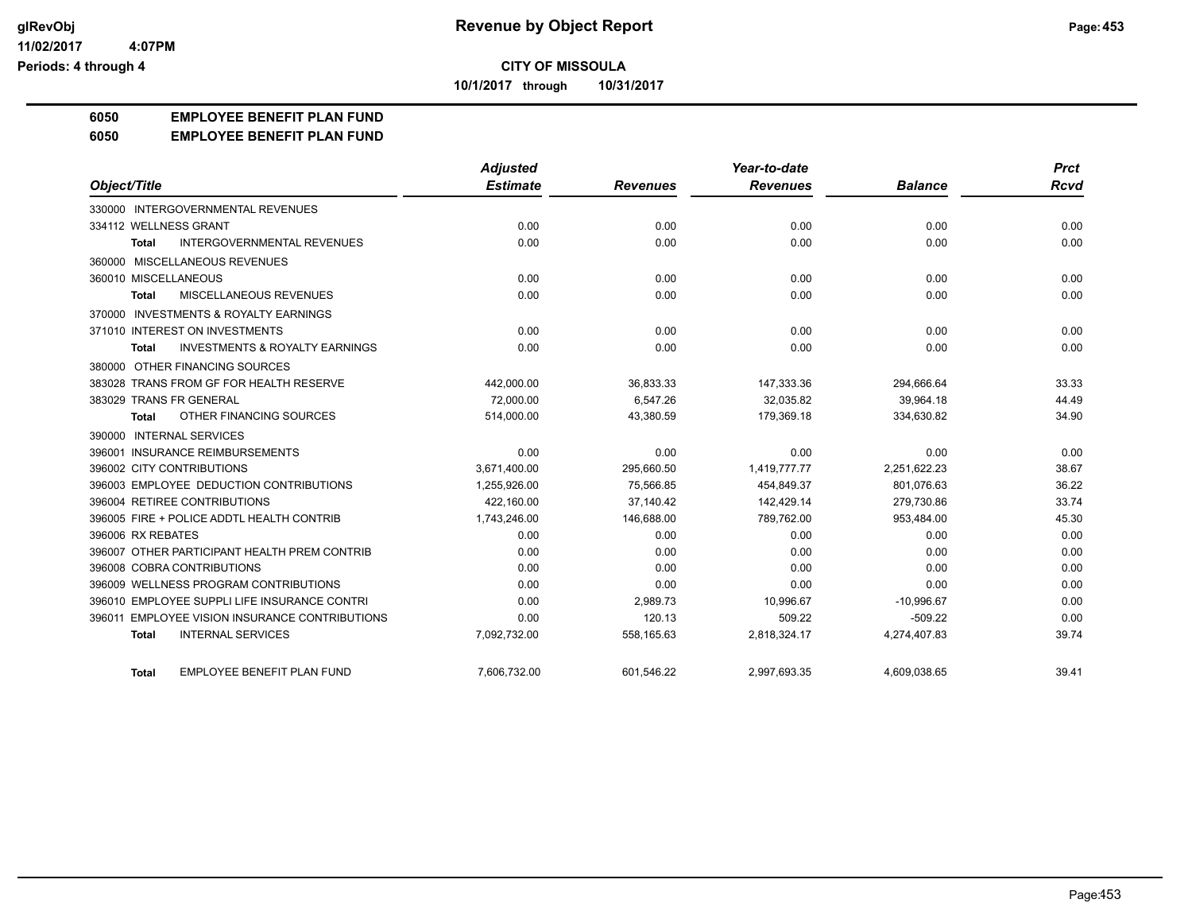**10/1/2017 through 10/31/2017**

# **6050 EMPLOYEE BENEFIT PLAN FUND**

#### **6050 EMPLOYEE BENEFIT PLAN FUND**

|                                                           | <b>Adjusted</b> |                 | Year-to-date    |                | <b>Prct</b> |
|-----------------------------------------------------------|-----------------|-----------------|-----------------|----------------|-------------|
| Object/Title                                              | <b>Estimate</b> | <b>Revenues</b> | <b>Revenues</b> | <b>Balance</b> | <b>Rcvd</b> |
| 330000 INTERGOVERNMENTAL REVENUES                         |                 |                 |                 |                |             |
| 334112 WELLNESS GRANT                                     | 0.00            | 0.00            | 0.00            | 0.00           | 0.00        |
| <b>INTERGOVERNMENTAL REVENUES</b><br><b>Total</b>         | 0.00            | 0.00            | 0.00            | 0.00           | 0.00        |
| 360000 MISCELLANEOUS REVENUES                             |                 |                 |                 |                |             |
| 360010 MISCELLANEOUS                                      | 0.00            | 0.00            | 0.00            | 0.00           | 0.00        |
| <b>MISCELLANEOUS REVENUES</b><br><b>Total</b>             | 0.00            | 0.00            | 0.00            | 0.00           | 0.00        |
| 370000 INVESTMENTS & ROYALTY EARNINGS                     |                 |                 |                 |                |             |
| 371010 INTEREST ON INVESTMENTS                            | 0.00            | 0.00            | 0.00            | 0.00           | 0.00        |
| <b>INVESTMENTS &amp; ROYALTY EARNINGS</b><br><b>Total</b> | 0.00            | 0.00            | 0.00            | 0.00           | 0.00        |
| 380000 OTHER FINANCING SOURCES                            |                 |                 |                 |                |             |
| 383028 TRANS FROM GF FOR HEALTH RESERVE                   | 442,000.00      | 36,833.33       | 147,333.36      | 294,666.64     | 33.33       |
| 383029 TRANS FR GENERAL                                   | 72.000.00       | 6,547.26        | 32,035.82       | 39,964.18      | 44.49       |
| OTHER FINANCING SOURCES<br>Total                          | 514,000.00      | 43,380.59       | 179,369.18      | 334,630.82     | 34.90       |
| 390000 INTERNAL SERVICES                                  |                 |                 |                 |                |             |
| 396001 INSURANCE REIMBURSEMENTS                           | 0.00            | 0.00            | 0.00            | 0.00           | 0.00        |
| 396002 CITY CONTRIBUTIONS                                 | 3,671,400.00    | 295,660.50      | 1,419,777.77    | 2,251,622.23   | 38.67       |
| 396003 EMPLOYEE DEDUCTION CONTRIBUTIONS                   | 1,255,926.00    | 75,566.85       | 454,849.37      | 801,076.63     | 36.22       |
| 396004 RETIREE CONTRIBUTIONS                              | 422,160.00      | 37,140.42       | 142,429.14      | 279,730.86     | 33.74       |
| 396005 FIRE + POLICE ADDTL HEALTH CONTRIB                 | 1,743,246.00    | 146,688.00      | 789.762.00      | 953,484.00     | 45.30       |
| 396006 RX REBATES                                         | 0.00            | 0.00            | 0.00            | 0.00           | 0.00        |
| 396007 OTHER PARTICIPANT HEALTH PREM CONTRIB              | 0.00            | 0.00            | 0.00            | 0.00           | 0.00        |
| 396008 COBRA CONTRIBUTIONS                                | 0.00            | 0.00            | 0.00            | 0.00           | 0.00        |
| 396009 WELLNESS PROGRAM CONTRIBUTIONS                     | 0.00            | 0.00            | 0.00            | 0.00           | 0.00        |
| 396010 EMPLOYEE SUPPLI LIFE INSURANCE CONTRI              | 0.00            | 2,989.73        | 10,996.67       | $-10,996.67$   | 0.00        |
| 396011 EMPLOYEE VISION INSURANCE CONTRIBUTIONS            | 0.00            | 120.13          | 509.22          | $-509.22$      | 0.00        |
| <b>INTERNAL SERVICES</b><br><b>Total</b>                  | 7,092,732.00    | 558,165.63      | 2,818,324.17    | 4,274,407.83   | 39.74       |
| EMPLOYEE BENEFIT PLAN FUND<br><b>Total</b>                | 7,606,732.00    | 601,546.22      | 2,997,693.35    | 4,609,038.65   | 39.41       |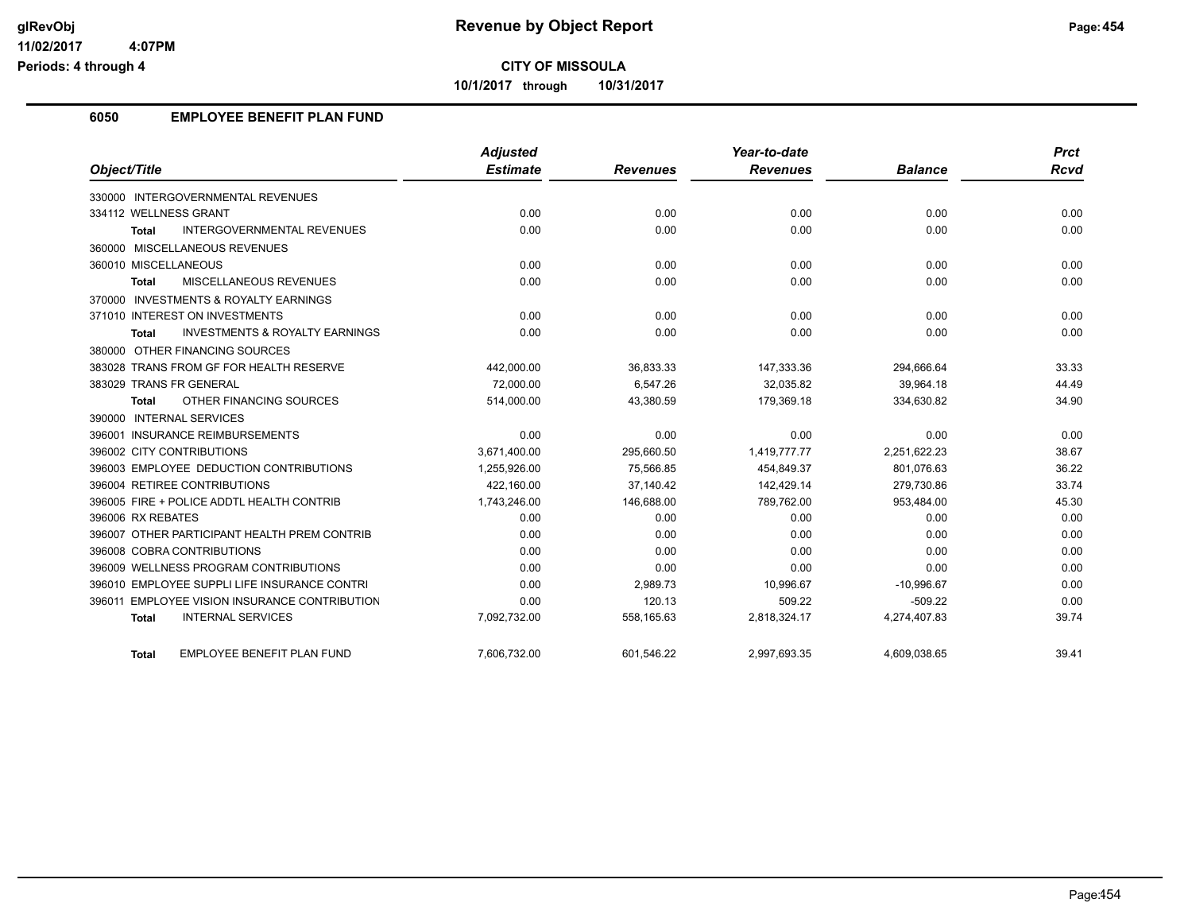**Periods: 4 through 4**

**CITY OF MISSOULA**

**10/1/2017 through 10/31/2017**

## **6050 EMPLOYEE BENEFIT PLAN FUND**

|                                                    | <b>Adjusted</b> |                 | Year-to-date    |                | <b>Prct</b> |
|----------------------------------------------------|-----------------|-----------------|-----------------|----------------|-------------|
| Object/Title                                       | <b>Estimate</b> | <b>Revenues</b> | <b>Revenues</b> | <b>Balance</b> | Rcvd        |
| 330000 INTERGOVERNMENTAL REVENUES                  |                 |                 |                 |                |             |
| 334112 WELLNESS GRANT                              | 0.00            | 0.00            | 0.00            | 0.00           | 0.00        |
| <b>INTERGOVERNMENTAL REVENUES</b><br>Total         | 0.00            | 0.00            | 0.00            | 0.00           | 0.00        |
| 360000 MISCELLANEOUS REVENUES                      |                 |                 |                 |                |             |
| 360010 MISCELLANEOUS                               | 0.00            | 0.00            | 0.00            | 0.00           | 0.00        |
| MISCELLANEOUS REVENUES<br><b>Total</b>             | 0.00            | 0.00            | 0.00            | 0.00           | 0.00        |
| 370000 INVESTMENTS & ROYALTY EARNINGS              |                 |                 |                 |                |             |
| 371010 INTEREST ON INVESTMENTS                     | 0.00            | 0.00            | 0.00            | 0.00           | 0.00        |
| <b>INVESTMENTS &amp; ROYALTY EARNINGS</b><br>Total | 0.00            | 0.00            | 0.00            | 0.00           | 0.00        |
| 380000 OTHER FINANCING SOURCES                     |                 |                 |                 |                |             |
| 383028 TRANS FROM GF FOR HEALTH RESERVE            | 442,000.00      | 36,833.33       | 147,333.36      | 294,666.64     | 33.33       |
| 383029 TRANS FR GENERAL                            | 72.000.00       | 6.547.26        | 32.035.82       | 39,964.18      | 44.49       |
| OTHER FINANCING SOURCES<br>Total                   | 514,000.00      | 43,380.59       | 179,369.18      | 334,630.82     | 34.90       |
| 390000 INTERNAL SERVICES                           |                 |                 |                 |                |             |
| 396001 INSURANCE REIMBURSEMENTS                    | 0.00            | 0.00            | 0.00            | 0.00           | 0.00        |
| 396002 CITY CONTRIBUTIONS                          | 3,671,400.00    | 295,660.50      | 1,419,777.77    | 2,251,622.23   | 38.67       |
| 396003 EMPLOYEE DEDUCTION CONTRIBUTIONS            | 1,255,926.00    | 75,566.85       | 454,849.37      | 801,076.63     | 36.22       |
| 396004 RETIREE CONTRIBUTIONS                       | 422,160.00      | 37,140.42       | 142,429.14      | 279,730.86     | 33.74       |
| 396005 FIRE + POLICE ADDTL HEALTH CONTRIB          | 1,743,246.00    | 146,688.00      | 789,762.00      | 953,484.00     | 45.30       |
| 396006 RX REBATES                                  | 0.00            | 0.00            | 0.00            | 0.00           | 0.00        |
| 396007 OTHER PARTICIPANT HEALTH PREM CONTRIB       | 0.00            | 0.00            | 0.00            | 0.00           | 0.00        |
| 396008 COBRA CONTRIBUTIONS                         | 0.00            | 0.00            | 0.00            | 0.00           | 0.00        |
| 396009 WELLNESS PROGRAM CONTRIBUTIONS              | 0.00            | 0.00            | 0.00            | 0.00           | 0.00        |
| 396010 EMPLOYEE SUPPLI LIFE INSURANCE CONTRI       | 0.00            | 2,989.73        | 10,996.67       | $-10,996.67$   | 0.00        |
| 396011 EMPLOYEE VISION INSURANCE CONTRIBUTION      | 0.00            | 120.13          | 509.22          | $-509.22$      | 0.00        |
| <b>INTERNAL SERVICES</b><br><b>Total</b>           | 7,092,732.00    | 558,165.63      | 2,818,324.17    | 4,274,407.83   | 39.74       |
| <b>EMPLOYEE BENEFIT PLAN FUND</b><br><b>Total</b>  | 7,606,732.00    | 601,546.22      | 2,997,693.35    | 4,609,038.65   | 39.41       |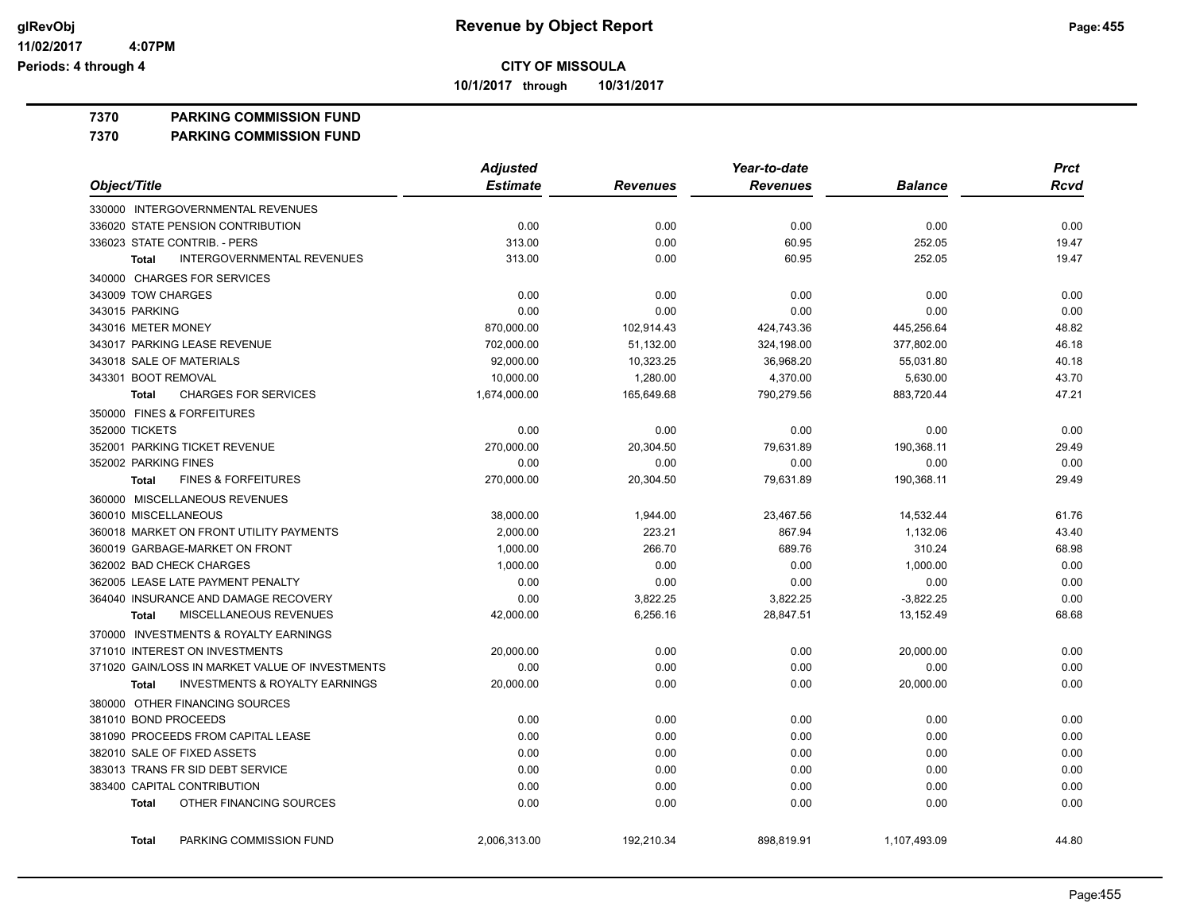**10/1/2017 through 10/31/2017**

**7370 PARKING COMMISSION FUND**

**7370 PARKING COMMISSION FUND**

|                                                           | <b>Adjusted</b> |                 | Year-to-date    |                |       |
|-----------------------------------------------------------|-----------------|-----------------|-----------------|----------------|-------|
| Object/Title                                              | <b>Estimate</b> | <b>Revenues</b> | <b>Revenues</b> | <b>Balance</b> | Rcvd  |
| 330000 INTERGOVERNMENTAL REVENUES                         |                 |                 |                 |                |       |
| 336020 STATE PENSION CONTRIBUTION                         | 0.00            | 0.00            | 0.00            | 0.00           | 0.00  |
| 336023 STATE CONTRIB. - PERS                              | 313.00          | 0.00            | 60.95           | 252.05         | 19.47 |
| <b>INTERGOVERNMENTAL REVENUES</b><br><b>Total</b>         | 313.00          | 0.00            | 60.95           | 252.05         | 19.47 |
| 340000 CHARGES FOR SERVICES                               |                 |                 |                 |                |       |
| 343009 TOW CHARGES                                        | 0.00            | 0.00            | 0.00            | 0.00           | 0.00  |
| 343015 PARKING                                            | 0.00            | 0.00            | 0.00            | 0.00           | 0.00  |
| 343016 METER MONEY                                        | 870,000.00      | 102,914.43      | 424,743.36      | 445,256.64     | 48.82 |
| 343017 PARKING LEASE REVENUE                              | 702,000.00      | 51,132.00       | 324,198.00      | 377,802.00     | 46.18 |
| 343018 SALE OF MATERIALS                                  | 92,000.00       | 10,323.25       | 36,968.20       | 55,031.80      | 40.18 |
| 343301 BOOT REMOVAL                                       | 10,000.00       | 1,280.00        | 4,370.00        | 5,630.00       | 43.70 |
| <b>CHARGES FOR SERVICES</b><br>Total                      | 1,674,000.00    | 165,649.68      | 790,279.56      | 883,720.44     | 47.21 |
| 350000 FINES & FORFEITURES                                |                 |                 |                 |                |       |
| 352000 TICKETS                                            | 0.00            | 0.00            | 0.00            | 0.00           | 0.00  |
| 352001 PARKING TICKET REVENUE                             | 270,000.00      | 20,304.50       | 79,631.89       | 190,368.11     | 29.49 |
| 352002 PARKING FINES                                      | 0.00            | 0.00            | 0.00            | 0.00           | 0.00  |
| <b>FINES &amp; FORFEITURES</b><br><b>Total</b>            | 270,000.00      | 20,304.50       | 79,631.89       | 190,368.11     | 29.49 |
| 360000 MISCELLANEOUS REVENUES                             |                 |                 |                 |                |       |
| 360010 MISCELLANEOUS                                      | 38,000.00       | 1,944.00        | 23,467.56       | 14,532.44      | 61.76 |
| 360018 MARKET ON FRONT UTILITY PAYMENTS                   | 2,000.00        | 223.21          | 867.94          | 1,132.06       | 43.40 |
| 360019 GARBAGE-MARKET ON FRONT                            | 1,000.00        | 266.70          | 689.76          | 310.24         | 68.98 |
| 362002 BAD CHECK CHARGES                                  | 1,000.00        | 0.00            | 0.00            | 1,000.00       | 0.00  |
| 362005 LEASE LATE PAYMENT PENALTY                         | 0.00            | 0.00            | 0.00            | 0.00           | 0.00  |
| 364040 INSURANCE AND DAMAGE RECOVERY                      | 0.00            | 3,822.25        | 3,822.25        | $-3,822.25$    | 0.00  |
| MISCELLANEOUS REVENUES<br><b>Total</b>                    | 42,000.00       | 6,256.16        | 28,847.51       | 13,152.49      | 68.68 |
| 370000 INVESTMENTS & ROYALTY EARNINGS                     |                 |                 |                 |                |       |
| 371010 INTEREST ON INVESTMENTS                            | 20,000.00       | 0.00            | 0.00            | 20,000.00      | 0.00  |
| 371020 GAIN/LOSS IN MARKET VALUE OF INVESTMENTS           | 0.00            | 0.00            | 0.00            | 0.00           | 0.00  |
| <b>INVESTMENTS &amp; ROYALTY EARNINGS</b><br><b>Total</b> | 20,000.00       | 0.00            | 0.00            | 20,000.00      | 0.00  |
| 380000 OTHER FINANCING SOURCES                            |                 |                 |                 |                |       |
| 381010 BOND PROCEEDS                                      | 0.00            | 0.00            | 0.00            | 0.00           | 0.00  |
| 381090 PROCEEDS FROM CAPITAL LEASE                        | 0.00            | 0.00            | 0.00            | 0.00           | 0.00  |
| 382010 SALE OF FIXED ASSETS                               | 0.00            | 0.00            | 0.00            | 0.00           | 0.00  |
| 383013 TRANS FR SID DEBT SERVICE                          | 0.00            | 0.00            | 0.00            | 0.00           | 0.00  |
| 383400 CAPITAL CONTRIBUTION                               | 0.00            | 0.00            | 0.00            | 0.00           | 0.00  |
| OTHER FINANCING SOURCES<br><b>Total</b>                   | 0.00            | 0.00            | 0.00            | 0.00           | 0.00  |
| PARKING COMMISSION FUND<br><b>Total</b>                   | 2,006,313.00    | 192,210.34      | 898.819.91      | 1,107,493.09   | 44.80 |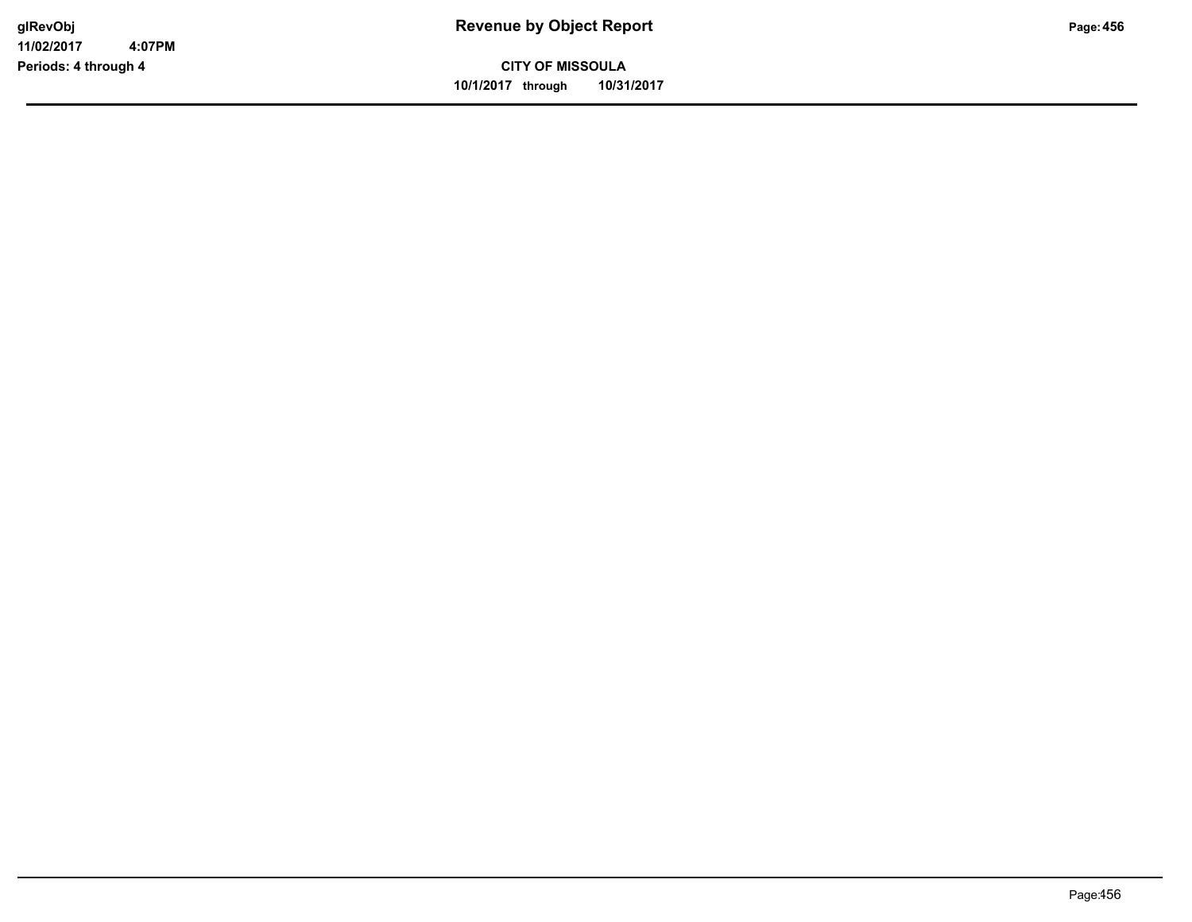**CITY OF MISSOULA 10/1/2017 through 10/31/2017**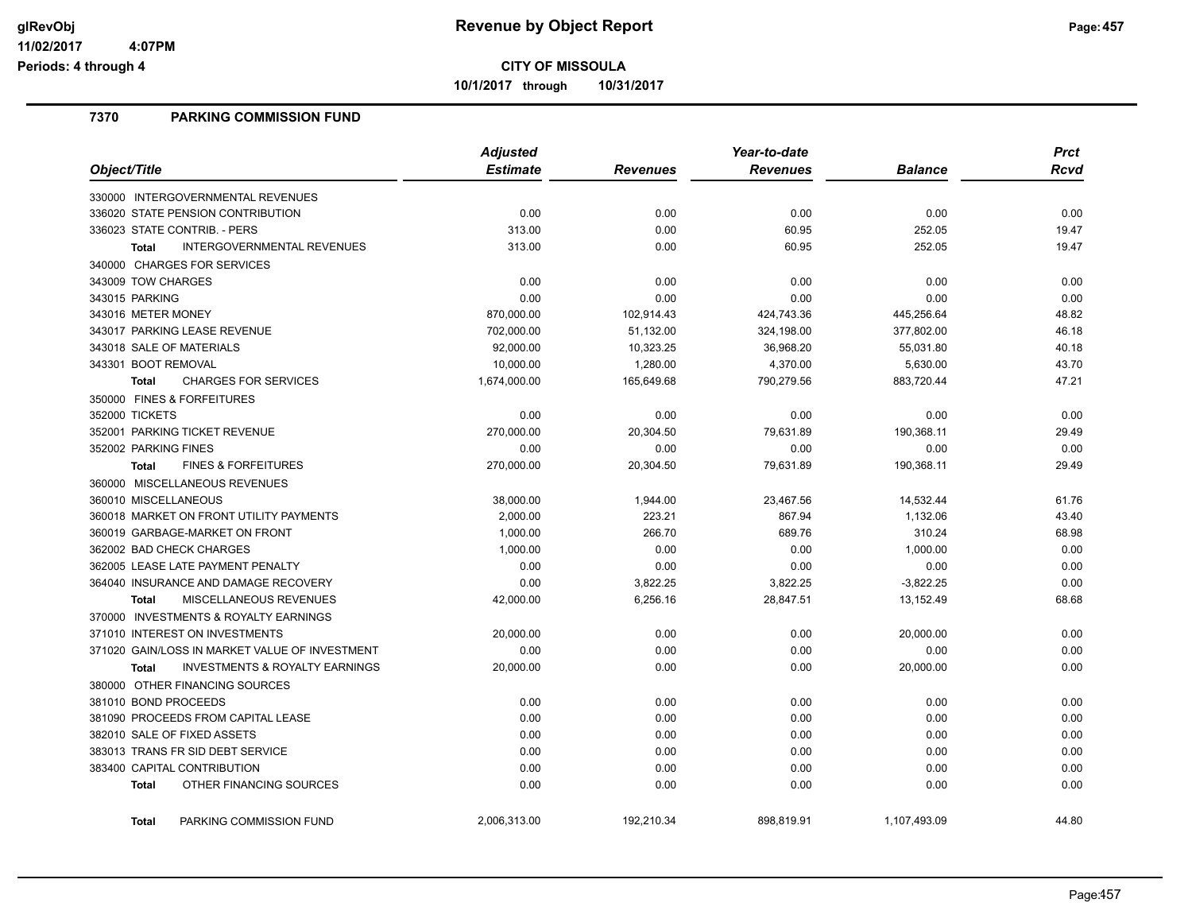**10/1/2017 through 10/31/2017**

#### **7370 PARKING COMMISSION FUND**

|                                                           | <b>Adjusted</b> |                 | Year-to-date    |                | <b>Prct</b> |
|-----------------------------------------------------------|-----------------|-----------------|-----------------|----------------|-------------|
| Object/Title                                              | <b>Estimate</b> | <b>Revenues</b> | <b>Revenues</b> | <b>Balance</b> | Rcvd        |
| 330000 INTERGOVERNMENTAL REVENUES                         |                 |                 |                 |                |             |
| 336020 STATE PENSION CONTRIBUTION                         | 0.00            | 0.00            | 0.00            | 0.00           | 0.00        |
| 336023 STATE CONTRIB. - PERS                              | 313.00          | 0.00            | 60.95           | 252.05         | 19.47       |
| <b>INTERGOVERNMENTAL REVENUES</b><br><b>Total</b>         | 313.00          | 0.00            | 60.95           | 252.05         | 19.47       |
| 340000 CHARGES FOR SERVICES                               |                 |                 |                 |                |             |
| 343009 TOW CHARGES                                        | 0.00            | 0.00            | 0.00            | 0.00           | 0.00        |
| 343015 PARKING                                            | 0.00            | 0.00            | 0.00            | 0.00           | 0.00        |
| 343016 METER MONEY                                        | 870,000.00      | 102,914.43      | 424,743.36      | 445,256.64     | 48.82       |
| 343017 PARKING LEASE REVENUE                              | 702,000.00      | 51,132.00       | 324,198.00      | 377,802.00     | 46.18       |
| 343018 SALE OF MATERIALS                                  | 92,000.00       | 10,323.25       | 36,968.20       | 55,031.80      | 40.18       |
| 343301 BOOT REMOVAL                                       | 10,000.00       | 1,280.00        | 4,370.00        | 5,630.00       | 43.70       |
| <b>CHARGES FOR SERVICES</b><br><b>Total</b>               | 1,674,000.00    | 165,649.68      | 790,279.56      | 883,720.44     | 47.21       |
| 350000 FINES & FORFEITURES                                |                 |                 |                 |                |             |
| 352000 TICKETS                                            | 0.00            | 0.00            | 0.00            | 0.00           | 0.00        |
| 352001 PARKING TICKET REVENUE                             | 270,000.00      | 20,304.50       | 79,631.89       | 190,368.11     | 29.49       |
| 352002 PARKING FINES                                      | 0.00            | 0.00            | 0.00            | 0.00           | 0.00        |
| <b>FINES &amp; FORFEITURES</b><br><b>Total</b>            | 270,000.00      | 20,304.50       | 79,631.89       | 190,368.11     | 29.49       |
| 360000 MISCELLANEOUS REVENUES                             |                 |                 |                 |                |             |
| 360010 MISCELLANEOUS                                      | 38,000.00       | 1,944.00        | 23,467.56       | 14,532.44      | 61.76       |
| 360018 MARKET ON FRONT UTILITY PAYMENTS                   | 2,000.00        | 223.21          | 867.94          | 1,132.06       | 43.40       |
| 360019 GARBAGE-MARKET ON FRONT                            | 1,000.00        | 266.70          | 689.76          | 310.24         | 68.98       |
| 362002 BAD CHECK CHARGES                                  | 1,000.00        | 0.00            | 0.00            | 1,000.00       | 0.00        |
| 362005 LEASE LATE PAYMENT PENALTY                         | 0.00            | 0.00            | 0.00            | 0.00           | 0.00        |
| 364040 INSURANCE AND DAMAGE RECOVERY                      | 0.00            | 3,822.25        | 3,822.25        | $-3,822.25$    | 0.00        |
| MISCELLANEOUS REVENUES<br><b>Total</b>                    | 42,000.00       | 6,256.16        | 28,847.51       | 13,152.49      | 68.68       |
| 370000 INVESTMENTS & ROYALTY EARNINGS                     |                 |                 |                 |                |             |
| 371010 INTEREST ON INVESTMENTS                            | 20,000.00       | 0.00            | 0.00            | 20,000.00      | 0.00        |
| 371020 GAIN/LOSS IN MARKET VALUE OF INVESTMENT            | 0.00            | 0.00            | 0.00            | 0.00           | 0.00        |
| <b>INVESTMENTS &amp; ROYALTY EARNINGS</b><br><b>Total</b> | 20,000.00       | 0.00            | 0.00            | 20,000.00      | 0.00        |
| 380000 OTHER FINANCING SOURCES                            |                 |                 |                 |                |             |
| 381010 BOND PROCEEDS                                      | 0.00            | 0.00            | 0.00            | 0.00           | 0.00        |
| 381090 PROCEEDS FROM CAPITAL LEASE                        | 0.00            | 0.00            | 0.00            | 0.00           | 0.00        |
| 382010 SALE OF FIXED ASSETS                               | 0.00            | 0.00            | 0.00            | 0.00           | 0.00        |
| 383013 TRANS FR SID DEBT SERVICE                          | 0.00            | 0.00            | 0.00            | 0.00           | 0.00        |
| 383400 CAPITAL CONTRIBUTION                               | 0.00            | 0.00            | 0.00            | 0.00           | 0.00        |
| OTHER FINANCING SOURCES<br><b>Total</b>                   | 0.00            | 0.00            | 0.00            | 0.00           | 0.00        |
| PARKING COMMISSION FUND<br><b>Total</b>                   | 2,006,313.00    | 192,210.34      | 898,819.91      | 1,107,493.09   | 44.80       |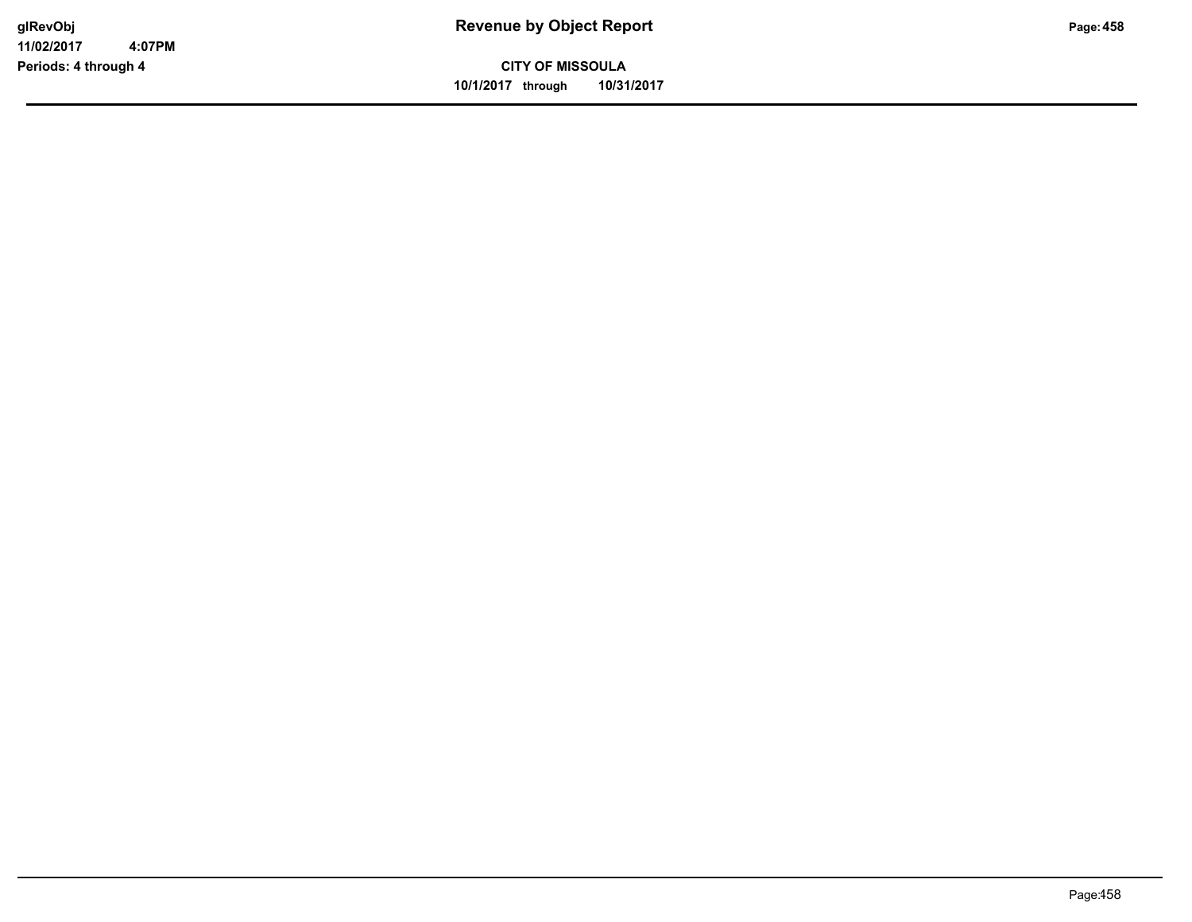**CITY OF MISSOULA 10/1/2017 through 10/31/2017**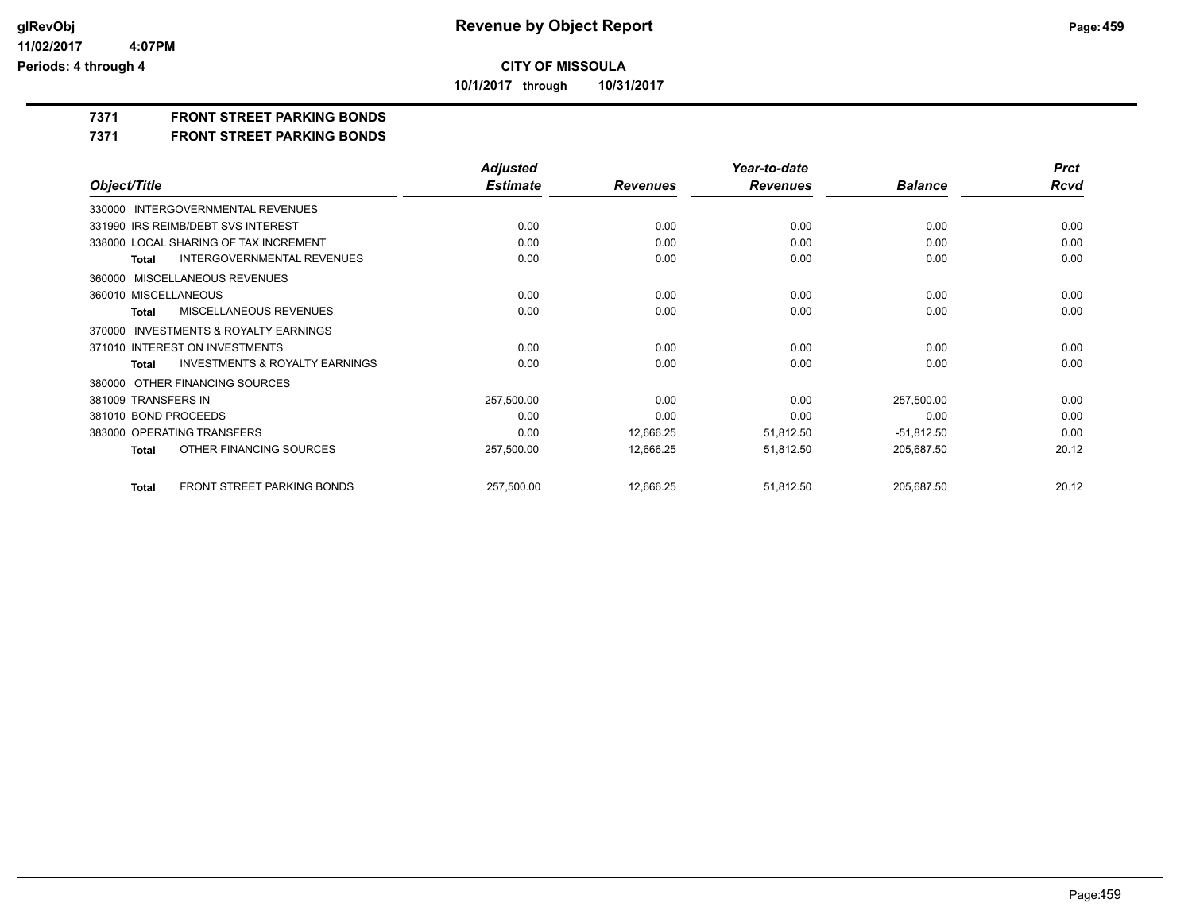**10/1/2017 through 10/31/2017**

## **7371 FRONT STREET PARKING BONDS**

**7371 FRONT STREET PARKING BONDS**

|                                                     | <b>Adjusted</b> |                 | Year-to-date    |                | <b>Prct</b> |
|-----------------------------------------------------|-----------------|-----------------|-----------------|----------------|-------------|
| Object/Title                                        | <b>Estimate</b> | <b>Revenues</b> | <b>Revenues</b> | <b>Balance</b> | <b>Rcvd</b> |
| 330000 INTERGOVERNMENTAL REVENUES                   |                 |                 |                 |                |             |
| 331990 IRS REIMB/DEBT SVS INTEREST                  | 0.00            | 0.00            | 0.00            | 0.00           | 0.00        |
| 338000 LOCAL SHARING OF TAX INCREMENT               | 0.00            | 0.00            | 0.00            | 0.00           | 0.00        |
| <b>INTERGOVERNMENTAL REVENUES</b><br>Total          | 0.00            | 0.00            | 0.00            | 0.00           | 0.00        |
| 360000 MISCELLANEOUS REVENUES                       |                 |                 |                 |                |             |
| 360010 MISCELLANEOUS                                | 0.00            | 0.00            | 0.00            | 0.00           | 0.00        |
| MISCELLANEOUS REVENUES<br>Total                     | 0.00            | 0.00            | 0.00            | 0.00           | 0.00        |
| <b>INVESTMENTS &amp; ROYALTY EARNINGS</b><br>370000 |                 |                 |                 |                |             |
| 371010 INTEREST ON INVESTMENTS                      | 0.00            | 0.00            | 0.00            | 0.00           | 0.00        |
| <b>INVESTMENTS &amp; ROYALTY EARNINGS</b><br>Total  | 0.00            | 0.00            | 0.00            | 0.00           | 0.00        |
| 380000 OTHER FINANCING SOURCES                      |                 |                 |                 |                |             |
| 381009 TRANSFERS IN                                 | 257,500.00      | 0.00            | 0.00            | 257,500.00     | 0.00        |
| 381010 BOND PROCEEDS                                | 0.00            | 0.00            | 0.00            | 0.00           | 0.00        |
| 383000 OPERATING TRANSFERS                          | 0.00            | 12,666.25       | 51,812.50       | $-51,812.50$   | 0.00        |
| OTHER FINANCING SOURCES<br>Total                    | 257,500.00      | 12,666.25       | 51,812.50       | 205,687.50     | 20.12       |
| FRONT STREET PARKING BONDS<br>Total                 | 257,500.00      | 12,666.25       | 51,812.50       | 205,687.50     | 20.12       |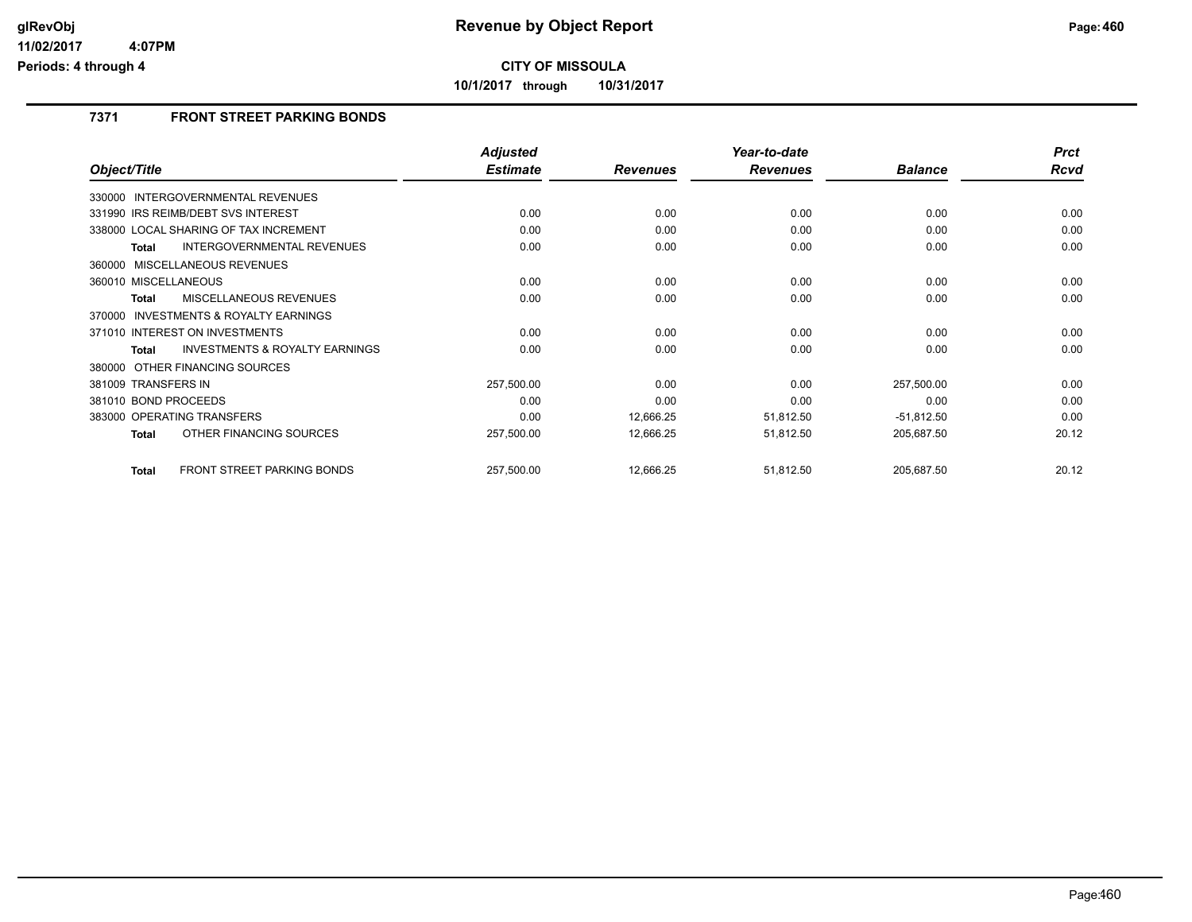**10/1/2017 through 10/31/2017**

## **7371 FRONT STREET PARKING BONDS**

|                                                           | <b>Adjusted</b> |                 | Year-to-date    |                | <b>Prct</b> |
|-----------------------------------------------------------|-----------------|-----------------|-----------------|----------------|-------------|
| Object/Title                                              | <b>Estimate</b> | <b>Revenues</b> | <b>Revenues</b> | <b>Balance</b> | Rcvd        |
| INTERGOVERNMENTAL REVENUES<br>330000                      |                 |                 |                 |                |             |
| 331990 IRS REIMB/DEBT SVS INTEREST                        | 0.00            | 0.00            | 0.00            | 0.00           | 0.00        |
| 338000 LOCAL SHARING OF TAX INCREMENT                     | 0.00            | 0.00            | 0.00            | 0.00           | 0.00        |
| <b>INTERGOVERNMENTAL REVENUES</b><br><b>Total</b>         | 0.00            | 0.00            | 0.00            | 0.00           | 0.00        |
| 360000 MISCELLANEOUS REVENUES                             |                 |                 |                 |                |             |
| 360010 MISCELLANEOUS                                      | 0.00            | 0.00            | 0.00            | 0.00           | 0.00        |
| <b>MISCELLANEOUS REVENUES</b><br>Total                    | 0.00            | 0.00            | 0.00            | 0.00           | 0.00        |
| <b>INVESTMENTS &amp; ROYALTY EARNINGS</b><br>370000       |                 |                 |                 |                |             |
| 371010 INTEREST ON INVESTMENTS                            | 0.00            | 0.00            | 0.00            | 0.00           | 0.00        |
| <b>INVESTMENTS &amp; ROYALTY EARNINGS</b><br><b>Total</b> | 0.00            | 0.00            | 0.00            | 0.00           | 0.00        |
| 380000 OTHER FINANCING SOURCES                            |                 |                 |                 |                |             |
| 381009 TRANSFERS IN                                       | 257,500.00      | 0.00            | 0.00            | 257,500.00     | 0.00        |
| 381010 BOND PROCEEDS                                      | 0.00            | 0.00            | 0.00            | 0.00           | 0.00        |
| 383000 OPERATING TRANSFERS                                | 0.00            | 12,666.25       | 51,812.50       | $-51,812.50$   | 0.00        |
| OTHER FINANCING SOURCES<br>Total                          | 257,500.00      | 12,666.25       | 51,812.50       | 205,687.50     | 20.12       |
| FRONT STREET PARKING BONDS<br><b>Total</b>                | 257,500.00      | 12,666.25       | 51,812.50       | 205,687.50     | 20.12       |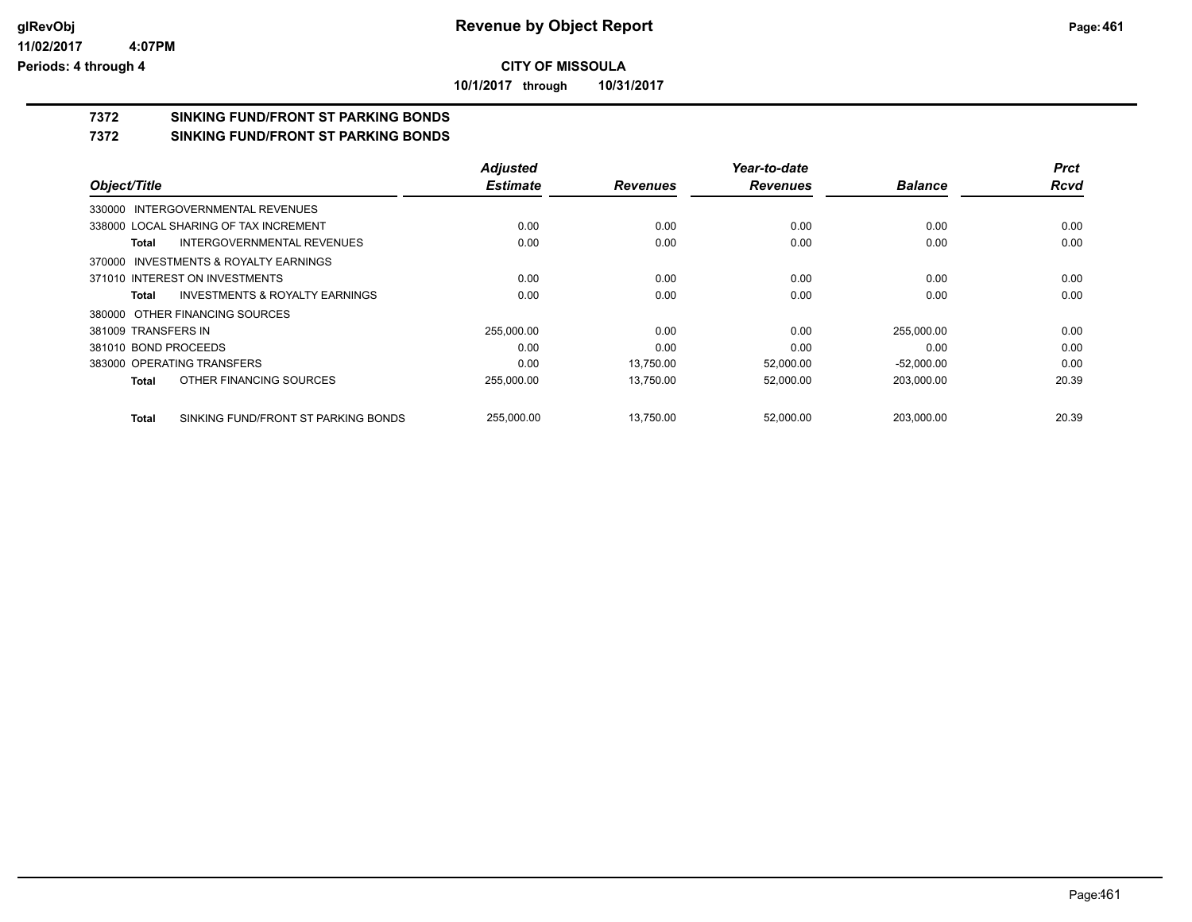**10/1/2017 through 10/31/2017**

# **7372 SINKING FUND/FRONT ST PARKING BONDS**

**7372 SINKING FUND/FRONT ST PARKING BONDS**

|                                                    | <b>Adjusted</b> |                 | Year-to-date    |                | <b>Prct</b> |
|----------------------------------------------------|-----------------|-----------------|-----------------|----------------|-------------|
| Object/Title                                       | <b>Estimate</b> | <b>Revenues</b> | <b>Revenues</b> | <b>Balance</b> | <b>Rcvd</b> |
| 330000 INTERGOVERNMENTAL REVENUES                  |                 |                 |                 |                |             |
| 338000 LOCAL SHARING OF TAX INCREMENT              | 0.00            | 0.00            | 0.00            | 0.00           | 0.00        |
| INTERGOVERNMENTAL REVENUES<br>Total                | 0.00            | 0.00            | 0.00            | 0.00           | 0.00        |
| 370000 INVESTMENTS & ROYALTY EARNINGS              |                 |                 |                 |                |             |
| 371010 INTEREST ON INVESTMENTS                     | 0.00            | 0.00            | 0.00            | 0.00           | 0.00        |
| <b>INVESTMENTS &amp; ROYALTY EARNINGS</b><br>Total | 0.00            | 0.00            | 0.00            | 0.00           | 0.00        |
| 380000 OTHER FINANCING SOURCES                     |                 |                 |                 |                |             |
| 381009 TRANSFERS IN                                | 255,000.00      | 0.00            | 0.00            | 255,000.00     | 0.00        |
| 381010 BOND PROCEEDS                               | 0.00            | 0.00            | 0.00            | 0.00           | 0.00        |
| 383000 OPERATING TRANSFERS                         | 0.00            | 13.750.00       | 52,000.00       | $-52,000.00$   | 0.00        |
| OTHER FINANCING SOURCES<br>Total                   | 255,000.00      | 13,750.00       | 52,000.00       | 203,000.00     | 20.39       |
| SINKING FUND/FRONT ST PARKING BONDS<br>Total       | 255,000.00      | 13.750.00       | 52,000.00       | 203.000.00     | 20.39       |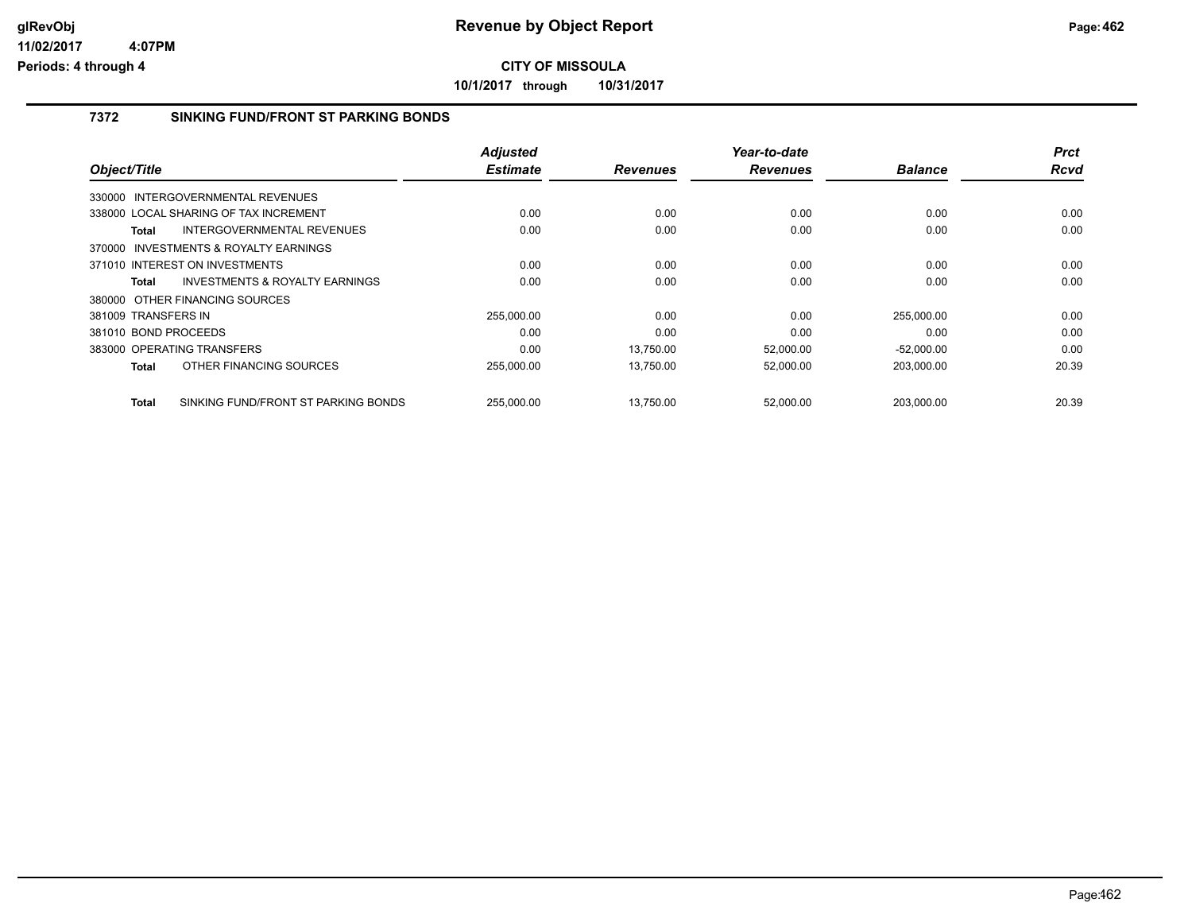**10/1/2017 through 10/31/2017**

#### **7372 SINKING FUND/FRONT ST PARKING BONDS**

| Object/Title         |                                           | <b>Adjusted</b><br><b>Estimate</b> | <b>Revenues</b> | Year-to-date<br><b>Revenues</b> | <b>Balance</b> | <b>Prct</b><br>Rcvd |
|----------------------|-------------------------------------------|------------------------------------|-----------------|---------------------------------|----------------|---------------------|
|                      | 330000 INTERGOVERNMENTAL REVENUES         |                                    |                 |                                 |                |                     |
|                      | 338000 LOCAL SHARING OF TAX INCREMENT     | 0.00                               | 0.00            | 0.00                            | 0.00           | 0.00                |
| <b>Total</b>         | <b>INTERGOVERNMENTAL REVENUES</b>         | 0.00                               | 0.00            | 0.00                            | 0.00           | 0.00                |
| 370000               | <b>INVESTMENTS &amp; ROYALTY EARNINGS</b> |                                    |                 |                                 |                |                     |
|                      | 371010 INTEREST ON INVESTMENTS            | 0.00                               | 0.00            | 0.00                            | 0.00           | 0.00                |
| Total                | <b>INVESTMENTS &amp; ROYALTY EARNINGS</b> | 0.00                               | 0.00            | 0.00                            | 0.00           | 0.00                |
|                      | 380000 OTHER FINANCING SOURCES            |                                    |                 |                                 |                |                     |
| 381009 TRANSFERS IN  |                                           | 255,000.00                         | 0.00            | 0.00                            | 255,000.00     | 0.00                |
| 381010 BOND PROCEEDS |                                           | 0.00                               | 0.00            | 0.00                            | 0.00           | 0.00                |
|                      | 383000 OPERATING TRANSFERS                | 0.00                               | 13.750.00       | 52,000.00                       | $-52,000.00$   | 0.00                |
| <b>Total</b>         | OTHER FINANCING SOURCES                   | 255,000.00                         | 13.750.00       | 52,000.00                       | 203,000.00     | 20.39               |
| <b>Total</b>         | SINKING FUND/FRONT ST PARKING BONDS       | 255.000.00                         | 13.750.00       | 52.000.00                       | 203.000.00     | 20.39               |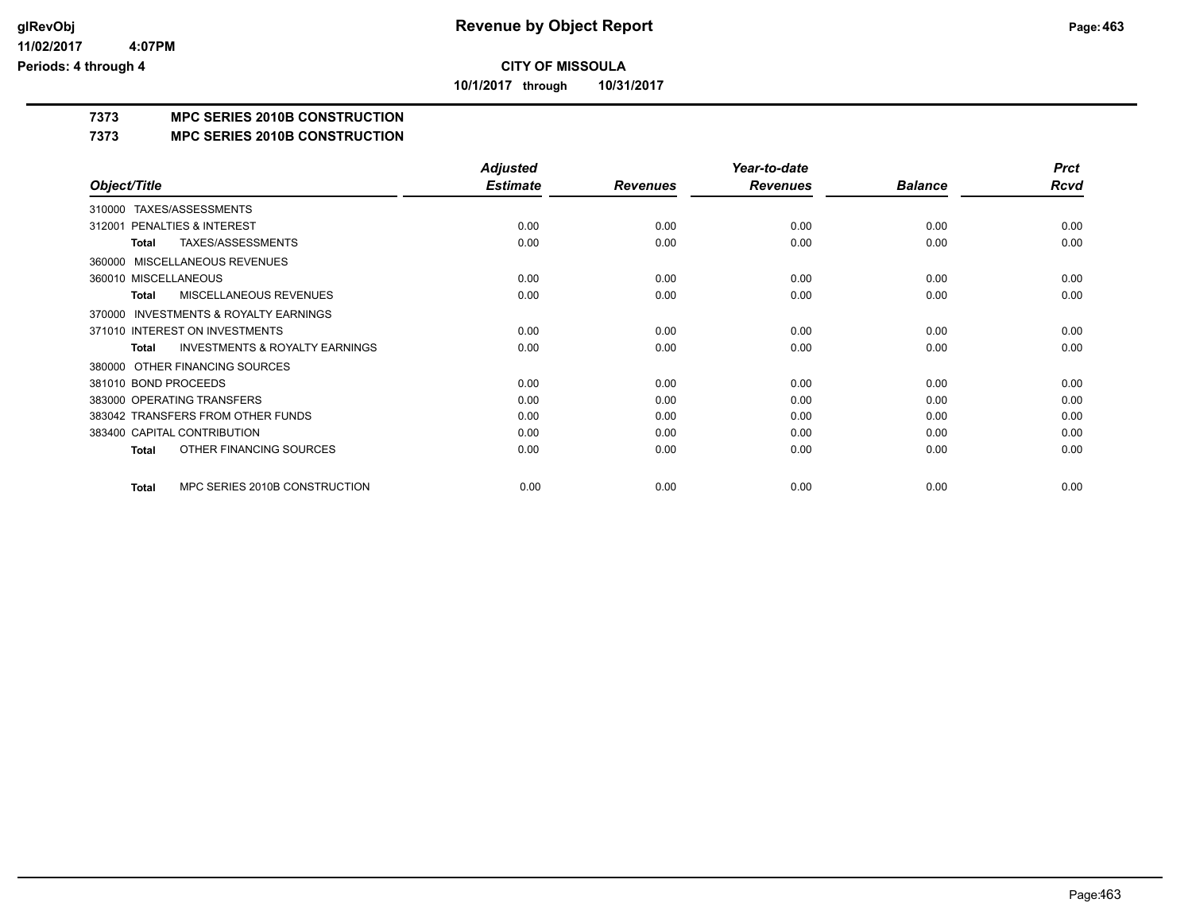**10/1/2017 through 10/31/2017**

# **7373 MPC SERIES 2010B CONSTRUCTION**

#### **7373 MPC SERIES 2010B CONSTRUCTION**

|                                                     | <b>Adjusted</b> |                 | Year-to-date    |                | <b>Prct</b> |
|-----------------------------------------------------|-----------------|-----------------|-----------------|----------------|-------------|
| Object/Title                                        | <b>Estimate</b> | <b>Revenues</b> | <b>Revenues</b> | <b>Balance</b> | <b>Rcvd</b> |
| TAXES/ASSESSMENTS<br>310000                         |                 |                 |                 |                |             |
| PENALTIES & INTEREST<br>312001                      | 0.00            | 0.00            | 0.00            | 0.00           | 0.00        |
| TAXES/ASSESSMENTS<br><b>Total</b>                   | 0.00            | 0.00            | 0.00            | 0.00           | 0.00        |
| MISCELLANEOUS REVENUES<br>360000                    |                 |                 |                 |                |             |
| 360010 MISCELLANEOUS                                | 0.00            | 0.00            | 0.00            | 0.00           | 0.00        |
| <b>MISCELLANEOUS REVENUES</b><br>Total              | 0.00            | 0.00            | 0.00            | 0.00           | 0.00        |
| <b>INVESTMENTS &amp; ROYALTY EARNINGS</b><br>370000 |                 |                 |                 |                |             |
| 371010 INTEREST ON INVESTMENTS                      | 0.00            | 0.00            | 0.00            | 0.00           | 0.00        |
| <b>INVESTMENTS &amp; ROYALTY EARNINGS</b><br>Total  | 0.00            | 0.00            | 0.00            | 0.00           | 0.00        |
| OTHER FINANCING SOURCES<br>380000                   |                 |                 |                 |                |             |
| 381010 BOND PROCEEDS                                | 0.00            | 0.00            | 0.00            | 0.00           | 0.00        |
| 383000 OPERATING TRANSFERS                          | 0.00            | 0.00            | 0.00            | 0.00           | 0.00        |
| 383042 TRANSFERS FROM OTHER FUNDS                   | 0.00            | 0.00            | 0.00            | 0.00           | 0.00        |
| 383400 CAPITAL CONTRIBUTION                         | 0.00            | 0.00            | 0.00            | 0.00           | 0.00        |
| OTHER FINANCING SOURCES<br><b>Total</b>             | 0.00            | 0.00            | 0.00            | 0.00           | 0.00        |
|                                                     |                 |                 |                 |                |             |
| MPC SERIES 2010B CONSTRUCTION<br><b>Total</b>       | 0.00            | 0.00            | 0.00            | 0.00           | 0.00        |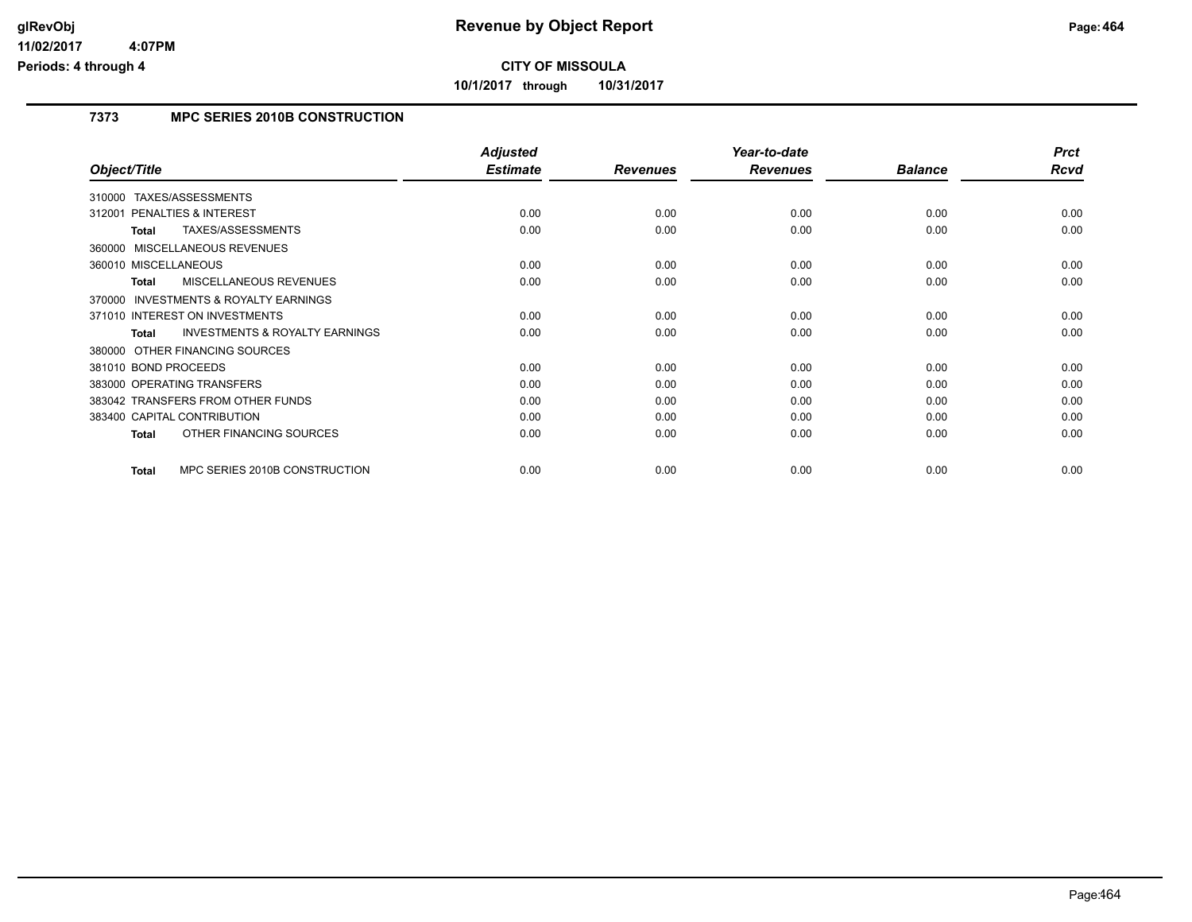**10/1/2017 through 10/31/2017**

### **7373 MPC SERIES 2010B CONSTRUCTION**

|                                                     | <b>Adjusted</b> |                 | Year-to-date    |                | <b>Prct</b> |
|-----------------------------------------------------|-----------------|-----------------|-----------------|----------------|-------------|
| Object/Title                                        | <b>Estimate</b> | <b>Revenues</b> | <b>Revenues</b> | <b>Balance</b> | Rcvd        |
| TAXES/ASSESSMENTS<br>310000                         |                 |                 |                 |                |             |
| 312001 PENALTIES & INTEREST                         | 0.00            | 0.00            | 0.00            | 0.00           | 0.00        |
| TAXES/ASSESSMENTS<br>Total                          | 0.00            | 0.00            | 0.00            | 0.00           | 0.00        |
| 360000 MISCELLANEOUS REVENUES                       |                 |                 |                 |                |             |
| 360010 MISCELLANEOUS                                | 0.00            | 0.00            | 0.00            | 0.00           | 0.00        |
| <b>MISCELLANEOUS REVENUES</b><br><b>Total</b>       | 0.00            | 0.00            | 0.00            | 0.00           | 0.00        |
| <b>INVESTMENTS &amp; ROYALTY EARNINGS</b><br>370000 |                 |                 |                 |                |             |
| 371010 INTEREST ON INVESTMENTS                      | 0.00            | 0.00            | 0.00            | 0.00           | 0.00        |
| <b>INVESTMENTS &amp; ROYALTY EARNINGS</b><br>Total  | 0.00            | 0.00            | 0.00            | 0.00           | 0.00        |
| 380000 OTHER FINANCING SOURCES                      |                 |                 |                 |                |             |
| 381010 BOND PROCEEDS                                | 0.00            | 0.00            | 0.00            | 0.00           | 0.00        |
| 383000 OPERATING TRANSFERS                          | 0.00            | 0.00            | 0.00            | 0.00           | 0.00        |
| 383042 TRANSFERS FROM OTHER FUNDS                   | 0.00            | 0.00            | 0.00            | 0.00           | 0.00        |
| 383400 CAPITAL CONTRIBUTION                         | 0.00            | 0.00            | 0.00            | 0.00           | 0.00        |
| OTHER FINANCING SOURCES<br><b>Total</b>             | 0.00            | 0.00            | 0.00            | 0.00           | 0.00        |
| MPC SERIES 2010B CONSTRUCTION<br><b>Total</b>       | 0.00            | 0.00            | 0.00            | 0.00           | 0.00        |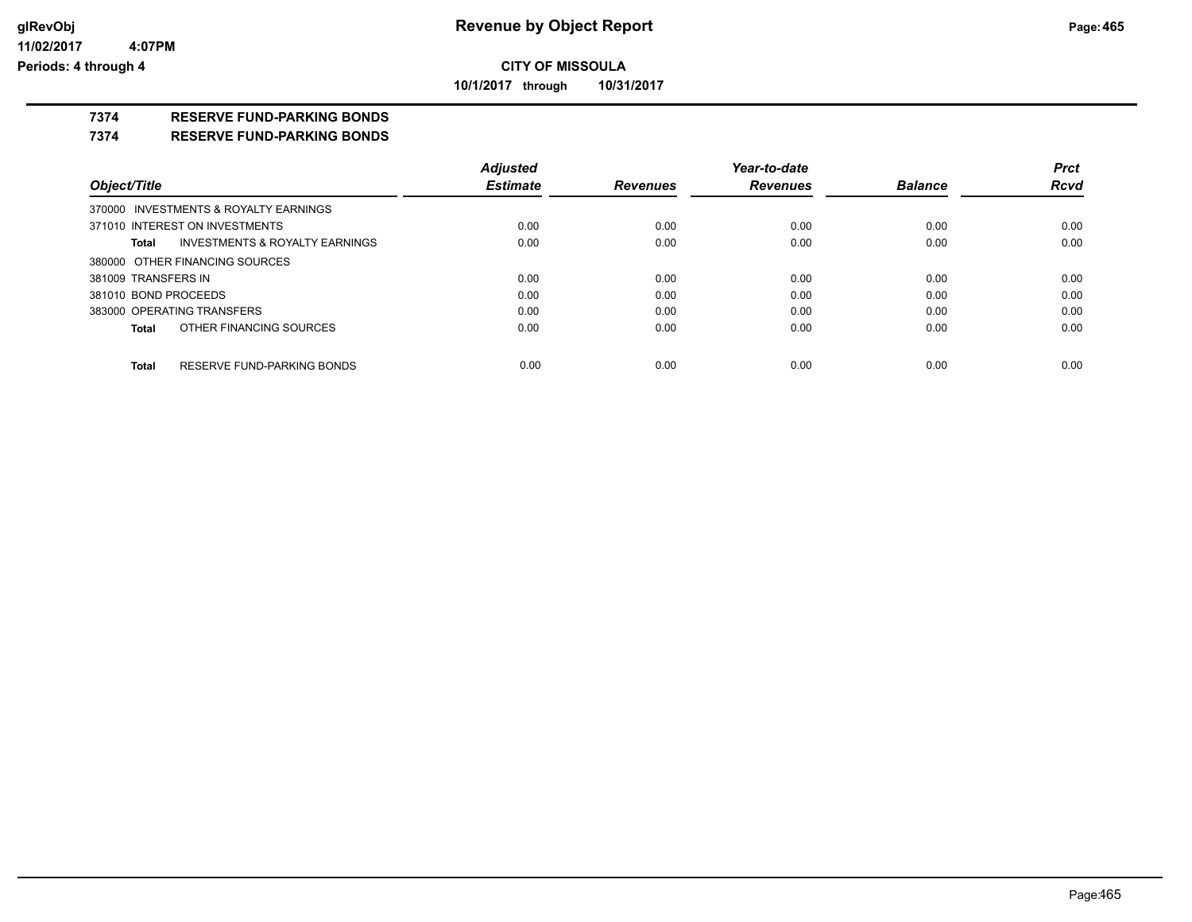**10/1/2017 through 10/31/2017**

## **7374 RESERVE FUND-PARKING BONDS**

#### **7374 RESERVE FUND-PARKING BONDS**

|                      |                                       | <b>Adjusted</b> |                 | Year-to-date    |                | <b>Prct</b> |
|----------------------|---------------------------------------|-----------------|-----------------|-----------------|----------------|-------------|
| Object/Title         |                                       | <b>Estimate</b> | <b>Revenues</b> | <b>Revenues</b> | <b>Balance</b> | <b>Rcvd</b> |
|                      | 370000 INVESTMENTS & ROYALTY EARNINGS |                 |                 |                 |                |             |
|                      | 371010 INTEREST ON INVESTMENTS        | 0.00            | 0.00            | 0.00            | 0.00           | 0.00        |
| Total                | INVESTMENTS & ROYALTY EARNINGS        | 0.00            | 0.00            | 0.00            | 0.00           | 0.00        |
|                      | 380000 OTHER FINANCING SOURCES        |                 |                 |                 |                |             |
| 381009 TRANSFERS IN  |                                       | 0.00            | 0.00            | 0.00            | 0.00           | 0.00        |
| 381010 BOND PROCEEDS |                                       | 0.00            | 0.00            | 0.00            | 0.00           | 0.00        |
|                      | 383000 OPERATING TRANSFERS            | 0.00            | 0.00            | 0.00            | 0.00           | 0.00        |
| Total                | OTHER FINANCING SOURCES               | 0.00            | 0.00            | 0.00            | 0.00           | 0.00        |
|                      |                                       |                 |                 |                 |                |             |
| Total                | RESERVE FUND-PARKING BONDS            | 0.00            | 0.00            | 0.00            | 0.00           | 0.00        |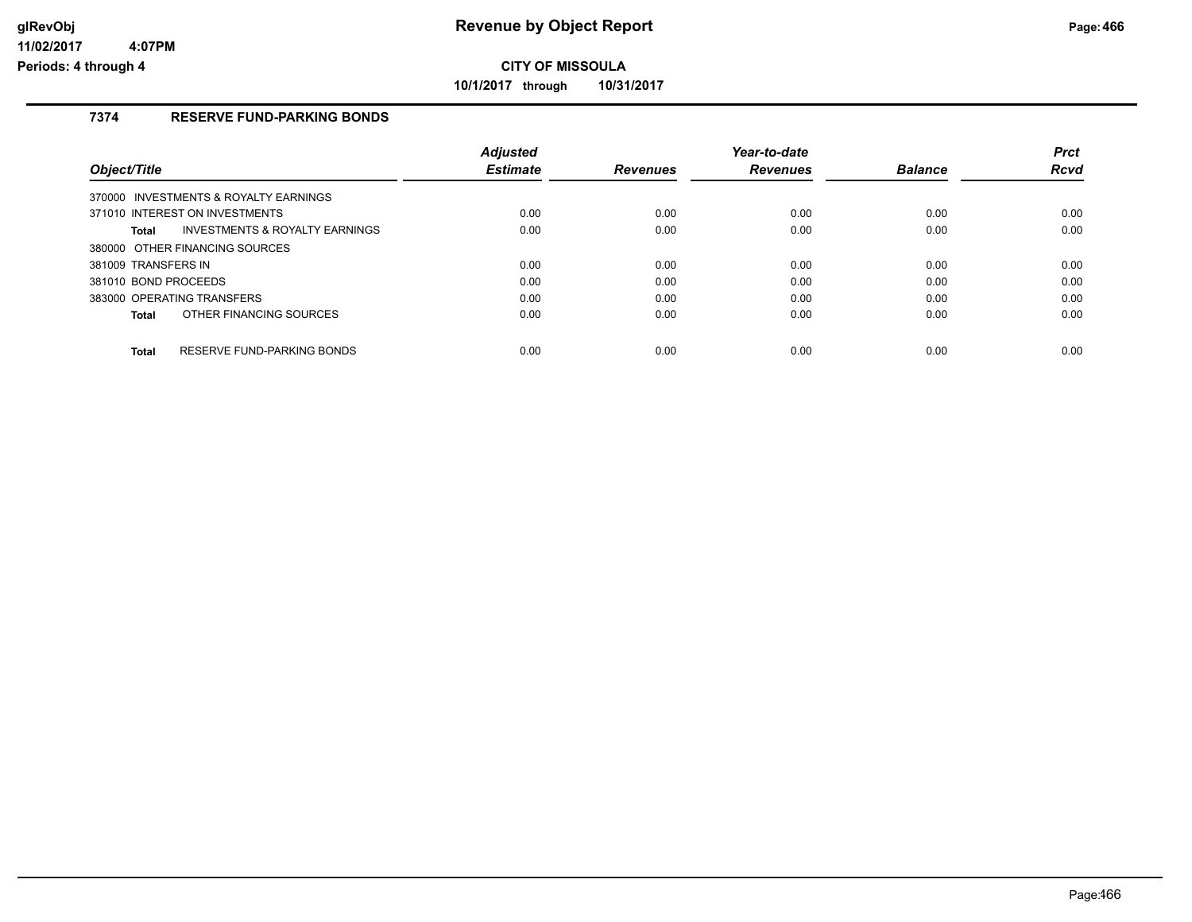**10/1/2017 through 10/31/2017**

#### **7374 RESERVE FUND-PARKING BONDS**

|                                                           | <b>Adjusted</b> |                 | Year-to-date    |                | <b>Prct</b> |
|-----------------------------------------------------------|-----------------|-----------------|-----------------|----------------|-------------|
| Object/Title                                              | <b>Estimate</b> | <b>Revenues</b> | <b>Revenues</b> | <b>Balance</b> | <b>Rcvd</b> |
| 370000 INVESTMENTS & ROYALTY EARNINGS                     |                 |                 |                 |                |             |
| 371010 INTEREST ON INVESTMENTS                            | 0.00            | 0.00            | 0.00            | 0.00           | 0.00        |
| <b>INVESTMENTS &amp; ROYALTY EARNINGS</b><br><b>Total</b> | 0.00            | 0.00            | 0.00            | 0.00           | 0.00        |
| 380000 OTHER FINANCING SOURCES                            |                 |                 |                 |                |             |
| 381009 TRANSFERS IN                                       | 0.00            | 0.00            | 0.00            | 0.00           | 0.00        |
| 381010 BOND PROCEEDS                                      | 0.00            | 0.00            | 0.00            | 0.00           | 0.00        |
| 383000 OPERATING TRANSFERS                                | 0.00            | 0.00            | 0.00            | 0.00           | 0.00        |
| OTHER FINANCING SOURCES<br><b>Total</b>                   | 0.00            | 0.00            | 0.00            | 0.00           | 0.00        |
| <b>RESERVE FUND-PARKING BONDS</b><br><b>Total</b>         | 0.00            | 0.00            | 0.00            | 0.00           | 0.00        |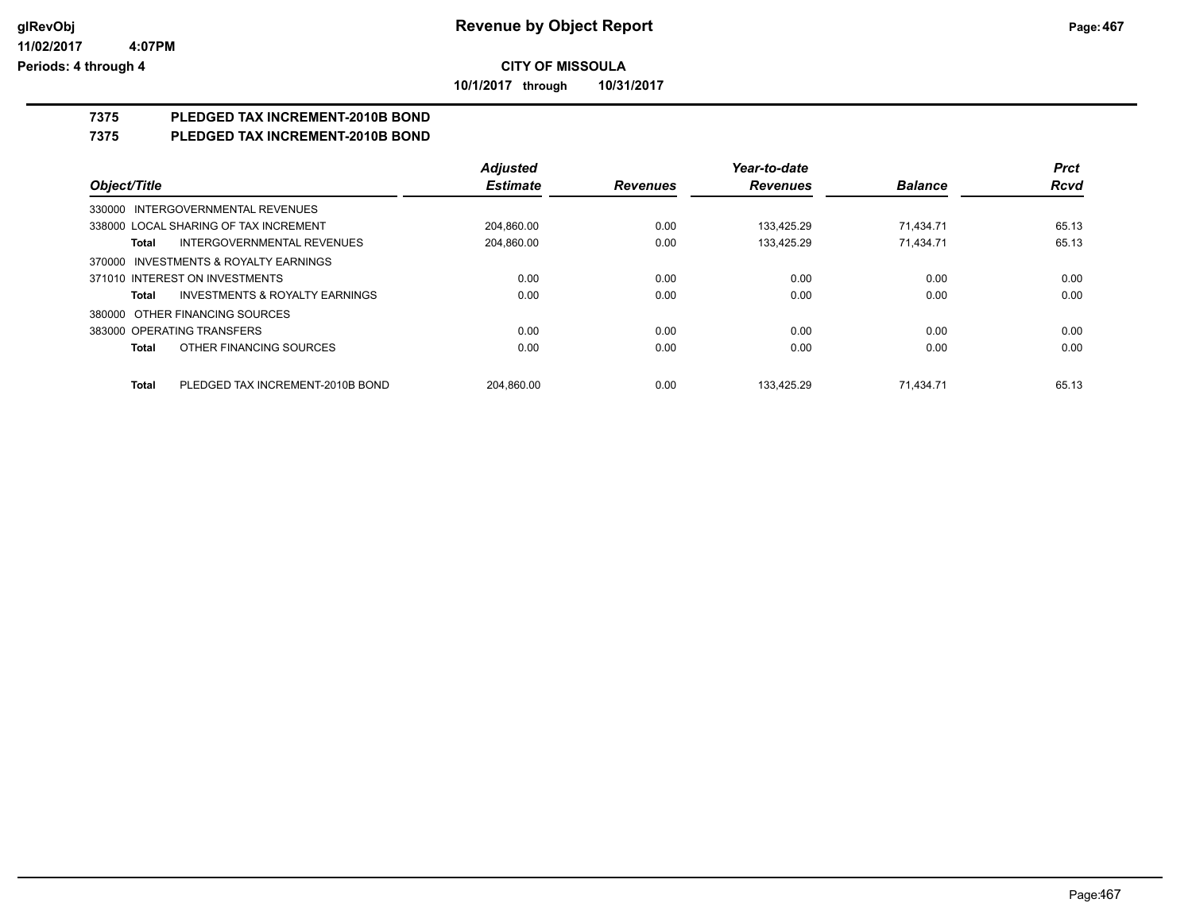**10/1/2017 through 10/31/2017**

# **7375 PLEDGED TAX INCREMENT-2010B BOND**

# **7375 PLEDGED TAX INCREMENT-2010B BOND**

|                                                    | <b>Adjusted</b> |                 | Year-to-date    |                | <b>Prct</b> |
|----------------------------------------------------|-----------------|-----------------|-----------------|----------------|-------------|
| Object/Title                                       | <b>Estimate</b> | <b>Revenues</b> | <b>Revenues</b> | <b>Balance</b> | <b>Rcvd</b> |
| 330000 INTERGOVERNMENTAL REVENUES                  |                 |                 |                 |                |             |
| 338000 LOCAL SHARING OF TAX INCREMENT              | 204.860.00      | 0.00            | 133.425.29      | 71.434.71      | 65.13       |
| <b>INTERGOVERNMENTAL REVENUES</b><br>Total         | 204,860.00      | 0.00            | 133.425.29      | 71.434.71      | 65.13       |
| 370000 INVESTMENTS & ROYALTY EARNINGS              |                 |                 |                 |                |             |
| 371010 INTEREST ON INVESTMENTS                     | 0.00            | 0.00            | 0.00            | 0.00           | 0.00        |
| <b>INVESTMENTS &amp; ROYALTY EARNINGS</b><br>Total | 0.00            | 0.00            | 0.00            | 0.00           | 0.00        |
| 380000 OTHER FINANCING SOURCES                     |                 |                 |                 |                |             |
| 383000 OPERATING TRANSFERS                         | 0.00            | 0.00            | 0.00            | 0.00           | 0.00        |
| OTHER FINANCING SOURCES<br><b>Total</b>            | 0.00            | 0.00            | 0.00            | 0.00           | 0.00        |
| PLEDGED TAX INCREMENT-2010B BOND<br><b>Total</b>   | 204.860.00      | 0.00            | 133.425.29      | 71.434.71      | 65.13       |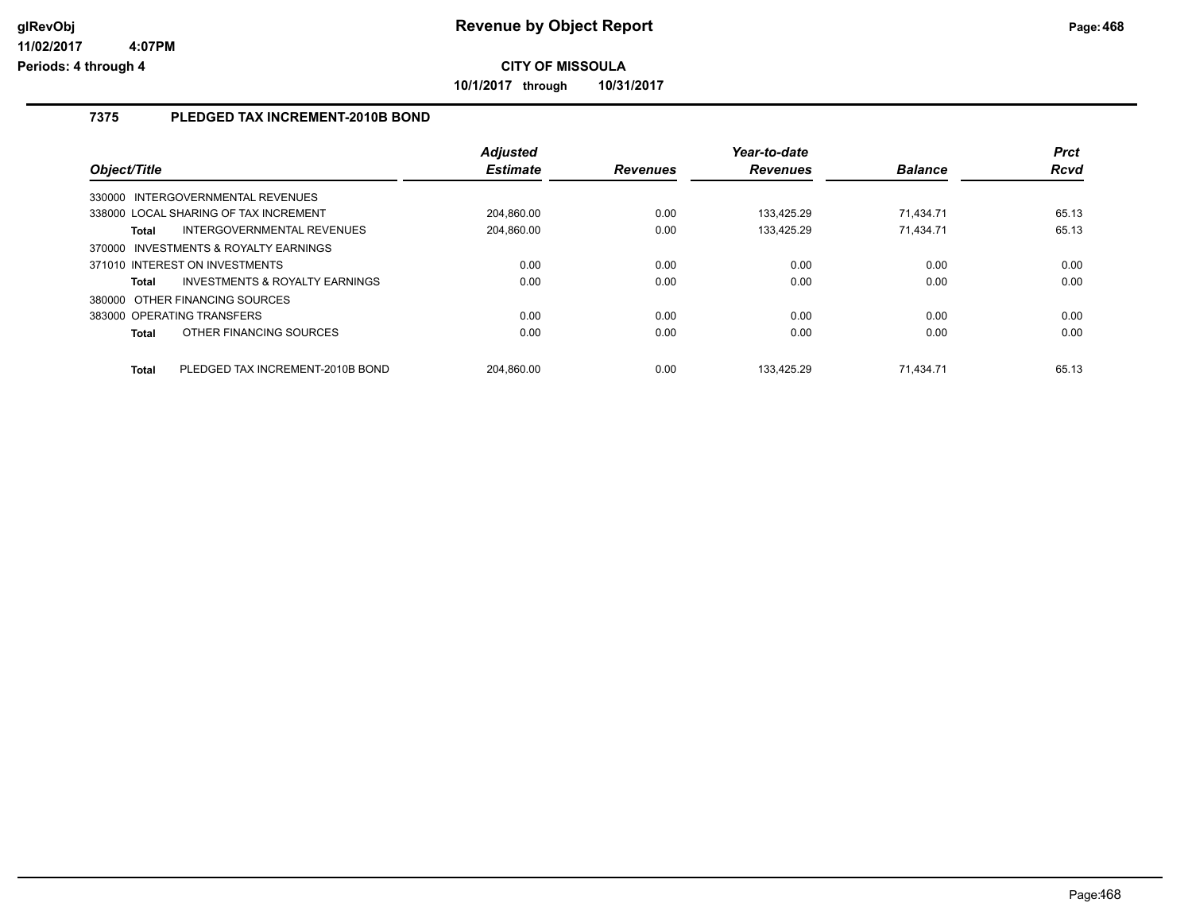**10/1/2017 through 10/31/2017**

#### **7375 PLEDGED TAX INCREMENT-2010B BOND**

|                                                           | <b>Adjusted</b> |                 | Year-to-date    |                | <b>Prct</b> |
|-----------------------------------------------------------|-----------------|-----------------|-----------------|----------------|-------------|
| Object/Title                                              | <b>Estimate</b> | <b>Revenues</b> | <b>Revenues</b> | <b>Balance</b> | <b>Rcvd</b> |
| 330000 INTERGOVERNMENTAL REVENUES                         |                 |                 |                 |                |             |
| 338000 LOCAL SHARING OF TAX INCREMENT                     | 204.860.00      | 0.00            | 133.425.29      | 71.434.71      | 65.13       |
| INTERGOVERNMENTAL REVENUES<br>Total                       | 204,860.00      | 0.00            | 133,425.29      | 71.434.71      | 65.13       |
| 370000 INVESTMENTS & ROYALTY EARNINGS                     |                 |                 |                 |                |             |
| 371010 INTEREST ON INVESTMENTS                            | 0.00            | 0.00            | 0.00            | 0.00           | 0.00        |
| <b>INVESTMENTS &amp; ROYALTY EARNINGS</b><br><b>Total</b> | 0.00            | 0.00            | 0.00            | 0.00           | 0.00        |
| 380000 OTHER FINANCING SOURCES                            |                 |                 |                 |                |             |
| 383000 OPERATING TRANSFERS                                | 0.00            | 0.00            | 0.00            | 0.00           | 0.00        |
| OTHER FINANCING SOURCES<br><b>Total</b>                   | 0.00            | 0.00            | 0.00            | 0.00           | 0.00        |
| PLEDGED TAX INCREMENT-2010B BOND<br><b>Total</b>          | 204.860.00      | 0.00            | 133.425.29      | 71.434.71      | 65.13       |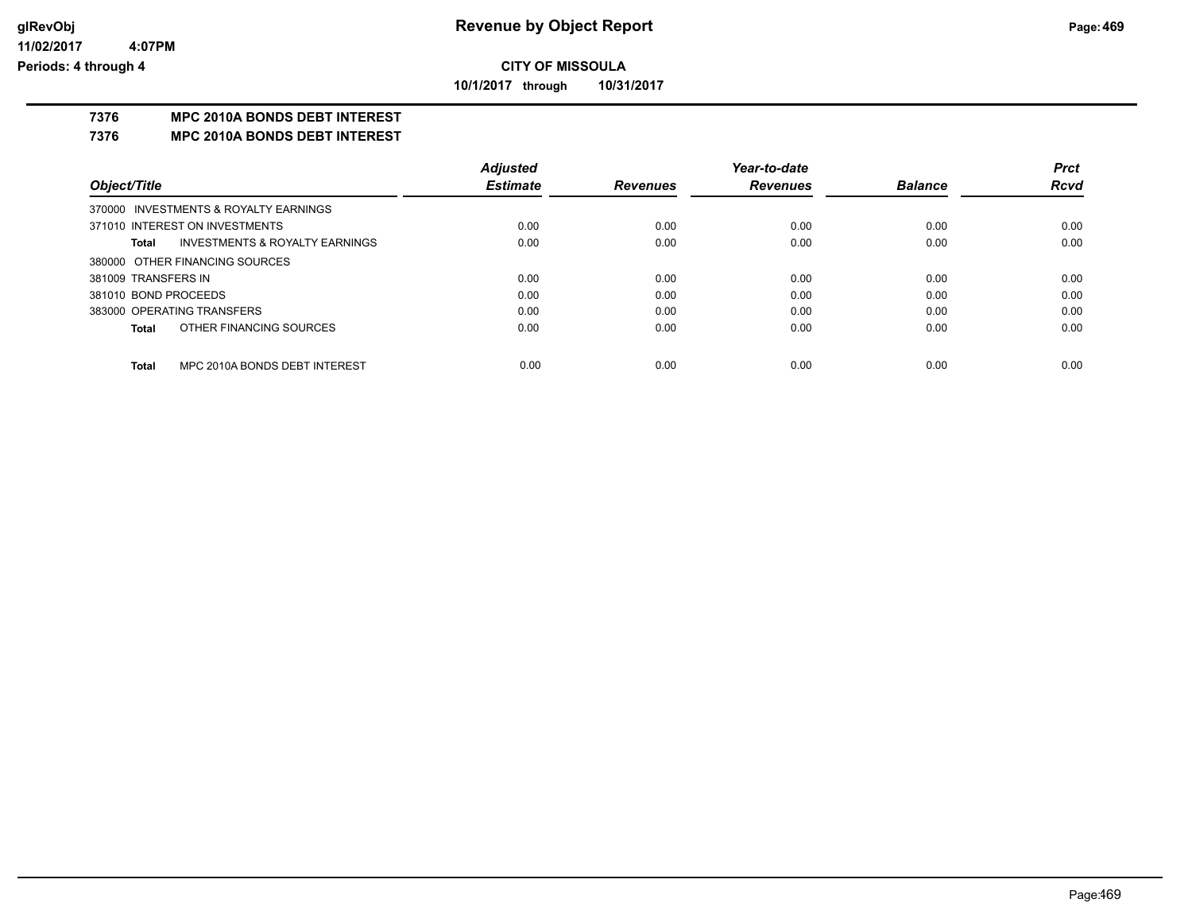**10/1/2017 through 10/31/2017**

# **7376 MPC 2010A BONDS DEBT INTEREST**

#### **7376 MPC 2010A BONDS DEBT INTEREST**

|                      |                                       | <b>Adjusted</b> |                 | Year-to-date    |                | <b>Prct</b> |
|----------------------|---------------------------------------|-----------------|-----------------|-----------------|----------------|-------------|
| Object/Title         |                                       | <b>Estimate</b> | <b>Revenues</b> | <b>Revenues</b> | <b>Balance</b> | <b>Rcvd</b> |
|                      | 370000 INVESTMENTS & ROYALTY EARNINGS |                 |                 |                 |                |             |
|                      | 371010 INTEREST ON INVESTMENTS        | 0.00            | 0.00            | 0.00            | 0.00           | 0.00        |
| Total                | INVESTMENTS & ROYALTY EARNINGS        | 0.00            | 0.00            | 0.00            | 0.00           | 0.00        |
|                      | 380000 OTHER FINANCING SOURCES        |                 |                 |                 |                |             |
| 381009 TRANSFERS IN  |                                       | 0.00            | 0.00            | 0.00            | 0.00           | 0.00        |
| 381010 BOND PROCEEDS |                                       | 0.00            | 0.00            | 0.00            | 0.00           | 0.00        |
|                      | 383000 OPERATING TRANSFERS            | 0.00            | 0.00            | 0.00            | 0.00           | 0.00        |
| Total                | OTHER FINANCING SOURCES               | 0.00            | 0.00            | 0.00            | 0.00           | 0.00        |
| Total                | MPC 2010A BONDS DEBT INTEREST         | 0.00            | 0.00            | 0.00            | 0.00           | 0.00        |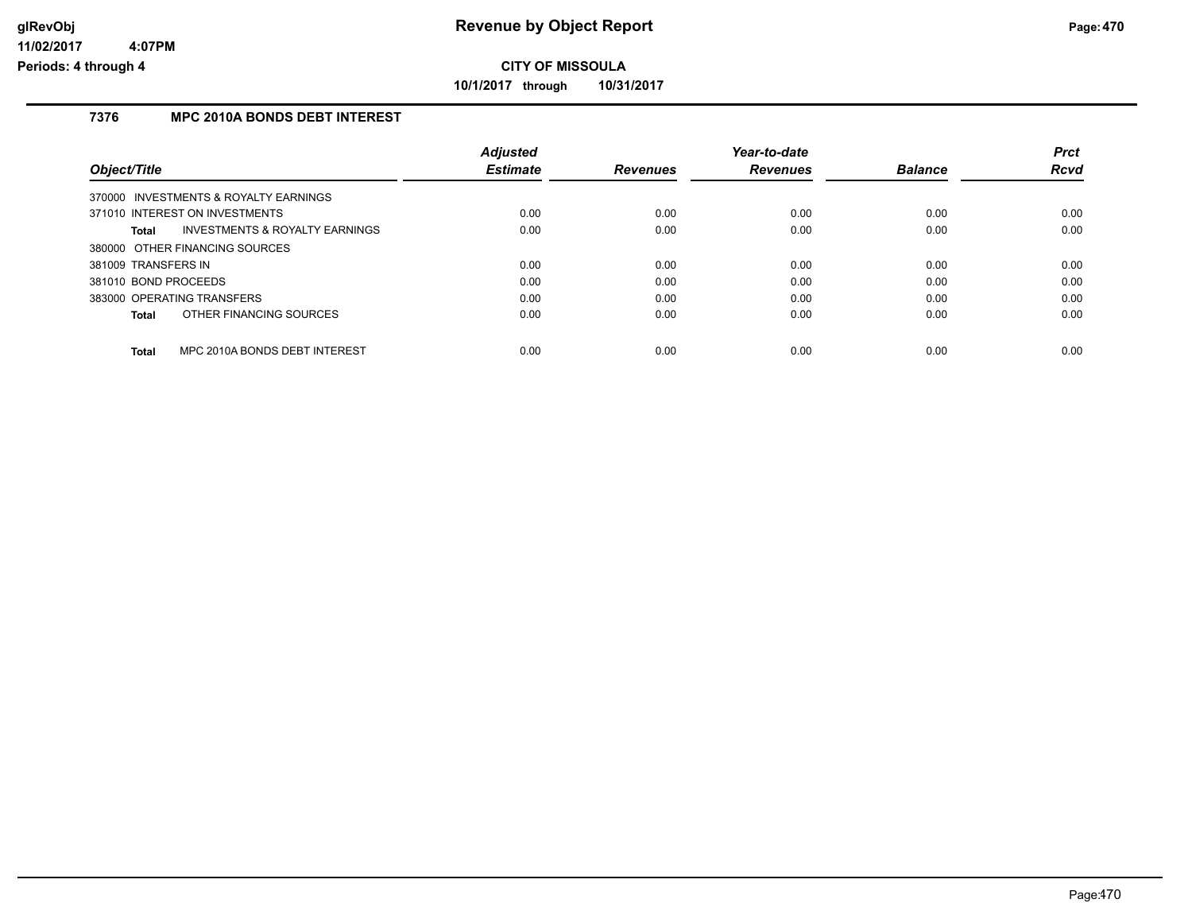**10/1/2017 through 10/31/2017**

# **7376 MPC 2010A BONDS DEBT INTEREST**

|                                                | <b>Adjusted</b> |                 | Year-to-date    |                | <b>Prct</b> |
|------------------------------------------------|-----------------|-----------------|-----------------|----------------|-------------|
| Object/Title                                   | <b>Estimate</b> | <b>Revenues</b> | <b>Revenues</b> | <b>Balance</b> | <b>Rcvd</b> |
| 370000 INVESTMENTS & ROYALTY EARNINGS          |                 |                 |                 |                |             |
| 371010 INTEREST ON INVESTMENTS                 | 0.00            | 0.00            | 0.00            | 0.00           | 0.00        |
| INVESTMENTS & ROYALTY EARNINGS<br><b>Total</b> | 0.00            | 0.00            | 0.00            | 0.00           | 0.00        |
| 380000 OTHER FINANCING SOURCES                 |                 |                 |                 |                |             |
| 381009 TRANSFERS IN                            | 0.00            | 0.00            | 0.00            | 0.00           | 0.00        |
| 381010 BOND PROCEEDS                           | 0.00            | 0.00            | 0.00            | 0.00           | 0.00        |
| 383000 OPERATING TRANSFERS                     | 0.00            | 0.00            | 0.00            | 0.00           | 0.00        |
| OTHER FINANCING SOURCES<br><b>Total</b>        | 0.00            | 0.00            | 0.00            | 0.00           | 0.00        |
| MPC 2010A BONDS DEBT INTEREST<br><b>Total</b>  | 0.00            | 0.00            | 0.00            | 0.00           | 0.00        |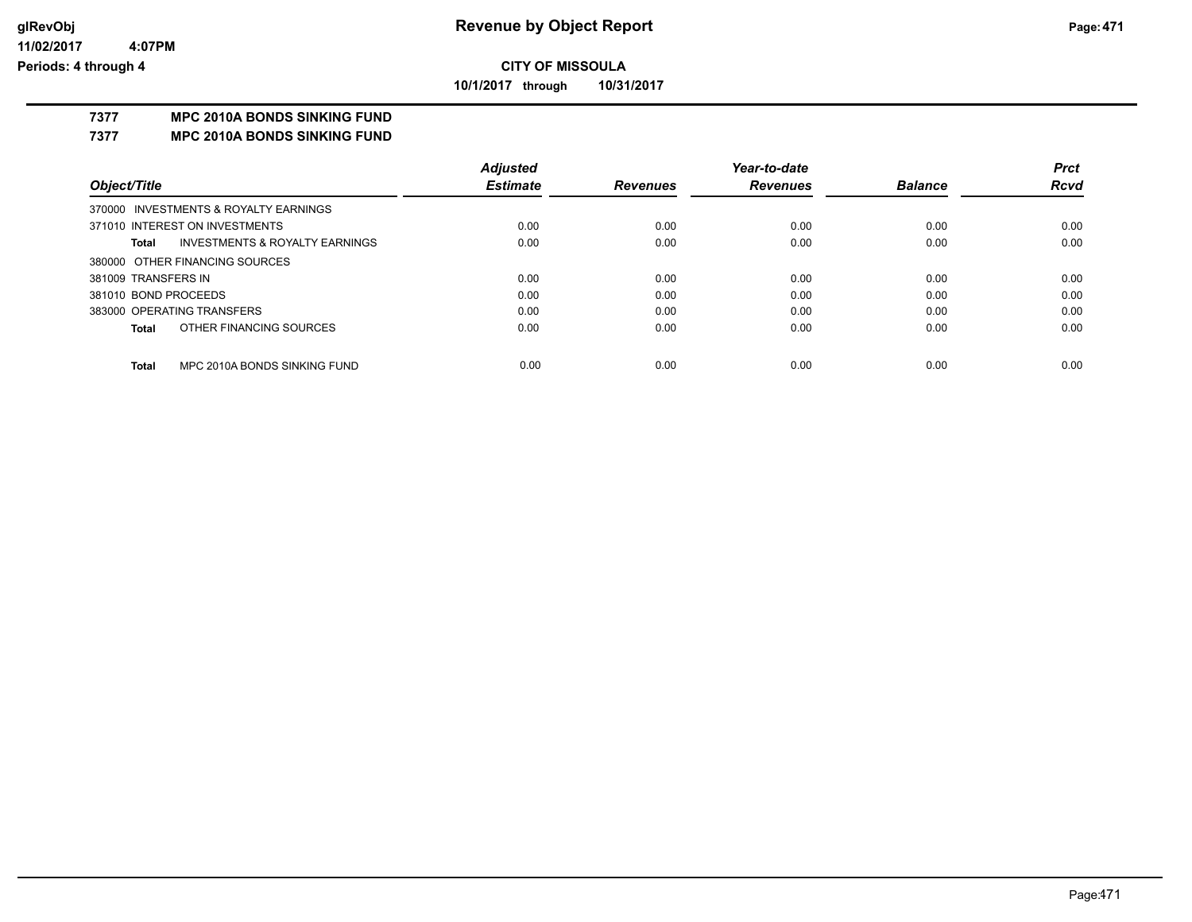**10/1/2017 through 10/31/2017**

# **7377 MPC 2010A BONDS SINKING FUND**

**7377 MPC 2010A BONDS SINKING FUND**

|                                                           | <b>Adjusted</b> |                 | Year-to-date    |                | <b>Prct</b> |
|-----------------------------------------------------------|-----------------|-----------------|-----------------|----------------|-------------|
| Object/Title                                              | <b>Estimate</b> | <b>Revenues</b> | <b>Revenues</b> | <b>Balance</b> | <b>Rcvd</b> |
| 370000 INVESTMENTS & ROYALTY EARNINGS                     |                 |                 |                 |                |             |
| 371010 INTEREST ON INVESTMENTS                            | 0.00            | 0.00            | 0.00            | 0.00           | 0.00        |
| <b>INVESTMENTS &amp; ROYALTY EARNINGS</b><br><b>Total</b> | 0.00            | 0.00            | 0.00            | 0.00           | 0.00        |
| 380000 OTHER FINANCING SOURCES                            |                 |                 |                 |                |             |
| 381009 TRANSFERS IN                                       | 0.00            | 0.00            | 0.00            | 0.00           | 0.00        |
| 381010 BOND PROCEEDS                                      | 0.00            | 0.00            | 0.00            | 0.00           | 0.00        |
| 383000 OPERATING TRANSFERS                                | 0.00            | 0.00            | 0.00            | 0.00           | 0.00        |
| OTHER FINANCING SOURCES<br><b>Total</b>                   | 0.00            | 0.00            | 0.00            | 0.00           | 0.00        |
| MPC 2010A BONDS SINKING FUND<br><b>Total</b>              | 0.00            | 0.00            | 0.00            | 0.00           | 0.00        |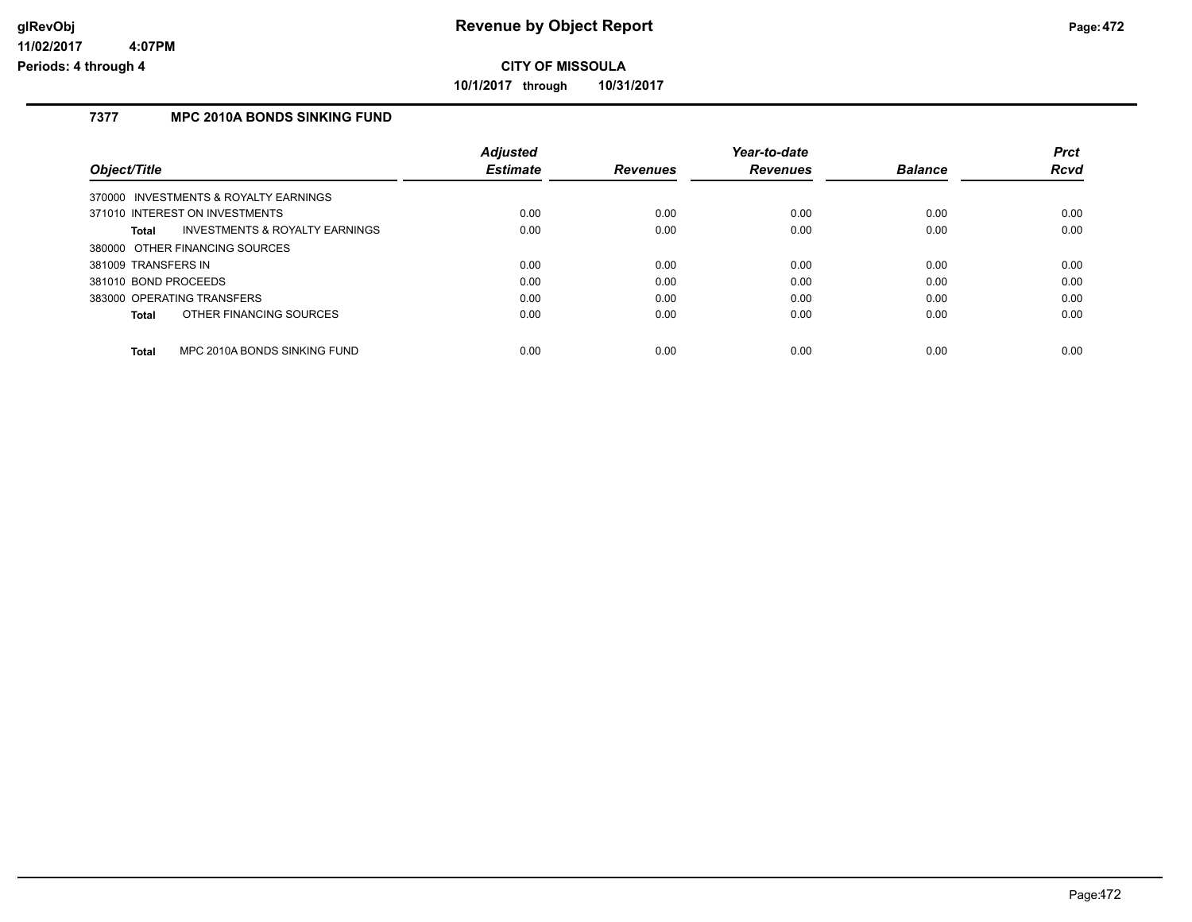**10/1/2017 through 10/31/2017**

# **7377 MPC 2010A BONDS SINKING FUND**

|                                                    | <b>Adjusted</b> |                 | Year-to-date    |                | Prct        |
|----------------------------------------------------|-----------------|-----------------|-----------------|----------------|-------------|
| Object/Title                                       | <b>Estimate</b> | <b>Revenues</b> | <b>Revenues</b> | <b>Balance</b> | <b>Rcvd</b> |
| 370000 INVESTMENTS & ROYALTY EARNINGS              |                 |                 |                 |                |             |
| 371010 INTEREST ON INVESTMENTS                     | 0.00            | 0.00            | 0.00            | 0.00           | 0.00        |
| <b>INVESTMENTS &amp; ROYALTY EARNINGS</b><br>Total | 0.00            | 0.00            | 0.00            | 0.00           | 0.00        |
| 380000 OTHER FINANCING SOURCES                     |                 |                 |                 |                |             |
| 381009 TRANSFERS IN                                | 0.00            | 0.00            | 0.00            | 0.00           | 0.00        |
| 381010 BOND PROCEEDS                               | 0.00            | 0.00            | 0.00            | 0.00           | 0.00        |
| 383000 OPERATING TRANSFERS                         | 0.00            | 0.00            | 0.00            | 0.00           | 0.00        |
| OTHER FINANCING SOURCES<br><b>Total</b>            | 0.00            | 0.00            | 0.00            | 0.00           | 0.00        |
| MPC 2010A BONDS SINKING FUND<br><b>Total</b>       | 0.00            | 0.00            | 0.00            | 0.00           | 0.00        |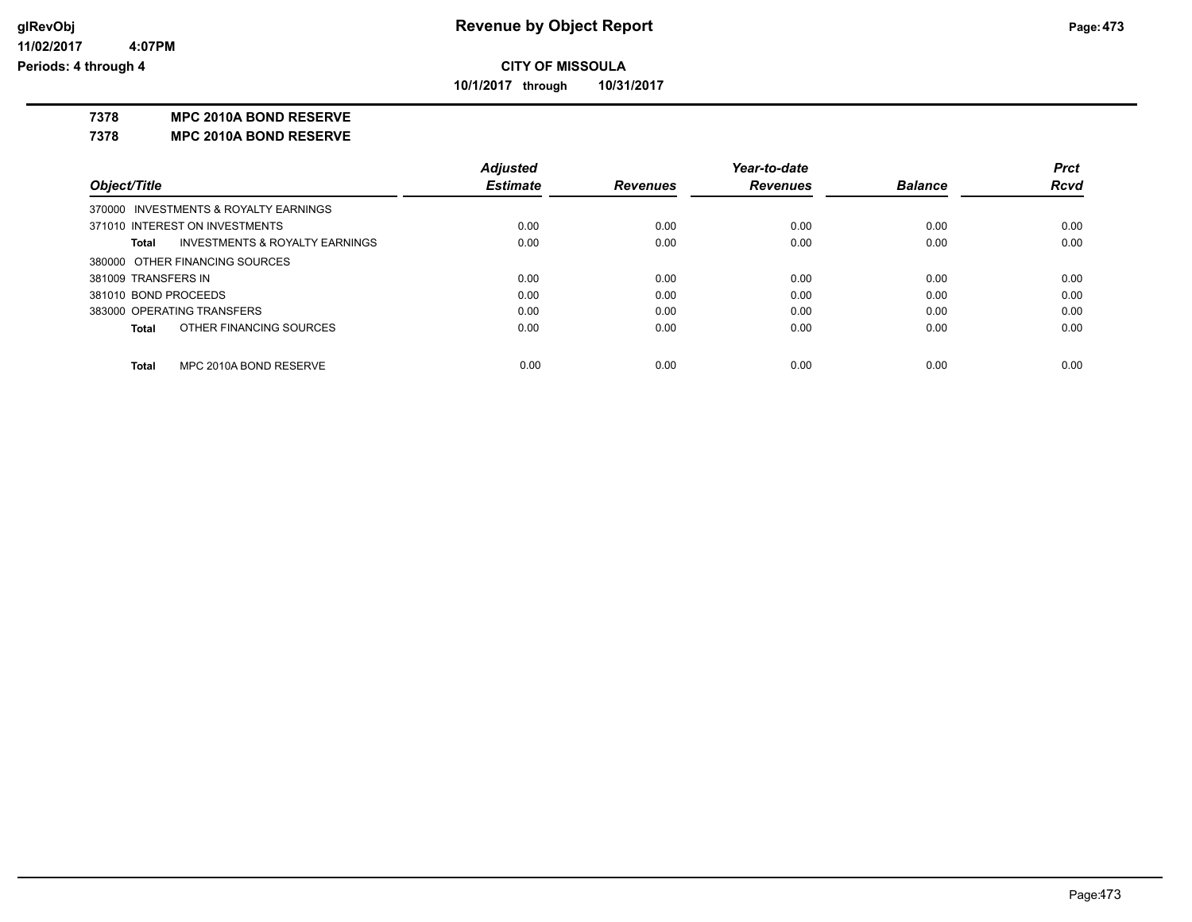**10/1/2017 through 10/31/2017**

#### **7378 MPC 2010A BOND RESERVE**

**7378 MPC 2010A BOND RESERVE**

|                      |                                       | <b>Adjusted</b> |                 | Year-to-date    |                | <b>Prct</b> |
|----------------------|---------------------------------------|-----------------|-----------------|-----------------|----------------|-------------|
| Object/Title         |                                       | <b>Estimate</b> | <b>Revenues</b> | <b>Revenues</b> | <b>Balance</b> | <b>Rcvd</b> |
|                      | 370000 INVESTMENTS & ROYALTY EARNINGS |                 |                 |                 |                |             |
|                      | 371010 INTEREST ON INVESTMENTS        | 0.00            | 0.00            | 0.00            | 0.00           | 0.00        |
| Total                | INVESTMENTS & ROYALTY EARNINGS        | 0.00            | 0.00            | 0.00            | 0.00           | 0.00        |
|                      | 380000 OTHER FINANCING SOURCES        |                 |                 |                 |                |             |
| 381009 TRANSFERS IN  |                                       | 0.00            | 0.00            | 0.00            | 0.00           | 0.00        |
| 381010 BOND PROCEEDS |                                       | 0.00            | 0.00            | 0.00            | 0.00           | 0.00        |
|                      | 383000 OPERATING TRANSFERS            | 0.00            | 0.00            | 0.00            | 0.00           | 0.00        |
| Total                | OTHER FINANCING SOURCES               | 0.00            | 0.00            | 0.00            | 0.00           | 0.00        |
| Total                | MPC 2010A BOND RESERVE                | 0.00            | 0.00            | 0.00            | 0.00           | 0.00        |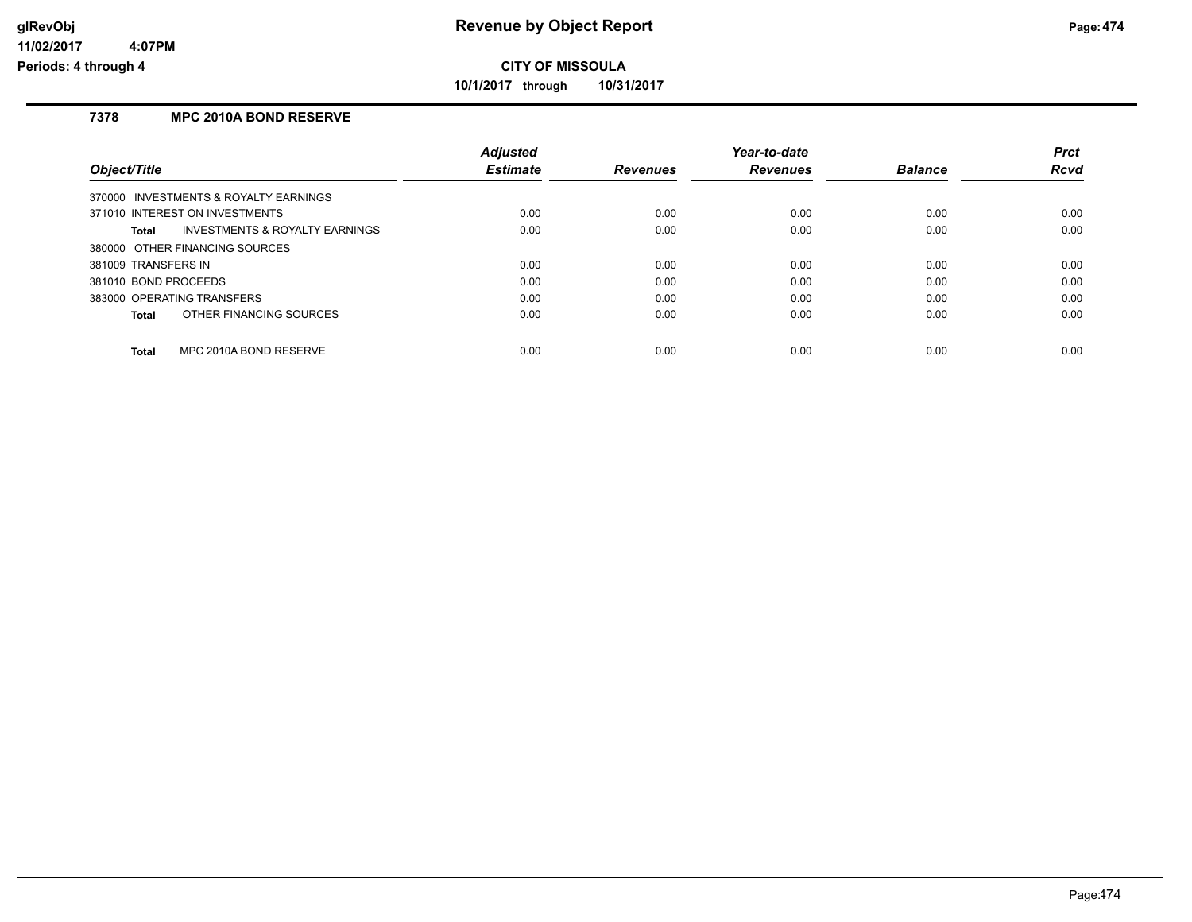**10/1/2017 through 10/31/2017**

# **7378 MPC 2010A BOND RESERVE**

|                                                | <b>Adjusted</b> |                 | Year-to-date    |                | <b>Prct</b> |
|------------------------------------------------|-----------------|-----------------|-----------------|----------------|-------------|
| Object/Title                                   | <b>Estimate</b> | <b>Revenues</b> | <b>Revenues</b> | <b>Balance</b> | <b>Rcvd</b> |
| 370000 INVESTMENTS & ROYALTY EARNINGS          |                 |                 |                 |                |             |
| 371010 INTEREST ON INVESTMENTS                 | 0.00            | 0.00            | 0.00            | 0.00           | 0.00        |
| INVESTMENTS & ROYALTY EARNINGS<br><b>Total</b> | 0.00            | 0.00            | 0.00            | 0.00           | 0.00        |
| 380000 OTHER FINANCING SOURCES                 |                 |                 |                 |                |             |
| 381009 TRANSFERS IN                            | 0.00            | 0.00            | 0.00            | 0.00           | 0.00        |
| 381010 BOND PROCEEDS                           | 0.00            | 0.00            | 0.00            | 0.00           | 0.00        |
| 383000 OPERATING TRANSFERS                     | 0.00            | 0.00            | 0.00            | 0.00           | 0.00        |
| OTHER FINANCING SOURCES<br><b>Total</b>        | 0.00            | 0.00            | 0.00            | 0.00           | 0.00        |
| MPC 2010A BOND RESERVE<br><b>Total</b>         | 0.00            | 0.00            | 0.00            | 0.00           | 0.00        |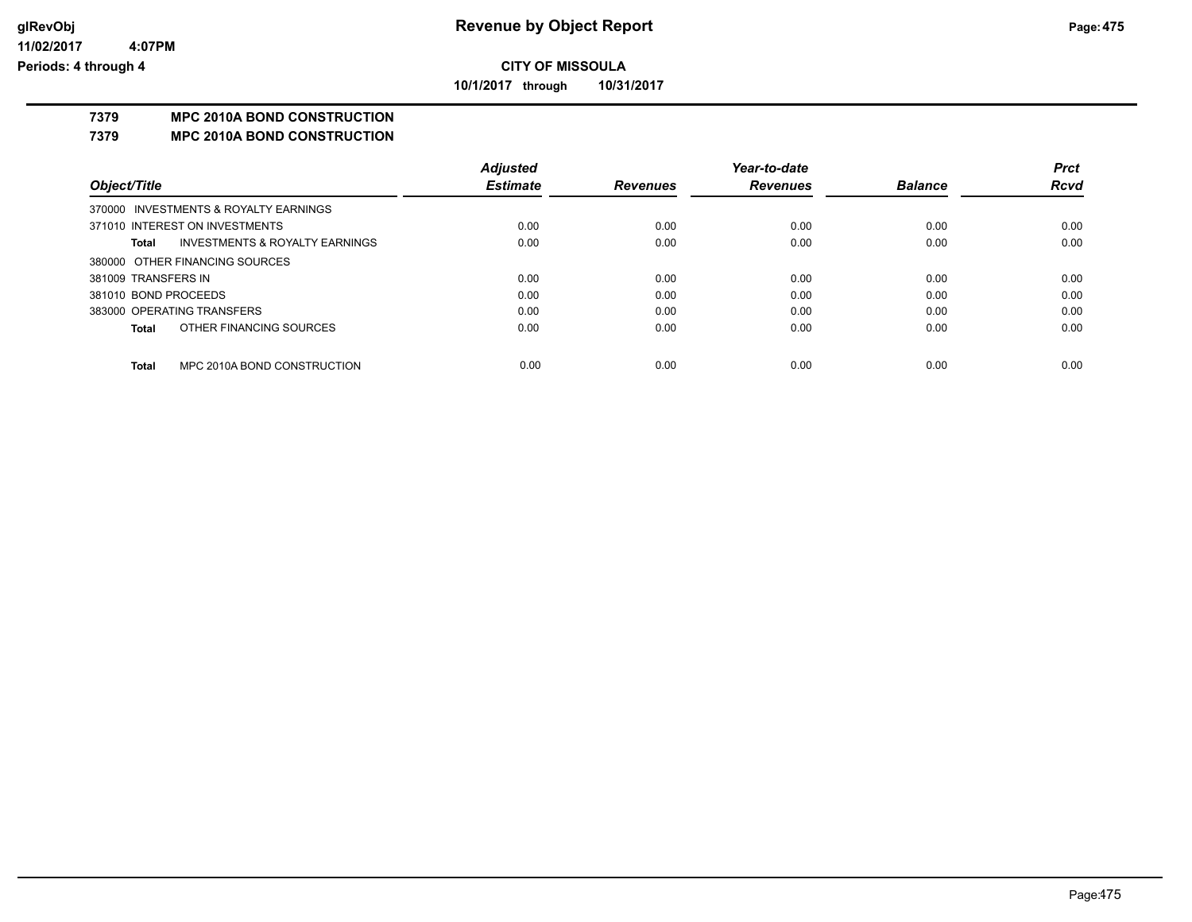**10/1/2017 through 10/31/2017**

# **7379 MPC 2010A BOND CONSTRUCTION**

#### **7379 MPC 2010A BOND CONSTRUCTION**

|                                                    | <b>Adjusted</b> |                 | Year-to-date    |                | <b>Prct</b> |
|----------------------------------------------------|-----------------|-----------------|-----------------|----------------|-------------|
| Object/Title                                       | <b>Estimate</b> | <b>Revenues</b> | <b>Revenues</b> | <b>Balance</b> | <b>Rcvd</b> |
| 370000 INVESTMENTS & ROYALTY EARNINGS              |                 |                 |                 |                |             |
| 371010 INTEREST ON INVESTMENTS                     | 0.00            | 0.00            | 0.00            | 0.00           | 0.00        |
| <b>INVESTMENTS &amp; ROYALTY EARNINGS</b><br>Total | 0.00            | 0.00            | 0.00            | 0.00           | 0.00        |
| 380000 OTHER FINANCING SOURCES                     |                 |                 |                 |                |             |
| 381009 TRANSFERS IN                                | 0.00            | 0.00            | 0.00            | 0.00           | 0.00        |
| 381010 BOND PROCEEDS                               | 0.00            | 0.00            | 0.00            | 0.00           | 0.00        |
| 383000 OPERATING TRANSFERS                         | 0.00            | 0.00            | 0.00            | 0.00           | 0.00        |
| OTHER FINANCING SOURCES<br>Total                   | 0.00            | 0.00            | 0.00            | 0.00           | 0.00        |
| MPC 2010A BOND CONSTRUCTION<br>Total               | 0.00            | 0.00            | 0.00            | 0.00           | 0.00        |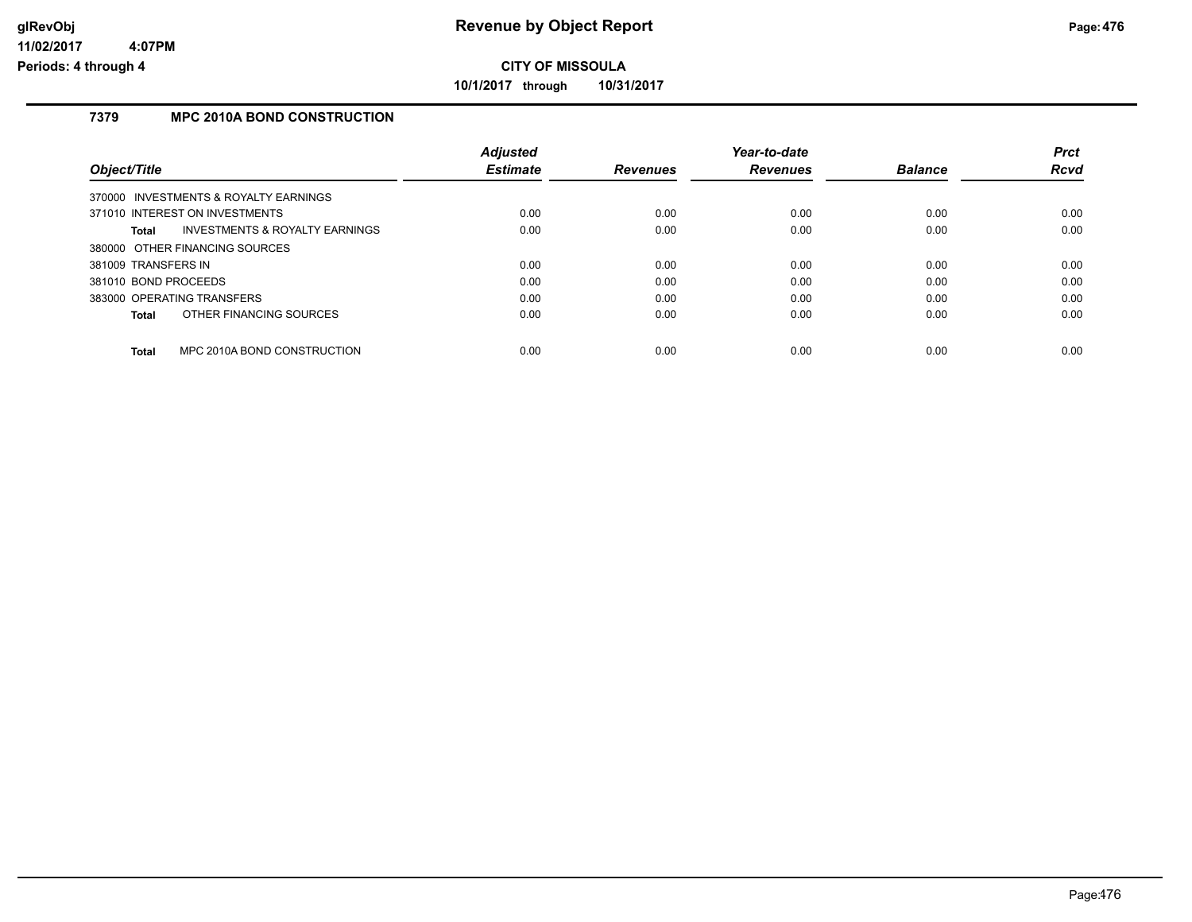**10/1/2017 through 10/31/2017**

# **7379 MPC 2010A BOND CONSTRUCTION**

|                                             | <b>Adjusted</b> |                 | Year-to-date    |                | <b>Prct</b> |
|---------------------------------------------|-----------------|-----------------|-----------------|----------------|-------------|
| Object/Title                                | <b>Estimate</b> | <b>Revenues</b> | <b>Revenues</b> | <b>Balance</b> | <b>Rcvd</b> |
| 370000 INVESTMENTS & ROYALTY EARNINGS       |                 |                 |                 |                |             |
| 371010 INTEREST ON INVESTMENTS              | 0.00            | 0.00            | 0.00            | 0.00           | 0.00        |
| INVESTMENTS & ROYALTY EARNINGS<br>Total     | 0.00            | 0.00            | 0.00            | 0.00           | 0.00        |
| 380000 OTHER FINANCING SOURCES              |                 |                 |                 |                |             |
| 381009 TRANSFERS IN                         | 0.00            | 0.00            | 0.00            | 0.00           | 0.00        |
| 381010 BOND PROCEEDS                        | 0.00            | 0.00            | 0.00            | 0.00           | 0.00        |
| 383000 OPERATING TRANSFERS                  | 0.00            | 0.00            | 0.00            | 0.00           | 0.00        |
| OTHER FINANCING SOURCES<br><b>Total</b>     | 0.00            | 0.00            | 0.00            | 0.00           | 0.00        |
| MPC 2010A BOND CONSTRUCTION<br><b>Total</b> | 0.00            | 0.00            | 0.00            | 0.00           | 0.00        |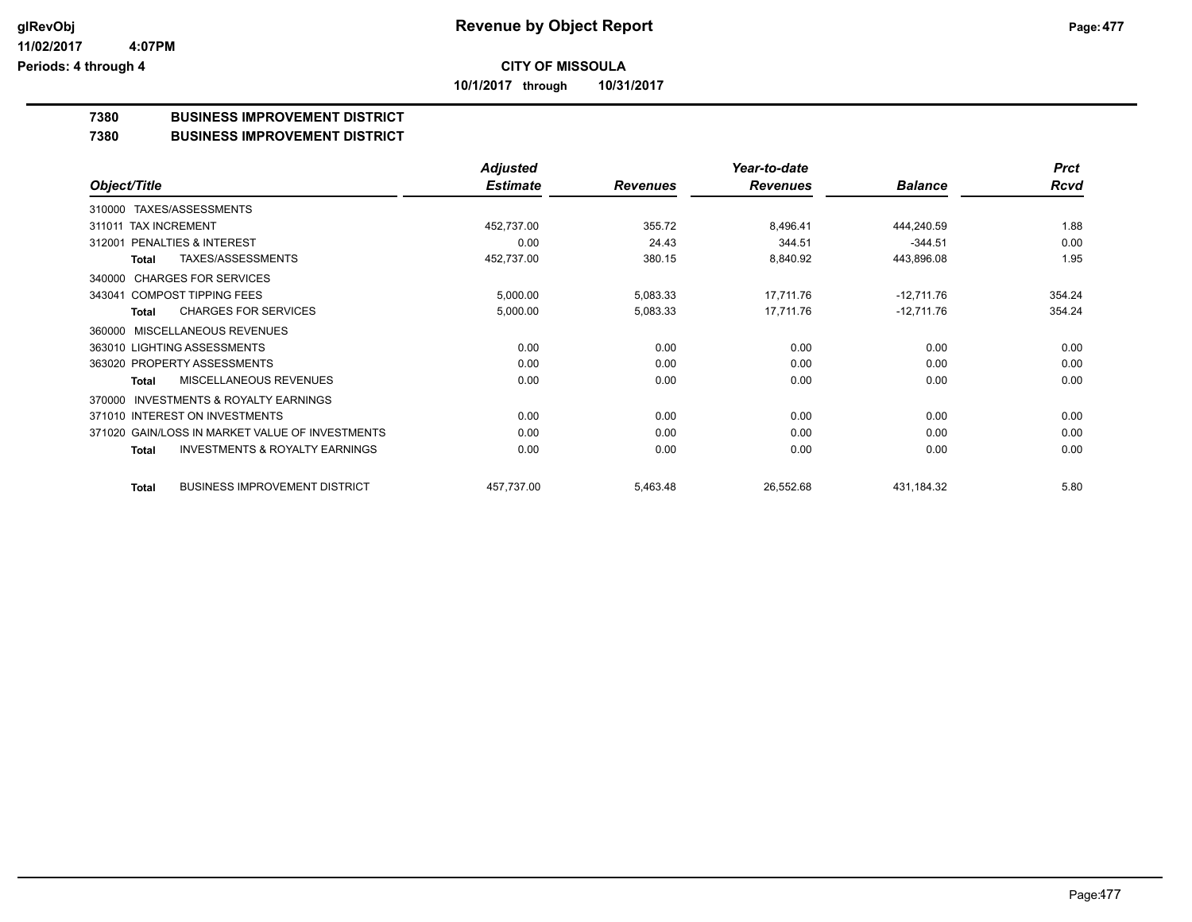**10/1/2017 through 10/31/2017**

# **7380 BUSINESS IMPROVEMENT DISTRICT**

#### **7380 BUSINESS IMPROVEMENT DISTRICT**

|                                                     | <b>Adjusted</b> |                 | Year-to-date    |                | <b>Prct</b> |
|-----------------------------------------------------|-----------------|-----------------|-----------------|----------------|-------------|
| Object/Title                                        | <b>Estimate</b> | <b>Revenues</b> | <b>Revenues</b> | <b>Balance</b> | <b>Rcvd</b> |
| TAXES/ASSESSMENTS<br>310000                         |                 |                 |                 |                |             |
| <b>TAX INCREMENT</b><br>311011                      | 452,737.00      | 355.72          | 8,496.41        | 444,240.59     | 1.88        |
| PENALTIES & INTEREST<br>312001                      | 0.00            | 24.43           | 344.51          | $-344.51$      | 0.00        |
| TAXES/ASSESSMENTS<br>Total                          | 452,737.00      | 380.15          | 8,840.92        | 443,896.08     | 1.95        |
| <b>CHARGES FOR SERVICES</b><br>340000               |                 |                 |                 |                |             |
| <b>COMPOST TIPPING FEES</b><br>343041               | 5,000.00        | 5,083.33        | 17,711.76       | $-12,711.76$   | 354.24      |
| <b>CHARGES FOR SERVICES</b><br><b>Total</b>         | 5,000.00        | 5,083.33        | 17,711.76       | $-12,711.76$   | 354.24      |
| MISCELLANEOUS REVENUES<br>360000                    |                 |                 |                 |                |             |
| 363010 LIGHTING ASSESSMENTS                         | 0.00            | 0.00            | 0.00            | 0.00           | 0.00        |
| 363020 PROPERTY ASSESSMENTS                         | 0.00            | 0.00            | 0.00            | 0.00           | 0.00        |
| <b>MISCELLANEOUS REVENUES</b><br>Total              | 0.00            | 0.00            | 0.00            | 0.00           | 0.00        |
| <b>INVESTMENTS &amp; ROYALTY EARNINGS</b><br>370000 |                 |                 |                 |                |             |
| 371010 INTEREST ON INVESTMENTS                      | 0.00            | 0.00            | 0.00            | 0.00           | 0.00        |
| 371020 GAIN/LOSS IN MARKET VALUE OF INVESTMENTS     | 0.00            | 0.00            | 0.00            | 0.00           | 0.00        |
| <b>INVESTMENTS &amp; ROYALTY EARNINGS</b><br>Total  | 0.00            | 0.00            | 0.00            | 0.00           | 0.00        |
| <b>BUSINESS IMPROVEMENT DISTRICT</b><br>Total       | 457,737.00      | 5,463.48        | 26,552.68       | 431,184.32     | 5.80        |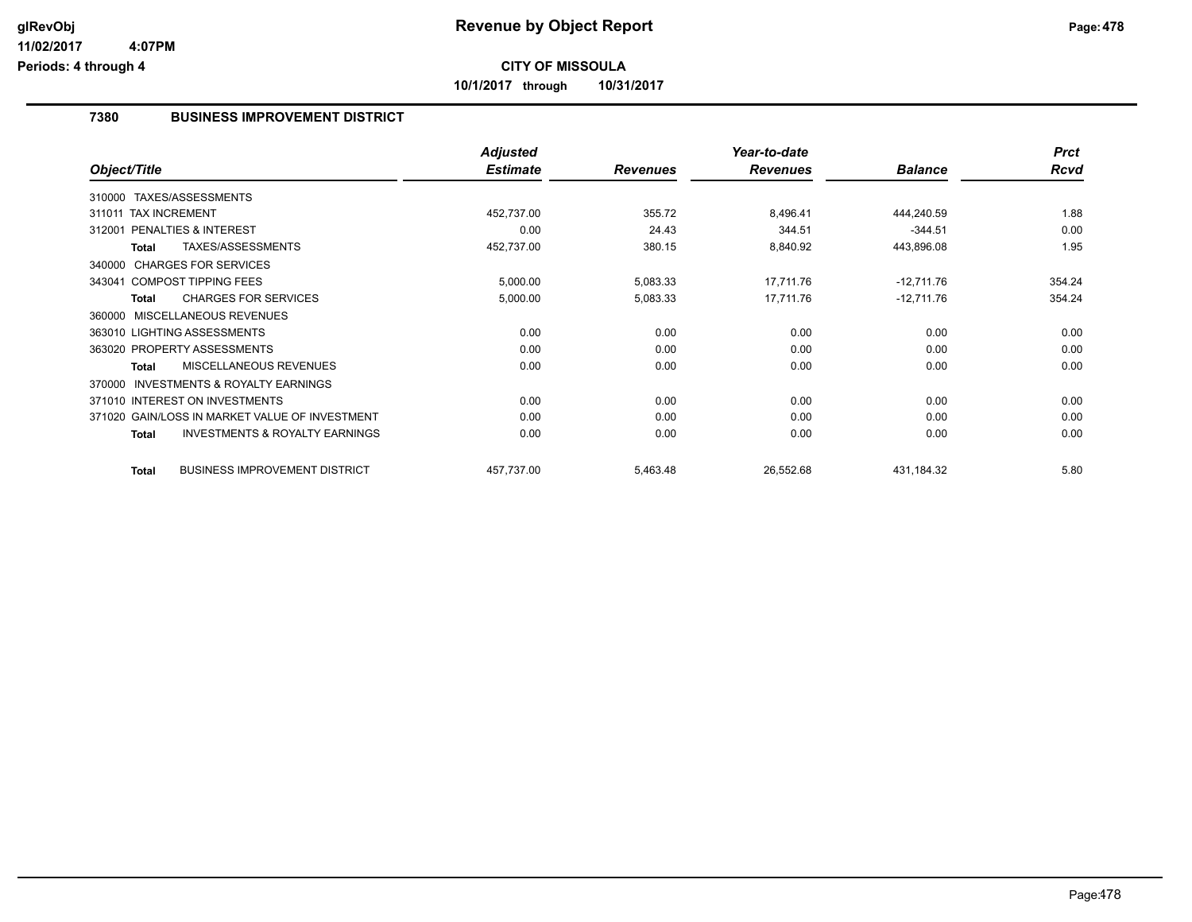**10/1/2017 through 10/31/2017**

# **7380 BUSINESS IMPROVEMENT DISTRICT**

|                                                           | <b>Adjusted</b> |                 | Year-to-date    |                | <b>Prct</b> |
|-----------------------------------------------------------|-----------------|-----------------|-----------------|----------------|-------------|
| Object/Title                                              | <b>Estimate</b> | <b>Revenues</b> | <b>Revenues</b> | <b>Balance</b> | <b>Rcvd</b> |
| TAXES/ASSESSMENTS<br>310000                               |                 |                 |                 |                |             |
| 311011 TAX INCREMENT                                      | 452,737.00      | 355.72          | 8,496.41        | 444,240.59     | 1.88        |
| 312001 PENALTIES & INTEREST                               | 0.00            | 24.43           | 344.51          | $-344.51$      | 0.00        |
| TAXES/ASSESSMENTS<br>Total                                | 452,737.00      | 380.15          | 8,840.92        | 443,896.08     | 1.95        |
| 340000 CHARGES FOR SERVICES                               |                 |                 |                 |                |             |
| 343041 COMPOST TIPPING FEES                               | 5,000.00        | 5,083.33        | 17,711.76       | $-12,711.76$   | 354.24      |
| <b>CHARGES FOR SERVICES</b><br><b>Total</b>               | 5,000.00        | 5,083.33        | 17,711.76       | $-12,711.76$   | 354.24      |
| MISCELLANEOUS REVENUES<br>360000                          |                 |                 |                 |                |             |
| 363010 LIGHTING ASSESSMENTS                               | 0.00            | 0.00            | 0.00            | 0.00           | 0.00        |
| 363020 PROPERTY ASSESSMENTS                               | 0.00            | 0.00            | 0.00            | 0.00           | 0.00        |
| <b>MISCELLANEOUS REVENUES</b><br><b>Total</b>             | 0.00            | 0.00            | 0.00            | 0.00           | 0.00        |
| <b>INVESTMENTS &amp; ROYALTY EARNINGS</b><br>370000       |                 |                 |                 |                |             |
| 371010 INTEREST ON INVESTMENTS                            | 0.00            | 0.00            | 0.00            | 0.00           | 0.00        |
| 371020 GAIN/LOSS IN MARKET VALUE OF INVESTMENT            | 0.00            | 0.00            | 0.00            | 0.00           | 0.00        |
| <b>INVESTMENTS &amp; ROYALTY EARNINGS</b><br><b>Total</b> | 0.00            | 0.00            | 0.00            | 0.00           | 0.00        |
| <b>BUSINESS IMPROVEMENT DISTRICT</b><br><b>Total</b>      | 457,737.00      | 5,463.48        | 26,552.68       | 431,184.32     | 5.80        |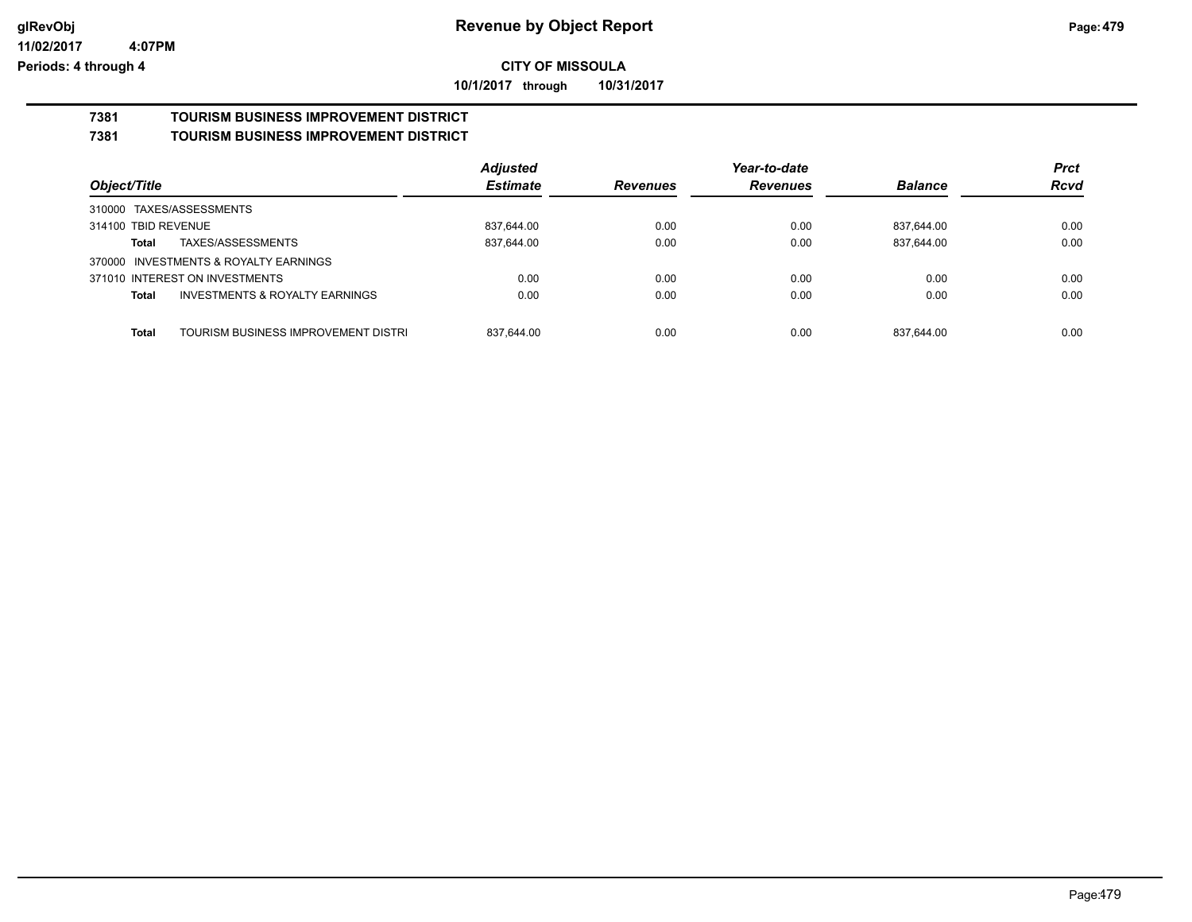**10/1/2017 through 10/31/2017**

# **7381 TOURISM BUSINESS IMPROVEMENT DISTRICT**

# **7381 TOURISM BUSINESS IMPROVEMENT DISTRICT**

|                                                     | <b>Adjusted</b> |                 | Year-to-date    |                | <b>Prct</b> |
|-----------------------------------------------------|-----------------|-----------------|-----------------|----------------|-------------|
| Object/Title                                        | <b>Estimate</b> | <b>Revenues</b> | <b>Revenues</b> | <b>Balance</b> | <b>Rcvd</b> |
| 310000 TAXES/ASSESSMENTS                            |                 |                 |                 |                |             |
| 314100 TBID REVENUE                                 | 837,644.00      | 0.00            | 0.00            | 837,644.00     | 0.00        |
| TAXES/ASSESSMENTS<br>Total                          | 837,644.00      | 0.00            | 0.00            | 837,644.00     | 0.00        |
| 370000 INVESTMENTS & ROYALTY EARNINGS               |                 |                 |                 |                |             |
| 371010 INTEREST ON INVESTMENTS                      | 0.00            | 0.00            | 0.00            | 0.00           | 0.00        |
| <b>INVESTMENTS &amp; ROYALTY EARNINGS</b><br>Total  | 0.00            | 0.00            | 0.00            | 0.00           | 0.00        |
|                                                     |                 |                 |                 |                |             |
| TOURISM BUSINESS IMPROVEMENT DISTRI<br><b>Total</b> | 837.644.00      | 0.00            | 0.00            | 837.644.00     | 0.00        |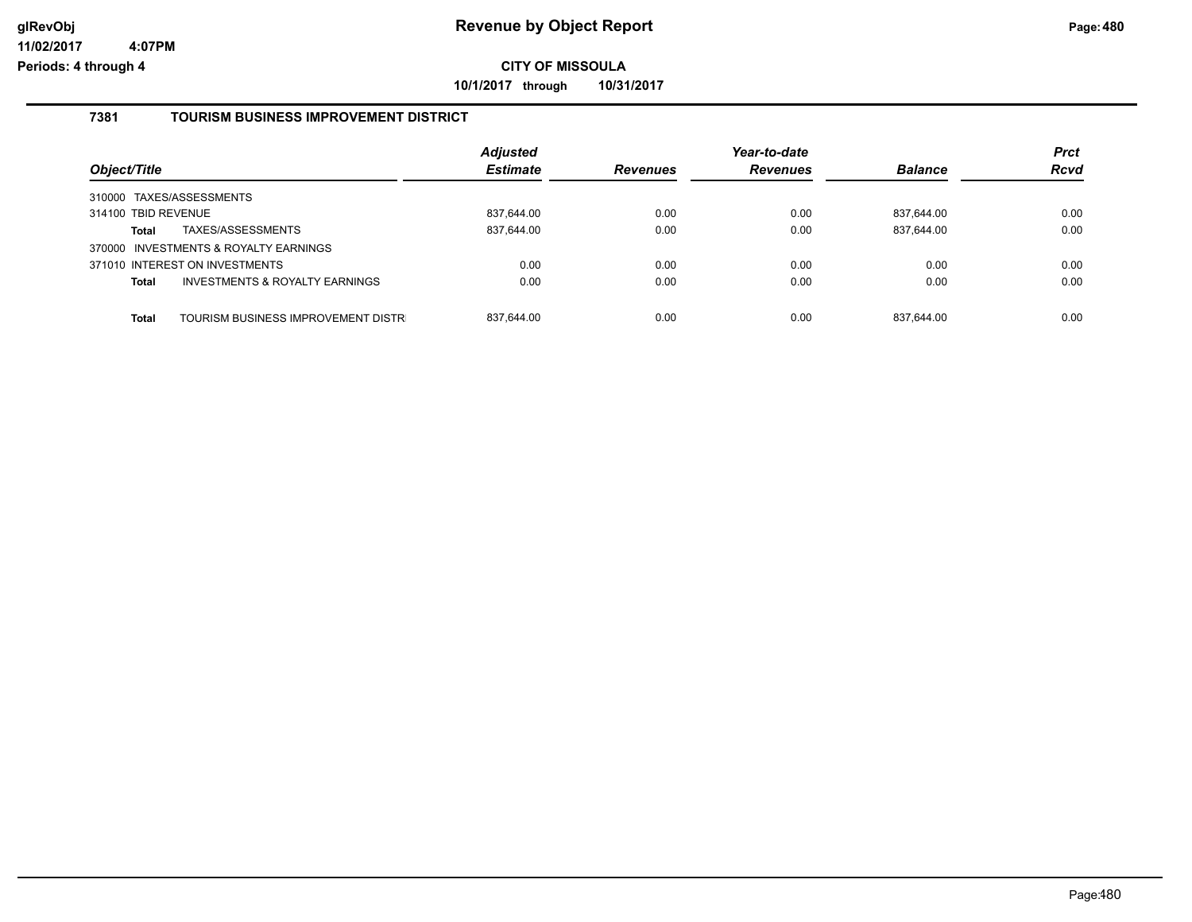**10/1/2017 through 10/31/2017**

#### **7381 TOURISM BUSINESS IMPROVEMENT DISTRICT**

| Object/Title                                       | <b>Adjusted</b><br><b>Estimate</b> | <b>Revenues</b> | Year-to-date<br><b>Revenues</b> | <b>Balance</b> | <b>Prct</b><br><b>Rcvd</b> |
|----------------------------------------------------|------------------------------------|-----------------|---------------------------------|----------------|----------------------------|
| 310000 TAXES/ASSESSMENTS                           |                                    |                 |                                 |                |                            |
| 314100 TBID REVENUE                                | 837,644.00                         | 0.00            | 0.00                            | 837.644.00     | 0.00                       |
| TAXES/ASSESSMENTS<br><b>Total</b>                  | 837,644.00                         | 0.00            | 0.00                            | 837,644.00     | 0.00                       |
| 370000 INVESTMENTS & ROYALTY EARNINGS              |                                    |                 |                                 |                |                            |
| 371010 INTEREST ON INVESTMENTS                     | 0.00                               | 0.00            | 0.00                            | 0.00           | 0.00                       |
| INVESTMENTS & ROYALTY EARNINGS<br><b>Total</b>     | 0.00                               | 0.00            | 0.00                            | 0.00           | 0.00                       |
|                                                    |                                    |                 |                                 |                |                            |
| TOURISM BUSINESS IMPROVEMENT DISTR<br><b>Total</b> | 837.644.00                         | 0.00            | 0.00                            | 837.644.00     | 0.00                       |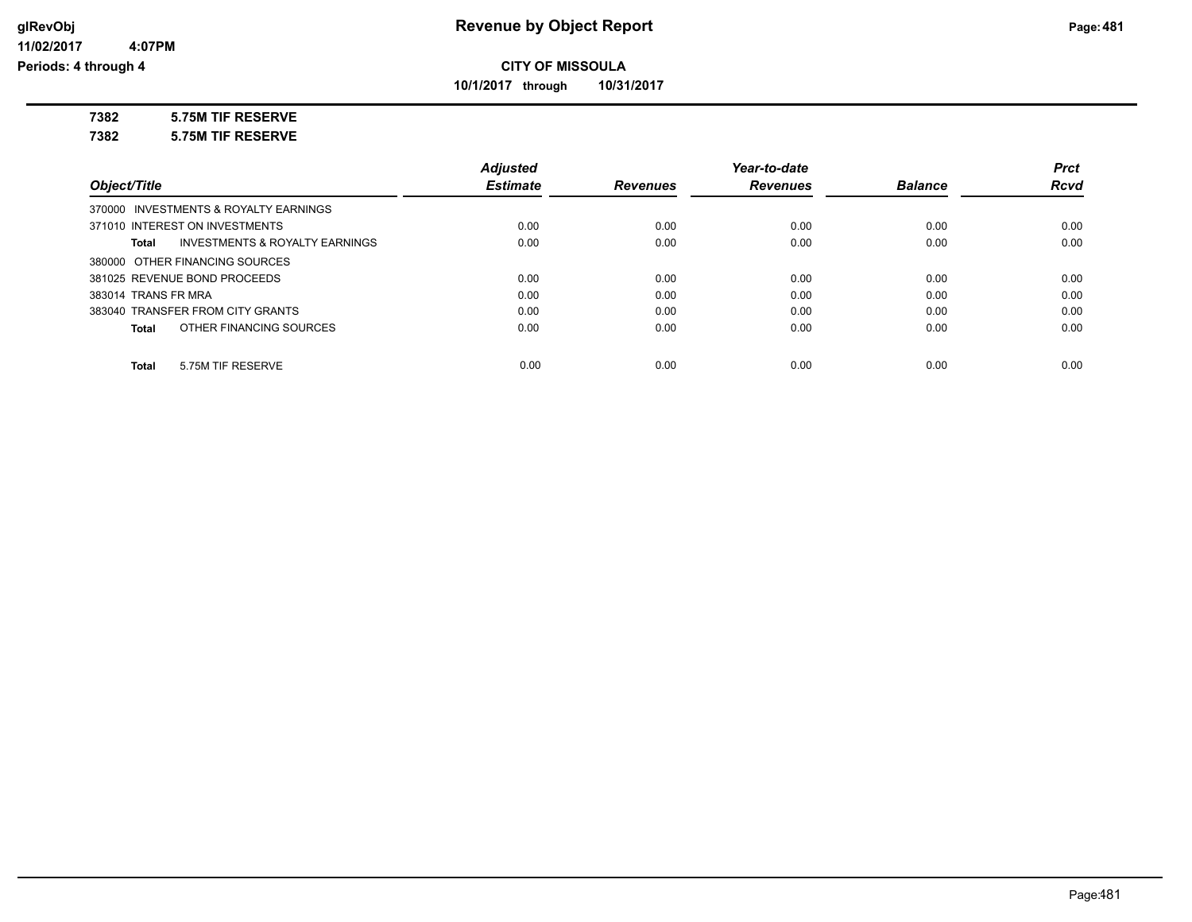**10/1/2017 through 10/31/2017**

**7382 5.75M TIF RESERVE**

**7382 5.75M TIF RESERVE**

|                                                    | <b>Adjusted</b> |                 | Year-to-date    |                | <b>Prct</b> |
|----------------------------------------------------|-----------------|-----------------|-----------------|----------------|-------------|
| Object/Title                                       | <b>Estimate</b> | <b>Revenues</b> | <b>Revenues</b> | <b>Balance</b> | <b>Rcvd</b> |
| 370000 INVESTMENTS & ROYALTY EARNINGS              |                 |                 |                 |                |             |
| 371010 INTEREST ON INVESTMENTS                     | 0.00            | 0.00            | 0.00            | 0.00           | 0.00        |
| <b>INVESTMENTS &amp; ROYALTY EARNINGS</b><br>Total | 0.00            | 0.00            | 0.00            | 0.00           | 0.00        |
| 380000 OTHER FINANCING SOURCES                     |                 |                 |                 |                |             |
| 381025 REVENUE BOND PROCEEDS                       | 0.00            | 0.00            | 0.00            | 0.00           | 0.00        |
| 383014 TRANS FR MRA                                | 0.00            | 0.00            | 0.00            | 0.00           | 0.00        |
| 383040 TRANSFER FROM CITY GRANTS                   | 0.00            | 0.00            | 0.00            | 0.00           | 0.00        |
| OTHER FINANCING SOURCES<br>Total                   | 0.00            | 0.00            | 0.00            | 0.00           | 0.00        |
| 5.75M TIF RESERVE<br><b>Total</b>                  | 0.00            | 0.00            | 0.00            | 0.00           | 0.00        |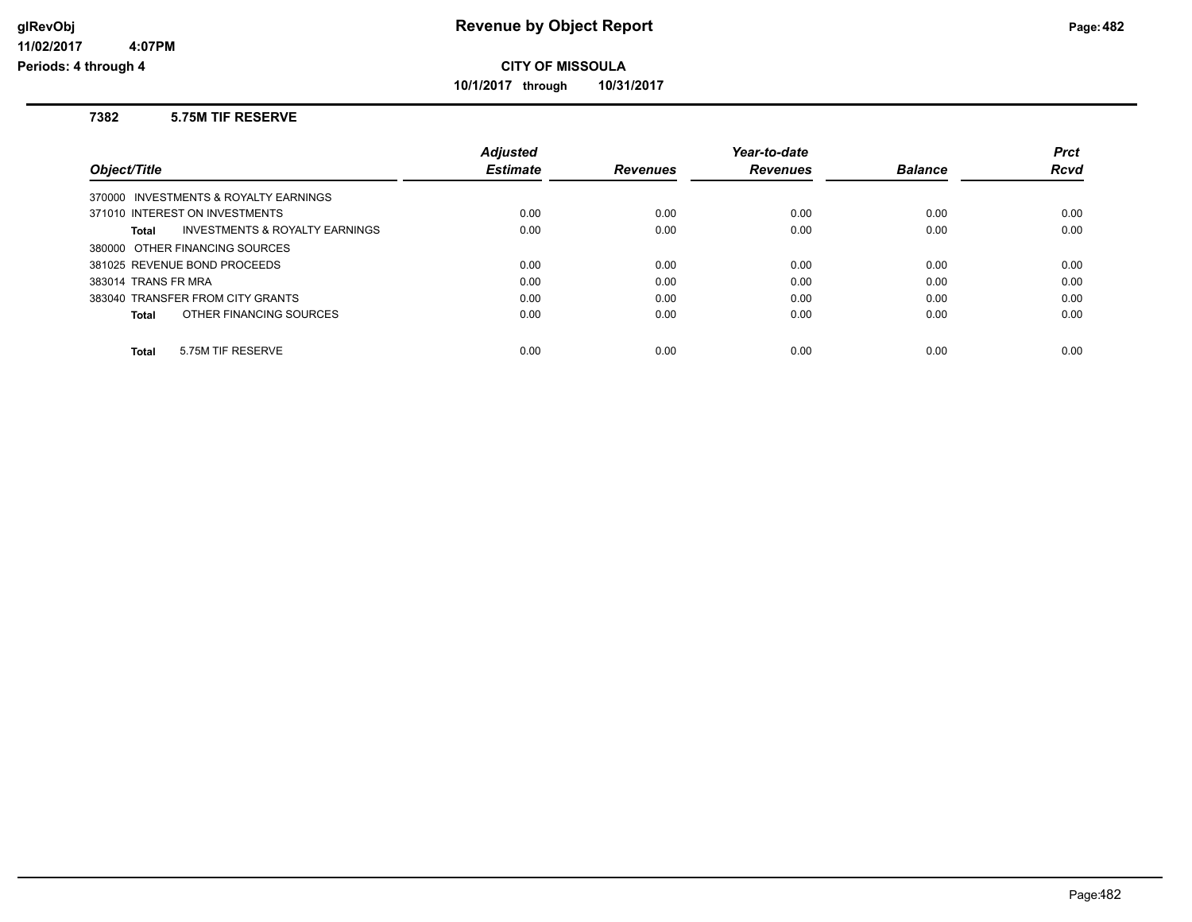**10/1/2017 through 10/31/2017**

#### **7382 5.75M TIF RESERVE**

|                                                           | <b>Adiusted</b> |                 | Year-to-date    |                | <b>Prct</b> |
|-----------------------------------------------------------|-----------------|-----------------|-----------------|----------------|-------------|
| Obiect/Title                                              | <b>Estimate</b> | <b>Revenues</b> | <b>Revenues</b> | <b>Balance</b> | <b>Rcvd</b> |
| 370000 INVESTMENTS & ROYALTY EARNINGS                     |                 |                 |                 |                |             |
| 371010 INTEREST ON INVESTMENTS                            | 0.00            | 0.00            | 0.00            | 0.00           | 0.00        |
| <b>INVESTMENTS &amp; ROYALTY EARNINGS</b><br><b>Total</b> | 0.00            | 0.00            | 0.00            | 0.00           | 0.00        |
| 380000 OTHER FINANCING SOURCES                            |                 |                 |                 |                |             |
| 381025 REVENUE BOND PROCEEDS                              | 0.00            | 0.00            | 0.00            | 0.00           | 0.00        |
| 383014 TRANS FR MRA                                       | 0.00            | 0.00            | 0.00            | 0.00           | 0.00        |
| 383040 TRANSFER FROM CITY GRANTS                          | 0.00            | 0.00            | 0.00            | 0.00           | 0.00        |
| OTHER FINANCING SOURCES<br><b>Total</b>                   | 0.00            | 0.00            | 0.00            | 0.00           | 0.00        |
|                                                           |                 |                 |                 |                |             |
| 5.75M TIF RESERVE<br><b>Total</b>                         | 0.00            | 0.00            | 0.00            | 0.00           | 0.00        |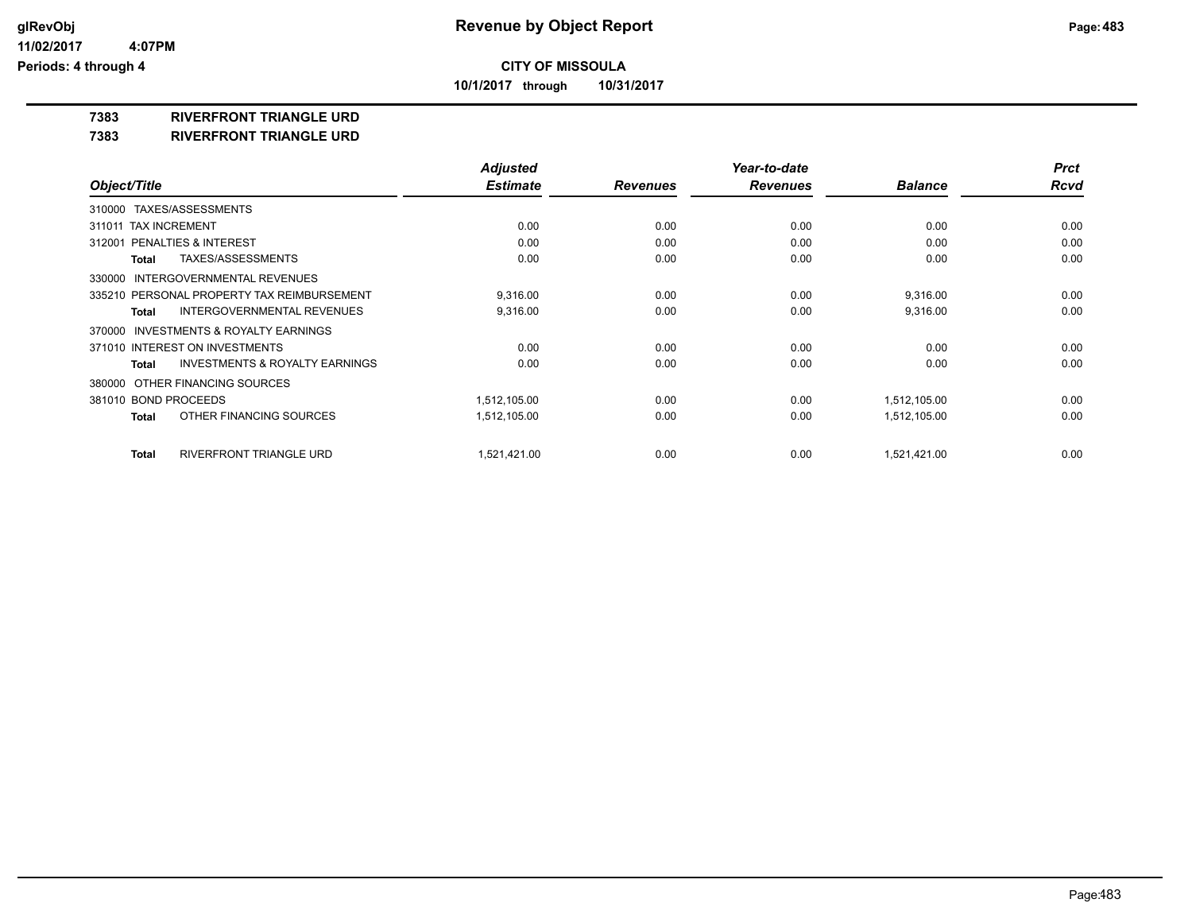**10/1/2017 through 10/31/2017**

#### **7383 RIVERFRONT TRIANGLE URD**

**7383 RIVERFRONT TRIANGLE URD**

| <b>Adjusted</b> |                 | Year-to-date    |                | <b>Prct</b>  |
|-----------------|-----------------|-----------------|----------------|--------------|
| <b>Estimate</b> | <b>Revenues</b> | <b>Revenues</b> | <b>Balance</b> | Rcvd         |
|                 |                 |                 |                |              |
| 0.00            | 0.00            | 0.00            | 0.00           | 0.00         |
| 0.00            | 0.00            | 0.00            | 0.00           | 0.00         |
| 0.00            | 0.00            | 0.00            | 0.00           | 0.00         |
|                 |                 |                 |                |              |
| 9,316.00        | 0.00            | 0.00            | 9,316.00       | 0.00         |
| 9,316.00        | 0.00            | 0.00            | 9,316.00       | 0.00         |
|                 |                 |                 |                |              |
| 0.00            | 0.00            | 0.00            | 0.00           | 0.00         |
| 0.00            | 0.00            | 0.00            | 0.00           | 0.00         |
|                 |                 |                 |                |              |
| 1,512,105.00    | 0.00            | 0.00            | 1,512,105.00   | 0.00         |
| 1,512,105.00    | 0.00            | 0.00            | 1,512,105.00   | 0.00         |
|                 |                 |                 |                | 0.00         |
|                 | 1,521,421.00    | 0.00            | 0.00           | 1,521,421.00 |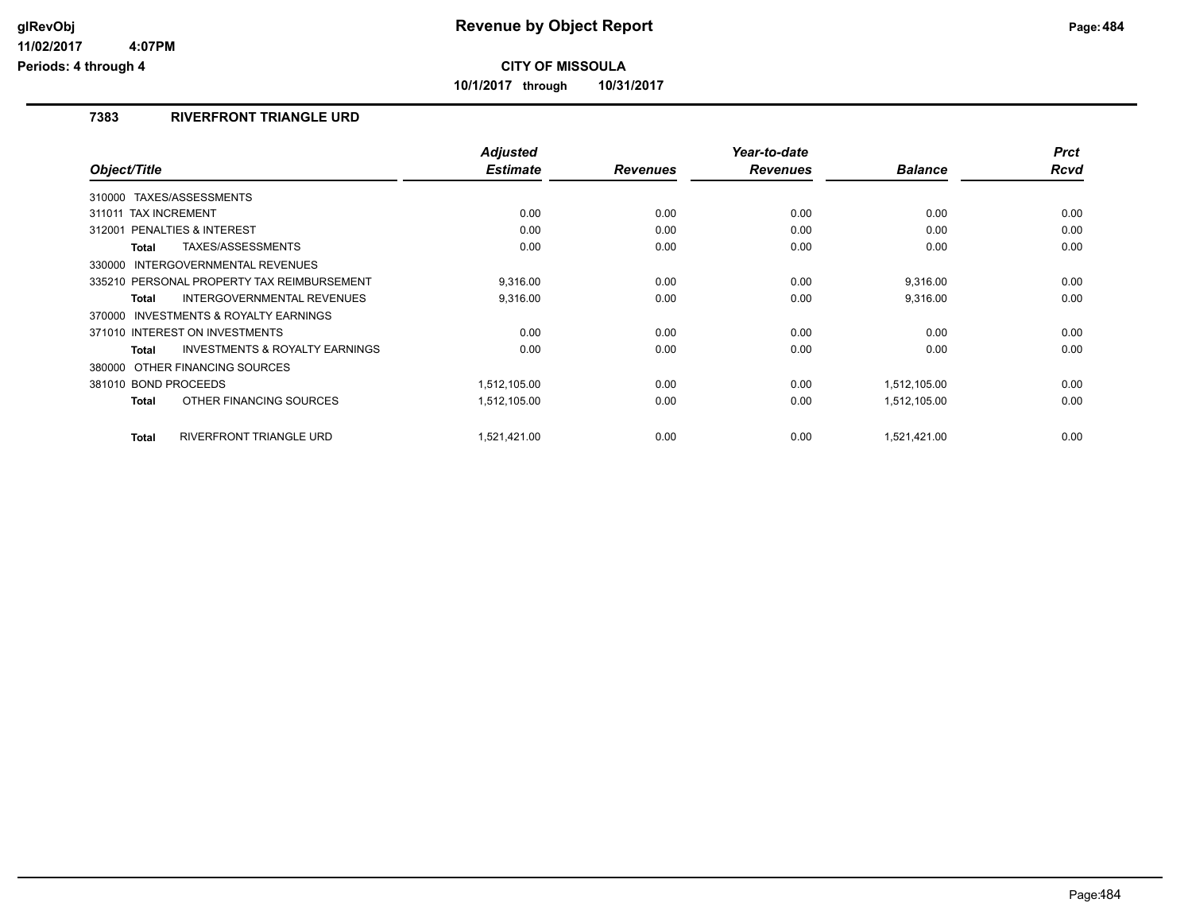**10/1/2017 through 10/31/2017**

# **7383 RIVERFRONT TRIANGLE URD**

|                                                           | <b>Adjusted</b> |                 | Year-to-date    |                | <b>Prct</b> |
|-----------------------------------------------------------|-----------------|-----------------|-----------------|----------------|-------------|
| Object/Title                                              | <b>Estimate</b> | <b>Revenues</b> | <b>Revenues</b> | <b>Balance</b> | <b>Rcvd</b> |
| TAXES/ASSESSMENTS<br>310000                               |                 |                 |                 |                |             |
| 311011 TAX INCREMENT                                      | 0.00            | 0.00            | 0.00            | 0.00           | 0.00        |
| 312001 PENALTIES & INTEREST                               | 0.00            | 0.00            | 0.00            | 0.00           | 0.00        |
| TAXES/ASSESSMENTS<br><b>Total</b>                         | 0.00            | 0.00            | 0.00            | 0.00           | 0.00        |
| <b>INTERGOVERNMENTAL REVENUES</b><br>330000               |                 |                 |                 |                |             |
| 335210 PERSONAL PROPERTY TAX REIMBURSEMENT                | 9.316.00        | 0.00            | 0.00            | 9,316.00       | 0.00        |
| <b>INTERGOVERNMENTAL REVENUES</b><br><b>Total</b>         | 9,316.00        | 0.00            | 0.00            | 9,316.00       | 0.00        |
| 370000 INVESTMENTS & ROYALTY EARNINGS                     |                 |                 |                 |                |             |
| 371010 INTEREST ON INVESTMENTS                            | 0.00            | 0.00            | 0.00            | 0.00           | 0.00        |
| <b>INVESTMENTS &amp; ROYALTY EARNINGS</b><br><b>Total</b> | 0.00            | 0.00            | 0.00            | 0.00           | 0.00        |
| 380000 OTHER FINANCING SOURCES                            |                 |                 |                 |                |             |
| 381010 BOND PROCEEDS                                      | 1,512,105.00    | 0.00            | 0.00            | 1,512,105.00   | 0.00        |
| OTHER FINANCING SOURCES<br><b>Total</b>                   | 1,512,105.00    | 0.00            | 0.00            | 1,512,105.00   | 0.00        |
| <b>RIVERFRONT TRIANGLE URD</b><br><b>Total</b>            | 1,521,421.00    | 0.00            | 0.00            | 1,521,421.00   | 0.00        |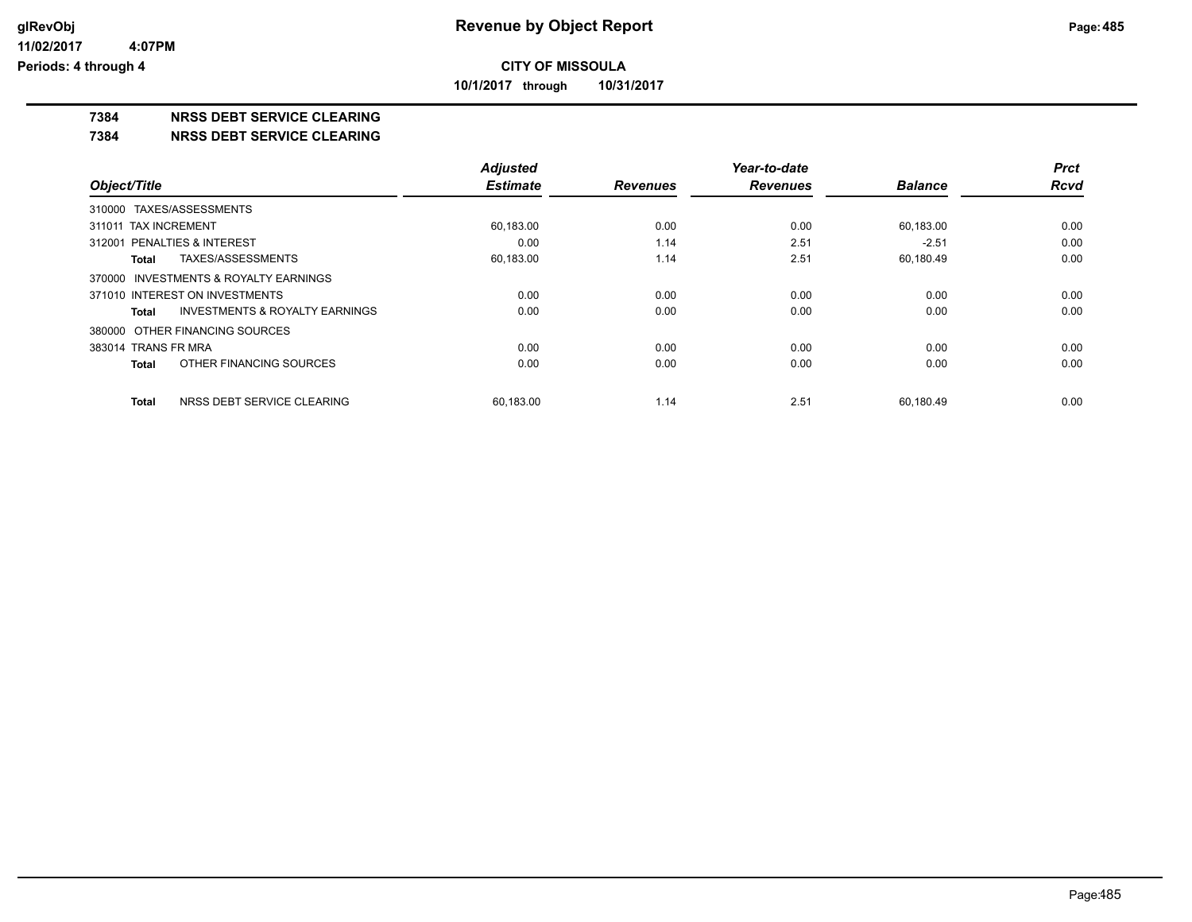**10/1/2017 through 10/31/2017**

# **7384 NRSS DEBT SERVICE CLEARING**

**7384 NRSS DEBT SERVICE CLEARING**

|                                                    | <b>Adjusted</b> |                 | Year-to-date    |                | <b>Prct</b> |
|----------------------------------------------------|-----------------|-----------------|-----------------|----------------|-------------|
| Object/Title                                       | <b>Estimate</b> | <b>Revenues</b> | <b>Revenues</b> | <b>Balance</b> | <b>Rcvd</b> |
| 310000 TAXES/ASSESSMENTS                           |                 |                 |                 |                |             |
| 311011 TAX INCREMENT                               | 60,183.00       | 0.00            | 0.00            | 60,183.00      | 0.00        |
| 312001 PENALTIES & INTEREST                        | 0.00            | 1.14            | 2.51            | $-2.51$        | 0.00        |
| TAXES/ASSESSMENTS<br>Total                         | 60,183.00       | 1.14            | 2.51            | 60,180.49      | 0.00        |
| 370000 INVESTMENTS & ROYALTY EARNINGS              |                 |                 |                 |                |             |
| 371010 INTEREST ON INVESTMENTS                     | 0.00            | 0.00            | 0.00            | 0.00           | 0.00        |
| <b>INVESTMENTS &amp; ROYALTY EARNINGS</b><br>Total | 0.00            | 0.00            | 0.00            | 0.00           | 0.00        |
| 380000 OTHER FINANCING SOURCES                     |                 |                 |                 |                |             |
| 383014 TRANS FR MRA                                | 0.00            | 0.00            | 0.00            | 0.00           | 0.00        |
| OTHER FINANCING SOURCES<br>Total                   | 0.00            | 0.00            | 0.00            | 0.00           | 0.00        |
| NRSS DEBT SERVICE CLEARING<br>Total                | 60,183.00       | 1.14            | 2.51            | 60.180.49      | 0.00        |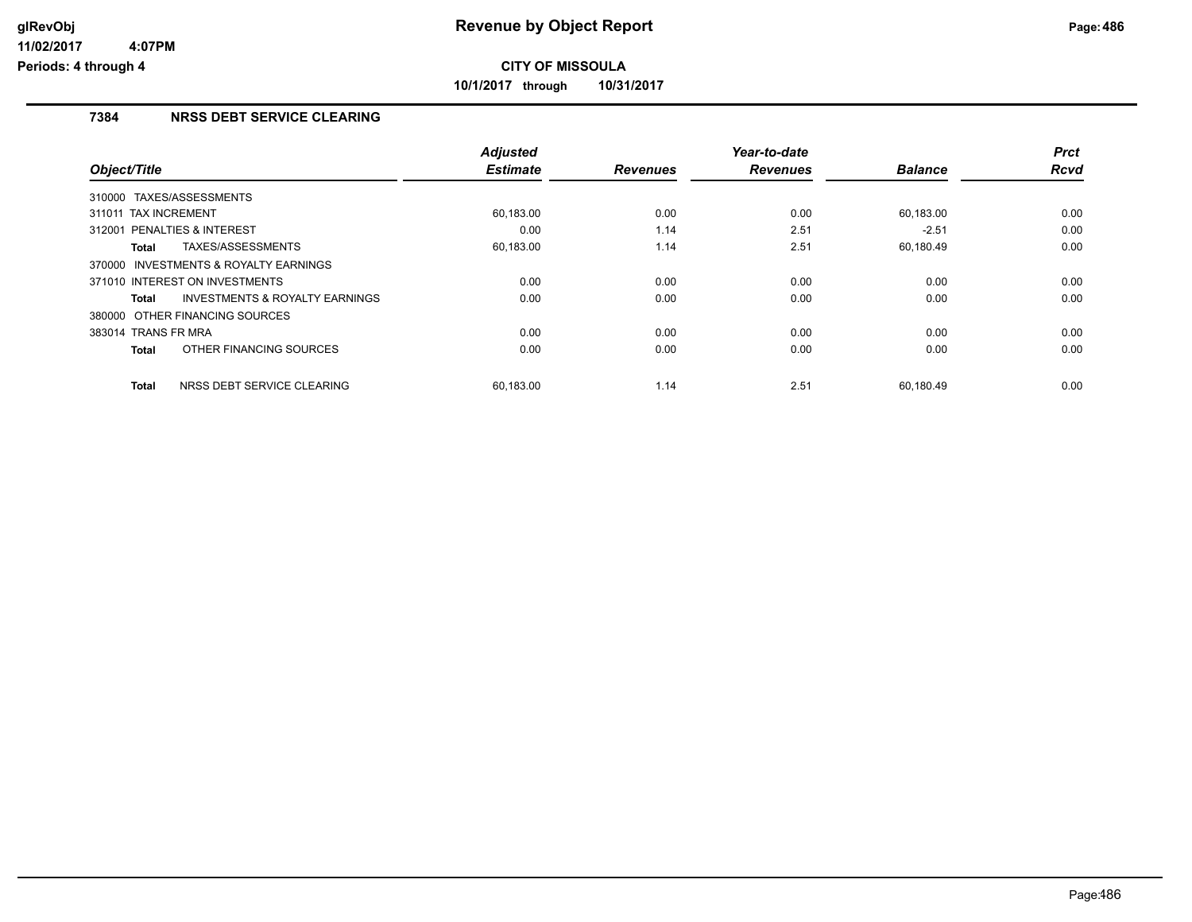**10/1/2017 through 10/31/2017**

# **7384 NRSS DEBT SERVICE CLEARING**

|                                                    | <b>Adjusted</b> |                 | Year-to-date    |                | <b>Prct</b> |
|----------------------------------------------------|-----------------|-----------------|-----------------|----------------|-------------|
| Object/Title                                       | <b>Estimate</b> | <b>Revenues</b> | <b>Revenues</b> | <b>Balance</b> | <b>Rcvd</b> |
| 310000 TAXES/ASSESSMENTS                           |                 |                 |                 |                |             |
| 311011 TAX INCREMENT                               | 60,183.00       | 0.00            | 0.00            | 60,183.00      | 0.00        |
| 312001 PENALTIES & INTEREST                        | 0.00            | 1.14            | 2.51            | $-2.51$        | 0.00        |
| TAXES/ASSESSMENTS<br>Total                         | 60,183.00       | 1.14            | 2.51            | 60,180.49      | 0.00        |
| 370000 INVESTMENTS & ROYALTY EARNINGS              |                 |                 |                 |                |             |
| 371010 INTEREST ON INVESTMENTS                     | 0.00            | 0.00            | 0.00            | 0.00           | 0.00        |
| <b>INVESTMENTS &amp; ROYALTY EARNINGS</b><br>Total | 0.00            | 0.00            | 0.00            | 0.00           | 0.00        |
| 380000 OTHER FINANCING SOURCES                     |                 |                 |                 |                |             |
| 383014 TRANS FR MRA                                | 0.00            | 0.00            | 0.00            | 0.00           | 0.00        |
| OTHER FINANCING SOURCES<br><b>Total</b>            | 0.00            | 0.00            | 0.00            | 0.00           | 0.00        |
| NRSS DEBT SERVICE CLEARING<br><b>Total</b>         | 60.183.00       | 1.14            | 2.51            | 60.180.49      | 0.00        |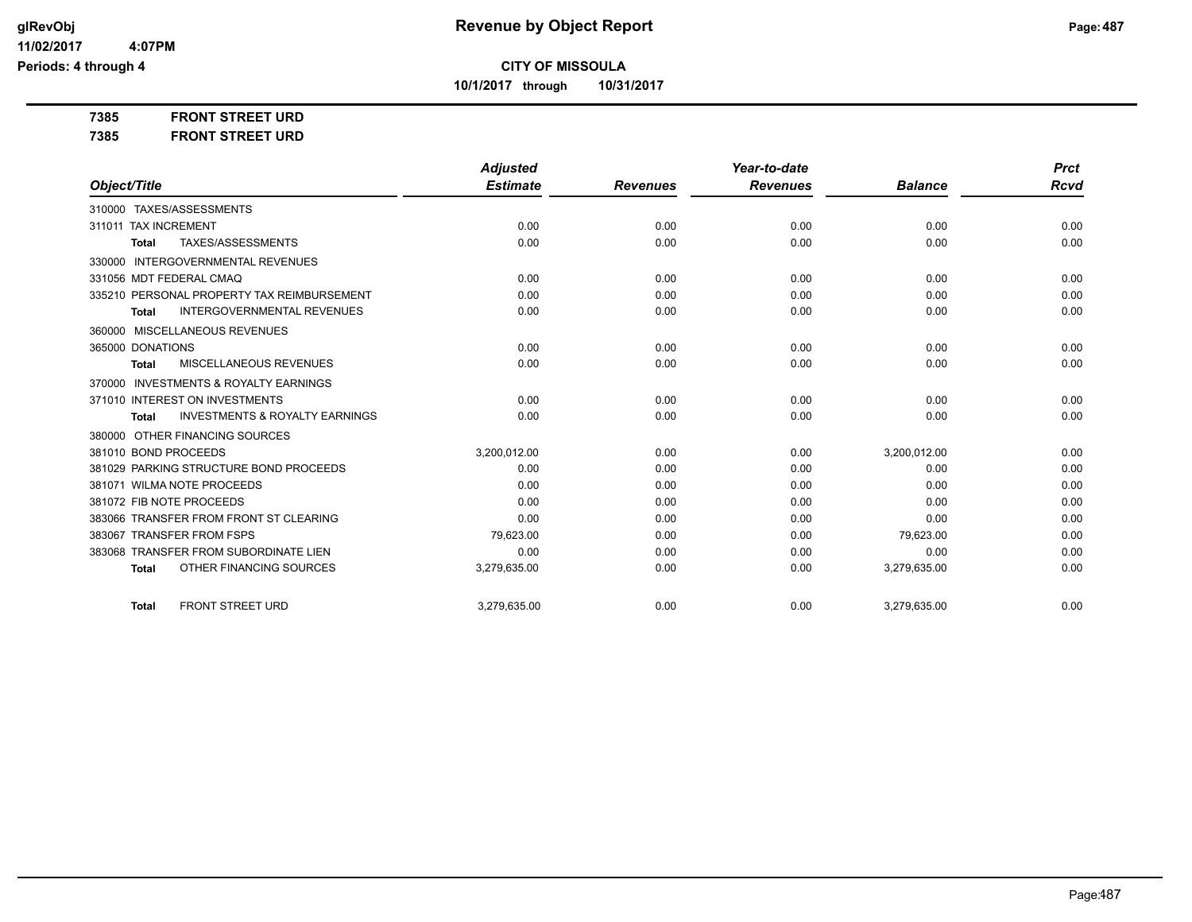**10/1/2017 through 10/31/2017**

**7385 FRONT STREET URD**

**7385 FRONT STREET URD**

|                                                           | <b>Adjusted</b> |                 | Year-to-date    |                | <b>Prct</b> |
|-----------------------------------------------------------|-----------------|-----------------|-----------------|----------------|-------------|
| Object/Title                                              | <b>Estimate</b> | <b>Revenues</b> | <b>Revenues</b> | <b>Balance</b> | <b>Rcvd</b> |
| 310000 TAXES/ASSESSMENTS                                  |                 |                 |                 |                |             |
| 311011 TAX INCREMENT                                      | 0.00            | 0.00            | 0.00            | 0.00           | 0.00        |
| TAXES/ASSESSMENTS<br><b>Total</b>                         | 0.00            | 0.00            | 0.00            | 0.00           | 0.00        |
| 330000 INTERGOVERNMENTAL REVENUES                         |                 |                 |                 |                |             |
| 331056 MDT FEDERAL CMAQ                                   | 0.00            | 0.00            | 0.00            | 0.00           | 0.00        |
| 335210 PERSONAL PROPERTY TAX REIMBURSEMENT                | 0.00            | 0.00            | 0.00            | 0.00           | 0.00        |
| <b>INTERGOVERNMENTAL REVENUES</b><br><b>Total</b>         | 0.00            | 0.00            | 0.00            | 0.00           | 0.00        |
| MISCELLANEOUS REVENUES<br>360000                          |                 |                 |                 |                |             |
| 365000 DONATIONS                                          | 0.00            | 0.00            | 0.00            | 0.00           | 0.00        |
| MISCELLANEOUS REVENUES<br><b>Total</b>                    | 0.00            | 0.00            | 0.00            | 0.00           | 0.00        |
| 370000 INVESTMENTS & ROYALTY EARNINGS                     |                 |                 |                 |                |             |
| 371010 INTEREST ON INVESTMENTS                            | 0.00            | 0.00            | 0.00            | 0.00           | 0.00        |
| <b>INVESTMENTS &amp; ROYALTY EARNINGS</b><br><b>Total</b> | 0.00            | 0.00            | 0.00            | 0.00           | 0.00        |
| 380000 OTHER FINANCING SOURCES                            |                 |                 |                 |                |             |
| 381010 BOND PROCEEDS                                      | 3,200,012.00    | 0.00            | 0.00            | 3,200,012.00   | 0.00        |
| 381029 PARKING STRUCTURE BOND PROCEEDS                    | 0.00            | 0.00            | 0.00            | 0.00           | 0.00        |
| 381071 WILMA NOTE PROCEEDS                                | 0.00            | 0.00            | 0.00            | 0.00           | 0.00        |
| 381072 FIB NOTE PROCEEDS                                  | 0.00            | 0.00            | 0.00            | 0.00           | 0.00        |
| 383066 TRANSFER FROM FRONT ST CLEARING                    | 0.00            | 0.00            | 0.00            | 0.00           | 0.00        |
| 383067 TRANSFER FROM FSPS                                 | 79,623.00       | 0.00            | 0.00            | 79,623.00      | 0.00        |
| 383068 TRANSFER FROM SUBORDINATE LIEN                     | 0.00            | 0.00            | 0.00            | 0.00           | 0.00        |
| OTHER FINANCING SOURCES<br><b>Total</b>                   | 3,279,635.00    | 0.00            | 0.00            | 3,279,635.00   | 0.00        |
|                                                           |                 |                 |                 |                |             |
| <b>FRONT STREET URD</b><br><b>Total</b>                   | 3,279,635.00    | 0.00            | 0.00            | 3,279,635.00   | 0.00        |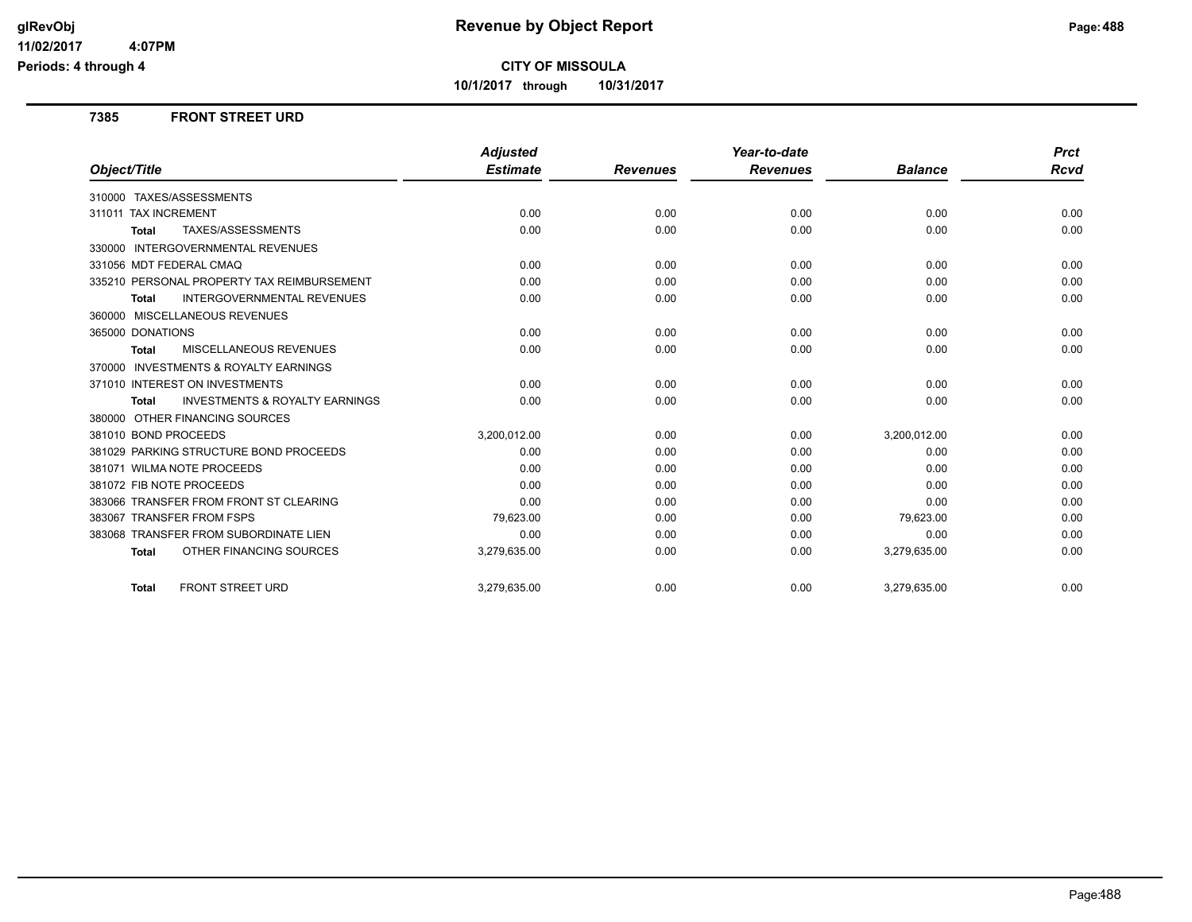**10/1/2017 through 10/31/2017**

#### **7385 FRONT STREET URD**

|                                                           | <b>Adjusted</b> |                 | Year-to-date    |                | <b>Prct</b> |
|-----------------------------------------------------------|-----------------|-----------------|-----------------|----------------|-------------|
| Object/Title                                              | <b>Estimate</b> | <b>Revenues</b> | <b>Revenues</b> | <b>Balance</b> | <b>Rcvd</b> |
| 310000 TAXES/ASSESSMENTS                                  |                 |                 |                 |                |             |
| 311011 TAX INCREMENT                                      | 0.00            | 0.00            | 0.00            | 0.00           | 0.00        |
| <b>TAXES/ASSESSMENTS</b><br><b>Total</b>                  | 0.00            | 0.00            | 0.00            | 0.00           | 0.00        |
| 330000 INTERGOVERNMENTAL REVENUES                         |                 |                 |                 |                |             |
| 331056 MDT FEDERAL CMAQ                                   | 0.00            | 0.00            | 0.00            | 0.00           | 0.00        |
| 335210 PERSONAL PROPERTY TAX REIMBURSEMENT                | 0.00            | 0.00            | 0.00            | 0.00           | 0.00        |
| <b>INTERGOVERNMENTAL REVENUES</b><br><b>Total</b>         | 0.00            | 0.00            | 0.00            | 0.00           | 0.00        |
| 360000 MISCELLANEOUS REVENUES                             |                 |                 |                 |                |             |
| 365000 DONATIONS                                          | 0.00            | 0.00            | 0.00            | 0.00           | 0.00        |
| MISCELLANEOUS REVENUES<br><b>Total</b>                    | 0.00            | 0.00            | 0.00            | 0.00           | 0.00        |
| 370000 INVESTMENTS & ROYALTY EARNINGS                     |                 |                 |                 |                |             |
| 371010 INTEREST ON INVESTMENTS                            | 0.00            | 0.00            | 0.00            | 0.00           | 0.00        |
| <b>INVESTMENTS &amp; ROYALTY EARNINGS</b><br><b>Total</b> | 0.00            | 0.00            | 0.00            | 0.00           | 0.00        |
| 380000 OTHER FINANCING SOURCES                            |                 |                 |                 |                |             |
| 381010 BOND PROCEEDS                                      | 3,200,012.00    | 0.00            | 0.00            | 3,200,012.00   | 0.00        |
| 381029 PARKING STRUCTURE BOND PROCEEDS                    | 0.00            | 0.00            | 0.00            | 0.00           | 0.00        |
| 381071 WILMA NOTE PROCEEDS                                | 0.00            | 0.00            | 0.00            | 0.00           | 0.00        |
| 381072 FIB NOTE PROCEEDS                                  | 0.00            | 0.00            | 0.00            | 0.00           | 0.00        |
| 383066 TRANSFER FROM FRONT ST CLEARING                    | 0.00            | 0.00            | 0.00            | 0.00           | 0.00        |
| 383067 TRANSFER FROM FSPS                                 | 79,623.00       | 0.00            | 0.00            | 79,623.00      | 0.00        |
| 383068 TRANSFER FROM SUBORDINATE LIEN                     | 0.00            | 0.00            | 0.00            | 0.00           | 0.00        |
| OTHER FINANCING SOURCES<br><b>Total</b>                   | 3,279,635.00    | 0.00            | 0.00            | 3,279,635.00   | 0.00        |
| <b>FRONT STREET URD</b><br><b>Total</b>                   | 3.279.635.00    | 0.00            | 0.00            | 3.279.635.00   | 0.00        |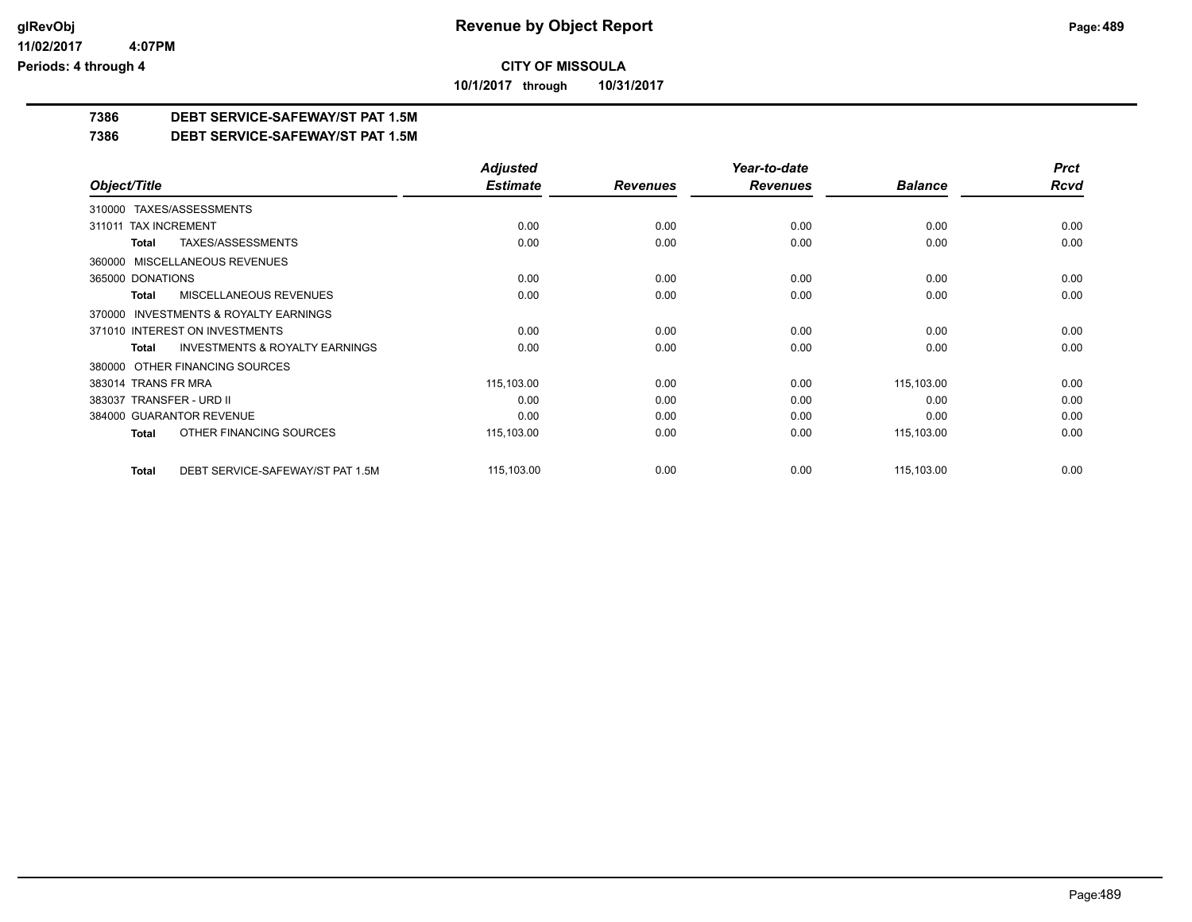**10/1/2017 through 10/31/2017**

# **7386 DEBT SERVICE-SAFEWAY/ST PAT 1.5M**

# **7386 DEBT SERVICE-SAFEWAY/ST PAT 1.5M**

|                                                    | <b>Adjusted</b> |                 | Year-to-date    |                | <b>Prct</b> |
|----------------------------------------------------|-----------------|-----------------|-----------------|----------------|-------------|
| Object/Title                                       | <b>Estimate</b> | <b>Revenues</b> | <b>Revenues</b> | <b>Balance</b> | Rcvd        |
| TAXES/ASSESSMENTS<br>310000                        |                 |                 |                 |                |             |
| <b>TAX INCREMENT</b><br>311011                     | 0.00            | 0.00            | 0.00            | 0.00           | 0.00        |
| TAXES/ASSESSMENTS<br>Total                         | 0.00            | 0.00            | 0.00            | 0.00           | 0.00        |
| 360000 MISCELLANEOUS REVENUES                      |                 |                 |                 |                |             |
| 365000 DONATIONS                                   | 0.00            | 0.00            | 0.00            | 0.00           | 0.00        |
| <b>MISCELLANEOUS REVENUES</b><br>Total             | 0.00            | 0.00            | 0.00            | 0.00           | 0.00        |
| 370000 INVESTMENTS & ROYALTY EARNINGS              |                 |                 |                 |                |             |
| 371010 INTEREST ON INVESTMENTS                     | 0.00            | 0.00            | 0.00            | 0.00           | 0.00        |
| <b>INVESTMENTS &amp; ROYALTY EARNINGS</b><br>Total | 0.00            | 0.00            | 0.00            | 0.00           | 0.00        |
| 380000 OTHER FINANCING SOURCES                     |                 |                 |                 |                |             |
| 383014 TRANS FR MRA                                | 115,103.00      | 0.00            | 0.00            | 115,103.00     | 0.00        |
| 383037 TRANSFER - URD II                           | 0.00            | 0.00            | 0.00            | 0.00           | 0.00        |
| 384000 GUARANTOR REVENUE                           | 0.00            | 0.00            | 0.00            | 0.00           | 0.00        |
| OTHER FINANCING SOURCES<br>Total                   | 115,103.00      | 0.00            | 0.00            | 115,103.00     | 0.00        |
| DEBT SERVICE-SAFEWAY/ST PAT 1.5M<br>Total          | 115,103.00      | 0.00            | 0.00            | 115,103.00     | 0.00        |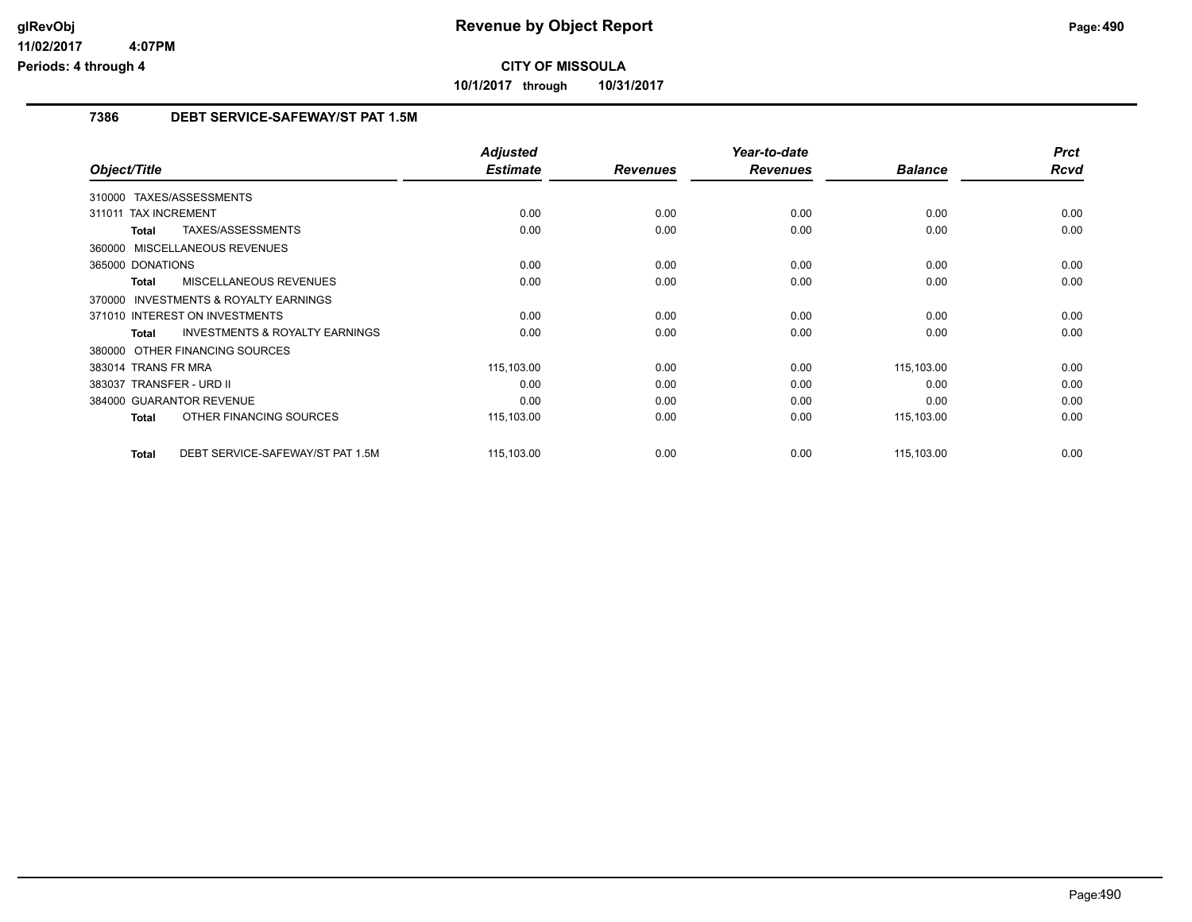**10/1/2017 through 10/31/2017**

# **7386 DEBT SERVICE-SAFEWAY/ST PAT 1.5M**

|                                                    | <b>Adjusted</b> |                 | Year-to-date    |                | <b>Prct</b> |
|----------------------------------------------------|-----------------|-----------------|-----------------|----------------|-------------|
| Object/Title                                       | <b>Estimate</b> | <b>Revenues</b> | <b>Revenues</b> | <b>Balance</b> | <b>Rcvd</b> |
| 310000 TAXES/ASSESSMENTS                           |                 |                 |                 |                |             |
| 311011 TAX INCREMENT                               | 0.00            | 0.00            | 0.00            | 0.00           | 0.00        |
| TAXES/ASSESSMENTS<br>Total                         | 0.00            | 0.00            | 0.00            | 0.00           | 0.00        |
| 360000 MISCELLANEOUS REVENUES                      |                 |                 |                 |                |             |
| 365000 DONATIONS                                   | 0.00            | 0.00            | 0.00            | 0.00           | 0.00        |
| MISCELLANEOUS REVENUES<br>Total                    | 0.00            | 0.00            | 0.00            | 0.00           | 0.00        |
| 370000 INVESTMENTS & ROYALTY EARNINGS              |                 |                 |                 |                |             |
| 371010 INTEREST ON INVESTMENTS                     | 0.00            | 0.00            | 0.00            | 0.00           | 0.00        |
| <b>INVESTMENTS &amp; ROYALTY EARNINGS</b><br>Total | 0.00            | 0.00            | 0.00            | 0.00           | 0.00        |
| 380000 OTHER FINANCING SOURCES                     |                 |                 |                 |                |             |
| 383014 TRANS FR MRA                                | 115,103.00      | 0.00            | 0.00            | 115,103.00     | 0.00        |
| 383037 TRANSFER - URD II                           | 0.00            | 0.00            | 0.00            | 0.00           | 0.00        |
| 384000 GUARANTOR REVENUE                           | 0.00            | 0.00            | 0.00            | 0.00           | 0.00        |
| OTHER FINANCING SOURCES<br>Total                   | 115,103.00      | 0.00            | 0.00            | 115,103.00     | 0.00        |
| DEBT SERVICE-SAFEWAY/ST PAT 1.5M<br>Total          | 115,103.00      | 0.00            | 0.00            | 115,103.00     | 0.00        |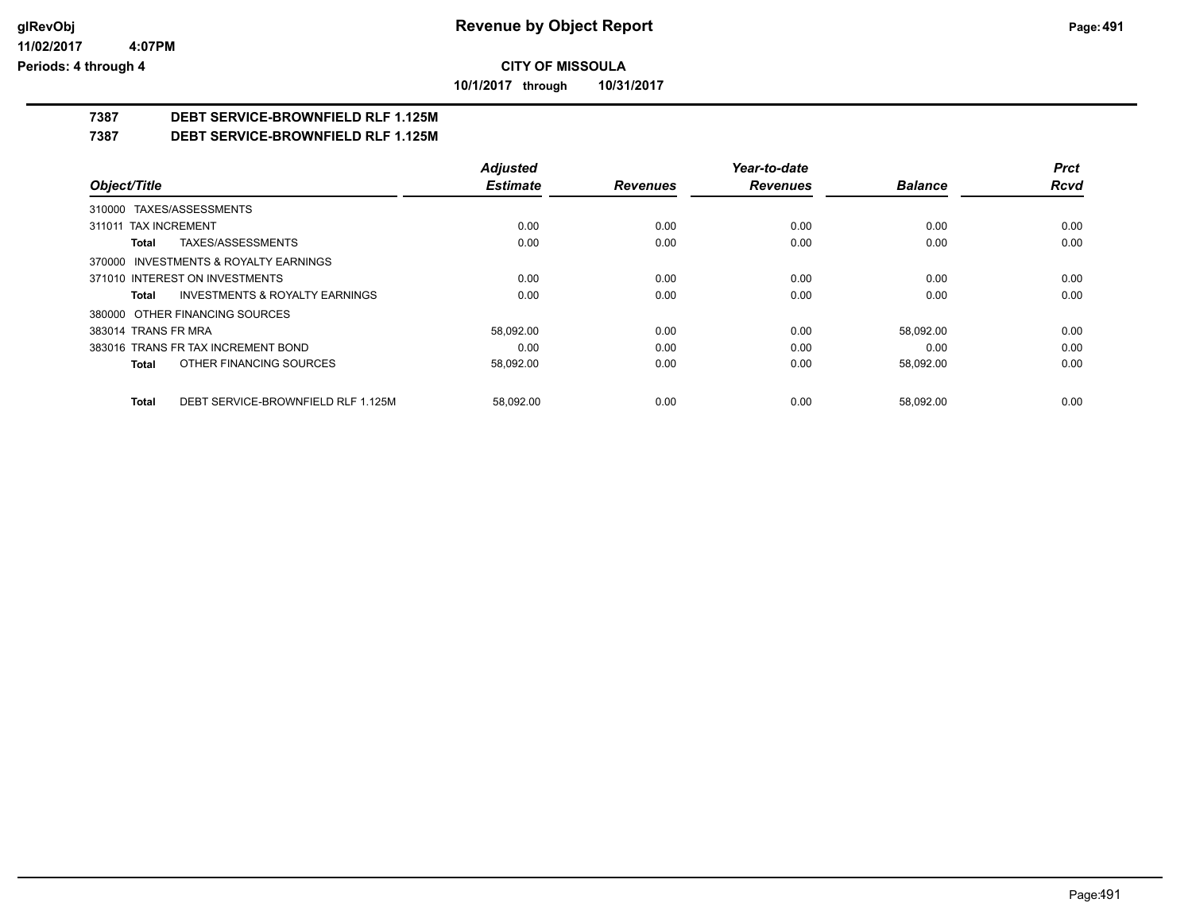**10/1/2017 through 10/31/2017**

# **7387 DEBT SERVICE-BROWNFIELD RLF 1.125M**

**7387 DEBT SERVICE-BROWNFIELD RLF 1.125M**

|                                                    | <b>Adjusted</b> |                 | Year-to-date    |                | <b>Prct</b> |
|----------------------------------------------------|-----------------|-----------------|-----------------|----------------|-------------|
| Object/Title                                       | <b>Estimate</b> | <b>Revenues</b> | <b>Revenues</b> | <b>Balance</b> | <b>Rcvd</b> |
| 310000 TAXES/ASSESSMENTS                           |                 |                 |                 |                |             |
| 311011 TAX INCREMENT                               | 0.00            | 0.00            | 0.00            | 0.00           | 0.00        |
| TAXES/ASSESSMENTS<br>Total                         | 0.00            | 0.00            | 0.00            | 0.00           | 0.00        |
| 370000 INVESTMENTS & ROYALTY EARNINGS              |                 |                 |                 |                |             |
| 371010 INTEREST ON INVESTMENTS                     | 0.00            | 0.00            | 0.00            | 0.00           | 0.00        |
| <b>INVESTMENTS &amp; ROYALTY EARNINGS</b><br>Total | 0.00            | 0.00            | 0.00            | 0.00           | 0.00        |
| 380000 OTHER FINANCING SOURCES                     |                 |                 |                 |                |             |
| 383014 TRANS FR MRA                                | 58,092.00       | 0.00            | 0.00            | 58,092.00      | 0.00        |
| 383016 TRANS FR TAX INCREMENT BOND                 | 0.00            | 0.00            | 0.00            | 0.00           | 0.00        |
| OTHER FINANCING SOURCES<br>Total                   | 58,092.00       | 0.00            | 0.00            | 58,092.00      | 0.00        |
| DEBT SERVICE-BROWNFIELD RLF 1.125M<br>Total        | 58.092.00       | 0.00            | 0.00            | 58.092.00      | 0.00        |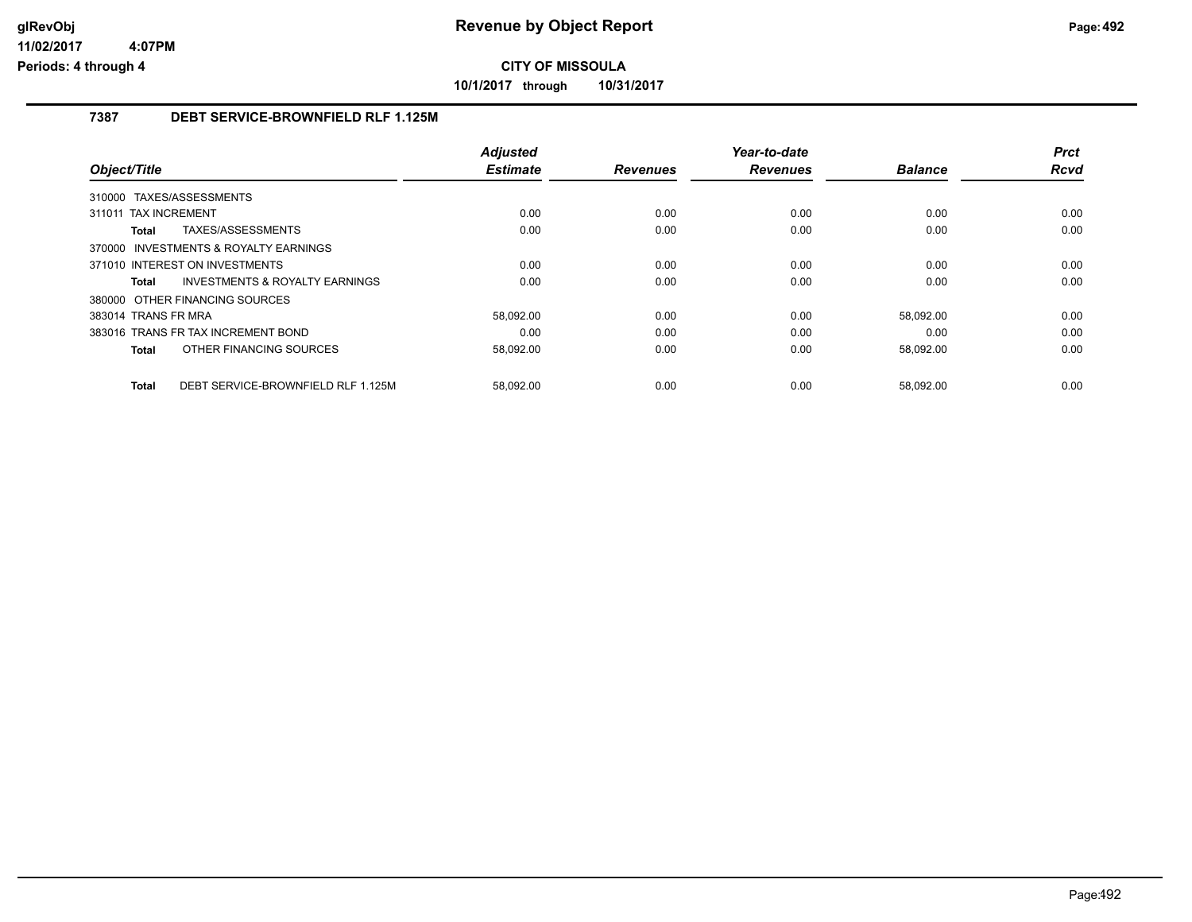**10/1/2017 through 10/31/2017**

# **7387 DEBT SERVICE-BROWNFIELD RLF 1.125M**

|                                                           | <b>Adjusted</b> |                 | Year-to-date    |                | <b>Prct</b> |
|-----------------------------------------------------------|-----------------|-----------------|-----------------|----------------|-------------|
| Object/Title                                              | <b>Estimate</b> | <b>Revenues</b> | <b>Revenues</b> | <b>Balance</b> | <b>Rcvd</b> |
| 310000 TAXES/ASSESSMENTS                                  |                 |                 |                 |                |             |
| 311011 TAX INCREMENT                                      | 0.00            | 0.00            | 0.00            | 0.00           | 0.00        |
| TAXES/ASSESSMENTS<br>Total                                | 0.00            | 0.00            | 0.00            | 0.00           | 0.00        |
| 370000 INVESTMENTS & ROYALTY EARNINGS                     |                 |                 |                 |                |             |
| 371010 INTEREST ON INVESTMENTS                            | 0.00            | 0.00            | 0.00            | 0.00           | 0.00        |
| <b>INVESTMENTS &amp; ROYALTY EARNINGS</b><br><b>Total</b> | 0.00            | 0.00            | 0.00            | 0.00           | 0.00        |
| 380000 OTHER FINANCING SOURCES                            |                 |                 |                 |                |             |
| 383014 TRANS FR MRA                                       | 58.092.00       | 0.00            | 0.00            | 58.092.00      | 0.00        |
| 383016 TRANS FR TAX INCREMENT BOND                        | 0.00            | 0.00            | 0.00            | 0.00           | 0.00        |
| OTHER FINANCING SOURCES<br><b>Total</b>                   | 58,092.00       | 0.00            | 0.00            | 58,092.00      | 0.00        |
| DEBT SERVICE-BROWNFIELD RLF 1.125M<br><b>Total</b>        | 58.092.00       | 0.00            | 0.00            | 58.092.00      | 0.00        |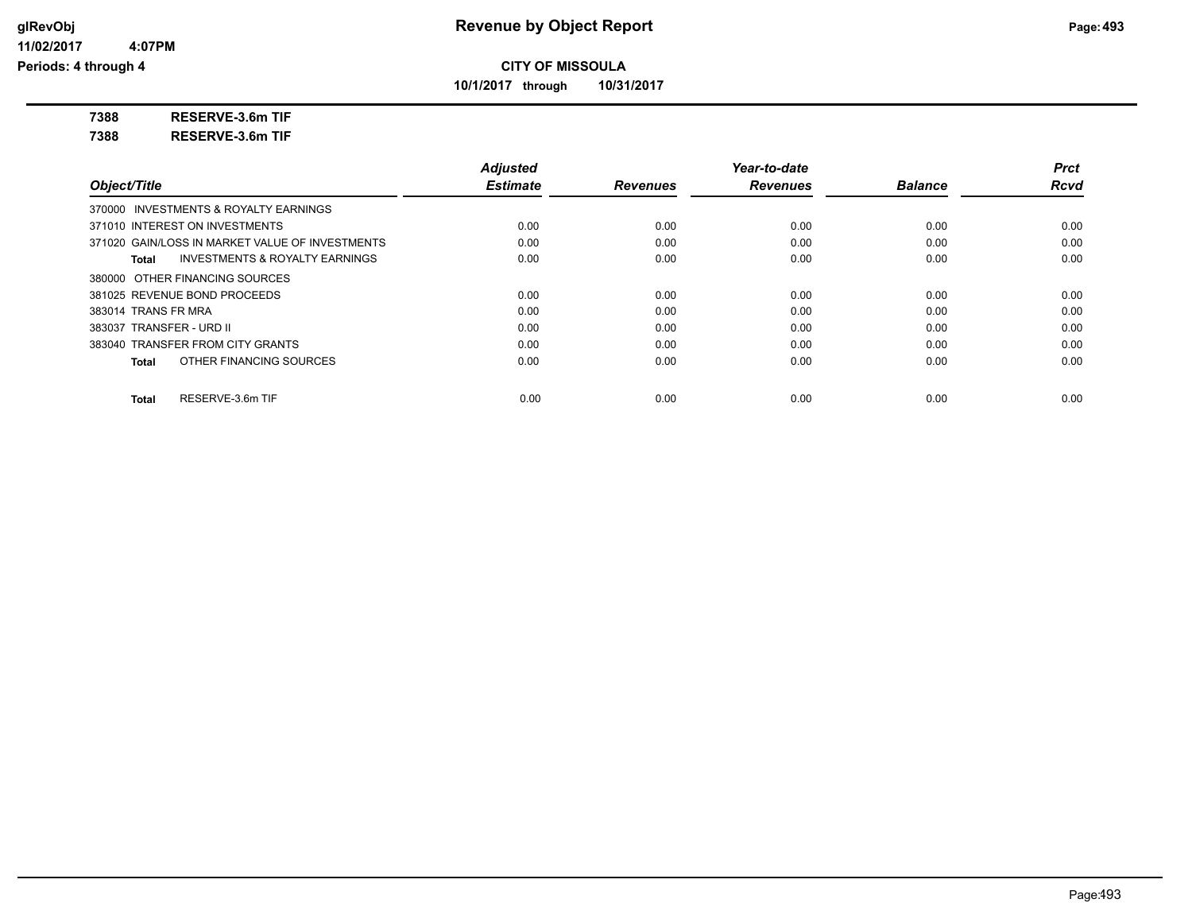**10/1/2017 through 10/31/2017**

**7388 RESERVE-3.6m TIF**

**7388 RESERVE-3.6m TIF**

|                                                    | <b>Adjusted</b> |                 | Year-to-date    |                | <b>Prct</b> |
|----------------------------------------------------|-----------------|-----------------|-----------------|----------------|-------------|
| Object/Title                                       | <b>Estimate</b> | <b>Revenues</b> | <b>Revenues</b> | <b>Balance</b> | <b>Rcvd</b> |
| 370000 INVESTMENTS & ROYALTY EARNINGS              |                 |                 |                 |                |             |
| 371010 INTEREST ON INVESTMENTS                     | 0.00            | 0.00            | 0.00            | 0.00           | 0.00        |
| 371020 GAIN/LOSS IN MARKET VALUE OF INVESTMENTS    | 0.00            | 0.00            | 0.00            | 0.00           | 0.00        |
| <b>INVESTMENTS &amp; ROYALTY EARNINGS</b><br>Total | 0.00            | 0.00            | 0.00            | 0.00           | 0.00        |
| 380000 OTHER FINANCING SOURCES                     |                 |                 |                 |                |             |
| 381025 REVENUE BOND PROCEEDS                       | 0.00            | 0.00            | 0.00            | 0.00           | 0.00        |
| 383014 TRANS FR MRA                                | 0.00            | 0.00            | 0.00            | 0.00           | 0.00        |
| 383037 TRANSFER - URD II                           | 0.00            | 0.00            | 0.00            | 0.00           | 0.00        |
| 383040 TRANSFER FROM CITY GRANTS                   | 0.00            | 0.00            | 0.00            | 0.00           | 0.00        |
| OTHER FINANCING SOURCES<br>Total                   | 0.00            | 0.00            | 0.00            | 0.00           | 0.00        |
|                                                    |                 |                 |                 |                |             |
| RESERVE-3.6m TIF<br>Total                          | 0.00            | 0.00            | 0.00            | 0.00           | 0.00        |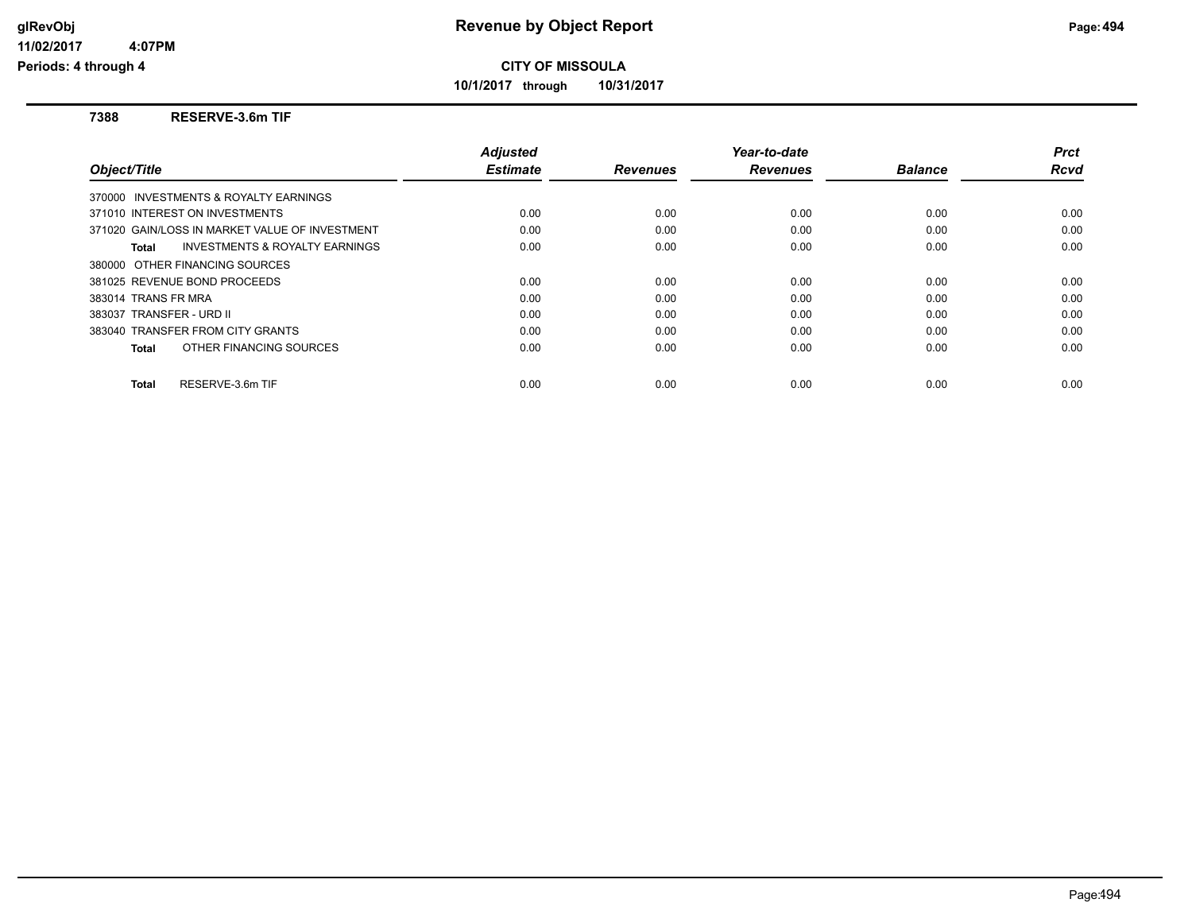**10/1/2017 through 10/31/2017**

#### **7388 RESERVE-3.6m TIF**

|                                                    | <b>Adjusted</b> |                 | Year-to-date    |                | <b>Prct</b> |
|----------------------------------------------------|-----------------|-----------------|-----------------|----------------|-------------|
| Object/Title                                       | <b>Estimate</b> | <b>Revenues</b> | <b>Revenues</b> | <b>Balance</b> | <b>Rcvd</b> |
| 370000 INVESTMENTS & ROYALTY EARNINGS              |                 |                 |                 |                |             |
| 371010 INTEREST ON INVESTMENTS                     | 0.00            | 0.00            | 0.00            | 0.00           | 0.00        |
| 371020 GAIN/LOSS IN MARKET VALUE OF INVESTMENT     | 0.00            | 0.00            | 0.00            | 0.00           | 0.00        |
| <b>INVESTMENTS &amp; ROYALTY EARNINGS</b><br>Total | 0.00            | 0.00            | 0.00            | 0.00           | 0.00        |
| 380000 OTHER FINANCING SOURCES                     |                 |                 |                 |                |             |
| 381025 REVENUE BOND PROCEEDS                       | 0.00            | 0.00            | 0.00            | 0.00           | 0.00        |
| 383014 TRANS FR MRA                                | 0.00            | 0.00            | 0.00            | 0.00           | 0.00        |
| 383037 TRANSFER - URD II                           | 0.00            | 0.00            | 0.00            | 0.00           | 0.00        |
| 383040 TRANSFER FROM CITY GRANTS                   | 0.00            | 0.00            | 0.00            | 0.00           | 0.00        |
| OTHER FINANCING SOURCES<br>Total                   | 0.00            | 0.00            | 0.00            | 0.00           | 0.00        |
|                                                    |                 |                 |                 |                |             |
| RESERVE-3.6m TIF<br>Total                          | 0.00            | 0.00            | 0.00            | 0.00           | 0.00        |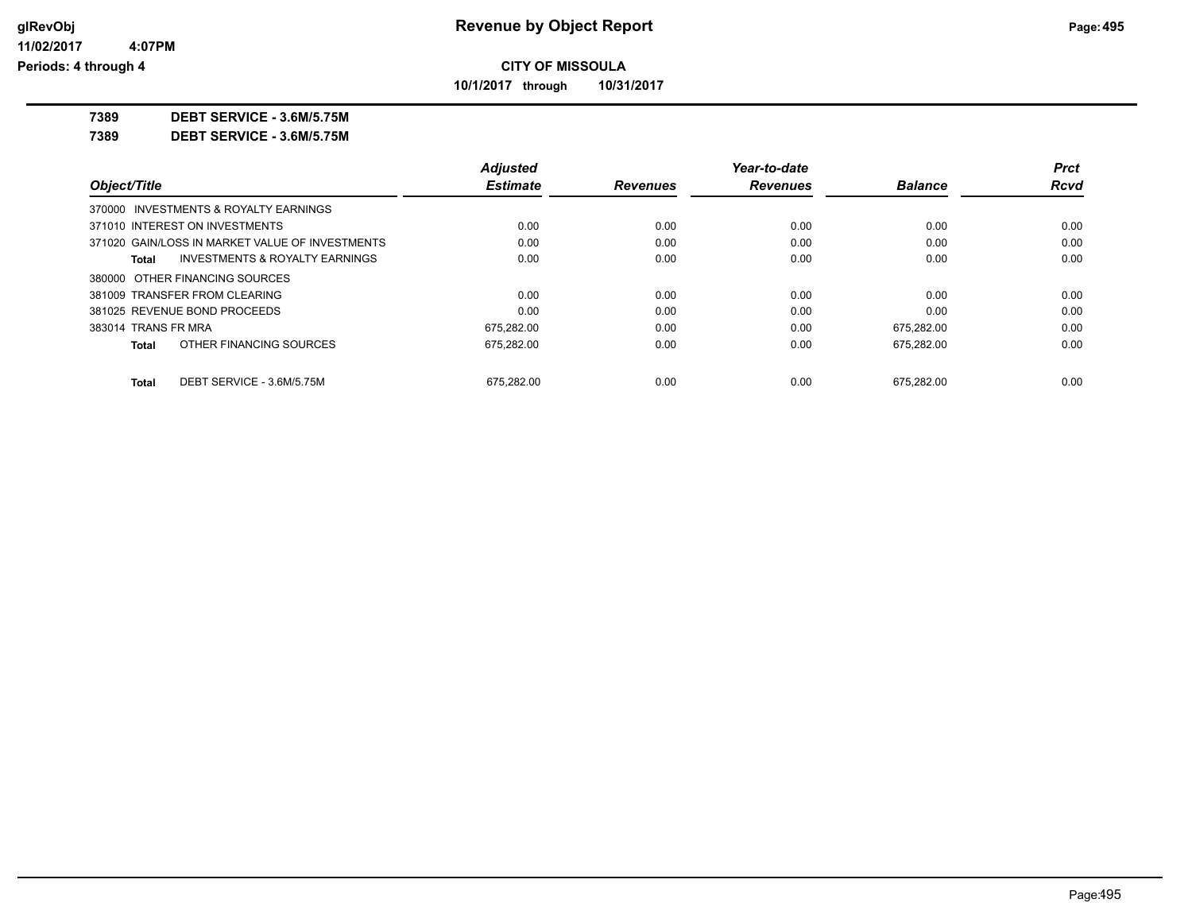**10/1/2017 through 10/31/2017**

**7389 DEBT SERVICE - 3.6M/5.75M**

**7389 DEBT SERVICE - 3.6M/5.75M**

|                     |                                                 | <b>Adjusted</b> |                 | Year-to-date    |                | <b>Prct</b> |
|---------------------|-------------------------------------------------|-----------------|-----------------|-----------------|----------------|-------------|
| Object/Title        |                                                 | <b>Estimate</b> | <b>Revenues</b> | <b>Revenues</b> | <b>Balance</b> | <b>Rcvd</b> |
|                     | 370000 INVESTMENTS & ROYALTY EARNINGS           |                 |                 |                 |                |             |
|                     | 371010 INTEREST ON INVESTMENTS                  | 0.00            | 0.00            | 0.00            | 0.00           | 0.00        |
|                     | 371020 GAIN/LOSS IN MARKET VALUE OF INVESTMENTS | 0.00            | 0.00            | 0.00            | 0.00           | 0.00        |
| Total               | <b>INVESTMENTS &amp; ROYALTY EARNINGS</b>       | 0.00            | 0.00            | 0.00            | 0.00           | 0.00        |
|                     | 380000 OTHER FINANCING SOURCES                  |                 |                 |                 |                |             |
|                     | 381009 TRANSFER FROM CLEARING                   | 0.00            | 0.00            | 0.00            | 0.00           | 0.00        |
|                     | 381025 REVENUE BOND PROCEEDS                    | 0.00            | 0.00            | 0.00            | 0.00           | 0.00        |
| 383014 TRANS FR MRA |                                                 | 675.282.00      | 0.00            | 0.00            | 675,282.00     | 0.00        |
| <b>Total</b>        | OTHER FINANCING SOURCES                         | 675.282.00      | 0.00            | 0.00            | 675.282.00     | 0.00        |
| <b>Total</b>        | DEBT SERVICE - 3.6M/5.75M                       | 675.282.00      | 0.00            | 0.00            | 675.282.00     | 0.00        |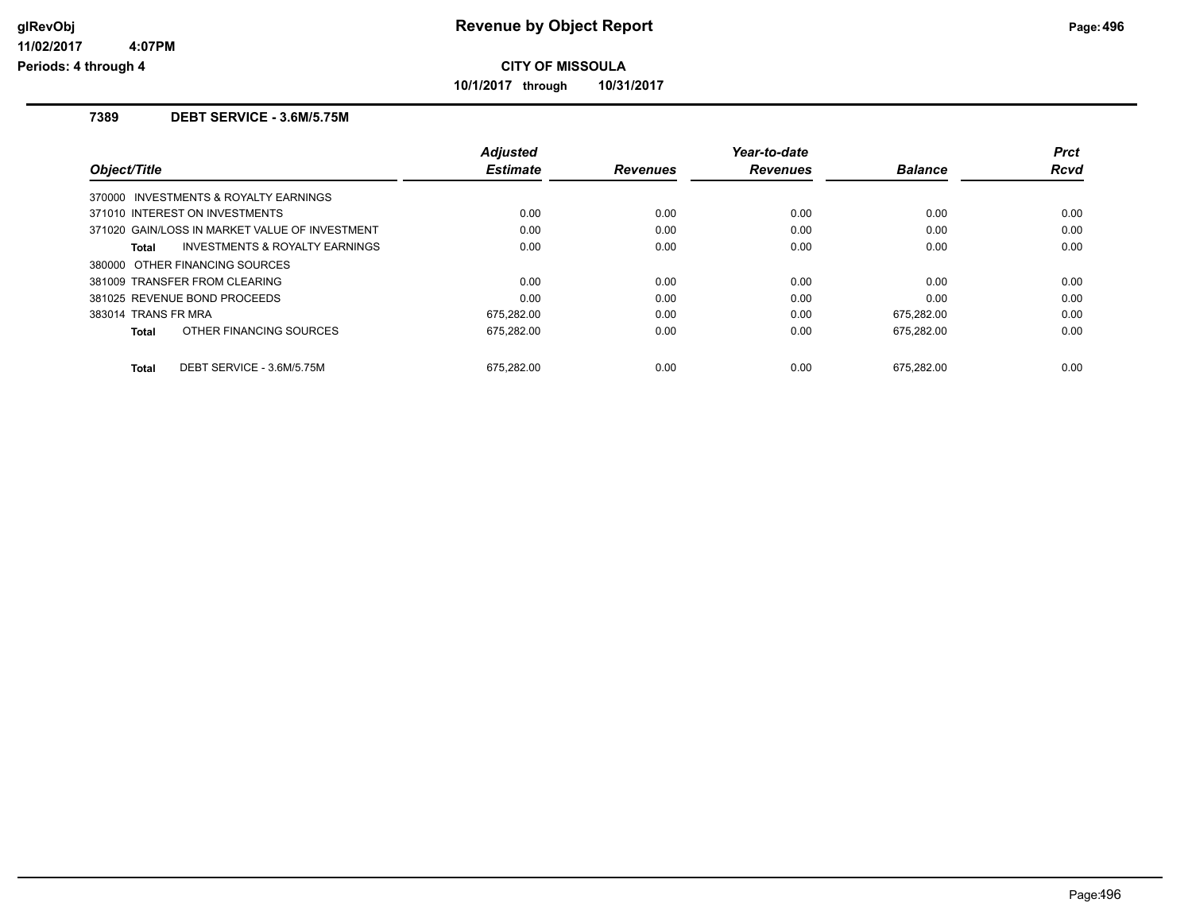**Periods: 4 through 4**

**CITY OF MISSOULA**

**10/1/2017 through 10/31/2017**

# **7389 DEBT SERVICE - 3.6M/5.75M**

 **4:07PM**

| Object/Title        |                                                | <b>Adjusted</b><br><b>Estimate</b> | <b>Revenues</b> | Year-to-date<br><b>Revenues</b> | <b>Balance</b> | <b>Prct</b><br><b>Rcvd</b> |
|---------------------|------------------------------------------------|------------------------------------|-----------------|---------------------------------|----------------|----------------------------|
|                     | 370000 INVESTMENTS & ROYALTY EARNINGS          |                                    |                 |                                 |                |                            |
|                     | 371010 INTEREST ON INVESTMENTS                 | 0.00                               | 0.00            | 0.00                            | 0.00           | 0.00                       |
|                     | 371020 GAIN/LOSS IN MARKET VALUE OF INVESTMENT | 0.00                               | 0.00            | 0.00                            | 0.00           | 0.00                       |
| Total               | INVESTMENTS & ROYALTY EARNINGS                 | 0.00                               | 0.00            | 0.00                            | 0.00           | 0.00                       |
|                     | 380000 OTHER FINANCING SOURCES                 |                                    |                 |                                 |                |                            |
|                     | 381009 TRANSFER FROM CLEARING                  | 0.00                               | 0.00            | 0.00                            | 0.00           | 0.00                       |
|                     | 381025 REVENUE BOND PROCEEDS                   | 0.00                               | 0.00            | 0.00                            | 0.00           | 0.00                       |
| 383014 TRANS FR MRA |                                                | 675.282.00                         | 0.00            | 0.00                            | 675.282.00     | 0.00                       |
| <b>Total</b>        | OTHER FINANCING SOURCES                        | 675,282.00                         | 0.00            | 0.00                            | 675,282.00     | 0.00                       |
| <b>Total</b>        | DEBT SERVICE - 3.6M/5.75M                      | 675.282.00                         | 0.00            | 0.00                            | 675.282.00     | 0.00                       |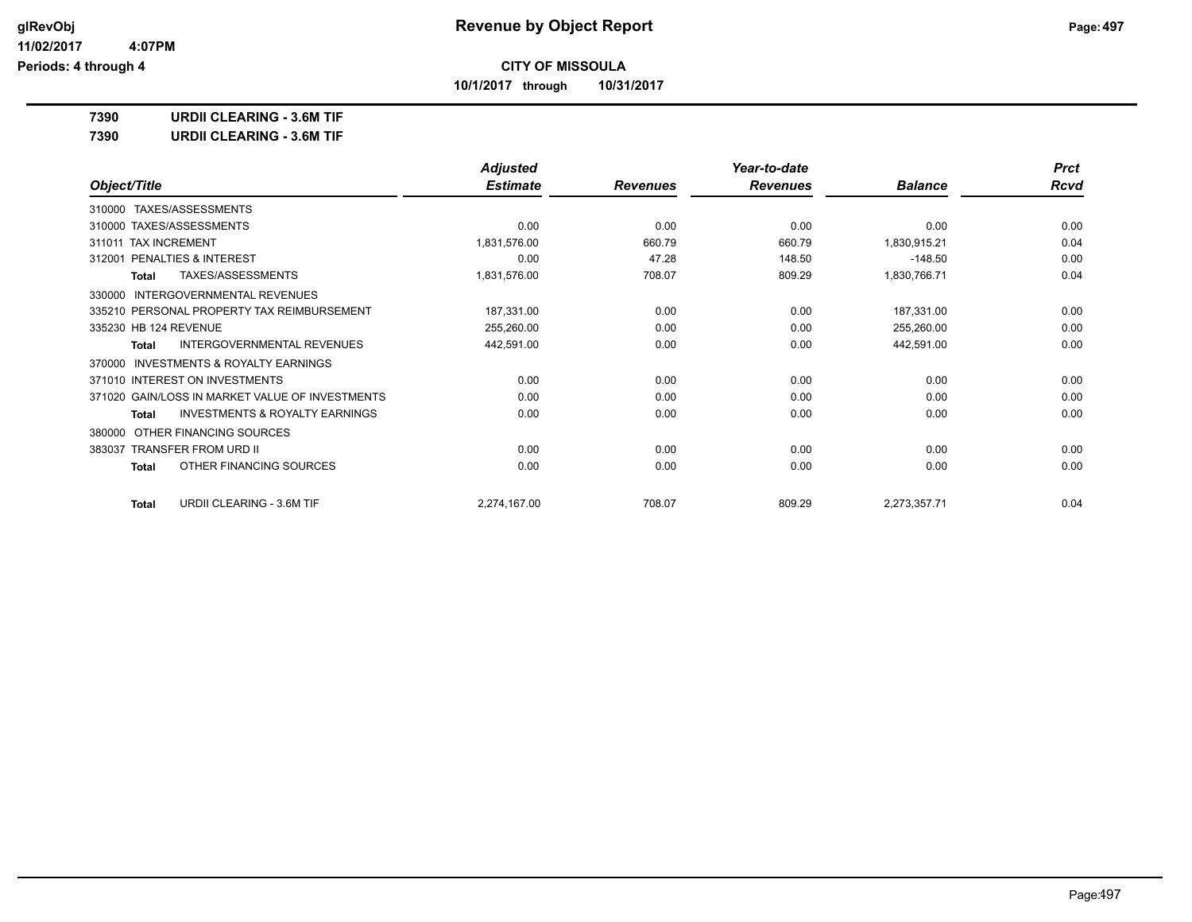**10/1/2017 through 10/31/2017**

**7390 URDII CLEARING - 3.6M TIF**

**7390 URDII CLEARING - 3.6M TIF**

|                                                           | <b>Adjusted</b> |                 | Year-to-date    |                | <b>Prct</b> |
|-----------------------------------------------------------|-----------------|-----------------|-----------------|----------------|-------------|
| Object/Title                                              | <b>Estimate</b> | <b>Revenues</b> | <b>Revenues</b> | <b>Balance</b> | <b>Rcvd</b> |
| 310000 TAXES/ASSESSMENTS                                  |                 |                 |                 |                |             |
| 310000 TAXES/ASSESSMENTS                                  | 0.00            | 0.00            | 0.00            | 0.00           | 0.00        |
| 311011 TAX INCREMENT                                      | 1,831,576.00    | 660.79          | 660.79          | 1,830,915.21   | 0.04        |
| PENALTIES & INTEREST<br>312001                            | 0.00            | 47.28           | 148.50          | $-148.50$      | 0.00        |
| TAXES/ASSESSMENTS<br><b>Total</b>                         | 1,831,576.00    | 708.07          | 809.29          | 1,830,766.71   | 0.04        |
| INTERGOVERNMENTAL REVENUES<br>330000                      |                 |                 |                 |                |             |
| 335210 PERSONAL PROPERTY TAX REIMBURSEMENT                | 187,331.00      | 0.00            | 0.00            | 187,331.00     | 0.00        |
| 335230 HB 124 REVENUE                                     | 255,260.00      | 0.00            | 0.00            | 255,260.00     | 0.00        |
| INTERGOVERNMENTAL REVENUES<br>Total                       | 442,591.00      | 0.00            | 0.00            | 442,591.00     | 0.00        |
| INVESTMENTS & ROYALTY EARNINGS<br>370000                  |                 |                 |                 |                |             |
| 371010 INTEREST ON INVESTMENTS                            | 0.00            | 0.00            | 0.00            | 0.00           | 0.00        |
| 371020 GAIN/LOSS IN MARKET VALUE OF INVESTMENTS           | 0.00            | 0.00            | 0.00            | 0.00           | 0.00        |
| <b>INVESTMENTS &amp; ROYALTY EARNINGS</b><br><b>Total</b> | 0.00            | 0.00            | 0.00            | 0.00           | 0.00        |
| OTHER FINANCING SOURCES<br>380000                         |                 |                 |                 |                |             |
| 383037 TRANSFER FROM URD II                               | 0.00            | 0.00            | 0.00            | 0.00           | 0.00        |
| OTHER FINANCING SOURCES<br><b>Total</b>                   | 0.00            | 0.00            | 0.00            | 0.00           | 0.00        |
| URDII CLEARING - 3.6M TIF<br><b>Total</b>                 | 2,274,167.00    | 708.07          | 809.29          | 2,273,357.71   | 0.04        |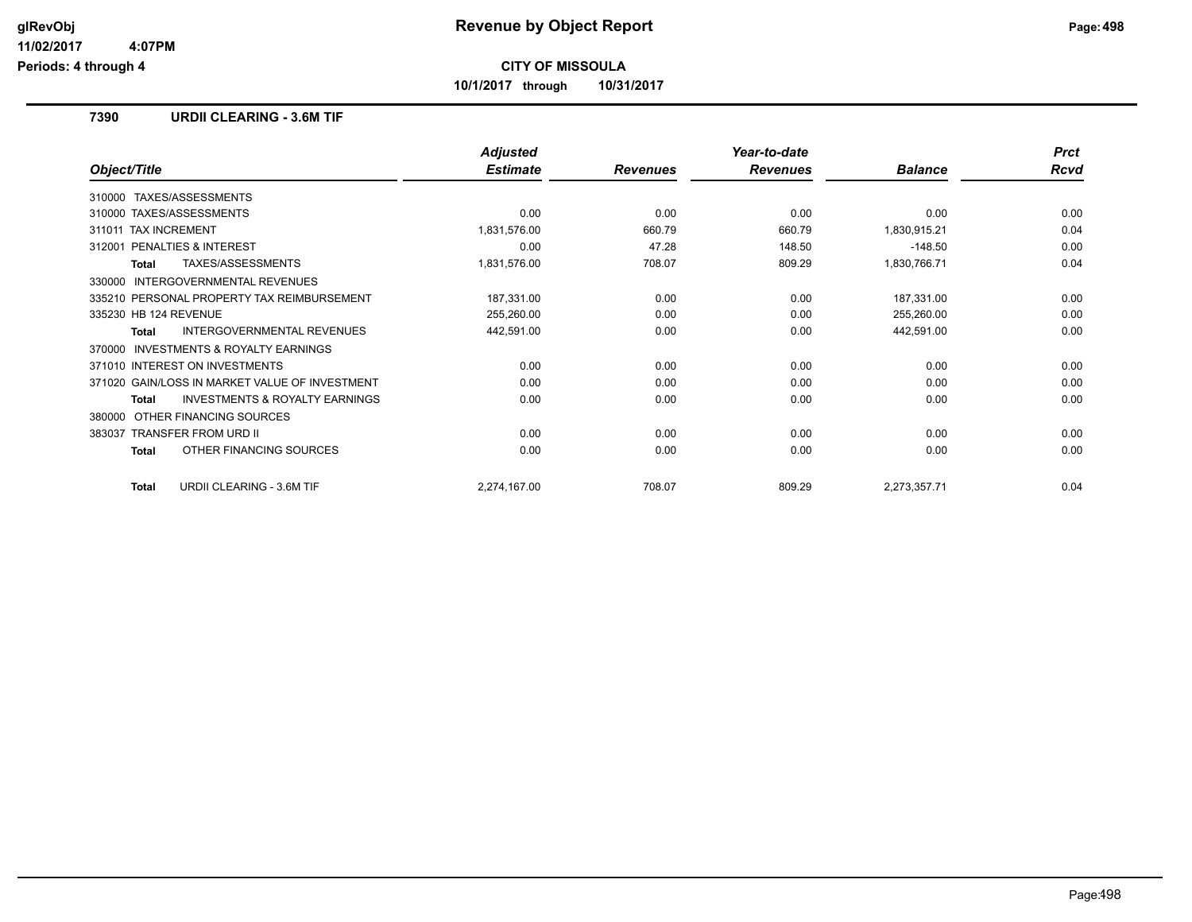**Periods: 4 through 4**

**CITY OF MISSOULA**

**10/1/2017 through 10/31/2017**

# **7390 URDII CLEARING - 3.6M TIF**

|                                                           | <b>Adjusted</b> |                 | Year-to-date    |                | <b>Prct</b> |
|-----------------------------------------------------------|-----------------|-----------------|-----------------|----------------|-------------|
| Object/Title                                              | <b>Estimate</b> | <b>Revenues</b> | <b>Revenues</b> | <b>Balance</b> | <b>Rcvd</b> |
| TAXES/ASSESSMENTS<br>310000                               |                 |                 |                 |                |             |
| 310000 TAXES/ASSESSMENTS                                  | 0.00            | 0.00            | 0.00            | 0.00           | 0.00        |
| 311011 TAX INCREMENT                                      | 1,831,576.00    | 660.79          | 660.79          | 1,830,915.21   | 0.04        |
| 312001 PENALTIES & INTEREST                               | 0.00            | 47.28           | 148.50          | $-148.50$      | 0.00        |
| TAXES/ASSESSMENTS<br><b>Total</b>                         | 1,831,576.00    | 708.07          | 809.29          | 1,830,766.71   | 0.04        |
| INTERGOVERNMENTAL REVENUES<br>330000                      |                 |                 |                 |                |             |
| 335210 PERSONAL PROPERTY TAX REIMBURSEMENT                | 187,331.00      | 0.00            | 0.00            | 187,331.00     | 0.00        |
| 335230 HB 124 REVENUE                                     | 255,260.00      | 0.00            | 0.00            | 255,260.00     | 0.00        |
| <b>INTERGOVERNMENTAL REVENUES</b><br><b>Total</b>         | 442,591.00      | 0.00            | 0.00            | 442,591.00     | 0.00        |
| <b>INVESTMENTS &amp; ROYALTY EARNINGS</b><br>370000       |                 |                 |                 |                |             |
| 371010 INTEREST ON INVESTMENTS                            | 0.00            | 0.00            | 0.00            | 0.00           | 0.00        |
| 371020 GAIN/LOSS IN MARKET VALUE OF INVESTMENT            | 0.00            | 0.00            | 0.00            | 0.00           | 0.00        |
| <b>INVESTMENTS &amp; ROYALTY EARNINGS</b><br><b>Total</b> | 0.00            | 0.00            | 0.00            | 0.00           | 0.00        |
| OTHER FINANCING SOURCES<br>380000                         |                 |                 |                 |                |             |
| 383037 TRANSFER FROM URD II                               | 0.00            | 0.00            | 0.00            | 0.00           | 0.00        |
| OTHER FINANCING SOURCES<br><b>Total</b>                   | 0.00            | 0.00            | 0.00            | 0.00           | 0.00        |
| URDII CLEARING - 3.6M TIF<br><b>Total</b>                 | 2,274,167.00    | 708.07          | 809.29          | 2,273,357.71   | 0.04        |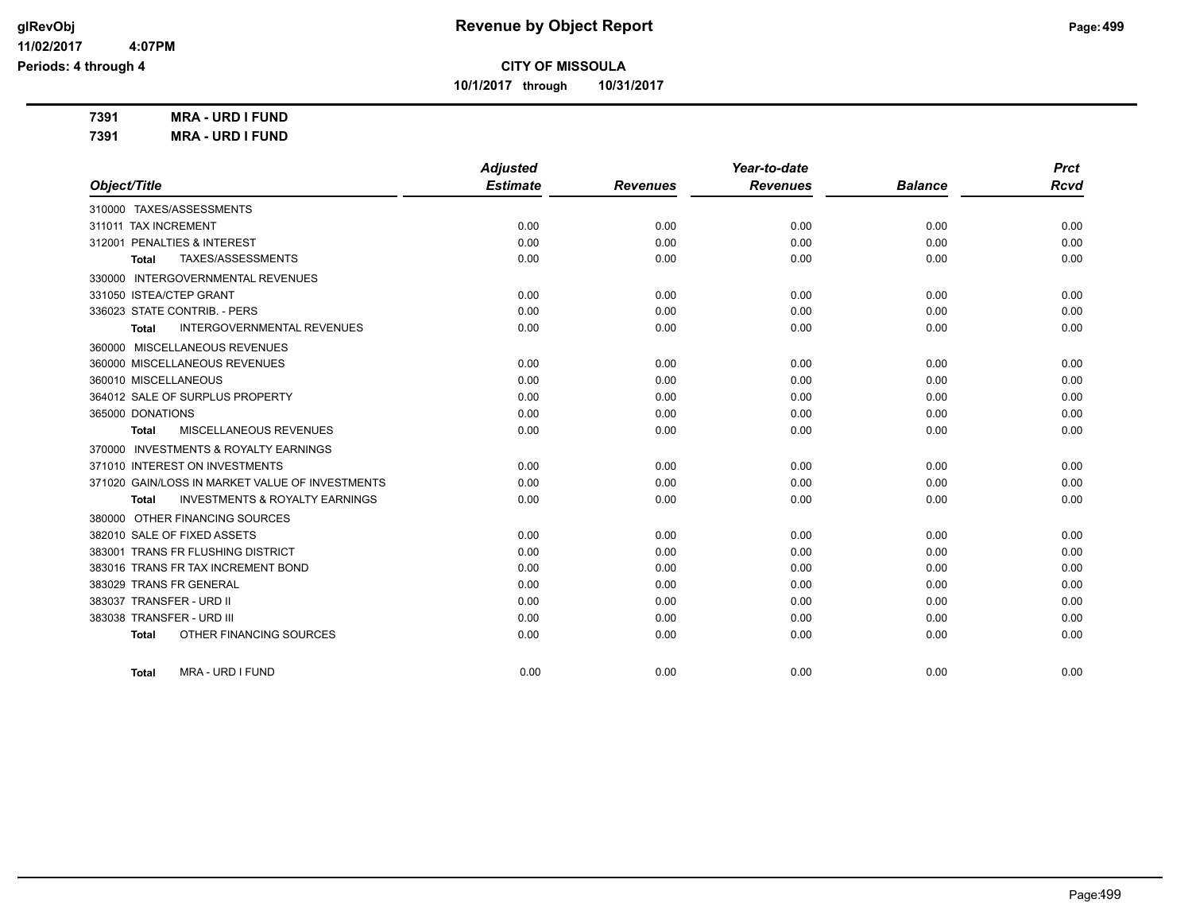**10/1/2017 through 10/31/2017**

**7391 MRA - URD I FUND**

**7391 MRA - URD I FUND**

|                                                    | <b>Adjusted</b> |                 | Year-to-date    |                | <b>Prct</b> |
|----------------------------------------------------|-----------------|-----------------|-----------------|----------------|-------------|
| Object/Title                                       | <b>Estimate</b> | <b>Revenues</b> | <b>Revenues</b> | <b>Balance</b> | <b>Rcvd</b> |
| 310000 TAXES/ASSESSMENTS                           |                 |                 |                 |                |             |
| 311011 TAX INCREMENT                               | 0.00            | 0.00            | 0.00            | 0.00           | 0.00        |
| 312001 PENALTIES & INTEREST                        | 0.00            | 0.00            | 0.00            | 0.00           | 0.00        |
| TAXES/ASSESSMENTS<br><b>Total</b>                  | 0.00            | 0.00            | 0.00            | 0.00           | 0.00        |
| 330000 INTERGOVERNMENTAL REVENUES                  |                 |                 |                 |                |             |
| 331050 ISTEA/CTEP GRANT                            | 0.00            | 0.00            | 0.00            | 0.00           | 0.00        |
| 336023 STATE CONTRIB. - PERS                       | 0.00            | 0.00            | 0.00            | 0.00           | 0.00        |
| <b>INTERGOVERNMENTAL REVENUES</b><br>Total         | 0.00            | 0.00            | 0.00            | 0.00           | 0.00        |
| 360000 MISCELLANEOUS REVENUES                      |                 |                 |                 |                |             |
| 360000 MISCELLANEOUS REVENUES                      | 0.00            | 0.00            | 0.00            | 0.00           | 0.00        |
| 360010 MISCELLANEOUS                               | 0.00            | 0.00            | 0.00            | 0.00           | 0.00        |
| 364012 SALE OF SURPLUS PROPERTY                    | 0.00            | 0.00            | 0.00            | 0.00           | 0.00        |
| 365000 DONATIONS                                   | 0.00            | 0.00            | 0.00            | 0.00           | 0.00        |
| <b>MISCELLANEOUS REVENUES</b><br>Total             | 0.00            | 0.00            | 0.00            | 0.00           | 0.00        |
| 370000 INVESTMENTS & ROYALTY EARNINGS              |                 |                 |                 |                |             |
| 371010 INTEREST ON INVESTMENTS                     | 0.00            | 0.00            | 0.00            | 0.00           | 0.00        |
| 371020 GAIN/LOSS IN MARKET VALUE OF INVESTMENTS    | 0.00            | 0.00            | 0.00            | 0.00           | 0.00        |
| <b>INVESTMENTS &amp; ROYALTY EARNINGS</b><br>Total | 0.00            | 0.00            | 0.00            | 0.00           | 0.00        |
| 380000 OTHER FINANCING SOURCES                     |                 |                 |                 |                |             |
| 382010 SALE OF FIXED ASSETS                        | 0.00            | 0.00            | 0.00            | 0.00           | 0.00        |
| 383001 TRANS FR FLUSHING DISTRICT                  | 0.00            | 0.00            | 0.00            | 0.00           | 0.00        |
| 383016 TRANS FR TAX INCREMENT BOND                 | 0.00            | 0.00            | 0.00            | 0.00           | 0.00        |
| 383029 TRANS FR GENERAL                            | 0.00            | 0.00            | 0.00            | 0.00           | 0.00        |
| 383037 TRANSFER - URD II                           | 0.00            | 0.00            | 0.00            | 0.00           | 0.00        |
| 383038 TRANSFER - URD III                          | 0.00            | 0.00            | 0.00            | 0.00           | 0.00        |
| OTHER FINANCING SOURCES<br><b>Total</b>            | 0.00            | 0.00            | 0.00            | 0.00           | 0.00        |
| MRA - URD I FUND<br>Total                          | 0.00            | 0.00            | 0.00            | 0.00           | 0.00        |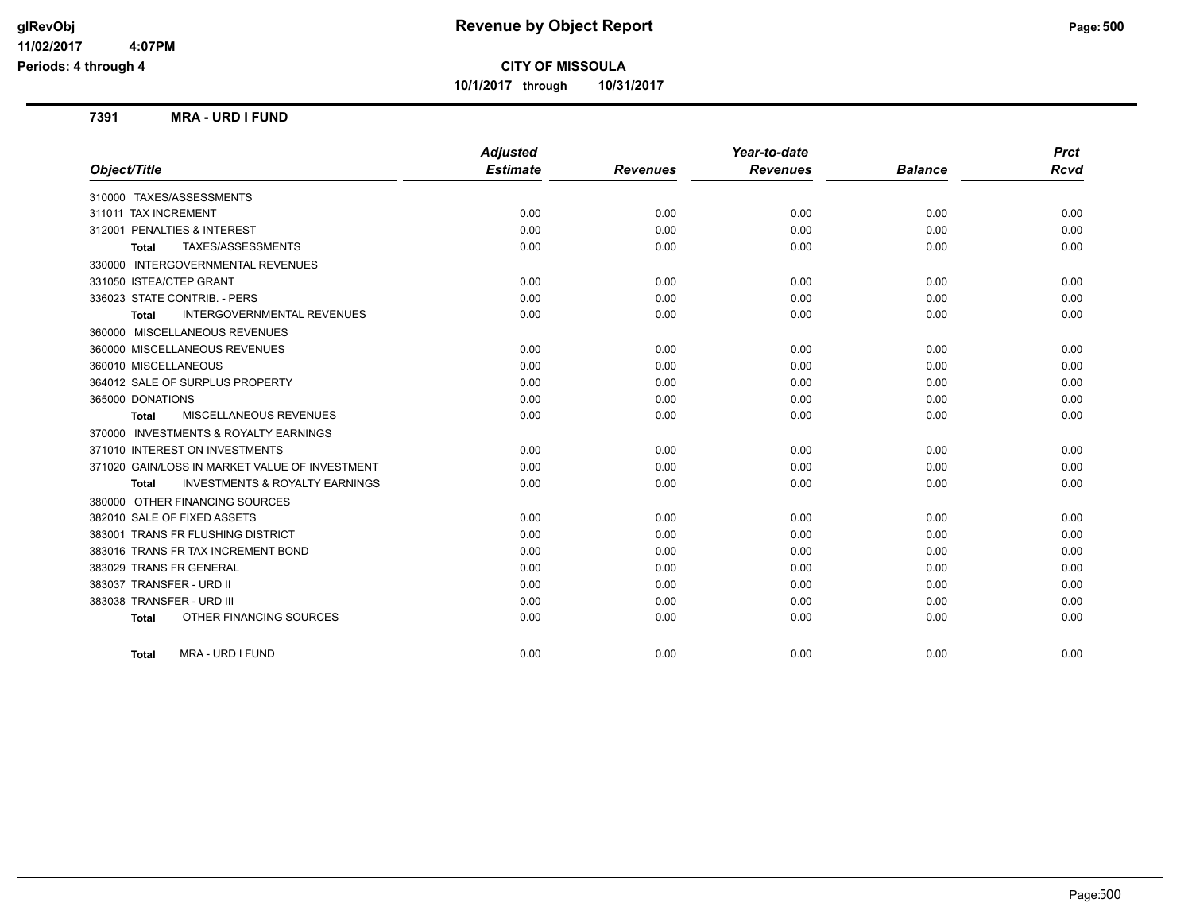**11/02/2017 4:07PM Periods: 4 through 4**

**CITY OF MISSOULA**

**10/1/2017 through 10/31/2017**

#### **7391 MRA - URD I FUND**

|                                                           | <b>Adjusted</b> |                 | Year-to-date    |                | Prct        |
|-----------------------------------------------------------|-----------------|-----------------|-----------------|----------------|-------------|
| Object/Title                                              | <b>Estimate</b> | <b>Revenues</b> | <b>Revenues</b> | <b>Balance</b> | <b>Rcvd</b> |
| 310000 TAXES/ASSESSMENTS                                  |                 |                 |                 |                |             |
| 311011 TAX INCREMENT                                      | 0.00            | 0.00            | 0.00            | 0.00           | 0.00        |
| 312001 PENALTIES & INTEREST                               | 0.00            | 0.00            | 0.00            | 0.00           | 0.00        |
| TAXES/ASSESSMENTS<br><b>Total</b>                         | 0.00            | 0.00            | 0.00            | 0.00           | 0.00        |
| 330000 INTERGOVERNMENTAL REVENUES                         |                 |                 |                 |                |             |
| 331050 ISTEA/CTEP GRANT                                   | 0.00            | 0.00            | 0.00            | 0.00           | 0.00        |
| 336023 STATE CONTRIB. - PERS                              | 0.00            | 0.00            | 0.00            | 0.00           | 0.00        |
| <b>INTERGOVERNMENTAL REVENUES</b><br><b>Total</b>         | 0.00            | 0.00            | 0.00            | 0.00           | 0.00        |
| 360000 MISCELLANEOUS REVENUES                             |                 |                 |                 |                |             |
| 360000 MISCELLANEOUS REVENUES                             | 0.00            | 0.00            | 0.00            | 0.00           | 0.00        |
| 360010 MISCELLANEOUS                                      | 0.00            | 0.00            | 0.00            | 0.00           | 0.00        |
| 364012 SALE OF SURPLUS PROPERTY                           | 0.00            | 0.00            | 0.00            | 0.00           | 0.00        |
| 365000 DONATIONS                                          | 0.00            | 0.00            | 0.00            | 0.00           | 0.00        |
| MISCELLANEOUS REVENUES<br>Total                           | 0.00            | 0.00            | 0.00            | 0.00           | 0.00        |
| 370000 INVESTMENTS & ROYALTY EARNINGS                     |                 |                 |                 |                |             |
| 371010 INTEREST ON INVESTMENTS                            | 0.00            | 0.00            | 0.00            | 0.00           | 0.00        |
| 371020 GAIN/LOSS IN MARKET VALUE OF INVESTMENT            | 0.00            | 0.00            | 0.00            | 0.00           | 0.00        |
| <b>INVESTMENTS &amp; ROYALTY EARNINGS</b><br><b>Total</b> | 0.00            | 0.00            | 0.00            | 0.00           | 0.00        |
| 380000 OTHER FINANCING SOURCES                            |                 |                 |                 |                |             |
| 382010 SALE OF FIXED ASSETS                               | 0.00            | 0.00            | 0.00            | 0.00           | 0.00        |
| 383001 TRANS FR FLUSHING DISTRICT                         | 0.00            | 0.00            | 0.00            | 0.00           | 0.00        |
| 383016 TRANS FR TAX INCREMENT BOND                        | 0.00            | 0.00            | 0.00            | 0.00           | 0.00        |
| 383029 TRANS FR GENERAL                                   | 0.00            | 0.00            | 0.00            | 0.00           | 0.00        |
| 383037 TRANSFER - URD II                                  | 0.00            | 0.00            | 0.00            | 0.00           | 0.00        |
| 383038 TRANSFER - URD III                                 | 0.00            | 0.00            | 0.00            | 0.00           | 0.00        |
| OTHER FINANCING SOURCES<br><b>Total</b>                   | 0.00            | 0.00            | 0.00            | 0.00           | 0.00        |
| MRA - URD I FUND<br>Total                                 | 0.00            | 0.00            | 0.00            | 0.00           | 0.00        |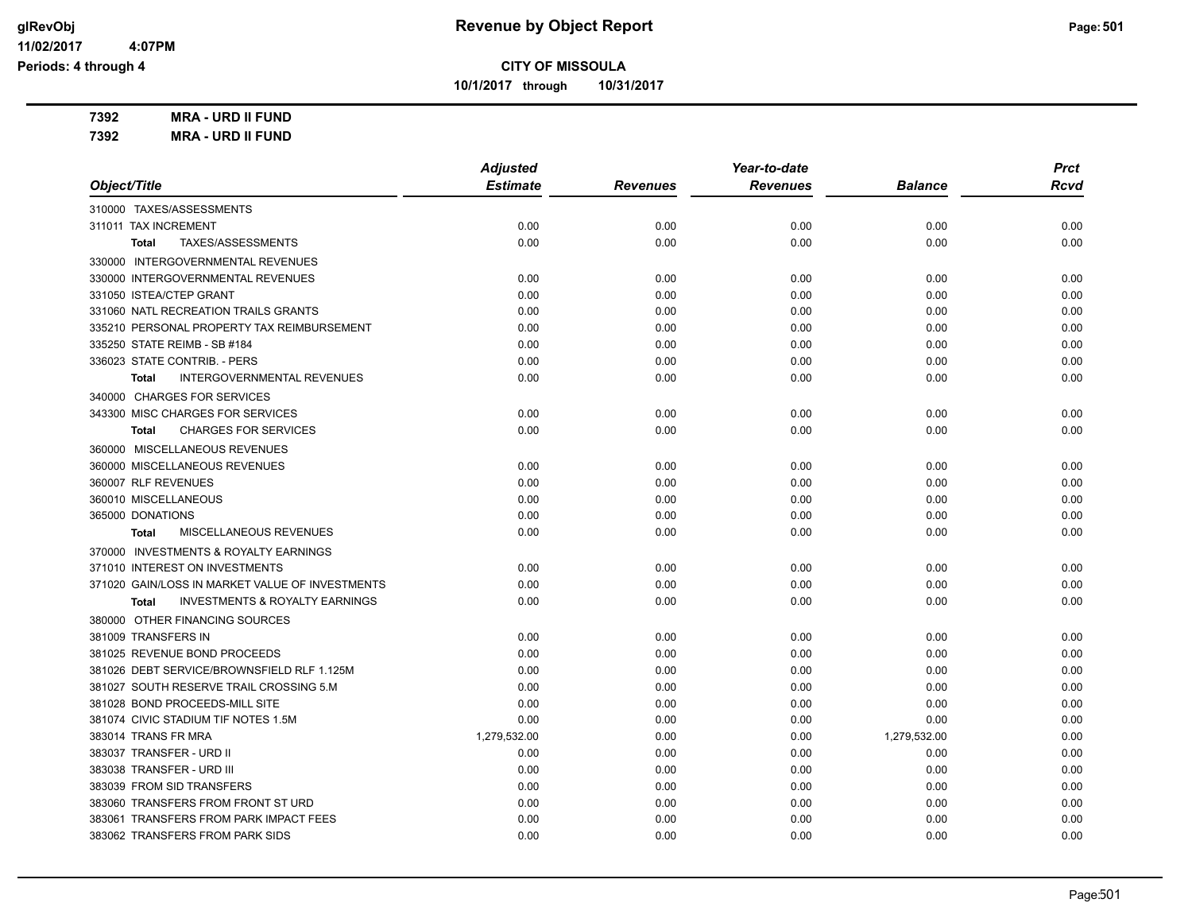**10/1/2017 through 10/31/2017**

**7392 MRA - URD II FUND**

**7392 MRA - URD II FUND**

|                                                           | <b>Adjusted</b> |                 | Year-to-date    |                | <b>Prct</b> |
|-----------------------------------------------------------|-----------------|-----------------|-----------------|----------------|-------------|
| Object/Title                                              | <b>Estimate</b> | <b>Revenues</b> | <b>Revenues</b> | <b>Balance</b> | Rcvd        |
| 310000 TAXES/ASSESSMENTS                                  |                 |                 |                 |                |             |
| 311011 TAX INCREMENT                                      | 0.00            | 0.00            | 0.00            | 0.00           | 0.00        |
| TAXES/ASSESSMENTS<br><b>Total</b>                         | 0.00            | 0.00            | 0.00            | 0.00           | 0.00        |
| 330000 INTERGOVERNMENTAL REVENUES                         |                 |                 |                 |                |             |
| 330000 INTERGOVERNMENTAL REVENUES                         | 0.00            | 0.00            | 0.00            | 0.00           | 0.00        |
| 331050 ISTEA/CTEP GRANT                                   | 0.00            | 0.00            | 0.00            | 0.00           | 0.00        |
| 331060 NATL RECREATION TRAILS GRANTS                      | 0.00            | 0.00            | 0.00            | 0.00           | 0.00        |
| 335210 PERSONAL PROPERTY TAX REIMBURSEMENT                | 0.00            | 0.00            | 0.00            | 0.00           | 0.00        |
| 335250 STATE REIMB - SB #184                              | 0.00            | 0.00            | 0.00            | 0.00           | 0.00        |
| 336023 STATE CONTRIB. - PERS                              | 0.00            | 0.00            | 0.00            | 0.00           | 0.00        |
| <b>INTERGOVERNMENTAL REVENUES</b><br><b>Total</b>         | 0.00            | 0.00            | 0.00            | 0.00           | 0.00        |
| 340000 CHARGES FOR SERVICES                               |                 |                 |                 |                |             |
| 343300 MISC CHARGES FOR SERVICES                          | 0.00            | 0.00            | 0.00            | 0.00           | 0.00        |
| <b>CHARGES FOR SERVICES</b><br>Total                      | 0.00            | 0.00            | 0.00            | 0.00           | 0.00        |
| 360000 MISCELLANEOUS REVENUES                             |                 |                 |                 |                |             |
| 360000 MISCELLANEOUS REVENUES                             | 0.00            | 0.00            | 0.00            | 0.00           | 0.00        |
| 360007 RLF REVENUES                                       | 0.00            | 0.00            | 0.00            | 0.00           | 0.00        |
| 360010 MISCELLANEOUS                                      | 0.00            | 0.00            | 0.00            | 0.00           | 0.00        |
| 365000 DONATIONS                                          | 0.00            | 0.00            | 0.00            | 0.00           | 0.00        |
| MISCELLANEOUS REVENUES<br><b>Total</b>                    | 0.00            | 0.00            | 0.00            | 0.00           | 0.00        |
| 370000 INVESTMENTS & ROYALTY EARNINGS                     |                 |                 |                 |                |             |
| 371010 INTEREST ON INVESTMENTS                            | 0.00            | 0.00            | 0.00            | 0.00           | 0.00        |
| 371020 GAIN/LOSS IN MARKET VALUE OF INVESTMENTS           | 0.00            | 0.00            | 0.00            | 0.00           | 0.00        |
| <b>INVESTMENTS &amp; ROYALTY EARNINGS</b><br><b>Total</b> | 0.00            | 0.00            | 0.00            | 0.00           | 0.00        |
| 380000 OTHER FINANCING SOURCES                            |                 |                 |                 |                |             |
| 381009 TRANSFERS IN                                       | 0.00            | 0.00            | 0.00            | 0.00           | 0.00        |
| 381025 REVENUE BOND PROCEEDS                              | 0.00            | 0.00            | 0.00            | 0.00           | 0.00        |
| 381026 DEBT SERVICE/BROWNSFIELD RLF 1.125M                | 0.00            | 0.00            | 0.00            | 0.00           | 0.00        |
| 381027 SOUTH RESERVE TRAIL CROSSING 5.M                   | 0.00            | 0.00            | 0.00            | 0.00           | 0.00        |
| 381028 BOND PROCEEDS-MILL SITE                            | 0.00            | 0.00            | 0.00            | 0.00           | 0.00        |
| 381074 CIVIC STADIUM TIF NOTES 1.5M                       | 0.00            | 0.00            | 0.00            | 0.00           | 0.00        |
| 383014 TRANS FR MRA                                       | 1,279,532.00    | 0.00            | 0.00            | 1,279,532.00   | 0.00        |
| 383037 TRANSFER - URD II                                  | 0.00            | 0.00            | 0.00            | 0.00           | 0.00        |
| 383038 TRANSFER - URD III                                 | 0.00            | 0.00            | 0.00            | 0.00           | 0.00        |
| 383039 FROM SID TRANSFERS                                 | 0.00            | 0.00            | 0.00            | 0.00           | 0.00        |
| 383060 TRANSFERS FROM FRONT ST URD                        | 0.00            | 0.00            | 0.00            | 0.00           | 0.00        |
| 383061 TRANSFERS FROM PARK IMPACT FEES                    | 0.00            | 0.00            | 0.00            | 0.00           | 0.00        |
| 383062 TRANSFERS FROM PARK SIDS                           | 0.00            | 0.00            | 0.00            | 0.00           | 0.00        |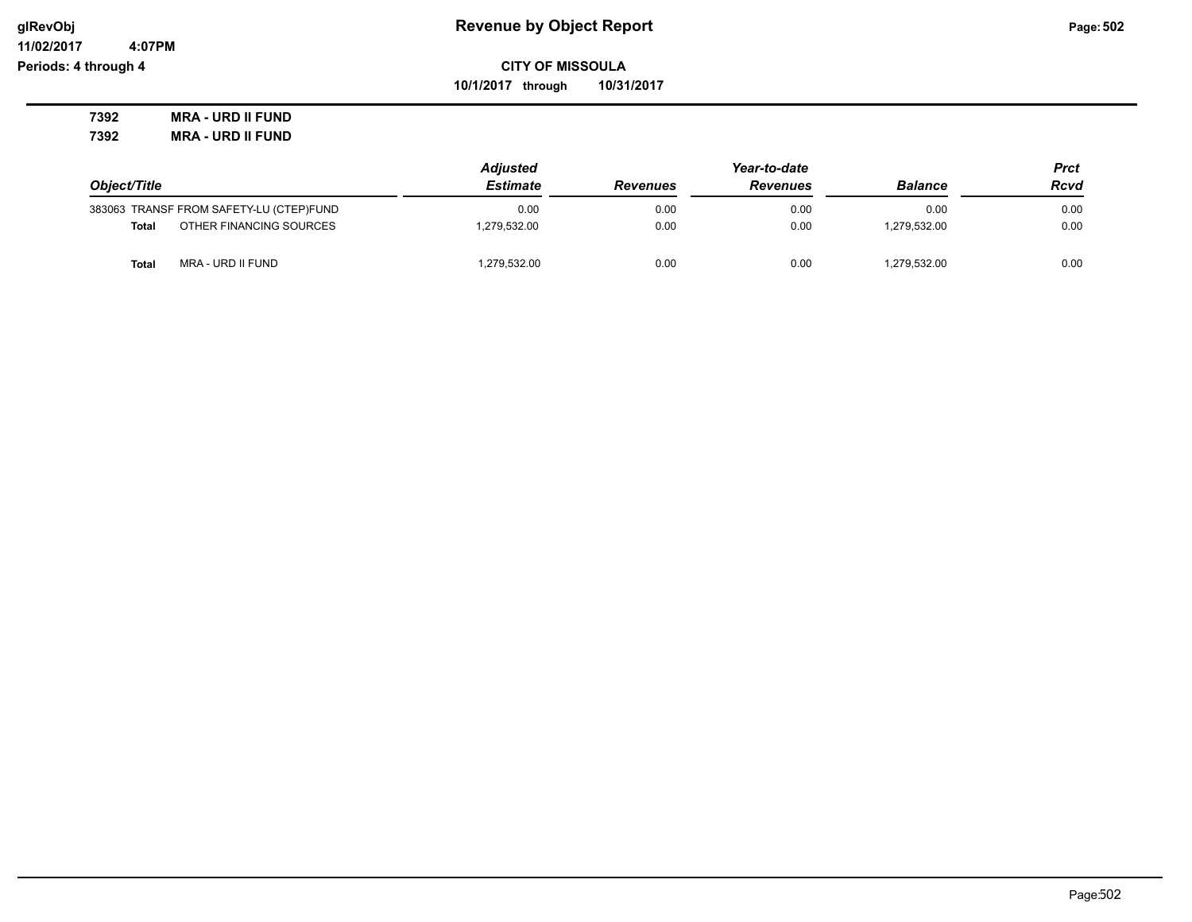**11/02/2017 4:07PM Periods: 4 through 4**

# **CITY OF MISSOULA**

**10/1/2017 through 10/31/2017**

**7392 MRA - URD II FUND 7392 MRA - URD II FUND**

|                                         | <b>Adjusted</b> |                                    | <b>Prct</b> |                |             |
|-----------------------------------------|-----------------|------------------------------------|-------------|----------------|-------------|
| Object/Title                            | <b>Estimate</b> | <b>Revenues</b><br><b>Revenues</b> |             | <b>Balance</b> | <b>Rcvd</b> |
| 383063 TRANSF FROM SAFETY-LU (CTEP)FUND | 0.00            | 0.00                               | 0.00        | 0.00           | 0.00        |
| OTHER FINANCING SOURCES<br>Total        | 1,279,532.00    | 0.00                               | 0.00        | 1,279,532.00   | 0.00        |
| MRA - URD II FUND<br>Tota               | 1.279.532.00    | 0.00                               | 0.00        | 1,279,532.00   | 0.00        |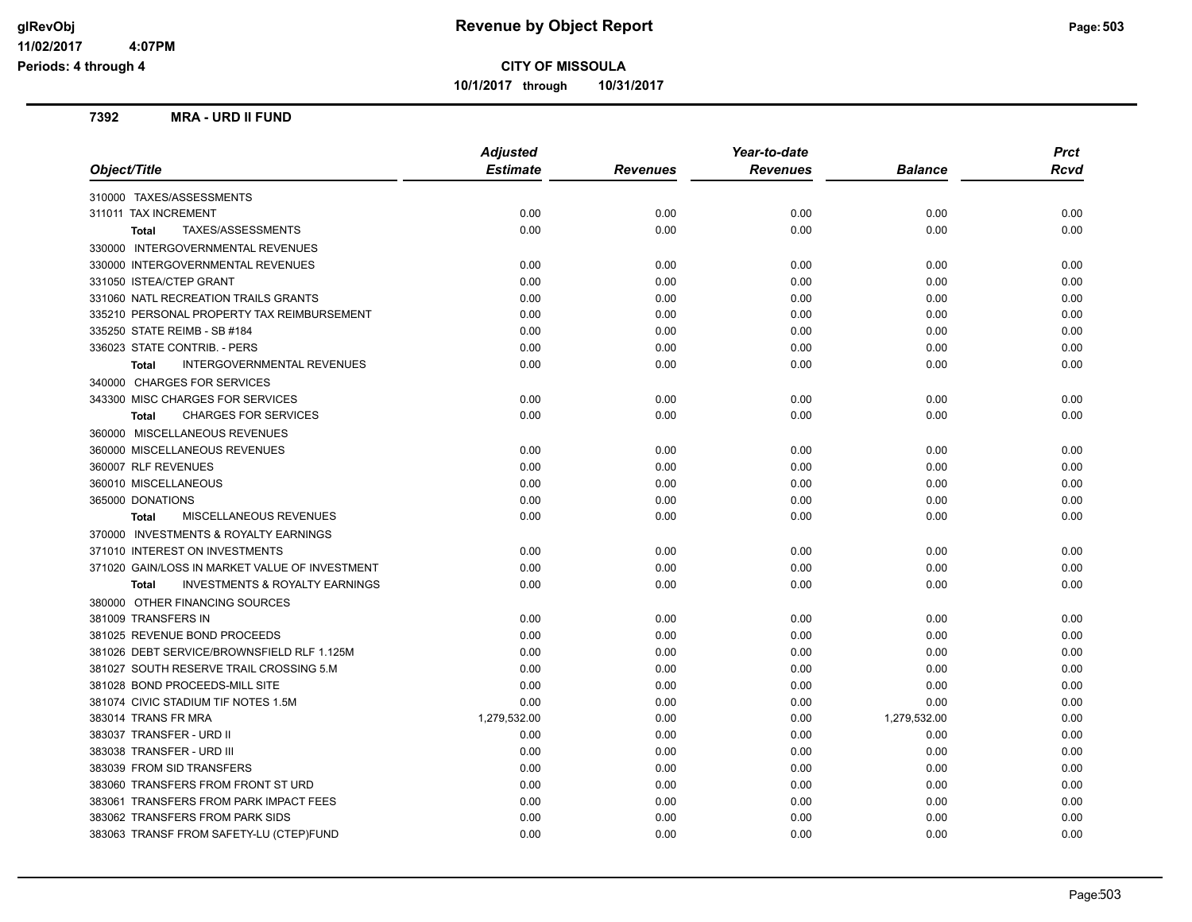**10/1/2017 through 10/31/2017**

#### **7392 MRA - URD II FUND**

|                                                           | <b>Adjusted</b> |                 | Year-to-date    |                | <b>Prct</b> |
|-----------------------------------------------------------|-----------------|-----------------|-----------------|----------------|-------------|
| Object/Title                                              | <b>Estimate</b> | <b>Revenues</b> | <b>Revenues</b> | <b>Balance</b> | Rcvd        |
| 310000 TAXES/ASSESSMENTS                                  |                 |                 |                 |                |             |
| 311011 TAX INCREMENT                                      | 0.00            | 0.00            | 0.00            | 0.00           | 0.00        |
| TAXES/ASSESSMENTS<br><b>Total</b>                         | 0.00            | 0.00            | 0.00            | 0.00           | 0.00        |
| 330000 INTERGOVERNMENTAL REVENUES                         |                 |                 |                 |                |             |
| 330000 INTERGOVERNMENTAL REVENUES                         | 0.00            | 0.00            | 0.00            | 0.00           | 0.00        |
| 331050 ISTEA/CTEP GRANT                                   | 0.00            | 0.00            | 0.00            | 0.00           | 0.00        |
| 331060 NATL RECREATION TRAILS GRANTS                      | 0.00            | 0.00            | 0.00            | 0.00           | 0.00        |
| 335210 PERSONAL PROPERTY TAX REIMBURSEMENT                | 0.00            | 0.00            | 0.00            | 0.00           | 0.00        |
| 335250 STATE REIMB - SB #184                              | 0.00            | 0.00            | 0.00            | 0.00           | 0.00        |
| 336023 STATE CONTRIB. - PERS                              | 0.00            | 0.00            | 0.00            | 0.00           | 0.00        |
| <b>INTERGOVERNMENTAL REVENUES</b><br>Total                | 0.00            | 0.00            | 0.00            | 0.00           | 0.00        |
| 340000 CHARGES FOR SERVICES                               |                 |                 |                 |                |             |
| 343300 MISC CHARGES FOR SERVICES                          | 0.00            | 0.00            | 0.00            | 0.00           | 0.00        |
| <b>CHARGES FOR SERVICES</b><br><b>Total</b>               | 0.00            | 0.00            | 0.00            | 0.00           | 0.00        |
| 360000 MISCELLANEOUS REVENUES                             |                 |                 |                 |                |             |
| 360000 MISCELLANEOUS REVENUES                             | 0.00            | 0.00            | 0.00            | 0.00           | 0.00        |
| 360007 RLF REVENUES                                       | 0.00            | 0.00            | 0.00            | 0.00           | 0.00        |
| 360010 MISCELLANEOUS                                      | 0.00            | 0.00            | 0.00            | 0.00           | 0.00        |
| 365000 DONATIONS                                          | 0.00            | 0.00            | 0.00            | 0.00           | 0.00        |
| MISCELLANEOUS REVENUES<br><b>Total</b>                    | 0.00            | 0.00            | 0.00            | 0.00           | 0.00        |
| 370000 INVESTMENTS & ROYALTY EARNINGS                     |                 |                 |                 |                |             |
| 371010 INTEREST ON INVESTMENTS                            | 0.00            | 0.00            | 0.00            | 0.00           | 0.00        |
| 371020 GAIN/LOSS IN MARKET VALUE OF INVESTMENT            | 0.00            | 0.00            | 0.00            | 0.00           | 0.00        |
| <b>INVESTMENTS &amp; ROYALTY EARNINGS</b><br><b>Total</b> | 0.00            | 0.00            | 0.00            | 0.00           | 0.00        |
| 380000 OTHER FINANCING SOURCES                            |                 |                 |                 |                |             |
| 381009 TRANSFERS IN                                       | 0.00            | 0.00            | 0.00            | 0.00           | 0.00        |
| 381025 REVENUE BOND PROCEEDS                              | 0.00            | 0.00            | 0.00            | 0.00           | 0.00        |
| 381026 DEBT SERVICE/BROWNSFIELD RLF 1.125M                | 0.00            | 0.00            | 0.00            | 0.00           | 0.00        |
| 381027 SOUTH RESERVE TRAIL CROSSING 5.M                   | 0.00            | 0.00            | 0.00            | 0.00           | 0.00        |
| 381028 BOND PROCEEDS-MILL SITE                            | 0.00            | 0.00            | 0.00            | 0.00           | 0.00        |
| 381074 CIVIC STADIUM TIF NOTES 1.5M                       | 0.00            | 0.00            | 0.00            | 0.00           | 0.00        |
| 383014 TRANS FR MRA                                       | 1,279,532.00    | 0.00            | 0.00            | 1,279,532.00   | 0.00        |
| 383037 TRANSFER - URD II                                  | 0.00            | 0.00            | 0.00            | 0.00           | 0.00        |
| 383038 TRANSFER - URD III                                 | 0.00            | 0.00            | 0.00            | 0.00           | 0.00        |
| 383039 FROM SID TRANSFERS                                 | 0.00            | 0.00            | 0.00            | 0.00           | 0.00        |
| 383060 TRANSFERS FROM FRONT ST URD                        | 0.00            | 0.00            | 0.00            | 0.00           | 0.00        |
| 383061 TRANSFERS FROM PARK IMPACT FEES                    | 0.00            | 0.00            | 0.00            | 0.00           | 0.00        |
| 383062 TRANSFERS FROM PARK SIDS                           | 0.00            | 0.00            | 0.00            | 0.00           | 0.00        |
| 383063 TRANSF FROM SAFETY-LU (CTEP)FUND                   | 0.00            | 0.00            | 0.00            | 0.00           | 0.00        |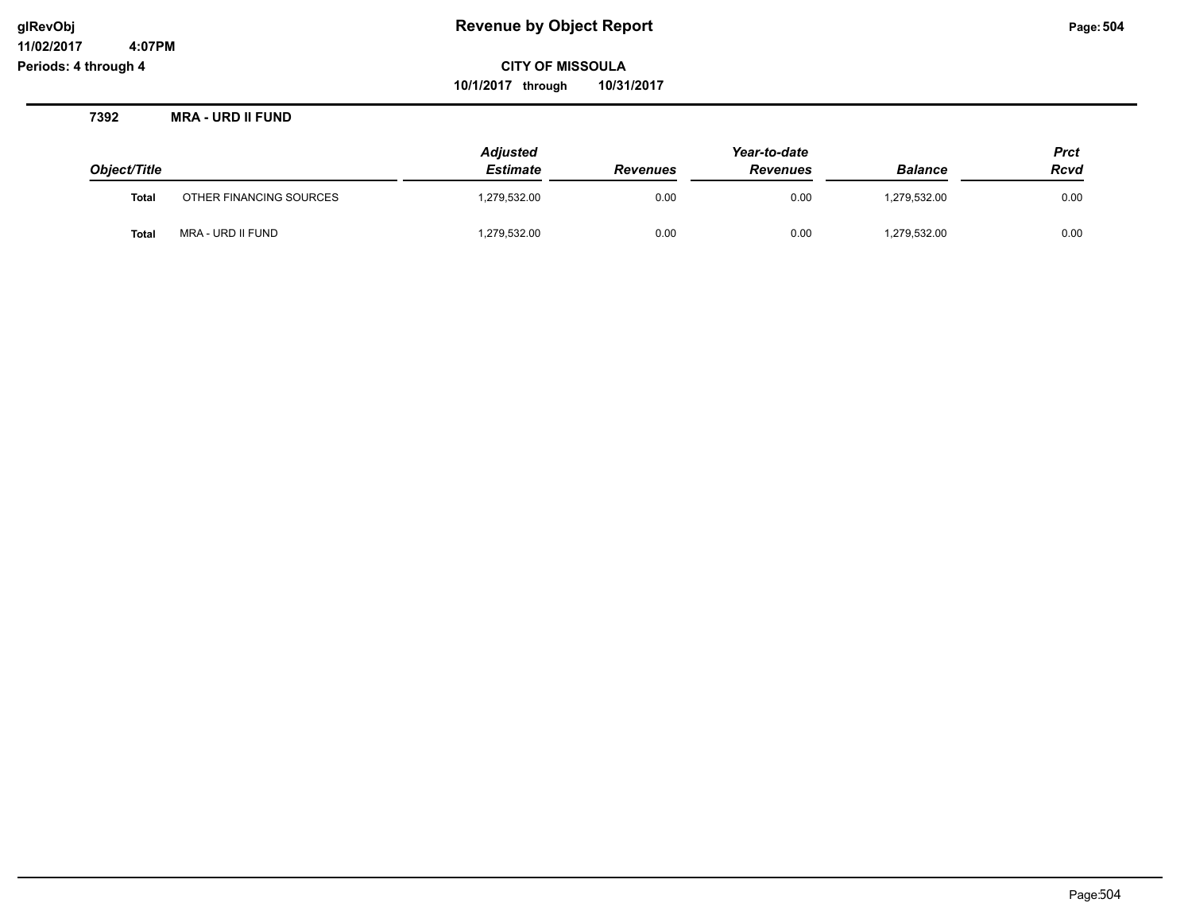**11/02/2017 4:07PM Periods: 4 through 4**

**CITY OF MISSOULA**

**10/1/2017 through 10/31/2017**

**7392 MRA - URD II FUND**

|              |                         | <b>Adjusted</b> |                 | Year-to-date   |              | <b>Prct</b> |
|--------------|-------------------------|-----------------|-----------------|----------------|--------------|-------------|
| Object/Title | Estimate                | <b>Revenues</b> | <b>Revenues</b> | <b>Balance</b> | <b>Rcvd</b>  |             |
| Total        | OTHER FINANCING SOURCES | 1,279,532.00    | 0.00            | 0.00           | 1.279.532.00 | 0.00        |
| Tota         | MRA - URD II FUND       | 1,279,532.00    | 0.00            | 0.00           | 1,279,532.00 | 0.00        |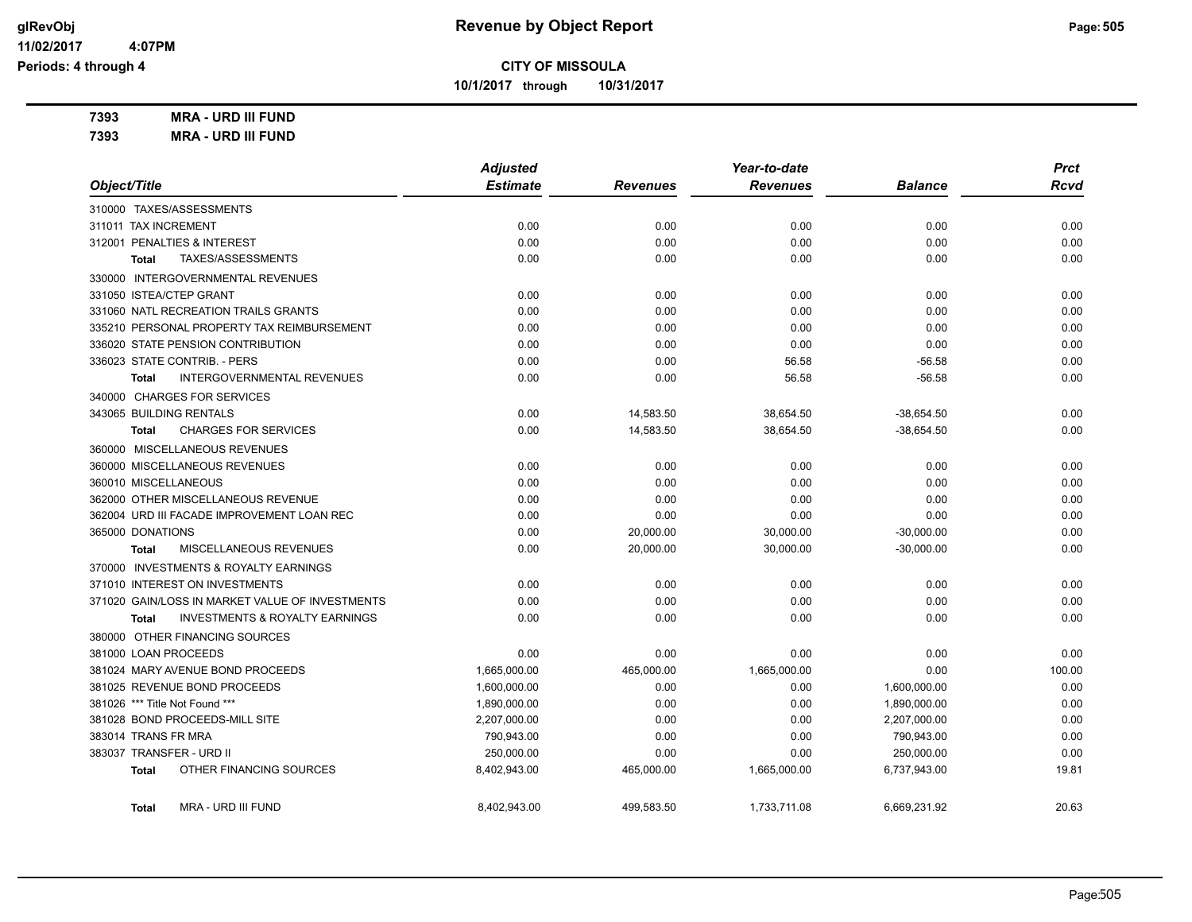**10/1/2017 through 10/31/2017**

**7393 MRA - URD III FUND**

**7393 MRA - URD III FUND**

|                                                           | <b>Adjusted</b> |                 | Year-to-date    |                | <b>Prct</b> |
|-----------------------------------------------------------|-----------------|-----------------|-----------------|----------------|-------------|
| Object/Title                                              | <b>Estimate</b> | <b>Revenues</b> | <b>Revenues</b> | <b>Balance</b> | <b>Rcvd</b> |
| 310000 TAXES/ASSESSMENTS                                  |                 |                 |                 |                |             |
| 311011 TAX INCREMENT                                      | 0.00            | 0.00            | 0.00            | 0.00           | 0.00        |
| 312001 PENALTIES & INTEREST                               | 0.00            | 0.00            | 0.00            | 0.00           | 0.00        |
| TAXES/ASSESSMENTS<br><b>Total</b>                         | 0.00            | 0.00            | 0.00            | 0.00           | 0.00        |
| 330000 INTERGOVERNMENTAL REVENUES                         |                 |                 |                 |                |             |
| 331050 ISTEA/CTEP GRANT                                   | 0.00            | 0.00            | 0.00            | 0.00           | 0.00        |
| 331060 NATL RECREATION TRAILS GRANTS                      | 0.00            | 0.00            | 0.00            | 0.00           | 0.00        |
| 335210 PERSONAL PROPERTY TAX REIMBURSEMENT                | 0.00            | 0.00            | 0.00            | 0.00           | 0.00        |
| 336020 STATE PENSION CONTRIBUTION                         | 0.00            | 0.00            | 0.00            | 0.00           | 0.00        |
| 336023 STATE CONTRIB. - PERS                              | 0.00            | 0.00            | 56.58           | $-56.58$       | 0.00        |
| <b>INTERGOVERNMENTAL REVENUES</b><br><b>Total</b>         | 0.00            | 0.00            | 56.58           | $-56.58$       | 0.00        |
| 340000 CHARGES FOR SERVICES                               |                 |                 |                 |                |             |
| 343065 BUILDING RENTALS                                   | 0.00            | 14,583.50       | 38,654.50       | $-38,654.50$   | 0.00        |
| <b>CHARGES FOR SERVICES</b><br><b>Total</b>               | 0.00            | 14,583.50       | 38,654.50       | $-38,654.50$   | 0.00        |
| 360000 MISCELLANEOUS REVENUES                             |                 |                 |                 |                |             |
| 360000 MISCELLANEOUS REVENUES                             | 0.00            | 0.00            | 0.00            | 0.00           | 0.00        |
| 360010 MISCELLANEOUS                                      | 0.00            | 0.00            | 0.00            | 0.00           | 0.00        |
| 362000 OTHER MISCELLANEOUS REVENUE                        | 0.00            | 0.00            | 0.00            | 0.00           | 0.00        |
| 362004 URD III FACADE IMPROVEMENT LOAN REC                | 0.00            | 0.00            | 0.00            | 0.00           | 0.00        |
| 365000 DONATIONS                                          | 0.00            | 20,000.00       | 30,000.00       | $-30,000.00$   | 0.00        |
| MISCELLANEOUS REVENUES<br><b>Total</b>                    | 0.00            | 20,000.00       | 30,000.00       | $-30,000.00$   | 0.00        |
| 370000 INVESTMENTS & ROYALTY EARNINGS                     |                 |                 |                 |                |             |
| 371010 INTEREST ON INVESTMENTS                            | 0.00            | 0.00            | 0.00            | 0.00           | 0.00        |
| 371020 GAIN/LOSS IN MARKET VALUE OF INVESTMENTS           | 0.00            | 0.00            | 0.00            | 0.00           | 0.00        |
| <b>INVESTMENTS &amp; ROYALTY EARNINGS</b><br><b>Total</b> | 0.00            | 0.00            | 0.00            | 0.00           | 0.00        |
| 380000 OTHER FINANCING SOURCES                            |                 |                 |                 |                |             |
| 381000 LOAN PROCEEDS                                      | 0.00            | 0.00            | 0.00            | 0.00           | 0.00        |
| 381024 MARY AVENUE BOND PROCEEDS                          | 1,665,000.00    | 465,000.00      | 1,665,000.00    | 0.00           | 100.00      |
| 381025 REVENUE BOND PROCEEDS                              | 1,600,000.00    | 0.00            | 0.00            | 1,600,000.00   | 0.00        |
| 381026 *** Title Not Found ***                            | 1,890,000.00    | 0.00            | 0.00            | 1,890,000.00   | 0.00        |
| 381028 BOND PROCEEDS-MILL SITE                            | 2,207,000.00    | 0.00            | 0.00            | 2,207,000.00   | 0.00        |
| 383014 TRANS FR MRA                                       | 790,943.00      | 0.00            | 0.00            | 790,943.00     | 0.00        |
| 383037 TRANSFER - URD II                                  | 250,000.00      | 0.00            | 0.00            | 250,000.00     | 0.00        |
| OTHER FINANCING SOURCES<br>Total                          | 8,402,943.00    | 465,000.00      | 1,665,000.00    | 6,737,943.00   | 19.81       |
| MRA - URD III FUND<br><b>Total</b>                        | 8,402,943.00    | 499,583.50      | 1,733,711.08    | 6,669,231.92   | 20.63       |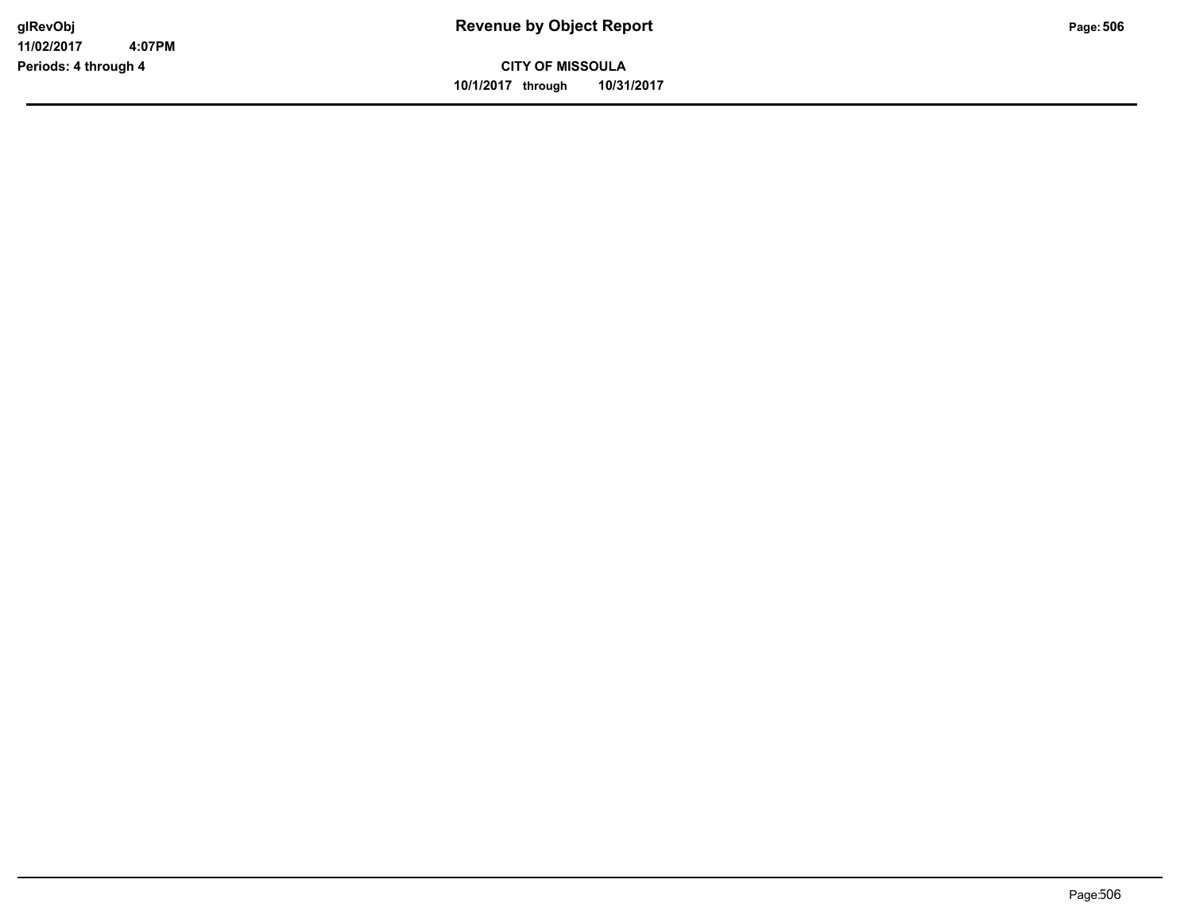**CITY OF MISSOULA 10/1/2017 through 10/31/2017**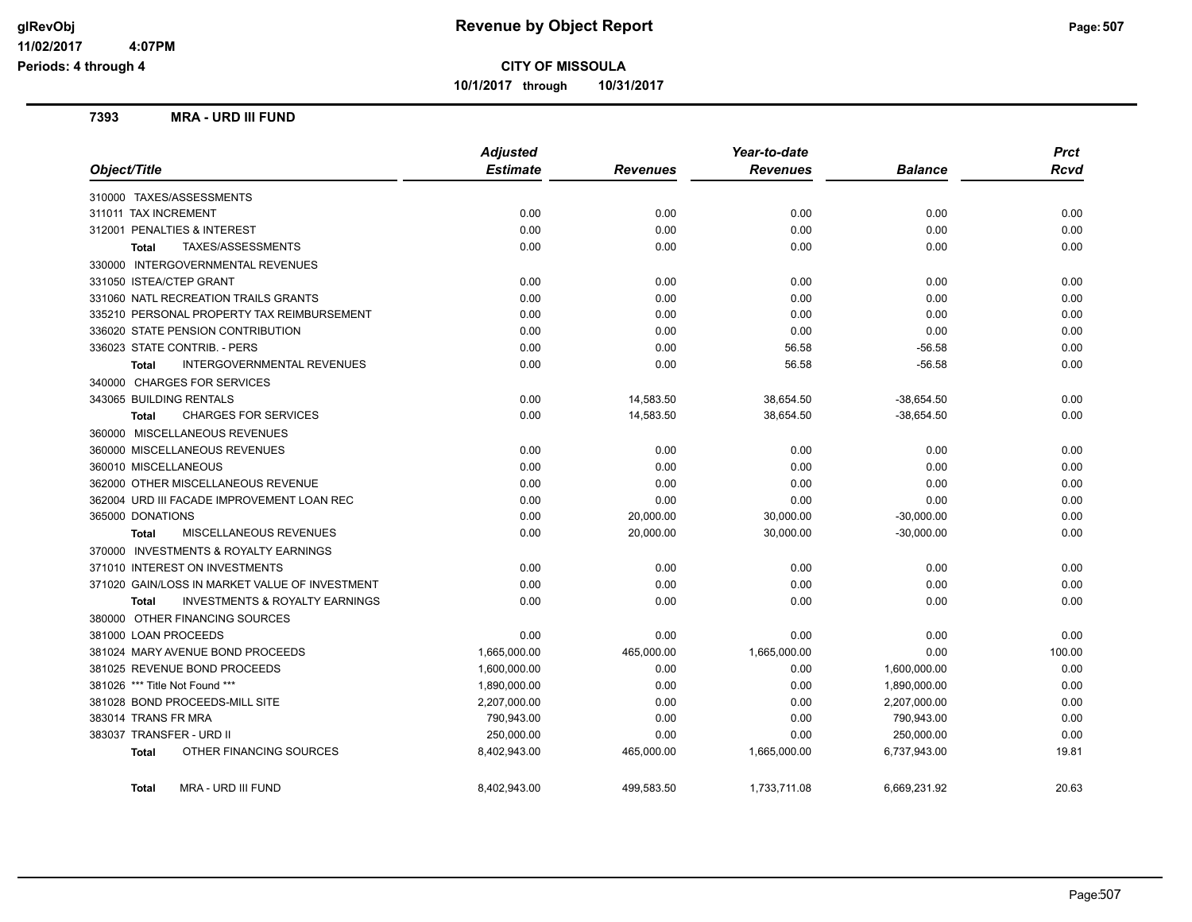**Periods: 4 through 4**

**CITY OF MISSOULA**

**10/1/2017 through 10/31/2017**

# **7393 MRA - URD III FUND**

 **4:07PM**

| Object/Title                                       | <b>Adjusted</b><br><b>Estimate</b> | <b>Revenues</b> | Year-to-date<br><b>Revenues</b> | <b>Balance</b> | <b>Prct</b><br><b>Rcvd</b> |
|----------------------------------------------------|------------------------------------|-----------------|---------------------------------|----------------|----------------------------|
| 310000 TAXES/ASSESSMENTS                           |                                    |                 |                                 |                |                            |
| 311011 TAX INCREMENT                               | 0.00                               | 0.00            | 0.00                            | 0.00           | 0.00                       |
| 312001 PENALTIES & INTEREST                        | 0.00                               | 0.00            | 0.00                            | 0.00           | 0.00                       |
| TAXES/ASSESSMENTS<br>Total                         | 0.00                               | 0.00            | 0.00                            | 0.00           | 0.00                       |
| 330000 INTERGOVERNMENTAL REVENUES                  |                                    |                 |                                 |                |                            |
| 331050 ISTEA/CTEP GRANT                            | 0.00                               | 0.00            | 0.00                            | 0.00           | 0.00                       |
| 331060 NATL RECREATION TRAILS GRANTS               | 0.00                               | 0.00            | 0.00                            | 0.00           | 0.00                       |
| 335210 PERSONAL PROPERTY TAX REIMBURSEMENT         | 0.00                               | 0.00            | 0.00                            | 0.00           | 0.00                       |
| 336020 STATE PENSION CONTRIBUTION                  | 0.00                               | 0.00            | 0.00                            | 0.00           | 0.00                       |
| 336023 STATE CONTRIB. - PERS                       | 0.00                               | 0.00            | 56.58                           | $-56.58$       | 0.00                       |
| <b>INTERGOVERNMENTAL REVENUES</b><br>Total         | 0.00                               | 0.00            | 56.58                           | $-56.58$       | 0.00                       |
| 340000 CHARGES FOR SERVICES                        |                                    |                 |                                 |                |                            |
| 343065 BUILDING RENTALS                            | 0.00                               | 14,583.50       | 38,654.50                       | $-38,654.50$   | 0.00                       |
| <b>CHARGES FOR SERVICES</b><br>Total               | 0.00                               | 14,583.50       | 38,654.50                       | $-38,654.50$   | 0.00                       |
| 360000 MISCELLANEOUS REVENUES                      |                                    |                 |                                 |                |                            |
| 360000 MISCELLANEOUS REVENUES                      | 0.00                               | 0.00            | 0.00                            | 0.00           | 0.00                       |
| 360010 MISCELLANEOUS                               | 0.00                               | 0.00            | 0.00                            | 0.00           | 0.00                       |
| 362000 OTHER MISCELLANEOUS REVENUE                 | 0.00                               | 0.00            | 0.00                            | 0.00           | 0.00                       |
| 362004 URD III FACADE IMPROVEMENT LOAN REC         | 0.00                               | 0.00            | 0.00                            | 0.00           | 0.00                       |
| 365000 DONATIONS                                   | 0.00                               | 20,000.00       | 30,000.00                       | $-30,000.00$   | 0.00                       |
| <b>MISCELLANEOUS REVENUES</b><br>Total             | 0.00                               | 20,000.00       | 30,000.00                       | $-30,000.00$   | 0.00                       |
| 370000 INVESTMENTS & ROYALTY EARNINGS              |                                    |                 |                                 |                |                            |
| 371010 INTEREST ON INVESTMENTS                     | 0.00                               | 0.00            | 0.00                            | 0.00           | 0.00                       |
| 371020 GAIN/LOSS IN MARKET VALUE OF INVESTMENT     | 0.00                               | 0.00            | 0.00                            | 0.00           | 0.00                       |
| <b>INVESTMENTS &amp; ROYALTY EARNINGS</b><br>Total | 0.00                               | 0.00            | 0.00                            | 0.00           | 0.00                       |
| 380000 OTHER FINANCING SOURCES                     |                                    |                 |                                 |                |                            |
| 381000 LOAN PROCEEDS                               | 0.00                               | 0.00            | 0.00                            | 0.00           | 0.00                       |
| 381024 MARY AVENUE BOND PROCEEDS                   | 1,665,000.00                       | 465,000.00      | 1,665,000.00                    | 0.00           | 100.00                     |
| 381025 REVENUE BOND PROCEEDS                       | 1,600,000.00                       | 0.00            | 0.00                            | 1,600,000.00   | 0.00                       |
| 381026 *** Title Not Found ***                     | 1,890,000.00                       | 0.00            | 0.00                            | 1,890,000.00   | 0.00                       |
| 381028 BOND PROCEEDS-MILL SITE                     | 2,207,000.00                       | 0.00            | 0.00                            | 2,207,000.00   | 0.00                       |
| 383014 TRANS FR MRA                                | 790,943.00                         | 0.00            | 0.00                            | 790,943.00     | 0.00                       |
| 383037 TRANSFER - URD II                           | 250,000.00                         | 0.00            | 0.00                            | 250,000.00     | 0.00                       |
| OTHER FINANCING SOURCES<br>Total                   | 8,402,943.00                       | 465,000.00      | 1,665,000.00                    | 6,737,943.00   | 19.81                      |
| MRA - URD III FUND<br>Total                        | 8,402,943.00                       | 499,583.50      | 1,733,711.08                    | 6,669,231.92   | 20.63                      |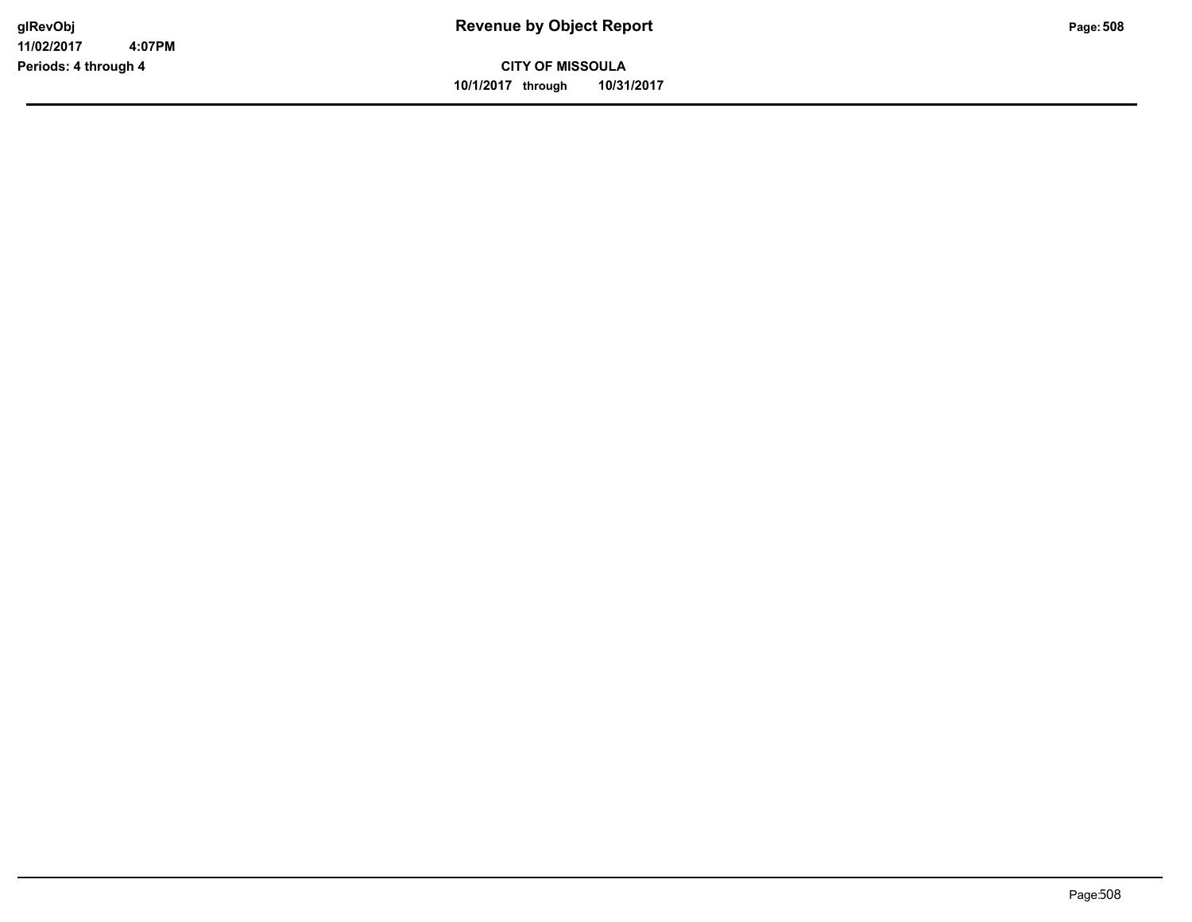**CITY OF MISSOULA 10/1/2017 through 10/31/2017**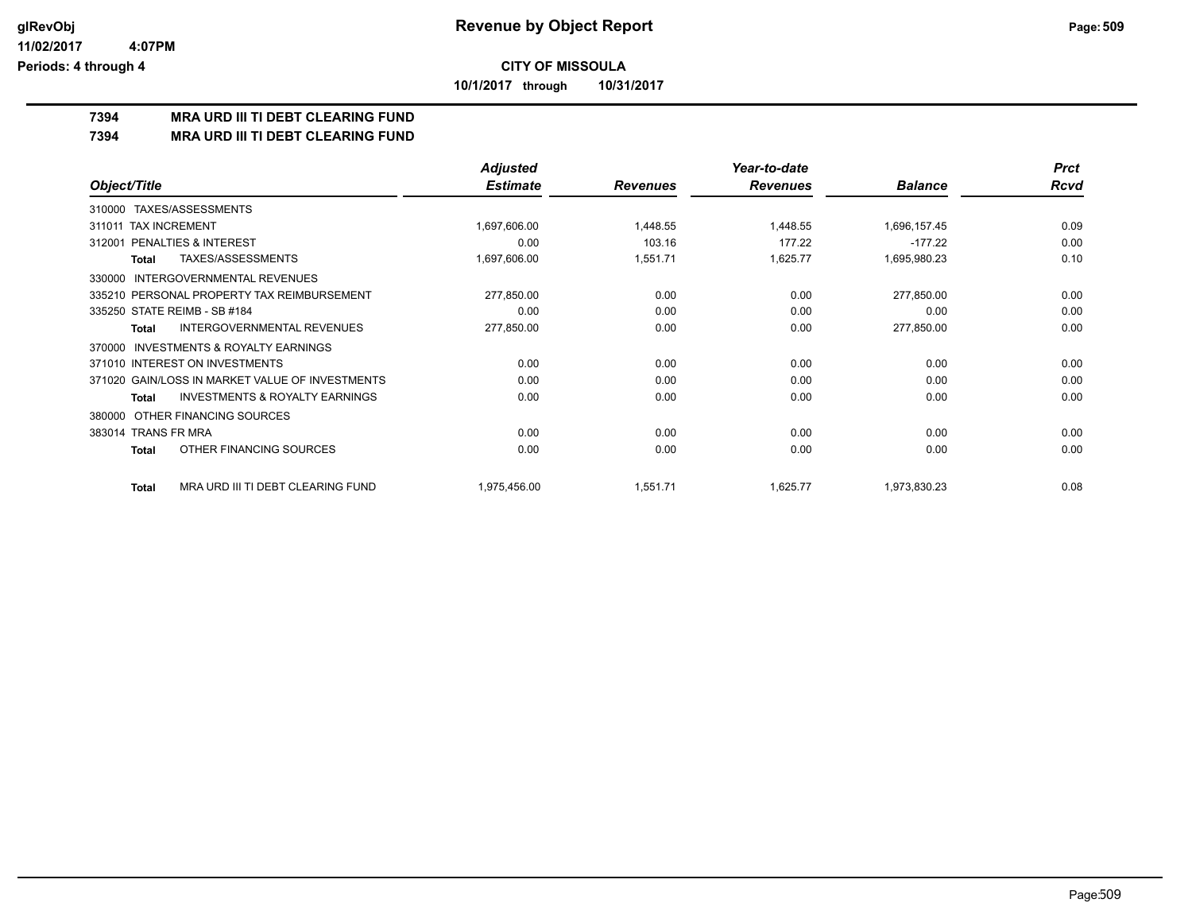**10/1/2017 through 10/31/2017**

# **7394 MRA URD III TI DEBT CLEARING FUND**

**7394 MRA URD III TI DEBT CLEARING FUND**

|                                                     | <b>Adjusted</b> |                 | Year-to-date    |                | <b>Prct</b> |
|-----------------------------------------------------|-----------------|-----------------|-----------------|----------------|-------------|
| Object/Title                                        | <b>Estimate</b> | <b>Revenues</b> | <b>Revenues</b> | <b>Balance</b> | Rcvd        |
| TAXES/ASSESSMENTS<br>310000                         |                 |                 |                 |                |             |
| <b>TAX INCREMENT</b><br>311011                      | 1,697,606.00    | 1,448.55        | 1,448.55        | 1,696,157.45   | 0.09        |
| PENALTIES & INTEREST<br>312001                      | 0.00            | 103.16          | 177.22          | $-177.22$      | 0.00        |
| <b>TAXES/ASSESSMENTS</b><br>Total                   | 1,697,606.00    | 1,551.71        | 1,625.77        | 1,695,980.23   | 0.10        |
| INTERGOVERNMENTAL REVENUES<br>330000                |                 |                 |                 |                |             |
| 335210 PERSONAL PROPERTY TAX REIMBURSEMENT          | 277,850.00      | 0.00            | 0.00            | 277,850.00     | 0.00        |
| 335250 STATE REIMB - SB #184                        | 0.00            | 0.00            | 0.00            | 0.00           | 0.00        |
| INTERGOVERNMENTAL REVENUES<br>Total                 | 277,850.00      | 0.00            | 0.00            | 277,850.00     | 0.00        |
| <b>INVESTMENTS &amp; ROYALTY EARNINGS</b><br>370000 |                 |                 |                 |                |             |
| 371010 INTEREST ON INVESTMENTS                      | 0.00            | 0.00            | 0.00            | 0.00           | 0.00        |
| 371020 GAIN/LOSS IN MARKET VALUE OF INVESTMENTS     | 0.00            | 0.00            | 0.00            | 0.00           | 0.00        |
| <b>INVESTMENTS &amp; ROYALTY EARNINGS</b><br>Total  | 0.00            | 0.00            | 0.00            | 0.00           | 0.00        |
| OTHER FINANCING SOURCES<br>380000                   |                 |                 |                 |                |             |
| 383014 TRANS FR MRA                                 | 0.00            | 0.00            | 0.00            | 0.00           | 0.00        |
| OTHER FINANCING SOURCES<br><b>Total</b>             | 0.00            | 0.00            | 0.00            | 0.00           | 0.00        |
| MRA URD III TI DEBT CLEARING FUND<br><b>Total</b>   | 1,975,456.00    | 1,551.71        | 1,625.77        | 1,973,830.23   | 0.08        |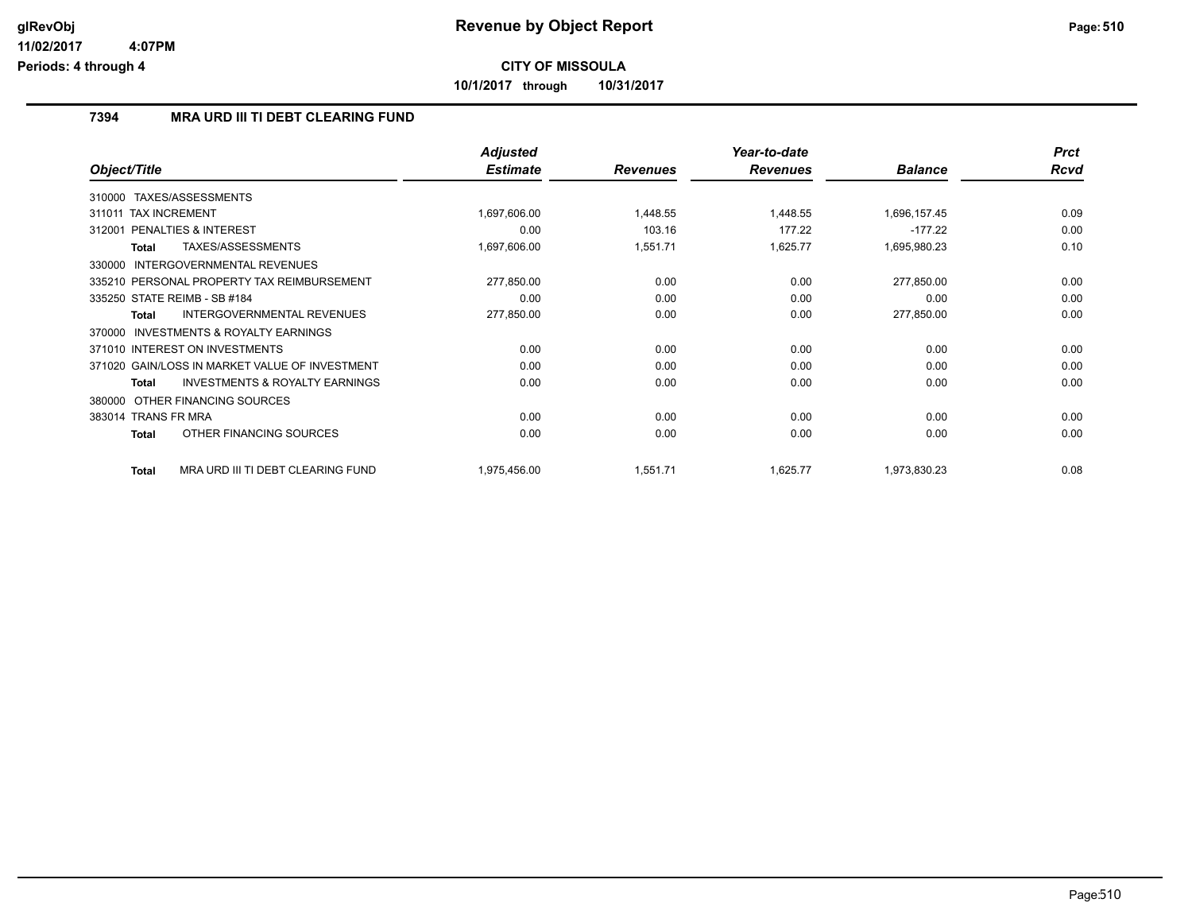**10/1/2017 through 10/31/2017**

## **7394 MRA URD III TI DEBT CLEARING FUND**

|                                                           | <b>Adjusted</b> |                 | Year-to-date    |                | <b>Prct</b> |
|-----------------------------------------------------------|-----------------|-----------------|-----------------|----------------|-------------|
| Object/Title                                              | <b>Estimate</b> | <b>Revenues</b> | <b>Revenues</b> | <b>Balance</b> | <b>Rcvd</b> |
| 310000 TAXES/ASSESSMENTS                                  |                 |                 |                 |                |             |
| 311011 TAX INCREMENT                                      | 1,697,606.00    | 1,448.55        | 1,448.55        | 1,696,157.45   | 0.09        |
| 312001 PENALTIES & INTEREST                               | 0.00            | 103.16          | 177.22          | $-177.22$      | 0.00        |
| TAXES/ASSESSMENTS<br><b>Total</b>                         | 1,697,606.00    | 1,551.71        | 1,625.77        | 1,695,980.23   | 0.10        |
| <b>INTERGOVERNMENTAL REVENUES</b><br>330000               |                 |                 |                 |                |             |
| 335210 PERSONAL PROPERTY TAX REIMBURSEMENT                | 277,850.00      | 0.00            | 0.00            | 277,850.00     | 0.00        |
| 335250 STATE REIMB - SB #184                              | 0.00            | 0.00            | 0.00            | 0.00           | 0.00        |
| INTERGOVERNMENTAL REVENUES<br><b>Total</b>                | 277,850.00      | 0.00            | 0.00            | 277,850.00     | 0.00        |
| INVESTMENTS & ROYALTY EARNINGS<br>370000                  |                 |                 |                 |                |             |
| 371010 INTEREST ON INVESTMENTS                            | 0.00            | 0.00            | 0.00            | 0.00           | 0.00        |
| 371020 GAIN/LOSS IN MARKET VALUE OF INVESTMENT            | 0.00            | 0.00            | 0.00            | 0.00           | 0.00        |
| <b>INVESTMENTS &amp; ROYALTY EARNINGS</b><br><b>Total</b> | 0.00            | 0.00            | 0.00            | 0.00           | 0.00        |
| OTHER FINANCING SOURCES<br>380000                         |                 |                 |                 |                |             |
| 383014 TRANS FR MRA                                       | 0.00            | 0.00            | 0.00            | 0.00           | 0.00        |
| OTHER FINANCING SOURCES<br><b>Total</b>                   | 0.00            | 0.00            | 0.00            | 0.00           | 0.00        |
| MRA URD III TI DEBT CLEARING FUND<br>Total                | 1,975,456.00    | 1,551.71        | 1,625.77        | 1,973,830.23   | 0.08        |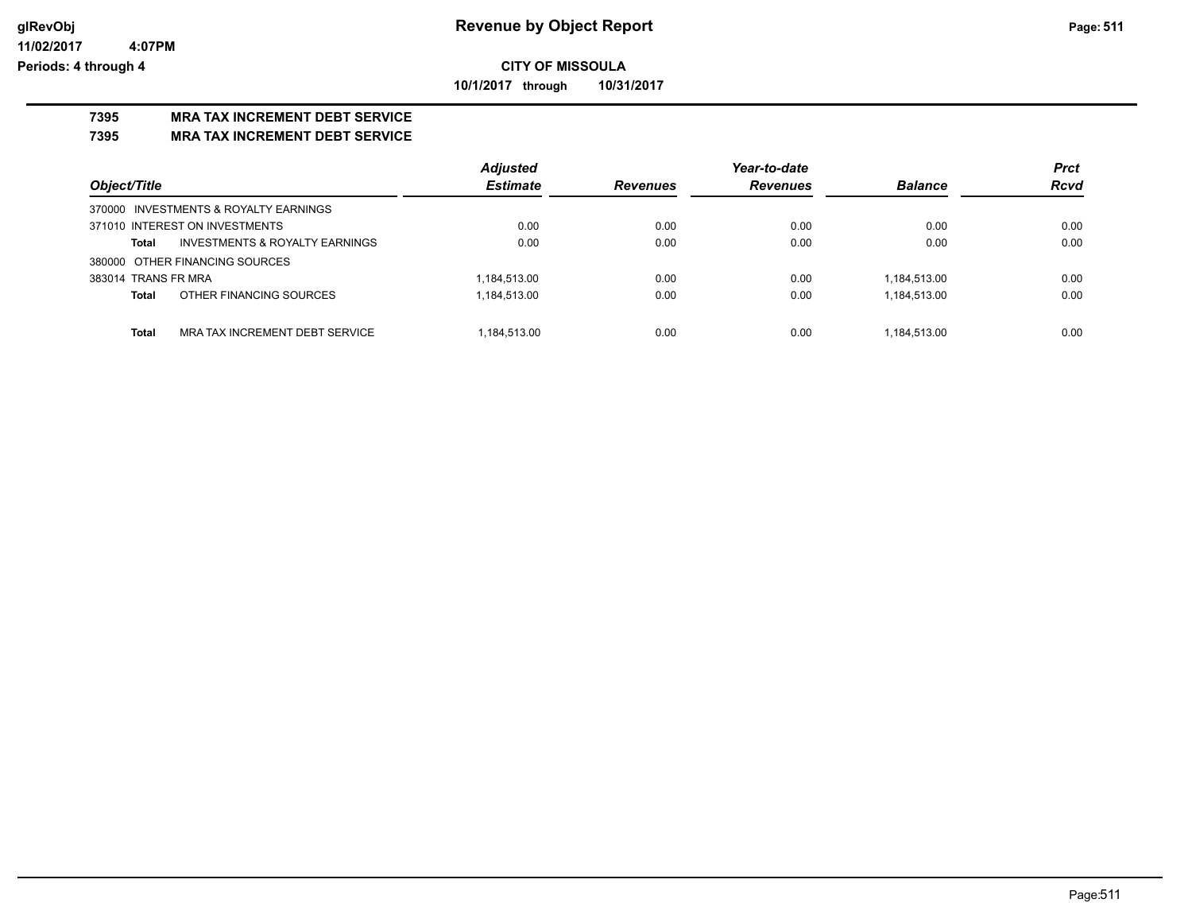**10/1/2017 through 10/31/2017**

# **7395 MRA TAX INCREMENT DEBT SERVICE**

# **7395 MRA TAX INCREMENT DEBT SERVICE**

|                                                    | <b>Adjusted</b> |                 | Year-to-date    |                | <b>Prct</b> |
|----------------------------------------------------|-----------------|-----------------|-----------------|----------------|-------------|
| Object/Title                                       | <b>Estimate</b> | <b>Revenues</b> | <b>Revenues</b> | <b>Balance</b> | <b>Rcvd</b> |
| 370000 INVESTMENTS & ROYALTY EARNINGS              |                 |                 |                 |                |             |
| 371010 INTEREST ON INVESTMENTS                     | 0.00            | 0.00            | 0.00            | 0.00           | 0.00        |
| <b>INVESTMENTS &amp; ROYALTY EARNINGS</b><br>Total | 0.00            | 0.00            | 0.00            | 0.00           | 0.00        |
| 380000 OTHER FINANCING SOURCES                     |                 |                 |                 |                |             |
| 383014 TRANS FR MRA                                | 1,184,513.00    | 0.00            | 0.00            | 1,184,513.00   | 0.00        |
| OTHER FINANCING SOURCES<br>Total                   | 1,184,513.00    | 0.00            | 0.00            | 1,184,513.00   | 0.00        |
|                                                    |                 |                 |                 |                |             |
| MRA TAX INCREMENT DEBT SERVICE<br>Total            | 1.184.513.00    | 0.00            | 0.00            | 1.184.513.00   | 0.00        |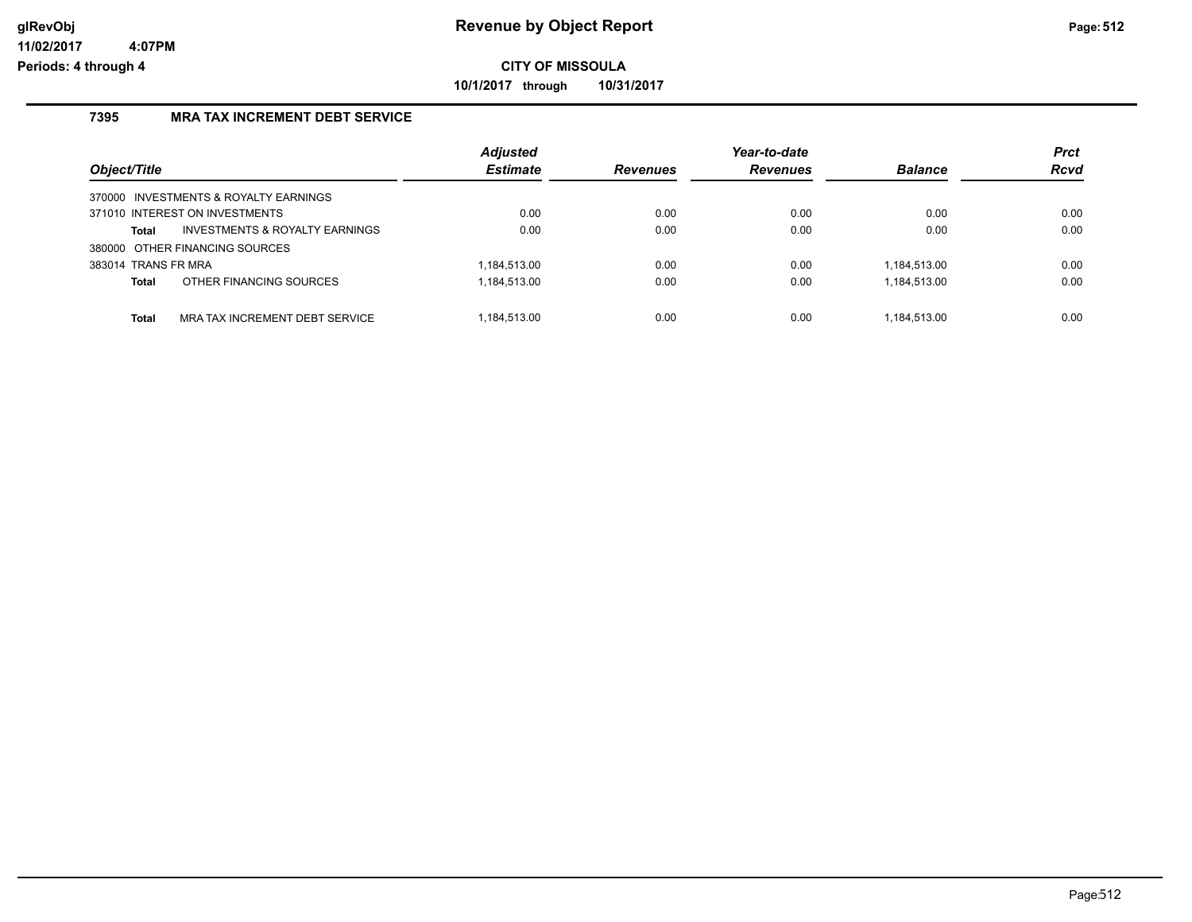**10/1/2017 through 10/31/2017**

## **7395 MRA TAX INCREMENT DEBT SERVICE**

| Object/Title        |                                       | <b>Adjusted</b><br><b>Estimate</b> | <b>Revenues</b> | Year-to-date<br><b>Revenues</b> | <b>Balance</b> | <b>Prct</b><br><b>Rcvd</b> |
|---------------------|---------------------------------------|------------------------------------|-----------------|---------------------------------|----------------|----------------------------|
|                     | 370000 INVESTMENTS & ROYALTY EARNINGS |                                    |                 |                                 |                |                            |
|                     | 371010 INTEREST ON INVESTMENTS        | 0.00                               | 0.00            | 0.00                            | 0.00           | 0.00                       |
| <b>Total</b>        | INVESTMENTS & ROYALTY EARNINGS        | 0.00                               | 0.00            | 0.00                            | 0.00           | 0.00                       |
|                     | 380000 OTHER FINANCING SOURCES        |                                    |                 |                                 |                |                            |
| 383014 TRANS FR MRA |                                       | 1.184.513.00                       | 0.00            | 0.00                            | 1.184.513.00   | 0.00                       |
| <b>Total</b>        | OTHER FINANCING SOURCES               | 1,184,513.00                       | 0.00            | 0.00                            | 1,184,513.00   | 0.00                       |
| <b>Total</b>        | MRA TAX INCREMENT DEBT SERVICE        | 1.184.513.00                       | 0.00            | 0.00                            | 1.184.513.00   | 0.00                       |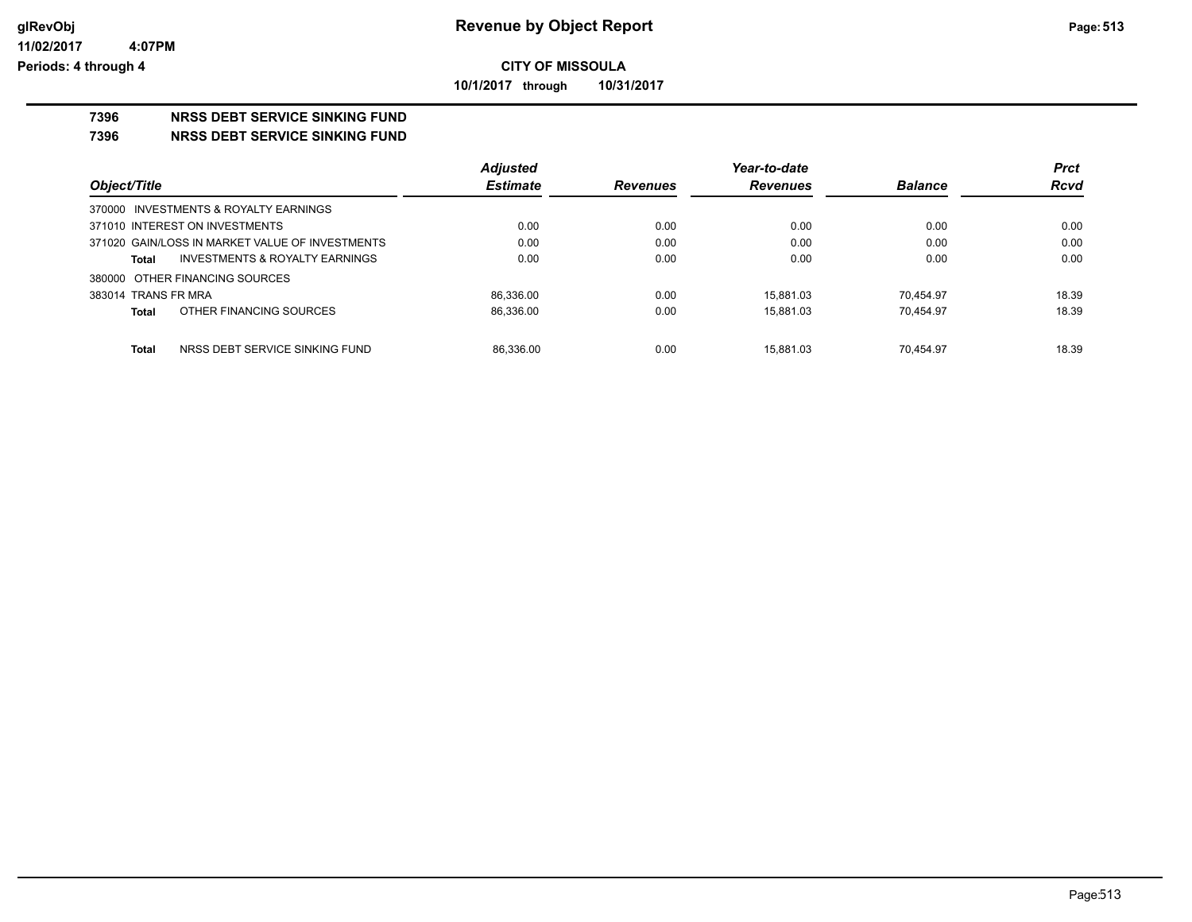**10/1/2017 through 10/31/2017**

# **7396 NRSS DEBT SERVICE SINKING FUND**

**7396 NRSS DEBT SERVICE SINKING FUND**

|                                                 | <b>Adjusted</b> |                 | Year-to-date    |                | <b>Prct</b> |
|-------------------------------------------------|-----------------|-----------------|-----------------|----------------|-------------|
| Object/Title                                    | <b>Estimate</b> | <b>Revenues</b> | <b>Revenues</b> | <b>Balance</b> | <b>Rcvd</b> |
| 370000 INVESTMENTS & ROYALTY EARNINGS           |                 |                 |                 |                |             |
| 371010 INTEREST ON INVESTMENTS                  | 0.00            | 0.00            | 0.00            | 0.00           | 0.00        |
| 371020 GAIN/LOSS IN MARKET VALUE OF INVESTMENTS | 0.00            | 0.00            | 0.00            | 0.00           | 0.00        |
| INVESTMENTS & ROYALTY EARNINGS<br>Total         | 0.00            | 0.00            | 0.00            | 0.00           | 0.00        |
| 380000 OTHER FINANCING SOURCES                  |                 |                 |                 |                |             |
| 383014 TRANS FR MRA                             | 86.336.00       | 0.00            | 15.881.03       | 70.454.97      | 18.39       |
| OTHER FINANCING SOURCES<br>Total                | 86.336.00       | 0.00            | 15.881.03       | 70.454.97      | 18.39       |
|                                                 |                 |                 |                 |                |             |
| Total<br>NRSS DEBT SERVICE SINKING FUND         | 86.336.00       | 0.00            | 15.881.03       | 70.454.97      | 18.39       |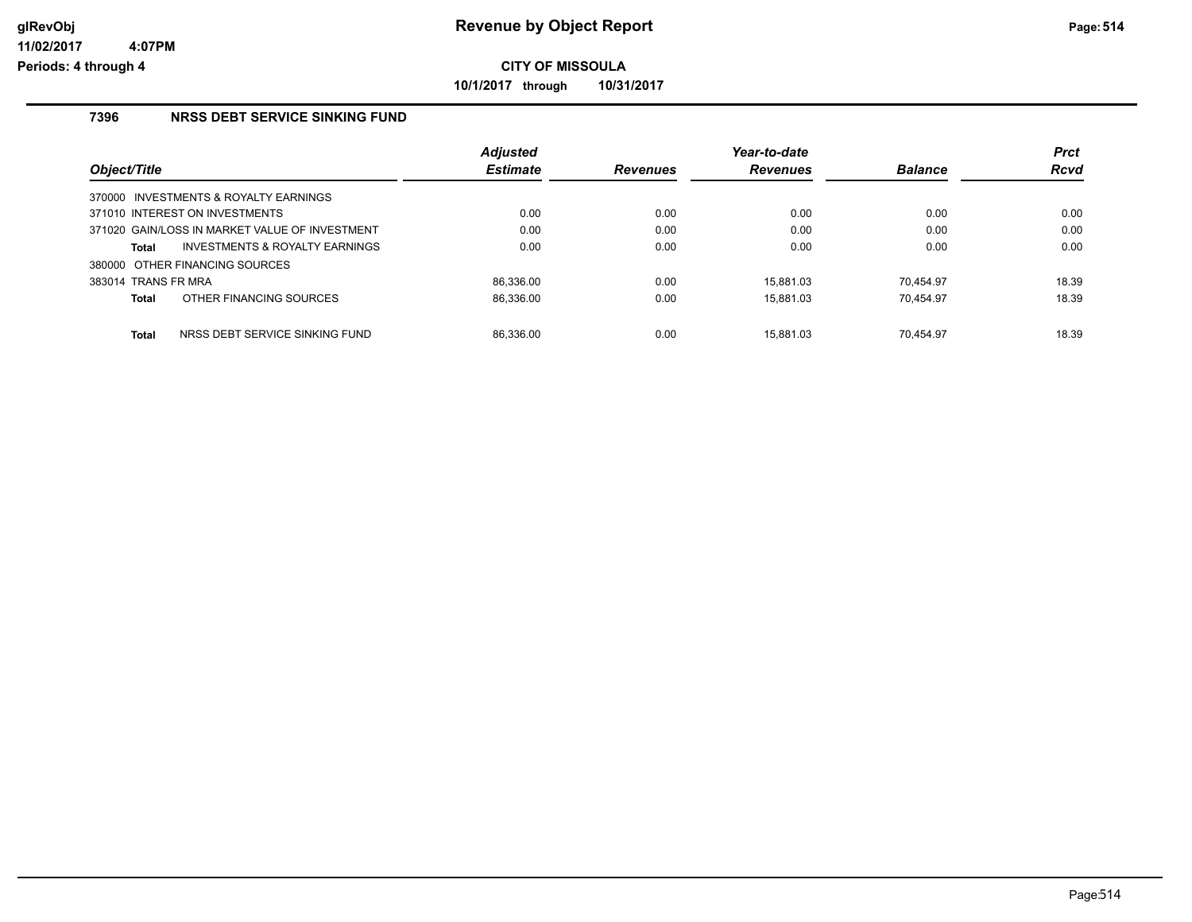**10/1/2017 through 10/31/2017**

## **7396 NRSS DEBT SERVICE SINKING FUND**

|                                |                                                | <b>Adiusted</b> |                 | Year-to-date    |                | <b>Prct</b> |
|--------------------------------|------------------------------------------------|-----------------|-----------------|-----------------|----------------|-------------|
| Object/Title                   |                                                | <b>Estimate</b> | <b>Revenues</b> | <b>Revenues</b> | <b>Balance</b> | <b>Rcvd</b> |
|                                | 370000 INVESTMENTS & ROYALTY EARNINGS          |                 |                 |                 |                |             |
| 371010 INTEREST ON INVESTMENTS |                                                | 0.00            | 0.00            | 0.00            | 0.00           | 0.00        |
|                                | 371020 GAIN/LOSS IN MARKET VALUE OF INVESTMENT | 0.00            | 0.00            | 0.00            | 0.00           | 0.00        |
| Total                          | INVESTMENTS & ROYALTY EARNINGS                 | 0.00            | 0.00            | 0.00            | 0.00           | 0.00        |
| 380000 OTHER FINANCING SOURCES |                                                |                 |                 |                 |                |             |
| 383014 TRANS FR MRA            |                                                | 86.336.00       | 0.00            | 15.881.03       | 70.454.97      | 18.39       |
| <b>Total</b>                   | OTHER FINANCING SOURCES                        | 86.336.00       | 0.00            | 15.881.03       | 70.454.97      | 18.39       |
|                                |                                                |                 |                 |                 |                |             |
| <b>Total</b>                   | NRSS DEBT SERVICE SINKING FUND                 | 86.336.00       | 0.00            | 15.881.03       | 70.454.97      | 18.39       |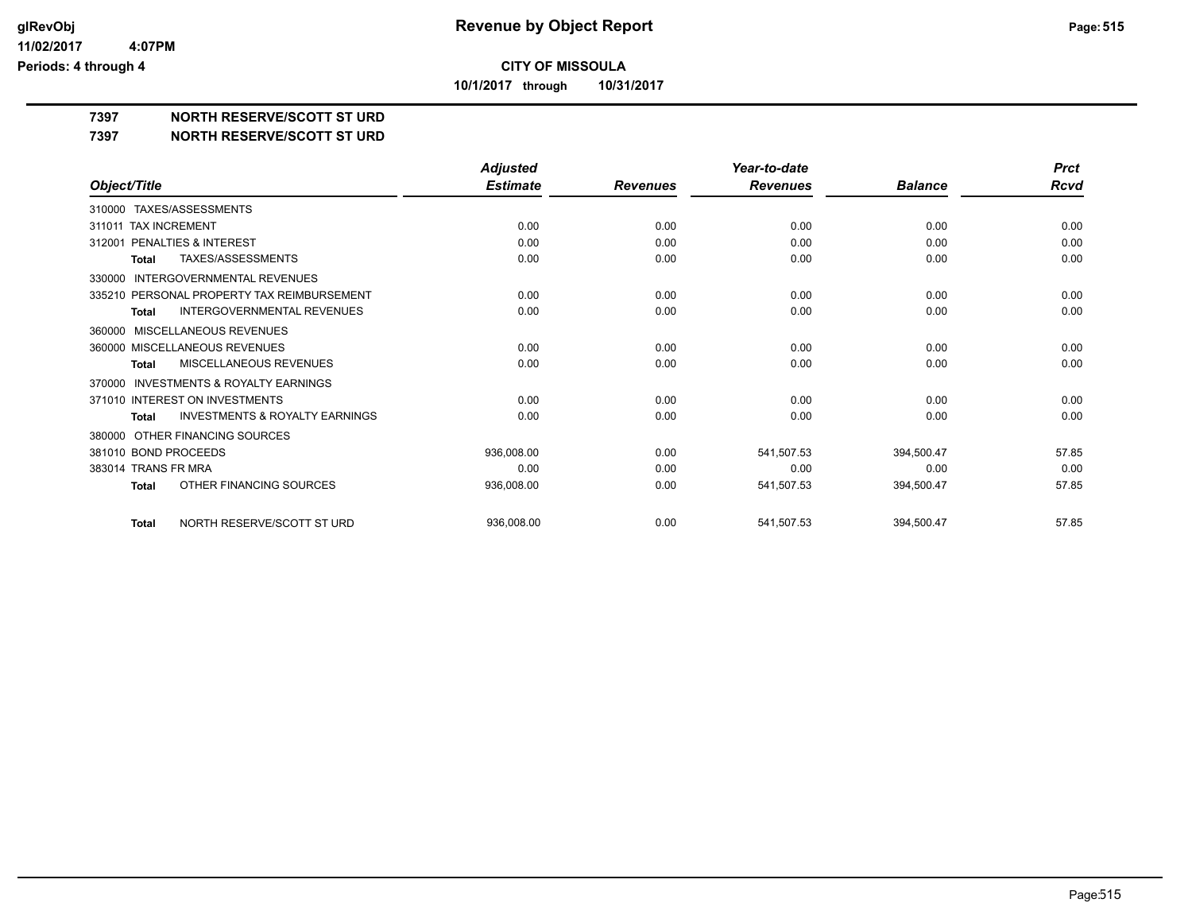**10/1/2017 through 10/31/2017**

**7397 NORTH RESERVE/SCOTT ST URD**

**7397 NORTH RESERVE/SCOTT ST URD**

|                                                           | <b>Adjusted</b> |                 | Year-to-date    |                | <b>Prct</b> |
|-----------------------------------------------------------|-----------------|-----------------|-----------------|----------------|-------------|
| Object/Title                                              | <b>Estimate</b> | <b>Revenues</b> | <b>Revenues</b> | <b>Balance</b> | <b>Rcvd</b> |
| 310000 TAXES/ASSESSMENTS                                  |                 |                 |                 |                |             |
| <b>TAX INCREMENT</b><br>311011                            | 0.00            | 0.00            | 0.00            | 0.00           | 0.00        |
| PENALTIES & INTEREST<br>312001                            | 0.00            | 0.00            | 0.00            | 0.00           | 0.00        |
| TAXES/ASSESSMENTS<br><b>Total</b>                         | 0.00            | 0.00            | 0.00            | 0.00           | 0.00        |
| INTERGOVERNMENTAL REVENUES<br>330000                      |                 |                 |                 |                |             |
| 335210 PERSONAL PROPERTY TAX REIMBURSEMENT                | 0.00            | 0.00            | 0.00            | 0.00           | 0.00        |
| <b>INTERGOVERNMENTAL REVENUES</b><br><b>Total</b>         | 0.00            | 0.00            | 0.00            | 0.00           | 0.00        |
| MISCELLANEOUS REVENUES<br>360000                          |                 |                 |                 |                |             |
| 360000 MISCELLANEOUS REVENUES                             | 0.00            | 0.00            | 0.00            | 0.00           | 0.00        |
| MISCELLANEOUS REVENUES<br><b>Total</b>                    | 0.00            | 0.00            | 0.00            | 0.00           | 0.00        |
| INVESTMENTS & ROYALTY EARNINGS<br>370000                  |                 |                 |                 |                |             |
| 371010 INTEREST ON INVESTMENTS                            | 0.00            | 0.00            | 0.00            | 0.00           | 0.00        |
| <b>INVESTMENTS &amp; ROYALTY EARNINGS</b><br><b>Total</b> | 0.00            | 0.00            | 0.00            | 0.00           | 0.00        |
| OTHER FINANCING SOURCES<br>380000                         |                 |                 |                 |                |             |
| 381010 BOND PROCEEDS                                      | 936,008.00      | 0.00            | 541,507.53      | 394,500.47     | 57.85       |
| 383014 TRANS FR MRA                                       | 0.00            | 0.00            | 0.00            | 0.00           | 0.00        |
| OTHER FINANCING SOURCES<br><b>Total</b>                   | 936,008.00      | 0.00            | 541,507.53      | 394,500.47     | 57.85       |
| NORTH RESERVE/SCOTT ST URD<br><b>Total</b>                | 936,008.00      | 0.00            | 541,507.53      | 394,500.47     | 57.85       |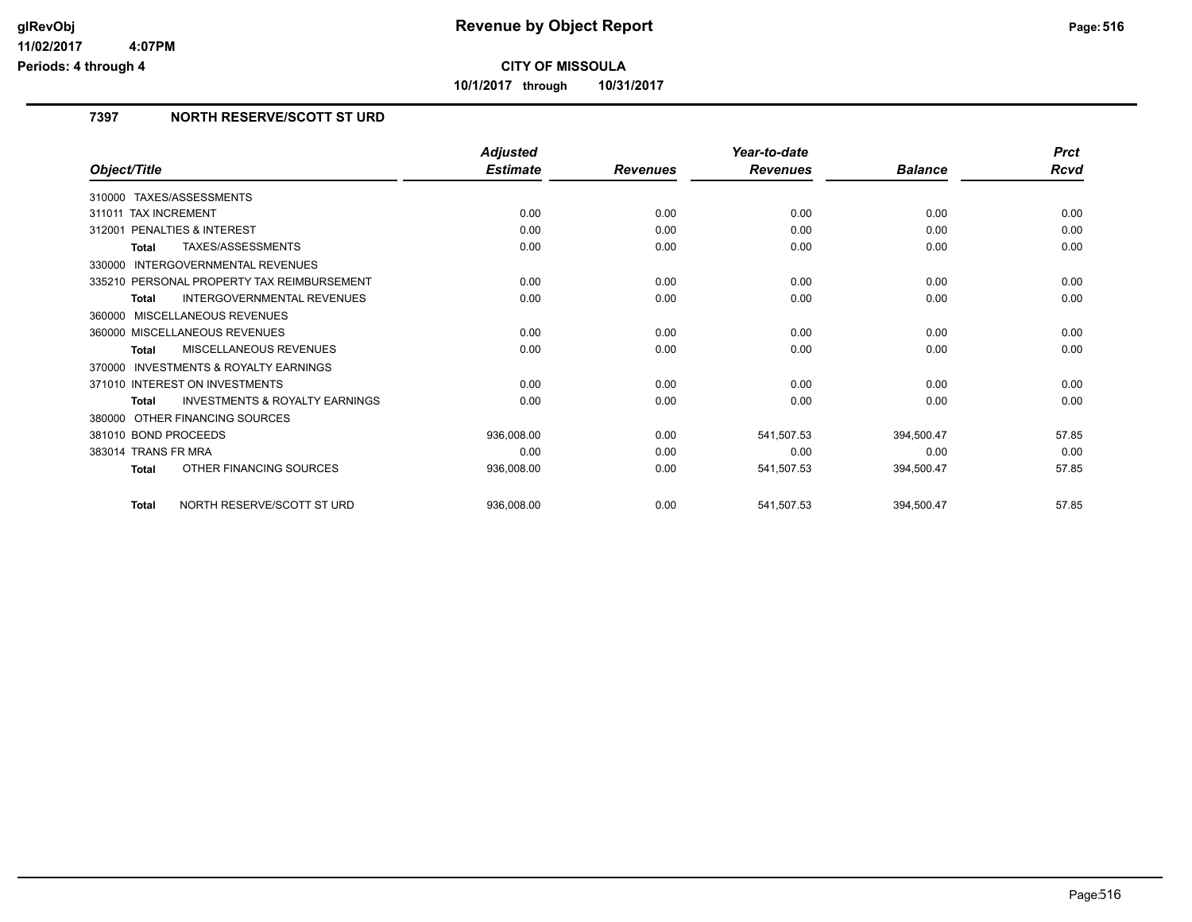**10/1/2017 through 10/31/2017**

# **7397 NORTH RESERVE/SCOTT ST URD**

|                                                           | <b>Adjusted</b> |                 | Year-to-date    |                | <b>Prct</b> |
|-----------------------------------------------------------|-----------------|-----------------|-----------------|----------------|-------------|
| Object/Title                                              | <b>Estimate</b> | <b>Revenues</b> | <b>Revenues</b> | <b>Balance</b> | <b>Rcvd</b> |
| 310000 TAXES/ASSESSMENTS                                  |                 |                 |                 |                |             |
| 311011 TAX INCREMENT                                      | 0.00            | 0.00            | 0.00            | 0.00           | 0.00        |
| PENALTIES & INTEREST<br>312001                            | 0.00            | 0.00            | 0.00            | 0.00           | 0.00        |
| TAXES/ASSESSMENTS<br><b>Total</b>                         | 0.00            | 0.00            | 0.00            | 0.00           | 0.00        |
| <b>INTERGOVERNMENTAL REVENUES</b><br>330000               |                 |                 |                 |                |             |
| 335210 PERSONAL PROPERTY TAX REIMBURSEMENT                | 0.00            | 0.00            | 0.00            | 0.00           | 0.00        |
| <b>INTERGOVERNMENTAL REVENUES</b><br><b>Total</b>         | 0.00            | 0.00            | 0.00            | 0.00           | 0.00        |
| 360000 MISCELLANEOUS REVENUES                             |                 |                 |                 |                |             |
| 360000 MISCELLANEOUS REVENUES                             | 0.00            | 0.00            | 0.00            | 0.00           | 0.00        |
| <b>MISCELLANEOUS REVENUES</b><br><b>Total</b>             | 0.00            | 0.00            | 0.00            | 0.00           | 0.00        |
| 370000 INVESTMENTS & ROYALTY EARNINGS                     |                 |                 |                 |                |             |
| 371010 INTEREST ON INVESTMENTS                            | 0.00            | 0.00            | 0.00            | 0.00           | 0.00        |
| <b>INVESTMENTS &amp; ROYALTY EARNINGS</b><br><b>Total</b> | 0.00            | 0.00            | 0.00            | 0.00           | 0.00        |
| 380000 OTHER FINANCING SOURCES                            |                 |                 |                 |                |             |
| 381010 BOND PROCEEDS                                      | 936,008.00      | 0.00            | 541,507.53      | 394,500.47     | 57.85       |
| 383014 TRANS FR MRA                                       | 0.00            | 0.00            | 0.00            | 0.00           | 0.00        |
| OTHER FINANCING SOURCES<br><b>Total</b>                   | 936,008.00      | 0.00            | 541,507.53      | 394,500.47     | 57.85       |
| NORTH RESERVE/SCOTT ST URD<br><b>Total</b>                | 936,008.00      | 0.00            | 541,507.53      | 394,500.47     | 57.85       |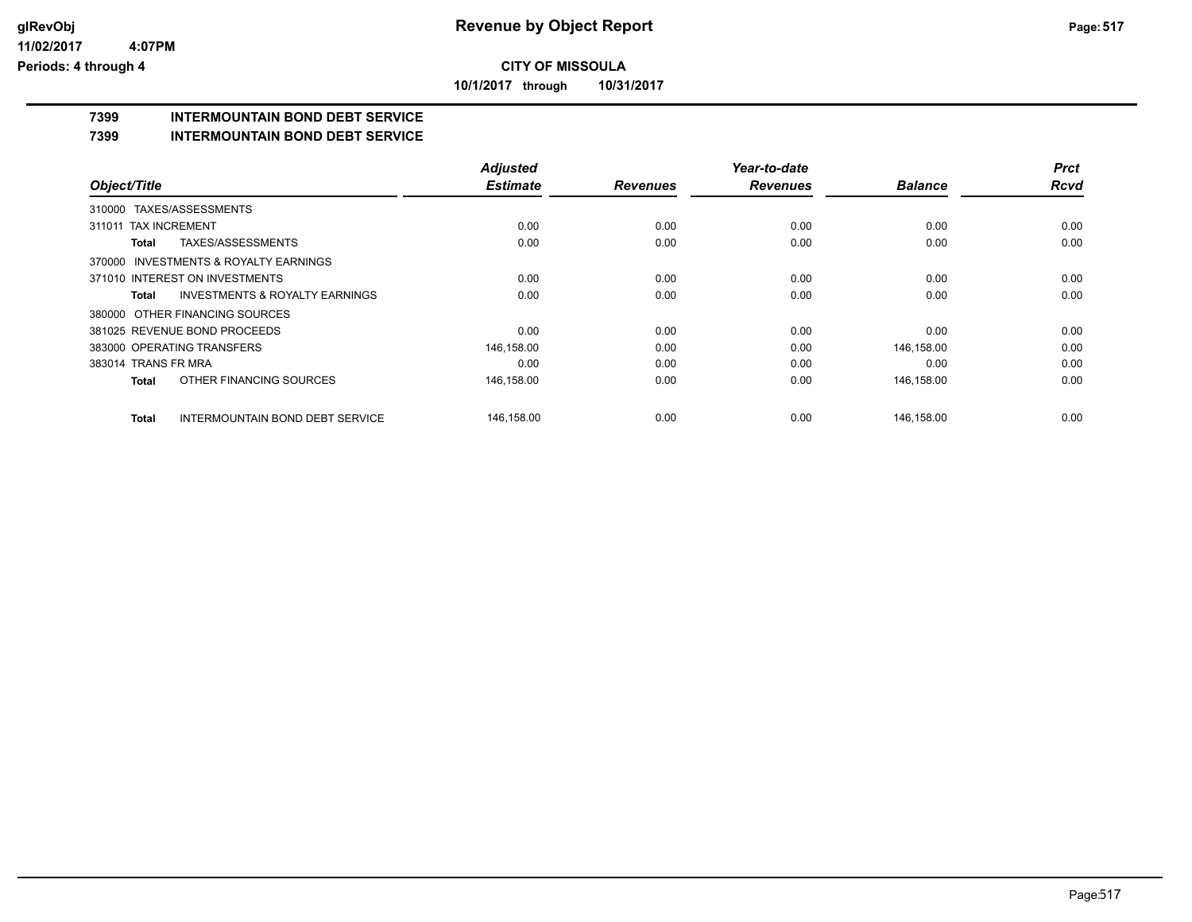**10/1/2017 through 10/31/2017**

# **7399 INTERMOUNTAIN BOND DEBT SERVICE**

# **7399 INTERMOUNTAIN BOND DEBT SERVICE**

|                                                    | <b>Adjusted</b> |                 | Year-to-date    |                | <b>Prct</b> |
|----------------------------------------------------|-----------------|-----------------|-----------------|----------------|-------------|
| Object/Title                                       | <b>Estimate</b> | <b>Revenues</b> | <b>Revenues</b> | <b>Balance</b> | <b>Rcvd</b> |
| 310000 TAXES/ASSESSMENTS                           |                 |                 |                 |                |             |
| <b>TAX INCREMENT</b><br>311011                     | 0.00            | 0.00            | 0.00            | 0.00           | 0.00        |
| TAXES/ASSESSMENTS<br>Total                         | 0.00            | 0.00            | 0.00            | 0.00           | 0.00        |
| 370000 INVESTMENTS & ROYALTY EARNINGS              |                 |                 |                 |                |             |
| 371010 INTEREST ON INVESTMENTS                     | 0.00            | 0.00            | 0.00            | 0.00           | 0.00        |
| <b>INVESTMENTS &amp; ROYALTY EARNINGS</b><br>Total | 0.00            | 0.00            | 0.00            | 0.00           | 0.00        |
| 380000 OTHER FINANCING SOURCES                     |                 |                 |                 |                |             |
| 381025 REVENUE BOND PROCEEDS                       | 0.00            | 0.00            | 0.00            | 0.00           | 0.00        |
| 383000 OPERATING TRANSFERS                         | 146,158.00      | 0.00            | 0.00            | 146,158.00     | 0.00        |
| 383014 TRANS FR MRA                                | 0.00            | 0.00            | 0.00            | 0.00           | 0.00        |
| OTHER FINANCING SOURCES<br>Total                   | 146,158.00      | 0.00            | 0.00            | 146,158.00     | 0.00        |
| <b>INTERMOUNTAIN BOND DEBT SERVICE</b><br>Total    | 146.158.00      | 0.00            | 0.00            | 146.158.00     | 0.00        |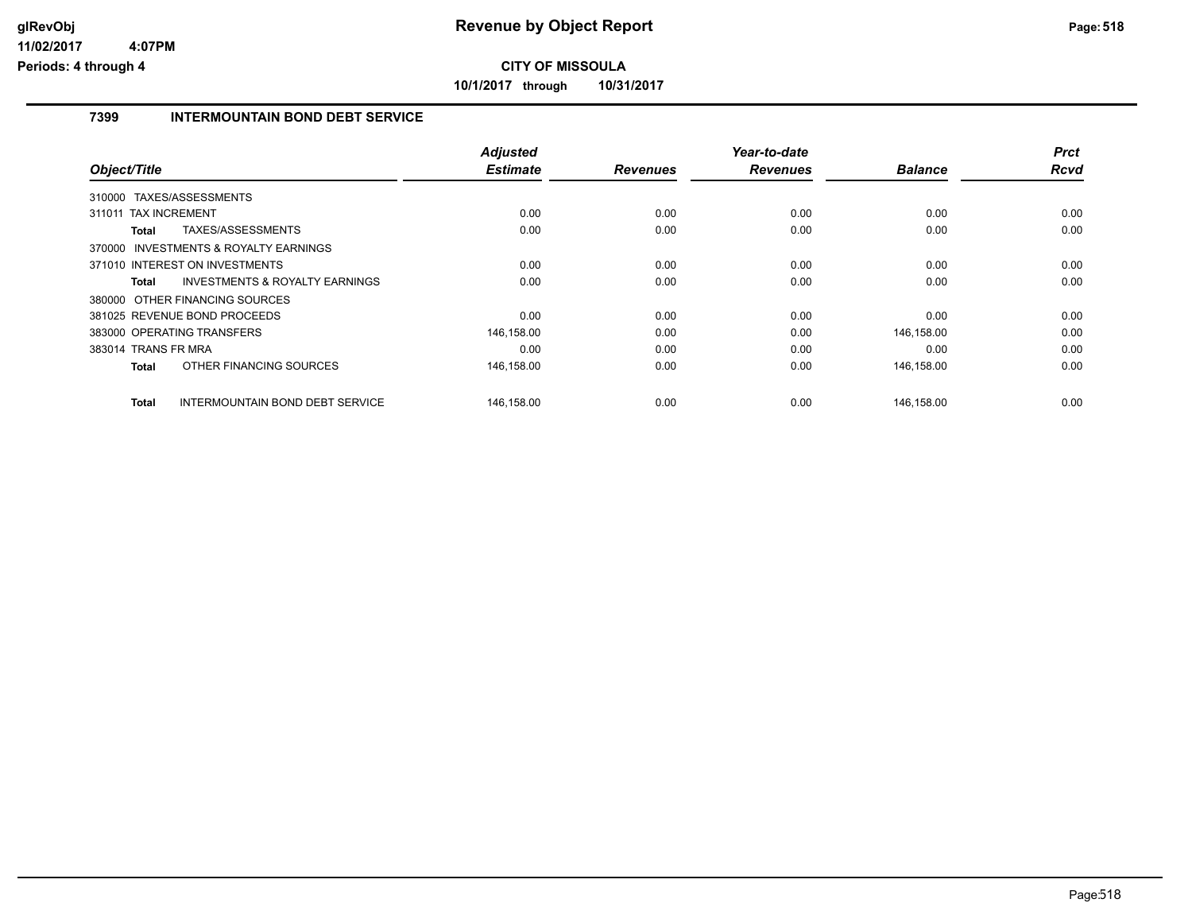**10/1/2017 through 10/31/2017**

## **7399 INTERMOUNTAIN BOND DEBT SERVICE**

| Object/Title                                           | <b>Adjusted</b><br><b>Estimate</b> | <b>Revenues</b> | Year-to-date<br><b>Revenues</b> | <b>Balance</b> | <b>Prct</b><br><b>Rcvd</b> |
|--------------------------------------------------------|------------------------------------|-----------------|---------------------------------|----------------|----------------------------|
|                                                        |                                    |                 |                                 |                |                            |
| 310000 TAXES/ASSESSMENTS                               |                                    |                 |                                 |                |                            |
| 311011 TAX INCREMENT                                   | 0.00                               | 0.00            | 0.00                            | 0.00           | 0.00                       |
| TAXES/ASSESSMENTS<br><b>Total</b>                      | 0.00                               | 0.00            | 0.00                            | 0.00           | 0.00                       |
| 370000 INVESTMENTS & ROYALTY EARNINGS                  |                                    |                 |                                 |                |                            |
| 371010 INTEREST ON INVESTMENTS                         | 0.00                               | 0.00            | 0.00                            | 0.00           | 0.00                       |
| <b>INVESTMENTS &amp; ROYALTY EARNINGS</b><br>Total     | 0.00                               | 0.00            | 0.00                            | 0.00           | 0.00                       |
| 380000 OTHER FINANCING SOURCES                         |                                    |                 |                                 |                |                            |
| 381025 REVENUE BOND PROCEEDS                           | 0.00                               | 0.00            | 0.00                            | 0.00           | 0.00                       |
| 383000 OPERATING TRANSFERS                             | 146,158.00                         | 0.00            | 0.00                            | 146,158.00     | 0.00                       |
| 383014 TRANS FR MRA                                    | 0.00                               | 0.00            | 0.00                            | 0.00           | 0.00                       |
| OTHER FINANCING SOURCES<br><b>Total</b>                | 146,158.00                         | 0.00            | 0.00                            | 146,158.00     | 0.00                       |
| <b>INTERMOUNTAIN BOND DEBT SERVICE</b><br><b>Total</b> | 146,158.00                         | 0.00            | 0.00                            | 146,158.00     | 0.00                       |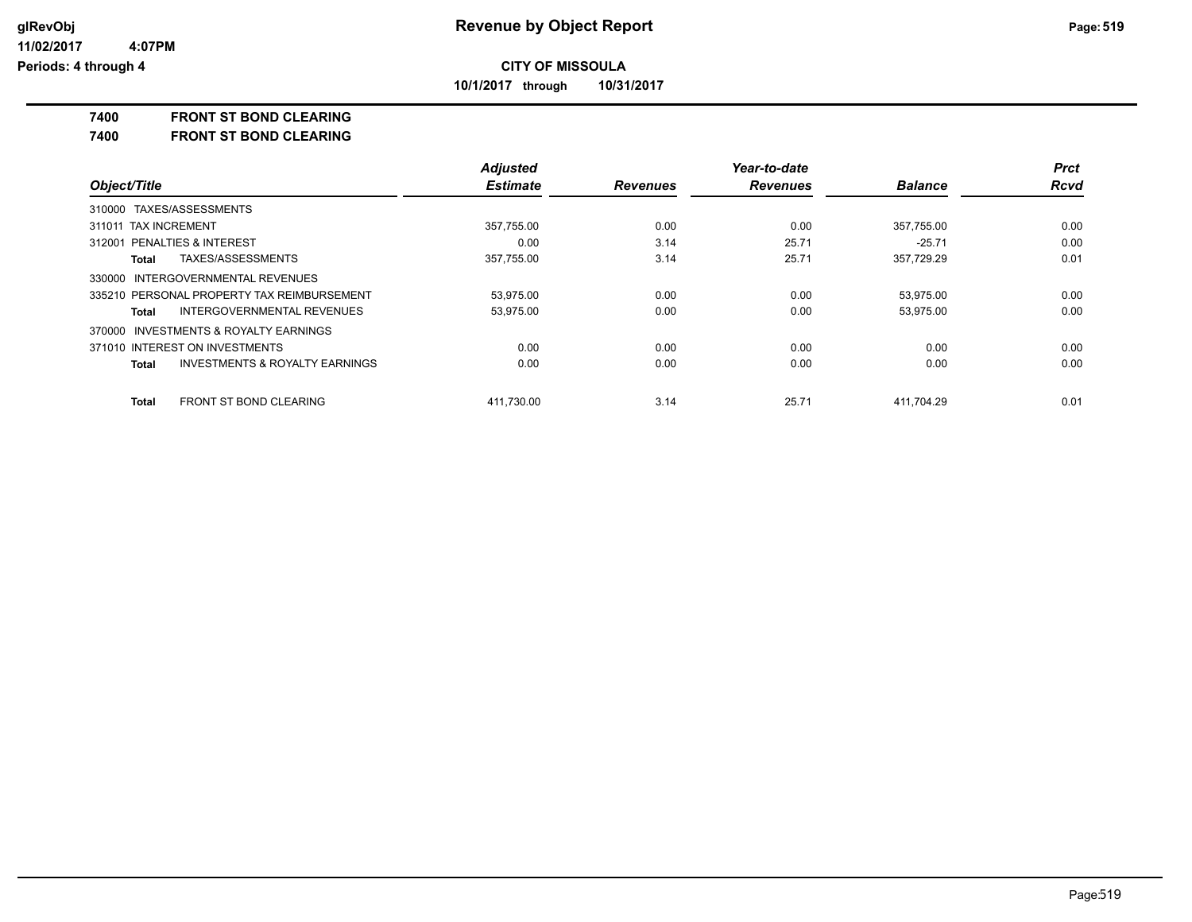**10/1/2017 through 10/31/2017**

#### **7400 FRONT ST BOND CLEARING**

**7400 FRONT ST BOND CLEARING**

|                                                    | <b>Adjusted</b> |                 | Year-to-date    |                | <b>Prct</b> |
|----------------------------------------------------|-----------------|-----------------|-----------------|----------------|-------------|
| Object/Title                                       | <b>Estimate</b> | <b>Revenues</b> | <b>Revenues</b> | <b>Balance</b> | <b>Rcvd</b> |
| 310000 TAXES/ASSESSMENTS                           |                 |                 |                 |                |             |
| 311011 TAX INCREMENT                               | 357,755.00      | 0.00            | 0.00            | 357,755.00     | 0.00        |
| <b>PENALTIES &amp; INTEREST</b><br>312001          | 0.00            | 3.14            | 25.71           | $-25.71$       | 0.00        |
| TAXES/ASSESSMENTS<br>Total                         | 357,755.00      | 3.14            | 25.71           | 357,729.29     | 0.01        |
| 330000 INTERGOVERNMENTAL REVENUES                  |                 |                 |                 |                |             |
| 335210 PERSONAL PROPERTY TAX REIMBURSEMENT         | 53,975.00       | 0.00            | 0.00            | 53,975.00      | 0.00        |
| INTERGOVERNMENTAL REVENUES<br>Total                | 53,975.00       | 0.00            | 0.00            | 53,975.00      | 0.00        |
| 370000 INVESTMENTS & ROYALTY EARNINGS              |                 |                 |                 |                |             |
| 371010 INTEREST ON INVESTMENTS                     | 0.00            | 0.00            | 0.00            | 0.00           | 0.00        |
| <b>INVESTMENTS &amp; ROYALTY EARNINGS</b><br>Total | 0.00            | 0.00            | 0.00            | 0.00           | 0.00        |
| <b>FRONT ST BOND CLEARING</b><br>Total             | 411.730.00      | 3.14            | 25.71           | 411.704.29     | 0.01        |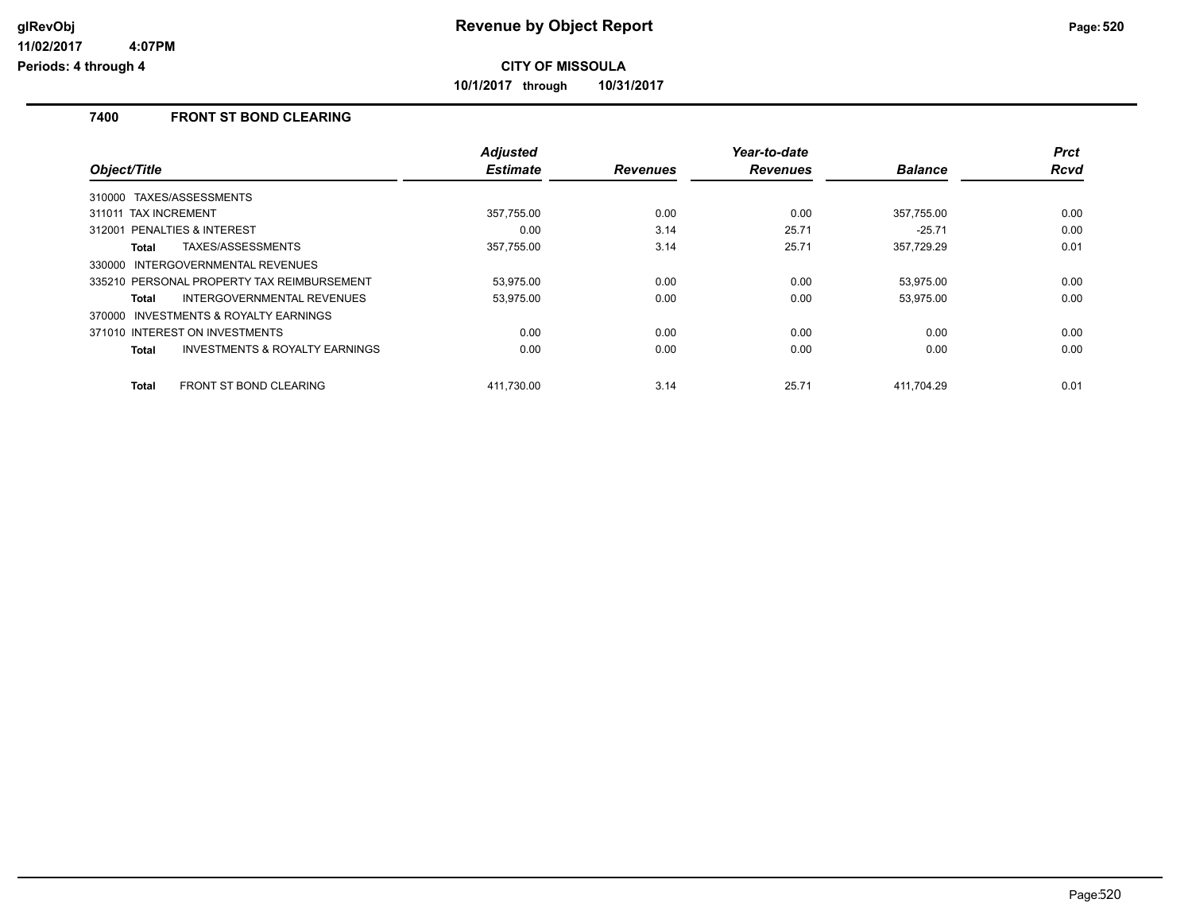**10/1/2017 through 10/31/2017**

## **7400 FRONT ST BOND CLEARING**

|                                                           | <b>Adjusted</b> |                 | Year-to-date    |                | <b>Prct</b> |
|-----------------------------------------------------------|-----------------|-----------------|-----------------|----------------|-------------|
| Object/Title                                              | <b>Estimate</b> | <b>Revenues</b> | <b>Revenues</b> | <b>Balance</b> | Rcvd        |
| 310000 TAXES/ASSESSMENTS                                  |                 |                 |                 |                |             |
| 311011 TAX INCREMENT                                      | 357,755.00      | 0.00            | 0.00            | 357,755.00     | 0.00        |
| 312001 PENALTIES & INTEREST                               | 0.00            | 3.14            | 25.71           | $-25.71$       | 0.00        |
| TAXES/ASSESSMENTS<br><b>Total</b>                         | 357,755.00      | 3.14            | 25.71           | 357,729.29     | 0.01        |
| INTERGOVERNMENTAL REVENUES<br>330000                      |                 |                 |                 |                |             |
| 335210 PERSONAL PROPERTY TAX REIMBURSEMENT                | 53,975.00       | 0.00            | 0.00            | 53,975.00      | 0.00        |
| INTERGOVERNMENTAL REVENUES<br><b>Total</b>                | 53,975.00       | 0.00            | 0.00            | 53,975.00      | 0.00        |
| INVESTMENTS & ROYALTY EARNINGS<br>370000                  |                 |                 |                 |                |             |
| 371010 INTEREST ON INVESTMENTS                            | 0.00            | 0.00            | 0.00            | 0.00           | 0.00        |
| <b>INVESTMENTS &amp; ROYALTY EARNINGS</b><br><b>Total</b> | 0.00            | 0.00            | 0.00            | 0.00           | 0.00        |
| <b>FRONT ST BOND CLEARING</b><br><b>Total</b>             | 411.730.00      | 3.14            | 25.71           | 411.704.29     | 0.01        |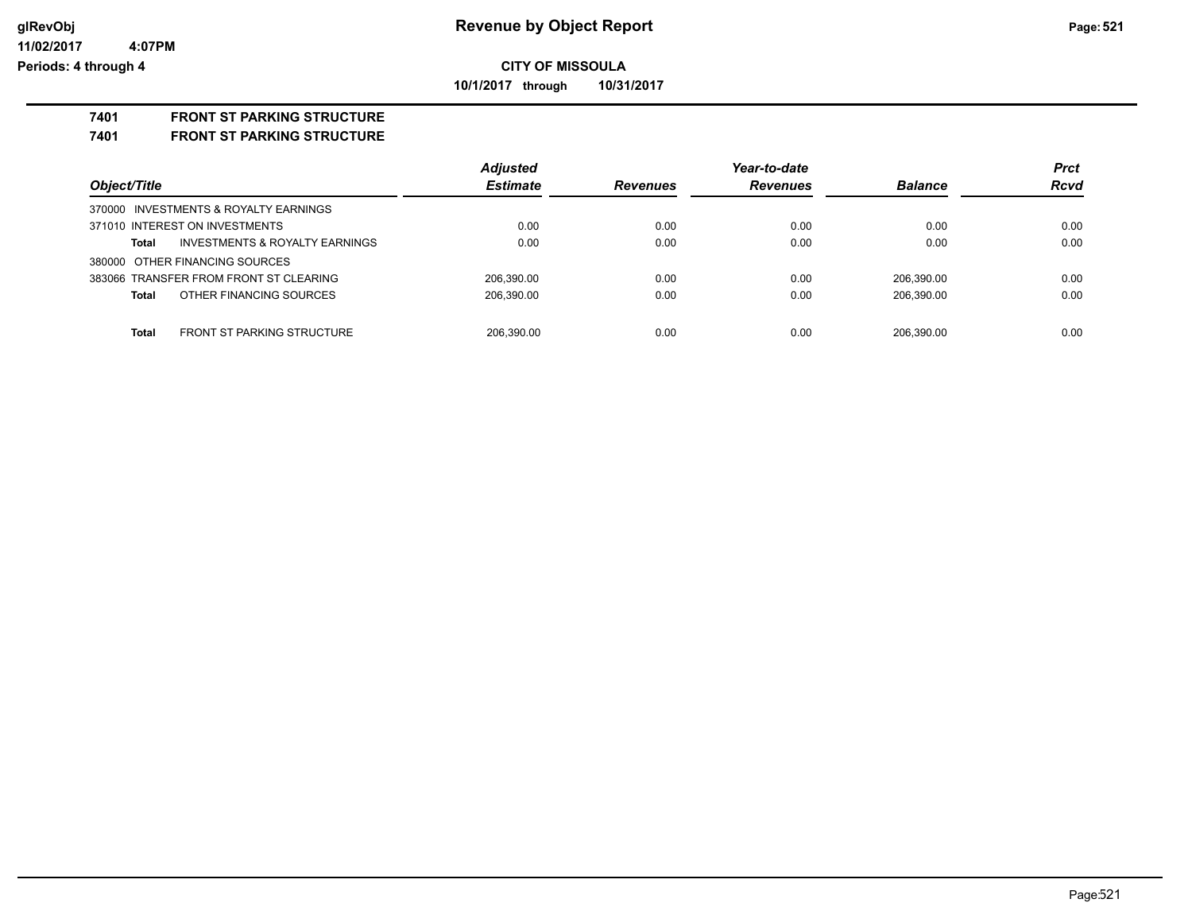**10/1/2017 through 10/31/2017**

# **7401 FRONT ST PARKING STRUCTURE**

**7401 FRONT ST PARKING STRUCTURE**

|                                                           | <b>Adjusted</b> |                 | Year-to-date    |                | <b>Prct</b> |
|-----------------------------------------------------------|-----------------|-----------------|-----------------|----------------|-------------|
| Object/Title                                              | <b>Estimate</b> | <b>Revenues</b> | <b>Revenues</b> | <b>Balance</b> | <b>Rcvd</b> |
| 370000 INVESTMENTS & ROYALTY EARNINGS                     |                 |                 |                 |                |             |
| 371010 INTEREST ON INVESTMENTS                            | 0.00            | 0.00            | 0.00            | 0.00           | 0.00        |
| <b>INVESTMENTS &amp; ROYALTY EARNINGS</b><br><b>Total</b> | 0.00            | 0.00            | 0.00            | 0.00           | 0.00        |
| 380000 OTHER FINANCING SOURCES                            |                 |                 |                 |                |             |
| 383066 TRANSFER FROM FRONT ST CLEARING                    | 206.390.00      | 0.00            | 0.00            | 206.390.00     | 0.00        |
| OTHER FINANCING SOURCES<br><b>Total</b>                   | 206,390.00      | 0.00            | 0.00            | 206.390.00     | 0.00        |
|                                                           |                 |                 |                 |                |             |
| <b>FRONT ST PARKING STRUCTURE</b><br><b>Total</b>         | 206.390.00      | 0.00            | 0.00            | 206.390.00     | 0.00        |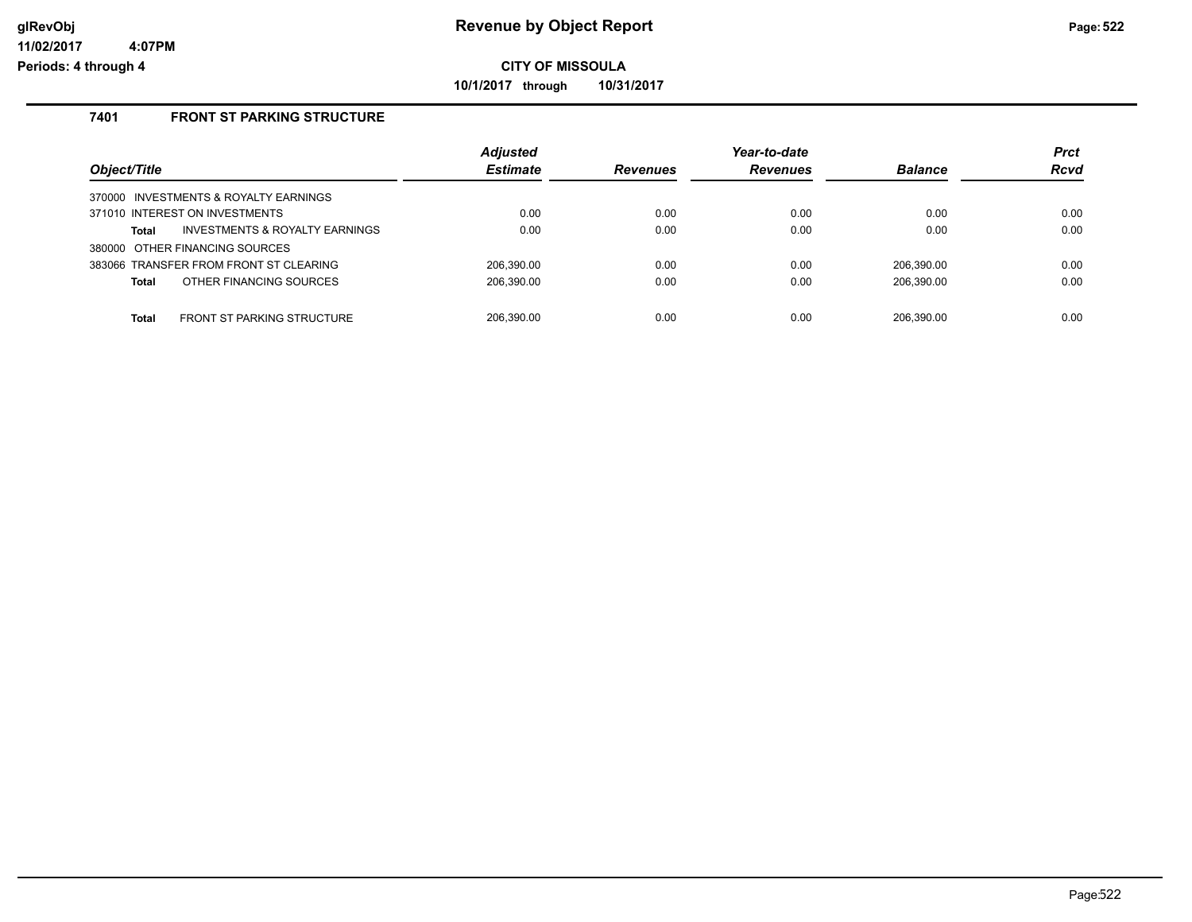**10/1/2017 through 10/31/2017**

## **7401 FRONT ST PARKING STRUCTURE**

| Object/Title                                      | <b>Adjusted</b><br><b>Estimate</b> | <b>Revenues</b> | Year-to-date<br><b>Revenues</b> | <b>Balance</b> | <b>Prct</b><br><b>Rcvd</b> |
|---------------------------------------------------|------------------------------------|-----------------|---------------------------------|----------------|----------------------------|
| 370000 INVESTMENTS & ROYALTY EARNINGS             |                                    |                 |                                 |                |                            |
| 371010 INTEREST ON INVESTMENTS                    | 0.00                               | 0.00            | 0.00                            | 0.00           | 0.00                       |
| INVESTMENTS & ROYALTY EARNINGS<br>Total           | 0.00                               | 0.00            | 0.00                            | 0.00           | 0.00                       |
| 380000 OTHER FINANCING SOURCES                    |                                    |                 |                                 |                |                            |
| 383066 TRANSFER FROM FRONT ST CLEARING            | 206.390.00                         | 0.00            | 0.00                            | 206.390.00     | 0.00                       |
| OTHER FINANCING SOURCES<br>Total                  | 206,390.00                         | 0.00            | 0.00                            | 206,390.00     | 0.00                       |
|                                                   |                                    |                 |                                 |                |                            |
| <b>FRONT ST PARKING STRUCTURE</b><br><b>Total</b> | 206.390.00                         | 0.00            | 0.00                            | 206.390.00     | 0.00                       |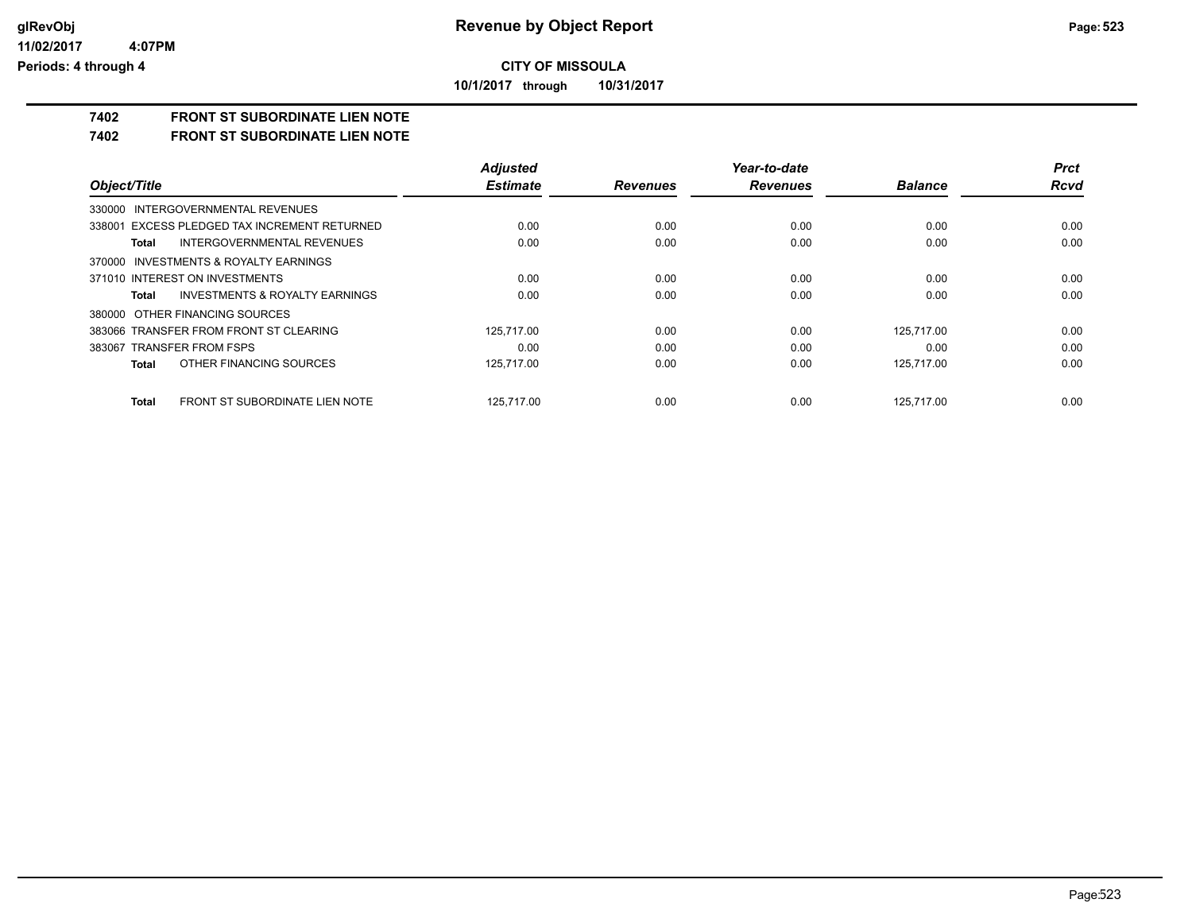**10/1/2017 through 10/31/2017**

# **7402 FRONT ST SUBORDINATE LIEN NOTE**

**7402 FRONT ST SUBORDINATE LIEN NOTE**

|                                                    | <b>Adjusted</b> |                 | Year-to-date    |                | <b>Prct</b> |
|----------------------------------------------------|-----------------|-----------------|-----------------|----------------|-------------|
| Object/Title                                       | <b>Estimate</b> | <b>Revenues</b> | <b>Revenues</b> | <b>Balance</b> | <b>Rcvd</b> |
| 330000 INTERGOVERNMENTAL REVENUES                  |                 |                 |                 |                |             |
| 338001 EXCESS PLEDGED TAX INCREMENT RETURNED       | 0.00            | 0.00            | 0.00            | 0.00           | 0.00        |
| <b>INTERGOVERNMENTAL REVENUES</b><br>Total         | 0.00            | 0.00            | 0.00            | 0.00           | 0.00        |
| 370000 INVESTMENTS & ROYALTY EARNINGS              |                 |                 |                 |                |             |
| 371010 INTEREST ON INVESTMENTS                     | 0.00            | 0.00            | 0.00            | 0.00           | 0.00        |
| <b>INVESTMENTS &amp; ROYALTY EARNINGS</b><br>Total | 0.00            | 0.00            | 0.00            | 0.00           | 0.00        |
| 380000 OTHER FINANCING SOURCES                     |                 |                 |                 |                |             |
| 383066 TRANSFER FROM FRONT ST CLEARING             | 125.717.00      | 0.00            | 0.00            | 125.717.00     | 0.00        |
| 383067 TRANSFER FROM FSPS                          | 0.00            | 0.00            | 0.00            | 0.00           | 0.00        |
| OTHER FINANCING SOURCES<br>Total                   | 125,717.00      | 0.00            | 0.00            | 125,717.00     | 0.00        |
| FRONT ST SUBORDINATE LIEN NOTE<br>Total            | 125.717.00      | 0.00            | 0.00            | 125.717.00     | 0.00        |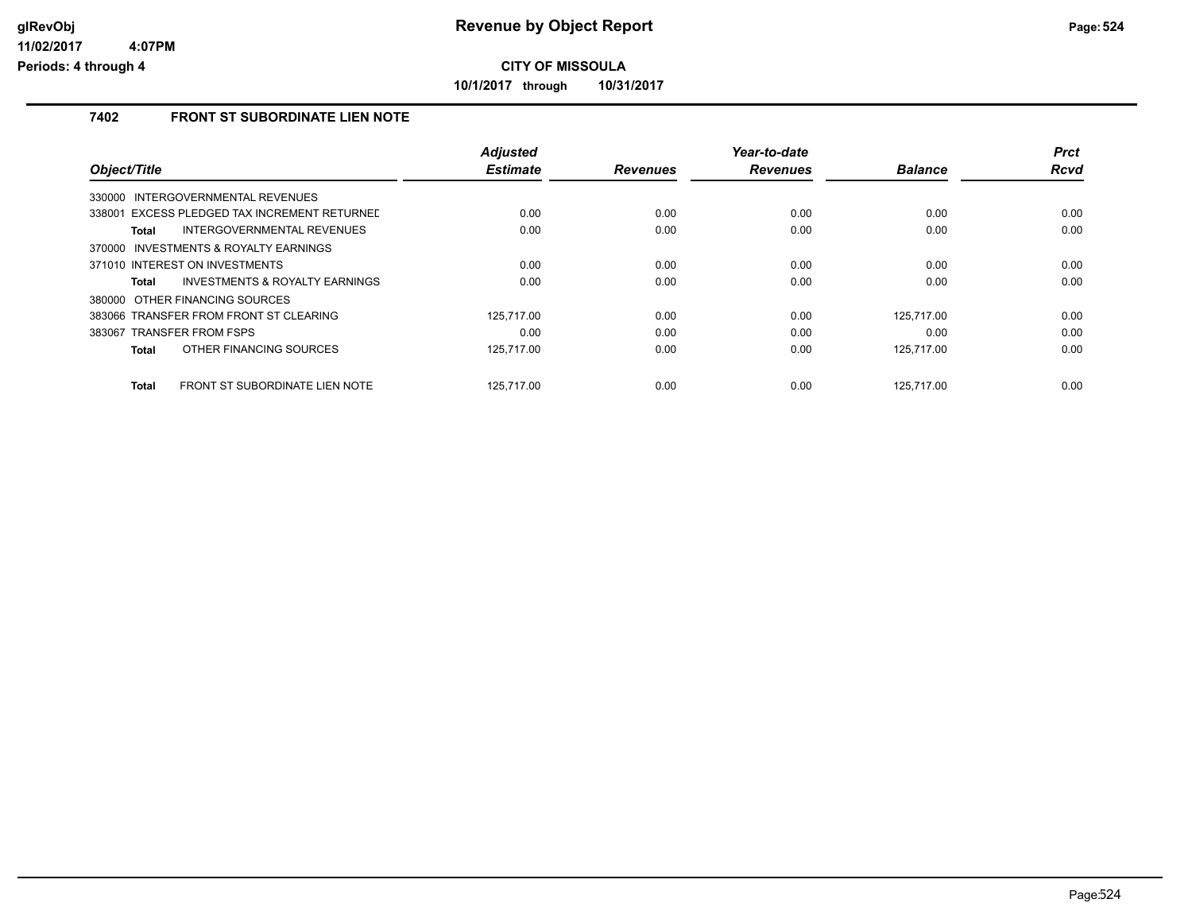**10/1/2017 through 10/31/2017**

## **7402 FRONT ST SUBORDINATE LIEN NOTE**

|                                                | <b>Adjusted</b> |                 | Year-to-date    |                | <b>Prct</b> |
|------------------------------------------------|-----------------|-----------------|-----------------|----------------|-------------|
| Object/Title                                   | <b>Estimate</b> | <b>Revenues</b> | <b>Revenues</b> | <b>Balance</b> | <b>Rcvd</b> |
| INTERGOVERNMENTAL REVENUES<br>330000           |                 |                 |                 |                |             |
| 338001 EXCESS PLEDGED TAX INCREMENT RETURNED   | 0.00            | 0.00            | 0.00            | 0.00           | 0.00        |
| INTERGOVERNMENTAL REVENUES<br>Total            | 0.00            | 0.00            | 0.00            | 0.00           | 0.00        |
| INVESTMENTS & ROYALTY EARNINGS<br>370000       |                 |                 |                 |                |             |
| 371010 INTEREST ON INVESTMENTS                 | 0.00            | 0.00            | 0.00            | 0.00           | 0.00        |
| INVESTMENTS & ROYALTY EARNINGS<br>Total        | 0.00            | 0.00            | 0.00            | 0.00           | 0.00        |
| 380000 OTHER FINANCING SOURCES                 |                 |                 |                 |                |             |
| 383066 TRANSFER FROM FRONT ST CLEARING         | 125.717.00      | 0.00            | 0.00            | 125.717.00     | 0.00        |
| 383067 TRANSFER FROM FSPS                      | 0.00            | 0.00            | 0.00            | 0.00           | 0.00        |
| OTHER FINANCING SOURCES<br>Total               | 125,717.00      | 0.00            | 0.00            | 125,717.00     | 0.00        |
| FRONT ST SUBORDINATE LIEN NOTE<br><b>Total</b> | 125.717.00      | 0.00            | 0.00            | 125.717.00     | 0.00        |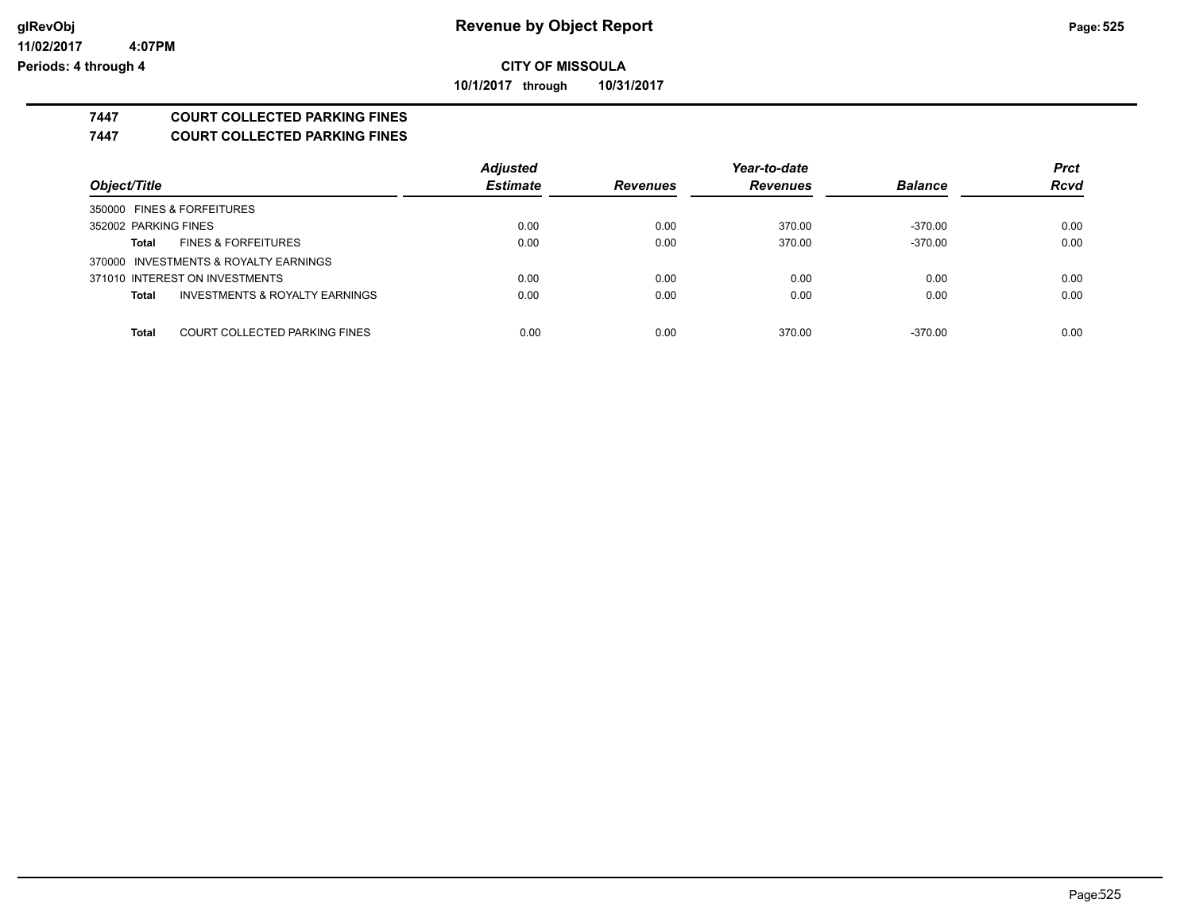**10/1/2017 through 10/31/2017**

# **7447 COURT COLLECTED PARKING FINES**

**7447 COURT COLLECTED PARKING FINES**

|                                                | <b>Adjusted</b> |                 | Year-to-date    |                | <b>Prct</b> |
|------------------------------------------------|-----------------|-----------------|-----------------|----------------|-------------|
| Object/Title                                   | <b>Estimate</b> | <b>Revenues</b> | <b>Revenues</b> | <b>Balance</b> | <b>Rcvd</b> |
| 350000 FINES & FORFEITURES                     |                 |                 |                 |                |             |
| 352002 PARKING FINES                           | 0.00            | 0.00            | 370.00          | $-370.00$      | 0.00        |
| <b>FINES &amp; FORFEITURES</b><br>Total        | 0.00            | 0.00            | 370.00          | $-370.00$      | 0.00        |
| 370000 INVESTMENTS & ROYALTY EARNINGS          |                 |                 |                 |                |             |
| 371010 INTEREST ON INVESTMENTS                 | 0.00            | 0.00            | 0.00            | 0.00           | 0.00        |
| INVESTMENTS & ROYALTY EARNINGS<br><b>Total</b> | 0.00            | 0.00            | 0.00            | 0.00           | 0.00        |
|                                                |                 |                 |                 |                |             |
| COURT COLLECTED PARKING FINES<br>Total         | 0.00            | 0.00            | 370.00          | $-370.00$      | 0.00        |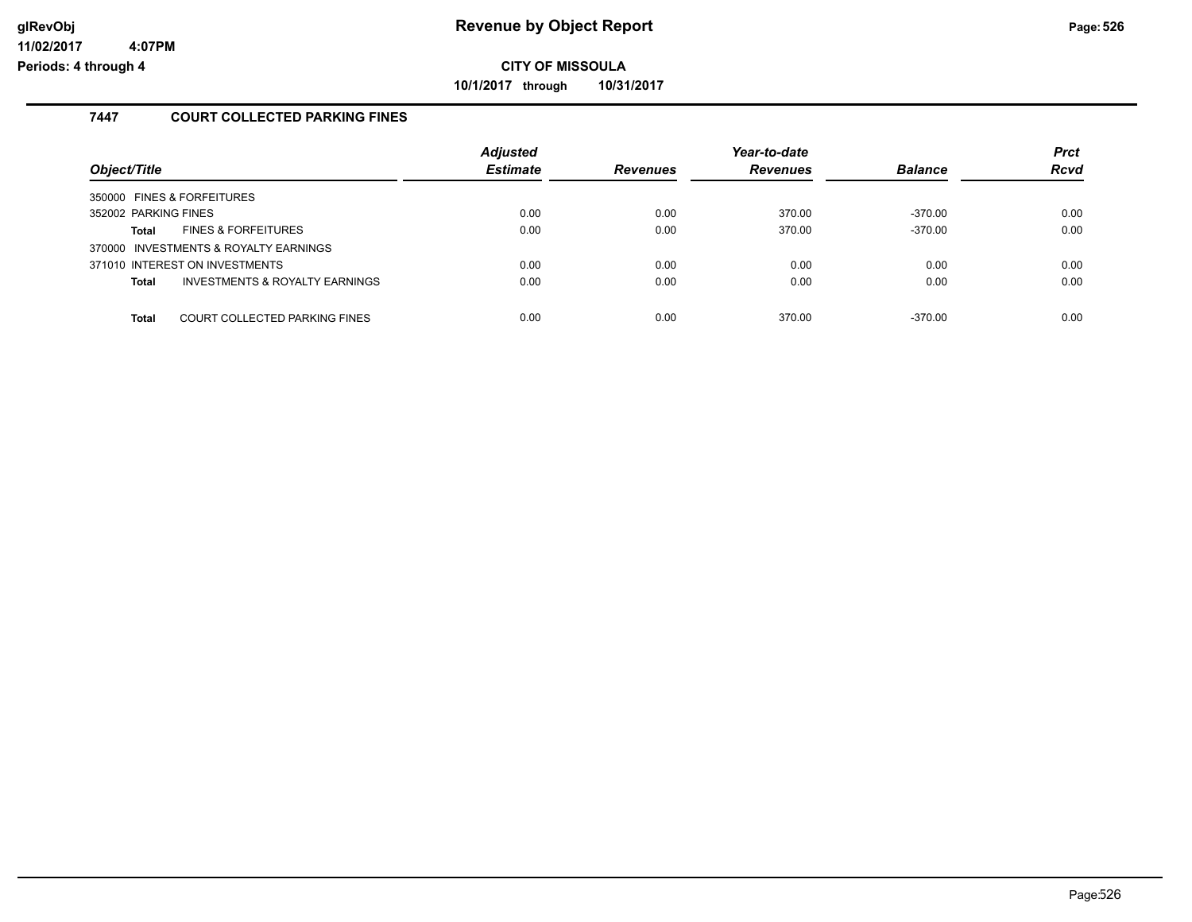**10/1/2017 through 10/31/2017**

## **7447 COURT COLLECTED PARKING FINES**

| Object/Title                                              | <b>Adjusted</b><br><b>Estimate</b> | <b>Revenues</b> | Year-to-date<br><b>Revenues</b> | <b>Balance</b> | <b>Prct</b><br><b>Rcvd</b> |
|-----------------------------------------------------------|------------------------------------|-----------------|---------------------------------|----------------|----------------------------|
| 350000 FINES & FORFEITURES                                |                                    |                 |                                 |                |                            |
| 352002 PARKING FINES                                      | 0.00                               | 0.00            | 370.00                          | $-370.00$      | 0.00                       |
| <b>FINES &amp; FORFEITURES</b><br>Total                   | 0.00                               | 0.00            | 370.00                          | $-370.00$      | 0.00                       |
| 370000 INVESTMENTS & ROYALTY EARNINGS                     |                                    |                 |                                 |                |                            |
| 371010 INTEREST ON INVESTMENTS                            | 0.00                               | 0.00            | 0.00                            | 0.00           | 0.00                       |
| <b>INVESTMENTS &amp; ROYALTY EARNINGS</b><br><b>Total</b> | 0.00                               | 0.00            | 0.00                            | 0.00           | 0.00                       |
|                                                           |                                    |                 |                                 |                |                            |
| COURT COLLECTED PARKING FINES<br><b>Total</b>             | 0.00                               | 0.00            | 370.00                          | $-370.00$      | 0.00                       |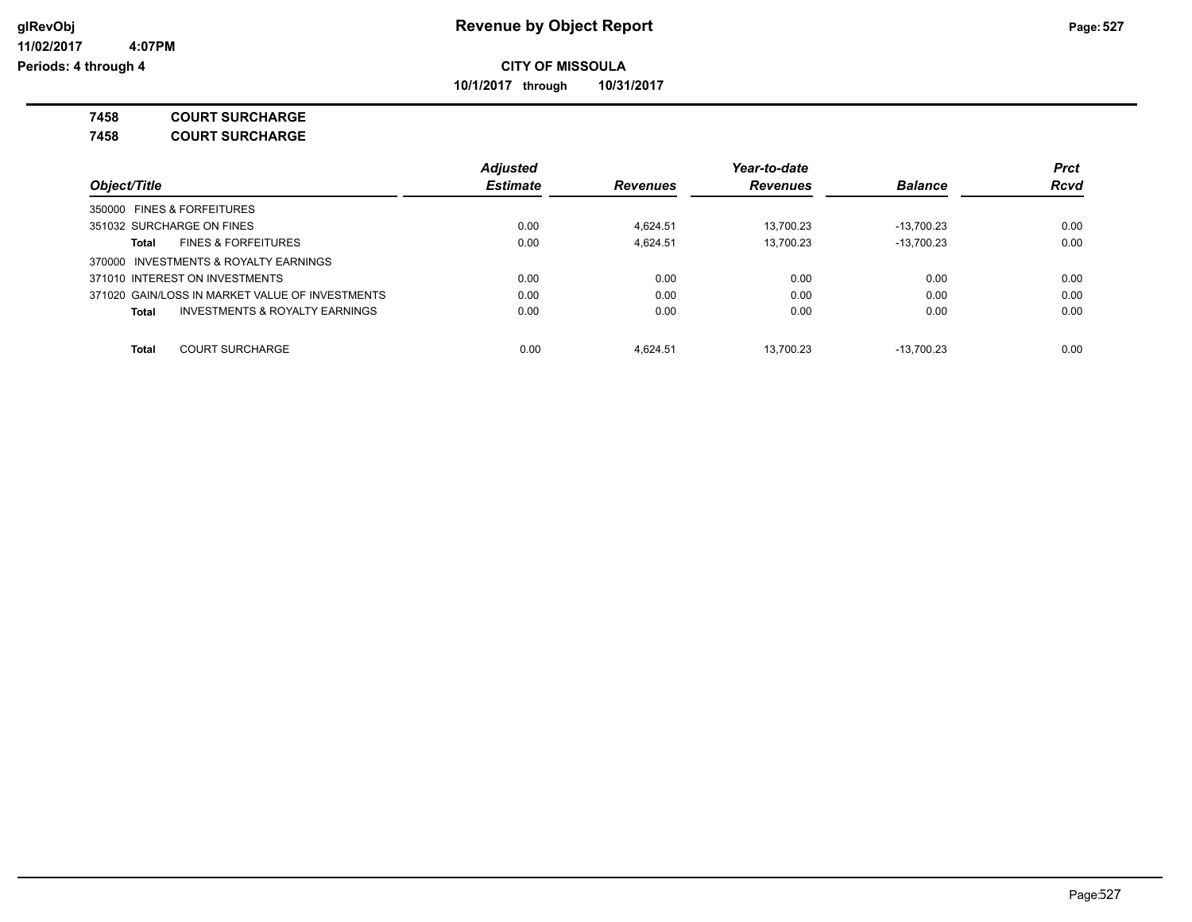**10/1/2017 through 10/31/2017**

**7458 COURT SURCHARGE**

**7458 COURT SURCHARGE**

|                                                 | <b>Adjusted</b> |                 | Year-to-date    |                | <b>Prct</b> |
|-------------------------------------------------|-----------------|-----------------|-----------------|----------------|-------------|
| Object/Title                                    | <b>Estimate</b> | <b>Revenues</b> | <b>Revenues</b> | <b>Balance</b> | <b>Rcvd</b> |
| 350000 FINES & FORFEITURES                      |                 |                 |                 |                |             |
| 351032 SURCHARGE ON FINES                       | 0.00            | 4.624.51        | 13.700.23       | $-13.700.23$   | 0.00        |
| <b>FINES &amp; FORFEITURES</b><br>Total         | 0.00            | 4.624.51        | 13.700.23       | $-13,700.23$   | 0.00        |
| 370000 INVESTMENTS & ROYALTY EARNINGS           |                 |                 |                 |                |             |
| 371010 INTEREST ON INVESTMENTS                  | 0.00            | 0.00            | 0.00            | 0.00           | 0.00        |
| 371020 GAIN/LOSS IN MARKET VALUE OF INVESTMENTS | 0.00            | 0.00            | 0.00            | 0.00           | 0.00        |
| INVESTMENTS & ROYALTY EARNINGS<br><b>Total</b>  | 0.00            | 0.00            | 0.00            | 0.00           | 0.00        |
| <b>COURT SURCHARGE</b><br><b>Total</b>          | 0.00            | 4.624.51        | 13.700.23       | $-13.700.23$   | 0.00        |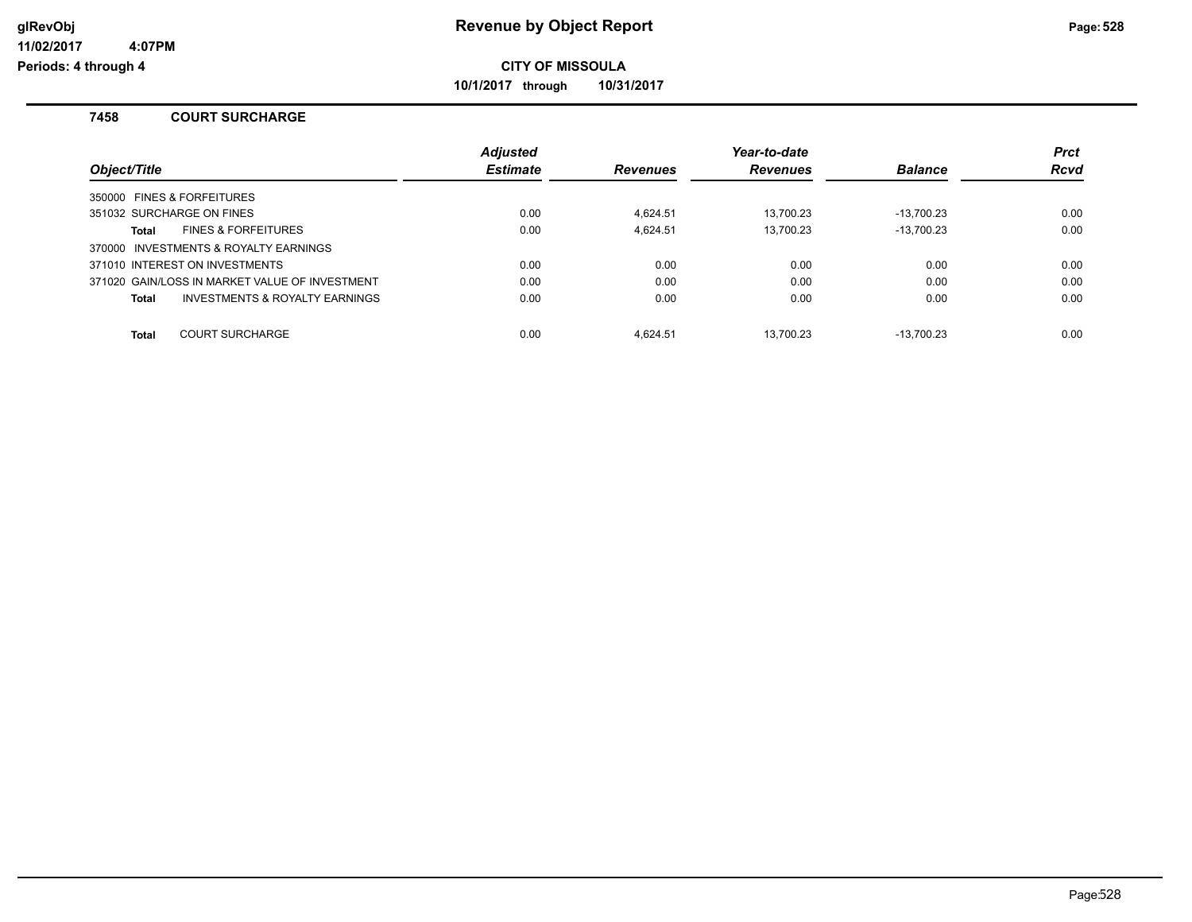**Periods: 4 through 4**

**CITY OF MISSOULA**

**10/1/2017 through 10/31/2017**

#### **7458 COURT SURCHARGE**

|                                                | <b>Adjusted</b> |                 | Year-to-date    |                | <b>Prct</b> |
|------------------------------------------------|-----------------|-----------------|-----------------|----------------|-------------|
| Object/Title                                   | <b>Estimate</b> | <b>Revenues</b> | <b>Revenues</b> | <b>Balance</b> | <b>Rcvd</b> |
| 350000 FINES & FORFEITURES                     |                 |                 |                 |                |             |
| 351032 SURCHARGE ON FINES                      | 0.00            | 4.624.51        | 13.700.23       | $-13.700.23$   | 0.00        |
| <b>FINES &amp; FORFEITURES</b><br><b>Total</b> | 0.00            | 4.624.51        | 13.700.23       | $-13.700.23$   | 0.00        |
| 370000 INVESTMENTS & ROYALTY EARNINGS          |                 |                 |                 |                |             |
| 371010 INTEREST ON INVESTMENTS                 | 0.00            | 0.00            | 0.00            | 0.00           | 0.00        |
| 371020 GAIN/LOSS IN MARKET VALUE OF INVESTMENT | 0.00            | 0.00            | 0.00            | 0.00           | 0.00        |
| INVESTMENTS & ROYALTY EARNINGS<br><b>Total</b> | 0.00            | 0.00            | 0.00            | 0.00           | 0.00        |
|                                                |                 |                 |                 |                |             |
| <b>COURT SURCHARGE</b><br><b>Total</b>         | 0.00            | 4.624.51        | 13.700.23       | $-13.700.23$   | 0.00        |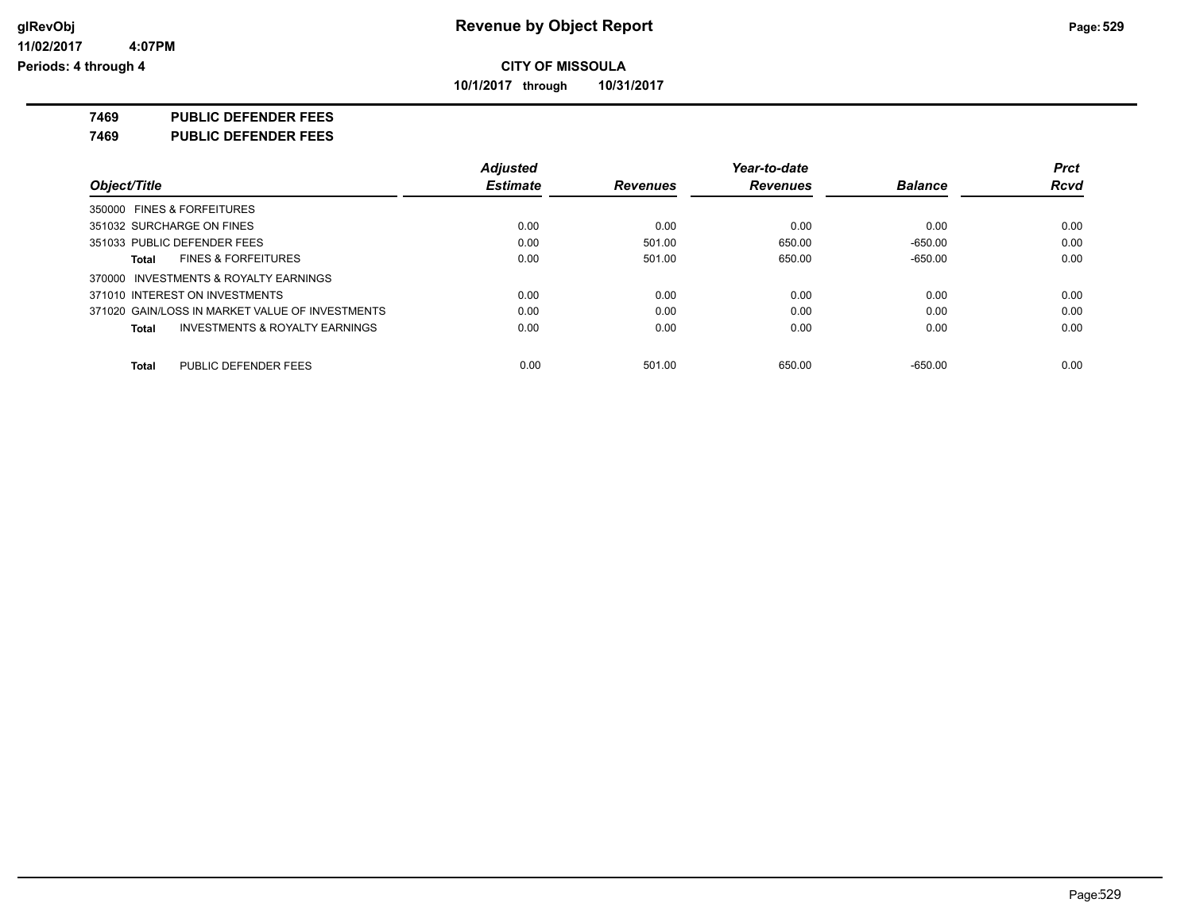**10/1/2017 through 10/31/2017**

**7469 PUBLIC DEFENDER FEES**

**7469 PUBLIC DEFENDER FEES**

|                                                    | <b>Adjusted</b> |                 | Year-to-date    |                | <b>Prct</b> |
|----------------------------------------------------|-----------------|-----------------|-----------------|----------------|-------------|
| Object/Title                                       | <b>Estimate</b> | <b>Revenues</b> | <b>Revenues</b> | <b>Balance</b> | Rcvd        |
| 350000 FINES & FORFEITURES                         |                 |                 |                 |                |             |
| 351032 SURCHARGE ON FINES                          | 0.00            | 0.00            | 0.00            | 0.00           | 0.00        |
| 351033 PUBLIC DEFENDER FEES                        | 0.00            | 501.00          | 650.00          | $-650.00$      | 0.00        |
| <b>FINES &amp; FORFEITURES</b><br>Total            | 0.00            | 501.00          | 650.00          | $-650.00$      | 0.00        |
| 370000 INVESTMENTS & ROYALTY EARNINGS              |                 |                 |                 |                |             |
| 371010 INTEREST ON INVESTMENTS                     | 0.00            | 0.00            | 0.00            | 0.00           | 0.00        |
| 371020 GAIN/LOSS IN MARKET VALUE OF INVESTMENTS    | 0.00            | 0.00            | 0.00            | 0.00           | 0.00        |
| <b>INVESTMENTS &amp; ROYALTY EARNINGS</b><br>Total | 0.00            | 0.00            | 0.00            | 0.00           | 0.00        |
| PUBLIC DEFENDER FEES<br>Total                      | 0.00            | 501.00          | 650.00          | $-650.00$      | 0.00        |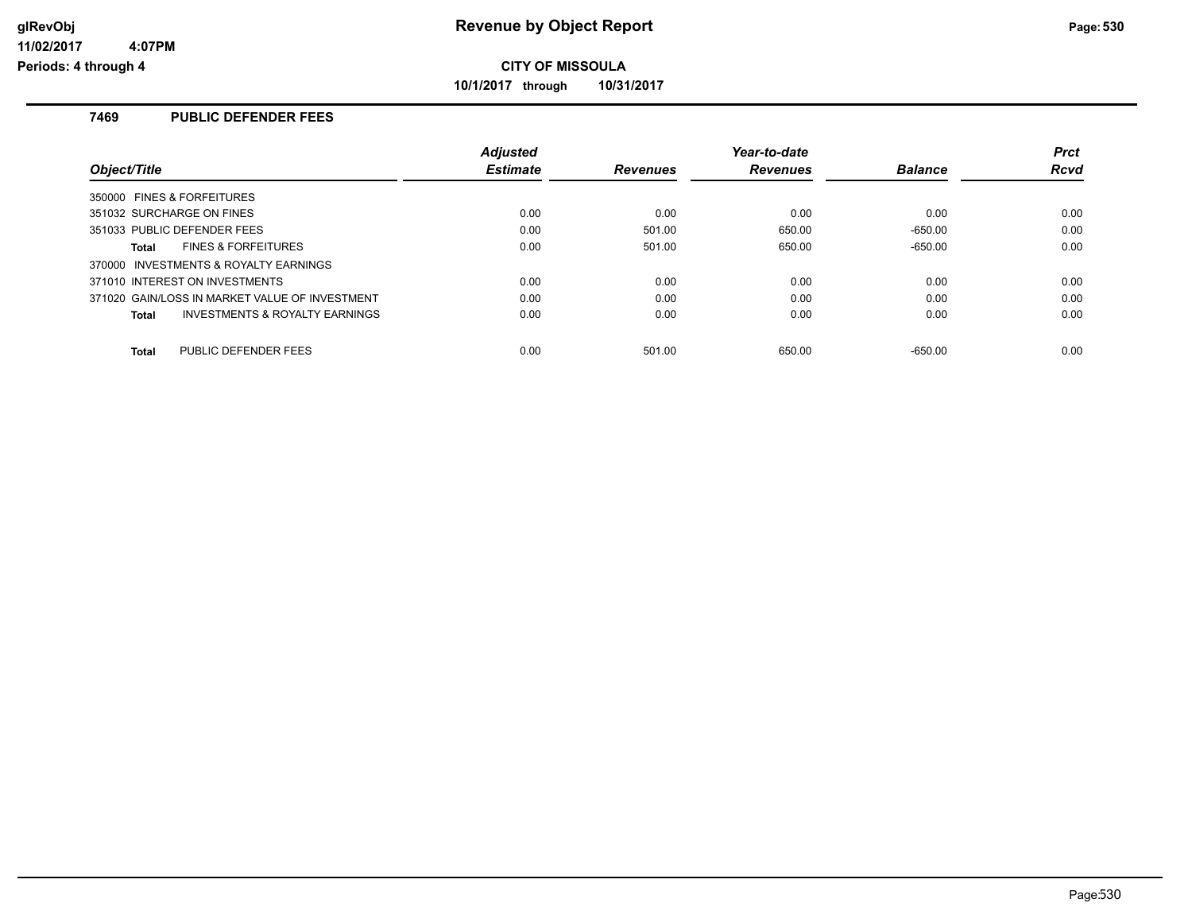**10/1/2017 through 10/31/2017**

## **7469 PUBLIC DEFENDER FEES**

|                                                | <b>Adjusted</b> |                 | Year-to-date    |                | <b>Prct</b> |
|------------------------------------------------|-----------------|-----------------|-----------------|----------------|-------------|
| Object/Title                                   | <b>Estimate</b> | <b>Revenues</b> | <b>Revenues</b> | <b>Balance</b> | <b>Rcvd</b> |
| 350000 FINES & FORFEITURES                     |                 |                 |                 |                |             |
| 351032 SURCHARGE ON FINES                      | 0.00            | 0.00            | 0.00            | 0.00           | 0.00        |
| 351033 PUBLIC DEFENDER FEES                    | 0.00            | 501.00          | 650.00          | $-650.00$      | 0.00        |
| <b>FINES &amp; FORFEITURES</b><br>Total        | 0.00            | 501.00          | 650.00          | $-650.00$      | 0.00        |
| 370000 INVESTMENTS & ROYALTY EARNINGS          |                 |                 |                 |                |             |
| 371010 INTEREST ON INVESTMENTS                 | 0.00            | 0.00            | 0.00            | 0.00           | 0.00        |
| 371020 GAIN/LOSS IN MARKET VALUE OF INVESTMENT | 0.00            | 0.00            | 0.00            | 0.00           | 0.00        |
| INVESTMENTS & ROYALTY EARNINGS<br>Total        | 0.00            | 0.00            | 0.00            | 0.00           | 0.00        |
| <b>PUBLIC DEFENDER FEES</b><br>Total           | 0.00            | 501.00          | 650.00          | $-650.00$      | 0.00        |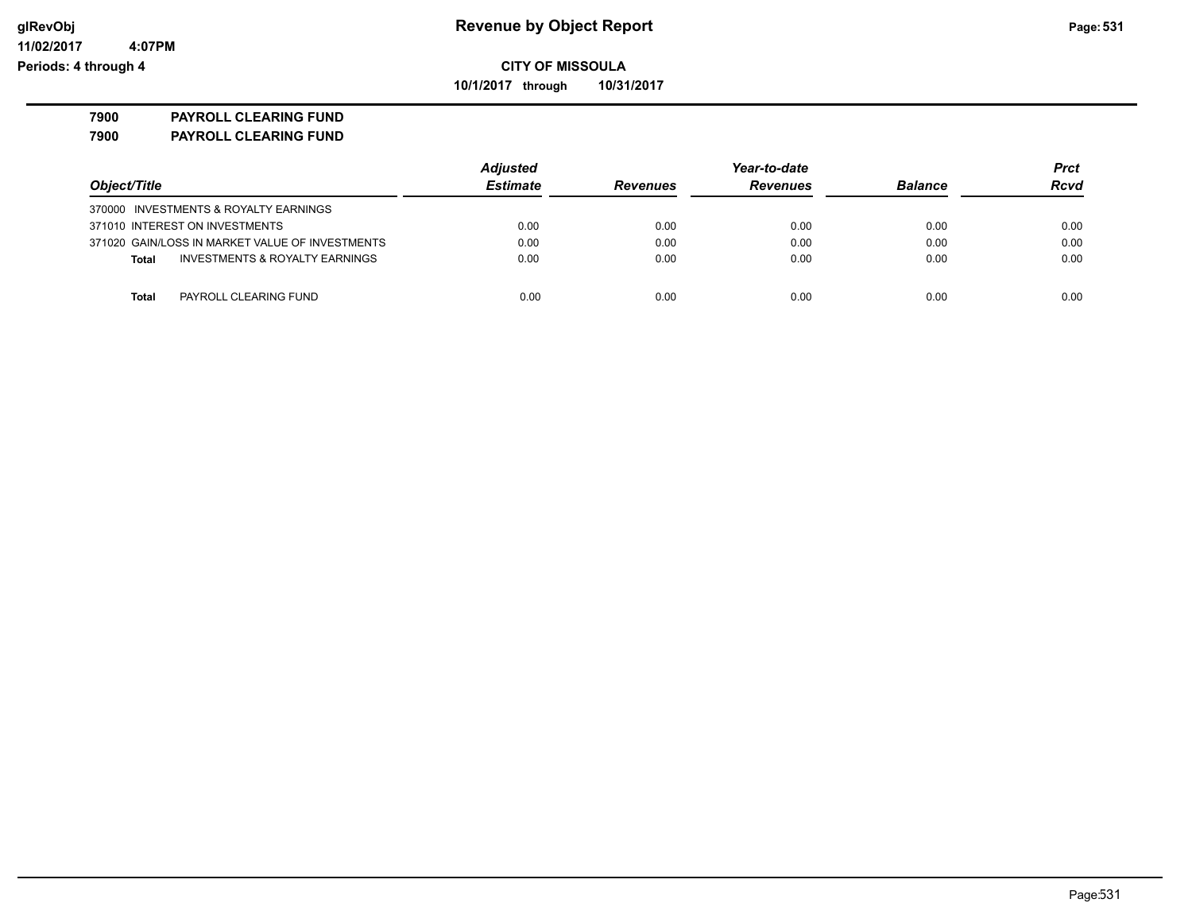**10/1/2017 through 10/31/2017**

# **7900 PAYROLL CLEARING FUND**

**7900 PAYROLL CLEARING FUND**

|                                                           | <b>Adjusted</b> |                 |                 | Prct           |      |
|-----------------------------------------------------------|-----------------|-----------------|-----------------|----------------|------|
| Object/Title                                              | <b>Estimate</b> | <b>Revenues</b> | <b>Revenues</b> | <b>Balance</b> | Rcvd |
| 370000 INVESTMENTS & ROYALTY EARNINGS                     |                 |                 |                 |                |      |
| 371010 INTEREST ON INVESTMENTS                            | 0.00            | 0.00            | 0.00            | 0.00           | 0.00 |
| 371020 GAIN/LOSS IN MARKET VALUE OF INVESTMENTS           | 0.00            | 0.00            | 0.00            | 0.00           | 0.00 |
| <b>INVESTMENTS &amp; ROYALTY EARNINGS</b><br><b>Total</b> | 0.00            | 0.00            | 0.00            | 0.00           | 0.00 |
|                                                           |                 |                 |                 |                |      |
| <b>Total</b><br>PAYROLL CLEARING FUND                     | 0.00            | 0.00            | 0.00            | 0.00           | 0.00 |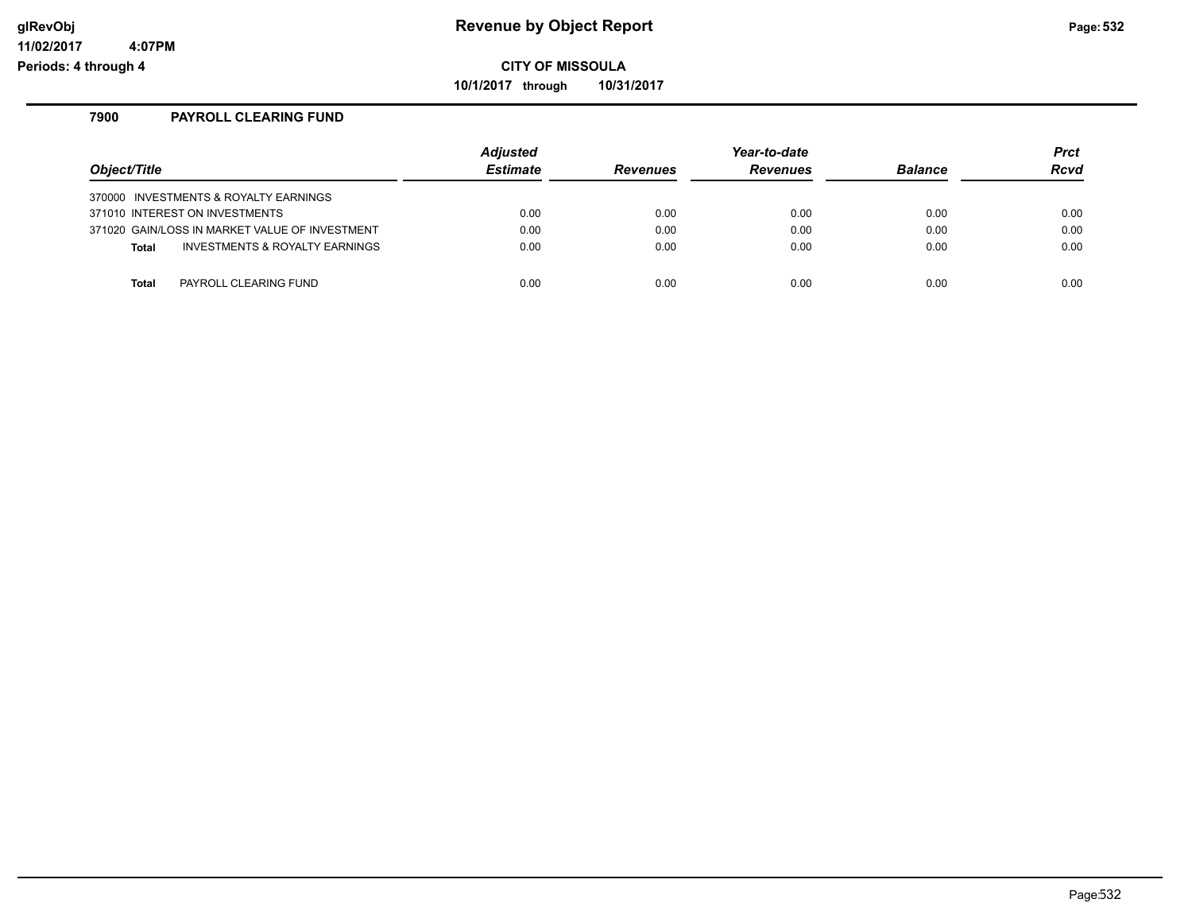**Periods: 4 through 4**

**CITY OF MISSOULA**

**10/1/2017 through 10/31/2017**

### **7900 PAYROLL CLEARING FUND**

 **4:07PM**

| Object/Title |                                                | <b>Adjusted</b><br><b>Estimate</b> | <b>Revenues</b> | Year-to-date<br><b>Revenues</b> | <b>Balance</b> | <b>Prct</b><br>Rcvd |
|--------------|------------------------------------------------|------------------------------------|-----------------|---------------------------------|----------------|---------------------|
|              | 370000 INVESTMENTS & ROYALTY EARNINGS          |                                    |                 |                                 |                |                     |
|              | 371010 INTEREST ON INVESTMENTS                 | 0.00                               | 0.00            | 0.00                            | 0.00           | 0.00                |
|              | 371020 GAIN/LOSS IN MARKET VALUE OF INVESTMENT | 0.00                               | 0.00            | 0.00                            | 0.00           | 0.00                |
| <b>Total</b> | INVESTMENTS & ROYALTY EARNINGS                 | 0.00                               | 0.00            | 0.00                            | 0.00           | 0.00                |
|              |                                                |                                    |                 |                                 |                |                     |
| <b>Total</b> | PAYROLL CLEARING FUND                          | 0.00                               | 0.00            | 0.00                            | 0.00           | 0.00                |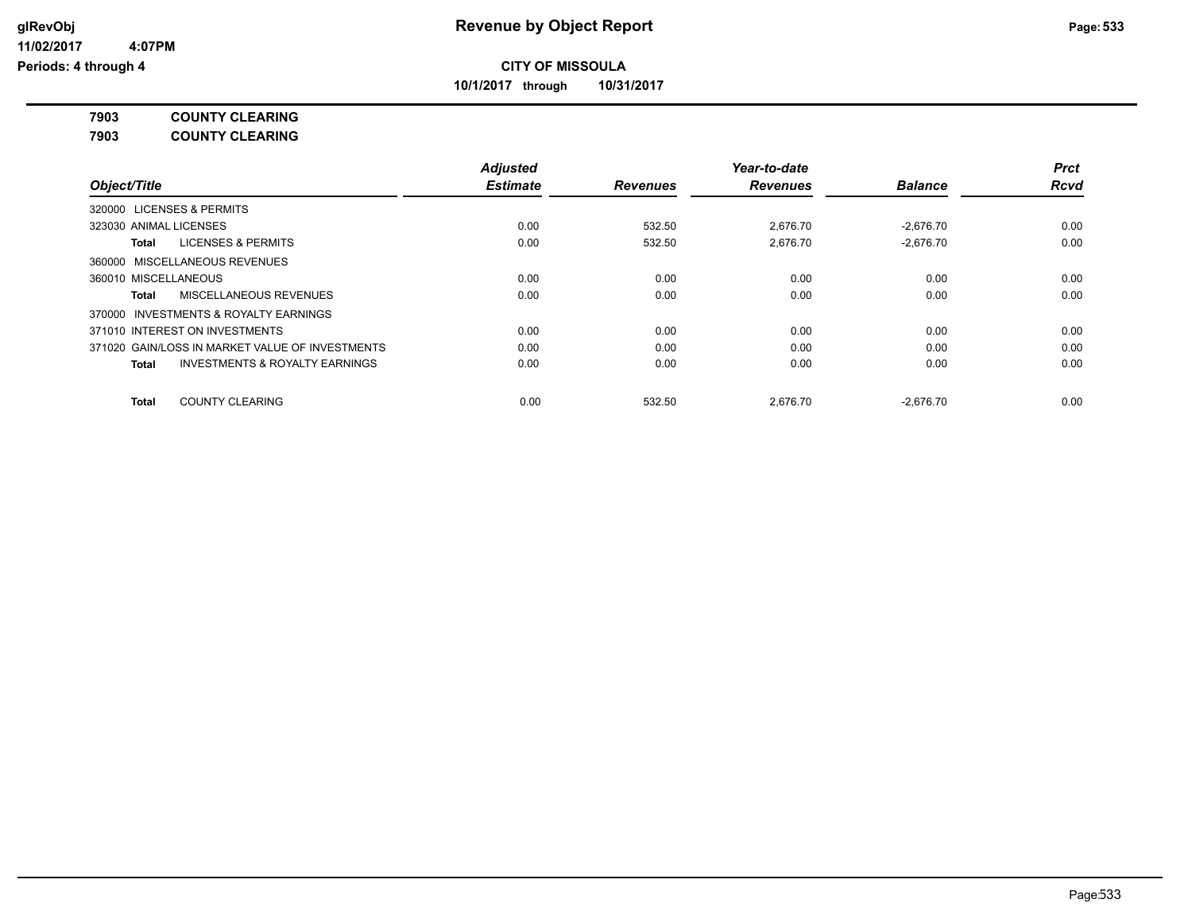**10/1/2017 through 10/31/2017**

**7903 COUNTY CLEARING**

**7903 COUNTY CLEARING**

|                                                           | <b>Adjusted</b> |                 | Year-to-date    |                | <b>Prct</b> |
|-----------------------------------------------------------|-----------------|-----------------|-----------------|----------------|-------------|
| Object/Title                                              | <b>Estimate</b> | <b>Revenues</b> | <b>Revenues</b> | <b>Balance</b> | <b>Rcvd</b> |
| <b>LICENSES &amp; PERMITS</b><br>320000                   |                 |                 |                 |                |             |
| 323030 ANIMAL LICENSES                                    | 0.00            | 532.50          | 2.676.70        | $-2.676.70$    | 0.00        |
| <b>LICENSES &amp; PERMITS</b><br>Total                    | 0.00            | 532.50          | 2.676.70        | $-2,676.70$    | 0.00        |
| 360000 MISCELLANEOUS REVENUES                             |                 |                 |                 |                |             |
| 360010 MISCELLANEOUS                                      | 0.00            | 0.00            | 0.00            | 0.00           | 0.00        |
| MISCELLANEOUS REVENUES<br>Total                           | 0.00            | 0.00            | 0.00            | 0.00           | 0.00        |
| INVESTMENTS & ROYALTY EARNINGS<br>370000                  |                 |                 |                 |                |             |
| 371010 INTEREST ON INVESTMENTS                            | 0.00            | 0.00            | 0.00            | 0.00           | 0.00        |
| 371020 GAIN/LOSS IN MARKET VALUE OF INVESTMENTS           | 0.00            | 0.00            | 0.00            | 0.00           | 0.00        |
| <b>INVESTMENTS &amp; ROYALTY EARNINGS</b><br><b>Total</b> | 0.00            | 0.00            | 0.00            | 0.00           | 0.00        |
| <b>COUNTY CLEARING</b><br><b>Total</b>                    | 0.00            | 532.50          | 2.676.70        | $-2.676.70$    | 0.00        |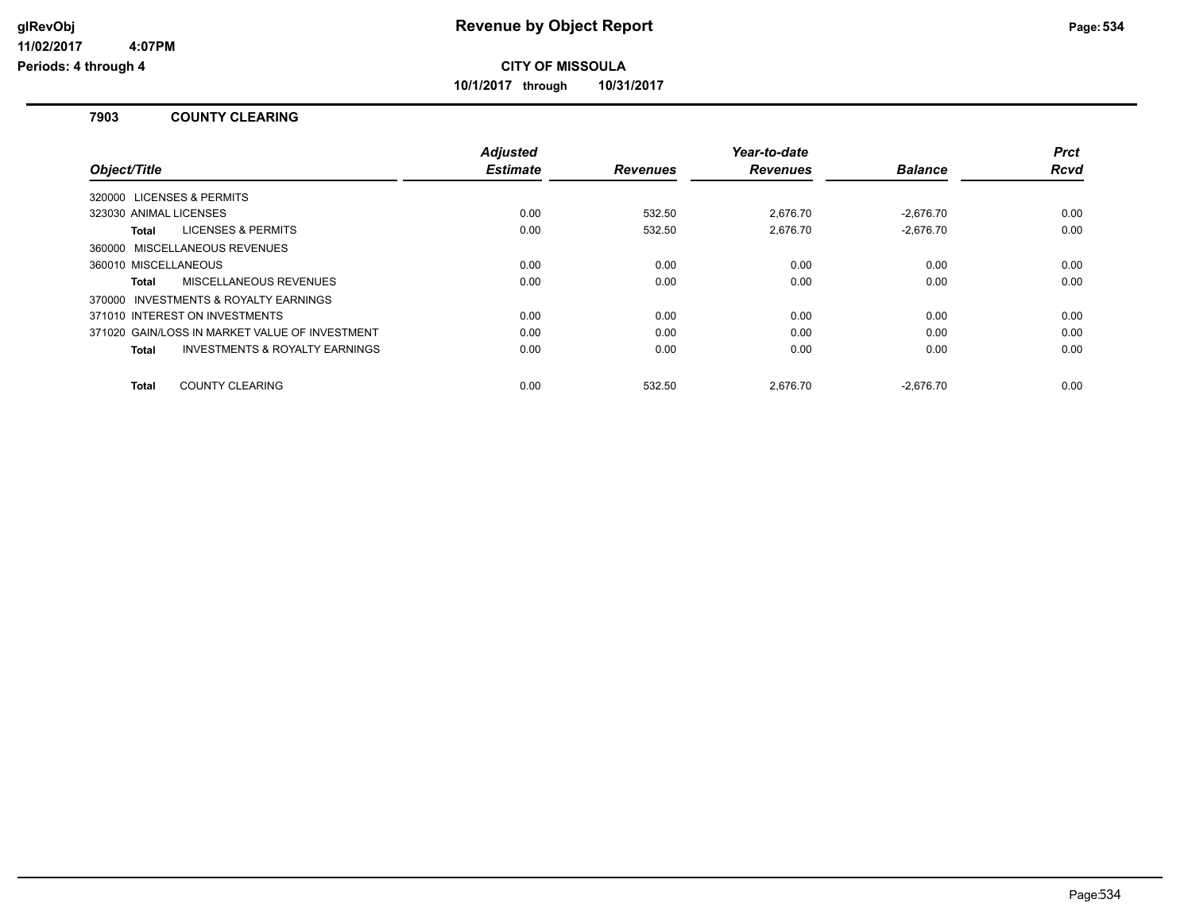**10/1/2017 through 10/31/2017**

#### **7903 COUNTY CLEARING**

|                                                           | <b>Adjusted</b> |                 | Year-to-date    |                | <b>Prct</b> |
|-----------------------------------------------------------|-----------------|-----------------|-----------------|----------------|-------------|
| Object/Title                                              | <b>Estimate</b> | <b>Revenues</b> | <b>Revenues</b> | <b>Balance</b> | <b>Rcvd</b> |
| 320000 LICENSES & PERMITS                                 |                 |                 |                 |                |             |
| 323030 ANIMAL LICENSES                                    | 0.00            | 532.50          | 2.676.70        | $-2.676.70$    | 0.00        |
| LICENSES & PERMITS<br><b>Total</b>                        | 0.00            | 532.50          | 2.676.70        | $-2.676.70$    | 0.00        |
| 360000 MISCELLANEOUS REVENUES                             |                 |                 |                 |                |             |
| 360010 MISCELLANEOUS                                      | 0.00            | 0.00            | 0.00            | 0.00           | 0.00        |
| MISCELLANEOUS REVENUES<br>Total                           | 0.00            | 0.00            | 0.00            | 0.00           | 0.00        |
| 370000 INVESTMENTS & ROYALTY EARNINGS                     |                 |                 |                 |                |             |
| 371010 INTEREST ON INVESTMENTS                            | 0.00            | 0.00            | 0.00            | 0.00           | 0.00        |
| 371020 GAIN/LOSS IN MARKET VALUE OF INVESTMENT            | 0.00            | 0.00            | 0.00            | 0.00           | 0.00        |
| <b>INVESTMENTS &amp; ROYALTY EARNINGS</b><br><b>Total</b> | 0.00            | 0.00            | 0.00            | 0.00           | 0.00        |
| <b>COUNTY CLEARING</b><br><b>Total</b>                    | 0.00            | 532.50          | 2.676.70        | $-2.676.70$    | 0.00        |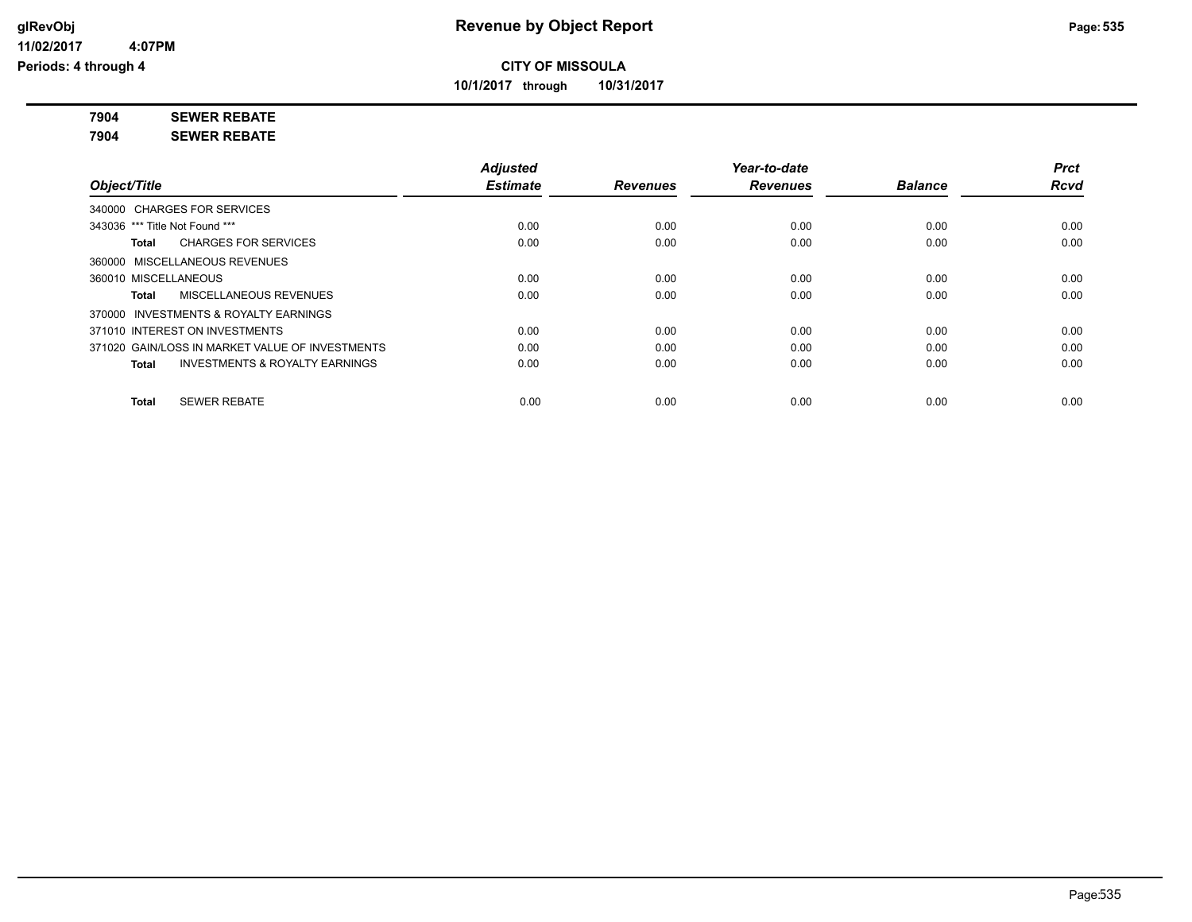**10/1/2017 through 10/31/2017**

# **7904 SEWER REBATE**

**7904 SEWER REBATE**

|                                                    | <b>Adjusted</b> |                 | Year-to-date    |                | <b>Prct</b> |
|----------------------------------------------------|-----------------|-----------------|-----------------|----------------|-------------|
| Object/Title                                       | <b>Estimate</b> | <b>Revenues</b> | <b>Revenues</b> | <b>Balance</b> | <b>Rcvd</b> |
| 340000 CHARGES FOR SERVICES                        |                 |                 |                 |                |             |
| 343036 *** Title Not Found ***                     | 0.00            | 0.00            | 0.00            | 0.00           | 0.00        |
| <b>CHARGES FOR SERVICES</b><br>Total               | 0.00            | 0.00            | 0.00            | 0.00           | 0.00        |
| 360000 MISCELLANEOUS REVENUES                      |                 |                 |                 |                |             |
| 360010 MISCELLANEOUS                               | 0.00            | 0.00            | 0.00            | 0.00           | 0.00        |
| MISCELLANEOUS REVENUES<br>Total                    | 0.00            | 0.00            | 0.00            | 0.00           | 0.00        |
| 370000 INVESTMENTS & ROYALTY EARNINGS              |                 |                 |                 |                |             |
| 371010 INTEREST ON INVESTMENTS                     | 0.00            | 0.00            | 0.00            | 0.00           | 0.00        |
| 371020 GAIN/LOSS IN MARKET VALUE OF INVESTMENTS    | 0.00            | 0.00            | 0.00            | 0.00           | 0.00        |
| <b>INVESTMENTS &amp; ROYALTY EARNINGS</b><br>Total | 0.00            | 0.00            | 0.00            | 0.00           | 0.00        |
| <b>SEWER REBATE</b><br><b>Total</b>                | 0.00            | 0.00            | 0.00            | 0.00           | 0.00        |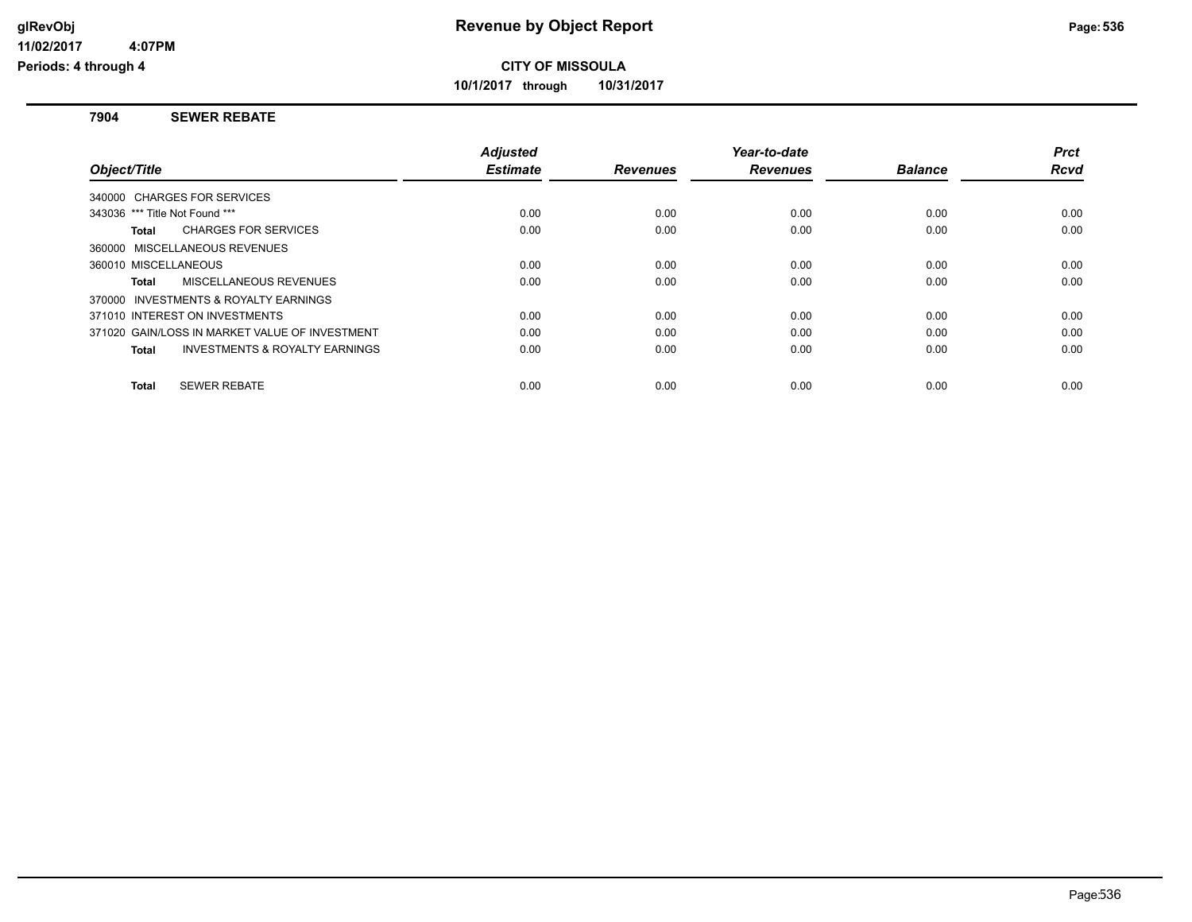**Periods: 4 through 4**

**CITY OF MISSOULA**

**10/1/2017 through 10/31/2017**

#### **7904 SEWER REBATE**

|                                                    | <b>Adjusted</b> |                 | Year-to-date    |                | <b>Prct</b> |
|----------------------------------------------------|-----------------|-----------------|-----------------|----------------|-------------|
| Object/Title                                       | <b>Estimate</b> | <b>Revenues</b> | <b>Revenues</b> | <b>Balance</b> | <b>Rcvd</b> |
| 340000 CHARGES FOR SERVICES                        |                 |                 |                 |                |             |
| 343036 *** Title Not Found ***                     | 0.00            | 0.00            | 0.00            | 0.00           | 0.00        |
| <b>CHARGES FOR SERVICES</b><br>Total               | 0.00            | 0.00            | 0.00            | 0.00           | 0.00        |
| 360000 MISCELLANEOUS REVENUES                      |                 |                 |                 |                |             |
| 360010 MISCELLANEOUS                               | 0.00            | 0.00            | 0.00            | 0.00           | 0.00        |
| MISCELLANEOUS REVENUES<br>Total                    | 0.00            | 0.00            | 0.00            | 0.00           | 0.00        |
| 370000 INVESTMENTS & ROYALTY EARNINGS              |                 |                 |                 |                |             |
| 371010 INTEREST ON INVESTMENTS                     | 0.00            | 0.00            | 0.00            | 0.00           | 0.00        |
| 371020 GAIN/LOSS IN MARKET VALUE OF INVESTMENT     | 0.00            | 0.00            | 0.00            | 0.00           | 0.00        |
| <b>INVESTMENTS &amp; ROYALTY EARNINGS</b><br>Total | 0.00            | 0.00            | 0.00            | 0.00           | 0.00        |
|                                                    |                 |                 |                 |                |             |
| <b>SEWER REBATE</b><br><b>Total</b>                | 0.00            | 0.00            | 0.00            | 0.00           | 0.00        |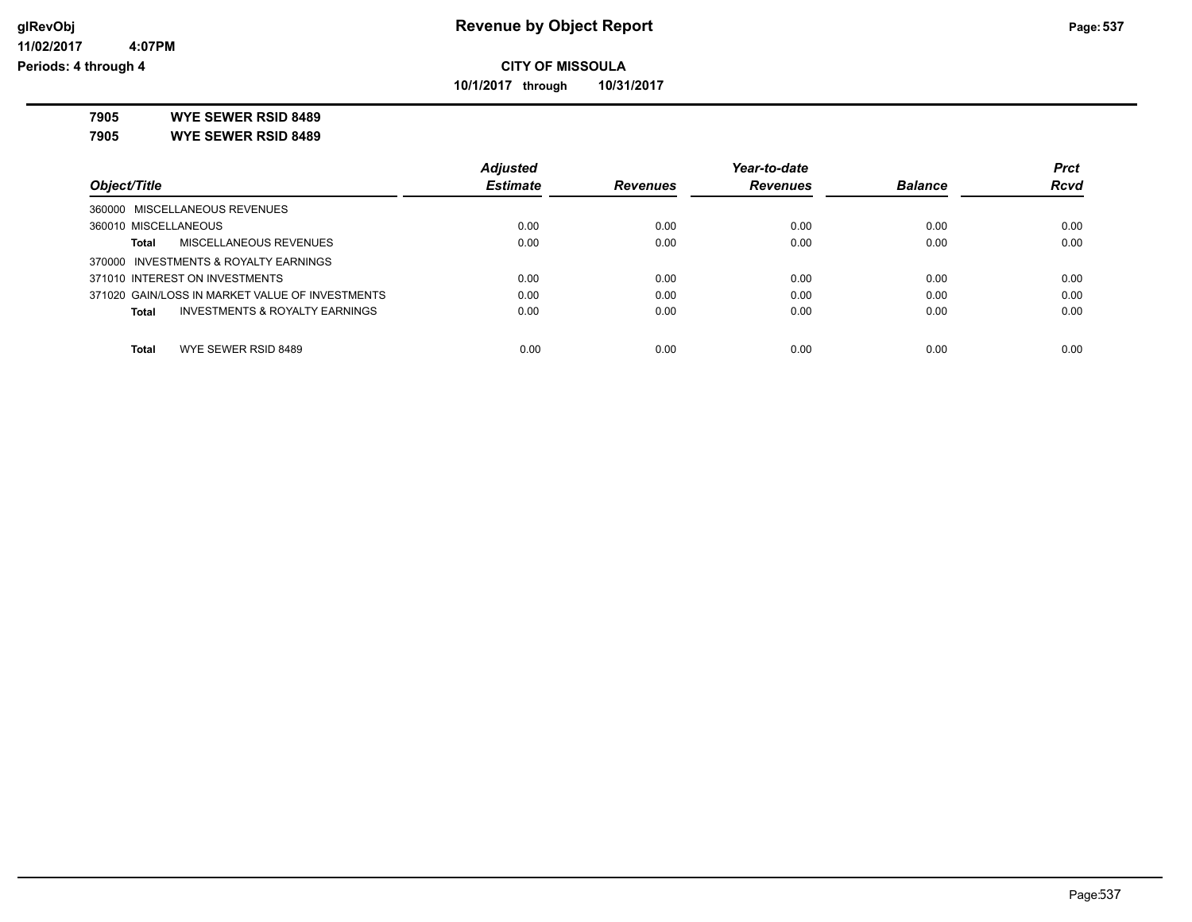**10/1/2017 through 10/31/2017**

**7905 WYE SEWER RSID 8489**

**7905 WYE SEWER RSID 8489**

|                                                 | <b>Adjusted</b> |                 | Year-to-date    |                | <b>Prct</b> |
|-------------------------------------------------|-----------------|-----------------|-----------------|----------------|-------------|
| Object/Title                                    | <b>Estimate</b> | <b>Revenues</b> | <b>Revenues</b> | <b>Balance</b> | <b>Rcvd</b> |
| 360000 MISCELLANEOUS REVENUES                   |                 |                 |                 |                |             |
| 360010 MISCELLANEOUS                            | 0.00            | 0.00            | 0.00            | 0.00           | 0.00        |
| MISCELLANEOUS REVENUES<br>Total                 | 0.00            | 0.00            | 0.00            | 0.00           | 0.00        |
| 370000 INVESTMENTS & ROYALTY EARNINGS           |                 |                 |                 |                |             |
| 371010 INTEREST ON INVESTMENTS                  | 0.00            | 0.00            | 0.00            | 0.00           | 0.00        |
| 371020 GAIN/LOSS IN MARKET VALUE OF INVESTMENTS | 0.00            | 0.00            | 0.00            | 0.00           | 0.00        |
| INVESTMENTS & ROYALTY EARNINGS<br><b>Total</b>  | 0.00            | 0.00            | 0.00            | 0.00           | 0.00        |
| WYE SEWER RSID 8489<br><b>Total</b>             | 0.00            | 0.00            | 0.00            | 0.00           | 0.00        |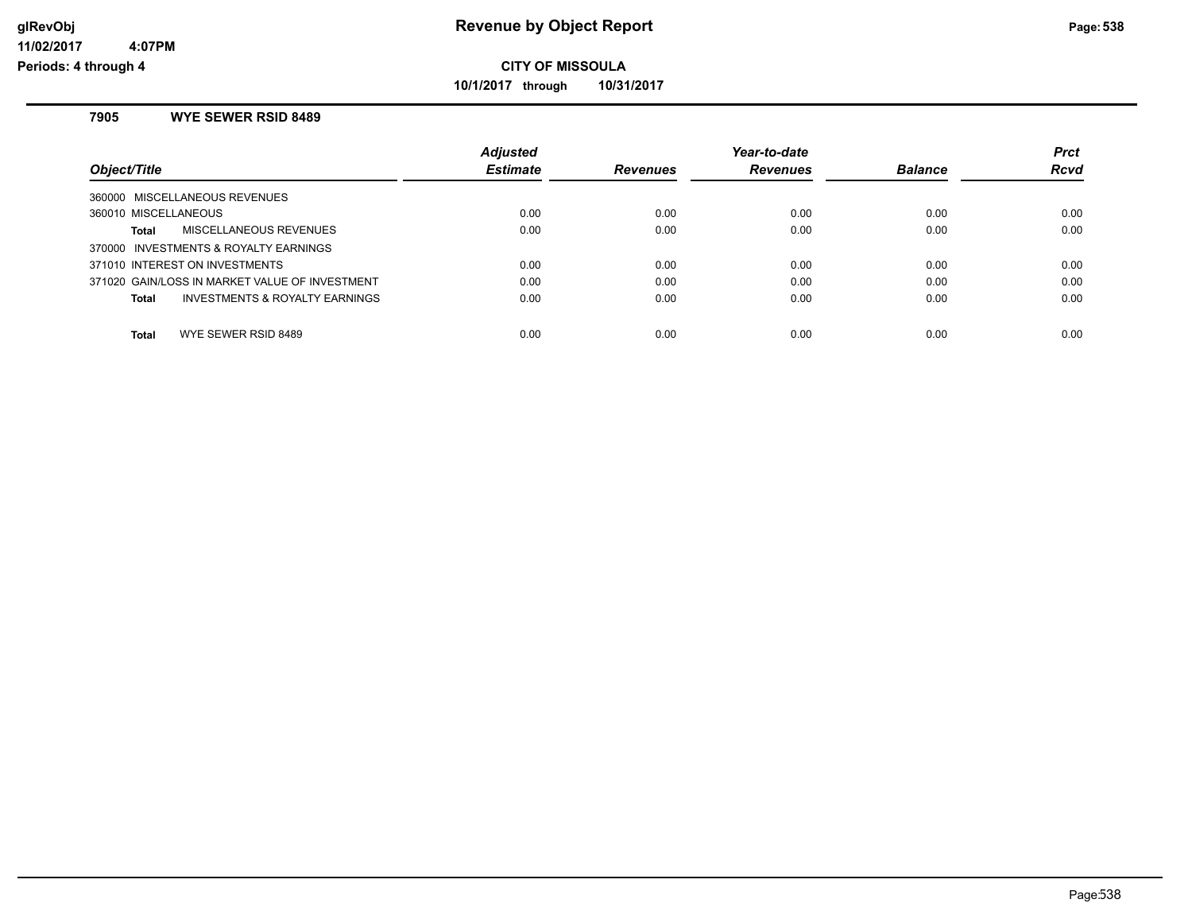**10/1/2017 through 10/31/2017**

#### **7905 WYE SEWER RSID 8489**

|                                                    | <b>Adjusted</b> |                 | Year-to-date    |                | <b>Prct</b> |
|----------------------------------------------------|-----------------|-----------------|-----------------|----------------|-------------|
| Object/Title                                       | <b>Estimate</b> | <b>Revenues</b> | <b>Revenues</b> | <b>Balance</b> | <b>Rcvd</b> |
| 360000 MISCELLANEOUS REVENUES                      |                 |                 |                 |                |             |
| 360010 MISCELLANEOUS                               | 0.00            | 0.00            | 0.00            | 0.00           | 0.00        |
| MISCELLANEOUS REVENUES<br>Total                    | 0.00            | 0.00            | 0.00            | 0.00           | 0.00        |
| 370000 INVESTMENTS & ROYALTY EARNINGS              |                 |                 |                 |                |             |
| 371010 INTEREST ON INVESTMENTS                     | 0.00            | 0.00            | 0.00            | 0.00           | 0.00        |
| 371020 GAIN/LOSS IN MARKET VALUE OF INVESTMENT     | 0.00            | 0.00            | 0.00            | 0.00           | 0.00        |
| <b>INVESTMENTS &amp; ROYALTY EARNINGS</b><br>Total | 0.00            | 0.00            | 0.00            | 0.00           | 0.00        |
|                                                    |                 |                 |                 |                |             |
| Total<br>WYE SEWER RSID 8489                       | 0.00            | 0.00            | 0.00            | 0.00           | 0.00        |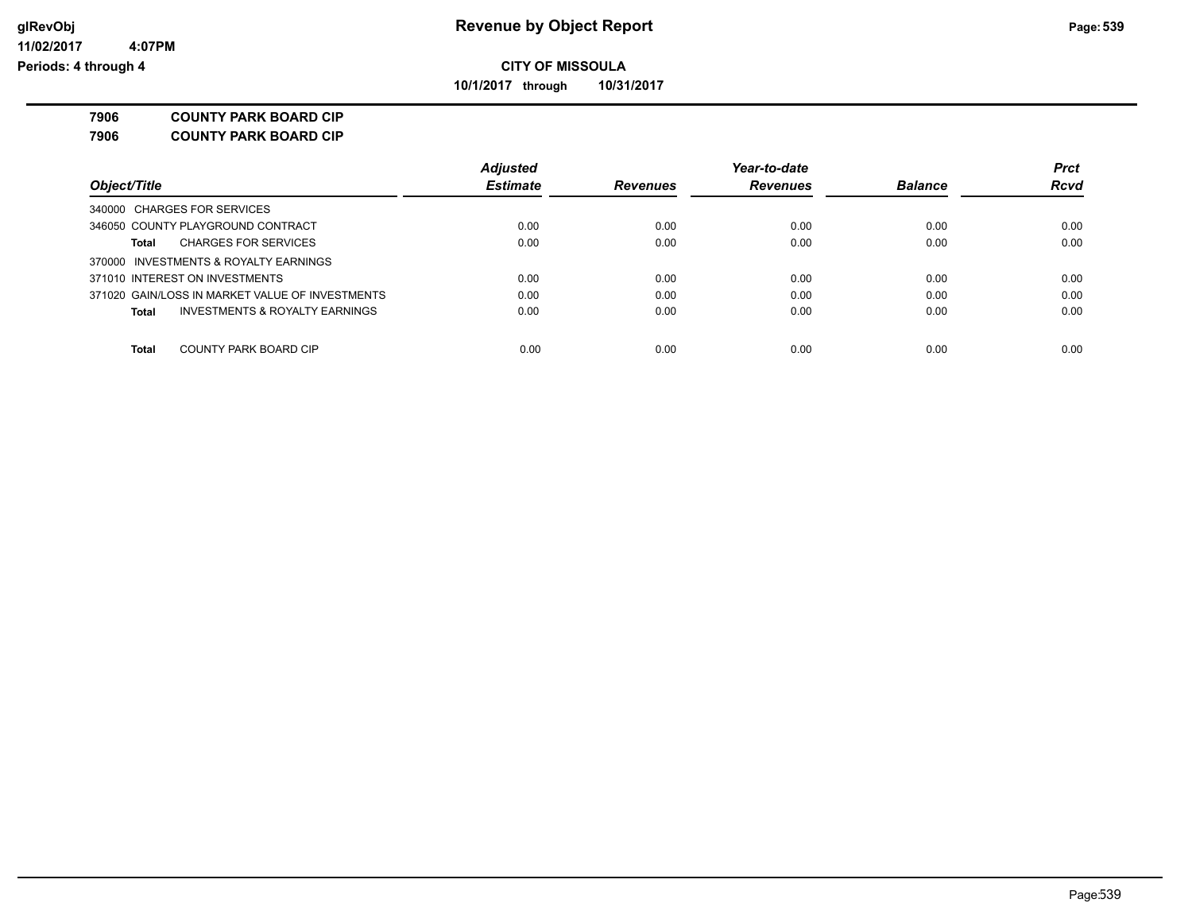**10/1/2017 through 10/31/2017**

**7906 COUNTY PARK BOARD CIP**

**7906 COUNTY PARK BOARD CIP**

|                                                 | <b>Adjusted</b> |                 | Year-to-date    |                | <b>Prct</b> |
|-------------------------------------------------|-----------------|-----------------|-----------------|----------------|-------------|
| Object/Title                                    | <b>Estimate</b> | <b>Revenues</b> | <b>Revenues</b> | <b>Balance</b> | <b>Rcvd</b> |
| 340000 CHARGES FOR SERVICES                     |                 |                 |                 |                |             |
| 346050 COUNTY PLAYGROUND CONTRACT               | 0.00            | 0.00            | 0.00            | 0.00           | 0.00        |
| <b>CHARGES FOR SERVICES</b><br>Total            | 0.00            | 0.00            | 0.00            | 0.00           | 0.00        |
| 370000 INVESTMENTS & ROYALTY EARNINGS           |                 |                 |                 |                |             |
| 371010 INTEREST ON INVESTMENTS                  | 0.00            | 0.00            | 0.00            | 0.00           | 0.00        |
| 371020 GAIN/LOSS IN MARKET VALUE OF INVESTMENTS | 0.00            | 0.00            | 0.00            | 0.00           | 0.00        |
| INVESTMENTS & ROYALTY EARNINGS<br>Total         | 0.00            | 0.00            | 0.00            | 0.00           | 0.00        |
|                                                 |                 |                 |                 |                |             |
| COUNTY PARK BOARD CIP<br>Total                  | 0.00            | 0.00            | 0.00            | 0.00           | 0.00        |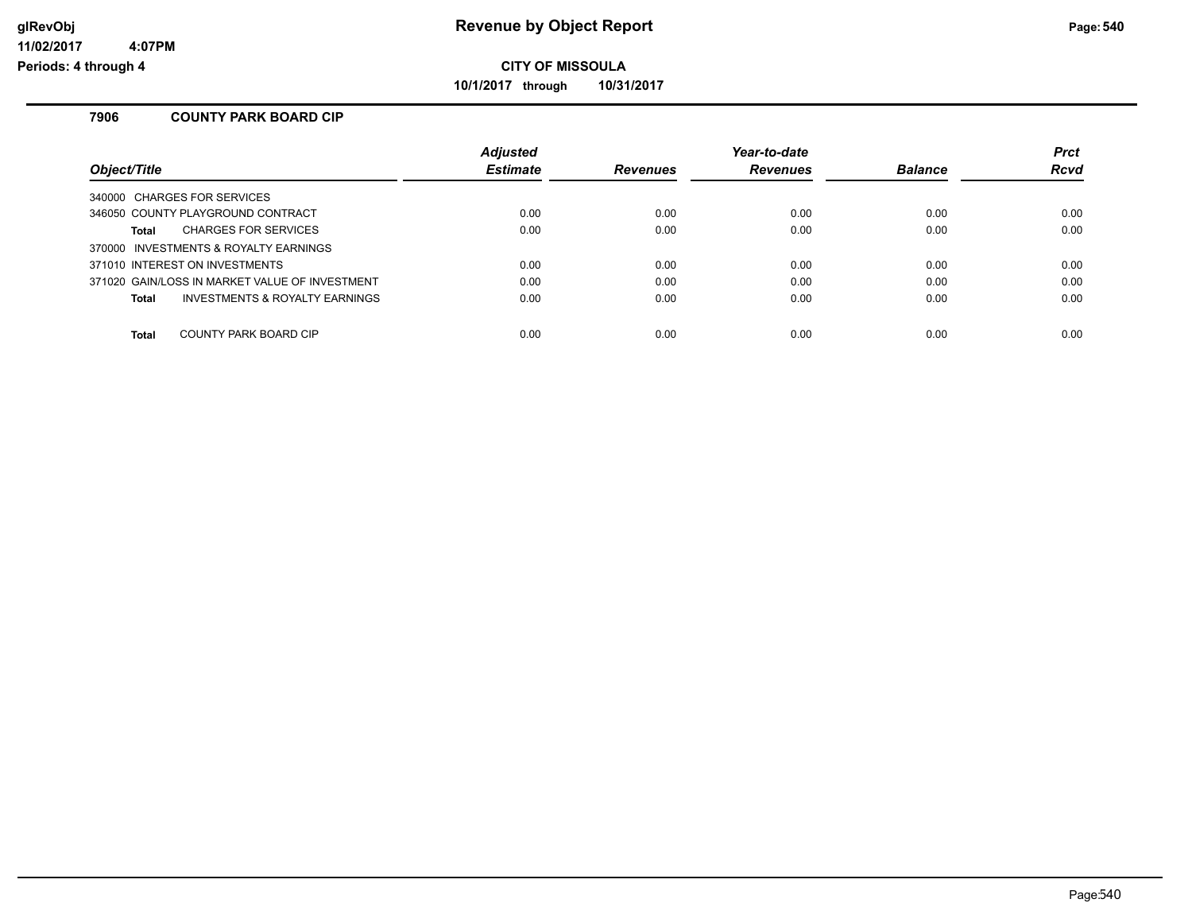**10/1/2017 through 10/31/2017**

## **7906 COUNTY PARK BOARD CIP**

|                                                | <b>Adjusted</b> |                 | Year-to-date    |                | <b>Prct</b> |
|------------------------------------------------|-----------------|-----------------|-----------------|----------------|-------------|
| <b>Object/Title</b>                            | <b>Estimate</b> | <b>Revenues</b> | <b>Revenues</b> | <b>Balance</b> | <b>Rcvd</b> |
| 340000 CHARGES FOR SERVICES                    |                 |                 |                 |                |             |
| 346050 COUNTY PLAYGROUND CONTRACT              | 0.00            | 0.00            | 0.00            | 0.00           | 0.00        |
| <b>CHARGES FOR SERVICES</b><br>Total           | 0.00            | 0.00            | 0.00            | 0.00           | 0.00        |
| 370000 INVESTMENTS & ROYALTY EARNINGS          |                 |                 |                 |                |             |
| 371010 INTEREST ON INVESTMENTS                 | 0.00            | 0.00            | 0.00            | 0.00           | 0.00        |
| 371020 GAIN/LOSS IN MARKET VALUE OF INVESTMENT | 0.00            | 0.00            | 0.00            | 0.00           | 0.00        |
| INVESTMENTS & ROYALTY EARNINGS<br>Total        | 0.00            | 0.00            | 0.00            | 0.00           | 0.00        |
| Total<br>COUNTY PARK BOARD CIP                 | 0.00            | 0.00            | 0.00            | 0.00           | 0.00        |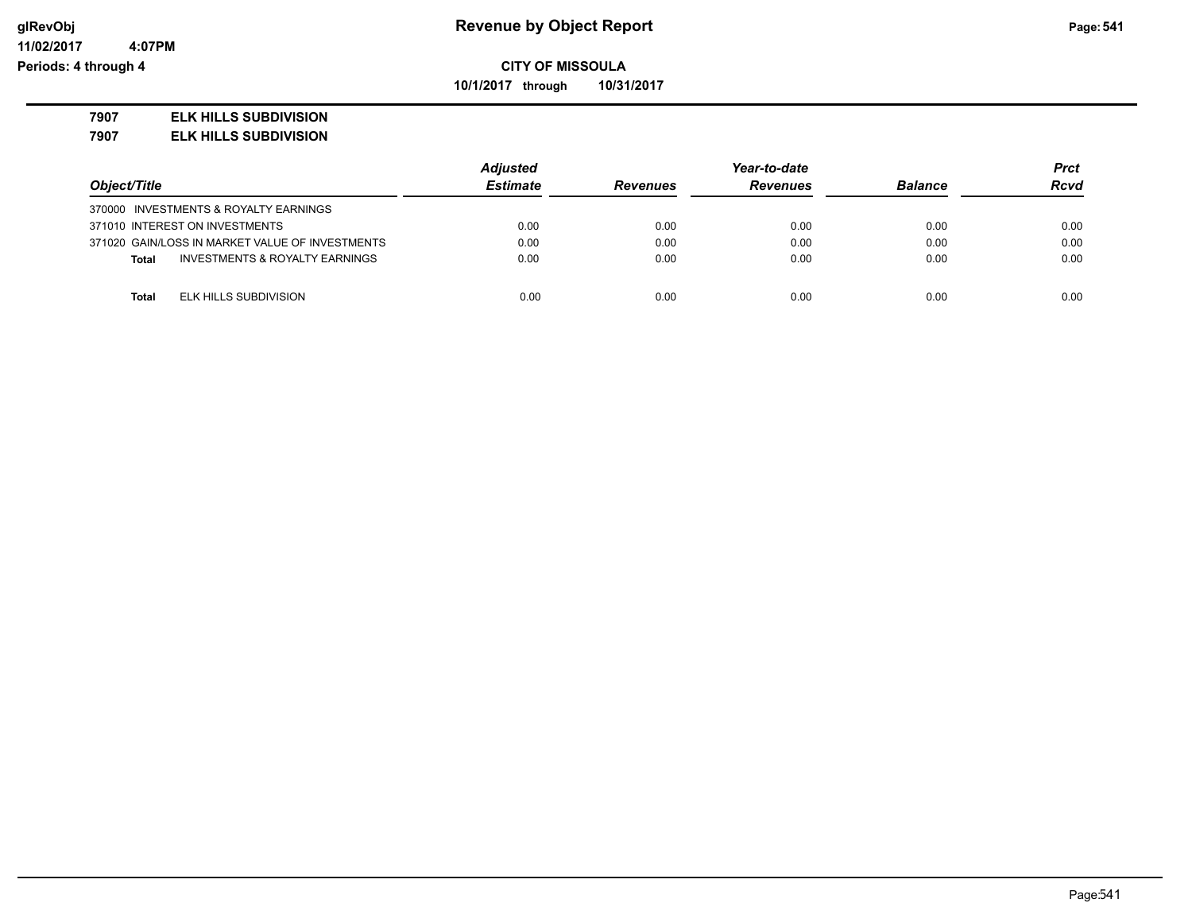**10/1/2017 through 10/31/2017**

#### **7907 ELK HILLS SUBDIVISION**

**7907 ELK HILLS SUBDIVISION**

|                                                 | Adjusted        |                 | Year-to-date    |                |      |
|-------------------------------------------------|-----------------|-----------------|-----------------|----------------|------|
| Object/Title                                    | <b>Estimate</b> | <b>Revenues</b> | <b>Revenues</b> | <b>Balance</b> | Rcvd |
| 370000 INVESTMENTS & ROYALTY EARNINGS           |                 |                 |                 |                |      |
| 371010 INTEREST ON INVESTMENTS                  | 0.00            | 0.00            | 0.00            | 0.00           | 0.00 |
| 371020 GAIN/LOSS IN MARKET VALUE OF INVESTMENTS | 0.00            | 0.00            | 0.00            | 0.00           | 0.00 |
| INVESTMENTS & ROYALTY EARNINGS<br><b>Total</b>  | 0.00            | 0.00            | 0.00            | 0.00           | 0.00 |
|                                                 |                 |                 |                 |                |      |
| <b>Total</b><br>ELK HILLS SUBDIVISION           | 0.00            | 0.00            | 0.00            | 0.00           | 0.00 |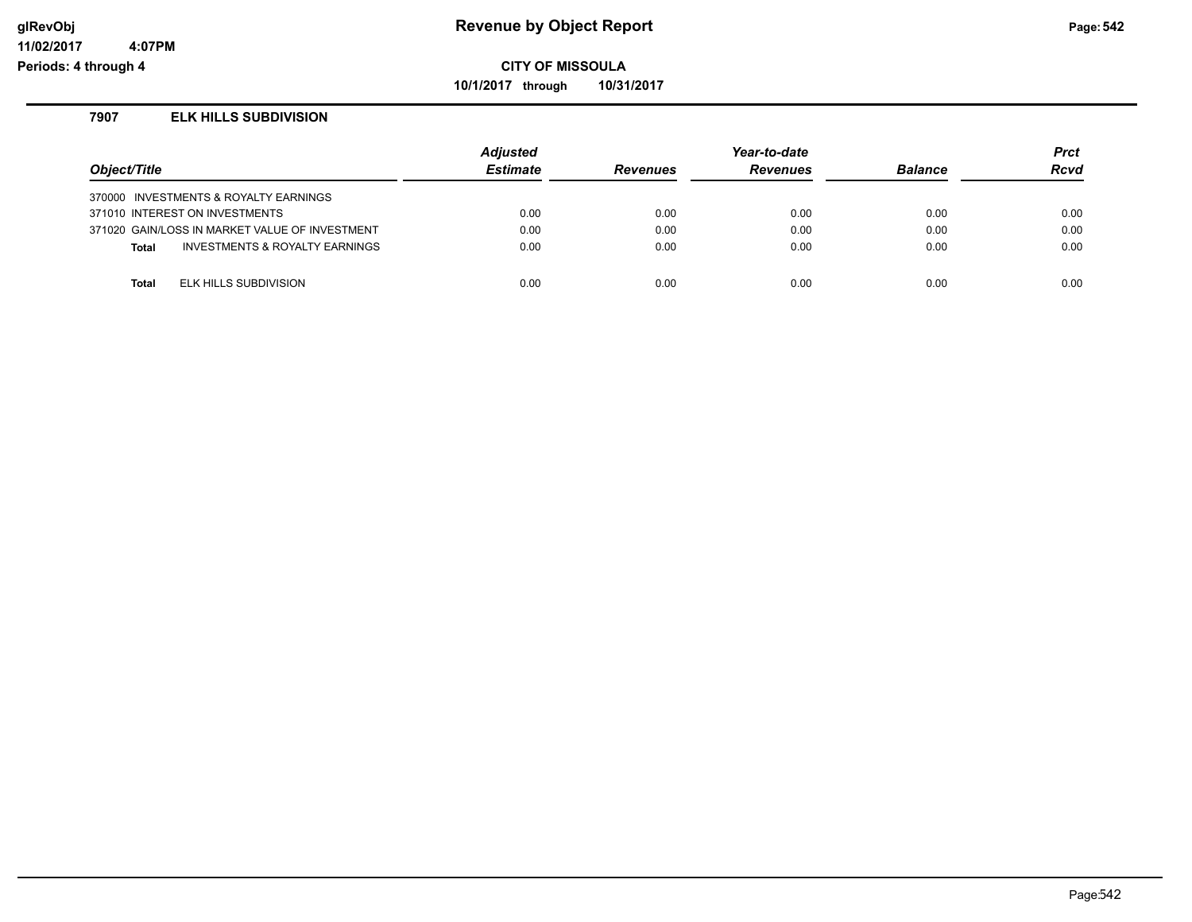**10/1/2017 through 10/31/2017**

#### **7907 ELK HILLS SUBDIVISION**

| Object/Title |                                                | <b>Adjusted</b><br><b>Estimate</b> | <b>Revenues</b> | Year-to-date<br><b>Revenues</b> | <b>Balance</b> | <b>Prct</b><br><b>Rcvd</b> |
|--------------|------------------------------------------------|------------------------------------|-----------------|---------------------------------|----------------|----------------------------|
|              | 370000 INVESTMENTS & ROYALTY EARNINGS          |                                    |                 |                                 |                |                            |
|              | 371010 INTEREST ON INVESTMENTS                 | 0.00                               | 0.00            | 0.00                            | 0.00           | 0.00                       |
|              | 371020 GAIN/LOSS IN MARKET VALUE OF INVESTMENT | 0.00                               | 0.00            | 0.00                            | 0.00           | 0.00                       |
| <b>Total</b> | INVESTMENTS & ROYALTY EARNINGS                 | 0.00                               | 0.00            | 0.00                            | 0.00           | 0.00                       |
|              |                                                |                                    |                 |                                 |                |                            |
| Total        | ELK HILLS SUBDIVISION                          | 0.00                               | 0.00            | 0.00                            | 0.00           | 0.00                       |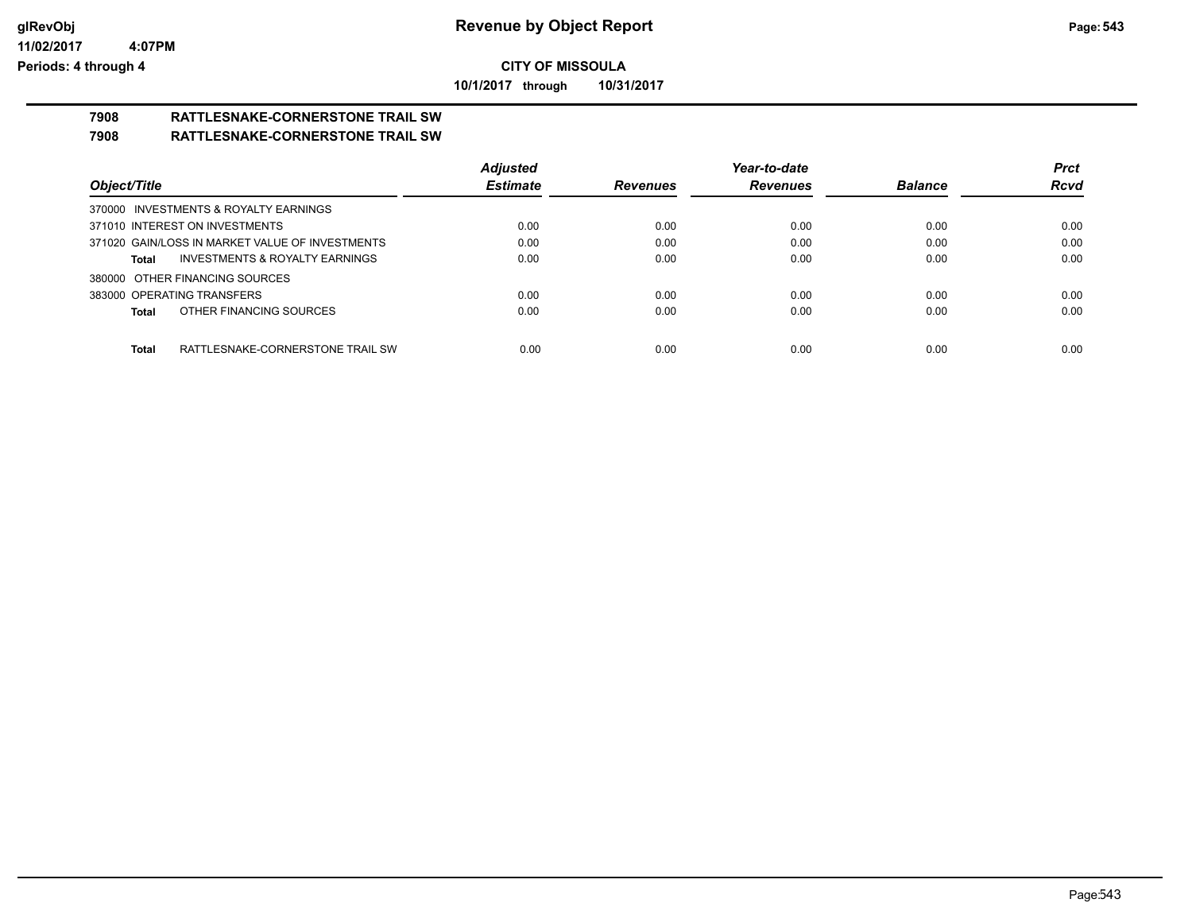**10/1/2017 through 10/31/2017**

## **7908 RATTLESNAKE-CORNERSTONE TRAIL SW**

## **7908 RATTLESNAKE-CORNERSTONE TRAIL SW**

|                                                 | <b>Adjusted</b> |                 | Year-to-date    |                | <b>Prct</b> |
|-------------------------------------------------|-----------------|-----------------|-----------------|----------------|-------------|
| Object/Title                                    | <b>Estimate</b> | <b>Revenues</b> | <b>Revenues</b> | <b>Balance</b> | <b>Rcvd</b> |
| 370000 INVESTMENTS & ROYALTY EARNINGS           |                 |                 |                 |                |             |
| 371010 INTEREST ON INVESTMENTS                  | 0.00            | 0.00            | 0.00            | 0.00           | 0.00        |
| 371020 GAIN/LOSS IN MARKET VALUE OF INVESTMENTS | 0.00            | 0.00            | 0.00            | 0.00           | 0.00        |
| INVESTMENTS & ROYALTY EARNINGS<br>Total         | 0.00            | 0.00            | 0.00            | 0.00           | 0.00        |
| 380000 OTHER FINANCING SOURCES                  |                 |                 |                 |                |             |
| 383000 OPERATING TRANSFERS                      | 0.00            | 0.00            | 0.00            | 0.00           | 0.00        |
| OTHER FINANCING SOURCES<br>Total                | 0.00            | 0.00            | 0.00            | 0.00           | 0.00        |
|                                                 |                 |                 |                 |                |             |
| Total<br>RATTLESNAKE-CORNERSTONE TRAIL SW       | 0.00            | 0.00            | 0.00            | 0.00           | 0.00        |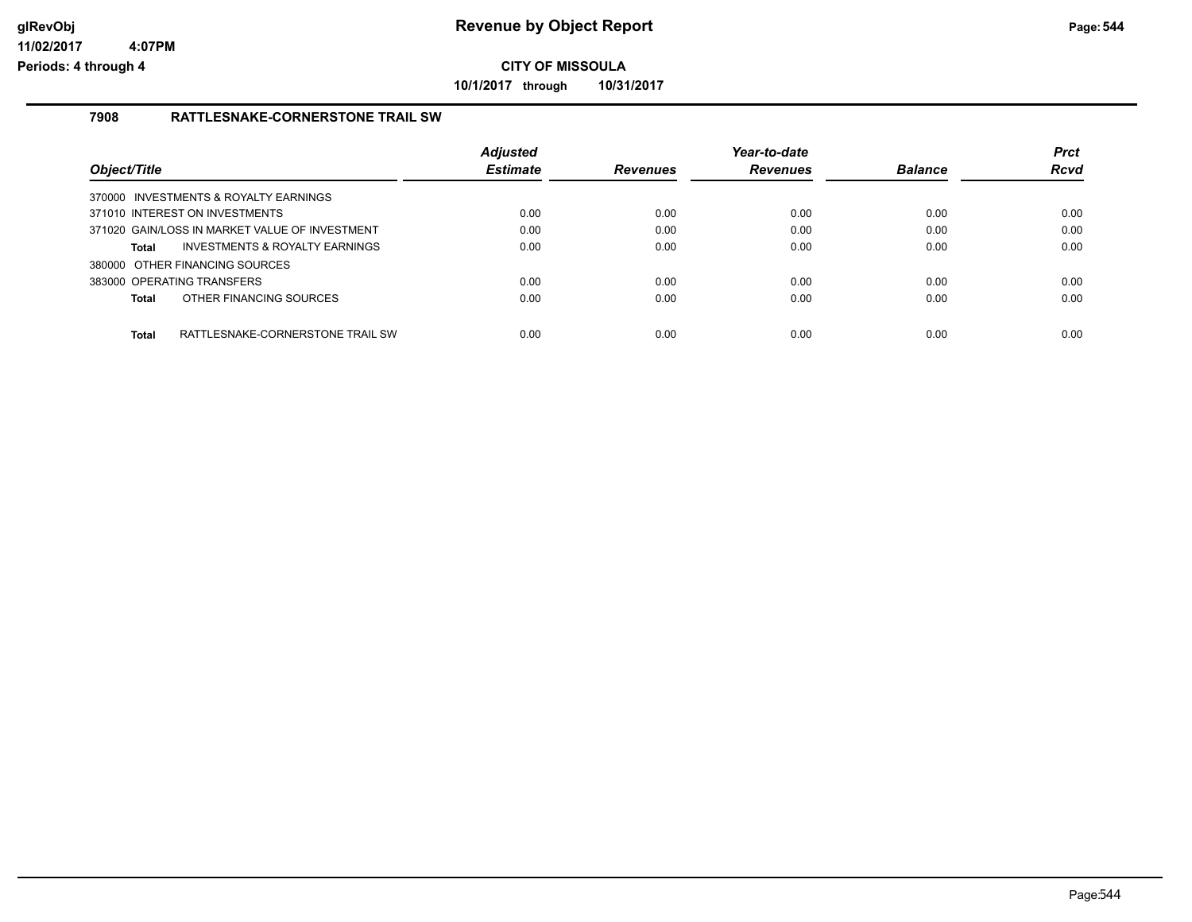**10/1/2017 through 10/31/2017**

#### **7908 RATTLESNAKE-CORNERSTONE TRAIL SW**

|                                                | <b>Adjusted</b> |                 | Year-to-date    |                | <b>Prct</b> |
|------------------------------------------------|-----------------|-----------------|-----------------|----------------|-------------|
| Object/Title                                   | <b>Estimate</b> | <b>Revenues</b> | <b>Revenues</b> | <b>Balance</b> | Rcvd        |
| 370000 INVESTMENTS & ROYALTY EARNINGS          |                 |                 |                 |                |             |
| 371010 INTEREST ON INVESTMENTS                 | 0.00            | 0.00            | 0.00            | 0.00           | 0.00        |
| 371020 GAIN/LOSS IN MARKET VALUE OF INVESTMENT | 0.00            | 0.00            | 0.00            | 0.00           | 0.00        |
| INVESTMENTS & ROYALTY EARNINGS<br>Total        | 0.00            | 0.00            | 0.00            | 0.00           | 0.00        |
| 380000 OTHER FINANCING SOURCES                 |                 |                 |                 |                |             |
| 383000 OPERATING TRANSFERS                     | 0.00            | 0.00            | 0.00            | 0.00           | 0.00        |
| OTHER FINANCING SOURCES<br>Total               | 0.00            | 0.00            | 0.00            | 0.00           | 0.00        |
|                                                |                 |                 |                 |                |             |
| Total<br>RATTLESNAKE-CORNERSTONE TRAIL SW      | 0.00            | 0.00            | 0.00            | 0.00           | 0.00        |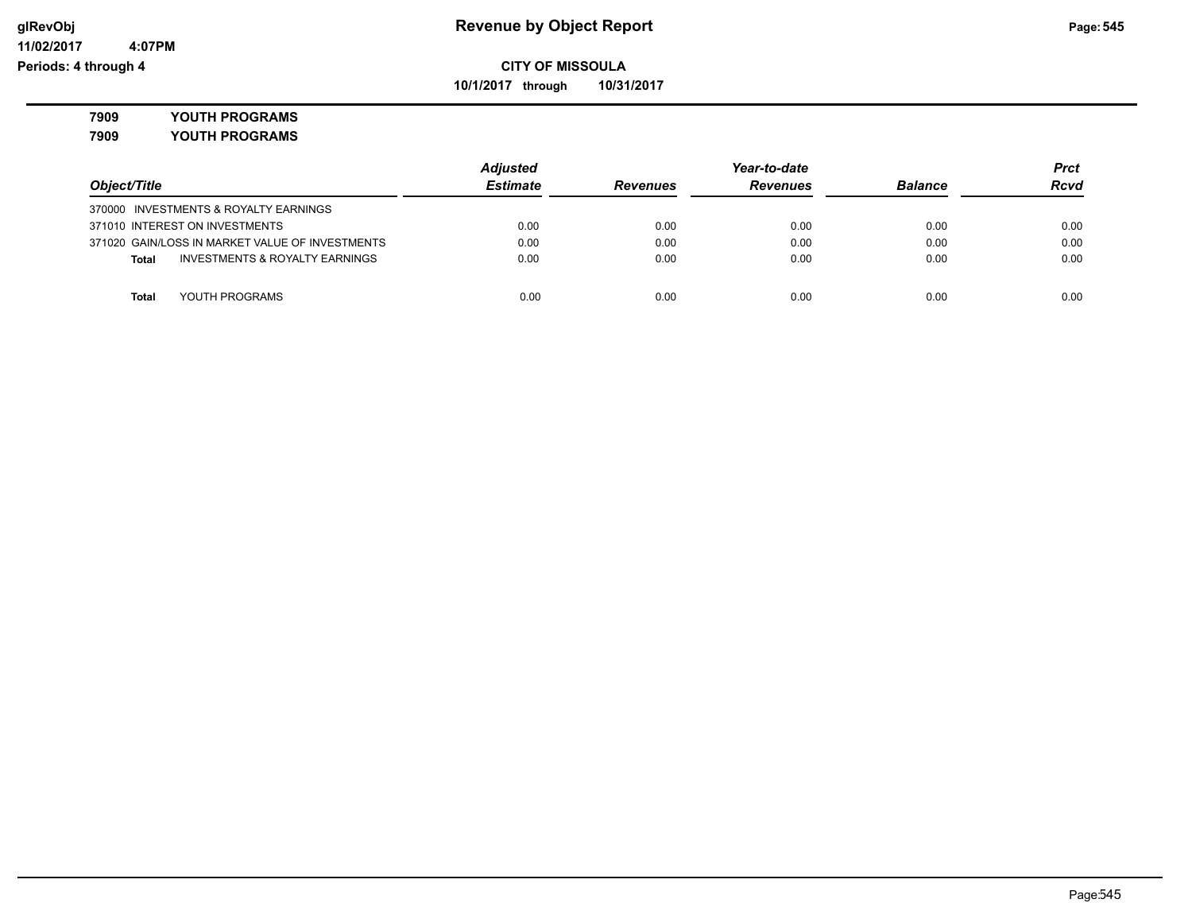**10/1/2017 through 10/31/2017**

## **7909 YOUTH PROGRAMS**

**7909 YOUTH PROGRAMS**

|                                                           | <b>Adjusted</b> |                 | Year-to-date    |                |             |
|-----------------------------------------------------------|-----------------|-----------------|-----------------|----------------|-------------|
| Object/Title                                              | <b>Estimate</b> | <b>Revenues</b> | <b>Revenues</b> | <b>Balance</b> | <b>Rcvd</b> |
| 370000 INVESTMENTS & ROYALTY EARNINGS                     |                 |                 |                 |                |             |
| 371010 INTEREST ON INVESTMENTS                            | 0.00            | 0.00            | 0.00            | 0.00           | 0.00        |
| 371020 GAIN/LOSS IN MARKET VALUE OF INVESTMENTS           | 0.00            | 0.00            | 0.00            | 0.00           | 0.00        |
| <b>INVESTMENTS &amp; ROYALTY EARNINGS</b><br><b>Total</b> | 0.00            | 0.00            | 0.00            | 0.00           | 0.00        |
|                                                           |                 |                 |                 |                |             |
| YOUTH PROGRAMS<br>Total                                   | 0.00            | 0.00            | 0.00            | 0.00           | 0.00        |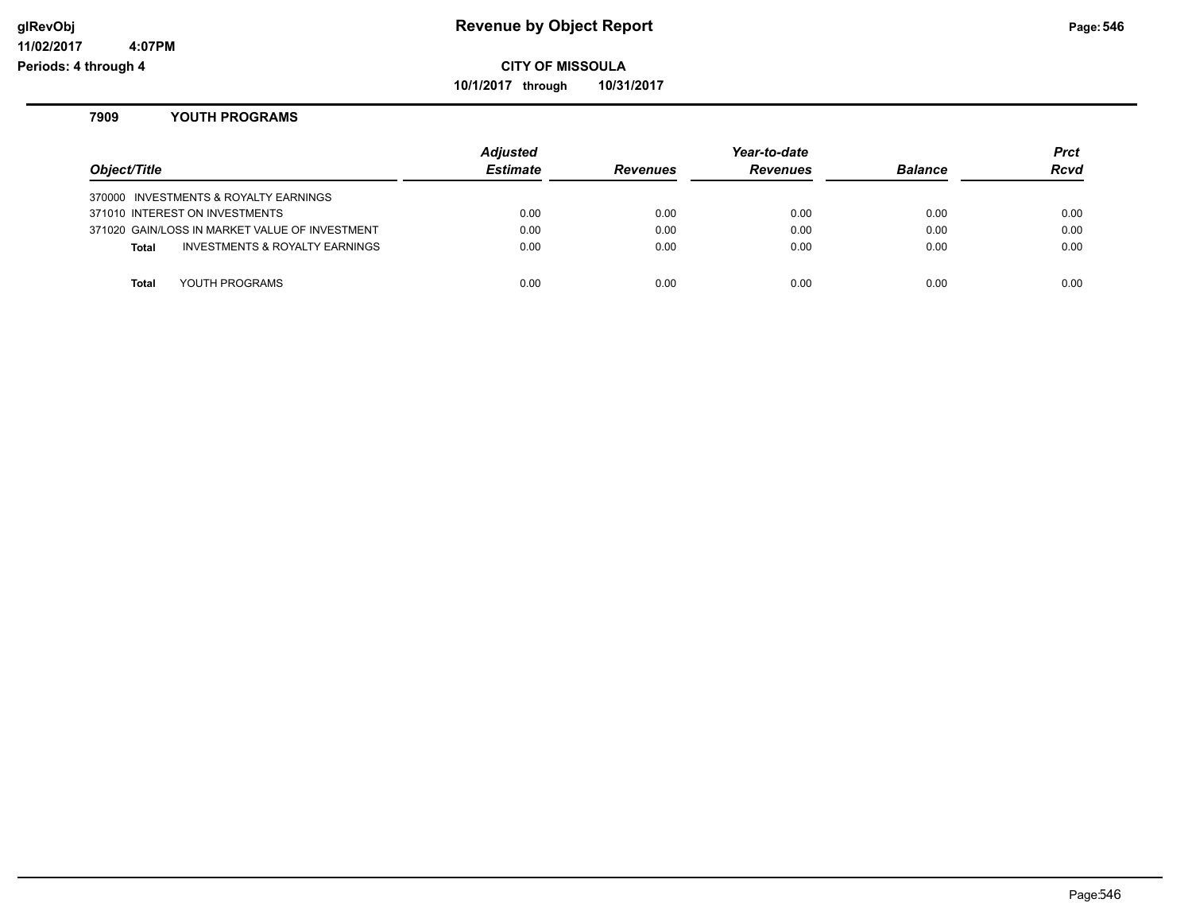**10/1/2017 through 10/31/2017**

#### **7909 YOUTH PROGRAMS**

| Object/Title |                                                | <b>Adjusted</b><br><b>Estimate</b> | <b>Revenues</b> | Year-to-date<br><b>Revenues</b> | <b>Balance</b> | Prct<br><b>Rcvd</b> |
|--------------|------------------------------------------------|------------------------------------|-----------------|---------------------------------|----------------|---------------------|
|              | 370000 INVESTMENTS & ROYALTY EARNINGS          |                                    |                 |                                 |                |                     |
|              | 371010 INTEREST ON INVESTMENTS                 | 0.00                               | 0.00            | 0.00                            | 0.00           | 0.00                |
|              | 371020 GAIN/LOSS IN MARKET VALUE OF INVESTMENT | 0.00                               | 0.00            | 0.00                            | 0.00           | 0.00                |
| Total        | INVESTMENTS & ROYALTY EARNINGS                 | 0.00                               | 0.00            | 0.00                            | 0.00           | 0.00                |
|              |                                                |                                    |                 |                                 |                |                     |
| Total        | YOUTH PROGRAMS                                 | 0.00                               | 0.00            | 0.00                            | 0.00           | 0.00                |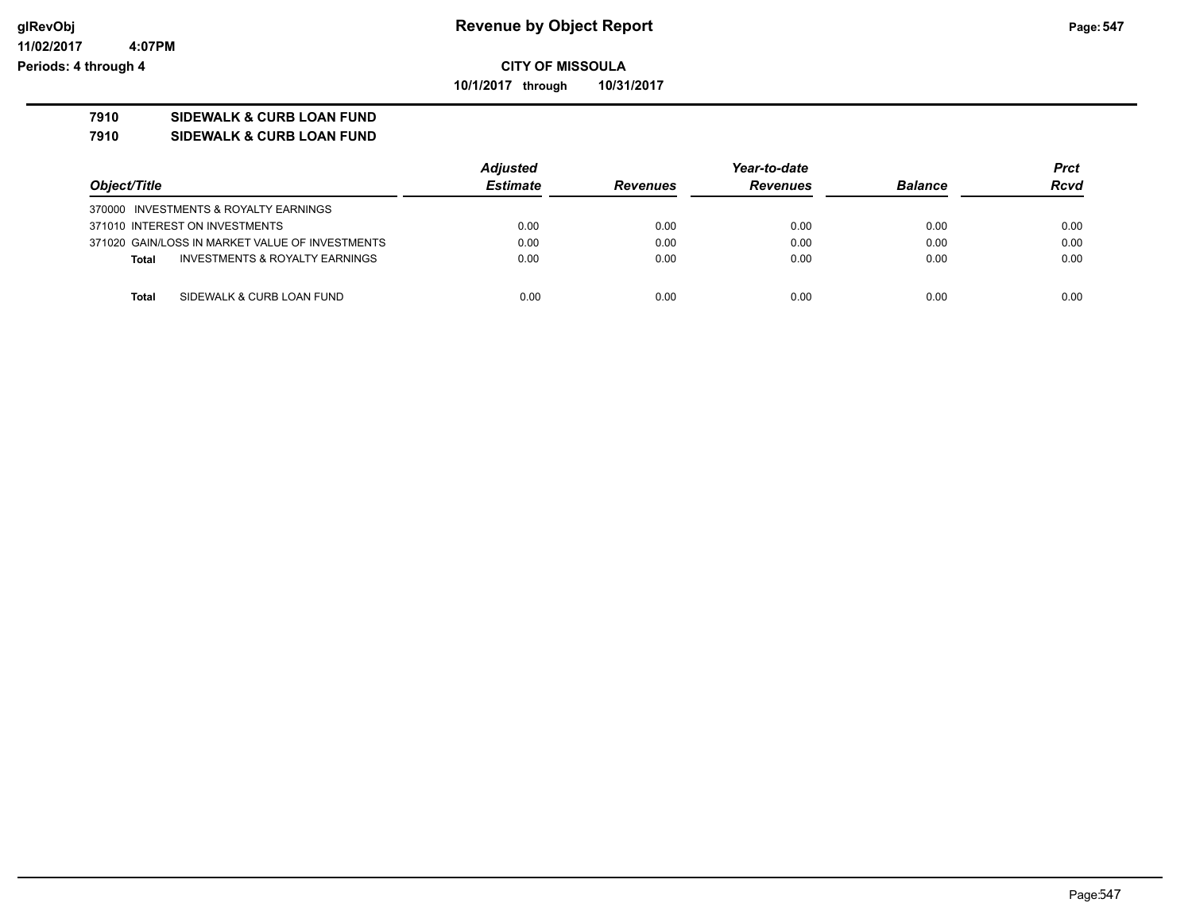**10/1/2017 through 10/31/2017**

## **7910 SIDEWALK & CURB LOAN FUND**

**7910 SIDEWALK & CURB LOAN FUND**

|                                                 | <b>Adjusted</b> | Year-to-date    |                 |                | Prct |
|-------------------------------------------------|-----------------|-----------------|-----------------|----------------|------|
| Object/Title                                    | <b>Estimate</b> | <b>Revenues</b> | <b>Revenues</b> | <b>Balance</b> | Rcvd |
| 370000 INVESTMENTS & ROYALTY EARNINGS           |                 |                 |                 |                |      |
| 371010 INTEREST ON INVESTMENTS                  | 0.00            | 0.00            | 0.00            | 0.00           | 0.00 |
| 371020 GAIN/LOSS IN MARKET VALUE OF INVESTMENTS | 0.00            | 0.00            | 0.00            | 0.00           | 0.00 |
| INVESTMENTS & ROYALTY EARNINGS<br><b>Total</b>  | 0.00            | 0.00            | 0.00            | 0.00           | 0.00 |
| SIDEWALK & CURB LOAN FUND<br>Total              | 0.00            | 0.00            | 0.00            | 0.00           | 0.00 |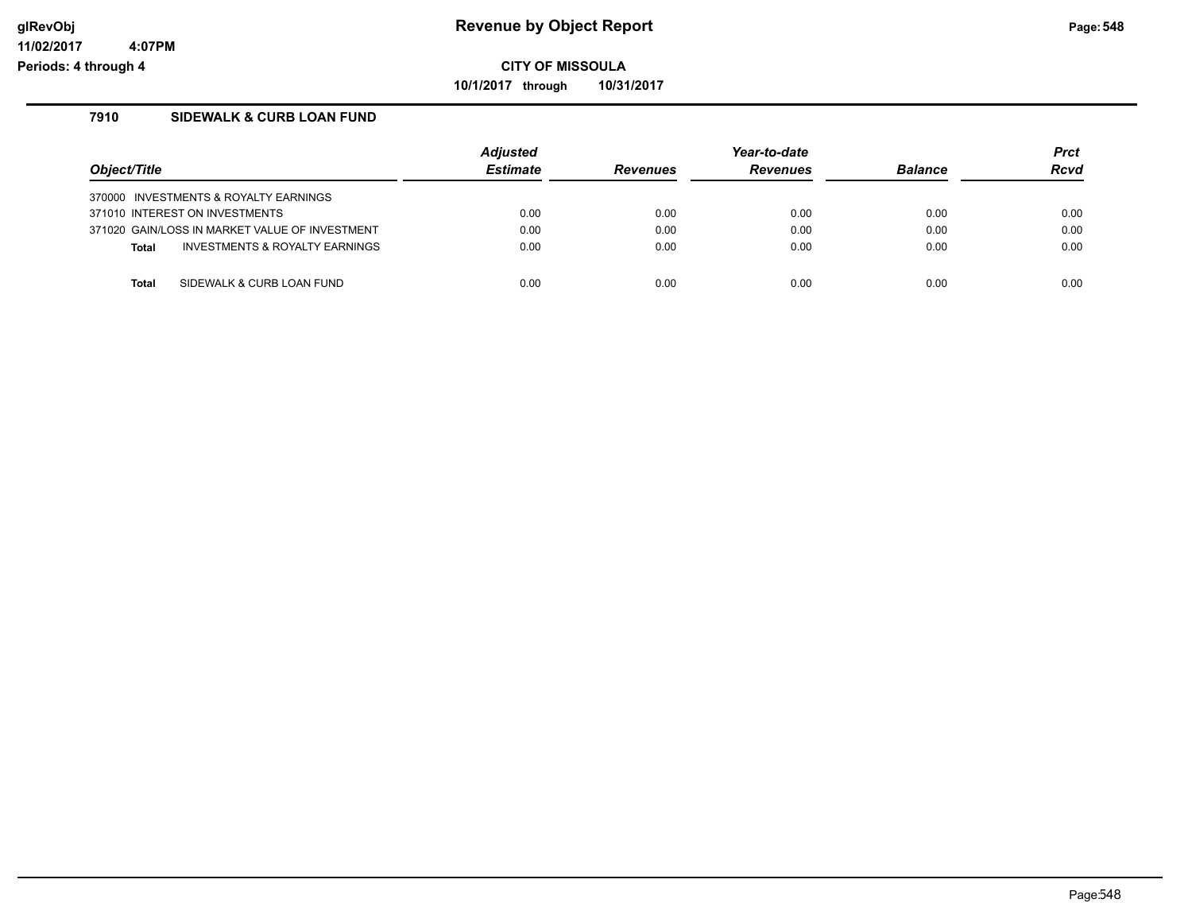**10/1/2017 through 10/31/2017**

#### **7910 SIDEWALK & CURB LOAN FUND**

| Object/Title                          |                                                | <b>Adjusted</b><br><b>Estimate</b> | <b>Revenues</b> | Year-to-date<br><b>Revenues</b> | <b>Balance</b> | <b>Prct</b><br>Rcvd |
|---------------------------------------|------------------------------------------------|------------------------------------|-----------------|---------------------------------|----------------|---------------------|
| 370000 INVESTMENTS & ROYALTY EARNINGS |                                                |                                    |                 |                                 |                |                     |
| 371010 INTEREST ON INVESTMENTS        |                                                | 0.00                               | 0.00            | 0.00                            | 0.00           | 0.00                |
|                                       | 371020 GAIN/LOSS IN MARKET VALUE OF INVESTMENT | 0.00                               | 0.00            | 0.00                            | 0.00           | 0.00                |
| Total                                 | <b>INVESTMENTS &amp; ROYALTY EARNINGS</b>      | 0.00                               | 0.00            | 0.00                            | 0.00           | 0.00                |
|                                       |                                                |                                    |                 |                                 |                |                     |
| Total                                 | SIDEWALK & CURB LOAN FUND                      | 0.00                               | 0.00            | 0.00                            | 0.00           | 0.00                |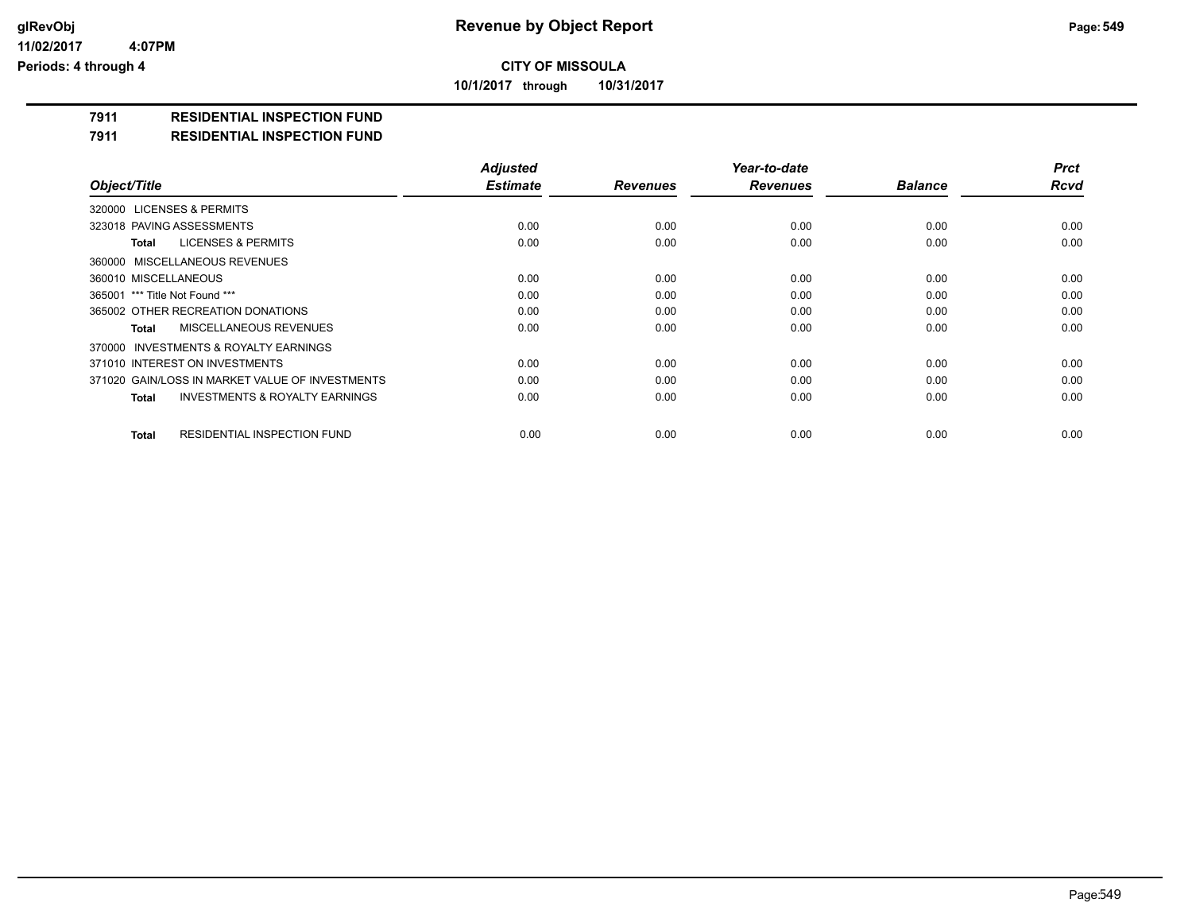**10/1/2017 through 10/31/2017**

**7911 RESIDENTIAL INSPECTION FUND**

**7911 RESIDENTIAL INSPECTION FUND**

|                                                           | <b>Adjusted</b> |                 | Year-to-date    |                | <b>Prct</b> |
|-----------------------------------------------------------|-----------------|-----------------|-----------------|----------------|-------------|
| Object/Title                                              | <b>Estimate</b> | <b>Revenues</b> | <b>Revenues</b> | <b>Balance</b> | <b>Rcvd</b> |
| 320000 LICENSES & PERMITS                                 |                 |                 |                 |                |             |
| 323018 PAVING ASSESSMENTS                                 | 0.00            | 0.00            | 0.00            | 0.00           | 0.00        |
| <b>LICENSES &amp; PERMITS</b><br>Total                    | 0.00            | 0.00            | 0.00            | 0.00           | 0.00        |
| 360000 MISCELLANEOUS REVENUES                             |                 |                 |                 |                |             |
| 360010 MISCELLANEOUS                                      | 0.00            | 0.00            | 0.00            | 0.00           | 0.00        |
| 365001 *** Title Not Found ***                            | 0.00            | 0.00            | 0.00            | 0.00           | 0.00        |
| 365002 OTHER RECREATION DONATIONS                         | 0.00            | 0.00            | 0.00            | 0.00           | 0.00        |
| MISCELLANEOUS REVENUES<br>Total                           | 0.00            | 0.00            | 0.00            | 0.00           | 0.00        |
| 370000 INVESTMENTS & ROYALTY EARNINGS                     |                 |                 |                 |                |             |
| 371010 INTEREST ON INVESTMENTS                            | 0.00            | 0.00            | 0.00            | 0.00           | 0.00        |
| 371020 GAIN/LOSS IN MARKET VALUE OF INVESTMENTS           | 0.00            | 0.00            | 0.00            | 0.00           | 0.00        |
| <b>INVESTMENTS &amp; ROYALTY EARNINGS</b><br><b>Total</b> | 0.00            | 0.00            | 0.00            | 0.00           | 0.00        |
|                                                           |                 |                 |                 |                |             |
| <b>RESIDENTIAL INSPECTION FUND</b><br>Total               | 0.00            | 0.00            | 0.00            | 0.00           | 0.00        |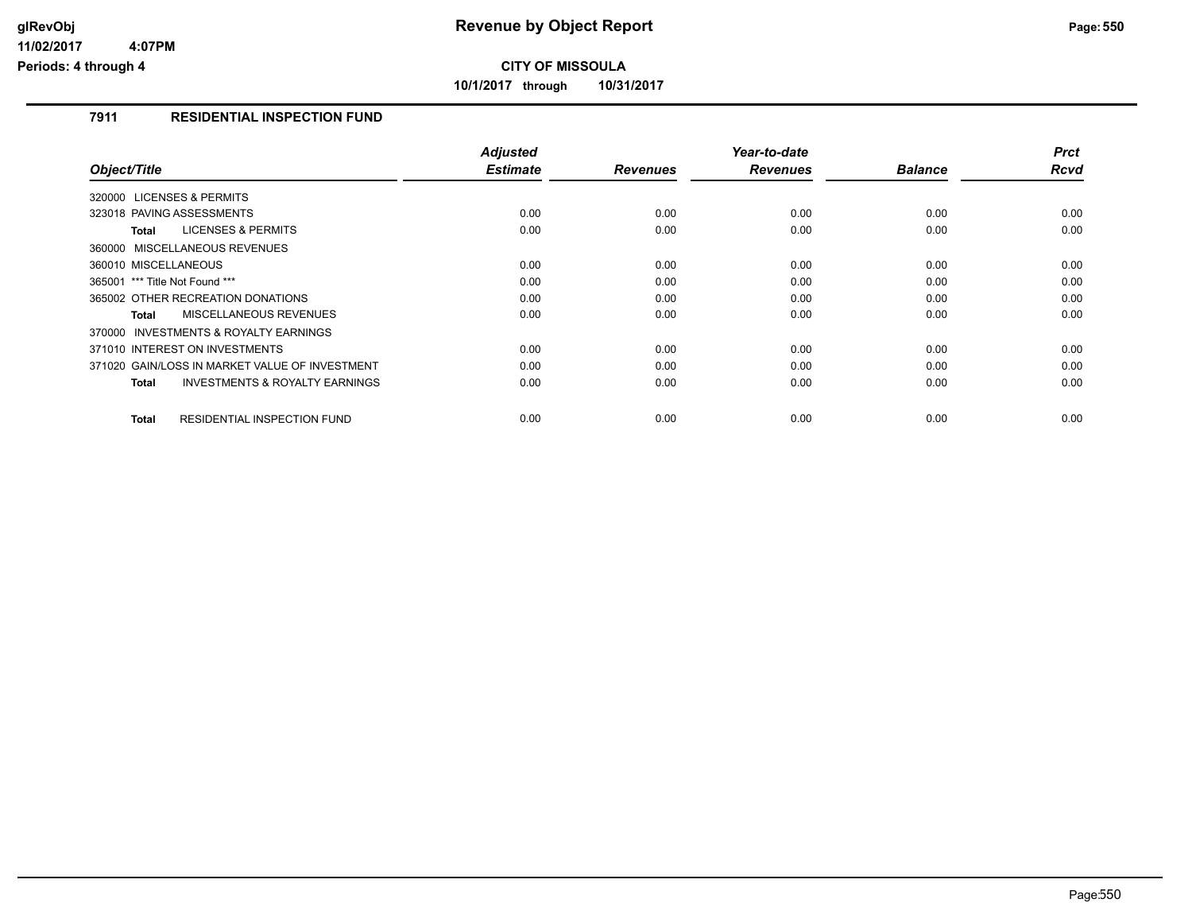**10/1/2017 through 10/31/2017**

#### **7911 RESIDENTIAL INSPECTION FUND**

| Object/Title                                              | <b>Adjusted</b><br><b>Estimate</b> | <b>Revenues</b> | Year-to-date<br><b>Revenues</b> | <b>Balance</b> | <b>Prct</b><br>Rcvd |
|-----------------------------------------------------------|------------------------------------|-----------------|---------------------------------|----------------|---------------------|
| <b>LICENSES &amp; PERMITS</b><br>320000                   |                                    |                 |                                 |                |                     |
|                                                           |                                    |                 |                                 |                |                     |
| 323018 PAVING ASSESSMENTS                                 | 0.00                               | 0.00            | 0.00                            | 0.00           | 0.00                |
| <b>LICENSES &amp; PERMITS</b><br>Total                    | 0.00                               | 0.00            | 0.00                            | 0.00           | 0.00                |
| 360000 MISCELLANEOUS REVENUES                             |                                    |                 |                                 |                |                     |
| 360010 MISCELLANEOUS                                      | 0.00                               | 0.00            | 0.00                            | 0.00           | 0.00                |
| 365001 *** Title Not Found ***                            | 0.00                               | 0.00            | 0.00                            | 0.00           | 0.00                |
| 365002 OTHER RECREATION DONATIONS                         | 0.00                               | 0.00            | 0.00                            | 0.00           | 0.00                |
| <b>MISCELLANEOUS REVENUES</b><br>Total                    | 0.00                               | 0.00            | 0.00                            | 0.00           | 0.00                |
| 370000 INVESTMENTS & ROYALTY EARNINGS                     |                                    |                 |                                 |                |                     |
| 371010 INTEREST ON INVESTMENTS                            | 0.00                               | 0.00            | 0.00                            | 0.00           | 0.00                |
| 371020 GAIN/LOSS IN MARKET VALUE OF INVESTMENT            | 0.00                               | 0.00            | 0.00                            | 0.00           | 0.00                |
| <b>INVESTMENTS &amp; ROYALTY EARNINGS</b><br><b>Total</b> | 0.00                               | 0.00            | 0.00                            | 0.00           | 0.00                |
| <b>RESIDENTIAL INSPECTION FUND</b><br><b>Total</b>        | 0.00                               | 0.00            | 0.00                            | 0.00           | 0.00                |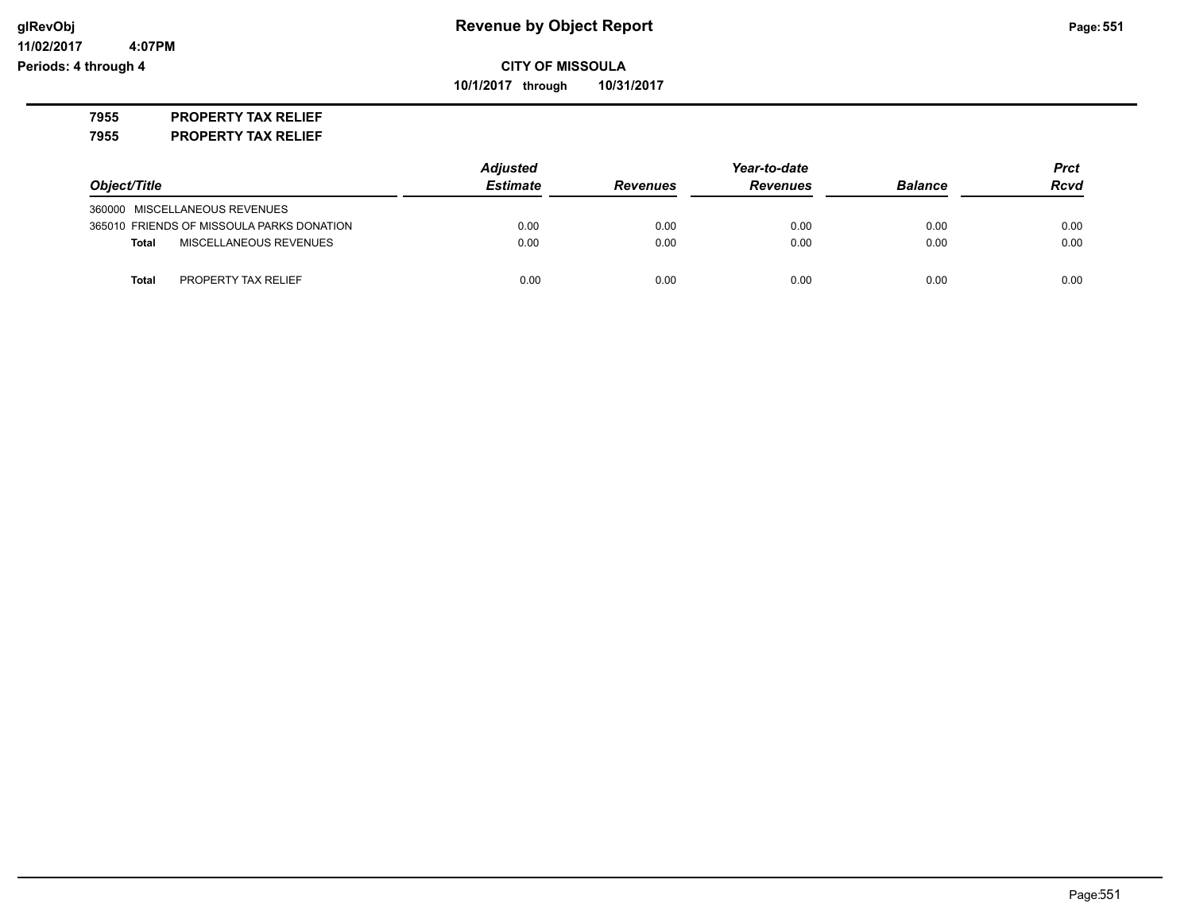**10/1/2017 through 10/31/2017**

#### **7955 PROPERTY TAX RELIEF**

**7955 PROPERTY TAX RELIEF**

|                                           | <b>Adjusted</b> |                 | Year-to-date    |                | <b>Prct</b> |
|-------------------------------------------|-----------------|-----------------|-----------------|----------------|-------------|
| Object/Title                              | <b>Estimate</b> | <b>Revenues</b> | <b>Revenues</b> | <b>Balance</b> | <b>Rcvd</b> |
| 360000 MISCELLANEOUS REVENUES             |                 |                 |                 |                |             |
| 365010 FRIENDS OF MISSOULA PARKS DONATION | 0.00            | 0.00            | 0.00            | 0.00           | 0.00        |
| MISCELLANEOUS REVENUES<br><b>Total</b>    | 0.00            | 0.00            | 0.00            | 0.00           | 0.00        |
| PROPERTY TAX RELIEF<br>Total              | 0.00            | 0.00            | 0.00            | 0.00           | 0.00        |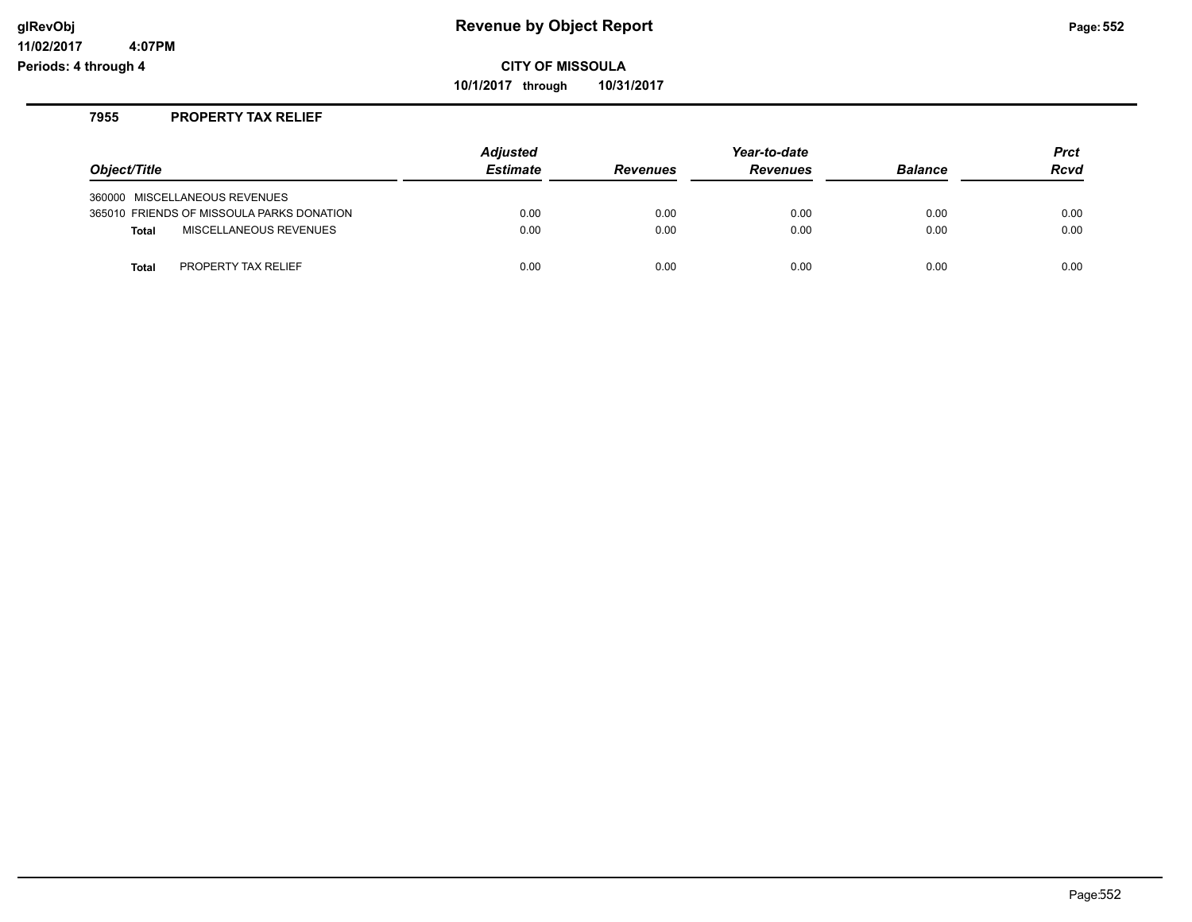**Periods: 4 through 4**

**CITY OF MISSOULA**

**10/1/2017 through 10/31/2017**

#### **7955 PROPERTY TAX RELIEF**

| Object/Title |                                           | <b>Adjusted</b><br><b>Estimate</b> | <b>Revenues</b> | Year-to-date<br><b>Revenues</b> | <b>Balance</b> | <b>Prct</b><br><b>Rcvd</b> |
|--------------|-------------------------------------------|------------------------------------|-----------------|---------------------------------|----------------|----------------------------|
|              | 360000 MISCELLANEOUS REVENUES             |                                    |                 |                                 |                |                            |
|              | 365010 FRIENDS OF MISSOULA PARKS DONATION | 0.00                               | 0.00            | 0.00                            | 0.00           | 0.00                       |
| <b>Total</b> | MISCELLANEOUS REVENUES                    | 0.00                               | 0.00            | 0.00                            | 0.00           | 0.00                       |
| Total        | <b>PROPERTY TAX RELIEF</b>                | 0.00                               | 0.00            | 0.00                            | 0.00           | 0.00                       |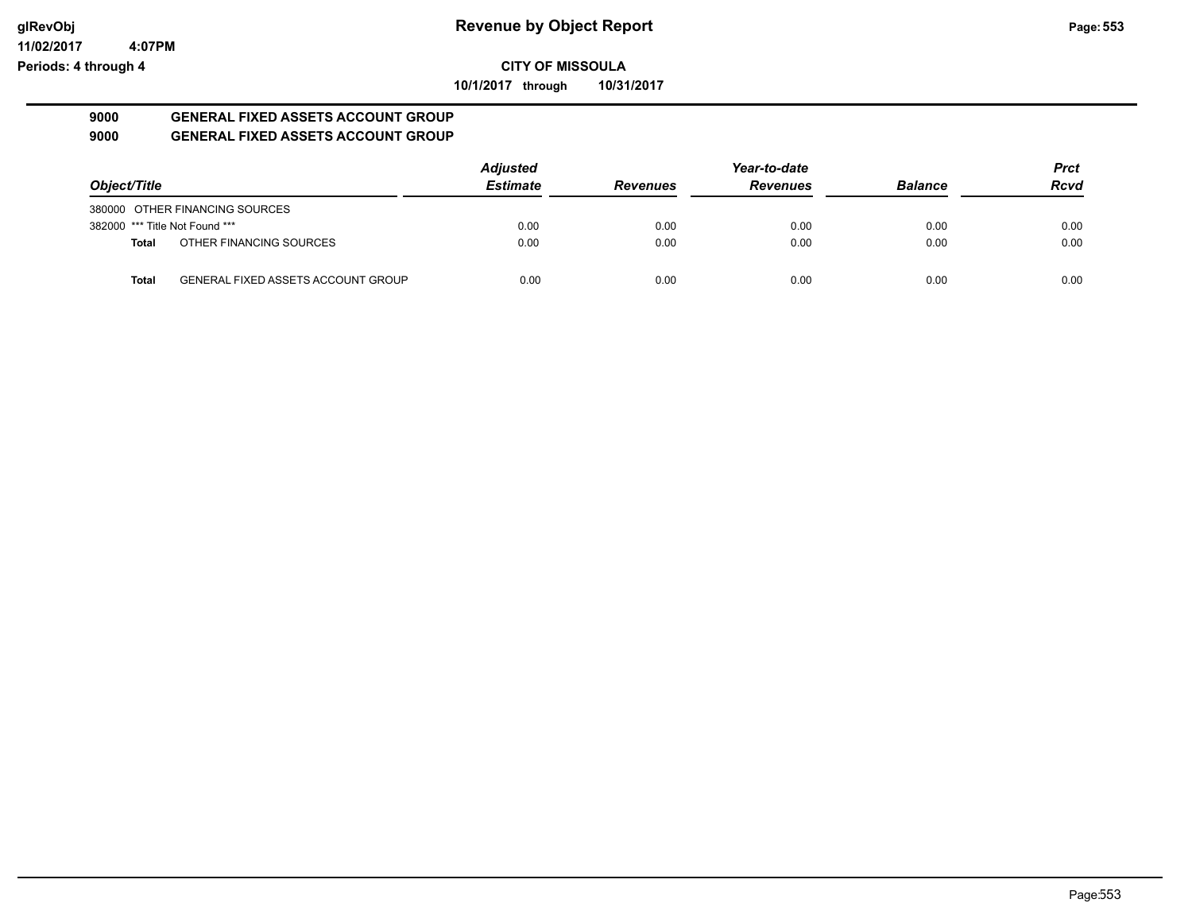# **11/02/2017**

**Periods: 4 through 4**

 **4:07PM**

**glRevObj Revenue by Object Report Page:553** 

**CITY OF MISSOULA**

**10/1/2017 through 10/31/2017**

#### **9000 GENERAL FIXED ASSETS ACCOUNT GROUP 9000 GENERAL FIXED ASSETS ACCOUNT GROUP**

|                                |                                           | <b>Adjusted</b> |                 | Year-to-date    |                | <b>Prct</b> |
|--------------------------------|-------------------------------------------|-----------------|-----------------|-----------------|----------------|-------------|
| Object/Title                   |                                           | <b>Estimate</b> | <b>Revenues</b> | <b>Revenues</b> | <b>Balance</b> | <b>Rcvd</b> |
|                                | 380000 OTHER FINANCING SOURCES            |                 |                 |                 |                |             |
| 382000 *** Title Not Found *** |                                           | 0.00            | 0.00            | 0.00            | 0.00           | 0.00        |
| Total                          | OTHER FINANCING SOURCES                   | 0.00            | 0.00            | 0.00            | 0.00           | 0.00        |
| <b>Total</b>                   | <b>GENERAL FIXED ASSETS ACCOUNT GROUP</b> | 0.00            | 0.00            | 0.00            | 0.00           | 0.00        |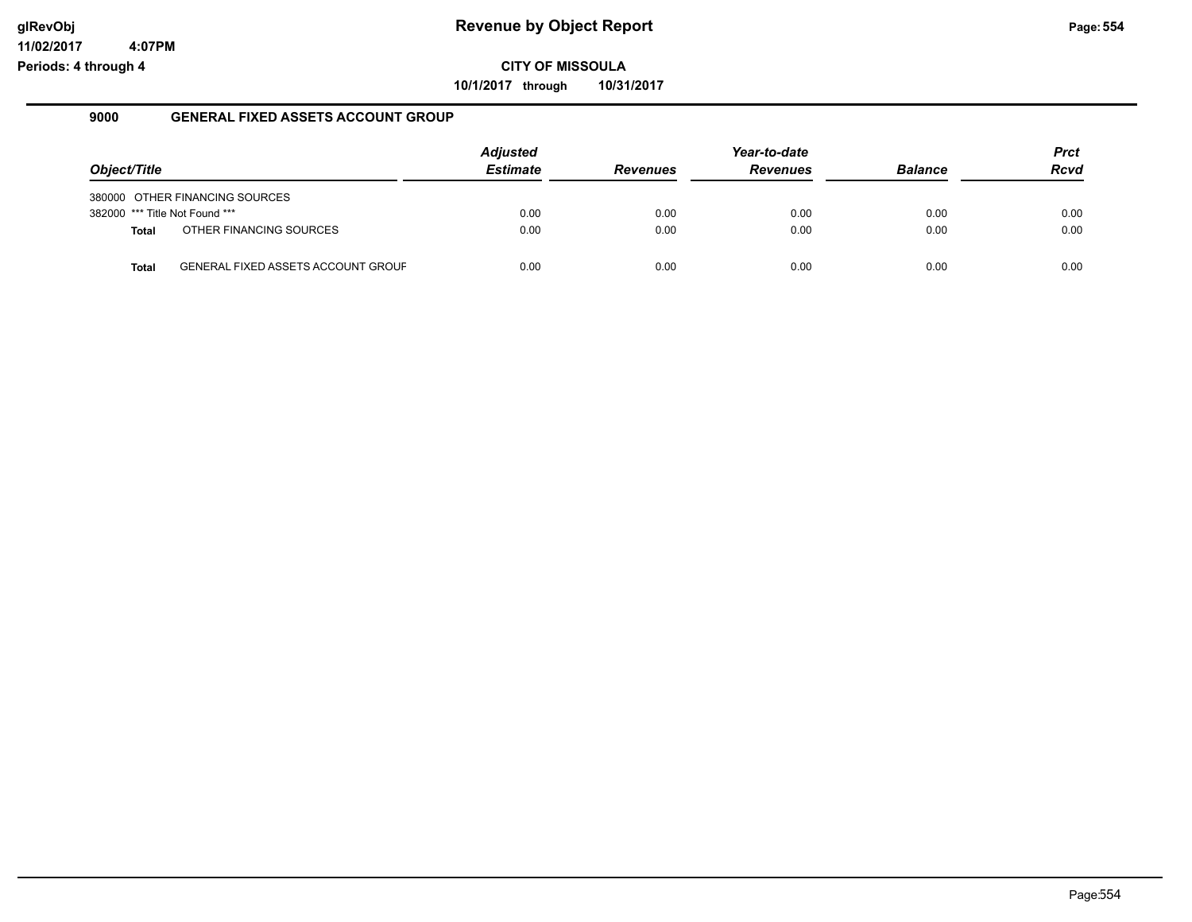**10/1/2017 through 10/31/2017**

#### **9000 GENERAL FIXED ASSETS ACCOUNT GROUP**

| Object/Title                   |                                           | <b>Adjusted</b><br><b>Estimate</b> | <b>Revenues</b> | Year-to-date<br><b>Revenues</b> | <b>Balance</b> | <b>Prct</b><br>Rcvd |
|--------------------------------|-------------------------------------------|------------------------------------|-----------------|---------------------------------|----------------|---------------------|
|                                | 380000 OTHER FINANCING SOURCES            |                                    |                 |                                 |                |                     |
| 382000 *** Title Not Found *** |                                           | 0.00                               | 0.00            | 0.00                            | 0.00           | 0.00                |
| Total                          | OTHER FINANCING SOURCES                   | 0.00                               | 0.00            | 0.00                            | 0.00           | 0.00                |
| <b>Total</b>                   | <b>GENERAL FIXED ASSETS ACCOUNT GROUF</b> | 0.00                               | 0.00            | 0.00                            | 0.00           | 0.00                |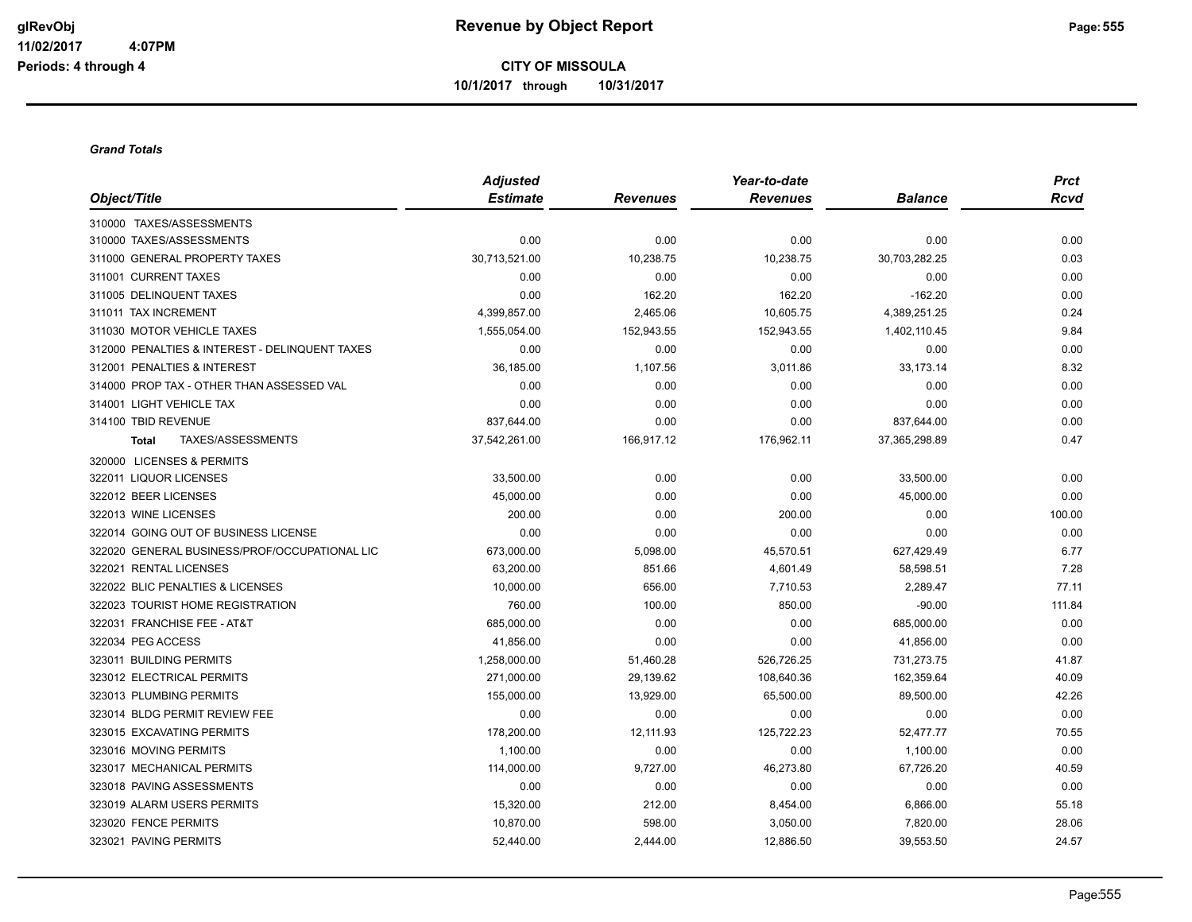**CITY OF MISSOULA 10/1/2017 through 10/31/2017**

#### *Grand Totals*

|                                                | <b>Adjusted</b> |                 | Year-to-date    |                | <b>Prct</b> |
|------------------------------------------------|-----------------|-----------------|-----------------|----------------|-------------|
| Object/Title                                   | <b>Estimate</b> | <b>Revenues</b> | <b>Revenues</b> | <b>Balance</b> | Rcvd        |
| 310000 TAXES/ASSESSMENTS                       |                 |                 |                 |                |             |
| 310000 TAXES/ASSESSMENTS                       | 0.00            | 0.00            | 0.00            | 0.00           | 0.00        |
| 311000 GENERAL PROPERTY TAXES                  | 30,713,521.00   | 10,238.75       | 10,238.75       | 30,703,282.25  | 0.03        |
| 311001 CURRENT TAXES                           | 0.00            | 0.00            | 0.00            | 0.00           | 0.00        |
| 311005 DELINQUENT TAXES                        | 0.00            | 162.20          | 162.20          | $-162.20$      | 0.00        |
| 311011 TAX INCREMENT                           | 4,399,857.00    | 2,465.06        | 10,605.75       | 4,389,251.25   | 0.24        |
| 311030 MOTOR VEHICLE TAXES                     | 1,555,054.00    | 152,943.55      | 152,943.55      | 1,402,110.45   | 9.84        |
| 312000 PENALTIES & INTEREST - DELINQUENT TAXES | 0.00            | 0.00            | 0.00            | 0.00           | 0.00        |
| 312001 PENALTIES & INTEREST                    | 36,185.00       | 1,107.56        | 3,011.86        | 33,173.14      | 8.32        |
| 314000 PROP TAX - OTHER THAN ASSESSED VAL      | 0.00            | 0.00            | 0.00            | 0.00           | 0.00        |
| 314001 LIGHT VEHICLE TAX                       | 0.00            | 0.00            | 0.00            | 0.00           | 0.00        |
| 314100 TBID REVENUE                            | 837,644.00      | 0.00            | 0.00            | 837,644.00     | 0.00        |
| TAXES/ASSESSMENTS<br><b>Total</b>              | 37,542,261.00   | 166,917.12      | 176,962.11      | 37,365,298.89  | 0.47        |
| 320000 LICENSES & PERMITS                      |                 |                 |                 |                |             |
| 322011 LIQUOR LICENSES                         | 33,500.00       | 0.00            | 0.00            | 33,500.00      | 0.00        |
| 322012 BEER LICENSES                           | 45,000.00       | 0.00            | 0.00            | 45,000.00      | 0.00        |
| 322013 WINE LICENSES                           | 200.00          | 0.00            | 200.00          | 0.00           | 100.00      |
| 322014 GOING OUT OF BUSINESS LICENSE           | 0.00            | 0.00            | 0.00            | 0.00           | 0.00        |
| 322020 GENERAL BUSINESS/PROF/OCCUPATIONAL LIC  | 673,000.00      | 5,098.00        | 45,570.51       | 627,429.49     | 6.77        |
| 322021 RENTAL LICENSES                         | 63,200.00       | 851.66          | 4,601.49        | 58,598.51      | 7.28        |
| 322022 BLIC PENALTIES & LICENSES               | 10,000.00       | 656.00          | 7,710.53        | 2,289.47       | 77.11       |
| 322023 TOURIST HOME REGISTRATION               | 760.00          | 100.00          | 850.00          | $-90.00$       | 111.84      |
| 322031 FRANCHISE FEE - AT&T                    | 685,000.00      | 0.00            | 0.00            | 685,000.00     | 0.00        |
| 322034 PEG ACCESS                              | 41,856.00       | 0.00            | 0.00            | 41,856.00      | 0.00        |
| 323011 BUILDING PERMITS                        | 1,258,000.00    | 51,460.28       | 526,726.25      | 731,273.75     | 41.87       |
| 323012 ELECTRICAL PERMITS                      | 271,000.00      | 29,139.62       | 108,640.36      | 162,359.64     | 40.09       |
| 323013 PLUMBING PERMITS                        | 155,000.00      | 13,929.00       | 65,500.00       | 89,500.00      | 42.26       |
| 323014 BLDG PERMIT REVIEW FEE                  | 0.00            | 0.00            | 0.00            | 0.00           | 0.00        |
| 323015 EXCAVATING PERMITS                      | 178,200.00      | 12,111.93       | 125,722.23      | 52,477.77      | 70.55       |
| 323016 MOVING PERMITS                          | 1,100.00        | 0.00            | 0.00            | 1,100.00       | 0.00        |
| 323017 MECHANICAL PERMITS                      | 114,000.00      | 9,727.00        | 46,273.80       | 67,726.20      | 40.59       |
| 323018 PAVING ASSESSMENTS                      | 0.00            | 0.00            | 0.00            | 0.00           | 0.00        |
| 323019 ALARM USERS PERMITS                     | 15,320.00       | 212.00          | 8,454.00        | 6,866.00       | 55.18       |
| 323020 FENCE PERMITS                           | 10,870.00       | 598.00          | 3,050.00        | 7,820.00       | 28.06       |
| 323021 PAVING PERMITS                          | 52,440.00       | 2,444.00        | 12,886.50       | 39,553.50      | 24.57       |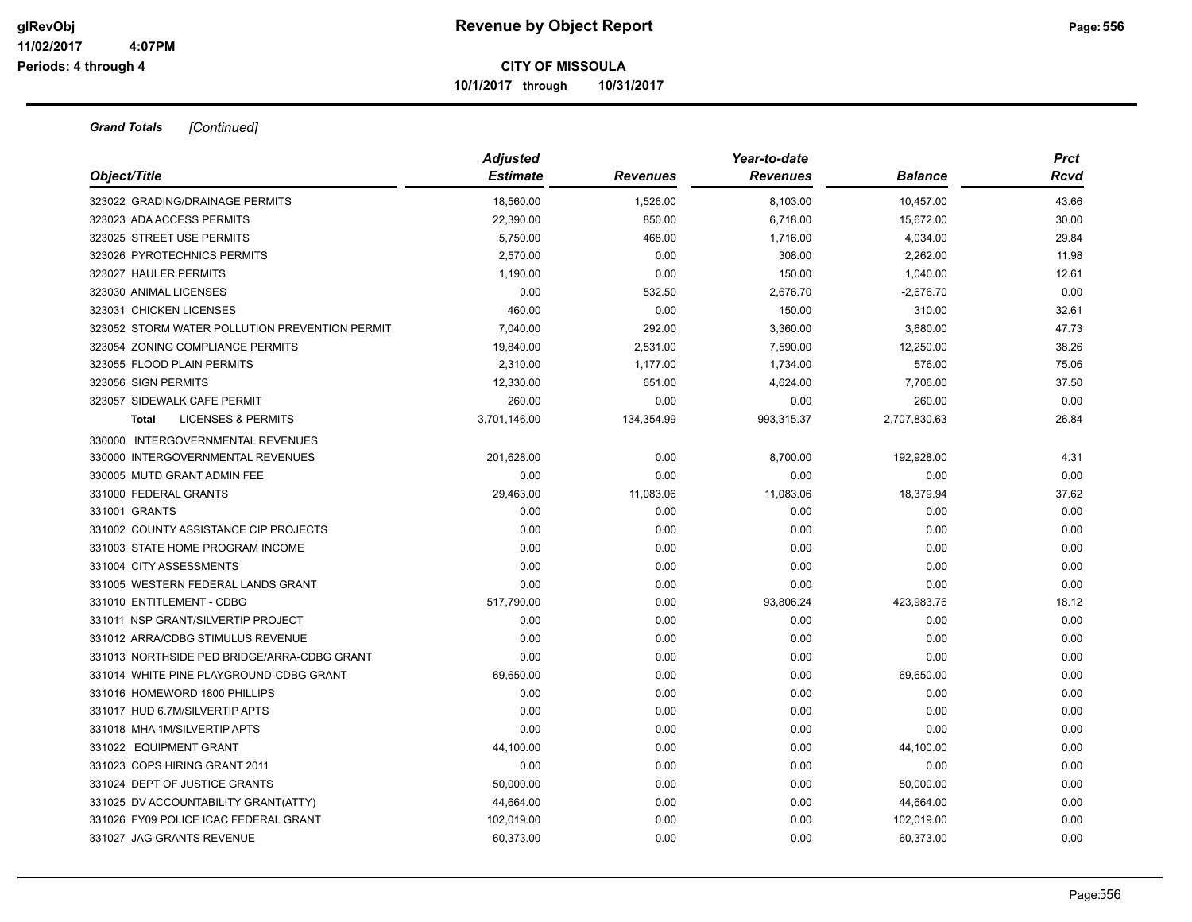**10/1/2017 through 10/31/2017**

| Object/Title                                   | <b>Adjusted</b><br><b>Estimate</b> | <b>Revenues</b> | Year-to-date<br><b>Revenues</b> | <b>Balance</b> | <b>Prct</b><br>Rcvd |
|------------------------------------------------|------------------------------------|-----------------|---------------------------------|----------------|---------------------|
| 323022 GRADING/DRAINAGE PERMITS                | 18,560.00                          | 1,526.00        | 8,103.00                        | 10,457.00      | 43.66               |
| 323023 ADA ACCESS PERMITS                      | 22,390.00                          | 850.00          | 6,718.00                        | 15,672.00      | 30.00               |
| 323025 STREET USE PERMITS                      | 5.750.00                           | 468.00          | 1,716.00                        | 4,034.00       | 29.84               |
| 323026 PYROTECHNICS PERMITS                    | 2,570.00                           | 0.00            | 308.00                          | 2,262.00       | 11.98               |
| 323027 HAULER PERMITS                          | 1,190.00                           | 0.00            | 150.00                          | 1,040.00       | 12.61               |
| 323030 ANIMAL LICENSES                         | 0.00                               | 532.50          | 2,676.70                        | $-2,676.70$    | 0.00                |
| 323031 CHICKEN LICENSES                        | 460.00                             | 0.00            | 150.00                          | 310.00         | 32.61               |
| 323052 STORM WATER POLLUTION PREVENTION PERMIT | 7,040.00                           | 292.00          | 3,360.00                        | 3,680.00       | 47.73               |
| 323054 ZONING COMPLIANCE PERMITS               | 19,840.00                          | 2,531.00        | 7,590.00                        | 12,250.00      | 38.26               |
| 323055 FLOOD PLAIN PERMITS                     | 2,310.00                           | 1,177.00        | 1,734.00                        | 576.00         | 75.06               |
| 323056 SIGN PERMITS                            | 12,330.00                          | 651.00          | 4,624.00                        | 7,706.00       | 37.50               |
| 323057 SIDEWALK CAFE PERMIT                    | 260.00                             | 0.00            | 0.00                            | 260.00         | 0.00                |
| <b>LICENSES &amp; PERMITS</b><br><b>Total</b>  | 3,701,146.00                       | 134,354.99      | 993,315.37                      | 2,707,830.63   | 26.84               |
| 330000 INTERGOVERNMENTAL REVENUES              |                                    |                 |                                 |                |                     |
| 330000 INTERGOVERNMENTAL REVENUES              | 201,628.00                         | 0.00            | 8,700.00                        | 192,928.00     | 4.31                |
| 330005 MUTD GRANT ADMIN FEE                    | 0.00                               | 0.00            | 0.00                            | 0.00           | 0.00                |
| 331000 FEDERAL GRANTS                          | 29,463.00                          | 11,083.06       | 11,083.06                       | 18,379.94      | 37.62               |
| 331001 GRANTS                                  | 0.00                               | 0.00            | 0.00                            | 0.00           | 0.00                |
| 331002 COUNTY ASSISTANCE CIP PROJECTS          | 0.00                               | 0.00            | 0.00                            | 0.00           | 0.00                |
| 331003 STATE HOME PROGRAM INCOME               | 0.00                               | 0.00            | 0.00                            | 0.00           | 0.00                |
| 331004 CITY ASSESSMENTS                        | 0.00                               | 0.00            | 0.00                            | 0.00           | 0.00                |
| 331005 WESTERN FEDERAL LANDS GRANT             | 0.00                               | 0.00            | 0.00                            | 0.00           | 0.00                |
| 331010 ENTITLEMENT - CDBG                      | 517,790.00                         | 0.00            | 93,806.24                       | 423,983.76     | 18.12               |
| 331011 NSP GRANT/SILVERTIP PROJECT             | 0.00                               | 0.00            | 0.00                            | 0.00           | 0.00                |
| 331012 ARRA/CDBG STIMULUS REVENUE              | 0.00                               | 0.00            | 0.00                            | 0.00           | 0.00                |
| 331013 NORTHSIDE PED BRIDGE/ARRA-CDBG GRANT    | 0.00                               | 0.00            | 0.00                            | 0.00           | 0.00                |
| 331014 WHITE PINE PLAYGROUND-CDBG GRANT        | 69,650.00                          | 0.00            | 0.00                            | 69,650.00      | 0.00                |
| 331016 HOMEWORD 1800 PHILLIPS                  | 0.00                               | 0.00            | 0.00                            | 0.00           | 0.00                |
| 331017 HUD 6.7M/SILVERTIP APTS                 | 0.00                               | 0.00            | 0.00                            | 0.00           | 0.00                |
| 331018 MHA 1M/SILVERTIP APTS                   | 0.00                               | 0.00            | 0.00                            | 0.00           | 0.00                |
| 331022 EQUIPMENT GRANT                         | 44,100.00                          | 0.00            | 0.00                            | 44,100.00      | 0.00                |
| 331023 COPS HIRING GRANT 2011                  | 0.00                               | 0.00            | 0.00                            | 0.00           | 0.00                |
| 331024 DEPT OF JUSTICE GRANTS                  | 50,000.00                          | 0.00            | 0.00                            | 50,000.00      | 0.00                |
| 331025 DV ACCOUNTABILITY GRANT(ATTY)           | 44,664.00                          | 0.00            | 0.00                            | 44,664.00      | 0.00                |
| 331026 FY09 POLICE ICAC FEDERAL GRANT          | 102,019.00                         | 0.00            | 0.00                            | 102,019.00     | 0.00                |
| 331027 JAG GRANTS REVENUE                      | 60,373.00                          | 0.00            | 0.00                            | 60,373.00      | 0.00                |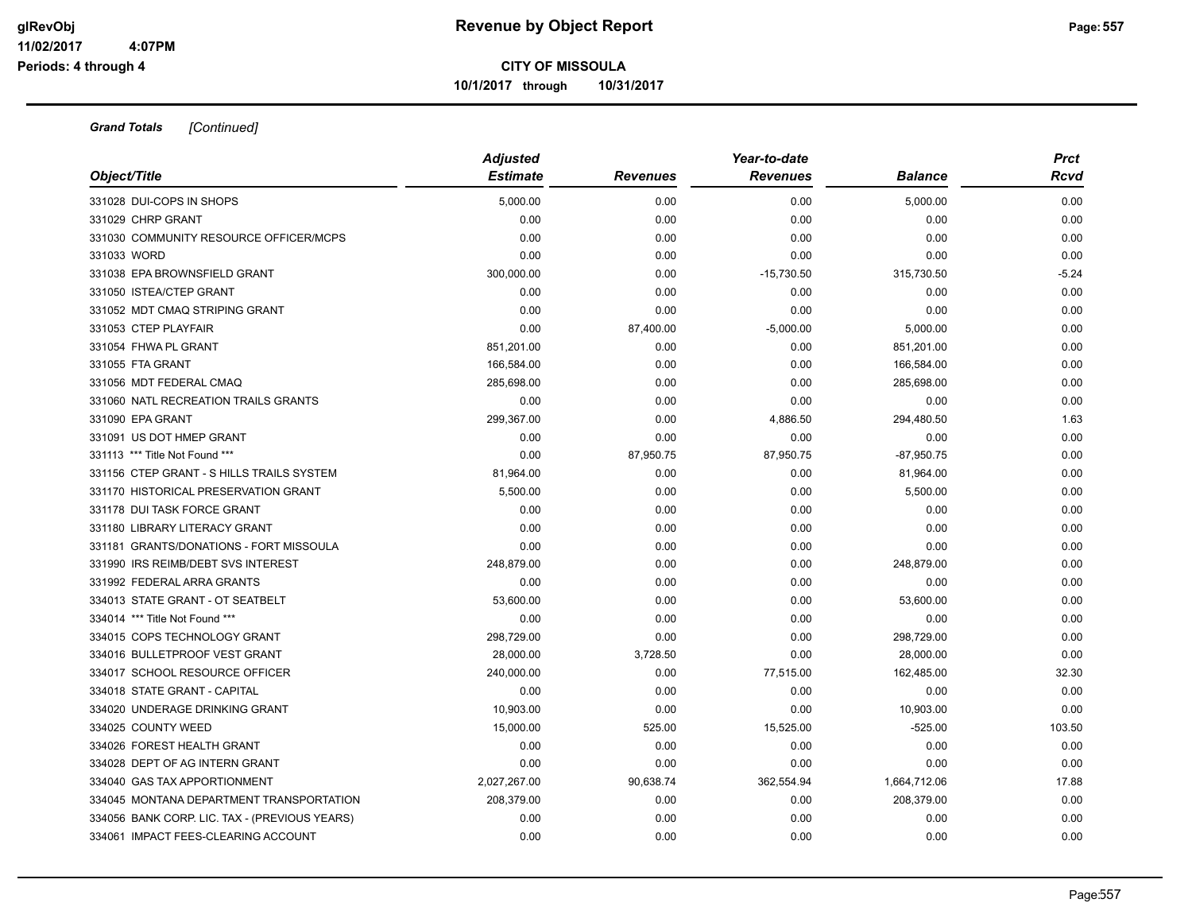**10/1/2017 through 10/31/2017**

| Object/Title                                  | <b>Adjusted</b><br><b>Estimate</b> | <b>Revenues</b> | Year-to-date<br><b>Revenues</b> | <b>Balance</b> | <b>Prct</b><br>Rcvd |
|-----------------------------------------------|------------------------------------|-----------------|---------------------------------|----------------|---------------------|
| 331028 DUI-COPS IN SHOPS                      | 5,000.00                           | 0.00            | 0.00                            | 5,000.00       | 0.00                |
| 331029 CHRP GRANT                             | 0.00                               | 0.00            | 0.00                            | 0.00           | 0.00                |
| 331030 COMMUNITY RESOURCE OFFICER/MCPS        | 0.00                               | 0.00            | 0.00                            | 0.00           | 0.00                |
| 331033 WORD                                   | 0.00                               | 0.00            | 0.00                            | 0.00           | 0.00                |
| 331038 EPA BROWNSFIELD GRANT                  | 300,000.00                         | 0.00            |                                 |                | $-5.24$             |
| 331050 ISTEA/CTEP GRANT                       | 0.00                               |                 | $-15,730.50$                    | 315,730.50     | 0.00                |
|                                               |                                    | 0.00            | 0.00                            | 0.00           |                     |
| 331052 MDT CMAQ STRIPING GRANT                | 0.00                               | 0.00            | 0.00                            | 0.00           | 0.00                |
| 331053 CTEP PLAYFAIR                          | 0.00                               | 87,400.00       | $-5,000.00$                     | 5,000.00       | 0.00                |
| 331054 FHWA PL GRANT                          | 851,201.00                         | 0.00            | 0.00                            | 851,201.00     | 0.00                |
| 331055 FTA GRANT                              | 166,584.00                         | 0.00            | 0.00                            | 166,584.00     | 0.00                |
| 331056 MDT FEDERAL CMAQ                       | 285,698.00                         | 0.00            | 0.00                            | 285,698.00     | 0.00                |
| 331060 NATL RECREATION TRAILS GRANTS          | 0.00                               | 0.00            | 0.00                            | 0.00           | 0.00                |
| 331090 EPA GRANT                              | 299,367.00                         | 0.00            | 4,886.50                        | 294,480.50     | 1.63                |
| 331091 US DOT HMEP GRANT                      | 0.00                               | 0.00            | 0.00                            | 0.00           | 0.00                |
| 331113 *** Title Not Found ***                | 0.00                               | 87,950.75       | 87,950.75                       | $-87,950.75$   | 0.00                |
| 331156 CTEP GRANT - S HILLS TRAILS SYSTEM     | 81,964.00                          | 0.00            | 0.00                            | 81,964.00      | 0.00                |
| 331170 HISTORICAL PRESERVATION GRANT          | 5,500.00                           | 0.00            | 0.00                            | 5,500.00       | 0.00                |
| 331178 DUI TASK FORCE GRANT                   | 0.00                               | 0.00            | 0.00                            | 0.00           | 0.00                |
| 331180 LIBRARY LITERACY GRANT                 | 0.00                               | 0.00            | 0.00                            | 0.00           | 0.00                |
| 331181 GRANTS/DONATIONS - FORT MISSOULA       | 0.00                               | 0.00            | 0.00                            | 0.00           | 0.00                |
| 331990 IRS REIMB/DEBT SVS INTEREST            | 248.879.00                         | 0.00            | 0.00                            | 248,879.00     | 0.00                |
| 331992 FEDERAL ARRA GRANTS                    | 0.00                               | 0.00            | 0.00                            | 0.00           | 0.00                |
| 334013 STATE GRANT - OT SEATBELT              | 53,600.00                          | 0.00            | 0.00                            | 53,600.00      | 0.00                |
| 334014 *** Title Not Found ***                | 0.00                               | 0.00            | 0.00                            | 0.00           | 0.00                |
| 334015 COPS TECHNOLOGY GRANT                  | 298,729.00                         | 0.00            | 0.00                            | 298,729.00     | 0.00                |
| 334016 BULLETPROOF VEST GRANT                 | 28,000.00                          | 3,728.50        | 0.00                            | 28,000.00      | 0.00                |
| 334017 SCHOOL RESOURCE OFFICER                | 240,000.00                         | 0.00            | 77,515.00                       | 162,485.00     | 32.30               |
| 334018 STATE GRANT - CAPITAL                  | 0.00                               | 0.00            | 0.00                            | 0.00           | 0.00                |
| 334020 UNDERAGE DRINKING GRANT                | 10,903.00                          | 0.00            | 0.00                            | 10,903.00      | 0.00                |
| 334025 COUNTY WEED                            | 15,000.00                          | 525.00          | 15,525.00                       | $-525.00$      | 103.50              |
| 334026 FOREST HEALTH GRANT                    | 0.00                               | 0.00            | 0.00                            | 0.00           | 0.00                |
| 334028 DEPT OF AG INTERN GRANT                | 0.00                               | 0.00            | 0.00                            | 0.00           | 0.00                |
| 334040 GAS TAX APPORTIONMENT                  | 2,027,267.00                       | 90,638.74       | 362,554.94                      | 1,664,712.06   | 17.88               |
| 334045 MONTANA DEPARTMENT TRANSPORTATION      | 208,379.00                         | 0.00            | 0.00                            | 208,379.00     | 0.00                |
| 334056 BANK CORP. LIC. TAX - (PREVIOUS YEARS) | 0.00                               | 0.00            | 0.00                            | 0.00           | 0.00                |
| 334061 IMPACT FEES-CLEARING ACCOUNT           | 0.00                               | 0.00            | 0.00                            | 0.00           | 0.00                |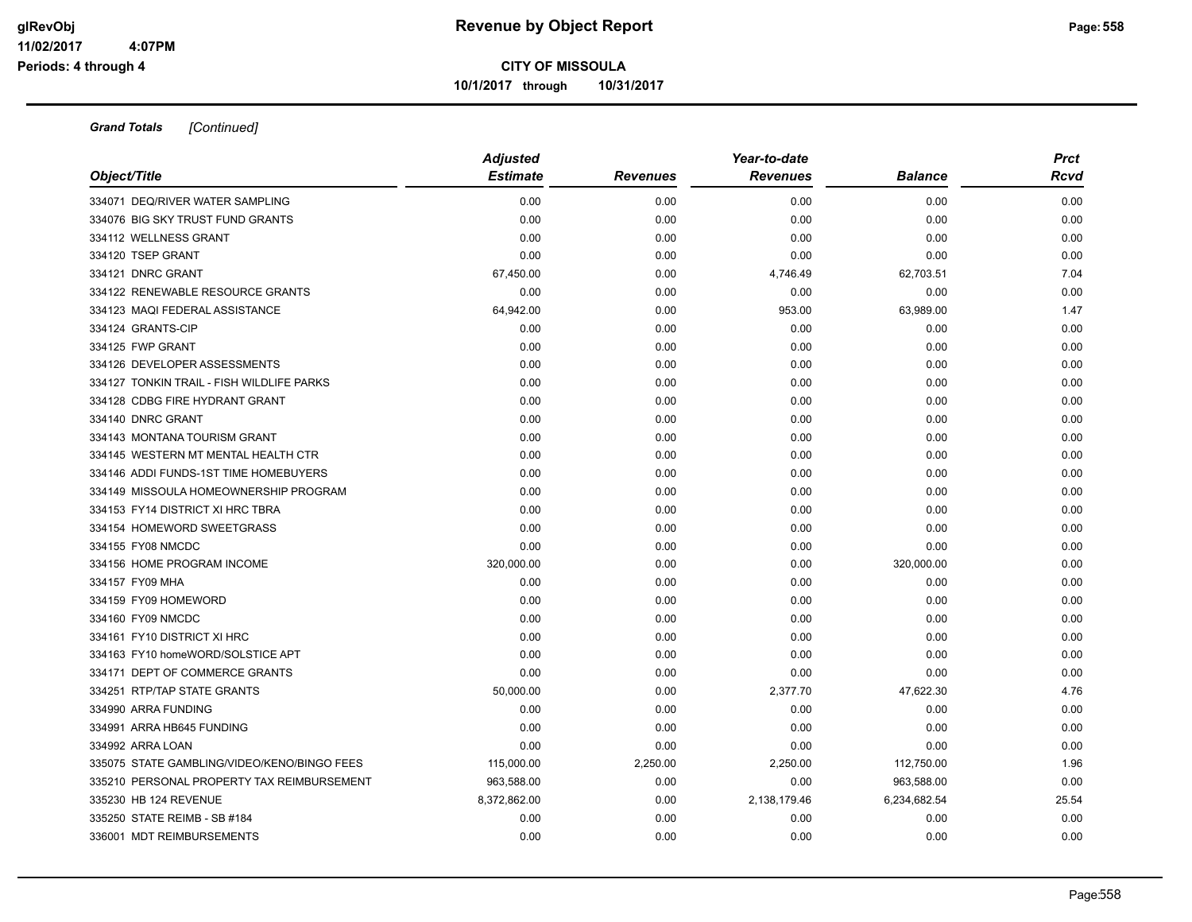**10/1/2017 through 10/31/2017**

|                                             | <b>Adjusted</b> |                 | Year-to-date    |                | <b>Prct</b> |
|---------------------------------------------|-----------------|-----------------|-----------------|----------------|-------------|
| Object/Title                                | <b>Estimate</b> | <b>Revenues</b> | <b>Revenues</b> | <b>Balance</b> | Rcvd        |
| 334071 DEQ/RIVER WATER SAMPLING             | 0.00            | 0.00            | 0.00            | 0.00           | 0.00        |
| 334076 BIG SKY TRUST FUND GRANTS            | 0.00            | 0.00            | 0.00            | 0.00           | 0.00        |
| 334112 WELLNESS GRANT                       | 0.00            | 0.00            | 0.00            | 0.00           | 0.00        |
| 334120 TSEP GRANT                           | 0.00            | 0.00            | 0.00            | 0.00           | 0.00        |
| 334121 DNRC GRANT                           | 67,450.00       | 0.00            | 4,746.49        | 62,703.51      | 7.04        |
| 334122 RENEWABLE RESOURCE GRANTS            | 0.00            | 0.00            | 0.00            | 0.00           | 0.00        |
| 334123 MAQI FEDERAL ASSISTANCE              | 64,942.00       | 0.00            | 953.00          | 63,989.00      | 1.47        |
| 334124 GRANTS-CIP                           | 0.00            | 0.00            | 0.00            | 0.00           | 0.00        |
| 334125 FWP GRANT                            | 0.00            | 0.00            | 0.00            | 0.00           | 0.00        |
| 334126 DEVELOPER ASSESSMENTS                | 0.00            | 0.00            | 0.00            | 0.00           | 0.00        |
| 334127 TONKIN TRAIL - FISH WILDLIFE PARKS   | 0.00            | 0.00            | 0.00            | 0.00           | 0.00        |
| 334128 CDBG FIRE HYDRANT GRANT              | 0.00            | 0.00            | 0.00            | 0.00           | 0.00        |
| 334140 DNRC GRANT                           | 0.00            | 0.00            | 0.00            | 0.00           | 0.00        |
| 334143 MONTANA TOURISM GRANT                | 0.00            | 0.00            | 0.00            | 0.00           | 0.00        |
| 334145 WESTERN MT MENTAL HEALTH CTR         | 0.00            | 0.00            | 0.00            | 0.00           | 0.00        |
| 334146 ADDI FUNDS-1ST TIME HOMEBUYERS       | 0.00            | 0.00            | 0.00            | 0.00           | 0.00        |
| 334149 MISSOULA HOMEOWNERSHIP PROGRAM       | 0.00            | 0.00            | 0.00            | 0.00           | 0.00        |
| 334153 FY14 DISTRICT XI HRC TBRA            | 0.00            | 0.00            | 0.00            | 0.00           | 0.00        |
| 334154 HOMEWORD SWEETGRASS                  | 0.00            | 0.00            | 0.00            | 0.00           | 0.00        |
| 334155 FY08 NMCDC                           | 0.00            | 0.00            | 0.00            | 0.00           | 0.00        |
| 334156 HOME PROGRAM INCOME                  | 320,000.00      | 0.00            | 0.00            | 320,000.00     | 0.00        |
| 334157 FY09 MHA                             | 0.00            | 0.00            | 0.00            | 0.00           | 0.00        |
| 334159 FY09 HOMEWORD                        | 0.00            | 0.00            | 0.00            | 0.00           | 0.00        |
| 334160 FY09 NMCDC                           | 0.00            | 0.00            | 0.00            | 0.00           | 0.00        |
| 334161 FY10 DISTRICT XI HRC                 | 0.00            | 0.00            | 0.00            | 0.00           | 0.00        |
| 334163 FY10 homeWORD/SOLSTICE APT           | 0.00            | 0.00            | 0.00            | 0.00           | 0.00        |
| 334171 DEPT OF COMMERCE GRANTS              | 0.00            | 0.00            | 0.00            | 0.00           | 0.00        |
| 334251 RTP/TAP STATE GRANTS                 | 50,000.00       | 0.00            | 2,377.70        | 47,622.30      | 4.76        |
| 334990 ARRA FUNDING                         | 0.00            | 0.00            | 0.00            | 0.00           | 0.00        |
| 334991 ARRA HB645 FUNDING                   | 0.00            | 0.00            | 0.00            | 0.00           | 0.00        |
| 334992 ARRA LOAN                            | 0.00            | 0.00            | 0.00            | 0.00           | 0.00        |
| 335075 STATE GAMBLING/VIDEO/KENO/BINGO FEES | 115,000.00      | 2,250.00        | 2,250.00        | 112,750.00     | 1.96        |
| 335210 PERSONAL PROPERTY TAX REIMBURSEMENT  | 963,588.00      | 0.00            | 0.00            | 963,588.00     | 0.00        |
| 335230 HB 124 REVENUE                       | 8,372,862.00    | 0.00            | 2,138,179.46    | 6,234,682.54   | 25.54       |
| 335250 STATE REIMB - SB #184                | 0.00            | 0.00            | 0.00            | 0.00           | 0.00        |
| 336001 MDT REIMBURSEMENTS                   | 0.00            | 0.00            | 0.00            | 0.00           | 0.00        |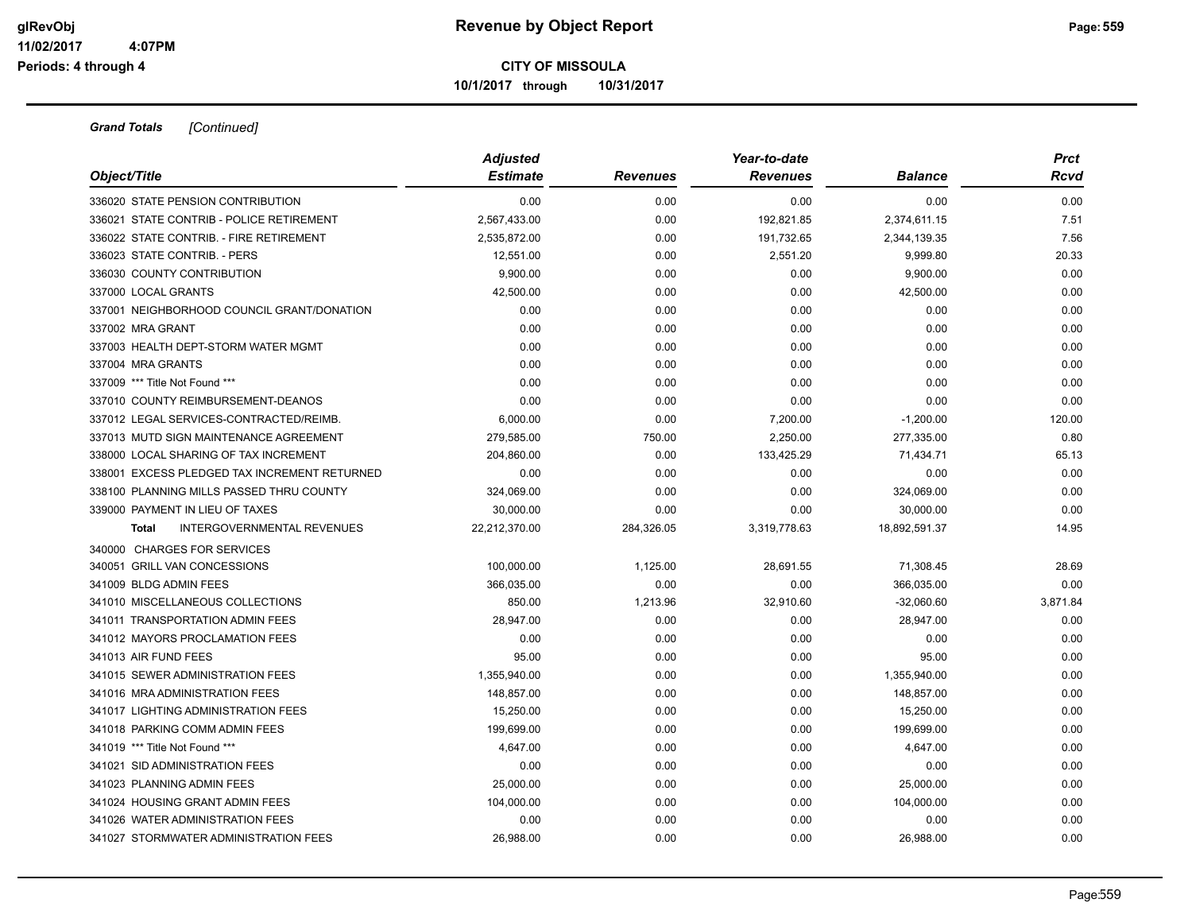**10/1/2017 through 10/31/2017**

|                                                   | <b>Adjusted</b> |                 | Year-to-date    |                | <b>Prct</b> |
|---------------------------------------------------|-----------------|-----------------|-----------------|----------------|-------------|
| Object/Title                                      | <b>Estimate</b> | <b>Revenues</b> | <b>Revenues</b> | <b>Balance</b> | <b>Rcvd</b> |
| 336020 STATE PENSION CONTRIBUTION                 | 0.00            | 0.00            | 0.00            | 0.00           | 0.00        |
| 336021 STATE CONTRIB - POLICE RETIREMENT          | 2,567,433.00    | 0.00            | 192,821.85      | 2,374,611.15   | 7.51        |
| 336022 STATE CONTRIB. - FIRE RETIREMENT           | 2,535,872.00    | 0.00            | 191,732.65      | 2,344,139.35   | 7.56        |
| 336023 STATE CONTRIB. - PERS                      | 12.551.00       | 0.00            | 2,551.20        | 9,999.80       | 20.33       |
| 336030 COUNTY CONTRIBUTION                        | 9.900.00        | 0.00            | 0.00            | 9,900.00       | 0.00        |
| 337000 LOCAL GRANTS                               | 42,500.00       | 0.00            | 0.00            | 42,500.00      | 0.00        |
| 337001 NEIGHBORHOOD COUNCIL GRANT/DONATION        | 0.00            | 0.00            | 0.00            | 0.00           | 0.00        |
| 337002 MRA GRANT                                  | 0.00            | 0.00            | 0.00            | 0.00           | 0.00        |
| 337003 HEALTH DEPT-STORM WATER MGMT               | 0.00            | 0.00            | 0.00            | 0.00           | 0.00        |
| 337004 MRA GRANTS                                 | 0.00            | 0.00            | 0.00            | 0.00           | 0.00        |
| 337009 *** Title Not Found ***                    | 0.00            | 0.00            | 0.00            | 0.00           | 0.00        |
| 337010 COUNTY REIMBURSEMENT-DEANOS                | 0.00            | 0.00            | 0.00            | 0.00           | 0.00        |
| 337012 LEGAL SERVICES-CONTRACTED/REIMB.           | 6,000.00        | 0.00            | 7,200.00        | $-1,200.00$    | 120.00      |
| 337013 MUTD SIGN MAINTENANCE AGREEMENT            | 279,585.00      | 750.00          | 2,250.00        | 277,335.00     | 0.80        |
| 338000 LOCAL SHARING OF TAX INCREMENT             | 204,860.00      | 0.00            | 133,425.29      | 71,434.71      | 65.13       |
| 338001 EXCESS PLEDGED TAX INCREMENT RETURNED      | 0.00            | 0.00            | 0.00            | 0.00           | 0.00        |
| 338100 PLANNING MILLS PASSED THRU COUNTY          | 324,069.00      | 0.00            | 0.00            | 324,069.00     | 0.00        |
| 339000 PAYMENT IN LIEU OF TAXES                   | 30,000.00       | 0.00            | 0.00            | 30,000.00      | 0.00        |
| <b>INTERGOVERNMENTAL REVENUES</b><br><b>Total</b> | 22,212,370.00   | 284,326.05      | 3,319,778.63    | 18,892,591.37  | 14.95       |
| 340000 CHARGES FOR SERVICES                       |                 |                 |                 |                |             |
| 340051 GRILL VAN CONCESSIONS                      | 100,000.00      | 1,125.00        | 28,691.55       | 71,308.45      | 28.69       |
| 341009 BLDG ADMIN FEES                            | 366,035.00      | 0.00            | 0.00            | 366,035.00     | 0.00        |
| 341010 MISCELLANEOUS COLLECTIONS                  | 850.00          | 1,213.96        | 32,910.60       | $-32,060.60$   | 3,871.84    |
| 341011 TRANSPORTATION ADMIN FEES                  | 28,947.00       | 0.00            | 0.00            | 28,947.00      | 0.00        |
| 341012 MAYORS PROCLAMATION FEES                   | 0.00            | 0.00            | 0.00            | 0.00           | 0.00        |
| 341013 AIR FUND FEES                              | 95.00           | 0.00            | 0.00            | 95.00          | 0.00        |
| 341015 SEWER ADMINISTRATION FEES                  | 1,355,940.00    | 0.00            | 0.00            | 1,355,940.00   | 0.00        |
| 341016 MRA ADMINISTRATION FEES                    | 148,857.00      | 0.00            | 0.00            | 148,857.00     | 0.00        |
| 341017 LIGHTING ADMINISTRATION FEES               | 15,250.00       | 0.00            | 0.00            | 15,250.00      | 0.00        |
| 341018 PARKING COMM ADMIN FEES                    | 199,699.00      | 0.00            | 0.00            | 199,699.00     | 0.00        |
| 341019 *** Title Not Found ***                    | 4,647.00        | 0.00            | 0.00            | 4,647.00       | 0.00        |
| 341021 SID ADMINISTRATION FEES                    | 0.00            | 0.00            | 0.00            | 0.00           | 0.00        |
| 341023 PLANNING ADMIN FEES                        | 25,000.00       | 0.00            | 0.00            | 25,000.00      | 0.00        |
| 341024 HOUSING GRANT ADMIN FEES                   | 104,000.00      | 0.00            | 0.00            | 104,000.00     | 0.00        |
| 341026 WATER ADMINISTRATION FEES                  | 0.00            | 0.00            | 0.00            | 0.00           | 0.00        |
| 341027 STORMWATER ADMINISTRATION FEES             | 26,988.00       | 0.00            | 0.00            | 26,988.00      | 0.00        |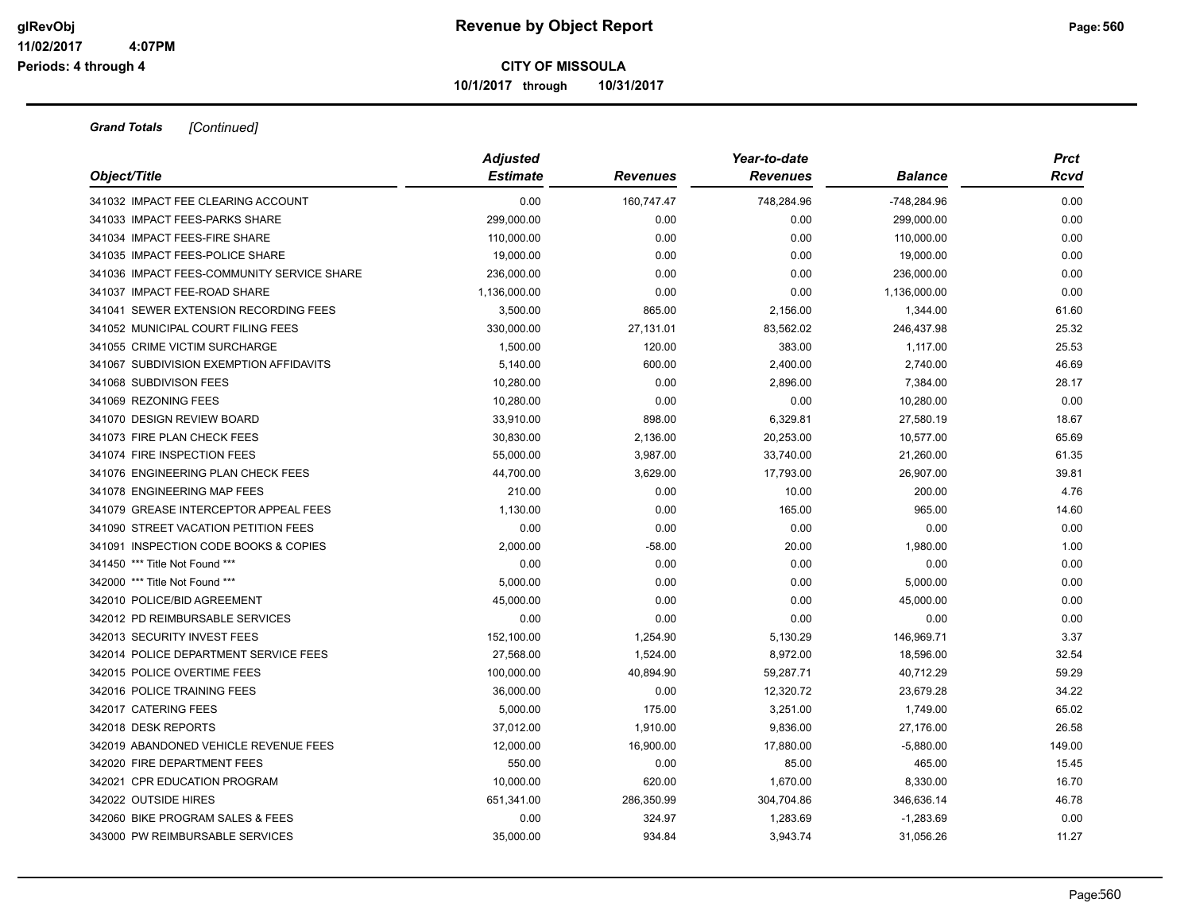**10/1/2017 through 10/31/2017**

| Object/Title                               | <b>Adjusted</b><br><b>Estimate</b> | <b>Revenues</b> | Year-to-date<br><b>Revenues</b> | <b>Balance</b> | Prct<br>Rcvd |
|--------------------------------------------|------------------------------------|-----------------|---------------------------------|----------------|--------------|
| 341032 IMPACT FEE CLEARING ACCOUNT         | 0.00                               | 160,747.47      | 748,284.96                      | -748,284.96    | 0.00         |
| 341033 IMPACT FEES-PARKS SHARE             | 299,000.00                         | 0.00            | 0.00                            | 299,000.00     | 0.00         |
| 341034 IMPACT FEES-FIRE SHARE              | 110,000.00                         | 0.00            | 0.00                            | 110,000.00     | 0.00         |
| 341035 IMPACT FEES-POLICE SHARE            | 19,000.00                          | 0.00            | 0.00                            | 19,000.00      | 0.00         |
| 341036 IMPACT FEES-COMMUNITY SERVICE SHARE | 236,000.00                         | 0.00            | 0.00                            | 236,000.00     | 0.00         |
| 341037 IMPACT FEE-ROAD SHARE               | 1,136,000.00                       | 0.00            | 0.00                            | 1,136,000.00   | 0.00         |
| 341041 SEWER EXTENSION RECORDING FEES      | 3,500.00                           | 865.00          | 2,156.00                        | 1,344.00       | 61.60        |
| 341052 MUNICIPAL COURT FILING FEES         | 330,000.00                         | 27,131.01       | 83,562.02                       | 246,437.98     | 25.32        |
| 341055 CRIME VICTIM SURCHARGE              | 1,500.00                           | 120.00          | 383.00                          | 1,117.00       | 25.53        |
| 341067 SUBDIVISION EXEMPTION AFFIDAVITS    | 5,140.00                           | 600.00          | 2,400.00                        | 2,740.00       | 46.69        |
| 341068 SUBDIVISON FEES                     | 10,280.00                          | 0.00            | 2,896.00                        | 7,384.00       | 28.17        |
| 341069 REZONING FEES                       | 10,280.00                          | 0.00            | 0.00                            | 10,280.00      | 0.00         |
| 341070 DESIGN REVIEW BOARD                 | 33,910.00                          | 898.00          | 6,329.81                        | 27,580.19      | 18.67        |
| 341073 FIRE PLAN CHECK FEES                | 30,830.00                          | 2,136.00        | 20,253.00                       | 10,577.00      | 65.69        |
| 341074 FIRE INSPECTION FEES                | 55,000.00                          | 3,987.00        | 33,740.00                       | 21,260.00      | 61.35        |
| 341076 ENGINEERING PLAN CHECK FEES         | 44,700.00                          | 3,629.00        | 17,793.00                       | 26,907.00      | 39.81        |
| 341078 ENGINEERING MAP FEES                | 210.00                             | 0.00            | 10.00                           | 200.00         | 4.76         |
| 341079 GREASE INTERCEPTOR APPEAL FEES      | 1,130.00                           | 0.00            | 165.00                          | 965.00         | 14.60        |
| 341090 STREET VACATION PETITION FEES       | 0.00                               | 0.00            | 0.00                            | 0.00           | 0.00         |
| 341091 INSPECTION CODE BOOKS & COPIES      | 2,000.00                           | $-58.00$        | 20.00                           | 1,980.00       | 1.00         |
| 341450 *** Title Not Found ***             | 0.00                               | 0.00            | 0.00                            | 0.00           | 0.00         |
| 342000 *** Title Not Found ***             | 5,000.00                           | 0.00            | 0.00                            | 5,000.00       | 0.00         |
| 342010 POLICE/BID AGREEMENT                | 45,000.00                          | 0.00            | 0.00                            | 45,000.00      | 0.00         |
| 342012 PD REIMBURSABLE SERVICES            | 0.00                               | 0.00            | 0.00                            | 0.00           | 0.00         |
| 342013 SECURITY INVEST FEES                | 152,100.00                         | 1,254.90        | 5,130.29                        | 146,969.71     | 3.37         |
| 342014 POLICE DEPARTMENT SERVICE FEES      | 27,568.00                          | 1,524.00        | 8,972.00                        | 18,596.00      | 32.54        |
| 342015 POLICE OVERTIME FEES                | 100,000.00                         | 40,894.90       | 59,287.71                       | 40,712.29      | 59.29        |
| 342016 POLICE TRAINING FEES                | 36,000.00                          | 0.00            | 12,320.72                       | 23,679.28      | 34.22        |
| 342017 CATERING FEES                       | 5,000.00                           | 175.00          | 3,251.00                        | 1,749.00       | 65.02        |
| 342018 DESK REPORTS                        | 37,012.00                          | 1,910.00        | 9,836.00                        | 27,176.00      | 26.58        |
| 342019 ABANDONED VEHICLE REVENUE FEES      | 12,000.00                          | 16,900.00       | 17,880.00                       | $-5,880.00$    | 149.00       |
| 342020 FIRE DEPARTMENT FEES                | 550.00                             | 0.00            | 85.00                           | 465.00         | 15.45        |
| 342021 CPR EDUCATION PROGRAM               | 10,000.00                          | 620.00          | 1,670.00                        | 8,330.00       | 16.70        |
| 342022 OUTSIDE HIRES                       | 651,341.00                         | 286,350.99      | 304,704.86                      | 346,636.14     | 46.78        |
| 342060 BIKE PROGRAM SALES & FEES           | 0.00                               | 324.97          | 1,283.69                        | $-1,283.69$    | 0.00         |
| 343000 PW REIMBURSABLE SERVICES            | 35,000.00                          | 934.84          | 3,943.74                        | 31,056.26      | 11.27        |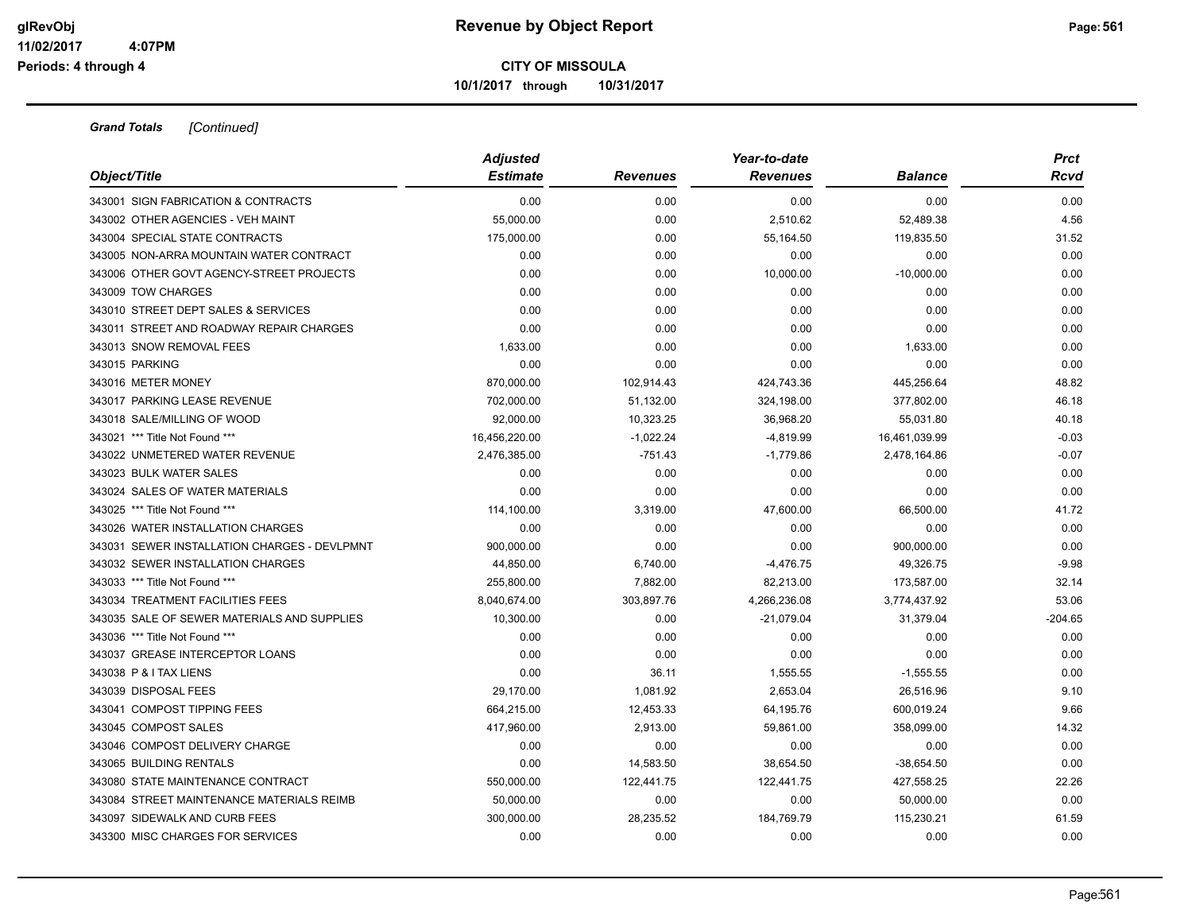**10/1/2017 through 10/31/2017**

| Object/Title                                 | <b>Adjusted</b><br><b>Estimate</b> | <b>Revenues</b> | Year-to-date<br><b>Revenues</b> | <b>Balance</b> | <b>Prct</b><br>Rcvd |
|----------------------------------------------|------------------------------------|-----------------|---------------------------------|----------------|---------------------|
| 343001 SIGN FABRICATION & CONTRACTS          | 0.00                               | 0.00            | 0.00                            | 0.00           | 0.00                |
| 343002 OTHER AGENCIES - VEH MAINT            | 55,000.00                          | 0.00            | 2,510.62                        | 52,489.38      | 4.56                |
| 343004 SPECIAL STATE CONTRACTS               | 175,000.00                         | 0.00            | 55,164.50                       | 119,835.50     | 31.52               |
| 343005 NON-ARRA MOUNTAIN WATER CONTRACT      | 0.00                               | 0.00            | 0.00                            | 0.00           | 0.00                |
| 343006 OTHER GOVT AGENCY-STREET PROJECTS     | 0.00                               | 0.00            | 10,000.00                       | $-10,000.00$   | 0.00                |
| 343009 TOW CHARGES                           | 0.00                               | 0.00            | 0.00                            | 0.00           | 0.00                |
| 343010 STREET DEPT SALES & SERVICES          | 0.00                               | 0.00            | 0.00                            | 0.00           | 0.00                |
| 343011 STREET AND ROADWAY REPAIR CHARGES     | 0.00                               | 0.00            | 0.00                            | 0.00           | 0.00                |
| 343013 SNOW REMOVAL FEES                     | 1,633.00                           | 0.00            | 0.00                            | 1,633.00       | 0.00                |
| 343015 PARKING                               | 0.00                               | 0.00            | 0.00                            | 0.00           | 0.00                |
| 343016 METER MONEY                           | 870,000.00                         | 102,914.43      | 424,743.36                      | 445,256.64     | 48.82               |
| 343017 PARKING LEASE REVENUE                 | 702,000.00                         | 51,132.00       | 324,198.00                      | 377,802.00     | 46.18               |
| 343018 SALE/MILLING OF WOOD                  | 92,000.00                          | 10,323.25       | 36,968.20                       | 55,031.80      | 40.18               |
| 343021 *** Title Not Found ***               | 16,456,220.00                      | $-1,022.24$     | $-4,819.99$                     | 16,461,039.99  | $-0.03$             |
| 343022 UNMETERED WATER REVENUE               | 2,476,385.00                       | $-751.43$       | $-1,779.86$                     | 2,478,164.86   | $-0.07$             |
| 343023 BULK WATER SALES                      | 0.00                               | 0.00            | 0.00                            | 0.00           | 0.00                |
| 343024 SALES OF WATER MATERIALS              | 0.00                               | 0.00            | 0.00                            | 0.00           | 0.00                |
| 343025 *** Title Not Found ***               | 114,100.00                         | 3,319.00        | 47,600.00                       | 66,500.00      | 41.72               |
| 343026 WATER INSTALLATION CHARGES            | 0.00                               | 0.00            | 0.00                            | 0.00           | 0.00                |
| 343031 SEWER INSTALLATION CHARGES - DEVLPMNT | 900,000.00                         | 0.00            | 0.00                            | 900,000.00     | 0.00                |
| 343032 SEWER INSTALLATION CHARGES            | 44,850.00                          | 6,740.00        | $-4,476.75$                     | 49,326.75      | $-9.98$             |
| 343033 *** Title Not Found ***               | 255.800.00                         | 7,882.00        | 82,213.00                       | 173,587.00     | 32.14               |
| 343034 TREATMENT FACILITIES FEES             | 8,040,674.00                       | 303,897.76      | 4,266,236.08                    | 3,774,437.92   | 53.06               |
| 343035 SALE OF SEWER MATERIALS AND SUPPLIES  | 10,300.00                          | 0.00            | $-21,079.04$                    | 31,379.04      | $-204.65$           |
| 343036 *** Title Not Found ***               | 0.00                               | 0.00            | 0.00                            | 0.00           | 0.00                |
| 343037 GREASE INTERCEPTOR LOANS              | 0.00                               | 0.00            | 0.00                            | 0.00           | 0.00                |
| 343038 P & I TAX LIENS                       | 0.00                               | 36.11           | 1,555.55                        | $-1,555.55$    | 0.00                |
| 343039 DISPOSAL FEES                         | 29,170.00                          | 1,081.92        | 2,653.04                        | 26,516.96      | 9.10                |
| 343041 COMPOST TIPPING FEES                  | 664,215.00                         | 12,453.33       | 64,195.76                       | 600,019.24     | 9.66                |
| 343045 COMPOST SALES                         | 417,960.00                         | 2,913.00        | 59,861.00                       | 358,099.00     | 14.32               |
| 343046 COMPOST DELIVERY CHARGE               | 0.00                               | 0.00            | 0.00                            | 0.00           | 0.00                |
| 343065 BUILDING RENTALS                      | 0.00                               | 14,583.50       | 38,654.50                       | $-38,654.50$   | 0.00                |
| 343080 STATE MAINTENANCE CONTRACT            | 550,000.00                         | 122,441.75      | 122,441.75                      | 427,558.25     | 22.26               |
| 343084 STREET MAINTENANCE MATERIALS REIMB    | 50,000.00                          | 0.00            | 0.00                            | 50,000.00      | 0.00                |
| 343097 SIDEWALK AND CURB FEES                | 300,000.00                         | 28,235.52       | 184,769.79                      | 115,230.21     | 61.59               |
| 343300 MISC CHARGES FOR SERVICES             | 0.00                               | 0.00            | 0.00                            | 0.00           | 0.00                |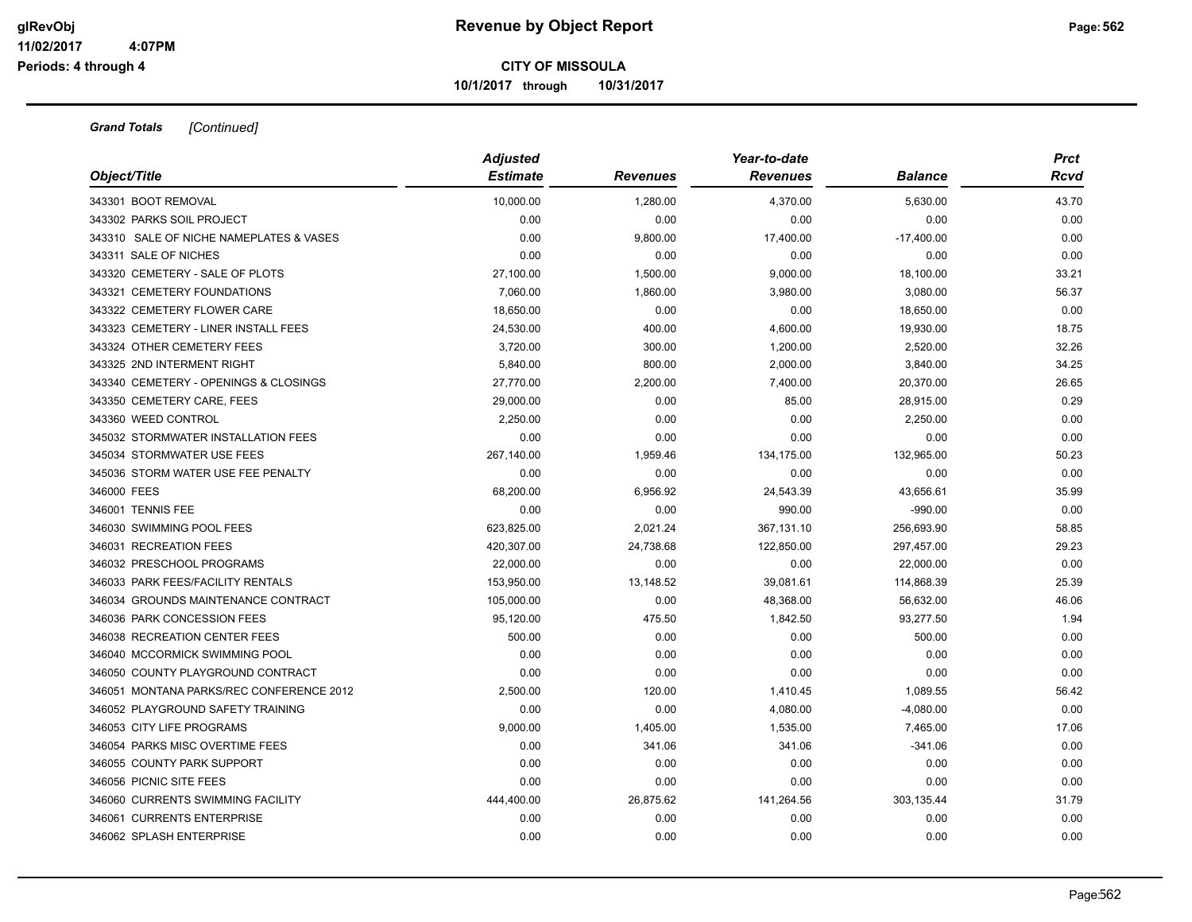**10/1/2017 through 10/31/2017**

| Object/Title                             | <b>Adjusted</b><br><b>Estimate</b> | <b>Revenues</b> | Year-to-date<br><b>Revenues</b> | <b>Balance</b> | <b>Prct</b><br>Rcvd |
|------------------------------------------|------------------------------------|-----------------|---------------------------------|----------------|---------------------|
| 343301 BOOT REMOVAL                      | 10,000.00                          | 1,280.00        | 4,370.00                        | 5,630.00       | 43.70               |
| 343302 PARKS SOIL PROJECT                | 0.00                               | 0.00            | 0.00                            | 0.00           | 0.00                |
| 343310 SALE OF NICHE NAMEPLATES & VASES  | 0.00                               | 9,800.00        | 17,400.00                       | $-17,400.00$   | 0.00                |
| 343311 SALE OF NICHES                    | 0.00                               | 0.00            | 0.00                            | 0.00           | 0.00                |
| 343320 CEMETERY - SALE OF PLOTS          | 27,100.00                          | 1,500.00        | 9,000.00                        | 18,100.00      | 33.21               |
| 343321 CEMETERY FOUNDATIONS              | 7.060.00                           | 1,860.00        | 3,980.00                        | 3,080.00       | 56.37               |
| 343322 CEMETERY FLOWER CARE              | 18,650.00                          | 0.00            | 0.00                            | 18,650.00      | 0.00                |
| 343323 CEMETERY - LINER INSTALL FEES     | 24,530.00                          | 400.00          | 4,600.00                        | 19,930.00      | 18.75               |
| 343324 OTHER CEMETERY FEES               | 3,720.00                           | 300.00          | 1,200.00                        | 2,520.00       | 32.26               |
| 343325 2ND INTERMENT RIGHT               | 5,840.00                           | 800.00          | 2,000.00                        | 3,840.00       | 34.25               |
| 343340 CEMETERY - OPENINGS & CLOSINGS    | 27,770.00                          | 2,200.00        | 7,400.00                        | 20,370.00      | 26.65               |
| 343350 CEMETERY CARE, FEES               | 29,000.00                          | 0.00            | 85.00                           | 28,915.00      | 0.29                |
| 343360 WEED CONTROL                      | 2,250.00                           | 0.00            | 0.00                            | 2,250.00       | 0.00                |
| 345032 STORMWATER INSTALLATION FEES      | 0.00                               | 0.00            | 0.00                            | 0.00           | 0.00                |
| 345034 STORMWATER USE FEES               | 267,140.00                         | 1,959.46        | 134,175.00                      | 132,965.00     | 50.23               |
| 345036 STORM WATER USE FEE PENALTY       | 0.00                               | 0.00            | 0.00                            | 0.00           | 0.00                |
| 346000 FEES                              | 68,200.00                          | 6,956.92        | 24,543.39                       | 43,656.61      | 35.99               |
| 346001 TENNIS FEE                        | 0.00                               | 0.00            | 990.00                          | $-990.00$      | 0.00                |
| 346030 SWIMMING POOL FEES                | 623,825.00                         | 2,021.24        | 367,131.10                      | 256,693.90     | 58.85               |
| 346031 RECREATION FEES                   | 420,307.00                         | 24,738.68       | 122,850.00                      | 297,457.00     | 29.23               |
| 346032 PRESCHOOL PROGRAMS                | 22,000.00                          | 0.00            | 0.00                            | 22,000.00      | 0.00                |
| 346033 PARK FEES/FACILITY RENTALS        | 153,950.00                         | 13,148.52       | 39,081.61                       | 114,868.39     | 25.39               |
| 346034 GROUNDS MAINTENANCE CONTRACT      | 105.000.00                         | 0.00            | 48,368.00                       | 56,632.00      | 46.06               |
| 346036 PARK CONCESSION FEES              | 95,120.00                          | 475.50          | 1,842.50                        | 93,277.50      | 1.94                |
| 346038 RECREATION CENTER FEES            | 500.00                             | 0.00            | 0.00                            | 500.00         | 0.00                |
| 346040 MCCORMICK SWIMMING POOL           | 0.00                               | 0.00            | 0.00                            | 0.00           | 0.00                |
| 346050 COUNTY PLAYGROUND CONTRACT        | 0.00                               | 0.00            | 0.00                            | 0.00           | 0.00                |
| 346051 MONTANA PARKS/REC CONFERENCE 2012 | 2,500.00                           | 120.00          | 1,410.45                        | 1,089.55       | 56.42               |
| 346052 PLAYGROUND SAFETY TRAINING        | 0.00                               | 0.00            | 4,080.00                        | $-4,080.00$    | 0.00                |
| 346053 CITY LIFE PROGRAMS                | 9,000.00                           | 1,405.00        | 1,535.00                        | 7,465.00       | 17.06               |
| 346054 PARKS MISC OVERTIME FEES          | 0.00                               | 341.06          | 341.06                          | $-341.06$      | 0.00                |
| 346055 COUNTY PARK SUPPORT               | 0.00                               | 0.00            | 0.00                            | 0.00           | 0.00                |
| 346056 PICNIC SITE FEES                  | 0.00                               | 0.00            | 0.00                            | 0.00           | 0.00                |
| 346060 CURRENTS SWIMMING FACILITY        | 444,400.00                         | 26,875.62       | 141,264.56                      | 303,135.44     | 31.79               |
| 346061 CURRENTS ENTERPRISE               | 0.00                               | 0.00            | 0.00                            | 0.00           | 0.00                |
| 346062 SPLASH ENTERPRISE                 | 0.00                               | 0.00            | 0.00                            | 0.00           | 0.00                |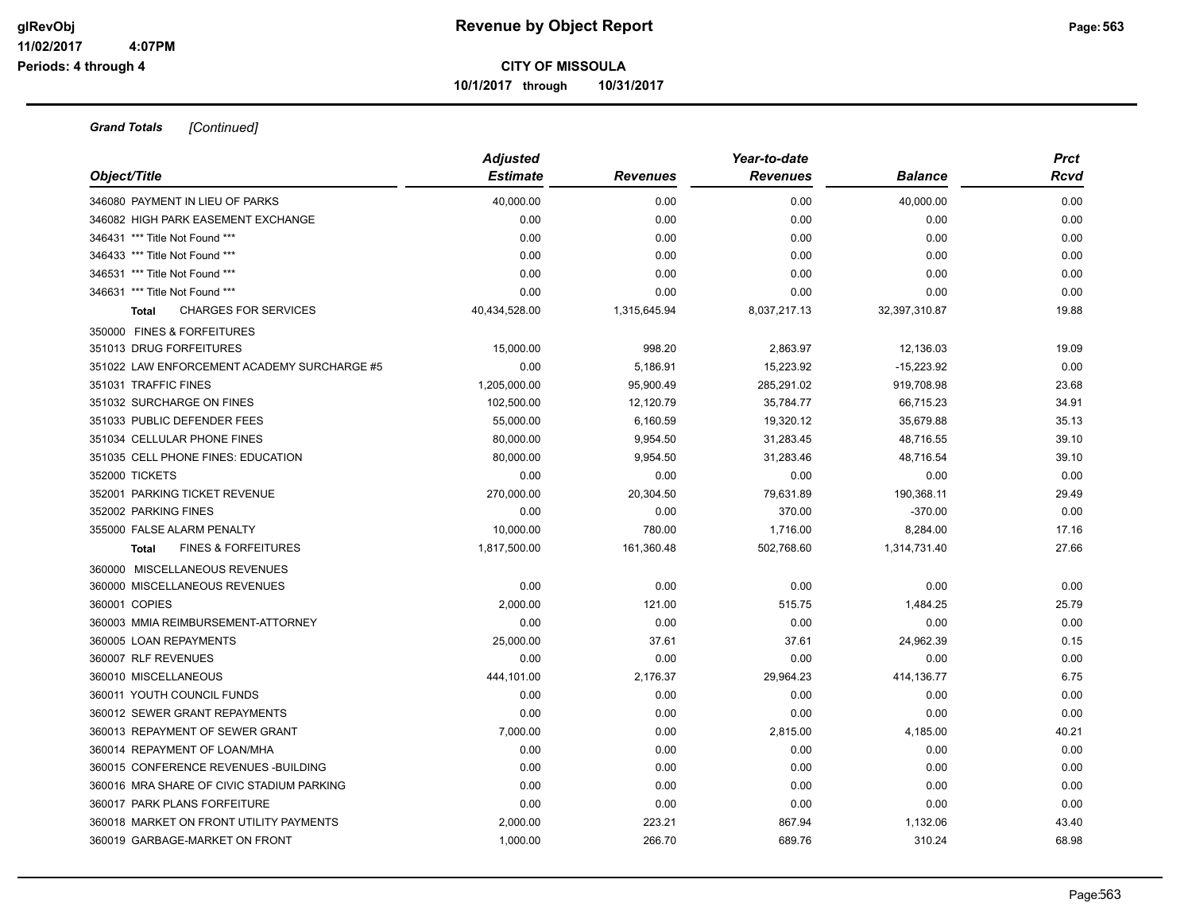**10/1/2017 through 10/31/2017**

|                                                | <b>Adjusted</b> |                 | Year-to-date    |                | <b>Prct</b> |
|------------------------------------------------|-----------------|-----------------|-----------------|----------------|-------------|
| Object/Title                                   | <b>Estimate</b> | <b>Revenues</b> | <b>Revenues</b> | <b>Balance</b> | Rcvd        |
| 346080 PAYMENT IN LIEU OF PARKS                | 40,000.00       | 0.00            | 0.00            | 40,000.00      | 0.00        |
| 346082 HIGH PARK EASEMENT EXCHANGE             | 0.00            | 0.00            | 0.00            | 0.00           | 0.00        |
| 346431 *** Title Not Found ***                 | 0.00            | 0.00            | 0.00            | 0.00           | 0.00        |
| 346433 *** Title Not Found ***                 | 0.00            | 0.00            | 0.00            | 0.00           | 0.00        |
| 346531 *** Title Not Found ***                 | 0.00            | 0.00            | 0.00            | 0.00           | 0.00        |
| 346631 *** Title Not Found ***                 | 0.00            | 0.00            | 0.00            | 0.00           | 0.00        |
| <b>CHARGES FOR SERVICES</b><br><b>Total</b>    | 40,434,528.00   | 1,315,645.94    | 8,037,217.13    | 32,397,310.87  | 19.88       |
| 350000 FINES & FORFEITURES                     |                 |                 |                 |                |             |
| 351013 DRUG FORFEITURES                        | 15,000.00       | 998.20          | 2,863.97        | 12,136.03      | 19.09       |
| 351022 LAW ENFORCEMENT ACADEMY SURCHARGE #5    | 0.00            | 5,186.91        | 15,223.92       | $-15,223.92$   | 0.00        |
| 351031 TRAFFIC FINES                           | 1,205,000.00    | 95,900.49       | 285,291.02      | 919,708.98     | 23.68       |
| 351032 SURCHARGE ON FINES                      | 102,500.00      | 12,120.79       | 35,784.77       | 66,715.23      | 34.91       |
| 351033 PUBLIC DEFENDER FEES                    | 55,000.00       | 6,160.59        | 19,320.12       | 35,679.88      | 35.13       |
| 351034 CELLULAR PHONE FINES                    | 80,000.00       | 9,954.50        | 31,283.45       | 48,716.55      | 39.10       |
| 351035 CELL PHONE FINES: EDUCATION             | 80,000.00       | 9,954.50        | 31,283.46       | 48,716.54      | 39.10       |
| 352000 TICKETS                                 | 0.00            | 0.00            | 0.00            | 0.00           | 0.00        |
| 352001 PARKING TICKET REVENUE                  | 270,000.00      | 20,304.50       | 79,631.89       | 190,368.11     | 29.49       |
| 352002 PARKING FINES                           | 0.00            | 0.00            | 370.00          | $-370.00$      | 0.00        |
| 355000 FALSE ALARM PENALTY                     | 10,000.00       | 780.00          | 1,716.00        | 8,284.00       | 17.16       |
| <b>FINES &amp; FORFEITURES</b><br><b>Total</b> | 1,817,500.00    | 161,360.48      | 502,768.60      | 1,314,731.40   | 27.66       |
| 360000 MISCELLANEOUS REVENUES                  |                 |                 |                 |                |             |
| 360000 MISCELLANEOUS REVENUES                  | 0.00            | 0.00            | 0.00            | 0.00           | 0.00        |
| 360001 COPIES                                  | 2,000.00        | 121.00          | 515.75          | 1,484.25       | 25.79       |
| 360003 MMIA REIMBURSEMENT-ATTORNEY             | 0.00            | 0.00            | 0.00            | 0.00           | 0.00        |
| 360005 LOAN REPAYMENTS                         | 25,000.00       | 37.61           | 37.61           | 24,962.39      | 0.15        |
| 360007 RLF REVENUES                            | 0.00            | 0.00            | 0.00            | 0.00           | 0.00        |
| 360010 MISCELLANEOUS                           | 444,101.00      | 2,176.37        | 29,964.23       | 414,136.77     | 6.75        |
| 360011 YOUTH COUNCIL FUNDS                     | 0.00            | 0.00            | 0.00            | 0.00           | 0.00        |
| 360012 SEWER GRANT REPAYMENTS                  | 0.00            | 0.00            | 0.00            | 0.00           | 0.00        |
| 360013 REPAYMENT OF SEWER GRANT                | 7,000.00        | 0.00            | 2,815.00        | 4,185.00       | 40.21       |
| 360014 REPAYMENT OF LOAN/MHA                   | 0.00            | 0.00            | 0.00            | 0.00           | 0.00        |
| 360015 CONFERENCE REVENUES - BUILDING          | 0.00            | 0.00            | 0.00            | 0.00           | 0.00        |
| 360016 MRA SHARE OF CIVIC STADIUM PARKING      | 0.00            | 0.00            | 0.00            | 0.00           | 0.00        |
| 360017 PARK PLANS FORFEITURE                   | 0.00            | 0.00            | 0.00            | 0.00           | 0.00        |
| 360018 MARKET ON FRONT UTILITY PAYMENTS        | 2,000.00        | 223.21          | 867.94          | 1,132.06       | 43.40       |
| 360019 GARBAGE-MARKET ON FRONT                 | 1,000.00        | 266.70          | 689.76          | 310.24         | 68.98       |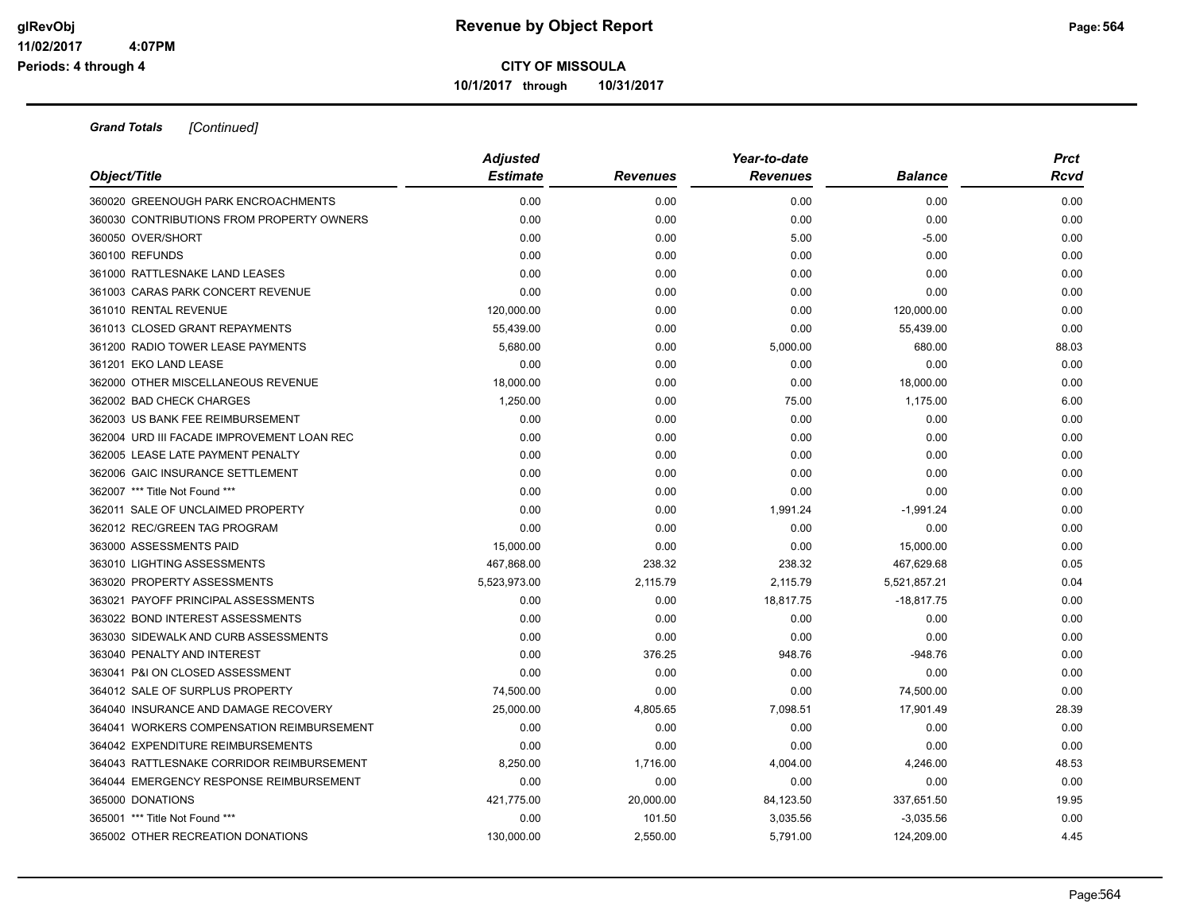**10/1/2017 through 10/31/2017**

| Object/Title                               | <b>Adjusted</b><br><b>Estimate</b> | <b>Revenues</b> | Year-to-date<br><b>Revenues</b> | <b>Balance</b> | <b>Prct</b><br>Rcvd |
|--------------------------------------------|------------------------------------|-----------------|---------------------------------|----------------|---------------------|
|                                            |                                    |                 |                                 |                |                     |
| 360020 GREENOUGH PARK ENCROACHMENTS        | 0.00                               | 0.00            | 0.00                            | 0.00           | 0.00                |
| 360030 CONTRIBUTIONS FROM PROPERTY OWNERS  | 0.00                               | 0.00            | 0.00                            | 0.00           | 0.00                |
| 360050 OVER/SHORT                          | 0.00                               | 0.00            | 5.00                            | $-5.00$        | 0.00                |
| 360100 REFUNDS                             | 0.00                               | 0.00            | 0.00                            | 0.00           | 0.00                |
| 361000 RATTLESNAKE LAND LEASES             | 0.00                               | 0.00            | 0.00                            | 0.00           | 0.00                |
| 361003 CARAS PARK CONCERT REVENUE          | 0.00                               | 0.00            | 0.00                            | 0.00           | 0.00                |
| 361010 RENTAL REVENUE                      | 120,000.00                         | 0.00            | 0.00                            | 120,000.00     | 0.00                |
| 361013 CLOSED GRANT REPAYMENTS             | 55,439.00                          | 0.00            | 0.00                            | 55,439.00      | 0.00                |
| 361200 RADIO TOWER LEASE PAYMENTS          | 5,680.00                           | 0.00            | 5,000.00                        | 680.00         | 88.03               |
| 361201 EKO LAND LEASE                      | 0.00                               | 0.00            | 0.00                            | 0.00           | 0.00                |
| 362000 OTHER MISCELLANEOUS REVENUE         | 18.000.00                          | 0.00            | 0.00                            | 18,000.00      | 0.00                |
| 362002 BAD CHECK CHARGES                   | 1,250.00                           | 0.00            | 75.00                           | 1,175.00       | 6.00                |
| 362003 US BANK FEE REIMBURSEMENT           | 0.00                               | 0.00            | 0.00                            | 0.00           | 0.00                |
| 362004 URD III FACADE IMPROVEMENT LOAN REC | 0.00                               | 0.00            | 0.00                            | 0.00           | 0.00                |
| 362005 LEASE LATE PAYMENT PENALTY          | 0.00                               | 0.00            | 0.00                            | 0.00           | 0.00                |
| 362006 GAIC INSURANCE SETTLEMENT           | 0.00                               | 0.00            | 0.00                            | 0.00           | 0.00                |
| 362007 *** Title Not Found ***             | 0.00                               | 0.00            | 0.00                            | 0.00           | 0.00                |
| 362011 SALE OF UNCLAIMED PROPERTY          | 0.00                               | 0.00            | 1,991.24                        | $-1,991.24$    | 0.00                |
| 362012 REC/GREEN TAG PROGRAM               | 0.00                               | 0.00            | 0.00                            | 0.00           | 0.00                |
| 363000 ASSESSMENTS PAID                    | 15,000.00                          | 0.00            | 0.00                            | 15,000.00      | 0.00                |
| 363010 LIGHTING ASSESSMENTS                | 467,868.00                         | 238.32          | 238.32                          | 467,629.68     | 0.05                |
| 363020 PROPERTY ASSESSMENTS                | 5,523,973.00                       | 2,115.79        | 2,115.79                        | 5,521,857.21   | 0.04                |
| 363021 PAYOFF PRINCIPAL ASSESSMENTS        | 0.00                               | 0.00            | 18,817.75                       | $-18.817.75$   | 0.00                |
| 363022 BOND INTEREST ASSESSMENTS           | 0.00                               | 0.00            | 0.00                            | 0.00           | 0.00                |
| 363030 SIDEWALK AND CURB ASSESSMENTS       | 0.00                               | 0.00            | 0.00                            | 0.00           | 0.00                |
| 363040 PENALTY AND INTEREST                | 0.00                               | 376.25          | 948.76                          | $-948.76$      | 0.00                |
| 363041 P&I ON CLOSED ASSESSMENT            | 0.00                               | 0.00            | 0.00                            | 0.00           | 0.00                |
| 364012 SALE OF SURPLUS PROPERTY            | 74,500.00                          | 0.00            | 0.00                            | 74,500.00      | 0.00                |
| 364040 INSURANCE AND DAMAGE RECOVERY       | 25.000.00                          | 4,805.65        | 7,098.51                        | 17.901.49      | 28.39               |
| 364041 WORKERS COMPENSATION REIMBURSEMENT  | 0.00                               | 0.00            | 0.00                            | 0.00           | 0.00                |
| 364042 EXPENDITURE REIMBURSEMENTS          | 0.00                               | 0.00            | 0.00                            | 0.00           | 0.00                |
| 364043 RATTLESNAKE CORRIDOR REIMBURSEMENT  | 8,250.00                           | 1,716.00        | 4,004.00                        | 4,246.00       | 48.53               |
| 364044 EMERGENCY RESPONSE REIMBURSEMENT    | 0.00                               | 0.00            | 0.00                            | 0.00           | 0.00                |
| 365000 DONATIONS                           | 421,775.00                         | 20,000.00       | 84,123.50                       | 337,651.50     | 19.95               |
| 365001 *** Title Not Found ***             | 0.00                               | 101.50          | 3,035.56                        | $-3,035.56$    | 0.00                |
| 365002 OTHER RECREATION DONATIONS          | 130,000.00                         | 2,550.00        | 5,791.00                        | 124,209.00     | 4.45                |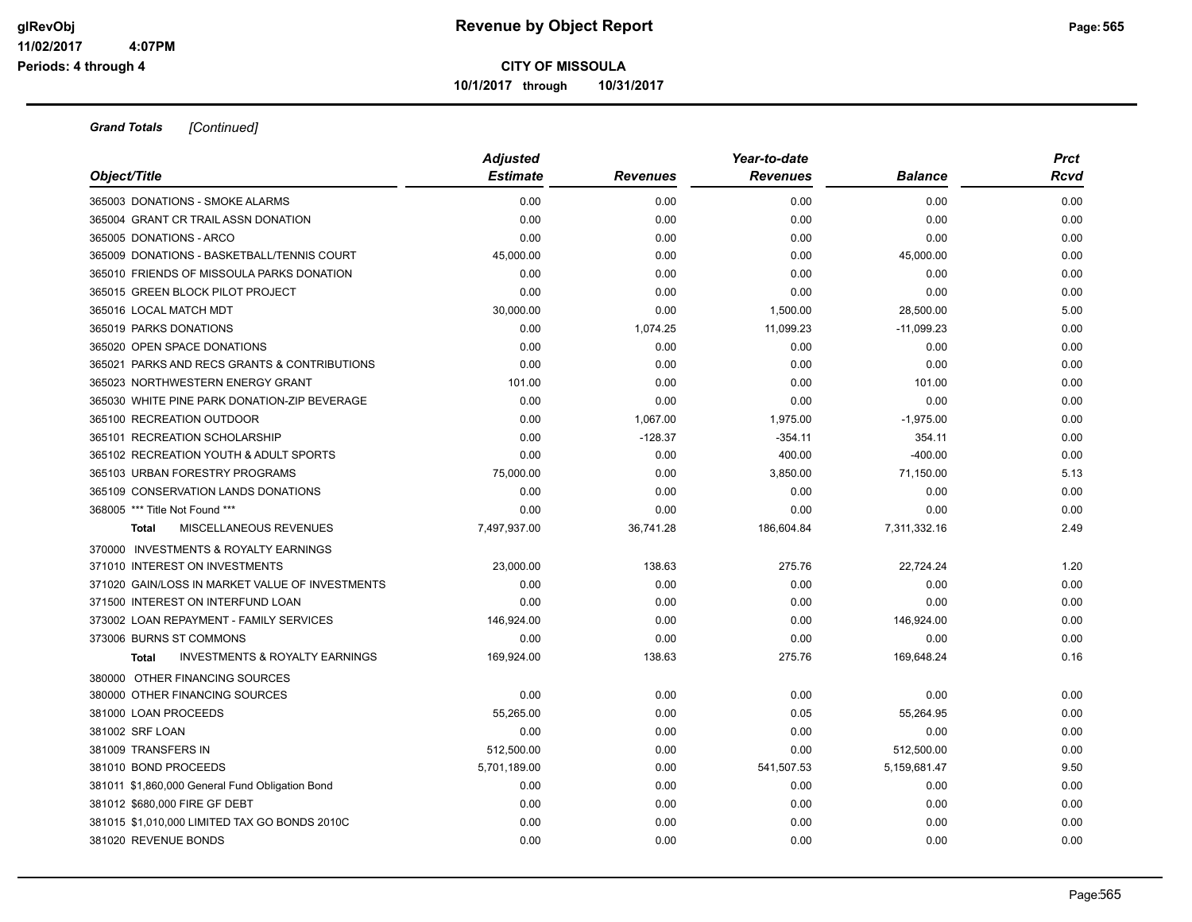**10/1/2017 through 10/31/2017**

| Object/Title                                              | <b>Adjusted</b> |                 | Year-to-date    |                | <b>Prct</b> |
|-----------------------------------------------------------|-----------------|-----------------|-----------------|----------------|-------------|
|                                                           | <b>Estimate</b> | <b>Revenues</b> | <b>Revenues</b> | <b>Balance</b> | Rcvd        |
| 365003 DONATIONS - SMOKE ALARMS                           | 0.00            | 0.00            | 0.00            | 0.00           | 0.00        |
| 365004 GRANT CR TRAIL ASSN DONATION                       | 0.00            | 0.00            | 0.00            | 0.00           | 0.00        |
| 365005 DONATIONS - ARCO                                   | 0.00            | 0.00            | 0.00            | 0.00           | 0.00        |
| 365009 DONATIONS - BASKETBALL/TENNIS COURT                | 45,000.00       | 0.00            | 0.00            | 45,000.00      | 0.00        |
| 365010 FRIENDS OF MISSOULA PARKS DONATION                 | 0.00            | 0.00            | 0.00            | 0.00           | 0.00        |
| 365015 GREEN BLOCK PILOT PROJECT                          | 0.00            | 0.00            | 0.00            | 0.00           | 0.00        |
| 365016 LOCAL MATCH MDT                                    | 30,000.00       | 0.00            | 1,500.00        | 28,500.00      | 5.00        |
| 365019 PARKS DONATIONS                                    | 0.00            | 1,074.25        | 11,099.23       | $-11,099.23$   | 0.00        |
| 365020 OPEN SPACE DONATIONS                               | 0.00            | 0.00            | 0.00            | 0.00           | 0.00        |
| 365021 PARKS AND RECS GRANTS & CONTRIBUTIONS              | 0.00            | 0.00            | 0.00            | 0.00           | 0.00        |
| 365023 NORTHWESTERN ENERGY GRANT                          | 101.00          | 0.00            | 0.00            | 101.00         | 0.00        |
| 365030 WHITE PINE PARK DONATION-ZIP BEVERAGE              | 0.00            | 0.00            | 0.00            | 0.00           | 0.00        |
| 365100 RECREATION OUTDOOR                                 | 0.00            | 1,067.00        | 1,975.00        | $-1,975.00$    | 0.00        |
| 365101 RECREATION SCHOLARSHIP                             | 0.00            | $-128.37$       | $-354.11$       | 354.11         | 0.00        |
| 365102 RECREATION YOUTH & ADULT SPORTS                    | 0.00            | 0.00            | 400.00          | $-400.00$      | 0.00        |
| 365103 URBAN FORESTRY PROGRAMS                            | 75,000.00       | 0.00            | 3,850.00        | 71,150.00      | 5.13        |
| 365109 CONSERVATION LANDS DONATIONS                       | 0.00            | 0.00            | 0.00            | 0.00           | 0.00        |
| 368005 *** Title Not Found ***                            | 0.00            | 0.00            | 0.00            | 0.00           | 0.00        |
| <b>MISCELLANEOUS REVENUES</b><br><b>Total</b>             | 7,497,937.00    | 36,741.28       | 186,604.84      | 7,311,332.16   | 2.49        |
| 370000 INVESTMENTS & ROYALTY EARNINGS                     |                 |                 |                 |                |             |
| 371010 INTEREST ON INVESTMENTS                            | 23,000.00       | 138.63          | 275.76          | 22,724.24      | 1.20        |
| 371020 GAIN/LOSS IN MARKET VALUE OF INVESTMENTS           | 0.00            | 0.00            | 0.00            | 0.00           | 0.00        |
| 371500 INTEREST ON INTERFUND LOAN                         | 0.00            | 0.00            | 0.00            | 0.00           | 0.00        |
| 373002 LOAN REPAYMENT - FAMILY SERVICES                   | 146,924.00      | 0.00            | 0.00            | 146,924.00     | 0.00        |
| 373006 BURNS ST COMMONS                                   | 0.00            | 0.00            | 0.00            | 0.00           | 0.00        |
| <b>INVESTMENTS &amp; ROYALTY EARNINGS</b><br><b>Total</b> | 169,924.00      | 138.63          | 275.76          | 169,648.24     | 0.16        |
| 380000 OTHER FINANCING SOURCES                            |                 |                 |                 |                |             |
| 380000 OTHER FINANCING SOURCES                            | 0.00            | 0.00            | 0.00            | 0.00           | 0.00        |
| 381000 LOAN PROCEEDS                                      | 55,265.00       | 0.00            | 0.05            | 55,264.95      | 0.00        |
| 381002 SRF LOAN                                           | 0.00            | 0.00            | 0.00            | 0.00           | 0.00        |
| 381009 TRANSFERS IN                                       | 512,500.00      | 0.00            | 0.00            | 512,500.00     | 0.00        |
| 381010 BOND PROCEEDS                                      | 5,701,189.00    | 0.00            | 541,507.53      | 5,159,681.47   | 9.50        |
| 381011 \$1,860,000 General Fund Obligation Bond           | 0.00            | 0.00            | 0.00            | 0.00           | 0.00        |
| 381012 \$680,000 FIRE GF DEBT                             | 0.00            | 0.00            | 0.00            | 0.00           | 0.00        |
| 381015 \$1,010,000 LIMITED TAX GO BONDS 2010C             | 0.00            | 0.00            | 0.00            | 0.00           | 0.00        |
| 381020 REVENUE BONDS                                      | 0.00            | 0.00            | 0.00            | 0.00           | 0.00        |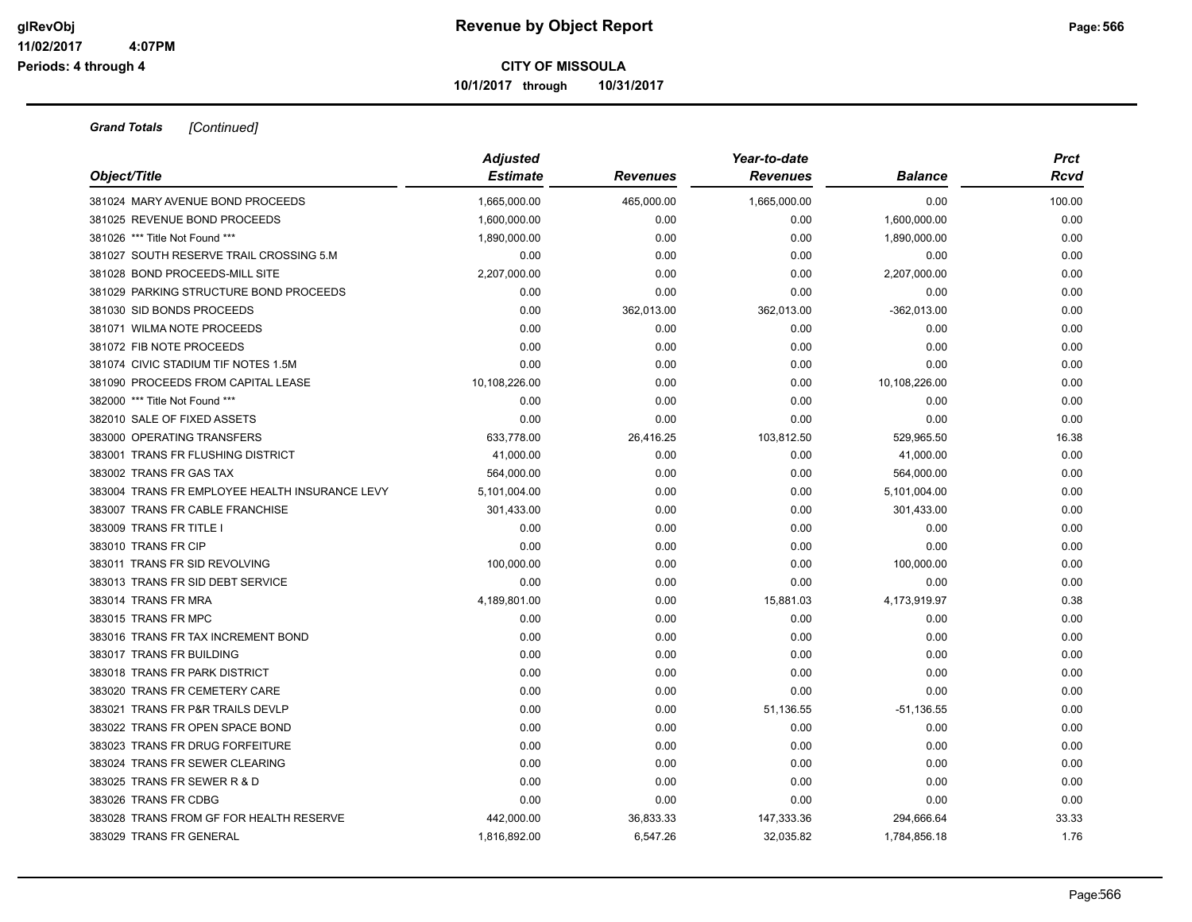**10/1/2017 through 10/31/2017**

| Object/Title                                   | <b>Adjusted</b> |                 | Year-to-date    |                | <b>Prct</b> |
|------------------------------------------------|-----------------|-----------------|-----------------|----------------|-------------|
|                                                | <b>Estimate</b> | <b>Revenues</b> | <b>Revenues</b> | <b>Balance</b> | Rcvd        |
| 381024 MARY AVENUE BOND PROCEEDS               | 1,665,000.00    | 465,000.00      | 1,665,000.00    | 0.00           | 100.00      |
| 381025 REVENUE BOND PROCEEDS                   | 1,600,000.00    | 0.00            | 0.00            | 1,600,000.00   | 0.00        |
| 381026 *** Title Not Found ***                 | 1,890,000.00    | 0.00            | 0.00            | 1,890,000.00   | 0.00        |
| 381027 SOUTH RESERVE TRAIL CROSSING 5.M        | 0.00            | 0.00            | 0.00            | 0.00           | 0.00        |
| 381028 BOND PROCEEDS-MILL SITE                 | 2,207,000.00    | 0.00            | 0.00            | 2,207,000.00   | 0.00        |
| 381029 PARKING STRUCTURE BOND PROCEEDS         | 0.00            | 0.00            | 0.00            | 0.00           | 0.00        |
| 381030 SID BONDS PROCEEDS                      | 0.00            | 362,013.00      | 362,013.00      | $-362,013.00$  | 0.00        |
| 381071 WILMA NOTE PROCEEDS                     | 0.00            | 0.00            | 0.00            | 0.00           | 0.00        |
| 381072 FIB NOTE PROCEEDS                       | 0.00            | 0.00            | 0.00            | 0.00           | 0.00        |
| 381074 CIVIC STADIUM TIF NOTES 1.5M            | 0.00            | 0.00            | 0.00            | 0.00           | 0.00        |
| 381090 PROCEEDS FROM CAPITAL LEASE             | 10,108,226.00   | 0.00            | 0.00            | 10,108,226.00  | 0.00        |
| 382000 *** Title Not Found ***                 | 0.00            | 0.00            | 0.00            | 0.00           | 0.00        |
| 382010 SALE OF FIXED ASSETS                    | 0.00            | 0.00            | 0.00            | 0.00           | 0.00        |
| 383000 OPERATING TRANSFERS                     | 633,778.00      | 26,416.25       | 103,812.50      | 529,965.50     | 16.38       |
| 383001 TRANS FR FLUSHING DISTRICT              | 41,000.00       | 0.00            | 0.00            | 41,000.00      | 0.00        |
| 383002 TRANS FR GAS TAX                        | 564,000.00      | 0.00            | 0.00            | 564,000.00     | 0.00        |
| 383004 TRANS FR EMPLOYEE HEALTH INSURANCE LEVY | 5,101,004.00    | 0.00            | 0.00            | 5,101,004.00   | 0.00        |
| 383007 TRANS FR CABLE FRANCHISE                | 301,433.00      | 0.00            | 0.00            | 301,433.00     | 0.00        |
| 383009 TRANS FR TITLE I                        | 0.00            | 0.00            | 0.00            | 0.00           | 0.00        |
| 383010 TRANS FR CIP                            | 0.00            | 0.00            | 0.00            | 0.00           | 0.00        |
| 383011 TRANS FR SID REVOLVING                  | 100,000.00      | 0.00            | 0.00            | 100,000.00     | 0.00        |
| 383013 TRANS FR SID DEBT SERVICE               | 0.00            | 0.00            | 0.00            | 0.00           | 0.00        |
| 383014 TRANS FR MRA                            | 4,189,801.00    | 0.00            | 15,881.03       | 4,173,919.97   | 0.38        |
| 383015 TRANS FR MPC                            | 0.00            | 0.00            | 0.00            | 0.00           | 0.00        |
| 383016 TRANS FR TAX INCREMENT BOND             | 0.00            | 0.00            | 0.00            | 0.00           | 0.00        |
| 383017 TRANS FR BUILDING                       | 0.00            | 0.00            | 0.00            | 0.00           | 0.00        |
| 383018 TRANS FR PARK DISTRICT                  | 0.00            | 0.00            | 0.00            | 0.00           | 0.00        |
| 383020 TRANS FR CEMETERY CARE                  | 0.00            | 0.00            | 0.00            | 0.00           | 0.00        |
| 383021 TRANS FR P&R TRAILS DEVLP               | 0.00            | 0.00            | 51,136.55       | $-51,136.55$   | 0.00        |
| 383022 TRANS FR OPEN SPACE BOND                | 0.00            | 0.00            | 0.00            | 0.00           | 0.00        |
| 383023 TRANS FR DRUG FORFEITURE                | 0.00            | 0.00            | 0.00            | 0.00           | 0.00        |
| 383024 TRANS FR SEWER CLEARING                 | 0.00            | 0.00            | 0.00            | 0.00           | 0.00        |
| 383025 TRANS FR SEWER R & D                    | 0.00            | 0.00            | 0.00            | 0.00           | 0.00        |
| 383026 TRANS FR CDBG                           | 0.00            | 0.00            | 0.00            | 0.00           | 0.00        |
| 383028 TRANS FROM GF FOR HEALTH RESERVE        | 442,000.00      | 36,833.33       | 147,333.36      | 294,666.64     | 33.33       |
| 383029 TRANS FR GENERAL                        | 1,816,892.00    | 6,547.26        | 32.035.82       | 1,784,856.18   | 1.76        |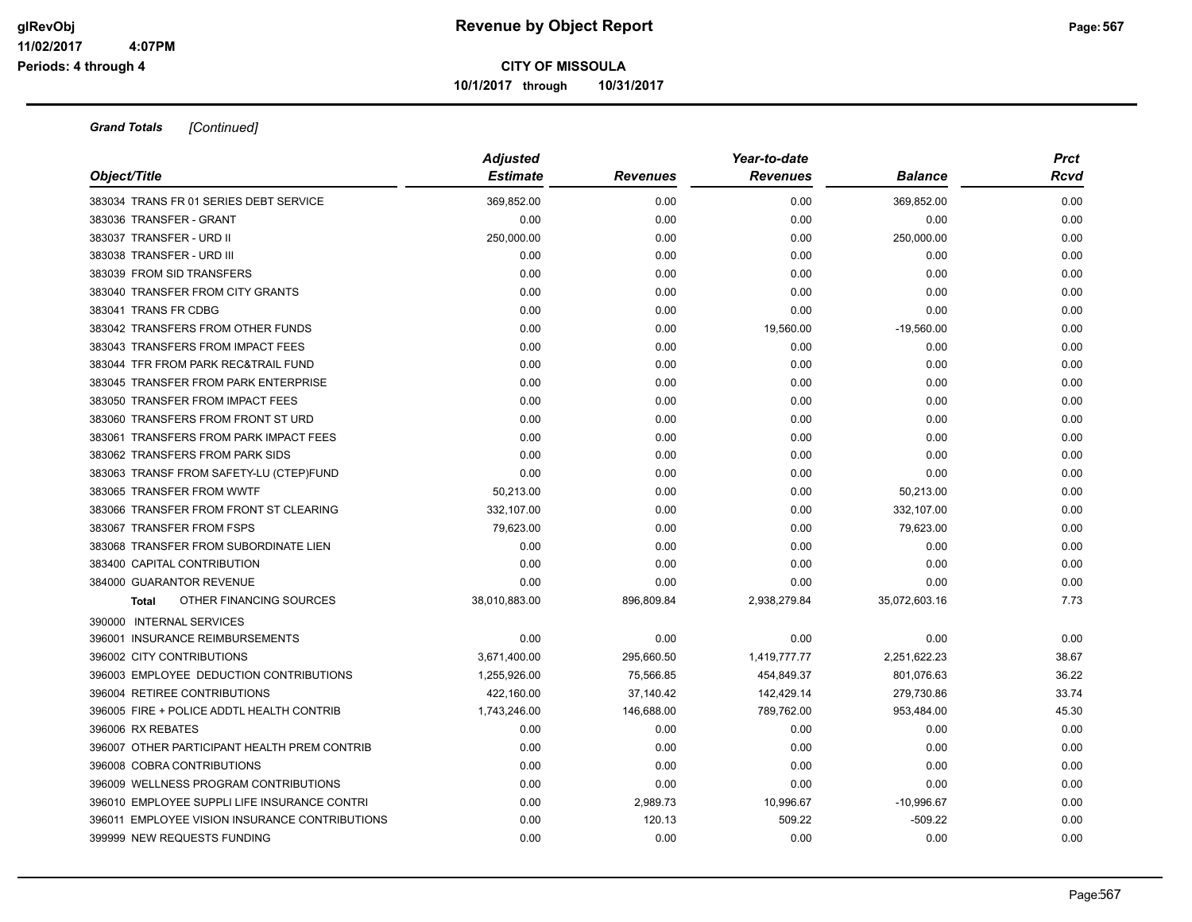**10/1/2017 through 10/31/2017**

|                                                | <b>Adjusted</b> |                 | Year-to-date    |                | <b>Prct</b> |
|------------------------------------------------|-----------------|-----------------|-----------------|----------------|-------------|
| Object/Title                                   | <b>Estimate</b> | <b>Revenues</b> | <b>Revenues</b> | <b>Balance</b> | Rcvd        |
| 383034 TRANS FR 01 SERIES DEBT SERVICE         | 369.852.00      | 0.00            | 0.00            | 369,852.00     | 0.00        |
| 383036 TRANSFER - GRANT                        | 0.00            | 0.00            | 0.00            | 0.00           | 0.00        |
| 383037 TRANSFER - URD II                       | 250,000.00      | 0.00            | 0.00            | 250,000.00     | 0.00        |
| 383038 TRANSFER - URD III                      | 0.00            | 0.00            | 0.00            | 0.00           | 0.00        |
| 383039 FROM SID TRANSFERS                      | 0.00            | 0.00            | 0.00            | 0.00           | 0.00        |
| 383040 TRANSFER FROM CITY GRANTS               | 0.00            | 0.00            | 0.00            | 0.00           | 0.00        |
| 383041 TRANS FR CDBG                           | 0.00            | 0.00            | 0.00            | 0.00           | 0.00        |
| 383042 TRANSFERS FROM OTHER FUNDS              | 0.00            | 0.00            | 19,560.00       | $-19,560.00$   | 0.00        |
| 383043 TRANSFERS FROM IMPACT FEES              | 0.00            | 0.00            | 0.00            | 0.00           | 0.00        |
| 383044 TFR FROM PARK REC&TRAIL FUND            | 0.00            | 0.00            | 0.00            | 0.00           | 0.00        |
| 383045 TRANSFER FROM PARK ENTERPRISE           | 0.00            | 0.00            | 0.00            | 0.00           | 0.00        |
| 383050 TRANSFER FROM IMPACT FEES               | 0.00            | 0.00            | 0.00            | 0.00           | 0.00        |
| 383060 TRANSFERS FROM FRONT ST URD             | 0.00            | 0.00            | 0.00            | 0.00           | 0.00        |
| 383061 TRANSFERS FROM PARK IMPACT FEES         | 0.00            | 0.00            | 0.00            | 0.00           | 0.00        |
| 383062 TRANSFERS FROM PARK SIDS                | 0.00            | 0.00            | 0.00            | 0.00           | 0.00        |
| 383063 TRANSF FROM SAFETY-LU (CTEP)FUND        | 0.00            | 0.00            | 0.00            | 0.00           | 0.00        |
| 383065 TRANSFER FROM WWTF                      | 50,213.00       | 0.00            | 0.00            | 50,213.00      | 0.00        |
| 383066 TRANSFER FROM FRONT ST CLEARING         | 332,107.00      | 0.00            | 0.00            | 332,107.00     | 0.00        |
| 383067 TRANSFER FROM FSPS                      | 79,623.00       | 0.00            | 0.00            | 79,623.00      | 0.00        |
| 383068 TRANSFER FROM SUBORDINATE LIEN          | 0.00            | 0.00            | 0.00            | 0.00           | 0.00        |
| 383400 CAPITAL CONTRIBUTION                    | 0.00            | 0.00            | 0.00            | 0.00           | 0.00        |
| 384000 GUARANTOR REVENUE                       | 0.00            | 0.00            | 0.00            | 0.00           | 0.00        |
| OTHER FINANCING SOURCES<br><b>Total</b>        | 38,010,883.00   | 896,809.84      | 2,938,279.84    | 35,072,603.16  | 7.73        |
| 390000 INTERNAL SERVICES                       |                 |                 |                 |                |             |
| 396001 INSURANCE REIMBURSEMENTS                | 0.00            | 0.00            | 0.00            | 0.00           | 0.00        |
| 396002 CITY CONTRIBUTIONS                      | 3,671,400.00    | 295,660.50      | 1,419,777.77    | 2,251,622.23   | 38.67       |
| 396003 EMPLOYEE DEDUCTION CONTRIBUTIONS        | 1,255,926.00    | 75,566.85       | 454,849.37      | 801,076.63     | 36.22       |
| 396004 RETIREE CONTRIBUTIONS                   | 422,160.00      | 37,140.42       | 142,429.14      | 279,730.86     | 33.74       |
| 396005 FIRE + POLICE ADDTL HEALTH CONTRIB      | 1,743,246.00    | 146,688.00      | 789,762.00      | 953,484.00     | 45.30       |
| 396006 RX REBATES                              | 0.00            | 0.00            | 0.00            | 0.00           | 0.00        |
| 396007 OTHER PARTICIPANT HEALTH PREM CONTRIB   | 0.00            | 0.00            | 0.00            | 0.00           | 0.00        |
| 396008 COBRA CONTRIBUTIONS                     | 0.00            | 0.00            | 0.00            | 0.00           | 0.00        |
| 396009 WELLNESS PROGRAM CONTRIBUTIONS          | 0.00            | 0.00            | 0.00            | 0.00           | 0.00        |
| 396010 EMPLOYEE SUPPLI LIFE INSURANCE CONTRI   | 0.00            | 2,989.73        | 10,996.67       | $-10,996.67$   | 0.00        |
| 396011 EMPLOYEE VISION INSURANCE CONTRIBUTIONS | 0.00            | 120.13          | 509.22          | $-509.22$      | 0.00        |
| 399999 NEW REQUESTS FUNDING                    | 0.00            | 0.00            | 0.00            | 0.00           | 0.00        |